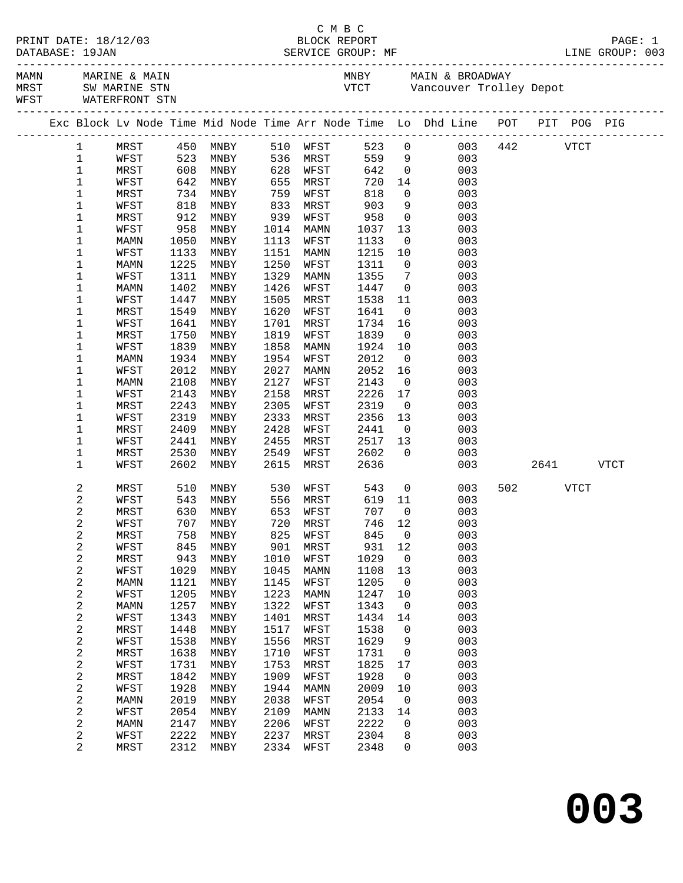| DATABASE: 19JAN            |              |              |                          |              |              |                     |                                   | C M B C<br>PRINT DATE: 18/12/03 BLOCK REPORT<br>DATABASE: 19JAN SERVICE GROUP: MF LINE GROUP: 003 |     |          |           |  |
|----------------------------|--------------|--------------|--------------------------|--------------|--------------|---------------------|-----------------------------------|---------------------------------------------------------------------------------------------------|-----|----------|-----------|--|
| WFST WATERFRONT STN        |              |              |                          |              |              |                     |                                   |                                                                                                   |     |          |           |  |
|                            |              |              |                          |              |              |                     |                                   | Exc Block Lv Node Time Mid Node Time Arr Node Time Lo Dhd Line POT PIT POG PIG                    |     |          |           |  |
|                            |              |              |                          |              |              |                     |                                   | 1 MRST 450 MNBY 510 WFST 523 0 003 442 VTCT                                                       |     |          |           |  |
| $\mathbf 1$                | WFST         |              | 523 MNBY 536 MRST 559 9  |              |              |                     |                                   | 003                                                                                               |     |          |           |  |
| $\mathbf{1}$               | MRST         |              |                          |              |              |                     |                                   | 642 0<br>720 14<br>003                                                                            |     |          |           |  |
| $\mathbf 1$                | WFST         |              |                          |              |              |                     |                                   | 003                                                                                               |     |          |           |  |
| $\mathbf 1$                | MRST         |              |                          | 759          |              |                     |                                   | $\overline{0}$<br>003                                                                             |     |          |           |  |
| $\mathbf 1$                | WFST         | 818          | MNBY                     | 833          | MRST         | 903                 |                                   | 9<br>003                                                                                          |     |          |           |  |
| $\mathbf 1$                | MRST         | 912          | MNBY                     | 939          | WFST         |                     |                                   | $\overline{0}$<br>003                                                                             |     |          |           |  |
| $\mathbf 1$                | WFST         | 958          | MNBY                     | 1014         | MAMN         | 958<br>1037<br>1133 |                                   | $\begin{array}{c} 13 \\ 0 \end{array}$<br>003                                                     |     |          |           |  |
| $\mathbf 1$                | MAMN         | 1050         | MNBY                     | 1113         | WFST         | 1133                |                                   | 003                                                                                               |     |          |           |  |
| $\mathbf 1$                | WFST         | 1133         | MNBY                     | 1151         | MAMN         | 1215                | 10                                | 003                                                                                               |     |          |           |  |
| $\mathbf 1$                | MAMN         | 1225         | MNBY                     | 1250         | WFST         | 1311                | $\overline{0}$                    | 003                                                                                               |     |          |           |  |
| $\mathbf 1$<br>$\mathbf 1$ | WFST<br>MAMN | 1311<br>1402 | MNBY                     | 1329<br>1426 | MAMN         | 1355<br>1447        | $7\overline{7}$<br>$\overline{0}$ | 003<br>003                                                                                        |     |          |           |  |
| $\mathbf 1$                | WFST         | 1447         | MNBY<br>MNBY             | 1505         | WFST<br>MRST | 1538                | 11                                | 003                                                                                               |     |          |           |  |
| $\mathbf 1$                | MRST         | 1549         | MNBY                     | 1620         | WFST         | 1641                | $\overline{0}$                    | 003                                                                                               |     |          |           |  |
| $\mathbf 1$                | WFST         | 1641         | MNBY                     | 1701         | MRST         | 1734                | 16                                | 003                                                                                               |     |          |           |  |
| 1                          | MRST         | 1750         | MNBY                     | 1819         | WFST         | 1839                | $\overline{0}$                    | 003                                                                                               |     |          |           |  |
| $\mathbf 1$                | WFST         | 1839         | MNBY                     | 1858         | MAMN         | 1924                | 10                                | 003                                                                                               |     |          |           |  |
| $\mathbf 1$                | MAMN         | 1934         | MNBY                     | 1954         | WFST         | 2012                | $\overline{0}$                    | 003                                                                                               |     |          |           |  |
| $\mathbf 1$                | WFST         | 2012         | MNBY                     | 2027         | MAMN         | 2052                | 16                                | 003                                                                                               |     |          |           |  |
| $\mathbf 1$                | MAMN         | 2108         | MNBY                     | 2127         | WFST         | 2143                | $\overline{0}$                    | 003                                                                                               |     |          |           |  |
| 1                          | WFST         | 2143         | MNBY                     | 2158         | MRST         | 2226                | 17                                | 003                                                                                               |     |          |           |  |
| $\mathbf 1$                | MRST         | 2243         | MNBY                     | 2305         | WFST         | 2319                | $\overline{0}$                    | 003                                                                                               |     |          |           |  |
| 1                          | WFST         | 2319         | MNBY                     | 2333         | MRST         | 2356                | 13                                | 003                                                                                               |     |          |           |  |
| $\mathbf 1$                | MRST         | 2409         | MNBY                     | 2428         | WFST         | 2441                | $\overline{0}$                    | 003                                                                                               |     |          |           |  |
| $\mathbf 1$                | WFST         | 2441         | MNBY                     | 2455         | MRST         | 2517                | 13                                | 003                                                                                               |     |          |           |  |
| $\mathbf 1$                | MRST         | 2530         | MNBY                     | 2549         | WFST         | 2602                | $\overline{0}$                    | 003                                                                                               |     |          |           |  |
| $\mathbf 1$                | WFST         | 2602         | MNBY                     | 2615         | MRST         | 2636                |                                   |                                                                                                   | 003 |          | 2641 VTCT |  |
| 2                          | MRST         |              | 510 MNBY 530 WFST 543 0  |              |              |                     |                                   | 003                                                                                               |     | 502 VTCT |           |  |
| 2                          | WFST         |              | 543 MNBY 556 MRST 619 11 |              |              |                     |                                   | 003                                                                                               |     |          |           |  |
| 2                          | MRST         |              | 630 MNBY                 |              | 653 WFST     | 707                 | $\overline{0}$                    | 003                                                                                               |     |          |           |  |
| 2                          | WFST         |              | 707 MNBY 720 MRST 746 12 |              |              |                     |                                   | 003                                                                                               |     |          |           |  |
| 2                          | MRST         | 758          | MNBY                     | 825          | WFST         | 845                 | 0                                 | 003                                                                                               |     |          |           |  |
| 2                          | WFST         | 845          | MNBY                     | 901          | MRST         | 931                 | 12                                | 003                                                                                               |     |          |           |  |
| 2                          | MRST         | 943          | MNBY                     | 1010         | WFST         | 1029                | 0                                 | 003                                                                                               |     |          |           |  |
| $\overline{\mathbf{c}}$    | WFST         | 1029         | MNBY                     | 1045<br>1145 | <b>MAMN</b>  | 1108<br>1205        | 13<br>0                           | 003<br>003                                                                                        |     |          |           |  |
| 2<br>2                     | MAMN<br>WFST | 1121<br>1205 | MNBY<br>MNBY             | 1223         | WFST<br>MAMN | 1247                | 10                                | 003                                                                                               |     |          |           |  |
| $\overline{\mathbf{c}}$    | MAMN         | 1257         | MNBY                     | 1322         | WFST         | 1343                | 0                                 | 003                                                                                               |     |          |           |  |
| 2                          | WFST         | 1343         | MNBY                     | 1401         | MRST         | 1434                | 14                                | 003                                                                                               |     |          |           |  |
| $\overline{\mathbf{c}}$    | MRST         | 1448         | MNBY                     | 1517         | WFST         | 1538                | 0                                 | 003                                                                                               |     |          |           |  |
| 2                          | WFST         | 1538         | MNBY                     | 1556         | MRST         | 1629                | 9                                 | 003                                                                                               |     |          |           |  |
| 2                          | MRST         | 1638         | MNBY                     | 1710         | WFST         | 1731                | 0                                 | 003                                                                                               |     |          |           |  |
| 2                          | WFST         | 1731         | MNBY                     | 1753         | MRST         | 1825                | 17                                | 003                                                                                               |     |          |           |  |
| $\overline{\mathbf{c}}$    | MRST         | 1842         | MNBY                     | 1909         | WFST         | 1928                | 0                                 | 003                                                                                               |     |          |           |  |
| 2                          | WFST         | 1928         | MNBY                     | 1944         | MAMN         | 2009                | 10                                | 003                                                                                               |     |          |           |  |
| 2                          | MAMN         | 2019         | MNBY                     | 2038         | WFST         | 2054                | 0                                 | 003                                                                                               |     |          |           |  |
| 2                          | WFST         | 2054         | MNBY                     | 2109         | MAMN         | 2133                | 14                                | 003                                                                                               |     |          |           |  |
| $\overline{\mathbf{c}}$    | MAMN         | 2147         | MNBY                     | 2206         | WFST         | 2222                | 0                                 | 003                                                                                               |     |          |           |  |
| 2                          | WFST         | 2222         | MNBY                     | 2237         | MRST         | 2304                | 8                                 | 003                                                                                               |     |          |           |  |
| 2                          | MRST         | 2312         | MNBY                     | 2334         | WFST         | 2348                | 0                                 | 003                                                                                               |     |          |           |  |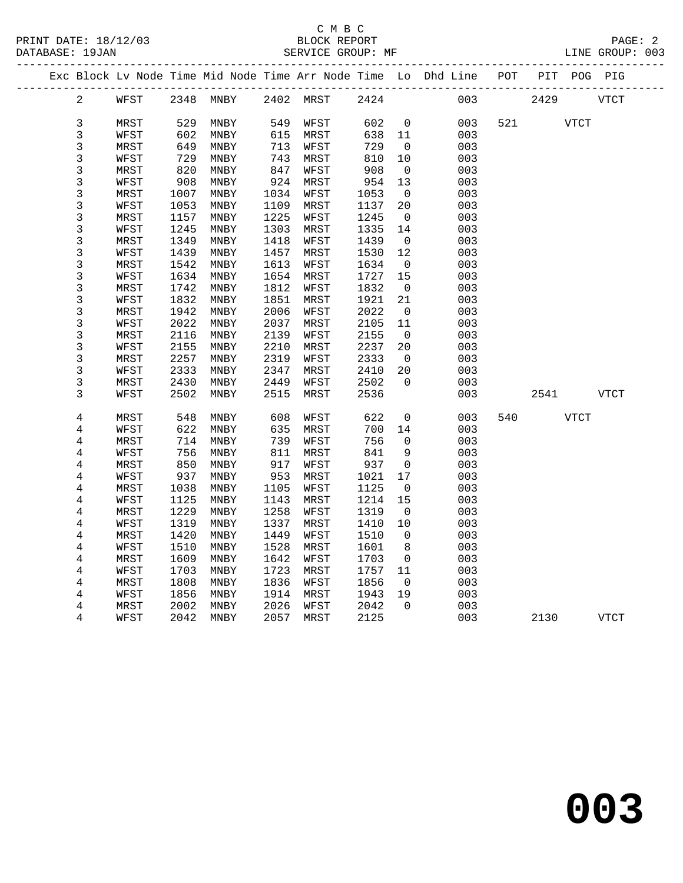|  |                |      |      |           |      |           |      |                          | Exc Block Lv Node Time Mid Node Time Arr Node Time Lo Dhd Line POT PIT POG PIG |     |      |             |             |
|--|----------------|------|------|-----------|------|-----------|------|--------------------------|--------------------------------------------------------------------------------|-----|------|-------------|-------------|
|  | $\overline{a}$ | WFST |      | 2348 MNBY |      | 2402 MRST | 2424 |                          | 003                                                                            |     | 2429 |             | <b>VTCT</b> |
|  | $\mathsf{3}$   | MRST | 529  | MNBY      | 549  | WFST      | 602  | $\mathbf 0$              | 003                                                                            | 521 |      | <b>VTCT</b> |             |
|  | $\mathfrak{Z}$ | WFST | 602  | MNBY      | 615  | MRST      | 638  | 11                       | 003                                                                            |     |      |             |             |
|  | $\mathsf 3$    | MRST | 649  | MNBY      | 713  | WFST      | 729  | $\mathbf 0$              | 003                                                                            |     |      |             |             |
|  | $\mathsf 3$    | WFST | 729  | MNBY      | 743  | MRST      | 810  | 10                       | 003                                                                            |     |      |             |             |
|  | $\mathsf 3$    | MRST | 820  | MNBY      | 847  | WFST      | 908  | $\mathbf 0$              | 003                                                                            |     |      |             |             |
|  | $\mathsf 3$    | WFST | 908  | MNBY      | 924  | MRST      | 954  | 13                       | 003                                                                            |     |      |             |             |
|  | $\mathbf{3}$   | MRST | 1007 | MNBY      | 1034 | WFST      | 1053 | $\overline{0}$           | 003                                                                            |     |      |             |             |
|  | $\mathsf 3$    | WFST | 1053 | MNBY      | 1109 | MRST      | 1137 | 20                       | 003                                                                            |     |      |             |             |
|  | $\mathsf 3$    | MRST | 1157 | MNBY      | 1225 | WFST      | 1245 | $\overline{0}$           | 003                                                                            |     |      |             |             |
|  | $\mathsf 3$    | WFST | 1245 | MNBY      | 1303 | MRST      | 1335 | 14                       | 003                                                                            |     |      |             |             |
|  | $\mathsf 3$    | MRST | 1349 | MNBY      | 1418 | WFST      | 1439 | $\overline{\phantom{0}}$ | 003                                                                            |     |      |             |             |
|  | $\mathbf{3}$   | WFST | 1439 | MNBY      | 1457 | MRST      | 1530 | 12                       | 003                                                                            |     |      |             |             |
|  | $\mathbf{3}$   | MRST | 1542 | MNBY      | 1613 | WFST      | 1634 | $\overline{0}$           | 003                                                                            |     |      |             |             |
|  | $\mathsf 3$    | WFST | 1634 | MNBY      | 1654 | MRST      | 1727 | 15                       | 003                                                                            |     |      |             |             |
|  | $\mathsf 3$    | MRST | 1742 | MNBY      | 1812 | WFST      | 1832 | $\overline{0}$           | 003                                                                            |     |      |             |             |
|  | $\mathsf 3$    | WFST | 1832 | MNBY      | 1851 | MRST      | 1921 | 21                       | 003                                                                            |     |      |             |             |
|  | 3              | MRST | 1942 | MNBY      | 2006 | WFST      | 2022 | $\overline{0}$           | 003                                                                            |     |      |             |             |
|  | $\mathsf 3$    | WFST | 2022 | MNBY      | 2037 | MRST      | 2105 | 11                       | 003                                                                            |     |      |             |             |
|  | $\mathsf 3$    | MRST | 2116 | MNBY      | 2139 | WFST      | 2155 | $\mathsf{O}$             | 003                                                                            |     |      |             |             |
|  | $\mathsf 3$    | WFST | 2155 | MNBY      | 2210 | MRST      | 2237 | 20                       | 003                                                                            |     |      |             |             |
|  | $\mathsf 3$    | MRST | 2257 | MNBY      | 2319 | WFST      | 2333 | $\overline{0}$           | 003                                                                            |     |      |             |             |
|  | $\mathsf 3$    | WFST | 2333 | MNBY      | 2347 | MRST      | 2410 | 20                       | 003                                                                            |     |      |             |             |
|  | $\mathbf{3}$   | MRST | 2430 | MNBY      | 2449 | WFST      | 2502 | $\Omega$                 | 003                                                                            |     |      |             |             |
|  | 3              | WFST | 2502 | MNBY      | 2515 | MRST      | 2536 |                          | 003                                                                            |     | 2541 |             | <b>VTCT</b> |
|  | $\,4$          | MRST | 548  | MNBY      | 608  | WFST      | 622  | $\mathbf 0$              | 003                                                                            | 540 |      | <b>VTCT</b> |             |
|  | 4              | WFST | 622  | MNBY      | 635  | MRST      | 700  | 14                       | 003                                                                            |     |      |             |             |
|  | 4              | MRST | 714  | MNBY      | 739  | WFST      | 756  | 0                        | 003                                                                            |     |      |             |             |
|  | 4              | WFST | 756  | MNBY      | 811  | MRST      | 841  | 9                        | 003                                                                            |     |      |             |             |
|  | 4              | MRST | 850  | MNBY      | 917  | WFST      | 937  | 0                        | 003                                                                            |     |      |             |             |
|  | 4              | WFST | 937  | MNBY      | 953  | MRST      | 1021 | 17                       | 003                                                                            |     |      |             |             |
|  | $\bf 4$        | MRST | 1038 | MNBY      | 1105 | WFST      | 1125 | 0                        | 003                                                                            |     |      |             |             |
|  | 4              | WFST | 1125 | MNBY      | 1143 | MRST      | 1214 | 15                       | 003                                                                            |     |      |             |             |
|  | 4              | MRST | 1229 | MNBY      | 1258 | WFST      | 1319 | $\overline{0}$           | 003                                                                            |     |      |             |             |
|  | 4              | WFST | 1319 | MNBY      | 1337 | MRST      | 1410 | 10                       | 003                                                                            |     |      |             |             |
|  | 4              | MRST | 1420 | MNBY      | 1449 | WFST      | 1510 | $\mathbf 0$              | 003                                                                            |     |      |             |             |
|  | $\overline{4}$ | WFST | 1510 | MNBY      | 1528 | MRST      | 1601 | 8                        | 003                                                                            |     |      |             |             |
|  | 4              | MRST | 1609 | MNBY      | 1642 | WFST      | 1703 | $\overline{\phantom{0}}$ | 003                                                                            |     |      |             |             |
|  | 4              | WFST | 1703 | MNBY      | 1723 | MRST      | 1757 | 11                       | 003                                                                            |     |      |             |             |
|  | 4              | MRST | 1808 | MNBY      | 1836 | WFST      | 1856 | $\overline{0}$           | 003                                                                            |     |      |             |             |
|  | 4              | WFST | 1856 | MNBY      | 1914 | MRST      | 1943 | 19                       | 003                                                                            |     |      |             |             |
|  | 4              | MRST | 2002 | MNBY      | 2026 | WFST      | 2042 | $\Omega$                 | 003                                                                            |     |      |             |             |
|  | $\overline{4}$ | WFST | 2042 | MNBY      | 2057 | MRST      | 2125 |                          | 003                                                                            |     | 2130 |             | <b>VTCT</b> |
|  |                |      |      |           |      |           |      |                          |                                                                                |     |      |             |             |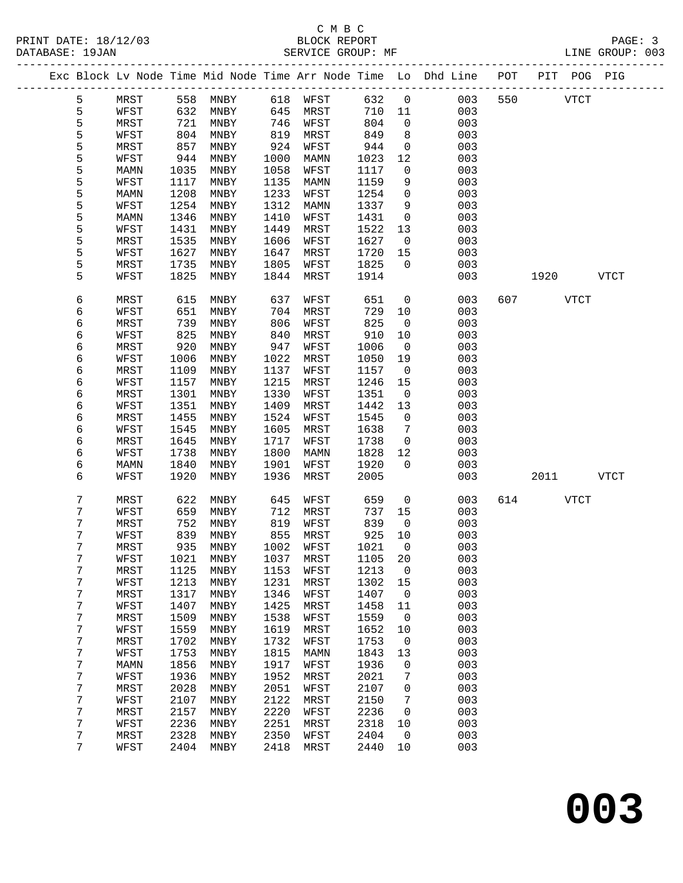|  |   |      |      | Exc Block Lv Node Time Mid Node Time Arr Node Time Lo Dhd Line |      |             |         |              |     | POT | PIT  | POG PIG     |             |
|--|---|------|------|----------------------------------------------------------------|------|-------------|---------|--------------|-----|-----|------|-------------|-------------|
|  | 5 | MRST | 558  | MNBY                                                           | 618  | WFST        | 632     | $\mathsf{O}$ | 003 | 550 |      | <b>VTCT</b> |             |
|  | 5 | WFST | 632  | MNBY                                                           | 645  | MRST        | 710     | 11           | 003 |     |      |             |             |
|  | 5 | MRST | 721  | MNBY                                                           | 746  | WFST        | 804     | $\mathsf{O}$ | 003 |     |      |             |             |
|  | 5 | WFST | 804  | MNBY                                                           | 819  | MRST        | 849     | 8            | 003 |     |      |             |             |
|  | 5 | MRST | 857  | MNBY                                                           | 924  | WFST        | 944     | $\mathsf{O}$ | 003 |     |      |             |             |
|  | 5 | WFST | 944  | MNBY                                                           | 1000 | MAMN        | 1023    | 12           | 003 |     |      |             |             |
|  | 5 | MAMN | 1035 | MNBY                                                           | 1058 | WFST        | 1117    | $\mathsf{O}$ | 003 |     |      |             |             |
|  | 5 | WFST | 1117 | MNBY                                                           | 1135 | MAMN        | 1159    | 9            | 003 |     |      |             |             |
|  | 5 | MAMN | 1208 | MNBY                                                           | 1233 | WFST        | 1254    | $\mathsf{O}$ | 003 |     |      |             |             |
|  | 5 | WFST | 1254 | MNBY                                                           | 1312 | MAMN        | 1337    | 9            | 003 |     |      |             |             |
|  | 5 | MAMN | 1346 | MNBY                                                           | 1410 | WFST        | 1431    | $\mathbf 0$  | 003 |     |      |             |             |
|  | 5 | WFST | 1431 | MNBY                                                           | 1449 | MRST        | 1522    | 13           | 003 |     |      |             |             |
|  | 5 | MRST | 1535 | MNBY                                                           | 1606 | WFST        | 1627    | 0            | 003 |     |      |             |             |
|  | 5 | WFST | 1627 | MNBY                                                           | 1647 | MRST        | 1720    | 15           | 003 |     |      |             |             |
|  | 5 | MRST | 1735 | MNBY                                                           | 1805 | WFST        | 1825    | $\mathbf 0$  | 003 |     |      |             |             |
|  | 5 | WFST | 1825 | MNBY                                                           | 1844 | MRST        | 1914    |              | 003 |     | 1920 |             | <b>VTCT</b> |
|  |   |      |      |                                                                |      |             |         |              |     |     |      |             |             |
|  | 6 | MRST | 615  | MNBY                                                           | 637  | WFST        | 651     | 0            | 003 | 607 |      | <b>VTCT</b> |             |
|  | 6 | WFST | 651  | MNBY                                                           | 704  | MRST        | 729     | 10           | 003 |     |      |             |             |
|  | 6 | MRST | 739  | MNBY                                                           | 806  | WFST        | 825     | $\mathsf{O}$ | 003 |     |      |             |             |
|  | 6 | WFST | 825  | MNBY                                                           | 840  | MRST        | 910     | 10           | 003 |     |      |             |             |
|  | 6 | MRST | 920  | MNBY                                                           | 947  | WFST        | 1006    | $\mathbf 0$  | 003 |     |      |             |             |
|  | 6 | WFST | 1006 | MNBY                                                           | 1022 | MRST        | 1050    | 19           | 003 |     |      |             |             |
|  | 6 | MRST | 1109 | MNBY                                                           | 1137 | WFST        | 1157    | $\mathbf 0$  | 003 |     |      |             |             |
|  | 6 | WFST | 1157 | MNBY                                                           | 1215 | MRST        | 1246    | 15           | 003 |     |      |             |             |
|  | 6 | MRST | 1301 | MNBY                                                           | 1330 | WFST        | 1351    | 0            | 003 |     |      |             |             |
|  | 6 | WFST | 1351 | MNBY                                                           | 1409 | MRST        | 1442    | 13           | 003 |     |      |             |             |
|  | 6 | MRST | 1455 | MNBY                                                           | 1524 | WFST        | 1545    | $\mathbf 0$  | 003 |     |      |             |             |
|  | 6 | WFST | 1545 | MNBY                                                           | 1605 | MRST        | 1638    | 7            | 003 |     |      |             |             |
|  | 6 | MRST | 1645 | MNBY                                                           | 1717 | WFST        | 1738    | $\mathsf{O}$ | 003 |     |      |             |             |
|  | 6 | WFST | 1738 | MNBY                                                           | 1800 | <b>MAMN</b> | 1828    | 12           | 003 |     |      |             |             |
|  | 6 | MAMN | 1840 | MNBY                                                           | 1901 | WFST        | 1920    | $\mathbf 0$  | 003 |     |      |             |             |
|  | 6 | WFST | 1920 | MNBY                                                           | 1936 | MRST        | 2005    |              | 003 |     | 2011 |             | <b>VTCT</b> |
|  | 7 | MRST | 622  | MNBY                                                           | 645  | WFST        | 659     | $\mathsf{O}$ | 003 | 614 |      | VTCT        |             |
|  | 7 | WFST | 659  | MNBY                                                           | 712  | MRST        | 737     | 15           | 003 |     |      |             |             |
|  | 7 | MRST | 752  | MNBY                                                           | 819  | WFST        | 839     | $\mathsf{O}$ | 003 |     |      |             |             |
|  | 7 | WFST | 839  | MNBY                                                           | 855  | MRST        | 925     | 10           | 003 |     |      |             |             |
|  | 7 | MRST | 935  | MNBY                                                           | 1002 | WFST        | 1021    | $\mathbf 0$  | 003 |     |      |             |             |
|  | 7 | WFST |      | 1021 MNBY 1037 MRST                                            |      |             | 1105 20 |              | 003 |     |      |             |             |
|  | 7 | MRST | 1125 | MNBY                                                           | 1153 | WFST        | 1213    | 0            | 003 |     |      |             |             |
|  | 7 | WFST | 1213 | MNBY                                                           | 1231 | MRST        | 1302    | 15           | 003 |     |      |             |             |
|  | 7 | MRST | 1317 | MNBY                                                           | 1346 | WFST        | 1407    | $\mathsf{O}$ | 003 |     |      |             |             |
|  | 7 | WFST | 1407 | MNBY                                                           | 1425 | MRST        | 1458    | 11           | 003 |     |      |             |             |
|  | 7 | MRST | 1509 | MNBY                                                           | 1538 | WFST        | 1559    | $\mathsf{O}$ | 003 |     |      |             |             |
|  | 7 | WFST | 1559 | MNBY                                                           | 1619 | MRST        | 1652    | 10           | 003 |     |      |             |             |
|  | 7 | MRST | 1702 | MNBY                                                           | 1732 | WFST        | 1753    | $\mathsf{O}$ | 003 |     |      |             |             |
|  | 7 | WFST | 1753 | MNBY                                                           | 1815 | MAMN        | 1843    | 13           | 003 |     |      |             |             |
|  | 7 | MAMN | 1856 | MNBY                                                           | 1917 | WFST        | 1936    | 0            | 003 |     |      |             |             |
|  | 7 | WFST | 1936 | MNBY                                                           | 1952 | MRST        | 2021    | 7            | 003 |     |      |             |             |
|  | 7 | MRST | 2028 | $\texttt{MNBY}$                                                | 2051 | WFST        | 2107    | 0            | 003 |     |      |             |             |
|  | 7 | WFST | 2107 | MNBY                                                           | 2122 | MRST        | 2150    | 7            | 003 |     |      |             |             |
|  | 7 | MRST | 2157 | MNBY                                                           | 2220 | WFST        | 2236    | 0            | 003 |     |      |             |             |
|  | 7 | WFST | 2236 | MNBY                                                           | 2251 | MRST        | 2318    | 10           | 003 |     |      |             |             |
|  | 7 | MRST | 2328 | MNBY                                                           | 2350 | WFST        | 2404    | 0            | 003 |     |      |             |             |
|  | 7 | WFST | 2404 | MNBY                                                           | 2418 | MRST        | 2440    | 10           | 003 |     |      |             |             |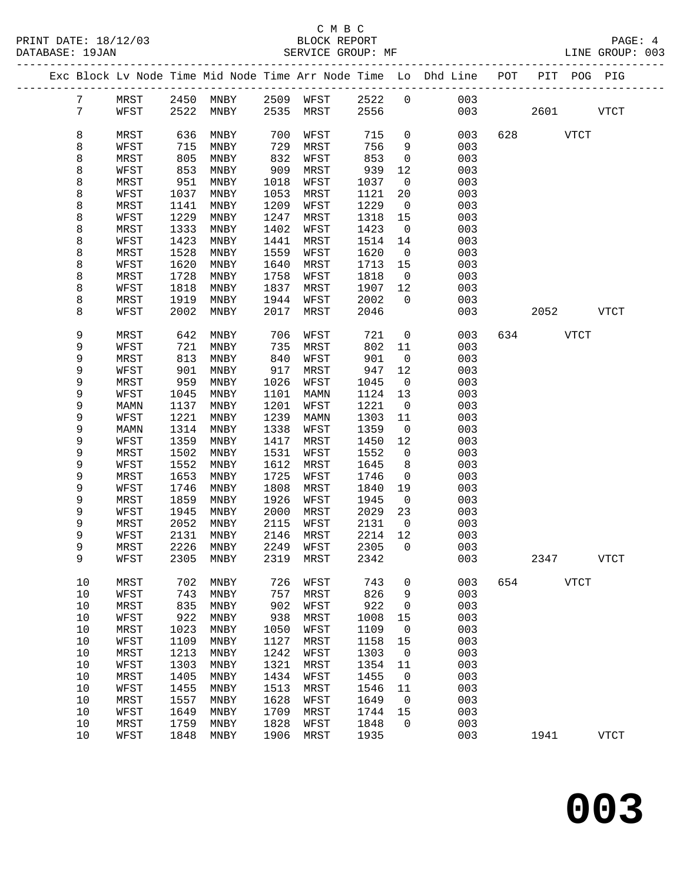|  |                 |      |      |                          |      |           |      |                          | Exc Block Lv Node Time Mid Node Time Arr Node Time Lo Dhd Line POT |     | PIT POG PIG |             |
|--|-----------------|------|------|--------------------------|------|-----------|------|--------------------------|--------------------------------------------------------------------|-----|-------------|-------------|
|  | 7               | MRST |      | 2450 MNBY 2509 WFST 2522 |      |           |      | $\overline{0}$           | 003                                                                |     |             |             |
|  | $7\phantom{.0}$ | WFST | 2522 | MNBY                     |      | 2535 MRST | 2556 |                          | 003                                                                |     | 2601        | <b>VTCT</b> |
|  |                 |      |      |                          |      |           |      |                          |                                                                    |     |             |             |
|  | 8               | MRST | 636  | MNBY                     | 700  | WFST      | 715  | $\mathsf{O}$             | 003                                                                | 628 | <b>VTCT</b> |             |
|  | 8               | WFST | 715  | MNBY                     | 729  | MRST      | 756  | 9                        | 003                                                                |     |             |             |
|  | 8               | MRST | 805  | MNBY                     | 832  | WFST      | 853  | $\mathsf{O}$             | 003                                                                |     |             |             |
|  | 8               | WFST | 853  | MNBY                     | 909  | MRST      | 939  | 12                       | 003                                                                |     |             |             |
|  | 8               | MRST | 951  | MNBY                     | 1018 | WFST      | 1037 | $\overline{\phantom{0}}$ | 003                                                                |     |             |             |
|  | 8               | WFST | 1037 | MNBY                     | 1053 | MRST      | 1121 | 20                       | 003                                                                |     |             |             |
|  | 8               | MRST | 1141 | MNBY                     | 1209 | WFST      | 1229 | $\overline{0}$           | 003                                                                |     |             |             |
|  | 8               | WFST | 1229 | MNBY                     | 1247 | MRST      | 1318 | 15                       | 003                                                                |     |             |             |
|  | 8               | MRST | 1333 | MNBY                     | 1402 | WFST      | 1423 | $\overline{\phantom{0}}$ | 003                                                                |     |             |             |
|  | 8               | WFST | 1423 | MNBY                     | 1441 | MRST      | 1514 | 14                       | 003                                                                |     |             |             |
|  | 8               | MRST | 1528 | MNBY                     | 1559 | WFST      | 1620 | $\overline{0}$           | 003                                                                |     |             |             |
|  | 8               | WFST | 1620 | MNBY                     | 1640 | MRST      | 1713 | 15                       | 003                                                                |     |             |             |
|  | 8               | MRST | 1728 | MNBY                     | 1758 | WFST      | 1818 | $\overline{0}$           | 003                                                                |     |             |             |
|  | 8               | WFST | 1818 | MNBY                     | 1837 | MRST      | 1907 | 12                       | 003                                                                |     |             |             |
|  | 8               | MRST | 1919 | MNBY                     | 1944 | WFST      | 2002 | $\overline{0}$           | 003                                                                |     |             |             |
|  | 8               | WFST | 2002 | MNBY                     | 2017 | MRST      | 2046 |                          | 003                                                                |     | 2052        | VTCT        |
|  |                 |      |      |                          |      |           |      |                          |                                                                    |     |             |             |
|  | 9               | MRST | 642  | MNBY                     | 706  | WFST      | 721  | $\overline{0}$           | 003                                                                |     | 634 VTCT    |             |
|  | 9               | WFST | 721  | MNBY                     | 735  | MRST      | 802  | 11                       | 003                                                                |     |             |             |
|  | 9               | MRST | 813  | MNBY                     | 840  | WFST      | 901  | $\overline{0}$           | 003                                                                |     |             |             |
|  | 9               | WFST | 901  | MNBY                     | 917  | MRST      | 947  | 12                       | 003                                                                |     |             |             |
|  | 9               | MRST | 959  | MNBY                     | 1026 | WFST      | 1045 | $\overline{0}$           | 003                                                                |     |             |             |
|  | 9               | WFST | 1045 | MNBY                     | 1101 | MAMN      | 1124 | 13                       | 003                                                                |     |             |             |
|  | 9               | MAMN | 1137 | MNBY                     | 1201 | WFST      | 1221 | $\overline{0}$           | 003                                                                |     |             |             |
|  | 9               | WFST | 1221 | MNBY                     | 1239 | MAMN      | 1303 | 11                       | 003                                                                |     |             |             |
|  | 9               | MAMN | 1314 | MNBY                     | 1338 | WFST      | 1359 | $\overline{0}$           | 003                                                                |     |             |             |
|  | 9               | WFST | 1359 | MNBY                     | 1417 | MRST      | 1450 | 12                       | 003                                                                |     |             |             |
|  | 9               | MRST | 1502 | MNBY                     | 1531 | WFST      | 1552 | $\overline{0}$           | 003                                                                |     |             |             |
|  | 9               | WFST | 1552 | MNBY                     | 1612 | MRST      | 1645 | 8                        | 003                                                                |     |             |             |
|  | 9               | MRST | 1653 | MNBY                     | 1725 | WFST      | 1746 | $\overline{0}$           | 003                                                                |     |             |             |
|  | 9               | WFST | 1746 | MNBY                     | 1808 | MRST      | 1840 | 19                       | 003                                                                |     |             |             |
|  | 9               | MRST | 1859 | MNBY                     | 1926 | WFST      | 1945 | $\overline{0}$           | 003                                                                |     |             |             |
|  | 9               | WFST | 1945 | MNBY                     | 2000 | MRST      | 2029 | 23                       | 003                                                                |     |             |             |
|  | 9               | MRST | 2052 | MNBY                     | 2115 | WFST      | 2131 | $\overline{\phantom{0}}$ | 003                                                                |     |             |             |
|  | 9               | WFST | 2131 | MNBY                     | 2146 | MRST      | 2214 | 12                       | 003                                                                |     |             |             |
|  | 9               | MRST | 2226 | MNBY                     | 2249 | WFST      | 2305 | $\overline{0}$           | 003                                                                |     |             |             |
|  | 9               | WFST |      | 2305 MNBY                |      | 2319 MRST | 2342 |                          | 003                                                                |     | 2347        | <b>VTCT</b> |
|  |                 |      |      |                          |      |           |      |                          |                                                                    |     |             |             |
|  | 10              | MRST | 702  | MNBY                     | 726  | WFST      | 743  | 0                        | 003                                                                | 654 | <b>VTCT</b> |             |
|  | $10$            | WFST | 743  | MNBY                     | 757  | MRST      | 826  | 9                        | 003                                                                |     |             |             |
|  | $10$            | MRST | 835  | MNBY                     | 902  | WFST      | 922  | 0                        | 003                                                                |     |             |             |
|  | 10              | WFST | 922  | MNBY                     | 938  | MRST      | 1008 | 15                       | 003                                                                |     |             |             |
|  | $10$            | MRST | 1023 | MNBY                     | 1050 | WFST      | 1109 | 0                        | 003                                                                |     |             |             |
|  | $10$            | WFST | 1109 | MNBY                     | 1127 | MRST      | 1158 | 15                       | 003                                                                |     |             |             |
|  | $10$            | MRST | 1213 | MNBY                     | 1242 | WFST      | 1303 | $\mathbf 0$              | 003                                                                |     |             |             |
|  | $10$            | WFST | 1303 | MNBY                     | 1321 | MRST      | 1354 | 11                       | 003                                                                |     |             |             |
|  | $10$            | MRST | 1405 | MNBY                     | 1434 | WFST      | 1455 | 0                        | 003                                                                |     |             |             |
|  | $10$            | WFST | 1455 | MNBY                     | 1513 | MRST      | 1546 | 11                       | 003                                                                |     |             |             |
|  | $10$            | MRST | 1557 | MNBY                     | 1628 | WFST      | 1649 | $\mathbf 0$              | 003                                                                |     |             |             |
|  | 10              | WFST | 1649 | MNBY                     | 1709 | MRST      | 1744 | 15                       | 003                                                                |     |             |             |
|  | 10              | MRST | 1759 | MNBY                     | 1828 | WFST      | 1848 | $\Omega$                 | 003                                                                |     |             |             |
|  | 10              | WFST | 1848 | MNBY                     | 1906 | MRST      | 1935 |                          | 003                                                                |     | 1941        | <b>VTCT</b> |
|  |                 |      |      |                          |      |           |      |                          |                                                                    |     |             |             |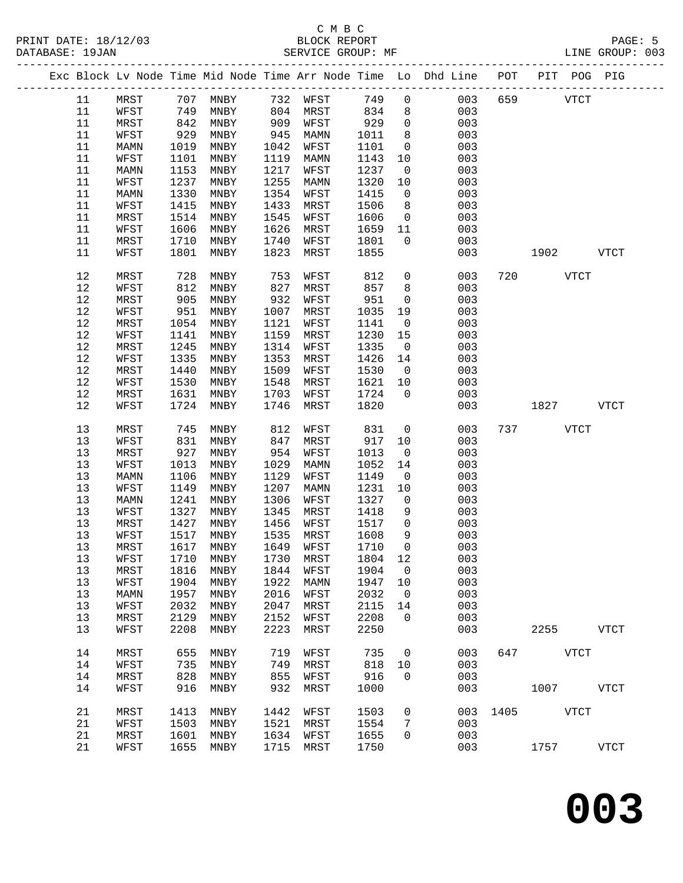|      |      |      |                     |      |      |         |                | Exc Block Lv Node Time Mid Node Time Arr Node Time Lo Dhd Line POT PIT POG PIG |     |                    |              |
|------|------|------|---------------------|------|------|---------|----------------|--------------------------------------------------------------------------------|-----|--------------------|--------------|
| 11   | MRST |      | 707 MNBY 732 WFST   |      |      | 749     | $\mathbf 0$    | 003                                                                            | 659 | <b>VTCT</b>        |              |
| 11   | WFST | 749  | MNBY                | 804  | MRST | 834     | 8              | 003                                                                            |     |                    |              |
| 11   | MRST | 842  | MNBY                | 909  | WFST | 929     | $\mathsf{O}$   | 003                                                                            |     |                    |              |
| 11   | WFST | 929  | MNBY                | 945  | MAMN | 1011    | 8              | 003                                                                            |     |                    |              |
| 11   | MAMN | 1019 | MNBY                | 1042 | WFST | 1101    | $\overline{0}$ | 003                                                                            |     |                    |              |
| 11   | WFST | 1101 | MNBY                | 1119 | MAMN | 1143    | 10             | 003                                                                            |     |                    |              |
| 11   | MAMN | 1153 | MNBY                | 1217 | WFST | 1237    | $\overline{0}$ | 003                                                                            |     |                    |              |
| 11   | WFST | 1237 | MNBY                | 1255 | MAMN | 1320    | 10             | 003                                                                            |     |                    |              |
| 11   | MAMN | 1330 | MNBY                | 1354 | WFST | 1415    | $\overline{0}$ | 003                                                                            |     |                    |              |
| 11   | WFST | 1415 | MNBY                | 1433 | MRST | 1506    | 8              | 003                                                                            |     |                    |              |
| 11   | MRST | 1514 | MNBY                | 1545 | WFST | 1606    | $\overline{0}$ | 003                                                                            |     |                    |              |
| 11   | WFST | 1606 | MNBY                | 1626 | MRST | 1659    | 11             | 003                                                                            |     |                    |              |
| 11   | MRST | 1710 | MNBY                | 1740 | WFST | 1801    | $\overline{0}$ | 003                                                                            |     |                    |              |
| 11   | WFST | 1801 | MNBY                | 1823 | MRST | 1855    |                | 003                                                                            |     | 1902               | <b>VTCT</b>  |
|      |      |      |                     |      |      |         |                |                                                                                |     |                    |              |
| 12   | MRST | 728  | MNBY                | 753  | WFST | 812     | $\mathbf 0$    | 003                                                                            |     | 720<br><b>VTCT</b> |              |
| 12   | WFST | 812  | MNBY                | 827  | MRST | 857     | 8              | 003                                                                            |     |                    |              |
| 12   | MRST | 905  | MNBY                | 932  | WFST | 951     | $\overline{0}$ | 003                                                                            |     |                    |              |
| 12   | WFST | 951  | MNBY                | 1007 | MRST | 1035    | 19             | 003                                                                            |     |                    |              |
| 12   | MRST | 1054 | MNBY                | 1121 | WFST | 1141    | $\overline{0}$ | 003                                                                            |     |                    |              |
| 12   | WFST | 1141 | MNBY                | 1159 | MRST | 1230    | 15             | 003                                                                            |     |                    |              |
| 12   | MRST | 1245 | MNBY                | 1314 | WFST | 1335    | $\overline{0}$ | 003                                                                            |     |                    |              |
| 12   | WFST | 1335 | MNBY                | 1353 | MRST | 1426    | 14             | 003                                                                            |     |                    |              |
| $12$ | MRST | 1440 | MNBY                | 1509 | WFST | 1530    | $\overline{0}$ | 003                                                                            |     |                    |              |
| 12   | WFST | 1530 | MNBY                | 1548 | MRST | 1621    | 10             | 003                                                                            |     |                    |              |
| 12   | MRST | 1631 | MNBY                | 1703 | WFST | 1724    | $\overline{0}$ | 003                                                                            |     |                    |              |
| 12   | WFST | 1724 | MNBY                | 1746 | MRST | 1820    |                | 003                                                                            |     | 1827               | VTCT         |
|      |      |      |                     |      |      |         |                |                                                                                |     |                    |              |
| 13   | MRST | 745  | MNBY                | 812  | WFST | 831     | $\overline{0}$ | 003                                                                            |     | 737 VTCT           |              |
| 13   | WFST | 831  | MNBY                | 847  | MRST | 917     | 10             | 003                                                                            |     |                    |              |
| 13   | MRST | 927  | MNBY                | 954  | WFST | 1013    | $\overline{0}$ | 003                                                                            |     |                    |              |
| 13   | WFST | 1013 | MNBY                | 1029 | MAMN | 1052    | 14             | 003                                                                            |     |                    |              |
| 13   | MAMN | 1106 | MNBY                | 1129 | WFST | 1149    | $\overline{0}$ | 003                                                                            |     |                    |              |
| 13   | WFST | 1149 | MNBY                | 1207 | MAMN | 1231    | 10             | 003                                                                            |     |                    |              |
| 13   | MAMN | 1241 | MNBY                | 1306 | WFST | 1327    | $\overline{0}$ | 003                                                                            |     |                    |              |
| 13   | WFST | 1327 | MNBY                | 1345 | MRST | 1418    | 9              | 003                                                                            |     |                    |              |
| 13   | MRST | 1427 | MNBY                | 1456 | WFST | 1517    | $\mathsf{O}$   | 003                                                                            |     |                    |              |
| 13   | WFST | 1517 | MNBY                | 1535 | MRST | 1608    | 9              | 003                                                                            |     |                    |              |
| 13   | MRST | 1617 | MNBY                | 1649 | WFST | 1710    | $\mathbf 0$    | 003                                                                            |     |                    |              |
| 13   | WFST |      | 1710 MNBY 1730 MRST |      |      | 1804 12 |                | 003                                                                            |     |                    |              |
| 13   | MRST | 1816 | MNBY                | 1844 | WFST | 1904    | $\mathsf{O}$   | 003                                                                            |     |                    |              |
| 13   | WFST | 1904 | MNBY                | 1922 | MAMN | 1947    | 10             | 003                                                                            |     |                    |              |
| 13   | MAMN | 1957 | MNBY                | 2016 | WFST | 2032    | $\overline{0}$ | 003                                                                            |     |                    |              |
| 13   | WFST | 2032 | MNBY                | 2047 | MRST | 2115    | 14             | 003                                                                            |     |                    |              |
| 13   | MRST | 2129 | MNBY                | 2152 | WFST | 2208    | $\Omega$       | 003                                                                            |     |                    |              |
| 13   | WFST | 2208 | MNBY                | 2223 | MRST | 2250    |                | 003                                                                            |     | 2255               | ${\tt VTCT}$ |
|      |      |      |                     |      |      |         |                |                                                                                |     |                    |              |
| 14   | MRST | 655  | MNBY                | 719  | WFST | 735     | $\mathsf{O}$   | 003                                                                            | 647 | <b>VTCT</b>        |              |
| 14   | WFST | 735  | MNBY                | 749  | MRST | 818     | 10             | 003                                                                            |     |                    |              |
| 14   | MRST | 828  | MNBY                | 855  | WFST | 916     | $\Omega$       | 003                                                                            |     |                    |              |
| 14   | WFST | 916  | MNBY                | 932  | MRST | 1000    |                | 003                                                                            |     | 1007               | VTCT         |
| 21   | MRST | 1413 | MNBY                | 1442 | WFST | 1503    | $\mathbf 0$    | 003                                                                            |     | 1405 VTCT          |              |
| 21   | WFST | 1503 | MNBY                | 1521 | MRST | 1554    | 7              | 003                                                                            |     |                    |              |
| 21   | MRST | 1601 | MNBY                | 1634 | WFST | 1655    | $\mathbf 0$    | 003                                                                            |     |                    |              |
| 21   | WFST | 1655 | MNBY                | 1715 | MRST | 1750    |                | 003                                                                            |     | 1757               | <b>VTCT</b>  |
|      |      |      |                     |      |      |         |                |                                                                                |     |                    |              |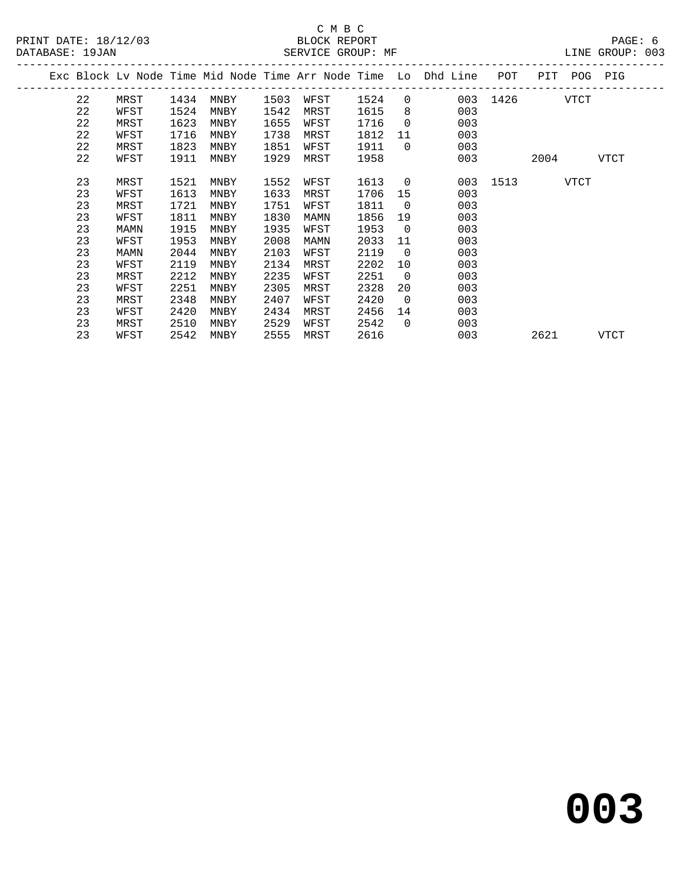# C M B C

| DATABASE: 19JAN |    |      |      |      |      | SERVICE GROUP: MF |      |                |                                                                                |               |      |             | LINE GROUP: 003 |  |
|-----------------|----|------|------|------|------|-------------------|------|----------------|--------------------------------------------------------------------------------|---------------|------|-------------|-----------------|--|
|                 |    |      |      |      |      |                   |      |                | Exc Block Lv Node Time Mid Node Time Arr Node Time Lo Dhd Line POT PIT POG PIG |               |      |             |                 |  |
|                 | 22 | MRST | 1434 | MNBY | 1503 | WFST 1524         |      |                | $0 \qquad \qquad$                                                              | 003 1426 VTCT |      |             |                 |  |
|                 | 22 | WFST | 1524 | MNBY | 1542 | MRST              | 1615 | 8 <sup>8</sup> | 003                                                                            |               |      |             |                 |  |
|                 | 22 | MRST | 1623 | MNBY | 1655 | WFST              | 1716 | $\overline{0}$ | 003                                                                            |               |      |             |                 |  |
|                 | 22 | WFST | 1716 | MNBY | 1738 | MRST              | 1812 |                | 11<br>003                                                                      |               |      |             |                 |  |
|                 | 22 | MRST | 1823 | MNBY | 1851 | WFST              | 1911 | $\overline{0}$ | 003                                                                            |               |      |             |                 |  |
|                 | 22 | WFST | 1911 | MNBY | 1929 | MRST              | 1958 |                | 003                                                                            |               | 2004 |             | VTCT            |  |
|                 | 23 | MRST | 1521 | MNBY | 1552 | WFST              | 1613 | $\overline{0}$ |                                                                                | 003 1513      |      | <b>VTCT</b> |                 |  |
|                 | 23 | WFST | 1613 | MNBY | 1633 | MRST              | 1706 | 15             | 003                                                                            |               |      |             |                 |  |
|                 | 23 | MRST | 1721 | MNBY | 1751 | WFST              | 1811 | $\overline{0}$ | 003                                                                            |               |      |             |                 |  |
|                 | 23 | WFST | 1811 | MNBY | 1830 | MAMN              | 1856 | 19             | 003                                                                            |               |      |             |                 |  |
|                 | 23 | MAMN | 1915 | MNBY | 1935 | WFST              | 1953 | $\overline{0}$ | 003                                                                            |               |      |             |                 |  |
|                 | 23 | WFST | 1953 | MNBY | 2008 | MAMN              | 2033 | 11             | 003                                                                            |               |      |             |                 |  |
|                 | 23 | MAMN | 2044 | MNBY | 2103 | WFST              | 2119 | $\overline{0}$ | 003                                                                            |               |      |             |                 |  |
|                 | 23 | WFST | 2119 | MNBY | 2134 | MRST              | 2202 | 10             | 003                                                                            |               |      |             |                 |  |
|                 | 23 | MRST | 2212 | MNBY | 2235 | WFST              | 2251 | $\overline{0}$ | 003                                                                            |               |      |             |                 |  |
|                 | 23 | WFST | 2251 | MNBY | 2305 | MRST              | 2328 | 20             | 003                                                                            |               |      |             |                 |  |
|                 | 23 | MRST | 2348 | MNBY | 2407 | WFST              | 2420 | $\overline{0}$ | 003                                                                            |               |      |             |                 |  |
|                 | 23 | WFST | 2420 | MNBY | 2434 | MRST              | 2456 | 14             | 003                                                                            |               |      |             |                 |  |
|                 | 23 | MRST | 2510 | MNBY | 2529 | WFST              | 2542 | $\overline{0}$ | 003                                                                            |               |      |             |                 |  |
|                 | 23 | WFST | 2542 | MNBY | 2555 | MRST              | 2616 |                | 003                                                                            |               | 2621 |             | VTCT            |  |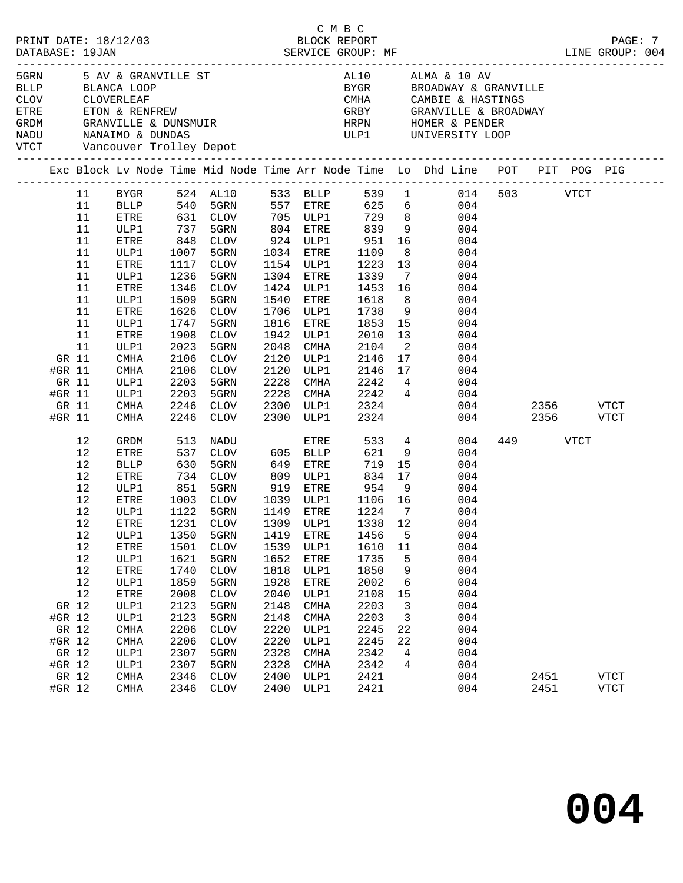| ETRE<br>GRDM<br>NADU<br>VTCT |        | CLOV CLOVERLEAF |             | Vancouver Trolley Depot | CMTTT<br>ETON & RENFREW<br>GRANVILLE & DUNSMUIR<br>NANAIMO & DUNDAS                                              |             |           |                        |                          | AL10 ALMA & 10 AV<br>BYGR         BROADWAY & GRANVILLE<br>CMHA CAMBIE & HASTINGS<br>GRBY GRANVILLE & BROADWAY<br>HRPN HOMER & PENDER<br>ULP1 UNIVERSITY LOOP |     |           |           |             |
|------------------------------|--------|-----------------|-------------|-------------------------|------------------------------------------------------------------------------------------------------------------|-------------|-----------|------------------------|--------------------------|--------------------------------------------------------------------------------------------------------------------------------------------------------------|-----|-----------|-----------|-------------|
|                              |        |                 |             |                         |                                                                                                                  |             |           |                        |                          | Exc Block Lv Node Time Mid Node Time Arr Node Time Lo Dhd Line POT PIT POG PIG                                                                               |     |           |           |             |
|                              |        | 11              |             |                         |                                                                                                                  |             |           |                        |                          | BYGR 524 AL10 533 BLLP 539 1 014 503 VTCT                                                                                                                    |     |           |           |             |
|                              |        | 11              |             |                         |                                                                                                                  |             |           |                        |                          | BLLP 540 5GRN 557 ETRE 625 6 004                                                                                                                             |     |           |           |             |
|                              |        | 11              | ETRE        |                         | 631   CLOV           705    ULP1            729       8<br>737    5GRN           804    ETRE          839      9 |             |           |                        |                          | 004                                                                                                                                                          |     |           |           |             |
|                              |        | 11              | ULP1        |                         |                                                                                                                  |             |           |                        |                          | 004                                                                                                                                                          |     |           |           |             |
|                              |        | 11              | ETRE        | 848                     | CLOV                                                                                                             |             |           | 924 ULP1 951           |                          | 16 10<br>004                                                                                                                                                 |     |           |           |             |
|                              |        | 11              | ULP1        | 1007                    | 5GRN                                                                                                             |             | 1034 ETRE | 1109                   | 8 <sup>8</sup>           | 004                                                                                                                                                          |     |           |           |             |
|                              |        | 11              | ETRE        | 1117                    | CLOV                                                                                                             |             | 1154 ULP1 | 1223                   | 13                       | 004                                                                                                                                                          |     |           |           |             |
|                              |        | 11              | ULP1        | 1236                    | 5GRN                                                                                                             |             | 1304 ETRE | 1339                   | $\overline{7}$           | 004                                                                                                                                                          |     |           |           |             |
|                              |        | 11              | ETRE        | 1346                    | CLOV                                                                                                             |             | 1424 ULP1 | 1453 16                |                          | 004                                                                                                                                                          |     |           |           |             |
|                              |        | 11              | ULP1        | 1509                    | 5GRN                                                                                                             |             | 1540 ETRE | 1618                   | 8 <sup>8</sup>           | 004                                                                                                                                                          |     |           |           |             |
|                              |        | 11              | ETRE        | 1626                    | CLOV                                                                                                             |             | 1706 ULP1 | 1738                   | 9                        | 004                                                                                                                                                          |     |           |           |             |
|                              |        | 11              | ULP1        | 1747                    | 5GRN                                                                                                             | 1816        | ETRE      | 1853                   | 15                       | 004                                                                                                                                                          |     |           |           |             |
|                              |        | 11              | ETRE        | 1908                    | CLOV                                                                                                             | 1942        | ULP1      | 2010                   | 13                       | 004                                                                                                                                                          |     |           |           |             |
|                              |        | 11              | ULP1        | 2023                    | 5GRN                                                                                                             | 2048        | CMHA      | 2104                   | $\overline{\phantom{a}}$ | 004                                                                                                                                                          |     |           |           |             |
|                              | GR 11  |                 | CMHA        | 2106                    | CLOV                                                                                                             | 2120        | ULP1      | 2146                   | 17                       | 004                                                                                                                                                          |     |           |           |             |
|                              | #GR 11 |                 | CMHA        | 2106                    | CLOV                                                                                                             | 2120        | ULP1      | 2146 17                |                          | 004                                                                                                                                                          |     |           |           |             |
|                              | GR 11  |                 | ULP1        | 2203                    | 5GRN                                                                                                             | 2228        | CMHA      | 2242 4                 |                          | 004                                                                                                                                                          |     |           |           |             |
|                              | #GR 11 |                 | ULP1        | 2203                    | 5GRN                                                                                                             | 2228        |           | CMHA 2242 4            |                          | 004                                                                                                                                                          |     |           |           |             |
|                              | GR 11  |                 | CMHA        | 2246                    | CLOV                                                                                                             | 2300        | ULP1      | 2324                   |                          |                                                                                                                                                              | 004 |           | 2356 VTCT |             |
|                              | #GR 11 |                 | CMHA        | 2246                    | CLOV                                                                                                             |             | 2300 ULP1 | 2324                   |                          |                                                                                                                                                              | 004 |           | 2356 VTCT |             |
|                              |        | 12              | GRDM        | 513                     | NADU                                                                                                             |             | ETRE      | 533                    |                          | $4\overline{ }$<br>004                                                                                                                                       |     | 449 — 100 | VTCT      |             |
|                              |        | 12              | <b>ETRE</b> | 537                     | CLOV                                                                                                             | $605$ BLLP  |           | 621                    | 9                        | 004                                                                                                                                                          |     |           |           |             |
|                              |        | 12              | BLLP        |                         | 630 5GRN<br>734 CLOV                                                                                             | 649         | ETRE      | 719                    | 15                       | 004                                                                                                                                                          |     |           |           |             |
|                              |        | 12              | ETRE        |                         |                                                                                                                  | 809         | ULP1      | 834 17                 |                          | 004                                                                                                                                                          |     |           |           |             |
|                              |        | 12              | ULP1        | 851                     | 5GRN                                                                                                             | 919         |           | ETRE 954               | 9                        | 004                                                                                                                                                          |     |           |           |             |
|                              |        | 12              | ETRE        | 1003                    | CLOV                                                                                                             |             |           | 1039 ULP1 1106 16      |                          | 004                                                                                                                                                          |     |           |           |             |
|                              |        | 12              | ULP1        | 1122<br>1231            | 5GRN                                                                                                             | 1149 ETRE   |           | $\frac{1224}{1338}$ 12 |                          | 004                                                                                                                                                          |     |           |           |             |
|                              |        | 12              | ETRE        |                         | 1231 CLOV                                                                                                        | $1309$ ULP1 |           | 1338 12                |                          | 004                                                                                                                                                          |     |           |           |             |
|                              |        | 12              |             |                         |                                                                                                                  |             |           |                        |                          | ULP1 1350 5GRN 1419 ETRE 1456 5 004                                                                                                                          |     |           |           |             |
|                              |        | 12              | ETRE        | 1501                    | <b>CLOV</b>                                                                                                      | 1539        | ULP1      | 1610                   | 11                       | 004                                                                                                                                                          |     |           |           |             |
|                              |        | 12              | ULP1        | 1621                    | 5GRN                                                                                                             | 1652        | ETRE      | 1735                   | 5                        | 004                                                                                                                                                          |     |           |           |             |
|                              |        | 12              | ETRE        | 1740                    | <b>CLOV</b>                                                                                                      | 1818        | ULP1      | 1850                   | 9                        | 004                                                                                                                                                          |     |           |           |             |
|                              |        | 12              | ULP1        | 1859                    | 5GRN                                                                                                             | 1928        | ETRE      | 2002                   | 6                        | 004                                                                                                                                                          |     |           |           |             |
|                              |        | 12              | ETRE        | 2008                    | <b>CLOV</b>                                                                                                      | 2040        | ULP1      | 2108                   | 15                       | 004                                                                                                                                                          |     |           |           |             |
|                              | GR 12  |                 | ULP1        | 2123                    | 5GRN                                                                                                             | 2148        | CMHA      | 2203                   | 3                        | 004                                                                                                                                                          |     |           |           |             |
|                              | #GR 12 |                 | ULP1        | 2123                    | 5GRN                                                                                                             | 2148        | CMHA      | 2203                   | 3                        | 004                                                                                                                                                          |     |           |           |             |
|                              | GR 12  |                 | CMHA        | 2206                    | <b>CLOV</b>                                                                                                      | 2220        | ULP1      | 2245                   | 22                       | 004                                                                                                                                                          |     |           |           |             |
|                              | #GR 12 |                 | <b>CMHA</b> | 2206                    | <b>CLOV</b>                                                                                                      | 2220        | ULP1      | 2245                   | 22                       | 004                                                                                                                                                          |     |           |           |             |
|                              | GR 12  |                 | ULP1        | 2307                    | 5GRN                                                                                                             | 2328        | CMHA      | 2342                   | 4                        | 004                                                                                                                                                          |     |           |           |             |
|                              | #GR 12 |                 | ULP1        | 2307                    | 5GRN                                                                                                             | 2328        | CMHA      | 2342                   | 4                        | 004                                                                                                                                                          |     |           |           |             |
|                              | GR 12  |                 | <b>CMHA</b> | 2346                    | <b>CLOV</b>                                                                                                      | 2400        | ULP1      | 2421                   |                          | 004                                                                                                                                                          |     | 2451      |           | <b>VTCT</b> |
|                              | #GR 12 |                 | CMHA        | 2346                    | CLOV                                                                                                             | 2400        | ULP1      | 2421                   |                          | 004                                                                                                                                                          |     | 2451      |           | <b>VTCT</b> |
|                              |        |                 |             |                         |                                                                                                                  |             |           |                        |                          |                                                                                                                                                              |     |           |           |             |

C M B C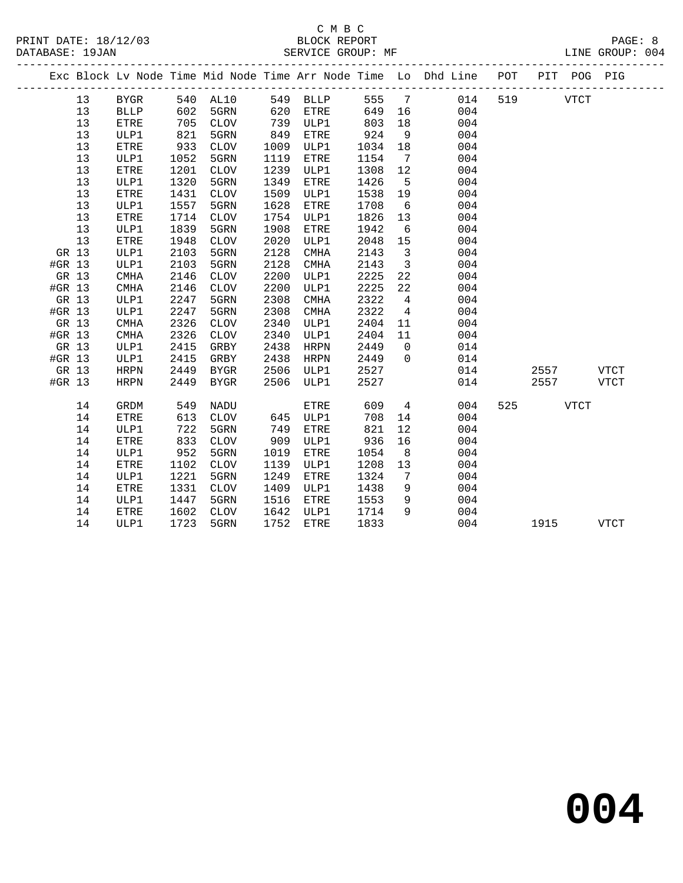|        |    |             |            |                 |      |           |       |                         | Exc Block Lv Node Time Mid Node Time Arr Node Time Lo Dhd Line POT |     |           | PIT POG PIG |             |
|--------|----|-------------|------------|-----------------|------|-----------|-------|-------------------------|--------------------------------------------------------------------|-----|-----------|-------------|-------------|
|        | 13 | BYGR        |            | 540 AL10        |      | 549 BLLP  | 555 7 |                         | 014                                                                | 519 |           | <b>VTCT</b> |             |
|        | 13 | <b>BLLP</b> | 602        | 5GRN            | 620  | ETRE      | 649   | 16                      | 004                                                                |     |           |             |             |
|        | 13 | ETRE        | 705<br>821 | CLOV            | 739  | ULP1      | 803   | 18                      | 004                                                                |     |           |             |             |
|        | 13 | ULP1        | 821        | 5GRN            | 849  | ETRE      | 924   | 9                       | 004                                                                |     |           |             |             |
|        | 13 | ETRE        | 933        | CLOV            | 1009 | ULP1      | 1034  | 18                      | 004                                                                |     |           |             |             |
|        | 13 | ULP1        | 1052       | 5GRN            | 1119 | ETRE      | 1154  | $\overline{7}$          | 004                                                                |     |           |             |             |
|        | 13 | ETRE        | 1201       | CLOV            | 1239 | ULP1      | 1308  | 12                      | 004                                                                |     |           |             |             |
|        | 13 | ULP1        | 1320       | 5GRN            | 1349 | ETRE      | 1426  | $5^{\circ}$             | 004                                                                |     |           |             |             |
|        | 13 | <b>ETRE</b> | 1431       | <b>CLOV</b>     | 1509 | ULP1      | 1538  | 19                      | 004                                                                |     |           |             |             |
|        | 13 | ULP1        | 1557       | 5GRN            | 1628 | ETRE      | 1708  | 6                       | 004                                                                |     |           |             |             |
|        | 13 | <b>ETRE</b> | 1714       | <b>CLOV</b>     | 1754 | ULP1      | 1826  | 13                      | 004                                                                |     |           |             |             |
|        | 13 | ULP1        | 1839       | 5GRN            | 1908 | ETRE      | 1942  | $6\overline{6}$         | 004                                                                |     |           |             |             |
|        | 13 | ETRE        | 1948       | <b>CLOV</b>     | 2020 | ULP1      | 2048  | 15                      | 004                                                                |     |           |             |             |
| GR 13  |    | ULP1        | 2103       | 5GRN            | 2128 | CMHA      | 2143  | $\overline{\mathbf{3}}$ | 004                                                                |     |           |             |             |
| #GR 13 |    | ULP1        | 2103       | 5GRN            | 2128 | CMHA      | 2143  | $\overline{\mathbf{3}}$ | 004                                                                |     |           |             |             |
| GR 13  |    | CMHA        | 2146       | CLOV            | 2200 | ULP1      | 2225  | 22                      | 004                                                                |     |           |             |             |
| #GR 13 |    | <b>CMHA</b> | 2146       | $\mathtt{CLOV}$ | 2200 | ULP1      | 2225  | 22                      | 004                                                                |     |           |             |             |
| GR 13  |    | ULP1        | 2247       | 5GRN            | 2308 | CMHA      | 2322  | $\overline{4}$          | 004                                                                |     |           |             |             |
| #GR 13 |    | ULP1        | 2247       | 5GRN            | 2308 | CMHA      | 2322  | $\overline{4}$          | 004                                                                |     |           |             |             |
| GR 13  |    | CMHA        | 2326       | CLOV            | 2340 | ULP1      | 2404  | 11                      | 004                                                                |     |           |             |             |
| #GR 13 |    | <b>CMHA</b> | 2326       | CLOV            | 2340 | ULP1      | 2404  | 11                      | 004                                                                |     |           |             |             |
| GR 13  |    | ULP1        | 2415       | GRBY            | 2438 | HRPN      | 2449  | $\overline{0}$          | 014                                                                |     |           |             |             |
| #GR 13 |    | ULP1        | 2415       | GRBY            | 2438 | HRPN      | 2449  | $\overline{0}$          | 014                                                                |     |           |             |             |
| GR 13  |    | HRPN        | 2449       | BYGR            | 2506 | ULP1      | 2527  |                         | 014                                                                |     | 2557 VTCT |             |             |
| #GR 13 |    | <b>HRPN</b> | 2449       | BYGR            | 2506 | ULP1      | 2527  |                         | 014                                                                |     | 2557      |             | VTCT        |
|        | 14 | GRDM        | 549        | NADU            |      | ETRE      | 609   |                         | $4\overline{ }$<br>004                                             |     | 525       | <b>VTCT</b> |             |
|        | 14 | ETRE        | 613        | <b>CLOV</b>     | 645  | ULP1      | 708   | 14                      | 004                                                                |     |           |             |             |
|        | 14 | ULP1        | 722        | 5GRN            | 749  | ETRE      | 821   | 12 <sub>2</sub>         | 004                                                                |     |           |             |             |
|        | 14 | ETRE        | 833        | CLOV            | 909  | ULP1      | 936   | 16                      | 004                                                                |     |           |             |             |
|        | 14 | ULP1        | 952        | 5GRN            | 1019 | ETRE      | 1054  | 8 <sup>8</sup>          | 004                                                                |     |           |             |             |
|        | 14 | ETRE        | 1102       | CLOV            | 1139 | ULP1      | 1208  | 13                      | 004                                                                |     |           |             |             |
|        | 14 | ULP1        | 1221       | 5GRN            | 1249 | ETRE      | 1324  | $\overline{7}$          | 004                                                                |     |           |             |             |
|        | 14 | <b>ETRE</b> | 1331       | <b>CLOV</b>     | 1409 | ULP1      | 1438  | 9                       | 004                                                                |     |           |             |             |
|        | 14 | ULP1        | 1447       | 5GRN            | 1516 | ETRE      | 1553  | 9                       | 004                                                                |     |           |             |             |
|        | 14 | ETRE        | 1602       | <b>CLOV</b>     | 1642 | ULP1      | 1714  | 9                       | 004                                                                |     |           |             |             |
|        | 14 | ULP1        | 1723       | 5GRN            |      | 1752 ETRE | 1833  |                         | 004                                                                |     | 1915      |             | <b>VTCT</b> |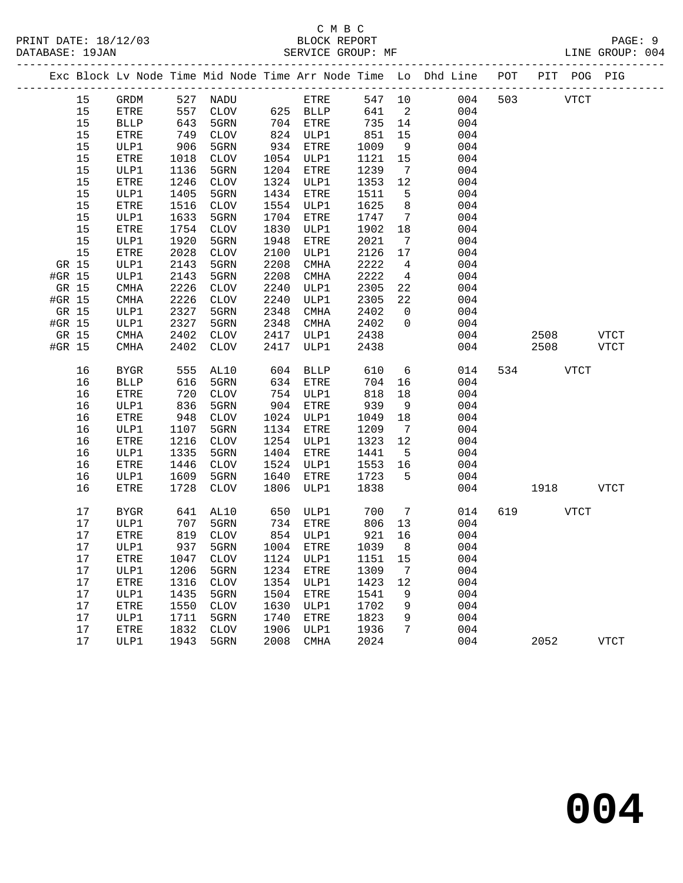|        |          |              |              |                             |              |               |              |                            | Exc Block Lv Node Time Mid Node Time Arr Node Time Lo Dhd Line POT PIT POG PIG |     |             |             |             |
|--------|----------|--------------|--------------|-----------------------------|--------------|---------------|--------------|----------------------------|--------------------------------------------------------------------------------|-----|-------------|-------------|-------------|
|        | 15       | GRDM         |              | 527 NADU                    |              | ETRE          | 547 10       |                            | 004                                                                            | 503 | <b>VTCT</b> |             |             |
|        | 15       | ETRE         | 557          |                             |              | CLOV 625 BLLP | 641          | $\overline{\phantom{a}}^2$ | 004                                                                            |     |             |             |             |
|        | 15       | <b>BLLP</b>  | 643          | 5GRN                        |              | 704 ETRE      | 735 14       |                            | 004                                                                            |     |             |             |             |
|        | 15       | ETRE         | 749          | CLOV                        |              | 824 ULP1      | 851          | 15                         | 004                                                                            |     |             |             |             |
|        | 15       | ULP1         | 906          | 5GRN                        | 934          | ETRE          | 1009         | 9                          | 004                                                                            |     |             |             |             |
|        | 15       | ETRE         | 1018         | CLOV                        |              | 1054 ULP1     | 1121         | 15                         | 004                                                                            |     |             |             |             |
|        | 15       | ULP1         | 1136         | 5GRN                        |              | 1204 ETRE     | 1239         | $\overline{7}$             | 004                                                                            |     |             |             |             |
|        | 15       | ETRE         | 1246         | CLOV                        |              | 1324 ULP1     | 1353         | 12                         | 004                                                                            |     |             |             |             |
|        | 15       | ULP1         | 1405         | 5GRN                        | 1434         | ETRE          | 1511         | 5                          | 004                                                                            |     |             |             |             |
|        | 15       | ETRE         | 1516         | CLOV                        | 1554         | ULP1          | 1625         | 8                          | 004                                                                            |     |             |             |             |
|        | 15       | ULP1         | 1633         | 5GRN                        | 1704         | ETRE          | 1747         | $7\overline{ }$            | 004                                                                            |     |             |             |             |
|        | 15       | ETRE         | 1754         | CLOV                        | 1830         | ULP1          | 1902         | 18                         | 004                                                                            |     |             |             |             |
|        | 15<br>15 | ULP1         | 1920<br>2028 | 5GRN                        | 1948         | ETRE          | 2021<br>2126 | $\overline{7}$             | 004<br>004                                                                     |     |             |             |             |
| GR 15  |          | ETRE         | 2143         | CLOV<br>5GRN                | 2100<br>2208 | ULP1          | 2222         | 17<br>$\overline{4}$       | 004                                                                            |     |             |             |             |
| #GR 15 |          | ULP1<br>ULP1 | 2143         | 5GRN                        | 2208         | CMHA<br>CMHA  | 2222         | $\overline{4}$             | 004                                                                            |     |             |             |             |
|        | GR 15    | CMHA         | 2226         | CLOV                        | 2240         | ULP1          | 2305         | 22                         | 004                                                                            |     |             |             |             |
| #GR 15 |          | CMHA         | 2226         | CLOV                        | 2240         | ULP1          | 2305         | 22                         | 004                                                                            |     |             |             |             |
|        | GR 15    | ULP1         | 2327         | 5GRN                        | 2348         | CMHA          | 2402         | $\overline{0}$             | 004                                                                            |     |             |             |             |
| #GR 15 |          | ULP1         | 2327         | 5GRN                        | 2348         | CMHA          | 2402         | $\overline{0}$             | 004                                                                            |     |             |             |             |
|        | GR 15    | CMHA         | 2402         | CLOV                        | 2417         | ULP1          | 2438         |                            | 004                                                                            |     | 2508        |             | <b>VTCT</b> |
| #GR 15 |          | CMHA         | 2402         | CLOV                        | 2417         | ULP1          | 2438         |                            | 004                                                                            |     | 2508        |             | <b>VTCT</b> |
|        |          |              |              |                             |              |               |              |                            |                                                                                |     |             |             |             |
|        | 16       | <b>BYGR</b>  | 555          | AL10                        | 604          | BLLP          | 610          | 6                          | 014                                                                            | 534 |             | <b>VTCT</b> |             |
|        | 16       | <b>BLLP</b>  | 616          | 5GRN                        | 634          | ETRE          | 704          | 16                         | 004                                                                            |     |             |             |             |
|        | 16       | ETRE         | 720          | CLOV                        |              | 754 ULP1      | 818          | 18                         | 004                                                                            |     |             |             |             |
|        | 16       | ULP1         | 836          | 5GRN                        | 904          | ETRE          | 939          | 9                          | 004                                                                            |     |             |             |             |
|        | 16       | <b>ETRE</b>  | 948          | CLOV                        |              | 1024 ULP1     | 1049         | 18                         | 004                                                                            |     |             |             |             |
|        | 16       | ULP1         | 1107         | 5GRN                        | 1134         | ETRE          | 1209         | $\overline{7}$             | 004                                                                            |     |             |             |             |
|        | 16       | ETRE         | 1216         | CLOV                        |              | 1254 ULP1     | 1323         | 12                         | 004                                                                            |     |             |             |             |
|        | 16       | ULP1         | 1335         | 5GRN                        | 1404         | ETRE          | 1441         | $5^{\circ}$                | 004                                                                            |     |             |             |             |
|        | 16       | ETRE         | 1446         | CLOV                        | 1524         | ULP1          | 1553         | 16                         | 004                                                                            |     |             |             |             |
|        | 16       | ULP1         | 1609         | 5GRN                        | 1640         | ETRE          | 1723         | $5^{\circ}$                | 004                                                                            |     |             |             |             |
|        | 16       | <b>ETRE</b>  | 1728         | CLOV                        | 1806         | ULP1          | 1838         |                            | 004                                                                            |     | 1918        |             | VTCT        |
|        | 17       | BYGR         | 641          | AL10                        |              | 650 ULP1      | 700          | $7\overline{ }$            | 014                                                                            |     | 619 VTCT    |             |             |
|        | 17       | ULP1         | 707          | 5GRN                        |              | 734 ETRE      | 806          | 13                         | 004                                                                            |     |             |             |             |
|        | 17       | ETRE         | 819          | CLOV                        |              | 854 ULP1      | 921          | 16                         | 004                                                                            |     |             |             |             |
|        | 17       | ULP1         | 937          | 5GRN                        |              | 1004 ETRE     | 1039         | 8 <sup>8</sup>             | 004                                                                            |     |             |             |             |
|        | 17       | ETRE         |              | 1047 CLOV 1124 ULP1 1151 15 |              |               |              |                            | 004                                                                            |     |             |             |             |
|        | 17       | ULP1         | 1206         | 5GRN                        | 1234         | ETRE          | 1309         | 7                          | 004                                                                            |     |             |             |             |
|        | 17       | ETRE         | 1316         | CLOV                        | 1354         | ULP1          | 1423         | 12                         | 004                                                                            |     |             |             |             |
|        | 17       | ULP1         | 1435         | 5GRN                        | 1504         | ETRE          | 1541         | 9                          | 004                                                                            |     |             |             |             |
|        | 17       | <b>ETRE</b>  | 1550         | <b>CLOV</b>                 | 1630         | ULP1          | 1702         | 9                          | 004                                                                            |     |             |             |             |
|        | 17       | ULP1         | 1711         | 5GRN                        | 1740         | ETRE          | 1823         | 9                          | 004                                                                            |     |             |             |             |
|        | 17       | ETRE         | 1832         | <b>CLOV</b>                 | 1906         | ULP1          | 1936         | 7                          | 004                                                                            |     |             |             |             |
|        | 17       | ULP1         | 1943         | 5GRN                        | 2008         | CMHA          | 2024         |                            | 004                                                                            |     | 2052        |             | <b>VTCT</b> |
|        |          |              |              |                             |              |               |              |                            |                                                                                |     |             |             |             |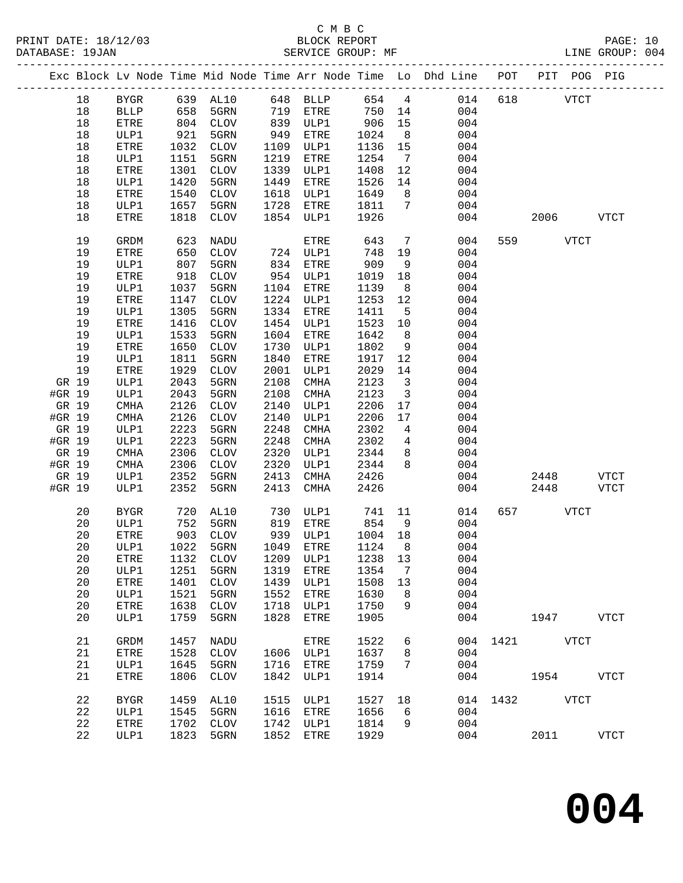|        | DATABASE: 19JAN |              |                   | SERVICE GROUP: MF               |              |               |              |                                                    | LINE GROUP: 004                                                                |               |          |           |              |  |
|--------|-----------------|--------------|-------------------|---------------------------------|--------------|---------------|--------------|----------------------------------------------------|--------------------------------------------------------------------------------|---------------|----------|-----------|--------------|--|
|        |                 |              |                   |                                 |              |               |              |                                                    | Exc Block Lv Node Time Mid Node Time Arr Node Time Lo Dhd Line POT PIT POG PIG |               |          |           |              |  |
|        | 18              |              |                   | BYGR 639 AL10 648 BLLP 654 4    |              |               |              |                                                    |                                                                                | 014 618 VTCT  |          |           |              |  |
|        | 18              | BLLP         | 658               |                                 |              | 5GRN 719 ETRE | 750 14       |                                                    | 004                                                                            |               |          |           |              |  |
|        | 18              | ETRE         |                   | 804 CLOV                        |              | 839 ULP1      | 906          | 15                                                 | 004                                                                            |               |          |           |              |  |
|        | 18              | ULP1         | 921               | 5GRN                            |              | 949 ETRE      | 1024         | 8 <sup>8</sup>                                     | 004                                                                            |               |          |           |              |  |
|        | 18              | ETRE         | 1032              | CLOV                            |              | 1109 ULP1     | 1136         | 15                                                 | 004                                                                            |               |          |           |              |  |
|        | 18              | ULP1         | 1151              | 5GRN                            | 1219         | ETRE          | 1254         | $\overline{7}$                                     | 004                                                                            |               |          |           |              |  |
|        | 18              | ETRE         | 1301              | CLOV                            | 1339         | ULP1          | 1408         | 12                                                 | 004                                                                            |               |          |           |              |  |
|        | 18              | ULP1         | 1420              | 5GRN                            | 1449         | ETRE          | 1526         | 14                                                 | 004                                                                            |               |          |           |              |  |
|        | 18              | ETRE         | 1540              | CLOV                            |              | 1618 ULP1     | 1649         | 8 <sup>8</sup>                                     | 004                                                                            |               |          |           |              |  |
|        | 18              | ULP1         | 1657              | 5GRN                            | 1728         | ETRE          | 1811         | $7\overline{ }$                                    | 004                                                                            |               |          |           |              |  |
|        | 18              | ETRE         | 1818              | CLOV                            |              | 1854 ULP1     | 1926         |                                                    | 004                                                                            |               |          | 2006 VTCT |              |  |
|        | 19              | GRDM         | 623               | NADU                            |              | ETRE          | 643          | $\overline{7}$                                     | 004                                                                            |               | 559 VTCT |           |              |  |
|        | 19              | ETRE         | 650               | CLOV                            |              | 724 ULP1      | 748          | 19                                                 | 004                                                                            |               |          |           |              |  |
|        | 19              | ULP1         | 807               | 5GRN                            |              | 834 ETRE      | 909          | 9                                                  | 004                                                                            |               |          |           |              |  |
|        | 19              | ETRE         | $\frac{507}{918}$ | CLOV                            |              | 954 ULP1      | 1019         | 18                                                 | 004                                                                            |               |          |           |              |  |
|        | 19              | ULP1         | 1037              | 5GRN                            |              | 1104 ETRE     | 1139         | 8 <sup>8</sup>                                     | 004                                                                            |               |          |           |              |  |
|        | 19              | ETRE         | 1147              | CLOV                            |              | 1224 ULP1     | 1253         | 12                                                 | 004                                                                            |               |          |           |              |  |
|        | 19              | ULP1         | 1305              | 5GRN                            |              | 1334 ETRE     | 1411         | $5^{\circ}$                                        | 004                                                                            |               |          |           |              |  |
|        | 19              | ETRE         | 1416              | CLOV                            |              | 1454 ULP1     | 1523         | 10                                                 | 004                                                                            |               |          |           |              |  |
|        | 19              | ULP1         | 1533              | 5GRN                            |              | 1604 ETRE     | 1642         | 8 <sup>8</sup>                                     | 004                                                                            |               |          |           |              |  |
|        | 19              | ETRE         | 1650              | CLOV                            | 1730         | ULP1          | 1802         | 9                                                  | 004                                                                            |               |          |           |              |  |
|        | 19              | ULP1         | 1811              | 5GRN                            | 1840         | ETRE          | 1917         | 12                                                 | 004                                                                            |               |          |           |              |  |
| GR 19  | 19              | ETRE         | 1929<br>2043      | CLOV                            | 2001<br>2108 | ULP1          | 2029<br>2123 | 14                                                 | 004                                                                            |               |          |           |              |  |
| #GR 19 |                 | ULP1<br>ULP1 | 2043              | 5GRN<br>5GRN                    | 2108         | CMHA<br>CMHA  | 2123         | $\overline{\mathbf{3}}$<br>$\overline{\mathbf{3}}$ | 004<br>004                                                                     |               |          |           |              |  |
| GR 19  |                 | CMHA         | 2126              | CLOV                            | 2140         | ULP1          | 2206         | 17                                                 | 004                                                                            |               |          |           |              |  |
| #GR 19 |                 | CMHA         | 2126              | CLOV                            | 2140         | ULP1          | 2206         | 17                                                 | 004                                                                            |               |          |           |              |  |
| GR 19  |                 | ULP1         | 2223              | 5GRN                            | 2248         | CMHA          | 2302         | $\overline{4}$                                     | 004                                                                            |               |          |           |              |  |
| #GR 19 |                 | ULP1         | 2223              | 5GRN                            | 2248         | CMHA          | 2302         | $\overline{4}$                                     | 004                                                                            |               |          |           |              |  |
| GR 19  |                 | CMHA         | 2306              | CLOV                            | 2320         | ULP1          | 2344         | 8 <sup>8</sup>                                     | 004                                                                            |               |          |           |              |  |
| #GR 19 |                 | CMHA         | 2306              | CLOV                            | 2320         | ULP1          | 2344         | 8                                                  | 004                                                                            |               |          |           |              |  |
| GR 19  |                 | ULP1         | 2352              | 5GRN                            | 2413         | CMHA          | 2426         |                                                    | 004                                                                            |               | 2448     |           | VTCT         |  |
| #GR 19 |                 | ULP1         | 2352              | 5GRN                            | 2413         | CMHA          | 2426         |                                                    | 004                                                                            |               | 2448     |           | <b>VTCT</b>  |  |
|        | 20              | BYGR         | 720               | AL10                            |              | 730 ULP1      | 741 11       |                                                    | 014                                                                            |               | 657 VTCT |           |              |  |
|        | 20              | ULP1         |                   |                                 |              |               |              | 9                                                  | 004                                                                            |               |          |           |              |  |
|        | 20              | ETRE         |                   | 752 5GRN<br>903 CLOV            |              |               | 1004 18      |                                                    | 004                                                                            |               |          |           |              |  |
|        | 20              |              |                   | ULP1 1022 5GRN 1049 ETRE 1124 8 |              |               |              |                                                    | 004                                                                            |               |          |           |              |  |
|        | 20              | ETRE         | 1132              | CLOV                            | 1209         | ULP1          | 1238         | 13                                                 | 004                                                                            |               |          |           |              |  |
|        | 20              | ULP1         | 1251              | 5GRN                            | 1319         | ETRE          | 1354         | 7                                                  | 004                                                                            |               |          |           |              |  |
|        | 20              | ${\tt ETRE}$ | 1401              | CLOV                            | 1439         | ULP1          | 1508         | 13                                                 | 004                                                                            |               |          |           |              |  |
|        | 20              | ULP1         | 1521              | 5GRN                            | 1552         | ETRE          | 1630         | 8                                                  | 004                                                                            |               |          |           |              |  |
|        | 20              | ETRE         | 1638              | CLOV                            | 1718         | ULP1          | 1750         | 9                                                  | 004                                                                            |               |          |           |              |  |
|        | 20              | ULP1         | 1759              | 5GRN                            | 1828         | ETRE          | 1905         |                                                    | 004                                                                            |               | 1947     |           | <b>VTCT</b>  |  |
|        | 21              | GRDM         | 1457              | NADU                            |              | ETRE          | 1522         | 6                                                  |                                                                                | 004 1421 VTCT |          |           |              |  |
|        | 21              | ETRE         | 1528              | CLOV                            |              | 1606 ULP1     | 1637         | 8                                                  | 004                                                                            |               |          |           |              |  |
|        | 21              | ULP1         | 1645              | 5GRN                            | 1716         | ETRE          | 1759         | 7                                                  | 004                                                                            |               |          |           |              |  |
|        | 21              | ETRE         | 1806              | <b>CLOV</b>                     | 1842         | ULP1          | 1914         |                                                    | 004                                                                            |               | 1954     |           | VTCT         |  |
|        | 22              | <b>BYGR</b>  | 1459              | AL10                            | 1515         | ULP1          | 1527         | 18                                                 |                                                                                | 014 1432 VTCT |          |           |              |  |
|        | 22              | ULP1         | 1545              | 5GRN                            | 1616         | ETRE          | 1656         | 6                                                  | 004                                                                            |               |          |           |              |  |
|        | 22              | ETRE         | 1702              | CLOV                            | 1742         | ULP1          | 1814         | 9                                                  | 004                                                                            |               |          |           |              |  |
|        | 22              | ULP1         | 1823              | 5GRN                            | 1852         | ETRE          | 1929         |                                                    | 004                                                                            |               | 2011     |           | ${\tt VTCT}$ |  |
|        |                 |              |                   |                                 |              |               |              |                                                    |                                                                                |               |          |           |              |  |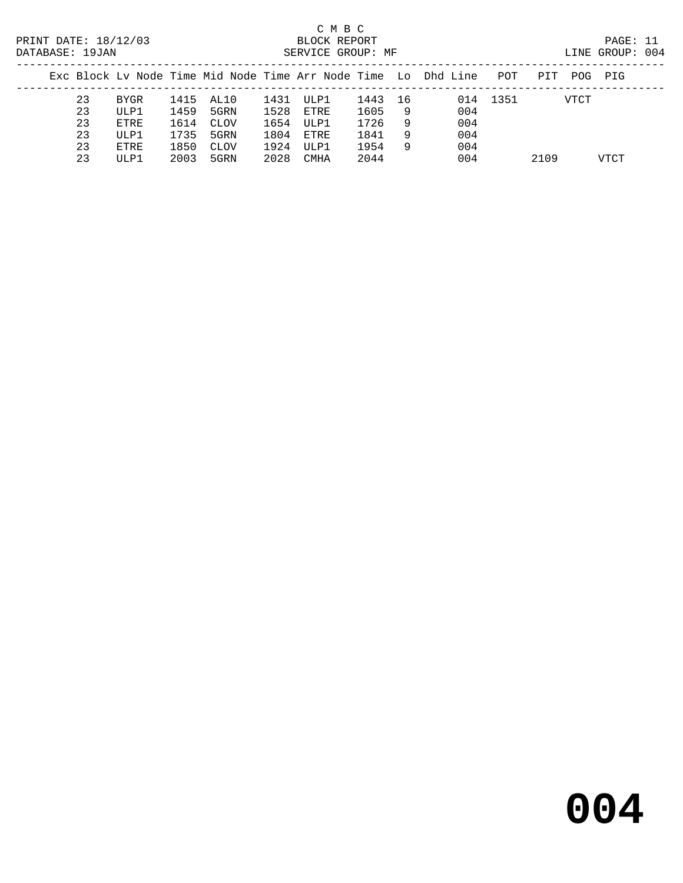# C M B C<br>
PRINT DATE: 18/12/03 BLOCK REPOR

| DATABASE: 19JAN |    |      |      |             |      | SERVICE GROUP: MF |      |     |                                                                |          |      |      | LINE GROUP: 004 |  |
|-----------------|----|------|------|-------------|------|-------------------|------|-----|----------------------------------------------------------------|----------|------|------|-----------------|--|
|                 |    |      |      |             |      |                   |      |     | Exc Block Ly Node Time Mid Node Time Arr Node Time Lo Dhd Line | POT      | PIT  | POG  | PIG             |  |
|                 | 23 | BYGR |      | 1415 AL10   | 1431 | ULP1              | 1443 | -16 |                                                                | 014 1351 |      | VTCT |                 |  |
|                 | 23 | ULP1 | 1459 | 5GRN        | 1528 | ETRE              | 1605 | -9  | 004                                                            |          |      |      |                 |  |
|                 | 23 | ETRE | 1614 | <b>CLOV</b> | 1654 | ULP1              | 1726 | -9  | 004                                                            |          |      |      |                 |  |
|                 | 23 | ULP1 | 1735 | 5GRN        | 1804 | ETRE              | 1841 | 9   | 004                                                            |          |      |      |                 |  |
|                 | 23 | ETRE | 1850 | <b>CLOV</b> | 1924 | ULP1              | 1954 | 9   | 004                                                            |          |      |      |                 |  |
|                 | 23 | ULP1 | 2003 | 5GRN        | 2028 | CMHA              | 2044 |     | 004                                                            |          | 2109 |      | VTCT            |  |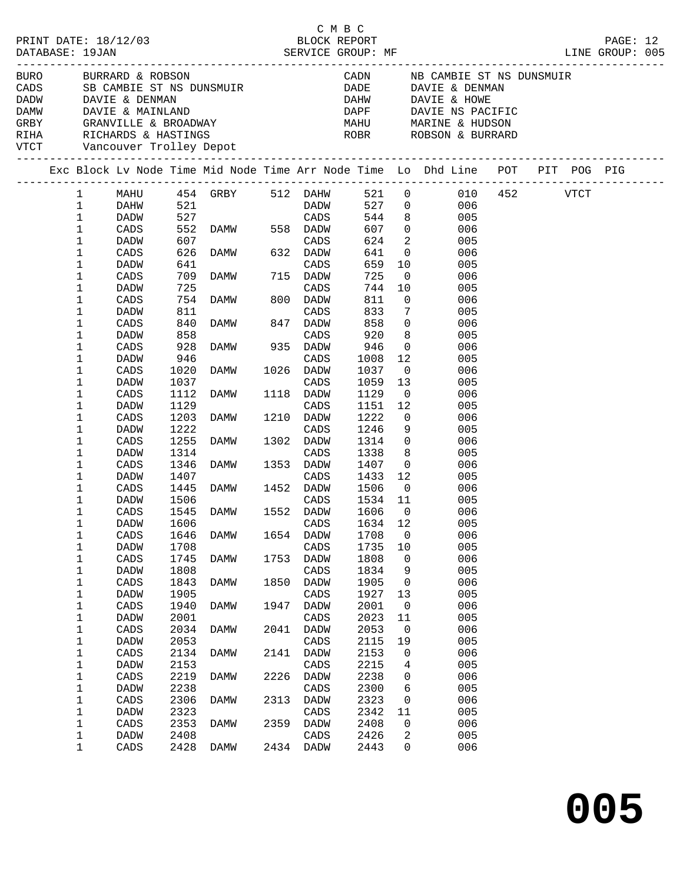|  | PRINT DATE: 18/12/03<br>DATABASE: 19JAN                                      |                      |                          |                                                                                                                                                                           |              |                      | C M B C<br>BLOCK REPORT |                                                     |                                                                                |  | PAGE: 12 |  |
|--|------------------------------------------------------------------------------|----------------------|--------------------------|---------------------------------------------------------------------------------------------------------------------------------------------------------------------------|--------------|----------------------|-------------------------|-----------------------------------------------------|--------------------------------------------------------------------------------|--|----------|--|
|  | BURO BURRARD & ROBSON<br>CADS SB CAMBIE ST NS DUNSMUI<br>DADW DAVIE & DENMAN |                      |                          | SB CAMBIE ST NS DUNSMUIR<br>DAVIE : DELL'II<br>DAMW DAVIE & MAINLAND<br>GRBY     GRANVILLE & BROADWAY<br>RIHA     RICHARDS & HASTINGS<br>VTCT     Vancouver Trolley Depot |              |                      |                         |                                                     | DAHW DAVIE & HOWE<br>DAPF DAVIE NS PACIFIC                                     |  |          |  |
|  |                                                                              |                      |                          |                                                                                                                                                                           |              |                      |                         |                                                     | Exc Block Lv Node Time Mid Node Time Arr Node Time Lo Dhd Line POT PIT POG PIG |  |          |  |
|  | $\mathbf 1$<br>$\mathbf{1}$                                                  | DAHW<br>DADW         | 521                      |                                                                                                                                                                           |              | <b>DADW</b>          | 544                     |                                                     | 1 MAHU 454 GRBY 512 DAHW 521 0 010 452 VTCT<br>527 0 006<br>8 005              |  |          |  |
|  | $\mathbf{1}$<br>$\mathbf 1$                                                  | CADS<br>DADW         | 527<br>552<br>607<br>607 | CADS<br>DAMW 558 DADW<br>CADS<br>DAMW 632 DADW                                                                                                                            |              |                      | 607<br>624              | $\overline{0}$<br>$\overline{a}$                    | 006<br>005                                                                     |  |          |  |
|  | $\mathbf 1$<br>$\mathbf{1}$                                                  | CADS<br>DADW         | 626                      |                                                                                                                                                                           |              |                      | 641<br>659              |                                                     | $\overline{0}$<br>006<br>10<br>005                                             |  |          |  |
|  | $\mathbf 1$<br>$\mathbf{1}$                                                  | CADS<br>DADW         |                          | 641 caps<br>709 DAMW 715 DADW<br>725 725                                                                                                                                  |              |                      | 725<br>744 10           | $\overline{0}$                                      | 006<br>005                                                                     |  |          |  |
|  | $\mathbf 1$<br>$\mathbf 1$<br>1                                              | CADS<br>DADW<br>CADS | 754<br>811               | DAMW 847 DADW                                                                                                                                                             |              | CADS                 | 811<br>833<br>858       | $\overline{0}$<br>$7\overline{ }$<br>$\overline{0}$ | 006<br>005<br>006                                                              |  |          |  |
|  | $\mathbf 1$<br>$\mathbf 1$                                                   | DADW<br>CADS         | 840<br>858<br>928        | DAMW 935 DADW                                                                                                                                                             |              | CADS                 | 920<br>946              | 8 <sup>8</sup><br>$\overline{0}$                    | 005<br>006                                                                     |  |          |  |
|  | $\mathbf 1$<br>$\mathbf 1$                                                   | DADW<br>CADS         | 946<br>1020              | CADS<br>DAMW 1026 DADW<br>CADS<br>DAMW 1118 DADW                                                                                                                          |              |                      | 1008<br>1037            | 12<br>$\overline{0}$                                | 005<br>006                                                                     |  |          |  |
|  | $\mathbf 1$<br>1<br>$\mathbf{1}$                                             | DADW<br>CADS<br>DADW | 1037<br>1112<br>1129     |                                                                                                                                                                           |              | CADS                 | 1059<br>1129<br>1151    | 13<br>$\overline{0}$<br>12                          | 005<br>006<br>005                                                              |  |          |  |
|  | 1<br>$\mathbf 1$                                                             | CADS<br>DADW         | 1203<br>1222             | CADS<br>DAMW 1210 DADW                                                                                                                                                    |              | CADS                 | 1222<br>1246            | $\overline{0}$<br>9                                 | 006<br>005                                                                     |  |          |  |
|  | $\mathbf 1$<br>$\mathbf 1$                                                   | CADS<br>DADW         | 1255<br>1314             | DAMW 1302 DADW<br>CADS<br>DAMW 1353 DADW                                                                                                                                  |              |                      | 1314<br>1338            | $\overline{0}$<br>8 <sup>8</sup>                    | 006<br>005                                                                     |  |          |  |
|  | 1<br>$\mathbf 1$<br>$\mathbf 1$                                              | CADS<br>DADW<br>CADS | 1346                     | 1407 CADS 1433<br>1445 DAMW 1452 DADW 1506                                                                                                                                |              |                      | 1407<br>1433 12         | $\overline{0}$                                      | 006<br>005<br>$\overline{0}$<br>006                                            |  |          |  |
|  | $\mathbf 1$<br>1                                                             | DADW<br>CADS         |                          | 1506 CADS<br>1545 DAMW 1552 DADW                                                                                                                                          |              |                      | 1534 11<br>1606         | $\overline{0}$                                      | 005<br>006                                                                     |  |          |  |
|  | 1<br>1                                                                       | DADW 1606<br>CADS    | 1646                     | DAMW                                                                                                                                                                      | 1654         | DADW                 | CADS 1634 12<br>1708    | 0                                                   | 005<br>006                                                                     |  |          |  |
|  | $\mathbf 1$<br>1<br>1                                                        | DADW<br>CADS<br>DADW | 1708<br>1745<br>1808     | DAMW                                                                                                                                                                      | 1753         | CADS<br>DADW<br>CADS | 1735<br>1808<br>1834    | 10<br>0<br>9                                        | 005<br>006<br>005                                                              |  |          |  |
|  | $\mathbf 1$<br>1                                                             | CADS<br>DADW         | 1843<br>1905             | DAMW                                                                                                                                                                      | 1850         | DADW<br>CADS         | 1905<br>1927            | 0<br>13                                             | 006<br>005                                                                     |  |          |  |
|  | $\mathbf 1$<br>1<br>$\mathbf 1$                                              | CADS<br>DADW<br>CADS | 1940<br>2001<br>2034     | DAMW<br><b>DAMW</b>                                                                                                                                                       | 1947<br>2041 | DADW<br>CADS<br>DADW | 2001<br>2023<br>2053    | 0<br>11<br>$\mathbf 0$                              | 006<br>005<br>006                                                              |  |          |  |
|  | 1<br>$\mathbf 1$                                                             | DADW<br>CADS         | 2053<br>2134             | DAMW                                                                                                                                                                      | 2141         | CADS<br>DADW         | 2115<br>2153            | 19<br>0                                             | 005<br>006                                                                     |  |          |  |
|  | 1<br>$\mathbf 1$                                                             | DADW<br>CADS         | 2153<br>2219             | DAMW                                                                                                                                                                      | 2226         | CADS<br>DADW         | 2215<br>2238            | 4<br>0                                              | 005<br>006                                                                     |  |          |  |
|  | 1<br>$\mathbf 1$<br>1                                                        | DADW<br>CADS<br>DADW | 2238<br>2306<br>2323     | DAMW                                                                                                                                                                      | 2313         | CADS<br>DADW<br>CADS | 2300<br>2323<br>2342    | 6<br>0<br>11                                        | 005<br>006<br>005                                                              |  |          |  |
|  | $\mathbf 1$<br>1                                                             | CADS<br>DADW         | 2353<br>2408             | DAMW                                                                                                                                                                      | 2359         | DADW<br>CADS         | 2408<br>2426            | 0<br>2                                              | 006<br>005                                                                     |  |          |  |
|  | $\mathbf 1$                                                                  | CADS                 | 2428                     | DAMW                                                                                                                                                                      | 2434         | DADW                 | 2443                    | $\Omega$                                            | 006                                                                            |  |          |  |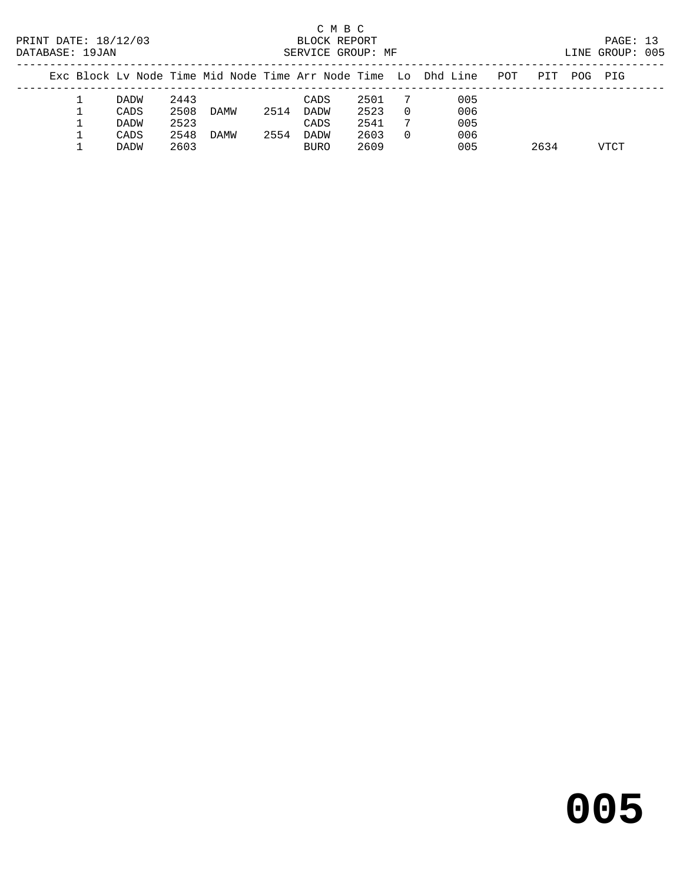|  | PRINT DATE: 18/12/03<br>DATABASE: 19JAN |             |      |      |      | C M B C<br>BLOCK REPORT<br>SERVICE GROUP: MF |      |          |                                                                |     |      |     | PAGE: 13<br>LINE GROUP: 005 |  |
|--|-----------------------------------------|-------------|------|------|------|----------------------------------------------|------|----------|----------------------------------------------------------------|-----|------|-----|-----------------------------|--|
|  |                                         |             |      |      |      |                                              |      |          | Exc Block Lv Node Time Mid Node Time Arr Node Time Lo Dhd Line | POT | PIT  | POG | PIG                         |  |
|  |                                         | DADW        | 2443 |      |      | CADS                                         | 2501 |          | 005                                                            |     |      |     |                             |  |
|  |                                         | CADS        | 2508 | DAMW | 2514 | DADW                                         | 2523 | $\Omega$ | 006                                                            |     |      |     |                             |  |
|  |                                         | <b>DADW</b> | 2523 |      |      | CADS                                         | 2541 |          | 005                                                            |     |      |     |                             |  |
|  |                                         | CADS        | 2548 | DAMW | 2554 | DADW                                         | 2603 | $\Omega$ | 006                                                            |     |      |     |                             |  |
|  |                                         | <b>DADW</b> | 2603 |      |      | <b>BURO</b>                                  | 2609 |          | 005                                                            |     | 2634 |     | VTCT                        |  |

# **005**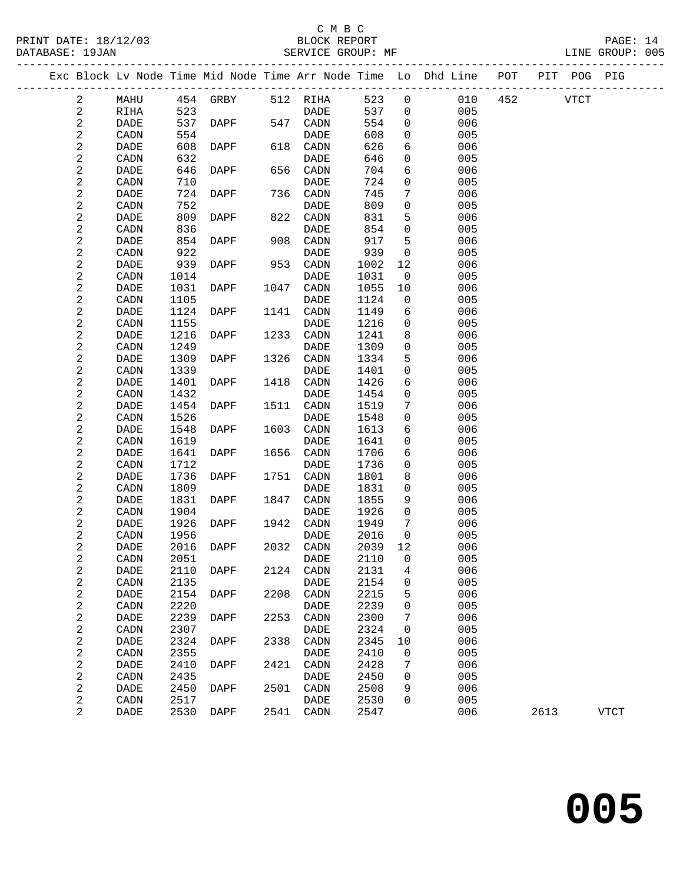### C M B C

DATABASE: 19JAN SERVICE GROUP: MF LINE GROUP: 005 ------------------------------------------------------------------------------------------------- Exc Block Lv Node Time Mid Node Time Arr Node Time Lo Dhd Line POT PIT POG PIG ------------------------------------------------------------------------------------------------- 2 MAHU 454 GRBY 512 RIHA 523 0 010 452 VTCT 2 RIHA 523 DADE 537 0 005 2 DADE 537 DAPF 547 CADN 554 0 006 2 CADN 554 DADE 608 0 005 2 DADE 608 DAPF 618 CADN 626 6 006

| $\sqrt{2}$              | DADE                         | 608  | DAPF                                               | 618  | CADN                         | 626  | $\sqrt{6}$          | 006 |      |             |
|-------------------------|------------------------------|------|----------------------------------------------------|------|------------------------------|------|---------------------|-----|------|-------------|
| $\mathbf 2$             | CADN                         | 632  |                                                    |      | <b>DADE</b>                  | 646  | $\mathsf{O}\xspace$ | 005 |      |             |
| $\sqrt{2}$              | $\mathtt{DADE}$              | 646  | <b>DAPF</b>                                        | 656  | CADN                         | 704  | 6                   | 006 |      |             |
| $\mathbf 2$             | CADN                         | 710  |                                                    |      | $\mathtt{DADE}$              | 724  | $\mathsf{O}\xspace$ | 005 |      |             |
| $\overline{\mathbf{c}}$ | <b>DADE</b>                  | 724  | DAPF                                               | 736  | CADN                         | 745  | $\boldsymbol{7}$    | 006 |      |             |
| $\mathbf 2$             | CADN                         | 752  |                                                    |      | $\mathtt{DADE}$              | 809  | $\mbox{O}$          | 005 |      |             |
| $\mathbf 2$             | $\mathtt{DADE}$              | 809  | DAPF                                               | 822  | CADN                         | 831  | 5                   | 006 |      |             |
| $\mathbf 2$             | CADN                         | 836  |                                                    |      | $\mathtt{DADE}$              | 854  | $\mathsf{O}\xspace$ | 005 |      |             |
| $\mathbf 2$             | $\ensuremath{\mathsf{DADE}}$ | 854  | DAPF                                               | 908  | CADN                         | 917  | 5                   | 006 |      |             |
| $\mathbf 2$             | CADN                         | 922  |                                                    |      | $\ensuremath{\mathsf{DADE}}$ | 939  | $\mathsf{O}\xspace$ | 005 |      |             |
| $\overline{\mathbf{c}}$ | $\mathtt{DADE}$              | 939  | DAPF                                               | 953  | CADN                         | 1002 | $12$                | 006 |      |             |
| $\overline{\mathbf{c}}$ | $\texttt{CADN}\xspace$       | 1014 |                                                    |      | $\mathtt{DADE}$              | 1031 | $\mbox{O}$          | 005 |      |             |
| $\boldsymbol{2}$        | $\ensuremath{\mathsf{DADE}}$ | 1031 | DAPF                                               | 1047 | CADN                         | 1055 | $10$                | 006 |      |             |
| $\overline{\mathbf{c}}$ | $\texttt{CADN}\xspace$       | 1105 |                                                    |      | $\ensuremath{\mathsf{DADE}}$ | 1124 | $\mathsf{O}\xspace$ | 005 |      |             |
| $\mathbf 2$             | DADE                         | 1124 | DAPF                                               | 1141 | CADN                         | 1149 | б                   | 006 |      |             |
| $\boldsymbol{2}$        | CADN                         | 1155 |                                                    |      | $\ensuremath{\mathsf{DADE}}$ | 1216 | $\mathbf 0$         | 005 |      |             |
| $\mathbf 2$             | <b>DADE</b>                  | 1216 | DAPF                                               | 1233 | CADN                         | 1241 | 8                   | 006 |      |             |
| $\mathbf 2$             | CADN                         | 1249 |                                                    |      | <b>DADE</b>                  | 1309 | $\mathsf{O}\xspace$ | 005 |      |             |
| $\mathbf 2$             | $\ensuremath{\mathsf{DADE}}$ | 1309 | $\ensuremath{\mathsf{D}}\ensuremath{\mathsf{APF}}$ | 1326 | CADN                         | 1334 | 5                   | 006 |      |             |
| $\mathbf 2$             | CADN                         | 1339 |                                                    |      | <b>DADE</b>                  | 1401 | $\mathsf{O}\xspace$ | 005 |      |             |
| $\sqrt{2}$              | $\ensuremath{\mathsf{DADE}}$ | 1401 | DAPF                                               | 1418 | CADN                         | 1426 | 6                   | 006 |      |             |
| $\sqrt{2}$              | $\texttt{CADN}\xspace$       | 1432 |                                                    |      | <b>DADE</b>                  | 1454 | $\mathsf{O}\xspace$ | 005 |      |             |
| $\mathbf 2$             | <b>DADE</b>                  | 1454 | DAPF                                               | 1511 | CADN                         | 1519 | 7                   | 006 |      |             |
| $\sqrt{2}$              | CADN                         | 1526 |                                                    |      | <b>DADE</b>                  | 1548 | $\mathsf{O}\xspace$ | 005 |      |             |
| $\overline{\mathbf{c}}$ | $\ensuremath{\mathsf{DADE}}$ | 1548 | DAPF                                               | 1603 | CADN                         | 1613 | 6                   | 006 |      |             |
| $\sqrt{2}$              | CADN                         | 1619 |                                                    |      | <b>DADE</b>                  | 1641 | $\mathsf{O}\xspace$ | 005 |      |             |
| $\overline{\mathbf{c}}$ | DADE                         | 1641 | DAPF                                               | 1656 | CADN                         | 1706 | 6                   | 006 |      |             |
| $\sqrt{2}$              | CADN                         | 1712 |                                                    |      | DADE                         | 1736 | $\mathsf{O}\xspace$ | 005 |      |             |
| $\sqrt{2}$              | DADE                         | 1736 | DAPF                                               | 1751 | CADN                         | 1801 | 8                   | 006 |      |             |
| $\sqrt{2}$              | CADN                         | 1809 |                                                    |      | $\ensuremath{\mathsf{DADE}}$ | 1831 | $\mathsf{O}\xspace$ | 005 |      |             |
| $\sqrt{2}$              | DADE                         | 1831 | DAPF                                               | 1847 | CADN                         | 1855 | 9                   | 006 |      |             |
| $\boldsymbol{2}$        | CADN                         | 1904 |                                                    |      | DADE                         | 1926 | $\mathsf{O}\xspace$ | 005 |      |             |
| $\boldsymbol{2}$        | DADE                         | 1926 | DAPF                                               | 1942 | CADN                         | 1949 | $\boldsymbol{7}$    | 006 |      |             |
| $\mathbf 2$             | CADN                         | 1956 |                                                    |      | DADE                         | 2016 | $\mathsf{O}\xspace$ | 005 |      |             |
| $\mathbf 2$             | DADE                         | 2016 | DAPF                                               | 2032 | CADN                         | 2039 | 12                  | 006 |      |             |
| $\overline{\mathbf{c}}$ | CADN                         | 2051 |                                                    |      | DADE                         | 2110 | $\mathsf{O}\xspace$ | 005 |      |             |
| $\overline{\mathbf{c}}$ | DADE                         | 2110 | DAPF                                               | 2124 | CADN                         | 2131 | $\bf 4$             | 006 |      |             |
| $\overline{c}$          | CADN                         | 2135 |                                                    |      | DADE                         | 2154 | $\mbox{O}$          | 005 |      |             |
| $\overline{\mathbf{c}}$ | DADE                         | 2154 | DAPF                                               | 2208 | CADN                         | 2215 | 5                   | 006 |      |             |
| $\mathbf 2$             | CADN                         | 2220 |                                                    |      | DADE                         | 2239 | $\mathsf{O}\xspace$ | 005 |      |             |
| $\mathbf{2}$            | $\mathtt{DADE}$              | 2239 | DAPF                                               | 2253 | CADN                         | 2300 | $\boldsymbol{7}$    | 006 |      |             |
| $\mathbf 2$             | CADN                         | 2307 |                                                    |      | DADE                         | 2324 | $\mathsf{O}\xspace$ | 005 |      |             |
| $\overline{\mathbf{c}}$ | DADE                         | 2324 | <b>DAPF</b>                                        | 2338 | CADN                         | 2345 | $10$                | 006 |      |             |
| $\mathbf 2$             | CADN                         | 2355 |                                                    |      | DADE                         | 2410 | $\mbox{O}$          | 005 |      |             |
| $\mathbf{2}$            | DADE                         | 2410 | DAPF                                               | 2421 | CADN                         | 2428 | 7                   | 006 |      |             |
| $\mathbf 2$             | CADN                         | 2435 |                                                    |      | DADE                         | 2450 | $\mbox{O}$          | 005 |      |             |
| $\boldsymbol{2}$        | $\mathtt{DADE}$              | 2450 | DAPF                                               | 2501 | $\texttt{CADN}\xspace$       | 2508 | 9                   | 006 |      |             |
| $\mathbf 2$             | CADN                         | 2517 |                                                    |      | DADE                         | 2530 | $\mathsf{O}\xspace$ | 005 |      |             |
| $\overline{2}$          | DADE                         | 2530 | DAPF                                               | 2541 | CADN                         | 2547 |                     | 006 | 2613 | <b>VTCT</b> |
|                         |                              |      |                                                    |      |                              |      |                     |     |      |             |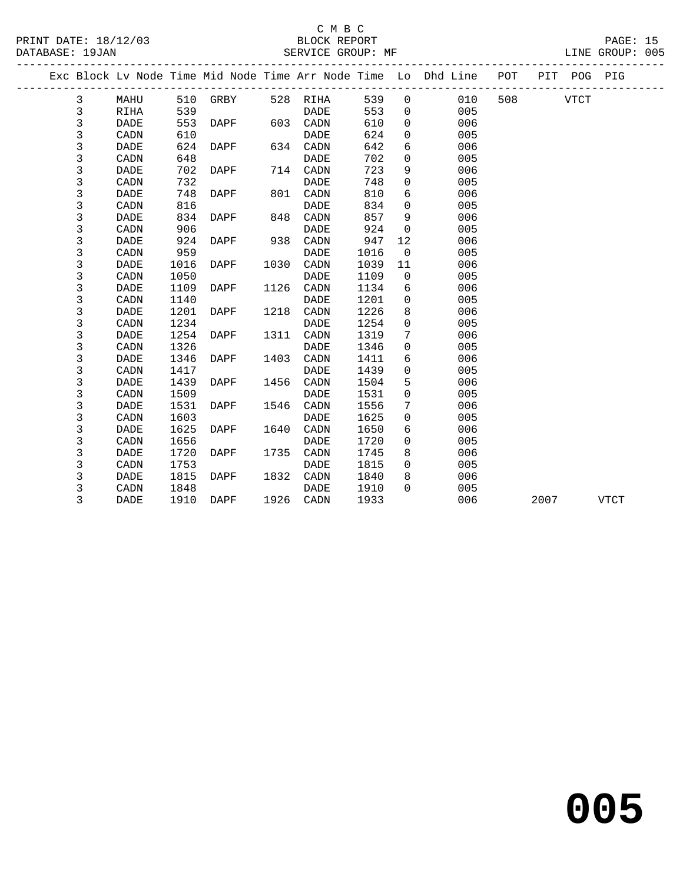| PRINT DATE: 18/12/03 |                |             |      | Vert of the SERVICE GROUP: MF (1999)<br>SERVICE GROUP: MF |      |             |      |                 | PAGE: 15<br>LINE GROUP: 005                                        |      |             |      |  |
|----------------------|----------------|-------------|------|-----------------------------------------------------------|------|-------------|------|-----------------|--------------------------------------------------------------------|------|-------------|------|--|
| DATABASE: 19JAN      |                |             |      |                                                           |      |             |      |                 |                                                                    |      |             |      |  |
|                      |                |             |      |                                                           |      |             |      |                 | Exc Block Lv Node Time Mid Node Time Arr Node Time Lo Dhd Line POT |      | PIT POG PIG |      |  |
|                      | $\mathbf{3}$   | MAHU        |      | 510 GRBY                                                  |      | 528 RIHA    | 539  | $\overline{0}$  | 010                                                                |      | 508 VTCT    |      |  |
|                      | 3              | <b>RIHA</b> | 539  |                                                           |      | DADE        | 553  | $\Omega$        | 005                                                                |      |             |      |  |
|                      | 3              | DADE        | 553  | DAPF                                                      |      | 603 CADN    | 610  | $\mathbf{0}$    | 006                                                                |      |             |      |  |
|                      | $\mathsf 3$    | CADN        | 610  |                                                           |      | DADE        | 624  | $\mathbf 0$     | 005                                                                |      |             |      |  |
|                      | $\mathsf 3$    | <b>DADE</b> | 624  | DAPF                                                      |      | 634 CADN    | 642  | 6               | 006                                                                |      |             |      |  |
|                      | 3              | CADN        | 648  |                                                           |      | DADE        | 702  | $\Omega$        | 005                                                                |      |             |      |  |
|                      | 3              | DADE        | 702  | DAPF                                                      |      | 714 CADN    | 723  | 9               | 006                                                                |      |             |      |  |
|                      | 3              | CADN        | 732  |                                                           |      | DADE        | 748  | $\mathbf 0$     | 005                                                                |      |             |      |  |
|                      | $\mathfrak{Z}$ | <b>DADE</b> | 748  | DAPF                                                      | 801  | CADN        | 810  | 6               | 006                                                                |      |             |      |  |
|                      | 3              | CADN        | 816  |                                                           |      | DADE        | 834  | $\Omega$        | 005                                                                |      |             |      |  |
|                      | $\mathbf{3}$   | <b>DADE</b> | 834  | DAPF                                                      | 848  | CADN        | 857  | 9               | 006                                                                |      |             |      |  |
|                      | $\mathsf 3$    | CADN        | 906  |                                                           |      | DADE        | 924  | $\overline{0}$  | 005                                                                |      |             |      |  |
|                      | 3              | <b>DADE</b> | 924  | DAPF                                                      |      | 938 CADN    | 947  | 12              | 006                                                                |      |             |      |  |
|                      | $\mathsf 3$    | CADN        | 959  |                                                           |      | DADE        | 1016 | $\overline{0}$  | 005                                                                |      |             |      |  |
|                      | $\mathbf{3}$   | <b>DADE</b> | 1016 | DAPF                                                      | 1030 | CADN        | 1039 | 11              | 006                                                                |      |             |      |  |
|                      | 3              | CADN        | 1050 |                                                           |      | <b>DADE</b> | 1109 | $\overline{0}$  | 005                                                                |      |             |      |  |
|                      | 3              | DADE        | 1109 | DAPF                                                      | 1126 | CADN        | 1134 | 6               | 006                                                                |      |             |      |  |
|                      | 3              | CADN        | 1140 |                                                           |      | DADE        | 1201 | $\mathbf 0$     | 005                                                                |      |             |      |  |
|                      | $\mathbf{3}$   | <b>DADE</b> | 1201 | DAPF                                                      | 1218 | CADN        | 1226 | 8               | 006                                                                |      |             |      |  |
|                      | 3              | CADN        | 1234 |                                                           |      | <b>DADE</b> | 1254 | $\mathbf 0$     | 005                                                                |      |             |      |  |
|                      | 3              | <b>DADE</b> | 1254 | DAPF                                                      | 1311 | CADN        | 1319 | $7\phantom{.0}$ | 006                                                                |      |             |      |  |
|                      | $\mathsf 3$    | CADN        | 1326 |                                                           |      | DADE        | 1346 | $\mathbf 0$     | 005                                                                |      |             |      |  |
|                      | $\mathbf{3}$   | <b>DADE</b> | 1346 | DAPF                                                      | 1403 | CADN        | 1411 | 6               | 006                                                                |      |             |      |  |
|                      | 3              | CADN        | 1417 |                                                           |      | DADE        | 1439 | $\Omega$        | 005                                                                |      |             |      |  |
|                      | 3              | DADE        | 1439 | DAPF                                                      | 1456 | CADN        | 1504 | 5               | 006                                                                |      |             |      |  |
|                      | $\mathbf{3}$   | CADN        | 1509 |                                                           |      | DADE        | 1531 | $\mathbf 0$     | 005                                                                |      |             |      |  |
|                      | $\mathbf{3}$   | <b>DADE</b> | 1531 | DAPF                                                      | 1546 | CADN        | 1556 | 7               | 006                                                                |      |             |      |  |
|                      | $\mathsf 3$    | CADN        | 1603 |                                                           |      | DADE        | 1625 | $\mathbf 0$     | 005                                                                |      |             |      |  |
|                      | 3              | <b>DADE</b> | 1625 | DAPF                                                      | 1640 | CADN        | 1650 | 6               | 006                                                                |      |             |      |  |
|                      | 3              | CADN        | 1656 |                                                           |      | DADE        | 1720 | $\mathbf 0$     | 005                                                                |      |             |      |  |
|                      | 3              | <b>DADE</b> | 1720 | DAPF                                                      | 1735 | CADN        | 1745 | 8               | 006                                                                |      |             |      |  |
|                      | 3              | CADN        | 1753 |                                                           |      | DADE        | 1815 | $\Omega$        | 005                                                                |      |             |      |  |
|                      | 3              | DADE        | 1815 | DAPF                                                      | 1832 | CADN        | 1840 | 8               | 006                                                                |      |             |      |  |
|                      | 3              | CADN        | 1848 |                                                           |      | DADE        | 1910 | $\Omega$        | 005                                                                |      |             |      |  |
|                      | 3              | <b>DADE</b> | 1910 | DAPF                                                      | 1926 | CADN        | 1933 |                 | 006                                                                | 2007 |             | VTCT |  |

**005**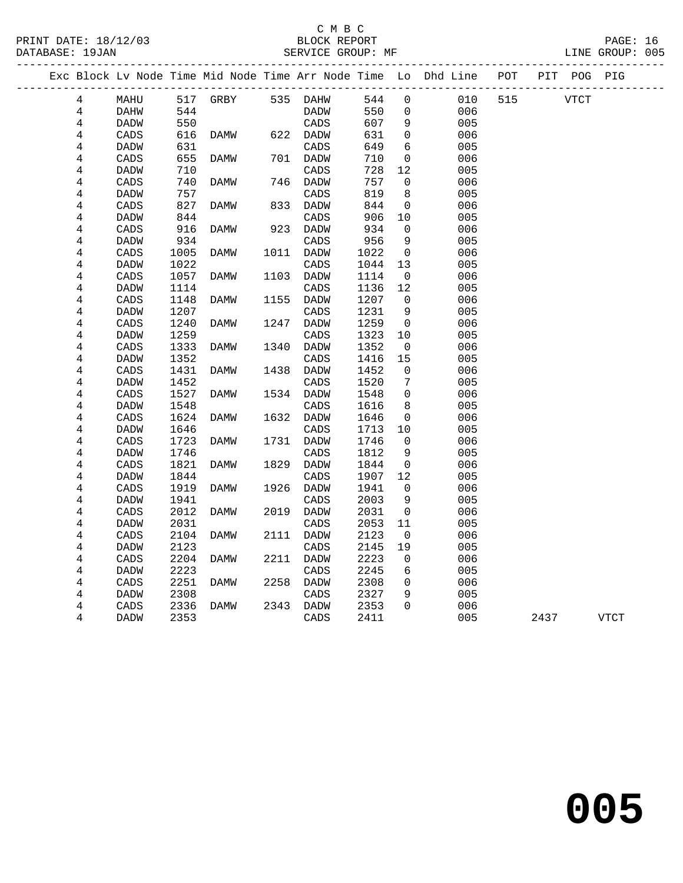PRINT DATE: 18/12/03 BLOCK REPORT PAGE: 16 LINE GROUP: 005

|  |                 |                 |              |                   |      |                   |              |                | Exc Block Lv Node Time Mid Node Time Arr Node Time Lo Dhd Line POT PIT POG PIG |     |      |             |
|--|-----------------|-----------------|--------------|-------------------|------|-------------------|--------------|----------------|--------------------------------------------------------------------------------|-----|------|-------------|
|  | $4\overline{ }$ | MAHU            |              | 517 GRBY 535 DAHW |      |                   | 544          | $\mathsf{O}$   | 010                                                                            | 515 | VTCT |             |
|  | 4               | DAHW            | 544          |                   |      | DADW              | 550          | $\overline{0}$ | 006                                                                            |     |      |             |
|  | 4               | DADW            | 550          |                   |      | CADS              | 607          | 9              | 005                                                                            |     |      |             |
|  | 4               | $\mathtt{CADS}$ | 616          | DAMW              |      | 622 DADW          | 631          | $\mathsf{O}$   | 006                                                                            |     |      |             |
|  | 4               | DADW            | 631          |                   |      | CADS              | 649          | 6              | 005                                                                            |     |      |             |
|  | 4               | CADS            | 655          | DAMW              |      | 701 DADW          | 710          | $\mathbf 0$    | 006                                                                            |     |      |             |
|  | 4               | DADW            | 710          |                   |      | CADS              | 728          | 12             | 005                                                                            |     |      |             |
|  | 4               | CADS            | 740          | DAMW              |      | 746 DADW          | 757          | 0              | 006                                                                            |     |      |             |
|  | 4               | <b>DADW</b>     | 757          |                   |      | CADS              | 819          | 8              | 005                                                                            |     |      |             |
|  | 4               | CADS            | 827          | DAMW              |      | 833 DADW          | 844          | $\overline{0}$ | 006                                                                            |     |      |             |
|  | 4               | DADW            | 844          |                   |      | CADS              | 906          | 10             | 005                                                                            |     |      |             |
|  | 4               | CADS            | 916          | DAMW              |      | 923 DADW          | 934          | $\Omega$       | 006                                                                            |     |      |             |
|  | 4               | DADW            | 934          |                   |      | CADS              | 956          | 9              | 005                                                                            |     |      |             |
|  | 4               | CADS            | 1005         | DAMW              | 1011 | DADW              | 1022         | $\overline{0}$ | 006                                                                            |     |      |             |
|  | 4               | <b>DADW</b>     | 1022         |                   |      | CADS              | 1044         | 13             | 005                                                                            |     |      |             |
|  | 4               | CADS            | 1057         | DAMW              | 1103 | DADW              | 1114         | $\overline{0}$ | 006                                                                            |     |      |             |
|  | 4               | DADW            | 1114         |                   |      | CADS              | 1136         | 12             | 005                                                                            |     |      |             |
|  | 4               | CADS            | 1148         | DAMW              | 1155 | DADW              | 1207         | $\overline{0}$ | 006                                                                            |     |      |             |
|  | 4               | DADW            | 1207         |                   |      | CADS              | 1231         | 9              | 005                                                                            |     |      |             |
|  | 4               | CADS            | 1240         | DAMW              | 1247 | DADW              | 1259         | 0              | 006                                                                            |     |      |             |
|  | $\overline{4}$  | DADW            | 1259         |                   |      | CADS              | 1323         | 10             | 005                                                                            |     |      |             |
|  | 4               | CADS            | 1333         | DAMW              | 1340 | DADW              | 1352         | $\overline{0}$ | 006                                                                            |     |      |             |
|  | 4<br>4          | DADW            | 1352         |                   |      | CADS              | 1416         | 15             | 005                                                                            |     |      |             |
|  | 4               | CADS<br>DADW    | 1431<br>1452 | DAMW              |      | 1438 DADW<br>CADS | 1452<br>1520 | 0<br>7         | 006<br>005                                                                     |     |      |             |
|  | 4               | CADS            | 1527         | DAMW              |      | 1534 DADW         | 1548         | $\overline{0}$ | 006                                                                            |     |      |             |
|  | 4               | DADW            | 1548         |                   |      | CADS              | 1616         | 8              | 005                                                                            |     |      |             |
|  | 4               | CADS            | 1624         | DAMW              |      | 1632 DADW         | 1646         | $\overline{0}$ | 006                                                                            |     |      |             |
|  | 4               | DADW            | 1646         |                   |      | CADS              | 1713         | $10 \,$        | 005                                                                            |     |      |             |
|  | 4               | CADS            | 1723         | DAMW              |      | 1731 DADW         | 1746         | $\mathbf{0}$   | 006                                                                            |     |      |             |
|  | 4               | <b>DADW</b>     | 1746         |                   |      | CADS              | 1812         | 9              | 005                                                                            |     |      |             |
|  | 4               | CADS            | 1821         | DAMW              | 1829 | DADW              | 1844         | $\overline{0}$ | 006                                                                            |     |      |             |
|  | 4               | DADW            | 1844         |                   |      | CADS              | 1907         | 12             | 005                                                                            |     |      |             |
|  | 4               | CADS            | 1919         | DAMW              |      | 1926 DADW         | 1941         | $\mathbf 0$    | 006                                                                            |     |      |             |
|  | 4               | DADW            | 1941         |                   |      | CADS              | 2003         | 9              | 005                                                                            |     |      |             |
|  | 4               | CADS            | 2012         | DAMW              | 2019 | DADW              | 2031         | $\overline{0}$ | 006                                                                            |     |      |             |
|  | 4               | DADW            | 2031         |                   |      | CADS              | 2053         | 11             | 005                                                                            |     |      |             |
|  | 4               | CADS            | 2104         | <b>DAMW</b>       |      | 2111 DADW         | 2123         | $\overline{0}$ | 006                                                                            |     |      |             |
|  | 4               | DADW            | 2123         |                   |      | CADS              | 2145         | 19             | 005                                                                            |     |      |             |
|  | 4               | CADS            | 2204         | DAMW              | 2211 | DADW              | 2223         | $\mathbf 0$    | 006                                                                            |     |      |             |
|  | 4               | DADW            | 2223         |                   |      | CADS              | 2245         | 6              | 005                                                                            |     |      |             |
|  | 4               | CADS            | 2251         | DAMW              |      | 2258 DADW         | 2308         | $\overline{0}$ | 006                                                                            |     |      |             |
|  | 4               | DADW            | 2308         |                   |      | CADS              | 2327         | 9              | 005                                                                            |     |      |             |
|  | 4               | CADS            | 2336         | DAMW              | 2343 | DADW              | 2353         | $\Omega$       | 006                                                                            |     |      |             |
|  | 4               | DADW            | 2353         |                   |      | CADS              | 2411         |                | 005                                                                            |     | 2437 | <b>VTCT</b> |
|  |                 |                 |              |                   |      |                   |              |                |                                                                                |     |      |             |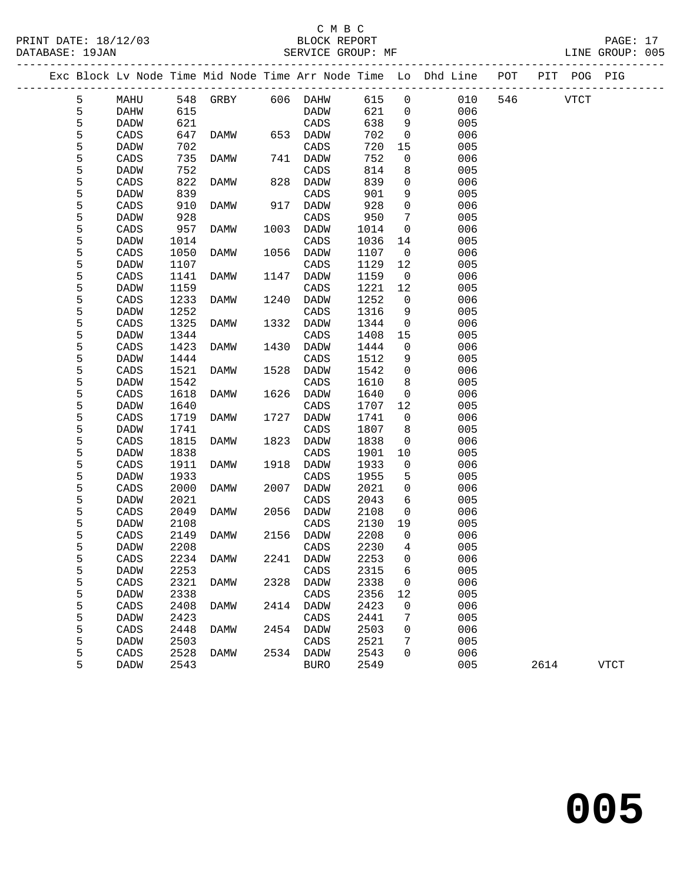**005**

|   |                 |      | PRINT DATE: 18/12/03 BLOCK REPORT DATABASE: 19JAN SERVICE GROUP: MF |      |                 |         |                 |                                                                                |              |      | PAGE: 17<br>LINE GROUP: 005 |  |
|---|-----------------|------|---------------------------------------------------------------------|------|-----------------|---------|-----------------|--------------------------------------------------------------------------------|--------------|------|-----------------------------|--|
|   |                 |      |                                                                     |      |                 |         |                 | Exc Block Lv Node Time Mid Node Time Arr Node Time Lo Dhd Line POT PIT POG PIG |              |      |                             |  |
| 5 | <b>MAHU</b>     |      | 548 GRBY 606 DAHW 615 0                                             |      |                 |         |                 |                                                                                | 010 546 VTCT |      |                             |  |
| 5 | DAHW            | 615  |                                                                     |      | <b>DADW</b>     | 621     |                 | $\overline{0}$<br>006                                                          |              |      |                             |  |
| 5 | DADW            | 621  |                                                                     |      | CADS            | 638     | 9               | 005                                                                            |              |      |                             |  |
| 5 | CADS            |      | 647 DAMW                                                            |      | 653 DADW        | 702     | $\overline{0}$  | 006                                                                            |              |      |                             |  |
| 5 | DADW            | 702  |                                                                     |      | CADS            | 720     | 15              | 005                                                                            |              |      |                             |  |
| 5 | CADS            | 735  | DAMW                                                                |      | 741 DADW        | 752     | $\overline{0}$  | 006                                                                            |              |      |                             |  |
| 5 | DADW            | 752  |                                                                     |      | $\mathtt{CADS}$ | 814     | 8               | 005                                                                            |              |      |                             |  |
| 5 | CADS            | 822  | DAMW                                                                |      | 828 DADW        | 839     | $\overline{0}$  | 006                                                                            |              |      |                             |  |
| 5 | DADW            | 839  |                                                                     |      | CADS            | 901     | 9               | 005                                                                            |              |      |                             |  |
| 5 | CADS            | 910  | DAMW                                                                |      | 917 DADW        | 928     | $\overline{0}$  | 006                                                                            |              |      |                             |  |
| 5 | <b>DADW</b>     | 928  |                                                                     |      | CADS            | 950     | $7\phantom{.0}$ | 005                                                                            |              |      |                             |  |
| 5 | CADS            | 957  | DAMW                                                                |      | 1003 DADW       | 1014    | $\overline{0}$  | 006                                                                            |              |      |                             |  |
| 5 | DADW            | 1014 |                                                                     |      | CADS            | 1036    | 14              | 005                                                                            |              |      |                             |  |
| 5 | CADS            | 1050 | DAMW                                                                | 1056 | DADW            | 1107    | $\overline{0}$  | 006                                                                            |              |      |                             |  |
| 5 | <b>DADW</b>     | 1107 |                                                                     |      | CADS            | 1129    | 12              | 005                                                                            |              |      |                             |  |
| 5 | CADS            | 1141 | <b>DAMW</b>                                                         | 1147 | DADW            | 1159    | $\overline{0}$  | 006                                                                            |              |      |                             |  |
| 5 | DADW            | 1159 |                                                                     |      | CADS            | 1221    | 12              | 005                                                                            |              |      |                             |  |
| 5 | CADS            | 1233 | DAMW                                                                | 1240 | DADW            | 1252    | $\overline{0}$  | 006                                                                            |              |      |                             |  |
| 5 | <b>DADW</b>     | 1252 |                                                                     |      | CADS            | 1316    | 9               | 005                                                                            |              |      |                             |  |
| 5 | CADS            | 1325 | DAMW                                                                | 1332 | DADW            | 1344    | $\overline{0}$  | 006                                                                            |              |      |                             |  |
| 5 | <b>DADW</b>     | 1344 |                                                                     |      | CADS            | 1408    | 15              | 005                                                                            |              |      |                             |  |
| 5 | CADS            | 1423 | DAMW                                                                | 1430 | DADW            | 1444    | $\overline{0}$  | 006                                                                            |              |      |                             |  |
| 5 | <b>DADW</b>     | 1444 |                                                                     |      | CADS            | 1512    | 9               | 005                                                                            |              |      |                             |  |
| 5 | CADS            | 1521 | DAMW                                                                | 1528 | DADW            | 1542    | $\overline{0}$  | 006                                                                            |              |      |                             |  |
| 5 | DADW            | 1542 |                                                                     |      | CADS            | 1610    | 8               | 005                                                                            |              |      |                             |  |
| 5 | CADS            | 1618 | DAMW                                                                | 1626 | DADW            | 1640    | $\overline{0}$  | 006                                                                            |              |      |                             |  |
| 5 | <b>DADW</b>     | 1640 |                                                                     |      | CADS            | 1707    | 12              | 005                                                                            |              |      |                             |  |
| 5 | CADS            | 1719 | DAMW                                                                | 1727 | DADW            | 1741    | $\overline{0}$  | 006                                                                            |              |      |                             |  |
| 5 | <b>DADW</b>     | 1741 |                                                                     |      | CADS            | 1807    | 8               | 005                                                                            |              |      |                             |  |
| 5 | CADS            | 1815 | DAMW                                                                |      | 1823 DADW       | 1838    | $\overline{0}$  | 006                                                                            |              |      |                             |  |
| 5 | DADW            | 1838 |                                                                     |      | CADS            | 1901    | 10              | 005                                                                            |              |      |                             |  |
| 5 | CADS            | 1911 | DAMW                                                                | 1918 | DADW            | 1933    | $\overline{0}$  | 006                                                                            |              |      |                             |  |
| 5 | DADW            | 1933 |                                                                     |      | CADS            | 1955    | 5               | 005                                                                            |              |      |                             |  |
| 5 | CADS            | 2000 | DAMW                                                                |      | 2007 DADW       | 2021    | $\overline{0}$  | 006                                                                            |              |      |                             |  |
| 5 | DADW            | 2021 |                                                                     |      | CADS            | 2043    | 6               | 005                                                                            |              |      |                             |  |
| 5 | CADS            | 2049 | DAMW                                                                |      | 2056 DADW       | 2108    | $\overline{0}$  | 006                                                                            |              |      |                             |  |
| 5 | DADW            | 2108 |                                                                     |      | CADS            | 2130 19 |                 | 005                                                                            |              |      |                             |  |
| 5 | $\mathtt{CADS}$ |      | 2149 DAMW                                                           |      | 2156 DADW       | 2208 0  |                 | 006                                                                            |              |      |                             |  |
| 5 | DADW            | 2208 |                                                                     |      | CADS            | 2230    | 4               | 005                                                                            |              |      |                             |  |
| 5 | $\mathtt{CADS}$ | 2234 | DAMW                                                                | 2241 | DADW            | 2253    | 0               | 006                                                                            |              |      |                             |  |
| 5 | DADW            | 2253 |                                                                     |      | CADS            | 2315    | 6               | 005                                                                            |              |      |                             |  |
| 5 | CADS            | 2321 | DAMW                                                                | 2328 | DADW            | 2338    | 0               | 006                                                                            |              |      |                             |  |
| 5 | DADW            | 2338 |                                                                     |      | CADS            | 2356    | 12              | 005                                                                            |              |      |                             |  |
| 5 | CADS            | 2408 | DAMW                                                                | 2414 | DADW            | 2423    | 0               | 006                                                                            |              |      |                             |  |
| 5 | DADW            | 2423 |                                                                     |      | CADS            | 2441    | 7               | 005                                                                            |              |      |                             |  |
| 5 | CADS            | 2448 | DAMW                                                                | 2454 | DADW            | 2503    | 0               | 006                                                                            |              |      |                             |  |
| 5 | DADW            | 2503 |                                                                     |      | CADS            | 2521    | 7               | 005                                                                            |              |      |                             |  |
| 5 | CADS            | 2528 | DAMW                                                                |      | 2534 DADW       | 2543    | 0               | 006                                                                            |              |      |                             |  |
| 5 | <b>DADW</b>     | 2543 |                                                                     |      | <b>BURO</b>     | 2549    |                 | 005                                                                            |              | 2614 | <b>VTCT</b>                 |  |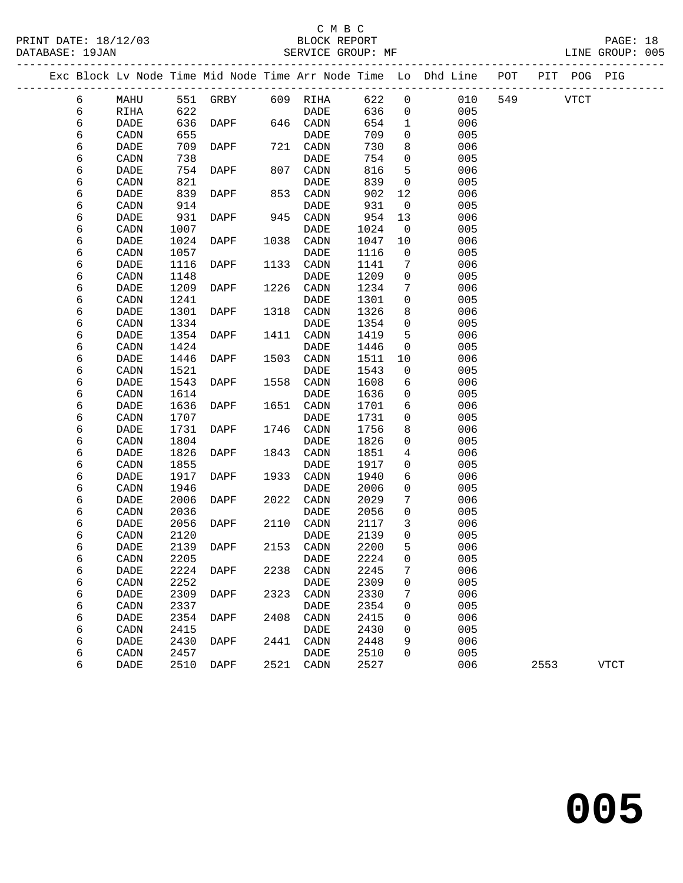PRINT DATE: 18/12/03 BLOCK REPORT PAGE: 18 LINE GROUP: 005 ------------------------------------------------------------------------------------------------- Exc Block Lv Node Time Mid Node Time Arr Node Time Lo Dhd Line POT PIT POG PIG -------------------------------------------------------------------------------------------------

| 6 | MAHU                         | 551  | GRBY        | 609  | RIHA                         | 622  | 0                   | 010 | 549 | <b>VTCT</b> |             |
|---|------------------------------|------|-------------|------|------------------------------|------|---------------------|-----|-----|-------------|-------------|
| б | RIHA                         | 622  |             |      | $\ensuremath{\mathsf{DADE}}$ | 636  | 0                   | 005 |     |             |             |
| б | $\mathtt{DADE}$              | 636  | DAPF        | 646  | $\texttt{CADN}\xspace$       | 654  | 1                   | 006 |     |             |             |
| б | CADN                         | 655  |             |      | $\ensuremath{\mathsf{DADE}}$ | 709  | $\mathsf{O}\xspace$ | 005 |     |             |             |
| б | $\mathtt{DADE}$              | 709  | DAPF        | 721  | CADN                         | 730  | 8                   | 006 |     |             |             |
| б | CADN                         | 738  |             |      | DADE                         | 754  | 0                   | 005 |     |             |             |
| б | $\mathtt{DADE}$              | 754  | DAPF        | 807  | CADN                         | 816  | 5                   | 006 |     |             |             |
| б | CADN                         | 821  |             |      | DADE                         | 839  | 0                   | 005 |     |             |             |
| 6 | DADE                         | 839  | DAPF        | 853  | CADN                         | 902  | 12                  | 006 |     |             |             |
|   |                              | 914  |             |      |                              | 931  |                     | 005 |     |             |             |
| 6 | CADN                         |      |             |      | DADE                         |      | 0                   |     |     |             |             |
| 6 | DADE                         | 931  | DAPF        | 945  | CADN                         | 954  | 13                  | 006 |     |             |             |
| 6 | CADN                         | 1007 |             |      | DADE                         | 1024 | 0                   | 005 |     |             |             |
| б | DADE                         | 1024 | DAPF        | 1038 | $\texttt{CADN}\xspace$       | 1047 | 10                  | 006 |     |             |             |
| б | CADN                         | 1057 |             |      | DADE                         | 1116 | $\mathsf 0$         | 005 |     |             |             |
| б | DADE                         | 1116 | DAPF        | 1133 | CADN                         | 1141 | 7                   | 006 |     |             |             |
| 6 | CADN                         | 1148 |             |      | DADE                         | 1209 | 0                   | 005 |     |             |             |
| 6 | DADE                         | 1209 | DAPF        | 1226 | CADN                         | 1234 | 7                   | 006 |     |             |             |
| 6 | CADN                         | 1241 |             |      | <b>DADE</b>                  | 1301 | 0                   | 005 |     |             |             |
| 6 | DADE                         | 1301 | DAPF        | 1318 | CADN                         | 1326 | 8                   | 006 |     |             |             |
| б | $\texttt{CADN}\xspace$       | 1334 |             |      | $\ensuremath{\mathsf{DADE}}$ | 1354 | 0                   | 005 |     |             |             |
| б | $\ensuremath{\mathsf{DADE}}$ | 1354 | DAPF        | 1411 | $\texttt{CADN}\xspace$       | 1419 | 5                   | 006 |     |             |             |
| 6 | $\texttt{CADN}\xspace$       | 1424 |             |      | $\ensuremath{\mathsf{DADE}}$ | 1446 | 0                   | 005 |     |             |             |
| 6 | DADE                         | 1446 | DAPF        | 1503 | CADN                         | 1511 | 10                  | 006 |     |             |             |
| б | $\texttt{CADN}\xspace$       | 1521 |             |      | DADE                         | 1543 | 0                   | 005 |     |             |             |
| 6 | DADE                         | 1543 | DAPF        | 1558 | CADN                         | 1608 | 6                   | 006 |     |             |             |
| 6 | CADN                         | 1614 |             |      | DADE                         | 1636 | 0                   | 005 |     |             |             |
| 6 | DADE                         | 1636 | DAPF        | 1651 | CADN                         | 1701 | 6                   | 006 |     |             |             |
| 6 | $\texttt{CADN}\xspace$       | 1707 |             |      | DADE                         | 1731 | 0                   | 005 |     |             |             |
| 6 | $\ensuremath{\mathsf{DADE}}$ | 1731 | DAPF        | 1746 | $\texttt{CADN}\xspace$       | 1756 | 8                   | 006 |     |             |             |
| б | $\texttt{CADN}\xspace$       | 1804 |             |      | DADE                         | 1826 | 0                   | 005 |     |             |             |
| б | DADE                         | 1826 | DAPF        | 1843 | CADN                         | 1851 | 4                   | 006 |     |             |             |
| б | $\texttt{CADN}\xspace$       | 1855 |             |      | DADE                         | 1917 | 0                   | 005 |     |             |             |
| б | DADE                         | 1917 | DAPF        | 1933 | CADN                         | 1940 | б                   | 006 |     |             |             |
| 6 | $\texttt{CADN}\xspace$       | 1946 |             |      | DADE                         | 2006 | 0                   | 005 |     |             |             |
| 6 | $\ensuremath{\mathsf{DADE}}$ | 2006 | DAPF        | 2022 | $\texttt{CADN}\xspace$       | 2029 | 7                   | 006 |     |             |             |
| 6 | CADN                         | 2036 |             |      | DADE                         | 2056 | $\mathsf{O}\xspace$ | 005 |     |             |             |
| 6 | $\ensuremath{\mathsf{DADE}}$ | 2056 | DAPF        | 2110 | CADN                         | 2117 | 3                   | 006 |     |             |             |
| 6 | CADN                         | 2120 |             |      | DADE                         | 2139 | 0                   | 005 |     |             |             |
| 6 | DADE                         | 2139 | DAPF        | 2153 | CADN                         | 2200 | 5                   | 006 |     |             |             |
| 6 | CADN                         | 2205 |             |      | DADE                         | 2224 | 0                   | 005 |     |             |             |
| б | $\ensuremath{\mathsf{DADE}}$ | 2224 | <b>DAPF</b> | 2238 | CADN                         | 2245 | 7                   | 006 |     |             |             |
| 6 | $\texttt{CADN}\xspace$       | 2252 |             |      | DADE                         | 2309 | 0                   | 005 |     |             |             |
| 6 | DADE                         | 2309 | DAPF        | 2323 | CADN                         | 2330 | 7                   | 006 |     |             |             |
| 6 | CADN                         | 2337 |             |      | DADE                         | 2354 | 0                   | 005 |     |             |             |
| 6 | DADE                         | 2354 | DAPF        | 2408 | CADN                         | 2415 | 0                   | 006 |     |             |             |
| 6 | CADN                         | 2415 |             |      | DADE                         | 2430 | 0                   | 005 |     |             |             |
| 6 | DADE                         | 2430 | DAPF        | 2441 | CADN                         | 2448 | 9                   | 006 |     |             |             |
| 6 | CADN                         | 2457 |             |      | DADE                         | 2510 | 0                   | 005 |     |             |             |
| 6 | DADE                         | 2510 | DAPF        | 2521 | CADN                         | 2527 |                     | 006 |     | 2553        | <b>VTCT</b> |
|   |                              |      |             |      |                              |      |                     |     |     |             |             |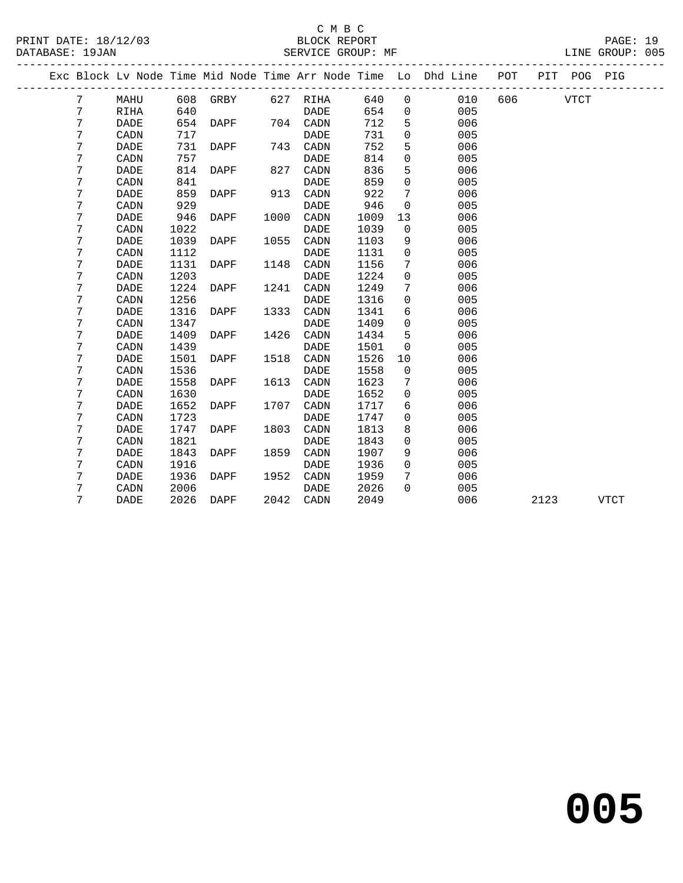## C M B C<br>
PRINT DATE: 18/12/03 BLOCK REPOR

|   |                                                                                   |                                                                                       |                                                                                                                                                          |             |                                                             |                                                                                                                       |                                                                                                                                                              |                                                             | POT                                                                                                                 |                                                                |      |                                        |
|---|-----------------------------------------------------------------------------------|---------------------------------------------------------------------------------------|----------------------------------------------------------------------------------------------------------------------------------------------------------|-------------|-------------------------------------------------------------|-----------------------------------------------------------------------------------------------------------------------|--------------------------------------------------------------------------------------------------------------------------------------------------------------|-------------------------------------------------------------|---------------------------------------------------------------------------------------------------------------------|----------------------------------------------------------------|------|----------------------------------------|
| 7 | MAHU                                                                              |                                                                                       |                                                                                                                                                          |             |                                                             | 640                                                                                                                   | $\mathbf 0$                                                                                                                                                  | 010                                                         | 606                                                                                                                 |                                                                |      |                                        |
| 7 | RIHA                                                                              | 640                                                                                   |                                                                                                                                                          |             | DADE                                                        |                                                                                                                       | $\mathbf 0$                                                                                                                                                  | 005                                                         |                                                                                                                     |                                                                |      |                                        |
| 7 | DADE                                                                              |                                                                                       | DAPF                                                                                                                                                     |             |                                                             |                                                                                                                       | 5                                                                                                                                                            | 006                                                         |                                                                                                                     |                                                                |      |                                        |
| 7 | CADN                                                                              | 717                                                                                   |                                                                                                                                                          |             | DADE                                                        |                                                                                                                       | 0                                                                                                                                                            |                                                             |                                                                                                                     |                                                                |      |                                        |
|   | <b>DADE</b>                                                                       | 731                                                                                   | DAPF                                                                                                                                                     |             | CADN                                                        |                                                                                                                       |                                                                                                                                                              |                                                             |                                                                                                                     |                                                                |      |                                        |
| 7 | CADN                                                                              | 757                                                                                   |                                                                                                                                                          |             | DADE                                                        | 814                                                                                                                   | $\mathbf 0$                                                                                                                                                  | 005                                                         |                                                                                                                     |                                                                |      |                                        |
|   | DADE                                                                              | 814                                                                                   | DAPF                                                                                                                                                     |             | CADN                                                        |                                                                                                                       | 5                                                                                                                                                            | 006                                                         |                                                                                                                     |                                                                |      |                                        |
|   | CADN                                                                              |                                                                                       |                                                                                                                                                          |             | <b>DADE</b>                                                 |                                                                                                                       | $\mathbf 0$                                                                                                                                                  |                                                             |                                                                                                                     |                                                                |      |                                        |
| 7 | DADE                                                                              |                                                                                       | DAPF                                                                                                                                                     | 913         | CADN                                                        |                                                                                                                       | 7                                                                                                                                                            | 006                                                         |                                                                                                                     |                                                                |      |                                        |
| 7 | CADN                                                                              |                                                                                       |                                                                                                                                                          |             | <b>DADE</b>                                                 |                                                                                                                       | 0                                                                                                                                                            | 005                                                         |                                                                                                                     |                                                                |      |                                        |
| 7 | DADE                                                                              | 946                                                                                   | DAPF                                                                                                                                                     |             | CADN                                                        | 1009                                                                                                                  | 13                                                                                                                                                           | 006                                                         |                                                                                                                     |                                                                |      |                                        |
| 7 | CADN                                                                              | 1022                                                                                  |                                                                                                                                                          |             | DADE                                                        | 1039                                                                                                                  | 0                                                                                                                                                            | 005                                                         |                                                                                                                     |                                                                |      |                                        |
| 7 | <b>DADE</b>                                                                       | 1039                                                                                  | DAPF                                                                                                                                                     | 1055        | CADN                                                        | 1103                                                                                                                  | 9                                                                                                                                                            | 006                                                         |                                                                                                                     |                                                                |      |                                        |
|   | CADN                                                                              |                                                                                       |                                                                                                                                                          |             | <b>DADE</b>                                                 |                                                                                                                       | 0                                                                                                                                                            |                                                             |                                                                                                                     |                                                                |      |                                        |
|   | <b>DADE</b>                                                                       |                                                                                       | DAPF                                                                                                                                                     |             | CADN                                                        |                                                                                                                       | 7                                                                                                                                                            |                                                             |                                                                                                                     |                                                                |      |                                        |
|   |                                                                                   |                                                                                       |                                                                                                                                                          |             |                                                             |                                                                                                                       |                                                                                                                                                              |                                                             |                                                                                                                     |                                                                |      |                                        |
|   |                                                                                   |                                                                                       | DAPF                                                                                                                                                     |             |                                                             |                                                                                                                       | 7                                                                                                                                                            |                                                             |                                                                                                                     |                                                                |      |                                        |
| 7 | CADN                                                                              | 1256                                                                                  |                                                                                                                                                          |             | DADE                                                        | 1316                                                                                                                  | 0                                                                                                                                                            | 005                                                         |                                                                                                                     |                                                                |      |                                        |
|   |                                                                                   |                                                                                       |                                                                                                                                                          |             |                                                             |                                                                                                                       |                                                                                                                                                              |                                                             |                                                                                                                     |                                                                |      |                                        |
|   |                                                                                   |                                                                                       |                                                                                                                                                          |             |                                                             |                                                                                                                       |                                                                                                                                                              |                                                             |                                                                                                                     |                                                                |      |                                        |
|   | <b>DADE</b>                                                                       |                                                                                       | DAPF                                                                                                                                                     |             | CADN                                                        |                                                                                                                       | 5                                                                                                                                                            |                                                             |                                                                                                                     |                                                                |      |                                        |
|   |                                                                                   |                                                                                       |                                                                                                                                                          |             | DADE                                                        |                                                                                                                       | 0                                                                                                                                                            |                                                             |                                                                                                                     |                                                                |      |                                        |
|   | DADE                                                                              |                                                                                       | DAPF                                                                                                                                                     |             | CADN                                                        |                                                                                                                       |                                                                                                                                                              |                                                             |                                                                                                                     |                                                                |      |                                        |
|   |                                                                                   |                                                                                       |                                                                                                                                                          |             | DADE                                                        |                                                                                                                       |                                                                                                                                                              |                                                             |                                                                                                                     |                                                                |      |                                        |
|   | <b>DADE</b>                                                                       |                                                                                       | DAPF                                                                                                                                                     |             | CADN                                                        |                                                                                                                       | 7                                                                                                                                                            |                                                             |                                                                                                                     |                                                                |      |                                        |
|   |                                                                                   |                                                                                       |                                                                                                                                                          |             |                                                             |                                                                                                                       | 0                                                                                                                                                            |                                                             |                                                                                                                     |                                                                |      |                                        |
|   | <b>DADE</b>                                                                       |                                                                                       | DAPF                                                                                                                                                     |             | CADN                                                        | 1717                                                                                                                  | 6                                                                                                                                                            |                                                             |                                                                                                                     |                                                                |      |                                        |
|   | CADN                                                                              |                                                                                       |                                                                                                                                                          |             | DADE                                                        | 1747                                                                                                                  | 0                                                                                                                                                            | 005                                                         |                                                                                                                     |                                                                |      |                                        |
| 7 | <b>DADE</b>                                                                       | 1747                                                                                  | DAPF                                                                                                                                                     | 1803        | CADN                                                        | 1813                                                                                                                  | 8                                                                                                                                                            | 006                                                         |                                                                                                                     |                                                                |      |                                        |
| 7 | CADN                                                                              | 1821                                                                                  |                                                                                                                                                          |             | <b>DADE</b>                                                 | 1843                                                                                                                  | 0                                                                                                                                                            | 005                                                         |                                                                                                                     |                                                                |      |                                        |
| 7 | <b>DADE</b>                                                                       |                                                                                       | DAPF                                                                                                                                                     | 1859        | CADN                                                        | 1907                                                                                                                  | 9                                                                                                                                                            | 006                                                         |                                                                                                                     |                                                                |      |                                        |
| 7 | CADN                                                                              |                                                                                       |                                                                                                                                                          |             | DADE                                                        |                                                                                                                       | 0                                                                                                                                                            |                                                             |                                                                                                                     |                                                                |      |                                        |
| 7 | <b>DADE</b>                                                                       | 1936                                                                                  | DAPF                                                                                                                                                     |             | CADN                                                        | 1959                                                                                                                  | 7                                                                                                                                                            | 006                                                         |                                                                                                                     |                                                                |      |                                        |
| 7 | CADN                                                                              | 2006                                                                                  |                                                                                                                                                          |             | <b>DADE</b>                                                 | 2026                                                                                                                  | $\Omega$                                                                                                                                                     | 005                                                         |                                                                                                                     |                                                                |      |                                        |
| 7 | DADE                                                                              | 2026                                                                                  | DAPF                                                                                                                                                     |             | CADN                                                        | 2049                                                                                                                  |                                                                                                                                                              | 006                                                         |                                                                                                                     | 2123                                                           |      |                                        |
|   | 7<br>7<br>7<br>7<br>7<br>7<br>7<br>7<br>7<br>7<br>7<br>7<br>7<br>7<br>7<br>7<br>7 | DATABASE: 19JAN<br>CADN<br><b>DADE</b><br><b>DADE</b><br>CADN<br>CADN<br>CADN<br>CADN | 654<br>841<br>859<br>929<br>1112<br>1131<br>1203<br>1224<br>1316<br>1347<br>1409<br>1439<br>1501<br>1536<br>1558<br>1630<br>1652<br>1723<br>1843<br>1916 | 608<br>DAPF | 827<br>1000<br>1148<br>1333<br>1426<br>1518<br>1613<br>1707 | GRBY 627 RIHA<br>704 CADN<br>743<br><b>DADE</b><br>1241<br>CADN<br>CADN<br><b>DADE</b><br><b>DADE</b><br>1952<br>2042 | 654<br>712<br>731<br>752<br>836<br>859<br>922<br>946<br>1131<br>1156<br>1224<br>1249<br>1341<br>1409<br>1434<br>1501<br>1526<br>1558<br>1623<br>1652<br>1936 | SERVICE GROUP: MF<br>5<br>0<br>6<br>0<br>10<br>$\mathsf{O}$ | 005<br>006<br>005<br>005<br>006<br>005<br>006<br>006<br>005<br>006<br>005<br>006<br>005<br>006<br>005<br>006<br>005 | Exc Block Lv Node Time Mid Node Time Arr Node Time Lo Dhd Line | VTCT | LINE GROUP: 005<br>PIT POG PIG<br>VTCT |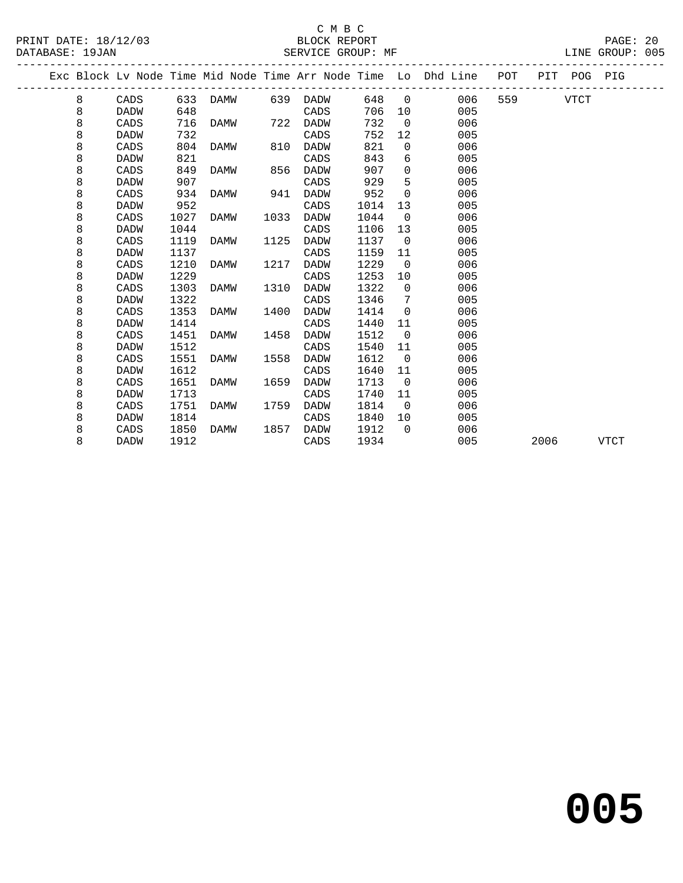PRINT DATE: 18/12/03 BLOCK REPORT<br>DATABASE: 19JAN BATABASE: 19JAN

## C M B C<br>BLOCK REPORT

PAGE: 20<br>LINE GROUP: 005

|   |             |      |      |      |          |      |                 | Exc Block Lv Node Time Mid Node Time Arr Node Time Lo Dhd Line POT |     |      | PIT POG PIG |             |  |
|---|-------------|------|------|------|----------|------|-----------------|--------------------------------------------------------------------|-----|------|-------------|-------------|--|
| 8 | CADS        | 633  | DAMW |      | 639 DADW | 648  | $\overline{0}$  | 006                                                                | 559 |      | VTCT        |             |  |
| 8 | DADW        | 648  |      |      | CADS     | 706  | 10              | 005                                                                |     |      |             |             |  |
| 8 | CADS        | 716  | DAMW | 722  | DADW     | 732  | $\overline{0}$  | 006                                                                |     |      |             |             |  |
| 8 | DADW        | 732  |      |      | CADS     | 752  | 12              | 005                                                                |     |      |             |             |  |
| 8 | CADS        | 804  | DAMW | 810  | DADW     | 821  | $\mathbf 0$     | 006                                                                |     |      |             |             |  |
| 8 | DADW        | 821  |      |      | CADS     | 843  | 6               | 005                                                                |     |      |             |             |  |
| 8 | CADS        | 849  | DAMW | 856  | DADW     | 907  | $\mathbf 0$     | 006                                                                |     |      |             |             |  |
| 8 | DADW        | 907  |      |      | CADS     | 929  | 5               | 005                                                                |     |      |             |             |  |
| 8 | CADS        | 934  | DAMW | 941  | DADW     | 952  | $\Omega$        | 006                                                                |     |      |             |             |  |
| 8 | <b>DADW</b> | 952  |      |      | CADS     | 1014 | 13              | 005                                                                |     |      |             |             |  |
| 8 | CADS        | 1027 | DAMW | 1033 | DADW     | 1044 | $\overline{0}$  | 006                                                                |     |      |             |             |  |
| 8 | DADW        | 1044 |      |      | CADS     | 1106 | 13              | 005                                                                |     |      |             |             |  |
| 8 | CADS        | 1119 | DAMW | 1125 | DADW     | 1137 | $\overline{0}$  | 006                                                                |     |      |             |             |  |
| 8 | DADW        | 1137 |      |      | CADS     | 1159 | 11              | 005                                                                |     |      |             |             |  |
| 8 | CADS        | 1210 | DAMW | 1217 | DADW     | 1229 | $\overline{0}$  | 006                                                                |     |      |             |             |  |
| 8 | DADW        | 1229 |      |      | CADS     | 1253 | 10 <sup>°</sup> | 005                                                                |     |      |             |             |  |
| 8 | CADS        | 1303 | DAMW | 1310 | DADW     | 1322 | $\overline{0}$  | 006                                                                |     |      |             |             |  |
| 8 | DADW        | 1322 |      |      | CADS     | 1346 | 7               | 005                                                                |     |      |             |             |  |
| 8 | CADS        | 1353 | DAMW | 1400 | DADW     | 1414 | $\overline{0}$  | 006                                                                |     |      |             |             |  |
| 8 | DADW        | 1414 |      |      | CADS     | 1440 | 11              | 005                                                                |     |      |             |             |  |
| 8 | CADS        | 1451 | DAMW | 1458 | DADW     | 1512 | $\mathbf 0$     | 006                                                                |     |      |             |             |  |
| 8 | DADW        | 1512 |      |      | CADS     | 1540 | 11              | 005                                                                |     |      |             |             |  |
| 8 | CADS        | 1551 | DAMW | 1558 | DADW     | 1612 | $\overline{0}$  | 006                                                                |     |      |             |             |  |
| 8 | DADW        | 1612 |      |      | CADS     | 1640 | 11              | 005                                                                |     |      |             |             |  |
| 8 | CADS        | 1651 | DAMW | 1659 | DADW     | 1713 | $\Omega$        | 006                                                                |     |      |             |             |  |
| 8 | DADW        | 1713 |      |      | CADS     | 1740 | 11              | 005                                                                |     |      |             |             |  |
| 8 | CADS        | 1751 | DAMW | 1759 | DADW     | 1814 | $\overline{0}$  | 006                                                                |     |      |             |             |  |
| 8 | DADW        | 1814 |      |      | CADS     | 1840 | 10              | 005                                                                |     |      |             |             |  |
| 8 | CADS        | 1850 | DAMW | 1857 | DADW     | 1912 | $\Omega$        | 006                                                                |     |      |             |             |  |
| 8 | DADW        | 1912 |      |      | CADS     | 1934 |                 | 005                                                                |     | 2006 |             | <b>VTCT</b> |  |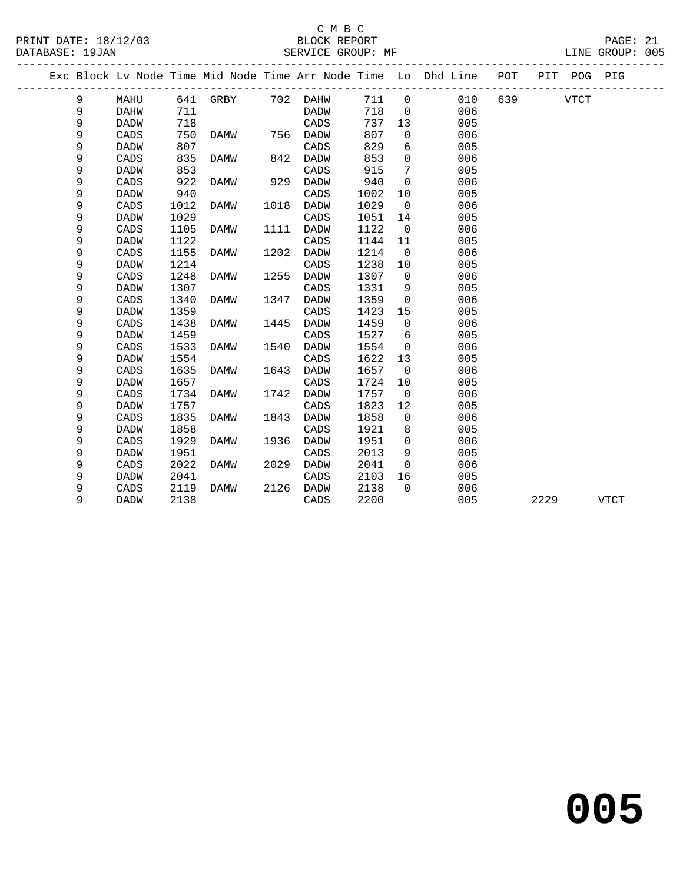### C M B C

| DATABASE: 19JAN |   |                 |      | SERVICE GROUP: MF |      |      |      |                | _______________                                                    |          |      |             | LINE GROUP: 005 |  |
|-----------------|---|-----------------|------|-------------------|------|------|------|----------------|--------------------------------------------------------------------|----------|------|-------------|-----------------|--|
|                 |   |                 |      |                   |      |      |      |                | Exc Block Lv Node Time Mid Node Time Arr Node Time Lo Dhd Line POT |          |      | PIT POG PIG |                 |  |
|                 | 9 | MAHU            |      | 641 GRBY 702 DAHW |      |      | 711  | $\overline{0}$ | 010                                                                | 639 VTCT |      |             |                 |  |
|                 | 9 | DAHW            | 711  |                   |      | DADW | 718  | $\mathbf 0$    | 006                                                                |          |      |             |                 |  |
|                 | 9 | DADW            | 718  |                   |      | CADS | 737  | 13             | 005                                                                |          |      |             |                 |  |
|                 | 9 | CADS            | 750  | DAMW              | 756  | DADW | 807  | 0              | 006                                                                |          |      |             |                 |  |
|                 | 9 | <b>DADW</b>     | 807  |                   |      | CADS | 829  | 6              | 005                                                                |          |      |             |                 |  |
|                 | 9 | CADS            | 835  | DAMW              | 842  | DADW | 853  | $\mathbf 0$    | 006                                                                |          |      |             |                 |  |
|                 | 9 | <b>DADW</b>     | 853  |                   |      | CADS | 915  | 7              | 005                                                                |          |      |             |                 |  |
|                 | 9 | CADS            | 922  | DAMW              | 929  | DADW | 940  | $\mathbf 0$    | 006                                                                |          |      |             |                 |  |
|                 | 9 | DADW            | 940  |                   |      | CADS | 1002 | 10             | 005                                                                |          |      |             |                 |  |
|                 | 9 | CADS            | 1012 | DAMW              | 1018 | DADW | 1029 | $\mathbf 0$    | 006                                                                |          |      |             |                 |  |
|                 | 9 | <b>DADW</b>     | 1029 |                   |      | CADS | 1051 | 14             | 005                                                                |          |      |             |                 |  |
|                 | 9 | CADS            | 1105 | DAMW              | 1111 | DADW | 1122 | $\mathsf{O}$   | 006                                                                |          |      |             |                 |  |
|                 | 9 | <b>DADW</b>     | 1122 |                   |      | CADS | 1144 | 11             | 005                                                                |          |      |             |                 |  |
|                 | 9 | CADS            | 1155 | DAMW              | 1202 | DADW | 1214 | $\mathsf{O}$   | 006                                                                |          |      |             |                 |  |
|                 | 9 | <b>DADW</b>     | 1214 |                   |      | CADS | 1238 | 10             | 005                                                                |          |      |             |                 |  |
|                 | 9 | CADS            | 1248 | DAMW              | 1255 | DADW | 1307 | $\mathbf 0$    | 006                                                                |          |      |             |                 |  |
|                 | 9 | <b>DADW</b>     | 1307 |                   |      | CADS | 1331 | 9              | 005                                                                |          |      |             |                 |  |
|                 | 9 | CADS            | 1340 | DAMW              | 1347 | DADW | 1359 | $\mathbf 0$    | 006                                                                |          |      |             |                 |  |
|                 | 9 | <b>DADW</b>     | 1359 |                   |      | CADS | 1423 | 15             | 005                                                                |          |      |             |                 |  |
|                 | 9 | CADS            | 1438 | DAMW              | 1445 | DADW | 1459 | $\mathbf 0$    | 006                                                                |          |      |             |                 |  |
|                 | 9 | <b>DADW</b>     | 1459 |                   |      | CADS | 1527 | 6              | 005                                                                |          |      |             |                 |  |
|                 | 9 | CADS            | 1533 | DAMW              | 1540 | DADW | 1554 | $\mathbf 0$    | 006                                                                |          |      |             |                 |  |
|                 | 9 | <b>DADW</b>     | 1554 |                   |      | CADS | 1622 | 13             | 005                                                                |          |      |             |                 |  |
|                 | 9 | $\mathtt{CADS}$ | 1635 | DAMW              | 1643 | DADW | 1657 | $\mathbf 0$    | 006                                                                |          |      |             |                 |  |
|                 | 9 | <b>DADW</b>     | 1657 |                   |      | CADS | 1724 | 10             | 005                                                                |          |      |             |                 |  |
|                 | 9 | CADS            | 1734 | DAMW              | 1742 | DADW | 1757 | $\overline{0}$ | 006                                                                |          |      |             |                 |  |
|                 | 9 | <b>DADW</b>     | 1757 |                   |      | CADS | 1823 | 12             | 005                                                                |          |      |             |                 |  |
|                 | 9 | CADS            | 1835 | DAMW              | 1843 | DADW | 1858 | 0              | 006                                                                |          |      |             |                 |  |
|                 | 9 | <b>DADW</b>     | 1858 |                   |      | CADS | 1921 | 8              | 005                                                                |          |      |             |                 |  |
|                 | 9 | CADS            | 1929 | DAMW              | 1936 | DADW | 1951 | $\mathbf 0$    | 006                                                                |          |      |             |                 |  |
|                 | 9 | <b>DADW</b>     | 1951 |                   |      | CADS | 2013 | 9              | 005                                                                |          |      |             |                 |  |
|                 | 9 | CADS            | 2022 | DAMW              | 2029 | DADW | 2041 | $\mathbf 0$    | 006                                                                |          |      |             |                 |  |
|                 | 9 | <b>DADW</b>     | 2041 |                   |      | CADS | 2103 | 16             | 005                                                                |          |      |             |                 |  |
|                 | 9 | CADS            | 2119 | DAMW              | 2126 | DADW | 2138 | $\Omega$       | 006                                                                |          |      |             |                 |  |
|                 | 9 | <b>DADW</b>     | 2138 |                   |      | CADS | 2200 |                | 005                                                                |          | 2229 |             | <b>VTCT</b>     |  |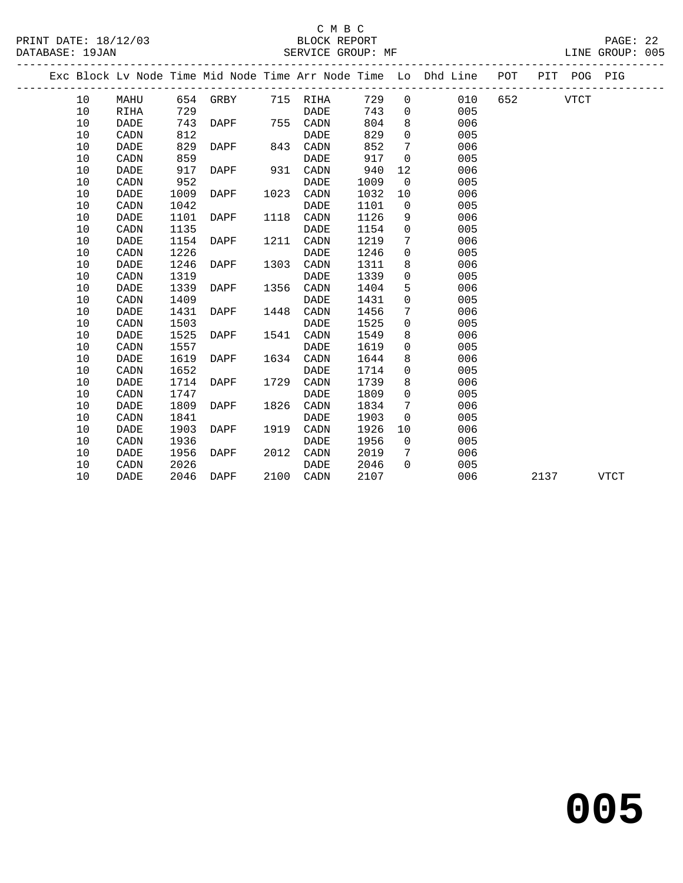PRINT DATE: 18/12/03 BLOCK REPORT<br>DATABASE: 19JAN SERVICE GROUP: MF

## C M B C<br>BLOCK REPORT

PAGE: 22<br>LINE GROUP: 005

|  |    |             |      |          |      |             |      |                | Exc Block Lv Node Time Mid Node Time Arr Node Time Lo Dhd Line POT |     |      | PIT POG PIG |             |  |
|--|----|-------------|------|----------|------|-------------|------|----------------|--------------------------------------------------------------------|-----|------|-------------|-------------|--|
|  | 10 | MAHU        |      | 654 GRBY |      | 715 RIHA    | 729  | $\overline{0}$ | 010                                                                | 652 |      | VTCT        |             |  |
|  | 10 | RIHA        | 729  |          |      | DADE        | 743  | $\overline{0}$ | 005                                                                |     |      |             |             |  |
|  | 10 | <b>DADE</b> | 743  | DAPF     |      | 755 CADN    | 804  | 8              | 006                                                                |     |      |             |             |  |
|  | 10 | CADN        | 812  |          |      | <b>DADE</b> | 829  | $\mathbf 0$    | 005                                                                |     |      |             |             |  |
|  | 10 | <b>DADE</b> | 829  | DAPF     | 843  | CADN        | 852  | 7              | 006                                                                |     |      |             |             |  |
|  | 10 | CADN        | 859  |          |      | <b>DADE</b> | 917  | $\mathbf 0$    | 005                                                                |     |      |             |             |  |
|  | 10 | DADE        | 917  | DAPF     | 931  | CADN        | 940  | 12             | 006                                                                |     |      |             |             |  |
|  | 10 | CADN        | 952  |          |      | DADE        | 1009 | $\overline{0}$ | 005                                                                |     |      |             |             |  |
|  | 10 | <b>DADE</b> | 1009 | DAPF     | 1023 | CADN        | 1032 | 10             | 006                                                                |     |      |             |             |  |
|  | 10 | CADN        | 1042 |          |      | DADE        | 1101 | $\Omega$       | 005                                                                |     |      |             |             |  |
|  | 10 | <b>DADE</b> | 1101 | DAPF     | 1118 | CADN        | 1126 | 9              | 006                                                                |     |      |             |             |  |
|  | 10 | CADN        | 1135 |          |      | <b>DADE</b> | 1154 | $\overline{0}$ | 005                                                                |     |      |             |             |  |
|  | 10 | <b>DADE</b> | 1154 | DAPF     | 1211 | CADN        | 1219 | 7              | 006                                                                |     |      |             |             |  |
|  | 10 | CADN        | 1226 |          |      | <b>DADE</b> | 1246 | $\mathbf 0$    | 005                                                                |     |      |             |             |  |
|  | 10 | <b>DADE</b> | 1246 | DAPF     | 1303 | CADN        | 1311 | 8              | 006                                                                |     |      |             |             |  |
|  | 10 | CADN        | 1319 |          |      | <b>DADE</b> | 1339 | $\mathbf 0$    | 005                                                                |     |      |             |             |  |
|  | 10 | DADE        | 1339 | DAPF     | 1356 | CADN        | 1404 | 5              | 006                                                                |     |      |             |             |  |
|  | 10 | CADN        | 1409 |          |      | DADE        | 1431 | $\mathbf 0$    | 005                                                                |     |      |             |             |  |
|  | 10 | <b>DADE</b> | 1431 | DAPF     | 1448 | CADN        | 1456 | 7              | 006                                                                |     |      |             |             |  |
|  | 10 | CADN        | 1503 |          |      | DADE        | 1525 | $\mathbf 0$    | 005                                                                |     |      |             |             |  |
|  | 10 | <b>DADE</b> | 1525 | DAPF     | 1541 | CADN        | 1549 | 8              | 006                                                                |     |      |             |             |  |
|  | 10 | CADN        | 1557 |          |      | <b>DADE</b> | 1619 | $\mathbf 0$    | 005                                                                |     |      |             |             |  |
|  | 10 | <b>DADE</b> | 1619 | DAPF     | 1634 | CADN        | 1644 | 8              | 006                                                                |     |      |             |             |  |
|  | 10 | CADN        | 1652 |          |      | <b>DADE</b> | 1714 | $\mathbf 0$    | 005                                                                |     |      |             |             |  |
|  | 10 | DADE        | 1714 | DAPF     | 1729 | CADN        | 1739 | 8              | 006                                                                |     |      |             |             |  |
|  | 10 | CADN        | 1747 |          |      | DADE        | 1809 | $\mathbf 0$    | 005                                                                |     |      |             |             |  |
|  | 10 | DADE        | 1809 | DAPF     | 1826 | CADN        | 1834 | 7              | 006                                                                |     |      |             |             |  |
|  | 10 | CADN        | 1841 |          |      | DADE        | 1903 | $\Omega$       | 005                                                                |     |      |             |             |  |
|  | 10 | <b>DADE</b> | 1903 | DAPF     | 1919 | CADN        | 1926 | 10             | 006                                                                |     |      |             |             |  |
|  | 10 | CADN        | 1936 |          |      | <b>DADE</b> | 1956 | $\overline{0}$ | 005                                                                |     |      |             |             |  |
|  | 10 | DADE        | 1956 | DAPF     | 2012 | CADN        | 2019 | 7              | 006                                                                |     |      |             |             |  |
|  | 10 | CADN        | 2026 |          |      | DADE        | 2046 | $\Omega$       | 005                                                                |     |      |             |             |  |
|  | 10 | <b>DADE</b> | 2046 | DAPF     |      | 2100 CADN   | 2107 |                | 006                                                                |     | 2137 |             | <b>VTCT</b> |  |
|  |    |             |      |          |      |             |      |                |                                                                    |     |      |             |             |  |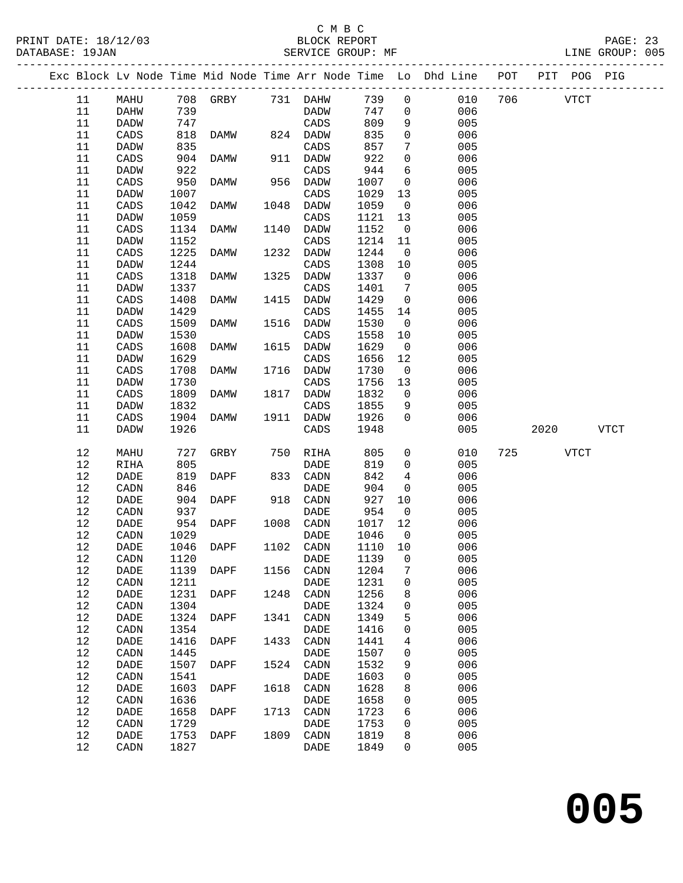### C M B C<br>BLOCK REPORT

PAGE: 23<br>LINE GROUP: 005

|              |                 |              |                   |      |                   |              |                         | Exc Block Lv Node Time Mid Node Time Arr Node Time Lo Dhd Line POT PIT POG PIG |          |      |
|--------------|-----------------|--------------|-------------------|------|-------------------|--------------|-------------------------|--------------------------------------------------------------------------------|----------|------|
| 11           | MAHU            |              | 708 GRBY 731 DAHW |      |                   | 739          | $\overline{0}$          | 010                                                                            | 706 VTCT |      |
| 11           | DAHW            | 739          |                   |      | DADW              | 747          | $\overline{0}$          | 006                                                                            |          |      |
| 11           | DADW            | 747          |                   |      | CADS              | 809          | 9                       | 005                                                                            |          |      |
| 11           | CADS            | 818          | DAMW              |      | 824 DADW          | 835          | $\mathbf 0$             | 006                                                                            |          |      |
| 11           | DADW            | 835          |                   |      | CADS              | 857          | $7\phantom{.0}$         | 005                                                                            |          |      |
| 11           | CADS            | 904          | DAMW              |      | 911 DADW          | 922          | $\mathsf{O}$            | 006                                                                            |          |      |
| 11           | DADW            | 922          |                   |      | CADS              | 944          | 6                       | 005                                                                            |          |      |
| 11           | CADS            | 950          | DAMW              |      | 956 DADW          | 1007         | $\overline{0}$          | 006                                                                            |          |      |
| 11           | DADW            | 1007         |                   |      | CADS              | 1029         | 13                      | 005                                                                            |          |      |
| 11           | CADS            | 1042         | DAMW              |      | 1048 DADW         | 1059         | $\overline{0}$          | 006                                                                            |          |      |
| 11           | DADW            | 1059         |                   |      | CADS              | 1121         | 13                      | 005                                                                            |          |      |
| 11           | CADS            | 1134         | DAMW              | 1140 | DADW              | 1152         | $\overline{\mathbf{0}}$ | 006                                                                            |          |      |
| 11           | DADW            | 1152         |                   |      | CADS              | 1214         | 11                      | 005                                                                            |          |      |
| 11           |                 |              |                   | 1232 |                   | 1244         | $\overline{0}$          |                                                                                |          |      |
|              | CADS            | 1225         | DAMW              |      | DADW              |              |                         | 006                                                                            |          |      |
| 11           | DADW            | 1244         |                   |      | CADS              | 1308         | 10                      | 005                                                                            |          |      |
| 11           | CADS            | 1318         | DAMW              | 1325 | DADW              | 1337         | $\overline{0}$          | 006                                                                            |          |      |
| 11           | DADW            | 1337         |                   |      | CADS              | 1401         | 7                       | 005                                                                            |          |      |
| 11           | CADS            | 1408         | DAMW              |      | 1415 DADW         | 1429         | $\overline{0}$          | 006                                                                            |          |      |
| 11           | DADW            | 1429         |                   |      | CADS              | 1455         | 14                      | 005                                                                            |          |      |
| 11           | CADS            | 1509         | DAMW              | 1516 | DADW              | 1530         | $\overline{0}$          | 006                                                                            |          |      |
| 11           | DADW            | 1530         |                   |      | CADS              | 1558         | 10                      | 005                                                                            |          |      |
| 11           | $\mathtt{CADS}$ | 1608         | DAMW              | 1615 | DADW              | 1629         | $\overline{0}$          | 006                                                                            |          |      |
| 11           | DADW            | 1629         |                   |      | CADS              | 1656         | 12                      | 005                                                                            |          |      |
| 11           | CADS            | 1708         | DAMW              |      | 1716 DADW         | 1730         | $\overline{0}$          | 006                                                                            |          |      |
| 11           | DADW            | 1730         |                   |      | CADS              | 1756         | 13                      | 005                                                                            |          |      |
| 11           | CADS            | 1809         | DAMW              |      | 1817 DADW         | 1832         | $\overline{\mathbf{0}}$ | 006                                                                            |          |      |
| 11           | DADW            | 1832         |                   |      | CADS              | 1855         | 9                       | 005                                                                            |          |      |
| 11           | CADS            | 1904         | DAMW              |      | 1911 DADW         | 1926         | $\overline{0}$          | 006                                                                            |          |      |
| 11           | <b>DADW</b>     | 1926         |                   |      | CADS              | 1948         |                         | 005                                                                            | 2020     | VTCT |
| 12           | MAHU            | 727          | GRBY              |      | 750 RIHA          | 805          | $\overline{0}$          | 010                                                                            | 725 VTCT |      |
| 12           | <b>RIHA</b>     | 805          |                   |      | <b>DADE</b>       | 819          | $\overline{0}$          | 005                                                                            |          |      |
| $12$         | DADE            | 819          | DAPF              |      | 833 CADN          | 842          | $\overline{4}$          | 006                                                                            |          |      |
| $12$         | CADN            | 846          |                   |      | <b>DADE</b>       | 904          | $\overline{0}$          | 005                                                                            |          |      |
| 12           | DADE            | 904          | DAPF              |      | 918 CADN          | 927          | 10                      | 006                                                                            |          |      |
| 12           | CADN            | 937          |                   |      | DADE              | 954          | $\overline{\mathbf{0}}$ | 005                                                                            |          |      |
| $12$         | DADE            | 954          | DAPF              |      | 1008 CADN         | 1017         | 12                      | 006                                                                            |          |      |
| $12\,$       | CADN            | 1029         |                   |      | DADE              | 1046         | $\overline{0}$          | 005                                                                            |          |      |
| 12           |                 |              | 1046 DAPF         |      |                   | 1110         | 10                      | 006                                                                            |          |      |
|              | DADE            |              |                   |      | 1102 CADN         |              |                         |                                                                                |          |      |
| 12           | CADN            |              | $1120$ DADE       |      |                   | 1139 0       |                         | 005                                                                            |          |      |
| 12           | DADE            | 1139         | DAPF              |      | 1156 CADN         | 1204         | 7                       | 006                                                                            |          |      |
| $12\,$       | CADN            | 1211         |                   |      | DADE              | 1231         | 0                       | 005                                                                            |          |      |
| 12           | DADE            | 1231         | DAPF              | 1248 | CADN              | 1256         | 8                       | 006                                                                            |          |      |
| $1\,2$       | CADN            | 1304         |                   |      | DADE              | 1324         | 0                       | 005                                                                            |          |      |
| $12$         | $\mathtt{DADE}$ | 1324         | DAPF              | 1341 | CADN              | 1349         | 5                       | 006                                                                            |          |      |
| $1\,2$       | CADN            | 1354         |                   |      | DADE              | 1416         | 0                       | 005                                                                            |          |      |
| $12$         | DADE            | 1416         | DAPF              | 1433 | CADN              | 1441         | 4                       | 006                                                                            |          |      |
| $12$         | CADN            | 1445         |                   |      | DADE              | 1507         | 0                       | 005                                                                            |          |      |
| $12$         | DADE            | 1507         | DAPF              | 1524 | CADN              | 1532         | 9                       | 006                                                                            |          |      |
| $1\,2$       | CADN            | 1541         |                   |      | DADE              | 1603         | 0                       | 005                                                                            |          |      |
| $1\,2$       | DADE            | 1603         | DAPF              | 1618 | CADN              | 1628         | 8                       | 006                                                                            |          |      |
| 12           | CADN            | 1636         |                   |      | DADE              | 1658         | 0                       | 005                                                                            |          |      |
| $1\,2$       | DADE            | 1658         | DAPF              | 1713 | CADN              | 1723         | 6                       | 006                                                                            |          |      |
|              |                 |              |                   |      |                   | 1753         |                         | 005                                                                            |          |      |
|              |                 |              |                   |      |                   |              |                         |                                                                                |          |      |
| 12           | CADN            | 1729         |                   |      | DADE              |              | 0                       |                                                                                |          |      |
| $1\,2$<br>12 | DADE<br>CADN    | 1753<br>1827 | DAPF              |      | 1809 CADN<br>DADE | 1819<br>1849 | 8<br>0                  | 006<br>005                                                                     |          |      |

**005**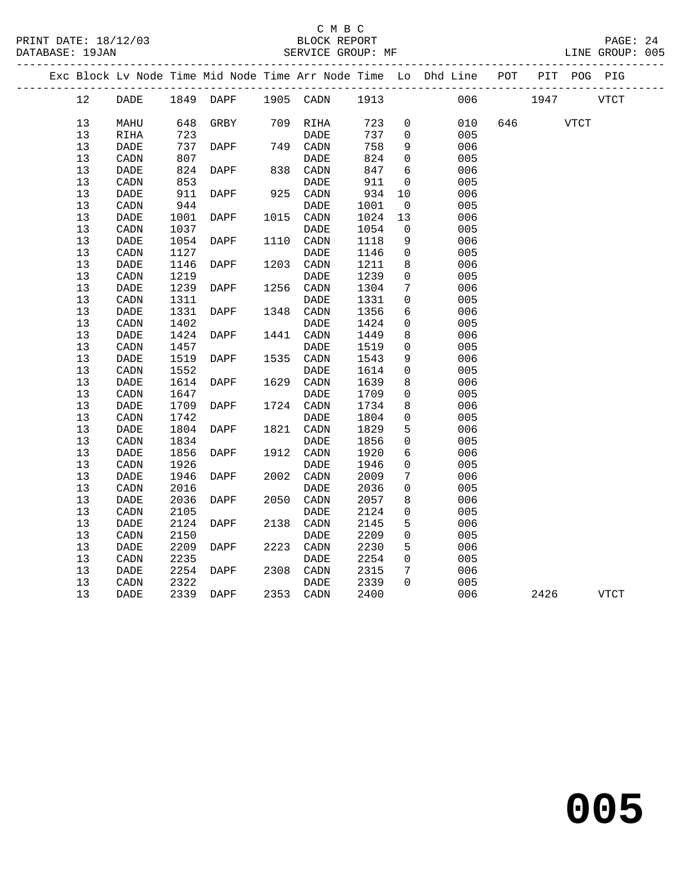PRINT DATE: 18/12/03 BLOCK REPORT PAGE: 24 SERVICE GROUP: MF -------------------------------------------------------------------------------------------------

|  |          |                                      |              |           |      |                              |              |              | Exc Block Lv Node Time Mid Node Time Arr Node Time Lo Dhd Line | POT | PIT  |             | POG PIG     |
|--|----------|--------------------------------------|--------------|-----------|------|------------------------------|--------------|--------------|----------------------------------------------------------------|-----|------|-------------|-------------|
|  | 12       | DADE                                 |              | 1849 DAPF |      | 1905 CADN                    | 1913         |              | 006                                                            |     | 1947 |             | <b>VTCT</b> |
|  | 13       | MAHU                                 | 648          | GRBY      | 709  | RIHA                         | 723          | $\mathbf 0$  | 010                                                            | 646 |      | <b>VTCT</b> |             |
|  | 13       | RIHA                                 | 723          |           |      | DADE                         | 737          | $\mathbf 0$  | 005                                                            |     |      |             |             |
|  | 13       | DADE                                 | 737          | DAPF      | 749  | CADN                         | 758          | 9            | 006                                                            |     |      |             |             |
|  | 13       | CADN                                 | 807          |           |      | DADE                         | 824          | 0            | 005                                                            |     |      |             |             |
|  | 13       | DADE                                 | 824          | DAPF      | 838  | CADN                         | 847          | 6            | 006                                                            |     |      |             |             |
|  | 13       | CADN                                 | 853          |           |      | DADE                         | 911          | 0            | 005                                                            |     |      |             |             |
|  | 13       | DADE                                 | 911          | DAPF      | 925  | CADN                         | 934          | 10           | 006                                                            |     |      |             |             |
|  | 13       | $\texttt{CADN}\xspace$               | 944          |           |      | $\ensuremath{\mathsf{DADE}}$ | 1001         | $\mathsf{O}$ | 005                                                            |     |      |             |             |
|  | 13       | DADE                                 | 1001         | DAPF      | 1015 | CADN                         | 1024         | 13           | 006                                                            |     |      |             |             |
|  | 13       | CADN                                 | 1037         |           |      | DADE                         | 1054         | 0            | 005                                                            |     |      |             |             |
|  | 13       | DADE                                 | 1054         | DAPF      | 1110 | CADN                         | 1118         | 9            | 006                                                            |     |      |             |             |
|  | 13       | CADN                                 | 1127         |           |      | DADE                         | 1146         | 0            | 005                                                            |     |      |             |             |
|  | 13       | $\ensuremath{\mathsf{DADE}}$         | 1146         | DAPF      | 1203 | $\texttt{CADN}\xspace$       | 1211         | 8            | 006                                                            |     |      |             |             |
|  | 13       | CADN                                 | 1219         |           |      | <b>DADE</b>                  | 1239         | 0            | 005                                                            |     |      |             |             |
|  | 13       | DADE                                 | 1239         | DAPF      | 1256 | CADN                         | 1304         | 7            | 006                                                            |     |      |             |             |
|  | 13       | CADN                                 | 1311         |           |      | <b>DADE</b>                  | 1331         | 0            | 005                                                            |     |      |             |             |
|  | 13       | DADE                                 | 1331         | DAPF      | 1348 | CADN                         | 1356         | 6            | 006                                                            |     |      |             |             |
|  | 13       | CADN                                 | 1402         |           |      | DADE                         | 1424         | 0            | 005                                                            |     |      |             |             |
|  | 13       | DADE                                 | 1424         | DAPF      | 1441 | $\texttt{CADN}\xspace$       | 1449         | 8            | 006                                                            |     |      |             |             |
|  | 13       | CADN                                 | 1457         |           |      | <b>DADE</b>                  | 1519         | 0            | 005                                                            |     |      |             |             |
|  | 13       | $\ensuremath{\mathsf{DADE}}$         | 1519         | DAPF      | 1535 | $\texttt{CADN}\xspace$       | 1543         | 9            | 006                                                            |     |      |             |             |
|  | 13       | CADN                                 | 1552         |           |      | DADE                         | 1614         | 0            | 005                                                            |     |      |             |             |
|  | 13       | DADE                                 | 1614         | DAPF      | 1629 | CADN                         | 1639         | 8            | 006                                                            |     |      |             |             |
|  | 13       | CADN                                 | 1647         |           |      | DADE                         | 1709         | 0            | 005                                                            |     |      |             |             |
|  | 13       | DADE                                 | 1709         | DAPF      | 1724 | CADN                         | 1734         | 8            | 006                                                            |     |      |             |             |
|  | 13       | CADN                                 | 1742         |           |      | DADE                         | 1804         | 0            | 005                                                            |     |      |             |             |
|  | 13       | DADE                                 | 1804         | DAPF      | 1821 | $\texttt{CADN}\xspace$       | 1829         | 5            | 006                                                            |     |      |             |             |
|  | 13       | CADN                                 | 1834         |           |      | DADE                         | 1856         | 0            | 005                                                            |     |      |             |             |
|  | 13       | DADE                                 | 1856         | DAPF      | 1912 | CADN                         | 1920         | 6            | 006                                                            |     |      |             |             |
|  | 13<br>13 | CADN                                 | 1926         |           |      | <b>DADE</b>                  | 1946         | 0            | 005                                                            |     |      |             |             |
|  |          | $\ensuremath{\mathsf{DADE}}$         | 1946         | DAPF      | 2002 | $\texttt{CADN}\xspace$       | 2009         | 7            | 006                                                            |     |      |             |             |
|  | 13       | CADN                                 | 2016         |           |      | <b>DADE</b>                  | 2036         | $\mathbf 0$  | 005                                                            |     |      |             |             |
|  | 13       | DADE                                 | 2036         | DAPF      | 2050 | CADN                         | 2057         | 8            | 006                                                            |     |      |             |             |
|  | 13<br>13 | CADN<br>DADE                         | 2105<br>2124 |           | 2138 | DADE                         | 2124<br>2145 | 0<br>5       | 005<br>006                                                     |     |      |             |             |
|  |          | CADN                                 |              | DAPF      |      | CADN<br><b>DADE</b>          |              | 0            | 005                                                            |     |      |             |             |
|  | 13<br>13 | DADE                                 | 2150<br>2209 | DAPF      | 2223 | $\texttt{CADN}\xspace$       | 2209<br>2230 |              | 006                                                            |     |      |             |             |
|  | 13       |                                      | 2235         |           |      | DADE                         | 2254         | 5<br>0       | 005                                                            |     |      |             |             |
|  | 13       | CADN<br>$\ensuremath{\mathsf{DADE}}$ | 2254         | DAPF      | 2308 | $\texttt{CADN}\xspace$       | 2315         | 7            | 006                                                            |     |      |             |             |
|  | 13       |                                      | 2322         |           |      | DADE                         | 2339         | $\Omega$     | 005                                                            |     |      |             |             |
|  | 13       | CADN<br>DADE                         | 2339         |           | 2353 |                              | 2400         |              | 006                                                            |     | 2426 |             | <b>VTCT</b> |
|  |          |                                      |              | DAPF      |      | CADN                         |              |              |                                                                |     |      |             |             |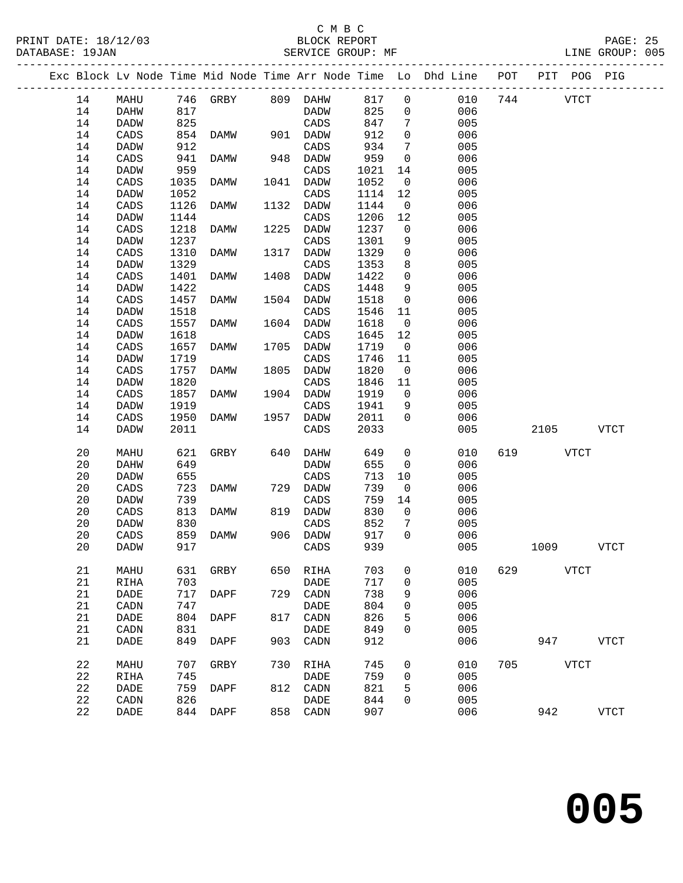DATABASE: 19JAN

#### C M B C<br>BLOCK REPORT<br>SERVICE GROUP: MF PRINT DATE: 18/12/03 BLOCK REPORT PAGE: 25

|  | DAIABASE: 19JAN |      |      |      |      | SERATCE GKOOL: ME |      |                |                                                                |     |             | TINE GKOUL: 002 |  |
|--|-----------------|------|------|------|------|-------------------|------|----------------|----------------------------------------------------------------|-----|-------------|-----------------|--|
|  |                 |      |      |      |      |                   |      |                | Exc Block Ly Node Time Mid Node Time Arr Node Time Lo Dhd Line | POT | PIT<br>POG  | PIG             |  |
|  | 14              | MAHU | 746  | GRBY | 809  | DAHW              | 817  | - 0            | 010                                                            | 744 | <b>VTCT</b> |                 |  |
|  | 14              | DAHW | 817  |      |      | DADW              | 825  | $\overline{0}$ | 006                                                            |     |             |                 |  |
|  | 14              | DADW | 825  |      |      | CADS              | 847  | 7              | 005                                                            |     |             |                 |  |
|  | 14              | CADS | 854  | DAMW | 901  | DADW              | 912  | $\Omega$       | 006                                                            |     |             |                 |  |
|  | 14              | DADW | 912  |      |      | CADS              | 934  | -7             | 005                                                            |     |             |                 |  |
|  | 14              | CADS | 941  | DAMW | 948  | DADW              | 959  | $\Omega$       | 006                                                            |     |             |                 |  |
|  | 14              | DADW | 959  |      |      | CADS              | 1021 | 14             | 005                                                            |     |             |                 |  |
|  | 14              | CADS | 1035 | DAMW | 1041 | DADW              | 1052 | $\Omega$       | 006                                                            |     |             |                 |  |
|  |                 |      |      |      |      |                   |      |                |                                                                |     |             |                 |  |

| + +         | ື້                           | - - - | 22.21       |      | ້                            | - - - - |                     | $\sim$ $\sim$ |     |             |          |  |
|-------------|------------------------------|-------|-------------|------|------------------------------|---------|---------------------|---------------|-----|-------------|----------|--|
| 14          | DADW                         | 959   |             |      | CADS                         | 1021    | 14                  | 005           |     |             |          |  |
| 14          | $\mathtt{CADS}$              | 1035  | DAMW        |      | 1041 DADW                    | 1052    | $\overline{0}$      | 006           |     |             |          |  |
|             |                              |       |             |      |                              |         |                     |               |     |             |          |  |
| 14          | <b>DADW</b>                  | 1052  |             |      | $\mathtt{CADS}$              | 1114    | 12                  | 005           |     |             |          |  |
| 14          | CADS                         | 1126  | DAMW        | 1132 | <b>DADW</b>                  | 1144    | $\mathbb O$         | 006           |     |             |          |  |
| 14          | <b>DADW</b>                  | 1144  |             |      | $\mathtt{CADS}$              | 1206    | 12                  | 005           |     |             |          |  |
| 14          | CADS                         | 1218  | <b>DAMW</b> | 1225 | <b>DADW</b>                  | 1237    | $\mathsf 0$         | 006           |     |             |          |  |
| 14          | DADW                         | 1237  |             |      | CADS                         | 1301    | 9                   | 005           |     |             |          |  |
|             |                              |       |             |      |                              |         |                     |               |     |             |          |  |
| 14          | $\mathtt{CADS}$              | 1310  | <b>DAMW</b> | 1317 | <b>DADW</b>                  | 1329    | $\mathsf 0$         | 006           |     |             |          |  |
| 14          | <b>DADW</b>                  | 1329  |             |      | CADS                         | 1353    | $\,8\,$             | 005           |     |             |          |  |
| 14          | CADS                         | 1401  | <b>DAMW</b> | 1408 | DADW                         | 1422    | 0                   | 006           |     |             |          |  |
| 14          | <b>DADW</b>                  | 1422  |             |      | CADS                         | 1448    | 9                   | 005           |     |             |          |  |
| 14          | CADS                         | 1457  | <b>DAMW</b> | 1504 | <b>DADW</b>                  | 1518    | $\mathsf 0$         | 006           |     |             |          |  |
|             |                              |       |             |      | CADS                         |         |                     |               |     |             |          |  |
| 14          | <b>DADW</b>                  | 1518  |             |      |                              | 1546    | 11                  | 005           |     |             |          |  |
| 14          | $\mathtt{CADS}$              | 1557  | DAMW        | 1604 | DADW                         | 1618    | $\mathsf 0$         | 006           |     |             |          |  |
| 14          | <b>DADW</b>                  | 1618  |             |      | CADS                         | 1645    | $1\,2$              | 005           |     |             |          |  |
| 14          | CADS                         | 1657  | <b>DAMW</b> | 1705 | DADW                         | 1719    | $\overline{0}$      | 006           |     |             |          |  |
| 14          | <b>DADW</b>                  | 1719  |             |      | $\mathtt{CADS}$              | 1746    | $11\,$              | 005           |     |             |          |  |
| 14          | CADS                         | 1757  | DAMW        | 1805 | DADW                         | 1820    | $\overline{0}$      | 006           |     |             |          |  |
|             |                              |       |             |      |                              |         |                     |               |     |             |          |  |
| 14          | <b>DADW</b>                  | 1820  |             |      | CADS                         | 1846    | 11                  | 005           |     |             |          |  |
| 14          | $\mathtt{CADS}$              | 1857  | DAMW        | 1904 | <b>DADW</b>                  | 1919    | $\mathsf 0$         | 006           |     |             |          |  |
| 14          | DADW                         | 1919  |             |      | $\mathtt{CADS}$              | 1941    | 9                   | 005           |     |             |          |  |
| 14          | $\mathtt{CADS}$              | 1950  | DAMW        | 1957 | DADW                         | 2011    | $\mathbf 0$         | 006           |     |             |          |  |
| 14          | DADW                         | 2011  |             |      | $\mathtt{CADS}$              | 2033    |                     | 005           |     | 2105        | VTCT     |  |
|             |                              |       |             |      |                              |         |                     |               |     |             |          |  |
| 20          |                              |       |             | 640  | DAHW                         |         | $\mathsf{O}\xspace$ | 010           | 619 | <b>VTCT</b> |          |  |
|             | MAHU                         | 621   | GRBY        |      |                              | 649     |                     |               |     |             |          |  |
| $20\,$      | DAHW                         | 649   |             |      | DADW                         | 655     | $\mathbf 0$         | 006           |     |             |          |  |
| $20\,$      | DADW                         | 655   |             |      | $\mathtt{CADS}$              | 713     | $10$                | 005           |     |             |          |  |
| 20          | CADS                         | 723   | DAMW        | 729  | DADW                         | 739     | $\overline{0}$      | 006           |     |             |          |  |
| 20          | DADW                         | 739   |             |      | CADS                         | 759     | 14                  | 005           |     |             |          |  |
| 20          | CADS                         | 813   | DAMW        | 819  | DADW                         | 830     | $\mathbb O$         | 006           |     |             |          |  |
| 20          | DADW                         | 830   |             |      | $\mathtt{CADS}$              | 852     |                     | 005           |     |             |          |  |
|             |                              |       |             |      |                              |         | $\sqrt{ }$          |               |     |             |          |  |
| 20          | CADS                         | 859   | DAMW        | 906  | DADW                         | 917     | $\mathsf{O}\xspace$ | 006           |     |             |          |  |
| 20          | DADW                         | 917   |             |      | CADS                         | 939     |                     | 005           |     | 1009        | VTCT     |  |
|             |                              |       |             |      |                              |         |                     |               |     |             |          |  |
| 21          | MAHU                         | 631   | GRBY        | 650  | RIHA                         | 703     | $\mathsf{O}$        | 010           | 629 | VTCT        |          |  |
| 21          | RIHA                         | 703   |             |      | DADE                         | 717     | 0                   | 005           |     |             |          |  |
| 21          | $\ensuremath{\mathsf{DADE}}$ | 717   | DAPF        | 729  | $\texttt{CADN}\xspace$       | 738     | 9                   | 006           |     |             |          |  |
| 21          | $\texttt{CADN}\xspace$       | 747   |             |      | $\ensuremath{\mathsf{DADE}}$ | 804     | 0                   | 005           |     |             |          |  |
|             |                              |       |             |      |                              |         |                     |               |     |             |          |  |
| 21          | DADE                         | 804   | DAPF        | 817  | $\texttt{CADN}\xspace$       | 826     | 5                   | 006           |     |             |          |  |
| 21          | CADN                         | 831   |             |      | <b>DADE</b>                  | 849     | 0                   | 005           |     |             |          |  |
| 21          | <b>DADE</b>                  | 849   | DAPF        | 903  | $\mathtt{CADN}$              | 912     |                     | 006           |     |             | 947 VTCT |  |
|             |                              |       |             |      |                              |         |                     |               |     |             |          |  |
| $2\sqrt{2}$ | MAHU                         | 707   | GRBY        | 730  | RIHA                         | 745     | $\mathsf{O}$        | 010           | 705 | <b>VTCT</b> |          |  |
| $2\sqrt{2}$ | RIHA                         | 745   |             |      | $\ensuremath{\mathsf{DADE}}$ | 759     | $\mathsf{O}\xspace$ | 005           |     |             |          |  |
| $2\sqrt{2}$ | DADE                         | 759   | DAPF        | 812  | $\mathtt{CADN}$              | 821     | 5                   | 006           |     |             |          |  |
| 22          |                              | 826   |             |      | <b>DADE</b>                  | 844     | $\mathsf{O}$        | 005           |     |             |          |  |
| 22          | CADN                         |       |             |      |                              |         |                     |               |     |             |          |  |
|             | <b>DADE</b>                  | 844   | DAPF        | 858  | CADN                         | 907     |                     | 006           |     |             | 942 VTCT |  |
|             |                              |       |             |      |                              |         |                     |               |     |             |          |  |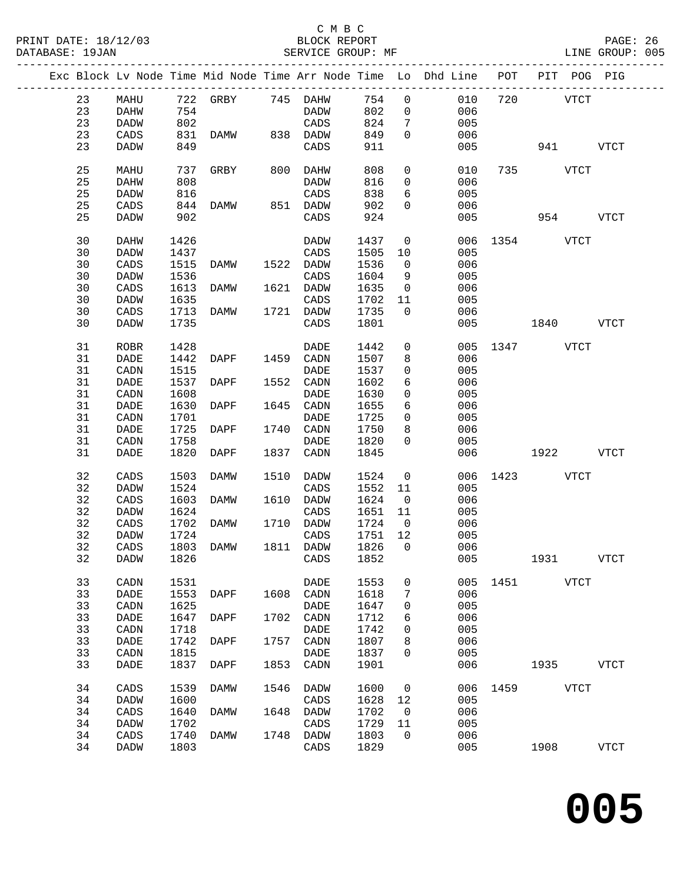### C M B C<br>BLOCK REPORT

|  |    |             |      | Exc Block Lv Node Time Mid Node Time Arr Node Time Lo Dhd Line POT PIT POG PIG |      |                 |      |                         |     |               |             |              |
|--|----|-------------|------|--------------------------------------------------------------------------------|------|-----------------|------|-------------------------|-----|---------------|-------------|--------------|
|  | 23 | MAHU        |      | 722 GRBY 745 DAHW                                                              |      |                 | 754  | $\overline{0}$          | 010 | 720           | <b>VTCT</b> |              |
|  | 23 | DAHW        | 754  |                                                                                |      | DADW            | 802  | $\overline{0}$          | 006 |               |             |              |
|  | 23 | DADW        | 802  |                                                                                |      | CADS            | 824  | $7\phantom{.0}$         | 005 |               |             |              |
|  | 23 | CADS        | 831  | DAMW 838 DADW                                                                  |      |                 | 849  | $\Omega$                | 006 |               |             |              |
|  | 23 | DADW        | 849  |                                                                                |      | CADS            | 911  |                         | 005 |               | 941         | VTCT         |
|  |    |             |      |                                                                                |      |                 |      |                         |     |               |             |              |
|  | 25 | MAHU        | 737  | GRBY                                                                           |      | 800 DAHW        | 808  | $\mathsf{O}$            | 010 |               | 735 VTCT    |              |
|  | 25 | DAHW        | 808  |                                                                                |      | DADW            | 816  | $\overline{0}$          | 006 |               |             |              |
|  | 25 | DADW        | 816  |                                                                                |      | CADS            | 838  | 6                       | 005 |               |             |              |
|  | 25 | CADS        | 844  | DAMW                                                                           |      | 851 DADW        | 902  | $\mathbf{0}$            | 006 |               |             |              |
|  | 25 | DADW        | 902  |                                                                                |      | CADS            | 924  |                         | 005 |               | 954 VTCT    |              |
|  |    |             |      |                                                                                |      |                 |      |                         |     |               |             |              |
|  | 30 | DAHW        | 1426 |                                                                                |      | DADW            | 1437 | $\overline{0}$          |     | 006 1354 VTCT |             |              |
|  | 30 | DADW        | 1437 |                                                                                |      | CADS            | 1505 | 10                      | 005 |               |             |              |
|  | 30 | CADS        | 1515 | DAMW                                                                           |      | 1522 DADW       | 1536 | $\overline{0}$          | 006 |               |             |              |
|  | 30 |             | 1536 |                                                                                |      |                 |      |                         |     |               |             |              |
|  |    | DADW        |      |                                                                                |      | CADS            | 1604 | 9                       | 005 |               |             |              |
|  | 30 | CADS        | 1613 | DAMW                                                                           |      | 1621 DADW       | 1635 | $\overline{0}$          | 006 |               |             |              |
|  | 30 | DADW        | 1635 |                                                                                |      | CADS            | 1702 | 11                      | 005 |               |             |              |
|  | 30 | CADS        | 1713 | DAMW                                                                           |      | 1721 DADW       | 1735 | $\overline{0}$          | 006 |               |             |              |
|  | 30 | <b>DADW</b> | 1735 |                                                                                |      | CADS            | 1801 |                         | 005 | $1840$ VTCT   |             |              |
|  |    |             |      |                                                                                |      |                 |      |                         |     |               |             |              |
|  | 31 | ROBR        | 1428 |                                                                                |      | DADE            | 1442 | $\overline{0}$          |     | 005 1347 VTCT |             |              |
|  | 31 | DADE        | 1442 | DAPF                                                                           |      | 1459 CADN       | 1507 | 8                       | 006 |               |             |              |
|  | 31 | CADN        | 1515 |                                                                                |      | DADE            | 1537 | 0                       | 005 |               |             |              |
|  | 31 | DADE        | 1537 | DAPF                                                                           |      | 1552 CADN       | 1602 | 6                       | 006 |               |             |              |
|  | 31 | CADN        | 1608 |                                                                                |      | DADE            | 1630 | $\mathbf 0$             | 005 |               |             |              |
|  | 31 | DADE        | 1630 | DAPF                                                                           |      | 1645 CADN       | 1655 | 6                       | 006 |               |             |              |
|  | 31 | CADN        | 1701 |                                                                                |      | DADE            | 1725 | $\overline{0}$          | 005 |               |             |              |
|  | 31 | DADE        | 1725 | DAPF                                                                           |      | 1740 CADN       | 1750 | 8                       | 006 |               |             |              |
|  | 31 | CADN        | 1758 |                                                                                |      | DADE            | 1820 | $\mathbf 0$             | 005 |               |             |              |
|  | 31 | <b>DADE</b> | 1820 | DAPF                                                                           |      | 1837 CADN       | 1845 |                         | 006 |               | 1922        | VTCT         |
|  |    |             |      |                                                                                |      |                 |      |                         |     |               |             |              |
|  | 32 | CADS        | 1503 | DAMW                                                                           |      | 1510 DADW       | 1524 | $\overline{0}$          | 006 | 1423 VTCT     |             |              |
|  | 32 | <b>DADW</b> | 1524 |                                                                                |      | CADS            | 1552 | 11                      | 005 |               |             |              |
|  | 32 | CADS        | 1603 | DAMW                                                                           |      | 1610 DADW       | 1624 | $\overline{0}$          | 006 |               |             |              |
|  | 32 | <b>DADW</b> | 1624 |                                                                                |      | CADS            | 1651 | 11                      | 005 |               |             |              |
|  | 32 | CADS        | 1702 | DAMW                                                                           |      | 1710 DADW       | 1724 | $\overline{\mathbf{0}}$ | 006 |               |             |              |
|  | 32 | DADW        | 1724 |                                                                                |      | $\mathtt{CADS}$ | 1751 | 12                      | 005 |               |             |              |
|  | 32 | CADS        | 1803 | DAMW                                                                           |      | 1811 DADW       | 1826 | $\overline{0}$          | 006 |               |             |              |
|  | 32 | <b>DADW</b> |      | 1826 CADS 1852                                                                 |      |                 |      |                         | 005 |               | 1931        | <b>VTCT</b>  |
|  |    |             |      |                                                                                |      |                 |      |                         |     |               |             |              |
|  | 33 | CADN        | 1531 |                                                                                |      | DADE            | 1553 | 0                       | 005 | 1451          | VTCT        |              |
|  | 33 | DADE        | 1553 | DAPF                                                                           | 1608 | CADN            | 1618 | 7                       | 006 |               |             |              |
|  | 33 | CADN        | 1625 |                                                                                |      | <b>DADE</b>     | 1647 | 0                       | 005 |               |             |              |
|  | 33 | DADE        | 1647 | DAPF                                                                           | 1702 | CADN            | 1712 | 6                       | 006 |               |             |              |
|  | 33 | CADN        | 1718 |                                                                                |      | DADE            | 1742 | 0                       | 005 |               |             |              |
|  | 33 | DADE        | 1742 | DAPF                                                                           | 1757 | CADN            | 1807 | 8                       | 006 |               |             |              |
|  | 33 | CADN        | 1815 |                                                                                |      | <b>DADE</b>     | 1837 | 0                       | 005 |               |             |              |
|  | 33 | DADE        | 1837 | DAPF                                                                           | 1853 | CADN            | 1901 |                         | 006 |               | 1935        | <b>VTCT</b>  |
|  |    |             |      |                                                                                |      |                 |      |                         |     |               |             |              |
|  | 34 | CADS        | 1539 | DAMW                                                                           | 1546 | DADW            | 1600 | 0                       | 006 | 1459 VTCT     |             |              |
|  | 34 | DADW        | 1600 |                                                                                |      | CADS            | 1628 | 12                      | 005 |               |             |              |
|  | 34 | CADS        | 1640 | DAMW                                                                           | 1648 | DADW            | 1702 | 0                       | 006 |               |             |              |
|  | 34 | DADW        | 1702 |                                                                                |      | CADS            | 1729 | 11                      | 005 |               |             |              |
|  | 34 | CADS        | 1740 | DAMW                                                                           | 1748 | DADW            | 1803 | 0                       | 006 |               |             |              |
|  | 34 | DADW        | 1803 |                                                                                |      | CADS            | 1829 |                         | 005 |               | 1908        | ${\tt VTCT}$ |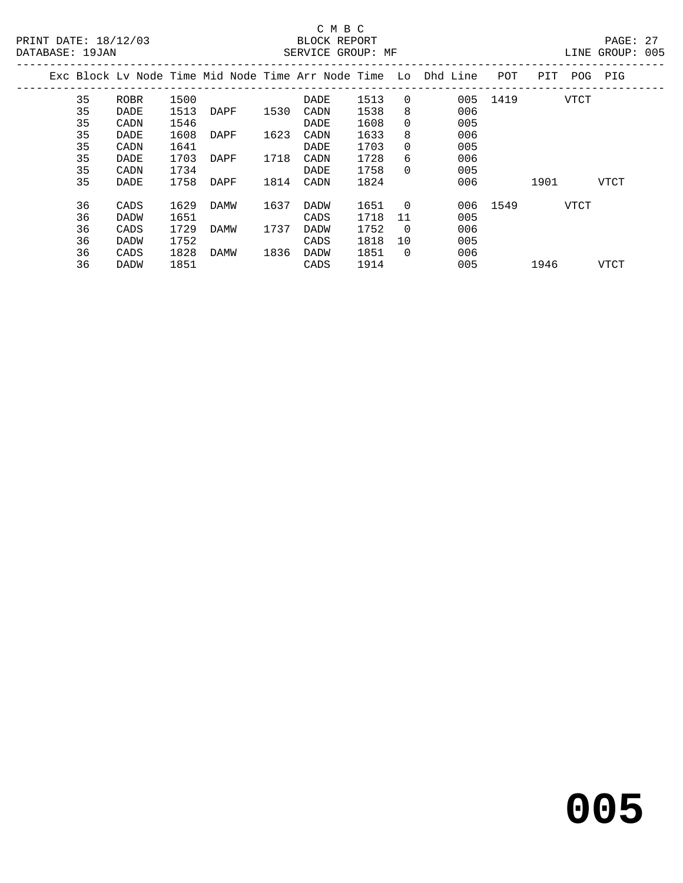#### C M B C<br>BLOCK REPORT SERVICE GROUP: MF

|  |    |             |      |      |      |      |      |                | Exc Block Ly Node Time Mid Node Time Arr Node Time Lo Dhd Line | POT      | PIT  | POG  | PIG  |  |
|--|----|-------------|------|------|------|------|------|----------------|----------------------------------------------------------------|----------|------|------|------|--|
|  | 35 | ROBR        | 1500 |      |      | DADE | 1513 | $\Omega$       | 005                                                            | 1419     |      | VTCT |      |  |
|  | 35 | DADE        | 1513 | DAPF | 1530 | CADN | 1538 | 8              | 006                                                            |          |      |      |      |  |
|  | 35 | CADN        | 1546 |      |      | DADE | 1608 | $\Omega$       | 005                                                            |          |      |      |      |  |
|  | 35 | DADE        | 1608 | DAPF | 1623 | CADN | 1633 | 8              | 006                                                            |          |      |      |      |  |
|  | 35 | CADN        | 1641 |      |      | DADE | 1703 | $\Omega$       | 005                                                            |          |      |      |      |  |
|  | 35 | DADE        | 1703 | DAPF | 1718 | CADN | 1728 | 6              | 006                                                            |          |      |      |      |  |
|  | 35 | CADN        | 1734 |      |      | DADE | 1758 | $\Omega$       | 005                                                            |          |      |      |      |  |
|  | 35 | DADE        | 1758 | DAPF | 1814 | CADN | 1824 |                | 006                                                            |          | 1901 |      | VTCT |  |
|  | 36 | CADS        | 1629 | DAMW | 1637 | DADW | 1651 | $\overline{0}$ |                                                                | 006 1549 |      | VTCT |      |  |
|  | 36 | <b>DADW</b> | 1651 |      |      | CADS | 1718 | 11             | 005                                                            |          |      |      |      |  |
|  | 36 | CADS        | 1729 | DAMW | 1737 | DADW | 1752 | $\Omega$       | 006                                                            |          |      |      |      |  |
|  | 36 | <b>DADW</b> | 1752 |      |      | CADS | 1818 | 10             | 005                                                            |          |      |      |      |  |
|  | 36 | CADS        | 1828 | DAMW | 1836 | DADW | 1851 | $\Omega$       | 006                                                            |          |      |      |      |  |
|  | 36 | <b>DADW</b> | 1851 |      |      | CADS | 1914 |                | 005                                                            |          | 1946 |      | VTCT |  |
|  |    |             |      |      |      |      |      |                |                                                                |          |      |      |      |  |

**005**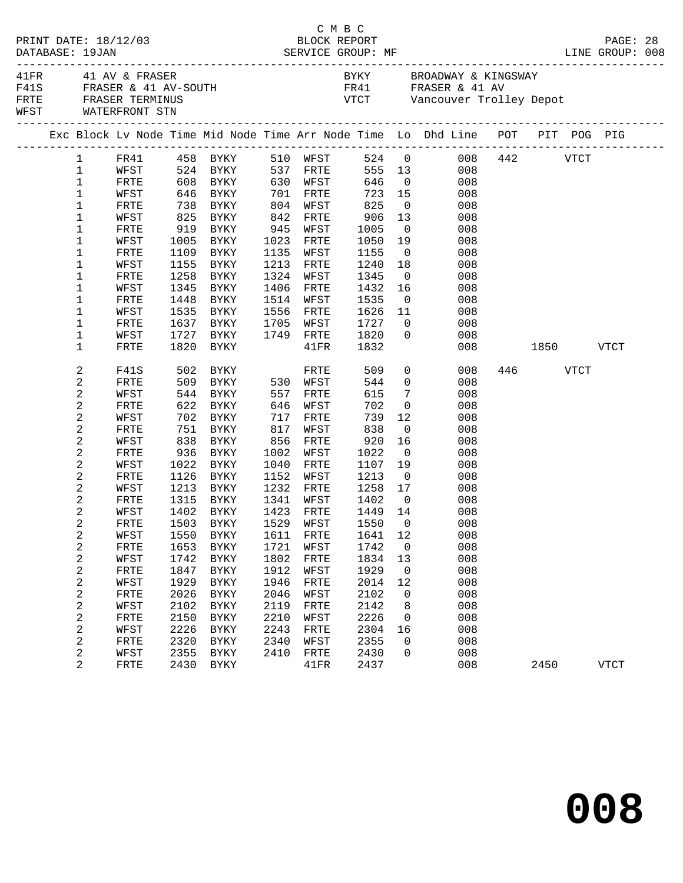|                                             | PRINT DATE: 18/12/03<br>DATABASE: 19JAN<br>41FR 41 AV & FRASER |              |              |                           |              |                   | C M B C<br>BLOCK REPORT     |                         |                                                                                                                                                               |               |          | PAGE: 28    |  |
|---------------------------------------------|----------------------------------------------------------------|--------------|--------------|---------------------------|--------------|-------------------|-----------------------------|-------------------------|---------------------------------------------------------------------------------------------------------------------------------------------------------------|---------------|----------|-------------|--|
| FRTE FRASER TERMINUS<br>WFST WATERFRONT STN |                                                                |              |              | F41S FRASER & 41 AV-SOUTH |              |                   |                             |                         | BYKY BROADWAY & KINGSWAY<br>FR41 FRASER & 41 AV<br>VTCT Vancouver Trolley Depot                                                                               |               |          |             |  |
|                                             |                                                                |              |              |                           |              |                   |                             |                         | Exc Block Lv Node Time Mid Node Time Arr Node Time Lo Dhd Line POT PIT POG PIG                                                                                |               |          |             |  |
|                                             |                                                                |              |              |                           |              |                   |                             |                         | $\begin{tabular}{lcccccc} 1 & FRA1 & 458 & BYKY & 510 WFST & 524 & 0 & 008 & 442 & VTCT \\ 1 & WFST & 524 & BYKY & 537 FRTE & 555 & 13 & 008 & \end{tabular}$ |               |          |             |  |
|                                             |                                                                |              |              |                           |              |                   |                             |                         |                                                                                                                                                               |               |          |             |  |
|                                             | $\mathbf{1}$                                                   | FRTE         |              | 608 BYKY 630 WFST 646 0   |              |                   |                             |                         | 008                                                                                                                                                           |               |          |             |  |
|                                             | $\mathbf 1$                                                    | WFST         |              | 646 BYKY 701              |              | FRTE              | 723 15                      |                         | 008                                                                                                                                                           |               |          |             |  |
|                                             | 1                                                              | FRTE         |              | 738 BYKY<br>825 BYKY      |              | WFST              |                             | $\overline{0}$          | 008                                                                                                                                                           |               |          |             |  |
|                                             | 1                                                              | WFST         |              |                           | 804<br>842   | FRTE              | 825<br>906                  | 13                      | 008                                                                                                                                                           |               |          |             |  |
|                                             | 1                                                              | FRTE         |              | 919 BYKY                  | 945          | WFST              | 1005                        | $\overline{0}$          | 008                                                                                                                                                           |               |          |             |  |
|                                             | 1                                                              | WFST         | 1005         | BYKY                      | 1023         | FRTE              | 1050                        | 19                      | 008                                                                                                                                                           |               |          |             |  |
|                                             | 1                                                              | FRTE         |              | 1109 BYKY                 | 1135         | WFST              | 1155                        | $\overline{0}$          | 008                                                                                                                                                           |               |          |             |  |
|                                             | 1                                                              | WFST         |              | 1155 BYKY                 | 1213         | FRTE              | 1240                        | 18                      | 008                                                                                                                                                           |               |          |             |  |
|                                             | 1                                                              | FRTE         |              | 1258 BYKY                 | 1324         | WFST              | 1345                        | $\overline{0}$          | 008                                                                                                                                                           |               |          |             |  |
|                                             | 1                                                              | WFST         | 1345         | BYKY                      | 1406         | FRTE              | 1432                        | 16                      | 008                                                                                                                                                           |               |          |             |  |
|                                             | 1                                                              | FRTE         | 1448         | BYKY                      | 1514         | WFST              | 1535                        | $\overline{0}$          | 008                                                                                                                                                           |               |          |             |  |
|                                             | 1                                                              | WFST         | 1535         | BYKY                      | 1556         | FRTE              | 1626                        | 11                      | 008                                                                                                                                                           |               |          |             |  |
|                                             | 1                                                              | FRTE         |              | 1637 BYKY                 |              | 1705 WFST         | 1727                        |                         | $\overline{0}$<br>008                                                                                                                                         |               |          |             |  |
|                                             | 1                                                              | WFST         |              | 1727 BYKY                 |              | 1749 FRTE         | 1820                        | $\overline{0}$          | 008                                                                                                                                                           |               |          |             |  |
|                                             | 1                                                              | <b>FRTE</b>  | 1820         | BYKY                      |              | 41FR              | 1832                        |                         |                                                                                                                                                               | 008 1850 VTCT |          |             |  |
|                                             | 2                                                              | F41S         |              | 502 BYKY                  |              | FRTE              | 509                         |                         | $\overline{0}$<br>008                                                                                                                                         |               | 446 VTCT |             |  |
|                                             | 2                                                              | FRTE         |              | 509 BYKY 530 WFST         |              |                   | 544                         | $\overline{0}$          | 008                                                                                                                                                           |               |          |             |  |
|                                             | 2                                                              | WFST         | 544          | BYKY                      | 557          | FRTE              | 615                         | $7\phantom{.0}$         | 008                                                                                                                                                           |               |          |             |  |
|                                             | 2                                                              | FRTE         | 622<br>702   | BYKY                      | 646          | WFST              | 702                         | $\overline{0}$          | 008                                                                                                                                                           |               |          |             |  |
|                                             | 2                                                              | WFST         |              | 702 BYKY                  | 717          | FRTE              | 739                         | 12                      | 008                                                                                                                                                           |               |          |             |  |
|                                             | 2                                                              | FRTE         |              | 751 BYKY                  | 817          | WFST              | 838                         | $\overline{0}$          | 008                                                                                                                                                           |               |          |             |  |
|                                             | 2                                                              | WFST         | 838          | BYKY                      | 856          | FRTE              | 920                         | 16                      | 008                                                                                                                                                           |               |          |             |  |
|                                             | 2                                                              | FRTE         | 936          | BYKY                      | 1002         | WFST              | 1022                        | $\overline{0}$          | 008                                                                                                                                                           |               |          |             |  |
|                                             | 2                                                              | WFST         |              | 1022 BYKY                 | 1040         | FRTE              | 1107                        | 19                      | 008                                                                                                                                                           |               |          |             |  |
|                                             | 2                                                              | FRTE         |              | 1126 BYKY                 | 1152         | WFST              | 1213                        | $\overline{0}$          | 008                                                                                                                                                           |               |          |             |  |
|                                             | 2                                                              | WFST<br>FRTE | 1213<br>1315 | BYKY                      | 1232<br>1341 | FRTE              | 1258                        | 17<br>$\overline{0}$    | 008                                                                                                                                                           |               |          |             |  |
|                                             | 2<br>2                                                         | WFST         |              | BYKY<br>1402 BYKY         |              | WFST<br>1423 FRTE | $1402$<br>$1440$<br>1449 14 |                         | 008<br>008                                                                                                                                                    |               |          |             |  |
|                                             | 2                                                              |              |              |                           |              |                   |                             |                         | FRTE 1503 BYKY 1529 WFST 1550 0 008                                                                                                                           |               |          |             |  |
|                                             | 2                                                              | WFST         | 1550         | BYKY                      | 1611         | FRTE              | 1641                        | 12                      | 008                                                                                                                                                           |               |          |             |  |
|                                             | 2                                                              | FRTE         | 1653         | BYKY                      | 1721         | WFST              | 1742                        | $\overline{\mathbf{0}}$ | 008                                                                                                                                                           |               |          |             |  |
|                                             | 2                                                              | WFST         | 1742         | BYKY                      | 1802         | FRTE              | 1834                        | 13                      | 008                                                                                                                                                           |               |          |             |  |
|                                             | 2                                                              | FRTE         | 1847         | BYKY                      | 1912         | WFST              | 1929                        | $\overline{0}$          | 008                                                                                                                                                           |               |          |             |  |
|                                             | 2                                                              | WFST         | 1929         | <b>BYKY</b>               | 1946         | FRTE              | 2014                        | 12                      | 008                                                                                                                                                           |               |          |             |  |
|                                             | 2                                                              | FRTE         | 2026         | BYKY                      | 2046         | WFST              | 2102                        | 0                       | 008                                                                                                                                                           |               |          |             |  |
|                                             | 2                                                              | WFST         | 2102         | <b>BYKY</b>               | 2119         | FRTE              | 2142                        | 8                       | 008                                                                                                                                                           |               |          |             |  |
|                                             | 2                                                              | FRTE         | 2150         | BYKY                      | 2210         | WFST              | 2226                        | $\mathbf 0$             | 008                                                                                                                                                           |               |          |             |  |
|                                             | 2                                                              | WFST         | 2226         | <b>BYKY</b>               | 2243         | ${\tt FRTE}$      | 2304                        | 16                      | 008                                                                                                                                                           |               |          |             |  |
|                                             | 2                                                              | FRTE         | 2320         | BYKY                      | 2340         | WFST              | 2355                        | 0                       | 008                                                                                                                                                           |               |          |             |  |
|                                             | 2                                                              | WFST         | 2355         | BYKY                      | 2410         | FRTE              | 2430                        | 0                       | 008                                                                                                                                                           |               |          |             |  |
|                                             | 2                                                              | FRTE         |              | 2430 BYKY                 |              | 41FR              | 2437                        |                         | 008                                                                                                                                                           |               | 2450     | <b>VTCT</b> |  |
|                                             |                                                                |              |              |                           |              |                   |                             |                         |                                                                                                                                                               |               |          |             |  |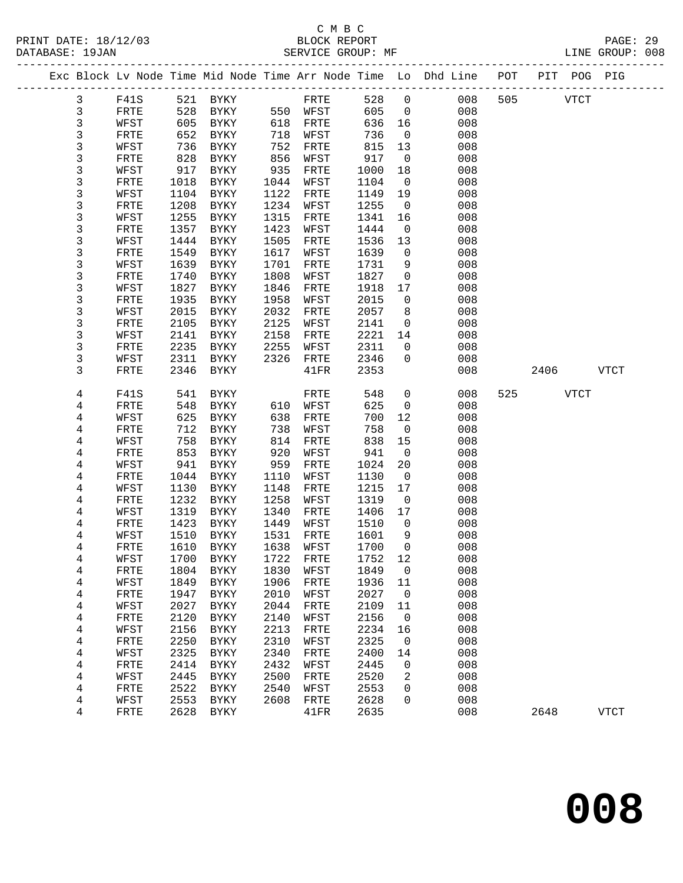## C M B C<br>BLOCK REPORT

PAGE: 29<br>LINE GROUP: 008

|              |              |      |             |      |              |         |                          | Exc Block Lv Node Time Mid Node Time Arr Node Time Lo Dhd Line POT PIT POG PIG |     |          |      |             |
|--------------|--------------|------|-------------|------|--------------|---------|--------------------------|--------------------------------------------------------------------------------|-----|----------|------|-------------|
| $\mathbf{3}$ | F41S         |      | 521 BYKY    |      | FRTE         | 528     | $\overline{0}$           | 008                                                                            |     | 505 VTCT |      |             |
| $\mathbf{3}$ | FRTE         | 528  | BYKY        |      | 550 WFST     | 605     | $\overline{0}$           | 008                                                                            |     |          |      |             |
| 3            | WFST         | 605  | BYKY        | 618  | FRTE         | 636     | 16                       | 008                                                                            |     |          |      |             |
| 3            | FRTE         | 652  | BYKY        | 718  | WFST         | 736     | $\overline{0}$           | 008                                                                            |     |          |      |             |
| 3            | WFST         | 736  | BYKY        | 752  | FRTE         | 815     | 13                       | 008                                                                            |     |          |      |             |
| 3            | FRTE         | 828  | BYKY        | 856  | WFST         | 917     | $\overline{0}$           | 008                                                                            |     |          |      |             |
| 3            | WFST         | 917  | BYKY        | 935  | FRTE         | 1000    | 18                       | 008                                                                            |     |          |      |             |
| 3            | FRTE         | 1018 | BYKY        | 1044 | WFST         | 1104    | $\overline{\phantom{0}}$ | 008                                                                            |     |          |      |             |
| 3            | WFST         | 1104 | BYKY        | 1122 | FRTE         | 1149    | 19                       | 008                                                                            |     |          |      |             |
| 3            | FRTE         | 1208 | BYKY        | 1234 | WFST         | 1255    | $\overline{0}$           | 008                                                                            |     |          |      |             |
| 3            |              | 1255 |             | 1315 |              | 1341    |                          |                                                                                |     |          |      |             |
|              | WFST         |      | BYKY        |      | FRTE         |         | 16                       | 008                                                                            |     |          |      |             |
| 3            | FRTE         | 1357 | BYKY        | 1423 | WFST         | 1444    | $\mathsf{O}$             | 008                                                                            |     |          |      |             |
| 3            | WFST         | 1444 | BYKY        | 1505 | FRTE         | 1536    | 13                       | 008                                                                            |     |          |      |             |
| 3            | FRTE         | 1549 | BYKY        | 1617 | WFST         | 1639    | $\overline{0}$           | 008                                                                            |     |          |      |             |
| 3            | WFST         | 1639 | BYKY        | 1701 | FRTE         | 1731    | 9                        | 008                                                                            |     |          |      |             |
| 3            | FRTE         | 1740 | BYKY        | 1808 | WFST         | 1827    | $\mathsf{O}$             | 008                                                                            |     |          |      |             |
| 3            | WFST         | 1827 | BYKY        | 1846 | FRTE         | 1918    | 17                       | 008                                                                            |     |          |      |             |
| 3            | FRTE         | 1935 | BYKY        | 1958 | WFST         | 2015    | $\overline{0}$           | 008                                                                            |     |          |      |             |
| 3            | WFST         | 2015 | BYKY        | 2032 | FRTE         | 2057    | 8                        | 008                                                                            |     |          |      |             |
| 3            | FRTE         | 2105 | BYKY        | 2125 | WFST         | 2141    | $\mathsf{O}$             | 008                                                                            |     |          |      |             |
| 3            | WFST         | 2141 | BYKY        | 2158 | FRTE         | 2221    | 14                       | 008                                                                            |     |          |      |             |
| 3            | ${\tt FRTE}$ | 2235 | BYKY        | 2255 | WFST         | 2311    | $\mathbf 0$              | 008                                                                            |     |          |      |             |
| 3            | WFST         | 2311 | BYKY        | 2326 | FRTE         | 2346    | $\mathbf 0$              | 008                                                                            |     |          |      |             |
| 3            | FRTE         | 2346 | BYKY        |      | 41FR         | 2353    |                          | 008                                                                            |     | 2406     |      | <b>VTCT</b> |
|              |              |      |             |      |              |         |                          |                                                                                |     |          |      |             |
| 4            | F41S         | 541  | BYKY        |      | FRTE         | 548     | $\mathsf{O}$             | 008                                                                            | 525 |          | VTCT |             |
| 4            | FRTE         | 548  | BYKY        | 610  | WFST         | 625     | $\mathsf{O}$             | 008                                                                            |     |          |      |             |
| 4            | WFST         | 625  | BYKY        | 638  | FRTE         | 700     | 12                       | 008                                                                            |     |          |      |             |
| 4            | FRTE         | 712  | BYKY        | 738  | WFST         | 758     | $\overline{0}$           | 008                                                                            |     |          |      |             |
| 4            | WFST         | 758  | BYKY        | 814  | FRTE         | 838     | 15                       | 008                                                                            |     |          |      |             |
| 4            | ${\tt FRTE}$ | 853  | BYKY        | 920  | WFST         | 941     | $\overline{0}$           | 008                                                                            |     |          |      |             |
| 4            | WFST         | 941  | BYKY        | 959  | FRTE         | 1024    | 20                       | 008                                                                            |     |          |      |             |
| 4            | FRTE         | 1044 | BYKY        | 1110 | WFST         | 1130    | $\overline{\phantom{0}}$ | 008                                                                            |     |          |      |             |
| 4            | WFST         | 1130 | BYKY        | 1148 | FRTE         | 1215    | 17                       | 008                                                                            |     |          |      |             |
| 4            | FRTE         | 1232 | BYKY        | 1258 | WFST         | 1319    | $\overline{0}$           | 008                                                                            |     |          |      |             |
| 4            | WFST         | 1319 | BYKY        | 1340 | FRTE         | 1406    | 17                       | 008                                                                            |     |          |      |             |
| 4            | FRTE         | 1423 | BYKY        | 1449 | WFST         | 1510    | $\mathbf{0}$             | 008                                                                            |     |          |      |             |
| 4            | WFST         | 1510 | BYKY        | 1531 | FRTE         | 1601    | 9                        | 008                                                                            |     |          |      |             |
| 4            | FRTE         | 1610 | BYKY        | 1638 | WFST         | 1700    | $\mathbf{0}$             | 008                                                                            |     |          |      |             |
| 4            | WFST         |      | 1700 BYKY   |      | 1722 FRTE    | 1752 12 |                          | 008                                                                            |     |          |      |             |
| 4            | FRTE         | 1804 | BYKY        | 1830 | WFST         | 1849    | 0                        | 008                                                                            |     |          |      |             |
| 4            | WFST         | 1849 | BYKY        | 1906 | FRTE         | 1936    | 11                       | 008                                                                            |     |          |      |             |
| 4            | FRTE         | 1947 | BYKY        | 2010 | WFST         | 2027    | $\mathbf 0$              | 008                                                                            |     |          |      |             |
| 4            | WFST         | 2027 | BYKY        | 2044 | FRTE         | 2109    | 11                       | 008                                                                            |     |          |      |             |
| 4            | FRTE         | 2120 | BYKY        | 2140 | WFST         | 2156    | 0                        | 008                                                                            |     |          |      |             |
| 4            | WFST         | 2156 | <b>BYKY</b> | 2213 | ${\tt FRTE}$ | 2234    | 16                       | 008                                                                            |     |          |      |             |
| 4            | FRTE         | 2250 | BYKY        | 2310 | WFST         | 2325    | $\mathbf 0$              | 008                                                                            |     |          |      |             |
| 4            | WFST         | 2325 | BYKY        | 2340 | FRTE         | 2400    | 14                       | 008                                                                            |     |          |      |             |
| 4            | FRTE         | 2414 | <b>BYKY</b> | 2432 | WFST         | 2445    | 0                        | 008                                                                            |     |          |      |             |
| 4            | WFST         | 2445 | BYKY        | 2500 | FRTE         | 2520    | 2                        | 008                                                                            |     |          |      |             |
| 4            | FRTE         | 2522 | <b>BYKY</b> | 2540 | WFST         | 2553    | 0                        | 008                                                                            |     |          |      |             |
| 4            | WFST         | 2553 | <b>BYKY</b> | 2608 | FRTE         | 2628    | 0                        | 008                                                                            |     |          |      |             |
| 4            | FRTE         | 2628 | BYKY        |      | 41FR         | 2635    |                          | 008                                                                            |     | 2648     |      | <b>VTCT</b> |
|              |              |      |             |      |              |         |                          |                                                                                |     |          |      |             |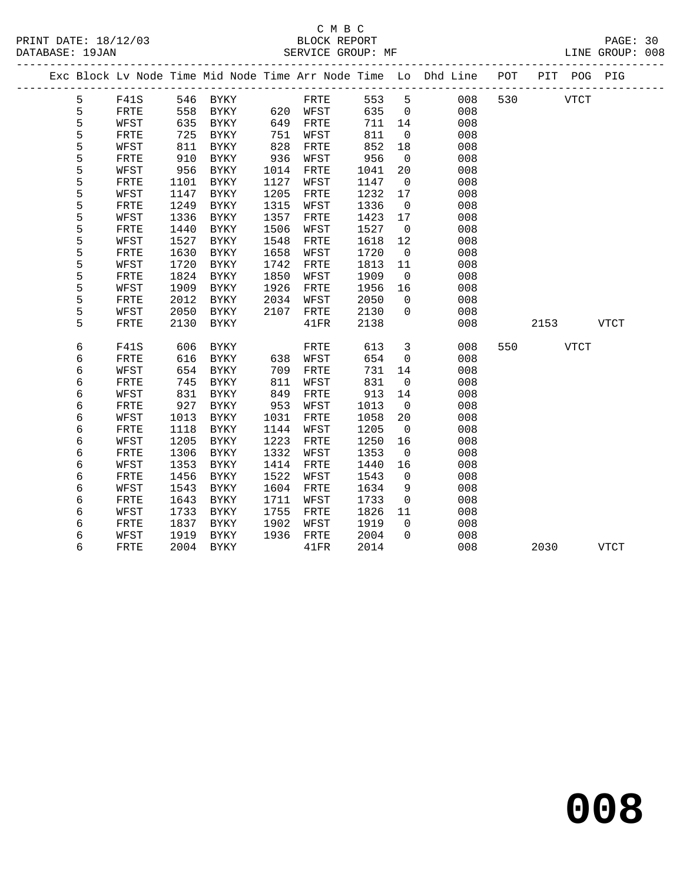## C M B C<br>BLOCK REPORT

PAGE: 30<br>LINE GROUP: 008

|   |              |      | Exc Block Lv Node Time Mid Node Time Arr Node Time Lo Dhd Line POT |      |          |      |                |            |             | PIT POG PIG |             |
|---|--------------|------|--------------------------------------------------------------------|------|----------|------|----------------|------------|-------------|-------------|-------------|
| 5 | F41S         |      | 546 BYKY                                                           |      | FRTE     | 553  | $5^{\circ}$    | 008<br>530 | <b>VTCT</b> |             |             |
| 5 | ${\tt FRTE}$ | 558  | BYKY                                                               |      | 620 WFST | 635  | $\overline{0}$ | 008        |             |             |             |
| 5 | WFST         |      | 635 BYKY                                                           | 649  | FRTE     | 711  | 14             | 008        |             |             |             |
| 5 | FRTE         | 725  | BYKY                                                               | 751  | WFST     | 811  | $\overline{0}$ | 008        |             |             |             |
| 5 | WFST         | 811  | BYKY                                                               | 828  | FRTE     | 852  | 18             | 008        |             |             |             |
| 5 | FRTE         | 910  | BYKY                                                               | 936  | WFST     | 956  | $\overline{0}$ | 008        |             |             |             |
| 5 | WFST         | 956  | BYKY                                                               | 1014 | FRTE     | 1041 | 20             | 008        |             |             |             |
| 5 | FRTE         | 1101 | BYKY                                                               | 1127 | WFST     | 1147 | $\overline{0}$ | 008        |             |             |             |
| 5 | WFST         | 1147 | BYKY                                                               | 1205 | FRTE     | 1232 | 17             | 008        |             |             |             |
| 5 | FRTE         | 1249 | BYKY                                                               | 1315 | WFST     | 1336 | $\overline{0}$ | 008        |             |             |             |
| 5 | WFST         | 1336 | BYKY                                                               | 1357 | FRTE     | 1423 | 17             | 008        |             |             |             |
| 5 | FRTE         | 1440 | <b>BYKY</b>                                                        | 1506 | WFST     | 1527 | $\overline{0}$ | 008        |             |             |             |
| 5 | WFST         | 1527 | <b>BYKY</b>                                                        | 1548 | FRTE     | 1618 | 12             | 008        |             |             |             |
| 5 | FRTE         | 1630 | BYKY                                                               | 1658 | WFST     | 1720 | $\overline{0}$ | 008        |             |             |             |
| 5 | WFST         | 1720 | BYKY                                                               | 1742 | FRTE     | 1813 | 11             | 008        |             |             |             |
| 5 | ${\tt FRTE}$ | 1824 | <b>BYKY</b>                                                        | 1850 | WFST     | 1909 | $\overline{0}$ | 008        |             |             |             |
| 5 | WFST         | 1909 | BYKY                                                               | 1926 | FRTE     | 1956 | 16             | 008        |             |             |             |
| 5 | FRTE         | 2012 | BYKY                                                               | 2034 | WFST     | 2050 | $\Omega$       | 008        |             |             |             |
| 5 | WFST         | 2050 | BYKY                                                               | 2107 | FRTE     | 2130 | $\overline{0}$ | 008        |             |             |             |
| 5 | FRTE         | 2130 | BYKY                                                               |      | 41FR     | 2138 |                | 008        | 2153        |             | <b>VTCT</b> |
| 6 | F41S         | 606  | BYKY                                                               |      | FRTE     | 613  | $\overline{3}$ | 008<br>550 | <b>VTCT</b> |             |             |
| 6 | FRTE         | 616  | BYKY                                                               | 638  | WFST     | 654  | $\overline{0}$ | 008        |             |             |             |
| б | WFST         | 654  | BYKY                                                               | 709  | FRTE     | 731  | 14             | 008        |             |             |             |
| б | FRTE         | 745  | BYKY                                                               | 811  | WFST     | 831  | $\overline{0}$ | 008        |             |             |             |
| 6 | WFST         | 831  | BYKY                                                               | 849  | FRTE     | 913  | 14             | 008        |             |             |             |
| б | FRTE         | 927  | BYKY                                                               | 953  | WFST     | 1013 | $\overline{0}$ | 008        |             |             |             |
| 6 | WFST         | 1013 | BYKY                                                               | 1031 | FRTE     | 1058 | 20             | 008        |             |             |             |
| б | FRTE         | 1118 | BYKY                                                               | 1144 | WFST     | 1205 | $\overline{0}$ | 008        |             |             |             |
| 6 | WFST         | 1205 | BYKY                                                               | 1223 | FRTE     | 1250 | 16             | 008        |             |             |             |
| 6 | <b>FRTE</b>  | 1306 | BYKY                                                               | 1332 | WFST     | 1353 | $\overline{0}$ | 008        |             |             |             |
| б | WFST         | 1353 | <b>BYKY</b>                                                        | 1414 | FRTE     | 1440 | 16             | 008        |             |             |             |
| б | FRTE         | 1456 | BYKY                                                               | 1522 | WFST     | 1543 | $\overline{0}$ | 008        |             |             |             |
| б | WFST         | 1543 | BYKY                                                               | 1604 | FRTE     | 1634 | 9              | 008        |             |             |             |
| 6 | FRTE         | 1643 | <b>BYKY</b>                                                        | 1711 | WFST     | 1733 | $\overline{0}$ | 008        |             |             |             |
| 6 | WFST         | 1733 | BYKY                                                               | 1755 | FRTE     | 1826 | 11             | 008        |             |             |             |
| 6 | FRTE         | 1837 | BYKY                                                               | 1902 | WFST     | 1919 | $\Omega$       | 008        |             |             |             |
| б | WFST         | 1919 | BYKY                                                               | 1936 | FRTE     | 2004 | $\Omega$       | 008        |             |             |             |
| 6 | ${\tt FRTE}$ |      | 2004 BYKY                                                          |      | 41FR     | 2014 |                | 008        | 2030        |             | <b>VTCT</b> |
|   |              |      |                                                                    |      |          |      |                |            |             |             |             |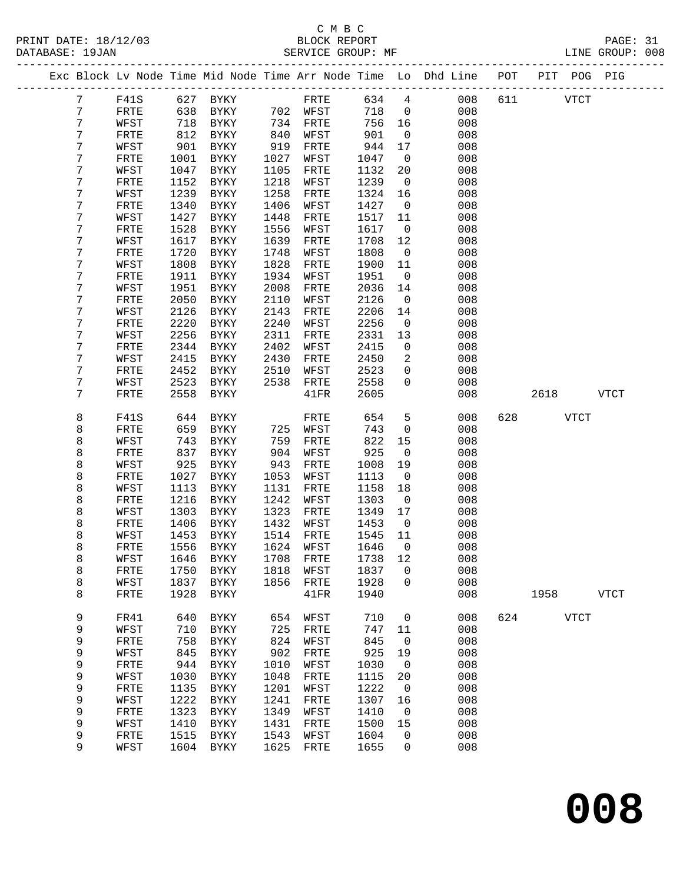## C M B C<br>BLOCK REPORT

PAGE: 31<br>LINE GROUP: 008

|  |                 |              |              |                     |              |              |              |                          | Exc Block Lv Node Time Mid Node Time Arr Node Time Lo Dhd Line POT PIT POG PIG |     |      |             |             |
|--|-----------------|--------------|--------------|---------------------|--------------|--------------|--------------|--------------------------|--------------------------------------------------------------------------------|-----|------|-------------|-------------|
|  | $7\phantom{.0}$ | F41S         |              | 627 BYKY            |              | FRTE         | 634          | $4\overline{ }$          | 008                                                                            | 611 |      | <b>VTCT</b> |             |
|  | 7               | FRTE         | 638          | BYKY                |              | 702 WFST     | 718          | $\overline{0}$           | 008                                                                            |     |      |             |             |
|  | 7               | WFST         | 718          | BYKY                | 734          | FRTE         | 756          | 16                       | 008                                                                            |     |      |             |             |
|  | 7               | FRTE         | 812          | BYKY                | 840          | WFST         | 901          | $\overline{0}$           | 008                                                                            |     |      |             |             |
|  | 7               | WFST         | 901          | BYKY                | 919          | FRTE         | 944          | 17                       | 008                                                                            |     |      |             |             |
|  | 7               | FRTE         | 1001         | BYKY                | 1027         | WFST         | 1047         | $\overline{0}$           | 008                                                                            |     |      |             |             |
|  | 7               | WFST         | 1047         | BYKY                | 1105         | FRTE         | 1132         | 20                       | 008                                                                            |     |      |             |             |
|  | 7               | FRTE         | 1152         | BYKY                | 1218         | WFST         | 1239         | $\overline{0}$           | 008                                                                            |     |      |             |             |
|  | 7               | WFST         | 1239         | BYKY                | 1258         | FRTE         | 1324         | 16                       | 008                                                                            |     |      |             |             |
|  | 7               | FRTE         | 1340         | BYKY                | 1406         | WFST         | 1427         | $\overline{\phantom{0}}$ | 008                                                                            |     |      |             |             |
|  | 7               | WFST         | 1427         | BYKY                | 1448         | FRTE         | 1517         | 11                       | 008                                                                            |     |      |             |             |
|  | 7               | FRTE         | 1528         | BYKY                | 1556         | WFST         | 1617         | $\overline{0}$           | 008                                                                            |     |      |             |             |
|  | 7               | WFST         | 1617         | BYKY                | 1639         | FRTE         | 1708         | 12                       | 008                                                                            |     |      |             |             |
|  | 7               | FRTE         | 1720         | BYKY                | 1748         | WFST         | 1808         | $\overline{0}$           | 008                                                                            |     |      |             |             |
|  | 7<br>7          | WFST         | 1808<br>1911 | BYKY                | 1828<br>1934 | FRTE         | 1900         | 11<br>$\mathsf{O}$       | 008<br>008                                                                     |     |      |             |             |
|  | 7               | FRTE<br>WFST | 1951         | BYKY<br>BYKY        | 2008         | WFST<br>FRTE | 1951<br>2036 | 14                       | 008                                                                            |     |      |             |             |
|  | 7               | FRTE         | 2050         | BYKY                | 2110         | WFST         | 2126         | $\overline{0}$           | 008                                                                            |     |      |             |             |
|  | 7               | WFST         | 2126         | BYKY                | 2143         | FRTE         | 2206         | 14                       | 008                                                                            |     |      |             |             |
|  | 7               | FRTE         | 2220         | $\rm BYKY$          | 2240         | WFST         | 2256         | $\overline{0}$           | 008                                                                            |     |      |             |             |
|  | 7               | WFST         | 2256         | BYKY                | 2311         | FRTE         | 2331         | 13                       | 008                                                                            |     |      |             |             |
|  | 7               | FRTE         | 2344         | BYKY                | 2402         | WFST         | 2415         | $\overline{0}$           | 008                                                                            |     |      |             |             |
|  | 7               | WFST         | 2415         | BYKY                | 2430         | FRTE         | 2450         | 2                        | 008                                                                            |     |      |             |             |
|  | 7               | FRTE         | 2452         | BYKY                | 2510         | WFST         | 2523         | $\mathbf 0$              | 008                                                                            |     |      |             |             |
|  | 7               | WFST         | 2523         | BYKY                | 2538         | FRTE         | 2558         | $\Omega$                 | 008                                                                            |     |      |             |             |
|  | 7               | FRTE         | 2558         | BYKY                |              | 41FR         | 2605         |                          | 008                                                                            |     | 2618 |             | VTCT        |
|  |                 |              |              |                     |              |              |              |                          |                                                                                |     |      |             |             |
|  | 8               | F41S         | 644          | BYKY                |              | FRTE         | 654          | $5\phantom{.0}$          | 008                                                                            | 628 |      | <b>VTCT</b> |             |
|  | 8               | FRTE         | 659          | BYKY                | 725          | WFST         | 743          | $\mathsf{O}$             | 008                                                                            |     |      |             |             |
|  | 8               | WFST         | 743          | BYKY                | 759          | FRTE         | 822          | 15                       | 008                                                                            |     |      |             |             |
|  | 8               | FRTE         | 837          | BYKY                | 904          | WFST         | 925          | $\mathsf{O}$             | 008                                                                            |     |      |             |             |
|  | 8               | WFST         | 925          | BYKY                | 943          | FRTE         | 1008         | 19                       | 008                                                                            |     |      |             |             |
|  | 8               | FRTE         | 1027         | BYKY                | 1053         | WFST         | 1113         | $\mathsf{O}$             | 008                                                                            |     |      |             |             |
|  | 8               | WFST         | 1113         | BYKY                | 1131         | FRTE         | 1158         | 18                       | 008                                                                            |     |      |             |             |
|  | 8               | FRTE         | 1216         | BYKY                | 1242         | WFST         | 1303         | $\overline{\phantom{0}}$ | 008                                                                            |     |      |             |             |
|  | 8               | WFST         | 1303         | BYKY                | 1323         | FRTE         | 1349         | 17                       | 008                                                                            |     |      |             |             |
|  | 8<br>8          | FRTE<br>WFST | 1406<br>1453 | BYKY<br>BYKY        | 1432<br>1514 | WFST<br>FRTE | 1453<br>1545 | $\overline{0}$<br>11     | 008<br>008                                                                     |     |      |             |             |
|  | 8               | FRTE         | 1556         | <b>BYKY</b>         | 1624         | WFST         | 1646         | $\overline{0}$           | 008                                                                            |     |      |             |             |
|  | 8               | WFST         |              | 1646 BYKY 1708 FRTE |              |              | 1738 12      |                          | 008                                                                            |     |      |             |             |
|  | 8               | FRTE         | 1750         | BYKY                | 1818         | WFST         | 1837         | 0                        | 008                                                                            |     |      |             |             |
|  | 8               | WFST         | 1837         | BYKY                | 1856         | FRTE         | 1928         | 0                        | 008                                                                            |     |      |             |             |
|  | 8               | FRTE         | 1928         | <b>BYKY</b>         |              | 41FR         | 1940         |                          | 008                                                                            |     | 1958 |             | <b>VTCT</b> |
|  |                 |              |              |                     |              |              |              |                          |                                                                                |     |      |             |             |
|  | 9               | FR41         | 640          | BYKY                | 654          | WFST         | 710          | 0                        | 008                                                                            | 624 |      | <b>VTCT</b> |             |
|  | 9               | WFST         | 710          | BYKY                | 725          | FRTE         | 747          | 11                       | 008                                                                            |     |      |             |             |
|  | 9               | FRTE         | 758          | <b>BYKY</b>         | 824          | WFST         | 845          | 0                        | 008                                                                            |     |      |             |             |
|  | 9               | WFST         | 845          | BYKY                | 902          | FRTE         | 925          | 19                       | 008                                                                            |     |      |             |             |
|  | 9               | FRTE         | 944          | BYKY                | 1010         | WFST         | 1030         | $\mathbf 0$              | 008                                                                            |     |      |             |             |
|  | 9               | WFST         | 1030         | BYKY                | 1048         | FRTE         | 1115         | 20                       | 008                                                                            |     |      |             |             |
|  | 9               | FRTE         | 1135         | BYKY                | 1201         | WFST         | 1222         | 0                        | 008                                                                            |     |      |             |             |
|  | 9               | WFST         | 1222         | BYKY                | 1241         | FRTE         | 1307         | 16                       | 008                                                                            |     |      |             |             |
|  | 9               | FRTE         | 1323         | BYKY                | 1349         | WFST         | 1410         | 0                        | 008                                                                            |     |      |             |             |
|  | 9               | WFST         | 1410         | ${\tt BYKY}$        | 1431         | FRTE         | 1500         | 15                       | 008                                                                            |     |      |             |             |
|  | 9               | FRTE         | 1515         | BYKY                | 1543         | WFST         | 1604         | 0                        | 008                                                                            |     |      |             |             |
|  | 9               | WFST         | 1604         | BYKY                | 1625         | FRTE         | 1655         | 0                        | 008                                                                            |     |      |             |             |

**008**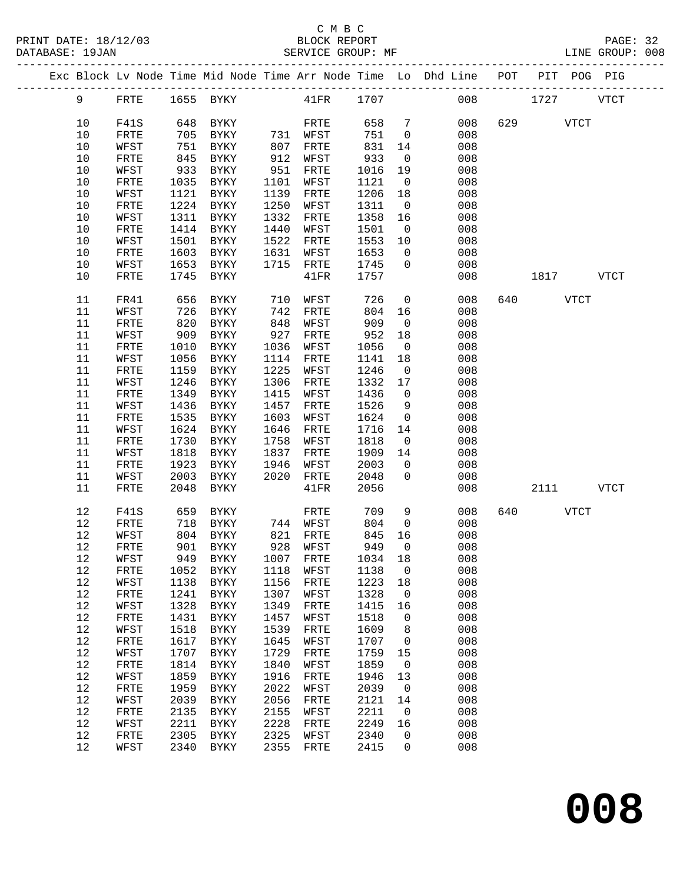## C M B C<br>BLOCK REPORT

LINE GROUP: 008

|  |      |      |      |                                 |      |                      |      |                          | Exc Block Lv Node Time Mid Node Time Arr Node Time Lo Dhd Line POT PIT POG PIG |               |           |  |
|--|------|------|------|---------------------------------|------|----------------------|------|--------------------------|--------------------------------------------------------------------------------|---------------|-----------|--|
|  | 9    | FRTE |      | 1655 BYKY 41FR 1707             |      |                      |      |                          |                                                                                | 008 1727 VTCT |           |  |
|  | 10   | F41S |      | 648 BYKY                        |      | FRTE                 | 658  | $7\overline{ }$          | 008                                                                            | 629 VTCT      |           |  |
|  | 10   | FRTE | 705  | BYKY                            |      | 731 WFST             | 751  | $\overline{0}$           | 008                                                                            |               |           |  |
|  | 10   | WFST | 751  | BYKY                            | 807  | FRTE                 | 831  | 14                       | 008                                                                            |               |           |  |
|  | 10   | FRTE | 845  | BYKY                            | 912  | WFST                 | 933  | $\overline{0}$           | 008                                                                            |               |           |  |
|  | 10   | WFST | 933  | BYKY                            | 951  | FRTE                 | 1016 | 19                       | 008                                                                            |               |           |  |
|  | 10   | FRTE | 1035 | BYKY                            | 1101 | WFST                 | 1121 | $\overline{\mathbf{0}}$  | 008                                                                            |               |           |  |
|  | 10   | WFST | 1121 | BYKY                            | 1139 | FRTE                 | 1206 | 18                       | 008                                                                            |               |           |  |
|  | 10   | FRTE | 1224 | BYKY                            | 1250 | WFST                 | 1311 | $\overline{0}$           | 008                                                                            |               |           |  |
|  | 10   | WFST | 1311 | BYKY                            | 1332 | FRTE                 | 1358 | 16                       | 008                                                                            |               |           |  |
|  | 10   | FRTE | 1414 | BYKY                            | 1440 | WFST                 | 1501 | $\overline{0}$           | 008                                                                            |               |           |  |
|  | 10   | WFST | 1501 | BYKY                            | 1522 | FRTE                 | 1553 | 10                       | 008                                                                            |               |           |  |
|  | 10   | FRTE | 1603 | BYKY                            | 1631 | WFST                 | 1653 | $\overline{0}$           | 008                                                                            |               |           |  |
|  |      |      |      |                                 |      |                      |      |                          |                                                                                |               |           |  |
|  | 10   | WFST | 1653 | BYKY                            | 1715 | FRTE                 | 1745 | $\overline{0}$           | 008                                                                            |               |           |  |
|  | 10   | FRTE | 1745 | BYKY                            |      | 41FR                 | 1757 |                          | 008                                                                            | 1817 VTCT     |           |  |
|  | 11   | FR41 | 656  | BYKY                            | 710  | WFST                 | 726  | $\overline{0}$           | 008                                                                            | 640 VTCT      |           |  |
|  | 11   | WFST | 726  | BYKY                            | 742  | FRTE                 | 804  | 16                       | 008                                                                            |               |           |  |
|  | 11   | FRTE | 820  | BYKY                            | 848  | WFST                 | 909  | $\overline{0}$           | 008                                                                            |               |           |  |
|  | 11   | WFST | 909  | BYKY                            | 927  | FRTE                 | 952  | 18                       | 008                                                                            |               |           |  |
|  | 11   | FRTE | 1010 | BYKY                            | 1036 | WFST                 | 1056 | $\overline{0}$           | 008                                                                            |               |           |  |
|  | 11   | WFST | 1056 | BYKY                            | 1114 | FRTE                 | 1141 | 18                       | 008                                                                            |               |           |  |
|  | 11   | FRTE | 1159 | BYKY                            | 1225 | WFST                 | 1246 | $\overline{0}$           | 008                                                                            |               |           |  |
|  | 11   | WFST | 1246 | BYKY                            | 1306 | FRTE                 | 1332 | 17                       | 008                                                                            |               |           |  |
|  | 11   | FRTE | 1349 | BYKY                            | 1415 | WFST                 | 1436 | $\overline{0}$           | 008                                                                            |               |           |  |
|  | 11   | WFST | 1436 | BYKY                            | 1457 | FRTE                 | 1526 | 9                        | 008                                                                            |               |           |  |
|  | 11   | FRTE | 1535 | BYKY                            | 1603 | WFST                 | 1624 | $\overline{0}$           | 008                                                                            |               |           |  |
|  | 11   | WFST | 1624 | BYKY                            | 1646 | FRTE                 | 1716 | 14                       | 008                                                                            |               |           |  |
|  | 11   | FRTE | 1730 | BYKY                            | 1758 | WFST                 | 1818 | $\overline{0}$           | 008                                                                            |               |           |  |
|  | 11   | WFST | 1818 | BYKY                            | 1837 | FRTE                 | 1909 | 14                       | 008                                                                            |               |           |  |
|  | 11   | FRTE | 1923 | BYKY                            | 1946 | WFST                 | 2003 | $\overline{0}$           | 008                                                                            |               |           |  |
|  | 11   | WFST | 2003 | BYKY                            | 2020 | FRTE                 | 2048 | $\overline{0}$           | 008                                                                            |               |           |  |
|  | 11   | FRTE | 2048 | BYKY                            |      | 41FR                 | 2056 |                          | 008                                                                            |               | 2111 VTCT |  |
|  | 12   | F41S | 659  | BYKY                            |      | FRTE                 | 709  | 9                        | 008                                                                            | 640 VTCT      |           |  |
|  | $12$ | FRTE | 718  | BYKY                            |      | 744 WFST             | 804  | $\overline{0}$           | 008                                                                            |               |           |  |
|  | 12   | WFST | 804  | BYKY                            |      | 821 FRTE<br>928 WFST | 845  | 16                       | 008                                                                            |               |           |  |
|  | 12   | FRTE | 901  | <b>BYKY</b>                     |      |                      | 949  | $\overline{0}$           | 008                                                                            |               |           |  |
|  | 12   |      |      | WFST 949 BYKY 1007 FRTE 1034 18 |      |                      |      |                          | 008                                                                            |               |           |  |
|  | 12   | FRTE | 1052 | BYKY                            | 1118 | WFST                 | 1138 | $\overline{\phantom{0}}$ | 008                                                                            |               |           |  |
|  | 12   | WFST | 1138 | BYKY                            | 1156 | FRTE                 | 1223 | 18                       | 008                                                                            |               |           |  |
|  | 12   | FRTE | 1241 | BYKY                            | 1307 | WFST                 | 1328 | $\overline{0}$           | 008                                                                            |               |           |  |
|  | 12   | WFST | 1328 | BYKY                            | 1349 | FRTE                 | 1415 | 16                       | 008                                                                            |               |           |  |
|  | $12$ | FRTE | 1431 | BYKY                            | 1457 | WFST                 | 1518 | $\overline{0}$           | 008                                                                            |               |           |  |
|  | 12   | WFST | 1518 | BYKY                            | 1539 | FRTE                 | 1609 | 8                        | 008                                                                            |               |           |  |
|  | 12   | FRTE | 1617 | BYKY                            | 1645 | WFST                 | 1707 | $\overline{0}$           | 008                                                                            |               |           |  |
|  | 12   | WFST | 1707 | BYKY                            | 1729 | FRTE                 | 1759 | 15                       | 008                                                                            |               |           |  |
|  | 12   | FRTE | 1814 | BYKY                            | 1840 | WFST                 | 1859 | $\overline{0}$           | 008                                                                            |               |           |  |
|  | 12   | WFST | 1859 | BYKY                            | 1916 | FRTE                 | 1946 | 13                       | 008                                                                            |               |           |  |
|  | 12   | FRTE | 1959 | BYKY                            | 2022 | WFST                 | 2039 | $\overline{0}$           | 008                                                                            |               |           |  |
|  | $12$ | WFST | 2039 | BYKY                            | 2056 | FRTE                 | 2121 | 14                       | 008                                                                            |               |           |  |
|  | 12   | FRTE | 2135 | BYKY                            | 2155 | WFST                 | 2211 | $\overline{0}$           | 008                                                                            |               |           |  |
|  | 12   | WFST | 2211 | BYKY                            | 2228 | FRTE                 | 2249 | 16                       | 008                                                                            |               |           |  |
|  | 12   | FRTE | 2305 | BYKY                            | 2325 | WFST                 | 2340 | $\mathsf{O}$             | 008                                                                            |               |           |  |
|  | 12   | WFST |      | 2340 BYKY                       | 2355 | FRTE                 | 2415 | $\overline{0}$           | 008                                                                            |               |           |  |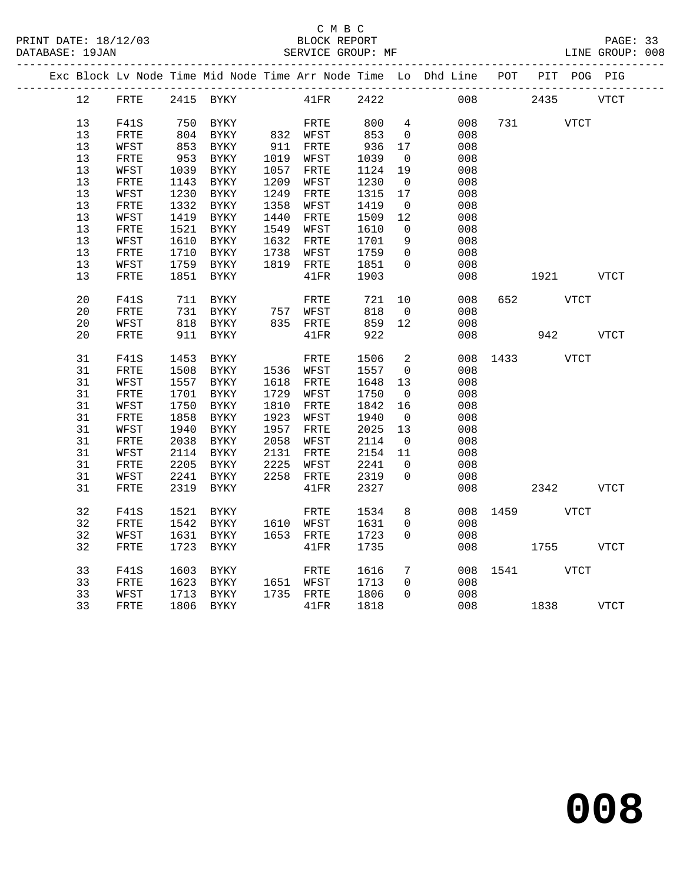## C M B C<br>BLOCK REPORT

|                 |              |      |             |      |                      |      |                         | Exc Block Lv Node Time Mid Node Time Arr Node Time Lo Dhd Line POT PIT POG PIG |      |      |             |             |
|-----------------|--------------|------|-------------|------|----------------------|------|-------------------------|--------------------------------------------------------------------------------|------|------|-------------|-------------|
| 12 <sup>°</sup> | FRTE         |      | 2415 BYKY   |      | $41\mathrm{FR}$      | 2422 |                         | 008                                                                            |      | 2435 |             | <b>VTCT</b> |
| 13              | <b>F41S</b>  | 750  |             |      |                      | 800  | $4\overline{ }$         | 008                                                                            | 731  |      |             |             |
|                 |              |      | BYKY        |      | FRTE                 |      |                         |                                                                                |      |      | VTCT        |             |
| 13              | FRTE         |      | 804 BYKY    |      | 832 WFST<br>911 FRTE | 853  | $\overline{\mathbf{0}}$ | 008                                                                            |      |      |             |             |
| 13              | WFST         | 853  | BYKY        |      |                      | 936  | 17                      | 008                                                                            |      |      |             |             |
| 13              | FRTE         | 953  | BYKY        | 1019 | WFST                 | 1039 | $\overline{0}$          | 008                                                                            |      |      |             |             |
| 13              | WFST         | 1039 | BYKY        | 1057 | FRTE                 | 1124 | 19                      | 008                                                                            |      |      |             |             |
| 13              | ${\tt FRTE}$ | 1143 | BYKY        | 1209 | WFST                 | 1230 | $\overline{0}$          | 008                                                                            |      |      |             |             |
| 13              | WFST         | 1230 | BYKY        | 1249 | FRTE                 | 1315 | 17                      | 008                                                                            |      |      |             |             |
| 13              | FRTE         | 1332 | BYKY        | 1358 | WFST                 | 1419 | $\overline{0}$          | 008                                                                            |      |      |             |             |
| 13              | WFST         | 1419 | BYKY        | 1440 | FRTE                 | 1509 | 12                      | 008                                                                            |      |      |             |             |
| 13              | FRTE         | 1521 | BYKY        | 1549 | WFST                 | 1610 | $\overline{0}$          | 008                                                                            |      |      |             |             |
| 13              | WFST         | 1610 | BYKY        | 1632 | FRTE                 | 1701 | 9                       | 008                                                                            |      |      |             |             |
| 13              | ${\tt FRTE}$ | 1710 | BYKY        | 1738 | WFST                 | 1759 | $\overline{0}$          | 008                                                                            |      |      |             |             |
| 13              | WFST         | 1759 | BYKY        |      | 1819 FRTE            | 1851 | $\mathbf 0$             | 008                                                                            |      |      |             |             |
| 13              | FRTE         | 1851 | <b>BYKY</b> |      | $41\mathrm{FR}$      | 1903 |                         | 008                                                                            |      |      |             | VTCT        |
|                 |              |      |             |      |                      |      |                         |                                                                                |      |      |             |             |
| 20              | <b>F41S</b>  | 711  | BYKY        |      | FRTE                 | 721  | 10                      | 008                                                                            | 652  |      | <b>VTCT</b> |             |
| 20              | FRTE         |      | 731 BYKY    |      | 757 WFST             | 818  | $\overline{0}$          | 008                                                                            |      |      |             |             |
| 20              | WFST         | 818  | BYKY        |      | 835 FRTE             | 859  | 12                      | 008                                                                            |      |      |             |             |
| 20              | FRTE         | 911  | BYKY        |      | 41FR                 | 922  |                         | 008                                                                            |      | 942  |             | <b>VTCT</b> |
|                 |              |      |             |      |                      |      |                         |                                                                                |      |      |             |             |
| 31              | F41S         | 1453 | BYKY        |      | FRTE                 | 1506 | $\overline{2}$          | 008                                                                            | 1433 |      | VTCT        |             |
| 31              | FRTE         | 1508 | BYKY        |      | 1536 WFST            | 1557 | $\overline{0}$          | 008                                                                            |      |      |             |             |
| 31              | WFST         | 1557 | <b>BYKY</b> | 1618 | FRTE                 | 1648 | 13                      | 008                                                                            |      |      |             |             |
| 31              | ${\tt FRTE}$ | 1701 | BYKY        | 1729 | WFST                 | 1750 | $\overline{0}$          | 008                                                                            |      |      |             |             |
| 31              | WFST         | 1750 | BYKY        | 1810 | FRTE                 | 1842 | 16                      | 008                                                                            |      |      |             |             |
| 31              | ${\tt FRTE}$ | 1858 | <b>BYKY</b> | 1923 | WFST                 | 1940 | $\overline{0}$          | 008                                                                            |      |      |             |             |
| 31              | WFST         | 1940 | BYKY        | 1957 | FRTE                 | 2025 | 13                      | 008                                                                            |      |      |             |             |
| 31              | FRTE         | 2038 | BYKY        | 2058 | WFST                 | 2114 | $\overline{0}$          | 008                                                                            |      |      |             |             |
| 31              | WFST         | 2114 | BYKY        | 2131 | FRTE                 | 2154 | 11                      | 008                                                                            |      |      |             |             |
| 31              | ${\tt FRTE}$ | 2205 | BYKY        | 2225 | WFST                 | 2241 | $\mathbf 0$             | 008                                                                            |      |      |             |             |
| 31              | WFST         | 2241 | BYKY        |      | 2258 FRTE            | 2319 | 0                       | 008                                                                            |      |      |             |             |
| 31              | FRTE         | 2319 |             |      |                      | 2327 |                         | 008                                                                            |      | 2342 |             | VTCT        |
|                 |              |      | BYKY        |      | $41\mathrm{FR}$      |      |                         |                                                                                |      |      |             |             |
| 32              | <b>F41S</b>  | 1521 | BYKY        |      | FRTE                 | 1534 | 8                       | 008                                                                            | 1459 |      | VTCT        |             |
| 32              | FRTE         | 1542 | BYKY        |      | 1610 WFST            | 1631 | $\mathbf 0$             | 008                                                                            |      |      |             |             |
| 32              | WFST         | 1631 | BYKY        |      | 1653 FRTE            | 1723 | $\mathbf 0$             | 008                                                                            |      |      |             |             |
| 32              | FRTE         | 1723 | BYKY        |      | 41FR                 | 1735 |                         | 008                                                                            |      | 1755 |             | VTCT        |
|                 |              |      |             |      |                      |      |                         |                                                                                |      |      |             |             |
| 33              | <b>F41S</b>  | 1603 | BYKY        |      | FRTE                 | 1616 | $7\overline{ }$         | 008                                                                            | 1541 |      | <b>VTCT</b> |             |
| 33              | FRTE         | 1623 | BYKY        |      | 1651 WFST            | 1713 | $\mathbf 0$             | 008                                                                            |      |      |             |             |
| 33              | WFST         | 1713 | BYKY        |      | 1735 FRTE            | 1806 | $\Omega$                | 008                                                                            |      |      |             |             |
| 33              | ${\tt FRTE}$ |      | 1806 BYKY   |      | 41FR                 | 1818 |                         | 008                                                                            |      | 1838 |             | <b>VTCT</b> |
|                 |              |      |             |      |                      |      |                         |                                                                                |      |      |             |             |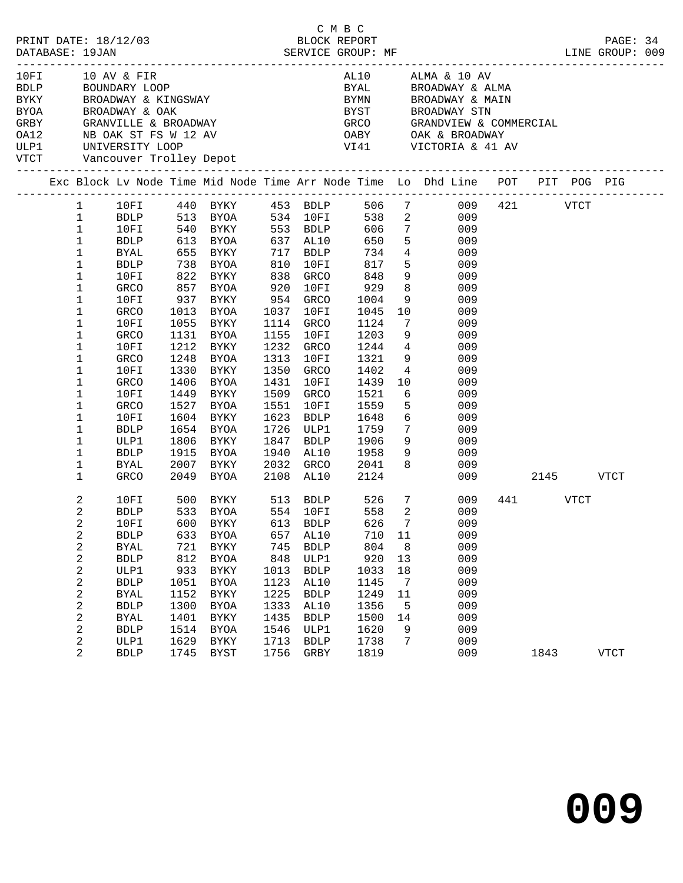|  | DATABASE: 19JAN  | PRINT DATE: 18/12/03                   |              |                                                                                                           |              | C M B C<br>BLOCK REPORT                  |              |                 | MF<br>---------------------------                                                                                                            |          |      | PAGE: 34<br>LINE GROUP: 009 |  |
|--|------------------|----------------------------------------|--------------|-----------------------------------------------------------------------------------------------------------|--------------|------------------------------------------|--------------|-----------------|----------------------------------------------------------------------------------------------------------------------------------------------|----------|------|-----------------------------|--|
|  |                  | 10FI 10 AV & FIR<br>BDLP BOUNDARY LOOP |              | BYKY BROADWAY & KINGSWAY<br>BYOA BROADWAY & OAK<br>GRBY GRANVILLE & BROADWAY<br>OA12 MB OAK ST FS W 12 AV |              |                                          |              |                 | AL10 ALMA & 10 AV<br>BYAL BROADWAY & ALMA<br>BYMN BROADWAY & MAIN<br>BYST BROADWAY STN<br>GRCO GRANDVIEW & COMMERCIAL<br>OABY OAK & BROADWAY |          |      |                             |  |
|  |                  |                                        |              |                                                                                                           |              |                                          |              |                 |                                                                                                                                              |          |      |                             |  |
|  |                  |                                        |              |                                                                                                           |              |                                          |              |                 |                                                                                                                                              |          |      |                             |  |
|  |                  | VTCT Vancouver Trolley Depot           |              | ULP1 UNIVERSITY LOOP                                                                                      |              |                                          |              |                 | VI41 VICTORIA & 41 AV                                                                                                                        |          |      |                             |  |
|  |                  |                                        |              |                                                                                                           |              |                                          |              |                 | Exc Block Lv Node Time Mid Node Time Arr Node Time Lo Dhd Line POT PIT POG PIG                                                               |          |      |                             |  |
|  | $\mathbf{1}$     | 10FI                                   |              | 440 BYKY 453 BDLP 506                                                                                     |              |                                          |              |                 | $7\overline{ }$<br>009                                                                                                                       | 421 VTCT |      |                             |  |
|  | $\mathbf{1}$     |                                        |              | BDLP 513 BYOA 534 10FI<br>10FI 540 BYKY 553 BDLP                                                          |              |                                          |              |                 |                                                                                                                                              |          |      |                             |  |
|  | $\mathbf{1}$     |                                        |              |                                                                                                           |              |                                          |              |                 |                                                                                                                                              |          |      |                             |  |
|  | $\mathbf{1}$     | BDLP                                   |              | 613 BYOA                                                                                                  |              | 637 AL10                                 | 650          |                 | $5^{\circ}$<br>009                                                                                                                           |          |      |                             |  |
|  | $\mathbf 1$      | BYAL                                   |              | 655 BYKY 717 BDLP                                                                                         |              |                                          | 734          |                 | $4\overline{ }$<br>009                                                                                                                       |          |      |                             |  |
|  | $\mathbf 1$      | BDLP                                   |              | 738 BYOA<br>822 BYKY                                                                                      |              | 810 10FI<br>838 GRCO<br>$10\mathrm{F}$ I | 817          |                 | 5 <sub>5</sub><br>009                                                                                                                        |          |      |                             |  |
|  | 1                | 10FI                                   |              |                                                                                                           |              |                                          | 848          |                 | 9<br>009<br>8                                                                                                                                |          |      |                             |  |
|  | $\mathbf 1$      | GRCO                                   |              | 857 BYOA                                                                                                  | 920          | 10FI                                     | 929          |                 | 009                                                                                                                                          |          |      |                             |  |
|  | 1                | 10FI                                   |              | 937 BYKY 954 GRCO                                                                                         |              |                                          | 1004         |                 | 9<br>009                                                                                                                                     |          |      |                             |  |
|  | $\mathbf 1$      | GRCO                                   | 1013         | BYOA                                                                                                      |              | 1037 10FI                                | 1045         |                 | 10<br>009                                                                                                                                    |          |      |                             |  |
|  | 1                | 10FI                                   | 1055         | BYKY                                                                                                      |              | 1114 GRCO                                | 1124         | $7\overline{ }$ | 009<br>9                                                                                                                                     |          |      |                             |  |
|  | 1                | GRCO                                   |              | 1131 BYOA                                                                                                 |              | 1155 10FI                                | 1203         |                 | 009                                                                                                                                          |          |      |                             |  |
|  | $\mathbf 1$      | 10FI                                   |              | 1212 BYKY                                                                                                 |              | 1232 GRCO                                | 1244         |                 | $4\overline{ }$<br>009                                                                                                                       |          |      |                             |  |
|  | 1                | GRCO                                   | 1248<br>1330 | BYOA                                                                                                      | 1313         | 10FI<br>1350 GRCO                        | 1321<br>1402 | $4\overline{4}$ | 9<br>009<br>009                                                                                                                              |          |      |                             |  |
|  | 1<br>1           | 10FI<br>GRCO                           |              | BYKY<br>1406 BYOA                                                                                         | 1431         | 10FI                                     | 1439         |                 | 10<br>009                                                                                                                                    |          |      |                             |  |
|  | 1                | 10FI                                   |              | 1449 BYKY                                                                                                 |              | 1509 GRCO                                | 1521         |                 | $6\overline{6}$<br>009                                                                                                                       |          |      |                             |  |
|  | 1                | GRCO                                   | 1527         | BYOA                                                                                                      | 1551         | 10FI                                     | 1559         |                 | 5 <sub>1</sub><br>009                                                                                                                        |          |      |                             |  |
|  | 1                | 10FI                                   | 1604         | BYKY                                                                                                      | 1623         | BDLP                                     | 1648         |                 | 009                                                                                                                                          |          |      |                             |  |
|  | 1                | BDLP                                   |              | 1654 BYOA                                                                                                 |              | 1726 ULP1                                | 1759         |                 | $\frac{6}{7}$<br>009                                                                                                                         |          |      |                             |  |
|  | 1                | ULP1                                   |              | 1806 BYKY                                                                                                 | 1847         | BDLP                                     | 1906         |                 | $9^{\circ}$<br>009                                                                                                                           |          |      |                             |  |
|  | $\mathbf 1$      | BDLP                                   | 1915         | BYOA                                                                                                      |              | 1940 AL10                                | 1958         |                 | $9 \left( \frac{1}{2} \right)$<br>009                                                                                                        |          |      |                             |  |
|  | 1                | BYAL                                   |              | 2007 BYKY                                                                                                 |              |                                          | 2041         |                 | 8<br>009                                                                                                                                     |          |      |                             |  |
|  | $\mathbf{1}$     | GRCO                                   |              | 2049 BYOA                                                                                                 |              | AL10<br>2032 GRCO<br>2109 -              | 2124         |                 |                                                                                                                                              | 009      | 2145 | <b>VTCT</b>                 |  |
|  | 2                | 10FI                                   | 500          | BYKY 513 BDLP 526 7                                                                                       |              |                                          |              |                 | 009                                                                                                                                          | 441 VTCT |      |                             |  |
|  | 2                | <b>BDLP</b>                            |              | 533 BYOA                                                                                                  |              | 554 10FI                                 | 558          | 2               | 009                                                                                                                                          |          |      |                             |  |
|  | 2                |                                        |              | 10FI 600 BYKY 613 BDLP 626 7                                                                              |              |                                          |              |                 | 009                                                                                                                                          |          |      |                             |  |
|  | 2                | <b>BDLP</b>                            | 633          | <b>BYOA</b>                                                                                               | 657          | AL10                                     | 710          | 11              | 009                                                                                                                                          |          |      |                             |  |
|  | 2                | <b>BYAL</b>                            | 721          | <b>BYKY</b>                                                                                               | 745          | <b>BDLP</b>                              | 804          | 8               | 009                                                                                                                                          |          |      |                             |  |
|  | 2                | <b>BDLP</b>                            | 812          | <b>BYOA</b>                                                                                               | 848          | ULP1                                     | 920          | 13              | 009                                                                                                                                          |          |      |                             |  |
|  | 2                | ULP1                                   | 933<br>1051  | BYKY                                                                                                      | 1013<br>1123 | <b>BDLP</b><br>AL10                      | 1033<br>1145 | 18              | 009<br>009                                                                                                                                   |          |      |                             |  |
|  | 2<br>2           | <b>BDLP</b><br><b>BYAL</b>             | 1152         | <b>BYOA</b><br><b>BYKY</b>                                                                                | 1225         | <b>BDLP</b>                              | 1249         | 7<br>11         | 009                                                                                                                                          |          |      |                             |  |
|  | 2                | <b>BDLP</b>                            | 1300         | <b>BYOA</b>                                                                                               | 1333         | AL10                                     | 1356         | 5               | 009                                                                                                                                          |          |      |                             |  |
|  | $\boldsymbol{2}$ | <b>BYAL</b>                            | 1401         | <b>BYKY</b>                                                                                               | 1435         | <b>BDLP</b>                              | 1500         | 14              | 009                                                                                                                                          |          |      |                             |  |
|  | 2                | <b>BDLP</b>                            | 1514         | <b>BYOA</b>                                                                                               | 1546         | ULP1                                     | 1620         | 9               | 009                                                                                                                                          |          |      |                             |  |
|  | 2                | ULP1                                   | 1629         | <b>BYKY</b>                                                                                               | 1713         | <b>BDLP</b>                              | 1738         | 7               | 009                                                                                                                                          |          |      |                             |  |
|  | 2                | <b>BDLP</b>                            | 1745         | <b>BYST</b>                                                                                               | 1756         | GRBY                                     | 1819         |                 | 009                                                                                                                                          | 1843     |      | <b>VTCT</b>                 |  |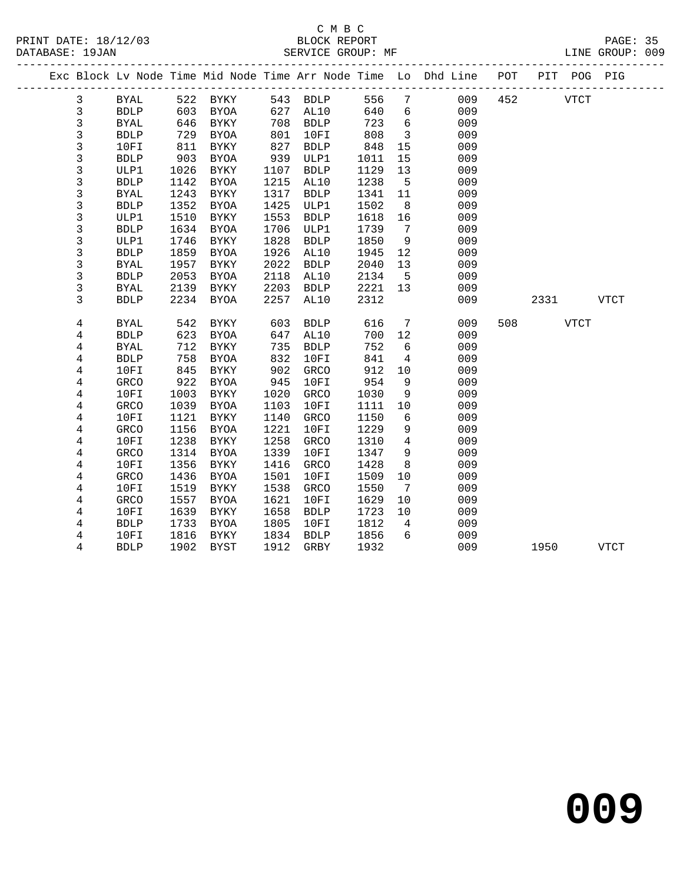#### C M B C<br>BLOCK REPORT SERVICE GROUP: MF

|  |        |                     |            |              |            |              |            |                         | Exc Block Lv Node Time Mid Node Time Arr Node Time Lo Dhd Line POT<br>___________________________ |     |      | PIT POG PIG |      |  |
|--|--------|---------------------|------------|--------------|------------|--------------|------------|-------------------------|---------------------------------------------------------------------------------------------------|-----|------|-------------|------|--|
|  | 3      | BYAL                | 522        | <b>BYKY</b>  |            | 543 BDLP     | 556        | $7\phantom{.0}$         | 009                                                                                               | 452 |      | <b>VTCT</b> |      |  |
|  | 3      | <b>BDLP</b>         | 603        | BYOA         | 627        | AL10         | 640        | 6                       | 009                                                                                               |     |      |             |      |  |
|  | 3      | <b>BYAL</b>         | 646        | BYKY         | 708        | <b>BDLP</b>  | 723        | 6                       | 009                                                                                               |     |      |             |      |  |
|  | 3      | <b>BDLP</b>         | 729        | BYOA         | 801        | 10FI         | 808        | $\overline{\mathbf{3}}$ | 009                                                                                               |     |      |             |      |  |
|  | 3      | 10FI                | 811        | BYKY         | 827        | <b>BDLP</b>  | 848        | 15                      | 009                                                                                               |     |      |             |      |  |
|  | 3      | <b>BDLP</b>         | 903        | BYOA         | 939        | ULP1         | 1011       | 15                      | 009                                                                                               |     |      |             |      |  |
|  | 3      | ULP1                | 1026       | BYKY         | 1107       | <b>BDLP</b>  | 1129       | 13                      | 009                                                                                               |     |      |             |      |  |
|  | 3      | <b>BDLP</b>         | 1142       | <b>BYOA</b>  | 1215       | AL10         | 1238       | 5                       | 009                                                                                               |     |      |             |      |  |
|  | 3      | <b>BYAL</b>         | 1243       | BYKY         | 1317       | <b>BDLP</b>  | 1341       | 11                      | 009                                                                                               |     |      |             |      |  |
|  | 3      | <b>BDLP</b>         | 1352       | <b>BYOA</b>  | 1425       | ULP1         | 1502       | 8                       | 009                                                                                               |     |      |             |      |  |
|  | 3      | ULP1                | 1510       | BYKY         | 1553       | <b>BDLP</b>  | 1618       | 16                      | 009                                                                                               |     |      |             |      |  |
|  | 3      | <b>BDLP</b>         | 1634       | <b>BYOA</b>  | 1706       | ULP1         | 1739       | 7                       | 009                                                                                               |     |      |             |      |  |
|  | 3      | ULP1                | 1746       | BYKY         | 1828       | <b>BDLP</b>  | 1850       | 9                       | 009                                                                                               |     |      |             |      |  |
|  | 3      | <b>BDLP</b>         | 1859       | <b>BYOA</b>  | 1926       | AL10         | 1945       | 12                      | 009                                                                                               |     |      |             |      |  |
|  | 3      | <b>BYAL</b>         | 1957       | BYKY         | 2022       | <b>BDLP</b>  | 2040       | 13                      | 009                                                                                               |     |      |             |      |  |
|  | 3      | <b>BDLP</b>         | 2053       | <b>BYOA</b>  | 2118       | AL10         | 2134       | 5                       | 009                                                                                               |     |      |             |      |  |
|  | 3      | <b>BYAL</b>         | 2139       | BYKY         | 2203       | <b>BDLP</b>  | 2221       | 13                      | 009                                                                                               |     |      |             |      |  |
|  | 3      | <b>BDLP</b>         | 2234       | <b>BYOA</b>  | 2257       | AL10         | 2312       |                         | 009                                                                                               |     | 2331 |             | VTCT |  |
|  |        |                     |            |              |            |              |            |                         |                                                                                                   |     |      |             |      |  |
|  | 4      | <b>BYAL</b>         | 542        | <b>BYKY</b>  | 603        | <b>BDLP</b>  | 616        | 7                       | 009                                                                                               | 508 |      | <b>VTCT</b> |      |  |
|  | 4      | <b>BDLP</b>         | 623        | <b>BYOA</b>  | 647        | AL10         | 700        | 12                      | 009                                                                                               |     |      |             |      |  |
|  | 4      | <b>BYAL</b>         | 712        | BYKY         | 735<br>832 | <b>BDLP</b>  | 752        | 6<br>$\overline{4}$     | 009                                                                                               |     |      |             |      |  |
|  | 4      | <b>BDLP</b>         | 758        | <b>BYOA</b>  |            | 10FI         | 841        |                         | 009                                                                                               |     |      |             |      |  |
|  | 4      | 10FI<br><b>GRCO</b> | 845<br>922 | BYKY         | 902<br>945 | GRCO<br>10FI | 912<br>954 | 10<br>9                 | 009<br>009                                                                                        |     |      |             |      |  |
|  | 4<br>4 | 10FI                | 1003       | BYOA<br>BYKY | 1020       | GRCO         | 1030       | 9                       | 009                                                                                               |     |      |             |      |  |
|  | 4      | <b>GRCO</b>         | 1039       | <b>BYOA</b>  | 1103       | 10FI         | 1111       | 10                      | 009                                                                                               |     |      |             |      |  |
|  | 4      | 10FI                | 1121       | BYKY         | 1140       | <b>GRCO</b>  | 1150       | 6                       | 009                                                                                               |     |      |             |      |  |
|  | 4      | <b>GRCO</b>         | 1156       | <b>BYOA</b>  | 1221       | 10FI         | 1229       | 9                       | 009                                                                                               |     |      |             |      |  |
|  | 4      | 10FI                | 1238       | <b>BYKY</b>  | 1258       | <b>GRCO</b>  | 1310       | $\overline{4}$          | 009                                                                                               |     |      |             |      |  |
|  | 4      | GRCO                | 1314       | BYOA         | 1339       | 10FI         | 1347       | 9                       | 009                                                                                               |     |      |             |      |  |
|  | 4      | 10FI                | 1356       | <b>BYKY</b>  | 1416       | GRCO         | 1428       | 8                       | 009                                                                                               |     |      |             |      |  |
|  | 4      | GRCO                | 1436       | <b>BYOA</b>  | 1501       | 10FI         | 1509       | 10                      | 009                                                                                               |     |      |             |      |  |
|  | 4      | 10FI                | 1519       | BYKY         | 1538       | GRCO         | 1550       | 7                       | 009                                                                                               |     |      |             |      |  |
|  | 4      | <b>GRCO</b>         | 1557       | <b>BYOA</b>  | 1621       | 10FI         | 1629       | 10                      | 009                                                                                               |     |      |             |      |  |
|  | 4      | 10FI                | 1639       | <b>BYKY</b>  | 1658       | <b>BDLP</b>  | 1723       | 10                      | 009                                                                                               |     |      |             |      |  |
|  |        |                     |            |              |            |              |            |                         |                                                                                                   |     |      |             |      |  |

 4 BDLP 1733 BYOA 1805 10FI 1812 4 009 4 10FI 1816 BYKY 1834 BDLP 1856 6 009

4 BDLP 1902 BYST 1912 GRBY 1932 009 1950 VTCT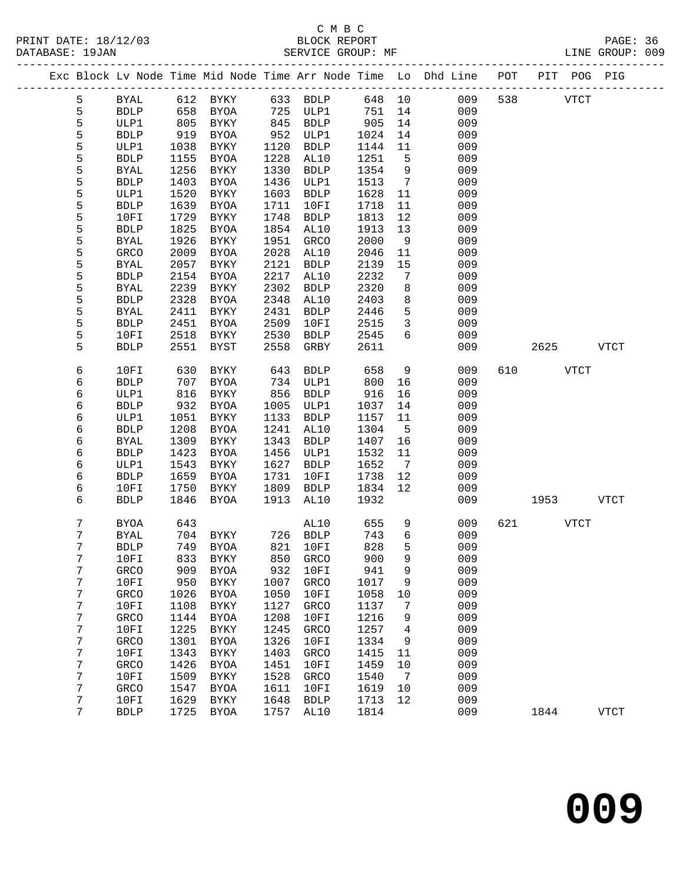# C M B C<br>BLOCK REPORT

PAGE: 36<br>LINE GROUP: 009

|  |        |              |              |                     |      |                     |       |                 | Exc Block Lv Node Time Mid Node Time Arr Node Time Lo Dhd Line | POT |      | PIT POG PIG |             |
|--|--------|--------------|--------------|---------------------|------|---------------------|-------|-----------------|----------------------------------------------------------------|-----|------|-------------|-------------|
|  | 5      | ${\tt BYAL}$ | 612          | BYKY                | 633  | <b>BDLP</b>         | 648   | 10              | 009                                                            | 538 |      | <b>VTCT</b> |             |
|  | 5      | ${\tt BDLP}$ | 658          | BYOA                | 725  | ULP1                | 751   | 14              | 009                                                            |     |      |             |             |
|  | 5      | ULP1         | 805          | BYKY                | 845  | <b>BDLP</b>         | 905   | 14              | 009                                                            |     |      |             |             |
|  | 5      | <b>BDLP</b>  | 919          | <b>BYOA</b>         | 952  | ULP1                | 1024  | 14              | 009                                                            |     |      |             |             |
|  | 5      | ULP1         | 1038         | BYKY                | 1120 | <b>BDLP</b>         | 1144  | 11              | 009                                                            |     |      |             |             |
|  | 5      | <b>BDLP</b>  | 1155         | <b>BYOA</b>         | 1228 | AL10                | 1251  | 5               | 009                                                            |     |      |             |             |
|  | 5      | <b>BYAL</b>  | 1256         | BYKY                | 1330 | <b>BDLP</b>         | 1354  | 9               | 009                                                            |     |      |             |             |
|  | 5      | <b>BDLP</b>  | 1403         | <b>BYOA</b>         | 1436 | ULP1                | 1513  | $7\phantom{.0}$ | 009                                                            |     |      |             |             |
|  | 5      | ULP1         | 1520         | BYKY                | 1603 | <b>BDLP</b>         | 1628  | 11              | 009                                                            |     |      |             |             |
|  | 5      | <b>BDLP</b>  | 1639         | <b>BYOA</b>         | 1711 | 10FI                | 1718  | 11              | 009                                                            |     |      |             |             |
|  | 5      | 10FI         | 1729         | BYKY                | 1748 | <b>BDLP</b>         | 1813  | 12              | 009                                                            |     |      |             |             |
|  | 5      | <b>BDLP</b>  | 1825         | <b>BYOA</b>         | 1854 | AL10                | 1913  | 13              | 009                                                            |     |      |             |             |
|  | 5      | <b>BYAL</b>  | 1926         | BYKY                | 1951 | GRCO                | 2000  | 9               | 009                                                            |     |      |             |             |
|  | 5      | GRCO         | 2009         | <b>BYOA</b>         | 2028 | AL10                | 2046  | 11              | 009                                                            |     |      |             |             |
|  | 5      | <b>BYAL</b>  | 2057         | BYKY                | 2121 | <b>BDLP</b>         | 2139  | 15              | 009                                                            |     |      |             |             |
|  | 5      | <b>BDLP</b>  | 2154         | <b>BYOA</b>         | 2217 | AL10                | 2232  | 7               | 009                                                            |     |      |             |             |
|  | 5      | <b>BYAL</b>  | 2239         | BYKY                | 2302 | <b>BDLP</b>         | 2320  | 8               | 009                                                            |     |      |             |             |
|  | 5      | <b>BDLP</b>  | 2328         | <b>BYOA</b>         | 2348 | AL10                | 2403  | 8               | 009                                                            |     |      |             |             |
|  | 5      | <b>BYAL</b>  | 2411         | BYKY                | 2431 | <b>BDLP</b>         | 2446  | 5               | 009                                                            |     |      |             |             |
|  | 5      | <b>BDLP</b>  | 2451         | <b>BYOA</b>         | 2509 | 10FI                | 2515  | $\mathbf{3}$    | 009                                                            |     |      |             |             |
|  | 5      | 10FI         |              |                     |      |                     |       | 6               | 009                                                            |     |      |             |             |
|  | 5      | <b>BDLP</b>  | 2518<br>2551 | BYKY                | 2530 | <b>BDLP</b>         | 2545  |                 | 009                                                            |     |      |             | <b>VTCT</b> |
|  |        |              |              | BYST                | 2558 | GRBY                | 2611  |                 |                                                                |     | 2625 |             |             |
|  | 6      | 10FI         | 630          | BYKY                | 643  | <b>BDLP</b>         | 658   | 9               | 009                                                            | 610 |      | <b>VTCT</b> |             |
|  | 6      | <b>BDLP</b>  | 707          | <b>BYOA</b>         | 734  | ULP1                | 800   | 16              | 009                                                            |     |      |             |             |
|  | 6      | ULP1         | 816          | BYKY                | 856  | <b>BDLP</b>         | 916   | 16              | 009                                                            |     |      |             |             |
|  | б      | <b>BDLP</b>  | 932          | <b>BYOA</b>         | 1005 | ULP1                | 1037  | 14              | 009                                                            |     |      |             |             |
|  | 6      | ULP1         | 1051         | BYKY                | 1133 | <b>BDLP</b>         | 1157  | 11              | 009                                                            |     |      |             |             |
|  | 6      | <b>BDLP</b>  | 1208         | <b>BYOA</b>         | 1241 | AL10                | 1304  | $5^{\circ}$     | 009                                                            |     |      |             |             |
|  | 6      | <b>BYAL</b>  | 1309         | BYKY                | 1343 | <b>BDLP</b>         | 1407  | 16              | 009                                                            |     |      |             |             |
|  | 6      | <b>BDLP</b>  | 1423         | <b>BYOA</b>         | 1456 | ULP1                | 1532  | 11              | 009                                                            |     |      |             |             |
|  | 6      | ULP1         | 1543         | BYKY                | 1627 | <b>BDLP</b>         | 1652  | $\overline{7}$  | 009                                                            |     |      |             |             |
|  | 6      | <b>BDLP</b>  | 1659         | <b>BYOA</b>         | 1731 | 10FI                | 1738  | 12              | 009                                                            |     |      |             |             |
|  |        | 10FI         | 1750         |                     | 1809 |                     | 1834  | 12              | 009                                                            |     |      |             |             |
|  | 6<br>б | <b>BDLP</b>  | 1846         | BYKY<br><b>BYOA</b> | 1913 | <b>BDLP</b><br>AL10 | 1932  |                 | 009                                                            |     | 1953 |             | <b>VTCT</b> |
|  |        |              |              |                     |      |                     |       |                 |                                                                |     |      |             |             |
|  | 7      | <b>BYOA</b>  | 643          |                     |      | AL10                | 655   | 9               | 009                                                            | 621 |      | <b>VTCT</b> |             |
|  | 7      | <b>BYAL</b>  | 704          | BYKY                |      | 726 BDLP            | 743   | $6\overline{6}$ | 009                                                            |     |      |             |             |
|  | 7      | <b>BDLP</b>  |              | 749 BYOA            | 821  | 10FI                | 828   | 5               | 009                                                            |     |      |             |             |
|  | 7      | $10FI$       |              | 833 BYKY 850 GRCO   |      |                     | 900 9 |                 | 009                                                            |     |      |             |             |
|  | 7      | <b>GRCO</b>  | 909          | <b>BYOA</b>         | 932  | 10FI                | 941   | 9               | 009                                                            |     |      |             |             |
|  | 7      | 10FI         | 950          | <b>BYKY</b>         | 1007 | <b>GRCO</b>         | 1017  | 9               | 009                                                            |     |      |             |             |
|  | 7      | GRCO         | 1026         | <b>BYOA</b>         | 1050 | 10FI                | 1058  | 10              | 009                                                            |     |      |             |             |
|  | 7      | 10FI         | 1108         | <b>BYKY</b>         | 1127 | GRCO                | 1137  | 7               | 009                                                            |     |      |             |             |
|  | 7      | GRCO         | 1144         | <b>BYOA</b>         | 1208 | 10FI                | 1216  | 9               | 009                                                            |     |      |             |             |
|  | 7      | 10FI         | 1225         | <b>BYKY</b>         | 1245 | GRCO                | 1257  | 4               | 009                                                            |     |      |             |             |
|  | 7      | GRCO         | 1301         | <b>BYOA</b>         | 1326 | 10FI                | 1334  | 9               | 009                                                            |     |      |             |             |
|  | 7      | 10FI         | 1343         | ${\tt BYKY}$        | 1403 | GRCO                | 1415  | 11              | 009                                                            |     |      |             |             |
|  | 7      | GRCO         | 1426         | <b>BYOA</b>         | 1451 | 10FI                | 1459  | $10$            | 009                                                            |     |      |             |             |
|  | 7      | 10FI         | 1509         | BYKY                | 1528 | GRCO                | 1540  | 7               | 009                                                            |     |      |             |             |
|  | 7      | GRCO         | 1547         | <b>BYOA</b>         | 1611 | 10FI                | 1619  | 10              | 009                                                            |     |      |             |             |
|  | 7      | 10FI         | 1629         | ${\tt BYKY}$        | 1648 | <b>BDLP</b>         | 1713  | 12              | 009                                                            |     |      |             |             |
|  | 7      | ${\tt BDLP}$ | 1725         | ${\tt BYOA}$        | 1757 | AL10                | 1814  |                 | 009                                                            |     | 1844 |             | <b>VTCT</b> |
|  |        |              |              |                     |      |                     |       |                 |                                                                |     |      |             |             |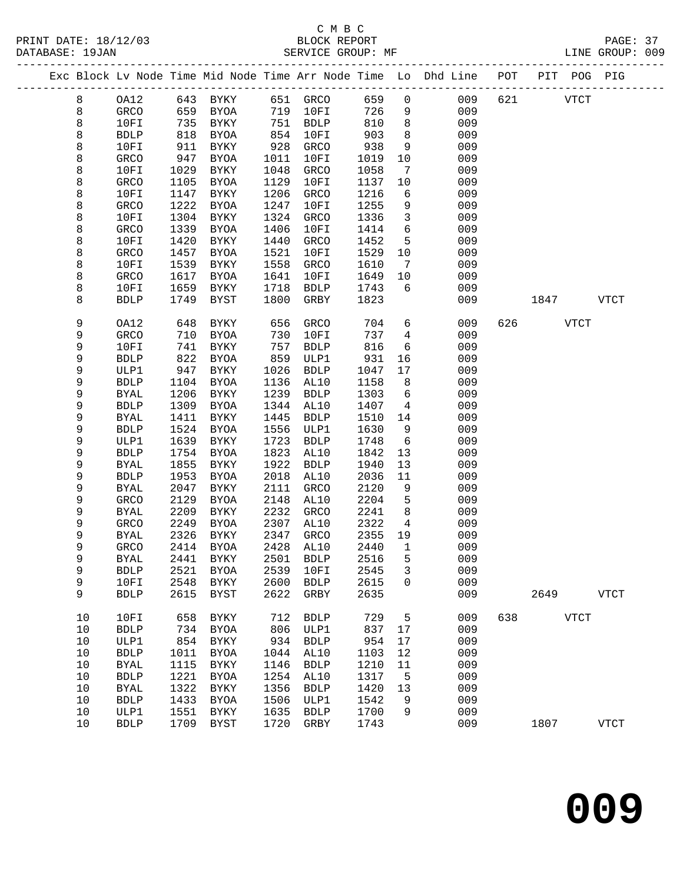PRINT DATE: 18/12/03 BLOCK REPORT PAGE: 37 DATABASE: 19JAN

## C M B C<br>BLOCK REPORT

|  | DATABASE: 19JAN |              |                      | SERVICE GROUP: MF    |              |     |         |                                                                                | LINE GROUP: 009 |
|--|-----------------|--------------|----------------------|----------------------|--------------|-----|---------|--------------------------------------------------------------------------------|-----------------|
|  |                 |              |                      |                      |              |     |         | Exc Block Lv Node Time Mid Node Time Arr Node Time Lo Dhd Line POT PIT POG PIG |                 |
|  |                 | OA12<br>GRCO | 643 RYKY<br>659 RYOA | 651 GRCO<br>719 10FT | 659 0<br>726 | 009 | 009 621 | VTCT                                                                           |                 |

|         | ◡▱▴▵         | ັ້   | ᆜᆦᅜᆂ         | ◡◡∸  | いいし          | ぃー   |                  | ぃぃ  | ◡▵∸ |      | v ⊥ ∪ ⊥     |             |  |
|---------|--------------|------|--------------|------|--------------|------|------------------|-----|-----|------|-------------|-------------|--|
| 8       | <b>GRCO</b>  | 659  | <b>BYOA</b>  | 719  | 10FI         | 726  | 9                | 009 |     |      |             |             |  |
| 8       | 10FI         | 735  | BYKY         | 751  | <b>BDLP</b>  | 810  | 8                | 009 |     |      |             |             |  |
| 8       | <b>BDLP</b>  | 818  | <b>BYOA</b>  | 854  | 10FI         | 903  | 8                | 009 |     |      |             |             |  |
| 8       | 10FI         | 911  | <b>BYKY</b>  | 928  | GRCO         | 938  | 9                | 009 |     |      |             |             |  |
|         |              |      |              |      |              |      |                  |     |     |      |             |             |  |
| 8       | GRCO         | 947  | <b>BYOA</b>  | 1011 | 10FI         | 1019 | $10$             | 009 |     |      |             |             |  |
| 8       | 10FI         | 1029 | ${\tt BYKY}$ | 1048 | GRCO         | 1058 | $\sqrt{ }$       | 009 |     |      |             |             |  |
| 8       | GRCO         | 1105 | <b>BYOA</b>  | 1129 | 10FI         | 1137 | $10$             | 009 |     |      |             |             |  |
| 8       | 10FI         | 1147 | <b>BYKY</b>  | 1206 | GRCO         | 1216 | 6                | 009 |     |      |             |             |  |
| 8       | GRCO         | 1222 | <b>BYOA</b>  | 1247 | 10FI         | 1255 | 9                | 009 |     |      |             |             |  |
| 8       | 10FI         | 1304 | <b>BYKY</b>  | 1324 | GRCO         | 1336 | 3                | 009 |     |      |             |             |  |
| 8       | ${\tt GRCO}$ | 1339 | <b>BYOA</b>  | 1406 | 10FI         | 1414 | 6                | 009 |     |      |             |             |  |
| 8       | 10FI         | 1420 | <b>BYKY</b>  | 1440 | GRCO         | 1452 | 5                | 009 |     |      |             |             |  |
| 8       | GRCO         | 1457 | <b>BYOA</b>  | 1521 | 10FI         | 1529 | $10$             | 009 |     |      |             |             |  |
|         |              |      |              |      |              |      |                  |     |     |      |             |             |  |
| 8       | 10FI         | 1539 | <b>BYKY</b>  | 1558 | GRCO         | 1610 | $\boldsymbol{7}$ | 009 |     |      |             |             |  |
| $\,8\,$ | ${\tt GRCO}$ | 1617 | <b>BYOA</b>  | 1641 | 10FI         | 1649 | $10$             | 009 |     |      |             |             |  |
| 8       | 10FI         | 1659 | <b>BYKY</b>  | 1718 | <b>BDLP</b>  | 1743 | 6                | 009 |     |      |             |             |  |
| 8       | ${\tt BDLP}$ | 1749 | <b>BYST</b>  | 1800 | GRBY         | 1823 |                  | 009 |     | 1847 |             | <b>VTCT</b> |  |
| 9       | OA12         | 648  | ${\tt BYKY}$ | 656  | GRCO         | 704  | 6                | 009 | 626 |      | <b>VTCT</b> |             |  |
| 9       | GRCO         | 710  | <b>BYOA</b>  | 730  | 10FI         | 737  | $\overline{4}$   | 009 |     |      |             |             |  |
| 9       | 10FI         | 741  | BYKY         | 757  | ${\tt BDLP}$ | 816  | 6                | 009 |     |      |             |             |  |
| 9       | <b>BDLP</b>  | 822  | <b>BYOA</b>  | 859  | ULP1         | 931  | 16               | 009 |     |      |             |             |  |
| 9       | ULP1         | 947  | ${\tt BYKY}$ | 1026 | ${\tt BDLP}$ | 1047 | $17$             | 009 |     |      |             |             |  |
| 9       |              | 1104 |              | 1136 | AL10         | 1158 |                  | 009 |     |      |             |             |  |
|         | ${\tt BDLP}$ |      | <b>BYOA</b>  |      |              |      | 8                |     |     |      |             |             |  |
| 9       | <b>BYAL</b>  | 1206 | ${\tt BYKY}$ | 1239 | <b>BDLP</b>  | 1303 | 6                | 009 |     |      |             |             |  |
| 9       | <b>BDLP</b>  | 1309 | <b>BYOA</b>  | 1344 | AL10         | 1407 | 4                | 009 |     |      |             |             |  |
| 9       | <b>BYAL</b>  | 1411 | <b>BYKY</b>  | 1445 | <b>BDLP</b>  | 1510 | 14               | 009 |     |      |             |             |  |
| 9       | ${\tt BDLP}$ | 1524 | <b>BYOA</b>  | 1556 | ULP1         | 1630 | 9                | 009 |     |      |             |             |  |
| 9       | ULP1         | 1639 | <b>BYKY</b>  | 1723 | <b>BDLP</b>  | 1748 | $\epsilon$       | 009 |     |      |             |             |  |
| 9       | ${\tt BDLP}$ | 1754 | <b>BYOA</b>  | 1823 | AL10         | 1842 | 13               | 009 |     |      |             |             |  |
| 9       | <b>BYAL</b>  | 1855 | <b>BYKY</b>  | 1922 | <b>BDLP</b>  | 1940 | 13               | 009 |     |      |             |             |  |
| 9       | ${\tt BDLP}$ | 1953 | <b>BYOA</b>  | 2018 | AL10         | 2036 | $11\,$           | 009 |     |      |             |             |  |
| 9       | <b>BYAL</b>  | 2047 | <b>BYKY</b>  | 2111 | GRCO         | 2120 | 9                | 009 |     |      |             |             |  |
| 9       | GRCO         | 2129 | <b>BYOA</b>  | 2148 | AL10         | 2204 | 5                | 009 |     |      |             |             |  |
| 9       | <b>BYAL</b>  | 2209 | <b>BYKY</b>  | 2232 | GRCO         | 2241 | 8                | 009 |     |      |             |             |  |
|         |              | 2249 |              |      | AL10         | 2322 |                  | 009 |     |      |             |             |  |
| 9       | GRCO         |      | <b>BYOA</b>  | 2307 |              |      | $\,4$            |     |     |      |             |             |  |
| 9       | <b>BYAL</b>  | 2326 | <b>BYKY</b>  | 2347 | GRCO         | 2355 | 19               | 009 |     |      |             |             |  |
| 9       | GRCO         | 2414 | <b>BYOA</b>  | 2428 | AL10         | 2440 | $\mathbf{1}$     | 009 |     |      |             |             |  |
| 9       | <b>BYAL</b>  | 2441 | <b>BYKY</b>  | 2501 | <b>BDLP</b>  | 2516 | 5                | 009 |     |      |             |             |  |
| 9       | <b>BDLP</b>  | 2521 | <b>BYOA</b>  | 2539 | 10FI         | 2545 | 3                | 009 |     |      |             |             |  |
| 9       | 10FI         | 2548 | ${\tt BYKY}$ | 2600 | <b>BDLP</b>  | 2615 | 0                | 009 |     |      |             |             |  |
| 9       | <b>BDLP</b>  | 2615 | <b>BYST</b>  | 2622 | GRBY         | 2635 |                  | 009 |     | 2649 |             | <b>VTCT</b> |  |
| 10      | 10FI         | 658  | BYKY         | 712  | <b>BDLP</b>  | 729  | 5                | 009 | 638 |      | <b>VTCT</b> |             |  |
| $10$    | <b>BDLP</b>  | 734  | <b>BYOA</b>  | 806  | ULP1         | 837  | $17$             | 009 |     |      |             |             |  |
| 10      | ULP1         | 854  | <b>BYKY</b>  | 934  | <b>BDLP</b>  | 954  | $17$             | 009 |     |      |             |             |  |
| 10      | <b>BDLP</b>  | 1011 | <b>BYOA</b>  | 1044 | AL10         | 1103 | 12               | 009 |     |      |             |             |  |
|         |              |      |              |      |              |      |                  |     |     |      |             |             |  |
| 10      | <b>BYAL</b>  | 1115 | <b>BYKY</b>  | 1146 | <b>BDLP</b>  | 1210 | 11               | 009 |     |      |             |             |  |
| 10      | <b>BDLP</b>  | 1221 | <b>BYOA</b>  | 1254 | AL10         | 1317 | 5                | 009 |     |      |             |             |  |
| $10$    | <b>BYAL</b>  | 1322 | <b>BYKY</b>  | 1356 | <b>BDLP</b>  | 1420 | 13               | 009 |     |      |             |             |  |
| $10$    | <b>BDLP</b>  | 1433 | <b>BYOA</b>  | 1506 | ULP1         | 1542 | 9                | 009 |     |      |             |             |  |
| 10      | ULP1         | 1551 | <b>BYKY</b>  | 1635 | <b>BDLP</b>  | 1700 | 9                | 009 |     |      |             |             |  |
| $10$    | ${\tt BDLP}$ | 1709 | <b>BYST</b>  | 1720 | GRBY         | 1743 |                  | 009 |     | 1807 |             | <b>VTCT</b> |  |
|         |              |      |              |      |              |      |                  |     |     |      |             |             |  |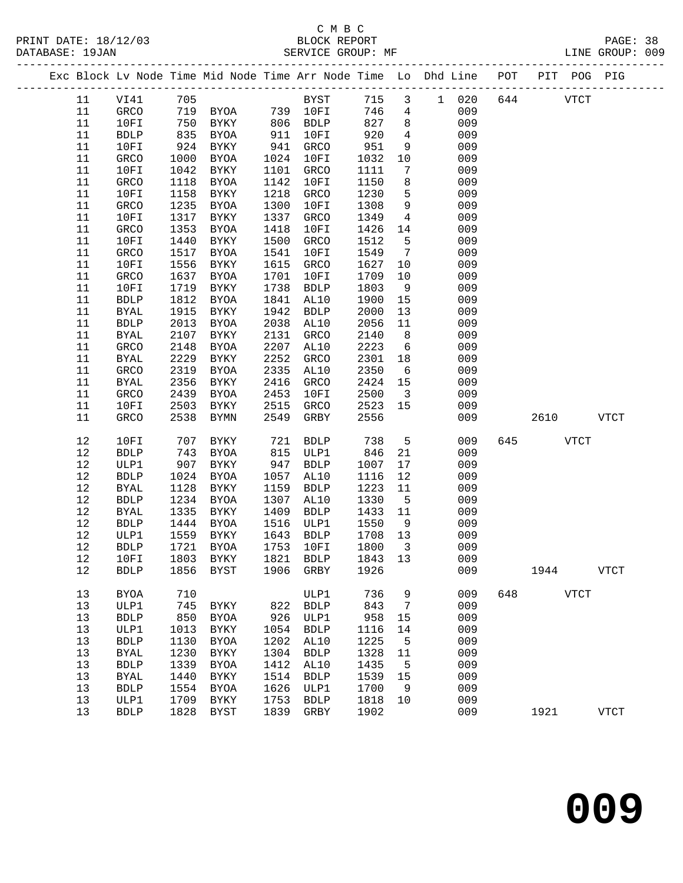|  |    |              |      |                                  |      |              |      |                         | Exc Block Lv Node Time Mid Node Time Arr Node Time Lo Dhd Line POT |     |      |             | PIT POG PIG  |
|--|----|--------------|------|----------------------------------|------|--------------|------|-------------------------|--------------------------------------------------------------------|-----|------|-------------|--------------|
|  | 11 | VI41         | 705  |                                  |      | <b>BYST</b>  | 715  |                         | 3 1 020                                                            | 644 |      | <b>VTCT</b> |              |
|  | 11 | GRCO         |      | 719 BYOA 739 10FI                |      |              | 746  | $4\overline{ }$         | 009                                                                |     |      |             |              |
|  | 11 | 10FI         | 750  | BYKY                             |      | 806 BDLP     | 827  | 8                       | 009                                                                |     |      |             |              |
|  | 11 | <b>BDLP</b>  | 835  | BYOA                             | 911  | 10FI         | 920  | $4\overline{4}$         | 009                                                                |     |      |             |              |
|  | 11 | 10FI         | 924  | BYKY                             | 941  | GRCO         | 951  | 9                       | 009                                                                |     |      |             |              |
|  | 11 | GRCO         | 1000 | BYOA                             | 1024 | 10FI         | 1032 | 10                      | 009                                                                |     |      |             |              |
|  | 11 | 10FI         | 1042 | BYKY                             | 1101 | GRCO         | 1111 | 7                       | 009                                                                |     |      |             |              |
|  | 11 | GRCO         | 1118 | BYOA                             | 1142 | 10FI         | 1150 | 8                       | 009                                                                |     |      |             |              |
|  | 11 | 10FI         | 1158 | BYKY                             | 1218 | GRCO         | 1230 | 5                       | 009                                                                |     |      |             |              |
|  | 11 | GRCO         | 1235 | BYOA                             | 1300 | 10FI         | 1308 | $\overline{9}$          | 009                                                                |     |      |             |              |
|  | 11 | 10FI         | 1317 | BYKY                             | 1337 | GRCO         | 1349 | $\overline{4}$          | 009                                                                |     |      |             |              |
|  | 11 | GRCO         | 1353 | BYOA                             | 1418 | 10FI         | 1426 | 14                      | 009                                                                |     |      |             |              |
|  | 11 | 10FI         | 1440 | BYKY                             | 1500 | GRCO         | 1512 | 5                       | 009                                                                |     |      |             |              |
|  | 11 | GRCO         | 1517 | BYOA                             | 1541 | 10FI         | 1549 | $7\overline{ }$         | 009                                                                |     |      |             |              |
|  | 11 | 10FI         | 1556 | BYKY                             | 1615 | GRCO         | 1627 | 10                      | 009                                                                |     |      |             |              |
|  | 11 | GRCO         | 1637 | BYOA                             | 1701 | 10FI         | 1709 | 10                      | 009                                                                |     |      |             |              |
|  | 11 | 10FI         | 1719 | BYKY                             | 1738 | ${\tt BDLP}$ | 1803 | 9                       | 009                                                                |     |      |             |              |
|  | 11 | ${\tt BDLP}$ | 1812 | BYOA                             | 1841 | AL10         | 1900 | 15                      | 009                                                                |     |      |             |              |
|  | 11 | <b>BYAL</b>  | 1915 | BYKY                             | 1942 | <b>BDLP</b>  | 2000 | 13                      | 009                                                                |     |      |             |              |
|  | 11 | <b>BDLP</b>  | 2013 | BYOA                             | 2038 | AL10         | 2056 | 11                      | 009                                                                |     |      |             |              |
|  | 11 | <b>BYAL</b>  | 2107 | BYKY                             | 2131 | GRCO         | 2140 | 8 <sup>8</sup>          | 009                                                                |     |      |             |              |
|  | 11 | GRCO         | 2148 | <b>BYOA</b>                      | 2207 | AL10         | 2223 | $6\overline{6}$         | 009                                                                |     |      |             |              |
|  | 11 | <b>BYAL</b>  | 2229 | BYKY                             | 2252 | GRCO         | 2301 | 18                      | 009                                                                |     |      |             |              |
|  | 11 | GRCO         | 2319 | BYOA                             | 2335 | AL10         | 2350 | $6\overline{6}$         | 009                                                                |     |      |             |              |
|  | 11 | <b>BYAL</b>  | 2356 | BYKY                             | 2416 | GRCO         | 2424 | 15                      | 009                                                                |     |      |             |              |
|  | 11 | GRCO         | 2439 | BYOA                             | 2453 | 10FI         | 2500 | $\overline{\mathbf{3}}$ | 009                                                                |     |      |             |              |
|  | 11 | 10FI         | 2503 | BYKY                             | 2515 | GRCO         | 2523 | 15                      | 009                                                                |     |      |             |              |
|  | 11 | GRCO         | 2538 | BYMN                             | 2549 | GRBY         | 2556 |                         | 009                                                                |     | 2610 |             | <b>VTCT</b>  |
|  |    |              |      |                                  |      |              |      |                         |                                                                    |     |      |             |              |
|  | 12 | 10FI         | 707  | BYKY                             | 721  | BDLP         | 738  | $5^{\circ}$             | 009                                                                | 645 |      | <b>VTCT</b> |              |
|  | 12 | <b>BDLP</b>  | 743  | BYOA                             | 815  | ULP1         | 846  | 21                      | 009                                                                |     |      |             |              |
|  | 12 | ULP1         | 907  | BYKY                             | 947  | <b>BDLP</b>  | 1007 | 17                      | 009                                                                |     |      |             |              |
|  | 12 | <b>BDLP</b>  | 1024 | BYOA                             | 1057 | AL10         | 1116 | 12                      | 009                                                                |     |      |             |              |
|  | 12 | <b>BYAL</b>  | 1128 | BYKY                             | 1159 | <b>BDLP</b>  | 1223 | 11                      | 009                                                                |     |      |             |              |
|  | 12 | <b>BDLP</b>  | 1234 | BYOA                             | 1307 | AL10         | 1330 | $5^{\circ}$             | 009                                                                |     |      |             |              |
|  | 12 | BYAL         | 1335 | BYKY                             | 1409 | <b>BDLP</b>  | 1433 | 11                      | 009                                                                |     |      |             |              |
|  | 12 | <b>BDLP</b>  | 1444 | BYOA                             | 1516 | ULP1         | 1550 | 9                       | 009                                                                |     |      |             |              |
|  | 12 | ULP1         | 1559 | BYKY                             | 1643 | <b>BDLP</b>  | 1708 | 13                      | 009                                                                |     |      |             |              |
|  | 12 | <b>BDLP</b>  | 1721 | BYOA                             | 1753 | 10FI         | 1800 | $\overline{\mathbf{3}}$ | 009                                                                |     |      |             |              |
|  | 12 |              |      | 10FI 1803 BYKY 1821 BDLP 1843 13 |      |              |      |                         | 009                                                                |     |      |             |              |
|  | 12 | <b>BDLP</b>  | 1856 | BYST                             | 1906 | GRBY         | 1926 |                         | 009                                                                |     | 1944 |             | <b>VTCT</b>  |
|  | 13 | <b>BYOA</b>  | 710  |                                  |      | ULP1         | 736  | 9                       | 009                                                                | 648 |      | <b>VTCT</b> |              |
|  | 13 | ULP1         | 745  | BYKY                             | 822  | <b>BDLP</b>  | 843  | $7\phantom{.0}$         | 009                                                                |     |      |             |              |
|  | 13 | <b>BDLP</b>  | 850  | BYOA                             | 926  | ULP1         | 958  | 15                      | 009                                                                |     |      |             |              |
|  | 13 | ULP1         | 1013 | BYKY                             | 1054 | <b>BDLP</b>  | 1116 | 14                      | 009                                                                |     |      |             |              |
|  | 13 | <b>BDLP</b>  | 1130 | BYOA                             | 1202 | AL10         | 1225 | 5                       | 009                                                                |     |      |             |              |
|  | 13 | <b>BYAL</b>  | 1230 | BYKY                             | 1304 | <b>BDLP</b>  | 1328 | 11                      | 009                                                                |     |      |             |              |
|  | 13 | <b>BDLP</b>  | 1339 | <b>BYOA</b>                      | 1412 | AL10         | 1435 | 5                       | 009                                                                |     |      |             |              |
|  | 13 | <b>BYAL</b>  | 1440 | BYKY                             | 1514 | <b>BDLP</b>  | 1539 | 15                      | 009                                                                |     |      |             |              |
|  | 13 | ${\tt BDLP}$ | 1554 | <b>BYOA</b>                      | 1626 | ULP1         | 1700 | 9                       | 009                                                                |     |      |             |              |
|  | 13 | ULP1         | 1709 | BYKY                             | 1753 | ${\tt BDLP}$ | 1818 | 10                      | 009                                                                |     |      |             |              |
|  | 13 | <b>BDLP</b>  | 1828 | <b>BYST</b>                      | 1839 | GRBY         | 1902 |                         | 009                                                                |     | 1921 |             | ${\tt VTCT}$ |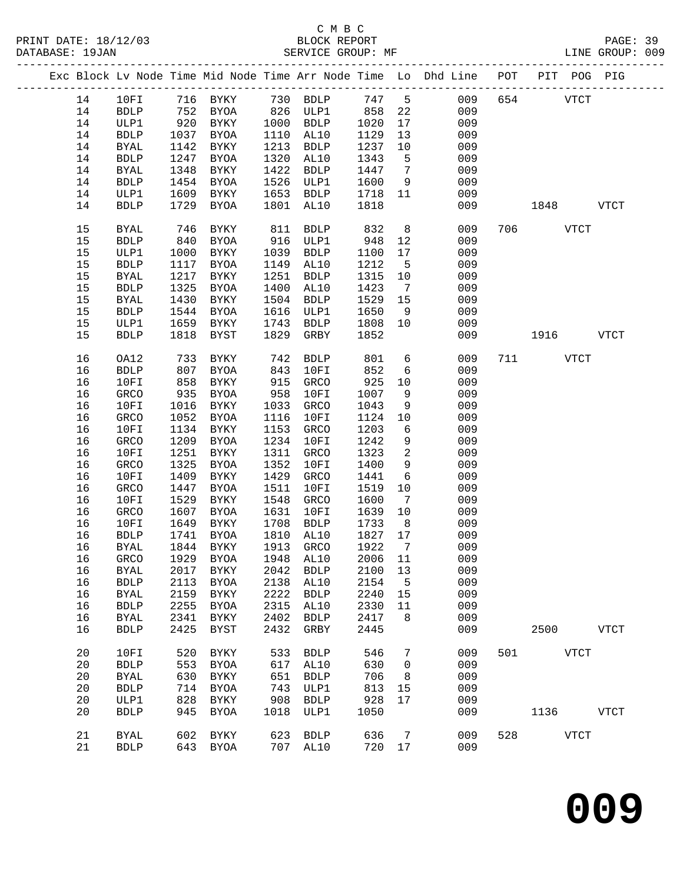|  |    |              |      |                             |      |              |         |                 | Exc Block Lv Node Time Mid Node Time Arr Node Time Lo Dhd Line POT |     |          | PIT POG PIG  |              |
|--|----|--------------|------|-----------------------------|------|--------------|---------|-----------------|--------------------------------------------------------------------|-----|----------|--------------|--------------|
|  | 14 | 10FI         |      | 716 BYKY                    |      | 730 BDLP     | 747 5   |                 | 009                                                                | 654 |          | <b>VTCT</b>  |              |
|  | 14 | <b>BDLP</b>  |      | 752 BYOA                    |      | 826 ULP1     | 858     | 22              | 009                                                                |     |          |              |              |
|  | 14 | ULP1         | 920  | BYKY                        | 1000 | <b>BDLP</b>  | 1020    | 17              | 009                                                                |     |          |              |              |
|  | 14 | <b>BDLP</b>  | 1037 | BYOA                        | 1110 | AL10         | 1129    | 13              | 009                                                                |     |          |              |              |
|  | 14 | <b>BYAL</b>  | 1142 | BYKY                        | 1213 | <b>BDLP</b>  | 1237    | 10              | 009                                                                |     |          |              |              |
|  | 14 | <b>BDLP</b>  | 1247 | BYOA                        | 1320 | AL10         | 1343    | $5^{\circ}$     | 009                                                                |     |          |              |              |
|  | 14 | <b>BYAL</b>  | 1348 | BYKY                        | 1422 | <b>BDLP</b>  | 1447    | $\overline{7}$  | 009                                                                |     |          |              |              |
|  | 14 | ${\tt BDLP}$ | 1454 | BYOA                        | 1526 | ULP1         | 1600    | 9               | 009                                                                |     |          |              |              |
|  | 14 | ULP1         | 1609 | BYKY                        | 1653 | BDLP         | 1718    | 11              | 009                                                                |     |          |              |              |
|  | 14 | <b>BDLP</b>  | 1729 | BYOA                        | 1801 | AL10         | 1818    |                 | 009                                                                |     | 1848     |              | VTCT         |
|  |    |              |      |                             |      |              |         |                 |                                                                    |     |          |              |              |
|  | 15 | <b>BYAL</b>  | 746  | BYKY                        | 811  | <b>BDLP</b>  | 832     | 8 <sup>8</sup>  | 009                                                                |     | 706 VTCT |              |              |
|  | 15 | <b>BDLP</b>  | 840  | BYOA                        | 916  | ULP1         | 948     | 12              | 009                                                                |     |          |              |              |
|  | 15 | ULP1         | 1000 | BYKY                        | 1039 | BDLP         | 1100    | 17              | 009                                                                |     |          |              |              |
|  | 15 | <b>BDLP</b>  | 1117 | BYOA                        | 1149 | AL10         | 1212    | $5^{\circ}$     | 009                                                                |     |          |              |              |
|  | 15 | BYAL         | 1217 | BYKY                        | 1251 | <b>BDLP</b>  | 1315    | 10              | 009                                                                |     |          |              |              |
|  | 15 | <b>BDLP</b>  | 1325 | BYOA                        | 1400 | AL10         | 1423    | $7\overline{ }$ | 009                                                                |     |          |              |              |
|  | 15 | <b>BYAL</b>  | 1430 | BYKY                        | 1504 | <b>BDLP</b>  | 1529    | 15              | 009                                                                |     |          |              |              |
|  | 15 | <b>BDLP</b>  | 1544 | BYOA                        | 1616 | ULP1         | 1650    | 9               | 009                                                                |     |          |              |              |
|  | 15 | ULP1         | 1659 | BYKY                        | 1743 | BDLP         | 1808    | 10              | 009                                                                |     |          |              |              |
|  | 15 | <b>BDLP</b>  | 1818 | BYST                        | 1829 | GRBY         | 1852    |                 | 009                                                                |     |          | 1916 VTCT    |              |
|  |    |              |      |                             |      |              |         |                 |                                                                    |     |          |              |              |
|  | 16 | OA12         | 733  | BYKY                        | 742  | <b>BDLP</b>  | 801     | 6               | 009                                                                |     | 711 VTCT |              |              |
|  | 16 | ${\tt BDLP}$ | 807  | <b>BYOA</b>                 | 843  | 10FI         | 852     | 6               | 009                                                                |     |          |              |              |
|  | 16 | 10FI         | 858  | BYKY                        | 915  | GRCO         | 925     | 10              | 009                                                                |     |          |              |              |
|  | 16 | GRCO         | 935  | BYOA                        | 958  | 10FI         | 1007    | 9               | 009                                                                |     |          |              |              |
|  | 16 | 10FI         | 1016 | BYKY                        | 1033 | GRCO         | 1043    | 9               | 009                                                                |     |          |              |              |
|  | 16 | GRCO         | 1052 | BYOA                        | 1116 | 10FI         | 1124    | 10              | 009                                                                |     |          |              |              |
|  | 16 | 10FI         | 1134 | BYKY                        | 1153 | GRCO         | 1203    | $6\overline{6}$ | 009                                                                |     |          |              |              |
|  | 16 | GRCO         | 1209 | BYOA                        | 1234 | 10FI         | 1242    | 9               | 009                                                                |     |          |              |              |
|  | 16 | 10FI         | 1251 | BYKY                        | 1311 | GRCO         | 1323    | $\overline{2}$  | 009                                                                |     |          |              |              |
|  | 16 | GRCO         | 1325 | BYOA                        | 1352 | 10FI         | 1400    | 9               | 009                                                                |     |          |              |              |
|  | 16 | 10FI         | 1409 | BYKY                        | 1429 | GRCO         | 1441    | 6               | 009                                                                |     |          |              |              |
|  | 16 | GRCO         | 1447 | BYOA                        | 1511 | 10FI         | 1519    | 10              | 009                                                                |     |          |              |              |
|  | 16 | 10FI         | 1529 | BYKY                        | 1548 | GRCO         | 1600    | $\overline{7}$  | 009                                                                |     |          |              |              |
|  | 16 | GRCO         | 1607 | BYOA                        | 1631 | 10FI         | 1639    | 10              | 009                                                                |     |          |              |              |
|  | 16 | 10FI         | 1649 | BYKY                        | 1708 | BDLP         | 1733    | 8 <sup>8</sup>  | 009                                                                |     |          |              |              |
|  | 16 | <b>BDLP</b>  | 1741 | BYOA                        | 1810 | AL10         | 1827    | 17              | 009                                                                |     |          |              |              |
|  | 16 | <b>BYAL</b>  | 1844 | BYKY                        | 1913 | GRCO         | 1922    | $\overline{7}$  | 009                                                                |     |          |              |              |
|  |    |              |      | 16 GRCO 1929 BYOA 1948 AL10 |      |              | 2006 11 |                 | 009                                                                |     |          |              |              |
|  | 16 | <b>BYAL</b>  | 2017 | BYKY                        | 2042 | <b>BDLP</b>  | 2100    | 13              | 009                                                                |     |          |              |              |
|  | 16 | <b>BDLP</b>  | 2113 | BYOA                        | 2138 | AL10         | 2154    | 5               | 009                                                                |     |          |              |              |
|  | 16 |              |      |                             | 2222 | ${\tt BDLP}$ |         |                 | 009                                                                |     |          |              |              |
|  |    | <b>BYAL</b>  | 2159 | BYKY                        |      |              | 2240    | 15              |                                                                    |     |          |              |              |
|  | 16 | <b>BDLP</b>  | 2255 | BYOA                        | 2315 | AL10         | 2330    | 11              | 009                                                                |     |          |              |              |
|  | 16 | <b>BYAL</b>  | 2341 | BYKY                        | 2402 | ${\tt BDLP}$ | 2417    | 8               | 009                                                                |     |          |              |              |
|  | 16 | ${\tt BDLP}$ | 2425 | <b>BYST</b>                 | 2432 | GRBY         | 2445    |                 | 009                                                                |     | 2500     |              | ${\tt VTCT}$ |
|  | 20 | 10FI         | 520  | BYKY                        | 533  | <b>BDLP</b>  | 546     | $7\phantom{.0}$ | 009                                                                | 501 |          | ${\tt VTCT}$ |              |
|  | 20 | ${\tt BDLP}$ | 553  | BYOA                        | 617  | AL10         | 630     | $\mathbf 0$     | 009                                                                |     |          |              |              |
|  | 20 | <b>BYAL</b>  | 630  | BYKY                        | 651  | <b>BDLP</b>  | 706     | 8               | 009                                                                |     |          |              |              |
|  | 20 | <b>BDLP</b>  | 714  | <b>BYOA</b>                 | 743  | ULP1         | 813     | 15              | 009                                                                |     |          |              |              |
|  | 20 | ULP1         | 828  | BYKY                        | 908  | ${\tt BDLP}$ | 928     | 17              | 009                                                                |     |          |              |              |
|  | 20 | <b>BDLP</b>  | 945  | BYOA                        | 1018 | ULP1         | 1050    |                 | 009                                                                |     | 1136     |              | <b>VTCT</b>  |
|  |    |              |      |                             |      |              |         |                 |                                                                    |     |          |              |              |
|  | 21 | <b>BYAL</b>  | 602  | BYKY                        | 623  | <b>BDLP</b>  | 636     | 7               | 009                                                                | 528 |          | <b>VTCT</b>  |              |
|  | 21 | <b>BDLP</b>  | 643  | BYOA                        | 707  | AL10         | 720 17  |                 | 009                                                                |     |          |              |              |
|  |    |              |      |                             |      |              |         |                 |                                                                    |     |          |              |              |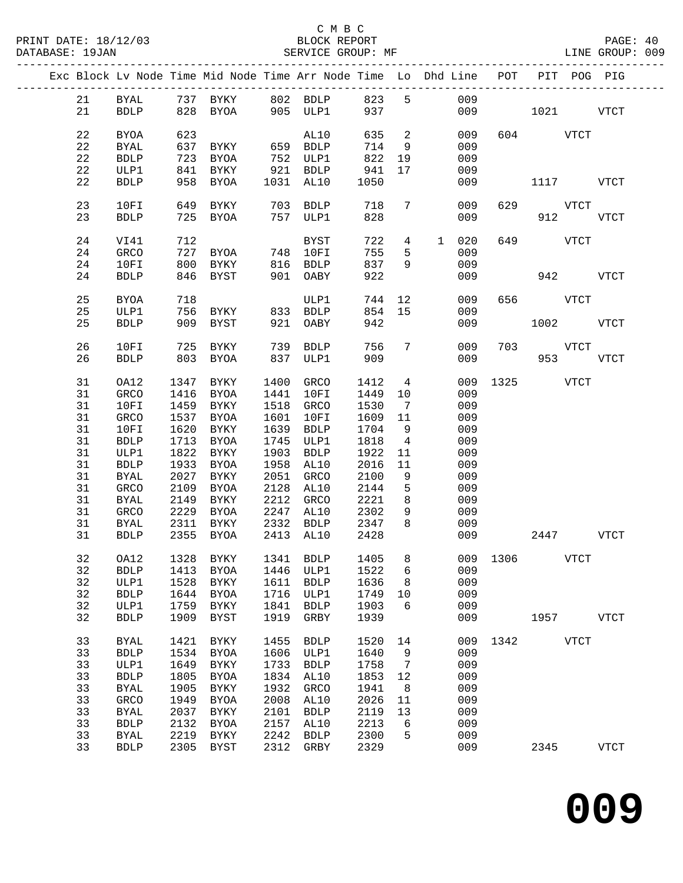|  |    |             |      | Exc Block Lv Node Time Mid Node Time Arr Node Time Lo Dhd Line POT PIT POG PIG |      |                |         |                         |        |       |               |          |             |             |
|--|----|-------------|------|--------------------------------------------------------------------------------|------|----------------|---------|-------------------------|--------|-------|---------------|----------|-------------|-------------|
|  | 21 |             |      | BYAL 737 BYKY 802 BDLP 823 5                                                   |      |                |         |                         |        | 009   |               |          |             |             |
|  | 21 |             |      | BDLP 828 BYOA 905 ULP1 937                                                     |      |                |         |                         |        |       | 009 1021 VTCT |          |             |             |
|  | 22 | BYOA        | 623  |                                                                                |      | AL10           | 635     | $\overline{\mathbf{c}}$ |        | 009   |               | 604 VTCT |             |             |
|  | 22 | BYAL        | 637  |                                                                                |      |                | 714     | 9                       |        | 009   |               |          |             |             |
|  | 22 | <b>BDLP</b> | 723  |                                                                                |      |                | 822     | 19                      |        | 009   |               |          |             |             |
|  |    |             |      |                                                                                |      |                |         |                         |        |       |               |          |             |             |
|  | 22 | ULP1        | 841  | <b>BYKY</b>                                                                    |      | 921 BDLP       | 941     | 17                      |        | 009   |               |          |             |             |
|  | 22 | <b>BDLP</b> | 958  | BYOA                                                                           |      | 1031 AL10      | 1050    |                         |        | 009   |               |          | 1117        | VTCT        |
|  | 23 | 10FI        |      | 649 BYKY                                                                       |      | 703 BDLP       | 718     | $7\overline{ }$         |        | 009   |               | 629 VTCT |             |             |
|  | 23 | BDLP        |      | 725 BYOA                                                                       |      | 757 ULP1       | 828     |                         |        | 009   |               |          | 912 VTCT    |             |
|  | 24 | VI41        | 712  |                                                                                |      | BYST           | 722     | $4\overline{ }$         |        | 1 020 |               | 649 VTCT |             |             |
|  | 24 | GRCO        | 727  | BYOA 748 10FI                                                                  |      |                | 755     | 5                       |        | 009   |               |          |             |             |
|  |    |             |      |                                                                                |      |                |         |                         |        |       |               |          |             |             |
|  | 24 | 10FI        | 800  | BYKY                                                                           |      | 816 BDLP       | 837     | 9                       |        | 009   |               |          |             |             |
|  | 24 | <b>BDLP</b> | 846  | BYST                                                                           |      | 901 OABY       | 922     |                         |        | 009   |               | 942      |             | <b>VTCT</b> |
|  | 25 | BYOA        | 718  |                                                                                |      | ULP1           |         |                         | 744 12 | 009   |               | 656 VTCT |             |             |
|  | 25 | ULP1        |      | 756 BYKY 833 BDLP                                                              |      |                | 854 15  |                         |        | 009   |               |          |             |             |
|  | 25 | <b>BDLP</b> |      | 909 BYST 921 OABY                                                              |      |                | 942     |                         |        | 009   |               |          | 1002 VTCT   |             |
|  | 26 | 10FI        | 725  | BYKY                                                                           |      | 739 BDLP       | 756     | 7                       |        | 009   | 703           |          | <b>VTCT</b> |             |
|  | 26 | <b>BDLP</b> |      | 803 BYOA                                                                       |      | 837 ULP1       | 909     |                         |        | 009   |               | 953      |             | <b>VTCT</b> |
|  | 31 | OA12        | 1347 | BYKY                                                                           | 1400 | GRCO           | 1412    | $\overline{4}$          |        | 009   | 1325 VTCT     |          |             |             |
|  | 31 | GRCO        |      | 1416 BYOA                                                                      |      | 1441 10FI      | 1449 10 |                         |        | 009   |               |          |             |             |
|  |    |             |      |                                                                                |      |                |         |                         |        |       |               |          |             |             |
|  | 31 | 10FI        | 1459 | BYKY                                                                           |      | 1518 GRCO      | 1530    | $\overline{7}$          |        | 009   |               |          |             |             |
|  | 31 | GRCO        | 1537 | BYOA                                                                           | 1601 | 10FI           | 1609    | 11                      |        | 009   |               |          |             |             |
|  | 31 | 10FI        | 1620 | BYKY                                                                           | 1639 | BDLP           | 1704    | 9                       |        | 009   |               |          |             |             |
|  | 31 | <b>BDLP</b> | 1713 | BYOA                                                                           |      | 1745 ULP1      | 1818    | $\overline{4}$          |        | 009   |               |          |             |             |
|  | 31 | ULP1        | 1822 | BYKY                                                                           | 1903 | BDLP           | 1922    | 11                      |        | 009   |               |          |             |             |
|  |    |             |      |                                                                                |      |                |         |                         |        |       |               |          |             |             |
|  | 31 | <b>BDLP</b> | 1933 | BYOA                                                                           |      | 1958 AL10      | 2016    | 11                      |        | 009   |               |          |             |             |
|  | 31 | <b>BYAL</b> | 2027 | BYKY                                                                           | 2051 | GRCO           | 2100    | 9                       |        | 009   |               |          |             |             |
|  | 31 | GRCO        | 2109 | BYOA                                                                           | 2128 | AL10           | 2144    | 5                       |        | 009   |               |          |             |             |
|  | 31 | BYAL        | 2149 | BYKY                                                                           | 2212 | GRCO           | 2221    | 8 <sup>8</sup>          |        | 009   |               |          |             |             |
|  |    |             |      |                                                                                |      |                | 2302    |                         |        |       |               |          |             |             |
|  | 31 | GRCO        | 2229 | BYOA                                                                           | 2247 | AL10           |         | 9                       |        | 009   |               |          |             |             |
|  | 31 | BYAL        | 2311 | BYKY                                                                           |      | 2332 BDLP 2347 |         | 8                       |        | 009   |               |          |             |             |
|  | 31 | <b>BDLP</b> | 2355 | BYOA                                                                           |      | 2413 AL10 2428 |         |                         |        | 009   |               | 2447     |             | VTCT        |
|  | 32 |             |      | 0A12 1328 BYKY 1341 BDLP 1405 8 009 1306 VTCT                                  |      |                |         |                         |        |       |               |          |             |             |
|  | 32 | <b>BDLP</b> | 1413 | BYOA                                                                           | 1446 | ULP1           | 1522    | 6                       |        | 009   |               |          |             |             |
|  | 32 | ULP1        | 1528 | BYKY                                                                           | 1611 | <b>BDLP</b>    | 1636    | 8                       |        | 009   |               |          |             |             |
|  | 32 |             | 1644 |                                                                                | 1716 |                |         | 10                      |        | 009   |               |          |             |             |
|  |    | <b>BDLP</b> |      | BYOA                                                                           |      | ULP1           | 1749    |                         |        |       |               |          |             |             |
|  | 32 | ULP1        | 1759 | BYKY                                                                           | 1841 | <b>BDLP</b>    | 1903    | 6                       |        | 009   |               |          |             |             |
|  | 32 | <b>BDLP</b> | 1909 | BYST                                                                           | 1919 | GRBY           | 1939    |                         |        | 009   |               | 1957     |             | VTCT        |
|  | 33 | <b>BYAL</b> | 1421 | BYKY                                                                           | 1455 | <b>BDLP</b>    | 1520    | 14                      |        |       | 009 1342      |          | <b>VTCT</b> |             |
|  | 33 | <b>BDLP</b> | 1534 | <b>BYOA</b>                                                                    | 1606 | ULP1           | 1640    | 9                       |        | 009   |               |          |             |             |
|  | 33 | ULP1        | 1649 | BYKY                                                                           | 1733 | <b>BDLP</b>    | 1758    | 7                       |        | 009   |               |          |             |             |
|  | 33 |             | 1805 |                                                                                | 1834 | AL10           | 1853    |                         |        | 009   |               |          |             |             |
|  |    | <b>BDLP</b> |      | <b>BYOA</b>                                                                    |      |                |         | 12                      |        |       |               |          |             |             |
|  | 33 | <b>BYAL</b> | 1905 | BYKY                                                                           | 1932 | GRCO           | 1941    | 8                       |        | 009   |               |          |             |             |
|  | 33 | GRCO        | 1949 | <b>BYOA</b>                                                                    | 2008 | AL10           | 2026    | 11                      |        | 009   |               |          |             |             |
|  | 33 | <b>BYAL</b> | 2037 | BYKY                                                                           | 2101 | <b>BDLP</b>    | 2119    | 13                      |        | 009   |               |          |             |             |
|  | 33 | <b>BDLP</b> | 2132 | BYOA                                                                           | 2157 | AL10           | 2213    | 6                       |        | 009   |               |          |             |             |
|  |    |             |      |                                                                                |      |                |         |                         |        |       |               |          |             |             |
|  | 33 | <b>BYAL</b> | 2219 | BYKY                                                                           | 2242 | <b>BDLP</b>    | 2300    | 5                       |        | 009   |               |          |             |             |
|  | 33 | <b>BDLP</b> | 2305 | <b>BYST</b>                                                                    | 2312 | GRBY           | 2329    |                         |        | 009   |               | 2345     |             | <b>VTCT</b> |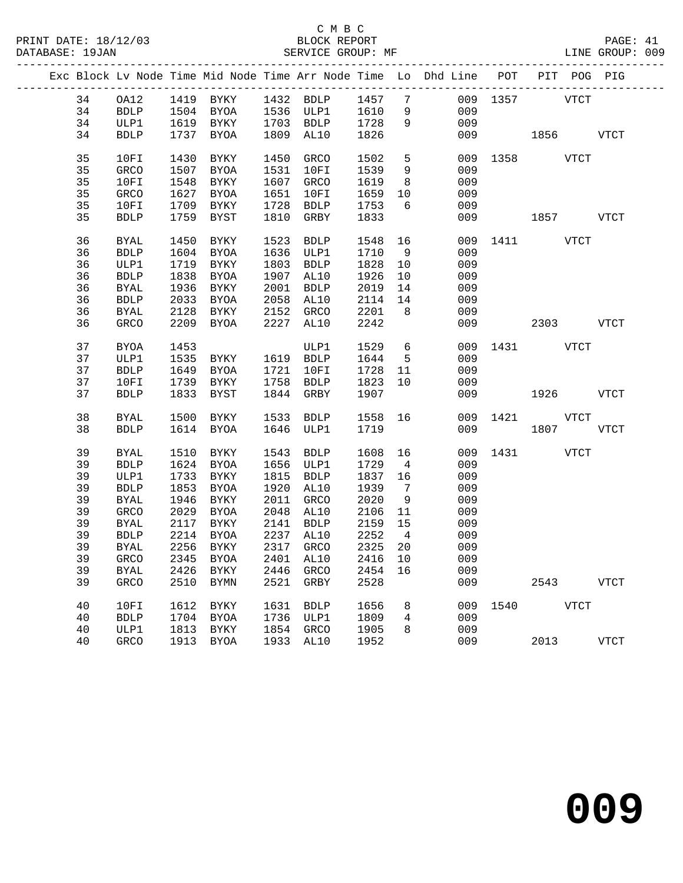|  |    |              |      |           |      |                            |         |                 | Exc Block Lv Node Time Mid Node Time Arr Node Time Lo Dhd Line POT PIT POG PIG |               |           |             |
|--|----|--------------|------|-----------|------|----------------------------|---------|-----------------|--------------------------------------------------------------------------------|---------------|-----------|-------------|
|  | 34 | OA12         |      |           |      | 1419 BYKY 1432 BDLP 1457 7 |         |                 |                                                                                | 009 1357 VTCT |           |             |
|  | 34 | BDLP         |      |           |      | 1504 BYOA 1536 ULP1 1610   |         | 9               | 009                                                                            |               |           |             |
|  | 34 | ULP1         |      | 1619 BYKY |      | 1703 BDLP 1728             |         | 9               | 009                                                                            |               |           |             |
|  | 34 | <b>BDLP</b>  |      | 1737 BYOA |      | 1809 AL10                  | 1826    |                 |                                                                                | 009 1856 VTCT |           |             |
|  |    |              |      |           |      |                            |         |                 |                                                                                |               |           |             |
|  | 35 | 10FI         | 1430 | BYKY      | 1450 | GRCO                       | 1502    | $5\overline{)}$ |                                                                                | 009 1358 VTCT |           |             |
|  | 35 | GRCO         | 1507 | BYOA      |      | 1531 10FI                  | 1539    | 9               | 009                                                                            |               |           |             |
|  | 35 | 10FI         | 1548 | BYKY      |      | 1607 GRCO                  | 1619    | 8 <sup>8</sup>  | 009                                                                            |               |           |             |
|  | 35 | GRCO         | 1627 | BYOA      | 1651 | 10FI                       | 1659    | 10              | 009                                                                            |               |           |             |
|  | 35 | 10FI         |      | 1709 BYKY |      | 1728 BDLP                  | 1753    | 6               | 009                                                                            |               |           |             |
|  | 35 | <b>BDLP</b>  |      | 1759 BYST | 1810 | GRBY                       | 1833    |                 | 009                                                                            | 1857 VTCT     |           |             |
|  |    |              |      |           |      |                            |         |                 |                                                                                |               |           |             |
|  | 36 | BYAL         | 1450 | BYKY      | 1523 | BDLP                       | 1548    | 16              |                                                                                | 009 1411 VTCT |           |             |
|  | 36 | <b>BDLP</b>  | 1604 | BYOA      |      | 1636 ULP1                  | 1710    | 9               | 009                                                                            |               |           |             |
|  | 36 | ULP1         | 1719 | BYKY      |      | 1803 BDLP                  | 1828    | 10              | 009                                                                            |               |           |             |
|  | 36 | <b>BDLP</b>  | 1838 | BYOA      |      | 1907 AL10                  | 1926    | 10              | 009                                                                            |               |           |             |
|  | 36 | <b>BYAL</b>  | 1936 | BYKY      |      | 2001 BDLP                  | 2019    | 14              | 009                                                                            |               |           |             |
|  | 36 | <b>BDLP</b>  |      | 2033 BYOA |      | 2058 AL10                  | 2114    | 14              | 009                                                                            |               |           |             |
|  | 36 | BYAL         |      | 2128 BYKY |      | 2152 GRCO                  | 2201    | 8 <sup>8</sup>  | 009                                                                            |               |           |             |
|  | 36 | GRCO         |      | 2209 BYOA |      | 2227 AL10                  | 2242    |                 | 009                                                                            | 2303 VTCT     |           |             |
|  |    |              |      |           |      |                            |         |                 |                                                                                |               |           |             |
|  | 37 | BYOA         | 1453 |           |      | ULP1                       | 1529    | $6\overline{6}$ |                                                                                | 009 1431 VTCT |           |             |
|  | 37 | ULP1         | 1535 | BYKY      |      | 1619 BDLP                  | 1644    | $5^{\circ}$     | 009                                                                            |               |           |             |
|  | 37 | <b>BDLP</b>  | 1649 | BYOA      |      | 1721 10FI                  | 1728    | 11              | 009                                                                            |               |           |             |
|  | 37 | 10FI         |      | 1739 BYKY |      | 1758 BDLP                  | 1823    | 10              | 009                                                                            |               |           |             |
|  | 37 | <b>BDLP</b>  | 1833 | BYST      |      | 1844 GRBY                  | 1907    |                 | 009                                                                            |               | 1926      | <b>VTCT</b> |
|  |    |              |      |           |      |                            |         |                 |                                                                                |               |           |             |
|  | 38 | BYAL         |      | 1500 BYKY |      | 1533 BDLP                  | 1558 16 |                 |                                                                                | 009 1421 VTCT |           |             |
|  | 38 | <b>BDLP</b>  |      | 1614 BYOA |      | 1646 ULP1                  | 1719    |                 | 009                                                                            |               | 1807 VTCT |             |
|  |    |              |      |           |      |                            |         |                 |                                                                                |               |           |             |
|  | 39 | <b>BYAL</b>  | 1510 | BYKY      | 1543 | BDLP                       | 1608    | 16              | 009                                                                            | 1431 VTCT     |           |             |
|  | 39 | ${\tt BDLP}$ | 1624 | BYOA      |      | 1656 ULP1                  | 1729    | $\overline{4}$  | 009                                                                            |               |           |             |
|  | 39 | ULP1         | 1733 | BYKY      |      | 1815 BDLP                  | 1837    | 16              | 009                                                                            |               |           |             |
|  | 39 | <b>BDLP</b>  | 1853 | BYOA      | 1920 | AL10                       | 1939    | $\overline{7}$  | 009                                                                            |               |           |             |
|  | 39 | BYAL         | 1946 | BYKY      | 2011 | GRCO                       | 2020    | 9               | 009                                                                            |               |           |             |
|  | 39 | GRCO         | 2029 | BYOA      |      | 2048 AL10                  | 2106    | 11              | 009                                                                            |               |           |             |
|  | 39 | BYAL         | 2117 | BYKY      |      | 2141 BDLP                  | 2159    | 15              | 009                                                                            |               |           |             |
|  | 39 | <b>BDLP</b>  | 2214 | BYOA      |      | 2237 AL10                  | 2252    | $\overline{4}$  | 009                                                                            |               |           |             |
|  | 39 | BYAL         |      | 2256 BYKY |      | 2317 GRCO                  | 2325    | 20              | 009                                                                            |               |           |             |
|  |    |              |      |           |      |                            |         |                 | 39 GRCO 2345 BYOA 2401 AL10 2416 10 009                                        |               |           |             |
|  | 39 | <b>BYAL</b>  | 2426 | BYKY      | 2446 | GRCO                       | 2454 16 |                 | 009                                                                            |               |           |             |
|  | 39 | GRCO         | 2510 | BYMN      | 2521 | GRBY                       | 2528    |                 | 009                                                                            |               | 2543      | <b>VTCT</b> |
|  |    |              |      |           |      |                            |         |                 |                                                                                |               |           |             |
|  | 40 | 10FI         | 1612 | BYKY      | 1631 | <b>BDLP</b>                | 1656    | 8               | 009                                                                            | 1540 VTCT     |           |             |
|  | 40 | <b>BDLP</b>  | 1704 | BYOA      | 1736 | ULP1                       | 1809    | 4               | 009                                                                            |               |           |             |
|  | 40 | ULP1         | 1813 | BYKY      | 1854 | GRCO                       | 1905    | 8               | 009                                                                            |               |           |             |
|  | 40 | GRCO         | 1913 | BYOA      | 1933 | AL10                       | 1952    |                 | 009                                                                            |               | 2013      | VTCT        |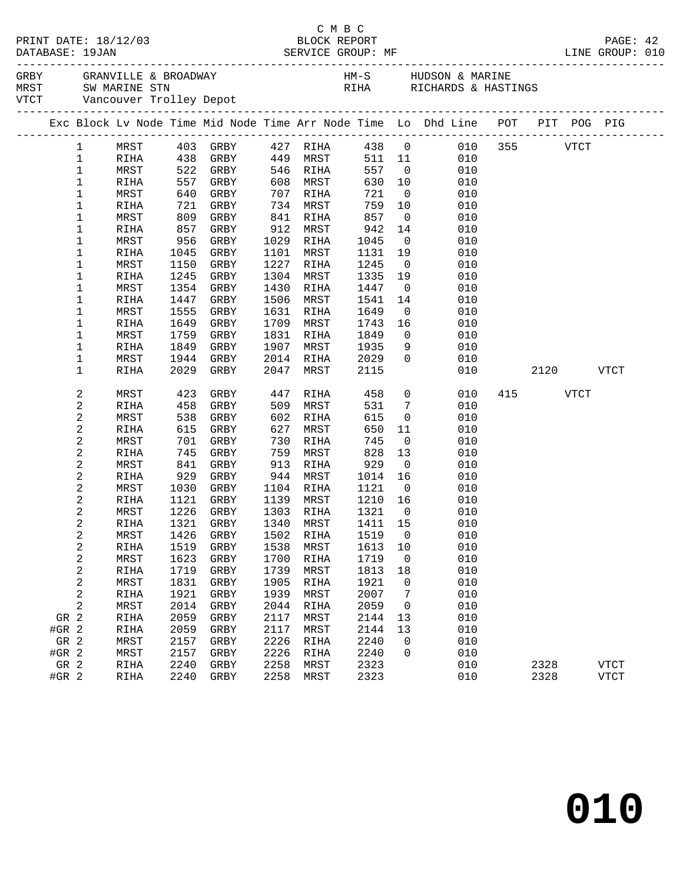| Exc Block Lv Node Time Mid Node Time Arr Node Time Lo Dhd Line POT PIT POG PIG |              |              |                            |              |              |              |                         |            |         |      |      |             |  |
|--------------------------------------------------------------------------------|--------------|--------------|----------------------------|--------------|--------------|--------------|-------------------------|------------|---------|------|------|-------------|--|
| $\mathbf{1}$                                                                   | MRST         |              | 403 GRBY 427 RIHA          |              |              |              |                         | 438 0      | 010 355 |      | VTCT |             |  |
| $\mathbf 1$                                                                    | RIHA         | 438 GRBY     |                            |              | 449 MRST     | 511 11       |                         | 010        |         |      |      |             |  |
| $\mathbf 1$                                                                    | MRST         | 522<br>557   | GRBY                       |              | 546 RIHA     | 557          | $\overline{0}$          | 010        |         |      |      |             |  |
| $1\,$                                                                          | RIHA         |              | GRBY                       |              | 608 MRST     | 630 10       |                         | 010        |         |      |      |             |  |
| 1                                                                              | MRST         | 640          | GRBY                       | 707          | RIHA         | 721          | $\overline{0}$          | 010        |         |      |      |             |  |
| 1                                                                              | RIHA         | 721          | GRBY                       |              | 734 MRST     | 759          | 10                      | 010        |         |      |      |             |  |
| 1                                                                              | MRST         | 809          | GRBY                       | 841          | RIHA         | 857          | $\overline{0}$          | 010        |         |      |      |             |  |
| 1                                                                              | RIHA         | 857          | GRBY                       | 912          | MRST         | 942          | 14                      | 010        |         |      |      |             |  |
| 1                                                                              | MRST         | 956          | GRBY                       |              | 1029 RIHA    | 1045         | $\overline{0}$          | 010        |         |      |      |             |  |
| 1                                                                              | RIHA         | 1045         | GRBY                       | 1101         | MRST         | 1131         | 19                      | 010        |         |      |      |             |  |
| 1                                                                              | MRST         | 1150         | GRBY                       | 1227         | RIHA         | 1245         | $\overline{\mathbf{0}}$ | 010        |         |      |      |             |  |
| 1                                                                              | RIHA         | 1245         | GRBY                       | 1304         | MRST         | 1335         | 19                      | 010        |         |      |      |             |  |
| $\mathbf 1$                                                                    | MRST         | 1354         | GRBY                       | 1430         | RIHA         | 1447         | $\overline{0}$          | 010        |         |      |      |             |  |
| 1                                                                              | RIHA         | 1447         | GRBY                       | 1506         | MRST         | 1541         | 14                      | 010        |         |      |      |             |  |
| 1                                                                              | MRST         | 1555         | GRBY                       | 1631         | RIHA         | 1649         | $\overline{0}$          | 010        |         |      |      |             |  |
| 1                                                                              | RIHA         | 1649         | GRBY                       | 1709         | MRST         | 1743         | 16                      | 010        |         |      |      |             |  |
| 1                                                                              | MRST         | 1759         | GRBY                       | 1831         | RIHA         | 1849         | $\overline{0}$          | 010        |         |      |      |             |  |
| 1<br>1                                                                         | RIHA<br>MRST | 1849<br>1944 | GRBY<br>GRBY               | 1907<br>2014 | MRST<br>RIHA | 1935<br>2029 | 9<br>$\Omega$           | 010<br>010 |         |      |      |             |  |
| $\mathbf 1$                                                                    | RIHA         | 2029         | GRBY                       | 2047         | MRST         | 2115         |                         | 010        |         | 2120 |      | VTCT        |  |
|                                                                                |              |              |                            |              |              |              |                         |            |         |      |      |             |  |
| 2                                                                              | MRST         | 423          | GRBY                       | 447          | RIHA         | 458          | $\overline{0}$          | 010        | 415     | VTCT |      |             |  |
| 2                                                                              | RIHA         | 458          | GRBY                       | 509          | MRST         | 531          | $7\phantom{.0}$         | 010        |         |      |      |             |  |
| $\sqrt{2}$                                                                     | MRST         | 538          | GRBY                       | 602          | RIHA         | 615          | $\overline{0}$          | 010        |         |      |      |             |  |
| $\sqrt{2}$                                                                     | RIHA         | 615          | GRBY                       | 627          | MRST         | 650          | 11                      | 010        |         |      |      |             |  |
| 2                                                                              | MRST         | 701          | GRBY                       | 730          | RIHA         | 745          | $\overline{0}$          | 010        |         |      |      |             |  |
| $\sqrt{2}$                                                                     | RIHA         | 745          | GRBY                       | 759          | MRST         | 828          | 13                      | 010        |         |      |      |             |  |
| $\sqrt{2}$                                                                     | MRST         | 841          | GRBY                       | 913          | RIHA         | 929          | $\overline{0}$          | 010        |         |      |      |             |  |
| $\sqrt{2}$                                                                     | RIHA         | 929          | GRBY                       | 944          | MRST         | 1014         | 16                      | 010        |         |      |      |             |  |
| 2                                                                              | MRST         | 1030         | GRBY                       | 1104         | RIHA         | 1121         | $\overline{0}$          | 010        |         |      |      |             |  |
| 2                                                                              | RIHA         | 1121         | GRBY                       |              | 1139 MRST    | 1210 16      |                         | 010        |         |      |      |             |  |
| 2                                                                              | MRST         | 1226         | GRBY                       |              | 1303 RIHA    | 1321         | $\overline{0}$          | 010        |         |      |      |             |  |
| $\sqrt{2}$                                                                     | RIHA         |              | 1321 GRBY                  |              | 1340 MRST    | 1411 15      |                         | 010        |         |      |      |             |  |
| $\sqrt{2}$                                                                     | MRST         |              | 1426 GRBY 1502 RIHA 1519 0 |              |              |              |                         | 010        |         |      |      |             |  |
| 2                                                                              | RIHA         | 1519         | GRBY                       | 1538         | MRST         | 1613         | 10                      | 010        |         |      |      |             |  |
| 2                                                                              | MRST         | 1623         | GRBY                       | 1700         | RIHA         | 1719         | $\overline{0}$          | 010        |         |      |      |             |  |
| $\sqrt{2}$                                                                     | RIHA         | 1719         | GRBY                       | 1739         | MRST         | 1813         | 18                      | 010        |         |      |      |             |  |
| 2                                                                              | MRST         | 1831         | GRBY                       | 1905         | RIHA         | 1921         | 0                       | 010        |         |      |      |             |  |
| $\sqrt{2}$                                                                     | RIHA         | 1921         | GRBY                       | 1939         | MRST         | 2007         | 7                       | 010        |         |      |      |             |  |
| 2                                                                              | MRST         | 2014         | GRBY                       | 2044         | RIHA         | 2059         | $\overline{0}$          | 010        |         |      |      |             |  |
| GR 2                                                                           | RIHA         | 2059         | GRBY                       | 2117         | MRST         | 2144         | 13                      | 010        |         |      |      |             |  |
| $#GR$ 2                                                                        | RIHA         | 2059         | GRBY                       | 2117         | MRST         | 2144         | 13                      | 010        |         |      |      |             |  |
| GR 2                                                                           | MRST         | 2157         | GRBY                       | 2226         | RIHA         | 2240         | 0                       | 010        |         |      |      |             |  |
| $#GR$ 2                                                                        | MRST         | 2157<br>2240 | GRBY<br>GRBY               | 2226<br>2258 | RIHA         | 2240<br>2323 | $\Omega$                | 010<br>010 |         |      |      |             |  |
| GR 2                                                                           | RIHA         |              |                            | 2258         | MRST         |              |                         |            |         | 2328 |      | VTCT        |  |
| #GR 2                                                                          | RIHA         | 2240         | GRBY                       |              | MRST         | 2323         |                         | 010        |         | 2328 |      | <b>VTCT</b> |  |

# C M B C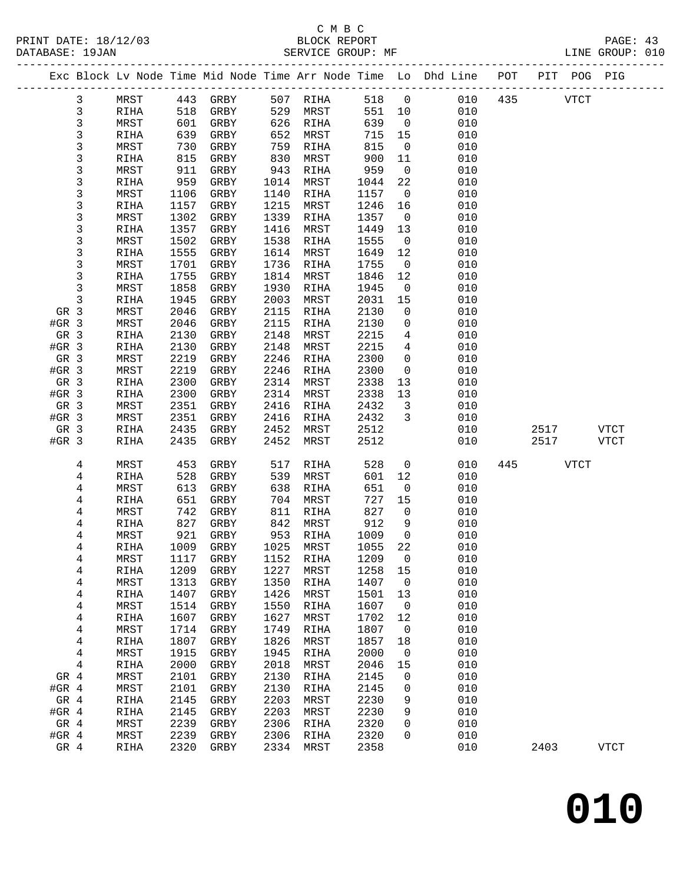### C M B C

| DATABASE: 19JAN |      |      | SERVICE GROUP: MF                |      |                      |             |                         | LINE GROUP: 010                                                                |              |      |             |             |  |
|-----------------|------|------|----------------------------------|------|----------------------|-------------|-------------------------|--------------------------------------------------------------------------------|--------------|------|-------------|-------------|--|
|                 |      |      |                                  |      |                      |             |                         | Exc Block Lv Node Time Mid Node Time Arr Node Time Lo Dhd Line POT PIT POG PIG |              |      |             |             |  |
| 3               | MRST |      | 443 GRBY 507 RIHA                |      |                      | 518 0       |                         |                                                                                | 010 435 VTCT |      |             |             |  |
| 3               | RIHA | 518  | GRBY                             |      | 529 MRST             | 551 10      |                         | 010                                                                            |              |      |             |             |  |
| 3               | MRST | 601  | GRBY                             |      | 626 RIHA             | 639         | $\overline{0}$          | 010                                                                            |              |      |             |             |  |
| 3               | RIHA | 639  | GRBY                             |      | 652 MRST             | 715         | 15                      | 010                                                                            |              |      |             |             |  |
| 3               | MRST | 730  | GRBY                             | 759  | RIHA                 | 815         | $\overline{0}$          | 010                                                                            |              |      |             |             |  |
| 3               | RIHA | 815  | GRBY                             | 830  | MRST                 | 900         | 11                      | 010                                                                            |              |      |             |             |  |
| 3               | MRST | 911  | GRBY                             | 943  | RIHA                 | 959         | $\overline{0}$          | 010                                                                            |              |      |             |             |  |
| 3               | RIHA | 959  | GRBY                             | 1014 | MRST                 | 1044        | 22                      | 010                                                                            |              |      |             |             |  |
| 3               | MRST | 1106 | GRBY                             | 1140 | RIHA                 | 1157        | $\overline{0}$          | 010                                                                            |              |      |             |             |  |
| 3               | RIHA | 1157 | GRBY                             | 1215 | MRST                 | 1246        | 16                      | 010                                                                            |              |      |             |             |  |
| 3               | MRST | 1302 | GRBY                             | 1339 | RIHA                 | 1357        | $\overline{0}$          | 010                                                                            |              |      |             |             |  |
| 3               | RIHA | 1357 | GRBY                             | 1416 | MRST                 | 1449        | 13                      | 010                                                                            |              |      |             |             |  |
| 3               | MRST | 1502 | GRBY                             | 1538 | RIHA                 | 1555        | $\overline{0}$          | 010                                                                            |              |      |             |             |  |
| 3               | RIHA | 1555 | GRBY                             | 1614 | MRST                 | 1649        | 12                      | 010                                                                            |              |      |             |             |  |
| 3               | MRST | 1701 | GRBY                             | 1736 | RIHA                 | 1755        | $\overline{0}$          | 010                                                                            |              |      |             |             |  |
| 3               | RIHA | 1755 | GRBY                             | 1814 | MRST                 | 1846        | 12                      | 010                                                                            |              |      |             |             |  |
| 3               | MRST | 1858 | GRBY                             | 1930 | RIHA                 | 1945        | $\overline{0}$          | 010                                                                            |              |      |             |             |  |
| 3               | RIHA | 1945 | GRBY                             | 2003 | MRST                 | 2031        | 15                      | 010                                                                            |              |      |             |             |  |
| GR 3            | MRST | 2046 | GRBY                             | 2115 | RIHA                 | 2130        | $\overline{0}$          | 010                                                                            |              |      |             |             |  |
| $#GR$ 3         | MRST | 2046 | GRBY                             | 2115 | RIHA                 | 2130        | $\mathsf{O}$            | 010                                                                            |              |      |             |             |  |
| GR 3            | RIHA | 2130 | GRBY                             | 2148 | MRST                 | 2215        | $4\overline{ }$         | 010                                                                            |              |      |             |             |  |
| $#GR$ 3         | RIHA | 2130 | GRBY                             | 2148 | MRST                 | 2215        | $\overline{4}$          | 010                                                                            |              |      |             |             |  |
| GR 3            | MRST | 2219 | GRBY                             | 2246 | RIHA                 | 2300        | $\mathbf 0$             | 010                                                                            |              |      |             |             |  |
| $#GR$ 3         | MRST | 2219 | GRBY                             | 2246 | RIHA                 | 2300        | $\overline{0}$          | 010                                                                            |              |      |             |             |  |
| GR 3            | RIHA | 2300 | GRBY                             | 2314 | MRST                 | 2338        | 13                      | 010                                                                            |              |      |             |             |  |
| $#GR$ 3         | RIHA | 2300 | GRBY                             | 2314 | MRST                 | 2338        | 13                      | 010                                                                            |              |      |             |             |  |
| GR 3            | MRST | 2351 | GRBY                             | 2416 | RIHA                 | 2432        | $\overline{\mathbf{3}}$ | 010                                                                            |              |      |             |             |  |
| $#GR$ 3         | MRST | 2351 | GRBY                             | 2416 | RIHA                 | 2432        | $\overline{\mathbf{3}}$ | 010                                                                            |              |      |             |             |  |
| GR 3            | RIHA | 2435 | GRBY                             | 2452 | MRST                 | 2512        |                         | 010                                                                            |              | 2517 |             | VTCT        |  |
| $#GR$ 3         | RIHA | 2435 | GRBY                             | 2452 | MRST                 | 2512        |                         | 010                                                                            |              | 2517 |             | VTCT        |  |
| 4               | MRST | 453  | GRBY                             | 517  | RIHA                 | 528         | $\overline{0}$          | 010                                                                            |              | 445  | <b>VTCT</b> |             |  |
| 4               | RIHA | 528  | GRBY                             | 539  | MRST                 | 601         | 12                      | 010                                                                            |              |      |             |             |  |
| 4               | MRST | 613  | GRBY                             | 638  | RIHA                 | 651         | $\overline{0}$          | 010                                                                            |              |      |             |             |  |
| 4               | RIHA | 651  | GRBY                             |      | 704 MRST             | 727         | 15                      | 010                                                                            |              |      |             |             |  |
| 4               | MRST | 742  | GRBY                             |      | 811 RIHA             | 827         | $\overline{0}$          | 010                                                                            |              |      |             |             |  |
| 4               | RIHA | 827  | GRBY                             |      | 842 MRST<br>953 RIHA | 912<br>1009 | 9                       | 010                                                                            |              |      |             |             |  |
| 4               | MRST | 921  | GRBY                             |      |                      | 1009        | $\overline{0}$          | 010                                                                            |              |      |             |             |  |
| 4               |      |      | RIHA 1009 GRBY 1025 MRST 1055 22 |      |                      |             |                         | 010                                                                            |              |      |             |             |  |
| 4               | MRST | 1117 | GRBY                             | 1152 | RIHA                 | 1209        | 0                       | 010                                                                            |              |      |             |             |  |
| 4               | RIHA | 1209 | GRBY                             | 1227 | MRST                 | 1258        | 15                      | 010                                                                            |              |      |             |             |  |
| 4               | MRST | 1313 | GRBY                             | 1350 | RIHA                 | 1407        | $\overline{0}$          | 010                                                                            |              |      |             |             |  |
| 4               | RIHA | 1407 | ${\tt GRBY}$                     | 1426 | MRST                 | 1501        | 13                      | 010                                                                            |              |      |             |             |  |
| 4               | MRST | 1514 | GRBY                             | 1550 | RIHA                 | 1607        | $\overline{0}$          | 010                                                                            |              |      |             |             |  |
| 4               | RIHA | 1607 | GRBY                             | 1627 | MRST                 | 1702        | 12                      | 010                                                                            |              |      |             |             |  |
| 4               | MRST | 1714 | GRBY                             | 1749 | RIHA                 | 1807        | $\mathsf{O}$            | 010                                                                            |              |      |             |             |  |
| 4               | RIHA | 1807 | GRBY                             | 1826 | MRST                 | 1857        | 18                      | 010                                                                            |              |      |             |             |  |
| 4               | MRST | 1915 | GRBY                             | 1945 | RIHA                 | 2000        | 0                       | 010                                                                            |              |      |             |             |  |
| 4               | RIHA | 2000 | GRBY                             | 2018 | MRST                 | 2046        | 15                      | 010                                                                            |              |      |             |             |  |
| GR 4            | MRST | 2101 | GRBY                             | 2130 | RIHA                 | 2145        | 0                       | 010                                                                            |              |      |             |             |  |
| #GR $4$         | MRST | 2101 | GRBY                             | 2130 | RIHA                 | 2145        | 0                       | 010                                                                            |              |      |             |             |  |
| GR 4            | RIHA | 2145 | GRBY                             | 2203 | MRST                 | 2230        | 9                       | 010                                                                            |              |      |             |             |  |
| $#GR$ 4         | RIHA | 2145 | GRBY                             | 2203 | MRST                 | 2230        | 9                       | 010                                                                            |              |      |             |             |  |
| GR 4            | MRST | 2239 | GRBY                             | 2306 | RIHA                 | 2320        | 0                       | 010                                                                            |              |      |             |             |  |
| #GR $4$         | MRST | 2239 | GRBY                             | 2306 | RIHA                 | 2320        | 0                       | 010                                                                            |              |      |             |             |  |
| GR 4            | RIHA | 2320 | GRBY                             | 2334 | MRST                 | 2358        |                         | 010                                                                            |              | 2403 |             | <b>VTCT</b> |  |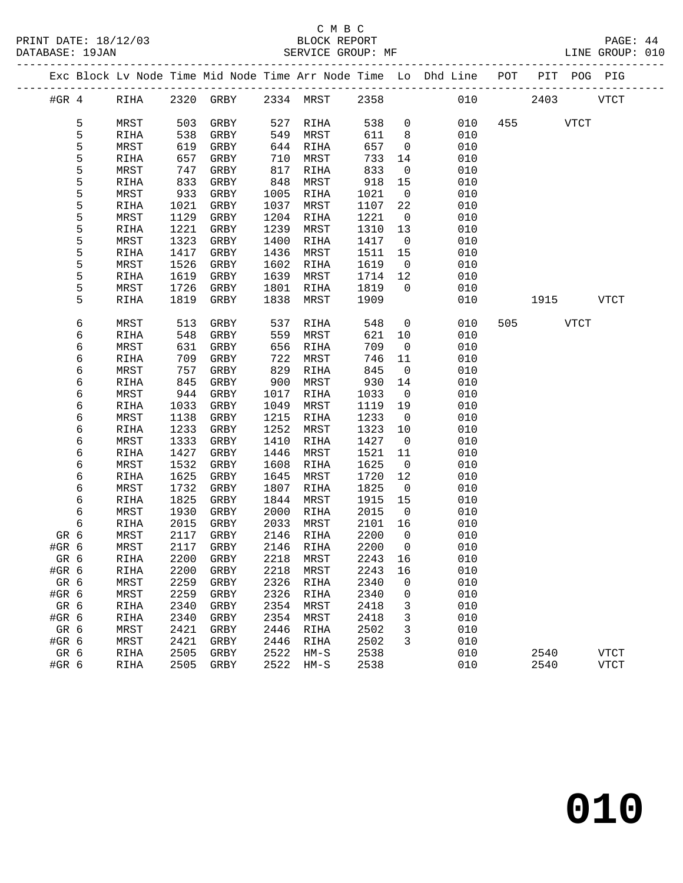#### C M B C<br>BLOCK REPORT SERVICE GROUP: MF

|                      | ب سینا            |                 |  |
|----------------------|-------------------|-----------------|--|
| PRINT DATE: 18/12/03 | BLOCK REPORT      | PAGE: 44        |  |
| DATABASE: 19JAN      | SERVICE GROUP: MF | LINE GROUP: 010 |  |

|       |   |            |      |                          |              |           |              |                         | Exc Block Lv Node Time Mid Node Time Arr Node Time Lo Dhd Line POT PIT POG PIG |     |           |             |
|-------|---|------------|------|--------------------------|--------------|-----------|--------------|-------------------------|--------------------------------------------------------------------------------|-----|-----------|-------------|
|       |   | #GR 4 RIHA |      | 2320 GRBY 2334 MRST 2358 |              |           |              |                         |                                                                                | 010 | 2403 VTCT |             |
|       | 5 | MRST       | 503  | GRBY                     |              | 527 RIHA  | 538          | $\overline{0}$          | 010                                                                            |     | 455 VTCT  |             |
|       | 5 | RIHA       | 538  | GRBY                     | 549          | MRST      | 611          | 8 <sup>8</sup>          | 010                                                                            |     |           |             |
|       | 5 | MRST       | 619  | GRBY                     | 644          | RIHA      | 657          | $\overline{0}$          | 010                                                                            |     |           |             |
|       | 5 | RIHA       | 657  | GRBY                     | 710          | MRST      | 733          | 14                      | 010                                                                            |     |           |             |
|       | 5 | MRST       | 747  | GRBY                     | 817          | RIHA      | 833          | $\overline{0}$          | 010                                                                            |     |           |             |
|       | 5 | RIHA       | 833  | GRBY                     | 848          | MRST      | 918          | 15                      | 010                                                                            |     |           |             |
|       | 5 | MRST       | 933  | GRBY                     | 1005         | RIHA      | 1021         | $\overline{\mathbf{0}}$ | 010                                                                            |     |           |             |
|       | 5 | RIHA       | 1021 | GRBY                     | 1037         | MRST      | 1107         | 22                      | 010                                                                            |     |           |             |
|       | 5 | MRST       | 1129 | GRBY                     | 1204         | RIHA      | 1221         | $\overline{0}$          | 010                                                                            |     |           |             |
|       | 5 | RIHA       | 1221 | GRBY                     | 1239         | MRST      | 1310         | 13                      | 010                                                                            |     |           |             |
|       | 5 | MRST       | 1323 | GRBY                     | 1400         | RIHA      | 1417         | $\overline{0}$          | 010                                                                            |     |           |             |
|       | 5 | RIHA       | 1417 | GRBY                     | 1436         | MRST      | 1511         | 15                      | 010                                                                            |     |           |             |
|       | 5 | MRST       | 1526 | GRBY                     | 1602         | RIHA      | 1619         | $\overline{0}$          | 010                                                                            |     |           |             |
|       | 5 | RIHA       | 1619 | GRBY                     | 1639         | MRST      | 1714         | 12                      | 010                                                                            |     |           |             |
|       | 5 | MRST       | 1726 | GRBY                     | 1801         | RIHA      | 1819         | $\overline{0}$          | 010                                                                            |     |           |             |
|       | 5 | RIHA       | 1819 | GRBY                     | 1838         | MRST      | 1909         |                         | 010                                                                            |     | 1915 VTCT |             |
|       | 6 | MRST       | 513  | GRBY                     | 537          | RIHA      | 548          | $\overline{0}$          | 010                                                                            |     | 505 VTCT  |             |
|       | 6 | RIHA       | 548  | GRBY                     | 559          | MRST      | 621          | 10                      | 010                                                                            |     |           |             |
|       | 6 | MRST       | 631  | GRBY                     | 656          | RIHA      | 709          | $\overline{\mathbf{0}}$ | 010                                                                            |     |           |             |
|       | 6 | RIHA       | 709  | GRBY                     | 722          | MRST      | 746          | 11                      | 010                                                                            |     |           |             |
|       | 6 | MRST       | 757  | GRBY                     | 829          | RIHA      | 845          | $\overline{0}$          | 010                                                                            |     |           |             |
|       | 6 | RIHA       | 845  | GRBY                     | 900          | MRST      | 930          | 14                      | 010                                                                            |     |           |             |
|       | 6 | MRST       | 944  | GRBY                     | 1017         | RIHA      | 1033         | $\overline{0}$          | 010                                                                            |     |           |             |
|       | 6 | RIHA       | 1033 | GRBY                     | 1049         | MRST      | 1119         | 19                      | 010                                                                            |     |           |             |
|       | 6 | MRST       | 1138 | GRBY                     | 1215         | RIHA      | 1233         | $\overline{0}$          | 010                                                                            |     |           |             |
|       | 6 | RIHA       | 1233 | GRBY                     | 1252         | MRST      | 1323         | 10                      | 010                                                                            |     |           |             |
|       | 6 | MRST       | 1333 | GRBY                     | 1410         | RIHA      | 1427         | $\overline{0}$          | 010                                                                            |     |           |             |
|       | 6 | RIHA       | 1427 | GRBY                     | 1446         | MRST      | 1521         | 11                      | 010                                                                            |     |           |             |
|       | 6 | MRST       | 1532 | GRBY                     | 1608         | RIHA      | 1625         | $\overline{0}$          | 010                                                                            |     |           |             |
|       | 6 | RIHA       | 1625 | GRBY                     | 1645         | MRST      | 1720         | 12                      | 010                                                                            |     |           |             |
|       | 6 | MRST       | 1732 | GRBY                     | 1807         | RIHA      | 1825         | $\overline{\mathbf{0}}$ | 010                                                                            |     |           |             |
|       | 6 | RIHA       | 1825 | GRBY                     | 1844         | MRST      | 1915         | 15                      | 010                                                                            |     |           |             |
|       | 6 | MRST       | 1930 | GRBY                     | 2000         | RIHA      | 2015         | $\overline{0}$          | 010                                                                            |     |           |             |
|       | 6 | RIHA       | 2015 | GRBY                     | 2033         | MRST      | 2101         | 16                      | 010                                                                            |     |           |             |
| GR 6  |   | MRST       | 2117 | GRBY                     | 2146         | RIHA      | 2200         | $\overline{0}$          | 010                                                                            |     |           |             |
| #GR 6 |   | MRST       | 2117 | GRBY                     | 2146         | RIHA      | 2200         | $\overline{0}$          | 010                                                                            |     |           |             |
| GR 6  |   | RIHA       |      | 2200 GRBY                |              | 2218 MRST | 2243 16      |                         | 010                                                                            |     |           |             |
| #GR 6 |   | RIHA       | 2200 | GRBY                     | 2218         | MRST      | 2243         | 16                      | 010                                                                            |     |           |             |
| GR 6  |   | MRST       | 2259 | GRBY                     | 2326         | RIHA      | 2340         | 0                       | 010                                                                            |     |           |             |
| #GR 6 |   | MRST       | 2259 | GRBY                     | 2326         | RIHA      | 2340         | 0                       | 010                                                                            |     |           |             |
| GR 6  |   | RIHA       | 2340 | GRBY                     | 2354         | MRST      | 2418         | 3                       | 010                                                                            |     |           |             |
| #GR 6 |   | RIHA       | 2340 | GRBY                     | 2354         | MRST      | 2418         | 3                       | 010                                                                            |     |           |             |
| GR 6  |   | MRST       | 2421 | GRBY                     | 2446         | RIHA      | 2502         | 3                       | 010                                                                            |     |           |             |
| #GR 6 |   | MRST       | 2421 | GRBY                     | 2446<br>2522 | RIHA      | 2502<br>2538 | 3                       | 010                                                                            |     |           |             |
| GR 6  |   | RIHA       | 2505 | GRBY                     | 2522         | $HM-S$    | 2538         |                         | 010<br>010                                                                     |     | 2540      | <b>VTCT</b> |
| #GR 6 |   | RIHA       | 2505 | GRBY                     |              | $HM-S$    |              |                         |                                                                                |     | 2540      | <b>VTCT</b> |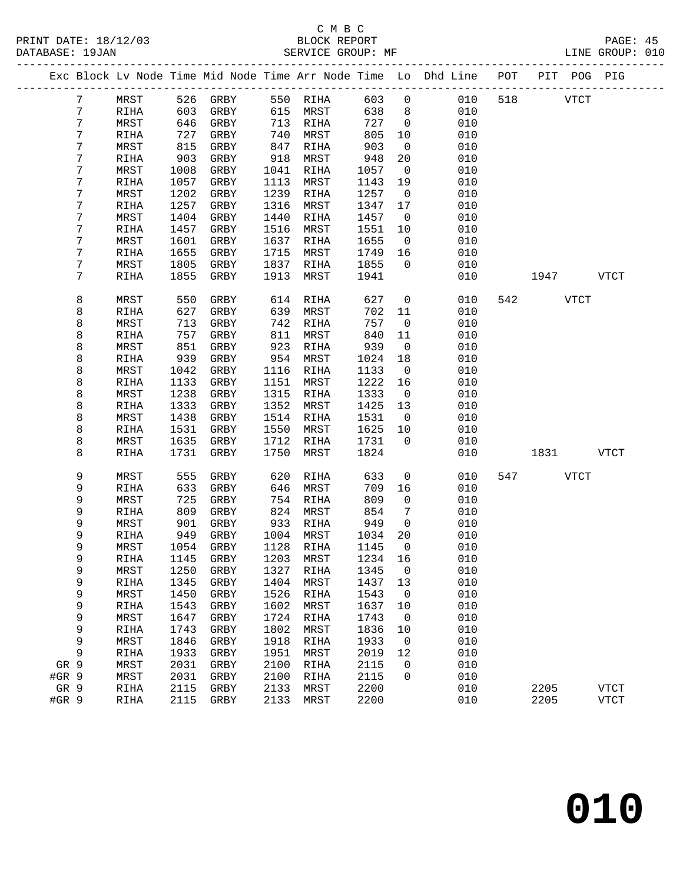## C M B C<br>
PRINT DATE: 18/12/03 BLOCK REPOR

|       | DATABASE: 19JAN |             |      | SERVICE GROUP: MF               |      |              |      |                          | LINE GROUP: 010                                                                |     |             |           |             |  |
|-------|-----------------|-------------|------|---------------------------------|------|--------------|------|--------------------------|--------------------------------------------------------------------------------|-----|-------------|-----------|-------------|--|
|       |                 |             |      |                                 |      |              |      |                          | Exc Block Lv Node Time Mid Node Time Arr Node Time Lo Dhd Line POT PIT POG PIG |     |             |           |             |  |
|       | 7               |             |      | MRST 526 GRBY 550 RIHA 603 0    |      |              |      |                          | 010                                                                            |     | 518 VTCT    |           |             |  |
|       | 7               | RIHA        | 603  | GRBY                            |      | 615 MRST     | 638  | 8 <sup>8</sup>           | 010                                                                            |     |             |           |             |  |
|       | 7               | MRST        | 646  | GRBY                            |      | 713 RIHA     | 727  | $\overline{0}$           | 010                                                                            |     |             |           |             |  |
|       | 7               | RIHA        | 727  | GRBY                            | 740  | MRST         | 805  | 10                       | 010                                                                            |     |             |           |             |  |
|       | 7               | MRST        | 815  | GRBY                            | 847  | RIHA         | 903  | $\overline{0}$           | 010                                                                            |     |             |           |             |  |
|       | 7               | RIHA        | 903  | GRBY                            | 918  | MRST         | 948  | 20                       | 010                                                                            |     |             |           |             |  |
|       | 7               | MRST        | 1008 | GRBY                            | 1041 | RIHA         | 1057 | $\overline{0}$           | 010                                                                            |     |             |           |             |  |
|       | 7               | RIHA        | 1057 | GRBY                            | 1113 | MRST         | 1143 | 19                       | 010                                                                            |     |             |           |             |  |
|       | 7               | MRST        | 1202 | GRBY                            | 1239 | RIHA         | 1257 | $\overline{0}$           | 010                                                                            |     |             |           |             |  |
|       | 7               | RIHA        | 1257 | GRBY                            | 1316 | MRST         | 1347 | 17                       | 010                                                                            |     |             |           |             |  |
|       | 7               | MRST        | 1404 | GRBY                            | 1440 | RIHA         | 1457 | $\overline{0}$           | 010                                                                            |     |             |           |             |  |
|       | 7               | RIHA        | 1457 | GRBY                            | 1516 | MRST         | 1551 | 10                       | 010                                                                            |     |             |           |             |  |
|       | 7               | MRST        | 1601 | GRBY                            | 1637 | RIHA         | 1655 | $\overline{0}$           | 010                                                                            |     |             |           |             |  |
|       | 7               | RIHA        | 1655 | GRBY                            | 1715 | MRST         | 1749 | 16                       | 010                                                                            |     |             |           |             |  |
|       | 7               | MRST        | 1805 | GRBY                            | 1837 | RIHA         | 1855 | $\overline{0}$           | 010                                                                            |     |             |           |             |  |
|       | 7               | RIHA        | 1855 | GRBY                            | 1913 | MRST         | 1941 |                          | 010                                                                            |     |             | 1947 VTCT |             |  |
|       | 8               | MRST        | 550  | GRBY                            | 614  | RIHA         | 627  | $\overline{0}$           | 010                                                                            | 542 | <b>VTCT</b> |           |             |  |
|       | 8               | RIHA        | 627  | GRBY                            | 639  | MRST         | 702  | 11                       | 010                                                                            |     |             |           |             |  |
|       | 8               | MRST        | 713  | GRBY                            | 742  | RIHA         | 757  | $\overline{\phantom{0}}$ | 010                                                                            |     |             |           |             |  |
|       | 8               | RIHA        | 757  | GRBY                            | 811  | MRST         | 840  | 11                       | 010                                                                            |     |             |           |             |  |
|       | 8               | MRST        | 851  | GRBY                            | 923  | RIHA         | 939  | $\overline{0}$           | 010                                                                            |     |             |           |             |  |
|       | 8               | RIHA        | 939  | GRBY                            |      | 954 MRST     | 1024 | 18                       | 010                                                                            |     |             |           |             |  |
|       | 8               | MRST        | 1042 | GRBY                            | 1116 | RIHA         | 1133 | $\overline{\mathbf{0}}$  | 010                                                                            |     |             |           |             |  |
|       | 8               | RIHA        | 1133 | GRBY                            | 1151 | MRST         | 1222 | 16                       | 010                                                                            |     |             |           |             |  |
|       | 8               | MRST        | 1238 | GRBY                            | 1315 | RIHA         | 1333 | $\overline{0}$           | 010                                                                            |     |             |           |             |  |
|       | 8               | RIHA        | 1333 | GRBY                            | 1352 | MRST         | 1425 | 13                       | 010                                                                            |     |             |           |             |  |
|       | 8               | MRST        | 1438 | GRBY                            | 1514 | RIHA         | 1531 | $\overline{\mathbf{0}}$  | 010                                                                            |     |             |           |             |  |
|       | 8               | RIHA        | 1531 | GRBY                            | 1550 | MRST         | 1625 | 10                       | 010                                                                            |     |             |           |             |  |
|       | 8               | MRST        | 1635 | GRBY                            | 1712 | RIHA         | 1731 | $\overline{0}$           | 010                                                                            |     |             |           |             |  |
|       | 8               | RIHA        | 1731 | GRBY                            | 1750 | MRST         | 1824 |                          | 010                                                                            |     | 1831 1893   |           | VTCT        |  |
|       | 9               | MRST        | 555  | GRBY                            | 620  | RIHA         | 633  | $\overline{0}$           | 010                                                                            |     | 547 — 10    | VTCT      |             |  |
|       | 9               | <b>RIHA</b> | 633  | GRBY                            | 646  | MRST         | 709  | 16                       | 010                                                                            |     |             |           |             |  |
|       | 9               | MRST        | 725  | GRBY                            |      | 754 RIHA     | 809  | $\overline{0}$           | 010                                                                            |     |             |           |             |  |
|       | 9               | RIHA        | 809  | GRBY                            | 824  | MRST         | 854  | $7\phantom{.0}$          | 010                                                                            |     |             |           |             |  |
|       | 9               | MRST        | 901  | GRBY                            |      | 933 RIHA     | 949  | $\overline{0}$           | 010                                                                            |     |             |           |             |  |
|       | 9               | RIHA        | 949  | GRBY                            |      | 1004 MRST    | 1034 | 20                       | 010                                                                            |     |             |           |             |  |
|       | q               |             |      | MRST 1054 GRBY 1128 RIHA 1145 0 |      |              |      |                          | 010                                                                            |     |             |           |             |  |
|       | 9               | RIHA        | 1145 | GRBY                            | 1203 | MRST         | 1234 | 16                       | 010                                                                            |     |             |           |             |  |
|       | 9               | MRST        | 1250 | GRBY                            | 1327 | RIHA         | 1345 | $\overline{0}$           | 010                                                                            |     |             |           |             |  |
|       | 9               | RIHA        | 1345 | GRBY                            | 1404 | MRST         | 1437 | 13                       | 010                                                                            |     |             |           |             |  |
|       | 9               | MRST        | 1450 | ${\tt GRBY}$                    | 1526 | RIHA         | 1543 | 0                        | 010                                                                            |     |             |           |             |  |
|       | 9               | RIHA        | 1543 | GRBY                            | 1602 | MRST         | 1637 | 10                       | 010                                                                            |     |             |           |             |  |
|       | 9               | MRST        | 1647 | GRBY                            | 1724 | RIHA         | 1743 | $\overline{0}$           | 010                                                                            |     |             |           |             |  |
|       | 9               | RIHA        | 1743 | GRBY                            | 1802 | MRST         | 1836 | 10                       | 010                                                                            |     |             |           |             |  |
|       | 9               | MRST        | 1846 | GRBY                            | 1918 | RIHA         | 1933 | $\mathbf 0$              | 010                                                                            |     |             |           |             |  |
|       | 9               | RIHA        | 1933 | GRBY                            | 1951 | MRST         | 2019 | 12                       | 010                                                                            |     |             |           |             |  |
| GR 9  |                 | MRST        | 2031 | GRBY                            | 2100 | RIHA         | 2115 | 0                        | 010                                                                            |     |             |           |             |  |
| #GR 9 |                 | MRST        | 2031 | GRBY                            | 2100 | RIHA         | 2115 | 0                        | 010                                                                            |     |             |           |             |  |
| GR 9  |                 | RIHA        | 2115 | ${\tt GRBY}$                    | 2133 | ${\tt MRST}$ | 2200 |                          | 010                                                                            |     | 2205        |           | <b>VTCT</b> |  |
| #GR 9 |                 | RIHA        | 2115 | GRBY                            | 2133 | MRST         | 2200 |                          | 010                                                                            |     | 2205        |           | <b>VTCT</b> |  |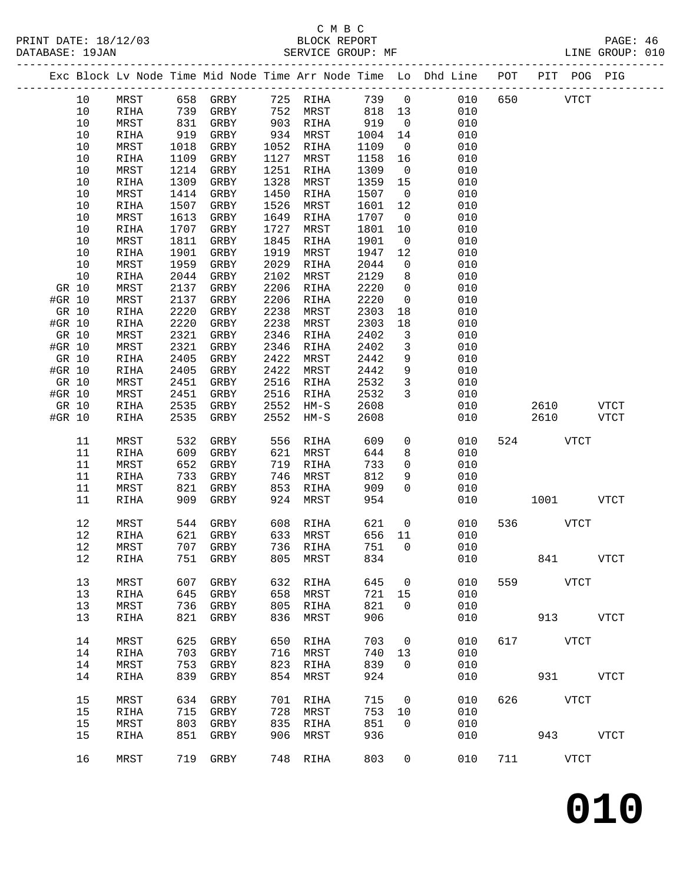#### C M B C<br>BLOCK REPORT SERVICE GROUP: MF

|        |      |              |      |              |      |              |      |                                | Exc Block Lv Node Time Mid Node Time Arr Node Time Lo Dhd Line POT |     | PIT POG PIG |             |             |
|--------|------|--------------|------|--------------|------|--------------|------|--------------------------------|--------------------------------------------------------------------|-----|-------------|-------------|-------------|
|        | 10   | MRST         |      | 658 GRBY     |      | 725 RIHA     | 739  | $\overline{0}$                 | 010                                                                | 650 |             | <b>VTCT</b> |             |
|        | 10   | RIHA         | 739  | GRBY         | 752  | MRST         | 818  | 13                             | 010                                                                |     |             |             |             |
|        | 10   | MRST         | 831  | GRBY         | 903  | RIHA         | 919  | $\overline{0}$                 | 010                                                                |     |             |             |             |
|        | $10$ | RIHA         | 919  | GRBY         | 934  | MRST         | 1004 | 14                             | 010                                                                |     |             |             |             |
|        | 10   | MRST         | 1018 | GRBY         | 1052 | RIHA         | 1109 | $\overline{0}$                 | 010                                                                |     |             |             |             |
|        | 10   | RIHA         | 1109 | GRBY         | 1127 | MRST         | 1158 | 16                             | 010                                                                |     |             |             |             |
|        | $10$ | MRST         | 1214 | GRBY         | 1251 | RIHA         | 1309 | $\overline{0}$                 | 010                                                                |     |             |             |             |
|        | $10$ | RIHA         | 1309 | GRBY         | 1328 | MRST         | 1359 | 15                             | 010                                                                |     |             |             |             |
|        | $10$ | MRST         | 1414 | GRBY         | 1450 | RIHA         | 1507 | $\overline{0}$                 | 010                                                                |     |             |             |             |
|        | 10   | RIHA         | 1507 | GRBY         | 1526 | MRST         | 1601 | 12                             | 010                                                                |     |             |             |             |
|        | 10   | MRST         | 1613 | GRBY         | 1649 | RIHA         | 1707 | $\overline{0}$                 | 010                                                                |     |             |             |             |
|        | 10   | RIHA         | 1707 | GRBY         | 1727 | MRST         | 1801 | 10                             | 010                                                                |     |             |             |             |
|        | 10   | MRST         | 1811 | GRBY         | 1845 | RIHA         | 1901 | $\overline{0}$                 | 010                                                                |     |             |             |             |
|        | 10   | RIHA         | 1901 | GRBY         | 1919 | MRST         | 1947 | 12                             | 010                                                                |     |             |             |             |
|        | 10   | MRST         | 1959 | GRBY         | 2029 | RIHA         | 2044 | $\mathsf{O}$                   | 010                                                                |     |             |             |             |
|        | 10   | RIHA         | 2044 | GRBY         | 2102 | MRST         | 2129 | 8                              | 010                                                                |     |             |             |             |
| GR 10  |      | MRST         | 2137 | GRBY         | 2206 | RIHA         | 2220 | $\mathsf{O}$                   | 010                                                                |     |             |             |             |
| #GR 10 |      | MRST         | 2137 | GRBY         | 2206 | RIHA         | 2220 | $\mathsf{O}$                   | 010                                                                |     |             |             |             |
| GR 10  |      | RIHA         | 2220 | GRBY         | 2238 | MRST         | 2303 | 18                             | 010                                                                |     |             |             |             |
| #GR 10 |      | RIHA         | 2220 | GRBY         | 2238 | MRST         | 2303 | 18                             | 010                                                                |     |             |             |             |
| GR 10  |      | MRST         | 2321 | GRBY         | 2346 | RIHA         | 2402 | $\overline{3}$                 | 010                                                                |     |             |             |             |
| #GR 10 |      | MRST         | 2321 | GRBY         | 2346 | RIHA         | 2402 | $\mathbf{3}$                   | 010                                                                |     |             |             |             |
| GR 10  |      | RIHA         | 2405 | GRBY         | 2422 | MRST         | 2442 | 9                              | 010                                                                |     |             |             |             |
| #GR 10 |      | <b>RIHA</b>  | 2405 | GRBY         | 2422 | MRST         | 2442 | $\mathsf 9$                    | 010                                                                |     |             |             |             |
| GR 10  |      | MRST         | 2451 | GRBY         | 2516 | RIHA         | 2532 | $\mathbf{3}$<br>$\overline{3}$ | 010                                                                |     |             |             |             |
| #GR 10 |      | MRST         | 2451 | GRBY         | 2516 | RIHA         | 2532 |                                | 010                                                                |     |             |             |             |
| GR 10  |      | RIHA         | 2535 | GRBY         | 2552 | $HM-S$       | 2608 |                                | 010                                                                |     | 2610        |             | <b>VTCT</b> |
| #GR 10 |      | RIHA         | 2535 | GRBY         | 2552 | $HM-S$       | 2608 |                                | 010                                                                |     | 2610        |             | <b>VTCT</b> |
|        | 11   | MRST         | 532  | GRBY         | 556  | RIHA         | 609  | $\mathbf 0$                    | 010                                                                | 524 |             | <b>VTCT</b> |             |
|        | 11   | RIHA         | 609  | GRBY         | 621  | MRST         | 644  | 8                              | 010                                                                |     |             |             |             |
|        | 11   | MRST         | 652  | GRBY         | 719  | RIHA         | 733  | $\mathbf 0$                    | 010                                                                |     |             |             |             |
|        | 11   | RIHA         | 733  | GRBY         | 746  | MRST         | 812  | 9                              | 010                                                                |     |             |             |             |
|        | 11   | MRST         | 821  | GRBY         | 853  | RIHA         | 909  | $\Omega$                       | 010                                                                |     |             |             |             |
|        | 11   | RIHA         | 909  | GRBY         | 924  | MRST         | 954  |                                | 010                                                                |     | 1001        |             | <b>VTCT</b> |
|        |      |              |      |              |      |              |      |                                |                                                                    |     |             |             |             |
|        | 12   | MRST         | 544  | GRBY         | 608  | RIHA         | 621  | $\mathsf{O}$                   | 010                                                                | 536 |             | <b>VTCT</b> |             |
|        | 12   | RIHA         | 621  | GRBY         |      | 633 MRST     | 656  | 11                             | 010                                                                |     |             |             |             |
|        | 12   | MRST         |      | 707 GRBY     |      | 736 RIHA     | 751  | $\overline{0}$                 | 010                                                                |     |             |             |             |
|        | 12   | RIHA         |      | 751 GRBY     |      | 805 MRST     | 834  |                                | 010                                                                |     | 841         |             | <b>VTCT</b> |
|        | 13   | MRST         | 607  | GRBY         | 632  | RIHA         | 645  | 0                              | 010                                                                | 559 |             | VTCT        |             |
|        | 13   | RIHA         | 645  | GRBY         | 658  | MRST         | 721  | 15                             | 010                                                                |     |             |             |             |
|        | 13   | MRST         | 736  | GRBY         | 805  | RIHA         | 821  | 0                              | 010                                                                |     |             |             |             |
|        | 13   | RIHA         | 821  | GRBY         | 836  | MRST         | 906  |                                | 010                                                                |     | 913         |             | VTCT        |
|        |      |              |      |              |      |              |      |                                |                                                                    |     |             |             |             |
|        | 14   | MRST         | 625  | GRBY         | 650  | RIHA         | 703  | 0                              | 010                                                                | 617 | <b>VTCT</b> |             |             |
|        | 14   | RIHA         | 703  | GRBY         | 716  | MRST         | 740  | 13                             | 010                                                                |     |             |             |             |
|        | 14   | MRST         | 753  | GRBY         | 823  | RIHA         | 839  | $\mathbf 0$                    | 010                                                                |     |             |             |             |
|        | 14   | RIHA         | 839  | GRBY         | 854  | MRST         | 924  |                                | 010                                                                |     | 931         |             | <b>VTCT</b> |
|        | 15   |              | 634  |              | 701  |              | 715  | $\mathsf{O}$                   | 010                                                                | 626 | <b>VTCT</b> |             |             |
|        | 15   | MRST         | 715  | GRBY         | 728  | RIHA<br>MRST | 753  | 10                             | 010                                                                |     |             |             |             |
|        | 15   | RIHA<br>MRST | 803  | GRBY<br>GRBY | 835  | RIHA         | 851  | 0                              | 010                                                                |     |             |             |             |
|        | 15   | RIHA         | 851  | GRBY         | 906  | MRST         | 936  |                                | 010                                                                |     | 943         |             | <b>VTCT</b> |
|        |      |              |      |              |      |              |      |                                |                                                                    |     |             |             |             |
|        | 16   | MRST         |      | 719 GRBY     | 748  | RIHA         | 803  | 0                              | 010                                                                | 711 |             | VTCT        |             |
|        |      |              |      |              |      |              |      |                                |                                                                    |     |             |             |             |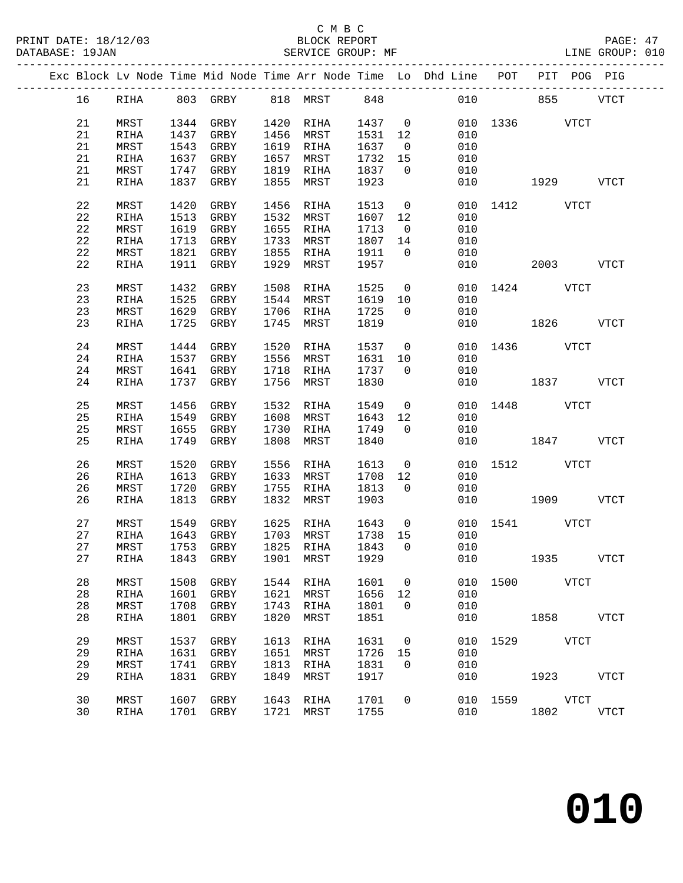|    | Exc Block Lv Node Time Mid Node Time Arr Node Time Lo Dhd Line POT PIT POG PIG |      |      |      |          |         |                |     |          |     |      |  |
|----|--------------------------------------------------------------------------------|------|------|------|----------|---------|----------------|-----|----------|-----|------|--|
| 16 | RIHA                                                                           | 803  | GRBY |      | 818 MRST | 848     |                | 010 |          | 855 | VTCT |  |
| 21 | MRST                                                                           | 1344 | GRBY | 1420 | RIHA     | 1437    | $\overline{0}$ |     | 010 1336 |     | VTCT |  |
| 21 | RIHA                                                                           | 1437 | GRBY | 1456 | MRST     | 1531 12 |                | 010 |          |     |      |  |
| 21 | MRST                                                                           | 1543 | GRBY | 1619 | RIHA     | 1637    | $\overline{0}$ | 010 |          |     |      |  |
| 21 | RIHA                                                                           | 1637 | GRBY | 1657 | MRST     | 1732    | - 15           | 010 |          |     |      |  |

| 21          | MRST | 1344 | GRBY         | 1420 | RIHA        | 1437 | $\overline{0}$ | 010 |      | 1336 VTCT     |              |
|-------------|------|------|--------------|------|-------------|------|----------------|-----|------|---------------|--------------|
| 21          | RIHA | 1437 | GRBY         | 1456 | MRST        | 1531 | 12             | 010 |      |               |              |
| 21          | MRST | 1543 | GRBY         | 1619 | RIHA        | 1637 | $\overline{0}$ | 010 |      |               |              |
| 21          | RIHA | 1637 | GRBY         | 1657 | MRST        | 1732 | 15             | 010 |      |               |              |
| $2\sqrt{1}$ | MRST | 1747 | GRBY         | 1819 | RIHA        | 1837 | $\overline{0}$ | 010 |      |               |              |
|             |      |      |              |      |             |      |                |     |      |               |              |
| 21          | RIHA | 1837 | GRBY         | 1855 | MRST        | 1923 |                | 010 |      | 1929          | <b>VTCT</b>  |
| 22          | MRST | 1420 | GRBY         | 1456 | RIHA        | 1513 | $\mathsf 0$    | 010 | 1412 | <b>VTCT</b>   |              |
| 22          | RIHA | 1513 | GRBY         | 1532 | MRST        | 1607 | 12             | 010 |      |               |              |
| 22          | MRST | 1619 | GRBY         | 1655 | RIHA        | 1713 | $\overline{0}$ | 010 |      |               |              |
| 22          | RIHA | 1713 | GRBY         | 1733 | MRST        | 1807 | 14             | 010 |      |               |              |
| 22          | MRST | 1821 | GRBY         | 1855 | RIHA        | 1911 | $\mathbf 0$    | 010 |      |               |              |
| 22          | RIHA | 1911 | GRBY         | 1929 | MRST        | 1957 |                | 010 |      | 2003          | ${\tt VTCT}$ |
|             |      |      |              |      |             |      |                |     |      |               |              |
| 23          | MRST | 1432 | GRBY         | 1508 | RIHA        | 1525 | $\overline{0}$ | 010 | 1424 | VTCT          |              |
| 23          | RIHA | 1525 | GRBY         | 1544 | MRST        | 1619 | 10             | 010 |      |               |              |
| 23          | MRST | 1629 | GRBY         | 1706 | RIHA        | 1725 | $\mathbf 0$    | 010 |      |               |              |
| 23          | RIHA | 1725 | GRBY         | 1745 | MRST        | 1819 |                | 010 |      | 1826          | <b>VTCT</b>  |
| 24          | MRST | 1444 | GRBY         | 1520 | RIHA        | 1537 | $\overline{0}$ | 010 | 1436 | <b>VTCT</b>   |              |
| 24          | RIHA | 1537 | GRBY         | 1556 | MRST        | 1631 | 10             | 010 |      |               |              |
| $2\sqrt{4}$ | MRST | 1641 | GRBY         | 1718 | RIHA        | 1737 | $\overline{0}$ | 010 |      |               |              |
| 24          | RIHA | 1737 | GRBY         | 1756 | MRST        | 1830 |                | 010 |      | 1837          | <b>VTCT</b>  |
|             |      |      |              |      |             |      |                |     |      |               |              |
| 25          | MRST | 1456 | GRBY         | 1532 | RIHA        | 1549 | $\overline{0}$ | 010 | 1448 | <b>VTCT</b>   |              |
| 25          | RIHA | 1549 | GRBY         | 1608 | MRST        | 1643 | 12             | 010 |      |               |              |
| 25          | MRST | 1655 | GRBY         | 1730 | RIHA        | 1749 | $\mathbf 0$    | 010 |      |               |              |
| 25          | RIHA | 1749 | GRBY         | 1808 | MRST        | 1840 |                | 010 |      | 1847          | <b>VTCT</b>  |
|             |      |      |              |      |             |      |                |     |      |               |              |
| 26          | MRST | 1520 | GRBY         | 1556 | RIHA        | 1613 | $\overline{0}$ | 010 | 1512 | <b>VTCT</b>   |              |
| 26          | RIHA | 1613 | GRBY         | 1633 | MRST        | 1708 | 12             | 010 |      |               |              |
| 26          | MRST | 1720 | GRBY         | 1755 | RIHA        | 1813 | $\overline{0}$ | 010 |      |               |              |
| 26          | RIHA | 1813 | GRBY         | 1832 | MRST        | 1903 |                | 010 |      | 1909          | <b>VTCT</b>  |
| 27          | MRST | 1549 | GRBY         | 1625 | RIHA        | 1643 | $\overline{0}$ | 010 | 1541 | VTCT          |              |
| 27          | RIHA | 1643 | GRBY         | 1703 | MRST        | 1738 | 15             | 010 |      |               |              |
| 27          | MRST | 1753 | GRBY         | 1825 | RIHA        | 1843 | $\mathbf 0$    | 010 |      |               |              |
| 27          |      | 1843 |              | 1901 |             | 1929 |                | 010 |      | 1935          | <b>VTCT</b>  |
|             | RIHA |      | GRBY         |      | MRST        |      |                |     |      |               |              |
| 28          | MRST | 1508 | GRBY         | 1544 | RIHA        | 1601 | $\mathbb O$    | 010 | 1500 | VTCT          |              |
| 28          | RIHA | 1601 | GRBY         | 1621 | MRST        | 1656 | 12             | 010 |      |               |              |
| 28          | MRST | 1708 | GRBY         | 1743 | RIHA        | 1801 | $\overline{0}$ | 010 |      |               |              |
| 28          | RIHA |      | 1801 GRBY    |      | 1820 MRST   | 1851 |                | 010 |      | 1858          | <b>VTCT</b>  |
| 29          | MRST | 1537 | GRBY         | 1613 | RIHA        | 1631 | $\overline{0}$ | 010 | 1529 | VTCT          |              |
|             |      |      |              |      |             |      |                |     |      |               |              |
| 29          | RIHA | 1631 | GRBY         | 1651 | MRST        | 1726 | 15             | 010 |      |               |              |
| 29          | MRST | 1741 | GRBY         | 1813 | RIHA        | 1831 | $\overline{0}$ | 010 |      |               |              |
| 29          | RIHA | 1831 | ${\tt GRBY}$ | 1849 | MRST        | 1917 |                | 010 |      | 1923 VTCT     |              |
| 30          | MRST | 1607 | GRBY         | 1643 | <b>RIHA</b> | 1701 | $\overline{0}$ |     |      | 010 1559 VTCT |              |
| 30          | RIHA | 1701 | GRBY         | 1721 | MRST        | 1755 |                | 010 |      | 1802          | <b>VTCT</b>  |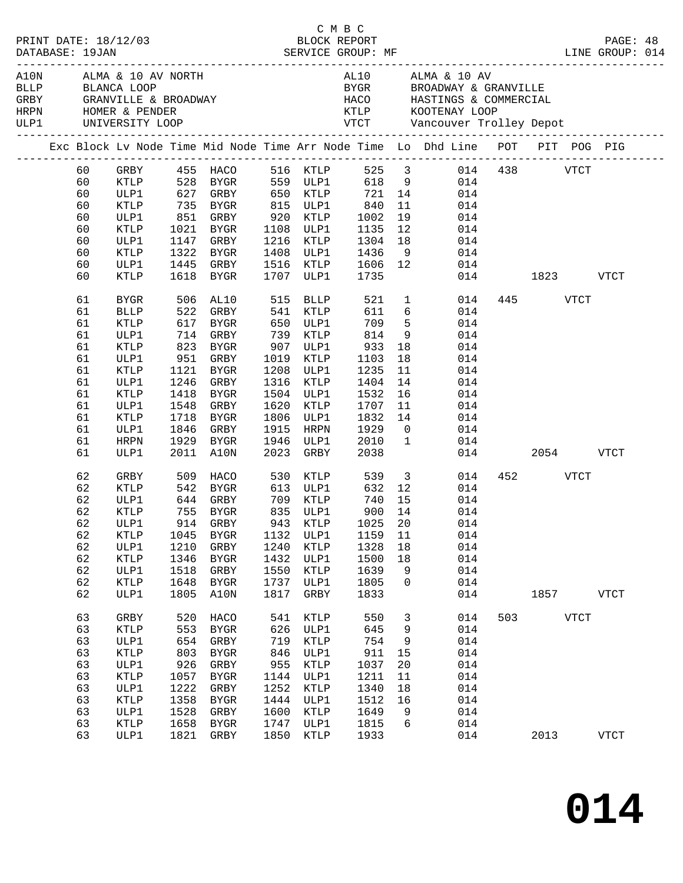|  |                                                                                              |                                                                                                                                     |                                                                          |                                                                                                                                                                                        |                                                                          |                                                                                                                                                                               |                                                                                                                    |                                                                            |                                                                                                                                                                     |          |                      |             | PAGE: 48<br>LINE GROUP: 014 |  |
|--|----------------------------------------------------------------------------------------------|-------------------------------------------------------------------------------------------------------------------------------------|--------------------------------------------------------------------------|----------------------------------------------------------------------------------------------------------------------------------------------------------------------------------------|--------------------------------------------------------------------------|-------------------------------------------------------------------------------------------------------------------------------------------------------------------------------|--------------------------------------------------------------------------------------------------------------------|----------------------------------------------------------------------------|---------------------------------------------------------------------------------------------------------------------------------------------------------------------|----------|----------------------|-------------|-----------------------------|--|
|  |                                                                                              |                                                                                                                                     |                                                                          | A10N ALMA & 10 AV NORTH<br>BLLP BLANCA LOOP<br>GREY GRANVILLE & BROADWAY                                                                                                               |                                                                          |                                                                                                                                                                               |                                                                                                                    |                                                                            | AL10 ALMA & 10 AV<br>BYGR BROADWAY & GRANVILLE<br>HACO HASTINGS & COMMERCIAL                                                                                        |          |                      |             |                             |  |
|  |                                                                                              |                                                                                                                                     |                                                                          |                                                                                                                                                                                        |                                                                          |                                                                                                                                                                               |                                                                                                                    |                                                                            | Exc Block Lv Node Time Mid Node Time Arr Node Time Lo Dhd Line POT PIT POG PIG                                                                                      |          |                      |             |                             |  |
|  | 60<br>60<br>60<br>60<br>60<br>60                                                             | KTLP<br>ULP1<br>KTLP                                                                                                                |                                                                          | 735 BYGR 815 ULP1<br>851 GRBY 920 KTLP<br>1021 RVGR 1100 TT<br>1021 BYGR                                                                                                               |                                                                          | 1108 ULP1                                                                                                                                                                     | 840<br>1002<br>1135                                                                                                | 11<br>19<br>12                                                             | GRBY 455 HACO 516 KTLP 525 3 014 438 VTCT<br>KTLP 528 BYGR 559 ULP1 618 9 014<br>ULP1 627 GRBY 650 KTLP 721 14 014<br>014<br>014<br>014                             |          |                      |             |                             |  |
|  | 60<br>60<br>60<br>60                                                                         | ULP1<br>KTLP<br>ULP1<br>KTLP                                                                                                        |                                                                          | 1147 GRBY<br>1322 BYGR<br>1445 GRBY<br>1618 BYGR                                                                                                                                       |                                                                          | 1216 KTLP<br>1408 ULP1<br>1516 KTLP<br>1707 ULP1                                                                                                                              | 1304<br>1436<br>1606<br>1735                                                                                       |                                                                            | 18<br>014<br>9 014<br>12 014                                                                                                                                        | 014 1823 |                      |             | <b>VTCT</b>                 |  |
|  | 61<br>61<br>61<br>61<br>61<br>61<br>61<br>61<br>61<br>61<br>61<br>61<br>61<br>61<br>62<br>62 | BYGR<br><b>BLLP</b><br>KTLP<br>ULP1<br>KTLP<br>ULP1<br>KTLP<br>ULP1<br>KTLP<br>ULP1<br>KTLP<br>ULP1<br>HRPN<br>ULP1<br>GRBY<br>KTLP | 522<br>1548<br>1718                                                      | 506 AL10<br>GRBY<br>617 BYGR<br>714 GRBY<br>823 BYGR<br>951 GRBY<br>1121 BYGR<br>1246 GRBY<br>1418 BYGR<br>GRBY<br>BYGR<br>1846 GRBY<br>1929 BYGR<br>2011 A10N<br>509 HACO<br>542 BYGR | 541<br>1620<br>1806<br>1915<br>2023                                      | 515 BLLP<br>KTLP<br>650 ULP1<br>739 KTLP<br>907 ULP1<br>1019 KTLP<br>1208 ULP1<br>1316 KTLP<br>1504 ULP1<br>KTLP<br>ULP1<br>HRPN<br>1946 ULP1<br>GRBY<br>530 KTLP<br>613 ULP1 | $521$ 1<br>611<br>709<br>814<br>933<br>1103<br>1235<br>1404<br>1532<br>1707<br>1832<br>1929<br>2010<br>2038<br>632 | 18<br>18<br>11<br>14<br>16<br>11<br>$\overline{0}$<br>$\overline{1}$<br>12 | 014<br>6 <sup>1</sup><br>014<br>$\frac{5}{9}$<br>014<br>014<br>014<br>014<br>014<br>014<br>014<br>014<br>$\frac{14}{1}$<br>014<br>014<br>014<br>539 3<br>014<br>014 | 014 2054 | 445 VTCT<br>452 VTCT |             | <b>VTCT</b>                 |  |
|  | 62<br>62<br>62<br>62<br>62<br>62<br>62<br>62<br>63                                           | ULP1<br>KTLP<br>ULP1<br>ULP1<br>KTLP<br>ULP1<br>KTLP<br>ULP1<br>GRBY                                                                | 1210<br>1346<br>1518<br>1648<br>1805<br>520                              | 644 GRBY 709 KTLP<br>755 BYGR        835  ULP1<br>914  GRBY        943    KTLP<br>GRBY<br>BYGR<br>GRBY<br>BYGR<br>A10N<br>HACO                                                         | 1240<br>1432<br>1550<br>1737<br>1817<br>541                              | KTLP<br>ULP1<br><b>KTLP</b><br>ULP1<br>GRBY<br>KTLP                                                                                                                           | 740<br>900 14<br>1025 20<br>1328<br>1500<br>1639<br>1805<br>1833<br>550                                            | 15<br>18<br>18<br>9<br>0<br>$\mathbf{3}$                                   | 014<br>014<br>014<br>62 KTLP 1045 BYGR 1132 ULP1 1159 11 014<br>014<br>014<br>014<br>014<br>014<br>014                                                              | 503      | 1857                 | <b>VTCT</b> | <b>VTCT</b>                 |  |
|  | 63<br>63<br>63<br>63<br>63<br>63<br>63<br>63<br>63<br>63                                     | KTLP<br>ULP1<br>KTLP<br>ULP1<br>KTLP<br>ULP1<br>KTLP<br>ULP1<br>KTLP<br>ULP1                                                        | 553<br>654<br>803<br>926<br>1057<br>1222<br>1358<br>1528<br>1658<br>1821 | BYGR<br>GRBY<br>BYGR<br>GRBY<br>BYGR<br>GRBY<br>BYGR<br>GRBY<br>BYGR<br>GRBY                                                                                                           | 626<br>719<br>846<br>955<br>1144<br>1252<br>1444<br>1600<br>1747<br>1850 | ULP1<br><b>KTLP</b><br>ULP1<br>KTLP<br>ULP1<br>KTLP<br>ULP1<br>KTLP<br>ULP1<br>KTLP                                                                                           | 645<br>754<br>911<br>1037<br>1211<br>1340<br>1512<br>1649<br>1815<br>1933                                          | 9<br>9<br>15<br>20<br>11<br>18<br>16<br>9<br>6                             | 014<br>014<br>014<br>014<br>014<br>014<br>014<br>014<br>014<br>014                                                                                                  |          | 2013                 |             | VTCT                        |  |

C M B C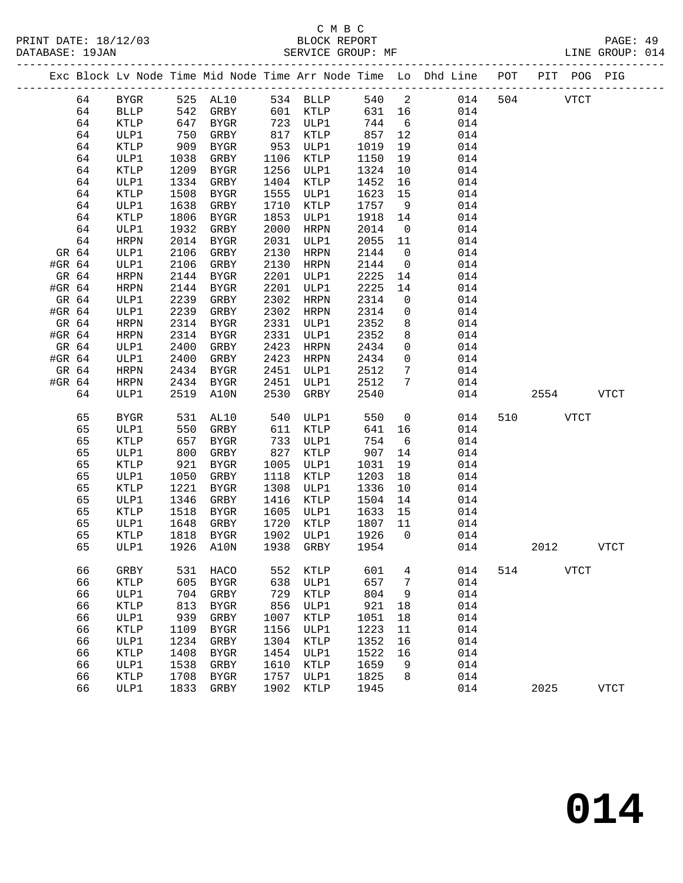|        |    |      |      |              |      |             |        |                 | Exc Block Lv Node Time Mid Node Time Arr Node Time Lo Dhd Line POT PIT POG PIG |     |             |             |             |
|--------|----|------|------|--------------|------|-------------|--------|-----------------|--------------------------------------------------------------------------------|-----|-------------|-------------|-------------|
|        | 64 | BYGR |      |              |      |             |        |                 | 525 AL10 534 BLLP 540 2 014                                                    | 504 | <b>VTCT</b> |             |             |
|        | 64 | BLLP |      | 542 GRBY     |      | 601 KTLP    | 631 16 |                 | 014                                                                            |     |             |             |             |
|        | 64 | KTLP |      | 647 BYGR     |      | 723 ULP1    | 744 6  |                 | 014                                                                            |     |             |             |             |
|        | 64 | ULP1 | 750  | GRBY         |      | 817 KTLP    | 857    | 12              | 014                                                                            |     |             |             |             |
|        | 64 | KTLP | 909  | BYGR         | 953  | ULP1        | 1019   | 19              | 014                                                                            |     |             |             |             |
|        | 64 | ULP1 | 1038 | GRBY         |      | 1106 KTLP   | 1150   | 19              | 014                                                                            |     |             |             |             |
|        | 64 | KTLP | 1209 | BYGR         |      | 1256 ULP1   | 1324   | 10              | 014                                                                            |     |             |             |             |
|        | 64 | ULP1 | 1334 | GRBY         |      | 1404 KTLP   | 1452   | 16              | 014                                                                            |     |             |             |             |
|        | 64 | KTLP | 1508 | BYGR         | 1555 | ULP1        | 1623   | 15              | 014                                                                            |     |             |             |             |
|        | 64 | ULP1 | 1638 | GRBY         | 1710 | KTLP        | 1757   | 9               | 014                                                                            |     |             |             |             |
|        | 64 | KTLP | 1806 | BYGR         | 1853 | ULP1        | 1918   | 14              | 014                                                                            |     |             |             |             |
|        | 64 | ULP1 | 1932 | GRBY         | 2000 | HRPN        | 2014   | $\overline{0}$  | 014                                                                            |     |             |             |             |
|        | 64 | HRPN | 2014 | BYGR         | 2031 | ULP1        | 2055   | 11              | 014                                                                            |     |             |             |             |
| GR 64  |    | ULP1 | 2106 | GRBY         | 2130 | HRPN        | 2144   | $\overline{0}$  | 014                                                                            |     |             |             |             |
| #GR 64 |    | ULP1 | 2106 | GRBY         | 2130 | HRPN        | 2144   | $\overline{0}$  | 014                                                                            |     |             |             |             |
| GR 64  |    | HRPN | 2144 | BYGR         | 2201 | ULP1        | 2225   | 14              | 014                                                                            |     |             |             |             |
| #GR 64 |    | HRPN | 2144 | BYGR         | 2201 | ULP1        | 2225   | 14              | 014                                                                            |     |             |             |             |
| GR 64  |    | ULP1 | 2239 | GRBY         |      | 2302 HRPN   | 2314   | $\overline{0}$  | 014                                                                            |     |             |             |             |
| #GR 64 |    | ULP1 | 2239 | GRBY         |      | 2302 HRPN   | 2314   | $\overline{0}$  | 014                                                                            |     |             |             |             |
| GR 64  |    | HRPN | 2314 | BYGR         |      | 2331 ULP1   | 2352   | 8               | 014                                                                            |     |             |             |             |
| #GR 64 |    | HRPN | 2314 | BYGR         | 2331 | ULP1        | 2352   | 8               | 014                                                                            |     |             |             |             |
| GR 64  |    | ULP1 | 2400 | GRBY         |      | 2423 HRPN   | 2434   | $\overline{0}$  | 014                                                                            |     |             |             |             |
| #GR 64 |    | ULP1 | 2400 | GRBY         |      | 2423 HRPN   | 2434   | $\overline{0}$  | 014                                                                            |     |             |             |             |
| GR 64  |    | HRPN |      | 2434 BYGR    |      | 2451 ULP1   | 2512   | $7\phantom{.0}$ | 014                                                                            |     |             |             |             |
| #GR 64 |    | HRPN |      | 2434 BYGR    |      | 2451 ULP1   | 2512   | $\overline{7}$  | 014                                                                            |     |             |             |             |
|        | 64 | ULP1 |      | 2519 A10N    | 2530 | GRBY        | 2540   |                 | 014                                                                            |     | 2554        |             | <b>VTCT</b> |
|        | 65 | BYGR |      | 531 AL10     |      | 540 ULP1    | 550    |                 | $\overline{0}$<br>014                                                          | 510 | <b>VTCT</b> |             |             |
|        | 65 | ULP1 | 550  | GRBY         | 611  | KTLP        | 641    | 16              | 014                                                                            |     |             |             |             |
|        | 65 | KTLP |      | 657 BYGR     |      | 733 ULP1    | 754    | 6               | 014                                                                            |     |             |             |             |
|        | 65 | ULP1 | 800  | GRBY         | 827  | KTLP        | 907    | 14              | 014                                                                            |     |             |             |             |
|        | 65 | KTLP | 921  | BYGR         | 1005 | ULP1        | 1031   | 19              | 014                                                                            |     |             |             |             |
|        | 65 | ULP1 | 1050 | GRBY         | 1118 | KTLP        | 1203   | 18              | 014                                                                            |     |             |             |             |
|        | 65 | KTLP | 1221 | BYGR         | 1308 | ULP1        | 1336   | 10              | 014                                                                            |     |             |             |             |
|        | 65 | ULP1 |      | 1346 GRBY    | 1416 | KTLP        | 1504   | 14              | 014                                                                            |     |             |             |             |
|        | 65 | KTLP | 1518 | BYGR         |      | 1605 ULP1   | 1633   | 15              | 014                                                                            |     |             |             |             |
|        | 65 | ULP1 | 1648 | GRBY         | 1720 | KTLP        | 1807   | 11              | 014                                                                            |     |             |             |             |
|        | 65 | KTLP | 1818 | BYGR         |      | 1902 ULP1   | 1926   | $\overline{0}$  | 014                                                                            |     |             |             |             |
|        | 65 | ULP1 |      | 1926 A10N    |      | 1938 GRBY   | 1954   |                 | 014                                                                            |     | 2012        |             | <b>VTCT</b> |
|        | 66 | GRBY | 531  | HACO         | 552  | KTLP        | 601    | 4               | 014                                                                            | 514 |             | <b>VTCT</b> |             |
|        | 66 | KTLP | 605  | ${\tt BYGR}$ | 638  | ULP1        | 657    | 7               | 014                                                                            |     |             |             |             |
|        | 66 | ULP1 | 704  | GRBY         | 729  | KTLP        | 804    | 9               | 014                                                                            |     |             |             |             |
|        | 66 | KTLP | 813  | ${\tt BYGR}$ | 856  | ULP1        | 921    | 18              | 014                                                                            |     |             |             |             |
|        | 66 | ULP1 | 939  | GRBY         | 1007 | KTLP        | 1051   | 18              | 014                                                                            |     |             |             |             |
|        | 66 | KTLP | 1109 | ${\tt BYGR}$ | 1156 | ULP1        | 1223   | 11              | 014                                                                            |     |             |             |             |
|        | 66 | ULP1 | 1234 | GRBY         | 1304 | <b>KTLP</b> | 1352   | 16              | 014                                                                            |     |             |             |             |
|        | 66 | KTLP | 1408 | ${\tt BYGR}$ | 1454 | ULP1        | 1522   | 16              | 014                                                                            |     |             |             |             |
|        | 66 | ULP1 | 1538 | GRBY         | 1610 | KTLP        | 1659   | 9               | 014                                                                            |     |             |             |             |
|        | 66 | KTLP | 1708 | ${\tt BYGR}$ | 1757 | ULP1        | 1825   | 8               | 014                                                                            |     |             |             |             |
|        | 66 | ULP1 | 1833 | GRBY         | 1902 | <b>KTLP</b> | 1945   |                 | 014                                                                            |     | 2025        |             | <b>VTCT</b> |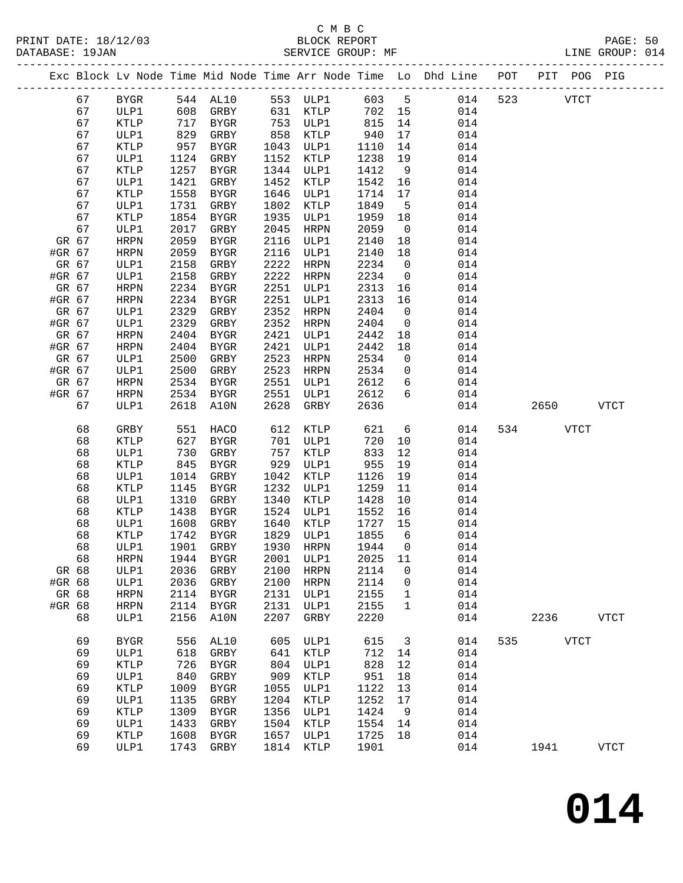### C M B C

|        | DATABASE: 19JAN |                 |      | SERVICE GROUP: MF               |      |           |         |                         |                                                                                |              | LINE GROUP: 014 |  |
|--------|-----------------|-----------------|------|---------------------------------|------|-----------|---------|-------------------------|--------------------------------------------------------------------------------|--------------|-----------------|--|
|        |                 |                 |      |                                 |      |           |         |                         | Exc Block Lv Node Time Mid Node Time Arr Node Time Lo Dhd Line POT PIT POG PIG |              |                 |  |
|        | 67              | BYGR            |      | 544 AL10 553 ULP1 603 5         |      |           |         |                         |                                                                                | 014 523 VTCT |                 |  |
|        | 67              | ULP1            | 608  | GRBY                            |      | 631 KTLP  | 702 15  |                         | 014                                                                            |              |                 |  |
|        | 67              | KTLP            | 717  | BYGR                            |      | 753 ULP1  | 815     | 14                      | 014                                                                            |              |                 |  |
|        | 67              | ULP1            | 829  | GRBY                            |      | 858 KTLP  | 940     | 17                      | 014                                                                            |              |                 |  |
|        | 67              | KTLP            | 957  | BYGR                            |      | 1043 ULP1 | 1110    | 14                      | 014                                                                            |              |                 |  |
|        | 67              | ULP1            | 1124 | GRBY                            | 1152 | KTLP      | 1238    | 19                      | 014                                                                            |              |                 |  |
|        | 67              | KTLP            | 1257 | BYGR                            |      | 1344 ULP1 | 1412    | 9                       | 014                                                                            |              |                 |  |
|        | 67              | ULP1            | 1421 | GRBY                            | 1452 | KTLP      | 1542    | 16                      | 014                                                                            |              |                 |  |
|        | 67              | KTLP            | 1558 | BYGR                            | 1646 | ULP1      | 1714    | 17                      | 014                                                                            |              |                 |  |
|        | 67              | ULP1            | 1731 | GRBY                            | 1802 | KTLP      | 1849    | $5^{\circ}$             | 014                                                                            |              |                 |  |
|        | 67              | <b>KTLP</b>     | 1854 | BYGR                            | 1935 | ULP1      | 1959    | 18                      | 014                                                                            |              |                 |  |
|        | 67              | ULP1            | 2017 | GRBY                            | 2045 | HRPN      | 2059    | $\overline{0}$          | 014                                                                            |              |                 |  |
| GR 67  |                 | HRPN            | 2059 | BYGR                            | 2116 | ULP1      | 2140    | 18                      | 014                                                                            |              |                 |  |
| #GR 67 |                 | HRPN            | 2059 | BYGR                            | 2116 | ULP1      | 2140    | 18                      | 014                                                                            |              |                 |  |
| GR 67  |                 | ULP1            | 2158 | GRBY                            | 2222 | HRPN      | 2234    | $\overline{0}$          | 014                                                                            |              |                 |  |
| #GR 67 |                 | ULP1            | 2158 | GRBY                            | 2222 | HRPN      | 2234    | $\overline{0}$          | 014                                                                            |              |                 |  |
| GR 67  |                 | HRPN            | 2234 | BYGR                            |      | 2251 ULP1 | 2313    | 16                      | 014                                                                            |              |                 |  |
| #GR 67 |                 | HRPN            | 2234 | BYGR                            | 2251 | ULP1      | 2313    | 16                      | 014                                                                            |              |                 |  |
| GR 67  |                 | ULP1            | 2329 | GRBY                            | 2352 | HRPN      | 2404    | $\overline{0}$          | 014                                                                            |              |                 |  |
| #GR 67 |                 | ULP1            | 2329 | GRBY                            | 2352 | HRPN      | 2404    | $\overline{0}$          | 014                                                                            |              |                 |  |
| GR 67  |                 | HRPN            | 2404 | BYGR                            | 2421 | ULP1      | 2442    | 18                      | 014                                                                            |              |                 |  |
| #GR 67 |                 | HRPN            | 2404 | BYGR                            | 2421 | ULP1      | 2442    | 18                      | 014                                                                            |              |                 |  |
| GR 67  |                 | ULP1            | 2500 | GRBY                            | 2523 | HRPN      | 2534    | $\overline{\mathbf{0}}$ | 014                                                                            |              |                 |  |
| #GR 67 |                 | ULP1            | 2500 | GRBY                            | 2523 | HRPN      | 2534    | $\overline{0}$          | 014                                                                            |              |                 |  |
| GR 67  |                 | HRPN            | 2534 | BYGR                            | 2551 | ULP1      | 2612    | $6\overline{6}$         | 014                                                                            |              |                 |  |
| #GR 67 |                 | HRPN            |      | 2534 BYGR                       | 2551 | ULP1      | 2612    | 6                       | 014                                                                            |              |                 |  |
|        | 67              | ULP1            | 2618 | A10N                            | 2628 | GRBY      | 2636    |                         | 014                                                                            | 2650 VTCT    |                 |  |
|        | 68              | GRBY            | 551  | HACO                            |      | 612 KTLP  | 621     | $6\overline{6}$         | 014                                                                            | 534 VTCT     |                 |  |
|        | 68              | KTLP            | 627  | BYGR                            | 701  | ULP1      | 720     | 10                      | 014                                                                            |              |                 |  |
|        | 68              | ULP1            | 730  | GRBY                            | 757  | KTLP      | 833     | 12                      | 014                                                                            |              |                 |  |
|        | 68              | KTLP            | 845  | BYGR                            | 929  | ULP1      | 955     | 19                      | 014                                                                            |              |                 |  |
|        | 68              | ULP1            | 1014 | GRBY                            | 1042 | KTLP      | 1126    | 19                      | 014                                                                            |              |                 |  |
|        | 68              | KTLP            | 1145 | BYGR                            | 1232 | ULP1      | 1259    | 11                      | 014                                                                            |              |                 |  |
|        | 68              | ULP1            | 1310 | GRBY                            | 1340 | KTLP      | 1428    | 10                      | 014                                                                            |              |                 |  |
|        | 68              | KTLP            | 1438 | BYGR                            |      | 1524 ULP1 | 1552    | 16                      | 014                                                                            |              |                 |  |
|        | 68              | ULP1            | 1608 | GRBY                            |      | 1640 KTLP | 1727    | 15                      | 014                                                                            |              |                 |  |
|        | 68              | <b>KTLP</b>     |      | 1742 BYGR                       |      | 1829 ULP1 | 1855    | 6                       | 014                                                                            |              |                 |  |
|        | 68              |                 |      | ULP1 1901 GRBY 1930 HRPN 1944 0 |      |           |         |                         | 014                                                                            |              |                 |  |
|        | 68              | <b>HRPN</b>     | 1944 | BYGR                            | 2001 | ULP1      | 2025    | 11                      | 014                                                                            |              |                 |  |
| GR 68  |                 | ULP1            | 2036 | GRBY                            | 2100 | HRPN      | 2114    | $\overline{0}$          | 014                                                                            |              |                 |  |
| #GR 68 |                 | ULP1            | 2036 | GRBY                            | 2100 | HRPN      | 2114    | $\mathsf{O}$            | 014                                                                            |              |                 |  |
| GR 68  |                 | <b>HRPN</b>     | 2114 | BYGR                            | 2131 | ULP1      | 2155    | 1                       | 014                                                                            |              |                 |  |
| #GR 68 |                 | HRPN            | 2114 | BYGR                            | 2131 | ULP1      | 2155    | $\mathbf{1}$            | 014                                                                            |              |                 |  |
|        | 68              | ULP1            | 2156 | A10N                            | 2207 | GRBY      | 2220    |                         | 014                                                                            | 2236         | VTCT            |  |
|        | 69              | ${\tt BYGR}$    | 556  | AL10                            | 605  | ULP1      | 615     | $\overline{\mathbf{3}}$ | 014                                                                            | 535 VTCT     |                 |  |
|        | 69              | ULP1            | 618  | GRBY                            | 641  | KTLP      | 712 14  |                         | 014                                                                            |              |                 |  |
|        | 69              | KTLP            | 726  | BYGR                            | 804  | ULP1      | 828     | 12                      | 014                                                                            |              |                 |  |
|        | 69              | ULP1            | 840  | GRBY                            | 909  | KTLP      | 951     | 18                      | 014                                                                            |              |                 |  |
|        | 69              | $\texttt{KTLP}$ | 1009 | BYGR                            | 1055 | ULP1      | 1122    | 13                      | 014                                                                            |              |                 |  |
|        | 69              | ULP1            | 1135 | GRBY                            | 1204 | KTLP      | 1252    | 17                      | 014                                                                            |              |                 |  |
|        | 69              | KTLP            | 1309 | BYGR                            | 1356 | ULP1      | 1424    | 9                       | 014                                                                            |              |                 |  |
|        | 69              | ULP1            | 1433 | GRBY                            | 1504 | KTLP      | 1554    | 14                      | 014                                                                            |              |                 |  |
|        | 69              | KTLP            | 1608 | BYGR                            | 1657 | ULP1      | 1725 18 |                         | 014                                                                            |              |                 |  |
|        | 69              | ULP1            |      | 1743 GRBY                       |      | 1814 KTLP | 1901    |                         | 014                                                                            | 1941         | ${\tt VTCT}$    |  |
|        |                 |                 |      |                                 |      |           |         |                         |                                                                                |              |                 |  |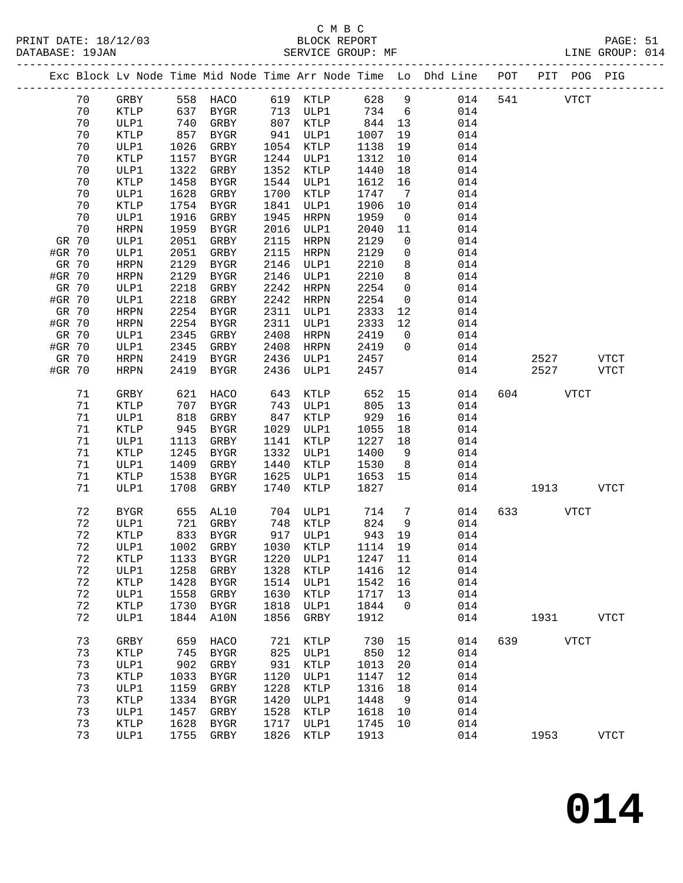|        |          |             |              | Exc Block Lv Node Time Mid Node Time Arr Node Time Lo Dhd Line POT |              |                     |              |                              |            |     |      | PIT POG PIG  |             |
|--------|----------|-------------|--------------|--------------------------------------------------------------------|--------------|---------------------|--------------|------------------------------|------------|-----|------|--------------|-------------|
|        | 70       | GRBY        | 558          | HACO                                                               |              | 619 KTLP            | 628          | 9                            | 014        | 541 |      | ${\tt VTCT}$ |             |
|        | 70       | KTLP        | 637          | BYGR                                                               | 713          | ULP1                | 734          | 6                            | 014        |     |      |              |             |
|        | 70       | ULP1        | 740          | GRBY                                                               | 807          | KTLP                | 844          | 13                           | 014        |     |      |              |             |
|        | 70       | KTLP        | 857          | BYGR                                                               | 941          | ULP1                | 1007         | 19                           | 014        |     |      |              |             |
|        | 70       | ULP1        | 1026         | GRBY                                                               | 1054         | KTLP                | 1138         | 19                           | 014        |     |      |              |             |
|        | 70       | KTLP        | 1157         | BYGR                                                               | 1244         | ULP1                | 1312         | 10                           | 014        |     |      |              |             |
|        | 70       | ULP1        | 1322         | GRBY                                                               | 1352         | KTLP                | 1440         | 18                           | 014        |     |      |              |             |
|        | 70       | <b>KTLP</b> | 1458         | <b>BYGR</b>                                                        | 1544         | ULP1                | 1612         | 16                           | 014        |     |      |              |             |
|        | 70       | ULP1        | 1628         | GRBY                                                               | 1700         | KTLP                | 1747         | $7\phantom{.0}\phantom{.0}7$ | 014        |     |      |              |             |
|        | 70       | KTLP        | 1754         | <b>BYGR</b>                                                        | 1841         | ULP1                | 1906         | 10                           | 014        |     |      |              |             |
|        | 70       | ULP1        | 1916         | GRBY                                                               | 1945         | <b>HRPN</b>         | 1959         | $\overline{0}$               | 014        |     |      |              |             |
|        | 70       | HRPN        | 1959         | <b>BYGR</b>                                                        | 2016         | ULP1                | 2040         | 11                           | 014        |     |      |              |             |
| GR 70  |          | ULP1        | 2051         | GRBY                                                               | 2115         | HRPN                | 2129         | $\mathbf 0$                  | 014        |     |      |              |             |
| #GR 70 |          | ULP1        | 2051         | ${\tt GRBY}$                                                       | 2115         | HRPN                | 2129         | 0                            | 014        |     |      |              |             |
| GR 70  |          | HRPN        | 2129         | BYGR                                                               | 2146         | ULP1                | 2210         | 8                            | 014        |     |      |              |             |
| #GR 70 |          | HRPN        | 2129         | BYGR                                                               | 2146         | ULP1                | 2210         | 8                            | 014        |     |      |              |             |
| GR 70  |          | ULP1        | 2218         | GRBY                                                               | 2242         | <b>HRPN</b>         | 2254         | $\mathbf 0$                  | 014        |     |      |              |             |
| #GR 70 |          | ULP1        | 2218         | GRBY                                                               | 2242         | HRPN                | 2254         | $\mathsf{O}$                 | 014        |     |      |              |             |
| GR 70  |          | HRPN        | 2254         | BYGR                                                               | 2311         | ULP1                | 2333         | 12                           | 014        |     |      |              |             |
| #GR 70 |          | HRPN        | 2254         | BYGR                                                               | 2311         | ULP1                | 2333         | 12                           | 014        |     |      |              |             |
| GR 70  |          | ULP1        | 2345         | GRBY                                                               | 2408         | <b>HRPN</b>         | 2419         | $\mathsf{O}$                 | 014        |     |      |              |             |
| #GR 70 |          | ULP1        | 2345         | GRBY                                                               | 2408         | <b>HRPN</b>         | 2419         | $\Omega$                     | 014        |     |      |              |             |
| GR 70  |          | HRPN        | 2419         | <b>BYGR</b>                                                        | 2436         | ULP1                | 2457         |                              | 014        |     | 2527 |              | <b>VTCT</b> |
| #GR 70 |          | HRPN        | 2419         | BYGR                                                               | 2436         | ULP1                | 2457         |                              | 014        |     | 2527 |              | VTCT        |
|        | 71       | GRBY        | 621          | HACO                                                               | 643          | KTLP                | 652          | 15                           | 014        | 604 |      | <b>VTCT</b>  |             |
|        | 71       | <b>KTLP</b> | 707          | BYGR                                                               | 743          | ULP1                | 805          | 13                           | 014        |     |      |              |             |
|        | 71       | ULP1        | 818          | GRBY                                                               | 847          | KTLP                | 929          | 16                           | 014        |     |      |              |             |
|        | 71       | KTLP        | 945          | BYGR                                                               | 1029         | ULP1                | 1055         | 18                           | 014        |     |      |              |             |
|        | 71       | ULP1        | 1113         | GRBY                                                               | 1141         | KTLP                | 1227         | 18                           | 014        |     |      |              |             |
|        | 71       | KTLP        | 1245         | <b>BYGR</b>                                                        | 1332         | ULP1                | 1400         | 9                            | 014        |     |      |              |             |
|        | 71       | ULP1        | 1409         | GRBY                                                               | 1440         | KTLP                | 1530         | 8                            | 014        |     |      |              |             |
|        | 71       | KTLP        | 1538         | <b>BYGR</b>                                                        | 1625         | ULP1                | 1653         | 15                           | 014        |     |      |              |             |
|        | 71       | ULP1        | 1708         | GRBY                                                               | 1740         | KTLP                | 1827         |                              | 014        |     | 1913 |              | <b>VTCT</b> |
|        | 72       | BYGR        | 655          | AL10                                                               | 704          | ULP1                | 714          | 7                            | 014        | 633 |      | <b>VTCT</b>  |             |
|        | 72       | ULP1        | 721          | GRBY                                                               | 748          | KTLP                | 824          | 9                            | 014        |     |      |              |             |
|        | 72       | KTLP        | 833          | BYGR                                                               | 917          | ULP1                | 943          | 19                           | 014        |     |      |              |             |
|        | 72       | ULP1        | 1002         | GRBY                                                               |              | 1030 KTLP           | 1114         | 19                           | 014        |     |      |              |             |
|        | $7\,2$   | <b>KTLP</b> |              | 1133 BYGR 1220 ULP1 1247 11                                        |              |                     |              |                              | 014        |     |      |              |             |
|        | 72       | ULP1        | 1258         | GRBY                                                               | 1328         | KTLP                | 1416         | 12                           | 014        |     |      |              |             |
|        | 72       | <b>KTLP</b> | 1428         | <b>BYGR</b>                                                        | 1514         | ULP1                | 1542         | 16                           | 014        |     |      |              |             |
|        | 72       | ULP1        | 1558         | GRBY                                                               | 1630         | KTLP                | 1717         | 13                           | 014        |     |      |              |             |
|        | 72<br>72 | <b>KTLP</b> | 1730<br>1844 | <b>BYGR</b>                                                        | 1818<br>1856 | ULP1<br><b>GRBY</b> | 1844<br>1912 | 0                            | 014<br>014 |     | 1931 |              | <b>VTCT</b> |
|        |          | ULP1        |              | A10N                                                               |              |                     |              |                              |            |     |      |              |             |
|        | 73       | GRBY        | 659          | HACO                                                               | 721          | KTLP                | 730          | 15                           | 014        | 639 |      | <b>VTCT</b>  |             |
|        | 73       | KTLP        | 745          | <b>BYGR</b>                                                        | 825          | ULP1                | 850          | 12                           | 014        |     |      |              |             |
|        | 73       | ULP1        | 902          | GRBY                                                               | 931          | KTLP                | 1013         | 20                           | 014        |     |      |              |             |
|        | 73       | KTLP        | 1033         | <b>BYGR</b>                                                        | 1120         | ULP1                | 1147         | 12                           | 014        |     |      |              |             |
|        | 73       | ULP1        | 1159         | GRBY                                                               | 1228         | KTLP                | 1316         | 18                           | 014        |     |      |              |             |
|        | 73       | KTLP        | 1334         | <b>BYGR</b>                                                        | 1420         | ULP1                | 1448         | 9                            | 014        |     |      |              |             |
|        | 73       | ULP1        | 1457         | GRBY                                                               | 1528         | KTLP                | 1618         | 10                           | 014        |     |      |              |             |
|        | 73       | KTLP        | 1628         | <b>BYGR</b>                                                        | 1717         | ULP1                | 1745         | 10                           | 014        |     |      |              |             |
|        | 73       | ULP1        | 1755         | GRBY                                                               | 1826         | $\texttt{KTLP}$     | 1913         |                              | 014        |     | 1953 |              | <b>VTCT</b> |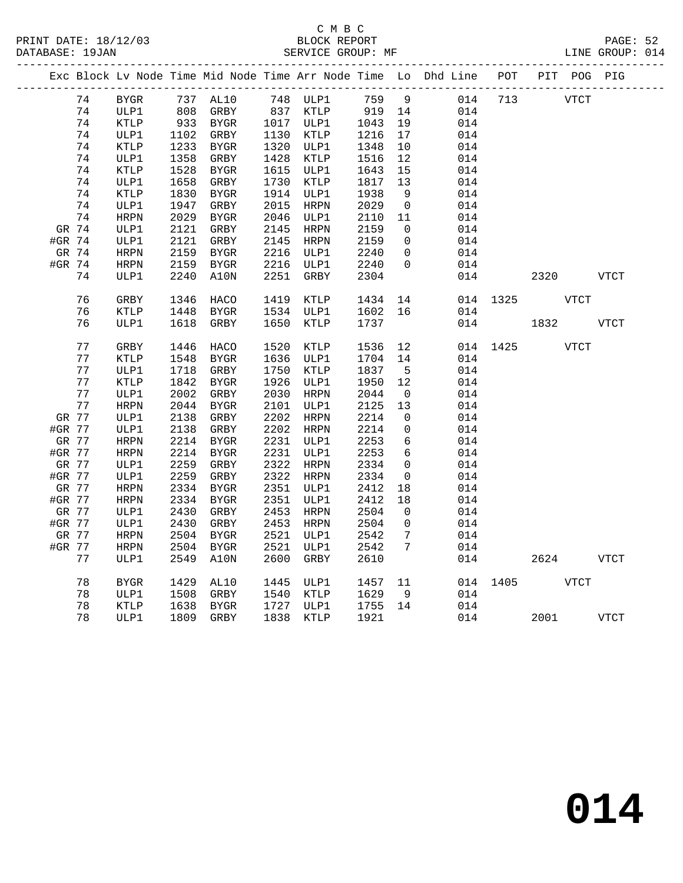|        |       |              |      |             |      |             |         |                 | Exc Block Lv Node Time Mid Node Time Arr Node Time Lo Dhd Line POT PIT POG PIG |          |      |      |             |
|--------|-------|--------------|------|-------------|------|-------------|---------|-----------------|--------------------------------------------------------------------------------|----------|------|------|-------------|
|        | 74    | <b>BYGR</b>  |      | 737 AL10    |      | 748 ULP1    | 759 9   |                 | 014                                                                            | 713      | VTCT |      |             |
|        | 74    | ULP1         |      | 808 GRBY    |      | 837 KTLP    | 919 14  |                 | 014                                                                            |          |      |      |             |
|        | 74    | KTLP         |      | 933 BYGR    |      | 1017 ULP1   | 1043    | 19              | 014                                                                            |          |      |      |             |
|        | 74    | ULP1         | 1102 | GRBY        |      | 1130 KTLP   | 1216    | 17              | 014                                                                            |          |      |      |             |
|        | 74    | KTLP         | 1233 | BYGR        |      | 1320 ULP1   | 1348    | 10              | 014                                                                            |          |      |      |             |
|        | 74    | ULP1         | 1358 | GRBY        | 1428 | KTLP        | 1516    | 12              | 014                                                                            |          |      |      |             |
|        | 74    | <b>KTLP</b>  | 1528 | BYGR        |      | 1615 ULP1   | 1643    | 15              | 014                                                                            |          |      |      |             |
|        | 74    | ULP1         | 1658 | GRBY        |      | 1730 KTLP   | 1817    | 13              | 014                                                                            |          |      |      |             |
|        | 74    | KTLP         | 1830 | BYGR        |      | 1914 ULP1   | 1938    | - 9             | 014                                                                            |          |      |      |             |
|        | 74    | ULP1         | 1947 | GRBY        | 2015 | HRPN        | 2029    | $\overline{0}$  | 014                                                                            |          |      |      |             |
|        | 74    | HRPN         | 2029 | BYGR        |      | 2046 ULP1   | 2110    | 11              | 014                                                                            |          |      |      |             |
|        | GR 74 | ULP1         | 2121 | GRBY        |      | 2145 HRPN   | 2159    | $\overline{0}$  | 014                                                                            |          |      |      |             |
| #GR 74 |       | ULP1         | 2121 | GRBY        |      | 2145 HRPN   | 2159    | $\overline{0}$  | 014                                                                            |          |      |      |             |
|        | GR 74 | HRPN         | 2159 | BYGR        |      | 2216 ULP1   | 2240    | $\overline{0}$  | 014                                                                            |          |      |      |             |
| #GR 74 |       | HRPN         | 2159 | <b>BYGR</b> | 2216 | ULP1        | 2240    | $\overline{0}$  | 014                                                                            |          |      |      |             |
|        | 74    | ULP1         | 2240 | A10N        | 2251 | GRBY        | 2304    |                 | 014                                                                            |          | 2320 |      | <b>VTCT</b> |
|        |       |              |      |             |      |             |         |                 |                                                                                |          |      |      |             |
|        | 76    | GRBY         | 1346 | HACO        | 1419 | KTLP        | 1434    | 14              |                                                                                | 014 1325 |      | VTCT |             |
|        | 76    | <b>KTLP</b>  | 1448 | BYGR        |      | 1534 ULP1   | 1602 16 |                 | 014                                                                            |          |      |      |             |
|        | 76    | ULP1         | 1618 | GRBY        | 1650 | <b>KTLP</b> | 1737    |                 | 014                                                                            |          | 1832 |      | <b>VTCT</b> |
|        |       |              |      |             |      |             |         |                 |                                                                                |          |      |      |             |
|        | 77    | GRBY         | 1446 | HACO        | 1520 | KTLP        | 1536    | 12              |                                                                                | 014 1425 |      | VTCT |             |
|        | 77    | KTLP         | 1548 | BYGR        |      | 1636 ULP1   | 1704    | 14              | 014                                                                            |          |      |      |             |
|        | 77    | ULP1         | 1718 | GRBY        | 1750 | KTLP        | 1837    | $-5$            | 014                                                                            |          |      |      |             |
|        | 77    | KTLP         | 1842 | BYGR        |      | 1926 ULP1   | 1950    | 12              | 014                                                                            |          |      |      |             |
|        | 77    | ULP1         | 2002 | GRBY        | 2030 | HRPN        | 2044    | $\overline{0}$  | 014                                                                            |          |      |      |             |
|        | 77    | <b>HRPN</b>  | 2044 | <b>BYGR</b> |      | 2101 ULP1   | 2125    | 13              | 014                                                                            |          |      |      |             |
| GR 77  |       | ULP1         | 2138 | GRBY        | 2202 | HRPN        | 2214    | $\overline{0}$  | 014                                                                            |          |      |      |             |
| #GR 77 |       | ULP1         | 2138 | GRBY        |      | 2202 HRPN   | 2214    | $\mathsf{O}$    | 014                                                                            |          |      |      |             |
|        | GR 77 | <b>HRPN</b>  | 2214 | BYGR        |      | 2231 ULP1   | 2253    | 6               | 014                                                                            |          |      |      |             |
| #GR 77 |       | <b>HRPN</b>  | 2214 | BYGR        |      | 2231 ULP1   | 2253    | 6               | 014                                                                            |          |      |      |             |
|        | GR 77 | ULP1         | 2259 | GRBY        |      | 2322 HRPN   | 2334    | $\overline{0}$  | 014                                                                            |          |      |      |             |
| #GR 77 |       | ULP1         | 2259 | GRBY        |      | 2322 HRPN   | 2334    | $\overline{0}$  | 014                                                                            |          |      |      |             |
|        | GR 77 | HRPN         | 2334 | BYGR        |      | 2351 ULP1   | 2412    | 18              | 014                                                                            |          |      |      |             |
| #GR 77 |       | <b>HRPN</b>  | 2334 | BYGR        |      | 2351 ULP1   | 2412    | 18              | 014                                                                            |          |      |      |             |
|        | GR 77 | ULP1         | 2430 | GRBY        | 2453 | HRPN        | 2504    | $\overline{0}$  | 014                                                                            |          |      |      |             |
| #GR 77 |       | ULP1         | 2430 | GRBY        | 2453 | HRPN        | 2504    | $\mathbf 0$     | 014                                                                            |          |      |      |             |
|        | GR 77 | HRPN         | 2504 | BYGR        | 2521 | ULP1        | 2542    | 7               | 014                                                                            |          |      |      |             |
| #GR 77 |       | HRPN         | 2504 | BYGR        | 2521 | ULP1        | 2542    | $7\phantom{.0}$ | 014                                                                            |          |      |      |             |
|        | 77    | ULP1         | 2549 | A10N        | 2600 | GRBY        | 2610    |                 | 014                                                                            |          | 2624 |      | <b>VTCT</b> |
|        |       |              |      |             |      |             |         |                 |                                                                                |          |      |      |             |
|        | 78    | ${\tt BYGR}$ | 1429 | AL10        |      | 1445 ULP1   | 1457    | 11              |                                                                                | 014 1405 | VTCT |      |             |
|        | 78    | ULP1         | 1508 | GRBY        |      | 1540 KTLP   | 1629    | - 9             | 014                                                                            |          |      |      |             |
|        | 78    | KTLP         | 1638 | <b>BYGR</b> |      | 1727 ULP1   | 1755 14 |                 | 014                                                                            |          |      |      |             |
|        | 78    | ULP1         |      | 1809 GRBY   | 1838 | <b>KTLP</b> | 1921    |                 | 014                                                                            |          | 2001 |      | <b>VTCT</b> |
|        |       |              |      |             |      |             |         |                 |                                                                                |          |      |      |             |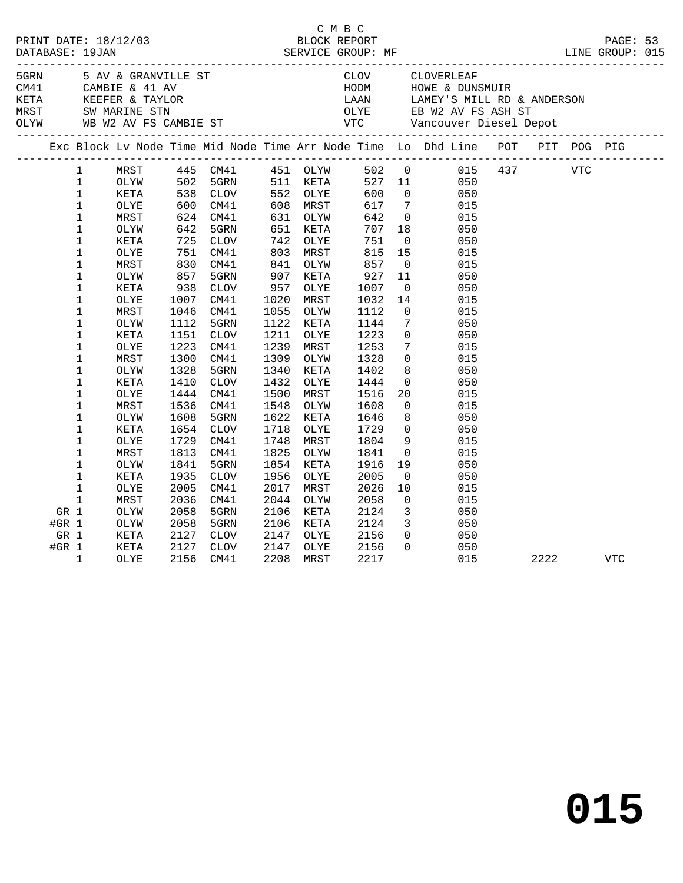|         |              |      |              |             |      |          | C M B C |                 |                                                                                                                                                                                                                                       |      |            |            |  |
|---------|--------------|------|--------------|-------------|------|----------|---------|-----------------|---------------------------------------------------------------------------------------------------------------------------------------------------------------------------------------------------------------------------------------|------|------------|------------|--|
|         |              |      |              |             |      |          |         |                 |                                                                                                                                                                                                                                       |      |            |            |  |
|         |              |      |              |             |      |          |         |                 | C M B C<br>PRINT DATE: 18/12/03 BLOCK REPORT<br>DATABASE: 19JAN SERVICE GROUP: MF LINE GROUP: 015                                                                                                                                     |      |            |            |  |
|         |              |      |              |             |      |          |         |                 |                                                                                                                                                                                                                                       |      |            |            |  |
|         |              |      |              |             |      |          |         |                 |                                                                                                                                                                                                                                       |      |            |            |  |
|         |              |      |              |             |      |          |         |                 |                                                                                                                                                                                                                                       |      |            |            |  |
|         |              |      |              |             |      |          |         |                 |                                                                                                                                                                                                                                       |      |            |            |  |
|         |              |      |              |             |      |          |         |                 | ERN 5 AV & GRANVILLE ST COVERLEAR CLOVERLEAR<br>CAMBIE & 41 AV HODM HOWE & DUNSMUIR<br>KETA KEEFER & TAYLOR LAAN LAMEY'S MILL RD & ANDERSON<br>MRST SW MARINE STN OLYE EB W2 AV FS ASH ST<br>OLYW WB W2 AV FS CAMBIE ST VTC Vancouver |      |            |            |  |
|         |              |      |              |             |      |          |         |                 | Exc Block Lv Node Time Mid Node Time Arr Node Time Lo Dhd Line POT PIT POG PIG                                                                                                                                                        |      |            |            |  |
|         | $\mathbf{1}$ | MRST |              |             |      |          |         |                 | 445 CM41 451 OLYW 502 0 015 437<br>502 5GRN 511 KETA 527 11 050<br>538 CLOV 552 OLYE 600 0 050                                                                                                                                        |      | <b>VTC</b> |            |  |
|         | $\mathbf{1}$ | OLYW |              |             |      |          |         |                 |                                                                                                                                                                                                                                       |      |            |            |  |
|         | $\mathbf{1}$ | KETA |              |             |      |          |         |                 |                                                                                                                                                                                                                                       |      |            |            |  |
|         | $\mathbf{1}$ | OLYE |              | CM41        |      | 608 MRST | 617     | $7\overline{ }$ | 015                                                                                                                                                                                                                                   |      |            |            |  |
|         | $\mathbf 1$  | MRST | 600<br>624   | CM41        |      | 631 OLYW | 642     | $\overline{0}$  | 015                                                                                                                                                                                                                                   |      |            |            |  |
|         | $\mathbf 1$  | OLYW | 642          | 5GRN        | 651  | KETA     | 707     | 18              | 050                                                                                                                                                                                                                                   |      |            |            |  |
|         | 1            | KETA | 725          | CLOV        | 742  | OLYE     | 751     | $\overline{0}$  | 050                                                                                                                                                                                                                                   |      |            |            |  |
|         | $\mathbf 1$  | OLYE | 725 /<br>751 | CM41        |      | 803 MRST | 815     | 15              | 015                                                                                                                                                                                                                                   |      |            |            |  |
|         | $\mathbf 1$  | MRST | 830          | CM41        | 841  | OLYW     | 857     | $\overline{0}$  | 015                                                                                                                                                                                                                                   |      |            |            |  |
|         | $\mathbf 1$  | OLYW | 857          | 5GRN        | 907  | KETA     | 927     | 11              | 050                                                                                                                                                                                                                                   |      |            |            |  |
|         | $\mathbf 1$  | KETA | 938          | <b>CLOV</b> | 957  | OLYE     | 1007    | $\overline{0}$  | 050                                                                                                                                                                                                                                   |      |            |            |  |
|         | $\mathbf 1$  | OLYE | 1007         | CM41        | 1020 | MRST     | 1032    | 14              | 015                                                                                                                                                                                                                                   |      |            |            |  |
|         | 1            | MRST | 1046         | CM41        | 1055 | OLYW     | 1112    | $\overline{0}$  | 015                                                                                                                                                                                                                                   |      |            |            |  |
|         | $\mathbf 1$  | OLYW | 1112         | 5GRN        | 1122 | KETA     | 1144    | $7\overline{ }$ | 050                                                                                                                                                                                                                                   |      |            |            |  |
|         | 1            | KETA | 1151         | <b>CLOV</b> | 1211 | OLYE     | 1223    | $\overline{0}$  | 050                                                                                                                                                                                                                                   |      |            |            |  |
|         | $\mathbf 1$  | OLYE | 1223         | CM41        | 1239 | MRST     | 1253    | $7\overline{ }$ | 015                                                                                                                                                                                                                                   |      |            |            |  |
|         | $\mathbf 1$  | MRST | 1300         | CM41        | 1309 | OLYW     | 1328    | $\overline{0}$  | 015                                                                                                                                                                                                                                   |      |            |            |  |
|         | $\mathbf 1$  | OLYW | 1328         | 5GRN        | 1340 | KETA     | 1402    | 8               | 050                                                                                                                                                                                                                                   |      |            |            |  |
|         | $\mathbf 1$  | KETA | 1410         | CLOV        | 1432 | OLYE     | 1444    | $\overline{0}$  | 050                                                                                                                                                                                                                                   |      |            |            |  |
|         | $\mathbf 1$  | OLYE | 1444         | CM41        | 1500 | MRST     | 1516    | 20              | 015                                                                                                                                                                                                                                   |      |            |            |  |
|         | $\mathbf 1$  | MRST | 1536         | CM41        | 1548 | OLYW     | 1608    | $\overline{0}$  | 015                                                                                                                                                                                                                                   |      |            |            |  |
|         | $\mathbf 1$  | OLYW | 1608         | 5GRN        | 1622 | KETA     | 1646    | 8               | 050                                                                                                                                                                                                                                   |      |            |            |  |
|         | 1            | KETA | 1654         | CLOV        | 1718 | OLYE     | 1729    | $\overline{0}$  | 050                                                                                                                                                                                                                                   |      |            |            |  |
|         | $\mathbf 1$  | OLYE | 1729         | CM41        | 1748 | MRST     | 1804    | 9               | 015                                                                                                                                                                                                                                   |      |            |            |  |
|         | $\mathbf 1$  | MRST | 1813         | CM41        | 1825 | OLYW     | 1841    | $\overline{0}$  | 015                                                                                                                                                                                                                                   |      |            |            |  |
|         | $\mathbf 1$  | OLYW | 1841         | 5GRN        | 1854 | KETA     | 1916    | 19              | 050                                                                                                                                                                                                                                   |      |            |            |  |
|         | $\mathbf 1$  | KETA | 1935         | CLOV        | 1956 | OLYE     | 2005    | $\overline{0}$  | 050                                                                                                                                                                                                                                   |      |            |            |  |
|         | 1            | OLYE | 2005         | CM41        | 2017 | MRST     | 2026    | 10              | 015                                                                                                                                                                                                                                   |      |            |            |  |
|         | $\mathbf 1$  | MRST | 2036         | CM41        | 2044 | OLYW     | 2058    | $\overline{0}$  | 015                                                                                                                                                                                                                                   |      |            |            |  |
| GR 1    |              | OLYW | 2058         | 5GRN        | 2106 | KETA     | 2124    | $\overline{3}$  | 050                                                                                                                                                                                                                                   |      |            |            |  |
| #GR $1$ |              | OLYW | 2058         | 5GRN        | 2106 | KETA     | 2124    | $\overline{3}$  | 050                                                                                                                                                                                                                                   |      |            |            |  |
| GR 1    |              | KETA | 2127         | CLOV        | 2147 | OLYE     | 2156    | $\overline{0}$  | 050                                                                                                                                                                                                                                   |      |            |            |  |
| #GR $1$ |              | KETA | 2127         | CLOV        | 2147 | OLYE     | 2156    | $\Omega$        | 050                                                                                                                                                                                                                                   |      |            |            |  |
|         | $\mathbf{1}$ | OLYE | 2156         | CM41        | 2208 | MRST     | 2217    |                 | 015                                                                                                                                                                                                                                   | 2222 |            | <b>VTC</b> |  |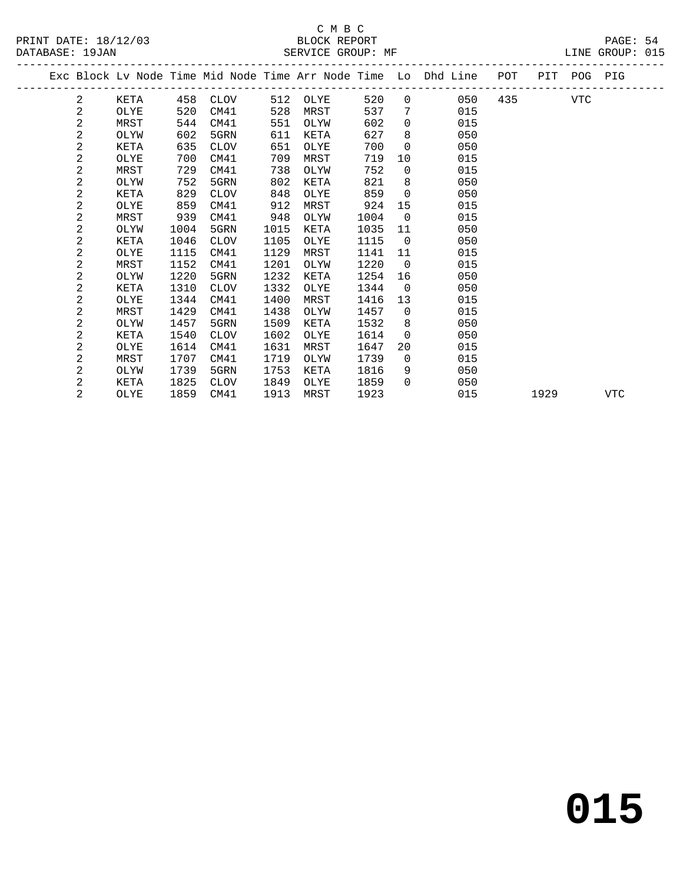|  |                |      |      |             |      |      |      |                 | Exc Block Lv Node Time Mid Node Time Arr Node Time Lo Dhd Line POT PIT POG PIG |     |      |     |     |
|--|----------------|------|------|-------------|------|------|------|-----------------|--------------------------------------------------------------------------------|-----|------|-----|-----|
|  | 2              | KETA | 458  | CLOV        | 512  | OLYE | 520  |                 | 050<br>$\overline{0}$                                                          | 435 |      | VTC |     |
|  | 2              | OLYE | 520  | CM41        | 528  | MRST | 537  | $7\overline{ }$ | 015                                                                            |     |      |     |     |
|  | 2              | MRST | 544  | CM41        | 551  | OLYW | 602  | $\overline{0}$  | 015                                                                            |     |      |     |     |
|  | 2              | OLYW | 602  | 5GRN        | 611  | KETA | 627  | 8               | 050                                                                            |     |      |     |     |
|  | $\overline{c}$ | KETA | 635  | CLOV        | 651  | OLYE | 700  | $\overline{0}$  | 050                                                                            |     |      |     |     |
|  | 2              | OLYE | 700  | CM41        | 709  | MRST | 719  | 10              | 015                                                                            |     |      |     |     |
|  | $\overline{a}$ | MRST | 729  | CM41        | 738  | OLYW | 752  | $\overline{0}$  | 015                                                                            |     |      |     |     |
|  | 2              | OLYW | 752  | 5GRN        | 802  | KETA | 821  | 8               | 050                                                                            |     |      |     |     |
|  | 2              | KETA | 829  | CLOV        | 848  | OLYE | 859  | $\overline{0}$  | 050                                                                            |     |      |     |     |
|  | 2              | OLYE | 859  | CM41        | 912  | MRST | 924  | 15              | 015                                                                            |     |      |     |     |
|  | 2              | MRST | 939  | CM41        | 948  | OLYW | 1004 | $\overline{0}$  | 015                                                                            |     |      |     |     |
|  | $\overline{a}$ | OLYW | 1004 | 5GRN        | 1015 | KETA | 1035 | 11              | 050                                                                            |     |      |     |     |
|  | 2              | KETA | 1046 | <b>CLOV</b> | 1105 | OLYE | 1115 | $\overline{0}$  | 050                                                                            |     |      |     |     |
|  | $\overline{a}$ | OLYE | 1115 | CM41        | 1129 | MRST | 1141 | 11              | 015                                                                            |     |      |     |     |
|  | 2              | MRST | 1152 | CM41        | 1201 | OLYW | 1220 | $\overline{0}$  | 015                                                                            |     |      |     |     |
|  | 2              | OLYW | 1220 | 5GRN        | 1232 | KETA | 1254 | 16              | 050                                                                            |     |      |     |     |
|  | $\overline{a}$ | KETA | 1310 | <b>CLOV</b> | 1332 | OLYE | 1344 | $\overline{0}$  | 050                                                                            |     |      |     |     |
|  | 2              | OLYE | 1344 | CM41        | 1400 | MRST | 1416 | 13              | 015                                                                            |     |      |     |     |
|  | 2              | MRST | 1429 | CM41        | 1438 | OLYW | 1457 | $\overline{0}$  | 015                                                                            |     |      |     |     |
|  | 2              | OLYW | 1457 | 5GRN        | 1509 | KETA | 1532 | 8 <sup>8</sup>  | 050                                                                            |     |      |     |     |
|  | 2              | KETA | 1540 | <b>CLOV</b> | 1602 | OLYE | 1614 | $\Omega$        | 050                                                                            |     |      |     |     |
|  | 2              | OLYE | 1614 | CM41        | 1631 | MRST | 1647 | 20              | 015                                                                            |     |      |     |     |
|  | 2              | MRST | 1707 | CM41        | 1719 | OLYW | 1739 | $\overline{0}$  | 015                                                                            |     |      |     |     |
|  | 2              | OLYW | 1739 | 5GRN        | 1753 | KETA | 1816 | 9               | 050                                                                            |     |      |     |     |
|  | 2              | KETA | 1825 | CLOV        | 1849 | OLYE | 1859 | $\Omega$        | 050                                                                            |     |      |     |     |
|  | 2              | OLYE | 1859 | CM41        | 1913 | MRST | 1923 |                 | 015                                                                            |     | 1929 |     | VTC |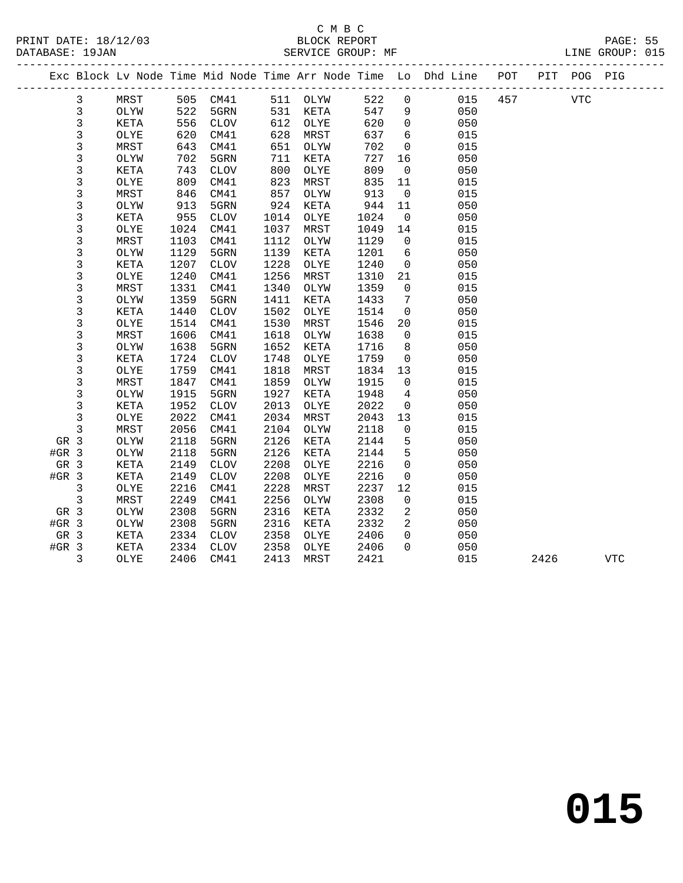|         |                |      |      |                 |      |          |      |                | Exc Block Lv Node Time Mid Node Time Arr Node Time Lo Dhd Line POT |     |      | PIT POG PIG |            |
|---------|----------------|------|------|-----------------|------|----------|------|----------------|--------------------------------------------------------------------|-----|------|-------------|------------|
|         | 3              | MRST |      | 505 CM41        |      | 511 OLYW | 522  | $\mathbf 0$    | 015                                                                | 457 |      | VTC         |            |
|         | $\mathsf{3}$   | OLYW | 522  | 5GRN            | 531  | KETA     | 547  | 9              | 050                                                                |     |      |             |            |
|         | 3              | KETA | 556  | CLOV            | 612  | OLYE     | 620  | $\overline{0}$ | 050                                                                |     |      |             |            |
|         | 3              | OLYE | 620  | CM41            | 628  | MRST     | 637  | 6              | 015                                                                |     |      |             |            |
|         | 3              | MRST | 643  | CM41            | 651  | OLYW     | 702  | $\mathbf 0$    | 015                                                                |     |      |             |            |
|         | 3              | OLYW | 702  | 5GRN            | 711  | KETA     | 727  | 16             | 050                                                                |     |      |             |            |
|         | 3              | KETA | 743  | <b>CLOV</b>     | 800  | OLYE     | 809  | $\overline{0}$ | 050                                                                |     |      |             |            |
|         | 3              | OLYE | 809  | CM41            | 823  | MRST     | 835  | 11             | 015                                                                |     |      |             |            |
|         | $\mathsf 3$    | MRST | 846  | CM41            | 857  | OLYW     | 913  | $\overline{0}$ | 015                                                                |     |      |             |            |
|         | 3              | OLYW | 913  | 5GRN            | 924  | KETA     | 944  | 11             | 050                                                                |     |      |             |            |
|         | 3              | KETA | 955  | CLOV            | 1014 | OLYE     | 1024 | $\overline{0}$ | 050                                                                |     |      |             |            |
|         | 3              | OLYE | 1024 | CM41            | 1037 | MRST     | 1049 | 14             | 015                                                                |     |      |             |            |
|         | 3              | MRST | 1103 | CM41            | 1112 | OLYW     | 1129 | $\overline{0}$ | 015                                                                |     |      |             |            |
|         | 3              | OLYW | 1129 | 5GRN            | 1139 | KETA     | 1201 | 6              | 050                                                                |     |      |             |            |
|         | 3              | KETA | 1207 | CLOV            | 1228 | OLYE     | 1240 | $\overline{0}$ | 050                                                                |     |      |             |            |
|         | 3              | OLYE | 1240 | CM41            | 1256 | MRST     | 1310 | 21             | 015                                                                |     |      |             |            |
|         | $\mathsf 3$    | MRST | 1331 | CM41            | 1340 | OLYW     | 1359 | $\overline{0}$ | 015                                                                |     |      |             |            |
|         | 3              | OLYW | 1359 | 5GRN            | 1411 | KETA     | 1433 | 7              | 050                                                                |     |      |             |            |
|         | 3              | KETA | 1440 | CLOV            | 1502 | OLYE     | 1514 | $\overline{0}$ | 050                                                                |     |      |             |            |
|         | 3              | OLYE | 1514 | CM41            | 1530 | MRST     | 1546 | 20             | 015                                                                |     |      |             |            |
|         | 3              | MRST | 1606 | CM41            | 1618 | OLYW     | 1638 | $\overline{0}$ | 015                                                                |     |      |             |            |
|         | 3              | OLYW | 1638 | 5GRN            | 1652 | KETA     | 1716 | 8              | 050                                                                |     |      |             |            |
|         | $\mathsf 3$    | KETA | 1724 | CLOV            | 1748 | OLYE     | 1759 | $\overline{0}$ | 050                                                                |     |      |             |            |
|         | 3              | OLYE | 1759 | CM41            | 1818 | MRST     | 1834 | 13             | 015                                                                |     |      |             |            |
|         | 3              | MRST | 1847 | CM41            | 1859 | OLYW     | 1915 | $\mathbf{0}$   | 015                                                                |     |      |             |            |
|         | 3              | OLYW | 1915 | 5GRN            | 1927 | KETA     | 1948 | $\overline{4}$ | 050                                                                |     |      |             |            |
|         | $\mathsf{3}$   | KETA | 1952 | $\mathtt{CLOV}$ | 2013 | OLYE     | 2022 | $\mathbf 0$    | 050                                                                |     |      |             |            |
|         | 3              | OLYE | 2022 | CM41            | 2034 | MRST     | 2043 | 13             | 015                                                                |     |      |             |            |
|         | 3              | MRST | 2056 | CM41            | 2104 | OLYW     | 2118 | $\mathbf 0$    | 015                                                                |     |      |             |            |
| GR 3    |                | OLYW | 2118 | 5GRN            | 2126 | KETA     | 2144 | 5              | 050                                                                |     |      |             |            |
| $#GR$ 3 |                | OLYW | 2118 | 5GRN            | 2126 | KETA     | 2144 | 5              | 050                                                                |     |      |             |            |
| GR 3    |                | KETA | 2149 | <b>CLOV</b>     | 2208 | OLYE     | 2216 | $\mathbf{0}$   | 050                                                                |     |      |             |            |
| $#GR$ 3 |                | KETA | 2149 | <b>CLOV</b>     | 2208 | OLYE     | 2216 | $\mathbf 0$    | 050                                                                |     |      |             |            |
|         | $\mathfrak{Z}$ | OLYE | 2216 | CM41            | 2228 | MRST     | 2237 | 12             | 015                                                                |     |      |             |            |
|         | 3              | MRST | 2249 | CM41            | 2256 | OLYW     | 2308 | $\mathbf 0$    | 015                                                                |     |      |             |            |
| GR 3    |                | OLYW | 2308 | 5GRN            | 2316 | KETA     | 2332 | 2              | 050                                                                |     |      |             |            |
| $#GR$ 3 |                | OLYW | 2308 | 5GRN            | 2316 | KETA     | 2332 | 2              | 050                                                                |     |      |             |            |
| GR 3    |                | KETA | 2334 | CLOV            | 2358 | OLYE     | 2406 | $\Omega$       | 050                                                                |     |      |             |            |
| $#GR$ 3 |                | KETA | 2334 | CLOV            | 2358 | OLYE     | 2406 | $\Omega$       | 050                                                                |     |      |             |            |
|         | 3              | OLYE | 2406 | CM41            | 2413 | MRST     | 2421 |                | 015                                                                |     | 2426 |             | <b>VTC</b> |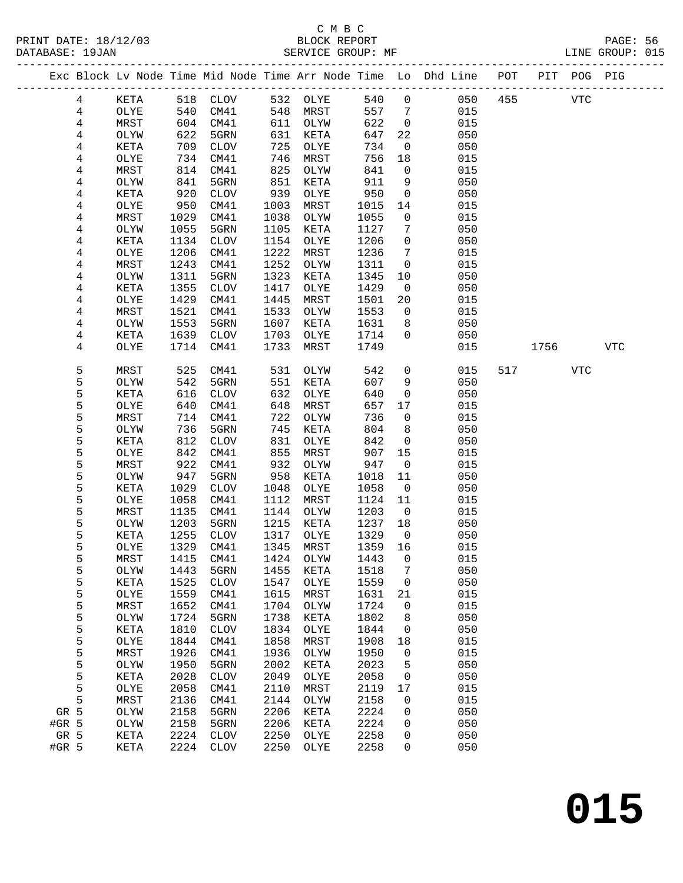|        |              |              |              |              |              |                |                    | Exc Block Lv Node Time Mid Node Time Arr Node Time Lo Dhd Line POT |     |      | PIT POG PIG |            |
|--------|--------------|--------------|--------------|--------------|--------------|----------------|--------------------|--------------------------------------------------------------------|-----|------|-------------|------------|
| 4      | KETA         |              | 518 CLOV     |              | 532 OLYE     | 540            | $\overline{0}$     | 050                                                                | 455 |      | <b>VTC</b>  |            |
| 4      | OLYE         | 540          | CM41         | 548          | MRST         | 557            | $\overline{7}$     | 015                                                                |     |      |             |            |
| 4      | MRST         | 604          | CM41         | 611          | OLYW         | 622            | $\overline{0}$     | 015                                                                |     |      |             |            |
| 4      | OLYW         | 622          | 5GRN         | 631          | KETA         | 647            | 22                 | 050                                                                |     |      |             |            |
| 4      | KETA         | 709          | CLOV         | 725          | OLYE         | 734            | $\overline{0}$     | 050                                                                |     |      |             |            |
| 4      | OLYE         | 734          | CM41         | 746          | MRST         | 756            | 18                 | 015                                                                |     |      |             |            |
| 4      | MRST         | 814          | CM41         | 825          | OLYW         | 841            | $\mathsf{O}$       | 015                                                                |     |      |             |            |
| 4      | OLYW         | 841          | 5GRN         | 851          | KETA         | 911            | 9                  | 050                                                                |     |      |             |            |
| 4      | <b>KETA</b>  | 920          | CLOV         | 939          | OLYE         | 950            | $\mathbf 0$        | 050                                                                |     |      |             |            |
| 4      | OLYE         | 950          | CM41         | 1003         | MRST         | 1015           | 14                 | 015                                                                |     |      |             |            |
| 4      | MRST         | 1029         | CM41         | 1038         | OLYW         | 1055           | $\mathsf{O}$       | 015                                                                |     |      |             |            |
| 4      | OLYW         | 1055         | 5GRN         | 1105         | KETA         | 1127           | 7                  | 050                                                                |     |      |             |            |
| 4      | KETA         | 1134         | CLOV         | 1154         | OLYE         | 1206           | $\mathsf{O}$       | 050                                                                |     |      |             |            |
| 4      | OLYE         | 1206         | CM41         | 1222         | MRST         | 1236           | $7\phantom{.0}$    | 015                                                                |     |      |             |            |
| 4      | MRST         | 1243         | CM41         | 1252         | OLYW         | 1311           | $\mathbf{0}$       | 015                                                                |     |      |             |            |
| 4      | OLYW         | 1311         | 5GRN         | 1323         | KETA         | 1345           | 10                 | 050                                                                |     |      |             |            |
| 4      | KETA         | 1355         | CLOV         | 1417         | OLYE         | 1429           | $\overline{0}$     | 050                                                                |     |      |             |            |
| 4      | OLYE         | 1429         | CM41         | 1445         | MRST         | 1501           | 20                 | 015                                                                |     |      |             |            |
| 4      | MRST         | 1521         | CM41         | 1533         | OLYW         | 1553           | $\overline{0}$     | 015                                                                |     |      |             |            |
| 4      | OLYW         | 1553         | 5GRN         | 1607         | KETA         | 1631           | 8                  | 050                                                                |     |      |             |            |
| 4      | KETA         | 1639         | CLOV         | 1703         | OLYE         | 1714           | $\Omega$           | 050                                                                |     |      |             |            |
| 4      | OLYE         | 1714         | CM41         | 1733         | MRST         | 1749           |                    | 015                                                                |     | 1756 |             | <b>VTC</b> |
|        |              |              |              |              |              |                |                    |                                                                    |     |      |             |            |
| 5      | MRST         | 525          | CM41         | 531          | OLYW         | 542            | $\mathsf{O}$       | 015                                                                | 517 |      | VTC         |            |
| 5      | OLYW         | 542          | 5GRN         | 551          | KETA         | 607            | 9                  | 050                                                                |     |      |             |            |
| 5      | KETA         | 616          | CLOV         | 632          | OLYE         | 640            | $\mathbf 0$        | 050                                                                |     |      |             |            |
| 5      | OLYE         | 640          | CM41         | 648          | MRST         | 657            | 17                 | 015                                                                |     |      |             |            |
| 5      | MRST         | 714          | CM41         | 722          | OLYW         | 736            | $\mathsf{O}$       | 015                                                                |     |      |             |            |
| 5      | OLYW         | 736          | 5GRN         | 745          | KETA         | 804            | 8                  | 050                                                                |     |      |             |            |
| 5      | KETA         | 812          | CLOV         | 831          | OLYE         | 842            | $\mathbf 0$        | 050                                                                |     |      |             |            |
| 5      | OLYE         | 842          | CM41         | 855          | MRST         | 907            | 15                 | 015                                                                |     |      |             |            |
| 5      | MRST         | 922          | CM41         | 932          | OLYW         | 947            | $\overline{0}$     | 015                                                                |     |      |             |            |
| 5      | OLYW         | 947          | 5GRN         | 958          | KETA         | 1018           | 11                 | 050                                                                |     |      |             |            |
| 5      | KETA         | 1029         | CLOV         | 1048         | OLYE         | 1058           | $\overline{0}$     | 050                                                                |     |      |             |            |
| 5      | OLYE         | 1058         | CM41         | 1112         | MRST         | 1124           | 11                 | 015                                                                |     |      |             |            |
| 5      | MRST         | 1135         | CM41         | 1144         | OLYW         | 1203           | $\overline{0}$     | 015                                                                |     |      |             |            |
| 5      | OLYW         | 1203         | 5GRN         | 1215         | KETA         | 1237           | 18                 | 050                                                                |     |      |             |            |
| 5      | KETA         | 1255         | CLOV         | 1317<br>1345 | OLYE<br>MRST | 1329           | $\overline{0}$     | 050                                                                |     |      |             |            |
| 5      | OLYE         | 1329         | CM41         |              |              | 1359<br>1443 0 | 16                 | 015                                                                |     |      |             |            |
| 5      | MRST         |              | 1415 CM41    |              | 1424 OLYW    |                |                    | 015<br>050                                                         |     |      |             |            |
| 5<br>5 | OLYW<br>KETA | 1443<br>1525 | 5GRN         | 1455<br>1547 | KETA<br>OLYE | 1518<br>1559   | 7<br>$\mathbf 0$   | 050                                                                |     |      |             |            |
| 5      | OLYE         | 1559         | CLOV<br>CM41 | 1615         | MRST         | 1631           |                    | 015                                                                |     |      |             |            |
| 5      | MRST         | 1652         | CM41         | 1704         | OLYW         | 1724           | 21<br>$\mathsf{O}$ | 015                                                                |     |      |             |            |
| 5      | OLYW         | 1724         | 5GRN         | 1738         | KETA         | 1802           | 8                  | 050                                                                |     |      |             |            |
| 5      | KETA         | 1810         | <b>CLOV</b>  | 1834         | OLYE         | 1844           | 0                  | 050                                                                |     |      |             |            |
| 5      | OLYE         | 1844         | CM41         | 1858         | MRST         | 1908           | 18                 | 015                                                                |     |      |             |            |
| 5      | MRST         | 1926         | CM41         | 1936         | OLYW         | 1950           | 0                  | 015                                                                |     |      |             |            |
| 5      | OLYW         | 1950         | 5GRN         | 2002         | KETA         | 2023           | 5                  | 050                                                                |     |      |             |            |
| 5      | KETA         | 2028         | $\rm CLOV$   | 2049         | OLYE         | 2058           | 0                  | 050                                                                |     |      |             |            |
| 5      | OLYE         | 2058         | CM41         | 2110         | MRST         | 2119           | 17                 | 015                                                                |     |      |             |            |
| 5      | MRST         | 2136         | CM41         | 2144         | OLYW         | 2158           | 0                  | 015                                                                |     |      |             |            |
| GR 5   | OLYW         | 2158         | 5GRN         | 2206         | KETA         | 2224           | 0                  | 050                                                                |     |      |             |            |
| #GR 5  | OLYW         | 2158         | 5GRN         | 2206         | KETA         | 2224           | 0                  | 050                                                                |     |      |             |            |
| GR 5   | KETA         | 2224         | CLOV         | 2250         | OLYE         | 2258           | 0                  | 050                                                                |     |      |             |            |
| #GR 5  | KETA         |              | 2224 CLOV    | 2250         | OLYE         | 2258           | 0                  | 050                                                                |     |      |             |            |
|        |              |              |              |              |              |                |                    |                                                                    |     |      |             |            |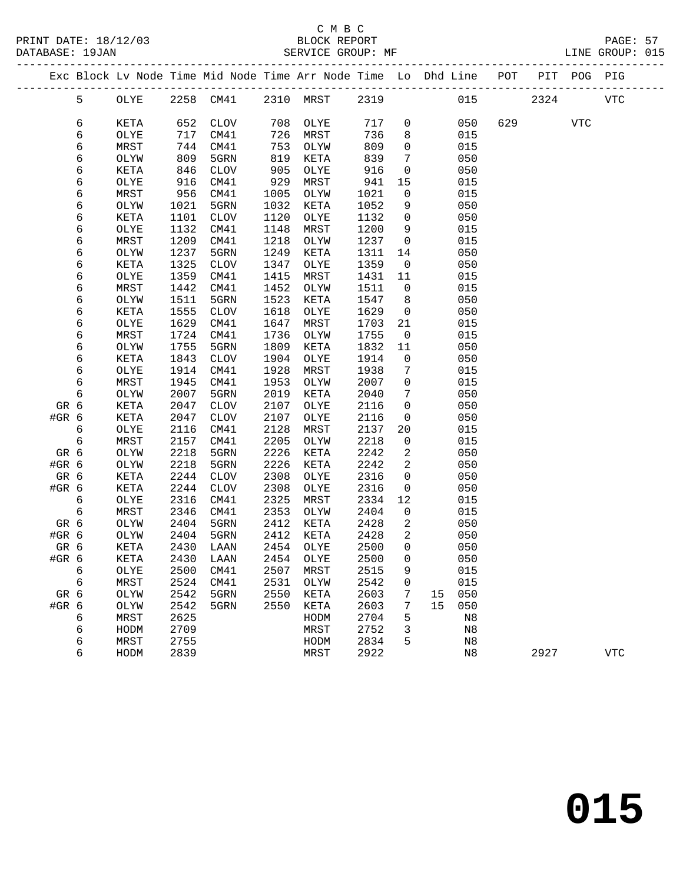|       |            |      |      | Exc Block Lv Node Time Mid Node Time Arr Node Time Lo Dhd Line POT PIT POG PIG |              |                |      |                 |    |                |     |      |            |            |
|-------|------------|------|------|--------------------------------------------------------------------------------|--------------|----------------|------|-----------------|----|----------------|-----|------|------------|------------|
|       | 5          | OLYE |      | 2258 CM41                                                                      |              | 2310 MRST 2319 |      |                 |    | 015            |     | 2324 |            | <b>VTC</b> |
|       | 6          | KETA | 652  | CLOV                                                                           | 708          | OLYE           | 717  | $\mathsf{O}$    |    | 050            | 629 |      | <b>VTC</b> |            |
|       | 6          | OLYE | 717  | CM41                                                                           | 726          | MRST           | 736  | 8               |    | 015            |     |      |            |            |
|       | 6          | MRST | 744  | CM41                                                                           | 753          | OLYW           | 809  | $\mathbf 0$     |    | 015            |     |      |            |            |
|       |            |      |      |                                                                                | 819          |                | 839  | 7               |    | 050            |     |      |            |            |
|       | 6          | OLYW | 809  | 5GRN                                                                           |              | KETA           |      |                 |    |                |     |      |            |            |
|       | 6          | KETA | 846  | CLOV                                                                           | 905          | OLYE           | 916  | $\mathsf{O}$    |    | 050            |     |      |            |            |
|       | 6          | OLYE | 916  | CM41                                                                           | 929          | MRST           | 941  | 15              |    | 015            |     |      |            |            |
|       | 6          | MRST | 956  | CM41                                                                           | 1005         | OLYW           | 1021 | $\mathsf{O}$    |    | 015            |     |      |            |            |
|       | 6          | OLYW | 1021 | 5GRN                                                                           | 1032         | KETA           | 1052 | 9               |    | 050            |     |      |            |            |
|       | 6          | KETA | 1101 | CLOV                                                                           | 1120         | OLYE           | 1132 | $\mathbf{0}$    |    | 050            |     |      |            |            |
|       | 6          | OLYE | 1132 | CM41                                                                           | 1148         | MRST           | 1200 | 9               |    | 015            |     |      |            |            |
|       | 6          | MRST | 1209 | CM41                                                                           | 1218         | OLYW           | 1237 | $\overline{0}$  |    | 015            |     |      |            |            |
|       | 6          | OLYW | 1237 | 5GRN                                                                           | 1249         | KETA           | 1311 | 14              |    | 050            |     |      |            |            |
|       | 6          | KETA | 1325 | CLOV                                                                           | 1347         | OLYE           | 1359 | $\overline{0}$  |    | 050            |     |      |            |            |
|       | 6          | OLYE | 1359 | CM41                                                                           | 1415         | MRST           | 1431 | 11              |    | 015            |     |      |            |            |
|       | 6          | MRST | 1442 | CM41                                                                           | 1452         | OLYW           | 1511 | $\overline{0}$  |    | 015            |     |      |            |            |
|       | 6          | OLYW | 1511 | 5GRN                                                                           | 1523         | KETA           | 1547 | 8 <sup>8</sup>  |    | 050            |     |      |            |            |
|       | 6          | KETA | 1555 | CLOV                                                                           | 1618         | OLYE           | 1629 | $\overline{0}$  |    | 050            |     |      |            |            |
|       | 6          | OLYE | 1629 | CM41                                                                           | 1647         | MRST           | 1703 | 21              |    | 015            |     |      |            |            |
|       | 6          | MRST | 1724 | CM41                                                                           | 1736         | OLYW           | 1755 | $\overline{0}$  |    | 015            |     |      |            |            |
|       | 6          | OLYW | 1755 | 5GRN                                                                           | 1809         | KETA           | 1832 | 11              |    | 050            |     |      |            |            |
|       | 6          | KETA | 1843 | CLOV                                                                           | 1904         | OLYE           | 1914 | $\overline{0}$  |    | 050            |     |      |            |            |
|       | 6          | OLYE | 1914 | CM41                                                                           | 1928         | MRST           | 1938 | 7               |    | 015            |     |      |            |            |
|       | 6          | MRST | 1945 | CM41                                                                           | 1953         | OLYW           | 2007 | $\mathsf{O}$    |    | 015            |     |      |            |            |
|       | 6          | OLYW | 2007 | 5GRN                                                                           | 2019         | KETA           | 2040 | $7\phantom{.0}$ |    | 050            |     |      |            |            |
| GR 6  |            | KETA | 2047 | CLOV                                                                           | 2107         | OLYE           | 2116 | $\mathsf{O}$    |    | 050            |     |      |            |            |
| #GR 6 |            | KETA | 2047 | CLOV                                                                           | 2107         | OLYE           | 2116 | $\mathsf{O}$    |    | 050            |     |      |            |            |
|       | 6          | OLYE | 2116 | CM41                                                                           | 2128         | MRST           | 2137 | 20              |    | 015            |     |      |            |            |
|       | $\epsilon$ | MRST | 2157 | CM41                                                                           | 2205         | OLYW           | 2218 | $\mathsf{O}$    |    | 015            |     |      |            |            |
| GR 6  |            | OLYW | 2218 | 5GRN                                                                           | 2226         | KETA           | 2242 | 2               |    | 050            |     |      |            |            |
| #GR 6 |            | OLYW | 2218 | 5GRN                                                                           | 2226         | KETA           | 2242 | 2               |    | 050            |     |      |            |            |
| GR 6  |            | KETA | 2244 | CLOV                                                                           | 2308         | OLYE           | 2316 | $\mathsf{O}$    |    | 050            |     |      |            |            |
| #GR 6 |            |      |      |                                                                                |              |                |      |                 |    |                |     |      |            |            |
|       | 6          | KETA | 2244 | CLOV                                                                           | 2308<br>2325 | OLYE           | 2316 | $\overline{0}$  |    | 050            |     |      |            |            |
|       |            | OLYE | 2316 | CM41                                                                           |              | MRST<br>OLYW   | 2334 | 12              |    | 015            |     |      |            |            |
|       | 6          | MRST | 2346 | CM41                                                                           | 2353         |                | 2404 | $\overline{0}$  |    | 015            |     |      |            |            |
| GR 6  |            | OLYW | 2404 | 5GRN                                                                           | 2412         | KETA           | 2428 | 2               |    | 050            |     |      |            |            |
| #GR 6 |            | OLYW | 2404 | 5GRN                                                                           | 2412         | KETA           | 2428 | 2               |    | 050            |     |      |            |            |
| GR 6  |            | KETA | 2430 | LAAN                                                                           |              | 2454 OLYE      | 2500 | $\Omega$        |    | 050            |     |      |            |            |
| #GR 6 |            | KETA |      | 2430 LAAN                                                                      |              | 2454 OLYE      | 2500 | $\overline{0}$  |    | 050            |     |      |            |            |
|       | 6          | OLYE | 2500 | CM41                                                                           | 2507         | MRST           | 2515 | 9               |    | 015            |     |      |            |            |
|       | 6          | MRST | 2524 | CM41                                                                           | 2531         | OLYW           | 2542 | 0               |    | 015            |     |      |            |            |
| GR 6  |            | OLYW | 2542 | 5GRN                                                                           | 2550         | KETA           | 2603 | 7               | 15 | 050            |     |      |            |            |
| #GR 6 |            | OLYW | 2542 | 5GRN                                                                           | 2550         | KETA           | 2603 | 7               | 15 | 050            |     |      |            |            |
|       | 6          | MRST | 2625 |                                                                                |              | HODM           | 2704 | 5               |    | N8             |     |      |            |            |
|       | 6          | HODM | 2709 |                                                                                |              | MRST           | 2752 | 3               |    | N8             |     |      |            |            |
|       | 6          | MRST | 2755 |                                                                                |              | HODM           | 2834 | 5               |    | N8             |     |      |            |            |
|       | 6          | HODM | 2839 |                                                                                |              | MRST           | 2922 |                 |    | N <sub>8</sub> |     | 2927 |            | <b>VTC</b> |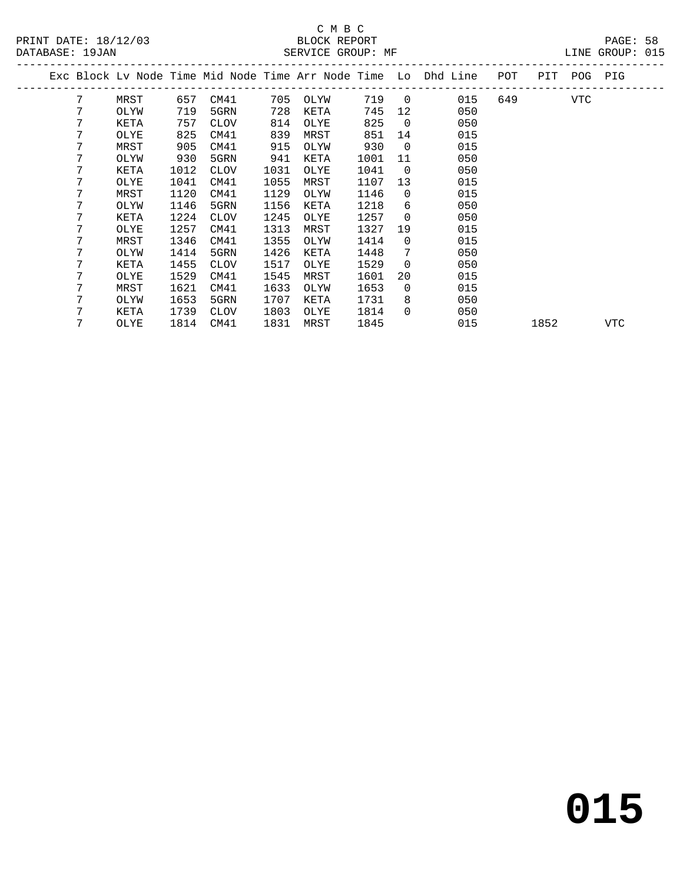|  |   |      |      |             |      |      |      |                | Exc Block Lv Node Time Mid Node Time Arr Node Time Lo Dhd Line | POT | PIT  | POG PIG |     |  |
|--|---|------|------|-------------|------|------|------|----------------|----------------------------------------------------------------|-----|------|---------|-----|--|
|  | 7 | MRST | 657  | CM41        | 705  | OLYW | 719  | $\overline{0}$ | 015                                                            | 649 |      | VTC     |     |  |
|  | 7 | OLYW | 719  | 5GRN        | 728  | KETA | 745  | 12             | 050                                                            |     |      |         |     |  |
|  | 7 | KETA | 757  | <b>CLOV</b> | 814  | OLYE | 825  | $\overline{0}$ | 050                                                            |     |      |         |     |  |
|  | 7 | OLYE | 825  | CM41        | 839  | MRST | 851  | 14             | 015                                                            |     |      |         |     |  |
|  | 7 | MRST | 905  | CM41        | 915  | OLYW | 930  | $\overline{0}$ | 015                                                            |     |      |         |     |  |
|  | 7 | OLYW | 930  | 5GRN        | 941  | KETA | 1001 | 11             | 050                                                            |     |      |         |     |  |
|  | 7 | KETA | 1012 | <b>CLOV</b> | 1031 | OLYE | 1041 | $\overline{0}$ | 050                                                            |     |      |         |     |  |
|  | 7 | OLYE | 1041 | CM41        | 1055 | MRST | 1107 | 13             | 015                                                            |     |      |         |     |  |
|  | 7 | MRST | 1120 | CM41        | 1129 | OLYW | 1146 | $\Omega$       | 015                                                            |     |      |         |     |  |
|  | 7 | OLYW | 1146 | 5GRN        | 1156 | KETA | 1218 | 6              | 050                                                            |     |      |         |     |  |
|  | 7 | KETA | 1224 | <b>CLOV</b> | 1245 | OLYE | 1257 | $\mathbf 0$    | 050                                                            |     |      |         |     |  |
|  | 7 | OLYE | 1257 | CM41        | 1313 | MRST | 1327 | 19             | 015                                                            |     |      |         |     |  |
|  | 7 | MRST | 1346 | CM41        | 1355 | OLYW | 1414 | 0              | 015                                                            |     |      |         |     |  |
|  | 7 | OLYW | 1414 | 5GRN        | 1426 | KETA | 1448 | 7              | 050                                                            |     |      |         |     |  |
|  | 7 | KETA | 1455 | <b>CLOV</b> | 1517 | OLYE | 1529 | $\mathbf 0$    | 050                                                            |     |      |         |     |  |
|  | 7 | OLYE | 1529 | CM41        | 1545 | MRST | 1601 | 20             | 015                                                            |     |      |         |     |  |
|  | 7 | MRST | 1621 | CM41        | 1633 | OLYW | 1653 | $\mathbf 0$    | 015                                                            |     |      |         |     |  |
|  | 7 | OLYW | 1653 | 5GRN        | 1707 | KETA | 1731 | 8              | 050                                                            |     |      |         |     |  |
|  | 7 | KETA | 1739 | CLOV        | 1803 | OLYE | 1814 | $\mathbf 0$    | 050                                                            |     |      |         |     |  |
|  | 7 | OLYE | 1814 | CM41        | 1831 | MRST | 1845 |                | 015                                                            |     | 1852 |         | VTC |  |
|  |   |      |      |             |      |      |      |                |                                                                |     |      |         |     |  |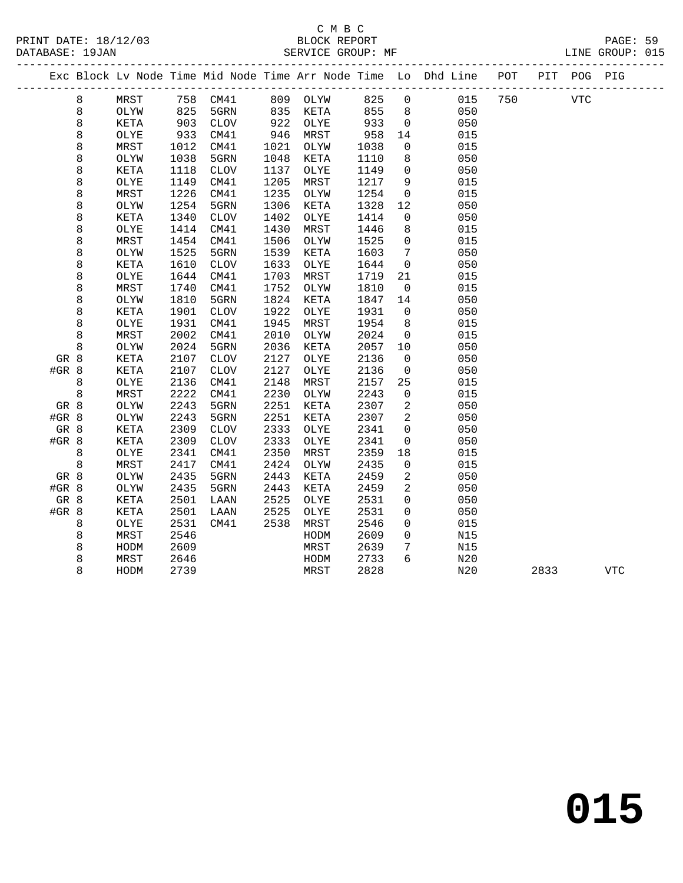|         |         |      |      |             |      |          |      |                | Exc Block Lv Node Time Mid Node Time Arr Node Time Lo Dhd Line POT |     |      | PIT POG PIG |            |
|---------|---------|------|------|-------------|------|----------|------|----------------|--------------------------------------------------------------------|-----|------|-------------|------------|
|         | 8       | MRST |      | 758 CM41    |      | 809 OLYW | 825  | $\mathbf 0$    | 015                                                                | 750 |      | <b>VTC</b>  |            |
|         | $\,8\,$ | OLYW | 825  | 5GRN        | 835  | KETA     | 855  | 8              | 050                                                                |     |      |             |            |
|         | 8       | KETA | 903  | <b>CLOV</b> | 922  | OLYE     | 933  | $\overline{0}$ | 050                                                                |     |      |             |            |
|         | 8       | OLYE | 933  | CM41        | 946  | MRST     | 958  | 14             | 015                                                                |     |      |             |            |
|         | 8       | MRST | 1012 | CM41        | 1021 | OLYW     | 1038 | 0              | 015                                                                |     |      |             |            |
|         | 8       | OLYW | 1038 | 5GRN        | 1048 | KETA     | 1110 | 8              | 050                                                                |     |      |             |            |
|         | 8       | KETA | 1118 | <b>CLOV</b> | 1137 | OLYE     | 1149 | $\mathbf 0$    | 050                                                                |     |      |             |            |
|         | 8       | OLYE | 1149 | CM41        | 1205 | MRST     | 1217 | 9              | 015                                                                |     |      |             |            |
|         | 8       | MRST | 1226 | CM41        | 1235 | OLYW     | 1254 | 0              | 015                                                                |     |      |             |            |
|         | 8       | OLYW | 1254 | 5GRN        | 1306 | KETA     | 1328 | 12             | 050                                                                |     |      |             |            |
|         | 8       | KETA | 1340 | <b>CLOV</b> | 1402 | OLYE     | 1414 | 0              | 050                                                                |     |      |             |            |
|         | 8       | OLYE | 1414 | CM41        | 1430 | MRST     | 1446 | 8              | 015                                                                |     |      |             |            |
|         | 8       | MRST | 1454 | CM41        | 1506 | OLYW     | 1525 | $\mathbf 0$    | 015                                                                |     |      |             |            |
|         | 8       | OLYW | 1525 | 5GRN        | 1539 | KETA     | 1603 | 7              | 050                                                                |     |      |             |            |
|         | 8       | KETA | 1610 | <b>CLOV</b> | 1633 | OLYE     | 1644 | 0              | 050                                                                |     |      |             |            |
|         | 8       | OLYE | 1644 | CM41        | 1703 | MRST     | 1719 | 21             | 015                                                                |     |      |             |            |
|         | 8       | MRST | 1740 | CM41        | 1752 | OLYW     | 1810 | $\mathbf 0$    | 015                                                                |     |      |             |            |
|         | 8       | OLYW | 1810 | 5GRN        | 1824 | KETA     | 1847 | 14             | 050                                                                |     |      |             |            |
|         | 8       | KETA | 1901 | <b>CLOV</b> | 1922 | OLYE     | 1931 | $\overline{0}$ | 050                                                                |     |      |             |            |
|         | 8       | OLYE | 1931 | CM41        | 1945 | MRST     | 1954 | 8              | 015                                                                |     |      |             |            |
|         | 8       | MRST | 2002 | CM41        | 2010 | OLYW     | 2024 | $\mathbf 0$    | 015                                                                |     |      |             |            |
|         | 8       | OLYW | 2024 | 5GRN        | 2036 | KETA     | 2057 | 10             | 050                                                                |     |      |             |            |
| GR 8    |         | KETA | 2107 | <b>CLOV</b> | 2127 | OLYE     | 2136 | $\mathbf 0$    | 050                                                                |     |      |             |            |
| $#GR$ 8 |         | KETA | 2107 | <b>CLOV</b> | 2127 | OLYE     | 2136 | 0              | 050                                                                |     |      |             |            |
|         | 8       | OLYE | 2136 | CM41        | 2148 | MRST     | 2157 | 25             | 015                                                                |     |      |             |            |
|         | 8       | MRST | 2222 | CM41        | 2230 | OLYW     | 2243 | $\mathbf 0$    | 015                                                                |     |      |             |            |
| GR 8    |         | OLYW | 2243 | 5GRN        | 2251 | KETA     | 2307 | 2              | 050                                                                |     |      |             |            |
| #GR 8   |         | OLYW | 2243 | 5GRN        | 2251 | KETA     | 2307 | 2              | 050                                                                |     |      |             |            |
| GR 8    |         | KETA | 2309 | <b>CLOV</b> | 2333 | OLYE     | 2341 | $\mathbf 0$    | 050                                                                |     |      |             |            |
| $#GR$ 8 |         | KETA | 2309 | <b>CLOV</b> | 2333 | OLYE     | 2341 | $\mathbf 0$    | 050                                                                |     |      |             |            |
|         | 8       | OLYE | 2341 | CM41        | 2350 | MRST     | 2359 | 18             | 015                                                                |     |      |             |            |
|         | $\,8\,$ | MRST | 2417 | CM41        | 2424 | OLYW     | 2435 | 0              | 015                                                                |     |      |             |            |
| GR 8    |         | OLYW | 2435 | 5GRN        | 2443 | KETA     | 2459 | 2              | 050                                                                |     |      |             |            |
| #GR 8   |         | OLYW | 2435 | 5GRN        | 2443 | KETA     | 2459 | 2              | 050                                                                |     |      |             |            |
| GR 8    |         | KETA | 2501 | LAAN        | 2525 | OLYE     | 2531 | 0              | 050                                                                |     |      |             |            |
| $#GR$ 8 |         | KETA | 2501 | LAAN        | 2525 | OLYE     | 2531 | 0              | 050                                                                |     |      |             |            |
|         | 8       | OLYE | 2531 | CM41        | 2538 | MRST     | 2546 | $\mathbf 0$    | 015                                                                |     |      |             |            |
|         | 8       | MRST | 2546 |             |      | HODM     | 2609 | $\mathbf 0$    | N15                                                                |     |      |             |            |
|         | 8       | HODM | 2609 |             |      | MRST     | 2639 | 7              | N15                                                                |     |      |             |            |
|         | 8       | MRST | 2646 |             |      | HODM     | 2733 | 6              | N20                                                                |     |      |             |            |
|         | 8       | HODM | 2739 |             |      | MRST     | 2828 |                | N20                                                                |     | 2833 |             | <b>VTC</b> |
|         |         |      |      |             |      |          |      |                |                                                                    |     |      |             |            |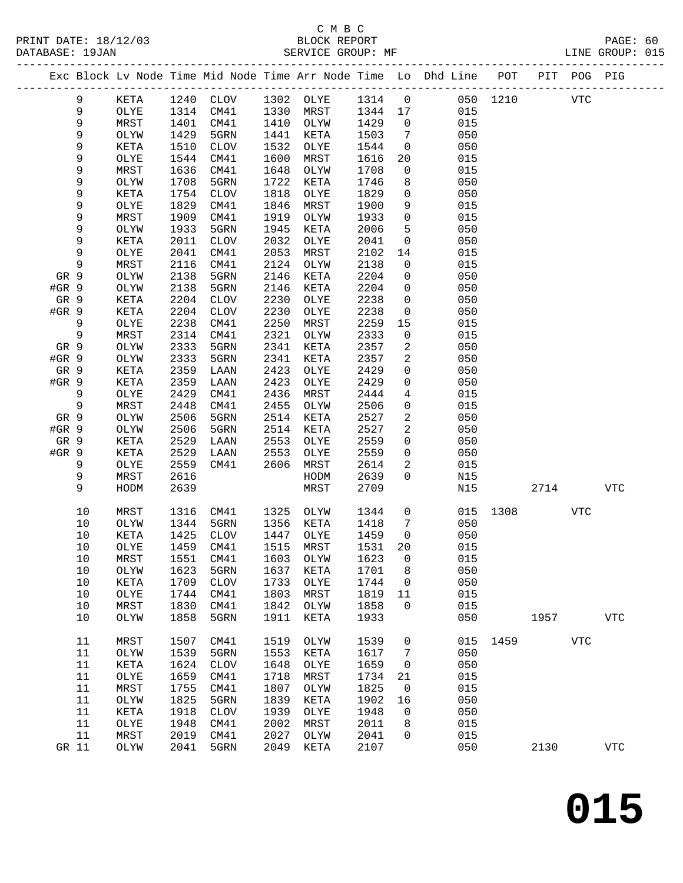### C M B C<br>BLOCK REPORT

| DATABASE: 19JAN |      |      |             |      | SERVICE GROUP: MF |         |                |                                                                                |          |     | LINE GROUP: 015 |  |
|-----------------|------|------|-------------|------|-------------------|---------|----------------|--------------------------------------------------------------------------------|----------|-----|-----------------|--|
|                 |      |      |             |      |                   |         |                | Exc Block Lv Node Time Mid Node Time Arr Node Time Lo Dhd Line POT PIT POG PIG |          |     |                 |  |
| 9               | KETA |      | 1240 CLOV   |      | 1302 OLYE         | 1314 0  |                |                                                                                | 050 1210 | VTC |                 |  |
| 9               | OLYE | 1314 | CM41        | 1330 | MRST              | 1344 17 |                | 015                                                                            |          |     |                 |  |
| 9               | MRST | 1401 | CM41        | 1410 | OLYW              | 1429    | $\overline{0}$ | 015                                                                            |          |     |                 |  |
| 9               | OLYW | 1429 | 5GRN        | 1441 | KETA              | 1503    | $\overline{7}$ | 050                                                                            |          |     |                 |  |
| 9               | KETA | 1510 | <b>CLOV</b> | 1532 | OLYE              | 1544    | $\overline{0}$ | 050                                                                            |          |     |                 |  |
| 9               | OLYE | 1544 | CM41        | 1600 | MRST              | 1616    | 20             | 015                                                                            |          |     |                 |  |
| 9               | MRST | 1636 | CM41        | 1648 | OLYW              | 1708    | $\overline{0}$ | 015                                                                            |          |     |                 |  |
| 9               | OLYW | 1708 | 5GRN        | 1722 | KETA              | 1746    | 8              | 050                                                                            |          |     |                 |  |
| 9               | KETA | 1754 | <b>CLOV</b> | 1818 | OLYE              | 1829    | $\overline{0}$ | 050                                                                            |          |     |                 |  |
| 9               | OLYE | 1829 | CM41        | 1846 | MRST              | 1900    | 9              | 015                                                                            |          |     |                 |  |
| 9               | MRST | 1909 | CM41        | 1919 | OLYW              | 1933    | $\overline{0}$ | 015                                                                            |          |     |                 |  |
| 9               | OLYW | 1933 | 5GRN        | 1945 | KETA              | 2006    | 5              | 050                                                                            |          |     |                 |  |
| 9               | KETA | 2011 | <b>CLOV</b> | 2032 | OLYE              | 2041    | $\Omega$       | 050                                                                            |          |     |                 |  |
| 9               | OLYE | 2041 | CM41        | 2053 | MRST              | 2102    | 14             | 015                                                                            |          |     |                 |  |
| 9               | MRST | 2116 | CM41        | 2124 | OLYW              | 2138    | $\overline{0}$ | 015                                                                            |          |     |                 |  |
| GR 9            | OLYW | 2138 | 5GRN        | 2146 | KETA              | 2204    | $\overline{0}$ | 050                                                                            |          |     |                 |  |
| #GR 9           | OLYW | 2138 | 5GRN        | 2146 | KETA              | 2204    | $\overline{0}$ | 050                                                                            |          |     |                 |  |
| GR 9            | KETA | 2204 | <b>CLOV</b> | 2230 | OLYE              | 2238    | $\overline{0}$ | 050                                                                            |          |     |                 |  |
| #GR 9           | KETA | 2204 | CLOV        | 2230 | OLYE              | 2238    | $\overline{0}$ | 050                                                                            |          |     |                 |  |
| 9               | OLYE | 2238 | CM41        | 2250 | MRST              | 2259    | 15             | 015                                                                            |          |     |                 |  |
| 9               | MRST | 2314 | CM41        | 2321 | OLYW              | 2333    | $\mathsf{O}$   | 015                                                                            |          |     |                 |  |
| GR 9            | OLYW | 2333 | 5GRN        | 2341 | <b>KETA</b>       | 2357    | 2              | 050                                                                            |          |     |                 |  |
| $#GR$ 9         | OLYW | 2333 | 5GRN        | 2341 | KETA              | 2357    | 2              | 050                                                                            |          |     |                 |  |
| GR 9            | KETA | 2359 | LAAN        | 2423 | OLYE              | 2429    | $\mathbf 0$    | 050                                                                            |          |     |                 |  |
| #GR 9           | KETA | 2359 | LAAN        | 2423 | OLYE              | 2429    | $\overline{0}$ | 050                                                                            |          |     |                 |  |
| 9               | OLYE | 2429 | CM41        | 2436 | MRST              | 2444    | $\overline{4}$ | 015                                                                            |          |     |                 |  |
| 9               | MRST | 2448 | CM41        | 2455 | OLYW              | 2506    | $\mathbf 0$    | 015                                                                            |          |     |                 |  |
| GR 9            | OLYW | 2506 | 5GRN        | 2514 | KETA              | 2527    | $\overline{2}$ | 050                                                                            |          |     |                 |  |
| #GR 9           | OLYW | 2506 | 5GRN        | 2514 | KETA              | 2527    | $\overline{a}$ | 050                                                                            |          |     |                 |  |
| GR 9            | KETA | 2529 | LAAN        | 2553 | OLYE              | 2559    | $\Omega$       | 050                                                                            |          |     |                 |  |
| $#GR$ 9         | KETA | 2529 | LAAN        | 2553 | OLYE              | 2559    | $\Omega$       | 050                                                                            |          |     |                 |  |

| エコループ | ᅭᅩᅭ ᆂ | ---  | ᆈᅎᅹᅚᅶᇻ      | 2333 | ݜ∸ﺴ  | ---  | ◡           | <b>v</b> J V |      |      |            |            |
|-------|-------|------|-------------|------|------|------|-------------|--------------|------|------|------------|------------|
| 9     | OLYE  | 2559 | CM41        | 2606 | MRST | 2614 | 2           | 015          |      |      |            |            |
| 9     | MRST  | 2616 |             |      | HODM | 2639 | $\Omega$    | N15          |      |      |            |            |
| 9     | HODM  | 2639 |             |      | MRST | 2709 |             | N15          |      | 2714 |            | <b>VTC</b> |
|       |       |      |             |      |      |      |             |              |      |      |            |            |
| 10    | MRST  | 1316 | CM41        | 1325 | OLYW | 1344 | $\Omega$    | 015          | 1308 |      | VTC        |            |
| 10    | OLYW  | 1344 | 5GRN        | 1356 | KETA | 1418 | 7           | 050          |      |      |            |            |
| 10    | KETA  | 1425 | <b>CLOV</b> | 1447 | OLYE | 1459 | $\mathbf 0$ | 050          |      |      |            |            |
| 10    | OLYE  | 1459 | CM41        | 1515 | MRST | 1531 | 20          | 015          |      |      |            |            |
| 10    | MRST  | 1551 | CM41        | 1603 | OLYW | 1623 | $\Omega$    | 015          |      |      |            |            |
| 10    | OLYW  | 1623 | 5GRN        | 1637 | KETA | 1701 | 8           | 050          |      |      |            |            |
| 10    | KETA  | 1709 | <b>CLOV</b> | 1733 | OLYE | 1744 | $\Omega$    | 050          |      |      |            |            |
| 10    | OLYE  | 1744 | CM41        | 1803 | MRST | 1819 | 11          | 015          |      |      |            |            |
| 10    | MRST  | 1830 | CM41        | 1842 | OLYW | 1858 | $\Omega$    | 015          |      |      |            |            |
| 10    | OLYW  | 1858 | 5GRN        | 1911 | KETA | 1933 |             | 050          |      | 1957 |            | VTC        |
|       |       |      |             |      |      |      |             |              |      |      |            |            |
| 11    | MRST  | 1507 | CM41        | 1519 | OLYW | 1539 | 0           | 015          | 1459 |      | <b>VTC</b> |            |
| 11    | OLYW  | 1539 | 5GRN        | 1553 | KETA | 1617 | 7           | 050          |      |      |            |            |
| 11    | KETA  | 1624 | <b>CLOV</b> | 1648 | OLYE | 1659 | $\mathbf 0$ | 050          |      |      |            |            |
| 11    | OLYE  | 1659 | CM41        | 1718 | MRST | 1734 | 21          | 015          |      |      |            |            |
| 11    | MRST  | 1755 | CM41        | 1807 | OLYW | 1825 | $\Omega$    | 015          |      |      |            |            |
| 11    | OLYW  | 1825 | 5GRN        | 1839 | KETA | 1902 | 16          | 050          |      |      |            |            |
| 11    | KETA  | 1918 | <b>CLOV</b> | 1939 | OLYE | 1948 | $\mathbf 0$ | 050          |      |      |            |            |
| 11    | OLYE  | 1948 | CM41        | 2002 | MRST | 2011 | 8           | 015          |      |      |            |            |
| 11    | MRST  | 2019 | CM41        | 2027 | OLYW | 2041 | $\Omega$    | 015          |      |      |            |            |
| GR 11 | OLYW  | 2041 | 5GRN        | 2049 | KETA | 2107 |             | 050          |      | 2130 |            | VTC        |
|       |       |      |             |      |      |      |             |              |      |      |            |            |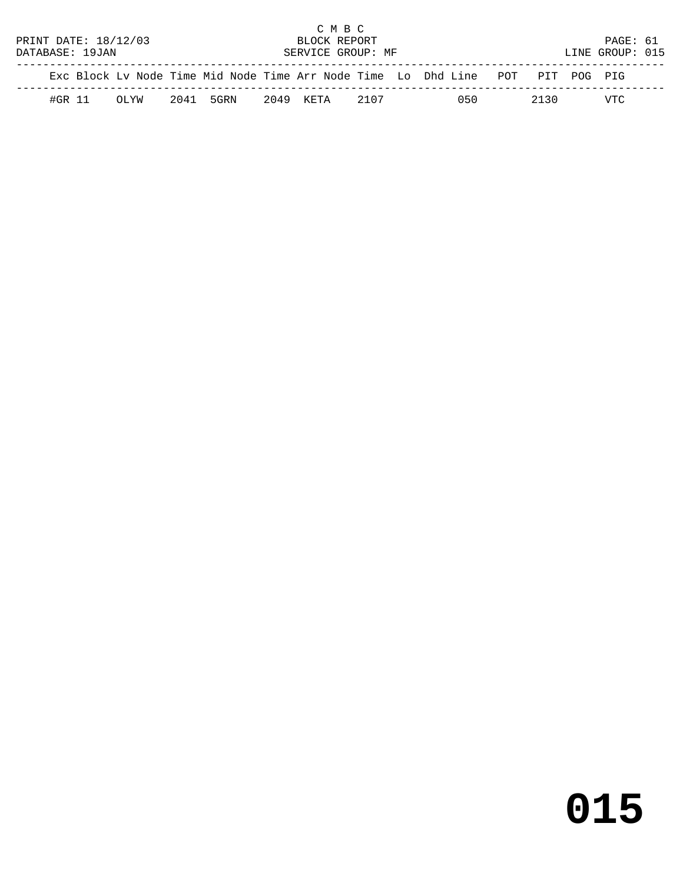|                      |        |       |           | C M B C           |      |                                                                                |      |                 |  |
|----------------------|--------|-------|-----------|-------------------|------|--------------------------------------------------------------------------------|------|-----------------|--|
| PRINT DATE: 18/12/03 |        |       |           | BLOCK REPORT      |      |                                                                                |      | PAGE: 61        |  |
| DATABASE: 19JAN      |        |       |           | SERVICE GROUP: MF |      |                                                                                |      | LINE GROUP: 015 |  |
|                      |        |       |           |                   |      | Exc Block Lv Node Time Mid Node Time Arr Node Time Lo Dhd Line POT PIT POG PIG |      |                 |  |
|                      | #GR 11 | MY TO | 2041 5GRN | 2049 КЕТА         | 2107 | 050                                                                            | 2130 | VTC             |  |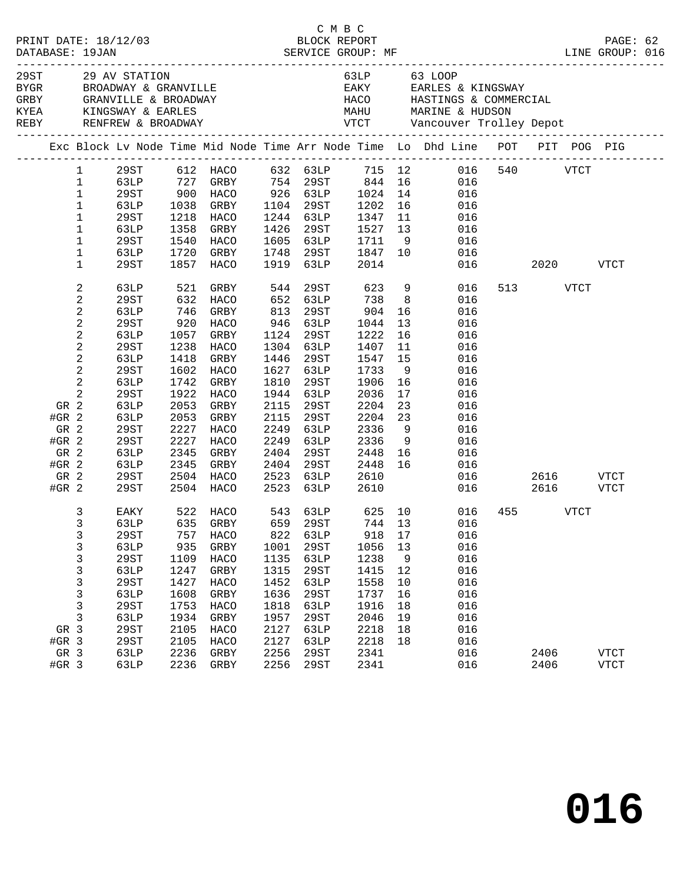|         |                |             |                     |                        |      |           |                                                                       |                |                                                                                                                                                                                          |                 |          | PAGE: 62<br>LINE GROUP: 016 |  |
|---------|----------------|-------------|---------------------|------------------------|------|-----------|-----------------------------------------------------------------------|----------------|------------------------------------------------------------------------------------------------------------------------------------------------------------------------------------------|-----------------|----------|-----------------------------|--|
|         |                |             |                     |                        |      |           |                                                                       |                | GRBY GRANVILLE & DROGENII<br>KYEA KINGSWAY & EARLES MAHU MARINE & HUDSON<br>REBY RENFREW & BROADWAY VTCT Vancouver Trolley Depot<br>AEBY RENFREW & BROADWAY VTCT Vancouver Trolley Depot |                 |          |                             |  |
|         |                |             |                     |                        |      |           |                                                                       |                | Exc Block Lv Node Time Mid Node Time Arr Node Time Lo Dhd Line POT PIT POG PIG                                                                                                           |                 |          |                             |  |
|         | $\mathbf{1}$   |             |                     |                        |      |           |                                                                       |                |                                                                                                                                                                                          |                 |          |                             |  |
|         | $\mathbf 1$    |             |                     |                        |      |           |                                                                       |                |                                                                                                                                                                                          |                 |          |                             |  |
|         | $\mathbf{1}$   |             |                     |                        |      |           |                                                                       |                |                                                                                                                                                                                          |                 |          |                             |  |
|         | $\mathbf 1$    | 63LP        | 1038                | GRBY 1104 29ST 1202 16 |      |           |                                                                       |                | 016                                                                                                                                                                                      |                 |          |                             |  |
|         | $\mathbf 1$    | 29ST        | 1218                | HACO                   |      | 1244 63LP | 1347<br>1244 63LP 1347 11<br>1426 29ST 1527 13<br>1605 63LP 1711 9    |                | 016                                                                                                                                                                                      |                 |          |                             |  |
|         | $\mathbf 1$    | 63LP        | 1358                | GRBY                   | 1426 |           |                                                                       |                | 016                                                                                                                                                                                      |                 |          |                             |  |
|         | 1              | 29ST        | 1540                | HACO                   |      |           |                                                                       |                | 016                                                                                                                                                                                      |                 |          |                             |  |
|         | $\mathbf 1$    | 63LP        | 1720                | GRBY                   | 1748 |           | 29ST 1847 10                                                          |                | 016                                                                                                                                                                                      |                 |          |                             |  |
|         | $\mathbf 1$    | 29ST        | 1857                | HACO                   | 1919 | 63LP      | 2014                                                                  |                |                                                                                                                                                                                          | 016             | 2020 70  | <b>VTCT</b>                 |  |
|         | $\overline{a}$ | 63LP        | 521                 | GRBY                   | 544  | 29ST      |                                                                       |                | 623 9<br>016                                                                                                                                                                             |                 | 513 VTCT |                             |  |
|         | $\overline{a}$ | 29ST        | 632                 | HACO                   |      | 652 63LP  | 738                                                                   | 8 <sup>8</sup> | 016                                                                                                                                                                                      |                 |          |                             |  |
|         | $\overline{a}$ | 63LP        | 746                 | GRBY                   | 813  | 29ST      | 904                                                                   | 16             | 016                                                                                                                                                                                      |                 |          |                             |  |
|         | $\overline{c}$ | 29ST        |                     | HACO                   |      | 946 63LP  | 1044                                                                  | 13             | 016                                                                                                                                                                                      |                 |          |                             |  |
|         | $\overline{c}$ | 63LP        | 920<br>1057<br>1057 | GRBY                   | 1124 | 29ST      | 1222                                                                  | 16             | 016                                                                                                                                                                                      |                 |          |                             |  |
|         | 2              | 29ST        | 1238                | HACO                   |      | 1304 63LP | 1407                                                                  | 11             | 016                                                                                                                                                                                      |                 |          |                             |  |
|         | $\overline{a}$ | 63LP        | 1418                | GRBY                   | 1446 | 29ST      | 1547                                                                  | 15             | 016                                                                                                                                                                                      |                 |          |                             |  |
|         | $\overline{c}$ | 29ST        | 1602                | HACO                   | 1627 | 63LP      | 1733                                                                  | 9              | 016                                                                                                                                                                                      |                 |          |                             |  |
|         | $\overline{a}$ | 63LP        | 1742                | GRBY                   | 1810 | 29ST      | 1906                                                                  | 16             | 016                                                                                                                                                                                      |                 |          |                             |  |
|         | $\overline{a}$ | 29ST        | 1922                | HACO                   | 1944 | 63LP      | 2036                                                                  | 17             | 016                                                                                                                                                                                      |                 |          |                             |  |
| GR 2    |                | 63LP        | 2053                | GRBY                   | 2115 | 29ST      | 2204                                                                  | 23             | 016                                                                                                                                                                                      |                 |          |                             |  |
| $#GR$ 2 |                | 63LP        | 2053                | GRBY                   | 2115 | 29ST      | 2204                                                                  | 23             | 016                                                                                                                                                                                      |                 |          |                             |  |
| GR 2    |                | 29ST        | 2227                | HACO                   | 2249 | 63LP      | 2336                                                                  | 9              | 016                                                                                                                                                                                      |                 |          |                             |  |
| $#GR$ 2 |                | 29ST        | 2227                | HACO                   | 2249 | 63LP      | 2336                                                                  | 9              | 016                                                                                                                                                                                      |                 |          |                             |  |
| GR 2    |                | 63LP        | 2345                | GRBY                   | 2404 | 29ST      | 2448 16                                                               |                | 016                                                                                                                                                                                      |                 |          |                             |  |
| $#GR$ 2 |                | 63LP        | 2345                | GRBY                   | 2404 | 29ST      | 2448                                                                  | 16             | 016                                                                                                                                                                                      |                 |          |                             |  |
| GR 2    |                | 29ST        | 2504                | HACO                   |      |           | 29ST 2448<br>63LP 2610                                                |                |                                                                                                                                                                                          | 016  2616  VTCT |          |                             |  |
|         |                |             |                     |                        | 2523 | 63LP      |                                                                       |                |                                                                                                                                                                                          | 016             | 2616     |                             |  |
| $#GR$ 2 |                | 29ST        |                     | 2504 HACO              | 2523 |           | 2610                                                                  |                |                                                                                                                                                                                          |                 |          | VTCT                        |  |
|         | 3              | EAKY        | 522                 | HACO                   |      |           | 543    63LP             625    10<br>659    29ST            744    13 |                | 016                                                                                                                                                                                      |                 | 455 VTCT |                             |  |
|         | $\mathsf{3}$   | 63LP        |                     | 635 GRBY               |      |           |                                                                       |                | 016                                                                                                                                                                                      |                 |          |                             |  |
|         | 3              | 29ST        |                     |                        |      |           |                                                                       |                | 757 HACO 822 63LP 918 17 016                                                                                                                                                             |                 |          |                             |  |
|         | 3              | 63LP        | 935                 | GRBY                   | 1001 | 29ST      | 1056 13                                                               |                | 016                                                                                                                                                                                      |                 |          |                             |  |
|         | 3              | 29ST        | 1109                | HACO                   | 1135 | 63LP      | 1238                                                                  | 9              | 016                                                                                                                                                                                      |                 |          |                             |  |
|         | 3              | 63LP        | 1247                | GRBY                   | 1315 | 29ST      | 1415                                                                  | 12             | 016                                                                                                                                                                                      |                 |          |                             |  |
|         | 3              | 29ST        | 1427                | HACO                   | 1452 | 63LP      | 1558                                                                  | 10             | 016                                                                                                                                                                                      |                 |          |                             |  |
|         | 3              | 63LP        | 1608                | GRBY                   | 1636 | 29ST      | 1737                                                                  | 16             | 016                                                                                                                                                                                      |                 |          |                             |  |
|         | 3              | <b>29ST</b> | 1753                | HACO                   | 1818 | 63LP      | 1916                                                                  | 18             | 016                                                                                                                                                                                      |                 |          |                             |  |
|         | 3              | 63LP        | 1934                | GRBY                   | 1957 | 29ST      | 2046                                                                  | 19             | 016                                                                                                                                                                                      |                 |          |                             |  |
| GR 3    |                | 29ST        | 2105                | HACO                   | 2127 | 63LP      | 2218                                                                  | 18             | 016                                                                                                                                                                                      |                 |          |                             |  |
| $#GR$ 3 |                | 29ST        | 2105                | HACO                   | 2127 | 63LP      | 2218                                                                  | 18             | 016                                                                                                                                                                                      |                 |          |                             |  |
| GR 3    |                | 63LP        | 2236                | GRBY                   | 2256 | 29ST      | 2341                                                                  |                | 016                                                                                                                                                                                      |                 | 2406     | <b>VTCT</b>                 |  |
| #GR 3   |                | 63LP        | 2236                | GRBY                   | 2256 | 29ST      | 2341                                                                  |                | 016                                                                                                                                                                                      |                 | 2406     | <b>VTCT</b>                 |  |
|         |                |             |                     |                        |      |           |                                                                       |                |                                                                                                                                                                                          |                 |          |                             |  |

C M B C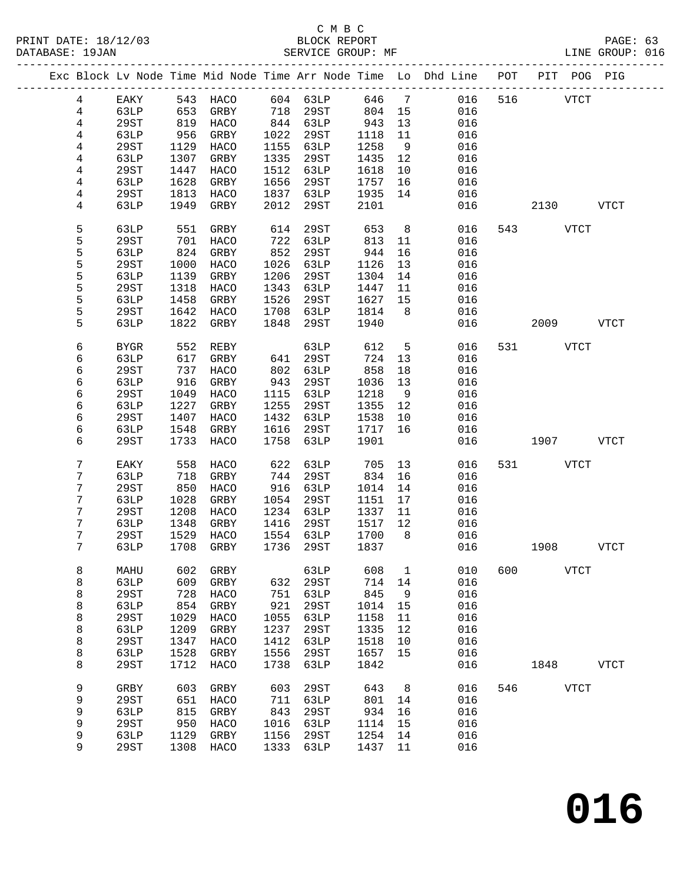#### C M B C<br>BLOCK REPORT SERVICE GROUP: MF

|  |                 |             |      | Exc Block Lv Node Time Mid Node Time Arr Node Time Lo Dhd Line POT PIT POG PIG |      |          |       |                |     |            |           |             |             |
|--|-----------------|-------------|------|--------------------------------------------------------------------------------|------|----------|-------|----------------|-----|------------|-----------|-------------|-------------|
|  | $4\overline{ }$ | EAKY        |      | 543 HACO                                                                       |      | 604 63LP | 646 7 |                |     | 016<br>516 |           | <b>VTCT</b> |             |
|  | $\overline{4}$  | 63LP        | 653  | GRBY                                                                           | 718  | 29ST     | 804   | 15             | 016 |            |           |             |             |
|  | $\overline{4}$  | 29ST        | 819  | HACO                                                                           |      | 844 63LP | 943   | 13             | 016 |            |           |             |             |
|  | 4               | 63LP        | 956  | GRBY                                                                           | 1022 | 29ST     | 1118  | 11             | 016 |            |           |             |             |
|  | 4               | 29ST        | 1129 | HACO                                                                           | 1155 | 63LP     | 1258  | 9              | 016 |            |           |             |             |
|  | 4               | 63LP        | 1307 | GRBY                                                                           | 1335 | 29ST     | 1435  | 12             | 016 |            |           |             |             |
|  | $\overline{4}$  | <b>29ST</b> | 1447 | HACO                                                                           | 1512 | 63LP     | 1618  | 10             | 016 |            |           |             |             |
|  |                 |             | 1628 |                                                                                | 1656 | 29ST     | 1757  |                | 016 |            |           |             |             |
|  | 4               | 63LP        |      | GRBY                                                                           |      |          |       | 16             |     |            |           |             |             |
|  | 4               | 29ST        | 1813 | HACO                                                                           | 1837 | 63LP     | 1935  | 14             | 016 |            |           |             |             |
|  | 4               | 63LP        | 1949 | GRBY                                                                           | 2012 | 29ST     | 2101  |                | 016 |            | 2130      |             | VTCT        |
|  | 5               | 63LP        | 551  | GRBY                                                                           | 614  | 29ST     | 653   | 8 <sup>8</sup> | 016 | 543        |           | VTCT        |             |
|  | 5               | 29ST        | 701  | HACO                                                                           | 722  | 63LP     | 813   | 11             | 016 |            |           |             |             |
|  | 5               | 63LP        | 824  | GRBY                                                                           | 852  | 29ST     | 944   | 16             | 016 |            |           |             |             |
|  | 5               | <b>29ST</b> | 1000 | HACO                                                                           | 1026 | 63LP     | 1126  | 13             | 016 |            |           |             |             |
|  | 5               | 63LP        | 1139 | GRBY                                                                           | 1206 | 29ST     | 1304  | 14             | 016 |            |           |             |             |
|  | 5               | 29ST        | 1318 | HACO                                                                           | 1343 | 63LP     | 1447  | 11             | 016 |            |           |             |             |
|  | 5               | 63LP        | 1458 | GRBY                                                                           | 1526 | 29ST     | 1627  | 15             | 016 |            |           |             |             |
|  | 5               | 29ST        | 1642 | HACO                                                                           | 1708 | 63LP     | 1814  | 8 <sup>8</sup> | 016 |            |           |             |             |
|  | 5               | 63LP        | 1822 | GRBY                                                                           | 1848 | 29ST     | 1940  |                | 016 |            | 2009      |             | VTCT        |
|  | 6               | <b>BYGR</b> | 552  | REBY                                                                           |      | 63LP     | 612   | 5              | 016 |            | 531 VTCT  |             |             |
|  | 6               | 63LP        | 617  | GRBY                                                                           | 641  | 29ST     | 724   | 13             | 016 |            |           |             |             |
|  | 6               | 29ST        | 737  | HACO                                                                           | 802  | 63LP     | 858   |                | 016 |            |           |             |             |
|  |                 |             |      |                                                                                |      |          |       | 18             |     |            |           |             |             |
|  | 6               | 63LP        | 916  | GRBY                                                                           | 943  | 29ST     | 1036  | 13             | 016 |            |           |             |             |
|  | 6               | 29ST        | 1049 | HACO                                                                           | 1115 | 63LP     | 1218  | 9              | 016 |            |           |             |             |
|  | 6               | 63LP        | 1227 | GRBY                                                                           | 1255 | 29ST     | 1355  | 12             | 016 |            |           |             |             |
|  | 6               | <b>29ST</b> | 1407 | HACO                                                                           | 1432 | 63LP     | 1538  | 10             | 016 |            |           |             |             |
|  | 6               | 63LP        | 1548 | GRBY                                                                           | 1616 | 29ST     | 1717  | 16             | 016 |            |           |             |             |
|  | 6               | 29ST        | 1733 | HACO                                                                           | 1758 | 63LP     | 1901  |                | 016 |            | 1907 VTCT |             |             |
|  | 7               | EAKY        | 558  | HACO                                                                           | 622  | 63LP     | 705   | 13             | 016 |            | 531 VTCT  |             |             |
|  | 7               | 63LP        | 718  | GRBY                                                                           | 744  | 29ST     | 834   | 16             | 016 |            |           |             |             |
|  | 7               | 29ST        | 850  | HACO                                                                           | 916  | 63LP     | 1014  | 14             | 016 |            |           |             |             |
|  | 7               | 63LP        | 1028 | GRBY                                                                           | 1054 | 29ST     | 1151  | 17             | 016 |            |           |             |             |
|  | 7               | 29ST        | 1208 | HACO                                                                           | 1234 | 63LP     | 1337  | 11             | 016 |            |           |             |             |
|  | 7               | 63LP        | 1348 | GRBY                                                                           | 1416 | 29ST     | 1517  | 12             | 016 |            |           |             |             |
|  | 7               | 29ST        | 1529 | HACO                                                                           | 1554 | 63LP     | 1700  | 8 <sup>8</sup> | 016 |            |           |             |             |
|  | 7               | 63LP        | 1708 | GRBY                                                                           | 1736 | 29ST     | 1837  |                | 016 |            | 1908      |             | VTCT        |
|  |                 |             |      |                                                                                |      |          |       |                |     |            |           |             |             |
|  | 8               | MAHU        | 602  | GRBY                                                                           |      | 63LP     | 608   | 1              | 010 | 600        |           | <b>VTCT</b> |             |
|  | 8               | 63LP        | 609  | GRBY                                                                           | 632  | 29ST     | 714   | 14             | 016 |            |           |             |             |
|  | 8               | 29ST        | 728  | HACO                                                                           | 751  | 63LP     | 845   | 9              | 016 |            |           |             |             |
|  | 8               | 63LP        | 854  | GRBY                                                                           | 921  | 29ST     | 1014  | 15             | 016 |            |           |             |             |
|  | 8               | <b>29ST</b> | 1029 | HACO                                                                           | 1055 | 63LP     | 1158  | 11             | 016 |            |           |             |             |
|  | 8               | 63LP        | 1209 | GRBY                                                                           | 1237 | 29ST     | 1335  | 12             | 016 |            |           |             |             |
|  | 8               | <b>29ST</b> | 1347 | HACO                                                                           | 1412 | 63LP     | 1518  | 10             | 016 |            |           |             |             |
|  | 8               | 63LP        | 1528 | ${\tt GRBY}$                                                                   | 1556 | 29ST     | 1657  | 15             | 016 |            |           |             |             |
|  | 8               | 29ST        | 1712 | HACO                                                                           | 1738 | 63LP     | 1842  |                | 016 |            | 1848      |             | <b>VTCT</b> |
|  | 9               | GRBY        | 603  | GRBY                                                                           | 603  | 29ST     | 643   | 8              | 016 | 546        |           | <b>VTCT</b> |             |
|  | 9               | <b>29ST</b> | 651  | HACO                                                                           | 711  | 63LP     | 801   | 14             | 016 |            |           |             |             |
|  | 9               | <b>63LP</b> | 815  | GRBY                                                                           | 843  | 29ST     | 934   | 16             | 016 |            |           |             |             |
|  | 9               | <b>29ST</b> | 950  | HACO                                                                           | 1016 | 63LP     | 1114  | 15             | 016 |            |           |             |             |
|  | 9               | 63LP        | 1129 | GRBY                                                                           | 1156 | 29ST     | 1254  | 14             | 016 |            |           |             |             |
|  | 9               | <b>29ST</b> | 1308 | HACO                                                                           | 1333 | 63LP     | 1437  | 11             | 016 |            |           |             |             |
|  |                 |             |      |                                                                                |      |          |       |                |     |            |           |             |             |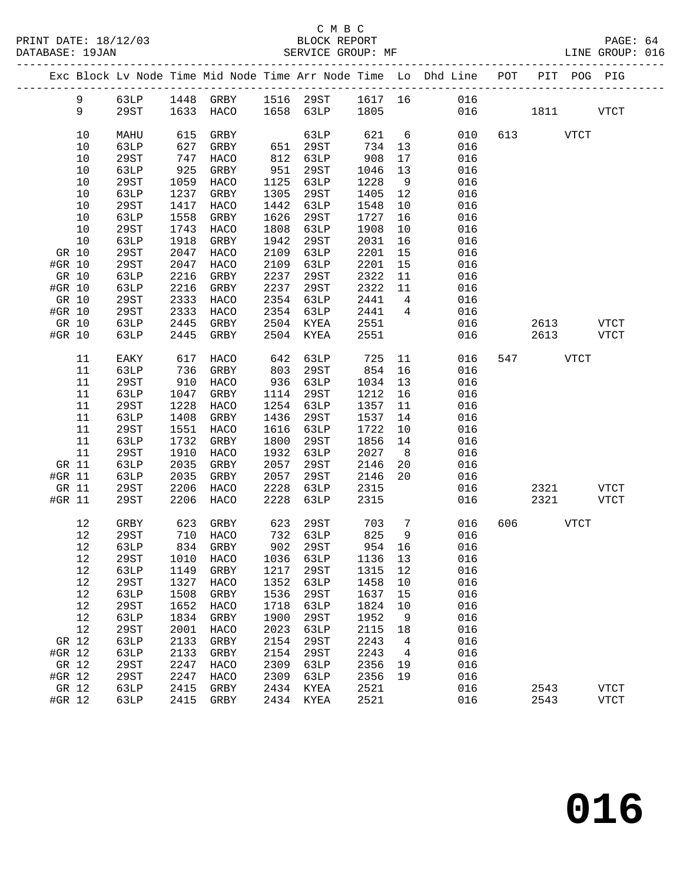|                 |       |              |              |                      |              |                        |                 |                 | Exc Block Lv Node Time Mid Node Time Arr Node Time Lo Dhd Line POT PIT POG PIG |     |              |                             |
|-----------------|-------|--------------|--------------|----------------------|--------------|------------------------|-----------------|-----------------|--------------------------------------------------------------------------------|-----|--------------|-----------------------------|
|                 | 9     |              |              |                      |              |                        |                 |                 | 63LP 1448 GRBY 1516 29ST 1617 16 016                                           |     |              |                             |
|                 | 9     | 29ST         |              | 1633 HACO            |              | $1658$ 63LP $1805$     |                 |                 |                                                                                | 016 | 1811         | <b>VTCT</b>                 |
|                 |       |              |              |                      |              |                        |                 |                 |                                                                                |     |              |                             |
|                 | 10    | MAHU         | 615          | GRBY                 |              | 63LP                   | 621             | $6\overline{6}$ | 010                                                                            |     | 613 VTCT     |                             |
|                 | 10    | 63LP         | 627          | GRBY                 |              | 651 29ST<br>812 63LP   | 734 13          |                 | 016                                                                            |     |              |                             |
|                 | $10$  | 29ST         | 747          | HACO                 |              |                        | 908             | 17              | 016                                                                            |     |              |                             |
|                 | 10    | 63LP         | 925          | GRBY                 | 951          | 29ST                   | 1046            | 13              | 016                                                                            |     |              |                             |
|                 | 10    | 29ST         | 1059         | HACO                 |              | 1125 63LP              | 1228            | 9               | 016                                                                            |     |              |                             |
|                 | 10    | 63LP         | 1237         | GRBY                 | 1305         | 29ST                   | 1405            | 12              | 016                                                                            |     |              |                             |
|                 | 10    | 29ST         | 1417         | HACO                 | 1442         | 63LP                   | 1548            | 10              | 016                                                                            |     |              |                             |
|                 | 10    | 63LP         | 1558         | GRBY                 | 1626         | 29ST                   | 1727            | 16              | 016                                                                            |     |              |                             |
|                 | 10    | 29ST         | 1743         | HACO                 | 1808         | 63LP                   | 1908            | 10              | 016                                                                            |     |              |                             |
|                 | 10    | 63LP         | 1918         | GRBY                 | 1942         | 29ST                   | 2031            | 16              | 016                                                                            |     |              |                             |
| GR 10           |       | 29ST         | 2047         | HACO                 | 2109         | 63LP                   | 2201            | 15              | 016                                                                            |     |              |                             |
| #GR 10          |       | 29ST         | 2047         | HACO<br>GRBY         | 2109<br>2237 | 63LP                   | 2201<br>2322    | 15              | 016<br>016                                                                     |     |              |                             |
| GR 10<br>#GR 10 |       | 63LP<br>63LP | 2216<br>2216 | GRBY                 | 2237         | 29ST<br>29ST           | 2322            | 11<br>11        | 016                                                                            |     |              |                             |
| GR 10           |       | 29ST         | 2333         | HACO                 |              | 2354 63LP              | 2441            | $\overline{4}$  | 016                                                                            |     |              |                             |
| #GR 10          |       | 29ST         | 2333         | HACO                 | 2354         | 63LP                   | 2441            | $\overline{4}$  | 016                                                                            |     |              |                             |
| GR 10           |       | 63LP         | 2445         | GRBY                 | 2504         | KYEA 2551              |                 |                 | 016                                                                            |     | 2613         | VTCT                        |
| #GR 10          |       | 63LP         | 2445         | GRBY                 |              | 2504 KYEA              | 2551            |                 | 016 01                                                                         |     | 2613         | VTCT                        |
|                 |       |              |              |                      |              |                        |                 |                 |                                                                                |     |              |                             |
|                 | 11    | EAKY         | 617          | HACO                 | 642          | 63LP                   | 725             | 11              | 016                                                                            |     | 547 VTCT     |                             |
|                 | 11    | 63LP         | 736          | GRBY                 | 803          | 29ST                   | 854             | 16              | 016                                                                            |     |              |                             |
|                 | 11    | 29ST         | 910          | HACO                 | 936          | 63LP                   | 1034            | 13              | 016                                                                            |     |              |                             |
|                 | 11    | 63LP         | 1047         | GRBY                 | 1114         | 29ST                   | 1212 16         |                 | 016                                                                            |     |              |                             |
|                 | 11    | 29ST         | 1228         | HACO                 | 1254         | 63LP                   | 1357            | 11              | 016                                                                            |     |              |                             |
|                 | 11    | 63LP         | 1408         | GRBY                 | 1436         | 29ST                   | 1537            | 14              | 016                                                                            |     |              |                             |
|                 | 11    | 29ST         | 1551         | HACO                 | 1616         | 63LP                   | 1722            | 10              | 016                                                                            |     |              |                             |
|                 | 11    | 63LP         | 1732         | GRBY                 | 1800         | 29ST                   | 1856            | 14              | 016                                                                            |     |              |                             |
|                 | 11    | 29ST         | 1910         | HACO                 | 1932         | 63LP                   | 2027            | 8 <sup>8</sup>  | 016                                                                            |     |              |                             |
|                 | GR 11 | 63LP         | 2035         | GRBY                 | 2057         | 29ST                   | 2146            | 20              | 016                                                                            |     |              |                             |
| #GR 11          |       | 63LP         | 2035         | GRBY                 | 2057         | 29ST                   | 2146            | 20              | 016<br>016                                                                     |     |              |                             |
| #GR 11          | GR 11 | 29ST<br>29ST | 2206<br>2206 | HACO<br>HACO         | 2228<br>2228 | 63LP<br>63LP           | 2315<br>2315    |                 | 016                                                                            |     | 2321<br>2321 | VTCT<br><b>VTCT</b>         |
|                 |       |              |              |                      |              |                        |                 |                 |                                                                                |     |              |                             |
|                 | 12    | GRBY         | 623          | GRBY                 | 623          | 29ST                   | 703             | $7\overline{ }$ | 016                                                                            | 606 | <b>VTCT</b>  |                             |
|                 | 12    | 29ST         |              |                      |              | $732$ 63LP<br>902 2005 | $825$<br>954 16 |                 | 016                                                                            |     |              |                             |
|                 | 12    | 63LP         |              | 710 HACO<br>834 GRBY |              |                        |                 |                 | 016                                                                            |     |              |                             |
|                 | 12    | 29ST         |              |                      |              |                        |                 |                 | 1010 HACO 1036 63LP 1136 13 016                                                |     |              |                             |
|                 | 12    | 63LP         | 1149         | GRBY                 | 1217         | 29ST                   | 1315            | 12              | 016                                                                            |     |              |                             |
|                 | 12    | 29ST         | 1327         | HACO                 | 1352         | 63LP                   | 1458            | 10              | 016                                                                            |     |              |                             |
|                 | 12    | 63LP         | 1508         | GRBY                 | 1536         | 29ST                   | 1637            | 15              | 016                                                                            |     |              |                             |
|                 | 12    | 29ST         | 1652         | HACO                 | 1718         | 63LP                   | 1824            | 10              | 016                                                                            |     |              |                             |
|                 | 12    | 63LP         | 1834         | GRBY                 | 1900         | 29ST                   | 1952            | 9               | 016                                                                            |     |              |                             |
|                 | 12    | <b>29ST</b>  | 2001         | HACO                 | 2023         | 63LP                   | 2115            | 18              | 016                                                                            |     |              |                             |
| GR 12           |       | 63LP         | 2133         | GRBY                 | 2154         | 29ST                   | 2243            | $\overline{4}$  | 016                                                                            |     |              |                             |
| #GR 12          |       | 63LP         | 2133         | GRBY                 | 2154         | 29ST                   | 2243            | $\overline{4}$  | 016                                                                            |     |              |                             |
| GR 12           |       | 29ST         | 2247         | HACO                 | 2309         | 63LP                   | 2356            | 19              | 016                                                                            |     |              |                             |
| #GR 12<br>GR 12 |       | 29ST         | 2247<br>2415 | HACO                 | 2309         | 63LP                   | 2356<br>2521    | 19              | 016<br>016                                                                     |     |              |                             |
| #GR 12          |       | 63LP<br>63LP | 2415         | GRBY<br>GRBY         | 2434<br>2434 | KYEA<br>KYEA           | 2521            |                 | 016                                                                            |     | 2543<br>2543 | <b>VTCT</b><br>${\tt VTCT}$ |
|                 |       |              |              |                      |              |                        |                 |                 |                                                                                |     |              |                             |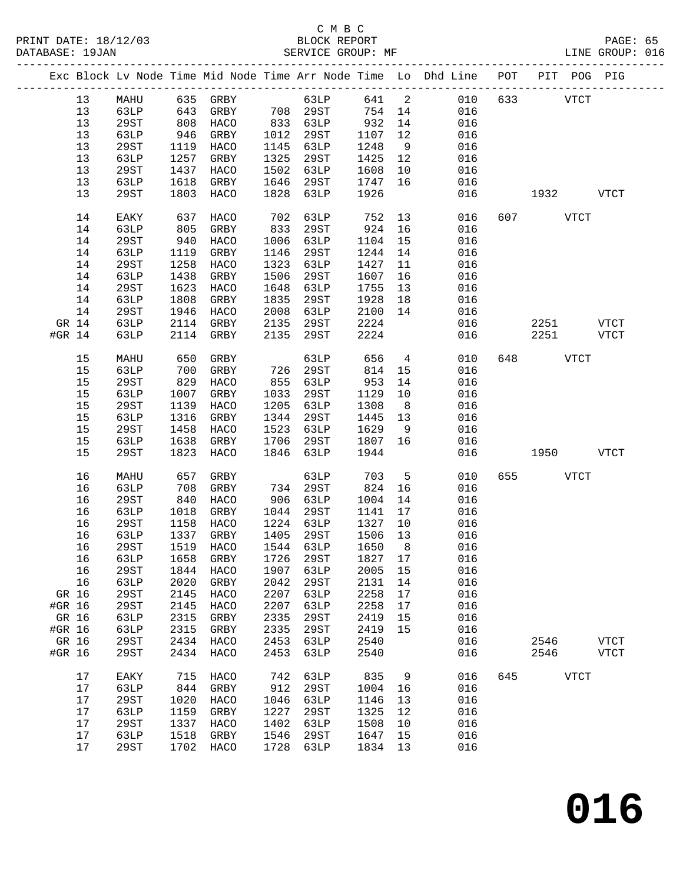### C M B C<br>
PRINT DATE: 18/12/03 BLOCK REPOR

|        | DATABASE: 19JAN |             |      | SERVICE GROUP: MF        |      |                      |         |                | LINE GROUP: 016                                                                |              |             |              |  |
|--------|-----------------|-------------|------|--------------------------|------|----------------------|---------|----------------|--------------------------------------------------------------------------------|--------------|-------------|--------------|--|
|        |                 |             |      |                          |      |                      |         |                | Exc Block Lv Node Time Mid Node Time Arr Node Time Lo Dhd Line POT PIT POG PIG |              |             |              |  |
|        | 13              |             |      | MAHU 635 GRBY 63LP 641 2 |      |                      |         |                |                                                                                | 010 633 VTCT |             |              |  |
|        | 13              | 63LP        | 643  |                          |      | GRBY 708 29ST 754 14 |         |                | 016                                                                            |              |             |              |  |
|        | 13              | 29ST        | 808  | HACO                     |      | 833 63LP             | 932     | 14             | 016                                                                            |              |             |              |  |
|        | 13              | 63LP        | 946  | GRBY                     |      | 1012 29ST            | 1107    | 12             | 016                                                                            |              |             |              |  |
|        | 13              | 29ST        | 1119 | HACO                     |      | 1145 63LP            | 1248    | 9              | 016                                                                            |              |             |              |  |
|        | 13              | 63LP        | 1257 | GRBY                     | 1325 | 29ST                 | 1425    | 12             | 016                                                                            |              |             |              |  |
|        | 13              | 29ST        | 1437 | HACO                     | 1502 | 63LP                 | 1608    | 10             | 016                                                                            |              |             |              |  |
|        | 13              | 63LP        | 1618 | GRBY                     | 1646 | 29ST                 | 1747    | 16             | 016                                                                            |              |             |              |  |
|        | 13              | 29ST        | 1803 | HACO                     | 1828 | 63LP                 | 1926    |                | 016                                                                            |              | 1932        | <b>VTCT</b>  |  |
|        | 14              | EAKY        | 637  | HACO                     | 702  | 63LP                 | 752     | 13             | 016                                                                            | 607 VTCT     |             |              |  |
|        | 14              | 63LP        | 805  | GRBY                     | 833  | 29ST                 | 924     | 16             | 016                                                                            |              |             |              |  |
|        | 14              | 29ST        | 940  | HACO                     | 1006 | 63LP                 | 1104    | 15             | 016                                                                            |              |             |              |  |
|        | 14              | 63LP        | 1119 | GRBY                     | 1146 | 29ST                 | 1244    | 14             | 016                                                                            |              |             |              |  |
|        | 14              | 29ST        | 1258 | HACO                     | 1323 | 63LP                 | 1427    | 11             | 016                                                                            |              |             |              |  |
|        | 14              | 63LP        | 1438 | GRBY                     | 1506 | 29ST                 | 1607    | 16             | 016                                                                            |              |             |              |  |
|        | 14              | 29ST        | 1623 | HACO                     | 1648 | 63LP                 | 1755    | 13             | 016                                                                            |              |             |              |  |
|        | 14              | 63LP        | 1808 | GRBY                     | 1835 | 29ST                 | 1928    | 18             | 016                                                                            |              |             |              |  |
|        | 14              | 29ST        | 1946 | HACO                     | 2008 | 63LP                 | 2100    | 14             | 016                                                                            |              |             |              |  |
| GR 14  |                 | 63LP        | 2114 | GRBY                     | 2135 | 29ST                 | 2224    |                | 016                                                                            |              | 2251 VTCT   |              |  |
| #GR 14 |                 | 63LP        |      | 2114 GRBY                | 2135 | 29ST                 | 2224    |                | 016                                                                            | 2251         |             | VTCT         |  |
|        | 15              | MAHU        | 650  | GRBY                     |      | 63LP                 | 656     | $\overline{4}$ | 010                                                                            | 648 — 10     | <b>VTCT</b> |              |  |
|        | 15              | 63LP        | 700  | GRBY                     | 726  | 29ST                 | 814     | 15             | 016                                                                            |              |             |              |  |
|        | 15              | 29ST        | 829  | HACO                     | 855  | 63LP                 | 953     | 14             | 016                                                                            |              |             |              |  |
|        | 15              | 63LP        | 1007 | GRBY                     | 1033 | 29ST                 | 1129    | 10             | 016                                                                            |              |             |              |  |
|        | 15              | 29ST        | 1139 | HACO                     | 1205 | 63LP                 | 1308    | 8 <sup>8</sup> | 016                                                                            |              |             |              |  |
|        | 15              | 63LP        | 1316 | GRBY                     | 1344 | 29ST                 | 1445    | 13             | 016                                                                            |              |             |              |  |
|        | 15              | 29ST        | 1458 | HACO                     | 1523 | 63LP                 | 1629    | 9              | 016                                                                            |              |             |              |  |
|        | 15              | 63LP        | 1638 | GRBY                     | 1706 | 29ST                 | 1807    | 16             | 016                                                                            |              |             |              |  |
|        | 15              | 29ST        | 1823 | HACO                     | 1846 | 63LP                 | 1944    |                | 016                                                                            | 1950 70      |             | <b>VTCT</b>  |  |
|        | 16              | MAHU        | 657  | GRBY                     |      | 63LP                 | 703     | $5^{\circ}$    | 010                                                                            | 655 700      | VTCT        |              |  |
|        | 16              | 63LP        | 708  | GRBY                     |      | 734 29ST             | 824     | 16             | 016                                                                            |              |             |              |  |
|        | 16              | 29ST        | 840  | HACO                     |      | 906 63LP             | 1004    | 14             | 016                                                                            |              |             |              |  |
|        | 16              | 63LP        | 1018 | GRBY                     | 1044 | 29ST                 | 1141    | 17             | 016                                                                            |              |             |              |  |
|        | 16              | 29ST        | 1158 | HACO                     |      | 1224 63LP            | 1327    | 10             | 016                                                                            |              |             |              |  |
|        | 16              | 63LP        |      | 1337 GRBY                |      | 1405 29ST            | 1506 13 |                | 016                                                                            |              |             |              |  |
|        | 16              | 29ST        |      |                          |      |                      |         |                | 1519 HACO 1544 63LP 1650 8 016                                                 |              |             |              |  |
|        | 16              | 63LP        | 1658 | GRBY                     | 1726 | 29ST                 | 1827 17 |                | 016                                                                            |              |             |              |  |
|        | 16              | 29ST        | 1844 | HACO                     | 1907 | 63LP                 | 2005    | 15             | 016                                                                            |              |             |              |  |
|        | 16              | 63LP        | 2020 | GRBY                     | 2042 | 29ST                 | 2131    | 14             | 016                                                                            |              |             |              |  |
| GR 16  |                 | <b>29ST</b> | 2145 | HACO                     | 2207 | 63LP                 | 2258    | 17             | 016                                                                            |              |             |              |  |
| #GR 16 |                 | <b>29ST</b> | 2145 | HACO                     | 2207 | 63LP                 | 2258    | 17             | 016                                                                            |              |             |              |  |
| GR 16  |                 | 63LP        | 2315 | GRBY                     | 2335 | 29ST                 | 2419    | 15             | 016                                                                            |              |             |              |  |
| #GR 16 |                 | 63LP        | 2315 | GRBY                     | 2335 | 29ST                 | 2419    | 15             | 016                                                                            |              |             |              |  |
| GR 16  |                 | 29ST        | 2434 | HACO                     | 2453 | 63LP                 | 2540    |                | 016                                                                            | 2546         |             | ${\tt VTCT}$ |  |
| #GR 16 |                 | 29ST        | 2434 | HACO                     | 2453 | 63LP                 | 2540    |                | 016                                                                            | 2546         |             | VTCT         |  |
|        | 17              | EAKY        | 715  | HACO                     | 742  | 63LP                 | 835     | 9              | 016                                                                            | 645 VTCT     |             |              |  |
|        | 17              | 63LP        | 844  | GRBY                     | 912  | 29ST                 | 1004    | 16             | 016                                                                            |              |             |              |  |
|        | 17              | 29ST        | 1020 | HACO                     | 1046 | 63LP                 | 1146    | 13             | 016                                                                            |              |             |              |  |
|        | 17              | 63LP        | 1159 | GRBY                     | 1227 | 29ST                 | 1325    | 12             | 016                                                                            |              |             |              |  |
|        | 17              | 29ST        | 1337 | HACO                     | 1402 | 63LP                 | 1508    | 10             | 016                                                                            |              |             |              |  |
|        | 17              | 63LP        | 1518 | GRBY                     | 1546 | 29ST                 | 1647    | 15             | 016                                                                            |              |             |              |  |
|        | 17              | 29ST        |      | 1702 HACO                | 1728 | 63LP                 | 1834 13 |                | 016                                                                            |              |             |              |  |
|        |                 |             |      |                          |      |                      |         |                |                                                                                |              |             |              |  |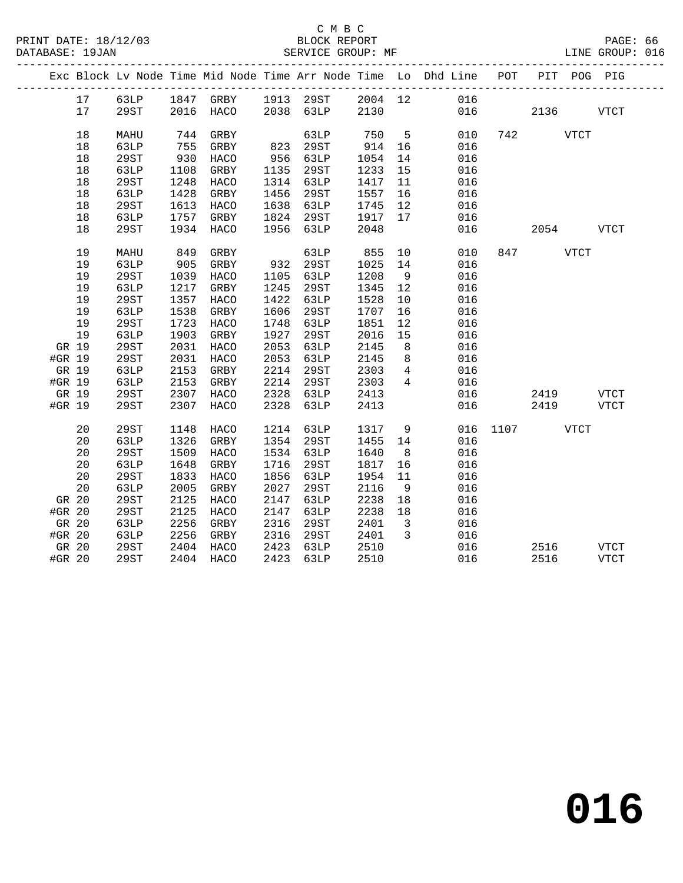|        |       |                     |            |                                  |      |              |                 |                          | Exc Block Lv Node Time Mid Node Time Arr Node Time Lo Dhd Line POT |               |           |      | PIT POG PIG |  |
|--------|-------|---------------------|------------|----------------------------------|------|--------------|-----------------|--------------------------|--------------------------------------------------------------------|---------------|-----------|------|-------------|--|
|        | 17    |                     |            | 63LP 1847 GRBY 1913 29ST 2004 12 |      |              |                 |                          | 016                                                                |               |           |      |             |  |
|        | 17    | 29ST                |            | 2016 HACO 2038 63LP 2130         |      |              |                 |                          |                                                                    | 016           | 2136      |      | <b>VTCT</b> |  |
|        | 18    | MAHU                | 744        | GRBY                             |      | 63LP         |                 | 5 <sub>5</sub>           | 010                                                                |               | 742 VTCT  |      |             |  |
|        | 18    | 63LP                | 755        | GRBY                             | 823  | 29ST         | 750 5<br>914 16 |                          | 016                                                                |               |           |      |             |  |
|        | 18    | 29ST                | 930        | HACO                             | 956  | 63LP         | 1054            | 14                       | 016                                                                |               |           |      |             |  |
|        | 18    | 63LP                | 1108       | GRBY                             | 1135 | 29ST         | 1233 15         |                          | 016                                                                |               |           |      |             |  |
|        | 18    | 29ST                | 1248       | HACO                             |      | 1314 63LP    | 1417 11         |                          | 016                                                                |               |           |      |             |  |
|        | 18    | 63LP                | 1428       | GRBY                             | 1456 | 29ST         | 1557 16         |                          | 016                                                                |               |           |      |             |  |
|        | 18    | 29ST                | 1613       | HACO                             | 1638 | 63LP         | 1745            | 12                       | 016                                                                |               |           |      |             |  |
|        | 18    | 63LP                | 1757       | GRBY                             | 1824 | 29ST         | 1917            | 17                       | 016                                                                |               |           |      |             |  |
|        | 18    | 29ST                | 1934       | HACO                             |      | 1956 63LP    | 2048            |                          | 016                                                                |               | 2054 VTCT |      |             |  |
|        | 19    |                     |            |                                  |      |              |                 |                          |                                                                    |               | 847 \     |      |             |  |
|        | 19    | MAHU<br><b>63LP</b> | 849<br>905 | GRBY<br>GRBY                     | 932  | 63LP<br>29ST | 855<br>1025     | 10 <sub>1</sub><br>14    | 010<br>016                                                         |               |           | VTCT |             |  |
|        | 19    | 29ST                | 1039       | HACO                             | 1105 | 63LP         | 1208            | 9                        | 016                                                                |               |           |      |             |  |
|        | 19    | 63LP                | 1217       | GRBY                             | 1245 | 29ST         | 1345            | 12                       | 016                                                                |               |           |      |             |  |
|        | 19    | 29ST                | 1357       | HACO                             | 1422 | 63LP         | 1528            | 10                       | 016                                                                |               |           |      |             |  |
|        | 19    | 63LP                | 1538       | GRBY                             | 1606 | 29ST         | 1707            | 16                       | 016                                                                |               |           |      |             |  |
|        | 19    | 29ST                | 1723       | HACO                             | 1748 | 63LP         | 1851            | 12                       | 016                                                                |               |           |      |             |  |
|        | 19    | 63LP                | 1903       | GRBY                             | 1927 | 29ST         | 2016            | 15                       | 016                                                                |               |           |      |             |  |
| GR 19  |       | 29ST                | 2031       | HACO                             | 2053 | 63LP         | 2145            | 8 <sup>8</sup>           | 016                                                                |               |           |      |             |  |
| #GR 19 |       | 29ST                | 2031       | HACO                             | 2053 | 63LP         | 2145            | 8 <sup>8</sup>           | 016                                                                |               |           |      |             |  |
| GR 19  |       | 63LP                | 2153       | GRBY                             | 2214 | 29ST         | 2303            | $\overline{4}$           | 016                                                                |               |           |      |             |  |
| #GR 19 |       | 63LP                | 2153       | GRBY                             | 2214 | 29ST         | 2303            | $\overline{4}$           | 016                                                                |               |           |      |             |  |
|        | GR 19 | 29ST                | 2307       | HACO                             | 2328 | 63LP         | 2413            |                          | 016                                                                |               | 2419      |      | <b>VTCT</b> |  |
| #GR 19 |       | 29ST                | 2307       | HACO                             | 2328 | 63LP         | 2413            |                          |                                                                    | 016 7         | 2419      |      | <b>VTCT</b> |  |
|        | 20    | 29ST                | 1148       | HACO                             | 1214 | 63LP         | 1317            | 9                        |                                                                    | 016 1107 VTCT |           |      |             |  |
|        | 20    | 63LP                | 1326       | GRBY                             |      | 1354 29ST    | 1455 14         |                          | 016                                                                |               |           |      |             |  |
|        | 20    | 29ST                | 1509       | HACO                             | 1534 | 63LP         | 1640            | 8 <sup>8</sup>           | 016                                                                |               |           |      |             |  |
|        | 20    | 63LP                | 1648       | GRBY                             | 1716 | 29ST         | 1817            | 16                       | 016                                                                |               |           |      |             |  |
|        | 20    | 29ST                | 1833       | HACO                             | 1856 | 63LP         | 1954            | 11                       | 016                                                                |               |           |      |             |  |
|        | 20    | 63LP                | 2005       | GRBY                             | 2027 | 29ST         | 2116            | 9                        | 016                                                                |               |           |      |             |  |
| GR 20  |       | 29ST                | 2125       | HACO                             | 2147 | 63LP         | 2238            | 18                       | 016                                                                |               |           |      |             |  |
| #GR 20 |       | 29ST                | 2125       | HACO                             | 2147 | 63LP         | 2238            | 18                       | 016                                                                |               |           |      |             |  |
| GR 20  |       | 63LP                | 2256       | GRBY                             | 2316 | 29ST         | 2401            | $\overline{\mathbf{3}}$  | 016                                                                |               |           |      |             |  |
| #GR 20 |       | 63LP                | 2256       | GRBY                             | 2316 | 29ST         | 2401            | $\overline{\phantom{a}}$ | 016                                                                |               |           |      |             |  |
| GR 20  |       | 29ST                | 2404       | HACO                             | 2423 | 63LP         | 2510            |                          | 016                                                                |               | 2516      |      | <b>VTCT</b> |  |
| #GR 20 |       | 29ST                |            | 2404 HACO                        | 2423 | 63LP         | 2510            |                          | 016                                                                |               | 2516      |      | <b>VTCT</b> |  |
|        |       |                     |            |                                  |      |              |                 |                          |                                                                    |               |           |      |             |  |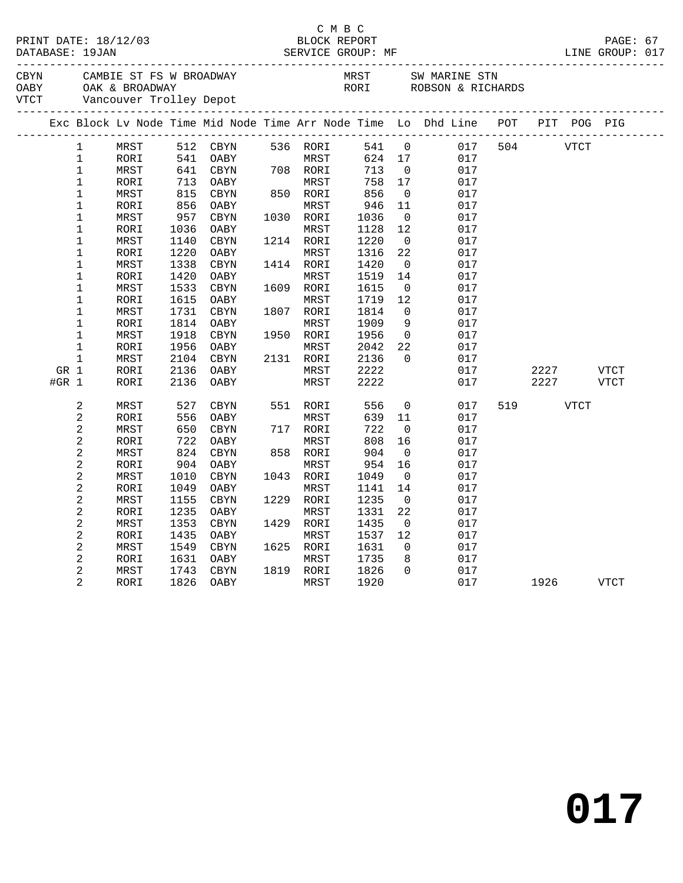|                             |         |                | PRINT DATE: 18/12/03 |      |             |           | C M B C<br>BLOCK REPORT |                   |                                                                                |     |      |             | PAGE: 67    |  |
|-----------------------------|---------|----------------|----------------------|------|-------------|-----------|-------------------------|-------------------|--------------------------------------------------------------------------------|-----|------|-------------|-------------|--|
| CBYN<br>OABY<br><b>VTCT</b> |         |                | OAK & BROADWAY       |      |             |           |                         |                   | ROBSON & RICHARDS                                                              |     |      |             |             |  |
|                             |         |                |                      |      |             |           |                         |                   | Exc Block Lv Node Time Mid Node Time Arr Node Time Lo Dhd Line POT PIT POG PIG |     |      |             |             |  |
|                             |         | $\mathbf 1$    | MRST                 | 512  | CBYN        | 536 RORI  |                         | 541 0             | 017                                                                            | 504 |      | <b>VTCT</b> |             |  |
|                             |         | $\mathbf 1$    | RORI                 | 541  | OABY        | MRST      | 624                     | 17                | 017                                                                            |     |      |             |             |  |
|                             |         | $\mathbf{1}$   | MRST                 | 641  | CBYN        | 708 RORI  | 713                     | $\overline{0}$    | 017                                                                            |     |      |             |             |  |
|                             |         | 1              | RORI                 | 713  | OABY        | MRST      | 758                     | 17                | 017                                                                            |     |      |             |             |  |
|                             |         | $\mathbf 1$    | MRST                 | 815  | CBYN        | 850 RORI  | 856                     | $\mathsf{O}$      | 017                                                                            |     |      |             |             |  |
|                             |         | $\mathbf 1$    | RORI                 | 856  | OABY        | MRST      | 946                     | 11                | 017                                                                            |     |      |             |             |  |
|                             |         | $\mathbf 1$    | MRST                 | 957  | <b>CBYN</b> | 1030 RORI | 1036                    | $\mathbf 0$       | 017                                                                            |     |      |             |             |  |
|                             |         | $\mathbf{1}$   | RORI                 | 1036 | OABY        | MRST      | 1128                    | $12 \overline{ }$ | 017                                                                            |     |      |             |             |  |
|                             |         | $\mathbf 1$    | MRST                 | 1140 | CBYN        | 1214 RORI | 1220                    | $\overline{0}$    | 017                                                                            |     |      |             |             |  |
|                             |         | $\mathbf 1$    | RORI                 | 1220 | OABY        | MRST      | 1316                    | 22                | 017                                                                            |     |      |             |             |  |
|                             |         | $\mathbf 1$    | MRST                 | 1338 | CBYN        | 1414 RORI | 1420                    | $\overline{0}$    | 017                                                                            |     |      |             |             |  |
|                             |         | $\mathbf 1$    | RORI                 | 1420 | OABY        | MRST      | 1519                    | 14                | 017                                                                            |     |      |             |             |  |
|                             |         | $\mathbf 1$    | MRST                 | 1533 | CBYN        | 1609 RORI | 1615                    | $\overline{0}$    | 017                                                                            |     |      |             |             |  |
|                             |         | $\mathbf 1$    | RORI                 | 1615 | OABY        | MRST      | 1719                    | 12                | 017                                                                            |     |      |             |             |  |
|                             |         | 1              | MRST                 | 1731 | CBYN        | 1807 RORI | 1814                    | $\mathbf{0}$      | 017                                                                            |     |      |             |             |  |
|                             |         | $\mathbf 1$    | RORI                 | 1814 | OABY        | MRST      | 1909                    | 9                 | 017                                                                            |     |      |             |             |  |
|                             |         | 1              | MRST                 | 1918 | <b>CBYN</b> | 1950 RORI | 1956                    | $\overline{0}$    | 017                                                                            |     |      |             |             |  |
|                             |         | $\mathbf 1$    | RORI                 | 1956 | OABY        | MRST      | 2042                    | 22                | 017                                                                            |     |      |             |             |  |
|                             |         | $\mathbf 1$    | MRST                 | 2104 | CBYN        | 2131 RORI | 2136                    | $\Omega$          | 017                                                                            |     |      |             |             |  |
|                             | GR 1    |                | RORI                 | 2136 | OABY        | MRST      | 2222                    |                   | 017                                                                            |     | 2227 |             | VTCT        |  |
|                             | $#GR$ 1 |                | RORI                 | 2136 | OABY        | MRST      | 2222                    |                   | 017                                                                            |     | 2227 |             | <b>VTCT</b> |  |
|                             |         | 2              | MRST                 | 527  | CBYN        | 551 RORI  | 556                     | $\mathbf 0$       | 017                                                                            | 519 |      | <b>VTCT</b> |             |  |
|                             |         | $\overline{c}$ | RORI                 | 556  | OABY        | MRST      | 639                     | 11                | 017                                                                            |     |      |             |             |  |
|                             |         | $\overline{a}$ | MRST                 | 650  | CBYN        | 717 RORI  | 722                     | $\mathsf{O}$      | 017                                                                            |     |      |             |             |  |
|                             |         | 2              | RORI                 | 722  | OABY        | MRST      | 808                     | 16                | 017                                                                            |     |      |             |             |  |
|                             |         | 2              | MRST                 | 824  | <b>CBYN</b> | 858 RORI  | 904                     | $\mathbf 0$       | 017                                                                            |     |      |             |             |  |
|                             |         | 2              | RORI                 | 904  | OABY        | MRST      | 954                     | 16                | 017                                                                            |     |      |             |             |  |
|                             |         | 2              | MRST                 | 1010 | <b>CBYN</b> | 1043 RORI | 1049                    | $\mathbf 0$       | 017                                                                            |     |      |             |             |  |
|                             |         | $\mathbf{2}$   | RORI                 | 1049 | OABY        | MRST      | 1141                    | 14                | 017                                                                            |     |      |             |             |  |
|                             |         | $\mathbf{2}$   | MRST                 | 1155 | CBYN        | 1229 RORI | 1235                    | $\mathbf 0$       | 017                                                                            |     |      |             |             |  |
|                             |         | 2              | RORI                 | 1235 | OABY        | MRST      | 1331                    | 22                | 017                                                                            |     |      |             |             |  |
|                             |         | $\overline{a}$ | MRST                 | 1353 | <b>CBYN</b> | 1429 RORI | 1435                    | $\mathbf 0$       | 017                                                                            |     |      |             |             |  |
|                             |         | 2              | RORI                 | 1435 | OABY        | MRST      | 1537                    | 12                | 017                                                                            |     |      |             |             |  |
|                             |         | 2              | MRST                 | 1549 | CBYN        | 1625 RORI | 1631                    | $\mathbf 0$       | 017                                                                            |     |      |             |             |  |
|                             |         | 2              | RORI                 | 1631 | OABY        | MRST      | 1735                    | 8                 | 017                                                                            |     |      |             |             |  |
|                             |         | 2              | MRST                 | 1743 | <b>CBYN</b> | 1819 RORI | 1826                    | $\Omega$          | 017                                                                            |     |      |             |             |  |
|                             |         | 2              | RORI                 | 1826 | OABY        | MRST      | 1920                    |                   | 017                                                                            |     | 1926 |             | <b>VTCT</b> |  |
|                             |         |                |                      |      |             |           |                         |                   |                                                                                |     |      |             |             |  |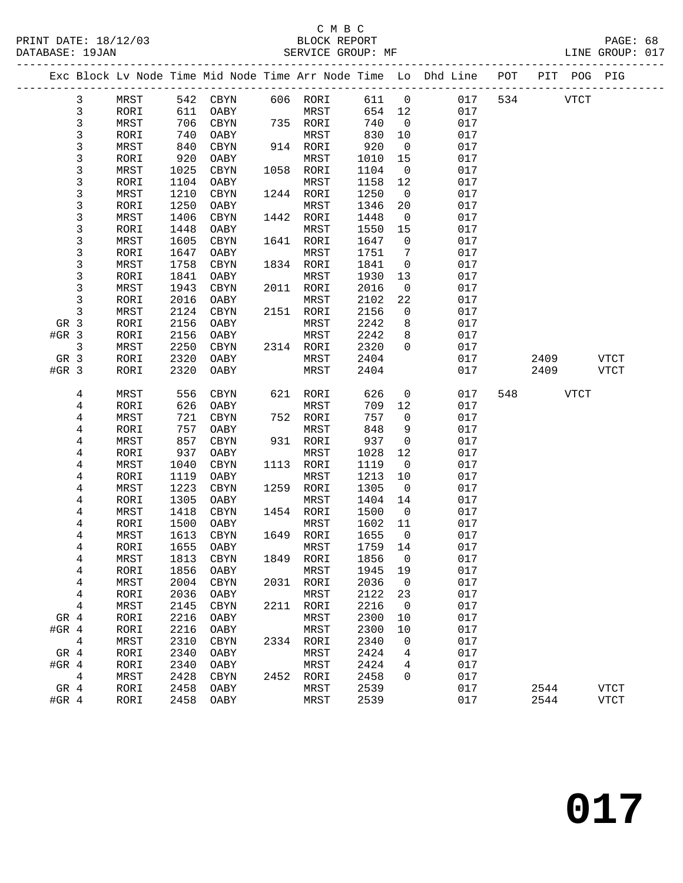#### C M B C<br>BLOCK REPORT PRINT DATE: 18/12/03 BLOCK REPORT PAGE: 68 SERVICE GROUP: MF

|         |             |              |              |              |      |              |              |                          | Exc Block Lv Node Time Mid Node Time Arr Node Time Lo Dhd Line POT |     |             | PIT POG PIG |             |
|---------|-------------|--------------|--------------|--------------|------|--------------|--------------|--------------------------|--------------------------------------------------------------------|-----|-------------|-------------|-------------|
|         | 3           | MRST         |              | 542 CBYN     |      | 606 RORI     | 611          | $\overline{0}$           | 017                                                                | 534 | <b>VTCT</b> |             |             |
|         | $\mathsf 3$ | RORI         | 611          | OABY         |      | MRST         | 654 12       |                          | 017                                                                |     |             |             |             |
|         | 3           | MRST         | 706          | CBYN         |      | 735 RORI     | 740          | $\overline{0}$           | 017                                                                |     |             |             |             |
|         | 3           | RORI         | 740          | OABY         |      | MRST         | 830          | 10                       | 017                                                                |     |             |             |             |
|         | 3           | MRST         | 840          | CBYN         |      | 914 RORI     | 920          | $\overline{0}$           | 017                                                                |     |             |             |             |
|         | 3           | RORI         | 920          | OABY         |      | MRST         | 1010         | 15                       | 017                                                                |     |             |             |             |
|         | 3           | MRST         | 1025         | CBYN         |      | 1058 RORI    | 1104         | $\overline{0}$           | 017                                                                |     |             |             |             |
|         | 3           | RORI         | 1104         | OABY         |      | MRST         | 1158         | 12                       | 017                                                                |     |             |             |             |
|         | 3           | MRST         | 1210         | CBYN         |      | 1244 RORI    | 1250         | $\overline{0}$           | 017                                                                |     |             |             |             |
|         | 3           | RORI         | 1250         | OABY         |      | MRST         | 1346         | 20                       | 017                                                                |     |             |             |             |
|         | 3           | MRST         | 1406         | CBYN         |      | 1442 RORI    | 1448         | $\overline{0}$           | 017                                                                |     |             |             |             |
|         | 3           | RORI         | 1448         | OABY         |      | MRST         | 1550         | 15                       | 017                                                                |     |             |             |             |
|         | 3           | MRST         | 1605         | CBYN         |      | 1641 RORI    | 1647         | $\overline{0}$           | 017                                                                |     |             |             |             |
|         | 3           | RORI         | 1647         | OABY         |      | MRST         | 1751         | 7                        | 017                                                                |     |             |             |             |
|         | 3           | MRST         | 1758         | CBYN         |      | 1834 RORI    | 1841         | $\mathsf{O}$             | 017                                                                |     |             |             |             |
|         | 3           | RORI         | 1841         | OABY         |      | MRST         | 1930         | 13                       | 017                                                                |     |             |             |             |
|         | 3           | MRST         | 1943         | CBYN         |      | 2011 RORI    | 2016         | $\overline{0}$           | 017                                                                |     |             |             |             |
|         | 3           | RORI         | 2016         | OABY         |      | MRST         | 2102         | 22                       | 017                                                                |     |             |             |             |
|         | 3           | MRST         | 2124         | CBYN         |      | 2151 RORI    | 2156         | $\overline{0}$           | 017                                                                |     |             |             |             |
| GR 3    |             | RORI         | 2156         | OABY         |      | MRST         | 2242         | 8                        | 017                                                                |     |             |             |             |
| $#GR$ 3 |             | RORI         | 2156         | OABY         |      | MRST         | 2242         | 8                        | 017                                                                |     |             |             |             |
|         | 3           | MRST         | 2250         | CBYN         |      | 2314 RORI    | 2320         | $\Omega$                 | 017                                                                |     |             |             |             |
| GR 3    |             | RORI         | 2320         | OABY         |      | MRST         | 2404         |                          | 017                                                                |     | 2409        |             | <b>VTCT</b> |
| $#GR$ 3 |             | RORI         | 2320         | OABY         |      | MRST         | 2404         |                          | 017                                                                |     | 2409        |             | <b>VTCT</b> |
|         | 4           | MRST         | 556          | CBYN         |      | 621 RORI     | 626          | $\overline{0}$           | 017                                                                | 548 |             | VTCT        |             |
|         | 4           | RORI         | 626          | OABY         |      | MRST         | 709          | 12                       | 017                                                                |     |             |             |             |
|         | 4           | MRST         | 721          | $\tt CBYN$   |      | 752 RORI     | 757          | $\overline{0}$           | 017                                                                |     |             |             |             |
|         | 4           | RORI         | 757          | OABY         |      | MRST         | 848          | 9                        | 017                                                                |     |             |             |             |
|         | 4           | MRST         | 857          | CBYN         |      | 931 RORI     | 937          | $\overline{0}$           | 017                                                                |     |             |             |             |
|         | 4           | RORI         | 937          | OABY         |      | MRST         | 1028         | 12                       | 017                                                                |     |             |             |             |
|         | 4           | MRST         | 1040         | CBYN         | 1113 | RORI         | 1119         | $\overline{0}$           | 017                                                                |     |             |             |             |
|         | 4           | RORI         | 1119         | OABY         |      | MRST         | 1213         | 10                       | 017                                                                |     |             |             |             |
|         | 4           | MRST         | 1223         | CBYN         | 1259 | RORI         | 1305         | $\overline{0}$           | 017                                                                |     |             |             |             |
|         | 4           | RORI         | 1305         | OABY         |      | MRST         | 1404         | 14                       | 017                                                                |     |             |             |             |
|         | 4           | MRST         | 1418         | CBYN         |      | 1454 RORI    | 1500         | $\overline{0}$           | 017                                                                |     |             |             |             |
|         | 4           | RORI         | 1500         | OABY         |      | MRST         | 1602         | 11                       | 017                                                                |     |             |             |             |
|         | 4           | MRST         | 1613         | CBYN         |      | 1649 RORI    | 1655         | $\overline{0}$           | 017                                                                |     |             |             |             |
|         | 4           | RORI         | 1655         | OABY         |      | MRST         | 1759         | 14                       | 017                                                                |     |             |             |             |
|         | 4           | ${\tt MRST}$ |              | 1813 CBYN    |      | 1849 RORI    | 1856 0       |                          | 017                                                                |     |             |             |             |
|         | 4           | RORI         | 1856         | OABY         |      | MRST         | 1945         | 19                       | 017                                                                |     |             |             |             |
|         | 4           | MRST         | 2004         | CBYN         | 2031 | RORI         | 2036         | $\overline{\phantom{0}}$ | 017                                                                |     |             |             |             |
|         | 4           | RORI         | 2036         | OABY         |      | MRST         | 2122         | 23                       | 017                                                                |     |             |             |             |
|         |             |              | 2145         | CBYN         | 2211 | RORI         | 2216         | $\mathbf 0$              | 017                                                                |     |             |             |             |
|         |             |              |              |              |      | MRST         | 2300         | 10                       | 017                                                                |     |             |             |             |
|         | 4           | MRST         |              |              |      |              |              |                          | 017                                                                |     |             |             |             |
| GR 4    |             | RORI         | 2216         | OABY         |      |              |              |                          |                                                                    |     |             |             |             |
| #GR $4$ |             | RORI         | 2216         | OABY         |      | MRST         | 2300         | 10                       |                                                                    |     |             |             |             |
|         | 4           | MRST         | 2310         | CBYN         |      | 2334 RORI    | 2340         | 0                        | 017                                                                |     |             |             |             |
| GR 4    |             | RORI         | 2340         | OABY         |      | MRST         | 2424         | 4                        | 017                                                                |     |             |             |             |
| #GR $4$ |             | RORI         | 2340         | OABY         |      | MRST         | 2424         | 4                        | 017                                                                |     |             |             |             |
| GR 4    | 4           | MRST<br>RORI | 2428<br>2458 | CBYN<br>OABY | 2452 | RORI<br>MRST | 2458<br>2539 | 0                        | 017<br>017                                                         |     | 2544        |             | VTCT        |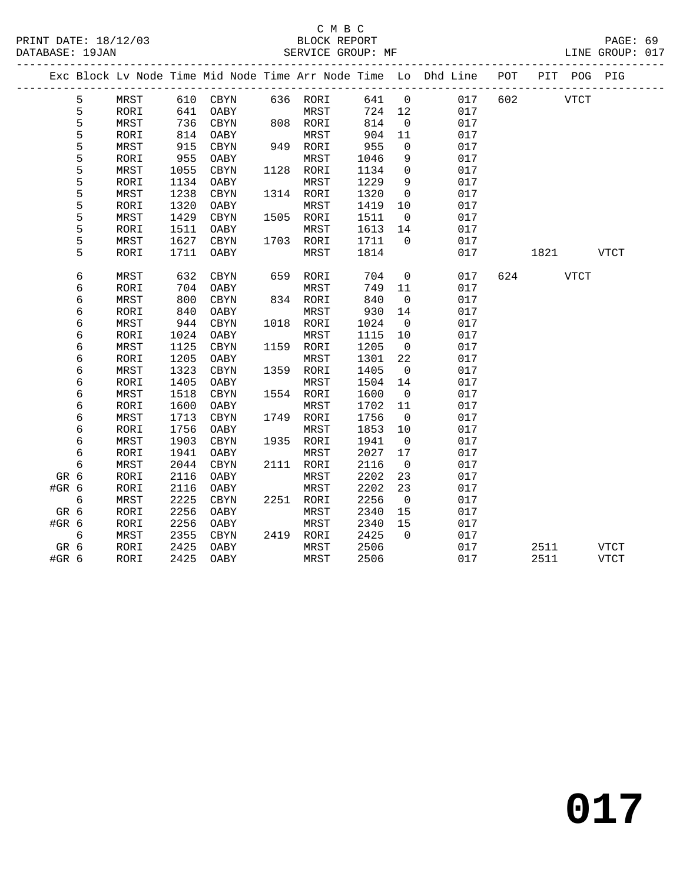#### C M B C<br>BLOCK REPORT PRINT DATE: 18/12/03 BLOCK REPORT PAGE: 69 SERVICE GROUP: MF

|       |   |             |      |            |      |           |      |                          | Exc Block Lv Node Time Mid Node Time Arr Node Time Lo Dhd Line POT |     | PIT  | POG         | PIG         |  |
|-------|---|-------------|------|------------|------|-----------|------|--------------------------|--------------------------------------------------------------------|-----|------|-------------|-------------|--|
|       | 5 | MRST        |      | 610 CBYN   |      | 636 RORI  | 641  | $\overline{0}$           | 017                                                                | 602 |      | <b>VTCT</b> |             |  |
|       | 5 | RORI        | 641  | OABY       |      | MRST      | 724  | 12                       | 017                                                                |     |      |             |             |  |
|       | 5 | MRST        | 736  | CBYN       |      | 808 RORI  | 814  | $\mathbf 0$              | 017                                                                |     |      |             |             |  |
|       | 5 | RORI        | 814  | OABY       |      | MRST      | 904  | 11                       | 017                                                                |     |      |             |             |  |
|       | 5 | MRST        | 915  | CBYN       |      | 949 RORI  | 955  | $\mathsf{O}$             | 017                                                                |     |      |             |             |  |
|       | 5 | RORI        | 955  | OABY       |      | MRST      | 1046 | 9                        | 017                                                                |     |      |             |             |  |
|       | 5 | MRST        | 1055 | $\tt CBYN$ |      | 1128 RORI | 1134 | $\mathbf 0$              | 017                                                                |     |      |             |             |  |
|       | 5 | RORI        | 1134 | OABY       |      | MRST      | 1229 | 9                        | 017                                                                |     |      |             |             |  |
|       | 5 | MRST        | 1238 | CBYN       |      | 1314 RORI | 1320 | $\overline{0}$           | 017                                                                |     |      |             |             |  |
|       | 5 | RORI        | 1320 | OABY       |      | MRST      | 1419 | 10                       | 017                                                                |     |      |             |             |  |
|       | 5 | MRST        | 1429 | CBYN       |      | 1505 RORI | 1511 | $\overline{0}$           | 017                                                                |     |      |             |             |  |
|       | 5 | RORI        | 1511 | OABY       |      | MRST      | 1613 | 14                       | 017                                                                |     |      |             |             |  |
|       | 5 | MRST        | 1627 | $\tt CBYN$ |      | 1703 RORI | 1711 | $\mathbf 0$              | 017                                                                |     |      |             |             |  |
|       | 5 | RORI        | 1711 | OABY       |      | MRST      | 1814 |                          | 017                                                                |     | 1821 |             | <b>VTCT</b> |  |
|       |   |             |      |            |      |           |      |                          |                                                                    |     |      |             |             |  |
|       | 6 | MRST        | 632  | $\tt CBYN$ | 659  | RORI      | 704  | $\mathsf{O}$             | 017                                                                | 624 |      | <b>VTCT</b> |             |  |
|       | 6 | RORI        | 704  | OABY       |      | MRST      | 749  | 11                       | 017                                                                |     |      |             |             |  |
|       | 6 | MRST        | 800  | CBYN       |      | 834 RORI  | 840  | $\mathbf 0$              | 017                                                                |     |      |             |             |  |
|       | 6 | RORI        | 840  | OABY       |      | MRST      | 930  | 14                       | 017                                                                |     |      |             |             |  |
|       | 6 | MRST        | 944  | CBYN       |      | 1018 RORI | 1024 | $\overline{0}$           | 017                                                                |     |      |             |             |  |
|       | 6 | RORI        | 1024 | OABY       |      | MRST      | 1115 | 10                       | 017                                                                |     |      |             |             |  |
|       | 6 | MRST        | 1125 | $\tt CBYN$ | 1159 | RORI      | 1205 | $\overline{0}$           | 017                                                                |     |      |             |             |  |
|       | 6 | RORI        | 1205 | OABY       |      | MRST      | 1301 | 22                       | 017                                                                |     |      |             |             |  |
|       | 6 | MRST        | 1323 | CBYN       | 1359 | RORI      | 1405 | $\overline{0}$           | 017                                                                |     |      |             |             |  |
|       | 6 | RORI        | 1405 | OABY       |      | MRST      | 1504 | 14                       | 017                                                                |     |      |             |             |  |
|       | 6 | MRST        | 1518 | CBYN       | 1554 | RORI      | 1600 | $\overline{0}$           | 017                                                                |     |      |             |             |  |
|       | 6 | <b>RORI</b> | 1600 | OABY       |      | MRST      | 1702 | 11                       | 017                                                                |     |      |             |             |  |
|       | 6 | MRST        | 1713 | CBYN       |      | 1749 RORI | 1756 | $\overline{0}$           | 017                                                                |     |      |             |             |  |
|       | 6 | RORI        | 1756 | OABY       |      | MRST      | 1853 | 10                       | 017                                                                |     |      |             |             |  |
|       | 6 | MRST        | 1903 | CBYN       | 1935 | RORI      | 1941 | $\overline{0}$           | 017                                                                |     |      |             |             |  |
|       | 6 | RORI        | 1941 | OABY       |      | MRST      | 2027 | 17                       | 017                                                                |     |      |             |             |  |
|       | 6 | MRST        | 2044 | CBYN       |      | 2111 RORI | 2116 | $\overline{0}$           | 017                                                                |     |      |             |             |  |
| GR 6  |   | RORI        | 2116 | OABY       |      | MRST      | 2202 | 23                       | 017                                                                |     |      |             |             |  |
| #GR 6 |   | RORI        | 2116 | OABY       |      | MRST      | 2202 | 23                       | 017                                                                |     |      |             |             |  |
|       | 6 | MRST        | 2225 | CBYN       |      | 2251 RORI | 2256 | $\overline{\phantom{0}}$ | 017                                                                |     |      |             |             |  |
| GR 6  |   | RORI        | 2256 | OABY       |      | MRST      | 2340 | 15                       | 017                                                                |     |      |             |             |  |
| #GR 6 |   | RORI        | 2256 | OABY       |      | MRST      | 2340 | 15                       | 017                                                                |     |      |             |             |  |
|       | 6 | MRST        | 2355 | CBYN       |      | 2419 RORI | 2425 | $\Omega$                 | 017                                                                |     |      |             |             |  |
| GR 6  |   | RORI        | 2425 | OABY       |      | MRST      | 2506 |                          | 017                                                                |     | 2511 |             | <b>VTCT</b> |  |
| #GR 6 |   | RORI        | 2425 | OABY       |      | MRST      | 2506 |                          | 017                                                                |     | 2511 |             | <b>VTCT</b> |  |
|       |   |             |      |            |      |           |      |                          |                                                                    |     |      |             |             |  |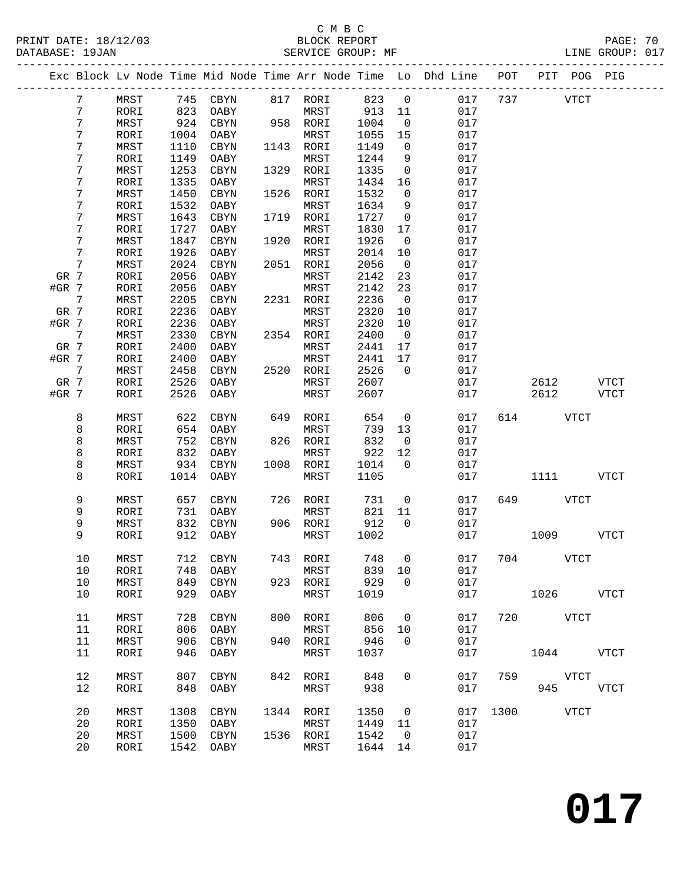PRINT DATE: 18/12/03 BLOCK REPORT PAGE: 70 DATABASE: 19JAN

### C M B C<br>BLOCK REPORT

|         | DAIADAOL · 170AN |      |      |           | ULIVILLE UNUUF . MIT |      |      |                         | UIND UNUUF . UI !                                              |     |     |      |     |
|---------|------------------|------|------|-----------|----------------------|------|------|-------------------------|----------------------------------------------------------------|-----|-----|------|-----|
|         |                  |      |      |           |                      |      |      |                         | Exc Block Lv Node Time Mid Node Time Arr Node Time Lo Dhd Line | POT | PIT | POG  | PIG |
|         | 7                | MRST | 745  | CBYN      | 817                  | RORI | 823  | $\overline{\mathbf{0}}$ | 017                                                            | 737 |     | VTCT |     |
|         |                  | RORI | 823  | OABY      |                      | MRST | 913  | 11                      | 017                                                            |     |     |      |     |
|         |                  | MRST | 924  | CBYN      | 958                  | RORI | 1004 | $\overline{0}$          | 017                                                            |     |     |      |     |
|         |                  | RORI | 1004 | OABY      |                      | MRST | 1055 | 15                      | 017                                                            |     |     |      |     |
|         |                  | MRST | 1110 | CBYN      | 1143                 | RORI | 1149 | $\Omega$                | 017                                                            |     |     |      |     |
|         |                  | RORI | 1149 | OABY      |                      | MRST | 1244 | 9                       | 017                                                            |     |     |      |     |
|         |                  | MRST | 1253 | CBYN      | 1329                 | RORI | 1335 | $\overline{0}$          | 017                                                            |     |     |      |     |
|         |                  | RORI | 1335 | OABY      |                      | MRST | 1434 | 16                      | 017                                                            |     |     |      |     |
|         |                  | MRST | 1450 | CBYN      | 1526                 | RORI | 1532 | $\Omega$                | 017                                                            |     |     |      |     |
|         |                  | RORI | 1532 | OABY      |                      | MRST | 1634 | 9                       | 017                                                            |     |     |      |     |
|         |                  | MRST | 1643 | CBYN      | 1719                 | RORI | 1727 | $\Omega$                | 017                                                            |     |     |      |     |
|         |                  | RORI | 1727 | OABY      |                      | MRST | 1830 | 17                      | 017                                                            |     |     |      |     |
|         |                  | MRST | 1847 | CBYN      | 1920                 | RORI | 1926 | $\overline{0}$          | 017                                                            |     |     |      |     |
|         |                  | RORI | 1926 | OABY      |                      | MRST | 2014 | 10                      | 017                                                            |     |     |      |     |
|         |                  | MRST | 2024 | CBYN      | 2051                 | RORI | 2056 | $\Omega$                | 017                                                            |     |     |      |     |
| GR 7    |                  | RORI | 2056 | OABY      |                      | MRST | 2142 | 23                      | 017                                                            |     |     |      |     |
| $#GR$ 7 |                  | RORI |      | 2056 OABY |                      | MRST | 2142 | 23                      | 017                                                            |     |     |      |     |

| #GR $7$ |                 | RORI         | 2056 | OABY         |      | MRST         | 2142 | 23             | 017 |      |             |             |
|---------|-----------------|--------------|------|--------------|------|--------------|------|----------------|-----|------|-------------|-------------|
|         | $7\phantom{.0}$ | MRST         | 2205 | CBYN         | 2231 | RORI         | 2236 | $\overline{0}$ | 017 |      |             |             |
| GR 7    |                 | RORI         | 2236 | OABY         |      | MRST         | 2320 | 10             | 017 |      |             |             |
| #GR 7   |                 | RORI         | 2236 | OABY         |      | MRST         | 2320 | 10             | 017 |      |             |             |
|         | $7\phantom{.0}$ | MRST         | 2330 | CBYN         | 2354 | RORI         | 2400 | $\overline{0}$ | 017 |      |             |             |
| GR 7    |                 | RORI         | 2400 | OABY         |      | MRST         | 2441 | 17             | 017 |      |             |             |
| #GR 7   |                 | RORI         | 2400 | OABY         |      | MRST         | 2441 | 17             | 017 |      |             |             |
|         | 7               | MRST         | 2458 | CBYN         | 2520 | RORI         | 2526 | $\overline{0}$ | 017 |      |             |             |
| GR 7    |                 | RORI         | 2526 | OABY         |      | MRST         | 2607 |                | 017 |      | 2612        | <b>VTCT</b> |
| #GR 7   |                 | RORI         | 2526 | OABY         |      | MRST         | 2607 |                | 017 |      | 2612        | <b>VTCT</b> |
|         | 8               | MRST         | 622  | $\tt CBYN$   | 649  | RORI         | 654  | $\mathsf 0$    | 017 | 614  | <b>VTCT</b> |             |
|         | 8               | RORI         | 654  | OABY         |      | MRST         | 739  | 13             | 017 |      |             |             |
|         | $\,8\,$         | MRST         | 752  | <b>CBYN</b>  | 826  | RORI         | 832  | $\overline{0}$ | 017 |      |             |             |
|         | $\,8\,$         | RORI         | 832  | OABY         |      | MRST         | 922  | 12             | 017 |      |             |             |
|         | $\,8\,$         | MRST         | 934  | $\rm CBYN$   | 1008 | RORI         | 1014 | $\overline{0}$ | 017 |      |             |             |
|         | 8               | RORI         | 1014 | OABY         |      | MRST         | 1105 |                | 017 |      | 1111        | VTCT        |
|         |                 | MRST         | 657  | CBYN         | 726  | RORI         | 731  | $\overline{0}$ | 017 | 649  | VTCT        |             |
|         | 9<br>9<br>9     | RORI         | 731  | OABY         |      | MRST         | 821  | 11             | 017 |      |             |             |
|         |                 | MRST         | 832  | <b>CBYN</b>  | 906  | RORI         | 912  | $\overline{0}$ | 017 |      |             |             |
|         | 9               | RORI         | 912  | OABY         |      | MRST         | 1002 |                | 017 |      | 1009        | <b>VTCT</b> |
|         | 10              | MRST         | 712  | CBYN         | 743  | RORI         | 748  | $\overline{0}$ | 017 | 704  |             | VTCT        |
|         | 10              | RORI         | 748  | OABY         |      | MRST         | 839  | 10             | 017 |      |             |             |
|         | 10              | MRST         | 849  | <b>CBYN</b>  | 923  | RORI         | 929  | $\overline{0}$ | 017 |      |             |             |
|         | 10              | RORI         | 929  | OABY         |      | MRST         | 1019 |                | 017 |      | 1026        | <b>VTCT</b> |
|         | 11              | MRST         | 728  | CBYN         | 800  | RORI         | 806  | $\overline{0}$ | 017 | 720  | <b>VTCT</b> |             |
|         | 11              | RORI         | 806  | OABY         |      | MRST         | 856  | 10             | 017 |      |             |             |
|         | 11              | MRST         | 906  | <b>CBYN</b>  | 940  | RORI         | 946  | $\overline{0}$ | 017 |      |             |             |
|         | 11              | RORI         | 946  | OABY         |      | MRST         | 1037 |                | 017 |      | 1044        | <b>VTCT</b> |
|         | 12              | MRST         | 807  | CBYN         | 842  | RORI         | 848  | $\mathbf 0$    | 017 | 759  |             | VTCT        |
|         | 12              | RORI         | 848  | OABY         |      | MRST         | 938  |                | 017 |      | 945         | <b>VTCT</b> |
|         | 20              |              | 1308 |              | 1344 |              | 1350 | $\overline{0}$ | 017 | 1300 |             | <b>VTCT</b> |
|         | 20              | MRST<br>RORI | 1350 | CBYN<br>OABY |      | RORI<br>MRST | 1449 | 11             | 017 |      |             |             |
|         | 20              | MRST         | 1500 | CBYN         |      | 1536 RORI    | 1542 | $\overline{0}$ | 017 |      |             |             |
|         | 20              | RORI         | 1542 | OABY         |      | MRST         | 1644 | 14             | 017 |      |             |             |
|         |                 |              |      |              |      |              |      |                |     |      |             |             |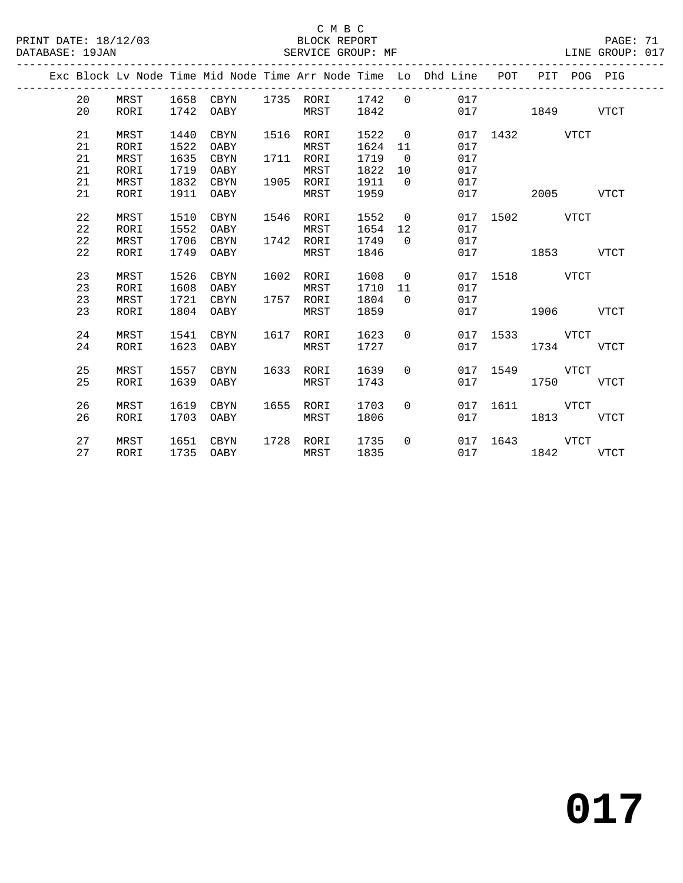|  |    |              |              |             |      |      |              |                   | Exc Block Lv Node Time Mid Node Time Arr Node Time Lo Dhd Line | POT  | PIT  |             | POG PIG     |
|--|----|--------------|--------------|-------------|------|------|--------------|-------------------|----------------------------------------------------------------|------|------|-------------|-------------|
|  | 20 | MRST         | 1658         | CBYN        | 1735 | RORI | 1742         | $\mathbf 0$       | 017                                                            |      |      |             |             |
|  | 20 | RORI         | 1742         | OABY        |      | MRST | 1842         |                   | 017                                                            |      | 1849 |             | <b>VTCT</b> |
|  |    |              |              |             |      |      |              |                   |                                                                |      |      |             |             |
|  | 21 | MRST         | 1440         | CBYN        | 1516 | RORI | 1522         | $\mathbf 0$       | 017                                                            | 1432 |      | <b>VTCT</b> |             |
|  | 21 | RORI         | 1522         | OABY        |      | MRST | 1624         | 11                | 017                                                            |      |      |             |             |
|  | 21 | MRST         | 1635         | <b>CBYN</b> | 1711 | RORI | 1719         | $\overline{0}$    | 017                                                            |      |      |             |             |
|  | 21 | RORI         | 1719         | OABY        |      | MRST | 1822         | 10                | 017                                                            |      |      |             |             |
|  | 21 | MRST         | 1832         | CBYN        | 1905 | RORI | 1911         | $\Omega$          | 017                                                            |      |      |             |             |
|  | 21 | RORI         | 1911         | OABY        |      | MRST | 1959         |                   | 017                                                            |      | 2005 |             | VTCT        |
|  |    |              |              |             |      |      |              |                   |                                                                |      |      |             |             |
|  | 22 | MRST         | 1510         | CBYN        | 1546 | RORI | 1552         | $\mathbf 0$       | 017                                                            | 1502 |      | <b>VTCT</b> |             |
|  | 22 | RORI         | 1552         | OABY        |      | MRST | 1654         | 12                | 017                                                            |      |      |             |             |
|  | 22 | MRST         | 1706         | CBYN        | 1742 | RORI | 1749         | $\Omega$          | 017                                                            |      |      |             |             |
|  | 22 | RORI         | 1749         | OABY        |      | MRST | 1846         |                   | 017                                                            |      | 1853 |             | VTCT        |
|  | 23 |              |              | <b>CBYN</b> | 1602 | RORI |              |                   | 017                                                            | 1518 |      | <b>VTCT</b> |             |
|  | 23 | MRST<br>RORI | 1526<br>1608 | OABY        |      | MRST | 1608<br>1710 | $\mathbf 0$<br>11 | 017                                                            |      |      |             |             |
|  | 23 | MRST         | 1721         | CBYN        | 1757 | RORI | 1804         | $\Omega$          | 017                                                            |      |      |             |             |
|  | 23 | RORI         | 1804         | OABY        |      | MRST | 1859         |                   | 017                                                            |      | 1906 |             | VTCT        |
|  |    |              |              |             |      |      |              |                   |                                                                |      |      |             |             |
|  | 24 | MRST         | 1541         | <b>CBYN</b> | 1617 | RORI | 1623         | 0                 | 017                                                            | 1533 |      | <b>VTCT</b> |             |
|  | 24 | RORI         | 1623         | OABY        |      | MRST | 1727         |                   | 017                                                            |      | 1734 |             | <b>VTCT</b> |
|  |    |              |              |             |      |      |              |                   |                                                                |      |      |             |             |
|  | 25 | MRST         | 1557         | CBYN        | 1633 | RORI | 1639         | $\Omega$          | 017                                                            | 1549 |      | <b>VTCT</b> |             |
|  | 25 | RORI         | 1639         | OABY        |      | MRST | 1743         |                   | 017                                                            |      | 1750 |             | VTCT        |
|  |    |              |              |             |      |      |              |                   |                                                                |      |      |             |             |
|  | 26 | MRST         | 1619         | <b>CBYN</b> | 1655 | RORI | 1703         | $\Omega$          | 017                                                            | 1611 |      | <b>VTCT</b> |             |
|  | 26 | <b>RORI</b>  | 1703         | OABY        |      | MRST | 1806         |                   | 017                                                            |      | 1813 |             | VTCT        |
|  |    |              |              |             |      |      |              |                   |                                                                |      |      |             |             |
|  | 27 | MRST         | 1651         | CBYN        | 1728 | RORI | 1735         | $\Omega$          | 017                                                            | 1643 |      | <b>VTCT</b> |             |
|  | 27 | <b>RORI</b>  | 1735         | OABY        |      | MRST | 1835         |                   | 017                                                            |      | 1842 |             | <b>VTCT</b> |
|  |    |              |              |             |      |      |              |                   |                                                                |      |      |             |             |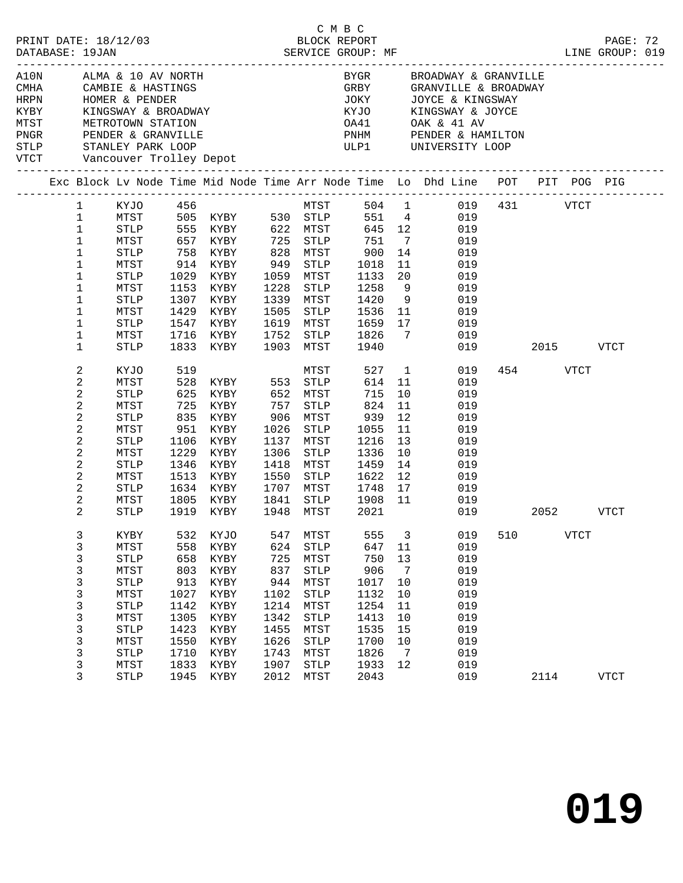| PRINT DATE: 18/12/03<br>DATABASE: 19JAN |                                                                                                                                                                           |                                                                                                                                         |                                                                                         | 2/03 BLOCK REPORT<br>SERVICE GROUP: MF                                                                    |                                                                                         |                                                                                                                                                | C M B C                                                                                          |                                                                   | LINE GROUP: 019                                                                                                   |     |          |                          | PAGE: 72    |  |
|-----------------------------------------|---------------------------------------------------------------------------------------------------------------------------------------------------------------------------|-----------------------------------------------------------------------------------------------------------------------------------------|-----------------------------------------------------------------------------------------|-----------------------------------------------------------------------------------------------------------|-----------------------------------------------------------------------------------------|------------------------------------------------------------------------------------------------------------------------------------------------|--------------------------------------------------------------------------------------------------|-------------------------------------------------------------------|-------------------------------------------------------------------------------------------------------------------|-----|----------|--------------------------|-------------|--|
| A10N ALMA & 10 AV NORTH<br>KYBY<br>MTST |                                                                                                                                                                           | METROTOWN STATION                                                                                                                       |                                                                                         | HOMER & PENDER<br>KINGSWAY & BROADWAY                                                                     |                                                                                         | BYGR BROADWAY & GRANVILLE<br>GRBY GRANVILLE & BROADWAY<br>JOKY JOYCE & KINGSWAY<br>KYJO KINGSWAY & JOYCE<br>OA41 OAK & 41 AV                   |                                                                                                  |                                                                   |                                                                                                                   |     |          |                          |             |  |
|                                         |                                                                                                                                                                           |                                                                                                                                         |                                                                                         |                                                                                                           |                                                                                         |                                                                                                                                                |                                                                                                  |                                                                   | Exc Block Lv Node Time Mid Node Time Arr Node Time Lo Dhd Line POT PIT POG PIG                                    |     |          |                          |             |  |
|                                         | $\mathbf{1}$<br>$\mathbf{1}$<br>$\mathbf{1}$<br>$\mathbf{1}$<br>$\mathbf 1$<br>$\mathbf{1}$<br>$\mathbf 1$<br>$\mathbf{1}$<br>$\mathbf 1$<br>$\mathbf{1}$<br>$\mathbf{1}$ | 1 KYJO 456<br>STLP<br>MTST<br>STLP<br>MTST<br>STLP<br>MTST<br>STLP<br>MTST<br>STLP<br>MTST                                              | 1029<br>1153<br>1307<br>1429<br>1547<br>1716                                            | MTST 505 KYBY 530 STLP<br>914 KYBY<br>KYBY<br>KYBY<br>KYBY<br>KYBY<br>KYBY<br>KYBY                        | 949<br>1059<br>1228<br>1505<br>1619                                                     | STLP<br>MTST<br>STLP<br>1339 MTST<br>STLP<br>MTST<br>1752 STLP                                                                                 | 751<br>900<br>1018<br>1133<br>1258<br>1420<br>1536<br>1659<br>1826<br>1940                       | $7\overline{ }$<br>14<br>11<br>20<br>9<br>9<br>11<br>17<br>7      | MTST 504 1 019 431 VTCT<br>551 4 019<br>645 12 019<br>019<br>019<br>019<br>019<br>019<br>019<br>019<br>019<br>019 |     |          |                          |             |  |
|                                         | $\mathbf{1}$<br>2<br>2<br>2<br>2<br>2                                                                                                                                     | <b>STLP</b><br>KYJO<br>MTST<br>STLP<br>MTST<br>STLP                                                                                     | 519<br>725<br>835                                                                       | 1833 KYBY<br>528 KYBY<br>625 KYBY<br>KYBY<br>KYBY                                                         | 757                                                                                     | 1903 MTST<br>MTST<br>STLP<br>906 MTST                                                                                                          | 527<br>614<br>715<br>824<br>939                                                                  | $\overline{1}$<br>11<br>10<br>11<br>12                            | 019<br>019<br>019<br>019<br>019<br>019                                                                            |     | 454 VTCT | 2015 VTCT                |             |  |
|                                         | 2<br>$\overline{c}$<br>2<br>2<br>2<br>$\overline{c}$<br>2                                                                                                                 | MTST<br>STLP<br>MTST<br>STLP<br>MTST<br>STLP<br>MTST                                                                                    | 951<br>1106<br>1229<br>1346<br>1513<br>1634                                             | KYBY<br>KYBY<br>KYBY<br>KYBY<br>KYBY<br>KYBY<br>1805 KYBY                                                 | 1026<br>1306<br>1418<br>1550<br>1707<br>1841                                            | STLP<br>1137 MTST<br>STLP<br>MTST<br>STLP<br>MTST                                                                                              | 1055<br>1216<br>1336<br>1459<br>1622<br>STLP 1622<br>MTST 1748<br>STLP 1908                      | 11<br>13<br>10<br>14<br>12<br>17<br>11                            | 019<br>019<br>019<br>019<br>019<br>019<br>019                                                                     |     |          |                          |             |  |
|                                         | $\overline{a}$<br>3<br>3<br>3<br>3<br>3<br>3<br>3<br>3<br>3<br>3<br>3<br>3                                                                                                | STLP<br>KYBY<br>MTST<br><b>STLP</b><br>MTST<br><b>STLP</b><br>MTST<br><b>STLP</b><br>MTST<br><b>STLP</b><br>MTST<br><b>STLP</b><br>MTST | 532<br>558<br>658<br>803<br>913<br>1027<br>1142<br>1305<br>1423<br>1550<br>1710<br>1833 | 1919 KYBY<br>KYJO<br>KYBY<br>KYBY<br>KYBY<br>KYBY<br>KYBY<br>KYBY<br>KYBY<br>KYBY<br>KYBY<br>KYBY<br>KYBY | 547<br>624<br>725<br>837<br>944<br>1102<br>1214<br>1342<br>1455<br>1626<br>1743<br>1907 | 1948 MTST<br>MTST<br><b>STLP</b><br>MTST<br>STLP<br>MTST<br><b>STLP</b><br>MTST<br>${\tt STLP}$<br>MTST<br><b>STLP</b><br>MTST<br>${\tt STLP}$ | 2021<br>555<br>647<br>750<br>906<br>1017<br>1132<br>1254<br>1413<br>1535<br>1700<br>1826<br>1933 | 3<br>11<br>13<br>7<br>10<br>10<br>11<br>10<br>15<br>10<br>7<br>12 | 019<br>019<br>019<br>019<br>019<br>019<br>019<br>019<br>019<br>019<br>019<br>019<br>019                           | 510 |          | 2052 VTCT<br><b>VTCT</b> |             |  |
|                                         | 3                                                                                                                                                                         | <b>STLP</b>                                                                                                                             | 1945                                                                                    | KYBY                                                                                                      | 2012                                                                                    | MTST                                                                                                                                           | 2043                                                                                             |                                                                   | 019                                                                                                               |     | 2114     |                          | <b>VTCT</b> |  |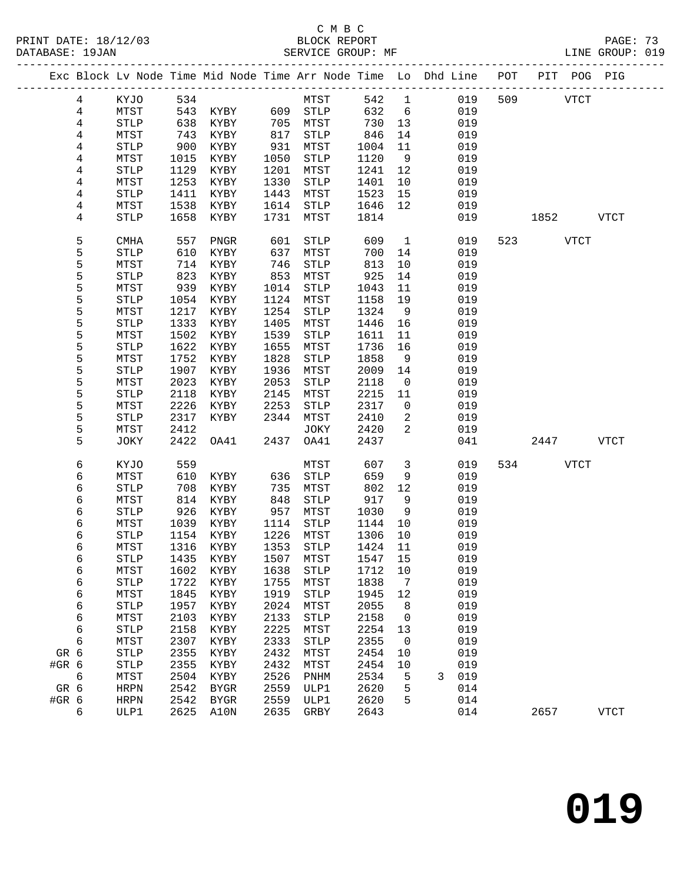|       |                |              |      | Exc Block Lv Node Time Mid Node Time Arr Node Time Lo Dhd Line POT PIT POG PIG |      |              |         |                |   |     |     |          |             |             |
|-------|----------------|--------------|------|--------------------------------------------------------------------------------|------|--------------|---------|----------------|---|-----|-----|----------|-------------|-------------|
|       | 4              | KYJO         | 534  |                                                                                |      | MTST         | 542     | $\mathbf{1}$   |   | 019 | 509 |          | <b>VTCT</b> |             |
|       | $\overline{4}$ | MTST         | 543  | KYBY                                                                           |      | 609 STLP     | 632     | 6              |   | 019 |     |          |             |             |
|       | 4              | <b>STLP</b>  | 638  | KYBY                                                                           | 705  | MTST         | 730     | 13             |   | 019 |     |          |             |             |
|       | 4              | MTST         | 743  | KYBY                                                                           | 817  | STLP         | 846     | 14             |   | 019 |     |          |             |             |
|       | 4              | <b>STLP</b>  | 900  | KYBY                                                                           | 931  | MTST         | 1004    | 11             |   | 019 |     |          |             |             |
|       | 4              | MTST         | 1015 | KYBY                                                                           | 1050 | STLP         | 1120    | 9              |   | 019 |     |          |             |             |
|       | 4              | <b>STLP</b>  | 1129 | KYBY                                                                           | 1201 | MTST         | 1241    | 12             |   | 019 |     |          |             |             |
|       | 4              | MTST         | 1253 | KYBY                                                                           | 1330 | STLP         | 1401    | 10             |   | 019 |     |          |             |             |
|       | 4              | <b>STLP</b>  | 1411 | KYBY                                                                           | 1443 | MTST         | 1523    | 15             |   | 019 |     |          |             |             |
|       | 4              | MTST         | 1538 | KYBY                                                                           | 1614 | STLP         | 1646    | 12             |   | 019 |     |          |             |             |
|       | 4              | <b>STLP</b>  | 1658 | KYBY                                                                           | 1731 | MTST         | 1814    |                |   | 019 |     | 1852     |             | <b>VTCT</b> |
|       |                |              |      |                                                                                |      |              |         |                |   |     |     |          |             |             |
|       | 5              | <b>CMHA</b>  | 557  | PNGR                                                                           | 601  | STLP         | 609     | $\overline{1}$ |   | 019 |     | 523 VTCT |             |             |
|       | 5              | <b>STLP</b>  | 610  | KYBY                                                                           | 637  | MTST         | 700     | 14             |   | 019 |     |          |             |             |
|       | 5              | MTST         | 714  | KYBY                                                                           | 746  | <b>STLP</b>  | 813     | 10             |   | 019 |     |          |             |             |
|       | 5              | <b>STLP</b>  | 823  | KYBY                                                                           | 853  | MTST         | 925     | 14             |   | 019 |     |          |             |             |
|       | 5              | MTST         | 939  | KYBY                                                                           | 1014 | STLP         | 1043    | 11             |   | 019 |     |          |             |             |
|       | 5              | STLP         | 1054 | KYBY                                                                           | 1124 | MTST         | 1158    | 19             |   | 019 |     |          |             |             |
|       | 5              | MTST         | 1217 | KYBY                                                                           | 1254 | STLP         | 1324    | 9              |   | 019 |     |          |             |             |
|       | 5              | <b>STLP</b>  | 1333 | KYBY                                                                           | 1405 | MTST         | 1446    | 16             |   | 019 |     |          |             |             |
|       | 5              | MTST         | 1502 | KYBY                                                                           | 1539 | <b>STLP</b>  | 1611    | 11             |   | 019 |     |          |             |             |
|       | 5              | <b>STLP</b>  | 1622 | KYBY                                                                           | 1655 | MTST         | 1736    | 16             |   | 019 |     |          |             |             |
|       | 5              | MTST         | 1752 | KYBY                                                                           | 1828 | <b>STLP</b>  | 1858    | 9              |   | 019 |     |          |             |             |
|       | 5              | <b>STLP</b>  | 1907 | KYBY                                                                           | 1936 | MTST         | 2009    | 14             |   | 019 |     |          |             |             |
|       | 5              | MTST         | 2023 | KYBY                                                                           | 2053 | STLP         | 2118    | $\overline{0}$ |   | 019 |     |          |             |             |
|       | 5              | <b>STLP</b>  | 2118 | KYBY                                                                           | 2145 | MTST         | 2215    | 11             |   | 019 |     |          |             |             |
|       | 5              | MTST         | 2226 | KYBY                                                                           | 2253 | STLP         | 2317    | $\overline{0}$ |   | 019 |     |          |             |             |
|       | 5              | <b>STLP</b>  | 2317 | KYBY                                                                           | 2344 | MTST         | 2410    | 2              |   | 019 |     |          |             |             |
|       | 5              | MTST         | 2412 |                                                                                |      | JOKY         | 2420    | 2              |   | 019 |     |          |             |             |
|       | 5              | JOKY         | 2422 | OA41                                                                           | 2437 | OA41         | 2437    |                |   | 041 |     | 2447     |             | VTCT        |
|       | 6              | KYJO         | 559  |                                                                                |      | MTST         | 607     | $\mathbf{3}$   |   | 019 |     | 534 VTCT |             |             |
|       | 6              | MTST         | 610  | KYBY                                                                           | 636  | STLP         | 659     | 9              |   | 019 |     |          |             |             |
|       | 6              | <b>STLP</b>  | 708  | KYBY                                                                           | 735  | MTST         | 802     | 12             |   | 019 |     |          |             |             |
|       | 6              | MTST         | 814  | KYBY                                                                           | 848  | STLP         | 917     | 9              |   | 019 |     |          |             |             |
|       | 6              | <b>STLP</b>  | 926  | KYBY                                                                           | 957  | MTST         | 1030    | 9              |   | 019 |     |          |             |             |
|       | 6              | MTST         | 1039 | KYBY                                                                           | 1114 | STLP         | 1144    | 10             |   | 019 |     |          |             |             |
|       | 6              | STLP         | 1154 | KYBY                                                                           | 1226 | MTST         | 1306    | 10             |   | 019 |     |          |             |             |
|       | 6              | MTST         | 1316 | KYBY                                                                           |      | 1353 STLP    | 1424    | 11             |   | 019 |     |          |             |             |
|       | 6              | ${\tt STLP}$ |      | 1435 KYBY 1507 MTST                                                            |      |              | 1547 15 |                |   | 019 |     |          |             |             |
|       | 6              | MTST         | 1602 | KYBY                                                                           | 1638 | <b>STLP</b>  | 1712    | 10             |   | 019 |     |          |             |             |
|       | 6              | STLP         | 1722 | KYBY                                                                           | 1755 | MTST         | 1838    | 7              |   | 019 |     |          |             |             |
|       | 6              | MTST         | 1845 | KYBY                                                                           | 1919 | <b>STLP</b>  | 1945    | 12             |   | 019 |     |          |             |             |
|       | 6              | <b>STLP</b>  | 1957 | KYBY                                                                           | 2024 | MTST         | 2055    | 8              |   | 019 |     |          |             |             |
|       | 6              | MTST         | 2103 | KYBY                                                                           | 2133 | <b>STLP</b>  | 2158    | 0              |   | 019 |     |          |             |             |
|       | 6              | <b>STLP</b>  | 2158 | KYBY                                                                           | 2225 | MTST         | 2254    | 13             |   | 019 |     |          |             |             |
|       | 6              | MTST         | 2307 | KYBY                                                                           | 2333 | STLP         | 2355    | 0              |   | 019 |     |          |             |             |
| GR 6  |                | <b>STLP</b>  | 2355 | KYBY                                                                           | 2432 | MTST         | 2454    | 10             |   | 019 |     |          |             |             |
| #GR 6 |                | <b>STLP</b>  | 2355 | KYBY                                                                           | 2432 | ${\tt MTST}$ | 2454    | 10             |   | 019 |     |          |             |             |
|       | 6              | MTST         | 2504 | KYBY                                                                           | 2526 | PNHM         | 2534    | 5              | 3 | 019 |     |          |             |             |
| GR 6  |                | <b>HRPN</b>  | 2542 | BYGR                                                                           | 2559 | ULP1         | 2620    | 5              |   | 014 |     |          |             |             |
| #GR 6 |                | <b>HRPN</b>  | 2542 | <b>BYGR</b>                                                                    | 2559 | ULP1         | 2620    | 5              |   | 014 |     |          |             |             |
|       | 6              | ULP1         | 2625 | A10N                                                                           | 2635 | GRBY         | 2643    |                |   | 014 |     | 2657     |             | <b>VTCT</b> |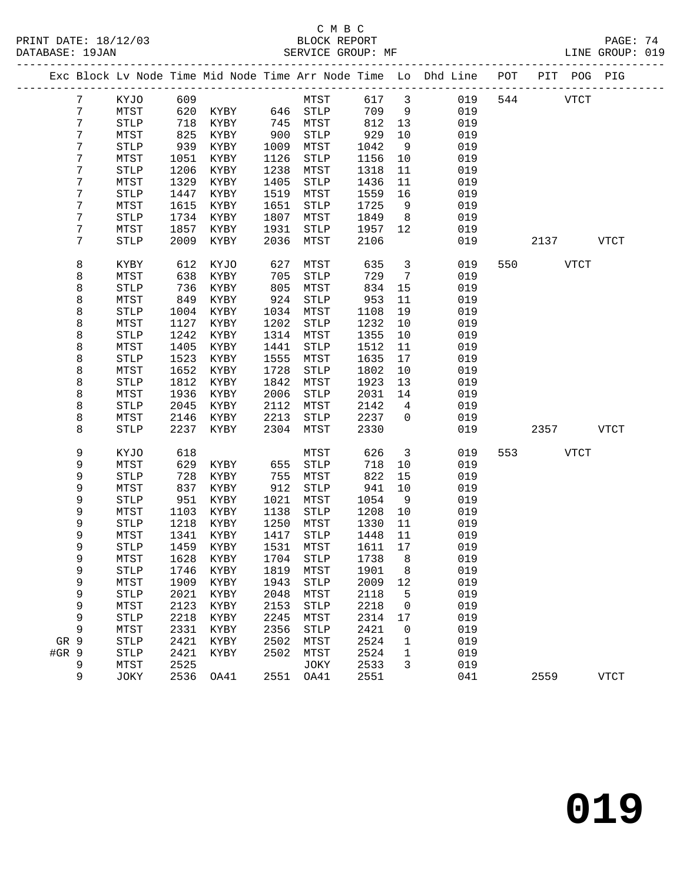#### C M B C<br>BLOCK REPORT PRINT DATE: 18/12/03 BLOCK REPORT PAGE: 74 SERVICE GROUP: MF

|                 |                       |      |                            |      |              |              |                         | Exc Block Lv Node Time Mid Node Time Arr Node Time Lo Dhd Line POT PIT POG PIG |     |             |             |
|-----------------|-----------------------|------|----------------------------|------|--------------|--------------|-------------------------|--------------------------------------------------------------------------------|-----|-------------|-------------|
| $7\phantom{.0}$ | KYJO                  | 609  |                            |      | MTST         | 617 3        |                         | 019                                                                            |     | 544 VTCT    |             |
| 7               | MTST                  | 620  | KYBY 646 STLP              |      |              | 709          | 9                       | 019                                                                            |     |             |             |
| 7               | ${\tt STLP}$          | 718  | KYBY                       | 745  | MTST         | 812 13       |                         | 019                                                                            |     |             |             |
| 7               | MTST                  | 825  | KYBY                       | 900  | STLP         | 929          | 10                      | 019                                                                            |     |             |             |
| 7               | <b>STLP</b>           | 939  | KYBY                       | 1009 | MTST         | 1042         | 9                       | 019                                                                            |     |             |             |
| 7               | MTST                  | 1051 | KYBY                       | 1126 | STLP         | 1156         | 10                      | 019                                                                            |     |             |             |
| 7               | <b>STLP</b>           | 1206 | KYBY                       | 1238 | MTST         | 1318         | 11                      | 019                                                                            |     |             |             |
| 7               | MTST                  | 1329 | KYBY                       | 1405 | ${\tt STLP}$ | 1436         | 11                      | 019                                                                            |     |             |             |
| 7               |                       | 1447 |                            | 1519 |              |              | 16                      |                                                                                |     |             |             |
| 7               | <b>STLP</b>           | 1615 | KYBY<br>KYBY               |      | MTST         | 1559<br>1725 | 9                       | 019<br>019                                                                     |     |             |             |
| 7               | MTST                  |      |                            | 1651 | STLP         |              |                         |                                                                                |     |             |             |
|                 | <b>STLP</b>           | 1734 | KYBY                       | 1807 | MTST         | 1849         | 8 <sup>8</sup>          | 019                                                                            |     |             |             |
| 7               | MTST                  | 1857 | KYBY                       | 1931 | STLP         | 1957         | 12                      | 019                                                                            |     |             |             |
| 7               | <b>STLP</b>           | 2009 | KYBY                       | 2036 | MTST         | 2106         |                         | 019                                                                            |     | 2137 VTCT   |             |
| 8               | KYBY                  | 612  | KYJO                       | 627  | MTST         | 635          | $\overline{3}$          | 019                                                                            |     | 550 VTCT    |             |
| 8               | MTST                  | 638  | KYBY                       | 705  | STLP         | 729          | $\overline{7}$          | 019                                                                            |     |             |             |
| 8               | <b>STLP</b>           | 736  | KYBY                       | 805  | MTST         | 834          | 15                      | 019                                                                            |     |             |             |
| 8               | MTST                  | 849  | KYBY                       | 924  | STLP         | 953          | 11                      | 019                                                                            |     |             |             |
| 8               | <b>STLP</b>           | 1004 | KYBY                       | 1034 | MTST         | 1108         | 19                      | 019                                                                            |     |             |             |
| 8               | MTST                  | 1127 | KYBY                       | 1202 | STLP         | 1232         | 10                      | 019                                                                            |     |             |             |
| 8               | <b>STLP</b>           | 1242 | KYBY                       | 1314 | MTST         | 1355         | 10                      | 019                                                                            |     |             |             |
| 8               | MTST                  | 1405 | KYBY                       | 1441 | STLP         | 1512         | 11                      | 019                                                                            |     |             |             |
| 8               | <b>STLP</b>           | 1523 | KYBY                       | 1555 | MTST         | 1635         | 17                      | 019                                                                            |     |             |             |
| 8               | MTST                  | 1652 | KYBY                       | 1728 | STLP         | 1802         | 10                      | 019                                                                            |     |             |             |
| 8               | <b>STLP</b>           | 1812 | KYBY                       | 1842 | MTST         | 1923         | 13                      | 019                                                                            |     |             |             |
| 8               | MTST                  | 1936 | KYBY                       | 2006 | STLP         | 2031         | 14                      | 019                                                                            |     |             |             |
| 8               | <b>STLP</b>           | 2045 | KYBY                       | 2112 | MTST         | 2142         | $\overline{4}$          | 019                                                                            |     |             |             |
| 8               | MTST                  | 2146 | KYBY                       | 2213 | STLP         | 2237         | $\overline{0}$          | 019                                                                            |     |             |             |
| 8               | <b>STLP</b>           | 2237 | KYBY                       | 2304 | MTST         | 2330         |                         | 019                                                                            |     | 2357 VTCT   |             |
| 9               | KYJO                  | 618  |                            |      | MTST         | 626          | $\overline{\mathbf{3}}$ | 019                                                                            | 553 | <b>VTCT</b> |             |
| 9               | MTST                  | 629  | KYBY                       | 655  | STLP         | 718          | 10                      | 019                                                                            |     |             |             |
| 9               | <b>STLP</b>           | 728  | KYBY                       | 755  | MTST         | 822          | 15                      | 019                                                                            |     |             |             |
| 9               | MTST                  | 837  | KYBY                       | 912  | STLP         | 941          | 10                      | 019                                                                            |     |             |             |
| 9               | $\operatorname{STLP}$ | 951  | KYBY                       | 1021 | MTST         | 1054         | 9                       | 019                                                                            |     |             |             |
| 9               | MTST                  | 1103 | KYBY                       | 1138 | STLP         | 1208         | 10                      | 019                                                                            |     |             |             |
| 9               | STLP                  | 1218 | KYBY                       | 1250 | MTST         | 1330         | 11                      | 019                                                                            |     |             |             |
| 9               | MTST                  | 1341 | KYBY                       | 1417 | STLP         | 1448         | 11                      | 019                                                                            |     |             |             |
| 9               | <b>STLP</b>           | 1459 | KYBY                       |      | 1531 MTST    | 1611 17      |                         | 019                                                                            |     |             |             |
| 9               | MTST                  |      | 1628 KYBY 1704 STLP 1738 8 |      |              |              |                         | 019                                                                            |     |             |             |
| 9               | STLP                  | 1746 | KYBY                       | 1819 | MTST         | 1901         | 8                       | 019                                                                            |     |             |             |
| 9               | MTST                  | 1909 | KYBY                       | 1943 | STLP         | 2009         | 12                      | 019                                                                            |     |             |             |
| 9               | <b>STLP</b>           | 2021 | KYBY                       | 2048 | MTST         | 2118         | 5                       | 019                                                                            |     |             |             |
| 9               | MTST                  | 2123 | KYBY                       | 2153 | STLP         | 2218         | 0                       | 019                                                                            |     |             |             |
| 9               | <b>STLP</b>           | 2218 | KYBY                       | 2245 | MTST         | 2314         | 17                      | 019                                                                            |     |             |             |
| 9               | MTST                  | 2331 | KYBY                       | 2356 | STLP         | 2421         | 0                       | 019                                                                            |     |             |             |
| GR 9            | <b>STLP</b>           | 2421 | KYBY                       | 2502 | MTST         | 2524         | 1                       | 019                                                                            |     |             |             |
| #GR 9           | <b>STLP</b>           | 2421 | KYBY                       | 2502 | MTST         | 2524         | $\mathbf{1}$            | 019                                                                            |     |             |             |
| 9               | MTST                  | 2525 |                            |      | JOKY         | 2533         | 3                       | 019                                                                            |     |             |             |
| 9               | JOKY                  | 2536 | OA41                       | 2551 | OA41         | 2551         |                         | 041                                                                            |     | 2559        | <b>VTCT</b> |
|                 |                       |      |                            |      |              |              |                         |                                                                                |     |             |             |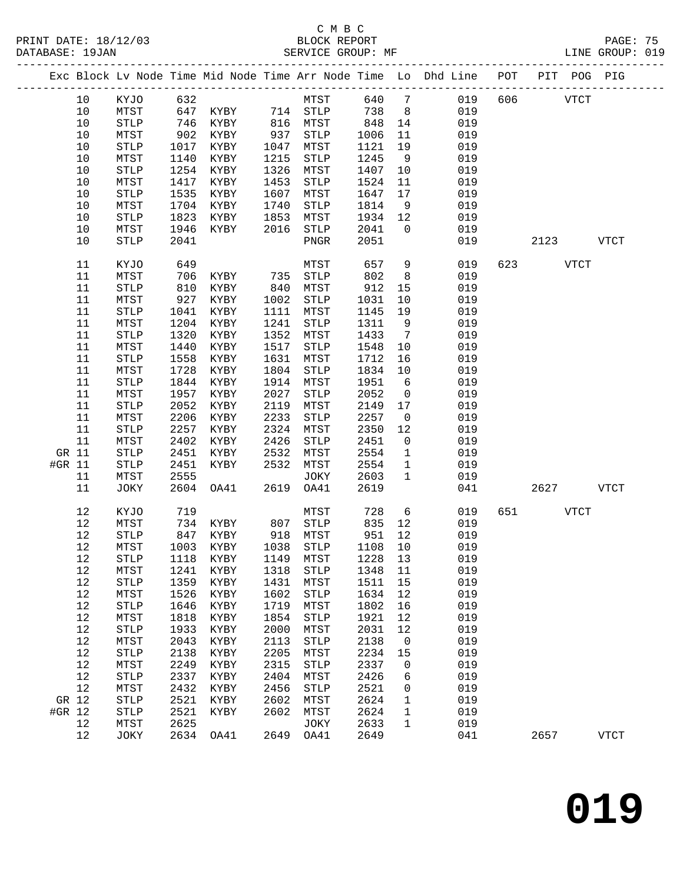|        |      |                       |      |                                |      |                             |      |                 | Exc Block Lv Node Time Mid Node Time Arr Node Time Lo Dhd Line POT PIT POG PIG |     |          |             |             |
|--------|------|-----------------------|------|--------------------------------|------|-----------------------------|------|-----------------|--------------------------------------------------------------------------------|-----|----------|-------------|-------------|
|        | 10   | KYJO                  | 632  |                                |      | MTST                        | 640  | $\overline{7}$  | 019                                                                            | 606 |          | <b>VTCT</b> |             |
|        | 10   | MTST                  | 647  |                                |      |                             | 738  | 8 <sup>8</sup>  | 019                                                                            |     |          |             |             |
|        | $10$ | $\operatorname{STLP}$ | 746  | KYBY 714 STLP<br>KYBY 816 MTST |      |                             | 848  | 14              | 019                                                                            |     |          |             |             |
|        | $10$ | MTST                  | 902  | KYBY                           | 937  | STLP                        | 1006 | 11              | 019                                                                            |     |          |             |             |
|        | 10   | <b>STLP</b>           | 1017 | KYBY                           | 1047 | MTST                        | 1121 | 19              | 019                                                                            |     |          |             |             |
|        | 10   | MTST                  | 1140 | KYBY                           | 1215 | STLP                        | 1245 | 9               | 019                                                                            |     |          |             |             |
|        | $10$ | <b>STLP</b>           | 1254 | KYBY                           | 1326 | MTST                        | 1407 | 10              | 019                                                                            |     |          |             |             |
|        | $10$ | MTST                  | 1417 | KYBY                           | 1453 | ${\tt STLP}$                | 1524 | 11              | 019                                                                            |     |          |             |             |
|        | 10   | <b>STLP</b>           | 1535 | KYBY                           | 1607 | MTST                        | 1647 | 17              | 019                                                                            |     |          |             |             |
|        | 10   | MTST                  | 1704 | KYBY                           | 1740 | STLP                        | 1814 | 9               | 019                                                                            |     |          |             |             |
|        | $10$ | <b>STLP</b>           | 1823 | KYBY                           | 1853 | MTST                        | 1934 | 12              | 019                                                                            |     |          |             |             |
|        | $10$ | ${\tt MTST}$          | 1946 | KYBY                           | 2016 | STLP                        | 2041 | $\overline{0}$  | 019                                                                            |     |          |             |             |
|        | 10   | <b>STLP</b>           | 2041 |                                |      | PNGR                        | 2051 |                 | 019                                                                            |     | 2123     |             | VTCT        |
|        |      |                       |      |                                |      |                             |      |                 |                                                                                |     |          |             |             |
|        | 11   | KYJO                  | 649  |                                |      | MTST                        | 657  | 9               | 019                                                                            |     | 623 VTCT |             |             |
|        | 11   | MTST                  | 706  | KYBY                           | 735  | STLP                        | 802  | 8               | 019                                                                            |     |          |             |             |
|        | 11   | $\operatorname{STLP}$ | 810  | KYBY                           | 840  | MTST                        | 912  | 15              | 019                                                                            |     |          |             |             |
|        | 11   | MTST                  | 927  | KYBY                           | 1002 | STLP                        | 1031 | 10              | 019                                                                            |     |          |             |             |
|        | 11   | <b>STLP</b>           | 1041 | KYBY                           | 1111 | MTST                        | 1145 | 19              | 019                                                                            |     |          |             |             |
|        | 11   | ${\tt MTST}$          | 1204 | KYBY                           | 1241 | ${\tt STLP}$                | 1311 | 9               | 019                                                                            |     |          |             |             |
|        | 11   | <b>STLP</b>           | 1320 | KYBY                           | 1352 | MTST                        | 1433 | $\overline{7}$  | 019                                                                            |     |          |             |             |
|        | 11   | MTST                  | 1440 | KYBY                           | 1517 | STLP                        | 1548 | 10              | 019                                                                            |     |          |             |             |
|        | 11   | <b>STLP</b>           | 1558 | KYBY                           | 1631 | MTST                        | 1712 | 16              | 019                                                                            |     |          |             |             |
|        | 11   | MTST                  | 1728 | KYBY                           | 1804 | STLP                        | 1834 | 10              | 019                                                                            |     |          |             |             |
|        | 11   | STLP                  | 1844 | KYBY                           | 1914 | MTST                        | 1951 | $6\overline{6}$ | 019                                                                            |     |          |             |             |
|        | 11   | MTST                  | 1957 | KYBY                           | 2027 | ${\tt STLP}$                | 2052 | $\overline{0}$  | 019                                                                            |     |          |             |             |
|        | 11   | <b>STLP</b>           | 2052 | KYBY                           | 2119 | MTST                        | 2149 | 17              | 019                                                                            |     |          |             |             |
|        | 11   | ${\tt MTST}$          | 2206 | KYBY                           | 2233 | STLP                        | 2257 | $\overline{0}$  | 019                                                                            |     |          |             |             |
|        | 11   | <b>STLP</b>           | 2257 | KYBY                           | 2324 | MTST                        | 2350 | 12              | 019                                                                            |     |          |             |             |
|        | 11   | MTST                  | 2402 | KYBY                           | 2426 | STLP                        | 2451 | $\mathsf{O}$    | 019                                                                            |     |          |             |             |
| GR 11  |      | <b>STLP</b>           | 2451 | KYBY                           | 2532 | MTST                        | 2554 | $\mathbf 1$     | 019                                                                            |     |          |             |             |
| #GR 11 |      | <b>STLP</b>           | 2451 | KYBY                           | 2532 | MTST                        | 2554 | $\mathbf{1}$    | 019                                                                            |     |          |             |             |
|        | 11   | MTST                  | 2555 |                                |      | JOKY                        | 2603 | $\mathbf{1}$    | 019                                                                            |     |          |             |             |
|        | 11   | JOKY                  | 2604 | OA41                           | 2619 | OA41                        | 2619 |                 | 041                                                                            |     | 2627     |             | <b>VTCT</b> |
|        | 12   | KYJO                  | 719  |                                |      | MTST                        | 728  | $6\overline{6}$ | 019                                                                            | 651 |          | <b>VTCT</b> |             |
|        | 12   | MTST                  | 734  | KYBY                           |      | 807 STLP                    | 835  | 12              | 019                                                                            |     |          |             |             |
|        | 12   | $\operatorname{STLP}$ | 847  | KYBY                           |      | 918 MTST                    | 951  | 12              | 019                                                                            |     |          |             |             |
|        | 12   | MTST                  |      | 1003 KYBY                      |      | 1038 STLP                   | 1108 | 10              | 019                                                                            |     |          |             |             |
|        | 12   | STLP                  |      |                                |      | 1118 KYBY 1149 MTST 1228 13 |      |                 | 019                                                                            |     |          |             |             |
|        | 12   | MTST                  | 1241 | KYBY                           | 1318 | <b>STLP</b>                 | 1348 | 11              | 019                                                                            |     |          |             |             |
|        | 12   | <b>STLP</b>           | 1359 | KYBY                           | 1431 | MTST                        | 1511 | 15              | 019                                                                            |     |          |             |             |
|        | 12   | MTST                  | 1526 | KYBY                           | 1602 | STLP                        | 1634 | 12              | 019                                                                            |     |          |             |             |
|        | 12   | <b>STLP</b>           | 1646 | KYBY                           | 1719 | MTST                        | 1802 | 16              | 019                                                                            |     |          |             |             |
|        | 12   | MTST                  | 1818 | KYBY                           | 1854 | STLP                        | 1921 | 12              | 019                                                                            |     |          |             |             |
|        | 12   | STLP                  | 1933 | KYBY                           | 2000 | MTST                        | 2031 | 12              | 019                                                                            |     |          |             |             |
|        | 12   | MTST                  | 2043 | KYBY                           | 2113 | STLP                        | 2138 | 0               | 019                                                                            |     |          |             |             |
|        | $12$ | <b>STLP</b>           | 2138 | KYBY                           | 2205 | MTST                        | 2234 | 15              | 019                                                                            |     |          |             |             |
|        | 12   | MTST                  | 2249 | KYBY                           | 2315 | STLP                        | 2337 | 0               | 019                                                                            |     |          |             |             |
|        | 12   | <b>STLP</b>           | 2337 | KYBY                           | 2404 | MTST                        | 2426 | 6               | 019                                                                            |     |          |             |             |
|        | 12   | MTST                  | 2432 | KYBY                           | 2456 | STLP                        | 2521 | 0               | 019                                                                            |     |          |             |             |
| GR 12  |      | <b>STLP</b>           | 2521 | KYBY                           | 2602 | MTST                        | 2624 | 1               | 019                                                                            |     |          |             |             |
| #GR 12 |      | STLP                  | 2521 | KYBY                           | 2602 | MTST                        | 2624 | 1               | 019                                                                            |     |          |             |             |
|        | 12   | MTST                  | 2625 |                                |      | JOKY                        | 2633 | $\mathbf 1$     | 019                                                                            |     |          |             |             |
|        | 12   | JOKY                  | 2634 | OA41                           | 2649 | OA41                        | 2649 |                 | 041                                                                            |     | 2657     |             | <b>VTCT</b> |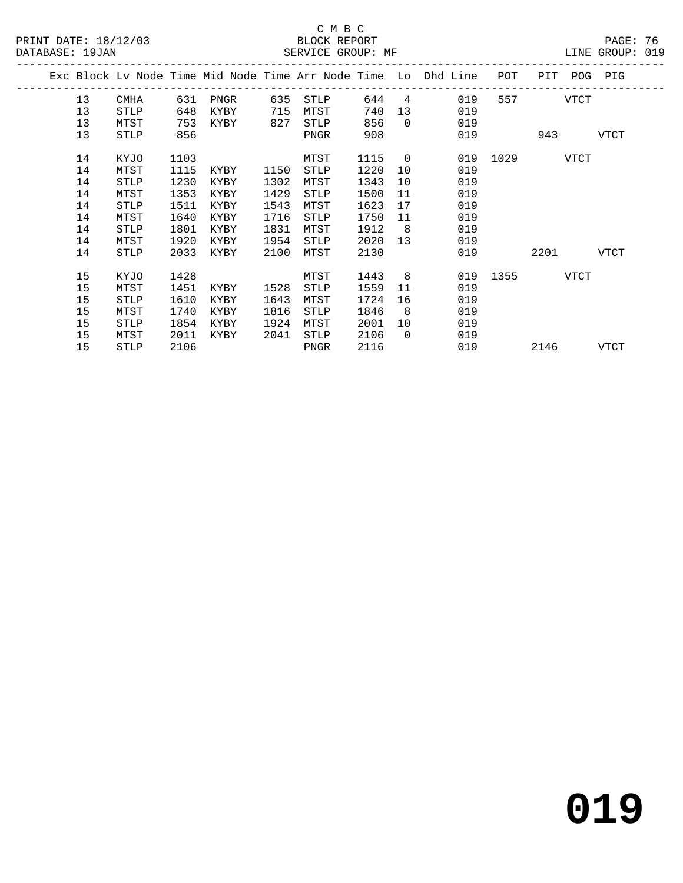|    |             |      |          |      |             |      |                  | Exc Block Lv Node Time Mid Node Time Arr Node Time Lo Dhd Line | POT | PIT POG PIG   |      |  |
|----|-------------|------|----------|------|-------------|------|------------------|----------------------------------------------------------------|-----|---------------|------|--|
| 13 | CMHA        | 631  | PNGR     | 635  | STLP        | 644  |                  | $\overline{4}$<br>019                                          | 557 | <b>VTCT</b>   |      |  |
| 13 | STLP        | 648  | KYBY     | 715  | MTST        | 740  |                  | 13<br>019                                                      |     |               |      |  |
| 13 | MTST        | 753  | KYBY 827 |      | STLP        | 856  | $\overline{0}$   | 019                                                            |     |               |      |  |
| 13 | STLP        | 856  |          |      | PNGR        | 908  |                  | 019                                                            |     | 943 VTCT      |      |  |
| 14 | KYJO        | 1103 |          |      | MTST        | 1115 | $\overline{0}$   |                                                                |     | 019 1029 VTCT |      |  |
| 14 | MTST        | 1115 | KYBY     | 1150 | STLP        | 1220 | 10               | 019                                                            |     |               |      |  |
| 14 | STLP        | 1230 | KYBY     | 1302 | MTST        | 1343 | 10               | 019                                                            |     |               |      |  |
| 14 | MTST        | 1353 | KYBY     | 1429 | STLP        | 1500 | 11               | 019                                                            |     |               |      |  |
| 14 | STLP        | 1511 | KYBY     | 1543 | MTST        | 1623 | 17               | 019                                                            |     |               |      |  |
| 14 | MTST        | 1640 | KYBY     | 1716 | STLP        | 1750 | 11               | 019                                                            |     |               |      |  |
| 14 | STLP        | 1801 | KYBY     | 1831 | MTST        | 1912 | 8 <sup>8</sup>   | 019                                                            |     |               |      |  |
| 14 | MTST        | 1920 | KYBY     | 1954 | STLP        | 2020 | 13               | 019                                                            |     |               |      |  |
| 14 | STLP        | 2033 | KYBY     | 2100 | MTST        | 2130 |                  | 019                                                            |     | 2201 VTCT     |      |  |
| 15 | KYJO        | 1428 |          |      | MTST        | 1443 | $8 \overline{)}$ |                                                                |     | 019 1355 VTCT |      |  |
| 15 | MTST        | 1451 | KYBY     | 1528 | <b>STLP</b> | 1559 | 11               | 019                                                            |     |               |      |  |
| 15 | STLP        | 1610 | KYBY     | 1643 | MTST        | 1724 | 16               | 019                                                            |     |               |      |  |
| 15 | MTST        | 1740 | KYBY     | 1816 | STLP        | 1846 | 8                | 019                                                            |     |               |      |  |
| 15 | STLP        | 1854 | KYBY     | 1924 | MTST        | 2001 | 10               | 019                                                            |     |               |      |  |
| 15 | MTST        | 2011 | KYBY     | 2041 | STLP        | 2106 | $\Omega$         | 019                                                            |     |               |      |  |
| 15 | <b>STLP</b> | 2106 |          |      | PNGR        | 2116 |                  | 019                                                            |     | 2146          | VTCT |  |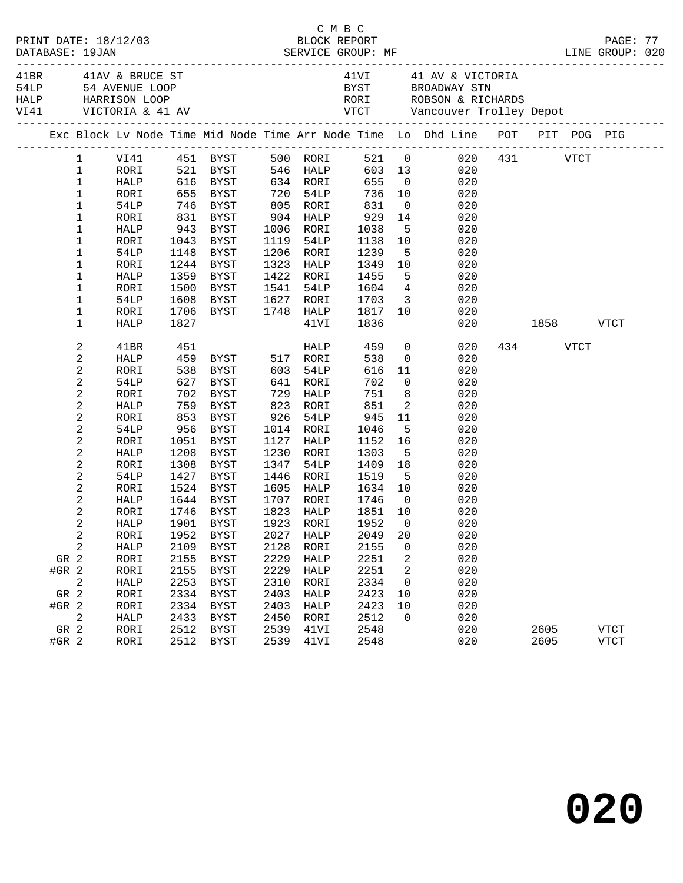|                 | DATABASE: 19JAN | PRINT DATE: 18/12/03 |              |                                 |              |              |                                                      |                | C M B C<br>BLOCK REPORT BLOCK REPORT PAGE: 77<br>SERVICE GROUP: MF GROUP LINE GROUP: 020                                                                                                                                                                                     |           |              |                            |  |
|-----------------|-----------------|----------------------|--------------|---------------------------------|--------------|--------------|------------------------------------------------------|----------------|------------------------------------------------------------------------------------------------------------------------------------------------------------------------------------------------------------------------------------------------------------------------------|-----------|--------------|----------------------------|--|
|                 |                 |                      |              |                                 |              |              |                                                      |                | 41<br>BR 41AV & BRUCE ST 41VI 41 AV & VICTORIA 54LP 54 AVENUE LOOP BYST BROADWAY STN<br>RALP HARRISON LOOP RORI ROBSON & RICHARDS VI41 VICTORIA & 41 AV<br>$\begin{tabular}{lllllllll} \mbox{MARISON LOOP} & $\quad$ & 41\,{\rm W} & $\quad$ & 41\,{\rm AV} & $\quad$ & 41\$ |           |              |                            |  |
|                 |                 |                      |              |                                 |              |              |                                                      |                | Exc Block Lv Node Time Mid Node Time Arr Node Time Lo Dhd Line POT PIT POG PIG                                                                                                                                                                                               |           |              |                            |  |
|                 |                 |                      |              |                                 |              |              |                                                      |                |                                                                                                                                                                                                                                                                              |           |              |                            |  |
|                 | $\mathbf{1}$    | RORI                 |              |                                 |              |              |                                                      |                | 603 13 020                                                                                                                                                                                                                                                                   |           |              |                            |  |
|                 | $\mathbf{1}$    | HALP                 |              |                                 |              |              |                                                      |                |                                                                                                                                                                                                                                                                              |           |              |                            |  |
|                 | $\mathbf{1}$    | RORI                 |              |                                 |              |              |                                                      |                | 521 BYST 546 HALP 603 13 020<br>616 BYST 634 RORI 655 0 020<br>655 BYST 720 54LP 736 10 020                                                                                                                                                                                  |           |              |                            |  |
|                 | $\mathbf{1}$    | 54LP                 |              | 746 BYST 805 RORI               |              |              | 831                                                  |                | $0 \qquad \qquad 020$                                                                                                                                                                                                                                                        |           |              |                            |  |
|                 | $\mathbf{1}$    | RORI                 |              | 831 BYST                        |              | $904$ HALP   |                                                      |                | 14 020                                                                                                                                                                                                                                                                       |           |              |                            |  |
|                 | $\mathbf 1$     | HALP                 | 943          | BYST                            |              | 1006 RORI    | 929<br>1038<br>1138                                  | 5 <sub>5</sub> | 020                                                                                                                                                                                                                                                                          |           |              |                            |  |
|                 | $\mathbf 1$     | RORI                 | 1043         | BYST                            |              | 1119 54LP    | 1138                                                 |                | $\frac{5}{10}$ 020                                                                                                                                                                                                                                                           |           |              |                            |  |
|                 | $\mathbf 1$     | 54LP                 |              | 1148 BYST                       |              | 1206 RORI    | 1239                                                 |                | 5 <sub>1</sub><br>020                                                                                                                                                                                                                                                        |           |              |                            |  |
|                 | $\mathbf 1$     | RORI                 |              | 1244 BYST                       |              | 1323 HALP    | 1349                                                 |                | 10<br>020                                                                                                                                                                                                                                                                    |           |              |                            |  |
|                 | $\mathbf 1$     | HALP                 |              | 1359 BYST                       |              | 1422 RORI    |                                                      |                | 020                                                                                                                                                                                                                                                                          |           |              |                            |  |
|                 | $\mathbf 1$     | RORI                 |              | 1500 BYST                       |              | 1541 54LP    | $\begin{array}{cc} 1455 & 5 \\ 1604 & 4 \end{array}$ |                | 020                                                                                                                                                                                                                                                                          |           |              |                            |  |
|                 | $\mathbf 1$     | 54LP                 | 1608         | BYST 1627 RORI                  |              |              | 1703 3                                               |                | 020                                                                                                                                                                                                                                                                          |           |              |                            |  |
|                 | $\mathbf 1$     | RORI                 | 1706         | BYST 1748 HALP 1817 10          |              |              |                                                      |                | 020                                                                                                                                                                                                                                                                          |           |              |                            |  |
|                 | 1               | <b>HALP</b>          | 1827         |                                 |              | 41VI         | 1836                                                 |                | 020                                                                                                                                                                                                                                                                          | 1858 VTCT |              |                            |  |
|                 | 2               | 41BR                 | 451          |                                 |              | <b>HALP</b>  | 459                                                  |                | $\overline{0}$<br>020                                                                                                                                                                                                                                                        |           | 434 VTCT     |                            |  |
|                 | 2               | HALP                 |              | 459 BYST 517 RORI               |              |              | 538                                                  |                | $\overline{0}$<br>020                                                                                                                                                                                                                                                        |           |              |                            |  |
|                 | $\overline{c}$  | RORI                 |              |                                 |              |              | 616                                                  |                | $11$<br>020                                                                                                                                                                                                                                                                  |           |              |                            |  |
|                 | 2               | 54LP                 |              |                                 |              |              | 702                                                  | $\overline{0}$ | 020                                                                                                                                                                                                                                                                          |           |              |                            |  |
|                 | $\overline{c}$  | RORI                 |              | 702 BYST                        |              | 729 HALP     | 751                                                  |                | 8 <sup>1</sup><br>020                                                                                                                                                                                                                                                        |           |              |                            |  |
|                 | $\overline{c}$  | HALP                 |              | 759 BYST                        |              | 823 RORI     | 851                                                  |                | $\overline{2}$<br>020                                                                                                                                                                                                                                                        |           |              |                            |  |
|                 | 2               | RORI                 | 853<br>956   | BYST                            |              | 926 54LP     | 945                                                  |                | 11 020                                                                                                                                                                                                                                                                       |           |              |                            |  |
|                 | $\mathbf{2}$    | 54LP                 |              | BYST                            |              | 1014 RORI    | 1046                                                 | 5 <sup>5</sup> | 020                                                                                                                                                                                                                                                                          |           |              |                            |  |
|                 | 2               | RORI                 | 1051         | BYST                            |              | 1127 HALP    | 1152                                                 |                | 16 10<br>020                                                                                                                                                                                                                                                                 |           |              |                            |  |
|                 | $\mathbf{2}$    | HALP                 | 1208         | BYST                            |              | 1230 RORI    | 1303                                                 | 5 <sup>5</sup> | 020                                                                                                                                                                                                                                                                          |           |              |                            |  |
|                 | 2               | RORI                 | 1308         | BYST                            |              | 1347 54LP    | 1409 18<br>1519 5                                    |                | 18 020                                                                                                                                                                                                                                                                       |           |              |                            |  |
|                 | $\mathbf{2}$    | 54LP                 |              | 1427 BYST                       |              | 1446 RORI    |                                                      |                | 020                                                                                                                                                                                                                                                                          |           |              |                            |  |
|                 | 2               | RORI                 |              | 1524 BYST                       |              |              |                                                      |                | 1605 HALP 1634 10 020                                                                                                                                                                                                                                                        |           |              |                            |  |
|                 | 2               | HALP                 |              | 1644 BYST                       |              |              | 1707 RORI 1746 0                                     |                | 020                                                                                                                                                                                                                                                                          |           |              |                            |  |
|                 | 2               | RORI                 |              | 1746 BYST                       |              | 1823 HALP    | 1851 10                                              |                | 020                                                                                                                                                                                                                                                                          |           |              |                            |  |
|                 | 2               |                      |              | HALP 1901 BYST 1923 RORI 1952 0 |              |              |                                                      |                | 020                                                                                                                                                                                                                                                                          |           |              |                            |  |
|                 | 2               | RORI                 | 1952         | <b>BYST</b>                     | 2027         | HALP         | 2049                                                 | 20             | 020                                                                                                                                                                                                                                                                          |           |              |                            |  |
|                 | 2               | HALP                 | 2109         | <b>BYST</b>                     | 2128         | RORI         | 2155                                                 | 0              | 020                                                                                                                                                                                                                                                                          |           |              |                            |  |
| GR 2            |                 | RORI                 | 2155         | <b>BYST</b>                     | 2229         | HALP         | 2251                                                 | 2              | 020                                                                                                                                                                                                                                                                          |           |              |                            |  |
| $#GR$ 2         |                 | RORI                 | 2155         | <b>BYST</b>                     | 2229         | HALP         | 2251                                                 | 2              | 020                                                                                                                                                                                                                                                                          |           |              |                            |  |
|                 | 2               | HALP                 | 2253         | <b>BYST</b>                     | 2310         | RORI         | 2334                                                 | $\mathbf 0$    | 020                                                                                                                                                                                                                                                                          |           |              |                            |  |
| GR 2            |                 | RORI                 | 2334         | <b>BYST</b>                     | 2403         | <b>HALP</b>  | 2423                                                 | 10             | 020                                                                                                                                                                                                                                                                          |           |              |                            |  |
| $#GR$ 2         |                 | RORI                 | 2334         | <b>BYST</b>                     | 2403         | HALP         | 2423                                                 | 10             | 020                                                                                                                                                                                                                                                                          |           |              |                            |  |
|                 | 2               | HALP                 | 2433         | <b>BYST</b>                     | 2450         | RORI         | 2512                                                 | 0              | 020                                                                                                                                                                                                                                                                          |           |              |                            |  |
| GR 2<br>$#GR$ 2 |                 | RORI<br>RORI         | 2512<br>2512 | <b>BYST</b><br><b>BYST</b>      | 2539<br>2539 | 41VI<br>41VI | 2548<br>2548                                         |                | 020<br>020                                                                                                                                                                                                                                                                   |           | 2605<br>2605 | <b>VTCT</b><br><b>VTCT</b> |  |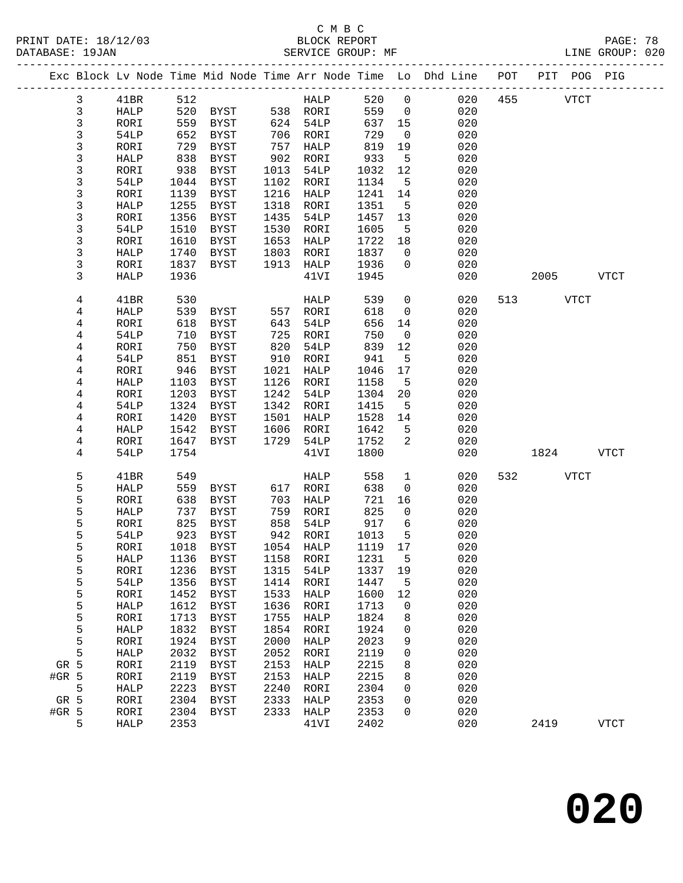|         |              |             |      |                     |      |             |        |                 | Exc Block Lv Node Time Mid Node Time Arr Node Time Lo Dhd Line | POT | PIT  | POG PIG     |             |
|---------|--------------|-------------|------|---------------------|------|-------------|--------|-----------------|----------------------------------------------------------------|-----|------|-------------|-------------|
|         | $\mathbf{3}$ | 41BR        | 512  |                     |      | HALP        | 520    | $\mathsf 0$     | 020                                                            | 455 |      | <b>VTCT</b> |             |
|         | $\mathbf{3}$ | HALP        | 520  | BYST                |      | 538 RORI    | 559    | $\overline{0}$  | 020                                                            |     |      |             |             |
|         | 3            | RORI        | 559  | BYST                | 624  | 54LP        | 637    | 15              | 020                                                            |     |      |             |             |
|         | 3            | 54LP        | 652  | BYST                | 706  | RORI        | 729    | $\overline{0}$  | 020                                                            |     |      |             |             |
|         | 3            | RORI        | 729  | <b>BYST</b>         | 757  | HALP        | 819    | 19              | 020                                                            |     |      |             |             |
|         | 3            | HALP        | 838  | BYST                | 902  | RORI        | 933    | $5\overline{5}$ | 020                                                            |     |      |             |             |
|         | 3            | RORI        | 938  | <b>BYST</b>         | 1013 | <b>54LP</b> | 1032   | 12              | 020                                                            |     |      |             |             |
|         | 3            | 54LP        | 1044 | BYST                | 1102 | RORI        | 1134   | 5               | 020                                                            |     |      |             |             |
|         | 3            | RORI        | 1139 | BYST                | 1216 | HALP        | 1241   | 14              | 020                                                            |     |      |             |             |
|         | 3            | HALP        | 1255 | BYST                | 1318 | RORI        | 1351   | $5^{\circ}$     | 020                                                            |     |      |             |             |
|         | 3            | RORI        | 1356 | <b>BYST</b>         | 1435 | 54LP        | 1457   | 13              | 020                                                            |     |      |             |             |
|         | 3            | 54LP        | 1510 | BYST                | 1530 | RORI        | 1605   | 5               | 020                                                            |     |      |             |             |
|         | 3            | RORI        | 1610 | BYST                | 1653 | HALP        | 1722   | 18              | 020                                                            |     |      |             |             |
|         | 3            | HALP        | 1740 | BYST                | 1803 | RORI        | 1837   | 0               | 020                                                            |     |      |             |             |
|         | 3            | RORI        | 1837 | BYST                | 1913 | HALP        | 1936   | 0               | 020                                                            |     |      |             |             |
|         | 3            | HALP        | 1936 |                     |      | 41VI        | 1945   |                 | 020                                                            |     | 2005 |             | <b>VTCT</b> |
|         |              |             |      |                     |      |             |        |                 |                                                                |     |      |             |             |
|         | 4            | 41BR        | 530  |                     |      | HALP        | 539    | 0               | 020                                                            | 513 |      | <b>VTCT</b> |             |
|         | 4            | HALP        | 539  | <b>BYST</b>         | 557  | RORI        | 618    | $\mathbf 0$     | 020                                                            |     |      |             |             |
|         | 4            | RORI        | 618  | BYST                | 643  | 54LP        | 656    | 14              | 020                                                            |     |      |             |             |
|         | 4            | 54LP        | 710  | BYST                | 725  | RORI        | 750    | 0               | 020                                                            |     |      |             |             |
|         | 4            | RORI        | 750  | BYST                | 820  | 54LP        | 839    | 12              | 020                                                            |     |      |             |             |
|         | 4            | 54LP        | 851  | <b>BYST</b>         | 910  | RORI        | 941    | 5               | 020                                                            |     |      |             |             |
|         | 4            | RORI        | 946  | BYST                | 1021 | HALP        | 1046   | 17              | 020                                                            |     |      |             |             |
|         | 4            | HALP        | 1103 | <b>BYST</b>         | 1126 | RORI        | 1158   | 5               | 020                                                            |     |      |             |             |
|         | 4            | RORI        | 1203 | <b>BYST</b>         | 1242 | 54LP        | 1304   | 20              | 020                                                            |     |      |             |             |
|         | 4            | 54LP        | 1324 | BYST                | 1342 | RORI        | 1415   | $5\overline{5}$ | 020                                                            |     |      |             |             |
|         | 4            | RORI        | 1420 | BYST                | 1501 | HALP        | 1528   | 14              | 020                                                            |     |      |             |             |
|         | 4            | HALP        | 1542 | BYST                | 1606 | RORI        | 1642   | 5               | 020                                                            |     |      |             |             |
|         | 4            | RORI        | 1647 | BYST                | 1729 | 54LP        | 1752   | 2               | 020                                                            |     |      |             |             |
|         | 4            | 54LP        | 1754 |                     |      | 41VI        | 1800   |                 | 020                                                            |     | 1824 |             | <b>VTCT</b> |
|         |              |             |      |                     |      |             |        |                 |                                                                |     |      |             |             |
|         | 5            | 41BR        | 549  |                     |      | <b>HALP</b> | 558    | $\mathbf 1$     | 020                                                            | 532 |      | <b>VTCT</b> |             |
|         | 5            | HALP        | 559  | BYST                | 617  | RORI        | 638    | 0               | 020                                                            |     |      |             |             |
|         | 5            | RORI        | 638  | BYST                | 703  | HALP        | 721    | 16              | 020                                                            |     |      |             |             |
|         | 5            | HALP        | 737  | BYST                | 759  | RORI        | 825    | $\mathbf 0$     | 020                                                            |     |      |             |             |
|         | 5            | RORI        | 825  | BYST                | 858  | 54LP        | 917    | $\sqrt{6}$      | 020                                                            |     |      |             |             |
|         | 5            | 54LP        | 923  | BYST                | 942  | RORI        | 1013   | $5\overline{5}$ | 020                                                            |     |      |             |             |
|         | 5            | RORI        | 1018 | <b>BYST</b>         | 1054 | HALP        | 1119   | 17              | 020                                                            |     |      |             |             |
|         | 5            | HALP        |      | 1136 BYST 1158 RORI |      |             | 1231 5 |                 | 020                                                            |     |      |             |             |
|         | 5            | RORI        | 1236 | BYST                | 1315 | 54LP        | 1337   | 19              | 020                                                            |     |      |             |             |
|         | 5            | 54LP        | 1356 | <b>BYST</b>         | 1414 | RORI        | 1447   | 5               | 020                                                            |     |      |             |             |
|         | 5            | RORI        | 1452 | BYST                | 1533 | HALP        | 1600   | 12              | 020                                                            |     |      |             |             |
|         | 5            | HALP        | 1612 | <b>BYST</b>         | 1636 | RORI        | 1713   | 0               | 020                                                            |     |      |             |             |
|         | 5            | RORI        | 1713 | <b>BYST</b>         | 1755 | HALP        | 1824   | 8               | 020                                                            |     |      |             |             |
|         | 5            | HALP        | 1832 | <b>BYST</b>         | 1854 | RORI        | 1924   | 0               | 020                                                            |     |      |             |             |
|         | 5            | RORI        | 1924 | <b>BYST</b>         | 2000 | HALP        | 2023   | 9               | 020                                                            |     |      |             |             |
|         | 5            | HALP        | 2032 | <b>BYST</b>         | 2052 | RORI        | 2119   | 0               | 020                                                            |     |      |             |             |
|         | GR 5         | RORI        | 2119 | <b>BYST</b>         | 2153 | HALP        | 2215   | 8               | 020                                                            |     |      |             |             |
| $#GR$ 5 |              | RORI        | 2119 | <b>BYST</b>         | 2153 | HALP        | 2215   | 8               | 020                                                            |     |      |             |             |
|         | 5            | <b>HALP</b> | 2223 | <b>BYST</b>         | 2240 | RORI        | 2304   | 0               | 020                                                            |     |      |             |             |
|         | GR 5         | RORI        | 2304 | BYST                | 2333 | HALP        | 2353   | 0               | 020                                                            |     |      |             |             |
| #GR 5   |              | RORI        | 2304 | <b>BYST</b>         | 2333 | HALP        | 2353   | 0               | 020                                                            |     |      |             |             |
|         | 5            | HALP        | 2353 |                     |      | 41VI        | 2402   |                 | 020                                                            |     | 2419 |             | <b>VTCT</b> |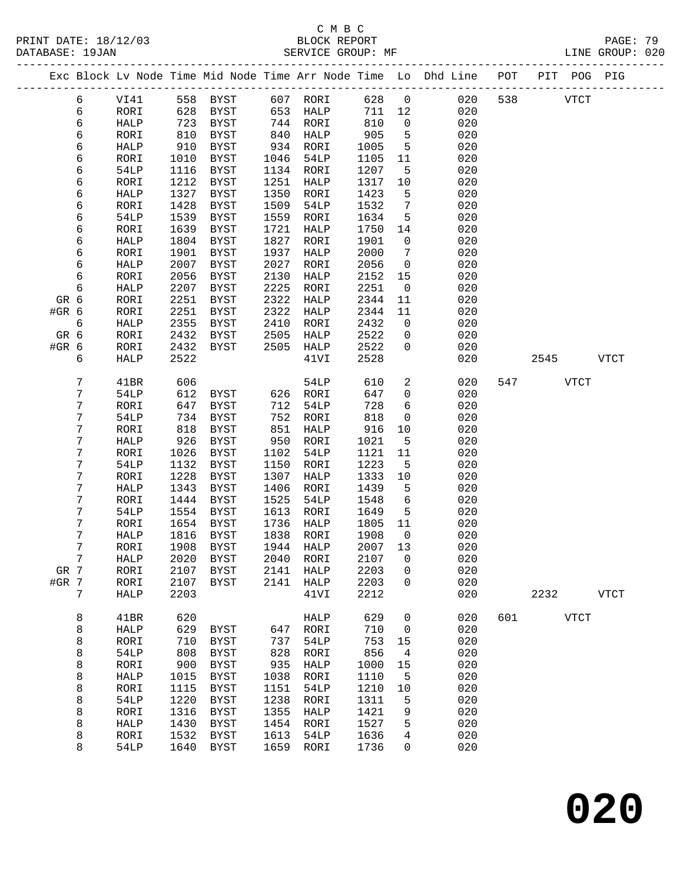# C M B C<br>BLOCK REPORT

| PRINT DATE: 18/12/03<br>DATABASE: 19JAN |                |              |              | Vert and the SERVICE GROUP: ME SERVICE GROUP: ME |              |                      |                       |                      |                                                                                |     |              |             | PAGE: 79<br>LINE GROUP: 020 |  |
|-----------------------------------------|----------------|--------------|--------------|--------------------------------------------------|--------------|----------------------|-----------------------|----------------------|--------------------------------------------------------------------------------|-----|--------------|-------------|-----------------------------|--|
|                                         |                |              |              |                                                  |              |                      |                       |                      | Exc Block Lv Node Time Mid Node Time Arr Node Time Lo Dhd Line POT PIT POG PIG |     |              |             |                             |  |
|                                         | 6              |              |              | VI41 558 BYST 607 RORI 628 0                     |              |                      |                       |                      |                                                                                |     | 020 538 VTCT |             |                             |  |
|                                         | 6              | RORI         | 628          | BYST 653 HALP                                    |              |                      | 711 12                |                      | 020                                                                            |     |              |             |                             |  |
|                                         | 6              | HALP         | 723<br>810   | BYST                                             |              | 744 RORI<br>840 HALP | $8 + 2$<br>905<br>905 | $\overline{0}$       | 020                                                                            |     |              |             |                             |  |
|                                         | 6              | RORI         |              | BYST                                             |              |                      |                       | $5^{\circ}$          | 020                                                                            |     |              |             |                             |  |
|                                         | 6              | HALP         | 910          | BYST                                             |              | 934 RORI             | 1005                  | $5^{\circ}$          | 020                                                                            |     |              |             |                             |  |
|                                         | 6              | RORI         | 1010         | BYST                                             | 1046         | 54LP                 | 1105                  | 11                   | 020                                                                            |     |              |             |                             |  |
|                                         | б              | 54LP         | 1116         | BYST                                             |              | 1134 RORI            | 1207                  | $5^{\circ}$          | 020                                                                            |     |              |             |                             |  |
|                                         | 6              | RORI         | 1212         | BYST                                             | 1251         | HALP                 | 1317                  | 10                   | 020                                                                            |     |              |             |                             |  |
|                                         | 6              | HALP         | 1327         | BYST                                             | 1350         | RORI                 | 1423                  | $5^{\circ}$          | 020                                                                            |     |              |             |                             |  |
|                                         | 6              | RORI         | 1428         | BYST                                             | 1509         | 54LP                 | 1532                  | $\overline{7}$       | 020                                                                            |     |              |             |                             |  |
|                                         | 6              | 54LP         | 1539         | <b>BYST</b>                                      | 1559         | RORI                 | 1634                  | $-5$                 | 020                                                                            |     |              |             |                             |  |
|                                         | 6              | RORI         | 1639         | BYST                                             | 1721         | HALP                 | 1750                  | 14                   | 020                                                                            |     |              |             |                             |  |
|                                         | 6              | HALP         | 1804         | BYST                                             | 1827         | RORI                 | 1901                  | $\overline{0}$       | 020                                                                            |     |              |             |                             |  |
|                                         | 6              | RORI         | 1901         | BYST                                             | 1937         | HALP                 | 2000                  | $\overline{7}$       | 020                                                                            |     |              |             |                             |  |
|                                         | 6              | HALP         | 2007         | BYST                                             | 2027         | RORI                 | 2056                  | $\overline{0}$       | 020                                                                            |     |              |             |                             |  |
|                                         | 6<br>6         | RORI         | 2056         | BYST                                             | 2130<br>2225 | HALP                 | 2152                  | 15<br>$\overline{0}$ | 020                                                                            |     |              |             |                             |  |
|                                         | GR 6           | HALP<br>RORI | 2207<br>2251 | BYST<br>BYST                                     | 2322         | RORI<br>HALP         | 2251<br>2344          | 11                   | 020<br>020                                                                     |     |              |             |                             |  |
|                                         | #GR 6          | RORI         | 2251         | BYST                                             | 2322         | HALP                 | 2344                  | 11                   | 020                                                                            |     |              |             |                             |  |
|                                         | 6              | HALP         | 2355         | BYST                                             | 2410         | RORI                 | 2432                  | $\overline{0}$       | 020                                                                            |     |              |             |                             |  |
|                                         | GR 6           | RORI         | 2432         | BYST                                             | 2505         | HALP                 | 2522                  | $\overline{0}$       | 020                                                                            |     |              |             |                             |  |
|                                         | #GR 6          | RORI         | 2432         | BYST                                             |              | 2505 HALP            | 2522                  | $\overline{0}$       | 020                                                                            |     |              |             |                             |  |
|                                         | 6              | HALP         | 2522         |                                                  |              | 41VI                 | 2528                  |                      | 020                                                                            |     |              | 2545        | <b>VTCT</b>                 |  |
|                                         |                |              |              |                                                  |              |                      |                       |                      |                                                                                |     |              |             |                             |  |
|                                         | 7              | 41BR         | 606          |                                                  |              | 54LP                 | 610                   | $\overline{a}$       | 020                                                                            |     | 547          | VTCT        |                             |  |
|                                         | 7              | 54LP         |              | 612 BYST                                         |              | 626 RORI             | 647                   | $\overline{0}$       | 020                                                                            |     |              |             |                             |  |
|                                         | 7              | RORI         | 647          | BYST                                             | 712          | 54LP                 | 728                   | $6\overline{6}$      | 020                                                                            |     |              |             |                             |  |
|                                         | 7              | 54LP         | 734          | BYST                                             | 752          | RORI                 | 818                   | $\overline{0}$       | 020                                                                            |     |              |             |                             |  |
|                                         | 7              | RORI         | 818          | BYST                                             | 851          | HALP                 | 916                   | 10                   | 020                                                                            |     |              |             |                             |  |
|                                         | 7              | HALP         | 926          | BYST                                             | 950          | RORI                 | 1021                  | $5^{\circ}$          | 020                                                                            |     |              |             |                             |  |
|                                         | 7              | RORI         | 1026         | BYST                                             | 1102         | 54LP                 | 1121                  | 11                   | 020                                                                            |     |              |             |                             |  |
|                                         | 7              | 54LP         | 1132         | BYST                                             | 1150         | RORI                 | 1223                  | $-5$                 | 020                                                                            |     |              |             |                             |  |
|                                         | 7              | RORI         | 1228         | BYST                                             | 1307         | HALP                 | 1333                  | 10                   | 020                                                                            |     |              |             |                             |  |
|                                         | 7              | HALP         | 1343         | BYST                                             | 1406         | RORI                 | 1439                  | $5^{\circ}$          | 020                                                                            |     |              |             |                             |  |
|                                         | 7              | RORI         | 1444         | BYST                                             | 1525         | 54LP                 | 1548                  | 6                    | 020                                                                            |     |              |             |                             |  |
|                                         | 7              | 54LP         | 1554         | BYST                                             | 1613         | RORI                 | 1649                  | $5^{\circ}$          | 020                                                                            |     |              |             |                             |  |
|                                         | 7              | RORI         |              | 1654 BYST                                        |              | 1736 HALP            | 1805 11               |                      | 020                                                                            |     |              |             |                             |  |
|                                         | 7              |              |              | HALP 1816 BYST 1838 RORI 1908 0                  |              |                      |                       |                      | 020                                                                            |     |              |             |                             |  |
|                                         | 7              | RORI         | 1908         | BYST                                             | 1944         | HALP                 | 2007 13               |                      | 020                                                                            |     |              |             |                             |  |
|                                         | $7\phantom{.}$ | HALP         | 2020         | BYST                                             | 2040         | RORI                 | 2107                  | 0                    | 020                                                                            |     |              |             |                             |  |
|                                         | GR 7           | RORI         | 2107         | BYST                                             | 2141         | HALP                 | 2203                  | 0                    | 020                                                                            |     |              |             |                             |  |
|                                         | #GR 7          | RORI         | 2107         | BYST                                             | 2141         | HALP                 | 2203                  | $\mathbf 0$          | 020                                                                            |     |              |             |                             |  |
|                                         | 7              | HALP         | 2203         |                                                  |              | 41VI                 | 2212                  |                      | 020                                                                            |     | 2232         |             | <b>VTCT</b>                 |  |
|                                         | 8              | 41BR         | 620          |                                                  |              | HALP                 | 629                   | $\mathbf 0$          | 020                                                                            | 601 |              | <b>VTCT</b> |                             |  |
|                                         | 8              | HALP         | 629          | BYST                                             | 647          | RORI                 | 710                   | $\overline{0}$       | 020                                                                            |     |              |             |                             |  |
|                                         | 8              | RORI         | 710          | BYST                                             | 737          | 54LP                 | 753                   | 15                   | 020                                                                            |     |              |             |                             |  |
|                                         | 8              | 54LP         | 808          | <b>BYST</b>                                      | 828          | RORI                 | 856                   | 4                    | 020                                                                            |     |              |             |                             |  |
|                                         | 8              | RORI         | 900          | BYST                                             | 935          | HALP                 | 1000                  | 15                   | 020                                                                            |     |              |             |                             |  |
|                                         | 8              | <b>HALP</b>  | 1015         | <b>BYST</b>                                      | 1038         | RORI                 | 1110                  | 5                    | 020                                                                            |     |              |             |                             |  |

 8 RORI 1115 BYST 1151 54LP 1210 10 020 8 54LP 1220 BYST 1238 RORI 1311 5 020 8 RORI 1316 BYST 1355 HALP 1421 9 020 8 HALP 1430 BYST 1454 RORI 1527 5 020 8 RORI 1532 BYST 1613 54LP 1636 4 020 8 54LP 1640 BYST 1659 RORI 1736 0 020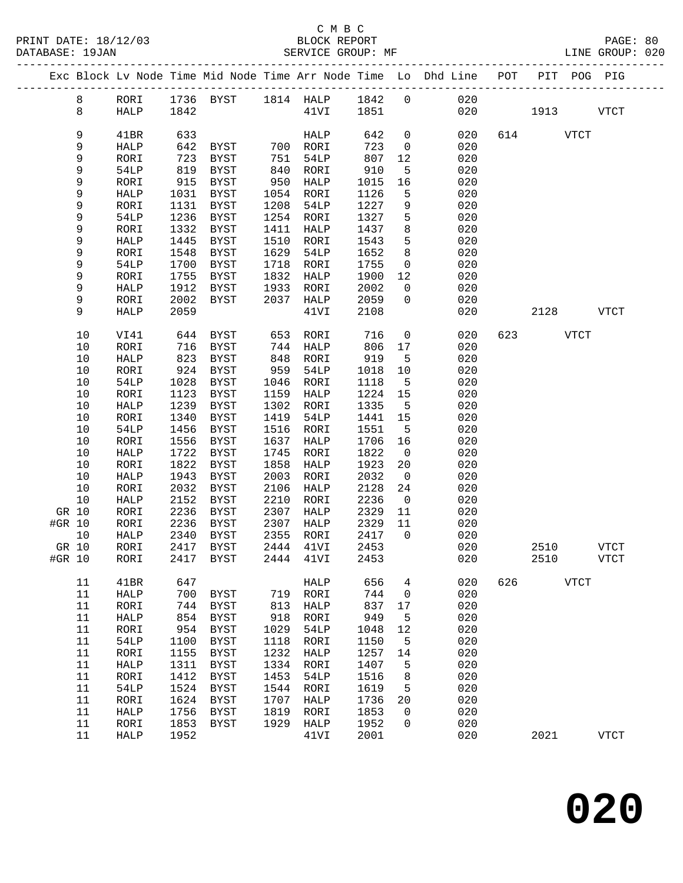|        |        |              |              | Exc Block Lv Node Time Mid Node Time Arr Node Time Lo Dhd Line POT |      |               |              |                |            |     | PIT         | POG PIG       |
|--------|--------|--------------|--------------|--------------------------------------------------------------------|------|---------------|--------------|----------------|------------|-----|-------------|---------------|
|        | 8      | RORI         |              | 1736 BYST 1814 HALP 1842 0                                         |      |               |              |                | 020        |     |             |               |
|        | 8      | HALP         | 1842         |                                                                    |      | $41\text{VI}$ | 1851         |                | 020        |     | 1913        | <b>VTCT</b>   |
|        |        |              |              |                                                                    |      |               |              |                |            |     |             |               |
|        | 9      | 41BR         | 633          |                                                                    |      | HALP          | 642          | $\mathbf 0$    | 020        |     | 614 VTCT    |               |
|        | 9      | HALP         | 642          | BYST                                                               |      | 700 RORI      | 723          | $\overline{0}$ | 020        |     |             |               |
|        | 9      | RORI         | 723          | BYST                                                               | 751  | 54LP          | 807          | 12             | 020        |     |             |               |
|        | 9      | 54LP         | 819          | BYST                                                               | 840  | RORI          | 910          | 5              | 020        |     |             |               |
|        | 9      | RORI         | 915          | BYST                                                               | 950  | HALP          | 1015         | 16             | 020        |     |             |               |
|        | 9      | HALP         | 1031         | BYST                                                               | 1054 | RORI          | 1126         | 5              | 020        |     |             |               |
|        | 9      |              |              | <b>BYST</b>                                                        | 1208 |               | 1227         | $\overline{9}$ | 020        |     |             |               |
|        | 9      | RORI         | 1131<br>1236 |                                                                    | 1254 | 54LP          | 1327         | 5              | 020        |     |             |               |
|        | 9      | 54LP         |              | BYST                                                               | 1411 | RORI          | 1437         | 8              | 020        |     |             |               |
|        |        | RORI         | 1332         | BYST                                                               | 1510 | HALP          |              | 5              |            |     |             |               |
|        | 9      | HALP         | 1445         | <b>BYST</b>                                                        | 1629 | RORI          | 1543<br>1652 | 8              | 020<br>020 |     |             |               |
|        | 9      | RORI         | 1548         | BYST                                                               |      | 54LP          |              |                |            |     |             |               |
|        | 9      | 54LP         | 1700         | BYST                                                               | 1718 | RORI          | 1755         | $\overline{0}$ | 020        |     |             |               |
|        | 9      | RORI         | 1755         | BYST                                                               | 1832 | HALP          | 1900         | 12             | 020        |     |             |               |
|        | 9      | HALP         | 1912         | BYST                                                               | 1933 | RORI          | 2002         | $\overline{0}$ | 020        |     |             |               |
|        | 9      | RORI         | 2002         | BYST                                                               | 2037 | HALP          | 2059         | $\overline{0}$ | 020        |     |             |               |
|        | 9      | HALP         | 2059         |                                                                    |      | 41VI          | 2108         |                | 020        |     | 2128        | <b>VTCT</b>   |
|        | 10     | VI41         | 644          | BYST                                                               | 653  | RORI          | 716          | $\mathsf{O}$   | 020        | 623 | <b>VTCT</b> |               |
|        | 10     | RORI         | 716          | BYST                                                               | 744  | HALP          | 806          | 17             | 020        |     |             |               |
|        | $10$   | HALP         | 823          | BYST                                                               | 848  | RORI          | 919          | $5^{\circ}$    | 020        |     |             |               |
|        | $10$   | RORI         | 924          | BYST                                                               | 959  | 54LP          | 1018         | 10             | 020        |     |             |               |
|        | 10     | 54LP         | 1028         | BYST                                                               | 1046 | RORI          | 1118         | $5^{\circ}$    | 020        |     |             |               |
|        | 10     | RORI         | 1123         | BYST                                                               | 1159 | HALP          | 1224         | 15             | 020        |     |             |               |
|        | $10$   | HALP         | 1239         | BYST                                                               | 1302 | RORI          | 1335         | $5^{\circ}$    | 020        |     |             |               |
|        | $10$   | RORI         | 1340         | <b>BYST</b>                                                        | 1419 | 54LP          | 1441         | 15             | 020        |     |             |               |
|        | 10     | 54LP         | 1456         | <b>BYST</b>                                                        | 1516 | RORI          | 1551         | $5^{\circ}$    | 020        |     |             |               |
|        | 10     | RORI         | 1556         | <b>BYST</b>                                                        | 1637 | HALP          | 1706         | 16             | 020        |     |             |               |
|        | $10$   | HALP         | 1722         | BYST                                                               | 1745 | RORI          | 1822         | $\overline{0}$ | 020        |     |             |               |
|        | 10     | RORI         | 1822         | BYST                                                               | 1858 | HALP          | 1923         | 20             | 020        |     |             |               |
|        | 10     | HALP         | 1943         | BYST                                                               | 2003 | RORI          | 2032         | $\overline{0}$ | 020        |     |             |               |
|        | 10     | RORI         | 2032         | BYST                                                               | 2106 | HALP          | 2128         | 24             | 020        |     |             |               |
|        | 10     | HALP         | 2152         | BYST                                                               | 2210 | RORI          | 2236         | $\overline{0}$ | 020        |     |             |               |
| GR 10  |        | RORI         | 2236         | BYST                                                               | 2307 | HALP          | 2329         | 11             | 020        |     |             |               |
| #GR 10 |        | RORI         | 2236         | BYST                                                               | 2307 | HALP          | 2329         | 11             | 020        |     |             |               |
|        | 10     | HALP         | 2340         | BYST                                                               | 2355 | RORI          | 2417         | $\overline{0}$ | 020        |     |             |               |
| GR 10  |        | RORI         | 2417         | <b>BYST</b>                                                        | 2444 | 41VI          | 2453         |                | 020        |     | 2510        | <b>VTCT</b>   |
|        | #GR 10 | RORI         |              | 2417 BYST                                                          |      | 2444 41VI     | 2453         |                |            | 020 | 2510        | $_{\rm VTCT}$ |
|        | 11     | 41BR         | 647          |                                                                    |      | HALP          | 656          | 4              | 020        | 626 | <b>VTCT</b> |               |
|        | 11     | HALP         | 700          | BYST                                                               | 719  | RORI          | 744          | $\mathsf{O}$   | 020        |     |             |               |
|        | 11     | RORI         | 744          | <b>BYST</b>                                                        | 813  | HALP          | 837          | 17             | 020        |     |             |               |
|        | 11     | ${\tt HALP}$ | 854          | BYST                                                               | 918  | RORI          | 949          | 5              | 020        |     |             |               |
|        | 11     | RORI         | 954          | BYST                                                               | 1029 | 54LP          | 1048         | 12             | 020        |     |             |               |
|        | 11     | 54LP         | 1100         | <b>BYST</b>                                                        | 1118 | RORI          | 1150         | 5              | 020        |     |             |               |
|        | 11     | RORI         | 1155         | <b>BYST</b>                                                        | 1232 | HALP          | 1257         | 14             | 020        |     |             |               |
|        | 11     | HALP         | 1311         | <b>BYST</b>                                                        | 1334 | RORI          | 1407         | 5              | 020        |     |             |               |
|        | 11     | RORI         | 1412         | <b>BYST</b>                                                        | 1453 | 54LP          | 1516         | 8              | 020        |     |             |               |
|        | 11     | 54LP         | 1524         | <b>BYST</b>                                                        | 1544 | RORI          | 1619         | 5              | 020        |     |             |               |
|        | 11     | RORI         | 1624         | BYST                                                               | 1707 | HALP          | 1736         | 20             | 020        |     |             |               |
|        | 11     | ${\tt HALP}$ | 1756         | <b>BYST</b>                                                        | 1819 | RORI          | 1853         | $\mathbf 0$    | 020        |     |             |               |
|        | 11     | RORI         | 1853         | BYST                                                               | 1929 | HALP          | 1952         | 0              | 020        |     |             |               |
|        | 11     | HALP         | 1952         |                                                                    |      | 41VI          | 2001         |                | 020        |     | 2021        | ${\tt VTCT}$  |
|        |        |              |              |                                                                    |      |               |              |                |            |     |             |               |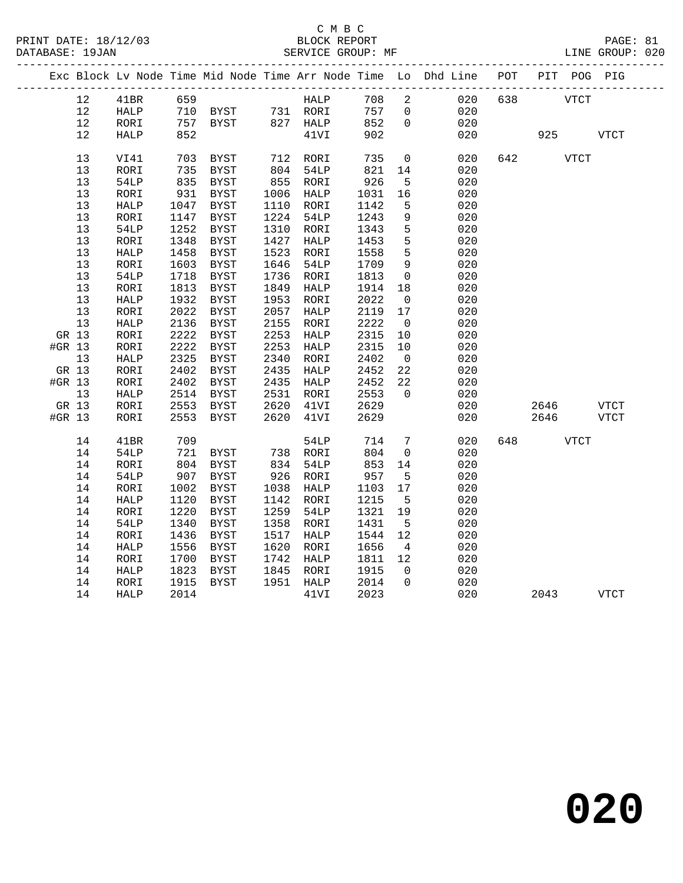|        |       |              |      |                                        |      |           |      |                          | Exc Block Lv Node Time Mid Node Time Arr Node Time Lo Dhd Line POT PIT POG PIG |     |      |             |              |
|--------|-------|--------------|------|----------------------------------------|------|-----------|------|--------------------------|--------------------------------------------------------------------------------|-----|------|-------------|--------------|
|        | 12    | 41BR         | 659  |                                        |      | HALP      | 708  | $\overline{2}$           | 020                                                                            | 638 |      | VTCT        |              |
|        | 12    | HALP         |      | 710 BYST 731 RORI<br>757 BYST 827 HALP |      |           | 757  | $\overline{0}$           | 020                                                                            |     |      |             |              |
|        | 12    | RORI         |      | 757 BYST                               |      |           | 852  | $\mathbf 0$              | 020                                                                            |     |      |             |              |
|        | 12    | HALP         | 852  |                                        |      | 41VI      | 902  |                          | 020                                                                            |     | 925  |             | <b>VTCT</b>  |
|        |       |              |      |                                        |      |           |      |                          |                                                                                |     |      |             |              |
|        | 13    | VI41         | 703  | BYST                                   |      | 712 RORI  | 735  | $\mathsf{O}$             | 020                                                                            | 642 |      | <b>VTCT</b> |              |
|        | 13    | RORI         | 735  | BYST                                   | 804  | 54LP      | 821  | 14                       | 020                                                                            |     |      |             |              |
|        | 13    | 54LP         | 835  | BYST                                   |      | 855 RORI  | 926  | 5                        | 020                                                                            |     |      |             |              |
|        | 13    | RORI         | 931  | BYST                                   | 1006 | HALP      | 1031 | 16                       | 020                                                                            |     |      |             |              |
|        | 13    | HALP         | 1047 | BYST                                   | 1110 | RORI      | 1142 | 5                        | 020                                                                            |     |      |             |              |
|        | 13    | RORI         | 1147 | BYST                                   | 1224 | 54LP      | 1243 | $\,9$                    | 020                                                                            |     |      |             |              |
|        | 13    | 54LP         | 1252 | BYST                                   | 1310 | RORI      | 1343 | $5\phantom{.0}$          | 020                                                                            |     |      |             |              |
|        | 13    | RORI         | 1348 | BYST                                   | 1427 | HALP      | 1453 | 5                        | 020                                                                            |     |      |             |              |
|        | 13    | ${\tt HALP}$ | 1458 | BYST                                   | 1523 | RORI      | 1558 | 5                        | 020                                                                            |     |      |             |              |
|        | 13    | RORI         | 1603 | BYST                                   | 1646 | 54LP      | 1709 | $\overline{9}$           | 020                                                                            |     |      |             |              |
|        | 13    | 54LP         | 1718 | <b>BYST</b>                            | 1736 | RORI      | 1813 | $\overline{0}$           | 020                                                                            |     |      |             |              |
|        | 13    | RORI         | 1813 | BYST                                   | 1849 | HALP      | 1914 | 18                       | 020                                                                            |     |      |             |              |
|        | 13    | HALP         | 1932 | BYST                                   | 1953 | RORI      | 2022 | $\overline{\phantom{0}}$ | 020                                                                            |     |      |             |              |
|        | 13    | RORI         | 2022 | BYST                                   | 2057 | HALP      | 2119 | 17                       | 020                                                                            |     |      |             |              |
|        | 13    | ${\tt HALP}$ | 2136 | BYST                                   | 2155 | RORI      | 2222 | $\overline{\phantom{0}}$ | 020                                                                            |     |      |             |              |
|        | GR 13 | RORI         | 2222 | BYST                                   | 2253 | HALP      | 2315 | 10                       | 020                                                                            |     |      |             |              |
| #GR 13 |       | RORI         | 2222 | BYST                                   | 2253 | HALP      | 2315 | 10                       | 020                                                                            |     |      |             |              |
|        | 13    | HALP         | 2325 | BYST                                   | 2340 | RORI      | 2402 | $\overline{0}$           | 020                                                                            |     |      |             |              |
|        | GR 13 | RORI         | 2402 | <b>BYST</b>                            | 2435 | HALP      | 2452 | 22                       | 020                                                                            |     |      |             |              |
| #GR 13 |       | RORI         | 2402 | BYST                                   | 2435 | HALP      | 2452 | 22                       | 020                                                                            |     |      |             |              |
|        | 13    | HALP         | 2514 | BYST                                   | 2531 | RORI      | 2553 | $\Omega$                 | 020                                                                            |     |      |             |              |
| GR 13  |       | RORI         | 2553 | BYST                                   | 2620 | 41VI      | 2629 |                          | 020                                                                            |     | 2646 |             | ${\tt VTCT}$ |
| #GR 13 |       | RORI         | 2553 | BYST                                   | 2620 | 41VI      | 2629 |                          | 020                                                                            |     | 2646 |             | <b>VTCT</b>  |
|        | 14    | 41BR         | 709  |                                        |      | 54LP      | 714  | $7\phantom{.0}$          | 020                                                                            | 648 |      | <b>VTCT</b> |              |
|        | 14    | 54LP         | 721  | BYST                                   | 738  | RORI      | 804  | $\overline{0}$           | 020                                                                            |     |      |             |              |
|        | 14    | RORI         | 804  | BYST                                   | 834  | 54LP      | 853  | 14                       | 020                                                                            |     |      |             |              |
|        | 14    | 54LP         | 907  | BYST                                   | 926  | RORI      | 957  | 5                        | 020                                                                            |     |      |             |              |
|        | 14    | RORI         | 1002 | BYST                                   | 1038 | HALP      | 1103 | 17                       | 020                                                                            |     |      |             |              |
|        | 14    | HALP         | 1120 | BYST                                   | 1142 | RORI      | 1215 | $5^{\circ}$              | 020                                                                            |     |      |             |              |
|        | 14    | RORI         | 1220 | <b>BYST</b>                            | 1259 | 54LP      | 1321 | 19                       | 020                                                                            |     |      |             |              |
|        | 14    | <b>54LP</b>  | 1340 | BYST                                   | 1358 | RORI      | 1431 | $5^{\circ}$              | 020                                                                            |     |      |             |              |
|        | 14    | RORI         | 1436 | BYST                                   | 1517 | HALP      | 1544 | 12                       | 020                                                                            |     |      |             |              |
|        | 14    | HALP         | 1556 | BYST                                   | 1620 | RORI      | 1656 | $\overline{4}$           | 020                                                                            |     |      |             |              |
|        | 14    | RORI         | 1700 | BYST                                   | 1742 | HALP      | 1811 | 12                       | 020                                                                            |     |      |             |              |
|        | 14    | HALP         | 1823 | BYST                                   | 1845 | RORI      | 1915 | $\Omega$                 | 020                                                                            |     |      |             |              |
|        | 14    | RORI         | 1915 | BYST                                   |      | 1951 HALP | 2014 | $\Omega$                 | 020                                                                            |     |      |             |              |
|        | 14    | HALP         | 2014 |                                        |      | 41VI      | 2023 |                          | 020                                                                            |     | 2043 |             | <b>VTCT</b>  |
|        |       |              |      |                                        |      |           |      |                          |                                                                                |     |      |             |              |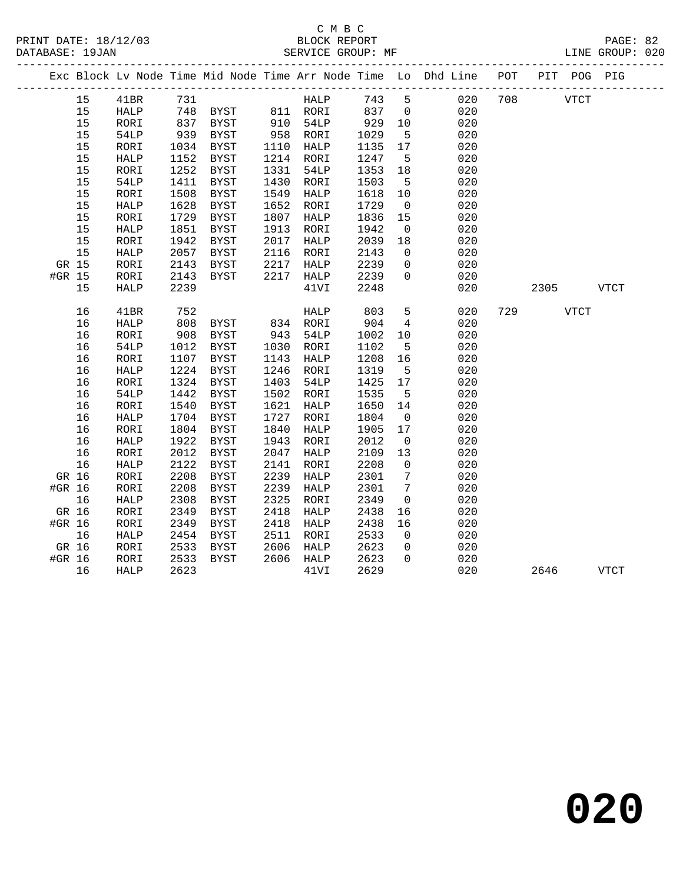|        |    |              |            |               |      |                      |      |                 | Exc Block Lv Node Time Mid Node Time Arr Node Time Lo Dhd Line POT |     |             | PIT POG PIG |             |  |
|--------|----|--------------|------------|---------------|------|----------------------|------|-----------------|--------------------------------------------------------------------|-----|-------------|-------------|-------------|--|
|        | 15 | 41BR         | 731        |               |      | HALP                 | 743  | $5^{\circ}$     | 020                                                                | 708 | <b>VTCT</b> |             |             |  |
|        | 15 | HALP         | 748        | BYST 811 RORI |      |                      | 837  | $\overline{0}$  | 020                                                                |     |             |             |             |  |
|        | 15 | RORI         | 837<br>939 | BYST          |      | 910 54LP<br>958 RORI | 929  | 10              | 020                                                                |     |             |             |             |  |
|        | 15 | <b>54LP</b>  |            | BYST          |      |                      | 1029 | $5\overline{5}$ | 020                                                                |     |             |             |             |  |
|        | 15 | RORI         | 1034       | BYST          | 1110 | HALP                 | 1135 | 17              | 020                                                                |     |             |             |             |  |
|        | 15 | HALP         | 1152       | <b>BYST</b>   | 1214 | RORI                 | 1247 | 5               | 020                                                                |     |             |             |             |  |
|        | 15 | RORI         | 1252       | BYST          | 1331 | 54LP                 | 1353 | 18              | 020                                                                |     |             |             |             |  |
|        | 15 | 54LP         | 1411       | BYST          | 1430 | RORI                 | 1503 | $5^{\circ}$     | 020                                                                |     |             |             |             |  |
|        | 15 | RORI         | 1508       | <b>BYST</b>   | 1549 | HALP                 | 1618 | 10              | 020                                                                |     |             |             |             |  |
|        | 15 | <b>HALP</b>  | 1628       | <b>BYST</b>   | 1652 | RORI                 | 1729 | $\overline{0}$  | 020                                                                |     |             |             |             |  |
|        | 15 | RORI         | 1729       | <b>BYST</b>   | 1807 | HALP                 | 1836 | 15              | 020                                                                |     |             |             |             |  |
|        | 15 | <b>HALP</b>  | 1851       | <b>BYST</b>   | 1913 | RORI                 | 1942 | $\overline{0}$  | 020                                                                |     |             |             |             |  |
|        | 15 | RORI         | 1942       | BYST          | 2017 | HALP                 | 2039 | 18              | 020                                                                |     |             |             |             |  |
|        | 15 | HALP         | 2057       | BYST          | 2116 | RORI                 | 2143 | $\overline{0}$  | 020                                                                |     |             |             |             |  |
| GR 15  |    | RORI         | 2143       | BYST          | 2217 | HALP                 | 2239 | $\mathbf 0$     | 020                                                                |     |             |             |             |  |
| #GR 15 |    | RORI         | 2143       | BYST          | 2217 | HALP                 | 2239 | $\Omega$        | 020                                                                |     |             |             |             |  |
|        | 15 | <b>HALP</b>  | 2239       |               |      | 41VI                 | 2248 |                 | 020                                                                |     | 2305        |             | VTCT        |  |
|        | 16 | 41BR         | 752        |               |      | HALP                 | 803  | 5               | 020                                                                | 729 |             | <b>VTCT</b> |             |  |
|        | 16 | HALP         | 808        | BYST 834 RORI |      |                      | 904  | $4\overline{ }$ | 020                                                                |     |             |             |             |  |
|        | 16 | RORI         | 908        | BYST          | 943  | 54LP                 | 1002 | 10              | 020                                                                |     |             |             |             |  |
|        | 16 | 54LP         | 1012       | <b>BYST</b>   | 1030 | RORI                 | 1102 | 5               | 020                                                                |     |             |             |             |  |
|        | 16 | RORI         | 1107       | <b>BYST</b>   | 1143 | HALP                 | 1208 | 16              | 020                                                                |     |             |             |             |  |
|        | 16 | ${\tt HALP}$ | 1224       | <b>BYST</b>   | 1246 | RORI                 | 1319 | $5\overline{5}$ | 020                                                                |     |             |             |             |  |
|        | 16 | RORI         | 1324       | <b>BYST</b>   | 1403 | 54LP                 | 1425 | 17              | 020                                                                |     |             |             |             |  |
|        | 16 | <b>54LP</b>  | 1442       | <b>BYST</b>   | 1502 | RORI                 | 1535 | $5^{\circ}$     | 020                                                                |     |             |             |             |  |
|        | 16 | RORI         | 1540       | <b>BYST</b>   | 1621 | HALP                 | 1650 | 14              | 020                                                                |     |             |             |             |  |
|        | 16 | HALP         | 1704       | BYST          | 1727 | RORI                 | 1804 | $\overline{0}$  | 020                                                                |     |             |             |             |  |
|        | 16 | RORI         | 1804       | <b>BYST</b>   | 1840 | HALP                 | 1905 | 17              | 020                                                                |     |             |             |             |  |
|        | 16 | HALP         | 1922       | BYST          | 1943 | RORI                 | 2012 | $\overline{0}$  | 020                                                                |     |             |             |             |  |
|        | 16 | RORI         | 2012       | BYST          | 2047 | HALP                 | 2109 | 13              | 020                                                                |     |             |             |             |  |
|        | 16 | HALP         | 2122       | <b>BYST</b>   | 2141 | RORI                 | 2208 | $\mathbf 0$     | 020                                                                |     |             |             |             |  |
| GR 16  |    | RORI         | 2208       | <b>BYST</b>   | 2239 | HALP                 | 2301 | $7\phantom{.0}$ | 020                                                                |     |             |             |             |  |
| #GR 16 |    | RORI         | 2208       | <b>BYST</b>   | 2239 | HALP                 | 2301 | 7               | 020                                                                |     |             |             |             |  |
|        | 16 | HALP         | 2308       | <b>BYST</b>   | 2325 | RORI                 | 2349 | 0               | 020                                                                |     |             |             |             |  |
| GR 16  |    | RORI         | 2349       | <b>BYST</b>   | 2418 | HALP                 | 2438 | 16              | 020                                                                |     |             |             |             |  |
| #GR 16 |    | RORI         | 2349       | <b>BYST</b>   | 2418 | HALP                 | 2438 | 16              | 020                                                                |     |             |             |             |  |
|        | 16 | HALP         | 2454       | <b>BYST</b>   | 2511 | RORI                 | 2533 | $\overline{0}$  | 020                                                                |     |             |             |             |  |
| GR 16  |    | RORI         | 2533       | BYST          | 2606 | HALP                 | 2623 | $\mathsf{O}$    | 020                                                                |     |             |             |             |  |
| #GR 16 |    | RORI         | 2533       | <b>BYST</b>   | 2606 | HALP                 | 2623 | $\Omega$        | 020                                                                |     |             |             |             |  |
|        | 16 | HALP         | 2623       |               |      | 41VI                 | 2629 |                 | 020                                                                |     | 2646        |             | <b>VTCT</b> |  |
|        |    |              |            |               |      |                      |      |                 |                                                                    |     |             |             |             |  |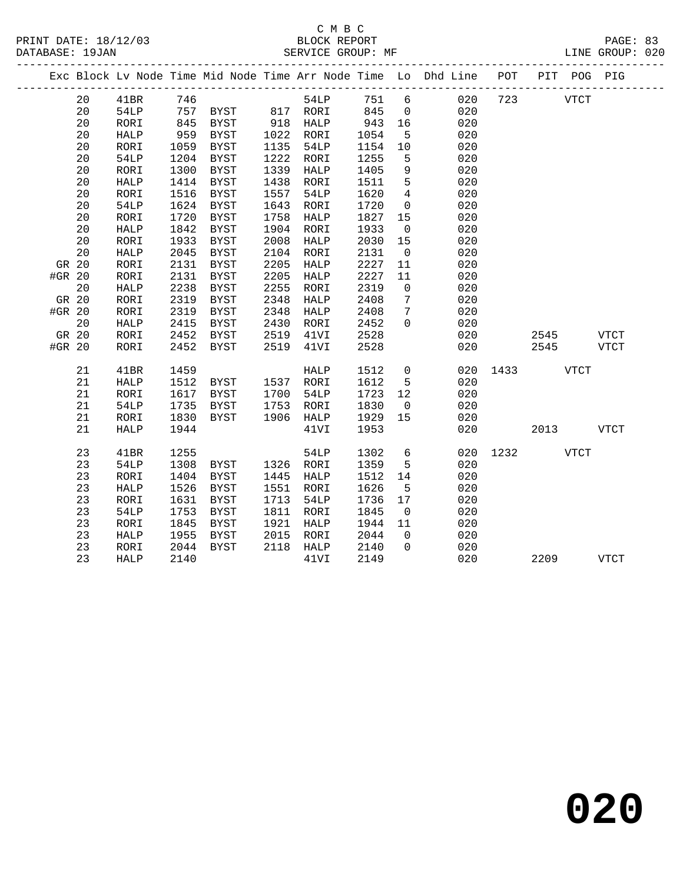|        |    |              |      |                       |      |           |      |                 | Exc Block Lv Node Time Mid Node Time Arr Node Time Lo Dhd Line POT |      |             | PIT POG PIG |             |
|--------|----|--------------|------|-----------------------|------|-----------|------|-----------------|--------------------------------------------------------------------|------|-------------|-------------|-------------|
|        | 20 | 41BR         | 746  |                       |      | 54LP      | 751  | $6\overline{6}$ | 020                                                                | 723  | <b>VTCT</b> |             |             |
|        | 20 | 54LP         |      | 757 BYST 817 RORI 845 |      |           |      | $\overline{0}$  | 020                                                                |      |             |             |             |
|        | 20 | RORI         | 845  | BYST                  |      | 918 HALP  | 943  | 16              | 020                                                                |      |             |             |             |
|        | 20 | HALP         | 959  | BYST                  |      | 1022 RORI | 1054 | $5^{\circ}$     | 020                                                                |      |             |             |             |
|        | 20 | RORI         | 1059 | BYST                  | 1135 | 54LP      | 1154 | 10              | 020                                                                |      |             |             |             |
|        | 20 | 54LP         | 1204 | BYST                  | 1222 | RORI      | 1255 | 5               | 020                                                                |      |             |             |             |
|        | 20 | RORI         | 1300 | BYST                  | 1339 | HALP      | 1405 | 9               | 020                                                                |      |             |             |             |
|        | 20 | HALP         | 1414 | BYST                  | 1438 | RORI      | 1511 | 5               | 020                                                                |      |             |             |             |
|        | 20 | RORI         | 1516 | BYST                  | 1557 | 54LP      | 1620 | $4\overline{4}$ | 020                                                                |      |             |             |             |
|        | 20 | <b>54LP</b>  | 1624 | BYST                  | 1643 | RORI      | 1720 | $\overline{0}$  | 020                                                                |      |             |             |             |
|        | 20 | RORI         | 1720 | BYST                  | 1758 | HALP      | 1827 | 15              | 020                                                                |      |             |             |             |
|        | 20 | <b>HALP</b>  | 1842 | BYST                  | 1904 | RORI      | 1933 | $\overline{0}$  | 020                                                                |      |             |             |             |
|        | 20 | RORI         | 1933 | <b>BYST</b>           | 2008 | HALP      | 2030 | 15              | 020                                                                |      |             |             |             |
|        | 20 | HALP         | 2045 | BYST                  | 2104 | RORI      | 2131 | $\overline{0}$  | 020                                                                |      |             |             |             |
| GR 20  |    | RORI         | 2131 | <b>BYST</b>           | 2205 | HALP      | 2227 | 11              | 020                                                                |      |             |             |             |
| #GR 20 |    | RORI         | 2131 | <b>BYST</b>           | 2205 | HALP      | 2227 | 11              | 020                                                                |      |             |             |             |
|        | 20 | HALP         | 2238 | <b>BYST</b>           | 2255 | RORI      | 2319 | $\overline{0}$  | 020                                                                |      |             |             |             |
| GR 20  |    | RORI         | 2319 | BYST                  | 2348 | HALP      | 2408 | $7\phantom{.0}$ | 020                                                                |      |             |             |             |
| #GR 20 |    | RORI         | 2319 | <b>BYST</b>           | 2348 | HALP      | 2408 | $7\phantom{.0}$ | 020                                                                |      |             |             |             |
|        | 20 | ${\tt HALP}$ | 2415 | BYST                  | 2430 | RORI      | 2452 | $\Omega$        | 020                                                                |      |             |             |             |
| GR 20  |    | RORI         | 2452 | BYST                  | 2519 | 41VI      | 2528 |                 | 020                                                                |      | 2545        |             | <b>VTCT</b> |
| #GR 20 |    | RORI         | 2452 | BYST                  | 2519 | 41VI      | 2528 |                 | 020                                                                |      | 2545        |             | <b>VTCT</b> |
|        | 21 | 41BR         | 1459 |                       |      | HALP      | 1512 | $\overline{0}$  | 020                                                                | 1433 | VTCT        |             |             |
|        | 21 | ${\tt HALP}$ | 1512 | BYST 1537 RORI        |      |           | 1612 | 5               | 020                                                                |      |             |             |             |
|        | 21 | RORI         | 1617 | BYST                  | 1700 | 54LP      | 1723 | 12              | 020                                                                |      |             |             |             |
|        | 21 | 54LP         | 1735 | BYST                  | 1753 | RORI      | 1830 | $\overline{0}$  | 020                                                                |      |             |             |             |
|        | 21 | RORI         | 1830 | BYST                  |      | 1906 HALP | 1929 | 15              | 020                                                                |      |             |             |             |
|        | 21 | <b>HALP</b>  | 1944 |                       |      | 41VI      | 1953 |                 | 020                                                                |      | 2013        |             | <b>VTCT</b> |
|        | 23 | 41BR         | 1255 |                       |      | 54LP      | 1302 | $6\overline{6}$ | 020                                                                | 1232 |             | VTCT        |             |
|        | 23 | 54LP         | 1308 | BYST                  |      | 1326 RORI | 1359 | 5               | 020                                                                |      |             |             |             |
|        | 23 | RORI         | 1404 | BYST                  | 1445 | HALP      | 1512 | 14              | 020                                                                |      |             |             |             |
|        | 23 | <b>HALP</b>  | 1526 | BYST                  | 1551 | RORI      | 1626 | 5               | 020                                                                |      |             |             |             |
|        | 23 | RORI         | 1631 | BYST                  | 1713 | 54LP      | 1736 | 17              | 020                                                                |      |             |             |             |
|        | 23 | <b>54LP</b>  | 1753 | BYST                  | 1811 | RORI      | 1845 | $\overline{0}$  | 020                                                                |      |             |             |             |
|        | 23 | RORI         | 1845 | BYST                  | 1921 | HALP      | 1944 | 11              | 020                                                                |      |             |             |             |
|        | 23 | HALP         | 1955 | BYST                  | 2015 | RORI      | 2044 | $\overline{0}$  | 020                                                                |      |             |             |             |
|        | 23 | RORI         | 2044 | BYST                  |      | 2118 HALP | 2140 | $\mathbf 0$     | 020                                                                |      |             |             |             |
|        | 23 | <b>HALP</b>  | 2140 |                       |      | 41VI      | 2149 |                 | 020                                                                |      | 2209        |             | <b>VTCT</b> |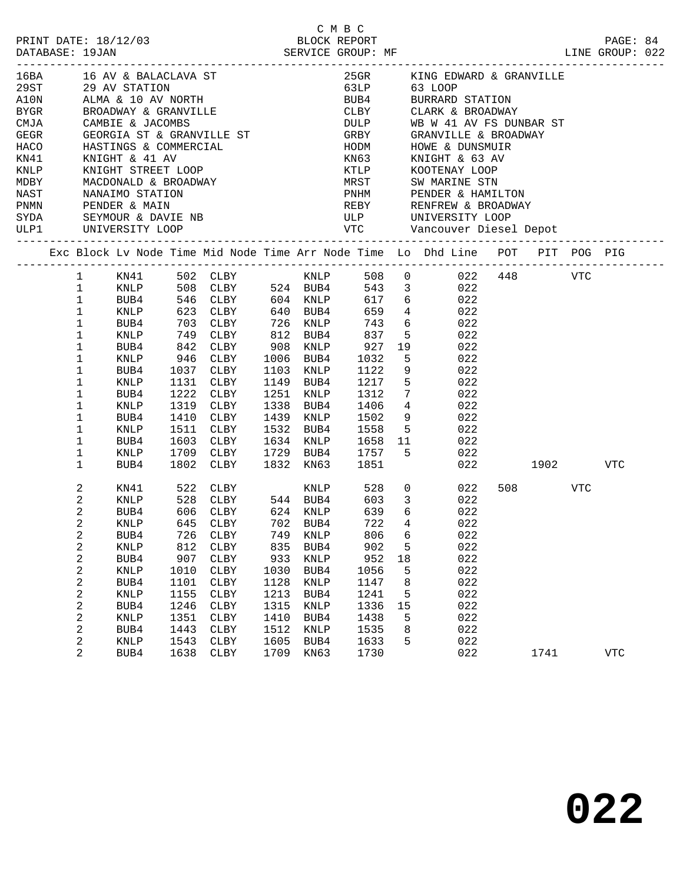| PRINT DATE: 18/12/03<br>DATABASE: 19JAN |              |                                  |                   | 2/03 BLOCK REPORT SERVICE GROUP: MF                                            |      |             | C M B C        |                         |                  | LINE GROUP: 022                                                               |           |     | PAGE: 84   |  |
|-----------------------------------------|--------------|----------------------------------|-------------------|--------------------------------------------------------------------------------|------|-------------|----------------|-------------------------|------------------|-------------------------------------------------------------------------------|-----------|-----|------------|--|
|                                         |              |                                  |                   | 16BA 16 AV & BALACLAVA ST                                                      |      |             |                |                         |                  | 25GR KING EDWARD & GRANVILLE                                                  |           |     |            |  |
|                                         |              |                                  |                   |                                                                                |      |             |                |                         |                  | 63LP 63 LOOP<br>BUB4 BURRARD STATION                                          |           |     |            |  |
|                                         |              |                                  |                   |                                                                                |      |             |                |                         |                  |                                                                               |           |     |            |  |
|                                         |              |                                  |                   |                                                                                |      |             |                |                         |                  | CLBY CLARK & BROADWAY                                                         |           |     |            |  |
| CMJA                                    |              | CAMBIE & JACOMBS                 |                   |                                                                                |      |             |                |                         |                  | DULP WB W 41 AV FS DUNBAR ST                                                  |           |     |            |  |
| GEGR                                    |              |                                  |                   |                                                                                |      |             |                |                         |                  |                                                                               |           |     |            |  |
| HACO                                    |              |                                  |                   |                                                                                |      |             |                |                         |                  | GRBY GRANVILLE & BROADWAY<br>HODM HOWE & DUNSMUIR<br>KN63 KNIGHT & 63 AV      |           |     |            |  |
| KN41                                    |              | KNIGHT & 41 AV                   |                   |                                                                                |      |             |                |                         |                  |                                                                               |           |     |            |  |
| KNLP                                    |              |                                  |                   | KNIGHT STREET LOOP                                                             |      |             |                |                         |                  | KTLP KOOTENAY LOOP                                                            |           |     |            |  |
| MDBY                                    |              |                                  |                   | MACDONALD & BROADWAY                                                           |      |             |                |                         |                  | MRST - SW MARINE STN<br>PNHM - PENDER & HAMILTON<br>REBY - RENFREW & BROADWAY |           |     |            |  |
| NAST                                    |              | NANAIMO STATION<br>PENDER & MAIN |                   |                                                                                |      |             |                |                         |                  |                                                                               |           |     |            |  |
| PNMN                                    |              |                                  |                   |                                                                                |      |             |                |                         |                  |                                                                               |           |     |            |  |
|                                         |              |                                  |                   |                                                                                |      |             |                |                         |                  |                                                                               |           |     |            |  |
|                                         |              |                                  |                   |                                                                                |      |             |                |                         |                  |                                                                               |           |     |            |  |
|                                         |              |                                  |                   | Exc Block Lv Node Time Mid Node Time Arr Node Time Lo Dhd Line POT PIT POG PIG |      |             |                |                         |                  |                                                                               |           |     |            |  |
|                                         | 1 KN41       |                                  |                   |                                                                                |      |             |                |                         |                  |                                                                               |           |     |            |  |
|                                         | $\mathbf{1}$ | KNLP                             |                   |                                                                                |      |             |                |                         |                  |                                                                               |           |     |            |  |
|                                         | $\mathbf{1}$ | BUB4                             |                   |                                                                                |      |             |                |                         |                  |                                                                               |           |     |            |  |
|                                         | $\mathbf{1}$ | KNLP                             |                   | 623 CLBY 640 BUB4 659                                                          |      |             |                |                         |                  | 4 022                                                                         |           |     |            |  |
|                                         | $\mathbf{1}$ | BUB4                             |                   | CLBY 726 KNLP 743                                                              |      |             |                |                         | 6                | 022                                                                           |           |     |            |  |
|                                         | $\mathbf{1}$ | KNLP                             |                   | CLBY                                                                           |      |             |                |                         | 5 <sub>5</sub>   | 022                                                                           |           |     |            |  |
|                                         | $\mathbf 1$  | BUB4                             | 703<br>749<br>842 | CLBY                                                                           |      |             |                | 19                      |                  | 022                                                                           |           |     |            |  |
|                                         | 1            | KNLP                             | 946               | CLBY                                                                           |      | 1006 BUB4   | 1032           | $-5$                    |                  | 022                                                                           |           |     |            |  |
|                                         | $\mathbf 1$  | BUB4                             | 1037              | CLBY                                                                           |      | 1103 KNLP   | 1122           |                         | 9                | 022                                                                           |           |     |            |  |
|                                         | 1            | KNLP                             | 1131              | CLBY                                                                           |      | 1149 BUB4   |                | $5^{\circ}$             |                  | 022                                                                           |           |     |            |  |
|                                         | 1            | BUB4                             | 1222              | CLBY                                                                           |      | 1251 KNLP   | 1217<br>1312   | $7\overline{ }$         |                  | 022                                                                           |           |     |            |  |
|                                         | 1            | KNLP                             | 1319              | CLBY                                                                           |      | 1338 BUB4   | 1406           | $\overline{4}$          |                  | 022                                                                           |           |     |            |  |
|                                         | 1            | BUB4                             | 1410              | CLBY                                                                           |      | 1439 KNLP   | 1502           |                         | 9                | 022                                                                           |           |     |            |  |
|                                         | 1            | KNLP                             | 1511              | CLBY                                                                           |      | 1532 BUB4   | 1558           |                         | 5 <sub>5</sub>   | 022                                                                           |           |     |            |  |
|                                         | 1            | BUB4                             | 1603              | CLBY                                                                           |      | 1634 KNLP   | 1658 11        |                         |                  | 022                                                                           |           |     |            |  |
|                                         | 1            | KNLP                             |                   | 1709 CLBY                                                                      |      |             | 1729 BUB4 1757 | 5                       |                  | 022                                                                           |           |     |            |  |
|                                         | 1            | BUB4                             |                   | 1802 CLBY                                                                      |      | 1832 KN63   | 1851           |                         |                  |                                                                               | 022 1902  |     | VTC        |  |
|                                         | 2            | KN41                             |                   |                                                                                |      |             |                |                         |                  | $0 \qquad \qquad 022$                                                         | 508 — 100 | VTC |            |  |
|                                         | 2            | KNLP                             |                   |                                                                                |      |             |                | $\overline{\mathbf{3}}$ |                  | 022                                                                           |           |     |            |  |
|                                         | 2            | BUB4                             |                   | 606 CLBY 624 KNLP                                                              |      |             | 639            |                         | $6 \quad \sigma$ | 022                                                                           |           |     |            |  |
|                                         | 2            | KNLP                             | 645               | CLBY                                                                           | 702  | BUB4        | 722            | $\overline{4}$          |                  | 022                                                                           |           |     |            |  |
|                                         | 2            | BUB4                             | 726               | CLBY                                                                           | 749  | KNLP        | 806            | 6                       |                  | 022                                                                           |           |     |            |  |
|                                         | $\sqrt{2}$   | $\textsc{KNLP}$                  | 812               | ${\tt CLBY}$                                                                   | 835  | BUB4        | 902            | 5                       |                  | 022                                                                           |           |     |            |  |
|                                         | $\sqrt{2}$   | BUB4                             | 907               | CLBY                                                                           | 933  | KNLP        | 952            | 18                      |                  | 022                                                                           |           |     |            |  |
|                                         | 2            | KNLP                             | 1010              | ${\tt CLBY}$                                                                   | 1030 | BUB4        | 1056           |                         | 5                | 022                                                                           |           |     |            |  |
|                                         | $\sqrt{2}$   | BUB4                             | 1101              | ${\tt CLBY}$                                                                   | 1128 | <b>KNLP</b> | 1147           | 8                       |                  | 022                                                                           |           |     |            |  |
|                                         | $\sqrt{2}$   | KNLP                             | 1155              | ${\tt CLBY}$                                                                   | 1213 | BUB4        | 1241           | 5                       |                  | 022                                                                           |           |     |            |  |
|                                         | $\sqrt{2}$   | BUB4                             | 1246              | CLBY                                                                           | 1315 | KNLP        | 1336           | 15                      |                  | 022                                                                           |           |     |            |  |
|                                         | 2            | KNLP                             | 1351              | ${\tt CLBY}$                                                                   | 1410 | BUB4        | 1438           |                         | 5                | 022                                                                           |           |     |            |  |
|                                         | $\sqrt{2}$   | BUB4                             | 1443              | ${\tt CLBY}$                                                                   | 1512 | KNLP        | 1535           | 8                       |                  | 022                                                                           |           |     |            |  |
|                                         | $\sqrt{2}$   | KNLP                             | 1543              | ${\tt CLBY}$                                                                   | 1605 | BUB4        | 1633           |                         | 5                | 022                                                                           |           |     |            |  |
|                                         | 2            | BUB4                             | 1638              | CLBY                                                                           | 1709 | KN63        | 1730           |                         |                  | 022                                                                           | 1741      |     | <b>VTC</b> |  |
|                                         |              |                                  |                   |                                                                                |      |             |                |                         |                  |                                                                               |           |     |            |  |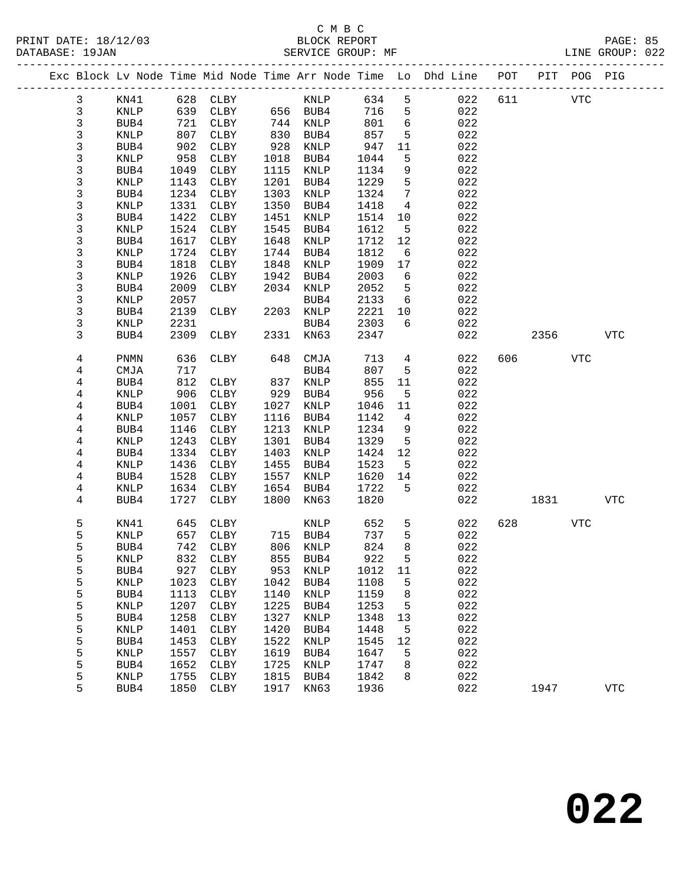|                |                 |              |              |              |                      |              |                   | Exc Block Lv Node Time Mid Node Time Arr Node Time Lo Dhd Line POT PIT POG PIG |     |            |            |            |
|----------------|-----------------|--------------|--------------|--------------|----------------------|--------------|-------------------|--------------------------------------------------------------------------------|-----|------------|------------|------------|
| 3              | KN41            |              | 628 CLBY     |              | KNLP 634             |              | $5^{\circ}$       | 022                                                                            | 611 | <b>VTC</b> |            |            |
| $\mathfrak{Z}$ | KNLP            |              | 639 CLBY     |              | 656 BUB4             | 716          | 5                 | 022                                                                            |     |            |            |            |
| 3              | BUB4            |              | 721 CLBY     |              | 744 KNLP             | 801          | $6\overline{6}$   | 022                                                                            |     |            |            |            |
| $\mathsf{3}$   | KNLP            | 807          | CLBY         | 830          | BUB4                 | 857          | 5                 | 022                                                                            |     |            |            |            |
| 3              | BUB4            | 902          | CLBY         | 928          | KNLP                 | 947          | 11                | 022                                                                            |     |            |            |            |
| 3              | KNLP            | 958          | CLBY         | 1018         | BUB4                 | 1044         | 5                 | 022                                                                            |     |            |            |            |
| 3              | BUB4            | 1049         | CLBY         | 1115         | KNLP                 | 1134         | 9                 | 022                                                                            |     |            |            |            |
| 3              | KNLP            | 1143         | CLBY         | 1201         | BUB4                 | 1229         | 5                 | 022                                                                            |     |            |            |            |
| 3              | BUB4            | 1234         | CLBY         | 1303         | KNLP                 | 1324         | $7\phantom{.0}$   | 022                                                                            |     |            |            |            |
| 3              | KNLP            | 1331         | CLBY         | 1350         | BUB4                 | 1418         | $\overline{4}$    | 022                                                                            |     |            |            |            |
| 3              | BUB4            | 1422         | CLBY         | 1451         | KNLP                 | 1514         | 10                | 022                                                                            |     |            |            |            |
| 3              | KNLP            | 1524         | CLBY         | 1545         | BUB4                 | 1612         | $5^{\circ}$       | 022                                                                            |     |            |            |            |
| 3              | BUB4            | 1617         | CLBY         | 1648         | KNLP                 | 1712         | 12                | 022                                                                            |     |            |            |            |
| 3              | KNLP            | 1724         | CLBY         | 1744         | BUB4                 | 1812         | $6\overline{6}$   | 022                                                                            |     |            |            |            |
| 3              | BUB4            | 1818         | CLBY         | 1848         | KNLP                 | 1909         | 17                | 022                                                                            |     |            |            |            |
| 3              | KNLP            | 1926         | CLBY         | 1942         | BUB4                 | 2003         | 6                 | 022                                                                            |     |            |            |            |
| 3              | BUB4            | 2009         | CLBY         |              | 2034 KNLP            | 2052         | $5^{\circ}$       | 022                                                                            |     |            |            |            |
| 3              | KNLP            | 2057         | CLBY         |              | BUB4<br>2203 KNLP    | 2133         | $6\overline{6}$   | 022<br>022                                                                     |     |            |            |            |
| 3<br>3         | BUB4<br>KNLP    | 2139<br>2231 |              |              | BUB4                 | 2221<br>2303 | 10<br>6           | 022                                                                            |     |            |            |            |
| 3              | BUB4            | 2309         | CLBY         |              | 2331 KN63            | 2347         |                   | 022                                                                            |     | 2356       |            | <b>VTC</b> |
|                |                 |              |              |              |                      |              |                   |                                                                                |     |            |            |            |
| 4              | <b>PNMN</b>     | 636          | CLBY         | 648          | CMJA                 | 713          | $4\overline{ }$   | 022                                                                            |     | 606 700    | <b>VTC</b> |            |
| 4              | CMJA            | 717          |              |              | BUB4                 | 807          | 5                 | 022                                                                            |     |            |            |            |
| 4              | BUB4            | 812          | CLBY         | 837          | KNLP                 | 855          | 11                | 022                                                                            |     |            |            |            |
| 4              | KNLP            |              | 906 CLBY     |              | 929 BUB4             | 956          | $5^{\circ}$       | 022                                                                            |     |            |            |            |
| 4              | BUB4            | 1001         | CLBY         | 1027         | KNLP                 | 1046         | 11                | 022                                                                            |     |            |            |            |
| 4              | KNLP            | 1057         | CLBY         | 1116         | BUB4                 | 1142         | $\overline{4}$    | 022                                                                            |     |            |            |            |
| 4              | BUB4            | 1146         | CLBY         | 1213         | KNLP                 | 1234         | 9                 | 022                                                                            |     |            |            |            |
| 4              | KNLP            | 1243         | CLBY         | 1301         | BUB4                 | 1329         | $5\overline{)}$   | 022                                                                            |     |            |            |            |
| 4<br>4         | BUB4<br>KNLP    | 1334<br>1436 | CLBY<br>CLBY | 1403<br>1455 | KNLP<br>BUB4         | 1424<br>1523 | 12<br>$5^{\circ}$ | 022<br>022                                                                     |     |            |            |            |
| 4              | BUB4            | 1528         | CLBY         | 1557         | KNLP                 | 1620         | 14                | 022                                                                            |     |            |            |            |
| 4              | KNLP            | 1634         | CLBY         | 1654         | BUB4                 | 1722         | 5                 | 022                                                                            |     |            |            |            |
| 4              | BUB4            |              | 1727 CLBY    | 1800         | KN63                 | 1820         |                   | 022                                                                            |     | 1831       |            | VTC        |
|                |                 |              |              |              |                      |              |                   |                                                                                |     |            |            |            |
| 5              | KN41            | 645          | CLBY         |              | KNLP                 | 652          | 5                 | 022                                                                            | 628 |            | <b>VTC</b> |            |
| 5              | KNLP            | 657          | CLBY         |              | 715 BUB4<br>806 KNLP | 737          | 5                 | 022                                                                            |     |            |            |            |
| 5              | BUB4            |              | 742 CLBY     |              | 806 KNLP             | 824          | 8                 | 022                                                                            |     |            |            |            |
| г,             | $\texttt{KNLP}$ |              | 832 CLBY     |              | 855 BUB4             | 922          | 5                 | 022                                                                            |     |            |            |            |
| 5              | BUB4            | 927          | CLBY         | 953          | KNLP                 | 1012         | 11                | 022                                                                            |     |            |            |            |
| 5<br>5         | KNLP            | 1023         | CLBY         | 1042<br>1140 | BUB4                 | 1108         | 5                 | 022<br>022                                                                     |     |            |            |            |
| 5              | BUB4<br>KNLP    | 1113<br>1207 | CLBY<br>CLBY | 1225         | KNLP<br>BUB4         | 1159<br>1253 | 8<br>5            | 022                                                                            |     |            |            |            |
| 5              | BUB4            | 1258         | ${\tt CLBY}$ | 1327         | KNLP                 | 1348         | 13                | 022                                                                            |     |            |            |            |
| 5              | KNLP            | 1401         | ${\tt CLBY}$ | 1420         | BUB4                 | 1448         | 5                 | 022                                                                            |     |            |            |            |
| 5              | BUB4            | 1453         | CLBY         | 1522         | KNLP                 | 1545         | 12                | 022                                                                            |     |            |            |            |
| 5              | KNLP            | 1557         | ${\tt CLBY}$ | 1619         | BUB4                 | 1647         | 5                 | 022                                                                            |     |            |            |            |
| 5              | BUB4            | 1652         | CLBY         | 1725         | KNLP                 | 1747         | 8                 | 022                                                                            |     |            |            |            |
| 5              | KNLP            | 1755         | CLBY         | 1815         | BUB4                 | 1842         | 8                 | 022                                                                            |     |            |            |            |
| 5              | BUB4            | 1850         | CLBY         | 1917         | KN63                 | 1936         |                   | 022                                                                            |     | 1947       |            | <b>VTC</b> |
|                |                 |              |              |              |                      |              |                   |                                                                                |     |            |            |            |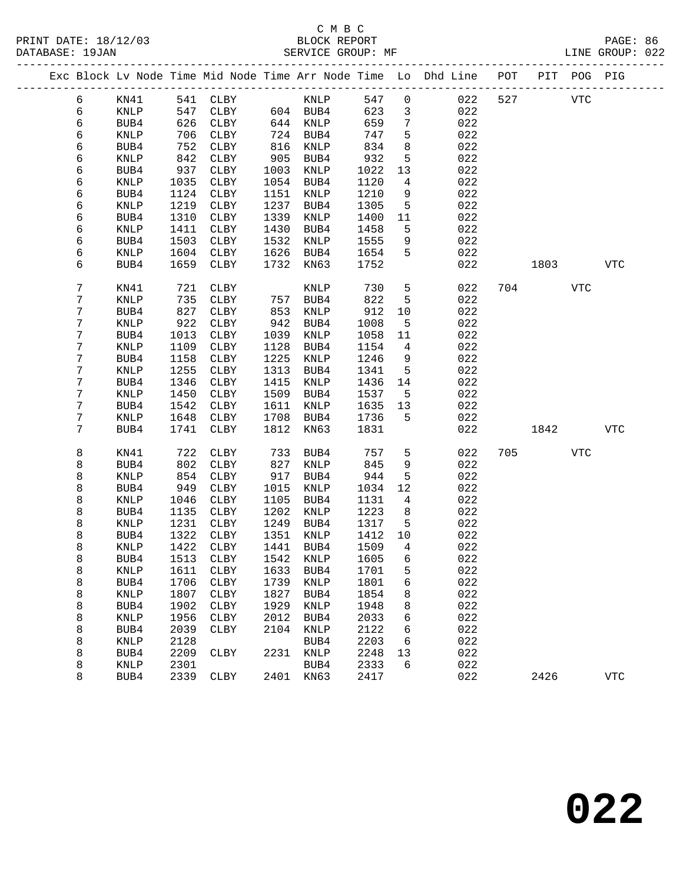|        |              |              |                      |              |                     |                |                     | Exc Block Lv Node Time Mid Node Time Arr Node Time Lo Dhd Line POT |     |      | PIT POG PIG |              |
|--------|--------------|--------------|----------------------|--------------|---------------------|----------------|---------------------|--------------------------------------------------------------------|-----|------|-------------|--------------|
| 6      | KN41         | 541          | CLBY                 |              | KNLP                | 547            | $\mathsf{O}\xspace$ | 022                                                                | 527 |      | <b>VTC</b>  |              |
| 6      | KNLP         | 547          | CLBY                 |              | 604 BUB4            | 623            | $\mathbf{3}$        | 022                                                                |     |      |             |              |
| 6      | BUB4         | 626          | CLBY                 | 644          | KNLP                | 659            | $\overline{7}$      | 022                                                                |     |      |             |              |
| 6      | KNLP         | 706          | CLBY                 | 724          | BUB4                | 747            | 5                   | 022                                                                |     |      |             |              |
| 6      | BUB4         | 752          | CLBY                 | 816          | KNLP                | 834            | 8                   | 022                                                                |     |      |             |              |
| 6      | KNLP         | 842          | CLBY                 | 905          | BUB4                | 932            | 5                   | 022                                                                |     |      |             |              |
| 6      | BUB4         | 937          | CLBY                 | 1003         | KNLP                | 1022           | 13                  | 022                                                                |     |      |             |              |
| 6      | KNLP         | 1035         | CLBY                 | 1054         | BUB4                | 1120           | 4                   | 022                                                                |     |      |             |              |
| 6      | BUB4         | 1124         | CLBY                 | 1151         | KNLP                | 1210           | 9                   | 022                                                                |     |      |             |              |
| 6      | KNLP         | 1219         | CLBY                 | 1237         | BUB4                | 1305           | 5                   | 022                                                                |     |      |             |              |
| 6      | BUB4         | 1310         | CLBY                 | 1339         | KNLP                | 1400           | 11                  | 022                                                                |     |      |             |              |
| 6      | KNLP         | 1411         | CLBY                 | 1430         | BUB4                | 1458           | 5                   | 022                                                                |     |      |             |              |
| 6      | BUB4         | 1503         | CLBY                 | 1532         | KNLP                | 1555           | 9                   | 022                                                                |     |      |             |              |
| 6      | KNLP         | 1604         | CLBY                 | 1626         | BUB4                | 1654           | 5                   | 022                                                                |     |      |             |              |
| 6      | BUB4         | 1659         | CLBY                 | 1732         | KN63                | 1752           |                     | 022                                                                |     | 1803 |             | <b>VTC</b>   |
| 7      | KN41         | 721          | CLBY                 |              | KNLP                | 730            | 5                   | 022                                                                | 704 |      | <b>VTC</b>  |              |
| 7      | KNLP         | 735          | CLBY                 | 757          | BUB4                | 822            | 5                   | 022                                                                |     |      |             |              |
| 7      | BUB4         | 827          | CLBY                 | 853          | KNLP                | 912            | 10                  | 022                                                                |     |      |             |              |
| 7      | KNLP         | 922          | CLBY                 | 942          | BUB4                | 1008           | 5                   | 022                                                                |     |      |             |              |
| 7      | BUB4         | 1013         | CLBY                 | 1039         | KNLP                | 1058           | 11                  | 022                                                                |     |      |             |              |
| 7      | KNLP         | 1109         | CLBY                 | 1128         | BUB4                | 1154           | 4                   | 022                                                                |     |      |             |              |
| 7      | BUB4         | 1158         | CLBY                 | 1225         | KNLP                | 1246           | 9                   | 022                                                                |     |      |             |              |
| 7      | KNLP         | 1255         | CLBY                 | 1313         | BUB4                | 1341           | 5                   | 022                                                                |     |      |             |              |
| 7      | BUB4         | 1346         | CLBY                 | 1415         | KNLP                | 1436           | 14                  | 022                                                                |     |      |             |              |
| 7      | KNLP         | 1450         | CLBY                 | 1509         | BUB4                | 1537           | 5                   | 022                                                                |     |      |             |              |
| 7      | BUB4         | 1542         | CLBY                 | 1611         | $\textsc{KNLP}$     | 1635           | 13                  | 022                                                                |     |      |             |              |
| 7      | KNLP         | 1648         | CLBY                 | 1708         | BUB4                | 1736           | 5                   | 022                                                                |     |      |             |              |
| 7      | BUB4         | 1741         | CLBY                 | 1812         | KN63                | 1831           |                     | 022                                                                |     | 1842 |             | <b>VTC</b>   |
| 8      | KN41         | 722          | CLBY                 | 733          | BUB4                | 757            | 5                   | 022                                                                | 705 |      | VTC         |              |
| 8      | BUB4         | 802          | CLBY                 | 827          | KNLP                | 845            | 9                   | 022                                                                |     |      |             |              |
| 8      | KNLP         | 854          | CLBY                 | 917          | BUB4                | 944            | 5                   | 022                                                                |     |      |             |              |
| 8      | BUB4         | 949          | CLBY                 | 1015         | KNLP                | 1034           | 12                  | 022                                                                |     |      |             |              |
| 8      | KNLP         | 1046         | CLBY                 | 1105         | BUB4                | 1131           | 4                   | 022                                                                |     |      |             |              |
| 8      | BUB4         | 1135         | CLBY                 | 1202         | KNLP                | 1223           | 8                   | 022                                                                |     |      |             |              |
| 8      | KNLP         | 1231         | CLBY                 | 1249         | BUB4                | 1317           | 5                   | 022                                                                |     |      |             |              |
| 8      | BUB4         | 1322<br>1422 | CLBY                 | 1351         | KNLP                | 1412           | 10                  | 022                                                                |     |      |             |              |
| 8      | KNLP         |              | CLBY<br>1513 CLBY    | 1441         | BUB4<br>1542 KNLP   | 1509<br>1605 6 | 4                   | 022                                                                |     |      |             |              |
| 8      | BUB4         |              |                      |              |                     |                |                     | 022<br>022                                                         |     |      |             |              |
| 8<br>8 | KNLP<br>BUB4 | 1611<br>1706 | CLBY<br>${\tt CLBY}$ | 1633<br>1739 | BUB4<br><b>KNLP</b> | 1701<br>1801   | 5<br>6              | 022                                                                |     |      |             |              |
| 8      | KNLP         | 1807         | CLBY                 | 1827         | BUB4                | 1854           | 8                   | 022                                                                |     |      |             |              |
| 8      | BUB4         | 1902         | CLBY                 | 1929         | KNLP                | 1948           | 8                   | 022                                                                |     |      |             |              |
| 8      | KNLP         | 1956         | CLBY                 | 2012         | BUB4                | 2033           | 6                   | 022                                                                |     |      |             |              |
| 8      | BUB4         | 2039         | CLBY                 | 2104         | KNLP                | 2122           | 6                   | 022                                                                |     |      |             |              |
| 8      | KNLP         | 2128         |                      |              | BUB4                | 2203           | 6                   | 022                                                                |     |      |             |              |
| 8      | BUB4         | 2209         | <b>CLBY</b>          | 2231         | KNLP                | 2248           | 13                  | 022                                                                |     |      |             |              |
| 8      | KNLP         | 2301         |                      |              | BUB4                | 2333           | 6                   | 022                                                                |     |      |             |              |
| 8      | BUB4         | 2339         | CLBY                 | 2401         | KN63                | 2417           |                     | 022                                                                |     | 2426 |             | $_{\rm VTC}$ |
|        |              |              |                      |              |                     |                |                     |                                                                    |     |      |             |              |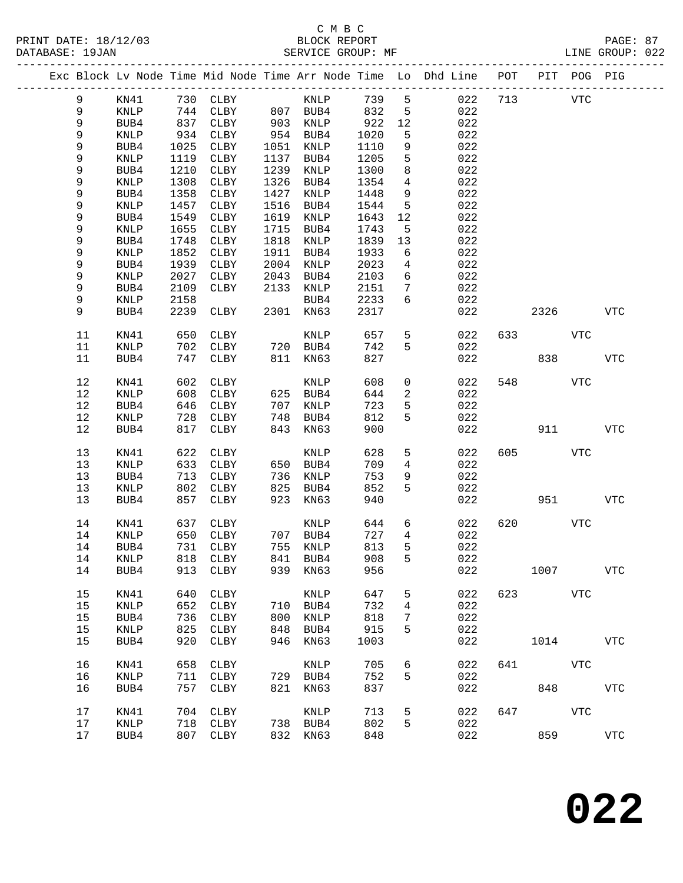|         |             |      |          |      |          |      |                 | Exc Block Lv Node Time Mid Node Time Arr Node Time Lo Dhd Line | POT |                        | PIT POG PIG |                |
|---------|-------------|------|----------|------|----------|------|-----------------|----------------------------------------------------------------|-----|------------------------|-------------|----------------|
| 9       | KN41        |      | 730 CLBY |      | KNLP     | 739  | 5               | 022                                                            | 713 |                        | VTC         |                |
| 9       | <b>KNLP</b> | 744  | CLBY     |      | 807 BUB4 | 832  | 5               | 022                                                            |     |                        |             |                |
| 9       | BUB4        | 837  | CLBY     | 903  | KNLP     | 922  | 12              | 022                                                            |     |                        |             |                |
| 9       | <b>KNLP</b> | 934  | CLBY     | 954  | BUB4     | 1020 | 5               | 022                                                            |     |                        |             |                |
| 9       | BUB4        | 1025 | CLBY     | 1051 | KNLP     | 1110 | 9               | 022                                                            |     |                        |             |                |
| 9       | KNLP        | 1119 | CLBY     | 1137 | BUB4     | 1205 | $5\phantom{.0}$ | 022                                                            |     |                        |             |                |
| 9       | BUB4        | 1210 | CLBY     | 1239 | KNLP     | 1300 | 8               | 022                                                            |     |                        |             |                |
| 9       | KNLP        | 1308 | CLBY     | 1326 | BUB4     | 1354 | 4               | 022                                                            |     |                        |             |                |
| 9       | BUB4        | 1358 | CLBY     | 1427 | KNLP     | 1448 | 9               | 022                                                            |     |                        |             |                |
| 9       | KNLP        | 1457 | CLBY     | 1516 | BUB4     | 1544 | 5               | 022                                                            |     |                        |             |                |
| 9       | BUB4        | 1549 | CLBY     | 1619 | KNLP     | 1643 | 12              | 022                                                            |     |                        |             |                |
| 9       | KNLP        | 1655 | CLBY     | 1715 | BUB4     | 1743 | 5               | 022                                                            |     |                        |             |                |
| 9       | BUB4        | 1748 | CLBY     | 1818 | KNLP     | 1839 | 13              | 022                                                            |     |                        |             |                |
| 9       | KNLP        | 1852 | CLBY     | 1911 | BUB4     | 1933 | 6               | 022                                                            |     |                        |             |                |
| 9       | BUB4        | 1939 | CLBY     | 2004 | KNLP     | 2023 | 4               | 022                                                            |     |                        |             |                |
| 9       | KNLP        | 2027 | CLBY     | 2043 | BUB4     | 2103 | 6               | 022                                                            |     |                        |             |                |
| 9       | BUB4        | 2109 | CLBY     | 2133 | KNLP     | 2151 | 7               | 022                                                            |     |                        |             |                |
| 9       | KNLP        | 2158 |          |      | BUB4     | 2233 | 6               | 022                                                            |     |                        |             |                |
| 9       | BUB4        | 2239 | CLBY     | 2301 | KN63     | 2317 |                 | 022                                                            |     | 2326                   |             | <b>VTC</b>     |
| 11      | KN41        | 650  | CLBY     |      | KNLP     | 657  | 5               | 022                                                            | 633 |                        | VTC         |                |
| 11      | KNLP        | 702  | CLBY     |      | 720 BUB4 | 742  | 5               | 022                                                            |     |                        |             |                |
| 11      | BUB4        | 747  | CLBY     | 811  | KN63     | 827  |                 | 022                                                            |     | 838                    |             | <b>VTC</b>     |
| 12      | KN41        | 602  | CLBY     |      | KNLP     | 608  | 0               | 022                                                            | 548 |                        | VTC         |                |
| 12      | KNLP        | 608  | CLBY     | 625  | BUB4     | 644  | 2               | 022                                                            |     |                        |             |                |
| 12      | BUB4        | 646  | CLBY     | 707  | KNLP     | 723  | 5               | 022                                                            |     |                        |             |                |
| 12      | KNLP        | 728  | CLBY     | 748  | BUB4     | 812  | 5               | 022                                                            |     |                        |             |                |
| 12      | BUB4        | 817  | CLBY     | 843  | KN63     | 900  |                 | 022                                                            |     | 911                    |             | <b>VTC</b>     |
| 13      | KN41        | 622  | CLBY     |      | KNLP     | 628  | 5               | 022                                                            | 605 |                        | <b>VTC</b>  |                |
| 13      | KNLP        | 633  | CLBY     | 650  | BUB4     | 709  | $\overline{4}$  | 022                                                            |     |                        |             |                |
| 13      | BUB4        | 713  | CLBY     | 736  | KNLP     | 753  | 9               | 022                                                            |     |                        |             |                |
| 13      | KNLP        | 802  | CLBY     | 825  | BUB4     | 852  | 5               | 022                                                            |     |                        |             |                |
| 13      | BUB4        | 857  | CLBY     | 923  | KN63     | 940  |                 | 022                                                            |     | 951                    |             | <b>VTC</b>     |
| 14      | KN41        | 637  | CLBY     |      | KNLP     | 644  | 6               | 022                                                            | 620 |                        | VTC         |                |
| 14      | KNLP        | 650  | CLBY     |      | 707 BUB4 | 727  | $\overline{4}$  | 022                                                            |     |                        |             |                |
| 14      | BUB4        | 731  | CLBY     |      | 755 KNLP | 813  | 5               | 022                                                            |     |                        |             |                |
| 14 KNLP |             |      | 818 CLBY |      | 841 BUB4 | 908  | 5               | 022                                                            |     |                        |             |                |
| 14      | BUB4        | 913  | CLBY     | 939  | KN63     | 956  |                 | 022                                                            |     | 1007                   |             | ${\hbox{VTC}}$ |
| 15      | KN41        | 640  | CLBY     |      | KNLP     | 647  | 5               | 022                                                            |     | 623 and $\overline{a}$ | <b>VTC</b>  |                |
| 15      | KNLP        | 652  | CLBY     | 710  | BUB4     | 732  | 4               | 022                                                            |     |                        |             |                |
| 15      | BUB4        | 736  | CLBY     | 800  | KNLP     | 818  | 7               | 022                                                            |     |                        |             |                |
| 15      | KNLP        | 825  | CLBY     | 848  | BUB4     | 915  | 5               | 022                                                            |     |                        |             |                |
| 15      | BUB4        | 920  | CLBY     | 946  | KN63     | 1003 |                 | 022                                                            |     | 1014                   |             | ${\tt VTC}$    |
| 16      | KN41        | 658  | CLBY     |      | KNLP     | 705  | 6               | 022                                                            | 641 |                        | VTC         |                |
| 16      | KNLP        | 711  | CLBY     |      | 729 BUB4 | 752  | 5               | 022                                                            |     |                        |             |                |
| 16      | BUB4        | 757  | CLBY     | 821  | KN63     | 837  |                 | 022                                                            |     |                        | 848         | <b>VTC</b>     |
| 17      | KN41        | 704  | CLBY     |      | KNLP     | 713  | 5               | 022                                                            | 647 |                        | <b>VTC</b>  |                |
| 17      | <b>KNLP</b> | 718  | CLBY     |      | 738 BUB4 | 802  | 5               | 022                                                            |     |                        |             |                |
| 17      | BUB4        | 807  | CLBY     |      | 832 KN63 | 848  |                 | 022                                                            |     | 859                    |             | <b>VTC</b>     |
|         |             |      |          |      |          |      |                 |                                                                |     |                        |             |                |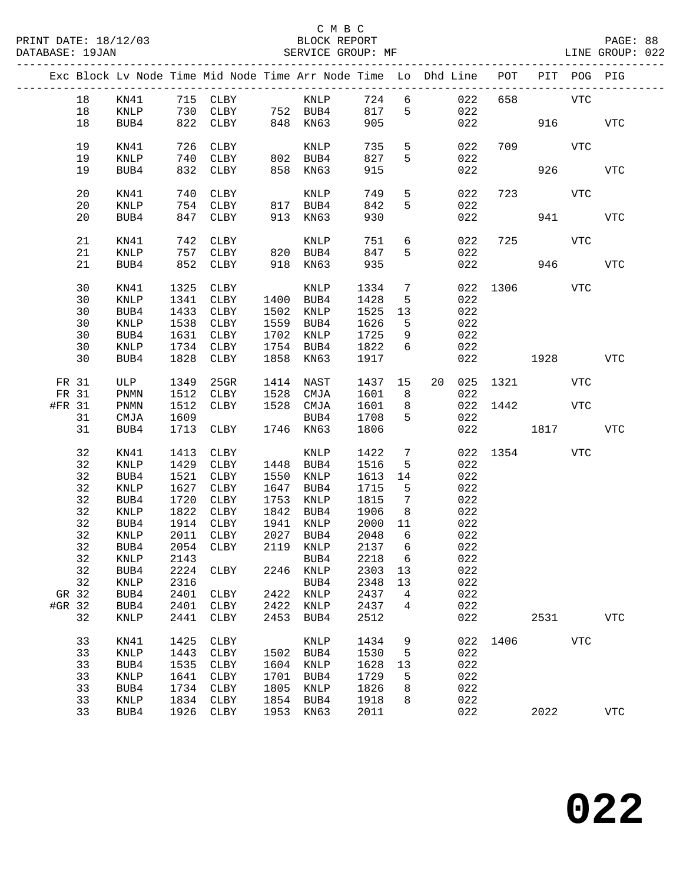|        |         |                 |      | Exc Block Lv Node Time Mid Node Time Arr Node Time Lo Dhd Line POT PIT POG PIG |      |             |       |                 |                 |     |          |              |            |              |
|--------|---------|-----------------|------|--------------------------------------------------------------------------------|------|-------------|-------|-----------------|-----------------|-----|----------|--------------|------------|--------------|
|        | 18      | KN41            |      | 715 CLBY                                                                       |      | KNLP        | 724 6 |                 |                 | 022 | 658      |              | VTC        |              |
|        | 18      | KNLP            |      | $730$ CLBY $752$ BUB4                                                          |      |             | 817   | 5               |                 | 022 |          |              |            |              |
|        | 18      | BUB4            |      | 822 CLBY                                                                       |      | 848 KN63    | 905   |                 |                 | 022 |          |              | 916 70     | <b>VTC</b>   |
|        |         |                 |      |                                                                                |      |             |       |                 |                 |     |          |              |            |              |
|        | 19      | KN41            | 726  | CLBY                                                                           |      | KNLP        | 735   | 5 <sub>5</sub>  |                 | 022 | 709      |              | VTC        |              |
|        | 19      | KNLP            | 740  | CLBY                                                                           |      | 802 BUB4    | 827   | 5               |                 | 022 |          |              |            |              |
|        | 19      | BUB4            | 832  | CLBY                                                                           | 858  | KN63        | 915   |                 |                 | 022 |          | 926          |            | <b>VTC</b>   |
|        |         |                 |      |                                                                                |      |             |       |                 |                 |     |          |              |            |              |
|        | 20      | KN41            | 740  | CLBY                                                                           |      | KNLP        | 749   | 5               |                 | 022 | 723      | VTC          |            |              |
|        | 20      | KNLP            |      | 754 CLBY                                                                       |      | 817 BUB4    | 842   | 5               |                 | 022 |          |              |            |              |
|        | 20      | BUB4            |      | 847 CLBY                                                                       |      | KN63        | 930   |                 |                 | 022 |          |              | 941 7      | <b>VTC</b>   |
|        |         |                 |      |                                                                                | 913  |             |       |                 |                 |     |          |              |            |              |
|        | 21      | KN41            | 742  | CLBY                                                                           |      | KNLP        | 751   | 6               |                 | 022 |          | 725 VTC      |            |              |
|        |         |                 |      |                                                                                |      |             |       |                 |                 |     |          |              |            |              |
|        | 21      | KNLP            |      | 757 CLBY                                                                       |      | 820 BUB4    | 847   | 5               |                 | 022 |          |              |            |              |
|        | 21      | BUB4            | 852  | CLBY                                                                           | 918  | KN63        | 935   |                 |                 | 022 |          |              | 946        | <b>VTC</b>   |
|        | 30      |                 |      |                                                                                |      |             |       |                 |                 |     |          | 022 1306 VTC |            |              |
|        |         | KN41            | 1325 | CLBY                                                                           |      | KNLP        | 1334  | $\overline{7}$  |                 |     |          |              |            |              |
|        | 30      | KNLP            | 1341 | CLBY                                                                           |      | 1400 BUB4   | 1428  | 5               |                 | 022 |          |              |            |              |
|        | 30      | BUB4            | 1433 | CLBY                                                                           | 1502 | KNLP        | 1525  | 13              |                 | 022 |          |              |            |              |
|        | 30      | KNLP            | 1538 | CLBY                                                                           | 1559 | BUB4        | 1626  | 5               |                 | 022 |          |              |            |              |
|        | 30      | BUB4            | 1631 | CLBY                                                                           | 1702 | KNLP        | 1725  | 9               |                 | 022 |          |              |            |              |
|        | 30      | $\textsc{KNLP}$ | 1734 | CLBY                                                                           | 1754 | BUB4        | 1822  | $6\overline{6}$ |                 | 022 |          |              |            |              |
|        | 30      | BUB4            | 1828 | CLBY                                                                           | 1858 | KN63        | 1917  |                 |                 | 022 |          | 1928         |            | <b>VTC</b>   |
|        |         |                 |      |                                                                                |      |             |       |                 |                 |     |          |              |            |              |
| FR 31  |         | ULP             | 1349 | $25$ GR                                                                        |      | 1414 NAST   | 1437  | 15              | 20 <sub>o</sub> |     |          | 025 1321     | VTC        |              |
| FR 31  |         | PNMN            | 1512 | CLBY                                                                           |      | 1528 CMJA   | 1601  | 8 <sup>8</sup>  |                 | 022 |          |              |            |              |
| #FR 31 |         | PNMN            | 1512 | CLBY                                                                           |      | 1528 CMJA   | 1601  | 8 <sup>8</sup>  |                 |     | 022 1442 |              | VTC        |              |
|        | 31      | CMJA            | 1609 |                                                                                |      | BUB4        | 1708  | 5               |                 | 022 |          |              |            |              |
|        | 31      | BUB4            | 1713 | CLBY                                                                           |      | 1746 KN63   | 1806  |                 |                 | 022 |          | 1817         |            | VTC          |
|        |         |                 |      |                                                                                |      |             |       |                 |                 |     |          |              |            |              |
|        | 32      | KN41            | 1413 | CLBY                                                                           |      | KNLP        | 1422  | $7\phantom{.0}$ |                 |     |          | 022 1354     | VTC        |              |
|        | 32      | KNLP            | 1429 | CLBY                                                                           | 1448 | BUB4        | 1516  | 5               |                 | 022 |          |              |            |              |
|        | 32      | BUB4            | 1521 | CLBY                                                                           | 1550 | KNLP        | 1613  | 14              |                 | 022 |          |              |            |              |
|        | 32      | KNLP            | 1627 | CLBY                                                                           | 1647 | BUB4        | 1715  | 5               |                 | 022 |          |              |            |              |
|        | 32      | BUB4            | 1720 | CLBY                                                                           | 1753 | KNLP        | 1815  | $7\phantom{.0}$ |                 | 022 |          |              |            |              |
|        | 32      | KNLP            | 1822 | CLBY                                                                           | 1842 | BUB4        | 1906  | 8               |                 | 022 |          |              |            |              |
|        | 32      | BUB4            | 1914 | CLBY                                                                           | 1941 | KNLP        | 2000  | 11              |                 | 022 |          |              |            |              |
|        | 32      |                 | 2011 |                                                                                | 2027 | BUB4        | 2048  | 6               |                 | 022 |          |              |            |              |
|        |         | KNLP            |      | CLBY                                                                           |      |             |       |                 |                 |     |          |              |            |              |
|        | 32      | BUB4            |      | 2054 CLBY                                                                      |      | 2119 KNLP   | 2137  | 6               |                 | 022 |          |              |            |              |
|        | 32 KNLP |                 |      | 2143                                                                           |      | BUB4 2218 6 |       |                 |                 | 022 |          |              |            |              |
|        | 32      | BUB4            | 2224 | CLBY                                                                           |      | 2246 KNLP   | 2303  | 13              |                 | 022 |          |              |            |              |
|        | 32      | KNLP            | 2316 |                                                                                |      | BUB4        | 2348  | 13              |                 | 022 |          |              |            |              |
| GR 32  |         | BUB4            | 2401 | CLBY                                                                           | 2422 | KNLP        | 2437  | $\overline{4}$  |                 | 022 |          |              |            |              |
| #GR 32 |         | BUB4            | 2401 | CLBY                                                                           | 2422 | KNLP        | 2437  | 4               |                 | 022 |          |              |            |              |
|        | 32      | KNLP            | 2441 | CLBY                                                                           | 2453 | BUB4        | 2512  |                 |                 | 022 |          | 2531         |            | <b>VTC</b>   |
|        |         |                 |      |                                                                                |      |             |       |                 |                 |     |          |              |            |              |
|        | 33      | KN41            | 1425 | CLBY                                                                           |      | KNLP        | 1434  | 9               |                 |     | 022 1406 |              | <b>VTC</b> |              |
|        | 33      | $\textsc{KNLP}$ | 1443 | CLBY                                                                           |      | 1502 BUB4   | 1530  | 5               |                 | 022 |          |              |            |              |
|        | 33      | BUB4            | 1535 | CLBY                                                                           | 1604 | KNLP        | 1628  | 13              |                 | 022 |          |              |            |              |
|        | 33      | $\textsc{KNLP}$ | 1641 | CLBY                                                                           | 1701 | BUB4        | 1729  | 5               |                 | 022 |          |              |            |              |
|        | 33      | BUB4            | 1734 | CLBY                                                                           | 1805 | KNLP        | 1826  | 8               |                 | 022 |          |              |            |              |
|        | 33      | KNLP            | 1834 | CLBY                                                                           | 1854 | BUB4        | 1918  | 8               |                 | 022 |          |              |            |              |
|        | 33      | BUB4            | 1926 | CLBY                                                                           | 1953 | KN63        | 2011  |                 |                 | 022 |          | 2022         |            | $_{\rm VTC}$ |
|        |         |                 |      |                                                                                |      |             |       |                 |                 |     |          |              |            |              |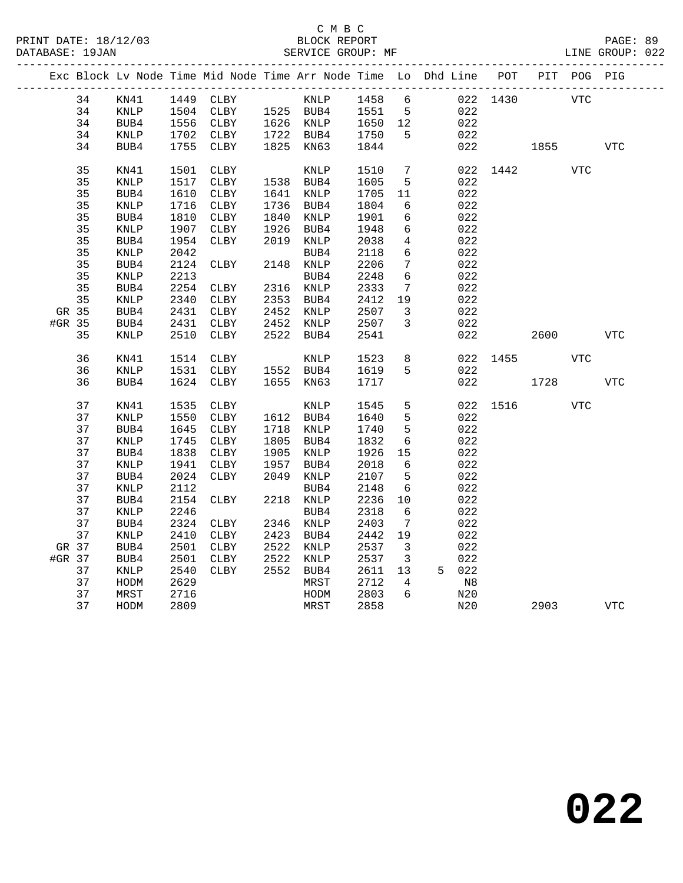|        |    | _______________ |      | Exc Block Lv Node Time Mid Node Time Arr Node Time Lo Dhd Line POT |      |           |         |                 |       |          |      | PIT POG PIG |            |
|--------|----|-----------------|------|--------------------------------------------------------------------|------|-----------|---------|-----------------|-------|----------|------|-------------|------------|
|        | 34 | KN41            | 1449 | CLBY                                                               |      | KNLP      | 1458    | 6               |       | 022 1430 |      | <b>VTC</b>  |            |
|        | 34 | $\texttt{KNLP}$ | 1504 | CLBY                                                               |      | 1525 BUB4 | 1551    | $5^{\circ}$     | 022   |          |      |             |            |
|        | 34 | BUB4            | 1556 | CLBY                                                               |      | 1626 KNLP | 1650 12 |                 | 022   |          |      |             |            |
|        | 34 | $\texttt{KNLP}$ | 1702 | CLBY                                                               |      | 1722 BUB4 | 1750    | 5               | 022   |          |      |             |            |
|        | 34 | BUB4            | 1755 | CLBY                                                               | 1825 | KN63      | 1844    |                 | 022   |          | 1855 |             | <b>VTC</b> |
|        |    |                 |      |                                                                    |      |           |         |                 |       |          |      |             |            |
|        | 35 | KN41            | 1501 | CLBY                                                               |      | KNLP      | 1510    | 7               | 022   | 1442     |      | <b>VTC</b>  |            |
|        | 35 | KNLP            | 1517 | CLBY                                                               | 1538 | BUB4      | 1605    | 5               | 022   |          |      |             |            |
|        | 35 | BUB4            | 1610 | CLBY                                                               | 1641 | KNLP      | 1705    | 11              | 022   |          |      |             |            |
|        | 35 | <b>KNLP</b>     | 1716 | CLBY                                                               | 1736 | BUB4      | 1804    | 6               | 022   |          |      |             |            |
|        | 35 | BUB4            | 1810 | CLBY                                                               | 1840 | KNLP      | 1901    | 6               | 022   |          |      |             |            |
|        | 35 | KNLP            | 1907 | CLBY                                                               | 1926 | BUB4      | 1948    | 6               | 022   |          |      |             |            |
|        | 35 | BUB4            | 1954 | CLBY                                                               | 2019 | KNLP      | 2038    | 4               | 022   |          |      |             |            |
|        | 35 | $\textsc{KNLP}$ | 2042 |                                                                    |      | BUB4      | 2118    | 6               | 022   |          |      |             |            |
|        | 35 | BUB4            | 2124 | CLBY                                                               | 2148 | KNLP      | 2206    | $7\phantom{.0}$ | 022   |          |      |             |            |
|        | 35 | <b>KNLP</b>     | 2213 |                                                                    |      | BUB4      | 2248    | $6\overline{6}$ | 022   |          |      |             |            |
|        | 35 | BUB4            | 2254 | CLBY                                                               | 2316 | KNLP      | 2333    | 7               | 022   |          |      |             |            |
|        | 35 | KNLP            | 2340 | CLBY                                                               | 2353 | BUB4      | 2412    | 19              | 022   |          |      |             |            |
| GR 35  |    | BUB4            | 2431 | CLBY                                                               | 2452 | KNLP      | 2507    | 3               | 022   |          |      |             |            |
| #GR 35 |    | BUB4            | 2431 | CLBY                                                               | 2452 | KNLP      | 2507    | 3               | 022   |          |      |             |            |
|        | 35 | KNLP            | 2510 | CLBY                                                               | 2522 | BUB4      | 2541    |                 | 022   |          | 2600 |             | <b>VTC</b> |
|        | 36 | KN41            | 1514 | CLBY                                                               |      | KNLP      | 1523    | $\,8\,$         | 022   | 1455     |      | <b>VTC</b>  |            |
|        | 36 | <b>KNLP</b>     | 1531 | CLBY                                                               |      | 1552 BUB4 | 1619    | 5               | 022   |          |      |             |            |
|        | 36 | BUB4            | 1624 | CLBY                                                               | 1655 | KN63      | 1717    |                 | 022   |          | 1728 |             | <b>VTC</b> |
|        |    |                 |      |                                                                    |      |           |         |                 |       |          |      |             |            |
|        | 37 | KN41            | 1535 | CLBY                                                               |      | KNLP      | 1545    | 5               | 022   | 1516     |      | <b>VTC</b>  |            |
|        | 37 | KNLP            | 1550 | CLBY                                                               |      | 1612 BUB4 | 1640    | 5               | 022   |          |      |             |            |
|        | 37 | BUB4            | 1645 | CLBY                                                               | 1718 | KNLP      | 1740    | $5\phantom{.0}$ | 022   |          |      |             |            |
|        | 37 | KNLP            | 1745 | ${\tt CLBY}$                                                       | 1805 | BUB4      | 1832    | $6\phantom{1}6$ | 022   |          |      |             |            |
|        | 37 | BUB4            | 1838 | CLBY                                                               | 1905 | KNLP      | 1926    | 15              | 022   |          |      |             |            |
|        | 37 | KNLP            | 1941 | CLBY                                                               | 1957 | BUB4      | 2018    | 6               | 022   |          |      |             |            |
|        | 37 | BUB4            | 2024 | CLBY                                                               | 2049 | KNLP      | 2107    | 5               | 022   |          |      |             |            |
|        | 37 | KNLP            | 2112 |                                                                    |      | BUB4      | 2148    | 6               | 022   |          |      |             |            |
|        | 37 | BUB4            | 2154 | CLBY                                                               | 2218 | KNLP      | 2236    | 10              | 022   |          |      |             |            |
|        | 37 | KNLP            | 2246 |                                                                    |      | BUB4      | 2318    | 6               | 022   |          |      |             |            |
|        | 37 | BUB4            | 2324 | CLBY                                                               | 2346 | KNLP      | 2403    | 7               | 022   |          |      |             |            |
|        | 37 | KNLP            | 2410 | CLBY                                                               | 2423 | BUB4      | 2442    | 19              | 022   |          |      |             |            |
| GR 37  |    | BUB4            | 2501 | CLBY                                                               | 2522 | KNLP      | 2537    | 3               | 022   |          |      |             |            |
| #GR 37 |    | BUB4            | 2501 | CLBY                                                               | 2522 | KNLP      | 2537    | $\mathbf{3}$    | 022   |          |      |             |            |
|        | 37 | KNLP            | 2540 | CLBY                                                               | 2552 | BUB4      | 2611    | 13              | 5 022 |          |      |             |            |
|        | 37 | HODM            | 2629 |                                                                    |      | MRST      | 2712    | 4               | N8    |          |      |             |            |
|        | 37 | MRST            | 2716 |                                                                    |      | HODM      | 2803    | 6               | N20   |          |      |             |            |
|        | 37 | HODM            | 2809 |                                                                    |      | MRST      | 2858    |                 | N20   |          | 2903 |             | <b>VTC</b> |
|        |    |                 |      |                                                                    |      |           |         |                 |       |          |      |             |            |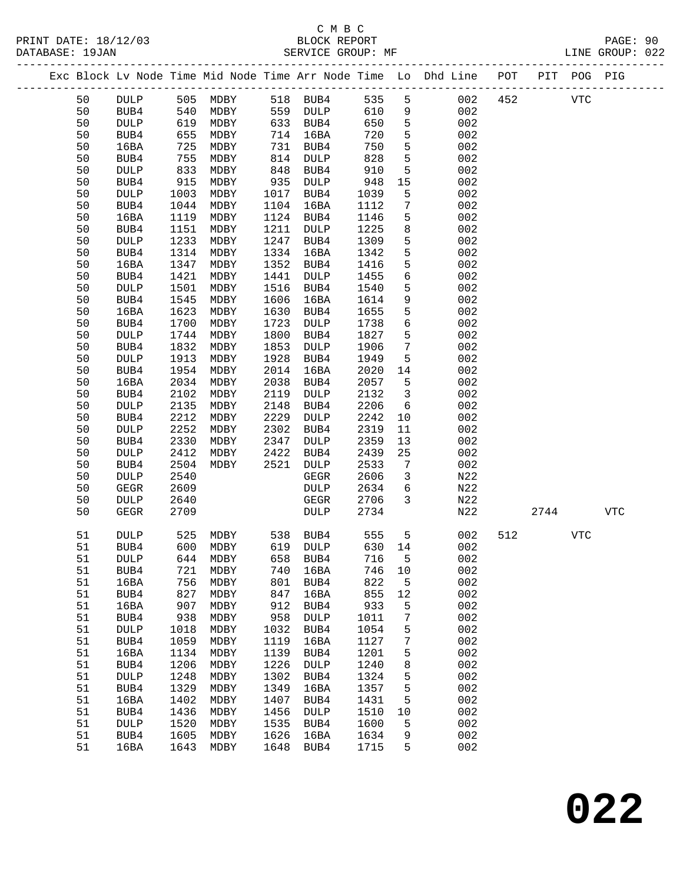|  |          |              |              |                         |              |                     |              |                 | Exc Block Lv Node Time Mid Node Time Arr Node Time Lo Dhd Line POT PIT POG PIG |     |      |            |     |
|--|----------|--------------|--------------|-------------------------|--------------|---------------------|--------------|-----------------|--------------------------------------------------------------------------------|-----|------|------------|-----|
|  | 50       | <b>DULP</b>  |              | 505 MDBY                |              | 518 BUB4            | 535          | 5               | 002                                                                            | 452 |      | <b>VTC</b> |     |
|  | 50       | BUB4         | 540          | MDBY                    |              | 559 DULP            | 610          | 9               | 002                                                                            |     |      |            |     |
|  | 50       | <b>DULP</b>  | 540<br>619   | MDBY                    |              | 633 BUB4            | 650          | $\overline{5}$  | 002                                                                            |     |      |            |     |
|  | 50       | BUB4         | 655          | MDBY                    | 714          | 16BA                | 720          | 5               | 002                                                                            |     |      |            |     |
|  | 50       | 16BA         | 725          | MDBY                    | 731          | BUB4                | 750          | $5\phantom{.0}$ | 002                                                                            |     |      |            |     |
|  | 50       | BUB4         | 755          | MDBY                    | 814          | DULP                | 828          | 5               | 002                                                                            |     |      |            |     |
|  | 50       | DULP         | 833          | MDBY                    | 848          | BUB4                | 910          | 5               | 002                                                                            |     |      |            |     |
|  | 50       | BUB4         | 915          | MDBY                    | 935          | $\texttt{DULP}{}$   | 948          | 15              | 002                                                                            |     |      |            |     |
|  | 50       | DULP         | 1003         | MDBY                    | 1017         | BUB4                | 1039         | 5               | 002                                                                            |     |      |            |     |
|  | 50       | BUB4         | 1044         | MDBY                    | 1104         | 16BA                | 1112         | 7               | 002                                                                            |     |      |            |     |
|  | 50       | 16BA         | 1119         | MDBY                    | 1124         | BUB4                | 1146         | $5\phantom{.0}$ | 002                                                                            |     |      |            |     |
|  | 50       | BUB4         | 1151         | MDBY                    | 1211         | DULP                | 1225         | 8               | 002                                                                            |     |      |            |     |
|  | 50       | DULP         | 1233         | MDBY                    | 1247         | BUB4                | 1309         | $5\phantom{.0}$ | 002                                                                            |     |      |            |     |
|  | 50       | BUB4         | 1314         | MDBY                    | 1334         | 16BA                | 1342         | 5               | 002                                                                            |     |      |            |     |
|  | 50       | 16BA         | 1347         | MDBY                    | 1352         | BUB4                | 1416         | $5\phantom{.0}$ | 002                                                                            |     |      |            |     |
|  | 50       | BUB4         | 1421         | MDBY                    | 1441         | DULP                | 1455         | 6               | 002                                                                            |     |      |            |     |
|  | 50       | DULP         | 1501         | MDBY                    | 1516         | BUB4                | 1540         | 5               | 002                                                                            |     |      |            |     |
|  | 50       | BUB4         | 1545         | MDBY                    | 1606         | 16BA                | 1614         | 9               | 002                                                                            |     |      |            |     |
|  | 50       | 16BA         | 1623         | MDBY                    | 1630         | BUB4                | 1655         | $5\phantom{.0}$ | 002                                                                            |     |      |            |     |
|  | 50<br>50 | BUB4         | 1700<br>1744 | MDBY<br>MDBY            | 1723<br>1800 | DULP<br>BUB4        | 1738<br>1827 | 6<br>5          | 002<br>002                                                                     |     |      |            |     |
|  | 50       | DULP<br>BUB4 | 1832         | MDBY                    | 1853         | <b>DULP</b>         | 1906         | $7\phantom{.0}$ | 002                                                                            |     |      |            |     |
|  | 50       | DULP         | 1913         | MDBY                    | 1928         | BUB4                | 1949         | 5               | 002                                                                            |     |      |            |     |
|  | 50       | BUB4         | 1954         | MDBY                    | 2014         | 16BA                | 2020         | 14              | 002                                                                            |     |      |            |     |
|  | 50       | 16BA         | 2034         | MDBY                    | 2038         | BUB4                | 2057         | 5               | 002                                                                            |     |      |            |     |
|  | 50       | BUB4         | 2102         | MDBY                    | 2119         | DULP                | 2132         | $\mathbf{3}$    | 002                                                                            |     |      |            |     |
|  | 50       | DULP         | 2135         | MDBY                    | 2148         | BUB4                | 2206         | 6               | 002                                                                            |     |      |            |     |
|  | 50       | BUB4         | 2212         | MDBY                    | 2229         | DULP                | 2242         | 10              | 002                                                                            |     |      |            |     |
|  | 50       | DULP         | 2252         | MDBY                    | 2302         | BUB4                | 2319         | 11              | 002                                                                            |     |      |            |     |
|  | 50       | BUB4         | 2330         | MDBY                    | 2347         | DULP                | 2359         | 13              | 002                                                                            |     |      |            |     |
|  | 50       | DULP         | 2412         | MDBY                    | 2422         | BUB4                | 2439         | 25              | 002                                                                            |     |      |            |     |
|  | 50       | BUB4         | 2504         | MDBY                    | 2521         | DULP                | 2533         | $7\phantom{.0}$ | 002                                                                            |     |      |            |     |
|  | 50       | DULP         | 2540         |                         |              | GEGR                | 2606         | $\mathbf{3}$    | N22                                                                            |     |      |            |     |
|  | 50       | <b>GEGR</b>  | 2609         |                         |              | DULP                | 2634         | 6               | N22                                                                            |     |      |            |     |
|  | 50       | DULP         | 2640         |                         |              | GEGR                | 2706         | $\overline{3}$  | N22                                                                            |     |      |            |     |
|  | 50       | GEGR         | 2709         |                         |              | DULP                | 2734         |                 | N22                                                                            |     | 2744 |            | VTC |
|  | 51       | <b>DULP</b>  | 525          | MDBY 538 BUB4           |              |                     | 555          | 5               | 002                                                                            | 512 |      | <b>VTC</b> |     |
|  | 51       | BUB4         | 600          | MDBY                    |              | 619 DULP            | 630 14       |                 | 002                                                                            |     |      |            |     |
|  | 51       | <b>DULP</b>  |              | 644 MDBY 658 BUB4 716 5 |              |                     |              |                 | 002                                                                            |     |      |            |     |
|  | 51       | BUB4         | 721          | MDBY                    | 740          | 16BA                | 746          | 10              | 002                                                                            |     |      |            |     |
|  | 51       | 16BA         | 756          | MDBY                    | 801          | BUB4                | 822          | 5               | 002                                                                            |     |      |            |     |
|  | 51       | BUB4         | 827          | MDBY                    | 847          | 16BA                | 855          | 12              | 002                                                                            |     |      |            |     |
|  | 51       | 16BA         | 907          | MDBY                    | 912          | BUB4                | 933          | 5               | 002                                                                            |     |      |            |     |
|  | 51       | BUB4         | 938          | MDBY                    | 958          | <b>DULP</b>         | 1011         | 7               | 002                                                                            |     |      |            |     |
|  | 51       | DULP         | 1018         | MDBY                    | 1032         | BUB4                | 1054         | 5               | 002                                                                            |     |      |            |     |
|  | 51       | BUB4         | 1059         | MDBY                    | 1119         | 16BA                | 1127         | 7               | 002                                                                            |     |      |            |     |
|  | 51       | 16BA         | 1134         | MDBY                    | 1139         | BUB4                | 1201         | 5               | 002                                                                            |     |      |            |     |
|  | 51<br>51 | BUB4<br>DULP | 1206<br>1248 | MDBY<br>MDBY            | 1226<br>1302 | <b>DULP</b><br>BUB4 | 1240<br>1324 | 8               | 002<br>002                                                                     |     |      |            |     |
|  | 51       | BUB4         | 1329         | MDBY                    | 1349         | 16BA                | 1357         | 5<br>5          | 002                                                                            |     |      |            |     |
|  | 51       | 16BA         | 1402         | MDBY                    | 1407         | BUB4                | 1431         | 5               | 002                                                                            |     |      |            |     |
|  | 51       | BUB4         | 1436         | MDBY                    | 1456         | DULP                | 1510         | 10              | 002                                                                            |     |      |            |     |
|  | 51       | DULP         | 1520         | MDBY                    | 1535         | BUB4                | 1600         | 5               | 002                                                                            |     |      |            |     |
|  | 51       | BUB4         | 1605         | MDBY                    | 1626         | 16BA                | 1634         | 9               | 002                                                                            |     |      |            |     |
|  | 51       | 16BA         | 1643         | MDBY                    | 1648         | BUB4                | 1715         | 5               | 002                                                                            |     |      |            |     |
|  |          |              |              |                         |              |                     |              |                 |                                                                                |     |      |            |     |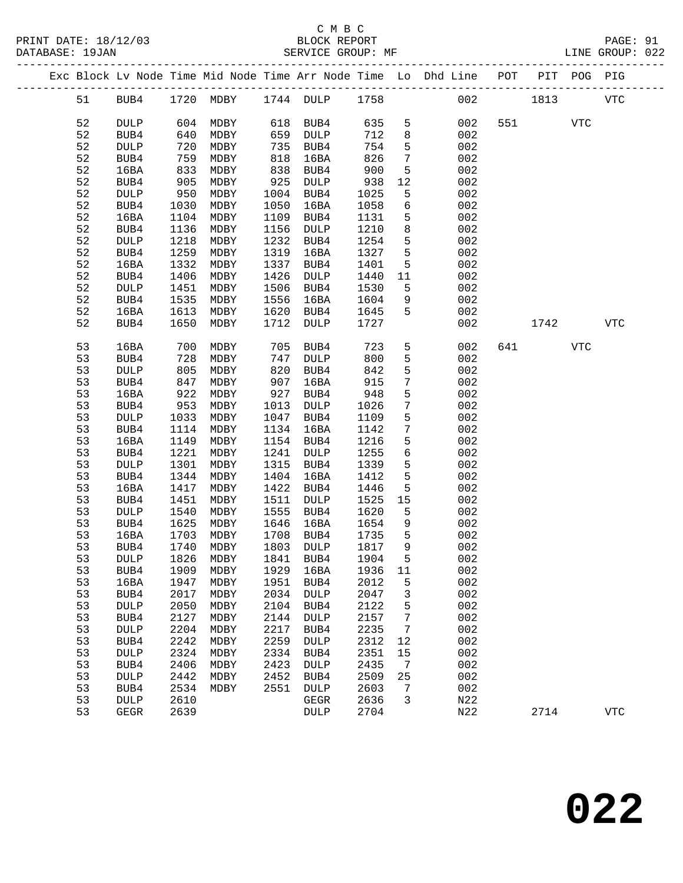PRINT DATE: 18/12/03 BLOCK REPORT PAGE: 91 DATABASE: 19JAN

# C M B C<br>BLOCK REPORT

| DAIABASE · IYUAN |    |             |      |           |      | SEKVICE GROUP. MF |      |                 |                                                                    |     |      |            | LINE GROUP. 022 |
|------------------|----|-------------|------|-----------|------|-------------------|------|-----------------|--------------------------------------------------------------------|-----|------|------------|-----------------|
|                  |    |             |      |           |      |                   |      |                 | Exc Block Lv Node Time Mid Node Time Arr Node Time Lo Dhd Line POT |     | PIT  | POG PIG    |                 |
|                  | 51 | BUB4        |      | 1720 MDBY |      | 1744 DULP         | 1758 |                 | 002                                                                |     | 1813 |            | <b>VTC</b>      |
|                  | 52 | <b>DULP</b> | 604  | MDBY      | 618  | BUB4              | 635  | 5               | 002                                                                | 551 |      | <b>VTC</b> |                 |
|                  | 52 | BUB4        | 640  | MDBY      | 659  | DULP              | 712  | 8               | 002                                                                |     |      |            |                 |
|                  | 52 | <b>DULP</b> | 720  | MDBY      | 735  | BUB4              | 754  | 5               | 002                                                                |     |      |            |                 |
|                  | 52 | BUB4        | 759  | MDBY      | 818  | 16BA              | 826  | $7\phantom{.0}$ | 002                                                                |     |      |            |                 |
|                  | 52 | 16BA        | 833  | MDBY      | 838  | BUB4              | 900  | 5               | 002                                                                |     |      |            |                 |
|                  | 52 | BUB4        | 905  | MDBY      | 925  | DULP              | 938  | 12              | 002                                                                |     |      |            |                 |
|                  | 52 | <b>DULP</b> | 950  | MDBY      | 1004 | BUB4              | 1025 | 5               | 002                                                                |     |      |            |                 |
|                  | 52 | BUB4        | 1030 | MDBY      | 1050 | 16BA              | 1058 | 6               | 002                                                                |     |      |            |                 |
|                  | 52 | 16BA        | 1104 | MDBY      | 1109 | BUB4              | 1131 | 5               | 002                                                                |     |      |            |                 |
|                  | 52 | BUB4        | 1136 | MDBY      | 1156 | $\texttt{DULP}$   | 1210 | 8               | 002                                                                |     |      |            |                 |
|                  | 52 | <b>DULP</b> | 1218 | MDBY      | 1232 | BUB4              | 1254 | 5               | 002                                                                |     |      |            |                 |
|                  | 52 | BUB4        | 1259 | MDBY      | 1319 | 16BA              | 1327 | 5               | 002                                                                |     |      |            |                 |
|                  | 52 | 16BA        | 1332 | MDBY      | 1337 | BUB4              | 1401 | 5               | 002                                                                |     |      |            |                 |
|                  | 52 | BUB4        | 1406 | MDBY      | 1426 | <b>DULP</b>       | 1440 | 11              | 002                                                                |     |      |            |                 |
|                  | 52 | DULP        | 1451 | MDBY      | 1506 | BUB4              | 1530 | 5               | 002                                                                |     |      |            |                 |
|                  | 52 | BUB4        | 1535 | MDBY      | 1556 | 16BA              | 1604 | 9               | 002                                                                |     |      |            |                 |
|                  | 52 | 16BA        | 1613 | MDBY      | 1620 | BUB4              | 1645 | 5               | 002                                                                |     |      |            |                 |
|                  | 52 | BUB4        | 1650 | MDBY      | 1712 | <b>DULP</b>       | 1727 |                 | 002                                                                |     | 1742 |            | <b>VTC</b>      |
|                  |    |             |      |           |      |                   |      |                 |                                                                    |     |      |            |                 |
|                  | 53 | 16BA        | 700  | MDBY      | 705  | BUB4              | 723  | 5               | 002                                                                | 641 |      | VTC        |                 |
|                  | 53 | BUB4        | 728  | MDBY      | 747  | DULP              | 800  | 5               | 002                                                                |     |      |            |                 |
|                  | 53 | <b>DULP</b> | 805  | MDBY      | 820  | BUB4              | 842  | 5               | 002                                                                |     |      |            |                 |
|                  | 53 | BUB4        | 847  | MDBY      | 907  | 16BA              | 915  | $7\phantom{.0}$ | 002                                                                |     |      |            |                 |
|                  | 53 | 16BA        | 922  | MDBY      | 927  | BUB4              | 948  | 5               | 002                                                                |     |      |            |                 |
|                  | 53 | BUB4        | 953  | MDBY      | 1013 | DULP              | 1026 | $7\phantom{.0}$ | 002                                                                |     |      |            |                 |
|                  | 53 | <b>DULP</b> | 1033 | MDBY      | 1047 | BUB4              | 1109 | 5               | 002                                                                |     |      |            |                 |
|                  | 53 | BUB4        | 1114 | MDBY      | 1134 | 16BA              | 1142 | 7               | 002                                                                |     |      |            |                 |
|                  | 53 | 16BA        | 1149 | MDBY      | 1154 | BUB4              | 1216 | 5               | 002                                                                |     |      |            |                 |
|                  | 53 | BUB4        | 1221 | MDBY      | 1241 | DULP              | 1255 | $6\phantom{1}6$ | 002                                                                |     |      |            |                 |
|                  | 53 | <b>DULP</b> | 1301 | MDBY      | 1315 | BUB4              | 1339 | 5               | 002                                                                |     |      |            |                 |
|                  | 53 | BUB4        | 1344 | MDBY      | 1404 | 16BA              | 1412 | 5               | 002                                                                |     |      |            |                 |
|                  | 53 | 16BA        | 1417 | MDBY      | 1422 | BUB4              | 1446 | 5               | 002                                                                |     |      |            |                 |
|                  | 53 | BUB4        | 1451 | MDBY      | 1511 | $\texttt{DULP}$   | 1525 | 15              | 002                                                                |     |      |            |                 |
|                  | 53 | <b>DULP</b> | 1540 | MDBY      | 1555 | BUB4              | 1620 | 5               | 002                                                                |     |      |            |                 |
|                  | 53 | BUB4        | 1625 | MDBY      | 1646 | 16BA              | 1654 | 9               | 002                                                                |     |      |            |                 |
|                  | 53 | 16BA        | 1703 | MDBY      | 1708 | BUB4              | 1735 | 5               | 002                                                                |     |      |            |                 |
|                  | 53 | BUB4        | 1740 | MDBY      | 1803 | DULP              | 1817 | 9               | 002                                                                |     |      |            |                 |
|                  | 53 | <b>DULP</b> | 1826 | MDBY      | 1841 | BUB4              | 1904 | 5               | 002                                                                |     |      |            |                 |
|                  | 53 | BUB4        | 1909 | MDBY      | 1929 | 16BA              | 1936 | 11              | 002                                                                |     |      |            |                 |
|                  | 53 | 16BA        | 1947 | MDBY      | 1951 | BUB4              | 2012 | 5               | 002                                                                |     |      |            |                 |
|                  | 53 | BUB4        | 2017 | MDBY      | 2034 | <b>DULP</b>       | 2047 | 3               | 002                                                                |     |      |            |                 |
|                  | 53 | <b>DULP</b> | 2050 | MDBY      | 2104 | BUB4              | 2122 | 5               | 002                                                                |     |      |            |                 |
|                  | 53 | BUB4        | 2127 | MDBY      | 2144 | <b>DULP</b>       | 2157 | 7               | 002                                                                |     |      |            |                 |
|                  | 53 | <b>DULP</b> | 2204 | MDBY      | 2217 | BUB4              | 2235 | 7               | 002                                                                |     |      |            |                 |
|                  | 53 | BUB4        | 2242 | MDBY      | 2259 | <b>DULP</b>       | 2312 | 12              | 002                                                                |     |      |            |                 |
|                  | 53 | DULP        | 2324 | MDBY      | 2334 | BUB4              | 2351 | 15              | 002                                                                |     |      |            |                 |
|                  | 53 | BUB4        | 2406 | MDBY      | 2423 | DULP              | 2435 | 7               | 002                                                                |     |      |            |                 |

 53 DULP 2442 MDBY 2452 BUB4 2509 25 002 53 BUB4 2534 MDBY 2551 DULP 2603 7 002 53 DULP 2610 GEGR 2636 3 N22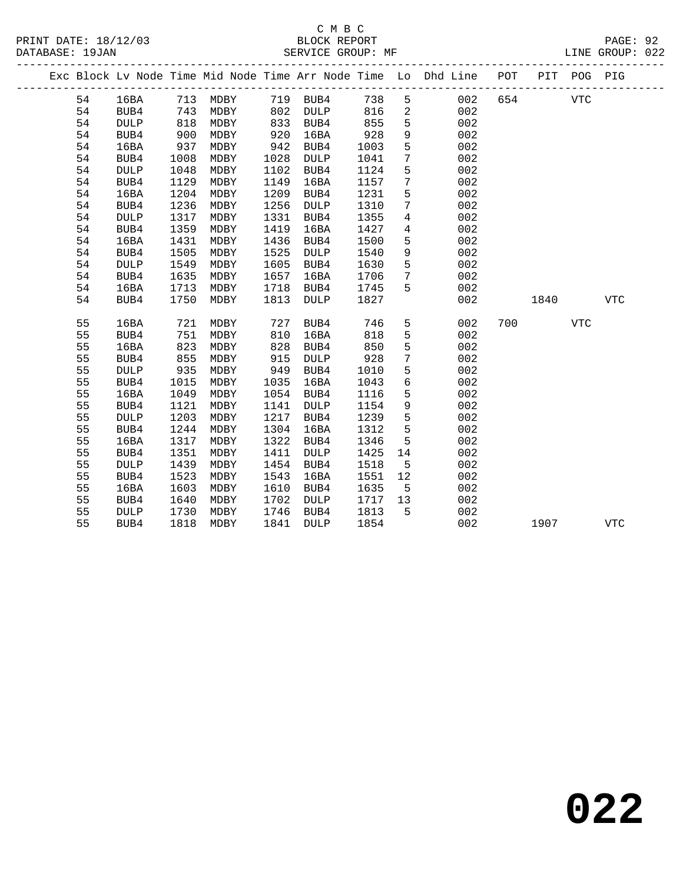|  |    |                 |      |          |      |             |      |                 | Exc Block Lv Node Time Mid Node Time Arr Node Time Lo Dhd Line POT |     |      | PIT POG PIG |              |  |
|--|----|-----------------|------|----------|------|-------------|------|-----------------|--------------------------------------------------------------------|-----|------|-------------|--------------|--|
|  | 54 | 16BA            |      | 713 MDBY |      | 719 BUB4    | 738  | 5               | 002                                                                | 654 |      | <b>VTC</b>  |              |  |
|  | 54 | BUB4            | 743  | MDBY     | 802  | <b>DULP</b> | 816  | $\overline{a}$  | 002                                                                |     |      |             |              |  |
|  | 54 | <b>DULP</b>     | 818  | MDBY     | 833  | BUB4        | 855  | $5\phantom{.0}$ | 002                                                                |     |      |             |              |  |
|  | 54 | BUB4            | 900  | MDBY     | 920  | 16BA        | 928  | 9               | 002                                                                |     |      |             |              |  |
|  | 54 | 16BA            | 937  | MDBY     | 942  | BUB4        | 1003 | 5               | 002                                                                |     |      |             |              |  |
|  | 54 | BUB4            | 1008 | MDBY     | 1028 | DULP        | 1041 | 7               | 002                                                                |     |      |             |              |  |
|  | 54 | <b>DULP</b>     | 1048 | MDBY     | 1102 | BUB4        | 1124 | 5               | 002                                                                |     |      |             |              |  |
|  | 54 | BUB4            | 1129 | MDBY     | 1149 | 16BA        | 1157 | $\overline{7}$  | 002                                                                |     |      |             |              |  |
|  | 54 | 16BA            | 1204 | MDBY     | 1209 | BUB4        | 1231 | $5\phantom{.0}$ | 002                                                                |     |      |             |              |  |
|  | 54 | BUB4            | 1236 | MDBY     | 1256 | <b>DULP</b> | 1310 | $7\phantom{.0}$ | 002                                                                |     |      |             |              |  |
|  | 54 | <b>DULP</b>     | 1317 | MDBY     | 1331 | BUB4        | 1355 | 4               | 002                                                                |     |      |             |              |  |
|  | 54 | BUB4            | 1359 | MDBY     | 1419 | 16BA        | 1427 | 4               | 002                                                                |     |      |             |              |  |
|  | 54 | 16BA            | 1431 | MDBY     | 1436 | BUB4        | 1500 | 5               | 002                                                                |     |      |             |              |  |
|  | 54 | BUB4            | 1505 | MDBY     | 1525 | DULP        | 1540 | 9               | 002                                                                |     |      |             |              |  |
|  | 54 | $\texttt{DULP}$ | 1549 | MDBY     | 1605 | BUB4        | 1630 | 5               | 002                                                                |     |      |             |              |  |
|  | 54 | BUB4            | 1635 | MDBY     | 1657 | 16BA        | 1706 | $7\phantom{.0}$ | 002                                                                |     |      |             |              |  |
|  | 54 | 16BA            | 1713 | MDBY     | 1718 | BUB4        | 1745 | 5               | 002                                                                |     |      |             |              |  |
|  | 54 | BUB4            | 1750 | MDBY     | 1813 | <b>DULP</b> | 1827 |                 | 002                                                                |     | 1840 |             | $_{\rm VTC}$ |  |
|  | 55 | 16BA            | 721  | MDBY     | 727  | BUB4        | 746  | 5               | 002                                                                | 700 |      | <b>VTC</b>  |              |  |
|  | 55 | BUB4            | 751  | MDBY     | 810  | 16BA        | 818  | 5               | 002                                                                |     |      |             |              |  |
|  | 55 | 16BA            | 823  | MDBY     | 828  | BUB4        | 850  | 5               | 002                                                                |     |      |             |              |  |
|  | 55 | BUB4            | 855  | MDBY     | 915  | DULP        | 928  | $\overline{7}$  | 002                                                                |     |      |             |              |  |
|  | 55 | <b>DULP</b>     | 935  | MDBY     | 949  | BUB4        | 1010 | 5               | 002                                                                |     |      |             |              |  |
|  | 55 | BUB4            | 1015 | MDBY     | 1035 | 16BA        | 1043 | $\sqrt{6}$      | 002                                                                |     |      |             |              |  |
|  | 55 | 16BA            | 1049 | MDBY     | 1054 | BUB4        | 1116 | 5               | 002                                                                |     |      |             |              |  |
|  | 55 | BUB4            | 1121 | MDBY     | 1141 | <b>DULP</b> | 1154 | $\mathsf 9$     | 002                                                                |     |      |             |              |  |
|  | 55 | <b>DULP</b>     | 1203 | MDBY     | 1217 | BUB4        | 1239 | 5               | 002                                                                |     |      |             |              |  |
|  | 55 | BUB4            | 1244 | MDBY     | 1304 | 16BA        | 1312 | 5               | 002                                                                |     |      |             |              |  |
|  | 55 | 16BA            | 1317 | MDBY     | 1322 | BUB4        | 1346 | 5               | 002                                                                |     |      |             |              |  |
|  | 55 | BUB4            | 1351 | MDBY     | 1411 | DULP        | 1425 | 14              | 002                                                                |     |      |             |              |  |
|  | 55 | <b>DULP</b>     | 1439 | MDBY     | 1454 | BUB4        | 1518 | 5               | 002                                                                |     |      |             |              |  |
|  | 55 | BUB4            | 1523 | MDBY     | 1543 | 16BA        | 1551 | 12              | 002                                                                |     |      |             |              |  |
|  | 55 | 16BA            | 1603 | MDBY     | 1610 | BUB4        | 1635 | 5               | 002                                                                |     |      |             |              |  |
|  | 55 | BUB4            | 1640 | MDBY     | 1702 | DULP        | 1717 | 13              | 002                                                                |     |      |             |              |  |
|  | 55 | <b>DULP</b>     | 1730 | MDBY     | 1746 | BUB4        | 1813 | 5               | 002                                                                |     |      |             |              |  |
|  | 55 | BUB4            | 1818 | MDBY     | 1841 | <b>DULP</b> | 1854 |                 | 002                                                                |     | 1907 |             | <b>VTC</b>   |  |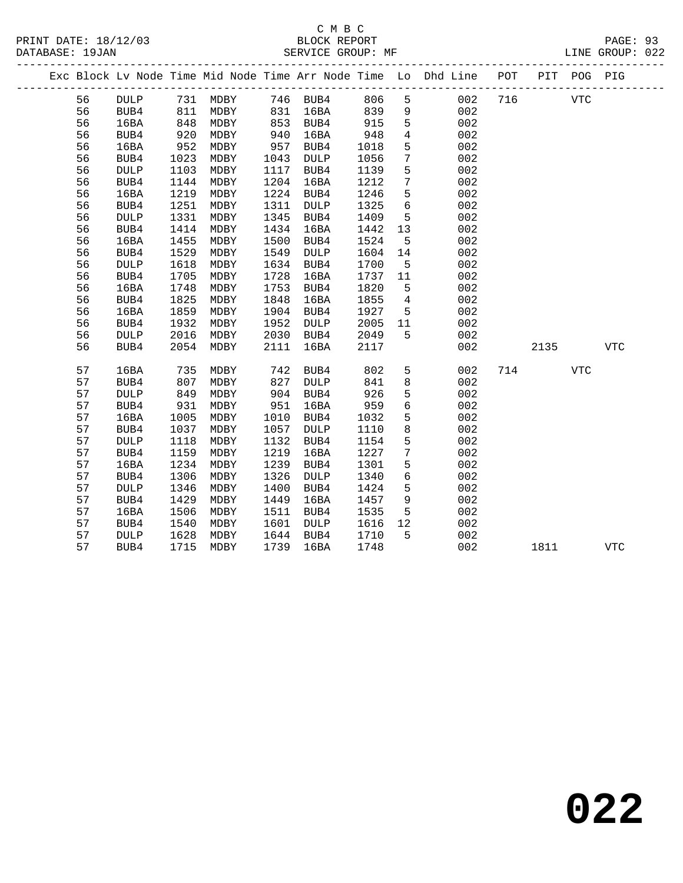|  |    |             |      |                                                  |      |             |      |                 | Exc Block Lv Node Time Mid Node Time Arr Node Time Lo Dhd Line POT |     |      | PIT POG PIG |            |
|--|----|-------------|------|--------------------------------------------------|------|-------------|------|-----------------|--------------------------------------------------------------------|-----|------|-------------|------------|
|  | 56 |             |      | DULP 731 MDBY 746 BUB4<br>BUB4 811 MDBY 831 16BA |      |             | 806  | 5 <sup>5</sup>  | 002                                                                | 716 |      | <b>VTC</b>  |            |
|  | 56 |             |      |                                                  |      |             | 839  | 9               | 002                                                                |     |      |             |            |
|  | 56 | 16BA        | 848  | MDBY                                             |      | 853 BUB4    | 915  | 5               | 002                                                                |     |      |             |            |
|  | 56 | BUB4        | 920  | MDBY                                             | 940  | 16BA        | 948  | $\overline{4}$  | 002                                                                |     |      |             |            |
|  | 56 | 16BA        | 952  | MDBY                                             | 957  | BUB4        | 1018 | 5               | 002                                                                |     |      |             |            |
|  | 56 | BUB4        | 1023 | MDBY                                             | 1043 | DULP        | 1056 | $7\phantom{.0}$ | 002                                                                |     |      |             |            |
|  | 56 | <b>DULP</b> | 1103 | MDBY                                             | 1117 | BUB4        | 1139 | 5               | 002                                                                |     |      |             |            |
|  | 56 | BUB4        | 1144 | MDBY                                             | 1204 | 16BA        | 1212 | $7\phantom{.0}$ | 002                                                                |     |      |             |            |
|  | 56 | 16BA        | 1219 | MDBY                                             | 1224 | BUB4        | 1246 | 5               | 002                                                                |     |      |             |            |
|  | 56 | BUB4        | 1251 | MDBY                                             | 1311 | <b>DULP</b> | 1325 | $6\phantom{1}6$ | 002                                                                |     |      |             |            |
|  | 56 | <b>DULP</b> | 1331 | MDBY                                             | 1345 | BUB4        | 1409 | 5               | 002                                                                |     |      |             |            |
|  | 56 | BUB4        | 1414 | MDBY                                             | 1434 | 16BA        | 1442 | 13              | 002                                                                |     |      |             |            |
|  | 56 | 16BA        | 1455 | MDBY                                             | 1500 | BUB4        | 1524 | 5               | 002                                                                |     |      |             |            |
|  | 56 | BUB4        | 1529 | MDBY                                             | 1549 | DULP        | 1604 | 14              | 002                                                                |     |      |             |            |
|  | 56 | <b>DULP</b> | 1618 | MDBY                                             | 1634 | BUB4        | 1700 | $5^{\circ}$     | 002                                                                |     |      |             |            |
|  | 56 | BUB4        | 1705 | MDBY                                             | 1728 | 16BA        | 1737 | 11              | 002                                                                |     |      |             |            |
|  | 56 | 16BA        | 1748 | MDBY                                             | 1753 | BUB4        | 1820 | $5^{\circ}$     | 002                                                                |     |      |             |            |
|  | 56 | BUB4        | 1825 | MDBY                                             | 1848 | 16BA        | 1855 | $\overline{4}$  | 002                                                                |     |      |             |            |
|  | 56 | 16BA        | 1859 | MDBY                                             | 1904 | BUB4        | 1927 | $5^{\circ}$     | 002                                                                |     |      |             |            |
|  | 56 | BUB4        | 1932 | MDBY                                             | 1952 | DULP        | 2005 | 11              | 002                                                                |     |      |             |            |
|  | 56 | DULP        | 2016 | MDBY                                             | 2030 | BUB4        | 2049 | 5               | 002                                                                |     |      |             |            |
|  | 56 | BUB4        | 2054 | MDBY                                             | 2111 | 16BA        | 2117 |                 | 002                                                                |     | 2135 |             | <b>VTC</b> |
|  | 57 | 16BA        | 735  | MDBY                                             | 742  | BUB4        | 802  | 5               | 002                                                                |     | 714  | VTC         |            |
|  | 57 | BUB4        | 807  | MDBY                                             | 827  | <b>DULP</b> | 841  | 8               | 002                                                                |     |      |             |            |
|  | 57 | <b>DULP</b> | 849  | MDBY                                             | 904  | BUB4        | 926  | 5               | 002                                                                |     |      |             |            |
|  | 57 | BUB4        | 931  | MDBY                                             | 951  | 16BA        | 959  | $\sqrt{6}$      | 002                                                                |     |      |             |            |
|  | 57 | 16BA        | 1005 | MDBY                                             | 1010 | BUB4        | 1032 | 5               | 002                                                                |     |      |             |            |
|  | 57 | BUB4        | 1037 | MDBY                                             | 1057 | <b>DULP</b> | 1110 | 8               | 002                                                                |     |      |             |            |
|  | 57 | <b>DULP</b> | 1118 | MDBY                                             | 1132 | BUB4        | 1154 | 5               | 002                                                                |     |      |             |            |
|  | 57 | BUB4        | 1159 | MDBY                                             | 1219 | 16BA        | 1227 | $7\phantom{.0}$ | 002                                                                |     |      |             |            |
|  | 57 | 16BA        | 1234 | MDBY                                             | 1239 | BUB4        | 1301 | 5               | 002                                                                |     |      |             |            |
|  | 57 | BUB4        | 1306 | MDBY                                             | 1326 | DULP        | 1340 | $\sqrt{6}$      | 002                                                                |     |      |             |            |
|  | 57 | <b>DULP</b> | 1346 | MDBY                                             | 1400 | BUB4        | 1424 | 5               | 002                                                                |     |      |             |            |
|  | 57 | BUB4        | 1429 | MDBY                                             | 1449 | 16BA        | 1457 | 9               | 002                                                                |     |      |             |            |
|  | 57 | 16BA        | 1506 | MDBY                                             | 1511 | BUB4        | 1535 | 5               | 002                                                                |     |      |             |            |
|  | 57 | BUB4        | 1540 | MDBY                                             | 1601 | DULP        | 1616 | 12              | 002                                                                |     |      |             |            |
|  | 57 | <b>DULP</b> | 1628 | MDBY                                             | 1644 | BUB4        | 1710 | $5^{\circ}$     | 002                                                                |     |      |             |            |
|  | 57 | BUB4        | 1715 | MDBY                                             | 1739 | 16BA        | 1748 |                 | 002                                                                |     | 1811 |             | <b>VTC</b> |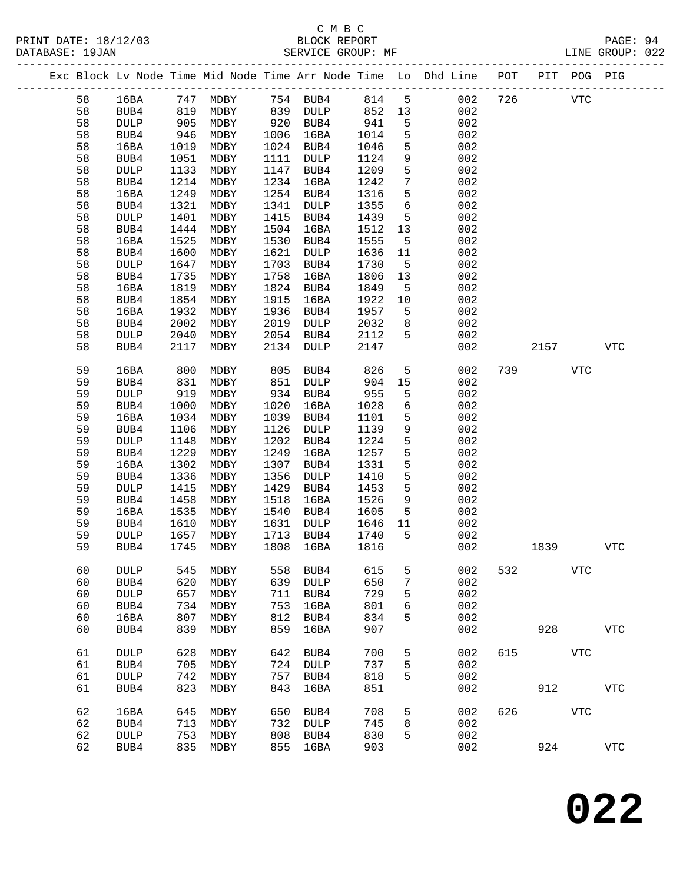# C M B C<br>BLOCK REPORT

LINE GROUP: 022

| DATABASE: 19JAN |         |             |      |           |                                              | SERVICE GROUP: MF |                |    |                                                                |     |     |     | LINE GROUP: 022 |  |
|-----------------|---------|-------------|------|-----------|----------------------------------------------|-------------------|----------------|----|----------------------------------------------------------------|-----|-----|-----|-----------------|--|
|                 |         |             |      |           |                                              |                   |                |    | Exc Block Ly Node Time Mid Node Time Arr Node Time Lo Dhd Line | POT | PIT | POG | PIG             |  |
|                 | 58      | 16BA        | 747  | MDBY      | 754                                          | BUB4              | 814            |    | 002                                                            | 726 |     | VTC |                 |  |
|                 | 58      | BUB4        | 819  | MDBY      | 839                                          | DULP              | 852            | 13 | 002                                                            |     |     |     |                 |  |
|                 | 58      | <b>DULP</b> | 905  | MDBY      | 920                                          | BUB4              | 941            |    | 002                                                            |     |     |     |                 |  |
|                 | 58      | BUB4        | 946  | MDBY      | 1006                                         | 16BA              | 1014           | -5 | 002                                                            |     |     |     |                 |  |
|                 | 58      | 16BA        | 1019 | MDBY      | 1024                                         | BUB4              | 1046           |    | 002                                                            |     |     |     |                 |  |
|                 | 58      | BUB4        | 1051 | MDBY      | 1111                                         | DULP              | 1124           |    | 002                                                            |     |     |     |                 |  |
|                 | $ \sim$ | -----       |      | $1100$ $$ | $\blacksquare$ $\blacksquare$ $\blacksquare$ | $- - - - 1$       | $\blacksquare$ |    | $\sim$ $\sim$ $\sim$                                           |     |     |     |                 |  |

| ၁၀ | <b>PUDT</b> | ᆂᇦᇰᆂ | ד סחוגו | ┵┵┵┵ | שעטע        | ⊥⊥∠± | 2              | ∪∪∠   |     |      |                |            |  |
|----|-------------|------|---------|------|-------------|------|----------------|-------|-----|------|----------------|------------|--|
| 58 | <b>DULP</b> | 1133 | MDBY    | 1147 | BUB4        | 1209 | 5              | 002   |     |      |                |            |  |
| 58 | BUB4        | 1214 | MDBY    | 1234 | 16BA        | 1242 | 7              | 002   |     |      |                |            |  |
| 58 | 16BA        | 1249 | MDBY    | 1254 | BUB4        | 1316 | 5              | 002   |     |      |                |            |  |
| 58 | BUB4        | 1321 | MDBY    | 1341 | <b>DULP</b> | 1355 | 6              | 002   |     |      |                |            |  |
| 58 | <b>DULP</b> | 1401 | MDBY    | 1415 | BUB4        | 1439 | 5              | 002   |     |      |                |            |  |
| 58 | BUB4        | 1444 | MDBY    | 1504 | 16BA        | 1512 | 13             | 002   |     |      |                |            |  |
| 58 | 16BA        | 1525 | MDBY    | 1530 | BUB4        | 1555 | 5              | 002   |     |      |                |            |  |
|    |             |      |         |      |             |      |                |       |     |      |                |            |  |
| 58 | BUB4        | 1600 | MDBY    | 1621 | <b>DULP</b> | 1636 | 11             | 002   |     |      |                |            |  |
| 58 | <b>DULP</b> | 1647 | MDBY    | 1703 | BUB4        | 1730 | 5              | 002   |     |      |                |            |  |
| 58 | BUB4        | 1735 | MDBY    | 1758 | 16BA        | 1806 | 13             | 002   |     |      |                |            |  |
| 58 | 16BA        | 1819 | MDBY    | 1824 | BUB4        | 1849 | 5              | 002   |     |      |                |            |  |
| 58 | BUB4        | 1854 | MDBY    | 1915 | 16BA        | 1922 | 10             | 002   |     |      |                |            |  |
| 58 | 16BA        | 1932 | MDBY    | 1936 | BUB4        | 1957 | 5              | 002   |     |      |                |            |  |
| 58 | BUB4        | 2002 | MDBY    | 2019 | DULP        | 2032 | 8              | 002   |     |      |                |            |  |
| 58 | <b>DULP</b> | 2040 | MDBY    | 2054 | BUB4        | 2112 | 5              | 002   |     |      |                |            |  |
| 58 | BUB4        | 2117 | MDBY    | 2134 | <b>DULP</b> | 2147 |                | 002   |     | 2157 |                | <b>VTC</b> |  |
|    |             |      |         |      |             |      |                |       |     |      |                |            |  |
| 59 | 16BA        | 800  | MDBY    | 805  | BUB4        | 826  | 5              | 002   | 739 |      | ${\hbox{VTC}}$ |            |  |
| 59 | BUB4        | 831  | MDBY    | 851  | <b>DULP</b> | 904  | $15$           | 002   |     |      |                |            |  |
| 59 | <b>DULP</b> | 919  | MDBY    | 934  | BUB4        | 955  | 5              | $002$ |     |      |                |            |  |
| 59 | BUB4        | 1000 | MDBY    | 1020 | 16BA        | 1028 | 6              | 002   |     |      |                |            |  |
| 59 | 16BA        | 1034 | MDBY    | 1039 | BUB4        | 1101 | 5              | 002   |     |      |                |            |  |
| 59 | BUB4        | 1106 | MDBY    | 1126 | DULP        | 1139 | 9              | 002   |     |      |                |            |  |
| 59 | <b>DULP</b> | 1148 | MDBY    | 1202 | BUB4        | 1224 | 5              | 002   |     |      |                |            |  |
| 59 | BUB4        | 1229 | MDBY    | 1249 | 16BA        | 1257 | 5              | 002   |     |      |                |            |  |
| 59 | 16BA        | 1302 | MDBY    | 1307 | BUB4        | 1331 | 5              | 002   |     |      |                |            |  |
| 59 | BUB4        | 1336 | MDBY    | 1356 | DULP        | 1410 | 5              | 002   |     |      |                |            |  |
| 59 | <b>DULP</b> | 1415 | MDBY    | 1429 | BUB4        | 1453 | 5              | 002   |     |      |                |            |  |
| 59 | BUB4        | 1458 | MDBY    | 1518 | 16BA        | 1526 | 9              | 002   |     |      |                |            |  |
| 59 | 16BA        | 1535 | MDBY    | 1540 | BUB4        | 1605 | 5              | 002   |     |      |                |            |  |
| 59 |             | 1610 |         | 1631 |             |      |                | 002   |     |      |                |            |  |
|    | BUB4        |      | MDBY    |      | DULP        | 1646 | 11             |       |     |      |                |            |  |
| 59 | <b>DULP</b> | 1657 | MDBY    | 1713 | BUB4        | 1740 | 5              | 002   |     |      |                |            |  |
| 59 | BUB4        | 1745 | MDBY    | 1808 | 16BA        | 1816 |                | 002   |     | 1839 |                | <b>VTC</b> |  |
|    |             |      |         |      |             |      |                |       |     |      |                |            |  |
| 60 | <b>DULP</b> | 545  | MDBY    | 558  | BUB4        | 615  | 5              | 002   | 532 |      | <b>VTC</b>     |            |  |
| 60 | BUB4        | 620  | MDBY    | 639  | <b>DULP</b> | 650  | $7\phantom{.}$ | 002   |     |      |                |            |  |
| 60 | <b>DULP</b> | 657  | MDBY    | 711  | BUB4        | 729  | 5              | 002   |     |      |                |            |  |
| 60 | BUB4        | 734  | MDBY    | 753  | 16BA        | 801  | 6              | 002   |     |      |                |            |  |
| 60 | 16BA        | 807  | MDBY    | 812  | BUB4        | 834  | 5              | 002   |     |      |                |            |  |
| 60 | BUB4        | 839  | MDBY    | 859  | 16BA        | 907  |                | 002   |     | 928  |                | <b>VTC</b> |  |
|    |             |      |         |      |             |      |                |       |     |      |                |            |  |
| 61 | <b>DULP</b> | 628  | MDBY    | 642  | BUB4        | 700  | 5              | 002   | 615 |      | <b>VTC</b>     |            |  |
| 61 | BUB4        | 705  | MDBY    | 724  | DULP        | 737  | 5              | 002   |     |      |                |            |  |
| 61 | <b>DULP</b> | 742  | MDBY    | 757  | BUB4        | 818  | 5              | 002   |     |      |                |            |  |
| 61 | BUB4        | 823  | MDBY    | 843  | 16BA        | 851  |                | 002   |     | 912  |                | <b>VTC</b> |  |
|    |             |      |         |      |             |      |                |       |     |      |                |            |  |
| 62 | 16BA        | 645  | MDBY    | 650  | BUB4        | 708  | 5              | 002   | 626 |      | ${\hbox{VTC}}$ |            |  |
| 62 | BUB4        | 713  | MDBY    | 732  | <b>DULP</b> | 745  | 8              | 002   |     |      |                |            |  |
| 62 | DULP        | 753  | MDBY    | 808  | BUB4        | 830  | 5              | 002   |     |      |                |            |  |
| 62 | BUB4        | 835  | MDBY    | 855  | 16BA        | 903  |                | 002   |     | 924  |                | <b>VTC</b> |  |
|    |             |      |         |      |             |      |                |       |     |      |                |            |  |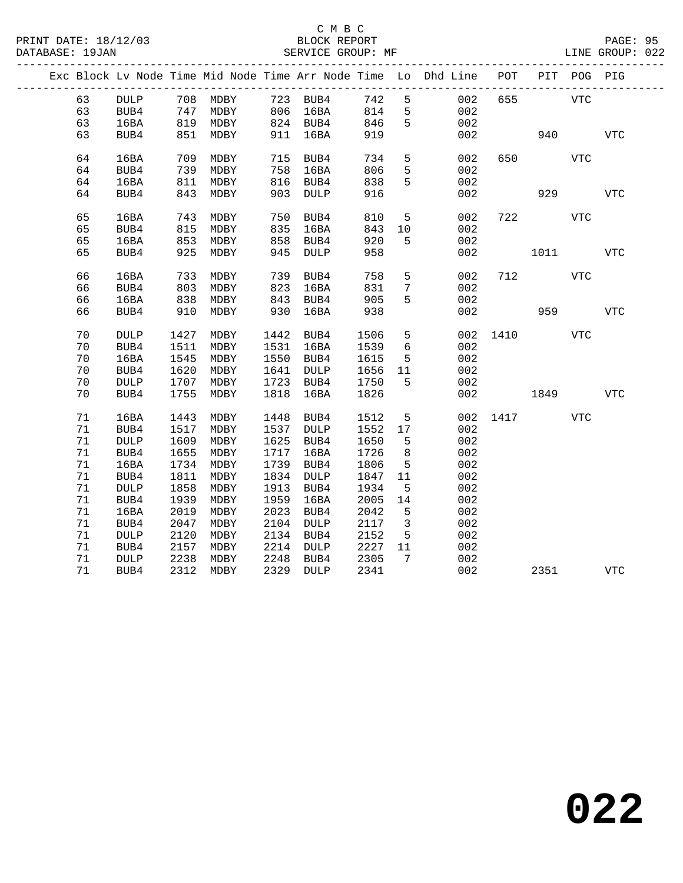|  |    |                 |      |          |      |                 |       |                 | Exc Block Lv Node Time Mid Node Time Arr Node Time Lo Dhd Line POT |      | PIT  | POG PIG    |            |
|--|----|-----------------|------|----------|------|-----------------|-------|-----------------|--------------------------------------------------------------------|------|------|------------|------------|
|  | 63 | DULP            |      | 708 MDBY |      | 723 BUB4        | 742 5 |                 | 002                                                                | 655  |      | <b>VTC</b> |            |
|  | 63 | BUB4            | 747  | MDBY     |      | 806 16BA        | 814   | $5\overline{)}$ | 002                                                                |      |      |            |            |
|  | 63 | 16BA            |      | 819 MDBY |      | 824 BUB4        | 846   | 5               | 002                                                                |      |      |            |            |
|  | 63 | BUB4            | 851  | MDBY     |      | 911 16BA        | 919   |                 | 002                                                                |      | 940  |            | <b>VTC</b> |
|  | 64 | 16BA            | 709  | MDBY     | 715  | BUB4            | 734   | 5               | 002                                                                | 650  |      | VTC        |            |
|  | 64 | BUB4            | 739  | MDBY     | 758  | 16BA            | 806   | 5               | 002                                                                |      |      |            |            |
|  | 64 | 16BA            | 811  | MDBY     | 816  | BUB4            | 838   | 5               | 002                                                                |      |      |            |            |
|  | 64 | BUB4            | 843  | MDBY     | 903  | DULP            | 916   |                 | 002                                                                |      | 929  |            | <b>VTC</b> |
|  |    |                 |      |          |      |                 |       |                 |                                                                    |      |      |            |            |
|  | 65 | 16BA            | 743  | MDBY     | 750  | BUB4            | 810   | 5               | 002                                                                | 722  |      | VTC        |            |
|  | 65 | BUB4            | 815  | MDBY     | 835  | 16BA            | 843   | 10              | 002                                                                |      |      |            |            |
|  | 65 | 16BA            | 853  | MDBY     | 858  | BUB4            | 920   | 5               | 002                                                                |      |      |            |            |
|  | 65 | BUB4            | 925  | MDBY     | 945  | <b>DULP</b>     | 958   |                 | 002                                                                |      | 1011 |            | <b>VTC</b> |
|  |    |                 |      |          |      |                 |       |                 |                                                                    |      |      |            |            |
|  | 66 | 16BA            | 733  | MDBY     | 739  | BUB4            | 758   | 5               | 002                                                                | 712  |      | VTC        |            |
|  | 66 | BUB4            | 803  | MDBY     | 823  | 16BA            | 831   | $7\phantom{.0}$ | 002                                                                |      |      |            |            |
|  | 66 | 16BA            | 838  | MDBY     | 843  | BUB4            | 905   | 5               | 002                                                                |      |      |            |            |
|  | 66 | BUB4            | 910  | MDBY     | 930  | 16BA            | 938   |                 | 002                                                                |      | 959  |            | <b>VTC</b> |
|  | 70 | <b>DULP</b>     | 1427 | MDBY     | 1442 | BUB4            | 1506  | 5               | 002                                                                | 1410 |      | VTC        |            |
|  | 70 | BUB4            | 1511 | MDBY     |      | 1531 16BA       | 1539  | 6               | 002                                                                |      |      |            |            |
|  | 70 | 16BA            | 1545 | MDBY     |      | 1550 BUB4       | 1615  | $5^{\circ}$     | 002                                                                |      |      |            |            |
|  | 70 | BUB4            | 1620 | MDBY     | 1641 | DULP            | 1656  | 11              | 002                                                                |      |      |            |            |
|  | 70 | <b>DULP</b>     | 1707 | MDBY     | 1723 | BUB4            | 1750  | $5^{\circ}$     | 002                                                                |      |      |            |            |
|  | 70 | BUB4            | 1755 | MDBY     | 1818 | 16BA            | 1826  |                 | 002                                                                |      | 1849 |            | VTC        |
|  |    |                 |      |          |      |                 |       |                 |                                                                    |      |      |            |            |
|  | 71 | 16BA            | 1443 | MDBY     | 1448 | BUB4            | 1512  | $5\phantom{.0}$ | 002                                                                | 1417 |      | VTC        |            |
|  | 71 | BUB4            | 1517 | MDBY     | 1537 | DULP            | 1552  | 17              | 002                                                                |      |      |            |            |
|  | 71 | $\texttt{DULP}$ | 1609 | MDBY     | 1625 | BUB4            | 1650  | $5\overline{5}$ | 002                                                                |      |      |            |            |
|  | 71 | BUB4            | 1655 | MDBY     | 1717 | 16BA            | 1726  | 8               | 002                                                                |      |      |            |            |
|  | 71 | 16BA            | 1734 | MDBY     | 1739 | BUB4            | 1806  | $5^{\circ}$     | 002                                                                |      |      |            |            |
|  | 71 | BUB4            | 1811 | MDBY     | 1834 | $\texttt{DULP}$ | 1847  | 11              | 002                                                                |      |      |            |            |
|  | 71 | <b>DULP</b>     | 1858 | MDBY     | 1913 | BUB4            | 1934  | 5               | 002                                                                |      |      |            |            |
|  | 71 | BUB4            | 1939 | MDBY     | 1959 | 16BA            | 2005  | 14              | 002                                                                |      |      |            |            |
|  | 71 | 16BA            | 2019 | MDBY     | 2023 | BUB4            | 2042  | 5               | 002                                                                |      |      |            |            |
|  | 71 | BUB4            | 2047 | MDBY     | 2104 | DULP            | 2117  | $\overline{3}$  | 002                                                                |      |      |            |            |
|  | 71 | $\texttt{DULP}$ | 2120 | MDBY     | 2134 | BUB4            | 2152  | 5               | 002                                                                |      |      |            |            |
|  | 71 | BUB4            | 2157 | MDBY     | 2214 | DULP            | 2227  | 11              | 002                                                                |      |      |            |            |
|  | 71 | $\texttt{DULP}$ | 2238 | MDBY     | 2248 | BUB4            | 2305  | 7               | 002                                                                |      |      |            |            |
|  | 71 | BUB4            | 2312 | MDBY     | 2329 | DULP            | 2341  |                 | 002                                                                |      | 2351 |            | VTC        |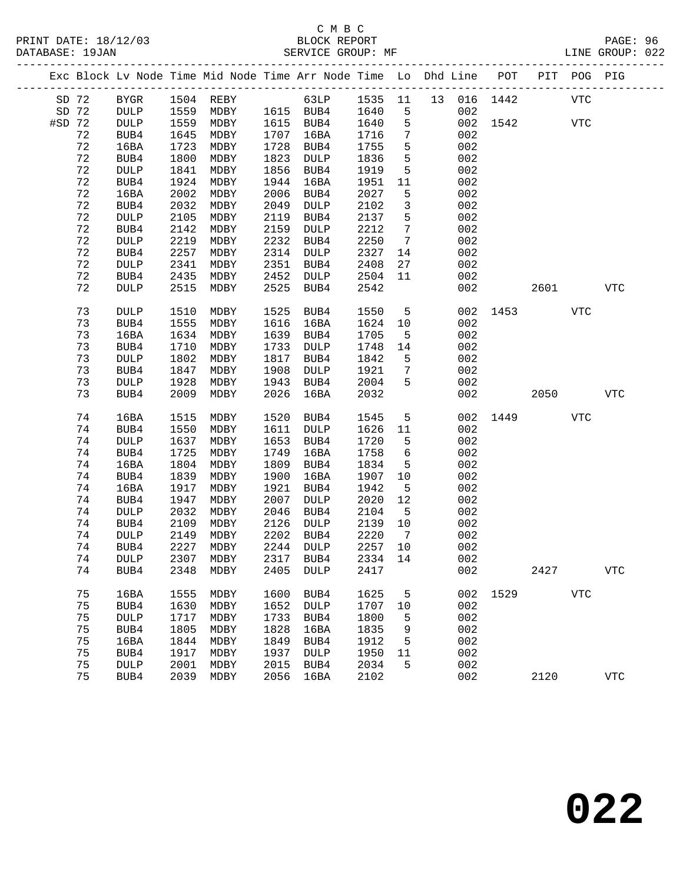|          |         |                 |      | Exc Block Lv Node Time Mid Node Time Arr Node Time Lo Dhd Line POT |      |             |         |                 |     |          |      | PIT POG PIG |            |
|----------|---------|-----------------|------|--------------------------------------------------------------------|------|-------------|---------|-----------------|-----|----------|------|-------------|------------|
|          | SD 72   | BYGR            |      | 1504 REBY 63LP 1535 11 13 016 1442                                 |      |             |         |                 |     |          |      | VTC         |            |
| SD 72    |         | DULP            | 1559 | MDBY 1615 BUB4                                                     |      |             | 1640    | $5^{\circ}$     | 002 |          |      |             |            |
| $#SD$ 72 |         | DULP            | 1559 | MDBY                                                               |      | 1615 BUB4   | 1640    | $5^{\circ}$     |     | 002 1542 |      | <b>VTC</b>  |            |
|          | 72      | BUB4            | 1645 | MDBY                                                               | 1707 | 16BA        | 1716    | $7\phantom{.0}$ | 002 |          |      |             |            |
|          | 72      | 16BA            | 1723 | MDBY                                                               | 1728 | BUB4        | 1755    | 5               | 002 |          |      |             |            |
|          | 72      | BUB4            | 1800 | MDBY                                                               | 1823 | DULP        | 1836    | 5               | 002 |          |      |             |            |
|          | 72      | <b>DULP</b>     | 1841 | MDBY                                                               | 1856 | BUB4        | 1919    | 5               | 002 |          |      |             |            |
|          | 72      | BUB4            | 1924 | MDBY                                                               | 1944 | 16BA        | 1951    | 11              | 002 |          |      |             |            |
|          | 72      | 16BA            | 2002 | MDBY                                                               | 2006 | BUB4        | 2027    | 5               | 002 |          |      |             |            |
|          | 72      | BUB4            | 2032 | MDBY                                                               | 2049 | DULP        | 2102    | $\mathbf{3}$    | 002 |          |      |             |            |
|          | 72      | DULP            | 2105 | MDBY                                                               | 2119 | BUB4        | 2137    | 5               | 002 |          |      |             |            |
|          | 72      | BUB4            | 2142 | MDBY                                                               | 2159 | DULP        | 2212    | $7\phantom{.0}$ | 002 |          |      |             |            |
|          | 72      | <b>DULP</b>     | 2219 | MDBY                                                               | 2232 | BUB4        | 2250    | $7\overline{ }$ | 002 |          |      |             |            |
|          | 72      | BUB4            | 2257 | MDBY                                                               | 2314 | DULP        | 2327    | 14              | 002 |          |      |             |            |
|          | 72      | <b>DULP</b>     | 2341 | MDBY                                                               | 2351 | BUB4        | 2408    | 27              | 002 |          |      |             |            |
|          | 72      | BUB4            | 2435 | MDBY                                                               | 2452 | DULP        | 2504    | 11              | 002 |          |      |             |            |
|          | 72      | DULP            | 2515 | MDBY                                                               | 2525 | BUB4        | 2542    |                 | 002 |          | 2601 |             | VTC        |
|          |         |                 |      |                                                                    |      |             |         |                 |     |          |      |             |            |
|          | 73      | <b>DULP</b>     | 1510 | MDBY                                                               | 1525 | BUB4        | 1550    | $-5$            |     | 002 1453 |      | VTC         |            |
|          | 73      | BUB4            | 1555 | MDBY                                                               | 1616 | 16BA        | 1624    | 10              | 002 |          |      |             |            |
|          | 73      | 16BA            | 1634 | MDBY                                                               | 1639 | BUB4        | 1705    | $5^{\circ}$     | 002 |          |      |             |            |
|          | 73      | BUB4            | 1710 | MDBY                                                               | 1733 | DULP        | 1748    | 14              | 002 |          |      |             |            |
|          | 73      | <b>DULP</b>     | 1802 | MDBY                                                               | 1817 | BUB4        | 1842    | $5^{\circ}$     | 002 |          |      |             |            |
|          | 73      | BUB4            | 1847 | MDBY                                                               | 1908 | DULP        | 1921    | $7\phantom{.0}$ | 002 |          |      |             |            |
|          | 73      | <b>DULP</b>     | 1928 | MDBY                                                               | 1943 | BUB4        | 2004    | 5               | 002 |          |      |             |            |
|          | 73      | BUB4            | 2009 | MDBY                                                               | 2026 | 16BA        | 2032    |                 | 002 |          | 2050 |             | VTC        |
|          |         |                 |      |                                                                    |      |             |         |                 |     |          |      |             |            |
|          | 74      | 16BA            | 1515 | MDBY                                                               | 1520 | BUB4        | 1545    | 5               |     | 002 1449 |      | <b>VTC</b>  |            |
|          | 74      | BUB4            | 1550 | MDBY                                                               | 1611 | DULP        | 1626    | 11              | 002 |          |      |             |            |
|          | 74      | $\texttt{DULP}$ | 1637 | MDBY                                                               | 1653 | BUB4        | 1720    | 5               | 002 |          |      |             |            |
|          | 74      | BUB4            | 1725 | MDBY                                                               | 1749 | 16BA        | 1758    | 6               | 002 |          |      |             |            |
|          | 74      | 16BA            | 1804 | MDBY                                                               | 1809 | BUB4        | 1834    | 5               | 002 |          |      |             |            |
|          | 74      | BUB4            | 1839 | MDBY                                                               | 1900 | 16BA        | 1907    | 10              | 002 |          |      |             |            |
|          | 74      | 16BA            | 1917 | MDBY                                                               | 1921 | BUB4        | 1942    | $5^{\circ}$     | 002 |          |      |             |            |
|          | 74      | BUB4            | 1947 | MDBY                                                               | 2007 | DULP        | 2020    | 12              | 002 |          |      |             |            |
|          | 74      | <b>DULP</b>     | 2032 | MDBY                                                               | 2046 | BUB4        | 2104    | $5^{\circ}$     | 002 |          |      |             |            |
|          | 74      | BUB4            | 2109 | MDBY                                                               | 2126 | DULP        | 2139    | 10              | 002 |          |      |             |            |
|          | 74      | DULP            | 2149 | MDBY                                                               | 2202 | BUB4        | 2220    | $\overline{7}$  | 002 |          |      |             |            |
|          | 74      | BUB4            | 2227 | MDBY                                                               |      | 2244 DULP   | 2257    | 10              | 002 |          |      |             |            |
|          | 74 DULP |                 |      | 2307 MDBY 2317 BUB4                                                |      |             | 2334 14 |                 | 002 |          |      |             |            |
|          | 74      | BUB4            | 2348 | MDBY                                                               | 2405 | DULP        | 2417    |                 | 002 |          | 2427 |             | <b>VTC</b> |
|          |         |                 |      |                                                                    |      |             |         |                 |     |          |      |             |            |
|          | 75      | 16BA            | 1555 | MDBY                                                               | 1600 | BUB4        | 1625    | 5               |     | 002 1529 |      | <b>VTC</b>  |            |
|          | 75      | BUB4            | 1630 | MDBY                                                               | 1652 | DULP        | 1707    | 10              | 002 |          |      |             |            |
|          | 75      | DULP            | 1717 | MDBY                                                               | 1733 | BUB4        | 1800    | 5               | 002 |          |      |             |            |
|          | 75      | BUB4            | 1805 | MDBY                                                               | 1828 | 16BA        | 1835    | 9               | 002 |          |      |             |            |
|          | 75      | 16BA            | 1844 | MDBY                                                               | 1849 | BUB4        | 1912    | 5               | 002 |          |      |             |            |
|          | 75      | BUB4            | 1917 | MDBY                                                               | 1937 | <b>DULP</b> | 1950    | 11              | 002 |          |      |             |            |
|          | 75      | <b>DULP</b>     | 2001 | MDBY                                                               | 2015 | BUB4        | 2034    | 5               | 002 |          |      |             |            |
|          | 75      | BUB4            | 2039 | MDBY                                                               | 2056 | 16BA        | 2102    |                 | 002 |          | 2120 |             | <b>VTC</b> |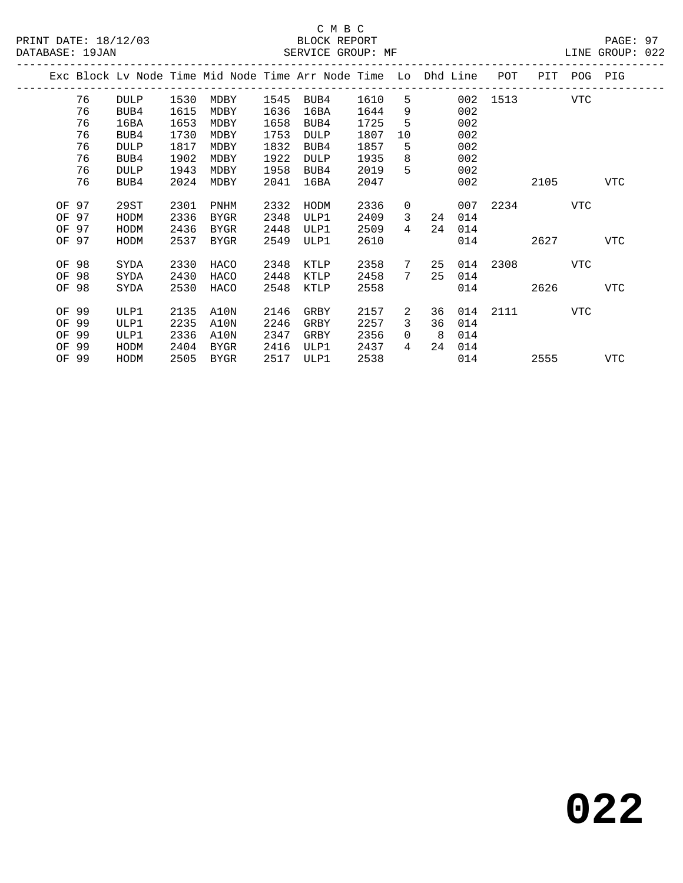|       |       |             |      |      |      | Exc Block Lv Node Time Mid Node Time Arr Node Time Lo Dhd Line |      |                |    |     | POT      | PIT  | POG | PIG |
|-------|-------|-------------|------|------|------|----------------------------------------------------------------|------|----------------|----|-----|----------|------|-----|-----|
|       | 76    | <b>DULP</b> | 1530 | MDBY | 1545 | BUB4                                                           | 1610 | 5              |    |     | 002 1513 |      | VTC |     |
|       | 76    | BUB4        | 1615 | MDBY | 1636 | 16BA                                                           | 1644 | 9              |    | 002 |          |      |     |     |
|       | 76    | 16BA        | 1653 | MDBY | 1658 | BUB4                                                           | 1725 | 5              |    | 002 |          |      |     |     |
|       | 76    | BUB4        | 1730 | MDBY | 1753 | <b>DULP</b>                                                    | 1807 | 10             |    | 002 |          |      |     |     |
|       | 76    | <b>DULP</b> | 1817 | MDBY | 1832 | BUB4                                                           | 1857 | 5              |    | 002 |          |      |     |     |
|       | 76    | BUB4        | 1902 | MDBY | 1922 | <b>DULP</b>                                                    | 1935 | 8              |    | 002 |          |      |     |     |
|       | 76    | <b>DULP</b> | 1943 | MDBY | 1958 | BUB4                                                           | 2019 | 5              |    | 002 |          |      |     |     |
|       | 76    | BUB4        | 2024 | MDBY | 2041 | 16BA                                                           | 2047 |                |    | 002 |          | 2105 |     | VTC |
|       |       |             |      |      |      |                                                                |      |                |    |     |          |      |     |     |
|       | OF 97 | 29ST        | 2301 | PNHM | 2332 | HODM                                                           | 2336 | 0              |    | 007 | 2234     |      | VTC |     |
| OF 97 |       | HODM        | 2336 | BYGR | 2348 | ULP1                                                           | 2409 | $\mathbf{3}$   | 24 | 014 |          |      |     |     |
| OF 97 |       | HODM        | 2436 | BYGR | 2448 | ULP1                                                           | 2509 | $\overline{4}$ | 24 | 014 |          |      |     |     |
|       | OF 97 | HODM        | 2537 | BYGR | 2549 | ULP1                                                           | 2610 |                |    | 014 |          | 2627 |     | VTC |
|       |       |             |      |      |      |                                                                |      |                |    |     |          |      |     |     |
| OF 98 |       | SYDA        | 2330 | HACO | 2348 | KTLP                                                           | 2358 | 7              | 25 | 014 | 2308 7   |      | VTC |     |
| OF 98 |       | SYDA        | 2430 | HACO | 2448 | KTLP                                                           | 2458 | 7              | 25 | 014 |          |      |     |     |
| OF 98 |       | SYDA        | 2530 | HACO | 2548 | KTLP                                                           | 2558 |                |    | 014 |          | 2626 |     | VTC |
|       |       |             |      |      |      |                                                                |      |                |    |     |          |      |     |     |
| OF 99 |       | ULP1        | 2135 | A10N | 2146 | GRBY                                                           | 2157 | 2              | 36 | 014 | 2111     |      | VTC |     |
| OF 99 |       | ULP1        | 2235 | A10N | 2246 | GRBY                                                           | 2257 | 3              | 36 | 014 |          |      |     |     |
| OF    | 99    | ULP1        | 2336 | A10N | 2347 | GRBY                                                           | 2356 | 0              | 8  | 014 |          |      |     |     |
| OF    | 99    | HODM        | 2404 | BYGR | 2416 | ULP1                                                           | 2437 | 4              | 24 | 014 |          |      |     |     |
|       | OF 99 | HODM        | 2505 | BYGR | 2517 | ULP1                                                           | 2538 |                |    | 014 |          | 2555 |     | VTC |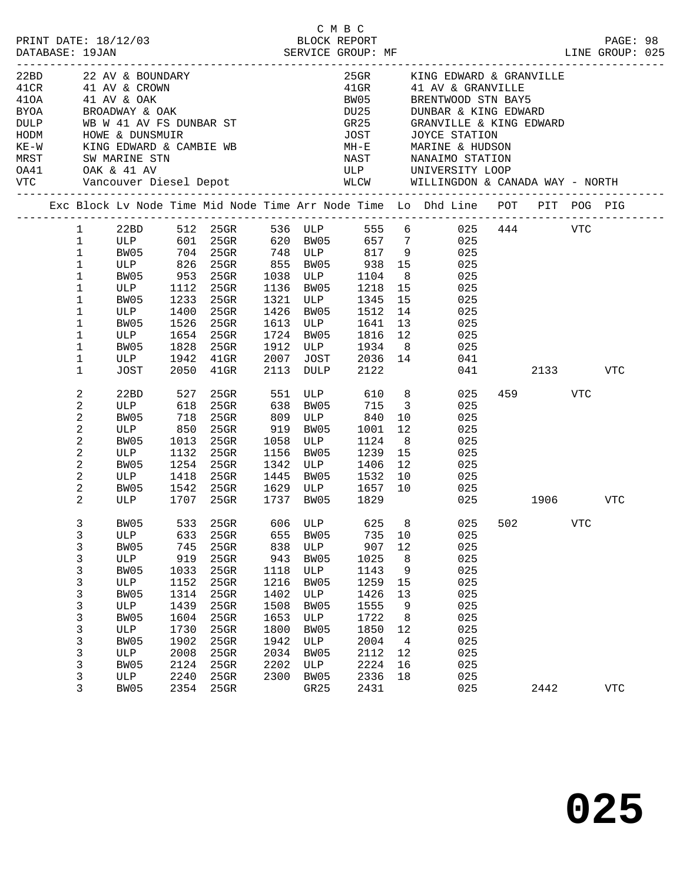|                                                        |                                                                                                                                                                                                                                                          |                                                                                                                                            |                                                                                                           |                                                                                                                                                                             |                                                                                                          |                                                                                                        |                   |                                                                                                                 |                                                                                                          | C M B C<br>PRINT DATE: 18/12/03 BLOCK REPORT PAGE: 98<br>DATABASE: 19JAN SERVICE GROUP: MF LINE GROUP: 025                                                                                                                                |        |                 |            |  |
|--------------------------------------------------------|----------------------------------------------------------------------------------------------------------------------------------------------------------------------------------------------------------------------------------------------------------|--------------------------------------------------------------------------------------------------------------------------------------------|-----------------------------------------------------------------------------------------------------------|-----------------------------------------------------------------------------------------------------------------------------------------------------------------------------|----------------------------------------------------------------------------------------------------------|--------------------------------------------------------------------------------------------------------|-------------------|-----------------------------------------------------------------------------------------------------------------|----------------------------------------------------------------------------------------------------------|-------------------------------------------------------------------------------------------------------------------------------------------------------------------------------------------------------------------------------------------|--------|-----------------|------------|--|
| 22BD<br>41CR<br>410A<br>BYOA<br>DULP<br>HODM<br>$KE-W$ |                                                                                                                                                                                                                                                          | KING EDWARD & CAMBIE WB                                                                                                                    |                                                                                                           | --------------<br>22 AV & BOUNDARY<br>41 AV & CROWN<br>41 AV & OAK<br>PROADWAY & OAK<br>WB W 41 AV FS DUNBAR ST<br>HOWE & DUNSMUIR                                          |                                                                                                          |                                                                                                        |                   | $25$ GR $-$<br>BW05<br>GR25<br><b>JOST</b>                                                                      |                                                                                                          | KING EDWARD & GRANVILLE<br>41GR 41 AV & GRANVILLE<br>BRENTWOOD STN BAY5<br>DU25 DUNBAR & KING EDWARD<br>GR25 GRANVILLE & KING EDW.<br>GRANVILLE & KING EDWARD<br>JOYCE STATION<br>MH-E MARINE & HUDSON                                    |        |                 |            |  |
|                                                        |                                                                                                                                                                                                                                                          |                                                                                                                                            |                                                                                                           |                                                                                                                                                                             |                                                                                                          |                                                                                                        |                   |                                                                                                                 |                                                                                                          | Exc Block Lv Node Time Mid Node Time Arr Node Time Lo Dhd Line POT PIT POG PIG                                                                                                                                                            |        |                 |            |  |
|                                                        | $1 \quad$<br>$\mathbf{1}$<br>$\mathbf{1}$<br>$\mathbf 1$<br>$\mathbf 1$<br>$\mathbf 1$<br>$\mathbf 1$<br>1<br>$\mathbf 1$<br>1<br>$\mathbf 1$<br>1<br>$\mathbf 1$<br>$\boldsymbol{2}$<br>2<br>$\mathbf 2$<br>$\overline{c}$<br>$\mathbf 2$<br>$\sqrt{2}$ | BW05<br>ULP<br>BW05<br>ULP<br>BW05<br>ULP<br>BW05<br>ULP<br>BW05<br><b>ULP</b><br><b>JOST</b><br>22BD<br>ULP<br>BW05<br>ULP<br>BW05<br>ULP | 1233<br>1400<br>1526<br>1828<br>527<br>618<br>718<br>850<br>1013<br>1132                                  | 704 25GR 748 ULP 817<br>1112 25GR<br>$25$ GR<br>25GR<br>25GR<br>1654 25GR<br>25GR<br>1942 41GR<br>2050 41GR<br>25GR 551<br>25GR<br>$25$ GR<br>25GR 919 BW05<br>25GR<br>25GR | 1321<br>1426<br>1613 ULP<br>1724<br>1912 ULP<br>2007<br>2113 DULP<br>638 BW05<br>809 ULP<br>1058<br>1156 | BW05<br>BW05<br>JOST<br>BW05                                                                           | <b>ULP</b><br>ULP | 1136 BW05 1218<br>1345<br>1512<br>1641<br>1816<br>1934<br>2036 14<br>2122<br>715<br>840<br>1001<br>1124<br>1239 | 15<br>8 <sup>8</sup><br>15<br>15<br>14<br>13<br>12<br>8 <sup>8</sup><br>10<br>12<br>8 <sup>8</sup><br>15 | 22BD 512 25GR 536 ULP 555 6 025 444 VTC<br>ULP 601 25GR 620 BW05 657 7 025<br>9 025<br>$\frac{13}{25}$<br>025<br>025<br>025<br>025<br>025<br>025<br>041<br>ULP 610 8<br>025<br>$\overline{\mathbf{3}}$<br>025<br>025<br>025<br>025<br>025 | 041 04 | 2133<br>459 VTC | VTC        |  |
|                                                        | $\mathbf 2$<br>$\overline{c}$<br>$\overline{c}$<br>2                                                                                                                                                                                                     | BW05<br>ULP<br>BW05<br>ULP                                                                                                                 |                                                                                                           | 1254 25GR<br>1418 25GR<br>1542 25GR<br>1707 25GR                                                                                                                            | 1342 ULP<br>1445 BW05<br>1737 BW05                                                                       |                                                                                                        |                   | 1406<br>1532<br>1629 ULP 1657<br>1829                                                                           | 12<br>10<br>10                                                                                           | 025<br>025<br>025<br>025                                                                                                                                                                                                                  |        | 1906            | VTC        |  |
|                                                        | $\mathbf{3}$<br>3<br>3<br>$\mathsf{3}$<br>3<br>$\mathsf{3}$<br>$\mathsf{3}$<br>$\mathsf{3}$<br>3<br>$\mathsf{3}$<br>3<br>$\mathsf{3}$<br>3<br>3<br>3                                                                                                     | ULP<br>BW05<br>ULP<br>BW05<br>ULP<br>BW05<br>ULP<br>BW05<br>ULP<br>BW05<br>ULP<br>BW05<br>ULP<br>BW05                                      | 633<br>745<br>919<br>1033<br>1152<br>1314<br>1439<br>1604<br>1730<br>1902<br>2008<br>2124<br>2240<br>2354 | 25GR<br>25GR<br>25GR<br>25GR<br>25GR<br>25GR<br>25GR<br>25GR<br>25GR<br>25GR<br>$25$ GR<br>25GR<br>25GR<br>25GR                                                             | 655<br>838<br>943<br>1118<br>1216<br>1402<br>1508<br>1653<br>1800<br>1942<br>2034<br>2202<br>2300        | BW05<br>ULP<br>BW05<br>ULP<br>BW05<br>ULP<br>BW05<br>ULP<br>BW05<br>ULP<br>BW05<br>ULP<br>BW05<br>GR25 |                   | 735<br>907<br>1025<br>1143<br>1259<br>1426<br>1555<br>1722<br>1850<br>2004<br>2112<br>2224<br>2336<br>2431      | 10<br>12<br>8<br>9<br>15<br>13<br>9<br>8<br>12<br>$\overline{4}$<br>12<br>16<br>18                       | BW05 533 25GR 606 ULP 625 8 025 502 VTC<br>025<br>025<br>025<br>025<br>025<br>025<br>025<br>025<br>025<br>025<br>025<br>025<br>025<br>025                                                                                                 |        | 2442            | <b>VTC</b> |  |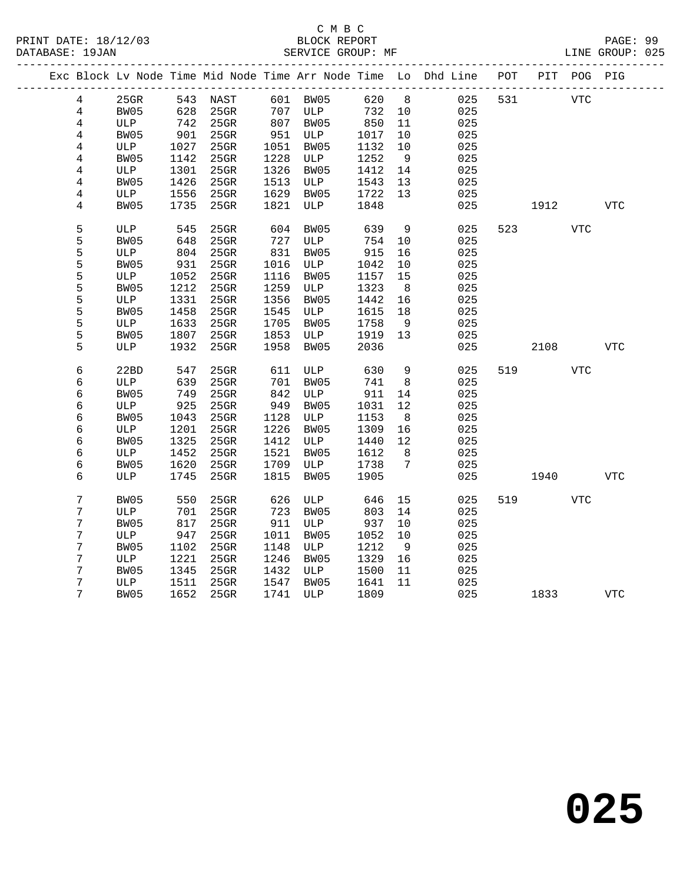|  |                |      |      |                      |      |                       |        |                | Exc Block Lv Node Time Mid Node Time Arr Node Time Lo Dhd Line POT |     |      | PIT POG PIG |            |
|--|----------------|------|------|----------------------|------|-----------------------|--------|----------------|--------------------------------------------------------------------|-----|------|-------------|------------|
|  | 4              | 25GR |      | 543 NAST             |      | 601 BW05              | 620 8  |                | 025                                                                | 531 | VTC  |             |            |
|  | $\overline{4}$ | BW05 |      | 628 25GR<br>742 25GR |      | 707 ULP               | 732 10 |                | 025                                                                |     |      |             |            |
|  | $\overline{4}$ | ULP  |      |                      |      | $707$ $-$<br>807 BW05 | 850    | 11             | 025                                                                |     |      |             |            |
|  | 4              | BW05 | 901  | 25GR                 |      | 951 ULP               | 1017   | 10             | 025                                                                |     |      |             |            |
|  | $\overline{4}$ | ULP  | 1027 | $25$ GR              | 1051 | BW05                  | 1132   | 10             | 025                                                                |     |      |             |            |
|  | $\overline{4}$ | BW05 | 1142 | 25GR                 | 1228 | ULP                   | 1252   | 9              | 025                                                                |     |      |             |            |
|  | 4              | ULP  | 1301 | 25GR                 | 1326 | BW05                  | 1412   | 14             | 025                                                                |     |      |             |            |
|  | 4              | BW05 | 1426 | $25$ GR              | 1513 | ULP                   | 1543   | 13             | 025                                                                |     |      |             |            |
|  | 4              | ULP  | 1556 | $25$ GR              | 1629 | BW05                  | 1722   | 13             | 025                                                                |     |      |             |            |
|  | 4              | BW05 | 1735 | 25GR                 | 1821 | ULP                   | 1848   |                | 025                                                                |     | 1912 |             | <b>VTC</b> |
|  | 5              | ULP  | 545  | 25GR                 | 604  | BW05                  | 639    | - 9            | 025                                                                | 523 |      | <b>VTC</b>  |            |
|  | 5              | BW05 | 648  | 25GR                 | 727  | ULP                   | 754    | 10             | 025                                                                |     |      |             |            |
|  | 5              | ULP  | 804  | 25GR                 | 831  | BW05                  | 915    | 16             | 025                                                                |     |      |             |            |
|  | 5              | BW05 | 931  | $25$ GR              | 1016 | ULP                   | 1042   | 10             | 025                                                                |     |      |             |            |
|  | 5              | ULP  | 1052 | 25GR                 | 1116 | BW05                  | 1157   | 15             | 025                                                                |     |      |             |            |
|  | 5              | BW05 | 1212 | $25$ GR              | 1259 | ULP                   | 1323   | 8              | 025                                                                |     |      |             |            |
|  | 5              | ULP  | 1331 | $25$ GR              | 1356 | BW05                  | 1442   | 16             | 025                                                                |     |      |             |            |
|  | 5              | BW05 | 1458 | $25$ GR              | 1545 | ULP                   | 1615   | 18             | 025                                                                |     |      |             |            |
|  | 5              | ULP  | 1633 | 25GR                 | 1705 | BW05                  | 1758   | - 9            | 025                                                                |     |      |             |            |
|  | 5              | BW05 | 1807 | 25GR                 | 1853 | ULP                   | 1919   | 13             | 025                                                                |     |      |             |            |
|  | 5              | ULP  | 1932 | $25$ GR              | 1958 | BW05                  | 2036   |                | 025                                                                |     | 2108 |             | <b>VTC</b> |
|  | 6              | 22BD | 547  | 25GR                 | 611  | ULP                   | 630    | $\overline{9}$ | 025                                                                | 519 |      | <b>VTC</b>  |            |
|  | 6              | ULP  | 639  | $25$ GR              | 701  | BW05                  | 741    | 8              | 025                                                                |     |      |             |            |
|  | 6              | BW05 | 749  | $25$ GR              | 842  | ULP                   | 911    | 14             | 025                                                                |     |      |             |            |
|  | 6              | ULP  | 925  | 25GR                 | 949  | BW05                  | 1031   | 12             | 025                                                                |     |      |             |            |
|  | 6              | BW05 | 1043 | $25$ GR              | 1128 | ULP                   | 1153   | 8 <sup>8</sup> | 025                                                                |     |      |             |            |
|  | 6              | ULP  | 1201 | $25$ GR              | 1226 | BW05                  | 1309   | 16             | 025                                                                |     |      |             |            |
|  | 6              | BW05 | 1325 | $25$ GR              | 1412 | ULP                   | 1440   | 12             | 025                                                                |     |      |             |            |
|  | 6              | ULP  | 1452 | $25$ GR              | 1521 | BW05                  | 1612   | 8 <sup>8</sup> | 025                                                                |     |      |             |            |
|  | 6              | BW05 | 1620 | 25GR                 | 1709 | ULP                   | 1738   | $\overline{7}$ | 025                                                                |     |      |             |            |
|  | 6              | ULP  | 1745 | 25GR                 | 1815 | BW05                  | 1905   |                | 025                                                                |     | 1940 |             | VTC        |
|  | 7              | BW05 | 550  | $25$ GR              | 626  | ULP                   | 646    | 15             | 025                                                                | 519 |      | <b>VTC</b>  |            |
|  | 7              | ULP  | 701  | $25$ GR              | 723  | BW05                  | 803    | 14             | 025                                                                |     |      |             |            |
|  | $\overline{7}$ | BW05 | 817  | $25$ GR              | 911  | ULP                   | 937    | 10             | 025                                                                |     |      |             |            |
|  | 7              | ULP  | 947  | $25$ GR              | 1011 | BW05                  | 1052   | 10             | 025                                                                |     |      |             |            |
|  | 7              | BW05 | 1102 | $25$ GR              | 1148 | ULP                   | 1212   | - 9            | 025                                                                |     |      |             |            |
|  | $\overline{7}$ | ULP  | 1221 | 25GR                 | 1246 | BW05                  | 1329   | 16             | 025                                                                |     |      |             |            |
|  | 7              | BW05 | 1345 | 25GR                 | 1432 | ULP                   | 1500   | 11             | 025                                                                |     |      |             |            |
|  | 7              | ULP  | 1511 | $25$ GR              | 1547 | BW05                  | 1641   | 11             | 025                                                                |     |      |             |            |
|  | 7              | BW05 |      | 1652 25GR            |      | 1741 ULP              | 1809   |                | 025                                                                |     | 1833 |             | VTC        |
|  |                |      |      |                      |      |                       |        |                |                                                                    |     |      |             |            |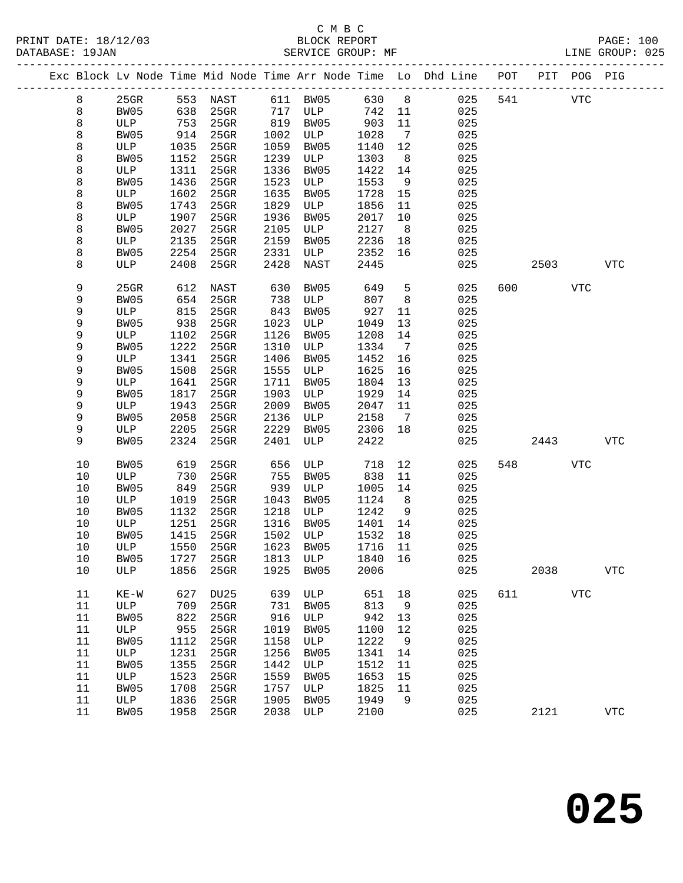|      |        |      |             |      |      |      |                              | Exc Block Lv Node Time Mid Node Time Arr Node Time Lo Dhd Line POT<br>____________________________________ |     |      | PIT POG PIG |              |  |
|------|--------|------|-------------|------|------|------|------------------------------|------------------------------------------------------------------------------------------------------------|-----|------|-------------|--------------|--|
| 8    | 25GR   | 553  | NAST        | 611  | BW05 | 630  | 8 <sup>8</sup>               | 025                                                                                                        | 541 |      | <b>VTC</b>  |              |  |
| 8    | BW05   | 638  | 25GR        | 717  | ULP  | 742  | 11                           | 025                                                                                                        |     |      |             |              |  |
| 8    | ULP    | 753  | $25$ GR     | 819  | BW05 | 903  | 11                           | 025                                                                                                        |     |      |             |              |  |
| 8    | BW05   | 914  | $25$ GR     | 1002 | ULP  | 1028 | $\overline{7}$               | 025                                                                                                        |     |      |             |              |  |
| 8    | ULP    | 1035 | 25GR        | 1059 | BW05 | 1140 | 12                           | 025                                                                                                        |     |      |             |              |  |
| 8    | BW05   | 1152 | 25GR        | 1239 | ULP  | 1303 | 8                            | 025                                                                                                        |     |      |             |              |  |
| 8    | ULP    | 1311 | 25GR        | 1336 | BW05 | 1422 | 14                           | 025                                                                                                        |     |      |             |              |  |
| 8    | BW05   | 1436 | $25$ GR     | 1523 | ULP  | 1553 | 9                            | 025                                                                                                        |     |      |             |              |  |
| 8    | ULP    | 1602 | 25GR        | 1635 | BW05 | 1728 | 15                           | 025                                                                                                        |     |      |             |              |  |
| 8    | BW05   | 1743 | 25GR        | 1829 | ULP  | 1856 | 11                           | 025                                                                                                        |     |      |             |              |  |
| 8    | ULP    | 1907 | 25GR        | 1936 | BW05 | 2017 | 10                           | 025                                                                                                        |     |      |             |              |  |
| 8    | BW05   | 2027 | 25GR        | 2105 | ULP  | 2127 | 8 <sup>8</sup>               | 025                                                                                                        |     |      |             |              |  |
| 8    | ULP    | 2135 | 25GR        | 2159 | BW05 | 2236 | 18                           | 025                                                                                                        |     |      |             |              |  |
| 8    | BW05   | 2254 | 25GR        | 2331 | ULP  | 2352 | 16                           | 025                                                                                                        |     |      |             |              |  |
| 8    | ULP    | 2408 | 25GR        | 2428 | NAST | 2445 |                              | 025                                                                                                        |     | 2503 |             | <b>VTC</b>   |  |
|      |        |      |             |      |      |      |                              |                                                                                                            |     |      |             |              |  |
| 9    | 25GR   | 612  | NAST        | 630  | BW05 | 649  | 5                            | 025                                                                                                        | 600 |      | <b>VTC</b>  |              |  |
| 9    | BW05   | 654  | $25$ GR     | 738  | ULP  | 807  | 8                            | 025                                                                                                        |     |      |             |              |  |
| 9    | ULP    | 815  | $25$ GR     | 843  | BW05 | 927  | 11                           | 025                                                                                                        |     |      |             |              |  |
| 9    | BW05   | 938  | 25GR        | 1023 | ULP  | 1049 | 13                           | 025                                                                                                        |     |      |             |              |  |
| 9    | ULP    | 1102 | $25$ GR     | 1126 | BW05 | 1208 | 14                           | 025                                                                                                        |     |      |             |              |  |
| 9    | BW05   | 1222 | $25$ GR     | 1310 | ULP  | 1334 | $7\phantom{.0}\phantom{.0}7$ | 025                                                                                                        |     |      |             |              |  |
| 9    | ULP    | 1341 | 25GR        | 1406 | BW05 | 1452 | 16                           | 025                                                                                                        |     |      |             |              |  |
| 9    | BW05   | 1508 | 25GR        | 1555 | ULP  | 1625 | 16                           | 025                                                                                                        |     |      |             |              |  |
| 9    | ULP    | 1641 | 25GR        | 1711 | BW05 | 1804 | 13                           | 025                                                                                                        |     |      |             |              |  |
| 9    | BW05   | 1817 | 25GR        | 1903 | ULP  | 1929 | 14                           | 025                                                                                                        |     |      |             |              |  |
| 9    | ULP    | 1943 | 25GR        | 2009 | BW05 | 2047 | 11                           | 025                                                                                                        |     |      |             |              |  |
| 9    | BW05   | 2058 | 25GR        | 2136 | ULP  | 2158 | $\overline{7}$               | 025                                                                                                        |     |      |             |              |  |
| 9    | ULP    | 2205 | 25GR        | 2229 | BW05 | 2306 | 18                           | 025                                                                                                        |     |      |             |              |  |
| 9    | BW05   | 2324 | 25GR        | 2401 | ULP  | 2422 |                              | 025                                                                                                        |     | 2443 |             | <b>VTC</b>   |  |
|      |        |      |             |      |      |      |                              |                                                                                                            |     |      |             |              |  |
| 10   | BW05   | 619  | 25GR        | 656  | ULP  | 718  | 12                           | 025                                                                                                        | 548 |      | VTC         |              |  |
| 10   | ULP    | 730  | 25GR        | 755  | BW05 | 838  | 11                           | 025                                                                                                        |     |      |             |              |  |
| 10   | BW05   | 849  | 25GR        | 939  | ULP  | 1005 | 14                           | 025                                                                                                        |     |      |             |              |  |
| 10   | ULP    | 1019 | 25GR        | 1043 | BW05 | 1124 | 8                            | 025                                                                                                        |     |      |             |              |  |
| 10   | BW05   | 1132 | 25GR        | 1218 | ULP  | 1242 | 9                            | 025                                                                                                        |     |      |             |              |  |
| 10   | ULP    | 1251 | $25$ GR     | 1316 | BW05 | 1401 | 14                           | 025                                                                                                        |     |      |             |              |  |
| 10   | BW05   | 1415 | 25GR        | 1502 | ULP  | 1532 | 18                           | 025                                                                                                        |     |      |             |              |  |
| 10   | ULP    | 1550 | $25$ GR     | 1623 | BW05 | 1716 | 11                           | 025                                                                                                        |     |      |             |              |  |
| $10$ | BW05   | 1727 | 25GR        | 1813 | ULP  | 1840 | 16                           | 025                                                                                                        |     |      |             |              |  |
| 10   | ULP    | 1856 | 25GR        | 1925 | BW05 | 2006 |                              | 025                                                                                                        |     | 2038 |             | ${\tt VTC}$  |  |
| 11   | $KE-W$ | 627  | <b>DU25</b> | 639  | ULP  | 651  | 18                           | 025                                                                                                        | 611 |      | <b>VTC</b>  |              |  |
| 11   | ULP    | 709  | 25GR        | 731  | BW05 | 813  | 9                            | 025                                                                                                        |     |      |             |              |  |
| 11   | BW05   | 822  | 25GR        | 916  | ULP  | 942  | 13                           | 025                                                                                                        |     |      |             |              |  |
| 11   | ULP    | 955  | 25GR        | 1019 | BW05 | 1100 | 12                           | 025                                                                                                        |     |      |             |              |  |
| 11   | BW05   | 1112 | $25$ GR     | 1158 | ULP  | 1222 | 9                            | 025                                                                                                        |     |      |             |              |  |
| 11   | ULP    | 1231 | $25$ GR     | 1256 | BW05 | 1341 | 14                           | 025                                                                                                        |     |      |             |              |  |
| 11   | BW05   | 1355 | 25GR        | 1442 | ULP  | 1512 | 11                           | 025                                                                                                        |     |      |             |              |  |
| 11   | ULP    | 1523 | 25GR        | 1559 | BW05 | 1653 | 15                           | 025                                                                                                        |     |      |             |              |  |
| 11   | BW05   | 1708 | 25GR        | 1757 | ULP  | 1825 | 11                           | 025                                                                                                        |     |      |             |              |  |
| 11   | ULP    | 1836 | $25$ GR     | 1905 | BW05 | 1949 | 9                            | 025                                                                                                        |     |      |             |              |  |
| 11   | BW05   | 1958 | 25GR        | 2038 | ULP  | 2100 |                              | 025                                                                                                        |     | 2121 |             | $_{\rm VTC}$ |  |
|      |        |      |             |      |      |      |                              |                                                                                                            |     |      |             |              |  |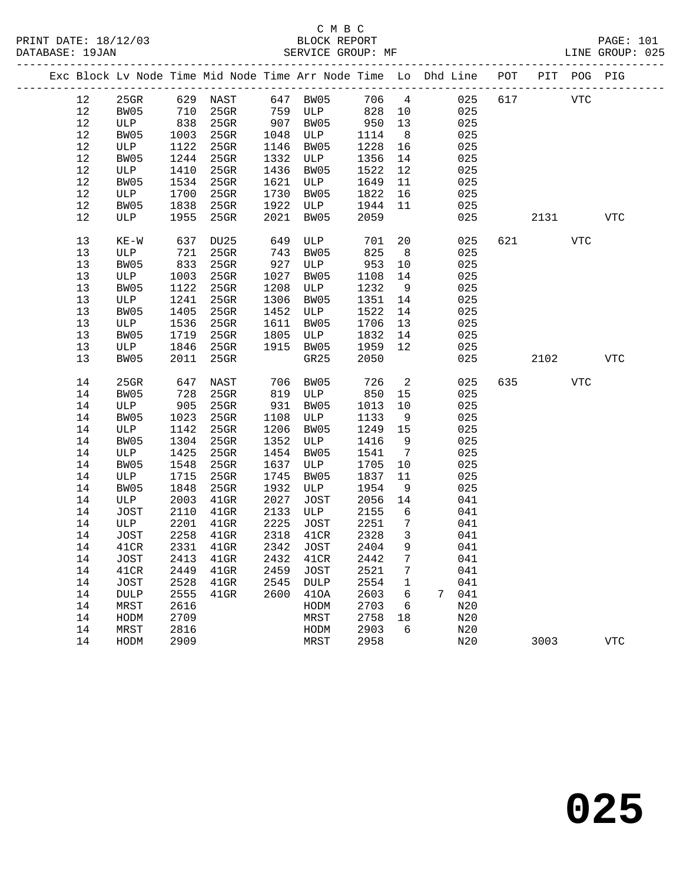| Exc Block Lv Node Time Mid Node Time Arr Node Time Lo Dhd Line POT PIT POG PIG |             |      |                            |            |             |        |                         |       |     |     |            |     |            |
|--------------------------------------------------------------------------------|-------------|------|----------------------------|------------|-------------|--------|-------------------------|-------|-----|-----|------------|-----|------------|
| 12                                                                             | $25$ GR     |      | 629 NAST 647 BW05          |            |             |        |                         | 706 4 | 025 | 617 | <b>VTC</b> |     |            |
| 12                                                                             | BW05        | 710  | $25$ GR                    |            | 759 ULP     | 828 10 |                         |       | 025 |     |            |     |            |
| 12                                                                             | ULP         | 838  | 25GR                       | 907        | BW05        | 950    | 13                      |       | 025 |     |            |     |            |
| 12                                                                             | BW05        | 1003 | 25GR                       | 1048       | ULP         | 1114   | 8 <sup>8</sup>          |       | 025 |     |            |     |            |
| 12                                                                             | ULP         | 1122 | $25$ GR                    | 1146       | BW05        | 1228   | 16                      |       | 025 |     |            |     |            |
| 12                                                                             | BW05        | 1244 | $25$ GR                    | 1332       | ULP         | 1356   | 14                      |       | 025 |     |            |     |            |
| 12                                                                             | ULP         | 1410 | $25$ GR                    | 1436       | BW05        | 1522   | 12                      |       | 025 |     |            |     |            |
| 12                                                                             | BW05        | 1534 | 25GR                       | 1621       | ULP         | 1649   | 11                      |       | 025 |     |            |     |            |
| 12                                                                             | ULP         | 1700 | 25GR                       | 1730       | BW05        | 1822   | 16                      |       | 025 |     |            |     |            |
| 12                                                                             | BW05        | 1838 | 25GR                       | 1922       | ULP         | 1944   | 11                      |       | 025 |     |            |     |            |
| 12                                                                             | ULP         | 1955 | 25GR                       | 2021       | BW05        | 2059   |                         |       | 025 |     | 2131       |     | VTC        |
| 13                                                                             | KE-W        | 637  | DU25                       | 649        | ULP         | 701    | 20                      |       | 025 |     | 621 000    | VTC |            |
| 13                                                                             | ULP         | 721  | $25$ GR                    | 743        | BW05        | 825    | 8 <sup>8</sup>          |       | 025 |     |            |     |            |
| 13                                                                             | BW05        | 833  | $25$ GR                    | 927        | ULP         | 953    | 10                      |       | 025 |     |            |     |            |
| 13                                                                             | ULP         | 1003 | $25$ GR                    | 1027       | BW05        | 1108   | 14                      |       | 025 |     |            |     |            |
| 13                                                                             | BW05        | 1122 | $25$ GR                    | 1208       | ULP         | 1232   | 9                       |       | 025 |     |            |     |            |
| 13                                                                             | ULP         | 1241 | $25$ GR                    | 1306       | BW05        | 1351   | 14                      |       | 025 |     |            |     |            |
| 13                                                                             | BW05        | 1405 | $25$ GR                    | 1452       | ULP         | 1522   | 14                      |       | 025 |     |            |     |            |
| 13                                                                             | ULP         | 1536 | $25$ GR                    | 1611       | BW05        | 1706   | 13                      |       | 025 |     |            |     |            |
| 13                                                                             | BW05        | 1719 | 25GR                       | 1805       | ULP         | 1832   | 14                      |       | 025 |     |            |     |            |
| 13                                                                             | ULP         | 1846 | $25$ GR                    | 1915       | BW05        | 1959   | 12                      |       | 025 |     |            |     |            |
| 13                                                                             | BW05        | 2011 | 25GR                       |            | GR25        | 2050   |                         |       | 025 |     | 2102       |     | <b>VTC</b> |
|                                                                                |             |      |                            |            |             |        |                         |       |     |     |            |     |            |
| 14                                                                             | $25$ GR     | 647  | NAST                       | 706<br>819 | BW05        | 726    | $\overline{2}$          |       | 025 |     | 635 000    | VTC |            |
| 14                                                                             | BW05        | 728  | $25$ GR                    |            | 819 ULP     | 850    | 15                      |       | 025 |     |            |     |            |
| 14                                                                             | ULP         | 905  | $25$ GR                    | 931        | BW05        | 1013   | 10                      |       | 025 |     |            |     |            |
| 14                                                                             | BW05        | 1023 | 25GR                       | 1108       | ULP         | 1133   | 9                       |       | 025 |     |            |     |            |
| 14                                                                             | ULP         | 1142 | $25$ GR                    | 1206       | BW05        | 1249   | 15                      |       | 025 |     |            |     |            |
| 14                                                                             | BW05        | 1304 | $25$ GR                    | 1352       | ULP         | 1416   | 9                       |       | 025 |     |            |     |            |
| 14                                                                             | ULP         | 1425 | $25$ GR                    | 1454       | BW05        | 1541   | $7\overline{ }$         |       | 025 |     |            |     |            |
| 14                                                                             | BW05        | 1548 | $25$ GR                    | 1637       | ULP         | 1705   | 10                      |       | 025 |     |            |     |            |
| 14                                                                             | ULP         | 1715 | $25$ GR                    | 1745       | BW05        | 1837   | 11                      |       | 025 |     |            |     |            |
| 14                                                                             | BW05        | 1848 | 25GR                       | 1932       | ULP         | 1954   | 9                       |       | 025 |     |            |     |            |
| 14                                                                             | ULP         | 2003 | 41GR                       | 2027       | JOST        | 2056   | 14                      |       | 041 |     |            |     |            |
| 14                                                                             | JOST        | 2110 | $41$ GR                    | 2133       | ULP         | 2155   | $6\overline{6}$         |       | 041 |     |            |     |            |
| 14                                                                             | ULP         | 2201 | 41GR                       | 2225       | JOST        | 2251   | $7\phantom{.0}$         |       | 041 |     |            |     |            |
| 14                                                                             | JOST        | 2258 | $41$ GR                    | 2318       | 41CR        | 2328   | $\overline{\mathbf{3}}$ |       | 041 |     |            |     |            |
| 14                                                                             | 41CR        | 2331 | $41$ GR                    |            | 2342 JOST   | 2404   | 9                       |       | 041 |     |            |     |            |
| 14                                                                             | JOST        |      | 2413 41GR 2432 41CR 2442 7 |            |             |        |                         |       | 041 |     |            |     |            |
| 14                                                                             | 41CR        | 2449 | $41$ GR                    | 2459       | JOST        | 2521   | 7                       |       | 041 |     |            |     |            |
| 14                                                                             | JOST        | 2528 | $41$ GR                    | 2545       | <b>DULP</b> | 2554   | 1                       |       | 041 |     |            |     |            |
| 14                                                                             | <b>DULP</b> | 2555 | $41$ GR                    | 2600       | 410A        | 2603   | 6                       | 7     | 041 |     |            |     |            |
| 14                                                                             | MRST        | 2616 |                            |            | HODM        | 2703   | 6                       |       | N20 |     |            |     |            |
| 14                                                                             | HODM        | 2709 |                            |            | MRST        | 2758   | 18                      |       | N20 |     |            |     |            |
| 14                                                                             | MRST        | 2816 |                            |            | HODM        | 2903   | 6                       |       | N20 |     |            |     |            |
| 14                                                                             | HODM        | 2909 |                            |            | MRST        | 2958   |                         |       | N20 |     | 3003       |     | <b>VTC</b> |
|                                                                                |             |      |                            |            |             |        |                         |       |     |     |            |     |            |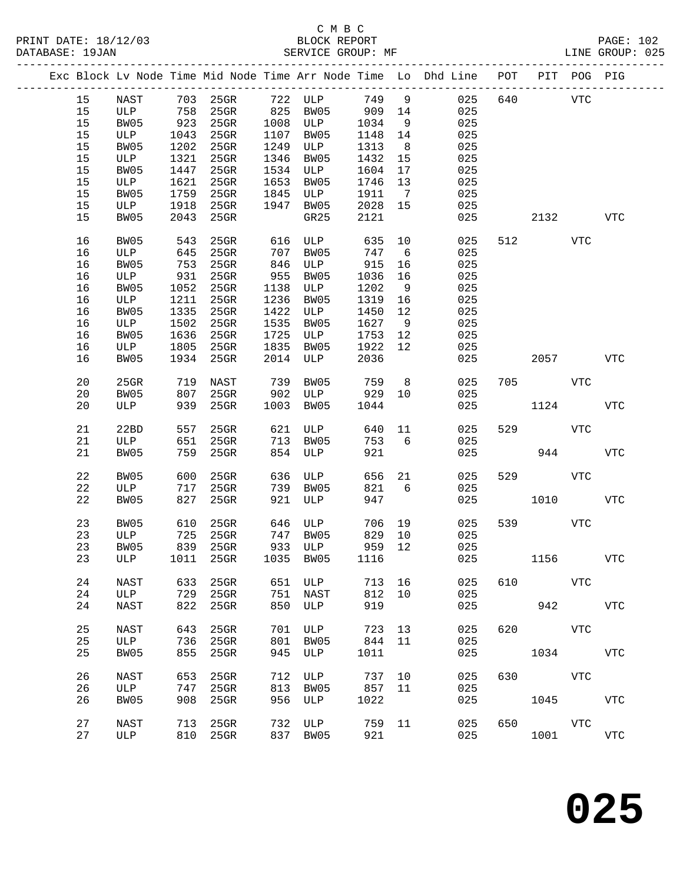|  |    |             |      |                            |      |            |        |                | Exc Block Lv Node Time Mid Node Time Arr Node Time Lo Dhd Line POT |     | PIT        | POG PIG    |              |
|--|----|-------------|------|----------------------------|------|------------|--------|----------------|--------------------------------------------------------------------|-----|------------|------------|--------------|
|  | 15 | NAST        |      |                            |      |            |        |                | 025                                                                | 640 |            | <b>VTC</b> |              |
|  | 15 | ULP         |      |                            |      |            | 909 14 |                | 025                                                                |     |            |            |              |
|  | 15 | BW05        | 923  | $25$ GR                    | 1008 | <b>ULP</b> | 1034   | 9              | 025                                                                |     |            |            |              |
|  | 15 | ULP         | 1043 | $25$ GR                    | 1107 | BW05       | 1148   | 14             | 025                                                                |     |            |            |              |
|  | 15 | BW05        | 1202 | 25GR                       | 1249 | ULP        | 1313   | 8 <sup>8</sup> | 025                                                                |     |            |            |              |
|  | 15 | ULP         | 1321 | $25$ GR                    | 1346 | BW05       | 1432   | 15             | 025                                                                |     |            |            |              |
|  | 15 | BW05        | 1447 | $25$ GR                    | 1534 | ULP        | 1604   | 17             | 025                                                                |     |            |            |              |
|  | 15 | ULP         | 1621 | 25GR                       | 1653 | BW05       | 1746   | 13             | 025                                                                |     |            |            |              |
|  |    |             |      |                            |      |            |        |                |                                                                    |     |            |            |              |
|  | 15 | BW05        | 1759 | $25$ GR                    | 1845 | ULP        | 1911   | $\overline{7}$ | 025                                                                |     |            |            |              |
|  | 15 | ULP         | 1918 | $25$ GR                    | 1947 | BW05       | 2028   | 15             | 025                                                                |     |            |            |              |
|  | 15 | BW05        | 2043 | 25GR                       |      | GR25       | 2121   |                | 025                                                                |     | 2132       |            | VTC          |
|  | 16 | BW05        | 543  | 25GR                       | 616  | ULP        | 635    | 10             | 025                                                                |     | 512 VTC    |            |              |
|  | 16 | ULP         | 645  | $25$ GR                    | 707  | BW05       | 747    | 6              | 025                                                                |     |            |            |              |
|  | 16 | BW05        | 753  | $25$ GR                    | 846  | ULP        | 915    | 16             | 025                                                                |     |            |            |              |
|  | 16 | ULP         | 931  | $25$ GR                    | 955  | BW05       | 1036   | 16             | 025                                                                |     |            |            |              |
|  | 16 | BW05        | 1052 | $25$ GR                    | 1138 | ULP        | 1202   | 9              | 025                                                                |     |            |            |              |
|  |    |             |      |                            |      |            |        |                |                                                                    |     |            |            |              |
|  | 16 | ULP         | 1211 | $25$ GR                    | 1236 | BW05       | 1319   | 16             | 025                                                                |     |            |            |              |
|  | 16 | BW05        | 1335 | 25GR                       | 1422 | ULP        | 1450   | 12             | 025                                                                |     |            |            |              |
|  | 16 | ULP         | 1502 | $25$ GR                    | 1535 | BW05       | 1627   | 9              | 025                                                                |     |            |            |              |
|  | 16 | BW05        | 1636 | $25$ GR                    | 1725 | ULP        | 1753   | 12             | 025                                                                |     |            |            |              |
|  | 16 | ULP         | 1805 | $25$ GR                    | 1835 | BW05       | 1922   | 12             | 025                                                                |     |            |            |              |
|  | 16 | BW05        | 1934 | $25$ GR                    | 2014 | ULP        | 2036   |                | 025                                                                |     | 2057       |            | <b>VTC</b>   |
|  |    |             |      |                            |      |            |        |                |                                                                    |     |            |            |              |
|  | 20 | 25GR        | 719  | NAST                       | 739  | BW05       | 759    | 8 <sup>8</sup> | 025                                                                |     | 705 VTC    |            |              |
|  | 20 | BW05        | 807  | 25GR                       | 902  | ULP        | 929    | 10             | 025                                                                |     |            |            |              |
|  | 20 | ULP         | 939  | 25GR                       | 1003 | BW05       | 1044   |                | 025                                                                |     | 1124       |            | <b>VTC</b>   |
|  |    |             |      |                            |      |            |        |                |                                                                    |     |            |            |              |
|  | 21 | 22BD        | 557  | $25$ GR                    | 621  | ULP        | 640 11 |                | 025                                                                | 529 |            | <b>VTC</b> |              |
|  | 21 | ULP         | 651  | $25$ GR                    | 713  | BW05       | 753    | 6              | 025                                                                |     |            |            |              |
|  | 21 | BW05        | 759  | 25GR                       | 854  | ULP        | 921    |                | 025                                                                |     | 944        |            | <b>VTC</b>   |
|  |    |             |      |                            |      |            |        |                |                                                                    |     |            |            |              |
|  | 22 | BW05        | 600  | $25$ GR                    | 636  | ULP        | 656    | 21             | 025                                                                | 529 |            | <b>VTC</b> |              |
|  | 22 | ULP         | 717  | $25$ GR                    | 739  | BW05       | 821    | 6              | 025                                                                |     |            |            |              |
|  | 22 | BW05        | 827  | 25GR                       | 921  | ULP        | 947    |                | 025                                                                |     | 1010       |            | <b>VTC</b>   |
|  |    |             |      |                            |      |            |        |                |                                                                    |     |            |            |              |
|  | 23 | BW05        | 610  | 25GR                       | 646  | ULP        | 706 19 |                | 025                                                                | 539 |            | <b>VTC</b> |              |
|  | 23 | ULP         | 725  | $25$ GR                    | 747  | BW05       | 829    | 10             | 025                                                                |     |            |            |              |
|  | 23 | BW05        | 839  | 25GR                       |      | 933 ULP    | 959 12 |                | 025                                                                |     |            |            |              |
|  |    |             |      | 23 ULP 1011 25GR 1035 BW05 |      |            |        |                | 1116 025                                                           |     | 1156       |            | $_{\rm VTC}$ |
|  |    |             |      |                            |      |            |        |                |                                                                    |     |            |            |              |
|  | 24 | NAST        | 633  | 25GR                       |      | 651 ULP    | 713    | 16             | 025                                                                | 610 |            | VTC        |              |
|  | 24 | ULP         | 729  | 25GR                       | 751  | NAST       | 812    | 10             | 025                                                                |     |            |            |              |
|  | 24 | NAST        | 822  | 25GR                       |      | 850 ULP    | 919    |                | 025                                                                |     |            | 942        | VTC          |
|  |    |             |      |                            |      |            |        |                |                                                                    |     |            |            |              |
|  |    |             |      |                            | 701  |            | 723    |                |                                                                    | 620 | <b>VTC</b> |            |              |
|  | 25 | NAST        | 643  | 25GR                       |      | ULP        |        | 13             | 025                                                                |     |            |            |              |
|  | 25 | ULP         | 736  | 25GR                       | 801  | BW05       | 844    | 11             | 025                                                                |     |            |            |              |
|  | 25 | BW05        | 855  | 25GR                       | 945  | ULP        | 1011   |                | 025                                                                |     | 1034 VTC   |            |              |
|  | 26 | <b>NAST</b> | 653  | 25GR                       | 712  | ULP        | 737 10 |                | 025                                                                | 630 | VTC        |            |              |
|  | 26 | ULP         | 747  | 25GR                       | 813  | BW05       | 857 11 |                | 025                                                                |     |            |            |              |
|  | 26 | BW05        | 908  | $25$ GR                    | 956  | ULP        | 1022   |                | 025                                                                |     | 1045       |            | VTC          |
|  |    |             |      |                            |      |            |        |                |                                                                    |     |            |            |              |
|  | 27 | <b>NAST</b> |      | 713 25GR                   | 732  | ULP        | 759 11 |                | 025                                                                |     | 650 VTC    |            |              |
|  | 27 | ULP         |      | 810 25GR                   |      | 837 BW05   | 921    |                | 025                                                                |     | 1001       |            | <b>VTC</b>   |
|  |    |             |      |                            |      |            |        |                |                                                                    |     |            |            |              |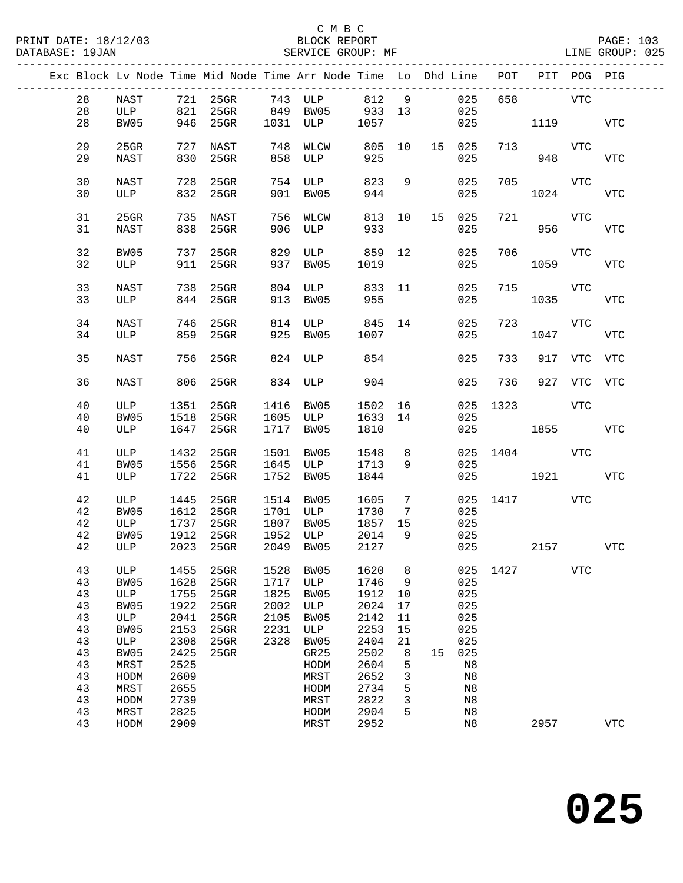|  |          |              |              | Exc Block Lv Node Time Mid Node Time Arr Node Time Lo Dhd Line POT PIT POG PIG |              |                                |               |                 |    |               |      |                 |                 |             |
|--|----------|--------------|--------------|--------------------------------------------------------------------------------|--------------|--------------------------------|---------------|-----------------|----|---------------|------|-----------------|-----------------|-------------|
|  | 28       | NAST         |              | 721 25GR 743 ULP 812 9<br>821 25GR 849 BW05 933 13                             |              |                                |               |                 |    | 025           | 658  | <b>VTC</b>      |                 |             |
|  | 28<br>28 | ULP<br>BW05  |              | 946 25GR                                                                       |              | 1031 ULP 1057                  |               |                 |    | 025<br>025    |      | 1119 VTC        |                 |             |
|  |          |              |              |                                                                                |              |                                |               |                 |    |               |      |                 |                 |             |
|  | 29<br>29 | 25GR<br>NAST | 830          | 727 NAST<br>25GR                                                               |              | 748 WLCW<br>858 ULP<br>858 ULP | 805 10<br>925 |                 |    | 15 025<br>025 | 713  | 948             | VTC             | <b>VTC</b>  |
|  |          |              |              |                                                                                |              |                                |               |                 |    |               |      |                 |                 |             |
|  | 30<br>30 | NAST<br>ULP  | 728          | $25$ GR<br>832 25GR                                                            | 901          | 754 ULP<br>BW05                | 823<br>944    | 9               |    | 025<br>025    |      | 705 VTC<br>1024 |                 | VTC         |
|  |          |              |              |                                                                                |              |                                |               |                 |    |               |      |                 |                 |             |
|  | 31<br>31 | 25GR<br>NAST |              | 735 NAST<br>838 25GR                                                           |              | 756 WLCW<br>906 ULP            | 813 10<br>933 |                 |    | 15 025<br>025 | 721  |                 | VTC<br>956 1990 | <b>VTC</b>  |
|  |          |              |              |                                                                                |              |                                |               |                 |    |               |      |                 |                 |             |
|  | 32       | BW05         | 737          | 25GR                                                                           | 829          | ULP 859 12                     |               |                 |    | 025           | 706  |                 | VTC             |             |
|  | 32       | ULP          |              | 911 25GR                                                                       |              | 937 BW05                       | 1019          |                 |    | 025           |      | 1059            |                 | <b>VTC</b>  |
|  | 33       | NAST         |              | 738 25GR                                                                       |              | 804 ULP 833 11                 |               |                 |    | 025           |      | 715 VTC         |                 |             |
|  | 33       | ULP          |              | 844 25GR                                                                       |              | 913 BW05                       | 955           |                 |    | 025           |      | 1035            |                 | VTC         |
|  | 34       | NAST         |              | 746 25GR                                                                       |              | 814 ULP 845 14                 |               |                 |    | 025           |      | 723             | VTC             |             |
|  | 34       | ULP          |              | 859 25GR                                                                       |              | 925 BW05                       | 1007          |                 |    | 025           |      | 1047            |                 | VTC         |
|  | 35       | <b>NAST</b>  | 756          | $25$ GR                                                                        |              | 824 ULP                        | 854           |                 |    | 025           | 733  |                 | 917 VTC         | VTC         |
|  | 36       | NAST         |              | 806 25GR                                                                       |              | 834 ULP                        | 904           |                 |    | 025           | 736  |                 | 927 VTC VTC     |             |
|  | 40       | ULP          | 1351         | $25$ GR                                                                        | 1416         | <b>BW05</b>                    | 1502 16       |                 |    | 025           | 1323 |                 | VTC             |             |
|  | 40       | BW05         | 1518         | 25GR                                                                           |              | 1605 ULP                       | 1633 14       |                 |    | 025           |      |                 |                 |             |
|  | 40       | ULP          | 1647         | 25GR                                                                           | 1717         | BW05                           | 1810          |                 |    |               |      | 025 1855        |                 | VTC         |
|  | 41       | ULP          | 1432         | 25GR                                                                           |              | 1501 BW05                      | 1548          | 8               |    |               |      | 025 1404 VTC    |                 |             |
|  | 41       | BW05         | 1556         | 25GR                                                                           |              | 1645 ULP                       | 1713          | 9               |    | 025           |      |                 |                 |             |
|  | 41       | ULP          | 1722         | $25$ GR                                                                        |              | 1752 BW05                      | 1844          |                 |    |               | 025  | 1921            |                 | VTC         |
|  | 42       | ULP          | 1445         | 25GR                                                                           |              | 1514 BW05                      | 1605          | $7\phantom{.0}$ |    |               |      | 025 1417 VTC    |                 |             |
|  | 42<br>42 | BW05<br>ULP  | 1612<br>1737 | 25GR<br>$25$ GR                                                                | 1807         | 1701 ULP<br>BW05               | 1730<br>1857  | 7<br>15         |    | 025<br>025    |      |                 |                 |             |
|  | 42       | BW05         | 1912         | $25$ GR                                                                        | 1952         | ULP                            | 2014          | 9               |    | 025           |      |                 |                 |             |
|  | 42       | ULP          |              | 2023 25GR                                                                      |              | 2049 BW05                      | 2014<br>2127  |                 |    | 025           |      | 2157            |                 | <b>VTC</b>  |
|  | 43       | ULP          | 1455         | 25GR                                                                           | 1528         | BW05                           | 1620          | 8               |    | 025           | 1427 |                 | <b>VTC</b>      |             |
|  | 43       | BW05         | 1628         | 25GR                                                                           | 1717         | $_{\rm ULP}$                   | 1746          | 9               |    | 025           |      |                 |                 |             |
|  | 43       | ULP          | 1755         | 25GR                                                                           | 1825<br>2002 | BW05                           | 1912          | 10              |    | 025           |      |                 |                 |             |
|  | 43<br>43 | BW05<br>ULP  | 1922<br>2041 | 25GR<br>25GR                                                                   | 2105         | ULP<br><b>BW05</b>             | 2024<br>2142  | 17<br>11        |    | 025<br>025    |      |                 |                 |             |
|  | 43       | BW05         | 2153         | 25GR                                                                           | 2231         | $_{\rm ULP}$                   | 2253          | 15              |    | 025           |      |                 |                 |             |
|  | 43       | ULP          | 2308         | 25GR                                                                           | 2328         | BW05                           | 2404          | 21              |    | 025           |      |                 |                 |             |
|  | 43       | BW05         | 2425         | 25GR                                                                           |              | GR25                           | 2502          | 8               | 15 | 025           |      |                 |                 |             |
|  | 43<br>43 | MRST<br>HODM | 2525<br>2609 |                                                                                |              | HODM<br>MRST                   | 2604<br>2652  | 5<br>3          |    | N8<br>N8      |      |                 |                 |             |
|  | 43       | MRST         | 2655         |                                                                                |              | HODM                           | 2734          | 5               |    | N8            |      |                 |                 |             |
|  | 43       | HODM         | 2739         |                                                                                |              | MRST                           | 2822          | 3               |    | N8            |      |                 |                 |             |
|  | 43       | MRST         | 2825         |                                                                                |              | HODM                           | 2904          | 5               |    | N8            |      |                 |                 |             |
|  | 43       | HODM         | 2909         |                                                                                |              | MRST                           | 2952          |                 |    | N8            |      | 2957            |                 | ${\tt VTC}$ |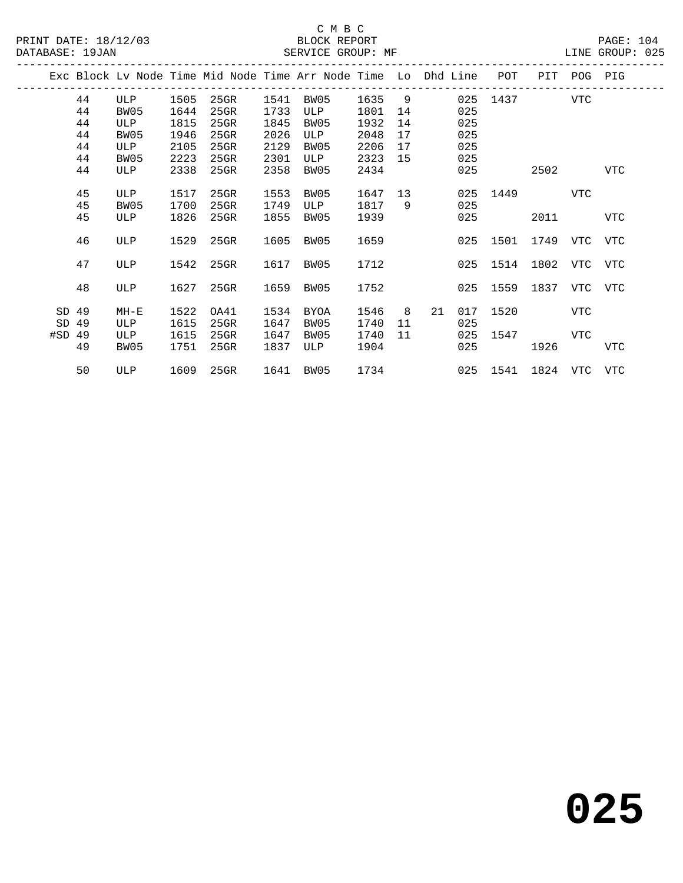|          |    |        |      |         |      | Exc Block Lv Node Time Mid Node Time Arr Node Time Lo Dhd Line |      |     |    |     | POT      | PIT          | POG        | PIG        |
|----------|----|--------|------|---------|------|----------------------------------------------------------------|------|-----|----|-----|----------|--------------|------------|------------|
|          | 44 | ULP    | 1505 | 25GR    | 1541 | BW05                                                           | 1635 | - 9 |    | 025 | 1437     |              | VTC        |            |
|          | 44 | BW05   | 1644 | $25$ GR | 1733 | ULP                                                            | 1801 | 14  |    | 025 |          |              |            |            |
|          | 44 | ULP    | 1815 | 25GR    | 1845 | BW05                                                           | 1932 | 14  |    | 025 |          |              |            |            |
|          | 44 | BW05   | 1946 | 25GR    | 2026 | ULP                                                            | 2048 | 17  |    | 025 |          |              |            |            |
|          | 44 | ULP    | 2105 | 25GR    | 2129 | BW05                                                           | 2206 | 17  |    | 025 |          |              |            |            |
|          | 44 | BW05   | 2223 | 25GR    | 2301 | ULP                                                            | 2323 | 15  |    | 025 |          |              |            |            |
|          | 44 | ULP    | 2338 | 25GR    | 2358 | BW05                                                           | 2434 |     |    | 025 |          | 2502         |            | VTC        |
|          |    |        |      |         |      |                                                                |      |     |    |     |          |              |            |            |
|          | 45 | ULP    | 1517 | 25GR    | 1553 | BW05                                                           | 1647 | 13  |    | 025 | 1449     |              | VTC        |            |
|          | 45 | BW05   | 1700 | 25GR    | 1749 | ULP                                                            | 1817 | - 9 |    | 025 |          |              |            |            |
|          | 45 | ULP    | 1826 | 25GR    | 1855 | BW05                                                           | 1939 |     |    | 025 |          | 2011         |            | <b>VTC</b> |
|          | 46 | ULP    | 1529 | $25$ GR | 1605 | BW05                                                           | 1659 |     |    | 025 | 1501     | 1749         | VTC        | VTC        |
|          |    |        |      |         |      |                                                                |      |     |    |     |          |              |            |            |
|          | 47 | ULP    | 1542 | 25GR    | 1617 | BW05                                                           | 1712 |     |    | 025 | 1514     | 1802         | VTC        | VTC        |
|          |    |        |      |         |      |                                                                |      |     |    |     |          |              |            |            |
|          | 48 | ULP    | 1627 | $25$ GR | 1659 | BW05                                                           | 1752 |     |    | 025 | 1559     | 1837         | VTC        | VTC        |
|          |    |        |      |         |      |                                                                |      |     |    |     |          |              |            |            |
| SD 49    |    | $MH-E$ | 1522 | OA41    | 1534 | BYOA                                                           | 1546 | 8   | 21 | 017 | 1520     |              | <b>VTC</b> |            |
| SD       | 49 | ULP    | 1615 | $25$ GR | 1647 | BW05                                                           | 1740 | 11  |    | 025 |          |              |            |            |
| $#SD$ 49 |    | ULP    | 1615 | 25GR    | 1647 | BW05                                                           | 1740 | 11  |    | 025 | 1547     |              | VTC        |            |
|          | 49 | BW05   | 1751 | $25$ GR | 1837 | ULP                                                            | 1904 |     |    | 025 |          | 1926         |            | VTC        |
|          | 50 | ULP    | 1609 | 25GR    |      | 1641 BW05                                                      | 1734 |     |    |     | 025 1541 | 1824 VTC VTC |            |            |
|          |    |        |      |         |      |                                                                |      |     |    |     |          |              |            |            |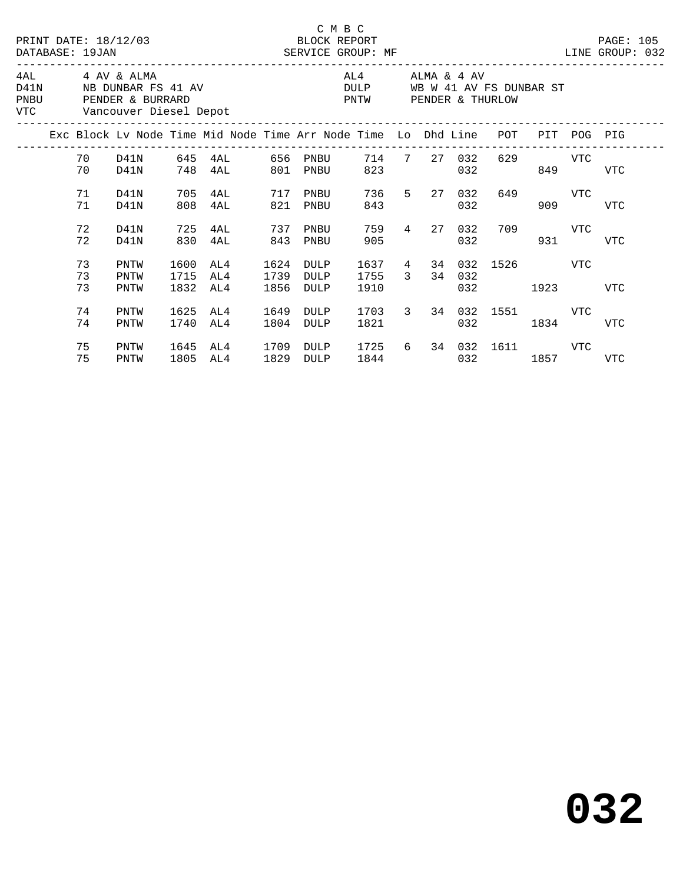|      |                |                                               |                      | PRINT DATE: 18/12/03 BLOCK REPORT<br>DATABASE: 19JAN SERVICE GROUP: MF         |                      | C M B C                                               |                 |              |            |                                       |                |       | PAGE: 105<br>LINE GROUP: 032 |  |
|------|----------------|-----------------------------------------------|----------------------|--------------------------------------------------------------------------------|----------------------|-------------------------------------------------------|-----------------|--------------|------------|---------------------------------------|----------------|-------|------------------------------|--|
| PNBU |                | 4AL 4 AV & ALMA<br>VTC Vancouver Diesel Depot |                      | D41N NB DUNBAR FS 41 AV<br>PENDER & BURRARD                                    |                      | DULP WB W 41 AV FS DUNBAR ST<br>PNTW PENDER & THURLOW | AL4 ALMA & 4 AV |              |            |                                       |                |       |                              |  |
|      |                |                                               |                      | Exc Block Lv Node Time Mid Node Time Arr Node Time Lo Dhd Line POT PIT POG PIG |                      |                                                       |                 |              |            |                                       |                |       |                              |  |
|      | 70 D41N<br>70  | D41N                                          |                      | 748 4AL 801                                                                    |                      | PNBU                                                  | 823             | 714 7 27 032 | 032        |                                       | 629 VTC<br>849 |       | <b>VTC</b>                   |  |
|      | 71<br>71       | D41N<br>D41N                                  | 705<br>808           | 4AL 717 PNBU<br>4AL                                                            | 821                  | PNBU                                                  | 843             | 736 5 27 032 | 032        | 649                                   | 909            | VTC   | <b>VTC</b>                   |  |
|      | 72<br>72       | D41N<br>D41N                                  | 725<br>830           | 4AL<br>4AL                                                                     | 737<br>843           | PNBU<br>PNBU                                          | 759<br>905      | 4 27         | 032<br>032 |                                       | 709 VTC        | 931 7 | <b>VTC</b>                   |  |
|      | 73<br>73<br>73 | PNTW<br>PNTW<br>PNTW                          | 1600<br>1715<br>1832 | AL4<br>AL4<br>AL4                                                              | 1624<br>1739<br>1856 | DULP<br>DULP<br>DULP                                  | 1755 3<br>1910  |              | 34 032     | 1637 4 34 032 1526 VTC<br>032 and 032 | 1923           |       | <b>VTC</b>                   |  |
|      | 74<br>74       | PNTW<br>PNTW                                  | 1625<br>1740         | AL4<br>AL4                                                                     | 1649<br>1804         | DULP<br>DULP                                          | 1821            |              | 032        | 1703 3 34 032 1551 VTC                | 1834           |       | <b>VTC</b>                   |  |
|      | 75<br>75       | PNTW<br>PNTW                                  | 1645<br>1805         | AL4 1709<br>AL4                                                                | 1829                 | DULP<br>DULP                                          |                 |              |            | 1725 6 34 032 1611 VTC<br>032 1857    |                |       | VTC                          |  |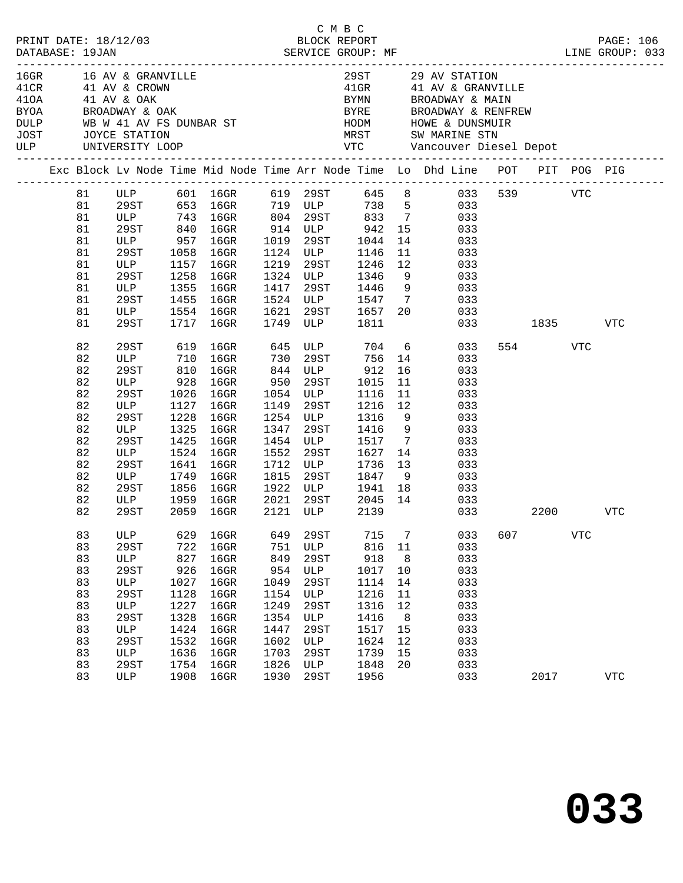| PRINT DATE: 18/12/03<br>DATABASE: 19JAN |                                                                                  |                                                                                                                                |                                                                                                  | 2/03<br>BLOCK REPORT<br>SERVICE GROUP: MF                                                                                                                       |                                                                                                  |                                                                                                         | C M B C                                                                                                                                                        |                                                                   | LINE GROUP: 033                                                                                                                                                                                                                                                                                    |              |              |            | PAGE: 106         |
|-----------------------------------------|----------------------------------------------------------------------------------|--------------------------------------------------------------------------------------------------------------------------------|--------------------------------------------------------------------------------------------------|-----------------------------------------------------------------------------------------------------------------------------------------------------------------|--------------------------------------------------------------------------------------------------|---------------------------------------------------------------------------------------------------------|----------------------------------------------------------------------------------------------------------------------------------------------------------------|-------------------------------------------------------------------|----------------------------------------------------------------------------------------------------------------------------------------------------------------------------------------------------------------------------------------------------------------------------------------------------|--------------|--------------|------------|-------------------|
|                                         |                                                                                  | BYOA BROADWAY & OAK<br>DULP WB W 41 AV FS DUNBAR ST<br>JOST JOYCE STATION<br>ULP UNIVERSITY LOOP                               |                                                                                                  | 16GR 16 AV & GRANVILLE<br>41CR 11 AV & CROWN<br>41OA 11 AV & OAK<br>BYOA BROADWAY & OAK                                                                         |                                                                                                  |                                                                                                         |                                                                                                                                                                |                                                                   | 29 ST 29 AV STATION<br>41 GR 41 AV & GRANVILLE<br>BYMN BROADWAY & MAIN<br>BYRE BROADWAY & RENFREW                                                                                                                                                                                                  |              |              |            |                   |
|                                         |                                                                                  |                                                                                                                                |                                                                                                  |                                                                                                                                                                 |                                                                                                  |                                                                                                         |                                                                                                                                                                |                                                                   | Exc Block Lv Node Time Mid Node Time Arr Node Time Lo Dhd Line POT PIT POG PIG                                                                                                                                                                                                                     |              |              |            |                   |
|                                         | 81<br>81<br>81<br>81<br>81<br>81<br>81<br>81<br>81<br>81<br>81<br>81             | 29ST<br>ULP<br>29ST 1258<br>ULP 1355<br>29ST<br>ULP<br>29ST                                                                    | 1717                                                                                             | 1058 16GR<br>1157 16GR<br>$16$ GR<br>1355 16GR<br>1455 16GR<br>1554 16GR<br>16GR 1749 ULP 1811                                                                  | 1219<br>1621                                                                                     |                                                                                                         | 1124 ULP 1146<br>29ST 1246                                                                                                                                     | 12                                                                | ULP 601 16GR 619 29ST 645 8 033 539 VTC<br>29ST 653 16GR 719 ULP 738 5 033<br>ULP 743 16GR 804 29ST 833 7 033<br>29ST 840 16GR 914 ULP 942 15 033<br>ULP 957 16GR 1019 29ST 1044 14 033<br>11 033<br>033<br>1324 ULP 1346 9 033<br>1417 29ST 1446 9 033<br>1524 ULP 1547 7 033<br>29ST 1657 20 033 | 033 1835 VTC |              |            |                   |
|                                         | 82<br>82<br>82<br>82<br>82<br>82<br>82<br>82<br>82<br>82<br>82<br>82<br>82<br>82 | 29ST<br>29ST<br>ULP<br>29ST<br>ULP<br>29ST<br>ULP<br>29ST<br>ULP<br>29ST<br>ULP 1959 16GR                                      | 619<br>1127<br>1228<br>1325<br>1425<br>1641<br>1749<br>1856                                      | ULP 710 16GR 730<br>29ST 810 16GR 844<br>ULP 928 16GR 950<br>1026 16GR 1054 ULP 1116<br>$16$ GR<br>$16$ GR<br>16GR<br>16GR<br>1524 16GR<br>16GR<br>16GR<br>16GR | 1552                                                                                             |                                                                                                         | 29ST 756 14<br>1149 29ST 1216<br>1254 ULP 1316<br>1347 29ST 1416<br>$1454$ ULP $1517$<br>29ST 1627<br>1712 ULP 1736 13<br>1815 29ST 1847 9<br>1922 ULP 1941 18 | 11<br>12<br>9<br>9                                                | 16GR 645 ULP 704 6 033<br>033<br>$\begin{array}{ccc} 16 & \hspace*{1.5cm} & 033 \\ 11 & \hspace*{1.5cm} & 033 \end{array}$<br>033<br>033<br>033<br>033<br>7 033<br>14<br>033<br>13 033<br>033<br>18 033<br>2021 29ST 2045 14 033                                                                   |              | 554          | VTC        |                   |
|                                         | 82<br>83<br>83<br>83<br>83<br>83<br>83<br>83<br>83<br>83<br>83<br>83<br>83<br>83 | 29ST<br>ULP<br>29ST<br>ULP<br><b>29ST</b><br>$_{\rm ULP}$<br>29ST<br>ULP<br>29ST<br>ULP<br>29ST<br>$_{\rm ULP}$<br>29ST<br>ULP | 629<br>722<br>827<br>926<br>1027<br>1128<br>1227<br>1328<br>1424<br>1532<br>1636<br>1754<br>1908 | 2059 16GR 2121 ULP 2139<br>$16$ GR<br>16GR<br>$16$ GR<br>$16$ GR<br>16GR<br>16GR<br>16GR<br>16GR<br>16GR<br>$16$ GR<br>16GR<br>16GR<br>16GR                     | 649<br>751<br>849<br>954<br>1049<br>1154<br>1249<br>1354<br>1447<br>1602<br>1703<br>1826<br>1930 | 29ST<br>ULP<br>29ST<br>ULP<br>29ST<br>ULP<br>29ST<br>$_{\rm ULP}$<br>29ST<br>ULP<br>29ST<br>ULP<br>29ST | 715<br>816<br>918<br>1017<br>1114<br>1216<br>1316<br>1416<br>1517<br>1624<br>1739<br>1848<br>1956                                                              | 7<br>11<br>8<br>10<br>14<br>11<br>12<br>8<br>15<br>12<br>15<br>20 | 033<br>033<br>033<br>033<br>033<br>033<br>033<br>033<br>033<br>033<br>033<br>033<br>033<br>033                                                                                                                                                                                                     | 607          | 2200<br>2017 | <b>VTC</b> | VTC<br><b>VTC</b> |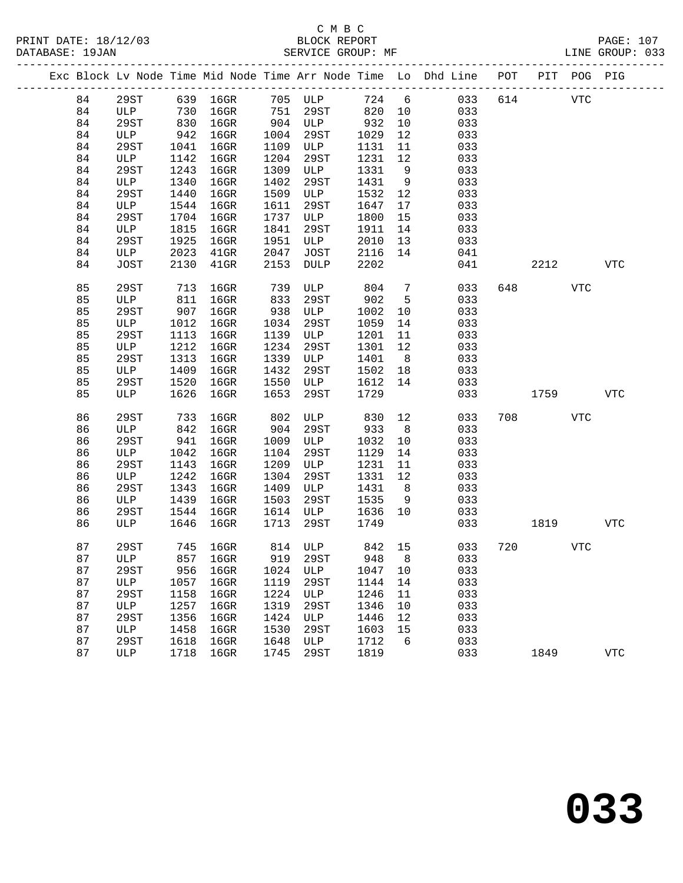|  |          |             |             |                                                                      |             |             |             |                 | Exc Block Lv Node Time Mid Node Time Arr Node Time Lo Dhd Line POT |     |      | PIT POG PIG |            |
|--|----------|-------------|-------------|----------------------------------------------------------------------|-------------|-------------|-------------|-----------------|--------------------------------------------------------------------|-----|------|-------------|------------|
|  | 84       | 29ST        |             | 639    16GR           705    ULP<br>730    16GR          751    29ST |             |             |             |                 | 724 6<br>033                                                       | 614 |      | VTC         |            |
|  | 84       | ULP         |             |                                                                      |             |             | 820         | 10              | 033                                                                |     |      |             |            |
|  | 84       | 29ST        | 830         | $16$ GR                                                              |             | 904 ULP     | 932         | 10              | 033                                                                |     |      |             |            |
|  | 84       | ULP         | 942         | 16GR                                                                 | 1004        | 29ST        | 1029        | 12              | 033                                                                |     |      |             |            |
|  | 84       | 29ST        | 1041        | $16$ GR                                                              | 1109        | ULP         | 1131        | 11              | 033                                                                |     |      |             |            |
|  | 84       | ULP         | 1142        | $16$ GR                                                              | 1204        | 29ST        | 1231        | 12              | 033                                                                |     |      |             |            |
|  | 84       | 29ST        | 1243        | $16$ GR                                                              | 1309        | ULP         | 1331        | $\overline{9}$  | 033                                                                |     |      |             |            |
|  | 84       | ULP         | 1340        | $16$ GR                                                              | 1402        | 29ST        | 1431        | 9               | 033                                                                |     |      |             |            |
|  | 84       | 29ST        | 1440        | $16$ GR                                                              | 1509        | ULP         | 1532        | 12              | 033                                                                |     |      |             |            |
|  | 84       | ULP         | 1544        | $16$ GR                                                              | 1611        | 29ST        | 1647        | 17              | 033                                                                |     |      |             |            |
|  | 84       | 29ST        | 1704        | $16$ GR                                                              | 1737        | ULP         | 1800        | 15              | 033                                                                |     |      |             |            |
|  | 84       | ULP         | 1815        | $16$ GR                                                              | 1841        | 29ST        | 1911        | 14              | 033                                                                |     |      |             |            |
|  | 84       | 29ST        | 1925        | $16$ GR                                                              | 1951        | ULP         | 2010        | 13              | 033                                                                |     |      |             |            |
|  | 84       | ULP         | 2023        | $41$ GR                                                              | 2047        | JOST        | 2116        | 14              | 041                                                                |     |      |             |            |
|  | 84       | JOST        | 2130        | $41$ GR                                                              | 2153        | <b>DULP</b> | 2202        |                 | 041                                                                |     | 2212 |             | <b>VTC</b> |
|  | 85       | 29ST        | 713         | $16$ GR                                                              | 739         | ULP         | 804         | $7\phantom{.0}$ | 033                                                                |     | 648  | <b>VTC</b>  |            |
|  | 85       | ULP         | 811         | $16$ GR                                                              | 833         | 29ST        | 902         | 5               | 033                                                                |     |      |             |            |
|  | 85       | 29ST        | 907         | $16$ GR                                                              | 938         | ULP         | 1002        | 10              | 033                                                                |     |      |             |            |
|  | 85       | ULP         | 1012        | 16GR                                                                 | 1034        | 29ST        | 1059        | 14              | 033                                                                |     |      |             |            |
|  | 85       | 29ST        | 1113        | $16$ GR                                                              | 1139        | ULP         | 1201        | 11              | 033                                                                |     |      |             |            |
|  | 85       | ULP         | 1212        | $16$ GR                                                              | 1234        | 29ST        | 1301        | 12              | 033                                                                |     |      |             |            |
|  | 85       | 29ST        | 1313        | $16$ GR                                                              | 1339        | ULP         | 1401        | 8 <sup>8</sup>  | 033                                                                |     |      |             |            |
|  | 85       | ULP         | 1409        | $16$ GR                                                              | 1432        | 29ST        | 1502        | 18              | 033                                                                |     |      |             |            |
|  | 85       | 29ST        | 1520        | 16GR                                                                 | 1550        | ULP         | 1612        | 14              | 033                                                                |     |      |             |            |
|  | 85       | ULP         | 1626        | $16$ GR                                                              | 1653        | 29ST        | 1729        |                 | 033                                                                |     | 1759 |             | <b>VTC</b> |
|  |          |             |             |                                                                      |             |             |             |                 |                                                                    |     |      |             |            |
|  | 86       | 29ST        | 733         | 16GR                                                                 | 802         | ULP         | 830         | 12              | 033                                                                | 708 |      | ${\tt VTC}$ |            |
|  | 86<br>86 | ULP<br>29ST | 842         | $16$ GR                                                              | 904<br>1009 | 29ST<br>ULP | 933<br>1032 | 8 <sup>8</sup>  | 033<br>033                                                         |     |      |             |            |
|  | 86       | ULP         | 941<br>1042 | $16$ GR<br>$16$ GR                                                   | 1104        | 29ST        | 1129        | 10<br>14        | 033                                                                |     |      |             |            |
|  | 86       | 29ST        | 1143        | $16$ GR                                                              | 1209        | ULP         | 1231        | 11              | 033                                                                |     |      |             |            |
|  | 86       | ULP         | 1242        | $16$ GR                                                              | 1304        | 29ST        | 1331        | 12              | 033                                                                |     |      |             |            |
|  | 86       | 29ST        | 1343        | $16$ GR                                                              | 1409        | ULP         | 1431        | 8 <sup>8</sup>  | 033                                                                |     |      |             |            |
|  | 86       | ULP         | 1439        | $16$ GR                                                              | 1503        | 29ST        | 1535        | 9               | 033                                                                |     |      |             |            |
|  | 86       | 29ST        | 1544        | $16$ GR                                                              | 1614        | ULP         | 1636        | 10              | 033                                                                |     |      |             |            |
|  | 86       | ULP         | 1646        | $16$ GR                                                              | 1713        | 29ST        | 1749        |                 | 033                                                                |     | 1819 |             | <b>VTC</b> |
|  |          |             |             |                                                                      |             |             |             |                 |                                                                    |     |      |             |            |
|  | 87       | 29ST        |             | 745 16GR                                                             |             | 814 ULP     | 842 15      |                 | 033                                                                | 720 |      | <b>VTC</b>  |            |
|  | 87       |             |             | ULP 857 16GR 919 29ST 948 8                                          |             |             |             |                 | 033                                                                |     |      |             |            |
|  | 87       | 29ST        | 956         | $16$ GR                                                              | 1024        | ULP         | 1047        | 10              | 033                                                                |     |      |             |            |
|  | 87       | ULP         | 1057        | 16GR                                                                 | 1119        | 29ST        | 1144        | 14              | 033                                                                |     |      |             |            |
|  | 87       | 29ST        | 1158        | $16$ GR                                                              | 1224        | ULP         | 1246        | 11              | 033                                                                |     |      |             |            |
|  | 87       | ULP         | 1257        | 16GR                                                                 | 1319        | 29ST        | 1346        | 10              | 033                                                                |     |      |             |            |
|  | 87       | 29ST        | 1356        | $16$ GR                                                              | 1424        | ULP         | 1446        | 12              | 033                                                                |     |      |             |            |
|  | 87       | ULP         | 1458        | 16GR                                                                 | 1530        | 29ST        | 1603        | 15              | 033                                                                |     |      |             |            |
|  | 87       | 29ST        | 1618        | 16GR                                                                 | 1648        | ULP         | 1712        | 6               | 033                                                                |     |      |             |            |
|  | 87       | ULP         | 1718        | 16GR                                                                 | 1745        | 29ST        | 1819        |                 | 033                                                                |     | 1849 |             | <b>VTC</b> |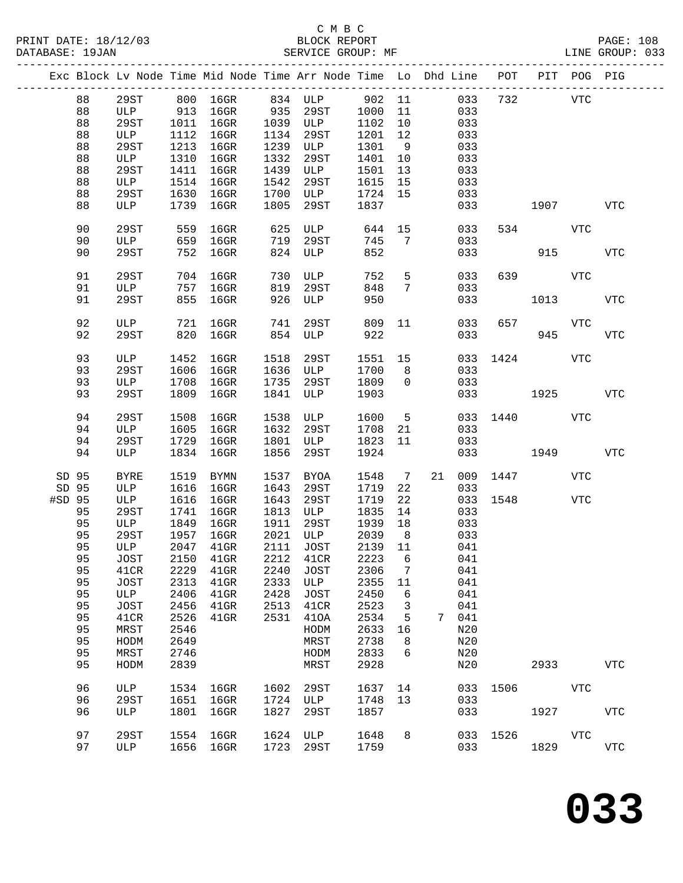# C M B C

| DATABASE: 19JAN |    |         |      | SERVICE GROUP: MF                                                              |      |                    |         |                 |    |     |              |                                                                                                                                                                                                                                 |            | LINE GROUP: 033 |  |
|-----------------|----|---------|------|--------------------------------------------------------------------------------|------|--------------------|---------|-----------------|----|-----|--------------|---------------------------------------------------------------------------------------------------------------------------------------------------------------------------------------------------------------------------------|------------|-----------------|--|
|                 |    |         |      | Exc Block Lv Node Time Mid Node Time Arr Node Time Lo Dhd Line POT PIT POG PIG |      |                    |         |                 |    |     |              |                                                                                                                                                                                                                                 |            |                 |  |
|                 | 88 |         |      | 29ST 800 16GR 834 ULP 902 11                                                   |      |                    |         |                 |    |     | 033 732 VTC  |                                                                                                                                                                                                                                 |            |                 |  |
|                 | 88 | ULP 913 |      |                                                                                |      | 16GR 935 29ST 1000 |         | 11              |    | 033 |              |                                                                                                                                                                                                                                 |            |                 |  |
|                 | 88 | 29ST    | 1011 | $16$ GR                                                                        |      | 1039 ULP           | 1102    | 10              |    | 033 |              |                                                                                                                                                                                                                                 |            |                 |  |
|                 |    |         |      |                                                                                |      |                    |         |                 |    |     |              |                                                                                                                                                                                                                                 |            |                 |  |
|                 | 88 | ULP     | 1112 | $16$ GR                                                                        |      | 1134 29ST          | 1201    | 12              |    | 033 |              |                                                                                                                                                                                                                                 |            |                 |  |
|                 | 88 | 29ST    | 1213 | $16$ GR                                                                        |      | 1239 ULP           | 1301    | 9               |    | 033 |              |                                                                                                                                                                                                                                 |            |                 |  |
|                 | 88 | ULP     | 1310 | $16$ GR                                                                        | 1332 | 29ST               | 1401    | 10              |    | 033 |              |                                                                                                                                                                                                                                 |            |                 |  |
|                 | 88 | 29ST    | 1411 | $16$ GR                                                                        | 1439 | ULP                | 1501    | 13              |    | 033 |              |                                                                                                                                                                                                                                 |            |                 |  |
|                 | 88 | ULP     | 1514 | $16$ GR                                                                        | 1542 | 29ST               | 1615    | 15              |    | 033 |              |                                                                                                                                                                                                                                 |            |                 |  |
|                 | 88 | 29ST    | 1630 | $16$ GR                                                                        | 1700 | ULP                | 1724 15 |                 |    | 033 |              |                                                                                                                                                                                                                                 |            |                 |  |
|                 | 88 | ULP     | 1739 | 16GR                                                                           | 1805 | 29ST               | 1837    |                 |    | 033 |              | 1907 VTC                                                                                                                                                                                                                        |            |                 |  |
|                 |    |         |      |                                                                                |      |                    |         |                 |    |     |              |                                                                                                                                                                                                                                 |            |                 |  |
|                 | 90 | 29ST    | 559  | 16GR                                                                           | 625  | ULP                | 644     |                 | 15 | 033 |              | 534 VTC                                                                                                                                                                                                                         |            |                 |  |
|                 | 90 | ULP     | 659  | $16$ GR                                                                        | 719  | 29ST               | 745     | 7               |    | 033 |              |                                                                                                                                                                                                                                 |            |                 |  |
|                 | 90 | 29ST    | 752  | 16GR                                                                           |      | 824 ULP            | 852     |                 |    | 033 |              | 915                                                                                                                                                                                                                             |            | <b>VTC</b>      |  |
|                 | 91 | 29ST    | 704  | $16$ GR                                                                        | 730  | ULP                | 752     | 5               |    | 033 |              | 639 88                                                                                                                                                                                                                          | VTC        |                 |  |
|                 | 91 | ULP     | 757  | $16$ GR                                                                        | 819  | 29ST               | 848     | $7\overline{ }$ |    | 033 |              |                                                                                                                                                                                                                                 |            |                 |  |
|                 |    |         |      |                                                                                |      |                    |         |                 |    |     |              |                                                                                                                                                                                                                                 |            |                 |  |
|                 | 91 | 29ST    | 855  | $16$ GR                                                                        | 926  | ULP                | 950     |                 |    | 033 |              |                                                                                                                                                                                                                                 | 1013       | <b>VTC</b>      |  |
|                 | 92 | ULP     | 721  | 16GR                                                                           | 741  | 29ST               | 809     | 11              |    | 033 | 657          |                                                                                                                                                                                                                                 | VTC        |                 |  |
|                 | 92 | 29ST    | 820  | 16GR                                                                           | 854  | ULP                | 922     |                 |    | 033 |              | 945                                                                                                                                                                                                                             |            | <b>VTC</b>      |  |
|                 |    |         |      |                                                                                |      |                    |         |                 |    |     |              |                                                                                                                                                                                                                                 |            |                 |  |
|                 | 93 | ULP     | 1452 | 16GR                                                                           | 1518 | 29ST               | 1551 15 |                 |    | 033 |              | 1424                                                                                                                                                                                                                            | VTC        |                 |  |
|                 | 93 | 29ST    | 1606 | $16$ GR                                                                        | 1636 | ULP                | 1700    | 8               |    | 033 |              |                                                                                                                                                                                                                                 |            |                 |  |
|                 | 93 | ULP     | 1708 | $16$ GR                                                                        | 1735 | 29ST               | 1809    | $\overline{0}$  |    | 033 |              |                                                                                                                                                                                                                                 |            |                 |  |
|                 | 93 | 29ST    | 1809 | $16$ GR                                                                        | 1841 | ULP                | 1903    |                 |    |     | 033 1925 VTC |                                                                                                                                                                                                                                 |            |                 |  |
|                 | 94 | 29ST    | 1508 | 16GR                                                                           | 1538 | ULP                | 1600    | 5 <sup>5</sup>  |    |     | 033 1440     |                                                                                                                                                                                                                                 | VTC        |                 |  |
|                 | 94 | ULP     | 1605 | $16$ GR                                                                        | 1632 | 29ST               | 1708    | 21              |    | 033 |              |                                                                                                                                                                                                                                 |            |                 |  |
|                 |    |         |      |                                                                                |      |                    |         |                 |    |     |              |                                                                                                                                                                                                                                 |            |                 |  |
|                 | 94 | 29ST    | 1729 | 16GR                                                                           | 1801 | ULP                | 1823    | 11              |    | 033 |              |                                                                                                                                                                                                                                 |            |                 |  |
|                 | 94 | ULP     | 1834 | 16GR                                                                           | 1856 | 29ST               | 1924    |                 |    |     | 033          | 1949 - 1949 - 1949 - 1949 - 1949 - 1949 - 1949 - 1949 - 1949 - 1949 - 1949 - 1949 - 1949 - 1949 - 1949 - 1949 - 1949 - 1949 - 1949 - 1949 - 1949 - 1949 - 1949 - 1949 - 1949 - 1949 - 1949 - 1949 - 1949 - 1949 - 1949 - 1949 - |            | <b>VTC</b>      |  |
| SD 95           |    | BYRE    | 1519 | BYMN                                                                           | 1537 | BYOA               | 1548    | $\overline{7}$  | 21 |     | 009 1447     |                                                                                                                                                                                                                                 | VTC        |                 |  |
| SD 95           |    | ULP     | 1616 | $16$ GR                                                                        | 1643 | 29ST               | 1719    | 22              |    | 033 |              |                                                                                                                                                                                                                                 |            |                 |  |
| #SD 95          |    | ULP     | 1616 | 16GR                                                                           | 1643 | 29ST               | 1719    | 22              |    |     | 033 1548     |                                                                                                                                                                                                                                 | <b>VTC</b> |                 |  |
|                 | 95 | 29ST    | 1741 | $16$ GR                                                                        |      | 1813 ULP           | 1835    | 14              |    | 033 |              |                                                                                                                                                                                                                                 |            |                 |  |
|                 |    |         |      |                                                                                |      |                    |         |                 |    |     |              |                                                                                                                                                                                                                                 |            |                 |  |
|                 | 95 | ULP     | 1849 | $16$ GR                                                                        | 1911 | 29ST               | 1939    | 18              |    | 033 |              |                                                                                                                                                                                                                                 |            |                 |  |
|                 | 95 | 29ST    | 1957 | $16$ GR                                                                        |      | 2021 ULP           | 2039    | 8 <sup>8</sup>  |    | 033 |              |                                                                                                                                                                                                                                 |            |                 |  |
|                 |    |         |      | 95 ULP 2047 41GR 2111 JOST 2139 11 041                                         |      |                    |         |                 |    |     |              |                                                                                                                                                                                                                                 |            |                 |  |
|                 | 95 | JOST    | 2150 | $41$ GR                                                                        | 2212 | 41CR               | 2223    | 6               |    | 041 |              |                                                                                                                                                                                                                                 |            |                 |  |
|                 | 95 | 41CR    | 2229 | $41$ GR                                                                        | 2240 | JOST               | 2306    | 7               |    | 041 |              |                                                                                                                                                                                                                                 |            |                 |  |
|                 | 95 | JOST    | 2313 | $41$ GR                                                                        | 2333 | ULP                | 2355    | 11              |    | 041 |              |                                                                                                                                                                                                                                 |            |                 |  |
|                 | 95 | ULP     | 2406 | $41$ GR                                                                        | 2428 | <b>JOST</b>        | 2450    | 6               |    | 041 |              |                                                                                                                                                                                                                                 |            |                 |  |
|                 | 95 | JOST    | 2456 | $41$ GR                                                                        | 2513 | 41CR               | 2523    | 3               |    | 041 |              |                                                                                                                                                                                                                                 |            |                 |  |
|                 | 95 |         |      |                                                                                | 2531 |                    | 2534    |                 | 7  | 041 |              |                                                                                                                                                                                                                                 |            |                 |  |
|                 |    | 41CR    | 2526 | $41$ GR                                                                        |      | 410A               |         | 5               |    |     |              |                                                                                                                                                                                                                                 |            |                 |  |
|                 | 95 | MRST    | 2546 |                                                                                |      | HODM               | 2633    | 16              |    | N20 |              |                                                                                                                                                                                                                                 |            |                 |  |
|                 | 95 | HODM    | 2649 |                                                                                |      | MRST               | 2738    | 8               |    | N20 |              |                                                                                                                                                                                                                                 |            |                 |  |
|                 | 95 | MRST    | 2746 |                                                                                |      | HODM               | 2833    | 6               |    | N20 |              |                                                                                                                                                                                                                                 |            |                 |  |
|                 | 95 | HODM    | 2839 |                                                                                |      | MRST               | 2928    |                 |    | N20 |              | 2933                                                                                                                                                                                                                            |            | <b>VTC</b>      |  |
|                 | 96 | ULP     | 1534 | 16GR                                                                           | 1602 | 29ST               | 1637    | 14              |    | 033 | 1506         |                                                                                                                                                                                                                                 | VTC        |                 |  |
|                 |    |         |      |                                                                                |      |                    |         |                 |    |     |              |                                                                                                                                                                                                                                 |            |                 |  |
|                 | 96 | 29ST    | 1651 | $16$ GR                                                                        | 1724 | ULP                | 1748    | 13              |    | 033 |              |                                                                                                                                                                                                                                 |            |                 |  |
|                 | 96 | ULP     | 1801 | $16$ GR                                                                        | 1827 | 29ST               | 1857    |                 |    | 033 |              | 1927                                                                                                                                                                                                                            |            | <b>VTC</b>      |  |
|                 | 97 | 29ST    | 1554 | $16$ GR                                                                        | 1624 | ULP                | 1648    | 8               |    |     | 033 1526     |                                                                                                                                                                                                                                 | VTC        |                 |  |
|                 | 97 | ULP     |      | 1656 16GR                                                                      | 1723 | 29ST               | 1759    |                 |    | 033 |              | 1829                                                                                                                                                                                                                            |            | <b>VTC</b>      |  |
|                 |    |         |      |                                                                                |      |                    |         |                 |    |     |              |                                                                                                                                                                                                                                 |            |                 |  |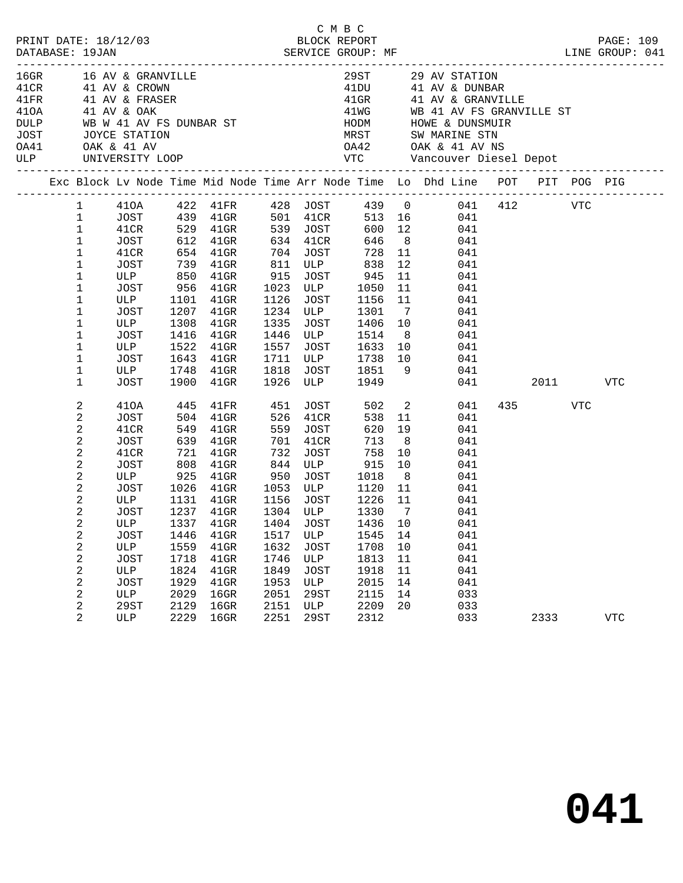| PRINT DATE: 18/12/03                                                   |                |             |      | 2/03 BLOCK REPORT SERVICE GROUP: MF                                                                                            |      |             | СМВС                                 |                |        |                                                                                |         |          | PAGE: 109   |  |
|------------------------------------------------------------------------|----------------|-------------|------|--------------------------------------------------------------------------------------------------------------------------------|------|-------------|--------------------------------------|----------------|--------|--------------------------------------------------------------------------------|---------|----------|-------------|--|
| DATABASE: 19JAN                                                        |                |             |      |                                                                                                                                |      |             |                                      |                |        | LINE GROUP: 041                                                                |         |          |             |  |
|                                                                        |                |             |      |                                                                                                                                |      |             |                                      |                |        | 29ST 29 AV STATION<br>41DU 41 AV & DUNBAR                                      |         |          |             |  |
|                                                                        |                |             |      |                                                                                                                                |      |             |                                      |                |        |                                                                                |         |          |             |  |
|                                                                        |                |             |      |                                                                                                                                |      |             |                                      |                |        | 41GR 41 AV & GRANVILLE                                                         |         |          |             |  |
| 410A 41 AV & OAK                                                       |                |             |      |                                                                                                                                |      |             |                                      |                |        | 41WG WB 41 AV FS GRANVILLE ST                                                  |         |          |             |  |
|                                                                        |                |             |      |                                                                                                                                |      |             |                                      |                |        |                                                                                |         |          |             |  |
| DULP WB W 41 AV FS DUNBAR ST<br>JOST JOYCE STATION<br>0A41 OAK & 41 AV |                |             |      |                                                                                                                                |      |             |                                      |                |        | 0A42 OAK & 41 AV NS                                                            |         |          |             |  |
| <b>ULP</b>                                                             |                |             |      |                                                                                                                                |      |             |                                      |                |        |                                                                                |         |          |             |  |
|                                                                        |                |             |      |                                                                                                                                |      |             |                                      |                |        |                                                                                |         |          |             |  |
|                                                                        |                |             |      |                                                                                                                                |      |             |                                      |                |        | Exc Block Lv Node Time Mid Node Time Arr Node Time Lo Dhd Line POT PIT POG PIG |         |          |             |  |
|                                                                        |                |             |      |                                                                                                                                |      |             |                                      |                |        | 1   410A   422   41FR   428   JOST   439   0   041   412   VTC                 |         |          |             |  |
|                                                                        | $\mathbf{1}$   |             |      |                                                                                                                                |      |             |                                      |                |        |                                                                                |         |          |             |  |
|                                                                        | $\mathbf{1}$   |             |      |                                                                                                                                |      |             |                                      |                |        |                                                                                |         |          |             |  |
|                                                                        | $\mathbf{1}$   |             |      |                                                                                                                                |      |             |                                      |                |        |                                                                                |         |          |             |  |
|                                                                        | $\mathbf 1$    | 41CR        |      | 654  41GR  704  JOST                                                                                                           |      |             |                                      |                | 728 11 | 041                                                                            |         |          |             |  |
|                                                                        | $\mathbf 1$    | JOST        |      | 739 41GR                                                                                                                       |      |             | 811 ULP 838                          | 12             |        | 041                                                                            |         |          |             |  |
|                                                                        | 1<br>1         |             |      | ULP 850 41GR 915 JOST 945<br>JOST 956 41GR 1023 ULP 1050                                                                       |      |             |                                      | 11<br>11       |        | 041<br>041                                                                     |         |          |             |  |
|                                                                        | 1              | ULP         |      | 1101 41GR                                                                                                                      | 1126 |             | JOST 1156                            | 11             |        | 041                                                                            |         |          |             |  |
|                                                                        | 1              | JOST        |      | 1207 41GR                                                                                                                      |      |             | 1234 ULP 1301                        | $\overline{7}$ |        | 041                                                                            |         |          |             |  |
|                                                                        | 1              | ULP         | 1308 | $41$ GR                                                                                                                        |      |             |                                      |                |        | 041                                                                            |         |          |             |  |
|                                                                        | $\mathbf 1$    | JOST        |      | 1416 41GR                                                                                                                      |      |             | 1335 JOST 1406 10<br>1446 ULP 1514 8 | 8 <sup>8</sup> |        | 041                                                                            |         |          |             |  |
|                                                                        | 1              | ULP         |      | 1522 41GR                                                                                                                      | 1557 |             | JOST 1633 10                         |                |        | 041                                                                            |         |          |             |  |
|                                                                        | 1              | JOST        |      | 1643 41GR                                                                                                                      |      |             | 1711 ULP 1738 10                     |                | 041    |                                                                                |         |          |             |  |
|                                                                        | 1              | ULP<br>JOST |      | 1748    41GR        1818    JOST        1851       9<br>1900     41GR         1926    ULP           1949                       |      |             |                                      |                |        | 041                                                                            |         |          |             |  |
|                                                                        | $\mathbf 1$    |             |      |                                                                                                                                |      |             |                                      |                |        | 041 04                                                                         |         | 2011 VTC |             |  |
|                                                                        | 2              | 410A        | 445  | $41\mathrm{FR}$                                                                                                                |      |             | 451 JOST 502 2                       |                |        | 041                                                                            | 435 VTC |          |             |  |
|                                                                        | 2              | JOST        |      | $504$ $41$ GR                                                                                                                  |      | 526 41CR    | 538                                  |                | 11     | 041                                                                            |         |          |             |  |
|                                                                        | 2              | 41CR        |      | 549 41GR                                                                                                                       |      | 559 JOST    | 620                                  | 19             |        | 041                                                                            |         |          |             |  |
|                                                                        | 2              | JOST        |      | 639 41GR                                                                                                                       | 701  | 41CR        | 713                                  | 8 <sup>8</sup> |        | 041                                                                            |         |          |             |  |
|                                                                        | 2              | 41CR        |      | 721 41GR                                                                                                                       | 732  |             | JOST<br>758                          | 10             |        | 041                                                                            |         |          |             |  |
|                                                                        | 2              |             |      | JOST 808 41GR<br>ULP 925 41GR<br>808 41GR 844 ULP 915 10 041<br>925 41GR 950 JOST 1018 8 041<br>1026 41GR 1053 ULP 1120 11 041 |      |             |                                      |                |        |                                                                                |         |          |             |  |
|                                                                        | 2<br>2         | JOST        |      |                                                                                                                                |      |             |                                      |                |        |                                                                                |         |          |             |  |
|                                                                        | 2              |             |      | ULP 1131 41GR 1156 JOST 1226 11                                                                                                |      |             |                                      |                | 041    |                                                                                |         |          |             |  |
|                                                                        | 2              | JOST        |      | 1237 41GR                                                                                                                      |      | 1304 ULP    |                                      | 1330 7         |        | 041                                                                            |         |          |             |  |
|                                                                        | 2              | ULP         |      | 1337 41GR 1404 JOST 1436 10                                                                                                    |      |             |                                      |                |        | 041                                                                            |         |          |             |  |
|                                                                        | 2              | JOST        | 1446 | 41GR                                                                                                                           | 1517 | ULP         | 1545                                 | 14             |        | 041                                                                            |         |          |             |  |
|                                                                        | 2              | ULP         | 1559 | $41$ GR                                                                                                                        | 1632 | JOST        | 1708                                 | 10             |        | 041                                                                            |         |          |             |  |
|                                                                        | 2              | <b>JOST</b> | 1718 | $41$ GR                                                                                                                        | 1746 | ULP         | 1813                                 | 11             |        | 041                                                                            |         |          |             |  |
|                                                                        | 2              | ULP         | 1824 | $41$ GR                                                                                                                        | 1849 | <b>JOST</b> | 1918                                 | 11             |        | 041                                                                            |         |          |             |  |
|                                                                        | 2              | <b>JOST</b> | 1929 | 41GR                                                                                                                           | 1953 | ULP         | 2015                                 | 14             |        | 041                                                                            |         |          |             |  |
|                                                                        | 2              | ULP         | 2029 | $16$ GR                                                                                                                        | 2051 | 29ST        | 2115                                 | 14             |        | 033                                                                            |         |          |             |  |
|                                                                        | 2              | 29ST        | 2129 | $16$ GR                                                                                                                        | 2151 | ULP         | 2209                                 | 20             |        | 033                                                                            |         |          |             |  |
|                                                                        | $\overline{2}$ | ULP         | 2229 | $16$ GR                                                                                                                        | 2251 | <b>29ST</b> | 2312                                 |                |        | 033                                                                            | 2333    |          | ${\tt VTC}$ |  |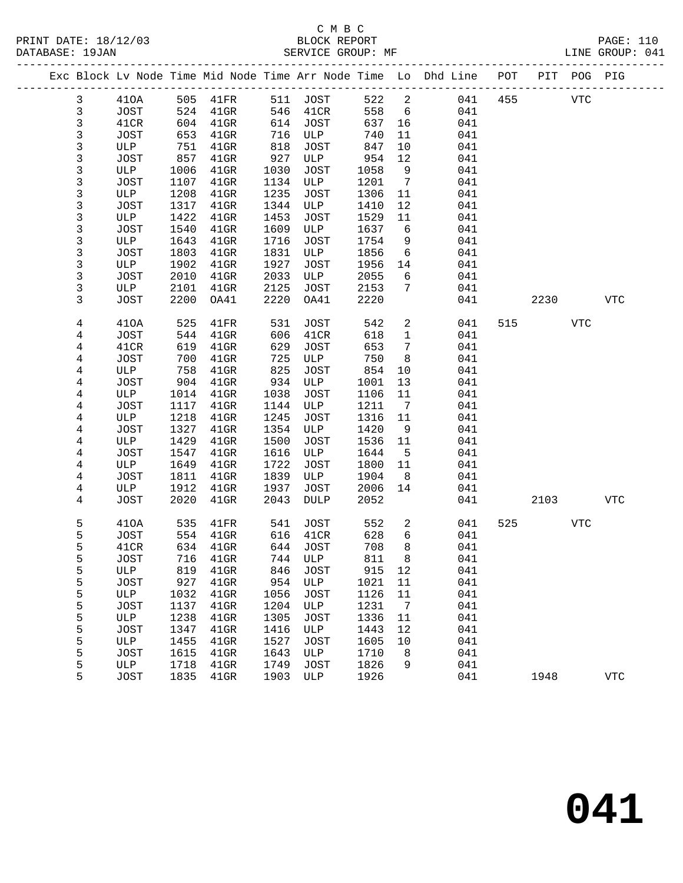|                |             |      |                 |      |             |       |                 | Exc Block Lv Node Time Mid Node Time Arr Node Time Lo Dhd Line POT |     |      | PIT POG PIG |             |
|----------------|-------------|------|-----------------|------|-------------|-------|-----------------|--------------------------------------------------------------------|-----|------|-------------|-------------|
| $\mathbf{3}$   | 410A        | 505  | $41\mathrm{FR}$ |      | 511 JOST    | 522   | $\overline{a}$  | 041                                                                | 455 |      | <b>VTC</b>  |             |
| $\mathfrak{Z}$ | JOST        | 524  | $41$ GR         | 546  | 41CR        | 558   | 6               | 041                                                                |     |      |             |             |
| $\mathsf{3}$   | 41CR        | 604  | $41$ GR         | 614  | JOST        | 637   | 16              | 041                                                                |     |      |             |             |
| 3              | JOST        | 653  | $41$ GR         | 716  | ULP         | 740   | 11              | 041                                                                |     |      |             |             |
| 3              | ULP         | 751  | $41$ GR         | 818  | JOST        | 847   | 10              | 041                                                                |     |      |             |             |
| 3              | JOST        | 857  | $41$ GR         | 927  | ULP         | 954   | 12              | 041                                                                |     |      |             |             |
| $\mathsf{3}$   | ULP         | 1006 | $41$ GR         | 1030 | JOST        | 1058  | 9               | 041                                                                |     |      |             |             |
| 3              | JOST        | 1107 | $41$ GR         | 1134 | ULP         | 1201  | $7\phantom{.0}$ | 041                                                                |     |      |             |             |
| 3              | ULP         | 1208 | $41$ GR         | 1235 | JOST        | 1306  | 11              | 041                                                                |     |      |             |             |
| 3              | JOST        | 1317 | $41$ GR         | 1344 | ULP         | 1410  | 12              | 041                                                                |     |      |             |             |
| 3              | ULP         | 1422 | $41$ GR         | 1453 | JOST        | 1529  | 11              | 041                                                                |     |      |             |             |
| 3              | JOST        | 1540 | $41$ GR         | 1609 | ULP         | 1637  | 6               | 041                                                                |     |      |             |             |
| 3              | ULP         | 1643 | $41$ GR         | 1716 | JOST        | 1754  | 9               | 041                                                                |     |      |             |             |
| 3              | JOST        | 1803 | $41$ GR         | 1831 | ULP         | 1856  | 6               | 041                                                                |     |      |             |             |
| $\mathsf{3}$   | ULP         | 1902 | $41$ GR         | 1927 | JOST        | 1956  | 14              | 041                                                                |     |      |             |             |
| 3              | JOST        | 2010 | $41$ GR         | 2033 | ULP         | 2055  | 6               | 041                                                                |     |      |             |             |
| 3              | ULP         | 2101 | $41$ GR         | 2125 | JOST        | 2153  | 7               | 041                                                                |     |      |             |             |
| 3              | JOST        | 2200 | OA41            | 2220 | OA41        | 2220  |                 | 041                                                                |     | 2230 |             | <b>VTC</b>  |
| 4              | 410A        | 525  | 41FR            | 531  | JOST        | 542   | $\overline{a}$  | 041                                                                | 515 |      | VTC         |             |
| 4              | JOST        | 544  | $41$ GR         | 606  | 41CR        | 618   | $\mathbf{1}$    | 041                                                                |     |      |             |             |
| 4              | 41CR        | 619  | $41$ GR         | 629  | JOST        | 653   | 7               | 041                                                                |     |      |             |             |
| 4              | JOST        | 700  | $41$ GR         | 725  | ULP         | 750   | 8               | 041                                                                |     |      |             |             |
| 4              | ULP         | 758  | $41$ GR         | 825  | JOST        | 854   | 10              | 041                                                                |     |      |             |             |
| 4              | JOST        | 904  | $41$ GR         | 934  | ULP         | 1001  | 13              | 041                                                                |     |      |             |             |
| 4              | ULP         | 1014 | $41$ GR         | 1038 | JOST        | 1106  | 11              | 041                                                                |     |      |             |             |
| 4              | JOST        | 1117 | $41$ GR         | 1144 | ULP         | 1211  | 7               | 041                                                                |     |      |             |             |
| 4              | ULP         | 1218 | $41$ GR         | 1245 | <b>JOST</b> | 1316  | 11              | 041                                                                |     |      |             |             |
| 4              | JOST        | 1327 | $41$ GR         | 1354 | ULP         | 1420  | 9               | 041                                                                |     |      |             |             |
| 4              | ULP         | 1429 | $41$ GR         | 1500 | JOST        | 1536  | 11              | 041                                                                |     |      |             |             |
| 4              | JOST        | 1547 | $41$ GR         | 1616 | ULP         | 1644  | 5               | 041                                                                |     |      |             |             |
| 4              | ULP         | 1649 | $41$ GR         | 1722 | JOST        | 1800  | 11              | 041                                                                |     |      |             |             |
| 4              | JOST        | 1811 | $41$ GR         | 1839 | ULP         | 1904  | 8               | 041                                                                |     |      |             |             |
| 4              | ULP         | 1912 | $41$ GR         | 1937 | JOST        | 2006  | 14              | 041                                                                |     |      |             |             |
| 4              | JOST        | 2020 | $41$ GR         | 2043 | DULP        | 2052  |                 | 041                                                                |     | 2103 |             | <b>VTC</b>  |
| 5              | 410A        | 535  | 41FR            | 541  | JOST        | 552   | $\overline{a}$  | 041                                                                | 525 |      | <b>VTC</b>  |             |
| 5              | JOST        |      | 554 41GR        | 616  | 41CR        | 628   | 6               | 041                                                                |     |      |             |             |
| 5              | 41CR        |      | 634 41GR        |      | 644 JOST    | 708   | 8               | 041                                                                |     |      |             |             |
| 5              | JOST        |      | 716 41GR        |      | 744 ULP     | 811 8 |                 | 041                                                                |     |      |             |             |
| 5              | ULP         | 819  | $41$ GR         | 846  | JOST        | 915   | 12              | 041                                                                |     |      |             |             |
| 5              | <b>JOST</b> | 927  | $41$ GR         | 954  | ULP         | 1021  | 11              | 041                                                                |     |      |             |             |
| 5              | ULP         | 1032 | $41$ GR         | 1056 | JOST        | 1126  | 11              | 041                                                                |     |      |             |             |
| 5              | <b>JOST</b> | 1137 | 41GR            | 1204 | ULP         | 1231  | 7               | 041                                                                |     |      |             |             |
| 5              | ULP         | 1238 | 41GR            | 1305 | <b>JOST</b> | 1336  | 11              | 041                                                                |     |      |             |             |
| 5              | <b>JOST</b> | 1347 | 41GR            | 1416 | ULP         | 1443  | 12              | 041                                                                |     |      |             |             |
| 5              | ULP         | 1455 | $41$ GR         | 1527 | <b>JOST</b> | 1605  | 10              | 041                                                                |     |      |             |             |
| 5              | <b>JOST</b> | 1615 | 41GR            | 1643 | ULP         | 1710  | 8               | 041                                                                |     |      |             |             |
| 5              | ULP         | 1718 | $41$ GR         | 1749 | <b>JOST</b> | 1826  | 9               | 041                                                                |     |      |             |             |
| 5              | <b>JOST</b> | 1835 | $41$ GR         | 1903 | ULP         | 1926  |                 | 041                                                                |     | 1948 |             | ${\tt VTC}$ |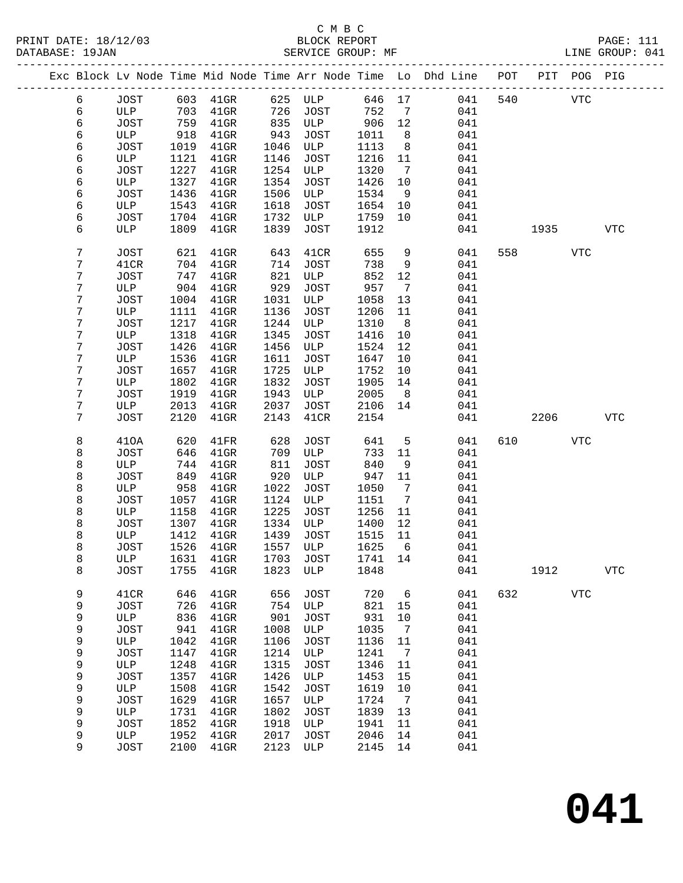## C M B C

| DATABASE: 19JAN |   |      |      | SERVICE GROUP: MF            |      |              |         |                              | LINE GROUP: 041                                                                |     |         |             |            |  |
|-----------------|---|------|------|------------------------------|------|--------------|---------|------------------------------|--------------------------------------------------------------------------------|-----|---------|-------------|------------|--|
|                 |   |      |      |                              |      |              |         |                              | Exc Block Lv Node Time Mid Node Time Arr Node Time Lo Dhd Line POT PIT POG PIG |     |         |             |            |  |
|                 | 6 |      |      | JOST 603 41GR 625 ULP 646 17 |      |              |         |                              | 041                                                                            |     | 540 VTC |             |            |  |
|                 | 6 | ULP  | 703  | $41$ GR                      |      | 726 JOST 752 |         | $\overline{7}$               | 041                                                                            |     |         |             |            |  |
|                 | 6 | JOST | 759  | $41$ GR                      |      | 835 ULP      | 906     | 12                           | 041                                                                            |     |         |             |            |  |
|                 | 6 | ULP  | 918  | $41$ GR                      | 943  | JOST         | 1011    | 8 <sup>8</sup>               | 041                                                                            |     |         |             |            |  |
|                 | 6 | JOST | 1019 | $41$ GR                      | 1046 | ULP          | 1113    | 8 <sup>8</sup>               | 041                                                                            |     |         |             |            |  |
|                 | 6 | ULP  | 1121 | $41$ GR                      | 1146 | JOST         | 1216    | 11                           | 041                                                                            |     |         |             |            |  |
|                 | 6 | JOST | 1227 | $41$ GR                      | 1254 | ULP          | 1320    | $\overline{7}$               | 041                                                                            |     |         |             |            |  |
|                 | 6 | ULP  | 1327 | $41$ GR                      | 1354 | JOST         | 1426    | 10                           | 041                                                                            |     |         |             |            |  |
|                 |   |      |      |                              |      |              |         |                              |                                                                                |     |         |             |            |  |
|                 | 6 | JOST | 1436 | $41$ GR                      | 1506 | ULP          | 1534    | 9                            | 041                                                                            |     |         |             |            |  |
|                 | 6 | ULP  | 1543 | $41$ GR                      | 1618 | JOST         | 1654    | 10                           | 041                                                                            |     |         |             |            |  |
|                 | 6 | JOST | 1704 | $41$ GR                      | 1732 | ULP          | 1759    | 10                           | 041                                                                            |     |         |             |            |  |
|                 | 6 | ULP  | 1809 | $41$ GR                      | 1839 | JOST         | 1912    |                              | 041                                                                            |     |         | 1935 — 1935 | <b>VTC</b> |  |
|                 | 7 | JOST | 621  | $41$ GR                      | 643  | 41CR         | 655     | 9                            | 041                                                                            |     | 558 7   | <b>VTC</b>  |            |  |
|                 | 7 | 41CR | 704  | 41GR                         | 714  | JOST         | 738     | 9                            | 041                                                                            |     |         |             |            |  |
|                 | 7 | JOST | 747  | $41$ GR                      | 821  | ULP          | 852     | 12                           | 041                                                                            |     |         |             |            |  |
|                 | 7 | ULP  | 904  | $41$ GR                      | 929  | JOST         | 957     | $\overline{7}$               | 041                                                                            |     |         |             |            |  |
|                 | 7 | JOST | 1004 | $41$ GR                      | 1031 | ULP          | 1058    | 13                           | 041                                                                            |     |         |             |            |  |
|                 | 7 | ULP  | 1111 | $41$ GR                      | 1136 | JOST         | 1206    | 11                           | 041                                                                            |     |         |             |            |  |
|                 | 7 | JOST | 1217 | $41$ GR                      | 1244 | ULP          | 1310    | 8 <sup>8</sup>               | 041                                                                            |     |         |             |            |  |
|                 | 7 | ULP  | 1318 | $41$ GR                      | 1345 | <b>JOST</b>  | 1416    | 10                           | 041                                                                            |     |         |             |            |  |
|                 | 7 | JOST | 1426 | $41$ GR                      | 1456 | ULP          | 1524    | 12                           | 041                                                                            |     |         |             |            |  |
|                 | 7 | ULP  | 1536 | $41$ GR                      | 1611 | JOST         | 1647    | 10                           | 041                                                                            |     |         |             |            |  |
|                 | 7 | JOST | 1657 | $41$ GR                      | 1725 | ULP          | 1752    | 10                           | 041                                                                            |     |         |             |            |  |
|                 | 7 | ULP  | 1802 | $41$ GR                      | 1832 | JOST         | 1905    | 14                           | 041                                                                            |     |         |             |            |  |
|                 | 7 | JOST | 1919 | $41$ GR                      | 1943 | ULP          | 2005    | 8 <sup>8</sup>               | 041                                                                            |     |         |             |            |  |
|                 | 7 | ULP  | 2013 | $41$ GR                      | 2037 | JOST         | 2106    | 14                           | 041                                                                            |     |         |             |            |  |
|                 | 7 | JOST | 2120 | $41$ GR                      | 2143 | 41CR         | 2154    |                              | 041                                                                            |     | 2206    |             | <b>VTC</b> |  |
|                 | 8 | 410A | 620  | 41FR                         | 628  | JOST         | 641     | 5                            | 041                                                                            | 610 |         | VTC         |            |  |
|                 | 8 | JOST | 646  | $41$ GR                      | 709  | ULP          | 733     | 11                           | 041                                                                            |     |         |             |            |  |
|                 | 8 | ULP  | 744  | $41$ GR                      | 811  | JOST         | 840     | 9                            | 041                                                                            |     |         |             |            |  |
|                 | 8 | JOST | 849  | $41$ GR                      | 920  | ULP          | 947     | 11                           | 041                                                                            |     |         |             |            |  |
|                 |   |      |      |                              |      |              |         |                              |                                                                                |     |         |             |            |  |
|                 | 8 | ULP  | 958  | 41GR                         | 1022 | JOST         | 1050    | $7\phantom{.0}\phantom{.0}7$ | 041                                                                            |     |         |             |            |  |
|                 | 8 | JOST | 1057 | $41$ GR                      | 1124 | ULP          | 1151    | $\overline{7}$               | 041                                                                            |     |         |             |            |  |
|                 | 8 | ULP  | 1158 | $41$ GR                      | 1225 | JOST         | 1256    | 11                           | 041                                                                            |     |         |             |            |  |
|                 | 8 | JOST | 1307 | $41$ GR                      |      | 1334 ULP     | 1400    | 12                           | 041                                                                            |     |         |             |            |  |
|                 | 8 | ULP  |      | 1412 41GR                    |      | 1439 JOST    | 1515    | 11                           | 041                                                                            |     |         |             |            |  |
|                 | 8 | JOST |      | 1526 41GR 1557 ULP 1625 6    |      |              |         |                              | 041                                                                            |     |         |             |            |  |
|                 | 8 | ULP  | 1631 | $41$ GR                      | 1703 | JOST         | 1741 14 |                              | 041                                                                            |     |         |             |            |  |
|                 | 8 | JOST | 1755 | $41$ GR                      | 1823 | ULP          | 1848    |                              | 041                                                                            |     | 1912    |             | <b>VTC</b> |  |
|                 | 9 | 41CR | 646  | $41$ GR                      | 656  | <b>JOST</b>  | 720     | 6                            | 041                                                                            |     | 632     | <b>VTC</b>  |            |  |
|                 | 9 | JOST | 726  | $41$ GR                      | 754  | ULP          | 821     | 15                           | 041                                                                            |     |         |             |            |  |
|                 | 9 | ULP  | 836  | $41$ GR                      | 901  | JOST         | 931     | 10                           | 041                                                                            |     |         |             |            |  |
|                 | 9 | JOST | 941  | $41$ GR                      | 1008 | ULP          | 1035    | $\overline{7}$               | 041                                                                            |     |         |             |            |  |
|                 | 9 | ULP  | 1042 | $41$ GR                      | 1106 | JOST         | 1136    | 11                           | 041                                                                            |     |         |             |            |  |
|                 | 9 | JOST | 1147 | $41$ GR                      | 1214 | ULP          | 1241    | $\overline{7}$               | 041                                                                            |     |         |             |            |  |
|                 | 9 | ULP  | 1248 | $41$ GR                      | 1315 | JOST         | 1346    | 11                           | 041                                                                            |     |         |             |            |  |
|                 | 9 | JOST | 1357 | $41$ GR                      | 1426 | ULP          | 1453    | 15                           | 041                                                                            |     |         |             |            |  |
|                 | 9 | ULP  | 1508 | $41$ GR                      | 1542 | <b>JOST</b>  | 1619    | 10                           | 041                                                                            |     |         |             |            |  |
|                 | 9 | JOST | 1629 | $41$ GR                      | 1657 | ULP          | 1724    | $\overline{7}$               | 041                                                                            |     |         |             |            |  |
|                 | 9 | ULP  | 1731 | $41$ GR                      | 1802 | JOST         | 1839    | 13                           | 041                                                                            |     |         |             |            |  |
|                 | 9 | JOST | 1852 | 41GR                         | 1918 | ULP          | 1941    | 11                           | 041                                                                            |     |         |             |            |  |
|                 | 9 | ULP  | 1952 | 41GR                         | 2017 | JOST         | 2046    | 14                           | 041                                                                            |     |         |             |            |  |
|                 | 9 | JOST |      | 2100 41GR                    | 2123 | ULP          | 2145 14 |                              | 041                                                                            |     |         |             |            |  |
|                 |   |      |      |                              |      |              |         |                              |                                                                                |     |         |             |            |  |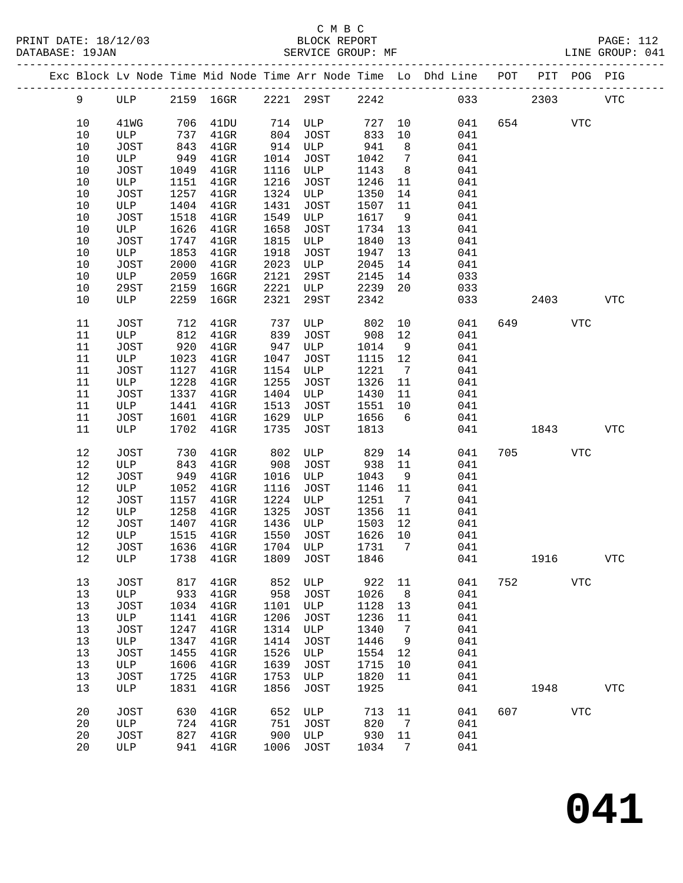|  |          |             |              |                                 |              |                      |              |                      | Exc Block Lv Node Time Mid Node Time Arr Node Time Lo Dhd Line POT PIT POG PIG |     |         |            |            |
|--|----------|-------------|--------------|---------------------------------|--------------|----------------------|--------------|----------------------|--------------------------------------------------------------------------------|-----|---------|------------|------------|
|  | 9        | ULP         |              | 2159 16GR 2221 29ST 2242        |              |                      |              |                      |                                                                                | 033 | 2303    |            | <b>VTC</b> |
|  | $10$     | 41WG        | 706          | 41DU                            |              | 714 ULP 727 10       |              |                      | 041                                                                            |     | 654     | <b>VTC</b> |            |
|  | 10       | ULP         | 737          | $41$ GR                         | 804          | JOST                 | 833          | 10                   | 041                                                                            |     |         |            |            |
|  | 10       | JOST        | 843          | $41$ GR                         |              | 914 ULP              | 941          | 8 <sup>8</sup>       | 041                                                                            |     |         |            |            |
|  | 10       | ULP         | 949          | $41$ GR                         | 1014         | JOST                 | 1042         | $\overline{7}$       | 041                                                                            |     |         |            |            |
|  | 10       | JOST        | 1049         | $41$ GR                         | 1116         | ULP                  | 1143         | 8 <sup>8</sup>       | 041                                                                            |     |         |            |            |
|  | 10       | ULP         | 1151         | $41$ GR                         | 1216         | JOST                 | 1246         | 11                   | 041                                                                            |     |         |            |            |
|  | 10       | JOST        | 1257         | $41$ GR                         |              | 1324 ULP             | 1350         | 14                   | 041                                                                            |     |         |            |            |
|  | 10       | ULP         | 1404         | $41$ GR                         | 1431         | JOST                 | 1507         | 11                   | 041                                                                            |     |         |            |            |
|  | 10       | JOST        | 1518         | $41$ GR                         | 1549         | ULP                  | 1617         | 9                    | 041                                                                            |     |         |            |            |
|  | 10       | ULP         | 1626         | $41$ GR                         | 1658         | JOST                 | 1734         | 13                   | 041                                                                            |     |         |            |            |
|  | 10       | JOST        | 1747         | $41$ GR                         | 1815         | ULP                  | 1840         | 13                   | 041                                                                            |     |         |            |            |
|  | 10       | ULP         | 1853         | $41$ GR                         | 1918         | JOST                 | 1947         | 13                   | 041                                                                            |     |         |            |            |
|  | 10       | JOST        | 2000         | $41$ GR                         | 2023         | ULP                  | 2045         | 14                   | 041                                                                            |     |         |            |            |
|  | 10       | ULP         | 2059         | $16$ GR                         | 2121         | 29ST                 | 2145         | 14                   | 033                                                                            |     |         |            |            |
|  | 10       | 29ST        | 2159         | $16$ GR                         | 2221         | $\mathcal{L}$<br>ULP | 2239         | 20                   | 033                                                                            |     |         |            |            |
|  | 10       | ULP         | 2259         | 16GR                            | 2321         | 29ST                 | 2342         |                      | 033                                                                            |     | 2403    |            | <b>VTC</b> |
|  | 11       | JOST        | 712          | $41$ GR                         | 737          | ULP                  | 802          | 10                   | 041                                                                            | 649 |         | <b>VTC</b> |            |
|  | 11       | ULP         | 812          | $41$ GR                         | 839          | JOST                 | 908          | 12                   | 041                                                                            |     |         |            |            |
|  | 11       | JOST        | 920          | $41$ GR                         | 947          | ULP                  | 1014         | 9                    | 041                                                                            |     |         |            |            |
|  | 11       | ULP         | 1023         | $41$ GR                         | 1047         | JOST                 | 1115 12      |                      | 041                                                                            |     |         |            |            |
|  | 11       | JOST        | 1127         | $41$ GR                         | 1154         | ULP                  | 1221         | $\overline{7}$       | 041                                                                            |     |         |            |            |
|  | 11       | ULP         | 1228         | $41$ GR                         | 1255         | JOST                 | 1326         | 11                   | 041                                                                            |     |         |            |            |
|  | 11       | JOST        | 1337         | $41$ GR                         | 1404         | ULP                  | 1430 11      |                      | 041                                                                            |     |         |            |            |
|  | 11       | ULP         | 1441         | $41$ GR                         | 1513         | JOST                 | 1551 10      |                      | 041                                                                            |     |         |            |            |
|  | 11       | JOST        | 1601         | $41$ GR                         | 1629         | ULP                  | 1656         | $6\overline{6}$      | 041                                                                            |     |         |            |            |
|  | 11       | ULP         | 1702         | $41$ GR                         | 1735         | JOST                 | 1813         |                      | 041                                                                            |     | 1843    |            | <b>VTC</b> |
|  |          |             |              |                                 |              |                      |              |                      |                                                                                |     |         |            |            |
|  | 12       | JOST        | 730          | $41$ GR                         | 802          | ULP                  | 829          | 14                   | 041                                                                            | 705 |         | <b>VTC</b> |            |
|  | 12       | ULP         | 843          | $41$ GR                         | 908          | JOST                 | 938          | 11                   | 041                                                                            |     |         |            |            |
|  | 12       | JOST        | 949          | $41$ GR                         | 1016         | ULP                  | 1043         | 9                    | 041                                                                            |     |         |            |            |
|  | 12<br>12 | ULP<br>JOST | 1052<br>1157 | $41$ GR<br>$41$ GR              | 1116<br>1224 | JOST<br>ULP          | 1146<br>1251 | 11<br>$\overline{7}$ | 041<br>041                                                                     |     |         |            |            |
|  | 12       | ULP         | 1258         | $41$ GR                         | 1325         | JOST                 | 1356         | 11                   | 041                                                                            |     |         |            |            |
|  | 12       | JOST        | 1407         | $41$ GR                         | 1436         | ULP                  | 1503         | 12                   | 041                                                                            |     |         |            |            |
|  | 12       | ULP         | 1515         | $41$ GR                         | 1550         | JOST                 | 1626         | 10                   | 041                                                                            |     |         |            |            |
|  | 12       | JOST        |              | 1636 41GR                       |              | 1704 ULP             | 1731         | $\overline{7}$       | 041                                                                            |     |         |            |            |
|  |          |             |              | 12 ULP 1738 41GR 1809 JOST 1846 |              |                      |              |                      | 041                                                                            |     | 1916    |            | <b>VTC</b> |
|  |          |             |              |                                 |              |                      |              |                      |                                                                                |     |         |            |            |
|  | 13       | <b>JOST</b> | 817          | $41$ GR                         | 852          | ULP                  | 922          | 11                   | 041                                                                            | 752 |         | VTC        |            |
|  | 13       | ULP         | 933          | $41$ GR                         | 958          | <b>JOST</b>          | 1026         | 8                    | 041                                                                            |     |         |            |            |
|  | 13       | JOST        | 1034         | $41$ GR                         | 1101         | ULP                  | 1128         | 13                   | 041                                                                            |     |         |            |            |
|  | 13       | ULP         | 1141         | $41$ GR                         | 1206         | <b>JOST</b>          | 1236         | 11                   | 041                                                                            |     |         |            |            |
|  | 13       | JOST        | 1247         | 41GR                            | 1314         | ULP                  | 1340         | 7                    | 041                                                                            |     |         |            |            |
|  | 13       | ULP         | 1347         | $41$ GR                         | 1414         | <b>JOST</b>          | 1446         | 9                    | 041                                                                            |     |         |            |            |
|  | 13       | JOST        | 1455         | $41$ GR                         | 1526         | ULP                  | 1554         | 12                   | 041                                                                            |     |         |            |            |
|  | 13       | ULP         | 1606         | $41$ GR                         | 1639         | JOST                 | 1715         | 10                   | 041                                                                            |     |         |            |            |
|  | 13       | JOST        | 1725         | $41$ GR                         | 1753         | ULP                  | 1820         | 11                   | 041                                                                            |     |         |            |            |
|  | 13       | ULP         | 1831         | $41$ GR                         | 1856         | JOST                 | 1925         |                      | 041                                                                            |     | 1948    |            | <b>VTC</b> |
|  | 20       | <b>JOST</b> | 630          | $41$ GR                         | 652          | ULP                  | 713          | 11                   | 041                                                                            |     | 607 000 | <b>VTC</b> |            |
|  | 20       | ULP         | 724          | $41$ GR                         | 751          | <b>JOST</b>          | 820          | 7                    | 041                                                                            |     |         |            |            |
|  | 20       | JOST        | 827          | $41$ GR                         | 900          | ULP                  | 930          | 11                   | 041                                                                            |     |         |            |            |
|  | 20       | ULP         | 941          | $41$ GR                         | 1006         | JOST                 | 1034         | 7                    | 041                                                                            |     |         |            |            |
|  |          |             |              |                                 |              |                      |              |                      |                                                                                |     |         |            |            |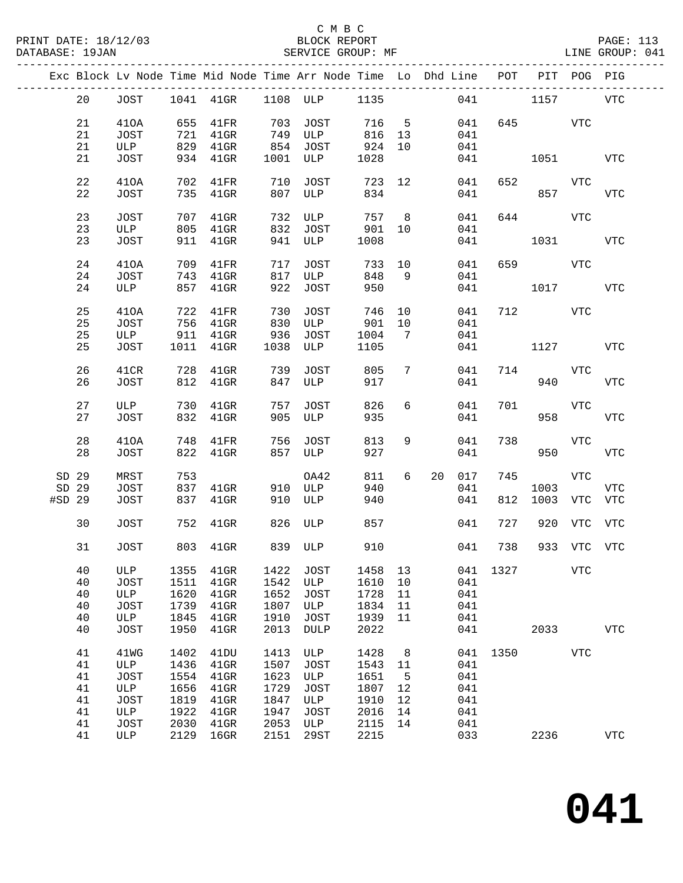|        |    |             |      |                 |         | Exc Block Lv Node Time Mid Node Time Arr Node Time Lo Dhd Line POT |        |    |    |     |      |             | PIT POG PIG |             |
|--------|----|-------------|------|-----------------|---------|--------------------------------------------------------------------|--------|----|----|-----|------|-------------|-------------|-------------|
|        | 20 | JOST        |      |                 |         | 1041  41GR  1108  ULP                                              | 1135   |    |    | 041 |      | 1157        |             | VTC         |
|        |    |             |      |                 |         |                                                                    | 716 5  |    |    |     |      |             |             |             |
|        | 21 | 410A        | 655  | $41\mathrm{FR}$ | 703     | JOST                                                               |        |    |    | 041 |      | 645         | VTC         |             |
|        | 21 | JOST        | 721  | $41$ GR         | 749     | ULP                                                                | 816 13 |    |    | 041 |      |             |             |             |
|        | 21 | ULP         | 829  | $41$ GR         | 854     | JOST                                                               | 924    | 10 |    | 041 |      |             |             |             |
|        | 21 | JOST        | 934  | $41$ GR         | 1001    | ULP                                                                | 1028   |    |    | 041 |      | 1051        |             | <b>VTC</b>  |
|        | 22 | 410A        | 702  | 41FR            | 710     | JOST                                                               | 723 12 |    |    | 041 | 652  |             | <b>VTC</b>  |             |
|        | 22 | JOST        | 735  | $41$ GR         | 807     | ULP                                                                | 834    |    |    | 041 |      | 857         |             | <b>VTC</b>  |
|        | 23 | JOST        | 707  | $41$ GR         | 732     | ULP                                                                | 757 8  |    |    | 041 | 644  | <b>VTC</b>  |             |             |
|        | 23 | ULP         | 805  | $41$ GR         | 832     | JOST                                                               | 901 10 |    |    | 041 |      |             |             |             |
|        | 23 | JOST        | 911  | $41$ GR         | 941     | ULP                                                                | 1008   |    |    | 041 |      | 1031        |             | <b>VTC</b>  |
|        |    |             |      |                 |         |                                                                    |        |    |    |     |      |             |             |             |
|        | 24 | 410A        | 709  | $41\mathrm{FR}$ | 717     | JOST                                                               | 733    | 10 |    | 041 |      | 659 — 10    | VTC         |             |
|        | 24 | JOST        | 743  | $41$ GR         | 817     | ULP                                                                | 848    | 9  |    | 041 |      |             |             |             |
|        | 24 | ULP         | 857  | $41$ GR         | 922     | JOST                                                               | 950    |    |    | 041 |      | 1017        |             | VTC         |
|        |    |             |      |                 |         |                                                                    |        |    |    |     |      |             |             |             |
|        | 25 | 410A        | 722  | $41\mathrm{FR}$ | 730     | JOST                                                               | 746    | 10 |    | 041 | 712  |             | VTC         |             |
|        | 25 | JOST        | 756  | $41$ GR         | 830     | ULP                                                                | 901    | 10 |    | 041 |      |             |             |             |
|        | 25 | ULP         | 911  | $41$ GR         | 936     | JOST                                                               | 1004   | 7  |    | 041 |      |             |             |             |
|        | 25 | JOST        | 1011 | $41$ GR         | 1038    | ULP                                                                | 1105   |    |    | 041 |      | 1127        |             | VTC         |
|        |    |             |      |                 |         |                                                                    |        |    |    |     |      |             |             |             |
|        | 26 | 41CR        | 728  | $41$ GR         | 739     | JOST                                                               | 805    | 7  |    | 041 | 714  |             | VTC         |             |
|        | 26 | JOST        | 812  | $41$ GR         | 847     | ULP                                                                | 917    |    |    | 041 |      | 940         |             | <b>VTC</b>  |
|        |    |             |      |                 |         |                                                                    |        |    |    |     |      |             |             |             |
|        | 27 | ULP         | 730  | $41$ GR         | 757     | JOST                                                               | 826    | 6  |    | 041 | 701  |             | <b>VTC</b>  |             |
|        | 27 | JOST        | 832  | $41$ GR         | 905     | ULP                                                                | 935    |    |    | 041 |      | 958         |             | <b>VTC</b>  |
|        |    |             |      |                 |         |                                                                    |        |    |    |     |      |             |             |             |
|        | 28 | 410A        | 748  | 41FR            | 756     | JOST                                                               | 813    | 9  |    | 041 | 738  |             | <b>VTC</b>  |             |
|        | 28 | JOST        | 822  | $41$ GR         |         | 857 ULP                                                            | 927    |    |    | 041 |      | 950         |             | <b>VTC</b>  |
|        |    |             |      |                 |         |                                                                    |        |    |    |     |      |             |             |             |
| SD 29  |    | MRST        | 753  |                 |         | OA42                                                               | 811    | 6  | 20 | 017 | 745  |             | <b>VTC</b>  |             |
| SD 29  |    | JOST        | 837  | 41GR            | 910     | ULP                                                                | 940    |    |    | 041 |      | 1003        |             | <b>VTC</b>  |
| #SD 29 |    | JOST        | 837  | $41$ GR         | 910     | ULP                                                                | 940    |    |    | 041 | 812  | 1003        | VTC         | VTC         |
|        |    |             |      |                 |         |                                                                    |        |    |    |     |      |             |             |             |
|        | 30 | JOST        |      | 752 41GR        | 826     | ULP                                                                | 857    |    |    | 041 | 727  |             | 920 VTC VTC |             |
|        | 31 | <b>JOST</b> |      | 803 41GR        | 839 ULP |                                                                    | 910    |    |    | 041 | 738  | 933 VTC VTC |             |             |
|        |    |             |      |                 |         |                                                                    |        |    |    |     |      |             |             |             |
|        | 40 | ULP         | 1355 | $41$ GR         | 1422    | JOST                                                               | 1458   | 13 |    | 041 | 1327 |             | <b>VTC</b>  |             |
|        | 40 | JOST        | 1511 | $41$ GR         | 1542    | ULP                                                                | 1610   | 10 |    | 041 |      |             |             |             |
|        | 40 | ULP         | 1620 | $41$ GR         | 1652    | <b>JOST</b>                                                        | 1728   | 11 |    | 041 |      |             |             |             |
|        | 40 | JOST        | 1739 | $41$ GR         | 1807    | ULP                                                                | 1834   | 11 |    | 041 |      |             |             |             |
|        |    |             |      |                 | 1910    |                                                                    |        |    |    | 041 |      |             |             |             |
|        | 40 | ULP         | 1845 | $41$ GR         |         | <b>JOST</b>                                                        | 1939   | 11 |    |     |      |             |             |             |
|        | 40 | JOST        | 1950 | $41$ GR         | 2013    | DULP                                                               | 2022   |    |    | 041 |      | 2033        |             | ${\tt VTC}$ |
|        | 41 | 41WG        | 1402 | 41DU            | 1413    | ULP                                                                | 1428   | 8  |    | 041 | 1350 |             | VTC         |             |
|        | 41 | ULP         | 1436 | $41$ GR         | 1507    | <b>JOST</b>                                                        | 1543   | 11 |    | 041 |      |             |             |             |
|        | 41 | JOST        | 1554 | $41$ GR         | 1623    | ULP                                                                | 1651   | 5  |    | 041 |      |             |             |             |
|        | 41 | ULP         | 1656 | $41$ GR         | 1729    | JOST                                                               | 1807   | 12 |    | 041 |      |             |             |             |
|        |    |             |      |                 |         |                                                                    |        |    |    |     |      |             |             |             |
|        | 41 | JOST        | 1819 | 41GR            | 1847    | ULP                                                                | 1910   | 12 |    | 041 |      |             |             |             |
|        | 41 | ULP         | 1922 | $41$ GR         | 1947    | <b>JOST</b>                                                        | 2016   | 14 |    | 041 |      |             |             |             |
|        | 41 | JOST        | 2030 | $41$ GR         | 2053    | ULP                                                                | 2115   | 14 |    | 041 |      |             |             |             |
|        | 41 | ULP         | 2129 | 16GR            | 2151    | 29ST                                                               | 2215   |    |    | 033 |      | 2236        |             | ${\tt VTC}$ |
|        |    |             |      |                 |         |                                                                    |        |    |    |     |      |             |             |             |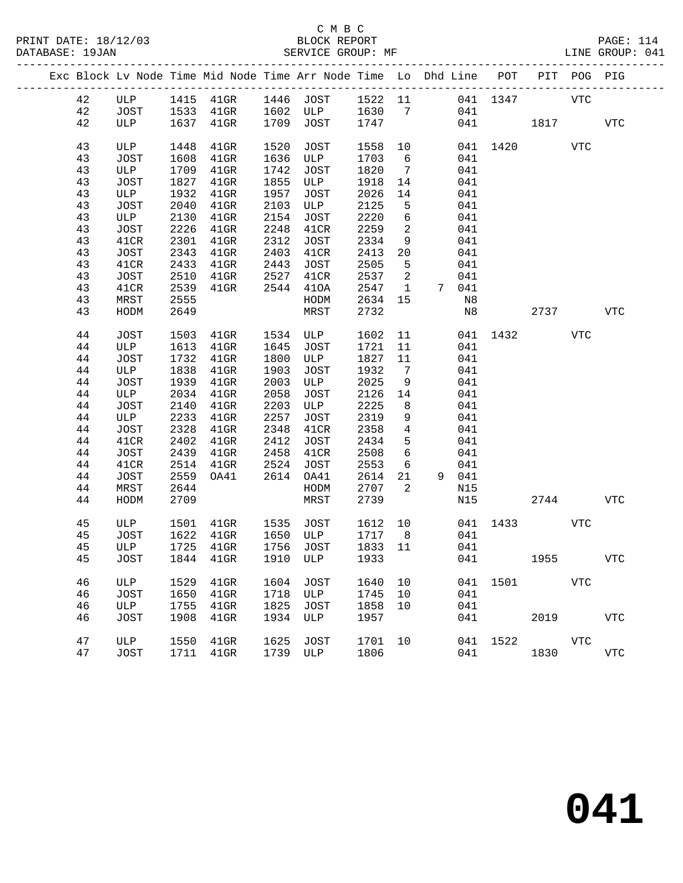#### C M B C<br>BLOCK REPORT SERVICE GROUP: MF

|  |    |             |      | Exc Block Lv Node Time Mid Node Time Arr Node Time Lo Dhd Line POT |          |                 |         |                          |       |          |      | PIT POG PIG |              |
|--|----|-------------|------|--------------------------------------------------------------------|----------|-----------------|---------|--------------------------|-------|----------|------|-------------|--------------|
|  | 42 | ULP         |      | 1415 41GR 1446 JOST 1522 11 041 1347                               |          |                 |         |                          |       |          |      | <b>VTC</b>  |              |
|  | 42 | JOST        |      | 1533 41GR                                                          |          | 1602 ULP 1630 7 |         |                          | 041   |          |      |             |              |
|  | 42 | ULP         |      | 1637 41GR                                                          |          | 1709 JOST       | 1747    |                          |       | 041 1817 |      |             | <b>VTC</b>   |
|  |    |             |      |                                                                    |          |                 |         |                          |       |          |      |             |              |
|  | 43 | ULP         | 1448 | $41$ GR                                                            | 1520     | JOST            | 1558    | 10                       |       | 041 1420 |      | VTC         |              |
|  | 43 | <b>JOST</b> | 1608 | $41$ GR                                                            | 1636     | ULP             | 1703    | 6                        | 041   |          |      |             |              |
|  | 43 | ULP         | 1709 | $41$ GR                                                            | 1742     | JOST            | 1820    | $\overline{7}$           | 041   |          |      |             |              |
|  | 43 | JOST        | 1827 | $41$ GR                                                            | 1855     | ULP             | 1918    | 14                       | 041   |          |      |             |              |
|  | 43 | ULP         | 1932 | $41$ GR                                                            | 1957     | JOST            | 2026    | 14                       | 041   |          |      |             |              |
|  | 43 | <b>JOST</b> | 2040 | $41$ GR                                                            | 2103     | ULP             | 2125    | 5                        | 041   |          |      |             |              |
|  | 43 | ULP         | 2130 | $41$ GR                                                            | 2154     | JOST            | 2220    | 6                        | 041   |          |      |             |              |
|  | 43 | JOST        | 2226 | $41$ GR                                                            | 2248     | 41CR            | 2259    | $\overline{a}$           | 041   |          |      |             |              |
|  | 43 | 41CR        | 2301 | $41$ GR                                                            | 2312     | JOST            | 2334    | 9                        | 041   |          |      |             |              |
|  | 43 | <b>JOST</b> | 2343 | $41$ GR                                                            | 2403     | 41CR            | 2413    | 20                       | 041   |          |      |             |              |
|  | 43 | 41CR        | 2433 | $41$ GR                                                            | 2443     | JOST            | 2505    | $5^{\circ}$              | 041   |          |      |             |              |
|  | 43 | JOST        | 2510 | $41$ GR                                                            | 2527     | 41CR            | 2537    | $\overline{\phantom{a}}$ | 041   |          |      |             |              |
|  | 43 | 41CR        | 2539 | $41$ GR                                                            | 2544     | 410A            | 2547    | $\mathbf{1}$             | 7 041 |          |      |             |              |
|  | 43 | MRST        | 2555 |                                                                    |          | HODM            | 2634    | 15                       | N8    |          |      |             |              |
|  | 43 | HODM        | 2649 |                                                                    |          | MRST            | 2732    |                          | N8    |          | 2737 |             | VTC          |
|  |    |             |      |                                                                    |          |                 |         |                          |       |          |      |             |              |
|  | 44 | <b>JOST</b> | 1503 | $41$ GR                                                            |          | 1534 ULP        | 1602    | 11                       |       | 041 1432 |      | VTC         |              |
|  | 44 | ULP         | 1613 | $41$ GR                                                            | 1645     | JOST            | 1721    | 11                       | 041   |          |      |             |              |
|  | 44 | JOST        | 1732 | $41$ GR                                                            | 1800     | ULP             | 1827    | 11                       | 041   |          |      |             |              |
|  | 44 | ULP         | 1838 | 41GR                                                               | 1903     | JOST            | 1932    | $\overline{7}$           | 041   |          |      |             |              |
|  | 44 | JOST        | 1939 | $41$ GR                                                            | 2003     | ULP             | 2025    | $\overline{9}$           | 041   |          |      |             |              |
|  | 44 | ULP         | 2034 | 41GR                                                               | 2058     | JOST            | 2126    | 14                       | 041   |          |      |             |              |
|  | 44 | JOST        | 2140 | $41$ GR                                                            | 2203     | ULP             | 2225    | 8                        | 041   |          |      |             |              |
|  | 44 | ULP         | 2233 | $41$ GR                                                            | 2257     | JOST            | 2319    | 9                        | 041   |          |      |             |              |
|  | 44 | <b>JOST</b> | 2328 | $41$ GR                                                            | 2348     | 41CR            | 2358    | $\overline{4}$           | 041   |          |      |             |              |
|  | 44 | 41CR        | 2402 | $41$ GR                                                            | 2412     | JOST            | 2434    | 5                        | 041   |          |      |             |              |
|  | 44 | <b>JOST</b> | 2439 | $41$ GR                                                            | 2458     | 41CR            | 2508    | 6                        | 041   |          |      |             |              |
|  | 44 | 41CR        | 2514 | $41$ GR                                                            | 2524     | JOST            | 2553    | 6                        | 041   |          |      |             |              |
|  | 44 | <b>JOST</b> | 2559 | OA41                                                               | 2614     | OA41            | 2614    | 21                       | 9 041 |          |      |             |              |
|  | 44 | MRST        | 2644 |                                                                    |          | HODM            | 2707    | 2                        | N15   |          |      |             |              |
|  | 44 | HODM        | 2709 |                                                                    |          | MRST            | 2739    |                          | N15   |          | 2744 |             | <b>VTC</b>   |
|  |    |             |      |                                                                    |          |                 |         |                          |       |          |      |             |              |
|  | 45 | ULP         | 1501 | 41GR 1535                                                          |          | JOST            | 1612 10 |                          |       | 041 1433 |      | VTC         |              |
|  | 45 | JOST        | 1622 | $41$ GR                                                            |          | 1650 ULP        | 1717    | 8 <sup>8</sup>           | 041   |          |      |             |              |
|  | 45 | ULP         | 1725 | $41$ GR                                                            |          | 1756 JOST       | 1833 11 |                          | 041   |          |      |             |              |
|  | 45 | JOST        |      | 1844 41GR 1910 ULP 1933                                            |          |                 |         |                          | 041   |          | 1955 |             | $_{\rm VTC}$ |
|  | 46 | ULP         | 1529 | $41$ GR                                                            | 1604     | <b>JOST</b>     | 1640    | 10                       | 041   | 1501     |      | VTC         |              |
|  | 46 | <b>JOST</b> | 1650 | $41$ GR                                                            | 1718     | ULP             | 1745    | 10                       | 041   |          |      |             |              |
|  | 46 | ULP         | 1755 | $41$ GR                                                            | 1825     | JOST            | 1858    | 10                       | 041   |          |      |             |              |
|  | 46 | <b>JOST</b> | 1908 | $41$ GR                                                            | 1934     | ULP             | 1957    |                          | 041   |          | 2019 |             | <b>VTC</b>   |
|  |    |             |      |                                                                    |          |                 |         |                          |       |          |      |             |              |
|  | 47 | ULP         | 1550 | $41$ GR                                                            | 1625     | JOST            | 1701    | 10                       | 041   | 1522     |      | VTC         |              |
|  | 47 | JOST        |      | 1711 41GR                                                          | 1739 ULP |                 | 1806    |                          | 041   |          | 1830 |             | <b>VTC</b>   |
|  |    |             |      |                                                                    |          |                 |         |                          |       |          |      |             |              |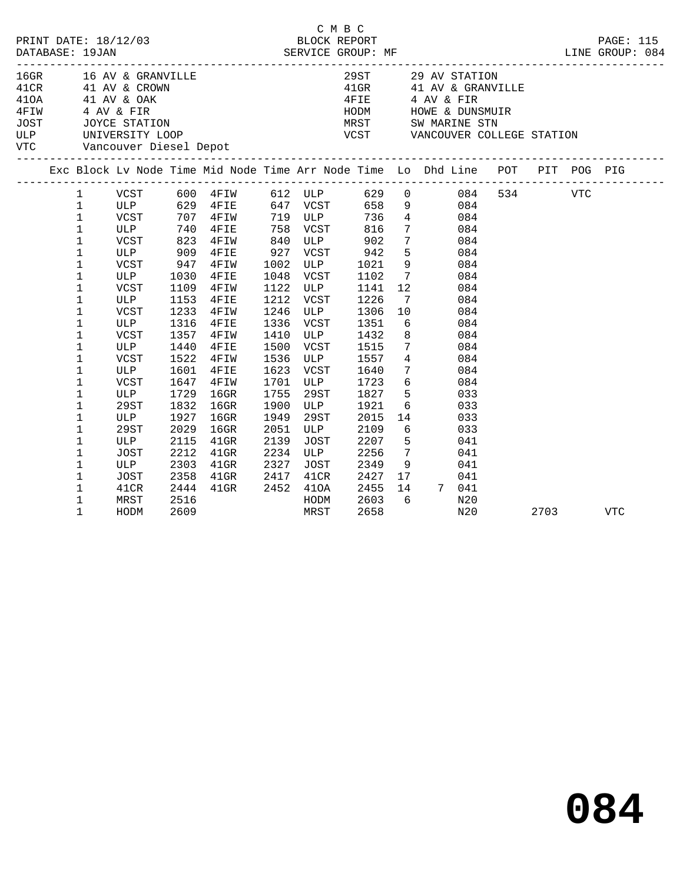|  |                                                                                                                                                                        |                                                                                                                                            |                                                                                                                    |                                                                                                                                                                                                         |                                                                                                      |                                                                                            | C M B C                                                                                                                                                                                                                 |                                                                        |                                                                                                                                                                                                                                                               |                                                                                                                                                                                                                                          |      |     |
|--|------------------------------------------------------------------------------------------------------------------------------------------------------------------------|--------------------------------------------------------------------------------------------------------------------------------------------|--------------------------------------------------------------------------------------------------------------------|---------------------------------------------------------------------------------------------------------------------------------------------------------------------------------------------------------|------------------------------------------------------------------------------------------------------|--------------------------------------------------------------------------------------------|-------------------------------------------------------------------------------------------------------------------------------------------------------------------------------------------------------------------------|------------------------------------------------------------------------|---------------------------------------------------------------------------------------------------------------------------------------------------------------------------------------------------------------------------------------------------------------|------------------------------------------------------------------------------------------------------------------------------------------------------------------------------------------------------------------------------------------|------|-----|
|  |                                                                                                                                                                        |                                                                                                                                            |                                                                                                                    |                                                                                                                                                                                                         |                                                                                                      |                                                                                            |                                                                                                                                                                                                                         |                                                                        |                                                                                                                                                                                                                                                               | 16GR 16 AV & GRANVILLE 29ST 29 AV STATION<br>41 AV & CRANVILLE 29ST 29 AV STATION<br>41 AV & CRANVILLE 41OA 41 AV & GRANVILLE 41OA 41 AV & CARNA 4FIE 4 AV & FIR<br>4 FIE 4 AV & FIR<br>4 AV & FIR HODM HOWE & DUNSMUIR<br>JOST JOYCE ST |      |     |
|  |                                                                                                                                                                        |                                                                                                                                            |                                                                                                                    |                                                                                                                                                                                                         |                                                                                                      |                                                                                            |                                                                                                                                                                                                                         |                                                                        |                                                                                                                                                                                                                                                               | Exc Block Lv Node Time Mid Node Time Arr Node Time Lo Dhd Line POT PIT POG PIG                                                                                                                                                           |      |     |
|  | $\mathbf 1$<br>$\mathbf 1$<br>$\mathbf 1$<br>$\mathbf 1$<br>1<br>1<br>1<br>$\mathbf 1$<br>$\mathbf 1$<br>1<br>$\mathbf 1$<br>1<br>1<br>1<br>1<br>1<br>1<br>$\mathbf 1$ | ULP<br>VCST<br>ULP<br>VCST<br>ULP<br>VCST<br>ULP<br>VCST<br>VCST<br>ULP<br><b>VCST</b><br>ULP<br>VCST<br>ULP<br>VCST<br>ULP<br>29ST<br>ULP | 740<br>947<br>1030<br>1109<br>1153<br>1233<br>1316<br>1357<br>1440<br>1522<br>1601<br>1647<br>1729<br>1832<br>1927 | VCST 707 4FIW 719 ULP 736 4 084<br>$4$ FIE<br>823 4FIW<br>909 4FIE<br>4FIW<br>$4$ FIE<br>4FIW<br>$4$ FIE<br>4FIW<br>$4$ FIE<br>$4$ FIW<br>4FIE<br>4FIW<br>4FIE<br>4FIW<br>$16$ GR<br>$16$ GR<br>$16$ GR | 1048<br>1122<br>1212<br>1246<br>1336<br>1410<br>1500<br>1536<br>1623<br>1701<br>1755<br>1900<br>1949 | 758 VCST<br>VCST<br>ULP<br>VCST<br><b>ULP</b><br>VCST<br><b>ULP</b><br>29ST<br>ULP<br>29ST | 816<br>840 ULP 902<br>927 VCST 942<br>1002 ULP 1021<br>1102<br>$VCS_1$<br>ULP $114.1$<br>$VCS_1$<br>$1226$<br>$1226$<br>$1206$<br>1306<br>1351<br>1432<br>VCST 1515<br>ULP 1557<br>1640<br>1723<br>1827<br>1921<br>2015 | $7\overline{ }$<br>12<br>$7\overline{ }$<br>10<br>8<br>$4\overline{4}$ | 7 084<br>$\begin{array}{ccc} 7 & \hspace{1.5cm} & 084 \\ 5 & \hspace{1.5cm} & 084 \end{array}$<br>9 084<br>6 <sup>6</sup><br>$7\overline{)}$<br>084<br>084<br>7 084<br>$6\overline{6}$<br>5 033<br>$\begin{array}{ccc} & 6 & & 033 \\ 14 & & 033 \end{array}$ | $\begin{tabular}{lcccccc} 1 & VCST & 600 & 4FIW & 612 & ULP & 629 & 0 & 084 & 534 & VTC \\ 1 & ULP & 629 & 4FIE & 647 & VCST & 658 & 9 & 084 & \end{tabular}$<br>084<br>084<br>084<br>084<br>084<br>084<br>084                           |      |     |
|  | 1<br>1<br>1<br>1<br>1<br>1<br>1<br>1                                                                                                                                   | 29ST<br>ULP<br>JOST<br>ULP<br>JOST<br>41CR<br>MRST<br>HODM                                                                                 | 2029<br>2115<br>2212<br>2303<br>2358<br>2444<br>2516<br>2609                                                       | $16$ GR<br>$41$ GR<br>$41$ GR<br>$41$ GR<br>$41$ GR<br>$41$ GR                                                                                                                                          | 2051<br>2139<br>2234<br>2327<br>2417                                                                 | ULP<br>JOST<br>ULP<br>JOST<br>41CR<br>2452 410A<br>HODM<br>MRST                            | 2109<br>2207<br>2256<br>2349<br>2427<br>2455<br>2603<br>2658                                                                                                                                                            | $6\overline{6}$<br>$5^{\circ}$<br>$6\overline{6}$                      | 7 041<br>9 041<br>$\overline{17}$<br>14 7 041                                                                                                                                                                                                                 | 033<br>041<br>041<br>N20<br>N20                                                                                                                                                                                                          | 2703 | VTC |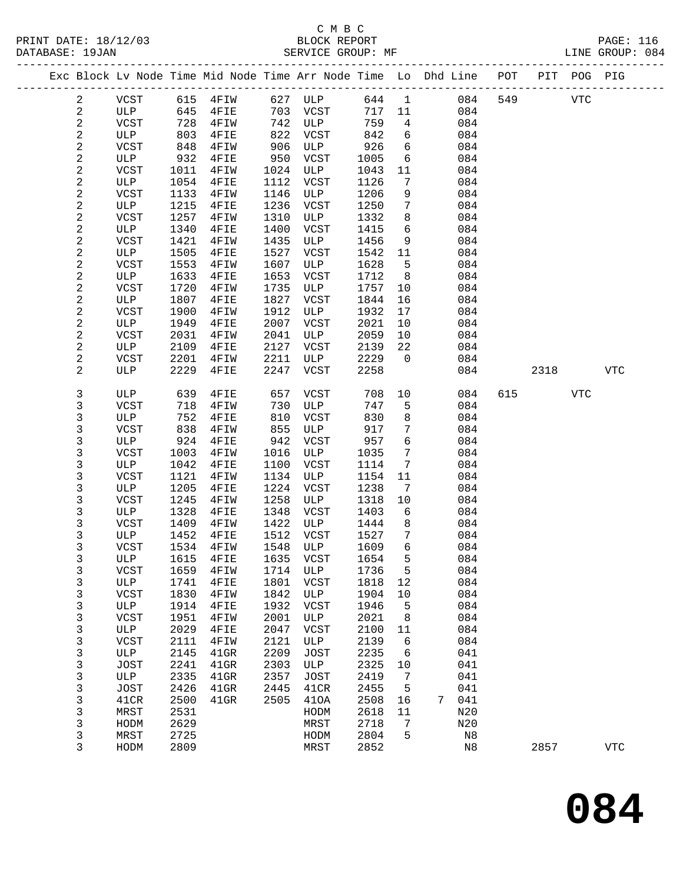PRINT DATE: 18/12/03 BLOCK REPORT PAGE: 116 DATABASE: 19.14

## C M B C

| DATABASE: 19JAN         |             |      |          |      | SERVICE GROUP: MF |        |                 |                                                                                                                         |     |         |     | LINE GROUP: 084 |
|-------------------------|-------------|------|----------|------|-------------------|--------|-----------------|-------------------------------------------------------------------------------------------------------------------------|-----|---------|-----|-----------------|
|                         |             |      |          |      |                   |        |                 | -------------------------------------<br>Exc Block Lv Node Time Mid Node Time Arr Node Time Lo Dhd Line POT PIT POG PIG |     |         |     |                 |
| 2                       | VCST        |      | 615 4FIW |      | 627 ULP           | 644 1  |                 | 084                                                                                                                     |     | 549 VTC |     |                 |
| $\overline{a}$          | ULP         | 645  | 4FIE     |      | 703 VCST          | 717 11 |                 | 084                                                                                                                     |     |         |     |                 |
| $\sqrt{2}$              | VCST        | 728  | 4FIW     |      | 742 ULP           | 759    | $\overline{4}$  | 084                                                                                                                     |     |         |     |                 |
| $\sqrt{2}$              | ULP         | 803  | 4FIE     | 822  | VCST              | 842    | 6               | 084                                                                                                                     |     |         |     |                 |
| $\sqrt{2}$              | VCST        | 848  | 4FIW     | 906  | ULP               | 926    | 6               | 084                                                                                                                     |     |         |     |                 |
| $\sqrt{2}$              | ULP         | 932  | 4FIE     | 950  | VCST              | 1005   | 6               | 084                                                                                                                     |     |         |     |                 |
| $\sqrt{2}$              | VCST        | 1011 | 4FIW     |      | 1024 ULP          | 1043   | 11              | 084                                                                                                                     |     |         |     |                 |
| $\overline{c}$          | ULP         | 1054 | 4FIE     | 1112 | VCST              | 1126   | $7\phantom{.0}$ | 084                                                                                                                     |     |         |     |                 |
| $\mathbf{2}$            | VCST        | 1133 | 4FIW     | 1146 | ULP               | 1206   | 9               | 084                                                                                                                     |     |         |     |                 |
| $\sqrt{2}$              | ULP         | 1215 | 4FIE     | 1236 | VCST              | 1250   | $7\phantom{.0}$ | 084                                                                                                                     |     |         |     |                 |
| $\mathbf{2}$            | VCST        | 1257 | 4FIW     | 1310 | ULP               | 1332   | 8               | 084                                                                                                                     |     |         |     |                 |
| $\overline{c}$          | ULP         | 1340 | 4FIE     | 1400 | VCST              | 1415   | 6               | 084                                                                                                                     |     |         |     |                 |
| $\mathbf{2}$            | VCST        | 1421 | 4FIW     | 1435 | ULP               | 1456   | 9               | 084                                                                                                                     |     |         |     |                 |
| $\sqrt{2}$              | ULP         | 1505 | 4FIE     | 1527 | VCST              | 1542   | 11              | 084                                                                                                                     |     |         |     |                 |
| $\sqrt{2}$              | VCST        | 1553 | 4FIW     | 1607 | ULP               | 1628   | 5               | 084                                                                                                                     |     |         |     |                 |
| $\overline{c}$          | ULP         | 1633 | 4FIE     | 1653 | VCST              | 1712   | 8               | 084                                                                                                                     |     |         |     |                 |
| 2                       | VCST        | 1720 | 4FIW     | 1735 | ULP               | 1757   | 10              | 084                                                                                                                     |     |         |     |                 |
| $\sqrt{2}$              | ULP         | 1807 | 4FIE     | 1827 | VCST              | 1844   | 16              | 084                                                                                                                     |     |         |     |                 |
| $\sqrt{2}$              | VCST        | 1900 | 4FIW     | 1912 | ULP               | 1932   | 17              | 084                                                                                                                     |     |         |     |                 |
| $\overline{c}$          | ULP         | 1949 | 4FIE     | 2007 | VCST              | 2021   | 10              | 084                                                                                                                     |     |         |     |                 |
| $\sqrt{2}$              | VCST        | 2031 | 4FIW     | 2041 | ULP               | 2059   | 10              | 084                                                                                                                     |     |         |     |                 |
| $\overline{c}$          | ULP         | 2109 | 4FIE     | 2127 | VCST              | 2139   | 22              | 084                                                                                                                     |     |         |     |                 |
| $\overline{\mathbf{c}}$ | VCST        | 2201 | 4FIW     | 2211 | ULP               | 2229   | $\overline{0}$  | 084                                                                                                                     |     |         |     |                 |
| 2                       | ULP         | 2229 | 4FIE     | 2247 | VCST              | 2258   |                 | 084                                                                                                                     |     | 2318    |     | <b>VTC</b>      |
| 3                       | ULP         | 639  | 4FIE     | 657  | VCST              | 708    | 10              | 084                                                                                                                     | 615 |         | VTC |                 |
| $\mathbf{3}$            | VCST        | 718  | 4FIW     | 730  | ULP               | 747    | 5               | 084                                                                                                                     |     |         |     |                 |
| 3                       | ULP         | 752  | 4FIE     | 810  | VCST              | 830    | 8               | 084                                                                                                                     |     |         |     |                 |
| $\mathsf{3}$            | VCST        | 838  | 4FIW     | 855  | ULP               | 917    | $7\phantom{.0}$ | 084                                                                                                                     |     |         |     |                 |
| 3                       | ULP         | 924  | 4FIE     | 942  | VCST              | 957    | 6               | 084                                                                                                                     |     |         |     |                 |
| 3                       | VCST        | 1003 | 4FIW     | 1016 | ULP               | 1035   | $7\phantom{.0}$ | 084                                                                                                                     |     |         |     |                 |
| 3                       | ULP         | 1042 | 4FIE     | 1100 | VCST              | 1114   | $7\phantom{.0}$ | 084                                                                                                                     |     |         |     |                 |
| 3                       | VCST        | 1121 | 4FIW     | 1134 | ULP               | 1154   | 11              | 084                                                                                                                     |     |         |     |                 |
| 3                       | ULP         | 1205 | 4FIE     | 1224 | VCST              | 1238   | $7\phantom{.0}$ | 084                                                                                                                     |     |         |     |                 |
| 3                       | VCST        | 1245 | 4FIW     | 1258 | ULP               | 1318   | 10              | 084                                                                                                                     |     |         |     |                 |
| 3                       | ULP         | 1328 | 4FIE     | 1348 | VCST              | 1403   | 6               | 084                                                                                                                     |     |         |     |                 |
| 3                       | VCST        | 1409 | 4FIW     | 1422 | ULP               | 1444   | 8               | 084                                                                                                                     |     |         |     |                 |
| 3                       | ULP         | 1452 | 4FIE     | 1512 | VCST              | 1527   | $7\phantom{.0}$ | 084                                                                                                                     |     |         |     |                 |
| 3                       | VCST        | 1534 | 4FIW     | 1548 | ULP               | 1609   | 6               | 084                                                                                                                     |     |         |     |                 |
| 3                       | ULP         | 1615 | 4FIE     | 1635 | VCST              | 1654   | 5               | 084                                                                                                                     |     |         |     |                 |
| 3                       | <b>VCST</b> | 1659 | 4FIW     | 1714 | ULP               | 1736   | 5               | 084                                                                                                                     |     |         |     |                 |
| 3                       | ULP         | 1741 | 4FIE     | 1801 | VCST              | 1818   | 12              | 084                                                                                                                     |     |         |     |                 |
| 3                       | <b>VCST</b> | 1830 | 4FIW     | 1842 | ULP               | 1904   | 10              | 084                                                                                                                     |     |         |     |                 |
| 3                       | ULP         | 1914 | 4FIE     | 1932 | <b>VCST</b>       | 1946   | 5               | 084                                                                                                                     |     |         |     |                 |
| 3                       | VCST        | 1951 | 4FIW     | 2001 | ULP               | 2021   | 8               | 084                                                                                                                     |     |         |     |                 |
| 3                       | ULP         | 2029 | 4FIE     | 2047 | <b>VCST</b>       | 2100   | 11              | 084                                                                                                                     |     |         |     |                 |
| 3                       | VCST        | 2111 | 4FIW     | 2121 | ULP               | 2139   | 6               | 084                                                                                                                     |     |         |     |                 |
| 3                       | ULP         | 2145 | 41GR     | 2209 | <b>JOST</b>       | 2235   | 6               | 041                                                                                                                     |     |         |     |                 |

3 HODM 2809 MRST 2852 N8 2857 VTC

 3 JOST 2241 41GR 2303 ULP 2325 10 041 3 ULP 2335 41GR 2357 JOST 2419 7 041 3 JOST 2426 41GR 2445 41CR 2455 5 041 3 41CR 2500 41GR 2505 41OA 2508 16 7 041 3 MRST 2531 HODM 2618 11 N20 3 HODM 2629 MRST 2718 7 N20 3 MRST 2725 HODM 2804 5 N8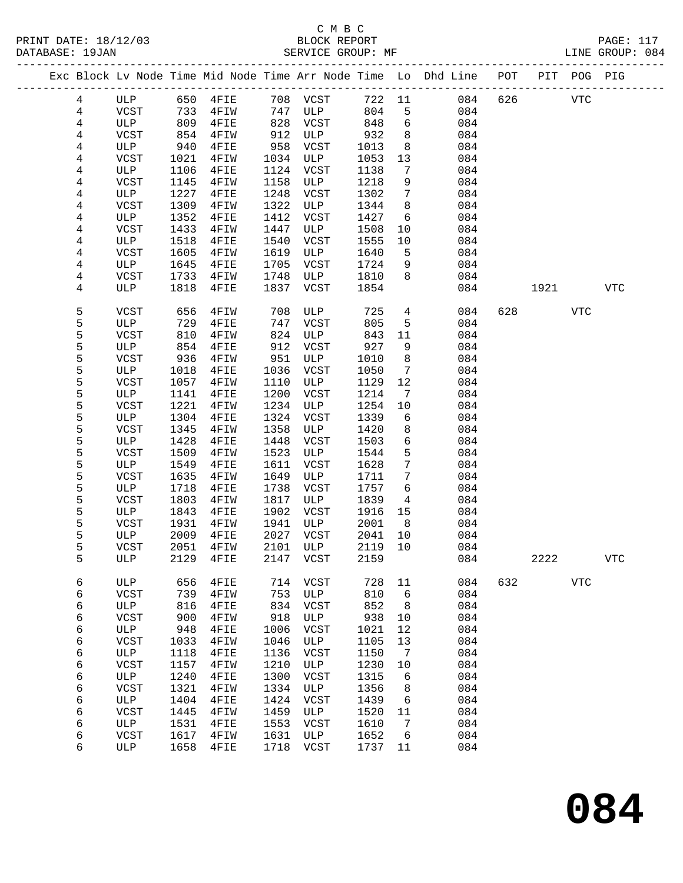|  |                |             |      |           |      |           |        |                 | Exc Block Lv Node Time Mid Node Time Arr Node Time Lo Dhd Line POT PIT POG PIG |     |      |            |            |
|--|----------------|-------------|------|-----------|------|-----------|--------|-----------------|--------------------------------------------------------------------------------|-----|------|------------|------------|
|  |                |             |      |           |      |           |        |                 |                                                                                |     |      |            |            |
|  | $\overline{4}$ | ULP         | 650  | 4FIE      |      | 708 VCST  | 722 11 |                 | 084                                                                            | 626 |      | VTC        |            |
|  | $\overline{4}$ | VCST        | 733  | 4FIW      |      | 747 ULP   | 804    | 5               | 084                                                                            |     |      |            |            |
|  | 4              | ULP         | 809  | 4FIE      | 828  | VCST      | 848    | 6               | 084                                                                            |     |      |            |            |
|  | 4              | VCST        | 854  | 4FIW      | 912  | ULP       | 932    | 8               | 084                                                                            |     |      |            |            |
|  | 4              | ULP         | 940  | 4FIE      | 958  | VCST      | 1013   | 8               | 084                                                                            |     |      |            |            |
|  | 4              | VCST        | 1021 | 4FIW      | 1034 | ULP       | 1053   | 13              | 084                                                                            |     |      |            |            |
|  | 4              | ULP         | 1106 | 4FIE      | 1124 | VCST      | 1138   | $7\phantom{.0}$ | 084                                                                            |     |      |            |            |
|  | 4              | VCST        | 1145 | 4FIW      | 1158 | ULP       | 1218   | 9               | 084                                                                            |     |      |            |            |
|  | 4              | ULP         | 1227 | 4FIE      | 1248 | VCST      | 1302   | $7\phantom{.0}$ | 084                                                                            |     |      |            |            |
|  | 4              | VCST        | 1309 | 4FIW      | 1322 | ULP       | 1344   | 8               | 084                                                                            |     |      |            |            |
|  | 4              | ULP         | 1352 | 4FIE      | 1412 | VCST      | 1427   | 6               | 084                                                                            |     |      |            |            |
|  | 4              | VCST        | 1433 | 4FIW      | 1447 | ULP       | 1508   | $10 \,$         | 084                                                                            |     |      |            |            |
|  |                |             |      |           | 1540 |           |        |                 | 084                                                                            |     |      |            |            |
|  | 4              | ULP         | 1518 | 4FIE      |      | VCST      | 1555   | 10              |                                                                                |     |      |            |            |
|  | 4              | VCST        | 1605 | 4FIW      | 1619 | ULP       | 1640   | 5               | 084                                                                            |     |      |            |            |
|  | 4              | ULP         | 1645 | 4FIE      | 1705 | VCST      | 1724   | 9               | 084                                                                            |     |      |            |            |
|  | 4              | VCST        | 1733 | 4FIW      | 1748 | ULP       | 1810   | 8               | 084                                                                            |     |      |            |            |
|  | 4              | ULP         | 1818 | 4FIE      | 1837 | VCST      | 1854   |                 | 084                                                                            |     | 1921 |            | <b>VTC</b> |
|  |                |             |      |           |      |           |        |                 |                                                                                |     |      |            |            |
|  | 5              | <b>VCST</b> | 656  | 4FIW      | 708  | ULP       | 725    | $\overline{4}$  | 084                                                                            | 628 |      | VTC        |            |
|  | 5              | ULP         | 729  | 4FIE      | 747  | VCST      | 805    | 5               | 084                                                                            |     |      |            |            |
|  | 5              | <b>VCST</b> | 810  | 4FIW      | 824  | ULP       | 843    | 11              | 084                                                                            |     |      |            |            |
|  | 5              | ULP         | 854  | 4FIE      | 912  | VCST      | 927    | 9               | 084                                                                            |     |      |            |            |
|  | 5              | <b>VCST</b> | 936  | 4FIW      | 951  | ULP       | 1010   | 8               | 084                                                                            |     |      |            |            |
|  | 5              | ULP         | 1018 | 4FIE      | 1036 | VCST      | 1050   | $7\phantom{.0}$ | 084                                                                            |     |      |            |            |
|  | 5              | <b>VCST</b> | 1057 | 4FIW      | 1110 | ULP       | 1129   | 12              | 084                                                                            |     |      |            |            |
|  | 5              | ULP         | 1141 | 4FIE      | 1200 | VCST      | 1214   | 7               | 084                                                                            |     |      |            |            |
|  | 5              | VCST        | 1221 | 4FIW      | 1234 | ULP       | 1254   | 10              | 084                                                                            |     |      |            |            |
|  | 5              | ULP         | 1304 | 4FIE      | 1324 | VCST      | 1339   | 6               | 084                                                                            |     |      |            |            |
|  | 5              | VCST        | 1345 | 4FIW      | 1358 | ULP       | 1420   | 8               | 084                                                                            |     |      |            |            |
|  | 5              | ULP         | 1428 | 4FIE      | 1448 | VCST      | 1503   | 6               | 084                                                                            |     |      |            |            |
|  | 5              | VCST        | 1509 | 4FIW      | 1523 | ULP       | 1544   | 5               | 084                                                                            |     |      |            |            |
|  | 5              | ULP         | 1549 | 4FIE      | 1611 | VCST      | 1628   | $7\phantom{.0}$ | 084                                                                            |     |      |            |            |
|  | 5              | VCST        | 1635 | 4FIW      | 1649 | ULP       | 1711   | 7               | 084                                                                            |     |      |            |            |
|  | 5              | ULP         | 1718 | 4FIE      | 1738 | VCST      | 1757   | 6               | 084                                                                            |     |      |            |            |
|  | 5              | VCST        | 1803 | 4FIW      | 1817 | ULP       | 1839   | $\overline{4}$  | 084                                                                            |     |      |            |            |
|  | 5              | ULP         | 1843 | 4FIE      | 1902 | VCST      | 1916   | 15              | 084                                                                            |     |      |            |            |
|  | 5              | VCST        | 1931 | 4FIW      | 1941 | ULP       | 2001   | 8 <sup>8</sup>  | 084                                                                            |     |      |            |            |
|  | 5              | ULP         | 2009 | 4FIE      | 2027 | VCST      | 2041   | 10              | 084                                                                            |     |      |            |            |
|  | 5              | VCST        | 2051 | 4FIW      | 2101 | ULP       | 2119   | 10              | 084                                                                            |     |      |            |            |
|  | 5              | ULP         |      | 2129 4FIE |      | 2147 VCST | 2159   |                 | 084                                                                            |     | 2222 |            | <b>VTC</b> |
|  |                |             |      |           |      |           |        |                 |                                                                                |     |      |            |            |
|  | 6              | ULP         | 656  | 4FIE      | 714  | VCST      | 728    | 11              | 084                                                                            | 632 |      | <b>VTC</b> |            |
|  | 6              | <b>VCST</b> | 739  | 4FIW      | 753  | ULP       | 810    | 6               | 084                                                                            |     |      |            |            |
|  | 6              | ULP         | 816  | 4FIE      | 834  | VCST      | 852    | 8               | 084                                                                            |     |      |            |            |
|  | 6              | <b>VCST</b> | 900  | 4FIW      | 918  | ULP       | 938    | 10              | 084                                                                            |     |      |            |            |
|  | 6              | ULP         | 948  | 4FIE      | 1006 | VCST      | 1021   | 12              | 084                                                                            |     |      |            |            |
|  | 6              | <b>VCST</b> | 1033 | 4FIW      | 1046 | ULP       | 1105   | 13              | 084                                                                            |     |      |            |            |
|  | 6              | ULP         | 1118 | 4FIE      | 1136 | VCST      | 1150   | 7               | 084                                                                            |     |      |            |            |
|  | 6              | <b>VCST</b> | 1157 | 4FIW      | 1210 | ULP       | 1230   | 10              | 084                                                                            |     |      |            |            |
|  | 6              | ULP         | 1240 | 4FIE      | 1300 | VCST      | 1315   | 6               | 084                                                                            |     |      |            |            |
|  | 6              | <b>VCST</b> | 1321 | 4FIW      | 1334 | ULP       | 1356   | 8               | 084                                                                            |     |      |            |            |
|  | 6              | ULP         | 1404 | 4FIE      | 1424 | VCST      | 1439   | 6               | 084                                                                            |     |      |            |            |
|  | 6              | <b>VCST</b> | 1445 | 4FIW      | 1459 | ULP       | 1520   | 11              | 084                                                                            |     |      |            |            |
|  | 6              | ULP         | 1531 | 4FIE      | 1553 | VCST      | 1610   | 7               | 084                                                                            |     |      |            |            |
|  | 6              | <b>VCST</b> | 1617 | 4FIW      | 1631 | ULP       | 1652   | 6               | 084                                                                            |     |      |            |            |
|  | 6              | ULP         | 1658 | 4FIE      | 1718 | VCST      | 1737   | 11              | 084                                                                            |     |      |            |            |
|  |                |             |      |           |      |           |        |                 |                                                                                |     |      |            |            |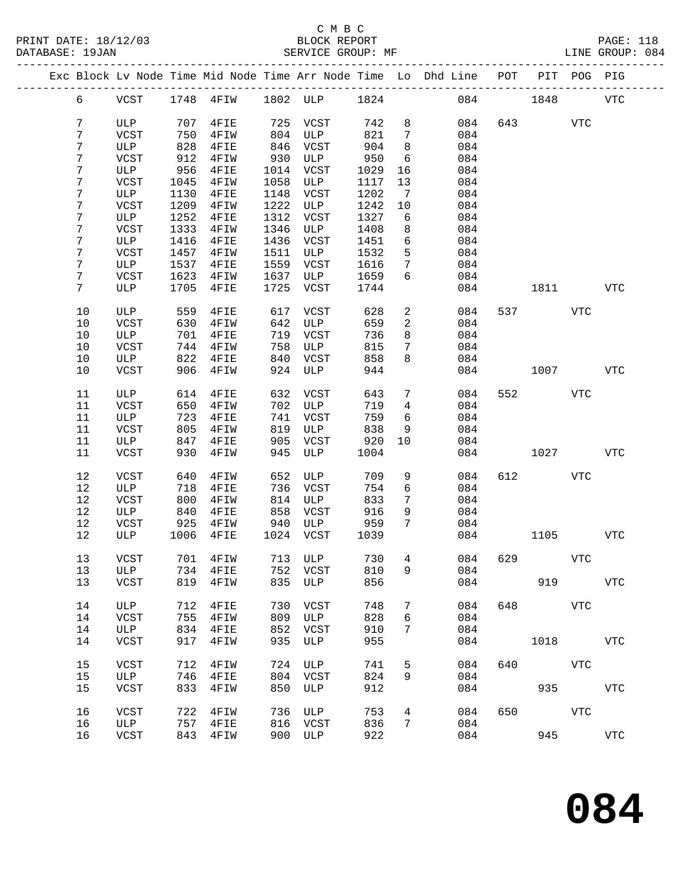|  |                 |             |      |                              |      |           |      |                 | Exc Block Lv Node Time Mid Node Time Arr Node Time Lo Dhd Line POT PIT POG PIG |          |                          |            |            |
|--|-----------------|-------------|------|------------------------------|------|-----------|------|-----------------|--------------------------------------------------------------------------------|----------|--------------------------|------------|------------|
|  | 6               |             |      | VCST 1748 4FIW 1802 ULP 1824 |      |           |      |                 |                                                                                | 084 1848 |                          |            | VTC        |
|  | $7\overline{ }$ | ULP         | 707  | $4$ FIE                      |      | 725 VCST  | 742  | 8               | 084                                                                            |          | 643                      | <b>VTC</b> |            |
|  | 7               | VCST        | 750  | 4FIW                         | 804  | ULP       | 821  | $7\overline{ }$ | 084                                                                            |          |                          |            |            |
|  | 7               | ULP         | 828  | 4FIE                         | 846  | VCST      | 904  | 8               | 084                                                                            |          |                          |            |            |
|  |                 |             |      |                              |      |           |      |                 |                                                                                |          |                          |            |            |
|  | $\overline{7}$  | VCST        | 912  | 4FIW                         | 930  | ULP       | 950  | 6               | 084                                                                            |          |                          |            |            |
|  | 7               | ULP         | 956  | $4$ FIE                      | 1014 | VCST      | 1029 | 16              | 084                                                                            |          |                          |            |            |
|  | 7               | VCST        | 1045 | $4$ FIW                      | 1058 | ULP       | 1117 | 13              | 084                                                                            |          |                          |            |            |
|  | 7               | ULP         | 1130 | $4$ FIE                      | 1148 | VCST      | 1202 | $\overline{7}$  | 084                                                                            |          |                          |            |            |
|  | 7               | VCST        | 1209 | 4FIW                         | 1222 | ULP       | 1242 | 10              | 084                                                                            |          |                          |            |            |
|  | 7               | ULP         | 1252 | $4$ FIE                      | 1312 | VCST      | 1327 | 6               | 084                                                                            |          |                          |            |            |
|  | 7               | VCST        | 1333 | 4FIW                         | 1346 | ULP       | 1408 | 8               | 084                                                                            |          |                          |            |            |
|  | 7               | ULP         | 1416 |                              | 1436 |           |      | 6               | 084                                                                            |          |                          |            |            |
|  |                 |             |      | $4$ FIE                      |      | VCST      | 1451 |                 |                                                                                |          |                          |            |            |
|  | 7               | VCST        | 1457 | 4FIW                         | 1511 | ULP       | 1532 | 5               | 084                                                                            |          |                          |            |            |
|  | 7               | ULP         | 1537 | $4$ FIE                      | 1559 | VCST      | 1616 | 7               | 084                                                                            |          |                          |            |            |
|  | 7               | VCST        | 1623 | 4FIW                         | 1637 | ULP       | 1659 | 6               | 084                                                                            |          |                          |            |            |
|  | $7\phantom{.}$  | ULP         | 1705 | $4$ FIE                      | 1725 | VCST      | 1744 |                 | 084                                                                            |          | 1811 7                   |            | VTC        |
|  |                 |             |      |                              |      |           |      |                 |                                                                                |          |                          |            |            |
|  | $10$            | ULP         | 559  | $4$ FIE                      | 617  | VCST      | 628  | 2               | 084                                                                            |          | 537 — 100                | VTC        |            |
|  | 10              | VCST        | 630  | 4FIW                         | 642  | ULP       | 659  | $\overline{a}$  | 084                                                                            |          |                          |            |            |
|  | 10              | ULP         | 701  | 4FIE                         |      | 719 VCST  | 736  | 8               | 084                                                                            |          |                          |            |            |
|  | 10              | VCST        | 744  |                              | 758  | ULP       | 815  | $7\phantom{.0}$ | 084                                                                            |          |                          |            |            |
|  |                 |             |      | 4FIW                         |      |           |      |                 |                                                                                |          |                          |            |            |
|  | 10              | ULP         | 822  | $4$ FIE                      | 840  | VCST      | 858  | 8               | 084                                                                            |          |                          |            |            |
|  | 10              | VCST        | 906  | 4FIW                         | 924  | ULP       | 944  |                 | 084                                                                            |          | 1007                     |            | VTC        |
|  | 11              | ULP         | 614  | 4FIE                         |      | 632 VCST  | 643  | $7\phantom{.0}$ | 084                                                                            |          | 552 and $\overline{552}$ | VTC        |            |
|  | 11              | VCST        | 650  | 4FIW                         |      | 702 ULP   | 719  | $\overline{4}$  | 084                                                                            |          |                          |            |            |
|  | 11              | ULP         | 723  | 4FIE                         | 741  | VCST      | 759  | 6               | 084                                                                            |          |                          |            |            |
|  |                 |             |      |                              |      |           |      |                 |                                                                                |          |                          |            |            |
|  | 11              | VCST        | 805  | 4FIW                         | 819  | ULP       | 838  | 9               | 084                                                                            |          |                          |            |            |
|  | 11              | ULP         | 847  | $4$ FIE                      | 905  | VCST      | 920  | 10              | 084                                                                            |          |                          |            |            |
|  | 11              | VCST        | 930  | 4FIW                         | 945  | ULP       | 1004 |                 | 084                                                                            |          | 1027                     |            | <b>VTC</b> |
|  | 12              | VCST        | 640  | 4FIW                         | 652  | ULP       | 709  | 9               | 084                                                                            |          | 612 VTC                  |            |            |
|  | 12              | ULP         | 718  | 4FIE                         | 736  | VCST      | 754  | 6               | 084                                                                            |          |                          |            |            |
|  | 12              | VCST        | 800  | 4FIW                         |      | 814 ULP   | 833  | $7\phantom{.0}$ | 084                                                                            |          |                          |            |            |
|  | 12              | ULP         | 840  | $4$ FIE                      | 858  | VCST      | 916  | 9               | 084                                                                            |          |                          |            |            |
|  | 12              | VCST        | 925  | 4FIW                         | 940  | ULP 959   |      | $7\overline{ }$ | 084                                                                            |          |                          |            |            |
|  | 12              | ULP         | 1006 | $4$ FIE                      |      | 1024 VCST | 1039 |                 | 084                                                                            |          | 1105                     |            | VTC        |
|  |                 |             |      |                              |      |           |      |                 |                                                                                |          |                          |            |            |
|  | 13              | VCST        |      |                              |      |           |      |                 | 701 4FIW 713 ULP 730 4 084 629                                                 |          |                          | <b>VTC</b> |            |
|  | 13              | ULP         | 734  | 4FIE                         |      | 752 VCST  | 810  | 9               | 084                                                                            |          |                          |            |            |
|  | 13              | VCST        | 819  | 4FIW                         | 835  | ULP       | 856  |                 | 084                                                                            |          | 919                      |            | <b>VTC</b> |
|  |                 |             |      |                              |      |           |      |                 |                                                                                |          |                          |            |            |
|  | 14              | ULP         | 712  | 4FIE                         | 730  | VCST      | 748  | 7               | 084                                                                            |          | 648 — 100                | VTC        |            |
|  | 14              | VCST        | 755  | 4FIW                         | 809  | ULP       | 828  | 6               | 084                                                                            |          |                          |            |            |
|  | 14              | ULP         | 834  | 4FIE                         | 852  | VCST      | 910  | 7               | 084                                                                            |          |                          |            |            |
|  | 14              | VCST        | 917  | 4FIW                         | 935  | ULP       | 955  |                 | 084                                                                            |          | 1018                     |            | <b>VTC</b> |
|  |                 |             |      |                              |      |           |      |                 |                                                                                |          |                          |            |            |
|  | 15              | <b>VCST</b> | 712  | 4FIW                         | 724  | ULP       | 741  | 5               | 084                                                                            | 640      |                          | VTC        |            |
|  | 15              | ULP         | 746  | 4FIE                         | 804  | VCST      | 824  | 9               | 084                                                                            |          |                          |            |            |
|  | 15              | VCST        | 833  | 4FIW                         | 850  | ULP       | 912  |                 | 084                                                                            |          | 935                      |            | <b>VTC</b> |
|  |                 |             |      |                              |      |           |      |                 |                                                                                |          |                          |            |            |
|  | 16              | VCST        | 722  | 4FIW                         | 736  | ULP       | 753  | 4               | 084                                                                            | 650      |                          | VTC        |            |
|  | 16              | ULP         | 757  | 4FIE                         |      | 816 VCST  | 836  | 7               | 084                                                                            |          |                          |            |            |
|  | 16              | VCST        | 843  | 4FIW                         |      | 900 ULP   | 922  |                 | 084                                                                            |          | 945                      |            | <b>VTC</b> |
|  |                 |             |      |                              |      |           |      |                 |                                                                                |          |                          |            |            |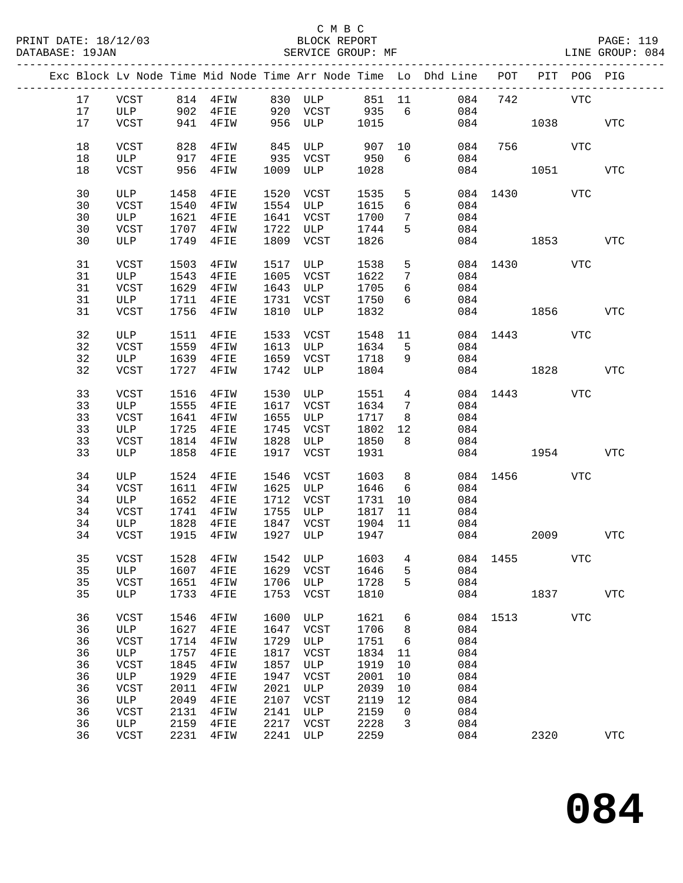|  |    |             |      |                             |      |                |      |                 | Exc Block Lv Node Time Mid Node Time Arr Node Time Lo Dhd Line POT PIT POG PIG |              |         |            |            |
|--|----|-------------|------|-----------------------------|------|----------------|------|-----------------|--------------------------------------------------------------------------------|--------------|---------|------------|------------|
|  | 17 |             |      | ULP 902 4FIE 920 VCST 935 6 |      |                |      |                 | VCST 814 4FIW 830 ULP 851 11 084                                               |              | 742 VTC |            |            |
|  | 17 |             |      |                             |      | 956 ULP 1015   |      |                 | 084                                                                            |              |         |            |            |
|  | 17 | VCST        |      | 941 4FIW                    |      |                |      |                 | 084                                                                            |              | 1038    |            | <b>VTC</b> |
|  | 18 | VCST        | 828  | 4FIW                        |      | 845 ULP 907 10 |      |                 | 084                                                                            |              | 756 VTC |            |            |
|  | 18 | ULP         | 917  | $4$ FIE                     |      | 935 VCST       | 950  | 6               | 084                                                                            |              |         |            |            |
|  | 18 | VCST        | 956  | 4FIW                        |      | 1009 ULP       | 1028 |                 |                                                                                | 084          | 1051    |            | VTC        |
|  | 30 | ULP         | 1458 | $4$ FIE                     |      | 1520 VCST      | 1535 | 5               |                                                                                | 084 1430 VTC |         |            |            |
|  | 30 | VCST        | 1540 | 4FIW                        |      | 1554 ULP       | 1615 | 6               | 084                                                                            |              |         |            |            |
|  | 30 | ULP         | 1621 | $4$ FIE                     |      | 1641 VCST      | 1700 | $7\phantom{.0}$ | 084                                                                            |              |         |            |            |
|  | 30 | VCST        | 1707 | 4FIW                        |      | 1722 ULP       | 1744 | 5 <sup>5</sup>  | 084                                                                            |              |         |            |            |
|  | 30 | ULP         | 1749 | $4$ FIE                     |      | 1809 VCST      | 1826 |                 |                                                                                | 084 1853     |         |            | VTC        |
|  | 31 | VCST        | 1503 | 4FIW                        | 1517 | ULP            | 1538 | 5               |                                                                                | 084 1430     |         | VTC        |            |
|  | 31 | ULP         | 1543 | $4$ FIE                     |      | 1605 VCST      | 1622 | $7\phantom{.0}$ | 084                                                                            |              |         |            |            |
|  | 31 |             | 1629 | $4$ FIW                     |      | 1643 ULP       | 1705 | 6               | 084                                                                            |              |         |            |            |
|  |    | VCST        |      |                             |      |                |      |                 |                                                                                |              |         |            |            |
|  | 31 | ULP         | 1711 | 4FIE                        |      | 1731 VCST      | 1750 | 6               | 084                                                                            |              |         |            |            |
|  | 31 | VCST        | 1756 | 4FIW                        | 1810 | ULP            | 1832 |                 |                                                                                | 084 1856 VTC |         |            |            |
|  | 32 | ULP         | 1511 | $4$ FIE                     |      | 1533 VCST      | 1548 | 11              |                                                                                | 084 1443 VTC |         |            |            |
|  | 32 | VCST        | 1559 | $4$ FIW                     |      | 1613 ULP       | 1634 | $5^{\circ}$     | 084                                                                            |              |         |            |            |
|  | 32 | ULP         | 1639 | $4$ FIE                     |      | 1659 VCST      | 1718 | 9               | 084                                                                            |              |         |            |            |
|  | 32 | VCST        | 1727 | 4FIW                        |      | 1742 ULP       | 1804 |                 |                                                                                | 084 1828     |         |            | VTC        |
|  | 33 | VCST        | 1516 | $4$ FIW                     |      | 1530 ULP       | 1551 | $\overline{4}$  |                                                                                | 084 1443 VTC |         |            |            |
|  | 33 | ULP         | 1555 | 4FIE                        |      | 1617 VCST      | 1634 | $\overline{7}$  | 084                                                                            |              |         |            |            |
|  | 33 | VCST        | 1641 | $4$ FIW                     | 1655 | ULP            | 1717 | 8               | 084                                                                            |              |         |            |            |
|  | 33 | ULP         | 1725 | $4$ FIE                     | 1745 | VCST           | 1802 | 12              | 084                                                                            |              |         |            |            |
|  | 33 | VCST        | 1814 | 4FIW                        | 1828 | ULP            | 1850 | 8               | 084                                                                            |              |         |            |            |
|  | 33 | ULP         | 1858 | $4$ FIE                     |      | 1917 VCST      | 1931 |                 |                                                                                | 084 1954     |         |            | <b>VTC</b> |
|  |    |             |      |                             |      |                |      |                 |                                                                                |              |         |            |            |
|  | 34 | ULP         | 1524 | $4$ FIE                     |      | 1546 VCST      | 1603 | 8               |                                                                                | 084 1456 VTC |         |            |            |
|  | 34 | VCST        | 1611 | 4FIW                        |      | 1625 ULP       | 1646 | 6               | 084                                                                            |              |         |            |            |
|  | 34 | ULP         | 1652 | $4$ FIE                     | 1712 | VCST           | 1731 | 10              | 084                                                                            |              |         |            |            |
|  | 34 | VCST        | 1741 | 4FIW                        | 1755 | <b>ULP</b>     | 1817 | 11              | 084                                                                            |              |         |            |            |
|  | 34 | ULP         | 1828 | $4$ FIE                     |      | 1847 VCST      | 1904 | 11              | 084                                                                            |              |         |            |            |
|  | 34 | VCST        | 1915 | 4FIW                        |      | 1927 ULP       | 1947 |                 |                                                                                | 084          | 2009    |            | VTC        |
|  | 35 | VCST        |      |                             |      |                |      |                 | 1528 4FIW 1542 ULP 1603 4 084 1455                                             |              |         | <b>VTC</b> |            |
|  | 35 | ULP         | 1607 | 4FIE                        | 1629 | VCST           | 1646 | 5               | 084                                                                            |              |         |            |            |
|  | 35 | VCST        | 1651 | 4FIW                        | 1706 | ULP            | 1728 | 5               | 084                                                                            |              |         |            |            |
|  | 35 | ULP         | 1733 | 4FIE                        | 1753 | VCST           | 1810 |                 | 084                                                                            |              | 1837    |            | <b>VTC</b> |
|  | 36 | VCST        | 1546 | 4FIW                        | 1600 | ULP            | 1621 | 6               |                                                                                | 084 1513     |         | VTC        |            |
|  |    |             |      |                             |      |                |      |                 |                                                                                |              |         |            |            |
|  | 36 | ULP         | 1627 | 4FIE                        | 1647 | VCST           | 1706 | 8               | 084                                                                            |              |         |            |            |
|  | 36 | VCST        | 1714 | 4FIW                        | 1729 | ULP            | 1751 | 6               | 084                                                                            |              |         |            |            |
|  | 36 | ULP         | 1757 | 4FIE                        | 1817 | VCST           | 1834 | 11              | 084                                                                            |              |         |            |            |
|  | 36 | VCST        | 1845 | 4FIW                        | 1857 | ULP            | 1919 | 10              | 084                                                                            |              |         |            |            |
|  | 36 | ULP         | 1929 | 4FIE                        | 1947 | VCST           | 2001 | 10              | 084                                                                            |              |         |            |            |
|  | 36 | VCST        | 2011 | 4FIW                        | 2021 | ULP            | 2039 | 10              | 084                                                                            |              |         |            |            |
|  | 36 | ULP         | 2049 | 4FIE                        | 2107 | VCST           | 2119 | 12              | 084                                                                            |              |         |            |            |
|  | 36 | <b>VCST</b> | 2131 | 4FIW                        | 2141 | ULP            | 2159 | $\overline{0}$  | 084                                                                            |              |         |            |            |
|  | 36 | ULP         | 2159 | 4FIE                        | 2217 | VCST           | 2228 | 3               | 084                                                                            |              |         |            |            |
|  | 36 | VCST        | 2231 | 4FIW                        | 2241 | ULP            | 2259 |                 | 084                                                                            |              | 2320    |            | <b>VTC</b> |
|  |    |             |      |                             |      |                |      |                 |                                                                                |              |         |            |            |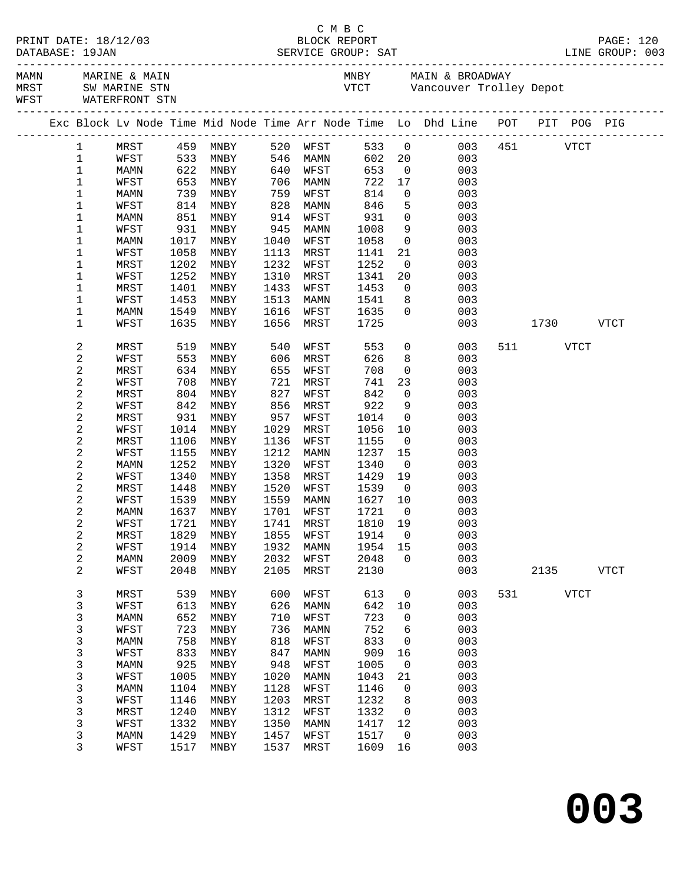|  |                          |                     |              |                                  |              |              |              |                            | C M B C<br>PRINT DATE: 18/12/03 BLOCK REPORT PAGE: 120<br>DATABASE: 19JAN SERVICE GROUP: SAT LINE GROUP: 003    |     |          |             |             |
|--|--------------------------|---------------------|--------------|----------------------------------|--------------|--------------|--------------|----------------------------|-----------------------------------------------------------------------------------------------------------------|-----|----------|-------------|-------------|
|  |                          | WFST WATERFRONT STN |              |                                  |              |              |              |                            | MAMN MARINE & MAIN MARINE CONTROL MANY MAIN & BROADWAY<br>MRST SW MARINE STN MERRY VICT Vancouver Trolley Depot |     |          |             |             |
|  |                          |                     |              |                                  |              |              |              |                            | Exc Block Lv Node Time Mid Node Time Arr Node Time Lo Dhd Line POT PIT POG PIG                                  |     |          |             |             |
|  | $\mathbf{1}$             |                     |              | MRST 459 MNBY                    |              | 520 WFST     |              |                            | 533 0 003 451 VTCT                                                                                              |     |          |             |             |
|  | $\mathbf 1$              | WFST                |              | 533 MNBY                         |              | 546 MAMN     |              |                            | 602 20<br>003                                                                                                   |     |          |             |             |
|  | 1                        | MAMN                |              |                                  | 640          | WFST         | 653          |                            | $\overline{0}$<br>003                                                                                           |     |          |             |             |
|  | 1                        | WFST                |              | 622 MNBY<br>653 MNBY<br>739 MNBY | 706          | MAMN         | 722          | 17                         | 003                                                                                                             |     |          |             |             |
|  | $\mathbf 1$              | MAMN                |              |                                  | 759          | WFST         | 814          | $\overline{0}$             | 003                                                                                                             |     |          |             |             |
|  | $\mathbf 1$              | WFST                | 814          | MNBY                             | 828          | MAMN         | 846          | $5^{\circ}$                | 003                                                                                                             |     |          |             |             |
|  | 1                        | MAMN                | 851          | MNBY                             | 914          | WFST         | 931          | $\overline{0}$             | 003                                                                                                             |     |          |             |             |
|  | 1                        | WFST                | 931          | MNBY                             | 945          | MAMN         | 1008         | 9                          | 003                                                                                                             |     |          |             |             |
|  | 1                        | MAMN                | 1017         | MNBY                             | 1040         | WFST         | 1058         | $\overline{0}$             | 003                                                                                                             |     |          |             |             |
|  | 1                        | WFST                | 1058         | MNBY                             | 1113         | MRST         | 1141         | 21                         | 003                                                                                                             |     |          |             |             |
|  | 1                        | MRST                | 1202         | MNBY                             | 1232         | WFST         | 1252         | $\overline{0}$             | 003                                                                                                             |     |          |             |             |
|  | 1                        | WFST                | 1252         | MNBY                             | 1310         | MRST         | 1341         | 20 <sub>o</sub>            | 003                                                                                                             |     |          |             |             |
|  | 1                        | MRST                | 1401         | MNBY                             | 1433         | WFST         | 1453         | $\overline{0}$             | 003                                                                                                             |     |          |             |             |
|  | 1<br>1                   | WFST<br>MAMN        | 1453<br>1549 | MNBY<br>MNBY                     | 1513<br>1616 | MAMN<br>WFST | 1541<br>1635 | 8 <sup>8</sup><br>$\Omega$ | 003<br>003                                                                                                      |     |          |             |             |
|  | 1                        | WFST                | 1635         | MNBY                             | 1656         | MRST         | 1725         |                            | 003                                                                                                             |     | 1730     |             | VTCT        |
|  |                          |                     |              |                                  |              |              |              |                            |                                                                                                                 |     |          |             |             |
|  | 2                        | MRST                | 519          | MNBY                             | 540          | WFST         | 553          |                            | $\overline{0}$<br>003                                                                                           |     | 511 VTCT |             |             |
|  | $\sqrt{2}$               | WFST                | 553          | MNBY                             | 606          | MRST         | 626          | 8 <sup>8</sup>             | 003                                                                                                             |     |          |             |             |
|  | $\sqrt{2}$               | MRST                | 634          | MNBY                             | 655          | WFST         | 708          | $\overline{0}$             | 003                                                                                                             |     |          |             |             |
|  | $\sqrt{2}$               | WFST                | 708          | MNBY                             | 721          | MRST         | 741          | 23                         | 003                                                                                                             |     |          |             |             |
|  | $\sqrt{2}$               | MRST                | 804          | MNBY                             | 827          | WFST         | 842          | $\overline{0}$             | 003                                                                                                             |     |          |             |             |
|  | $\sqrt{2}$               | WFST                | 842          | MNBY                             | 856          | MRST         | 922          | 9                          | 003                                                                                                             |     |          |             |             |
|  | $\sqrt{2}$<br>$\sqrt{2}$ | MRST<br>WFST        | 931<br>1014  | MNBY<br>MNBY                     | 957<br>1029  | WFST<br>MRST | 1014<br>1056 | $\overline{0}$<br>10       | 003<br>003                                                                                                      |     |          |             |             |
|  | 2                        | MRST                | 1106         | MNBY                             | 1136         | WFST         | 1155         | $\overline{0}$             | 003                                                                                                             |     |          |             |             |
|  | $\sqrt{2}$               | WFST                | 1155         | MNBY                             | 1212         | MAMN         | 1237         | 15                         | 003                                                                                                             |     |          |             |             |
|  | $\sqrt{2}$               | MAMN                | 1252         | MNBY                             | 1320         | WFST         | 1340         | $\overline{0}$             | 003                                                                                                             |     |          |             |             |
|  | $\sqrt{2}$               | WFST                | 1340         | MNBY                             | 1358         | MRST         | 1429         | 19                         | 003                                                                                                             |     |          |             |             |
|  | $\sqrt{2}$               | MRST                | 1448         | MNBY                             | 1520         | WFST         | 1539         | $\overline{0}$             | 003                                                                                                             |     |          |             |             |
|  | $\sqrt{2}$               | WFST                | 1539         | MNBY                             | 1559         | MAMN         | 1627         | 10                         | 003                                                                                                             |     |          |             |             |
|  | 2                        | MAMN                | 1637         | MNBY                             | 1701         | WFST         | 1721         | $\overline{0}$             | 003                                                                                                             |     |          |             |             |
|  | $\sqrt{2}$               | WFST                |              | 1721 MNBY 1741 MRST 1810 19      |              |              |              |                            | 003                                                                                                             |     |          |             |             |
|  | 2                        | MRST                | 1829         | MNBY                             | 1855         | WFST         | 1914         | $\mathbf 0$                | 003                                                                                                             |     |          |             |             |
|  | $\boldsymbol{2}$         | WFST                | 1914         | MNBY                             | 1932         | MAMN         | 1954         | 15                         | 003                                                                                                             |     |          |             |             |
|  | $\sqrt{2}$               | MAMN                | 2009         | MNBY                             | 2032         | WFST         | 2048         | $\Omega$                   | 003                                                                                                             |     |          |             |             |
|  | $\overline{a}$           | WFST                | 2048         | MNBY                             | 2105         | MRST         | 2130         |                            | 003                                                                                                             |     | 2135     |             | <b>VTCT</b> |
|  | 3                        | MRST                | 539          | <b>MNBY</b>                      | 600          | WFST         | 613          | 0                          | 003                                                                                                             | 531 |          | <b>VTCT</b> |             |
|  | 3                        | WFST                | 613          | MNBY                             | 626          | MAMN         | 642          | 10                         | 003                                                                                                             |     |          |             |             |
|  | 3                        | MAMN                | 652          | MNBY                             | 710          | WFST         | 723          | 0                          | 003                                                                                                             |     |          |             |             |
|  | 3                        | WFST                | 723          | MNBY                             | 736          | MAMN         | 752          | 6                          | 003                                                                                                             |     |          |             |             |
|  | 3                        | MAMN                | 758          | MNBY                             | 818          | WFST         | 833          | 0                          | 003                                                                                                             |     |          |             |             |
|  | 3                        | WFST                | 833          | MNBY                             | 847          | MAMN         | 909          | 16                         | 003                                                                                                             |     |          |             |             |
|  | 3                        | MAMN                | 925          | MNBY                             | 948          | WFST         | 1005         | $\mathbf 0$                | 003                                                                                                             |     |          |             |             |
|  | 3                        | WFST                | 1005         | MNBY                             | 1020         | MAMN         | 1043         | 21                         | 003                                                                                                             |     |          |             |             |
|  | 3                        | MAMN                | 1104         | MNBY                             | 1128         | WFST         | 1146         | $\mathbf 0$                | 003                                                                                                             |     |          |             |             |
|  | 3                        | WFST                | 1146         | MNBY                             | 1203         | MRST         | 1232         | 8                          | 003                                                                                                             |     |          |             |             |
|  | 3<br>3                   | MRST<br>WFST        | 1240<br>1332 | MNBY<br>MNBY                     | 1312<br>1350 | WFST<br>MAMN | 1332<br>1417 | $\mathbf 0$<br>12          | 003<br>003                                                                                                      |     |          |             |             |
|  | 3                        | MAMN                | 1429         | MNBY                             | 1457         | WFST         | 1517         | $\overline{0}$             | 003                                                                                                             |     |          |             |             |
|  | 3                        | WFST                | 1517         | MNBY                             | 1537         | MRST         | 1609         | 16                         | 003                                                                                                             |     |          |             |             |
|  |                          |                     |              |                                  |              |              |              |                            |                                                                                                                 |     |          |             |             |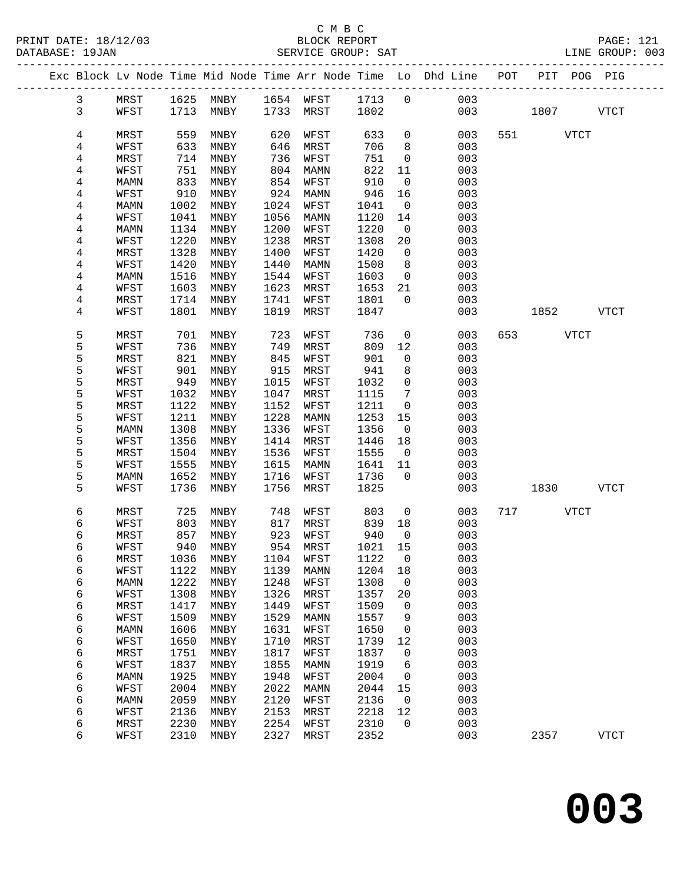|  |                |              |              |                            |              |              |              |                          | Exc Block Lv Node Time Mid Node Time Arr Node Time Lo Dhd Line POT |             | PIT POG PIG |             |
|--|----------------|--------------|--------------|----------------------------|--------------|--------------|--------------|--------------------------|--------------------------------------------------------------------|-------------|-------------|-------------|
|  | $\mathbf{3}$   | MRST         |              | 1625 MNBY 1654 WFST 1713 0 |              |              |              |                          | 003                                                                |             |             |             |
|  | $\mathsf{3}$   | WFST         |              | 1713 MNBY                  |              | 1733 MRST    | 1802         |                          | 003                                                                | 1807 - 1800 |             | <b>VTCT</b> |
|  |                |              |              |                            |              |              |              |                          |                                                                    |             |             |             |
|  | 4              | MRST         | 559          | MNBY                       | 620          | WFST         | 633          | $\overline{0}$           | 003                                                                | 551 VTCT    |             |             |
|  | 4              | WFST         | 633          | MNBY                       | 646          | MRST         | 706          | 8                        | 003                                                                |             |             |             |
|  | 4              | MRST         | 714          | MNBY                       | 736          | WFST         | 751          | $\mathsf{O}$             | 003                                                                |             |             |             |
|  | 4              | WFST         | 751          | MNBY                       | 804          | MAMN         | 822          | 11                       | 003                                                                |             |             |             |
|  | 4              | MAMN         | 833          | MNBY                       | 854          | WFST         | 910          | $\overline{0}$           | 003                                                                |             |             |             |
|  | $\overline{4}$ | WFST         | 910          | MNBY                       | 924          | MAMN         | 946          | 16                       | 003                                                                |             |             |             |
|  | 4              | MAMN         | 1002         | MNBY                       | 1024         | WFST         | 1041         | $\overline{0}$           | 003                                                                |             |             |             |
|  | 4              | WFST         | 1041         | MNBY                       | 1056         | MAMN         | 1120         | 14                       | 003                                                                |             |             |             |
|  | 4              | MAMN         | 1134         | MNBY                       | 1200         | WFST         | 1220         | $\overline{0}$           | 003                                                                |             |             |             |
|  | 4              | WFST         | 1220         | MNBY                       | 1238         | MRST         | 1308         | 20                       | 003                                                                |             |             |             |
|  | 4              | MRST         | 1328         | MNBY                       | 1400         | WFST         | 1420         | $\overline{0}$           | 003                                                                |             |             |             |
|  | 4              | WFST         | 1420         | MNBY                       | 1440         | MAMN         | 1508         | 8<br>$\overline{0}$      | 003                                                                |             |             |             |
|  | 4<br>4         | MAMN<br>WFST | 1516<br>1603 | MNBY<br>MNBY               | 1544<br>1623 | WFST<br>MRST | 1603<br>1653 | 21                       | 003<br>003                                                         |             |             |             |
|  | 4              | MRST         | 1714         | MNBY                       | 1741         | WFST         | 1801         | $\overline{0}$           | 003                                                                |             |             |             |
|  | 4              | WFST         | 1801         | MNBY                       | 1819         | MRST         | 1847         |                          | 003                                                                | 1852 VTCT   |             |             |
|  |                |              |              |                            |              |              |              |                          |                                                                    |             |             |             |
|  | 5              | MRST         | 701          | MNBY                       | 723          | WFST         | 736          | $\mathsf{O}$             | 003                                                                | 653 VTCT    |             |             |
|  | 5              | WFST         | 736          | MNBY                       | 749          | MRST         | 809          | 12                       | 003                                                                |             |             |             |
|  | 5              | MRST         | 821          | MNBY                       | 845          | WFST         | 901          | $\mathsf{O}$             | 003                                                                |             |             |             |
|  | 5              | WFST         | 901          | MNBY                       | 915          | MRST         | 941          | 8                        | 003                                                                |             |             |             |
|  | 5              | MRST         | 949          | MNBY                       | 1015         | WFST         | 1032         | $\mathsf{O}$             | 003                                                                |             |             |             |
|  | 5              | WFST         | 1032         | MNBY                       | 1047         | MRST         | 1115         | $7\phantom{.0}$          | 003                                                                |             |             |             |
|  | 5              | MRST         | 1122         | MNBY                       | 1152         | WFST         | 1211         | $\overline{0}$           | 003                                                                |             |             |             |
|  | 5              | WFST         | 1211         | MNBY                       | 1228         | MAMN         | 1253         | 15                       | 003                                                                |             |             |             |
|  | 5              | MAMN         | 1308         | MNBY                       | 1336         | WFST         | 1356         | $\overline{\phantom{0}}$ | 003                                                                |             |             |             |
|  | 5              | WFST         | 1356         | MNBY                       | 1414         | MRST         | 1446         | 18                       | 003                                                                |             |             |             |
|  | 5              | MRST         | 1504         | MNBY                       | 1536         | WFST         | 1555         | $\overline{0}$           | 003                                                                |             |             |             |
|  | 5              | WFST         | 1555         | MNBY                       | 1615         | MAMN         | 1641         | 11                       | 003                                                                |             |             |             |
|  | 5              | MAMN         | 1652         | MNBY                       | 1716         | WFST         | 1736         | $\Omega$                 | 003                                                                |             |             |             |
|  | 5              | WFST         | 1736         | MNBY                       | 1756         | MRST         | 1825         |                          | 003                                                                | 1830        |             | VTCT        |
|  | 6              | MRST         | 725          | MNBY                       | 748          | WFST         | 803          | $\overline{0}$           | 003                                                                | 717 VTCT    |             |             |
|  | 6              | WFST         | 803          | MNBY                       | 817          | MRST         | 839          | 18                       | 003                                                                |             |             |             |
|  | 6              | MRST         | 857          | MNBY                       | 923          | WFST         | 940          | $\overline{0}$           | 003                                                                |             |             |             |
|  | 6              | WFST         | 940          | MNBY                       |              | 954 MRST     | 1021         | 15                       | 003                                                                |             |             |             |
|  | 6              | MRST         |              | 1036 MNBY 1104 WFST        |              |              | 1122 0       |                          | 003                                                                |             |             |             |
|  | 6              | WFST         | 1122         | MNBY                       | 1139         | MAMN         | 1204         | 18                       | 003                                                                |             |             |             |
|  | 6              | MAMN         | 1222         | MNBY                       | 1248         | WFST         | 1308         | $\overline{0}$           | 003                                                                |             |             |             |
|  | 6              | WFST         | 1308         | MNBY                       | 1326         | MRST         | 1357         | 20                       | 003                                                                |             |             |             |
|  | 6              | MRST         | 1417         | MNBY                       | 1449         | WFST         | 1509         | $\mathsf{O}$             | 003                                                                |             |             |             |
|  | 6              | WFST         | 1509         | MNBY                       | 1529         | MAMN         | 1557         | 9                        | 003                                                                |             |             |             |
|  | 6              | <b>MAMN</b>  | 1606         | MNBY                       | 1631         | WFST         | 1650         | 0                        | 003                                                                |             |             |             |
|  | 6              | WFST         | 1650         | MNBY                       | 1710         | MRST         | 1739         | 12                       | 003                                                                |             |             |             |
|  | 6              | MRST         | 1751         | MNBY                       | 1817         | WFST         | 1837         | $\mathsf{O}$             | 003                                                                |             |             |             |
|  | 6              | WFST         | 1837         | MNBY                       | 1855         | MAMN         | 1919         | 6                        | 003                                                                |             |             |             |
|  | 6              | MAMN         | 1925         | MNBY                       | 1948         | WFST         | 2004         | $\mathbf 0$              | 003                                                                |             |             |             |
|  | 6              | WFST         | 2004         | MNBY                       | 2022         | MAMN         | 2044         | 15                       | 003                                                                |             |             |             |
|  | 6              | <b>MAMN</b>  | 2059         | MNBY                       | 2120<br>2153 | WFST         | 2136         | $\mathbf 0$              | 003<br>003                                                         |             |             |             |
|  | 6<br>6         | WFST<br>MRST | 2136<br>2230 | MNBY<br>MNBY               | 2254         | MRST         | 2218<br>2310 | 12<br>0                  | 003                                                                |             |             |             |
|  | 6              | WFST         | 2310         | MNBY                       | 2327         | WFST<br>MRST | 2352         |                          | 003                                                                | 2357        |             | <b>VTCT</b> |
|  |                |              |              |                            |              |              |              |                          |                                                                    |             |             |             |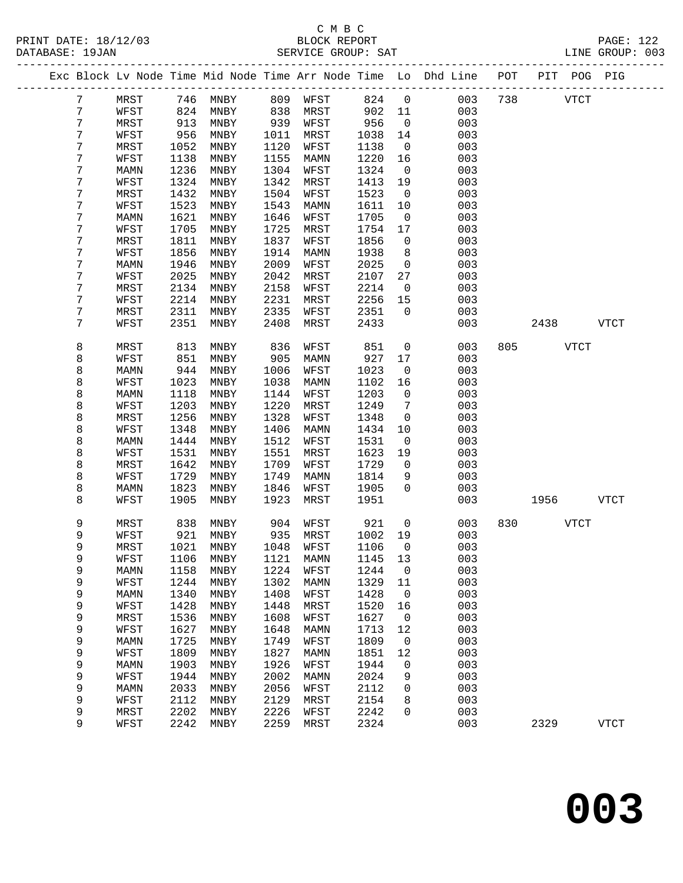#### C M B C<br>BLOCK REPORT PRINT DATE: 18/12/03 BLOCK REPORT PAGE: 122 SERVICE GROUP: SAT

|  |   |             |      |                              |      |             |      |              | Exc Block Lv Node Time Mid Node Time Arr Node Time Lo Dhd Line | POT |      | PIT POG PIG |             |  |
|--|---|-------------|------|------------------------------|------|-------------|------|--------------|----------------------------------------------------------------|-----|------|-------------|-------------|--|
|  | 7 | MRST        | 746  | MNBY                         | 809  | WFST        | 824  | $\mathsf{O}$ | 003                                                            | 738 |      | <b>VTCT</b> |             |  |
|  | 7 | WFST        | 824  | MNBY                         | 838  | MRST        | 902  | 11           | 003                                                            |     |      |             |             |  |
|  | 7 | MRST        | 913  | MNBY                         | 939  | WFST        | 956  | $\mathbf 0$  | 003                                                            |     |      |             |             |  |
|  | 7 | WFST        | 956  | MNBY                         | 1011 | MRST        | 1038 | 14           | 003                                                            |     |      |             |             |  |
|  | 7 | MRST        | 1052 | MNBY                         | 1120 | WFST        | 1138 | $\mathbf 0$  | 003                                                            |     |      |             |             |  |
|  | 7 | WFST        | 1138 | MNBY                         | 1155 | MAMN        | 1220 | 16           | 003                                                            |     |      |             |             |  |
|  | 7 | MAMN        | 1236 | MNBY                         | 1304 | WFST        | 1324 | $\mathsf{O}$ | 003                                                            |     |      |             |             |  |
|  | 7 | WFST        | 1324 | MNBY                         | 1342 | MRST        | 1413 | 19           | 003                                                            |     |      |             |             |  |
|  | 7 | MRST        | 1432 | MNBY                         | 1504 | WFST        | 1523 | $\mathbf 0$  | 003                                                            |     |      |             |             |  |
|  | 7 | WFST        | 1523 | MNBY                         | 1543 | MAMN        | 1611 | 10           | 003                                                            |     |      |             |             |  |
|  | 7 | MAMN        | 1621 | MNBY                         | 1646 | WFST        | 1705 | 0            | 003                                                            |     |      |             |             |  |
|  | 7 | WFST        | 1705 | MNBY                         | 1725 | MRST        | 1754 | 17           | 003                                                            |     |      |             |             |  |
|  | 7 | MRST        | 1811 | MNBY                         | 1837 | WFST        | 1856 | $\mathsf{O}$ | 003                                                            |     |      |             |             |  |
|  | 7 | WFST        | 1856 | MNBY                         | 1914 | MAMN        | 1938 | 8            | 003                                                            |     |      |             |             |  |
|  | 7 | MAMN        | 1946 | MNBY                         | 2009 | WFST        | 2025 | $\mathsf{O}$ | 003                                                            |     |      |             |             |  |
|  | 7 | WFST        | 2025 | MNBY                         | 2042 | MRST        | 2107 | 27           | 003                                                            |     |      |             |             |  |
|  | 7 | MRST        | 2134 | MNBY                         | 2158 | WFST        | 2214 | $\mathsf{O}$ | 003                                                            |     |      |             |             |  |
|  | 7 | WFST        | 2214 | MNBY                         | 2231 | MRST        | 2256 | 15           | 003                                                            |     |      |             |             |  |
|  | 7 | MRST        | 2311 | MNBY                         | 2335 | WFST        | 2351 | $\Omega$     | 003                                                            |     |      |             |             |  |
|  | 7 | WFST        | 2351 | MNBY                         | 2408 | MRST        | 2433 |              | 003                                                            |     | 2438 |             | VTCT        |  |
|  | 8 | MRST        | 813  | MNBY                         | 836  | WFST        | 851  | $\mathsf{O}$ | 003                                                            | 805 |      | <b>VTCT</b> |             |  |
|  | 8 | WFST        | 851  | MNBY                         | 905  | MAMN        | 927  | 17           | 003                                                            |     |      |             |             |  |
|  | 8 | <b>MAMN</b> | 944  | MNBY                         | 1006 | WFST        | 1023 | 0            | 003                                                            |     |      |             |             |  |
|  | 8 | WFST        | 1023 | MNBY                         | 1038 | MAMN        | 1102 | 16           | 003                                                            |     |      |             |             |  |
|  | 8 | MAMN        | 1118 | MNBY                         | 1144 | WFST        | 1203 | $\mathsf{O}$ | 003                                                            |     |      |             |             |  |
|  | 8 | WFST        | 1203 | MNBY                         | 1220 | MRST        | 1249 | 7            | 003                                                            |     |      |             |             |  |
|  | 8 | MRST        | 1256 | MNBY                         | 1328 | WFST        | 1348 | $\mathsf{O}$ | 003                                                            |     |      |             |             |  |
|  | 8 | WFST        | 1348 | MNBY                         | 1406 | MAMN        | 1434 | 10           | 003                                                            |     |      |             |             |  |
|  | 8 | MAMN        | 1444 | MNBY                         | 1512 | WFST        | 1531 | $\mathbf 0$  | 003                                                            |     |      |             |             |  |
|  | 8 | WFST        | 1531 | MNBY                         | 1551 | MRST        | 1623 | 19           | 003                                                            |     |      |             |             |  |
|  | 8 | MRST        | 1642 | MNBY                         | 1709 | WFST        | 1729 | 0            | 003                                                            |     |      |             |             |  |
|  | 8 | WFST        | 1729 | MNBY                         | 1749 | MAMN        | 1814 | 9            | 003                                                            |     |      |             |             |  |
|  | 8 | MAMN        | 1823 | MNBY                         | 1846 | WFST        | 1905 | $\Omega$     | 003                                                            |     |      |             |             |  |
|  | 8 | WFST        | 1905 | MNBY                         | 1923 | MRST        | 1951 |              | 003                                                            |     | 1956 |             | <b>VTCT</b> |  |
|  | 9 | MRST        | 838  | MNBY                         | 904  | WFST        | 921  | $\mathsf{O}$ | 003                                                            | 830 |      | <b>VTCT</b> |             |  |
|  | 9 | WFST        | 921  | MNBY                         | 935  | MRST        | 1002 | 19           | 003                                                            |     |      |             |             |  |
|  | 9 | MRST        | 1021 | MNBY                         | 1048 | WFST        | 1106 | 0            | 003                                                            |     |      |             |             |  |
|  | 9 | WFST        | 1106 | MNBY                         | 1121 | MAMN        | 1145 | 13           | 003                                                            |     |      |             |             |  |
|  | 9 | MAMN        | 1158 | MNBY                         | 1224 | WFST        | 1244 | 0            | 003                                                            |     |      |             |             |  |
|  | 9 | WFST        | 1244 | MNBY                         | 1302 | MAMN        | 1329 | 11           | 003                                                            |     |      |             |             |  |
|  | 9 | MAMN        | 1340 | MNBY                         | 1408 | WFST        | 1428 | 0            | 003                                                            |     |      |             |             |  |
|  | 9 | WFST        | 1428 | MNBY                         | 1448 | MRST        | 1520 | 16           | 003                                                            |     |      |             |             |  |
|  | 9 | MRST        | 1536 | MNBY                         | 1608 | WFST        | 1627 | 0            | 003                                                            |     |      |             |             |  |
|  | 9 | WFST        | 1627 | MNBY                         | 1648 | <b>MAMN</b> | 1713 | 12           | 003                                                            |     |      |             |             |  |
|  | 9 | <b>MAMN</b> | 1725 | MNBY                         | 1749 | WFST        | 1809 | 0            | 003                                                            |     |      |             |             |  |
|  | 9 | WFST        | 1809 | MNBY                         | 1827 | MAMN        | 1851 | 12           | 003                                                            |     |      |             |             |  |
|  | 9 | MAMN        | 1903 | MNBY                         | 1926 | WFST        | 1944 | 0            | 003                                                            |     |      |             |             |  |
|  | 9 | WFST        | 1944 | MNBY                         | 2002 | <b>MAMN</b> | 2024 | 9            | 003                                                            |     |      |             |             |  |
|  | 9 | MAMN        | 2033 | $\texttt{MNBY}$              | 2056 | WFST        | 2112 | 0            | 003                                                            |     |      |             |             |  |
|  | 9 | WFST        | 2112 | MNBY                         | 2129 | MRST        | 2154 | 8            | 003                                                            |     |      |             |             |  |
|  | 9 | MRST        | 2202 | $\ensuremath{\mathsf{MNBY}}$ | 2226 | WFST        | 2242 | 0            | 003                                                            |     |      |             |             |  |
|  | 9 | WFST        | 2242 | MNBY                         | 2259 | MRST        | 2324 |              | 003                                                            |     | 2329 |             | <b>VTCT</b> |  |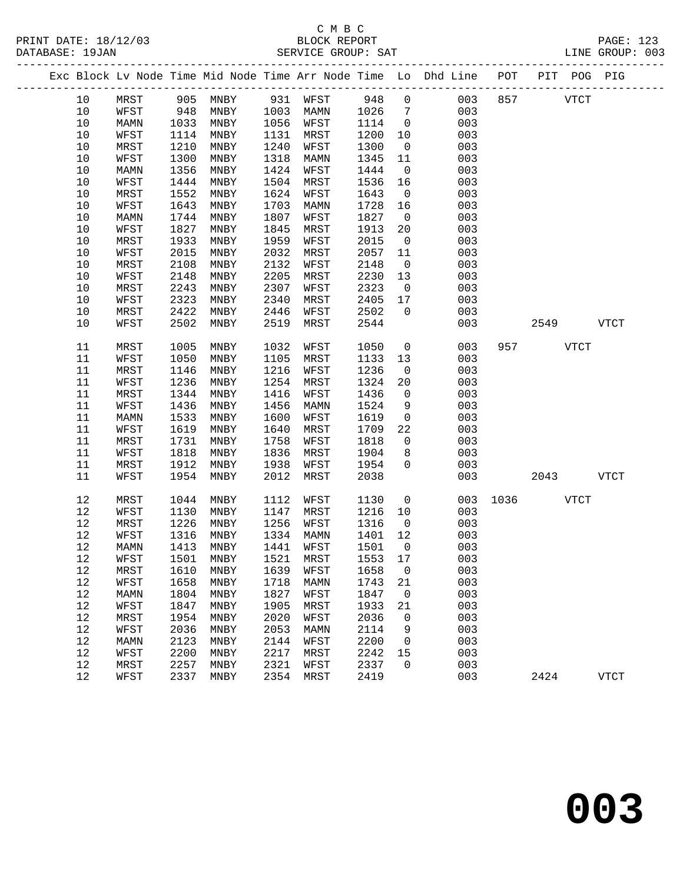## C M B C<br>BLOCK REPORT SERVICE GROUP: SAT

|  |        |             |      |                     |      |             |         |                | Exc Block Lv Node Time Mid Node Time Arr Node Time Lo Dhd Line POT |         | PIT POG PIG |             |
|--|--------|-------------|------|---------------------|------|-------------|---------|----------------|--------------------------------------------------------------------|---------|-------------|-------------|
|  | 10     | MRST        | 905  | MNBY                |      | 931 WFST    | 948     | $\mathsf{O}$   | 003                                                                | 857     | <b>VTCT</b> |             |
|  | 10     | WFST        | 948  | MNBY                | 1003 | MAMN        | 1026    | $\overline{7}$ | 003                                                                |         |             |             |
|  | 10     | MAMN        | 1033 | MNBY                | 1056 | WFST        | 1114    | $\overline{0}$ | 003                                                                |         |             |             |
|  | $10$   | WFST        | 1114 | MNBY                | 1131 | MRST        | 1200    | 10             | 003                                                                |         |             |             |
|  | 10     | MRST        | 1210 | MNBY                | 1240 | WFST        | 1300    | $\mathsf{O}$   | 003                                                                |         |             |             |
|  | 10     | WFST        | 1300 | MNBY                | 1318 | MAMN        | 1345    | 11             | 003                                                                |         |             |             |
|  | 10     | MAMN        | 1356 | MNBY                | 1424 | WFST        | 1444    | $\overline{0}$ | 003                                                                |         |             |             |
|  | $10$   | WFST        | 1444 | MNBY                | 1504 | MRST        | 1536    | 16             | 003                                                                |         |             |             |
|  | 10     | MRST        | 1552 | MNBY                | 1624 | WFST        | 1643    | $\mathsf{O}$   | 003                                                                |         |             |             |
|  | $10$   | WFST        | 1643 | MNBY                | 1703 | MAMN        | 1728    | 16             | 003                                                                |         |             |             |
|  | 10     | MAMN        | 1744 | MNBY                | 1807 | WFST        | 1827    | $\overline{0}$ | 003                                                                |         |             |             |
|  | $10$   | WFST        | 1827 | MNBY                | 1845 | MRST        | 1913    | 20             | 003                                                                |         |             |             |
|  | 10     | MRST        | 1933 | MNBY                | 1959 | WFST        | 2015    | $\mathsf{O}$   | 003                                                                |         |             |             |
|  | 10     | WFST        | 2015 | MNBY                | 2032 | MRST        | 2057    | 11             | 003                                                                |         |             |             |
|  | $10$   | MRST        | 2108 | MNBY                | 2132 | WFST        | 2148    | $\overline{0}$ | 003                                                                |         |             |             |
|  | $10$   | WFST        | 2148 | MNBY                | 2205 | MRST        | 2230    | 13             | 003                                                                |         |             |             |
|  | 10     | MRST        | 2243 | MNBY                | 2307 | WFST        | 2323    | $\overline{0}$ | 003                                                                |         |             |             |
|  | 10     | WFST        | 2323 | MNBY                | 2340 | MRST        | 2405    | 17             | 003                                                                |         |             |             |
|  | $10$   | MRST        | 2422 | MNBY                | 2446 | WFST        | 2502    | $\mathbf 0$    | 003                                                                |         |             |             |
|  | 10     | WFST        | 2502 | MNBY                | 2519 | MRST        | 2544    |                | 003                                                                |         | 2549        | <b>VTCT</b> |
|  |        |             |      |                     |      |             |         |                |                                                                    |         |             |             |
|  | 11     | MRST        | 1005 | MNBY                | 1032 | WFST        | 1050    | $\mathsf{O}$   | 003                                                                | 957     | <b>VTCT</b> |             |
|  | 11     | WFST        | 1050 | MNBY                | 1105 | MRST        | 1133    | 13             | 003                                                                |         |             |             |
|  | 11     | MRST        | 1146 | MNBY                | 1216 | WFST        | 1236    | $\overline{0}$ | 003                                                                |         |             |             |
|  | 11     | WFST        | 1236 | MNBY                | 1254 | MRST        | 1324    | 20             | 003                                                                |         |             |             |
|  | 11     | MRST        | 1344 | MNBY                | 1416 | WFST        | 1436    | 0              | 003                                                                |         |             |             |
|  | 11     | WFST        | 1436 | MNBY                | 1456 | MAMN        | 1524    | 9              | 003                                                                |         |             |             |
|  | 11     | MAMN        | 1533 | MNBY                | 1600 | WFST        | 1619    | $\overline{0}$ | 003                                                                |         |             |             |
|  | 11     | WFST        | 1619 | MNBY                | 1640 | MRST        | 1709    | 22             | 003                                                                |         |             |             |
|  | 11     | MRST        | 1731 | MNBY                | 1758 | WFST        | 1818    | $\overline{0}$ | 003                                                                |         |             |             |
|  | 11     | WFST        | 1818 | MNBY                | 1836 | MRST        | 1904    | 8              | 003                                                                |         |             |             |
|  | 11     | MRST        | 1912 | MNBY                | 1938 | WFST        | 1954    | $\mathbf 0$    | 003                                                                |         |             |             |
|  | 11     | WFST        | 1954 | MNBY                | 2012 | MRST        | 2038    |                | 003                                                                |         | 2043        | <b>VTCT</b> |
|  |        |             |      |                     |      |             |         |                |                                                                    |         |             |             |
|  | 12     | MRST        | 1044 | MNBY                | 1112 | WFST        | 1130    | $\mathsf{O}$   | 003                                                                | 1036 70 | VTCT        |             |
|  | 12     | WFST        | 1130 | MNBY                | 1147 | MRST        | 1216    | 10             | 003                                                                |         |             |             |
|  | 12     | MRST        | 1226 | MNBY                | 1256 | WFST        | 1316    | $\overline{0}$ | 003                                                                |         |             |             |
|  | 12     | WFST        | 1316 | MNBY                | 1334 | MAMN        | 1401    | 12             | 003                                                                |         |             |             |
|  | 12     | MAMN        | 1413 | MNBY                | 1441 | WFST        | 1501    | $\overline{0}$ | 003                                                                |         |             |             |
|  | $12\,$ | WFST        |      | 1501 MNBY 1521 MRST |      |             | 1553 17 |                | 003                                                                |         |             |             |
|  | 12     | MRST        | 1610 | MNBY                | 1639 | WFST        | 1658    | 0              | 003                                                                |         |             |             |
|  | 12     | WFST        | 1658 | MNBY                | 1718 | MAMN        | 1743    | 21             | 003                                                                |         |             |             |
|  | 12     | <b>MAMN</b> | 1804 | MNBY                | 1827 | WFST        | 1847    | $\mathsf{O}$   | 003                                                                |         |             |             |
|  | 12     | WFST        | 1847 | MNBY                | 1905 | MRST        | 1933    | 21             | 003                                                                |         |             |             |
|  | 12     | MRST        | 1954 | MNBY                | 2020 | WFST        | 2036    | 0              | 003                                                                |         |             |             |
|  | 12     | WFST        | 2036 | MNBY                | 2053 | <b>MAMN</b> | 2114    | 9              | 003                                                                |         |             |             |
|  | 12     | MAMN        | 2123 | MNBY                | 2144 | WFST        | 2200    | 0              | 003                                                                |         |             |             |
|  | 12     | WFST        | 2200 | MNBY                | 2217 | MRST        | 2242    | 15             | 003                                                                |         |             |             |
|  | 12     | MRST        | 2257 | MNBY                | 2321 | WFST        | 2337    | 0              | 003                                                                |         |             |             |

12 WFST 2337 MNBY 2354 MRST 2419 003 2424 VTCT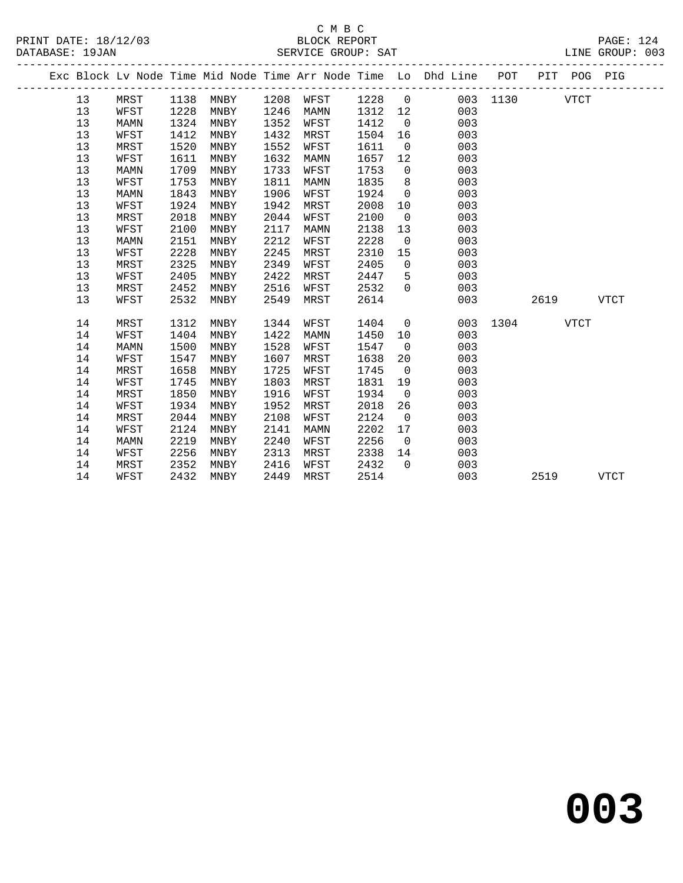#### C M B C<br>BLOCK REPORT SERVICE GROUP: SAT

|  |    |             |      |      |      |                            |         |                | Exc Block Lv Node Time Mid Node Time Arr Node Time Lo Dhd Line POT PIT POG PIG |          |      |             |      |  |
|--|----|-------------|------|------|------|----------------------------|---------|----------------|--------------------------------------------------------------------------------|----------|------|-------------|------|--|
|  | 13 | MRST        |      |      |      | 1138 MNBY 1208 WFST 1228 0 |         |                |                                                                                | 003 1130 |      | <b>VTCT</b> |      |  |
|  | 13 | WFST        | 1228 | MNBY | 1246 | MAMN                       | 1312 12 |                | 003                                                                            |          |      |             |      |  |
|  | 13 | MAMN        | 1324 | MNBY | 1352 | WFST                       | 1412    | $\overline{0}$ | 003                                                                            |          |      |             |      |  |
|  | 13 | WFST        | 1412 | MNBY | 1432 | MRST                       | 1504    | 16             | 003                                                                            |          |      |             |      |  |
|  | 13 | MRST        | 1520 | MNBY | 1552 | WFST                       | 1611    | $\overline{0}$ | 003                                                                            |          |      |             |      |  |
|  | 13 | WFST        | 1611 | MNBY | 1632 | MAMN                       | 1657    | 12             | 003                                                                            |          |      |             |      |  |
|  | 13 | <b>MAMN</b> | 1709 | MNBY | 1733 | WFST                       | 1753    | $\overline{0}$ | 003                                                                            |          |      |             |      |  |
|  | 13 | WFST        | 1753 | MNBY | 1811 | MAMN                       | 1835    | 8 <sup>8</sup> | 003                                                                            |          |      |             |      |  |
|  | 13 | <b>MAMN</b> | 1843 | MNBY | 1906 | WFST                       | 1924    | $\overline{0}$ | 003                                                                            |          |      |             |      |  |
|  | 13 | WFST        | 1924 | MNBY | 1942 | MRST                       | 2008    | 10             | 003                                                                            |          |      |             |      |  |
|  | 13 | MRST        | 2018 | MNBY | 2044 | WFST                       | 2100    | $\overline{0}$ | 003                                                                            |          |      |             |      |  |
|  | 13 | WFST        | 2100 | MNBY | 2117 | MAMN                       | 2138    | 13             | 003                                                                            |          |      |             |      |  |
|  | 13 | MAMN        | 2151 | MNBY | 2212 | WFST                       | 2228    | $\overline{0}$ | 003                                                                            |          |      |             |      |  |
|  | 13 | WFST        | 2228 | MNBY | 2245 | MRST                       | 2310    | 15             | 003                                                                            |          |      |             |      |  |
|  | 13 | MRST        | 2325 | MNBY | 2349 | WFST                       | 2405    | $\overline{0}$ | 003                                                                            |          |      |             |      |  |
|  | 13 | WFST        | 2405 | MNBY | 2422 | MRST                       | 2447    | 5              | 003                                                                            |          |      |             |      |  |
|  | 13 | MRST        | 2452 | MNBY | 2516 | WFST                       | 2532    | $\Omega$       | 003                                                                            |          |      |             |      |  |
|  | 13 | WFST        | 2532 | MNBY | 2549 | MRST                       | 2614    |                | 003                                                                            |          | 2619 |             | VTCT |  |
|  | 14 | MRST        | 1312 | MNBY | 1344 | WFST                       | 1404    | $\overline{0}$ |                                                                                | 003 1304 |      | <b>VTCT</b> |      |  |
|  | 14 | WFST        | 1404 | MNBY | 1422 | MAMN                       | 1450    | 10             | 003                                                                            |          |      |             |      |  |
|  | 14 | <b>MAMN</b> | 1500 | MNBY | 1528 | WFST                       | 1547    | $\overline{0}$ | 003                                                                            |          |      |             |      |  |
|  | 14 | WFST        | 1547 | MNBY | 1607 | MRST                       | 1638    | 20             | 003                                                                            |          |      |             |      |  |
|  | 14 | MRST        | 1658 | MNBY | 1725 | WFST                       | 1745    | $\overline{0}$ | 003                                                                            |          |      |             |      |  |
|  | 14 | WFST        | 1745 | MNBY | 1803 | MRST                       | 1831    | 19             | 003                                                                            |          |      |             |      |  |
|  | 14 | MRST        | 1850 | MNBY | 1916 | WFST                       | 1934    | $\overline{0}$ | 003                                                                            |          |      |             |      |  |
|  | 14 | WFST        | 1934 | MNBY | 1952 | MRST                       | 2018    | 26             | 003                                                                            |          |      |             |      |  |
|  | 14 | MRST        | 2044 | MNBY | 2108 | WFST                       | 2124    | $\overline{0}$ | 003                                                                            |          |      |             |      |  |
|  | 14 | WFST        | 2124 | MNBY | 2141 | MAMN                       | 2202    | 17             | 003                                                                            |          |      |             |      |  |
|  | 14 | MAMN        | 2219 | MNBY | 2240 | WFST                       | 2256    | $\overline{0}$ | 003                                                                            |          |      |             |      |  |
|  | 14 | WFST        | 2256 | MNBY | 2313 | MRST                       | 2338    | 14             | 003                                                                            |          |      |             |      |  |
|  | 14 | MRST        | 2352 | MNBY | 2416 | WFST                       | 2432    | $\Omega$       | 003                                                                            |          |      |             |      |  |
|  |    |             |      |      |      |                            |         |                |                                                                                |          |      |             |      |  |

14 WFST 2432 MNBY 2449 MRST 2514 003 2519 VTCT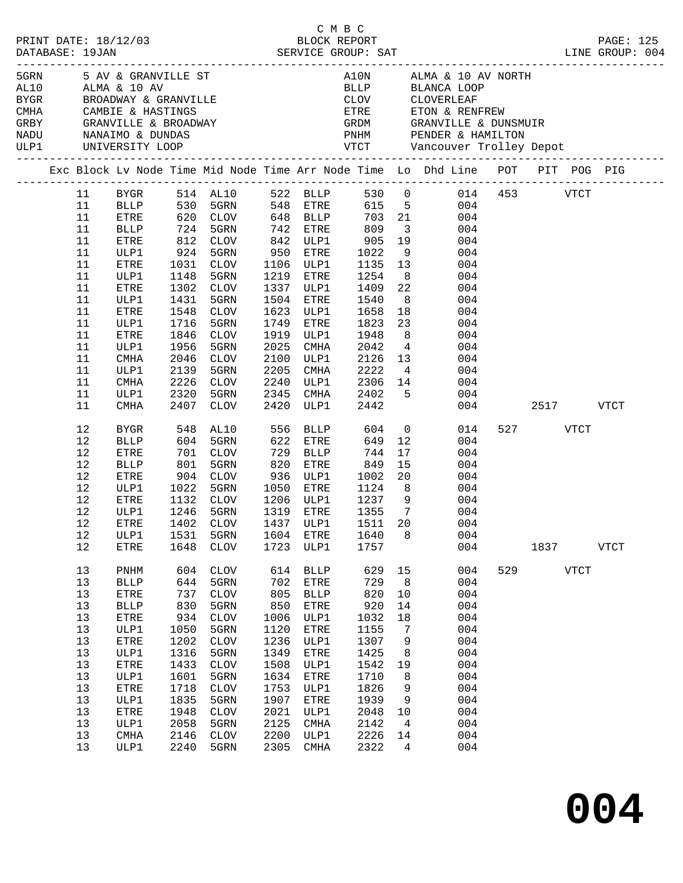|  | DATABASE: 19JAN                                                                                    | PRINT DATE: 18/12/03                                                                                                                                                              |                                                                                                                         | C M B C<br>BLOCK REPORT                                                                                                                                                                |                                                                                                                          |                                                                                                                                            |                                                                                                                          |                                                                                                  | DESCRIPTION DESCRIPTION DESCRIPTION DESCRIPTION DESCRIPTION DESCRIPTION DESCRIPTION DESCRIPTION DESCRIPTIONS D<br>DATABASE: 19JAN DESCRIPTION DESCRIPTION DESCRIPTION DESCRIPTIONS DESCRIPTIONS DESCRIPTIONS DESCRIPTIONS DESCRIP                                                                                                                                   |                  |             | PAGE: 125   |
|--|----------------------------------------------------------------------------------------------------|-----------------------------------------------------------------------------------------------------------------------------------------------------------------------------------|-------------------------------------------------------------------------------------------------------------------------|----------------------------------------------------------------------------------------------------------------------------------------------------------------------------------------|--------------------------------------------------------------------------------------------------------------------------|--------------------------------------------------------------------------------------------------------------------------------------------|--------------------------------------------------------------------------------------------------------------------------|--------------------------------------------------------------------------------------------------|---------------------------------------------------------------------------------------------------------------------------------------------------------------------------------------------------------------------------------------------------------------------------------------------------------------------------------------------------------------------|------------------|-------------|-------------|
|  |                                                                                                    | ULP1 UNIVERSITY LOOP                                                                                                                                                              |                                                                                                                         | 5GRN 5 AV & GRANVILLE ST<br>3T10 ALMA & 10 AV                                                                                                                                          |                                                                                                                          |                                                                                                                                            |                                                                                                                          |                                                                                                  | A10N ALMA & 10 AV NORTH<br>BLLP BLANCA LOOP<br>CLOV CLOVERLEAF<br>PNHM PENDER & HAMILTON                                                                                                                                                                                                                                                                            |                  |             |             |
|  |                                                                                                    |                                                                                                                                                                                   |                                                                                                                         |                                                                                                                                                                                        |                                                                                                                          |                                                                                                                                            |                                                                                                                          |                                                                                                  | Exc Block Lv Node Time Mid Node Time Arr Node Time Lo Dhd Line POT PIT POG PIG                                                                                                                                                                                                                                                                                      |                  |             |             |
|  | 11<br>11<br>11<br>11<br>11<br>11<br>11<br>11<br>11<br>11<br>11<br>11<br>11<br>11<br>11<br>11<br>11 | ETRE<br>ULP1<br>ETRE<br>ULP1<br>ETRE<br>ULP1<br>ETRE<br>ULP1<br>ETRE<br>ULP1<br>CMHA<br>ULP1<br>CMHA                                                                              | 1431<br>1716<br>1846<br>1956<br>2046                                                                                    | 812 CLOV<br>942 - ساب د 1034<br>1034 - 950<br>1031 - 1037 - 1038<br>1031 CLOV<br>1148 5GRN<br>1302 CLOV<br>5GRN<br>1548 CLOV<br>5GRN<br>CLOV<br>5GRN<br>CLOV<br>2139 5GRN<br>2226 CLOV | 1337<br>1504<br>1623<br>1749<br>1919<br>2025<br>2100<br>2205<br>2240                                                     | 842 ULP1<br>ETRE<br>1106 ULP1<br>1219 ETRE<br>ULP1<br>ETRE<br>ULP1<br>ETRE<br>ULP1<br>CMHA<br>ULP1<br>CMHA<br>ULP1                         | 905<br>1022<br>1135<br>1254<br>1409<br>1540<br>1658<br>1823<br>1948<br>2042<br>2126<br>2222<br>2306 14                   | 22<br>18<br>8 <sup>8</sup>                                                                       | BYGR 514 AL10 522 BLLP 530 0 014 453 VTCT<br>BLLP 530 5GRN 548 ETRE 615 5 004<br>ETRE 620 CLOV 648 BLLP 703 21 004<br>BLLP 724 5GRN 742 ETRE 809 3 004<br>19<br>004<br>$\frac{9}{13}$<br>004<br>004<br>8 <sup>1</sup><br>004<br>004<br>8<br>004<br>004<br>23<br>004<br>004<br>$4\overline{ }$<br>004<br>$\begin{array}{c} 13 \\ 4 \end{array}$<br>004<br>004<br>004 |                  |             |             |
|  | 11<br>11                                                                                           | ULP1<br>CMHA                                                                                                                                                                      | 2320<br>2407                                                                                                            | 5GRN<br>CLOV                                                                                                                                                                           | 2345<br>2420                                                                                                             | CMHA<br>ULP1                                                                                                                               | 2402<br>2442                                                                                                             |                                                                                                  | 5 <sub>5</sub><br>004<br>004                                                                                                                                                                                                                                                                                                                                        | 2517 VTCT        |             |             |
|  | 12<br>12<br>12<br>12<br>12<br>12<br>12<br>12<br>12<br>12<br>12                                     | BYGR<br><b>BLLP</b><br>ETRE<br>BLLP<br>ETRE<br>ULP1<br>ETRE<br>ULP1<br>ULP1<br>ETRE                                                                                               | 604<br>1022<br>1531<br>1648                                                                                             | 548 AL10<br>5GRN<br>701 CLOV<br>801 5GRN<br>904 CLOV<br>5GRN<br>1132 CLOV<br>1246 5GRN<br>5GRN<br>CLOV                                                                                 | 556<br>622<br>729<br>820<br>1604<br>1723                                                                                 | BLLP<br>ETRE<br>BLLP<br>ETRE<br>936 ULP1<br>1050 ETRE<br>1206 ULP1<br>1319 ETRE<br>ETRE<br>ULP1                                            | 604<br>649<br>744<br>849<br>1002<br>1124<br>$1237$ 9<br>1355 7<br>1355<br>1640<br>1757                                   | 12<br>17<br>15<br>8 <sup>8</sup><br>$7\overline{ }$<br>8                                         | $\overline{0}$<br>014<br>004<br>004<br>004<br>20<br>004<br>004<br>004<br>004<br>ETRE 1402 CLOV 1437 ULP1 1511 20 004<br>004<br>004                                                                                                                                                                                                                                  | 527 VTCT<br>1837 |             | <b>VTCT</b> |
|  | 13<br>13<br>13<br>13<br>13<br>13<br>13<br>13<br>13<br>$13$<br>13<br>13<br>13<br>13<br>13<br>13     | PNHM<br><b>BLLP</b><br>ETRE<br><b>BLLP</b><br>${\tt ETRE}$<br>ULP1<br>ETRE<br>ULP1<br>${\tt ETRE}$<br>ULP1<br>${\tt ETRE}$<br>ULP1<br>${\tt ETRE}$<br>ULP1<br><b>CMHA</b><br>ULP1 | 604<br>644<br>737<br>830<br>934<br>1050<br>1202<br>1316<br>1433<br>1601<br>1718<br>1835<br>1948<br>2058<br>2146<br>2240 | <b>CLOV</b><br>5GRN<br>CLOV<br>5GRN<br>CLOV<br>5GRN<br><b>CLOV</b><br>5GRN<br><b>CLOV</b><br>5GRN<br><b>CLOV</b><br>5GRN<br><b>CLOV</b><br>5GRN<br><b>CLOV</b><br>5GRN                 | 614<br>702<br>805<br>850<br>1006<br>1120<br>1236<br>1349<br>1508<br>1634<br>1753<br>1907<br>2021<br>2125<br>2200<br>2305 | <b>BLLP</b><br>ETRE<br><b>BLLP</b><br>ETRE<br>ULP1<br>ETRE<br>ULP1<br>ETRE<br>ULP1<br>ETRE<br>ULP1<br>ETRE<br>ULP1<br>CMHA<br>ULP1<br>CMHA | 629<br>729<br>820<br>920<br>1032<br>1155<br>1307<br>1425<br>1542<br>1710<br>1826<br>1939<br>2048<br>2142<br>2226<br>2322 | 15<br>8<br>10<br>14<br>18<br>7<br>9<br>8<br>19<br>8<br>9<br>9<br>10<br>$\overline{4}$<br>14<br>4 | 004<br>004<br>004<br>004<br>004<br>004<br>004<br>004<br>004<br>004<br>004<br>004<br>004<br>004<br>004<br>004                                                                                                                                                                                                                                                        | 529              | <b>VTCT</b> |             |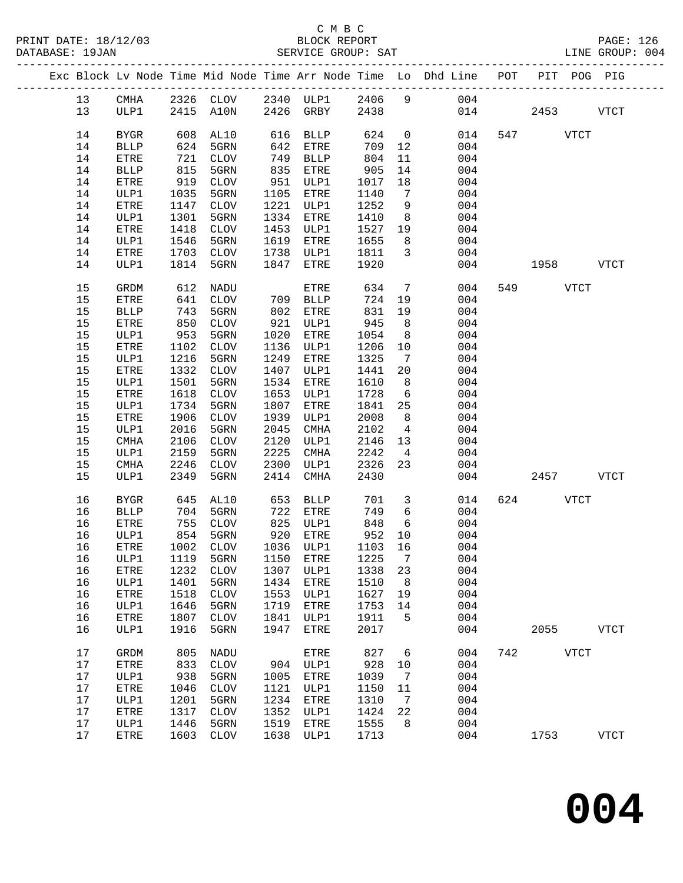|  |    |              |      |                                 |      |             |      |                 | Exc Block Lv Node Time Mid Node Time Arr Node Time Lo Dhd Line POT PIT POG PIG |     |           |             |             |
|--|----|--------------|------|---------------------------------|------|-------------|------|-----------------|--------------------------------------------------------------------------------|-----|-----------|-------------|-------------|
|  | 13 | CMHA         |      |                                 |      |             |      |                 | 2326 CLOV 2340 ULP1 2406 9 004                                                 |     |           |             |             |
|  | 13 | ULP1         |      | 2415 A10N                       |      | 2426 GRBY   | 2438 |                 |                                                                                | 014 | 2453      |             | VTCT        |
|  |    |              |      |                                 |      |             |      |                 |                                                                                |     |           |             |             |
|  | 14 | <b>BYGR</b>  | 608  | AL10                            | 616  | BLLP        | 624  | $\overline{0}$  | 014                                                                            |     | 547 VTCT  |             |             |
|  | 14 | <b>BLLP</b>  | 624  | 5GRN                            | 642  | ETRE        | 709  | 12              | 004                                                                            |     |           |             |             |
|  | 14 | ETRE         | 721  | CLOV                            | 749  | BLLP        | 804  | 11              | 004                                                                            |     |           |             |             |
|  | 14 | <b>BLLP</b>  | 815  | 5GRN                            | 835  | ETRE        | 905  | 14              | 004                                                                            |     |           |             |             |
|  | 14 | ETRE         | 919  | CLOV                            | 951  | ULP1        | 1017 | 18              | 004                                                                            |     |           |             |             |
|  | 14 | ULP1         | 1035 | 5GRN                            | 1105 | ETRE        | 1140 | $\overline{7}$  | 004                                                                            |     |           |             |             |
|  | 14 | ETRE         | 1147 | CLOV                            | 1221 | ULP1        | 1252 | 9               | 004                                                                            |     |           |             |             |
|  | 14 | ULP1         | 1301 | 5GRN                            | 1334 | ETRE        | 1410 | 8 <sup>8</sup>  | 004                                                                            |     |           |             |             |
|  |    |              | 1418 | CLOV                            | 1453 |             |      |                 |                                                                                |     |           |             |             |
|  | 14 | ETRE         | 1546 | 5GRN                            | 1619 | ULP1        | 1527 | 19              | 004<br>004                                                                     |     |           |             |             |
|  | 14 | ULP1         |      |                                 |      | ETRE        | 1655 | 8 <sup>8</sup>  |                                                                                |     |           |             |             |
|  | 14 | ETRE         | 1703 | CLOV                            | 1738 | ULP1        | 1811 | $\mathbf{3}$    | 004                                                                            |     |           |             |             |
|  | 14 | ULP1         | 1814 | 5GRN                            | 1847 | ETRE        | 1920 |                 | 004                                                                            |     | 1958 1990 |             | VTCT        |
|  | 15 | GRDM         | 612  | NADU                            |      | ETRE        | 634  | $\overline{7}$  | 004                                                                            |     | 549       | <b>VTCT</b> |             |
|  | 15 | ETRE         | 641  | <b>CLOV</b>                     | 709  | BLLP        | 724  | 19              | 004                                                                            |     |           |             |             |
|  | 15 | <b>BLLP</b>  | 743  | 5GRN                            | 802  | ETRE        | 831  | 19              | 004                                                                            |     |           |             |             |
|  | 15 | ${\tt ETRE}$ | 850  | CLOV                            | 921  | ULP1        | 945  | 8 <sup>8</sup>  | 004                                                                            |     |           |             |             |
|  | 15 | ULP1         | 953  | 5GRN                            | 1020 | ETRE        | 1054 | 8 <sup>8</sup>  | 004                                                                            |     |           |             |             |
|  | 15 | ETRE         | 1102 | CLOV                            | 1136 | ULP1        | 1206 | 10              | 004                                                                            |     |           |             |             |
|  | 15 | ULP1         | 1216 | 5GRN                            | 1249 | ETRE        | 1325 | $\overline{7}$  | 004                                                                            |     |           |             |             |
|  | 15 | ETRE         | 1332 | CLOV                            | 1407 | ULP1        | 1441 | 20              | 004                                                                            |     |           |             |             |
|  | 15 | ULP1         | 1501 | 5GRN                            | 1534 | ETRE        | 1610 | 8 <sup>8</sup>  | 004                                                                            |     |           |             |             |
|  | 15 | ETRE         | 1618 | CLOV                            | 1653 | ULP1        | 1728 | $6\overline{6}$ | 004                                                                            |     |           |             |             |
|  | 15 | ULP1         | 1734 | 5GRN                            | 1807 | ETRE        | 1841 | 25              | 004                                                                            |     |           |             |             |
|  | 15 | ETRE         | 1906 | CLOV                            | 1939 | ULP1        | 2008 | 8               | 004                                                                            |     |           |             |             |
|  | 15 | ULP1         | 2016 | 5GRN                            | 2045 | CMHA        | 2102 | $\overline{4}$  | 004                                                                            |     |           |             |             |
|  | 15 | CMHA         | 2106 | CLOV                            | 2120 | ULP1        | 2146 | 13              | 004                                                                            |     |           |             |             |
|  | 15 | ULP1         | 2159 | 5GRN                            | 2225 | CMHA        | 2242 | $\overline{4}$  | 004                                                                            |     |           |             |             |
|  | 15 | CMHA         | 2246 | CLOV                            | 2300 | ULP1        | 2326 | 23              | 004                                                                            |     |           |             |             |
|  | 15 | ULP1         | 2349 | 5GRN                            | 2414 | CMHA        | 2430 |                 | 004                                                                            |     | 2457      |             | <b>VTCT</b> |
|  | 16 | <b>BYGR</b>  | 645  | AL10                            | 653  | BLLP        | 701  | $\mathbf{3}$    | 014                                                                            | 624 |           | <b>VTCT</b> |             |
|  | 16 | <b>BLLP</b>  | 704  | 5GRN                            | 722  | ETRE        | 749  | $6\overline{6}$ | 004                                                                            |     |           |             |             |
|  | 16 | ETRE         | 755  | CLOV                            |      | 825 ULP1    | 848  | 6               | 004                                                                            |     |           |             |             |
|  | 16 | ULP1         | 854  | 5GRN                            |      | 920 ETRE    | 952  | 10              | 004                                                                            |     |           |             |             |
|  | 16 | ETRE         | 1002 | CLOV                            |      | 1036 ULP1   | 1103 | 16              | 004                                                                            |     |           |             |             |
|  | 16 |              |      | ULP1 1119 5GRN 1150 ETRE 1225 7 |      |             |      |                 | 004                                                                            |     |           |             |             |
|  | 16 | ETRE         | 1232 | <b>CLOV</b>                     | 1307 | ULP1        | 1338 | 23              | 004                                                                            |     |           |             |             |
|  | 16 | ULP1         | 1401 | 5GRN                            | 1434 | <b>ETRE</b> | 1510 | 8               | 004                                                                            |     |           |             |             |
|  | 16 | ETRE         | 1518 | <b>CLOV</b>                     | 1553 | ULP1        | 1627 | 19              | 004                                                                            |     |           |             |             |
|  | 16 | ULP1         | 1646 | 5GRN                            | 1719 | ETRE        | 1753 | 14              | 004                                                                            |     |           |             |             |
|  | 16 | ETRE         | 1807 | <b>CLOV</b>                     | 1841 | ULP1        | 1911 | 5               | 004                                                                            |     |           |             |             |
|  | 16 | ULP1         | 1916 | 5GRN                            | 1947 | <b>ETRE</b> | 2017 |                 | 004                                                                            |     | 2055      |             | <b>VTCT</b> |
|  | 17 | GRDM         | 805  | NADU                            |      | ETRE        | 827  | 6               | 004                                                                            | 742 |           | <b>VTCT</b> |             |
|  | 17 | ETRE         | 833  | <b>CLOV</b>                     | 904  | ULP1        | 928  | 10              | 004                                                                            |     |           |             |             |
|  | 17 | ULP1         | 938  | 5GRN                            | 1005 | <b>ETRE</b> | 1039 | 7               | 004                                                                            |     |           |             |             |
|  | 17 | ETRE         | 1046 | <b>CLOV</b>                     | 1121 | ULP1        | 1150 | 11              | 004                                                                            |     |           |             |             |
|  | 17 | ULP1         | 1201 | 5GRN                            | 1234 | ETRE        | 1310 | 7               | 004                                                                            |     |           |             |             |
|  | 17 | ETRE         | 1317 | <b>CLOV</b>                     | 1352 | ULP1        | 1424 | 22              | 004                                                                            |     |           |             |             |
|  | 17 | ULP1         | 1446 | 5GRN                            | 1519 | ETRE        | 1555 | 8               | 004                                                                            |     |           |             |             |
|  | 17 | ETRE         | 1603 | <b>CLOV</b>                     | 1638 | ULP1        | 1713 |                 | 004                                                                            |     | 1753      |             | <b>VTCT</b> |
|  |    |              |      |                                 |      |             |      |                 |                                                                                |     |           |             |             |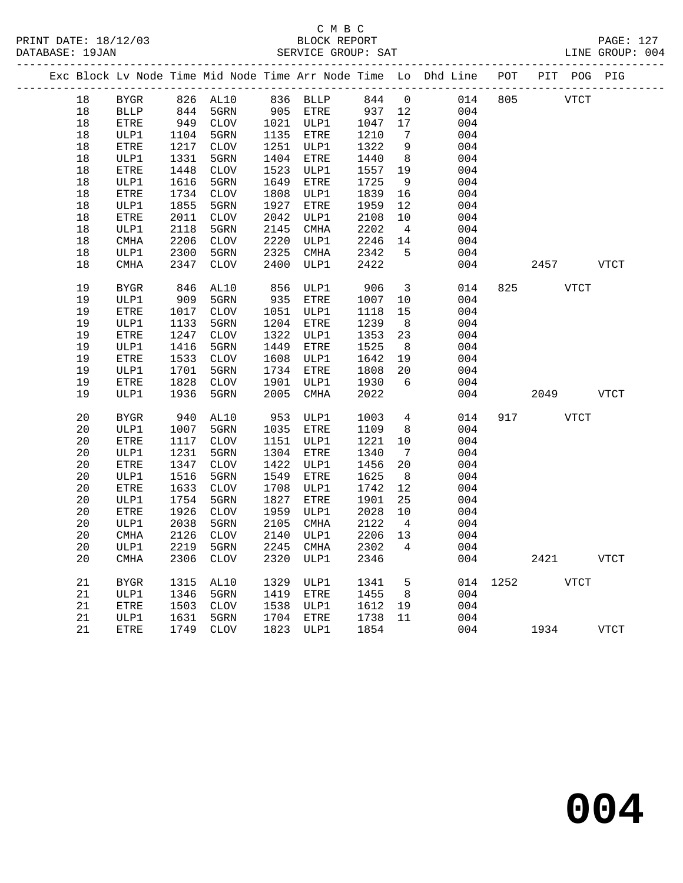## C M B C<br>BLOCK REPORT

| DATABASE: 19JAN |          |      |             |      | SERVICE GROUP: SAT |         |                |                                                                                |     |           |             | LINE GROUP: 004 |
|-----------------|----------|------|-------------|------|--------------------|---------|----------------|--------------------------------------------------------------------------------|-----|-----------|-------------|-----------------|
|                 |          |      |             |      |                    |         |                | Exc Block Lv Node Time Mid Node Time Arr Node Time Lo Dhd Line POT PIT POG PIG |     |           |             |                 |
|                 |          |      |             |      |                    |         |                | 18 BYGR 826 AL10 836 BLLP 844 0 014 805 VTCT                                   |     |           |             |                 |
| 18              | BLLP 844 |      | 5GRN        |      |                    |         |                | $905$ ETRE $937$ 12 004                                                        |     |           |             |                 |
| 18              | ETRE     |      | 949 CLOV    |      | 1021 ULP1          | 1047 17 |                | 004                                                                            |     |           |             |                 |
| 18              | ULP1     | 1104 | 5GRN        | 1135 | ETRE               | 1210    | $\overline{7}$ | 004                                                                            |     |           |             |                 |
| 18              | ETRE     | 1217 | <b>CLOV</b> | 1251 | ULP1               | 1322    | 9              | 004                                                                            |     |           |             |                 |
| $18\,$          | ULP1     | 1331 | 5GRN        | 1404 | ETRE               | 1440    |                | 8<br>004                                                                       |     |           |             |                 |
| 18              | ETRE     | 1448 | <b>CLOV</b> | 1523 | ULP1               | 1557 19 |                | 004                                                                            |     |           |             |                 |
| 18              | ULP1     | 1616 | 5GRN        | 1649 | ETRE               | 1725    | $\overline{9}$ | 004                                                                            |     |           |             |                 |
| 18              | ETRE     | 1734 | <b>CLOV</b> | 1808 | ULP1               | 1839 16 |                | 004                                                                            |     |           |             |                 |
| 18              | ULP1     | 1855 | 5GRN        | 1927 | ETRE               | 1959 12 |                | 004                                                                            |     |           |             |                 |
| 18              | ETRE     | 2011 | <b>CLOV</b> | 2042 | ULP1               | 2108 10 |                | 004                                                                            |     |           |             |                 |
| 18              | ULP1     | 2118 | 5GRN        | 2145 | CMHA               | 2202    | $\overline{4}$ | 004                                                                            |     |           |             |                 |
| 18              | CMHA     | 2206 | <b>CLOV</b> | 2220 | ULP1               | 2246 14 |                | 004                                                                            |     |           |             |                 |
| 18              | ULP1     | 2300 | 5GRN        | 2325 | CMHA               | 2342 5  |                | 004                                                                            |     |           |             |                 |
| 18              | CMHA     |      | 2347 CLOV   | 2400 | ULP1               | 2422    |                | 004                                                                            |     |           | 2457 VTCT   |                 |
| 19              | BYGR     | 846  | AL10        | 856  | ULP1               | 906 3   |                | 014                                                                            |     | 825 — 100 | <b>VTCT</b> |                 |
| 19              | ULP1     | 909  | 5GRN        | 935  | ETRE               | 1007 10 |                | 004                                                                            |     |           |             |                 |
| 19              | ETRE     | 1017 | <b>CLOV</b> | 1051 | ULP1               | 1118    | 15             | 004                                                                            |     |           |             |                 |
| 19              | ULP1     | 1133 | 5GRN        | 1204 | ETRE               | 1239    | 8              | 004                                                                            |     |           |             |                 |
| 19              | ETRE     | 1247 | <b>CLOV</b> | 1322 | ULP1               | 1353    |                | 23<br>004                                                                      |     |           |             |                 |
| 19              | ULP1     | 1416 | 5GRN        | 1449 | ETRE               | 1525    | 8 <sup>8</sup> | 004                                                                            |     |           |             |                 |
| 19              | ETRE     | 1533 | <b>CLOV</b> | 1608 | ULP1               | 1642 19 |                | 004                                                                            |     |           |             |                 |
| 19              | ULP1     | 1701 | 5GRN        | 1734 | ETRE               | 1808 20 |                | 004                                                                            |     |           |             |                 |
| 19              | ETRE     | 1828 | CLOV        | 1901 | ULP1               | 1930 6  |                | 004                                                                            |     |           |             |                 |
| 19              | ULP1     | 1936 | 5GRN        | 2005 | CMHA               | 2022    |                |                                                                                | 004 | 2049      |             | <b>VTCT</b>     |
| 20              | BYGR     |      | 940 AL10    |      | 953 ULP1           | 1003 4  |                | 014                                                                            |     | 917 — 10  | <b>VTCT</b> |                 |
| 20              | ULP1     | 1007 | 5GRN        | 1035 | ETRE               | 1109    | 8              | 004                                                                            |     |           |             |                 |
| 20              | ETRE     |      | 1117 CLOV   | 1151 | ULP1               | 1221 10 |                | 004                                                                            |     |           |             |                 |
| 20              | ULP1     | 1231 | 5GRN        | 1304 | ETRE               | 1340    | 7              | 004                                                                            |     |           |             |                 |
| 20              | ETRE     | 1347 | <b>CLOV</b> |      | 1422 ULP1          | 1456 20 |                | 004                                                                            |     |           |             |                 |

20 CMHA 2306 CLOV 2320 ULP1 2346 004 2421 VTCT

21 BYGR 1315 AL10 1329 ULP1 1341 5 014 1252 VTCT

21 ETRE 1749 CLOV 1823 ULP1 1854 004 1934 VTCT

 20 ETRE 1347 CLOV 1422 ULP1 1456 20 004 20 ULP1 1516 5GRN 1549 ETRE 1625 8 004 20 ETRE 1633 CLOV 1708 ULP1 1742 12 004

21 ULP1 1346 5GRN 1419 ETRE 1455 8 004

21 ULP1 1631 5GRN 1704 ETRE 1738 11 004

 20 ULP1 1754 5GRN 1827 ETRE 1901 25 004 20 ETRE 1926 CLOV 1959 ULP1 2028 10 004

 20 ULP1 2038 5GRN 2105 CMHA 2122 4 004 20 CMHA 2126 CLOV 2140 ULP1 2206 13 004 20 ULP1 2219 5GRN 2245 CMHA 2302 4 004

21 ETRE 1503 CLOV 1538 ULP1 1612 19 004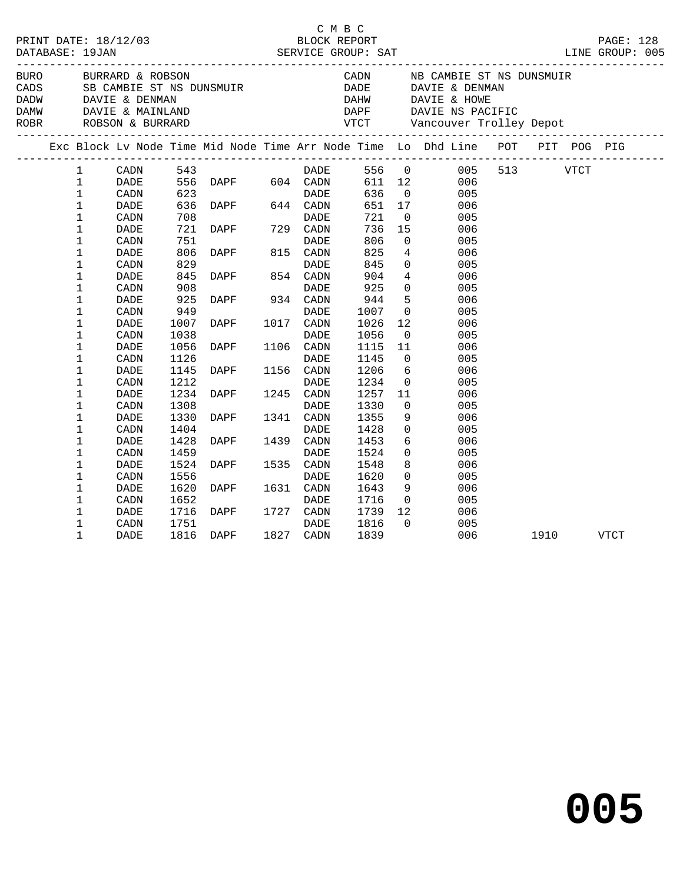| PRINT DATE: 18/12/03<br>DATABASE: 19JAN |                                                                                                                            |                      |                                |                           | C M B C<br>BLOCK REPORT<br>SERVICE GROUP: SAT |                                                      |                                                                                |          | PAGE: 128<br>LINE GROUP: 005 |
|-----------------------------------------|----------------------------------------------------------------------------------------------------------------------------|----------------------|--------------------------------|---------------------------|-----------------------------------------------|------------------------------------------------------|--------------------------------------------------------------------------------|----------|------------------------------|
| BURO                                    | BURRARD & ROBSON<br>CADS SB CAMBIE ST NS DUNSMUIR<br>CADD DAVIE & DENMAN<br>DAMW DAVIE & MAINLAND<br>ROBR ROBSON & BURRARD |                      |                                |                           |                                               |                                                      | CADN NB CAMBIE ST NS DUNSMUIR<br>DADE DAVIE & DENMAN                           |          |                              |
|                                         |                                                                                                                            |                      |                                |                           |                                               |                                                      |                                                                                |          |                              |
|                                         |                                                                                                                            |                      |                                |                           |                                               |                                                      | Exc Block Lv Node Time Mid Node Time Arr Node Time Lo Dhd Line POT PIT POG PIG |          |                              |
| $\mathbf{1}$<br>$\mathbf{1}$            | CADN 543<br>DADE                                                                                                           |                      |                                | <b>DADE</b>               | 611 12                                        |                                                      | 556 0<br>005<br>006                                                            | 513 VTCT |                              |
| 1<br>$\mathbf{1}$<br>1                  | CADN<br>DADE<br>CADN                                                                                                       | 708                  | $636$ DAPF $644$ CADN          |                           | 636<br>651 17<br>721                          | $\overline{0}$<br>$\overline{0}$                     | 005<br>006<br>005                                                              |          |                              |
| 1<br>1                                  | DADE<br>CADN                                                                                                               | 721<br>751           |                                | DADE                      | 806                                           | 736 15<br>$\overline{0}$                             | 006<br>005                                                                     |          |                              |
| 1<br>$\mathbf 1$<br>1                   | DADE<br>CADN<br>DADE                                                                                                       | 806<br>829<br>845    | DAPF 815 CADN<br>DAPF 854 CADN | DADE                      | 825<br>845<br>904                             | $4\overline{ }$<br>$\overline{0}$<br>$4\overline{ }$ | 006<br>005<br>006                                                              |          |                              |
| 1<br>1                                  | CADN<br>DADE                                                                                                               | 908<br>925<br>949    | DADE DADE PADE                 |                           | 925<br>944                                    | $\Omega$<br>5                                        | 005<br>006                                                                     |          |                              |
| $\mathbf 1$<br>1                        | CADN<br>DADE                                                                                                               | 1007                 | <b>DAPF</b>                    | DADE<br>1017 CADN         | 1007<br>1026                                  | $\overline{0}$<br>12                                 | 005<br>006                                                                     |          |                              |
| 1<br>1<br>1                             | CADN<br><b>DADE</b><br>CADN                                                                                                | 1038<br>1056<br>1126 | <b>DAPF</b><br><u>and</u> and  | DADE<br>1106 CADN<br>DADE | 1056<br>1115<br>1145                          | $\overline{0}$<br>11<br>$\overline{0}$               | 005<br>006<br>005                                                              |          |                              |
| 1<br>1                                  | DADE<br>CADN                                                                                                               | 1145<br>1212         | DAPF                           | 1156 CADN                 | 1206<br>1234                                  | 6<br>$\overline{0}$                                  | 006<br>005                                                                     |          |                              |
| 1<br>1<br>1                             | DADE<br>CADN<br>DADE                                                                                                       | 1234<br>1308<br>1330 | <b>DAPF</b>                    | DADE<br>1341 CADN         | 1257<br>1330<br>1355                          | 11<br>$\mathbf{0}$<br>9                              | 006<br>005<br>006                                                              |          |                              |
| $\mathbf 1$<br>1                        | CADN<br>DADE                                                                                                               | 1404<br>1428         | <b>DAPF</b>                    | DADE<br>1439 CADN         | 1428<br>1453                                  | $\overline{0}$<br>6                                  | 005<br>006                                                                     |          |                              |
| 1<br>1                                  | CADN<br>DADE                                                                                                               | 1459<br>1524         | DAPF 153                       | DADE<br>1535 CADN         | 1524<br>1548                                  | $\overline{0}$<br>8                                  | 005<br>006                                                                     |          |                              |
| 1<br>1<br>1                             | CADN<br>DADE<br>CADN                                                                                                       | 1556<br>1620<br>1652 | DAPF 1631 CADN                 | DADE<br>DADE              | 1620<br>1643<br>1716                          | $\overline{0}$<br>9<br>$\overline{0}$                | 005<br>006<br>005                                                              |          |                              |
| 1<br>1                                  | DADE<br>CADN                                                                                                               | 1716<br>1751         | DAPF 1727 CADN                 | DADE                      | 1739<br>1816                                  | 12<br>$\Omega$                                       | 006<br>005                                                                     |          |                              |
| $\mathbf{1}$                            | <b>DADE</b>                                                                                                                | 1816                 | DAPF                           | 1827 CADN                 | 1839                                          |                                                      | 006                                                                            | 1910     | VTCT                         |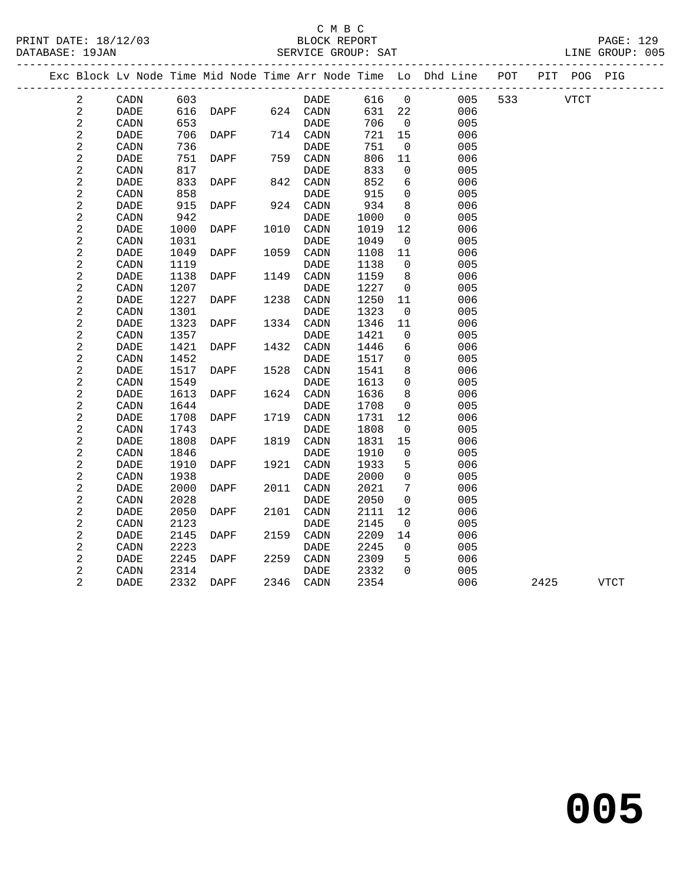#### C M B C<br>BLOCK REPORT SERVICE GROUP: SAT

PRINT DATE: 18/12/03 BLOCK REPORT PAGE: 129

|                     |                              |              |               |      |                              |              |                          | Exc Block Lv Node Time Mid Node Time Arr Node Time Lo Dhd Line POT |     |             | PIT POG PIG |             |
|---------------------|------------------------------|--------------|---------------|------|------------------------------|--------------|--------------------------|--------------------------------------------------------------------|-----|-------------|-------------|-------------|
| 2                   | CADN                         | 603          |               |      | DADE                         | 616          | $\overline{0}$           | 005                                                                | 533 | <b>VTCT</b> |             |             |
| 2                   | DADE                         | 616          | DAPF 624 CADN |      |                              | 631          | 22                       | 006                                                                |     |             |             |             |
| $\sqrt{2}$          | CADN                         | 653          |               |      | <b>DADE</b>                  | 706          | $\overline{0}$           | 005                                                                |     |             |             |             |
| $\overline{c}$      | DADE                         | 706          | DAPF          |      | 714 CADN                     | 721          | 15                       | 006                                                                |     |             |             |             |
| 2                   | CADN                         | 736          |               |      | DADE                         | 751          | $\overline{\phantom{0}}$ | 005                                                                |     |             |             |             |
| $\sqrt{2}$          | DADE                         | 751          | DAPF          |      | 759 CADN                     | 806          | 11                       | 006                                                                |     |             |             |             |
| $\sqrt{2}$          | CADN                         | 817          |               |      | DADE                         | 833          | $\mathbf 0$              | 005                                                                |     |             |             |             |
| 2                   | DADE                         | 833          | DAPF          |      | 842 CADN                     | 852          | 6                        | 006                                                                |     |             |             |             |
| $\sqrt{2}$          | CADN                         | 858          |               |      | DADE                         | 915          | $\mathbf{0}$             | 005                                                                |     |             |             |             |
| $\sqrt{2}$          | DADE                         | 915          | DAPF          |      | 924 CADN                     | 934          | 8                        | 006                                                                |     |             |             |             |
| $\sqrt{2}$          | CADN                         | 942          |               |      | DADE                         | 1000         | $\mathbf 0$              | 005                                                                |     |             |             |             |
| $\sqrt{2}$          | DADE                         | 1000         | DAPF          |      | 1010 CADN                    | 1019         | 12                       | 006                                                                |     |             |             |             |
| $\sqrt{2}$          | CADN                         | 1031         |               |      | $\ensuremath{\mathsf{DADE}}$ | 1049         | $\overline{0}$           | 005                                                                |     |             |             |             |
| $\sqrt{2}$          | DADE                         | 1049         | DAPF          | 1059 | CADN                         | 1108         | 11                       | 006                                                                |     |             |             |             |
| $\sqrt{2}$          | CADN                         | 1119         |               |      | DADE                         | 1138         | $\overline{0}$           | 005                                                                |     |             |             |             |
| $\sqrt{2}$          | DADE                         | 1138         | DAPF          | 1149 | CADN                         | 1159         | 8                        | 006                                                                |     |             |             |             |
| $\sqrt{2}$          | CADN                         | 1207         |               |      | DADE                         | 1227         | $\overline{0}$           | 005                                                                |     |             |             |             |
| $\sqrt{2}$          | DADE                         | 1227         | DAPF          | 1238 | CADN                         | 1250         | 11                       | 006                                                                |     |             |             |             |
| $\sqrt{2}$          | CADN                         | 1301         |               |      | DADE                         | 1323         | 0                        | 005                                                                |     |             |             |             |
| $\sqrt{2}$          | $\ensuremath{\mathsf{DADE}}$ | 1323         | DAPF          |      | 1334 CADN                    | 1346         | 11                       | 006                                                                |     |             |             |             |
| $\sqrt{2}$          | CADN                         | 1357         |               |      | <b>DADE</b>                  | 1421         | $\mathbf{0}$             | 005                                                                |     |             |             |             |
| $\sqrt{2}$          | <b>DADE</b>                  | 1421         | DAPF          | 1432 | CADN                         | 1446         | 6                        | 006                                                                |     |             |             |             |
| $\sqrt{2}$          | CADN                         | 1452         |               |      | DADE                         | 1517         | 0                        | 005                                                                |     |             |             |             |
| $\sqrt{2}$          | <b>DADE</b>                  | 1517         | DAPF          | 1528 | CADN                         | 1541         | 8                        | 006                                                                |     |             |             |             |
| 2                   | CADN                         | 1549         |               |      | DADE                         | 1613         | $\mathbf 0$              | 005                                                                |     |             |             |             |
| $\sqrt{2}$          | DADE                         | 1613         | DAPF          |      | 1624 CADN                    | 1636         | 8                        | 006                                                                |     |             |             |             |
| $\sqrt{2}$          | CADN                         | 1644         |               |      | DADE                         | 1708         | 0                        | 005                                                                |     |             |             |             |
| 2                   | DADE                         | 1708         | DAPF          |      | 1719 CADN                    | 1731         | 12                       | 006                                                                |     |             |             |             |
| $\sqrt{2}$          | CADN                         | 1743         |               |      | DADE                         | 1808         | $\mathbf 0$              | 005                                                                |     |             |             |             |
| $\mathbf{2}$        | DADE                         | 1808         | DAPF          | 1819 | CADN                         | 1831         | 15                       | 006                                                                |     |             |             |             |
| $\sqrt{2}$          | CADN                         | 1846         |               |      | DADE                         | 1910         | $\mathbf 0$              | 005                                                                |     |             |             |             |
| $\sqrt{2}$          | DADE                         | 1910         | DAPF          |      | 1921 CADN                    | 1933         | 5                        | 006                                                                |     |             |             |             |
| $\sqrt{2}$          | CADN                         | 1938         |               |      | DADE                         | 2000         | $\mathbf 0$              | 005                                                                |     |             |             |             |
| $\sqrt{2}$          | <b>DADE</b>                  | 2000         | DAPF          | 2011 | CADN                         | 2021         | 7                        | 006                                                                |     |             |             |             |
| $\overline{a}$      | CADN                         | 2028         |               |      | <b>DADE</b>                  | 2050         | $\mathbf 0$              | 005                                                                |     |             |             |             |
| $\sqrt{2}$          | DADE                         | 2050         | DAPF          | 2101 | CADN                         | 2111         | 12                       | 006                                                                |     |             |             |             |
| $\sqrt{2}$          | CADN                         | 2123         |               |      | DADE                         | 2145         | $\overline{0}$           | 005                                                                |     |             |             |             |
| $\sqrt{2}$<br>2     | DADE                         | 2145<br>2223 | DAPF          | 2159 | CADN                         | 2209<br>2245 | 14<br>$\overline{0}$     | 006<br>005                                                         |     |             |             |             |
|                     | CADN                         |              |               | 2259 | DADE                         |              |                          |                                                                    |     |             |             |             |
| 2                   | DADE                         | 2245<br>2314 | DAPF          |      | CADN                         | 2309<br>2332 | 5<br>$\Omega$            | 006<br>005                                                         |     |             |             |             |
| 2<br>$\overline{2}$ | CADN<br><b>DADE</b>          | 2332         | DAPF          |      | DADE<br>2346 CADN            | 2354         |                          | 006                                                                |     | 2425        |             | <b>VTCT</b> |
|                     |                              |              |               |      |                              |              |                          |                                                                    |     |             |             |             |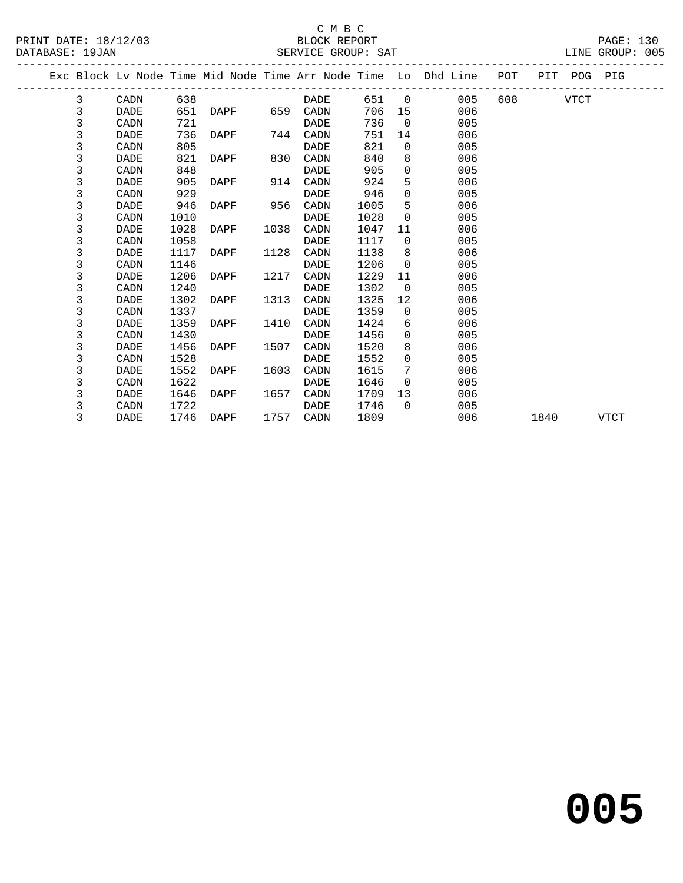|  |              |      |      |      |      |           |      |                 | Exc Block Lv Node Time Mid Node Time Arr Node Time Lo Dhd Line POT |          |      | PIT POG PIG |             |  |
|--|--------------|------|------|------|------|-----------|------|-----------------|--------------------------------------------------------------------|----------|------|-------------|-------------|--|
|  | 3            | CADN | 638  |      |      | DADE      |      |                 | 651 0<br>005                                                       | 608 — 10 |      | VTCT        |             |  |
|  | $\mathsf{3}$ | DADE | 651  | DAPF |      | 659 CADN  | 706  | 15              | 006                                                                |          |      |             |             |  |
|  | 3            | CADN | 721  |      |      | DADE      | 736  | $\overline{0}$  | 005                                                                |          |      |             |             |  |
|  | 3            | DADE | 736  | DAPF |      | 744 CADN  | 751  | 14              | 006                                                                |          |      |             |             |  |
|  | 3            | CADN | 805  |      |      | DADE      | 821  | $\Omega$        | 005                                                                |          |      |             |             |  |
|  | 3            | DADE | 821  | DAPF | 830  | CADN      | 840  | 8               | 006                                                                |          |      |             |             |  |
|  | 3            | CADN | 848  |      |      | DADE      | 905  | $\mathbf{0}$    | 005                                                                |          |      |             |             |  |
|  | 3            | DADE | 905  | DAPF | 914  | CADN      | 924  | 5               | 006                                                                |          |      |             |             |  |
|  | 3            | CADN | 929  |      |      | DADE      | 946  | $\Omega$        | 005                                                                |          |      |             |             |  |
|  | 3            | DADE | 946  | DAPF | 956  | CADN      | 1005 | 5               | 006                                                                |          |      |             |             |  |
|  | 3            | CADN | 1010 |      |      | DADE      | 1028 | $\Omega$        | 005                                                                |          |      |             |             |  |
|  | 3            | DADE | 1028 | DAPF | 1038 | CADN      | 1047 | 11              | 006                                                                |          |      |             |             |  |
|  | 3            | CADN | 1058 |      |      | DADE      | 1117 | $\Omega$        | 005                                                                |          |      |             |             |  |
|  | 3            | DADE | 1117 | DAPF | 1128 | CADN      | 1138 | 8               | 006                                                                |          |      |             |             |  |
|  | 3            | CADN | 1146 |      |      | DADE      | 1206 | $\Omega$        | 005                                                                |          |      |             |             |  |
|  | 3            | DADE | 1206 | DAPF | 1217 | CADN      | 1229 | 11              | 006                                                                |          |      |             |             |  |
|  | 3            | CADN | 1240 |      |      | DADE      | 1302 | $\overline{0}$  | 005                                                                |          |      |             |             |  |
|  | 3            | DADE | 1302 | DAPF | 1313 | CADN      | 1325 | 12              | 006                                                                |          |      |             |             |  |
|  | 3            | CADN | 1337 |      |      | DADE      | 1359 | $\overline{0}$  | 005                                                                |          |      |             |             |  |
|  | 3            | DADE | 1359 | DAPF | 1410 | CADN      | 1424 | 6               | 006                                                                |          |      |             |             |  |
|  | 3            | CADN | 1430 |      |      | DADE      | 1456 | $\Omega$        | 005                                                                |          |      |             |             |  |
|  | 3            | DADE | 1456 | DAPF | 1507 | CADN      | 1520 | 8               | 006                                                                |          |      |             |             |  |
|  | 3            | CADN | 1528 |      |      | DADE      | 1552 | $\Omega$        | 005                                                                |          |      |             |             |  |
|  | 3            | DADE | 1552 | DAPF | 1603 | CADN      | 1615 | $7\phantom{.0}$ | 006                                                                |          |      |             |             |  |
|  | 3            | CADN | 1622 |      |      | DADE      | 1646 | $\Omega$        | 005                                                                |          |      |             |             |  |
|  | 3            | DADE | 1646 | DAPF | 1657 | CADN      | 1709 | 13              | 006                                                                |          |      |             |             |  |
|  | 3            | CADN | 1722 |      |      | DADE      | 1746 | $\Omega$        | 005                                                                |          |      |             |             |  |
|  | 3            | DADE | 1746 | DAPF |      | 1757 CADN | 1809 |                 | 006                                                                |          | 1840 |             | <b>VTCT</b> |  |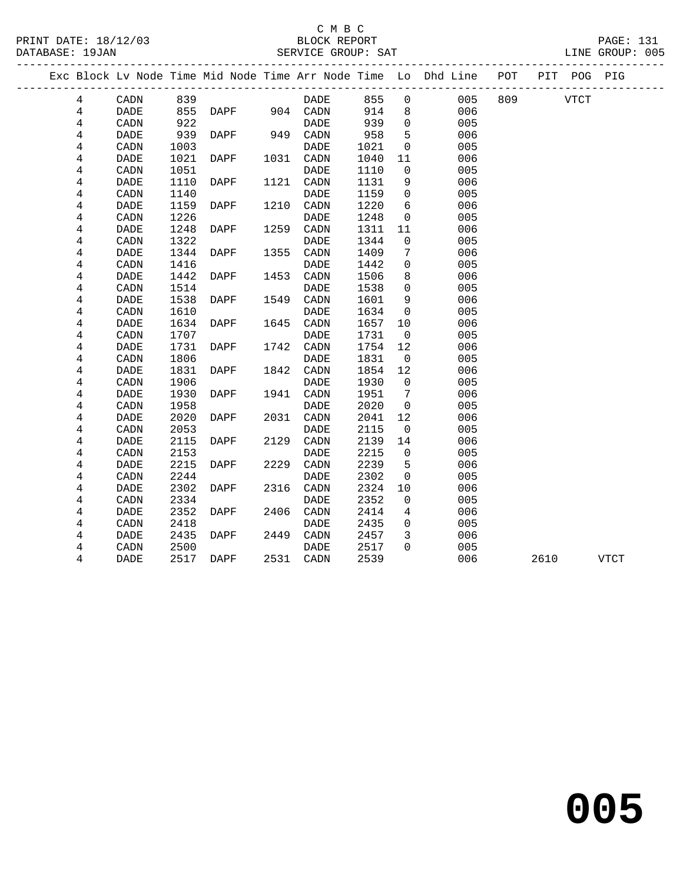|   |             |      |               |      |             |      |                | Exc Block Lv Node Time Mid Node Time Arr Node Time Lo Dhd Line | POT |             | PIT POG PIG |             |  |
|---|-------------|------|---------------|------|-------------|------|----------------|----------------------------------------------------------------|-----|-------------|-------------|-------------|--|
| 4 | CADN        | 839  |               |      | DADE        | 855  | $\overline{0}$ | 005                                                            | 809 | <b>VTCT</b> |             |             |  |
| 4 | DADE        | 855  | DAPF 904 CADN |      |             | 914  | 8              | 006                                                            |     |             |             |             |  |
| 4 | CADN        | 922  |               |      | <b>DADE</b> | 939  | $\Omega$       | 005                                                            |     |             |             |             |  |
| 4 | DADE        | 939  | DAPF          |      | 949 CADN    | 958  | 5              | 006                                                            |     |             |             |             |  |
| 4 | CADN        | 1003 |               |      | DADE        | 1021 | $\overline{0}$ | 005                                                            |     |             |             |             |  |
| 4 | DADE        | 1021 | DAPF          | 1031 | CADN        | 1040 | 11             | 006                                                            |     |             |             |             |  |
| 4 | CADN        | 1051 |               |      | DADE        | 1110 | 0              | 005                                                            |     |             |             |             |  |
| 4 | <b>DADE</b> | 1110 | DAPF          | 1121 | CADN        | 1131 | 9              | 006                                                            |     |             |             |             |  |
| 4 | CADN        | 1140 |               |      | <b>DADE</b> | 1159 | $\overline{0}$ | 005                                                            |     |             |             |             |  |
| 4 | <b>DADE</b> | 1159 | DAPF          | 1210 | CADN        | 1220 | 6              | 006                                                            |     |             |             |             |  |
| 4 | CADN        | 1226 |               |      | DADE        | 1248 | $\mathsf{O}$   | 005                                                            |     |             |             |             |  |
| 4 | <b>DADE</b> | 1248 | DAPF          | 1259 | CADN        | 1311 | 11             | 006                                                            |     |             |             |             |  |
| 4 | CADN        | 1322 |               |      | DADE        | 1344 | $\mathbf 0$    | 005                                                            |     |             |             |             |  |
| 4 | <b>DADE</b> | 1344 | DAPF          | 1355 | CADN        | 1409 | 7              | 006                                                            |     |             |             |             |  |
| 4 | CADN        | 1416 |               |      | DADE        | 1442 | $\mathbf 0$    | 005                                                            |     |             |             |             |  |
| 4 | <b>DADE</b> | 1442 | DAPF          | 1453 | CADN        | 1506 | 8              | 006                                                            |     |             |             |             |  |
| 4 | CADN        | 1514 |               |      | DADE        | 1538 | $\mathbf 0$    | 005                                                            |     |             |             |             |  |
| 4 | DADE        | 1538 | DAPF          | 1549 | CADN        | 1601 | 9              | 006                                                            |     |             |             |             |  |
| 4 | CADN        | 1610 |               |      | DADE        | 1634 | $\mathbf 0$    | 005                                                            |     |             |             |             |  |
| 4 | DADE        | 1634 | DAPF          | 1645 | CADN        | 1657 | 10             | 006                                                            |     |             |             |             |  |
| 4 | CADN        | 1707 |               |      | <b>DADE</b> | 1731 | $\overline{0}$ | 005                                                            |     |             |             |             |  |
| 4 | DADE        | 1731 | DAPF          | 1742 | CADN        | 1754 | 12             | 006                                                            |     |             |             |             |  |
| 4 | CADN        | 1806 |               |      | <b>DADE</b> | 1831 | $\overline{0}$ | 005                                                            |     |             |             |             |  |
| 4 | DADE        | 1831 | DAPF          | 1842 | CADN        | 1854 | 12             | 006                                                            |     |             |             |             |  |
| 4 | CADN        | 1906 |               |      | <b>DADE</b> | 1930 | $\mathbf 0$    | 005                                                            |     |             |             |             |  |
| 4 | DADE        | 1930 | DAPF          | 1941 | CADN        | 1951 | 7              | 006                                                            |     |             |             |             |  |
| 4 | CADN        | 1958 |               |      | <b>DADE</b> | 2020 | $\mathbf 0$    | 005                                                            |     |             |             |             |  |
| 4 | DADE        | 2020 | DAPF          | 2031 | CADN        | 2041 | 12             | 006                                                            |     |             |             |             |  |
| 4 | CADN        | 2053 |               |      | <b>DADE</b> | 2115 | $\mathbf 0$    | 005                                                            |     |             |             |             |  |
| 4 | DADE        | 2115 | DAPF          | 2129 | CADN        | 2139 | 14             | 006                                                            |     |             |             |             |  |
| 4 | CADN        | 2153 |               |      | DADE        | 2215 | $\overline{0}$ | 005                                                            |     |             |             |             |  |
| 4 | DADE        | 2215 | DAPF          | 2229 | CADN        | 2239 | 5              | 006                                                            |     |             |             |             |  |
| 4 | CADN        | 2244 |               |      | DADE        | 2302 | 0              | 005                                                            |     |             |             |             |  |
| 4 | <b>DADE</b> | 2302 | DAPF          | 2316 | CADN        | 2324 | 10             | 006                                                            |     |             |             |             |  |
| 4 | CADN        | 2334 |               |      | <b>DADE</b> | 2352 | $\mathbf 0$    | 005                                                            |     |             |             |             |  |
| 4 | <b>DADE</b> | 2352 | DAPF          | 2406 | CADN        | 2414 | 4              | 006                                                            |     |             |             |             |  |
| 4 | CADN        | 2418 |               |      | DADE        | 2435 | $\overline{0}$ | 005                                                            |     |             |             |             |  |
| 4 | <b>DADE</b> | 2435 | DAPF          | 2449 | CADN        | 2457 | $\overline{3}$ | 006                                                            |     |             |             |             |  |
| 4 | CADN        | 2500 |               |      | DADE        | 2517 | $\Omega$       | 005                                                            |     |             |             |             |  |
| 4 | <b>DADE</b> | 2517 | DAPF          | 2531 | CADN        | 2539 |                | 006                                                            |     | 2610        |             | <b>VTCT</b> |  |
|   |             |      |               |      |             |      |                |                                                                |     |             |             |             |  |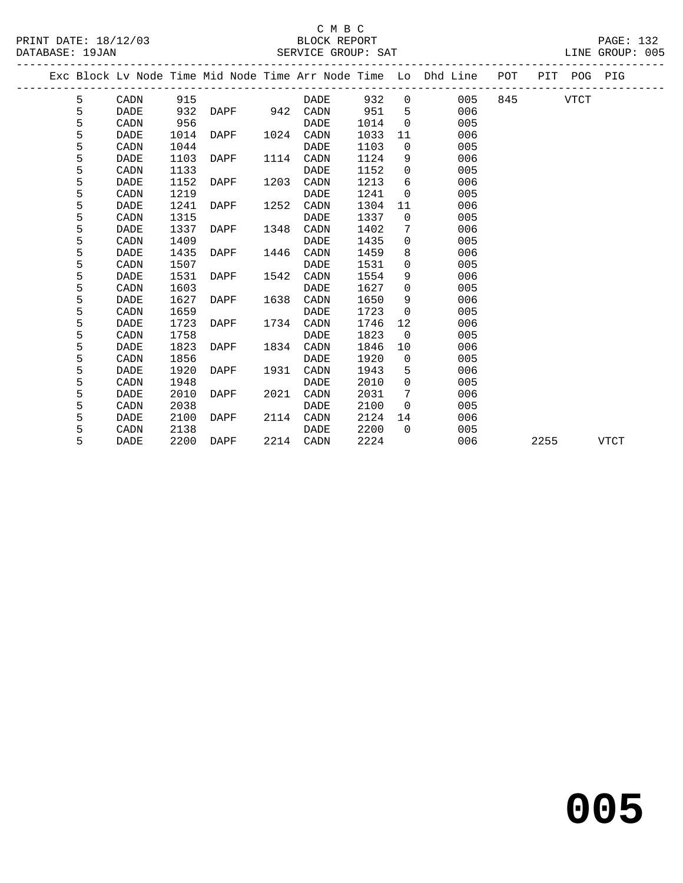## C M B C<br>BLOCK REPORT SERVICE GROUP: SAT

|  |   |             |      |      |      |             |      |                | Exc Block Lv Node Time Mid Node Time Arr Node Time Lo Dhd Line | POT |      | PIT POG PIG |      |
|--|---|-------------|------|------|------|-------------|------|----------------|----------------------------------------------------------------|-----|------|-------------|------|
|  | 5 | CADN        | 915  |      |      | DADE        | 932  | $\overline{0}$ | 005                                                            | 845 |      | <b>VTCT</b> |      |
|  | 5 | <b>DADE</b> | 932  | DAPF | 942  | CADN        | 951  | 5              | 006                                                            |     |      |             |      |
|  | 5 | CADN        | 956  |      |      | <b>DADE</b> | 1014 | $\mathbf 0$    | 005                                                            |     |      |             |      |
|  | 5 | DADE        | 1014 | DAPF | 1024 | CADN        | 1033 | 11             | 006                                                            |     |      |             |      |
|  | 5 | CADN        | 1044 |      |      | DADE        | 1103 | $\mathbf 0$    | 005                                                            |     |      |             |      |
|  | 5 | DADE        | 1103 | DAPF | 1114 | CADN        | 1124 | 9              | 006                                                            |     |      |             |      |
|  | 5 | CADN        | 1133 |      |      | <b>DADE</b> | 1152 | $\Omega$       | 005                                                            |     |      |             |      |
|  | 5 | <b>DADE</b> | 1152 | DAPF | 1203 | CADN        | 1213 | 6              | 006                                                            |     |      |             |      |
|  | 5 | CADN        | 1219 |      |      | <b>DADE</b> | 1241 | $\Omega$       | 005                                                            |     |      |             |      |
|  | 5 | <b>DADE</b> | 1241 | DAPF | 1252 | CADN        | 1304 | 11             | 006                                                            |     |      |             |      |
|  | 5 | CADN        | 1315 |      |      | DADE        | 1337 | $\overline{0}$ | 005                                                            |     |      |             |      |
|  | 5 | DADE        | 1337 | DAPF | 1348 | CADN        | 1402 | 7              | 006                                                            |     |      |             |      |
|  | 5 | CADN        | 1409 |      |      | DADE        | 1435 | $\mathbf 0$    | 005                                                            |     |      |             |      |
|  | 5 | DADE        | 1435 | DAPF | 1446 | CADN        | 1459 | 8              | 006                                                            |     |      |             |      |
|  | 5 | CADN        | 1507 |      |      | DADE        | 1531 | $\Omega$       | 005                                                            |     |      |             |      |
|  | 5 | <b>DADE</b> | 1531 | DAPF | 1542 | CADN        | 1554 | 9              | 006                                                            |     |      |             |      |
|  | 5 | CADN        | 1603 |      |      | <b>DADE</b> | 1627 | $\mathbf 0$    | 005                                                            |     |      |             |      |
|  | 5 | DADE        | 1627 | DAPF | 1638 | CADN        | 1650 | 9              | 006                                                            |     |      |             |      |
|  | 5 | CADN        | 1659 |      |      | <b>DADE</b> | 1723 | $\Omega$       | 005                                                            |     |      |             |      |
|  | 5 | DADE        | 1723 | DAPF | 1734 | CADN        | 1746 | 12             | 006                                                            |     |      |             |      |
|  | 5 | CADN        | 1758 |      |      | DADE        | 1823 | $\overline{0}$ | 005                                                            |     |      |             |      |
|  | 5 | DADE        | 1823 | DAPF | 1834 | CADN        | 1846 | 10             | 006                                                            |     |      |             |      |
|  | 5 | CADN        | 1856 |      |      | DADE        | 1920 | $\overline{0}$ | 005                                                            |     |      |             |      |
|  | 5 | DADE        | 1920 | DAPF | 1931 | CADN        | 1943 | 5              | 006                                                            |     |      |             |      |
|  | 5 | CADN        | 1948 |      |      | DADE        | 2010 | $\overline{0}$ | 005                                                            |     |      |             |      |
|  | 5 | DADE        | 2010 | DAPF | 2021 | CADN        | 2031 | 7              | 006                                                            |     |      |             |      |
|  | 5 | CADN        | 2038 |      |      | <b>DADE</b> | 2100 | $\Omega$       | 005                                                            |     |      |             |      |
|  | 5 | DADE        | 2100 | DAPF | 2114 | CADN        | 2124 | 14             | 006                                                            |     |      |             |      |
|  | 5 | CADN        | 2138 |      |      | DADE        | 2200 | $\Omega$       | 005                                                            |     |      |             |      |
|  | 5 | DADE        | 2200 | DAPF | 2214 | CADN        | 2224 |                | 006                                                            |     | 2255 |             | VTCT |
|  |   |             |      |      |      |             |      |                |                                                                |     |      |             |      |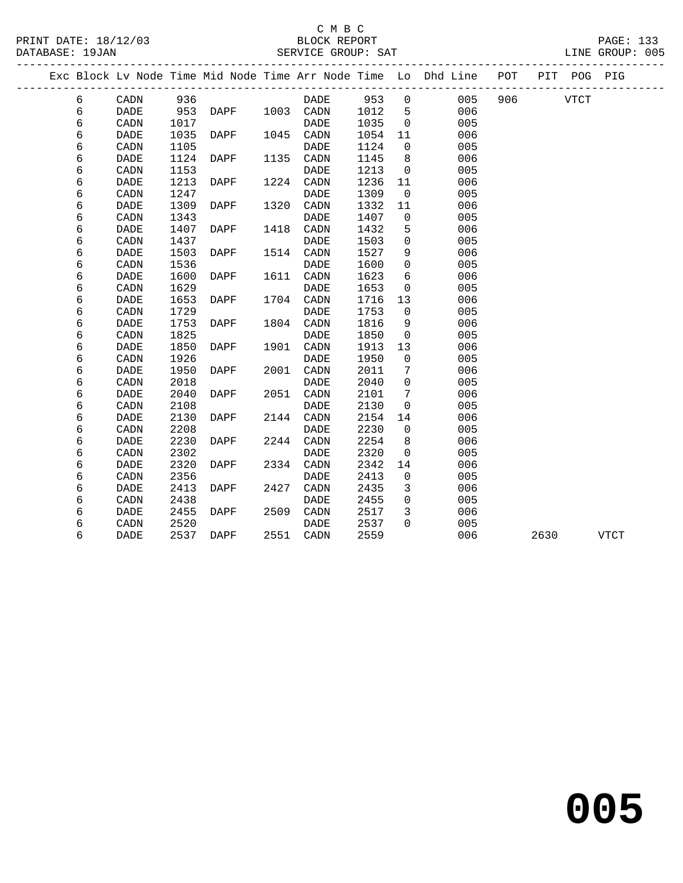## C M B C<br>BLOCK REPORT

| PRINT DATE: 18/12/03 |                    | PAGE: 133       |
|----------------------|--------------------|-----------------|
|                      | BLOCK REPORT       |                 |
| DATABASE: 19JAN      | SERVICE GROUP: SAT | LINE GROUP: 005 |
|                      |                    |                 |

|   |             |      |             |      |             |      |                | Exc Block Lv Node Time Mid Node Time Arr Node Time Lo Dhd Line POT |         |      | PIT POG PIG |             |
|---|-------------|------|-------------|------|-------------|------|----------------|--------------------------------------------------------------------|---------|------|-------------|-------------|
| 6 | CADN        | 936  |             |      | DADE        | 953  | $\mathsf{O}$   | 005                                                                | 906 700 |      | <b>VTCT</b> |             |
| 6 | DADE        | 953  | DAPF        |      | 1003 CADN   | 1012 | 5              | 006                                                                |         |      |             |             |
| 6 | CADN        | 1017 |             |      | DADE        | 1035 | $\overline{0}$ | 005                                                                |         |      |             |             |
| 6 | <b>DADE</b> | 1035 | DAPF        | 1045 | CADN        | 1054 | 11             | 006                                                                |         |      |             |             |
| 6 | CADN        | 1105 |             |      | <b>DADE</b> | 1124 | $\overline{0}$ | 005                                                                |         |      |             |             |
| 6 | DADE        | 1124 | DAPF        | 1135 | CADN        | 1145 | 8              | 006                                                                |         |      |             |             |
| 6 | CADN        | 1153 |             |      | DADE        | 1213 | $\overline{0}$ | 005                                                                |         |      |             |             |
| 6 | DADE        | 1213 | DAPF        | 1224 | CADN        | 1236 | 11             | 006                                                                |         |      |             |             |
| 6 | CADN        | 1247 |             |      | <b>DADE</b> | 1309 | $\overline{0}$ | 005                                                                |         |      |             |             |
| 6 | <b>DADE</b> | 1309 | DAPF        | 1320 | CADN        | 1332 | 11             | 006                                                                |         |      |             |             |
| 6 | CADN        | 1343 |             |      | <b>DADE</b> | 1407 | $\mathbf 0$    | 005                                                                |         |      |             |             |
| 6 | <b>DADE</b> | 1407 | DAPF        | 1418 | CADN        | 1432 | 5              | 006                                                                |         |      |             |             |
| 6 | CADN        | 1437 |             |      | DADE        | 1503 | $\mathbf 0$    | 005                                                                |         |      |             |             |
| 6 | <b>DADE</b> | 1503 | DAPF        | 1514 | CADN        | 1527 | 9              | 006                                                                |         |      |             |             |
| 6 | CADN        | 1536 |             |      | <b>DADE</b> | 1600 | $\mathbf 0$    | 005                                                                |         |      |             |             |
| 6 | <b>DADE</b> | 1600 | DAPF        | 1611 | CADN        | 1623 | 6              | 006                                                                |         |      |             |             |
| 6 | CADN        | 1629 |             |      | <b>DADE</b> | 1653 | 0              | 005                                                                |         |      |             |             |
| 6 | DADE        | 1653 | DAPF        | 1704 | CADN        | 1716 | 13             | 006                                                                |         |      |             |             |
| 6 | CADN        | 1729 |             |      | <b>DADE</b> | 1753 | $\mathbf 0$    | 005                                                                |         |      |             |             |
| 6 | <b>DADE</b> | 1753 | DAPF        | 1804 | CADN        | 1816 | 9              | 006                                                                |         |      |             |             |
| 6 | CADN        | 1825 |             |      | <b>DADE</b> | 1850 | $\overline{0}$ | 005                                                                |         |      |             |             |
| 6 | <b>DADE</b> | 1850 | DAPF        | 1901 | CADN        | 1913 | 13             | 006                                                                |         |      |             |             |
| 6 | CADN        | 1926 |             |      | <b>DADE</b> | 1950 | $\Omega$       | 005                                                                |         |      |             |             |
| 6 | <b>DADE</b> | 1950 | <b>DAPF</b> | 2001 | CADN        | 2011 | 7              | 006                                                                |         |      |             |             |
| 6 | CADN        | 2018 |             |      | <b>DADE</b> | 2040 | $\mathbf 0$    | 005                                                                |         |      |             |             |
| 6 | <b>DADE</b> | 2040 | DAPF        | 2051 | CADN        | 2101 | 7              | 006                                                                |         |      |             |             |
| 6 | CADN        | 2108 |             |      | <b>DADE</b> | 2130 | $\mathbf 0$    | 005                                                                |         |      |             |             |
| 6 | <b>DADE</b> | 2130 | DAPF        | 2144 | CADN        | 2154 | 14             | 006                                                                |         |      |             |             |
| 6 | CADN        | 2208 |             |      | DADE        | 2230 | $\mathbf 0$    | 005                                                                |         |      |             |             |
| 6 | DADE        | 2230 | DAPF        | 2244 | CADN        | 2254 | 8              | 006                                                                |         |      |             |             |
| 6 | CADN        | 2302 |             |      | <b>DADE</b> | 2320 | $\mathsf{O}$   | 005                                                                |         |      |             |             |
| 6 | DADE        | 2320 | DAPF        | 2334 | CADN        | 2342 | 14             | 006                                                                |         |      |             |             |
| 6 | CADN        | 2356 |             |      | <b>DADE</b> | 2413 | $\mathbf 0$    | 005                                                                |         |      |             |             |
| 6 | <b>DADE</b> | 2413 | DAPF        | 2427 | CADN        | 2435 | 3              | 006                                                                |         |      |             |             |
| 6 | CADN        | 2438 |             |      | <b>DADE</b> | 2455 | $\mathbf{0}$   | 005                                                                |         |      |             |             |
| 6 | <b>DADE</b> | 2455 | DAPF        | 2509 | CADN        | 2517 | 3              | 006                                                                |         |      |             |             |
| 6 | CADN        | 2520 |             |      | DADE        | 2537 | $\Omega$       | 005                                                                |         |      |             |             |
| 6 | <b>DADE</b> | 2537 | DAPF        | 2551 | CADN        | 2559 |                | 006                                                                |         | 2630 |             | <b>VTCT</b> |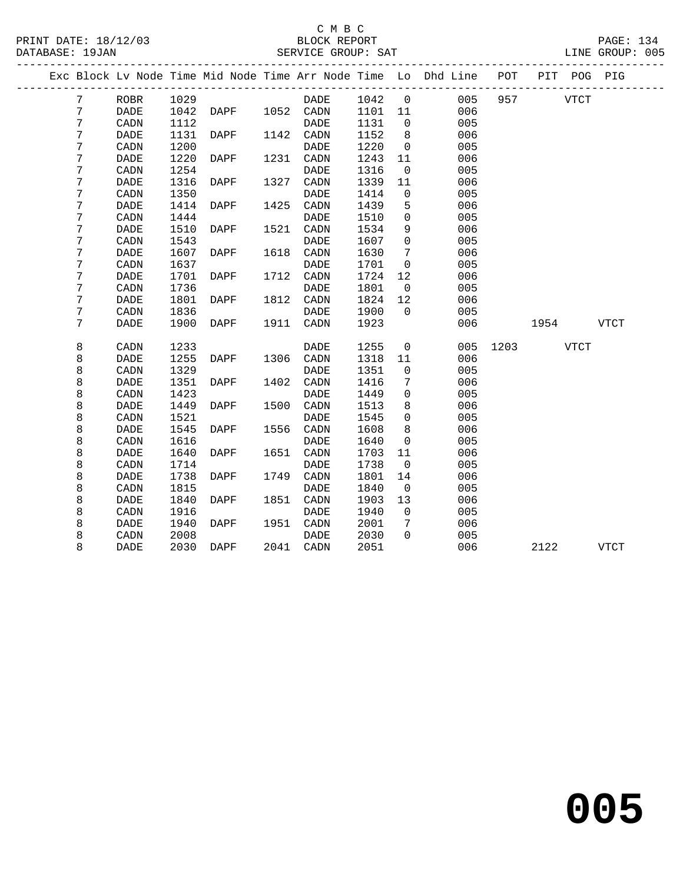## C M B C<br>BLOCK REPORT

| PRINT DATE: 18/12/03 | REPORT<br>∩UK ⊺<br><b>BLOC</b> | PAGE .                 |
|----------------------|--------------------------------|------------------------|
| DATARASE:<br>19JAN   | SERVICE GROUP: SAT             | 005<br>GROIIP:<br>'NE. |
|                      |                                |                        |

|  |   |                              |      |      |      |             |      |              | Exc Block Lv Node Time Mid Node Time Arr Node Time Lo Dhd Line | POT  | PIT  | POG PIG     |             |  |
|--|---|------------------------------|------|------|------|-------------|------|--------------|----------------------------------------------------------------|------|------|-------------|-------------|--|
|  | 7 | <b>ROBR</b>                  | 1029 |      |      | DADE        | 1042 | $\mathsf{O}$ | 005                                                            | 957  |      | <b>VTCT</b> |             |  |
|  | 7 | <b>DADE</b>                  | 1042 | DAPF | 1052 | CADN        | 1101 | 11           | 006                                                            |      |      |             |             |  |
|  | 7 | CADN                         | 1112 |      |      | <b>DADE</b> | 1131 | 0            | 005                                                            |      |      |             |             |  |
|  | 7 | DADE                         | 1131 | DAPF | 1142 | CADN        | 1152 | 8            | 006                                                            |      |      |             |             |  |
|  | 7 | CADN                         | 1200 |      |      | <b>DADE</b> | 1220 | $\mathbf 0$  | 005                                                            |      |      |             |             |  |
|  | 7 | <b>DADE</b>                  | 1220 | DAPF | 1231 | CADN        | 1243 | 11           | 006                                                            |      |      |             |             |  |
|  | 7 | CADN                         | 1254 |      |      | <b>DADE</b> | 1316 | 0            | 005                                                            |      |      |             |             |  |
|  | 7 | <b>DADE</b>                  | 1316 | DAPF | 1327 | CADN        | 1339 | 11           | 006                                                            |      |      |             |             |  |
|  | 7 | CADN                         | 1350 |      |      | <b>DADE</b> | 1414 | 0            | 005                                                            |      |      |             |             |  |
|  | 7 | <b>DADE</b>                  | 1414 | DAPF | 1425 | CADN        | 1439 | 5            | 006                                                            |      |      |             |             |  |
|  | 7 | CADN                         | 1444 |      |      | DADE        | 1510 | 0            | 005                                                            |      |      |             |             |  |
|  | 7 | <b>DADE</b>                  | 1510 | DAPF | 1521 | CADN        | 1534 | 9            | 006                                                            |      |      |             |             |  |
|  | 7 | CADN                         | 1543 |      |      | <b>DADE</b> | 1607 | 0            | 005                                                            |      |      |             |             |  |
|  | 7 | <b>DADE</b>                  | 1607 | DAPF | 1618 | CADN        | 1630 | 7            | 006                                                            |      |      |             |             |  |
|  | 7 | CADN                         | 1637 |      |      | <b>DADE</b> | 1701 | 0            | 005                                                            |      |      |             |             |  |
|  | 7 | <b>DADE</b>                  | 1701 | DAPF | 1712 | CADN        | 1724 | 12           | 006                                                            |      |      |             |             |  |
|  | 7 | CADN                         | 1736 |      |      | <b>DADE</b> | 1801 | $\mathbf 0$  | 005                                                            |      |      |             |             |  |
|  | 7 | DADE                         | 1801 | DAPF | 1812 | CADN        | 1824 | 12           | 006                                                            |      |      |             |             |  |
|  | 7 | CADN                         | 1836 |      |      | <b>DADE</b> | 1900 | $\Omega$     | 005                                                            |      |      |             |             |  |
|  | 7 | <b>DADE</b>                  | 1900 | DAPF | 1911 | CADN        | 1923 |              | 006                                                            |      | 1954 |             | <b>VTCT</b> |  |
|  |   |                              |      |      |      |             |      |              |                                                                |      |      |             |             |  |
|  | 8 | CADN                         | 1233 |      |      | DADE        | 1255 | 0            | 005                                                            | 1203 |      | <b>VTCT</b> |             |  |
|  | 8 | <b>DADE</b>                  | 1255 | DAPF | 1306 | CADN        | 1318 | 11           | 006                                                            |      |      |             |             |  |
|  | 8 | CADN                         | 1329 |      |      | DADE        | 1351 | 0            | 005                                                            |      |      |             |             |  |
|  | 8 | DADE                         | 1351 | DAPF | 1402 | CADN        | 1416 | 7            | 006                                                            |      |      |             |             |  |
|  | 8 | CADN                         | 1423 |      |      | DADE        | 1449 | 0            | 005                                                            |      |      |             |             |  |
|  | 8 | <b>DADE</b>                  | 1449 | DAPF | 1500 | CADN        | 1513 | 8            | 006                                                            |      |      |             |             |  |
|  | 8 | CADN                         | 1521 |      |      | <b>DADE</b> | 1545 | $\mathbf 0$  | 005                                                            |      |      |             |             |  |
|  | 8 | <b>DADE</b>                  | 1545 | DAPF | 1556 | CADN        | 1608 | 8            | 006                                                            |      |      |             |             |  |
|  | 8 | CADN                         | 1616 |      |      | DADE        | 1640 | 0            | 005                                                            |      |      |             |             |  |
|  | 8 | DADE                         | 1640 | DAPF | 1651 | CADN        | 1703 | 11           | 006                                                            |      |      |             |             |  |
|  | 8 | CADN                         | 1714 |      |      | DADE        | 1738 | 0            | 005                                                            |      |      |             |             |  |
|  | 8 | $\ensuremath{\mathsf{DADE}}$ | 1738 | DAPF | 1749 | CADN        | 1801 | 14           | 006                                                            |      |      |             |             |  |
|  | 8 | CADN                         | 1815 |      |      | <b>DADE</b> | 1840 | $\mathbf 0$  | 005                                                            |      |      |             |             |  |
|  | 8 | <b>DADE</b>                  | 1840 | DAPF | 1851 | CADN        | 1903 | 13           | 006                                                            |      |      |             |             |  |
|  | 8 | CADN                         | 1916 |      |      | DADE        | 1940 | 0            | 005                                                            |      |      |             |             |  |
|  | 8 | DADE                         | 1940 | DAPF | 1951 | CADN        | 2001 | 7            | 006                                                            |      |      |             |             |  |
|  | 8 | CADN                         | 2008 |      |      | DADE        | 2030 | $\Omega$     | 005                                                            |      |      |             |             |  |
|  | 8 | <b>DADE</b>                  | 2030 | DAPF | 2041 | CADN        | 2051 |              | 006                                                            |      | 2122 |             | <b>VTCT</b> |  |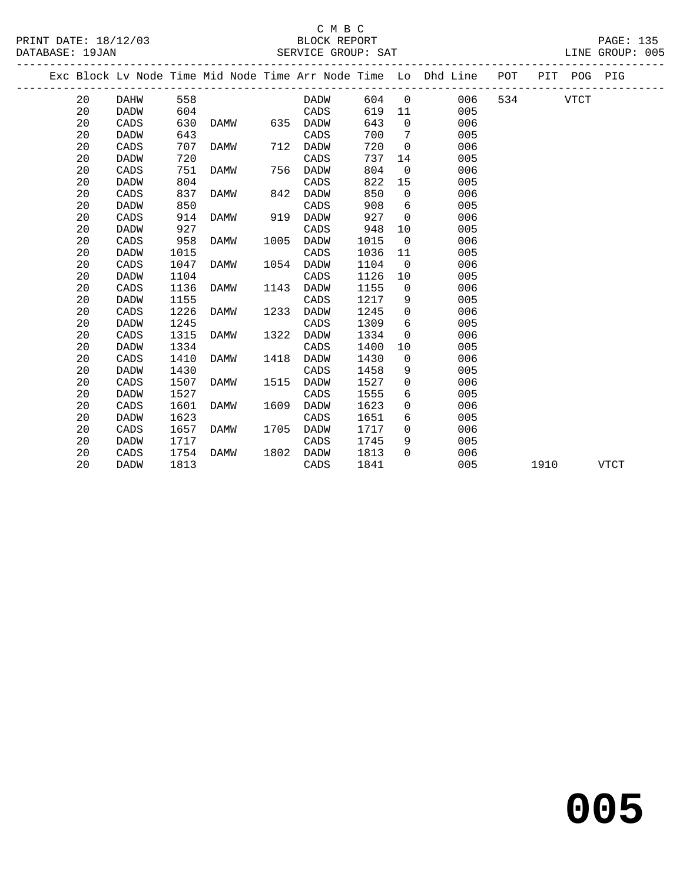## C M B C<br>BLOCK REPORT

| PRINT DATE: 18/12/03 | BLOCK REPORT       | <b>PAGE: 135</b> |
|----------------------|--------------------|------------------|
| DATABASE: 19JAN      | SERVICE GROUP: SAT | LINE GROUP: 005  |

|  |    |             |      |             |      |             |      |                | Exc Block Lv Node Time Mid Node Time Arr Node Time Lo Dhd Line POT |     |      | PIT POG PIG |             |
|--|----|-------------|------|-------------|------|-------------|------|----------------|--------------------------------------------------------------------|-----|------|-------------|-------------|
|  | 20 | DAHW        | 558  |             |      | DADW        | 604  | $\overline{0}$ | 006                                                                | 534 |      | <b>VTCT</b> |             |
|  | 20 | <b>DADW</b> | 604  |             |      | CADS        | 619  | 11             | 005                                                                |     |      |             |             |
|  | 20 | CADS        | 630  | DAMW        | 635  | DADW        | 643  | $\overline{0}$ | 006                                                                |     |      |             |             |
|  | 20 | DADW        | 643  |             |      | CADS        | 700  | 7              | 005                                                                |     |      |             |             |
|  | 20 | CADS        | 707  | DAMW        | 712  | DADW        | 720  | $\mathbf 0$    | 006                                                                |     |      |             |             |
|  | 20 | DADW        | 720  |             |      | CADS        | 737  | 14             | 005                                                                |     |      |             |             |
|  | 20 | CADS        | 751  | DAMW        | 756  | DADW        | 804  | $\overline{0}$ | 006                                                                |     |      |             |             |
|  | 20 | DADW        | 804  |             |      | CADS        | 822  | 15             | 005                                                                |     |      |             |             |
|  | 20 | CADS        | 837  | DAMW        | 842  | DADW        | 850  | $\overline{0}$ | 006                                                                |     |      |             |             |
|  | 20 | <b>DADW</b> | 850  |             |      | CADS        | 908  | 6              | 005                                                                |     |      |             |             |
|  | 20 | CADS        | 914  | DAMW        | 919  | DADW        | 927  | $\overline{0}$ | 006                                                                |     |      |             |             |
|  | 20 | <b>DADW</b> | 927  |             |      | CADS        | 948  | 10             | 005                                                                |     |      |             |             |
|  | 20 | CADS        | 958  | DAMW        | 1005 | DADW        | 1015 | $\overline{0}$ | 006                                                                |     |      |             |             |
|  | 20 | <b>DADW</b> | 1015 |             |      | CADS        | 1036 | 11             | 005                                                                |     |      |             |             |
|  | 20 | CADS        | 1047 | DAMW        | 1054 | DADW        | 1104 | $\overline{0}$ | 006                                                                |     |      |             |             |
|  | 20 | <b>DADW</b> | 1104 |             |      | CADS        | 1126 | 10             | 005                                                                |     |      |             |             |
|  | 20 | CADS        | 1136 | DAMW        | 1143 | DADW        | 1155 | $\overline{0}$ | 006                                                                |     |      |             |             |
|  | 20 | DADW        | 1155 |             |      | CADS        | 1217 | 9              | 005                                                                |     |      |             |             |
|  | 20 | CADS        | 1226 | DAMW        | 1233 | DADW        | 1245 | 0              | 006                                                                |     |      |             |             |
|  | 20 | DADW        | 1245 |             |      | CADS        | 1309 | 6              | 005                                                                |     |      |             |             |
|  | 20 | CADS        | 1315 | DAMW        | 1322 | <b>DADW</b> | 1334 | $\mathbf 0$    | 006                                                                |     |      |             |             |
|  | 20 | <b>DADW</b> | 1334 |             |      | CADS        | 1400 | 10             | 005                                                                |     |      |             |             |
|  | 20 | CADS        | 1410 | DAMW        | 1418 | <b>DADW</b> | 1430 | $\mathbf 0$    | 006                                                                |     |      |             |             |
|  | 20 | <b>DADW</b> | 1430 |             |      | CADS        | 1458 | 9              | 005                                                                |     |      |             |             |
|  | 20 | CADS        | 1507 | DAMW        | 1515 | DADW        | 1527 | 0              | 006                                                                |     |      |             |             |
|  | 20 | <b>DADW</b> | 1527 |             |      | CADS        | 1555 | 6              | 005                                                                |     |      |             |             |
|  | 20 | CADS        | 1601 | <b>DAMW</b> | 1609 | <b>DADW</b> | 1623 | $\mathbf 0$    | 006                                                                |     |      |             |             |
|  | 20 | DADW        | 1623 |             |      | CADS        | 1651 | 6              | 005                                                                |     |      |             |             |
|  | 20 | CADS        | 1657 | DAMW        | 1705 | DADW        | 1717 | $\mathbf 0$    | 006                                                                |     |      |             |             |
|  | 20 | DADW        | 1717 |             |      | CADS        | 1745 | 9              | 005                                                                |     |      |             |             |
|  | 20 | CADS        | 1754 | DAMW        | 1802 | DADW        | 1813 | $\Omega$       | 006                                                                |     |      |             |             |
|  | 20 | DADW        | 1813 |             |      | CADS        | 1841 |                | 005                                                                |     | 1910 |             | <b>VTCT</b> |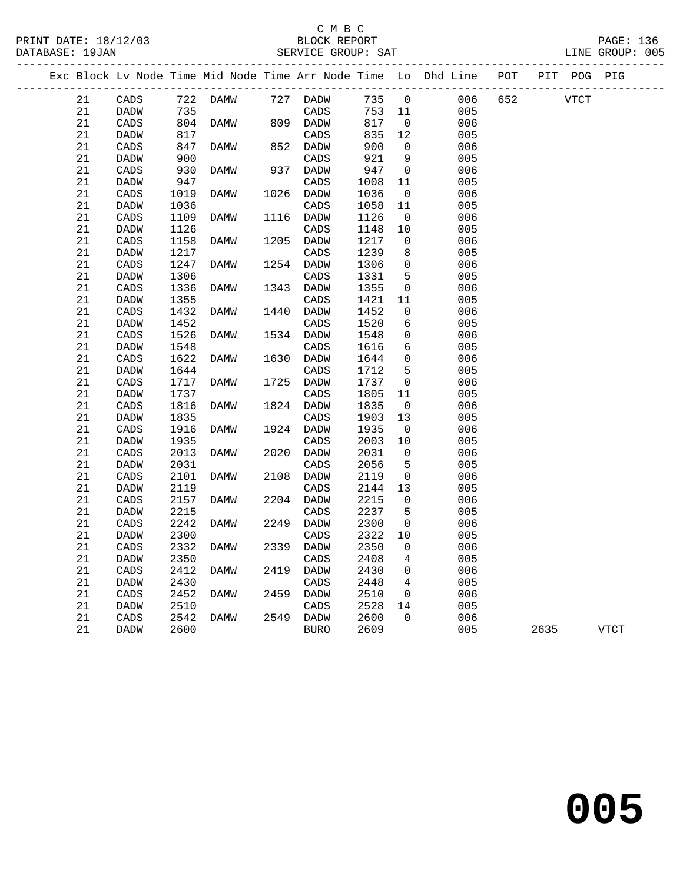|  |    |             |      | Exc Block Lv Node Time Mid Node Time Arr Node Time Lo Dhd Line |      |             |      |                 |     |     | POT PIT POG PIG |      |             |
|--|----|-------------|------|----------------------------------------------------------------|------|-------------|------|-----------------|-----|-----|-----------------|------|-------------|
|  | 21 | CADS        |      | 722 DAMW                                                       |      | 727 DADW    | 735  | $\overline{0}$  | 006 | 652 |                 | VTCT |             |
|  | 21 | DADW        | 735  |                                                                |      | CADS        | 753  | 11              | 005 |     |                 |      |             |
|  | 21 | CADS        | 804  | DAMW                                                           |      | 809 DADW    | 817  | $\overline{0}$  | 006 |     |                 |      |             |
|  | 21 | <b>DADW</b> | 817  |                                                                |      | CADS        | 835  | 12              | 005 |     |                 |      |             |
|  | 21 | CADS        | 847  | DAMW                                                           | 852  | DADW        | 900  | $\overline{0}$  | 006 |     |                 |      |             |
|  | 21 | DADW        | 900  |                                                                |      | CADS        | 921  | 9               | 005 |     |                 |      |             |
|  | 21 | CADS        | 930  | DAMW                                                           |      | 937 DADW    | 947  | $\overline{0}$  | 006 |     |                 |      |             |
|  | 21 | DADW        | 947  |                                                                |      | CADS        | 1008 | 11              | 005 |     |                 |      |             |
|  | 21 | CADS        | 1019 | DAMW                                                           | 1026 | DADW        | 1036 | $\overline{0}$  | 006 |     |                 |      |             |
|  | 21 | DADW        | 1036 |                                                                |      | CADS        | 1058 | 11              | 005 |     |                 |      |             |
|  | 21 | CADS        | 1109 | DAMW                                                           | 1116 | DADW        | 1126 | $\overline{0}$  | 006 |     |                 |      |             |
|  | 21 | <b>DADW</b> | 1126 |                                                                |      | CADS        | 1148 | 10              | 005 |     |                 |      |             |
|  | 21 | CADS        | 1158 | DAMW                                                           | 1205 | DADW        | 1217 | $\overline{0}$  | 006 |     |                 |      |             |
|  | 21 | DADW        | 1217 |                                                                |      | CADS        | 1239 | 8               | 005 |     |                 |      |             |
|  | 21 | CADS        | 1247 | DAMW                                                           | 1254 | DADW        | 1306 | $\mathbf 0$     | 006 |     |                 |      |             |
|  | 21 | <b>DADW</b> | 1306 |                                                                |      | CADS        | 1331 | 5               | 005 |     |                 |      |             |
|  | 21 | CADS        | 1336 | <b>DAMW</b>                                                    | 1343 | DADW        | 1355 | $\mathsf{O}$    | 006 |     |                 |      |             |
|  | 21 | DADW        | 1355 |                                                                |      | CADS        | 1421 | 11              | 005 |     |                 |      |             |
|  | 21 | CADS        | 1432 | <b>DAMW</b>                                                    | 1440 | DADW        | 1452 | $\mathbf 0$     | 006 |     |                 |      |             |
|  | 21 | DADW        | 1452 |                                                                |      | CADS        | 1520 | 6               | 005 |     |                 |      |             |
|  | 21 | CADS        | 1526 | DAMW                                                           | 1534 | DADW        | 1548 | 0               | 006 |     |                 |      |             |
|  | 21 | DADW        | 1548 |                                                                |      | CADS        | 1616 | 6               | 005 |     |                 |      |             |
|  | 21 | CADS        | 1622 | DAMW                                                           | 1630 | DADW        | 1644 | $\mathbf 0$     | 006 |     |                 |      |             |
|  | 21 | <b>DADW</b> | 1644 |                                                                |      | CADS        | 1712 | 5               | 005 |     |                 |      |             |
|  | 21 | CADS        | 1717 | DAMW                                                           | 1725 | DADW        | 1737 | $\overline{0}$  | 006 |     |                 |      |             |
|  | 21 | DADW        | 1737 |                                                                |      | CADS        | 1805 | 11              | 005 |     |                 |      |             |
|  | 21 | CADS        | 1816 | DAMW                                                           | 1824 | DADW        | 1835 | $\overline{0}$  | 006 |     |                 |      |             |
|  | 21 | <b>DADW</b> | 1835 |                                                                |      | CADS        | 1903 | 13              | 005 |     |                 |      |             |
|  | 21 | CADS        | 1916 | DAMW                                                           | 1924 | <b>DADW</b> | 1935 | $\overline{0}$  | 006 |     |                 |      |             |
|  | 21 | <b>DADW</b> | 1935 |                                                                |      | CADS        | 2003 | 10              | 005 |     |                 |      |             |
|  | 21 | CADS        | 2013 | DAMW                                                           | 2020 | DADW        | 2031 | $\mathbf 0$     | 006 |     |                 |      |             |
|  | 21 | <b>DADW</b> | 2031 |                                                                |      | CADS        | 2056 | 5               | 005 |     |                 |      |             |
|  | 21 | CADS        | 2101 | DAMW                                                           | 2108 | DADW        | 2119 | $\mathbf 0$     | 006 |     |                 |      |             |
|  | 21 | <b>DADW</b> | 2119 |                                                                |      | CADS        | 2144 | 13              | 005 |     |                 |      |             |
|  | 21 | CADS        | 2157 | DAMW                                                           | 2204 | DADW        | 2215 | $\mathbf 0$     | 006 |     |                 |      |             |
|  | 21 | <b>DADW</b> | 2215 |                                                                |      | CADS        | 2237 | 5               | 005 |     |                 |      |             |
|  | 21 | CADS        | 2242 | DAMW                                                           | 2249 | <b>DADW</b> | 2300 | $\mathbf 0$     | 006 |     |                 |      |             |
|  | 21 | <b>DADW</b> | 2300 |                                                                |      | CADS        | 2322 | 10              | 005 |     |                 |      |             |
|  | 21 | CADS        | 2332 | DAMW                                                           | 2339 | DADW        | 2350 | $\mathbf 0$     | 006 |     |                 |      |             |
|  | 21 | <b>DADW</b> | 2350 |                                                                |      | CADS        | 2408 | $\overline{4}$  | 005 |     |                 |      |             |
|  | 21 | CADS        | 2412 | DAMW                                                           | 2419 | DADW        | 2430 | $\mathsf{O}$    | 006 |     |                 |      |             |
|  | 21 | DADW        | 2430 |                                                                |      | CADS        | 2448 | $4\overline{ }$ | 005 |     |                 |      |             |
|  | 21 | CADS        | 2452 | DAMW                                                           | 2459 | DADW        | 2510 | $\overline{0}$  | 006 |     |                 |      |             |
|  | 21 | DADW        | 2510 |                                                                |      | CADS        | 2528 | 14              | 005 |     |                 |      |             |
|  | 21 | CADS        | 2542 | DAMW                                                           | 2549 | DADW        | 2600 | $\Omega$        | 006 |     |                 |      |             |
|  | 21 | DADW        | 2600 |                                                                |      | <b>BURO</b> | 2609 |                 | 005 |     | 2635            |      | <b>VTCT</b> |
|  |    |             |      |                                                                |      |             |      |                 |     |     |                 |      |             |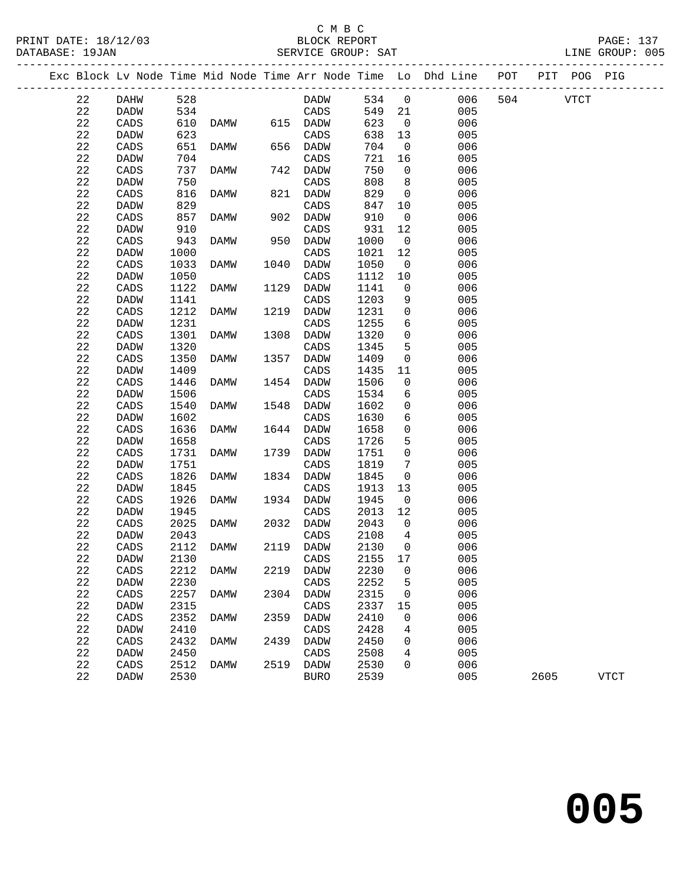## C M B C

DATABASE: 19JAN SERVICE GROUP: SAT LINE GROUP: 005 ------------------------------------------------------------------------------------------------- Exc Block Lv Node Time Mid Node Time Arr Node Time Lo Dhd Line POT PIT POG PIG ------------------------------------------------------------------------------------------------- 22 DAHW 528 DADW 534 0 006 504 VTCT 22 DADW 534 CADS 549 21 005 22 CADS 610 DAMW 615 DADW 623 0 006 22 DADW 623 CADS 638 13 005 22 CADS 651 DAMW 656 DADW 704 0 006

 22 DADW 704 CADS 721 16 005 22 DADW 704 CADS 721 16 005<br>22 CADS 737 DAMW 742 DADW 750 0 006<br>22 DADW 750 CADS 808 8 005<br>22 CADS 816 DAMW 821 DADW 829 0 006<br>22 DADW 829 CADS 847 10 005<br>22 CADS 857 DAMW 902 DADW 910 0 006 22 DADW 750 CADS 808 8 005 22 CADS 816 DAMW 821 DADW<br>22 DADW 829 CADS 22 DADW 829 CADS 847 10 005 22 CADS 857 DAMW 902 DADW 910 0 006<br>22 DADW 910 CADS 931 12 005 22 DADW 910 CADS 931 12 005 22 CADS 943 DAMW 950 DADW 1000 0 006 22 DADW 1000 CADS 1021 12 005 22 CADS 943 DAMW 950 DADW 1000 0 006<br>22 DADW 1000 CADS 1021 12 005<br>22 CADS 1033 DAMW 1040 DADW 1050 0 006<br>22 DADW 1050 CADS 1112 10 005 22 DADW 1050 CADS 1112 10 005 22 CADS 1122 DAMW 1129 DADW 1141 0 006 22 DADW 1141 CADS 1203 9 005 22 CADS 1212 DAMW 1219 DADW 1231 0 006 22 DADW 1231 CADS 1255 6 005 22 CADS 1301 DAMW 1308 DADW 1320 0 006 22 DADW 1320 CADS 1345 5 005 22 DADW 1141 CADS 1203 9 005<br>22 CADS 1212 DAMW 1219 DADW 1231 0 006<br>22 DADW 1231 CADS 1255 6 005<br>22 CADS 1301 DAMW 1308 DADW 1320 0 006<br>22 DADW 1320 CADS 1345 5 005<br>22 CADS 1350 DAMW 1357 DADW 1409 0 006<br>22 DADW 1409 CADS 22 DADW 1409 CADS 1435 11 005 22 CADS 1446 DAMW 1454 DADW 1506 0 006 22 DADW 1506 CADS 1534 6 005 22 DADW 1506 CADS 1534 6 005<br>
22 CADS 1540 DAMW 1548 DADW 1602 0 006<br>
22 DADW 1602 CADS 1630 6 005<br>
22 CADS 1636 DAMW 1644 DADW 1658 0 006<br>
22 DADW 1658 CADS 1726 5 005<br>
22 CADS 1731 DAMW 1739 DADW 1751 0 006<br>
22 DADW 1751 22 DADW 1602 CADS 1630 6 005 22 CADS 1636 DAMW 1644 DADW 1658 0 006 22 DADW 1658 CADS 1726 5 005 22 DADW 1658 CADS 1726 5<br>22 CADS 1731 DAMW 1739 DADW 1751 0<br>22 DADW 1751 CADS 1819 7 22 DADW 1751 CADS 1819 7 005 22 CADS 1826 DAMW 1834 DADW 1845 0 006 22 DADW 1845 CADS 1913 13 005 22 CADS 1926 DAMW 1934 DADW 1945 0 006 22 DADW 1945 CADS 2013 12 005 22 CADS 2025 DAMW 2032 DADW 2043 0 006 22 DADW 2043 CADS 2108 4 005 22 DADW 2043 CADS 2108 4 005<br>
22 CADS 2112 DAMW 2119 DADW 2130 0 006<br>
22 DADW 2130 CADS 2155 17 005 22 DADW 2130 CADS 2155 17<br>22 CADS 2212 DAMW 2219 DADW 2230 0 22 CADS 2212 DAMW 2219 DADW 2230 0 006 22 DADW 2230 CADS 2252 5 005 22 CADS 2257 DAMW 2304 DADW 2315 0<br>22 DADW 2315 CADS 2337 15 22 DADW 2315 CADS 2337 15<br>22 CADS 2352 DAMW 2359 DADW 2410 0 2352 DAMW 2359 DADW<br>2410 0 005 22 CADS 2257 DAMW 2304 DADW 2315 0 006<br>
22 DADW 2315 CADS 2337 15 005<br>
22 CADS 2352 DAMW 2359 DADW 2410 0 006<br>
22 DADW 2410 CADS 2428 4 005<br>
22 CADS 2432 DAMW 2439 DADW 2450 0 006 22 CADS 2432 DAMW 2439 DADW 2450 0 006 22 DADW 2450 CADS 2508 4 005 22 CADS 2512 DAMW 2519 DADW 2530 0 006 22 DADW 2530 BURO 2539 005 2605 VTCT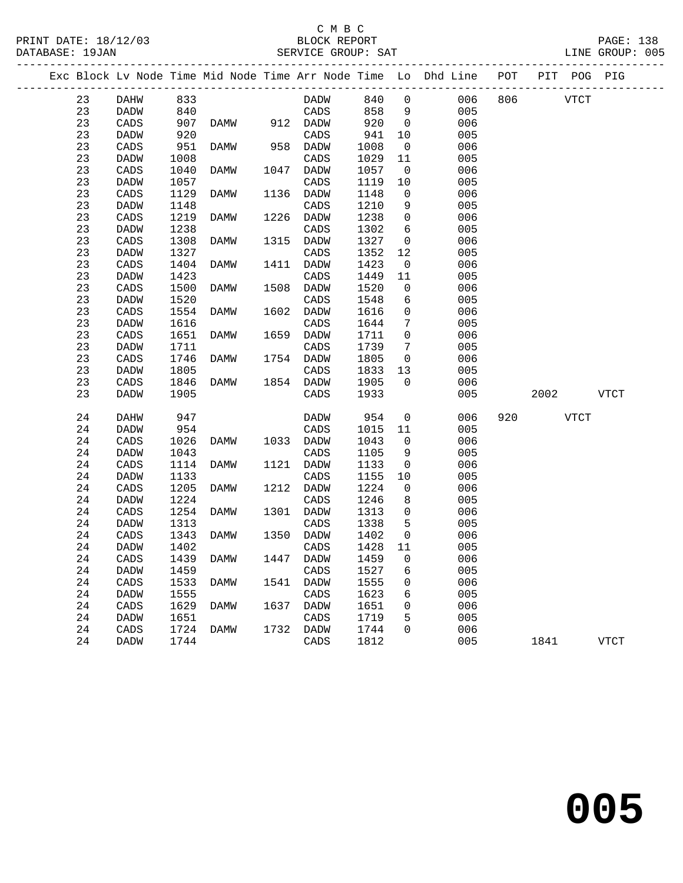## C M B C<br>BLOCK REPORT SERVICE GROUP: SAT

PRINT DATE: 18/12/03 BLOCK REPORT PAGE: 138

|  |    |             |      |           |      |                  |      |                         | Exc Block Lv Node Time Mid Node Time Arr Node Time Lo Dhd Line POT PIT POG PIG |     |             |             |
|--|----|-------------|------|-----------|------|------------------|------|-------------------------|--------------------------------------------------------------------------------|-----|-------------|-------------|
|  | 23 | DAHW        | 833  |           |      | DADW             | 840  | $\overline{0}$          | 006                                                                            | 806 | <b>VTCT</b> |             |
|  | 23 | DADW        | 840  |           |      | CADS             | 858  | 9                       | 005                                                                            |     |             |             |
|  | 23 | CADS        | 907  | DAMW      |      | 912 DADW         | 920  | $\overline{0}$          | 006                                                                            |     |             |             |
|  | 23 | <b>DADW</b> | 920  |           |      | CADS             | 941  | 10                      | 005                                                                            |     |             |             |
|  | 23 | CADS        | 951  | DAMW      |      | 958 DADW         | 1008 | $\overline{0}$          | 006                                                                            |     |             |             |
|  | 23 | DADW        | 1008 |           |      | CADS             | 1029 | 11                      | 005                                                                            |     |             |             |
|  | 23 | CADS        | 1040 | DAMW      | 1047 | DADW             | 1057 | $\overline{\mathbf{0}}$ | 006                                                                            |     |             |             |
|  | 23 | DADW        | 1057 |           |      | CADS             | 1119 | 10                      | 005                                                                            |     |             |             |
|  | 23 | CADS        | 1129 | DAMW      |      | 1136 DADW        | 1148 | $\mathsf{O}$            | 006                                                                            |     |             |             |
|  | 23 | DADW        | 1148 |           |      | CADS             | 1210 | 9                       | 005                                                                            |     |             |             |
|  | 23 | CADS        | 1219 | DAMW      | 1226 | DADW             | 1238 | $\mathsf{O}$            | 006                                                                            |     |             |             |
|  | 23 | DADW        | 1238 |           |      | CADS             | 1302 | 6                       | 005                                                                            |     |             |             |
|  | 23 | CADS        | 1308 | DAMW      |      | 1315 DADW        | 1327 | $\overline{0}$          | 006                                                                            |     |             |             |
|  | 23 | DADW        | 1327 |           |      | CADS             | 1352 | 12                      | 005                                                                            |     |             |             |
|  | 23 | CADS        | 1404 | DAMW      | 1411 | DADW             | 1423 | $\overline{0}$          | 006                                                                            |     |             |             |
|  | 23 | DADW        | 1423 |           |      | CADS             | 1449 | 11                      | 005                                                                            |     |             |             |
|  | 23 | CADS        | 1500 | DAMW      | 1508 | DADW             | 1520 | $\mathsf{O}$            | 006                                                                            |     |             |             |
|  | 23 | DADW        | 1520 |           |      | CADS             | 1548 | 6                       | 005                                                                            |     |             |             |
|  | 23 | CADS        | 1554 | DAMW      | 1602 | DADW             | 1616 | $\mathsf{O}$            | 006                                                                            |     |             |             |
|  | 23 | DADW        | 1616 |           |      | CADS             | 1644 | 7                       | 005                                                                            |     |             |             |
|  | 23 | CADS        | 1651 | DAMW      | 1659 | DADW             | 1711 | $\mathsf{O}$            | 006                                                                            |     |             |             |
|  | 23 | DADW        | 1711 |           |      | CADS             | 1739 | $7\phantom{.0}$         | 005                                                                            |     |             |             |
|  | 23 | CADS        | 1746 | DAMW      |      | 1754 DADW        | 1805 | $\overline{0}$          | 006                                                                            |     |             |             |
|  | 23 | DADW        | 1805 |           |      | CADS             | 1833 | 13                      | 005                                                                            |     |             |             |
|  | 23 | CADS        | 1846 | DAMW      |      | 1854 DADW        | 1905 | $\Omega$                | 006                                                                            |     |             |             |
|  | 23 | <b>DADW</b> | 1905 |           |      | CADS             | 1933 |                         | 005                                                                            |     | 2002        | VTCT        |
|  | 24 | DAHW        | 947  |           |      | DADW             | 954  | $\mathsf{O}$            | 006                                                                            | 920 | <b>VTCT</b> |             |
|  | 24 | DADW        | 954  |           |      | CADS             | 1015 | 11                      | 005                                                                            |     |             |             |
|  | 24 | CADS        | 1026 | DAMW      |      | 1033 DADW        | 1043 | $\mathsf{O}$            | 006                                                                            |     |             |             |
|  | 24 | DADW        | 1043 |           |      | CADS             | 1105 | 9                       | 005                                                                            |     |             |             |
|  | 24 | CADS        | 1114 | DAMW      | 1121 | DADW             | 1133 | $\overline{0}$          | 006                                                                            |     |             |             |
|  | 24 | DADW        | 1133 |           |      | CADS             | 1155 | 10                      | 005                                                                            |     |             |             |
|  | 24 | CADS        | 1205 | DAMW      |      | 1212 DADW        | 1224 | $\overline{0}$          | 006                                                                            |     |             |             |
|  | 24 | DADW        | 1224 |           |      | CADS             | 1246 | 8                       | 005                                                                            |     |             |             |
|  | 24 | CADS        | 1254 | DAMW      |      | 1301 DADW        | 1313 | $\overline{0}$          | 006                                                                            |     |             |             |
|  | 24 | DADW        | 1313 |           |      | CADS             | 1338 | 5                       | 005                                                                            |     |             |             |
|  | 24 | CADS        | 1343 | DAMW      |      | 1350 DADW        | 1402 | $\overline{0}$          | 006                                                                            |     |             |             |
|  | 24 | DADW        | 1402 |           |      | CADS             | 1428 | 11                      | 005                                                                            |     |             |             |
|  | 24 | CADS        |      | 1439 DAMW |      | 1447 DADW 1459 0 |      |                         | 006                                                                            |     |             |             |
|  | 24 | DADW        | 1459 |           |      | CADS             | 1527 | 6                       | 005                                                                            |     |             |             |
|  | 24 | CADS        | 1533 | DAMW      | 1541 | DADW             | 1555 | 0                       | 006                                                                            |     |             |             |
|  | 24 | DADW        | 1555 |           |      | CADS             | 1623 | 6                       | 005                                                                            |     |             |             |
|  | 24 | CADS        | 1629 | DAMW      | 1637 | DADW             | 1651 | 0                       | 006                                                                            |     |             |             |
|  | 24 | <b>DADW</b> | 1651 |           |      | CADS             | 1719 | 5                       | 005                                                                            |     |             |             |
|  | 24 | CADS        | 1724 | DAMW      | 1732 | DADW             | 1744 | 0                       | 006                                                                            |     |             |             |
|  | 24 | DADW        | 1744 |           |      | CADS             | 1812 |                         | 005                                                                            |     | 1841        | <b>VTCT</b> |
|  |    |             |      |           |      |                  |      |                         |                                                                                |     |             |             |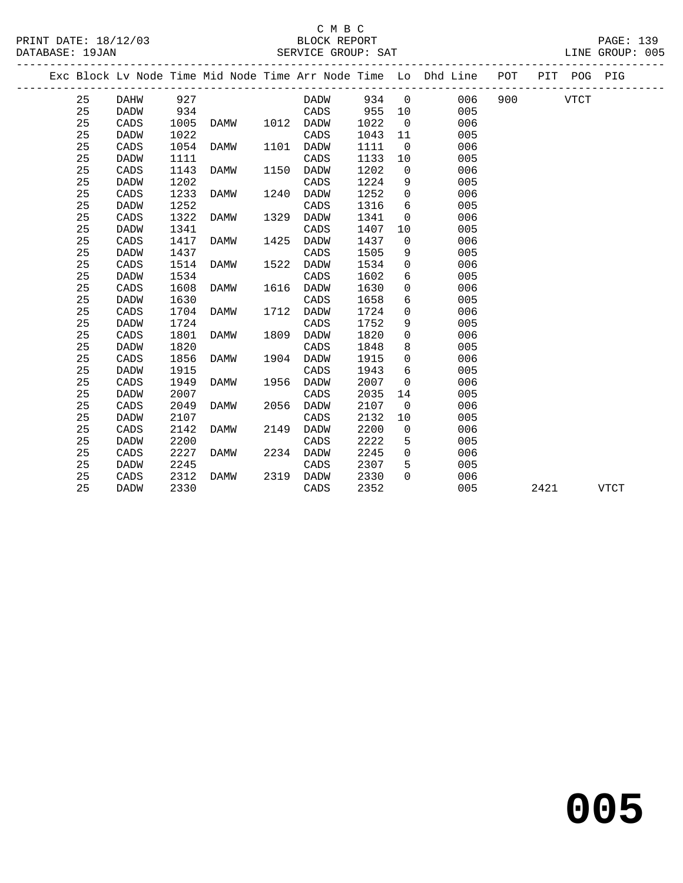#### C M B C<br>BLOCK REPORT SERVICE GROUP: SAT

|  |    |             |      |      |      |             |      |                | Exc Block Lv Node Time Mid Node Time Arr Node Time Lo Dhd Line POT |         |      | PIT POG PIG |             |
|--|----|-------------|------|------|------|-------------|------|----------------|--------------------------------------------------------------------|---------|------|-------------|-------------|
|  | 25 | DAHW        | 927  |      |      | DADW 934 0  |      |                |                                                                    | 006 900 |      | VTCT        |             |
|  | 25 | DADW        | 934  |      |      | CADS        | 955  | 10             | 005                                                                |         |      |             |             |
|  | 25 | CADS        | 1005 | DAMW |      | 1012 DADW   | 1022 | $\overline{0}$ | 006                                                                |         |      |             |             |
|  | 25 | <b>DADW</b> | 1022 |      |      | CADS        | 1043 | 11             | 005                                                                |         |      |             |             |
|  | 25 | CADS        | 1054 | DAMW | 1101 | DADW        | 1111 | $\overline{0}$ | 006                                                                |         |      |             |             |
|  | 25 | <b>DADW</b> | 1111 |      |      | CADS        | 1133 | 10             | 005                                                                |         |      |             |             |
|  | 25 | CADS        | 1143 | DAMW | 1150 | DADW        | 1202 | $\mathsf{O}$   | 006                                                                |         |      |             |             |
|  | 25 | <b>DADW</b> | 1202 |      |      | CADS        | 1224 | 9              | 005                                                                |         |      |             |             |
|  | 25 | CADS        | 1233 | DAMW | 1240 | <b>DADW</b> | 1252 | $\mathbf 0$    | 006                                                                |         |      |             |             |
|  | 25 | <b>DADW</b> | 1252 |      |      | CADS        | 1316 | 6              | 005                                                                |         |      |             |             |
|  | 25 | CADS        | 1322 | DAMW | 1329 | DADW        | 1341 | $\mathbf 0$    | 006                                                                |         |      |             |             |
|  | 25 | <b>DADW</b> | 1341 |      |      | CADS        | 1407 | 10             | 005                                                                |         |      |             |             |
|  | 25 | CADS        | 1417 | DAMW | 1425 | DADW        | 1437 | $\mathbf 0$    | 006                                                                |         |      |             |             |
|  | 25 | <b>DADW</b> | 1437 |      |      | CADS        | 1505 | 9              | 005                                                                |         |      |             |             |
|  | 25 | CADS        | 1514 | DAMW | 1522 | <b>DADW</b> | 1534 | $\Omega$       | 006                                                                |         |      |             |             |
|  | 25 | <b>DADW</b> | 1534 |      |      | CADS        | 1602 | 6              | 005                                                                |         |      |             |             |
|  | 25 | CADS        | 1608 | DAMW | 1616 | DADW        | 1630 | 0              | 006                                                                |         |      |             |             |
|  | 25 | <b>DADW</b> | 1630 |      |      | CADS        | 1658 | 6              | 005                                                                |         |      |             |             |
|  | 25 | CADS        | 1704 | DAMW | 1712 | <b>DADW</b> | 1724 | $\mathbf 0$    | 006                                                                |         |      |             |             |
|  | 25 | <b>DADW</b> | 1724 |      |      | CADS        | 1752 | 9              | 005                                                                |         |      |             |             |
|  | 25 | CADS        | 1801 | DAMW | 1809 | DADW        | 1820 | $\Omega$       | 006                                                                |         |      |             |             |
|  | 25 | <b>DADW</b> | 1820 |      |      | CADS        | 1848 | 8              | 005                                                                |         |      |             |             |
|  | 25 | CADS        | 1856 | DAMW | 1904 | DADW        | 1915 | $\Omega$       | 006                                                                |         |      |             |             |
|  | 25 | <b>DADW</b> | 1915 |      |      | CADS        | 1943 | 6              | 005                                                                |         |      |             |             |
|  | 25 | CADS        | 1949 | DAMW | 1956 | DADW        | 2007 | $\mathbf 0$    | 006                                                                |         |      |             |             |
|  | 25 | <b>DADW</b> | 2007 |      |      | CADS        | 2035 | 14             | 005                                                                |         |      |             |             |
|  | 25 | CADS        | 2049 | DAMW | 2056 | DADW        | 2107 | $\Omega$       | 006                                                                |         |      |             |             |
|  | 25 | <b>DADW</b> | 2107 |      |      | CADS        | 2132 | 10             | 005                                                                |         |      |             |             |
|  | 25 | CADS        | 2142 | DAMW | 2149 | DADW        | 2200 | $\overline{0}$ | 006                                                                |         |      |             |             |
|  | 25 | <b>DADW</b> | 2200 |      |      | CADS        | 2222 | 5              | 005                                                                |         |      |             |             |
|  | 25 | CADS        | 2227 | DAMW | 2234 | DADW        | 2245 | $\Omega$       | 006                                                                |         |      |             |             |
|  | 25 | <b>DADW</b> | 2245 |      |      | CADS        | 2307 | 5              | 005                                                                |         |      |             |             |
|  | 25 | CADS        | 2312 | DAMW | 2319 | <b>DADW</b> | 2330 | $\Omega$       | 006                                                                |         |      |             |             |
|  | 25 | DADW        | 2330 |      |      | CADS        | 2352 |                | 005                                                                |         | 2421 |             | <b>VTCT</b> |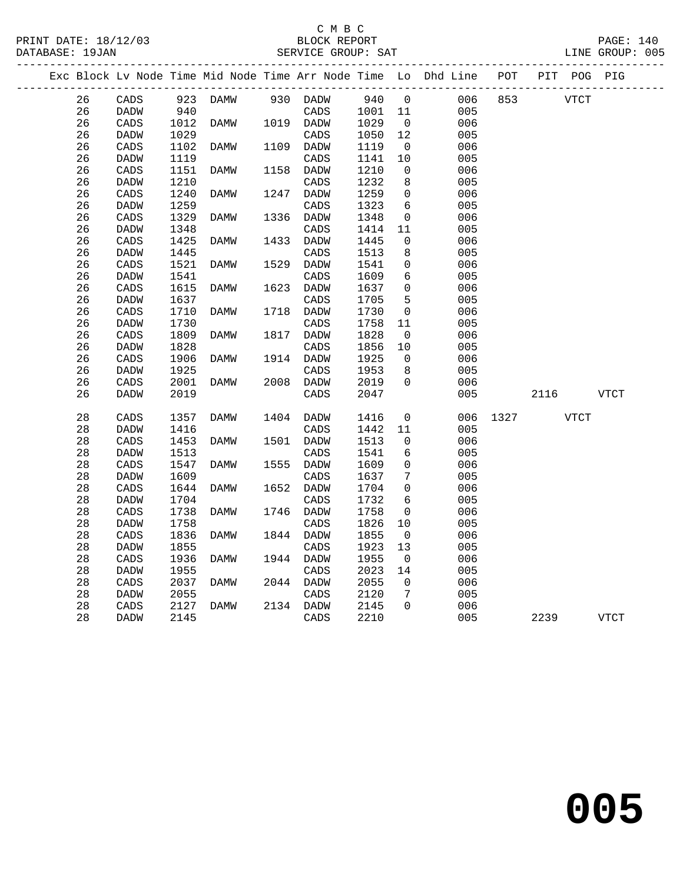## C M B C<br>BLOCK REPOI

| EPORT<br>$\sim$ $\sim$ |  |  |  |
|------------------------|--|--|--|
|                        |  |  |  |

| PRINT DATE: 18/12/03 | BLOCK REPORT       | <b>PAGE: 140</b> |
|----------------------|--------------------|------------------|
| DATABASE: 19JAN      | SERVICE GROUP: SAT | LINE GROUP: 005  |

|  |        |             |      |          |      |             |         |                | Exc Block Lv Node Time Mid Node Time Arr Node Time Lo Dhd Line POT |      | PIT POG PIG |             |             |
|--|--------|-------------|------|----------|------|-------------|---------|----------------|--------------------------------------------------------------------|------|-------------|-------------|-------------|
|  | 26     | CADS        |      | 923 DAMW |      | 930 DADW    | 940     | $\overline{0}$ | 006                                                                | 853  | VTCT        |             |             |
|  | 26     | <b>DADW</b> | 940  |          |      | CADS        | 1001 11 |                | 005                                                                |      |             |             |             |
|  | 26     | CADS        | 1012 | DAMW     |      | 1019 DADW   | 1029    | $\overline{0}$ | 006                                                                |      |             |             |             |
|  | 26     | <b>DADW</b> | 1029 |          |      | CADS        | 1050    | 12             | 005                                                                |      |             |             |             |
|  | 26     | CADS        | 1102 | DAMW     | 1109 | DADW        | 1119    | 0              | 006                                                                |      |             |             |             |
|  | 26     | DADW        | 1119 |          |      | CADS        | 1141    | 10             | 005                                                                |      |             |             |             |
|  | 26     | CADS        | 1151 | DAMW     | 1158 | DADW        | 1210    | 0              | 006                                                                |      |             |             |             |
|  | 26     | DADW        | 1210 |          |      | CADS        | 1232    | 8              | 005                                                                |      |             |             |             |
|  | 26     | CADS        | 1240 | DAMW     | 1247 | <b>DADW</b> | 1259    | $\mathbf 0$    | 006                                                                |      |             |             |             |
|  | 26     | <b>DADW</b> | 1259 |          |      | CADS        | 1323    | 6              | 005                                                                |      |             |             |             |
|  | 26     | CADS        | 1329 | DAMW     | 1336 | DADW        | 1348    | 0              | 006                                                                |      |             |             |             |
|  | 26     | DADW        | 1348 |          |      | CADS        | 1414    | 11             | 005                                                                |      |             |             |             |
|  | 26     | CADS        | 1425 | DAMW     | 1433 | DADW        | 1445    | $\mathbf 0$    | 006                                                                |      |             |             |             |
|  | 26     | <b>DADW</b> | 1445 |          |      | CADS        | 1513    | 8              | 005                                                                |      |             |             |             |
|  | 26     | CADS        | 1521 | DAMW     | 1529 | DADW        | 1541    | 0              | 006                                                                |      |             |             |             |
|  | 26     | DADW        | 1541 |          |      | CADS        | 1609    | 6              | 005                                                                |      |             |             |             |
|  | 26     | CADS        | 1615 | DAMW     | 1623 | DADW        | 1637    | $\mathbf 0$    | 006                                                                |      |             |             |             |
|  | 26     | DADW        | 1637 |          |      | CADS        | 1705    | 5              | 005                                                                |      |             |             |             |
|  | 26     | CADS        | 1710 | DAMW     | 1718 | DADW        | 1730    | $\mathsf{O}$   | 006                                                                |      |             |             |             |
|  | 26     | DADW        | 1730 |          |      | CADS        | 1758    | 11             | 005                                                                |      |             |             |             |
|  | 26     | CADS        | 1809 | DAMW     | 1817 | <b>DADW</b> | 1828    | 0              | 006                                                                |      |             |             |             |
|  | 26     | DADW        | 1828 |          |      | CADS        | 1856    | 10             | 005                                                                |      |             |             |             |
|  | 26     | CADS        | 1906 | DAMW     | 1914 | DADW        | 1925    | $\mathbf{0}$   | 006                                                                |      |             |             |             |
|  | 26     | DADW        | 1925 |          |      | CADS        | 1953    | 8              | 005                                                                |      |             |             |             |
|  | 26     | CADS        | 2001 | DAMW     |      | 2008 DADW   | 2019    | $\Omega$       | 006                                                                |      |             |             |             |
|  | 26     | DADW        | 2019 |          |      | CADS        | 2047    |                | 005                                                                |      | 2116        | VTCT        |             |
|  |        |             |      |          |      |             |         |                |                                                                    |      |             |             |             |
|  | $2\,8$ | CADS        | 1357 | DAMW     | 1404 | DADW        | 1416    | 0              | 006                                                                | 1327 |             | <b>VTCT</b> |             |
|  | 28     | DADW        | 1416 |          |      | CADS        | 1442    | 11             | 005                                                                |      |             |             |             |
|  | 28     | CADS        | 1453 | DAMW     | 1501 | DADW        | 1513    | 0              | 006                                                                |      |             |             |             |
|  | 28     | DADW        | 1513 |          |      | CADS        | 1541    | 6              | 005                                                                |      |             |             |             |
|  | 28     | CADS        | 1547 | DAMW     | 1555 | DADW        | 1609    | 0              | 006                                                                |      |             |             |             |
|  | 28     | DADW        | 1609 |          |      | CADS        | 1637    | 7              | 005                                                                |      |             |             |             |
|  | $2\,8$ | CADS        | 1644 | DAMW     | 1652 | DADW        | 1704    | 0              | 006                                                                |      |             |             |             |
|  | 28     | DADW        | 1704 |          |      | CADS        | 1732    | 6              | 005                                                                |      |             |             |             |
|  | 28     | CADS        | 1738 | DAMW     | 1746 | DADW        | 1758    | $\mathbf 0$    | 006                                                                |      |             |             |             |
|  | 28     | DADW        | 1758 |          |      | CADS        | 1826    | 10             | 005                                                                |      |             |             |             |
|  | 28     | CADS        | 1836 | DAMW     |      | 1844 DADW   | 1855    | 0              | 006                                                                |      |             |             |             |
|  | $2\,8$ | DADW        | 1855 |          |      | CADS        | 1923    | 13             | 005                                                                |      |             |             |             |
|  | 28     | CADS        | 1936 | DAMW     | 1944 | DADW        | 1955    | $\mathbf 0$    | 006                                                                |      |             |             |             |
|  | 28     | DADW        | 1955 |          |      | CADS        | 2023    | 14             | 005                                                                |      |             |             |             |
|  | 28     | CADS        | 2037 | DAMW     |      | 2044 DADW   | 2055    | 0              | 006                                                                |      |             |             |             |
|  | 28     | DADW        | 2055 |          |      | CADS        | 2120    | 7              | 005                                                                |      |             |             |             |
|  | 28     | CADS        | 2127 | DAMW     |      | 2134 DADW   | 2145    | $\Omega$       | 006                                                                |      |             |             |             |
|  | 28     | <b>DADW</b> | 2145 |          |      | CADS        | 2210    |                | 005                                                                |      | 2239        |             | <b>VTCT</b> |
|  |        |             |      |          |      |             |         |                |                                                                    |      |             |             |             |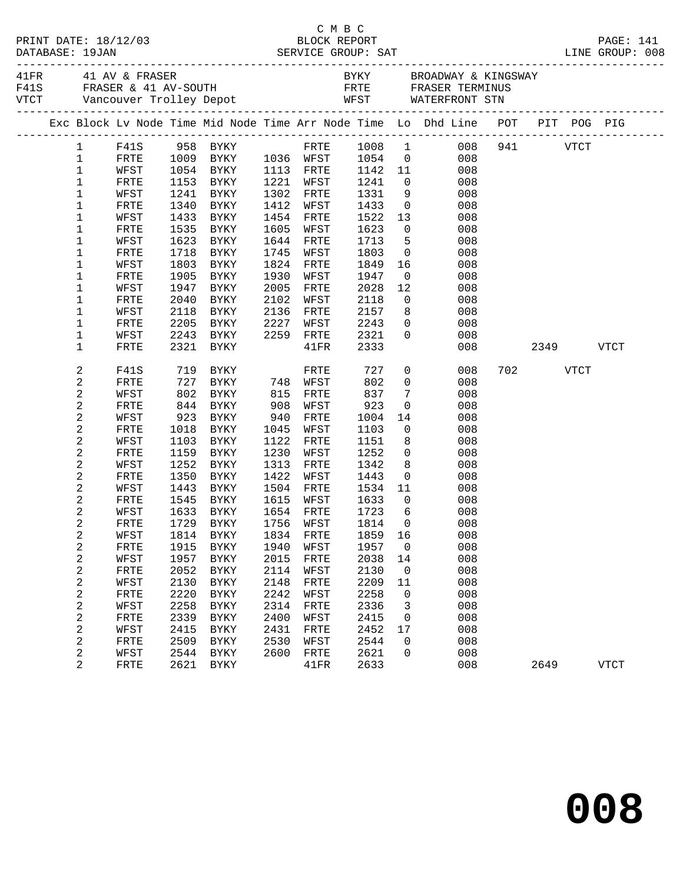| Exc Block Lv Node Time Mid Node Time Arr Node Time Lo Dhd Line POT PIT POG PIG<br>FRTE 1008 1 008 941 VTCT<br>1 F41S 958 BYKY<br>1009 BYKY 1036 WFST 1054 0<br>$\mathbf 1$<br>FRTE<br>008<br>$\mathbf{1}$<br>1054 BYKY<br>1113 FRTE<br>11<br>WFST<br>1142<br>1241<br>008<br>$\mathbf{1}$<br>FRTE<br>1153 BYKY<br>1221 WFST<br>$\begin{array}{c} 0 \\ 9 \end{array}$<br>008<br>1331<br>1<br>1241 BYKY<br>1302 FRTE<br>WFST<br>008<br>$\overline{0}$<br>1<br>1340<br>BYKY<br>1412<br>1433<br>FRTE<br>WFST<br>008<br>1<br>1433<br>1454<br>1522<br>13<br>WFST<br>BYKY<br>FRTE<br>008<br>$\mathbf 1$<br>1535<br>1605<br>1623<br>$\begin{array}{c} 0 \\ 5 \end{array}$<br>FRTE<br>BYKY<br>WFST<br>008<br>$\mathbf 1$<br>1623 BYKY<br>1644 FRTE<br>1713<br>WFST<br>008<br>$\overline{0}$<br>1<br>1718<br>1745<br>1803<br>FRTE<br>BYKY<br>WFST<br>008<br>$\mathbf 1$<br>1803<br>1824<br>16 10<br>WFST<br>BYKY<br>FRTE<br>1849<br>008<br>$\mathbf 1$<br>1905<br>1930<br>1947<br>FRTE<br>BYKY<br>WFST<br>$\overline{0}$<br>008<br>$\mathbf 1$<br>2005<br>2028<br>12<br>WFST<br>1947 BYKY<br>FRTE<br>008<br>$\mathbf 1$<br>2040<br>BYKY<br>2102<br>WFST<br>2118<br>$\overline{0}$<br>008<br>FRTE<br>$\mathbf 1$<br>2157<br>WFST<br>2118<br>BYKY<br>2136<br>FRTE<br>8<br>008<br>2205<br>008<br>1<br>FRTE<br>BYKY<br>2227<br>WFST<br>2243<br>$\overline{0}$<br>$\mathbf 1$<br>2243 BYKY<br>2259 FRTE<br>2321<br>$\Omega$<br>WFST<br>008<br>2321 BYKY<br>2333<br>1<br>FRTE<br>$41\mathrm{FR}$<br>008<br>2349<br><b>VTCT</b><br>2<br>F41S<br>719 BYKY<br>727 BYKY        748<br>727<br>$\overline{0}$<br>008<br>702 702<br>VTCT<br>FRTE<br>2<br>802<br>$\overline{0}$<br>FRTE<br>748 WFST<br>008<br>802<br>815<br>2<br>837<br>$7\phantom{.0}$<br>WFST<br>BYKY<br>FRTE<br>008<br>2<br>844<br><b>BYKY</b><br>908<br>923<br>$\overline{0}$<br>FRTE<br>WFST<br>008<br>2<br>WFST<br>923<br>BYKY<br>940<br>FRTE<br>1004<br>14<br>008<br>2<br>$\overline{0}$<br>FRTE<br>1018<br>BYKY<br>1045<br>WFST<br>1103<br>008<br>2<br>1103<br>1122<br>1151<br>WFST<br>BYKY<br>FRTE<br>8<br>008<br>2<br>1159<br>BYKY<br>1230<br>1252<br>$\overline{0}$<br>FRTE<br>WFST<br>008<br>2<br>1252<br>1313<br>1342<br>8<br>WFST<br>BYKY<br>FRTE<br>008<br>2<br>1422<br>FRTE<br>1350<br>BYKY<br>WFST<br>1443<br>$\overline{0}$<br>008<br>$11$<br>1534<br>2<br>1443 BYKY<br>1504 FRTE<br>WFST<br>008<br>1633<br>2<br>1545 BYKY<br>1615 WFST<br>FRTE<br>$\overline{0}$<br>008<br>2<br>1633 BYKY<br>1654 FRTE<br>1723<br>6<br>WFST<br>008<br>2<br>FRTE 1729 BYKY 1756 WFST 1814 0<br>008<br>2<br>1814<br>1834<br>1859<br>16<br>008<br>WFST<br>BYKY<br>FRTE<br>2<br>1957<br>008<br>FRTE<br>1915<br><b>BYKY</b><br>1940<br>WFST<br>$\mathbf 0$<br>2<br>1957<br>008<br>WFST<br><b>BYKY</b><br>2015<br>FRTE<br>2038<br>14<br>2<br>2052<br>2114<br>2130<br>008<br>FRTE<br><b>BYKY</b><br>WFST<br>$\mathbf 0$ |  |
|------------------------------------------------------------------------------------------------------------------------------------------------------------------------------------------------------------------------------------------------------------------------------------------------------------------------------------------------------------------------------------------------------------------------------------------------------------------------------------------------------------------------------------------------------------------------------------------------------------------------------------------------------------------------------------------------------------------------------------------------------------------------------------------------------------------------------------------------------------------------------------------------------------------------------------------------------------------------------------------------------------------------------------------------------------------------------------------------------------------------------------------------------------------------------------------------------------------------------------------------------------------------------------------------------------------------------------------------------------------------------------------------------------------------------------------------------------------------------------------------------------------------------------------------------------------------------------------------------------------------------------------------------------------------------------------------------------------------------------------------------------------------------------------------------------------------------------------------------------------------------------------------------------------------------------------------------------------------------------------------------------------------------------------------------------------------------------------------------------------------------------------------------------------------------------------------------------------------------------------------------------------------------------------------------------------------------------------------------------------------------------------------------------------------------------------------------------------------------------------------------------------------------------------------------------------------------------------------------------------------------------------------------------------------------------------------------------------------------------------------------------------------------------------------------------------------------------------------------------|--|
|                                                                                                                                                                                                                                                                                                                                                                                                                                                                                                                                                                                                                                                                                                                                                                                                                                                                                                                                                                                                                                                                                                                                                                                                                                                                                                                                                                                                                                                                                                                                                                                                                                                                                                                                                                                                                                                                                                                                                                                                                                                                                                                                                                                                                                                                                                                                                                                                                                                                                                                                                                                                                                                                                                                                                                                                                                                            |  |
|                                                                                                                                                                                                                                                                                                                                                                                                                                                                                                                                                                                                                                                                                                                                                                                                                                                                                                                                                                                                                                                                                                                                                                                                                                                                                                                                                                                                                                                                                                                                                                                                                                                                                                                                                                                                                                                                                                                                                                                                                                                                                                                                                                                                                                                                                                                                                                                                                                                                                                                                                                                                                                                                                                                                                                                                                                                            |  |
|                                                                                                                                                                                                                                                                                                                                                                                                                                                                                                                                                                                                                                                                                                                                                                                                                                                                                                                                                                                                                                                                                                                                                                                                                                                                                                                                                                                                                                                                                                                                                                                                                                                                                                                                                                                                                                                                                                                                                                                                                                                                                                                                                                                                                                                                                                                                                                                                                                                                                                                                                                                                                                                                                                                                                                                                                                                            |  |
|                                                                                                                                                                                                                                                                                                                                                                                                                                                                                                                                                                                                                                                                                                                                                                                                                                                                                                                                                                                                                                                                                                                                                                                                                                                                                                                                                                                                                                                                                                                                                                                                                                                                                                                                                                                                                                                                                                                                                                                                                                                                                                                                                                                                                                                                                                                                                                                                                                                                                                                                                                                                                                                                                                                                                                                                                                                            |  |
|                                                                                                                                                                                                                                                                                                                                                                                                                                                                                                                                                                                                                                                                                                                                                                                                                                                                                                                                                                                                                                                                                                                                                                                                                                                                                                                                                                                                                                                                                                                                                                                                                                                                                                                                                                                                                                                                                                                                                                                                                                                                                                                                                                                                                                                                                                                                                                                                                                                                                                                                                                                                                                                                                                                                                                                                                                                            |  |
|                                                                                                                                                                                                                                                                                                                                                                                                                                                                                                                                                                                                                                                                                                                                                                                                                                                                                                                                                                                                                                                                                                                                                                                                                                                                                                                                                                                                                                                                                                                                                                                                                                                                                                                                                                                                                                                                                                                                                                                                                                                                                                                                                                                                                                                                                                                                                                                                                                                                                                                                                                                                                                                                                                                                                                                                                                                            |  |
|                                                                                                                                                                                                                                                                                                                                                                                                                                                                                                                                                                                                                                                                                                                                                                                                                                                                                                                                                                                                                                                                                                                                                                                                                                                                                                                                                                                                                                                                                                                                                                                                                                                                                                                                                                                                                                                                                                                                                                                                                                                                                                                                                                                                                                                                                                                                                                                                                                                                                                                                                                                                                                                                                                                                                                                                                                                            |  |
|                                                                                                                                                                                                                                                                                                                                                                                                                                                                                                                                                                                                                                                                                                                                                                                                                                                                                                                                                                                                                                                                                                                                                                                                                                                                                                                                                                                                                                                                                                                                                                                                                                                                                                                                                                                                                                                                                                                                                                                                                                                                                                                                                                                                                                                                                                                                                                                                                                                                                                                                                                                                                                                                                                                                                                                                                                                            |  |
|                                                                                                                                                                                                                                                                                                                                                                                                                                                                                                                                                                                                                                                                                                                                                                                                                                                                                                                                                                                                                                                                                                                                                                                                                                                                                                                                                                                                                                                                                                                                                                                                                                                                                                                                                                                                                                                                                                                                                                                                                                                                                                                                                                                                                                                                                                                                                                                                                                                                                                                                                                                                                                                                                                                                                                                                                                                            |  |
|                                                                                                                                                                                                                                                                                                                                                                                                                                                                                                                                                                                                                                                                                                                                                                                                                                                                                                                                                                                                                                                                                                                                                                                                                                                                                                                                                                                                                                                                                                                                                                                                                                                                                                                                                                                                                                                                                                                                                                                                                                                                                                                                                                                                                                                                                                                                                                                                                                                                                                                                                                                                                                                                                                                                                                                                                                                            |  |
|                                                                                                                                                                                                                                                                                                                                                                                                                                                                                                                                                                                                                                                                                                                                                                                                                                                                                                                                                                                                                                                                                                                                                                                                                                                                                                                                                                                                                                                                                                                                                                                                                                                                                                                                                                                                                                                                                                                                                                                                                                                                                                                                                                                                                                                                                                                                                                                                                                                                                                                                                                                                                                                                                                                                                                                                                                                            |  |
|                                                                                                                                                                                                                                                                                                                                                                                                                                                                                                                                                                                                                                                                                                                                                                                                                                                                                                                                                                                                                                                                                                                                                                                                                                                                                                                                                                                                                                                                                                                                                                                                                                                                                                                                                                                                                                                                                                                                                                                                                                                                                                                                                                                                                                                                                                                                                                                                                                                                                                                                                                                                                                                                                                                                                                                                                                                            |  |
|                                                                                                                                                                                                                                                                                                                                                                                                                                                                                                                                                                                                                                                                                                                                                                                                                                                                                                                                                                                                                                                                                                                                                                                                                                                                                                                                                                                                                                                                                                                                                                                                                                                                                                                                                                                                                                                                                                                                                                                                                                                                                                                                                                                                                                                                                                                                                                                                                                                                                                                                                                                                                                                                                                                                                                                                                                                            |  |
|                                                                                                                                                                                                                                                                                                                                                                                                                                                                                                                                                                                                                                                                                                                                                                                                                                                                                                                                                                                                                                                                                                                                                                                                                                                                                                                                                                                                                                                                                                                                                                                                                                                                                                                                                                                                                                                                                                                                                                                                                                                                                                                                                                                                                                                                                                                                                                                                                                                                                                                                                                                                                                                                                                                                                                                                                                                            |  |
|                                                                                                                                                                                                                                                                                                                                                                                                                                                                                                                                                                                                                                                                                                                                                                                                                                                                                                                                                                                                                                                                                                                                                                                                                                                                                                                                                                                                                                                                                                                                                                                                                                                                                                                                                                                                                                                                                                                                                                                                                                                                                                                                                                                                                                                                                                                                                                                                                                                                                                                                                                                                                                                                                                                                                                                                                                                            |  |
|                                                                                                                                                                                                                                                                                                                                                                                                                                                                                                                                                                                                                                                                                                                                                                                                                                                                                                                                                                                                                                                                                                                                                                                                                                                                                                                                                                                                                                                                                                                                                                                                                                                                                                                                                                                                                                                                                                                                                                                                                                                                                                                                                                                                                                                                                                                                                                                                                                                                                                                                                                                                                                                                                                                                                                                                                                                            |  |
|                                                                                                                                                                                                                                                                                                                                                                                                                                                                                                                                                                                                                                                                                                                                                                                                                                                                                                                                                                                                                                                                                                                                                                                                                                                                                                                                                                                                                                                                                                                                                                                                                                                                                                                                                                                                                                                                                                                                                                                                                                                                                                                                                                                                                                                                                                                                                                                                                                                                                                                                                                                                                                                                                                                                                                                                                                                            |  |
|                                                                                                                                                                                                                                                                                                                                                                                                                                                                                                                                                                                                                                                                                                                                                                                                                                                                                                                                                                                                                                                                                                                                                                                                                                                                                                                                                                                                                                                                                                                                                                                                                                                                                                                                                                                                                                                                                                                                                                                                                                                                                                                                                                                                                                                                                                                                                                                                                                                                                                                                                                                                                                                                                                                                                                                                                                                            |  |
|                                                                                                                                                                                                                                                                                                                                                                                                                                                                                                                                                                                                                                                                                                                                                                                                                                                                                                                                                                                                                                                                                                                                                                                                                                                                                                                                                                                                                                                                                                                                                                                                                                                                                                                                                                                                                                                                                                                                                                                                                                                                                                                                                                                                                                                                                                                                                                                                                                                                                                                                                                                                                                                                                                                                                                                                                                                            |  |
|                                                                                                                                                                                                                                                                                                                                                                                                                                                                                                                                                                                                                                                                                                                                                                                                                                                                                                                                                                                                                                                                                                                                                                                                                                                                                                                                                                                                                                                                                                                                                                                                                                                                                                                                                                                                                                                                                                                                                                                                                                                                                                                                                                                                                                                                                                                                                                                                                                                                                                                                                                                                                                                                                                                                                                                                                                                            |  |
|                                                                                                                                                                                                                                                                                                                                                                                                                                                                                                                                                                                                                                                                                                                                                                                                                                                                                                                                                                                                                                                                                                                                                                                                                                                                                                                                                                                                                                                                                                                                                                                                                                                                                                                                                                                                                                                                                                                                                                                                                                                                                                                                                                                                                                                                                                                                                                                                                                                                                                                                                                                                                                                                                                                                                                                                                                                            |  |
|                                                                                                                                                                                                                                                                                                                                                                                                                                                                                                                                                                                                                                                                                                                                                                                                                                                                                                                                                                                                                                                                                                                                                                                                                                                                                                                                                                                                                                                                                                                                                                                                                                                                                                                                                                                                                                                                                                                                                                                                                                                                                                                                                                                                                                                                                                                                                                                                                                                                                                                                                                                                                                                                                                                                                                                                                                                            |  |
|                                                                                                                                                                                                                                                                                                                                                                                                                                                                                                                                                                                                                                                                                                                                                                                                                                                                                                                                                                                                                                                                                                                                                                                                                                                                                                                                                                                                                                                                                                                                                                                                                                                                                                                                                                                                                                                                                                                                                                                                                                                                                                                                                                                                                                                                                                                                                                                                                                                                                                                                                                                                                                                                                                                                                                                                                                                            |  |
|                                                                                                                                                                                                                                                                                                                                                                                                                                                                                                                                                                                                                                                                                                                                                                                                                                                                                                                                                                                                                                                                                                                                                                                                                                                                                                                                                                                                                                                                                                                                                                                                                                                                                                                                                                                                                                                                                                                                                                                                                                                                                                                                                                                                                                                                                                                                                                                                                                                                                                                                                                                                                                                                                                                                                                                                                                                            |  |
|                                                                                                                                                                                                                                                                                                                                                                                                                                                                                                                                                                                                                                                                                                                                                                                                                                                                                                                                                                                                                                                                                                                                                                                                                                                                                                                                                                                                                                                                                                                                                                                                                                                                                                                                                                                                                                                                                                                                                                                                                                                                                                                                                                                                                                                                                                                                                                                                                                                                                                                                                                                                                                                                                                                                                                                                                                                            |  |
|                                                                                                                                                                                                                                                                                                                                                                                                                                                                                                                                                                                                                                                                                                                                                                                                                                                                                                                                                                                                                                                                                                                                                                                                                                                                                                                                                                                                                                                                                                                                                                                                                                                                                                                                                                                                                                                                                                                                                                                                                                                                                                                                                                                                                                                                                                                                                                                                                                                                                                                                                                                                                                                                                                                                                                                                                                                            |  |
|                                                                                                                                                                                                                                                                                                                                                                                                                                                                                                                                                                                                                                                                                                                                                                                                                                                                                                                                                                                                                                                                                                                                                                                                                                                                                                                                                                                                                                                                                                                                                                                                                                                                                                                                                                                                                                                                                                                                                                                                                                                                                                                                                                                                                                                                                                                                                                                                                                                                                                                                                                                                                                                                                                                                                                                                                                                            |  |
|                                                                                                                                                                                                                                                                                                                                                                                                                                                                                                                                                                                                                                                                                                                                                                                                                                                                                                                                                                                                                                                                                                                                                                                                                                                                                                                                                                                                                                                                                                                                                                                                                                                                                                                                                                                                                                                                                                                                                                                                                                                                                                                                                                                                                                                                                                                                                                                                                                                                                                                                                                                                                                                                                                                                                                                                                                                            |  |
|                                                                                                                                                                                                                                                                                                                                                                                                                                                                                                                                                                                                                                                                                                                                                                                                                                                                                                                                                                                                                                                                                                                                                                                                                                                                                                                                                                                                                                                                                                                                                                                                                                                                                                                                                                                                                                                                                                                                                                                                                                                                                                                                                                                                                                                                                                                                                                                                                                                                                                                                                                                                                                                                                                                                                                                                                                                            |  |
|                                                                                                                                                                                                                                                                                                                                                                                                                                                                                                                                                                                                                                                                                                                                                                                                                                                                                                                                                                                                                                                                                                                                                                                                                                                                                                                                                                                                                                                                                                                                                                                                                                                                                                                                                                                                                                                                                                                                                                                                                                                                                                                                                                                                                                                                                                                                                                                                                                                                                                                                                                                                                                                                                                                                                                                                                                                            |  |
|                                                                                                                                                                                                                                                                                                                                                                                                                                                                                                                                                                                                                                                                                                                                                                                                                                                                                                                                                                                                                                                                                                                                                                                                                                                                                                                                                                                                                                                                                                                                                                                                                                                                                                                                                                                                                                                                                                                                                                                                                                                                                                                                                                                                                                                                                                                                                                                                                                                                                                                                                                                                                                                                                                                                                                                                                                                            |  |
|                                                                                                                                                                                                                                                                                                                                                                                                                                                                                                                                                                                                                                                                                                                                                                                                                                                                                                                                                                                                                                                                                                                                                                                                                                                                                                                                                                                                                                                                                                                                                                                                                                                                                                                                                                                                                                                                                                                                                                                                                                                                                                                                                                                                                                                                                                                                                                                                                                                                                                                                                                                                                                                                                                                                                                                                                                                            |  |
|                                                                                                                                                                                                                                                                                                                                                                                                                                                                                                                                                                                                                                                                                                                                                                                                                                                                                                                                                                                                                                                                                                                                                                                                                                                                                                                                                                                                                                                                                                                                                                                                                                                                                                                                                                                                                                                                                                                                                                                                                                                                                                                                                                                                                                                                                                                                                                                                                                                                                                                                                                                                                                                                                                                                                                                                                                                            |  |
|                                                                                                                                                                                                                                                                                                                                                                                                                                                                                                                                                                                                                                                                                                                                                                                                                                                                                                                                                                                                                                                                                                                                                                                                                                                                                                                                                                                                                                                                                                                                                                                                                                                                                                                                                                                                                                                                                                                                                                                                                                                                                                                                                                                                                                                                                                                                                                                                                                                                                                                                                                                                                                                                                                                                                                                                                                                            |  |
|                                                                                                                                                                                                                                                                                                                                                                                                                                                                                                                                                                                                                                                                                                                                                                                                                                                                                                                                                                                                                                                                                                                                                                                                                                                                                                                                                                                                                                                                                                                                                                                                                                                                                                                                                                                                                                                                                                                                                                                                                                                                                                                                                                                                                                                                                                                                                                                                                                                                                                                                                                                                                                                                                                                                                                                                                                                            |  |
|                                                                                                                                                                                                                                                                                                                                                                                                                                                                                                                                                                                                                                                                                                                                                                                                                                                                                                                                                                                                                                                                                                                                                                                                                                                                                                                                                                                                                                                                                                                                                                                                                                                                                                                                                                                                                                                                                                                                                                                                                                                                                                                                                                                                                                                                                                                                                                                                                                                                                                                                                                                                                                                                                                                                                                                                                                                            |  |
| 2<br>2148<br>2209<br>11<br>008<br>WFST<br>2130<br><b>BYKY</b><br>FRTE                                                                                                                                                                                                                                                                                                                                                                                                                                                                                                                                                                                                                                                                                                                                                                                                                                                                                                                                                                                                                                                                                                                                                                                                                                                                                                                                                                                                                                                                                                                                                                                                                                                                                                                                                                                                                                                                                                                                                                                                                                                                                                                                                                                                                                                                                                                                                                                                                                                                                                                                                                                                                                                                                                                                                                                      |  |
| 2<br>2220<br>2242<br>2258<br>008<br>FRTE<br><b>BYKY</b><br>WFST<br>0                                                                                                                                                                                                                                                                                                                                                                                                                                                                                                                                                                                                                                                                                                                                                                                                                                                                                                                                                                                                                                                                                                                                                                                                                                                                                                                                                                                                                                                                                                                                                                                                                                                                                                                                                                                                                                                                                                                                                                                                                                                                                                                                                                                                                                                                                                                                                                                                                                                                                                                                                                                                                                                                                                                                                                                       |  |
| 2<br>2258<br>WFST<br><b>BYKY</b><br>2314<br>FRTE<br>2336<br>3<br>008                                                                                                                                                                                                                                                                                                                                                                                                                                                                                                                                                                                                                                                                                                                                                                                                                                                                                                                                                                                                                                                                                                                                                                                                                                                                                                                                                                                                                                                                                                                                                                                                                                                                                                                                                                                                                                                                                                                                                                                                                                                                                                                                                                                                                                                                                                                                                                                                                                                                                                                                                                                                                                                                                                                                                                                       |  |
| 2<br>2339<br>2415<br>008<br>2400<br>WFST<br>0<br>FRTE<br>BYKY                                                                                                                                                                                                                                                                                                                                                                                                                                                                                                                                                                                                                                                                                                                                                                                                                                                                                                                                                                                                                                                                                                                                                                                                                                                                                                                                                                                                                                                                                                                                                                                                                                                                                                                                                                                                                                                                                                                                                                                                                                                                                                                                                                                                                                                                                                                                                                                                                                                                                                                                                                                                                                                                                                                                                                                              |  |
| 2<br>2452<br>008<br>WFST<br>2415<br><b>BYKY</b><br>2431<br>FRTE<br>17                                                                                                                                                                                                                                                                                                                                                                                                                                                                                                                                                                                                                                                                                                                                                                                                                                                                                                                                                                                                                                                                                                                                                                                                                                                                                                                                                                                                                                                                                                                                                                                                                                                                                                                                                                                                                                                                                                                                                                                                                                                                                                                                                                                                                                                                                                                                                                                                                                                                                                                                                                                                                                                                                                                                                                                      |  |
| 2<br>008<br>2509<br><b>BYKY</b><br>2530<br>WFST<br>2544<br>0<br>FRTE                                                                                                                                                                                                                                                                                                                                                                                                                                                                                                                                                                                                                                                                                                                                                                                                                                                                                                                                                                                                                                                                                                                                                                                                                                                                                                                                                                                                                                                                                                                                                                                                                                                                                                                                                                                                                                                                                                                                                                                                                                                                                                                                                                                                                                                                                                                                                                                                                                                                                                                                                                                                                                                                                                                                                                                       |  |
| 2<br>WFST<br>2544<br><b>BYKY</b><br>2600<br>FRTE<br>2621<br>0<br>008                                                                                                                                                                                                                                                                                                                                                                                                                                                                                                                                                                                                                                                                                                                                                                                                                                                                                                                                                                                                                                                                                                                                                                                                                                                                                                                                                                                                                                                                                                                                                                                                                                                                                                                                                                                                                                                                                                                                                                                                                                                                                                                                                                                                                                                                                                                                                                                                                                                                                                                                                                                                                                                                                                                                                                                       |  |
| 2<br>2621<br>FRTE<br><b>BYKY</b><br>41FR<br>2633<br>008<br>2649<br><b>VTCT</b>                                                                                                                                                                                                                                                                                                                                                                                                                                                                                                                                                                                                                                                                                                                                                                                                                                                                                                                                                                                                                                                                                                                                                                                                                                                                                                                                                                                                                                                                                                                                                                                                                                                                                                                                                                                                                                                                                                                                                                                                                                                                                                                                                                                                                                                                                                                                                                                                                                                                                                                                                                                                                                                                                                                                                                             |  |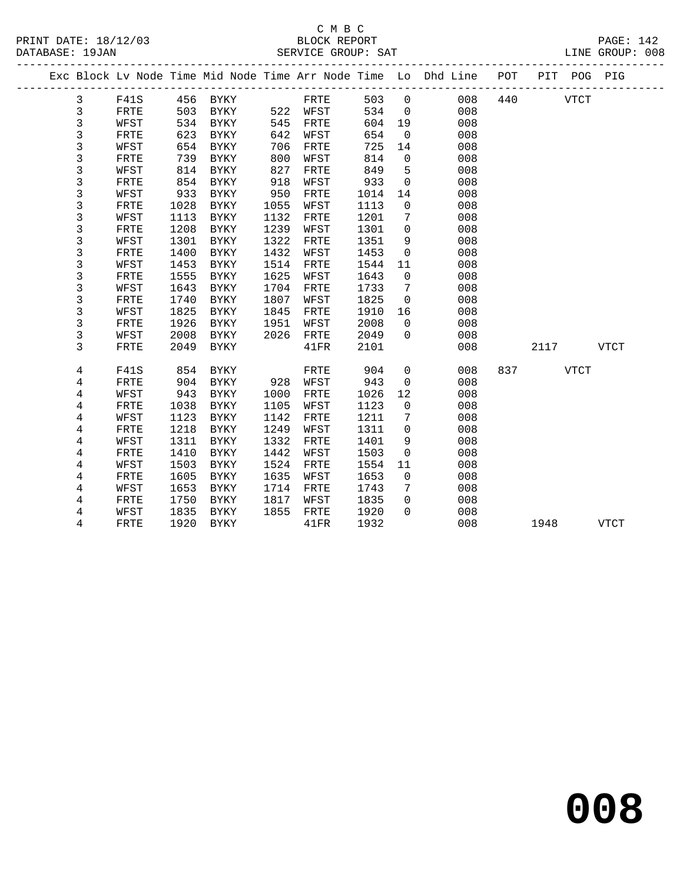# C M B C

|  | DATABASE: 19JAN |      |      |             |      | SERVICE GROUP: SAT |      |                |                                                                                |     |          |      | LINE GROUP: 008 |  |
|--|-----------------|------|------|-------------|------|--------------------|------|----------------|--------------------------------------------------------------------------------|-----|----------|------|-----------------|--|
|  |                 |      |      |             |      |                    |      |                | Exc Block Lv Node Time Mid Node Time Arr Node Time Lo Dhd Line POT PIT POG PIG |     |          |      |                 |  |
|  | 3               | F41S |      | 456 BYKY    |      | FRTE               | 503  | $\overline{0}$ | 008                                                                            |     | 440 VTCT |      |                 |  |
|  | 3               | FRTE | 503  | BYKY        |      | 522 WFST           | 534  | $\overline{0}$ | 008                                                                            |     |          |      |                 |  |
|  | 3               | WFST | 534  | BYKY        | 545  | FRTE               | 604  | 19             | 008                                                                            |     |          |      |                 |  |
|  | 3               | FRTE | 623  | BYKY        | 642  | WFST               | 654  | $\overline{0}$ | 008                                                                            |     |          |      |                 |  |
|  | 3               | WFST | 654  | BYKY        | 706  | FRTE               | 725  | 14             | 008                                                                            |     |          |      |                 |  |
|  | 3               | FRTE | 739  | BYKY        | 800  | WFST               | 814  | $\mathbf 0$    | 008                                                                            |     |          |      |                 |  |
|  | 3               | WFST | 814  | BYKY        | 827  | FRTE               | 849  | 5              | 008                                                                            |     |          |      |                 |  |
|  | 3               | FRTE | 854  | BYKY        | 918  | WFST               | 933  | $\mathbf 0$    | 008                                                                            |     |          |      |                 |  |
|  | 3               | WFST | 933  | <b>BYKY</b> | 950  | FRTE               | 1014 | 14             | 008                                                                            |     |          |      |                 |  |
|  | 3               | FRTE | 1028 | BYKY        | 1055 | WFST               | 1113 | $\mathbf 0$    | 008                                                                            |     |          |      |                 |  |
|  | 3               | WFST | 1113 | BYKY        | 1132 | FRTE               | 1201 | 7              | 008                                                                            |     |          |      |                 |  |
|  | 3               | FRTE | 1208 | BYKY        | 1239 | WFST               | 1301 | $\mathbf 0$    | 008                                                                            |     |          |      |                 |  |
|  | 3               | WFST | 1301 | BYKY        | 1322 | FRTE               | 1351 | 9              | 008                                                                            |     |          |      |                 |  |
|  | 3               | FRTE | 1400 | <b>BYKY</b> | 1432 | WFST               | 1453 | $\mathbf 0$    | 008                                                                            |     |          |      |                 |  |
|  | 3               | WFST | 1453 | BYKY        | 1514 | FRTE               | 1544 | 11             | 008                                                                            |     |          |      |                 |  |
|  | 3               | FRTE | 1555 | BYKY        | 1625 | WFST               | 1643 | $\mathbf 0$    | 008                                                                            |     |          |      |                 |  |
|  | 3               | WFST | 1643 | BYKY        | 1704 | FRTE               | 1733 | 7              | 008                                                                            |     |          |      |                 |  |
|  | 3               | FRTE | 1740 | <b>BYKY</b> | 1807 | WFST               | 1825 | $\mathbf 0$    | 008                                                                            |     |          |      |                 |  |
|  | 3               | WFST | 1825 | BYKY        | 1845 | FRTE               | 1910 | 16             | 008                                                                            |     |          |      |                 |  |
|  | 3               | FRTE | 1926 | BYKY        | 1951 | WFST               | 2008 | $\mathbf 0$    | 008                                                                            |     |          |      |                 |  |
|  | 3               | WFST | 2008 | BYKY        | 2026 | FRTE               | 2049 | $\mathbf 0$    | 008                                                                            |     |          |      |                 |  |
|  | 3               | FRTE | 2049 | BYKY        |      | $41\mathrm{FR}$    | 2101 |                | 008                                                                            |     | 2117     |      | <b>VTCT</b>     |  |
|  | 4               | F41S | 854  | BYKY        |      | FRTE               | 904  | 0              | 008                                                                            | 837 |          | VTCT |                 |  |
|  | 4               | FRTE | 904  | BYKY        | 928  | WFST               | 943  | $\overline{0}$ | 008                                                                            |     |          |      |                 |  |
|  | 4               | WFST | 943  | BYKY        | 1000 | FRTE               | 1026 | 12             | 008                                                                            |     |          |      |                 |  |
|  | 4               | FRTE | 1038 | BYKY        | 1105 | WFST               | 1123 | $\Omega$       | 008                                                                            |     |          |      |                 |  |
|  | 4               | WFST | 1123 | BYKY        | 1142 | FRTE               | 1211 | 7              | 008                                                                            |     |          |      |                 |  |

 4 WFST 1311 BYKY 1332 FRTE 1401 9 008 4 FRTE 1410 BYKY 1442 WFST 1503 0 008

 4 FRTE 1605 BYKY 1635 WFST 1653 0 008 4 WFST 1653 BYKY 1714 FRTE 1743 7 008

4 WFST 1835 BYKY

4 FRTE 1218 BYKY 1249 WFST 1311 0 008

4 WFST 1503 BYKY 1524 FRTE 1554 11 008

4 FRTE 1750 BYKY 1817 WFST 1835 0 008

4 FRTE 1920 BYKY 41FR 1932 008 1948 VTCT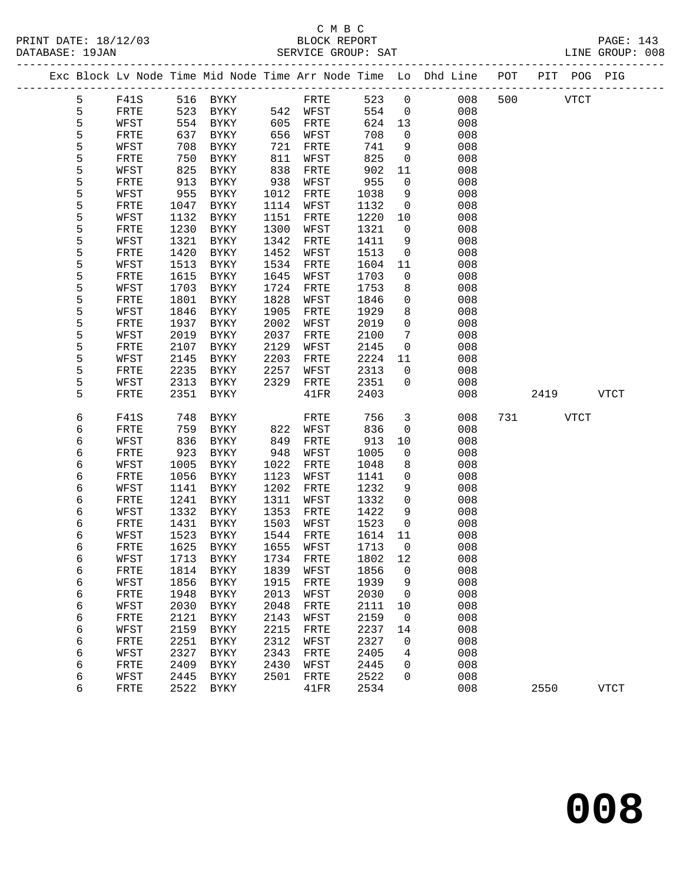|  |        |              |              |                     |              |              |              |                    | Exc Block Lv Node Time Mid Node Time Arr Node Time Lo Dhd Line POT |     |      | PIT POG PIG |             |
|--|--------|--------------|--------------|---------------------|--------------|--------------|--------------|--------------------|--------------------------------------------------------------------|-----|------|-------------|-------------|
|  | 5      | F41S         | 516          | BYKY                |              | FRTE         | 523          | $\mathbf 0$        | 008                                                                | 500 |      | <b>VTCT</b> |             |
|  | 5      | FRTE         | 523          | BYKY                |              | 542 WFST     | 554          | $\mathbf{0}$       | 008                                                                |     |      |             |             |
|  | 5      | WFST         | 554          | BYKY                | 605          | FRTE         | 624          | 13                 | 008                                                                |     |      |             |             |
|  | 5      | FRTE         | 637          | BYKY                | 656          | WFST         | 708          | $\mathsf{O}$       | 008                                                                |     |      |             |             |
|  | 5      | WFST         | 708          | BYKY                | 721          | FRTE         | 741          | 9                  | 008                                                                |     |      |             |             |
|  | 5      | FRTE         | 750          | BYKY                | 811          | WFST         | 825          | $\mathsf{O}$       | 008                                                                |     |      |             |             |
|  | 5      | WFST         | 825          | BYKY                | 838          | FRTE         | 902          | 11                 | 008                                                                |     |      |             |             |
|  | 5      | FRTE         | 913          | BYKY                | 938          | WFST         | 955          | $\mathsf{O}$       | 008                                                                |     |      |             |             |
|  | 5      | WFST         | 955          | BYKY                | 1012         | FRTE         | 1038         | 9                  | 008                                                                |     |      |             |             |
|  | 5      | FRTE         | 1047         | BYKY                | 1114         | WFST         | 1132         | $\mathsf{O}$       | 008                                                                |     |      |             |             |
|  | 5      | WFST         | 1132         | BYKY                | 1151         | FRTE         | 1220         | 10                 | 008                                                                |     |      |             |             |
|  | 5      | FRTE         | 1230         | BYKY                | 1300         | WFST         | 1321         | $\mathsf{O}$       | 008                                                                |     |      |             |             |
|  | 5      | WFST         | 1321         | BYKY                | 1342         | FRTE         | 1411         | 9                  | 008                                                                |     |      |             |             |
|  | 5      | FRTE         | 1420         | BYKY                | 1452         | WFST         | 1513         | $\mathsf{O}$       | 008                                                                |     |      |             |             |
|  | 5<br>5 | WFST<br>FRTE | 1513<br>1615 | BYKY                | 1534<br>1645 | FRTE         | 1604         | 11<br>$\mathsf{O}$ | 008<br>008                                                         |     |      |             |             |
|  | 5      | WFST         | 1703         | BYKY<br>BYKY        | 1724         | WFST<br>FRTE | 1703<br>1753 | 8                  | 008                                                                |     |      |             |             |
|  | 5      | FRTE         | 1801         | BYKY                | 1828         | WFST         | 1846         | 0                  | 008                                                                |     |      |             |             |
|  | 5      | WFST         | 1846         | BYKY                | 1905         | FRTE         | 1929         | 8                  | 008                                                                |     |      |             |             |
|  | 5      | FRTE         | 1937         | BYKY                | 2002         | WFST         | 2019         | $\mathbf 0$        | 008                                                                |     |      |             |             |
|  | 5      | WFST         | 2019         | BYKY                | 2037         | FRTE         | 2100         | 7                  | 008                                                                |     |      |             |             |
|  | 5      | FRTE         | 2107         | BYKY                | 2129         | WFST         | 2145         | $\mathsf{O}$       | 008                                                                |     |      |             |             |
|  | 5      | WFST         | 2145         | BYKY                | 2203         | FRTE         | 2224         | 11                 | 008                                                                |     |      |             |             |
|  | 5      | FRTE         | 2235         | BYKY                | 2257         | WFST         | 2313         | 0                  | 008                                                                |     |      |             |             |
|  | 5      | WFST         | 2313         | BYKY                | 2329         | FRTE         | 2351         | 0                  | 008                                                                |     |      |             |             |
|  | 5      | FRTE         | 2351         | $\rm BYKY$          |              | 41FR         | 2403         |                    | 008                                                                |     | 2419 |             | <b>VTCT</b> |
|  | 6      | F41S         | 748          | BYKY                |              | FRTE         | 756          | 3                  | 008                                                                | 731 |      | <b>VTCT</b> |             |
|  | 6      | FRTE         | 759          | BYKY                | 822          | WFST         | 836          | $\mathsf{O}$       | 008                                                                |     |      |             |             |
|  | 6      | WFST         | 836          | BYKY                | 849          | FRTE         | 913          | 10                 | 008                                                                |     |      |             |             |
|  | 6      | FRTE         | 923          | BYKY                | 948          | WFST         | 1005         | $\mathsf{O}$       | 008                                                                |     |      |             |             |
|  | 6      | WFST         | 1005         | BYKY                | 1022         | FRTE         | 1048         | 8                  | 008                                                                |     |      |             |             |
|  | 6      | FRTE         | 1056         | BYKY                | 1123         | WFST         | 1141         | 0                  | 008                                                                |     |      |             |             |
|  | 6      | WFST         | 1141         | BYKY                | 1202         | FRTE         | 1232         | 9                  | 008                                                                |     |      |             |             |
|  | 6      | FRTE         | 1241         | BYKY                | 1311         | WFST         | 1332         | $\mathbf 0$        | 008                                                                |     |      |             |             |
|  | 6      | WFST         | 1332         | BYKY                | 1353         | FRTE         | 1422         | 9                  | 008                                                                |     |      |             |             |
|  | 6      | FRTE         | 1431         | BYKY                | 1503         | WFST         | 1523         | $\mathsf{O}$       | 008                                                                |     |      |             |             |
|  | 6      | WFST         | 1523         | BYKY<br><b>BYKY</b> | 1544<br>1655 | FRTE         | 1614         | 11                 | 008                                                                |     |      |             |             |
|  | 6      | FRTE         | 1625         |                     |              | WFST         | 1713         | 0                  | 008                                                                |     |      |             |             |
|  | 6<br>6 | WFST<br>FRTE | 1713<br>1814 | BYKY<br><b>BYKY</b> | 1734<br>1839 | FRTE<br>WFST | 1802<br>1856 | 12<br>0            | 008<br>008                                                         |     |      |             |             |
|  | 6      | WFST         | 1856         | BYKY                | 1915         | FRTE         | 1939         | 9                  | 008                                                                |     |      |             |             |
|  | 6      | FRTE         | 1948         | <b>BYKY</b>         | 2013         | WFST         | 2030         | 0                  | 008                                                                |     |      |             |             |
|  | 6      | WFST         | 2030         | <b>BYKY</b>         | 2048         | FRTE         | 2111         | 10                 | 008                                                                |     |      |             |             |
|  | 6      | FRTE         | 2121         | <b>BYKY</b>         | 2143         | WFST         | 2159         | 0                  | 008                                                                |     |      |             |             |
|  | 6      | WFST         | 2159         | ${\tt BYKY}$        | 2215         | FRTE         | 2237         | 14                 | 008                                                                |     |      |             |             |
|  | 6      | FRTE         | 2251         | <b>BYKY</b>         | 2312         | WFST         | 2327         | 0                  | 008                                                                |     |      |             |             |
|  | 6      | WFST         | 2327         | <b>BYKY</b>         | 2343         | FRTE         | 2405         | 4                  | 008                                                                |     |      |             |             |
|  | 6      | FRTE         | 2409         | <b>BYKY</b>         | 2430         | WFST         | 2445         | 0                  | 008                                                                |     |      |             |             |
|  | 6      | WFST         | 2445         | ${\tt BYKY}$        | 2501         | FRTE         | 2522         | 0                  | 008                                                                |     |      |             |             |
|  | 6      | FRTE         | 2522         | <b>BYKY</b>         |              | 41FR         | 2534         |                    | 008                                                                |     | 2550 |             | <b>VTCT</b> |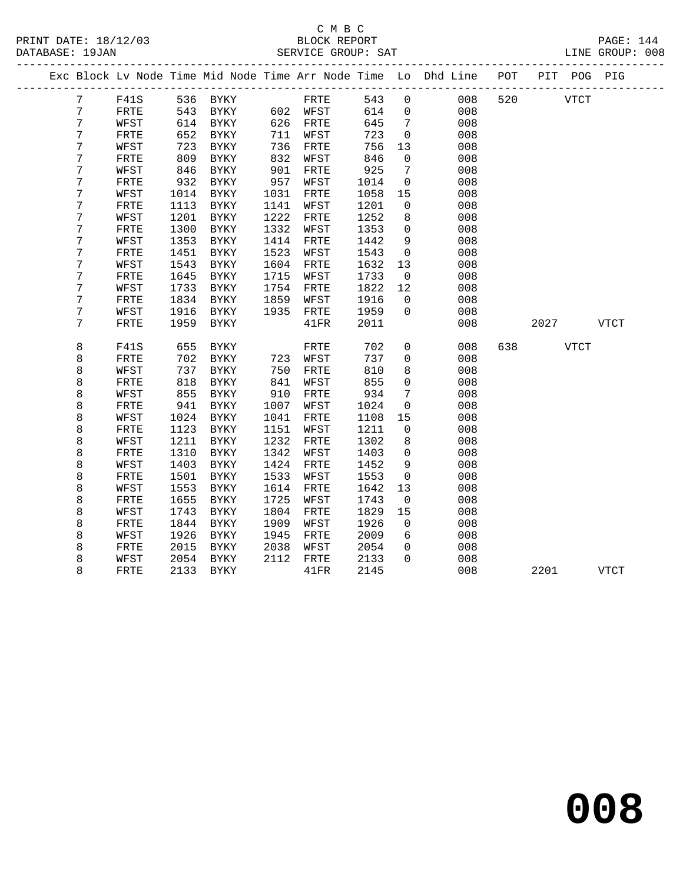#### C M B C<br>BLOCK REPORT PRINT DATE: 18/12/03 BLOCK REPORT PAGE: 144 SERVICE GROUP: SAT

|                  |              |      |             |      |          |      |                | Exc Block Lv Node Time Mid Node Time Arr Node Time Lo Dhd Line | POT |             | PIT POG PIG |             |
|------------------|--------------|------|-------------|------|----------|------|----------------|----------------------------------------------------------------|-----|-------------|-------------|-------------|
| $7\phantom{.}$   | F41S         |      | 536 BYKY    |      | FRTE     | 543  | $\mathbf 0$    | 008                                                            | 520 | <b>VTCT</b> |             |             |
| $7\phantom{.}$   | FRTE         | 543  | BYKY        |      | 602 WFST | 614  | $\overline{0}$ | 008                                                            |     |             |             |             |
| 7                | WFST         | 614  | BYKY        | 626  | FRTE     | 645  | $\overline{7}$ | 008                                                            |     |             |             |             |
| $\boldsymbol{7}$ | FRTE         | 652  | BYKY        | 711  | WFST     | 723  | $\overline{0}$ | 008                                                            |     |             |             |             |
| $\boldsymbol{7}$ | WFST         | 723  | BYKY        | 736  | FRTE     | 756  | 13             | 008                                                            |     |             |             |             |
| $\overline{7}$   | FRTE         | 809  | BYKY        | 832  | WFST     | 846  | $\mathbf 0$    | 008                                                            |     |             |             |             |
| 7                | WFST         | 846  | BYKY        | 901  | FRTE     | 925  | 7              | 008                                                            |     |             |             |             |
| $\boldsymbol{7}$ | FRTE         | 932  | BYKY        | 957  | WFST     | 1014 | $\mathsf{O}$   | 008                                                            |     |             |             |             |
| $\boldsymbol{7}$ | WFST         | 1014 | BYKY        | 1031 | FRTE     | 1058 | 15             | 008                                                            |     |             |             |             |
| $\overline{7}$   | FRTE         | 1113 | <b>BYKY</b> | 1141 | WFST     | 1201 | $\mathbf 0$    | 008                                                            |     |             |             |             |
| $\boldsymbol{7}$ | WFST         | 1201 | <b>BYKY</b> | 1222 | FRTE     | 1252 | 8              | 008                                                            |     |             |             |             |
| $\overline{7}$   | FRTE         | 1300 | <b>BYKY</b> | 1332 | WFST     | 1353 | $\mathbf 0$    | 008                                                            |     |             |             |             |
| 7                | WFST         | 1353 | BYKY        | 1414 | FRTE     | 1442 | 9              | 008                                                            |     |             |             |             |
| $\boldsymbol{7}$ | ${\tt FRTE}$ | 1451 | <b>BYKY</b> | 1523 | WFST     | 1543 | $\overline{0}$ | 008                                                            |     |             |             |             |
| $\overline{7}$   | WFST         | 1543 | <b>BYKY</b> | 1604 | FRTE     | 1632 | 13             | 008                                                            |     |             |             |             |
| 7                | FRTE         | 1645 | <b>BYKY</b> | 1715 | WFST     | 1733 | $\overline{0}$ | 008                                                            |     |             |             |             |
| 7                | WFST         | 1733 | <b>BYKY</b> | 1754 | FRTE     | 1822 | 12             | 008                                                            |     |             |             |             |
| $\boldsymbol{7}$ | FRTE         | 1834 | <b>BYKY</b> | 1859 | WFST     | 1916 | $\overline{0}$ | 008                                                            |     |             |             |             |
| 7                | WFST         | 1916 | <b>BYKY</b> | 1935 | FRTE     | 1959 | $\Omega$       | 008                                                            |     |             |             |             |
| 7                | FRTE         | 1959 | BYKY        |      | 41FR     | 2011 |                | 008                                                            |     | 2027        |             | VTCT        |
| 8                | <b>F41S</b>  | 655  | BYKY        |      | FRTE     | 702  | $\overline{0}$ | 008                                                            | 638 |             | VTCT        |             |
| 8                | FRTE         | 702  | BYKY        | 723  | WFST     | 737  | $\mathbf 0$    | 008                                                            |     |             |             |             |
| $\,8\,$          | WFST         | 737  | <b>BYKY</b> | 750  | FRTE     | 810  | 8              | 008                                                            |     |             |             |             |
| 8                | FRTE         | 818  | BYKY        | 841  | WFST     | 855  | $\mathbf 0$    | 008                                                            |     |             |             |             |
| 8                | WFST         | 855  | BYKY        | 910  | FRTE     | 934  | 7              | 008                                                            |     |             |             |             |
| $\,8\,$          | FRTE         | 941  | BYKY        | 1007 | WFST     | 1024 | $\mathbf 0$    | 008                                                            |     |             |             |             |
| 8                | WFST         | 1024 | BYKY        | 1041 | FRTE     | 1108 | 15             | 008                                                            |     |             |             |             |
| 8                | FRTE         | 1123 | $\rm BYKY$  | 1151 | WFST     | 1211 | 0              | 008                                                            |     |             |             |             |
| $\,8\,$          | WFST         | 1211 | <b>BYKY</b> | 1232 | FRTE     | 1302 | 8              | 008                                                            |     |             |             |             |
| $\,8\,$          | FRTE         | 1310 | BYKY        | 1342 | WFST     | 1403 | $\mathbf 0$    | 008                                                            |     |             |             |             |
| 8                | WFST         | 1403 | <b>BYKY</b> | 1424 | FRTE     | 1452 | 9              | 008                                                            |     |             |             |             |
| 8                | FRTE         | 1501 | $\rm BYKY$  | 1533 | WFST     | 1553 | $\mathbf 0$    | 008                                                            |     |             |             |             |
| 8                | WFST         | 1553 | <b>BYKY</b> | 1614 | FRTE     | 1642 | 13             | 008                                                            |     |             |             |             |
| 8                | FRTE         | 1655 | BYKY        | 1725 | WFST     | 1743 | 0              | 008                                                            |     |             |             |             |
| 8                | WFST         | 1743 | <b>BYKY</b> | 1804 | FRTE     | 1829 | 15             | 008                                                            |     |             |             |             |
| 8                | FRTE         | 1844 | <b>BYKY</b> | 1909 | WFST     | 1926 | $\mathsf{O}$   | 008                                                            |     |             |             |             |
| 8                | WFST         | 1926 | <b>BYKY</b> | 1945 | FRTE     | 2009 | 6              | 008                                                            |     |             |             |             |
| 8                | ${\tt FRTE}$ | 2015 | <b>BYKY</b> | 2038 | WFST     | 2054 | $\mathbf 0$    | 008                                                            |     |             |             |             |
| $\,8\,$          | WFST         | 2054 | BYKY        | 2112 | FRTE     | 2133 | $\Omega$       | 008                                                            |     |             |             |             |
| 8                | ${\tt FRTE}$ | 2133 | <b>BYKY</b> |      | 41FR     | 2145 |                | 008                                                            |     | 2201        |             | <b>VTCT</b> |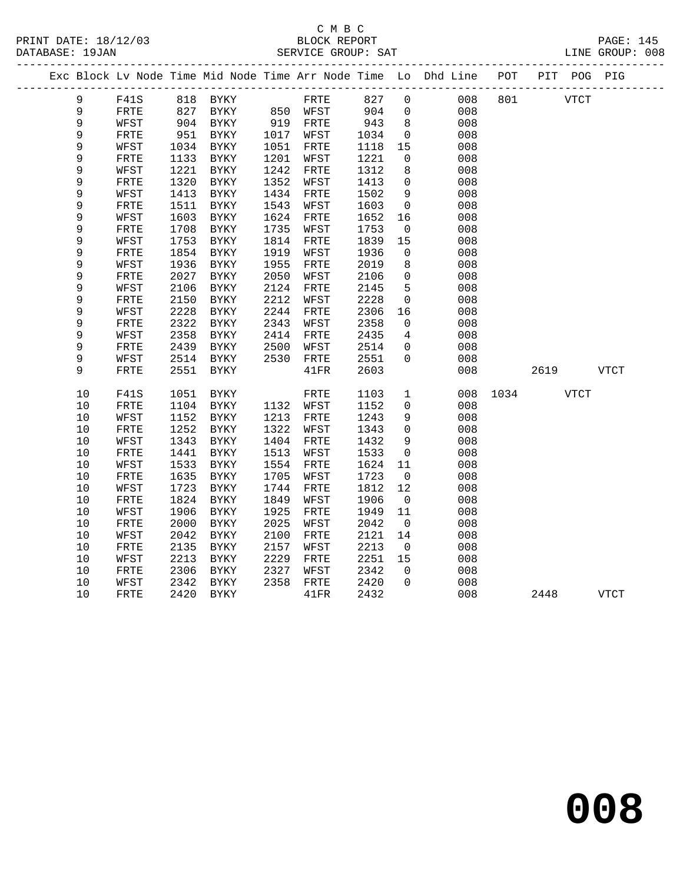#### C M B C<br>BLOCK REPORT PRINT DATE: 18/12/03 BLOCK REPORT PAGE: 145 SERVICE GROUP: SAT

|        | Exc Block Lv Node Time Mid Node Time Arr Node Time Lo Dhd Line POT |      |               |      |           |      |                |     |      |             | PIT POG PIG |             |
|--------|--------------------------------------------------------------------|------|---------------|------|-----------|------|----------------|-----|------|-------------|-------------|-------------|
| 9      | F41S                                                               |      | 818 BYKY      |      | FRTE      | 827  | $\overline{0}$ | 008 | 801  | <b>VTCT</b> |             |             |
| 9      | FRTE                                                               | 827  | BYKY 850 WFST |      |           | 904  | $\overline{0}$ | 008 |      |             |             |             |
| 9      | WFST                                                               |      | 904 BYKY      |      | 919 FRTE  | 943  | 8              | 008 |      |             |             |             |
| 9      | FRTE                                                               | 951  | BYKY          |      | 1017 WFST | 1034 | $\mathbf 0$    | 008 |      |             |             |             |
| 9      | WFST                                                               | 1034 | BYKY          | 1051 | FRTE      | 1118 | 15             | 008 |      |             |             |             |
| 9      | ${\tt FRTE}$                                                       | 1133 | BYKY          | 1201 | WFST      | 1221 | $\mathbf 0$    | 008 |      |             |             |             |
| 9      | WFST                                                               | 1221 | BYKY          | 1242 | FRTE      | 1312 | 8              | 008 |      |             |             |             |
| 9      | FRTE                                                               | 1320 | BYKY          | 1352 | WFST      | 1413 | $\mathbf 0$    | 008 |      |             |             |             |
| 9      | WFST                                                               | 1413 | BYKY          | 1434 | FRTE      | 1502 | $\overline{9}$ | 008 |      |             |             |             |
| 9      | FRTE                                                               | 1511 | <b>BYKY</b>   | 1543 | WFST      | 1603 | $\mathbb O$    | 008 |      |             |             |             |
| 9      | WFST                                                               | 1603 | BYKY          | 1624 | FRTE      | 1652 | 16             | 008 |      |             |             |             |
| 9      | FRTE                                                               | 1708 | BYKY          | 1735 | WFST      | 1753 | $\overline{0}$ | 008 |      |             |             |             |
| 9      | WFST                                                               | 1753 | BYKY          | 1814 | FRTE      | 1839 | 15             | 008 |      |             |             |             |
| 9      | FRTE                                                               | 1854 | BYKY          | 1919 | WFST      | 1936 | $\mathbf{0}$   | 008 |      |             |             |             |
| 9      | WFST                                                               | 1936 | BYKY          | 1955 | FRTE      | 2019 | 8              | 008 |      |             |             |             |
| 9      | FRTE                                                               | 2027 | BYKY          | 2050 | WFST      | 2106 | $\mathbf 0$    | 008 |      |             |             |             |
| 9      | WFST                                                               | 2106 | BYKY          | 2124 | FRTE      | 2145 | 5              | 008 |      |             |             |             |
| 9      | FRTE                                                               | 2150 | <b>BYKY</b>   | 2212 | WFST      | 2228 | $\mathbf 0$    | 008 |      |             |             |             |
| 9      | WFST                                                               | 2228 | BYKY          | 2244 | FRTE      | 2306 | 16             | 008 |      |             |             |             |
| 9      | FRTE                                                               | 2322 | BYKY          | 2343 | WFST      | 2358 | $\mathbf 0$    | 008 |      |             |             |             |
| 9      | WFST                                                               | 2358 | BYKY          | 2414 | FRTE      | 2435 | $\overline{4}$ | 008 |      |             |             |             |
| 9      | ${\tt FRTE}$                                                       | 2439 | <b>BYKY</b>   | 2500 | WFST      | 2514 | $\mathsf{O}$   | 008 |      |             |             |             |
| 9<br>9 | WFST                                                               | 2514 | BYKY          | 2530 | FRTE      | 2551 | $\mathbf{0}$   | 008 |      |             |             |             |
|        | FRTE                                                               | 2551 | BYKY          |      | 41FR      | 2603 |                | 008 |      | 2619        |             | VTCT        |
| 10     | F41S                                                               | 1051 | BYKY          |      | FRTE      | 1103 | $\mathbf{1}$   | 008 | 1034 |             | <b>VTCT</b> |             |
| 10     | FRTE                                                               | 1104 | BYKY          |      | 1132 WFST | 1152 | $\mathbf 0$    | 008 |      |             |             |             |
| $10$   | WFST                                                               | 1152 | BYKY          | 1213 | FRTE      | 1243 | 9              | 008 |      |             |             |             |
| 10     | FRTE                                                               | 1252 | BYKY          | 1322 | WFST      | 1343 | $\mathbf 0$    | 008 |      |             |             |             |
| $10$   | WFST                                                               | 1343 | <b>BYKY</b>   | 1404 | FRTE      | 1432 | 9              | 008 |      |             |             |             |
| $10$   | ${\tt FRTE}$                                                       | 1441 | BYKY          | 1513 | WFST      | 1533 | 0              | 008 |      |             |             |             |
| 10     | WFST                                                               | 1533 | BYKY          | 1554 | FRTE      | 1624 | 11             | 008 |      |             |             |             |
| 10     | FRTE                                                               | 1635 | BYKY          | 1705 | WFST      | 1723 | $\overline{0}$ | 008 |      |             |             |             |
| 10     | WFST                                                               | 1723 | BYKY          | 1744 | FRTE      | 1812 | 12             | 008 |      |             |             |             |
| 10     | FRTE                                                               | 1824 | <b>BYKY</b>   | 1849 | WFST      | 1906 | $\overline{0}$ | 008 |      |             |             |             |
| 10     | WFST                                                               | 1906 | BYKY          | 1925 | FRTE      | 1949 | 11             | 008 |      |             |             |             |
| $10$   | FRTE                                                               | 2000 | BYKY          | 2025 | WFST      | 2042 | $\overline{0}$ | 008 |      |             |             |             |
| $10$   | WFST                                                               | 2042 | BYKY          | 2100 | FRTE      | 2121 | 14             | 008 |      |             |             |             |
| $10$   | ${\tt FRTE}$                                                       | 2135 | BYKY          | 2157 | WFST      | 2213 | $\overline{0}$ | 008 |      |             |             |             |
| 10     | WFST                                                               | 2213 | <b>BYKY</b>   | 2229 | FRTE      | 2251 | 15             | 008 |      |             |             |             |
| 10     | ${\tt FRTE}$                                                       | 2306 | <b>BYKY</b>   | 2327 | WFST      | 2342 | $\Omega$       | 008 |      |             |             |             |
| 10     | WFST                                                               | 2342 | BYKY          | 2358 | FRTE      | 2420 | $\Omega$       | 008 |      |             |             |             |
| 10     | <b>FRTE</b>                                                        | 2420 | BYKY          |      | 41FR      | 2432 |                | 008 |      | 2448        |             | <b>VTCT</b> |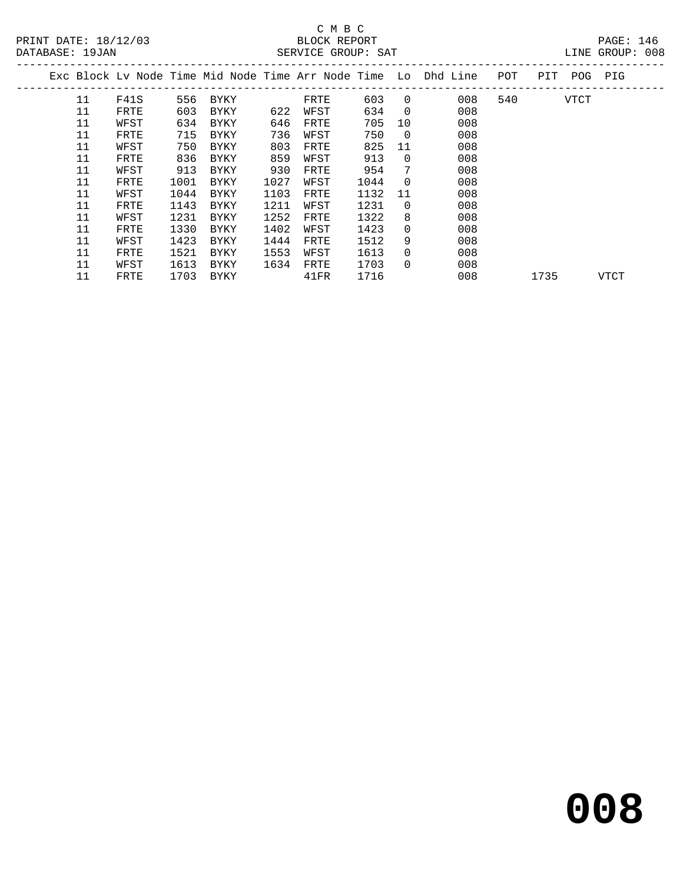#### C M B C<br>BLOCK REPORT SERVICE GROUP: SAT

| DAIADAOL · 170AN |      |      |      |      | DERVICE GROUP. DAI |      |          |                                                                |     |         | DINE GROUP. 000 |  |
|------------------|------|------|------|------|--------------------|------|----------|----------------------------------------------------------------|-----|---------|-----------------|--|
|                  |      |      |      |      |                    |      |          | Exc Block Lv Node Time Mid Node Time Arr Node Time Lo Dhd Line | POT | PIT POG | PIG             |  |
| 11               | F41S | 556  | BYKY |      | FRTE               | 603  | $\Omega$ | 008                                                            | 540 | VTCT    |                 |  |
| 11               | FRTE | 603  | BYKY | 622  | WFST               | 634  | $\Omega$ | 008                                                            |     |         |                 |  |
| 11               | WFST | 634  | BYKY | 646  | FRTE               | 705  | 10       | 008                                                            |     |         |                 |  |
| 11               | FRTE | 715  | BYKY | 736  | WFST               | 750  | $\Omega$ | 008                                                            |     |         |                 |  |
| 11               | WFST | 750  | BYKY | 803  | FRTE               | 825  | -11      | 008                                                            |     |         |                 |  |
| 11               | FRTE | 836  | BYKY | 859  | WFST               | 913  | $\Omega$ | 008                                                            |     |         |                 |  |
| 11               | WFST | 913  | BYKY | 930  | FRTE               | 954  | 7        | 008                                                            |     |         |                 |  |
| 11               | FRTE | 1001 | BYKY | 1027 | WFST               | 1044 | $\Omega$ | 008                                                            |     |         |                 |  |
| 11               | WFST | 1044 | BYKY | 1103 | FRTE               | 1132 | 11       | 008                                                            |     |         |                 |  |
| 11               | FRTE | 1143 | BYKY | 1211 | WFST               | 1231 | $\Omega$ | 008                                                            |     |         |                 |  |
| 11               | WFST | 1231 | BYKY | 1252 | FRTE               | 1322 | 8        | 008                                                            |     |         |                 |  |
| 11               | FRTE | 1330 | BYKY | 1402 | WFST               | 1423 | $\Omega$ | 008                                                            |     |         |                 |  |
| 11               | WFST | 1423 | BYKY | 1444 | FRTE               | 1512 | 9        | 008                                                            |     |         |                 |  |
|                  |      |      |      |      |                    |      |          |                                                                |     |         |                 |  |

11 FRTE 1703 BYKY 41FR 1716 008 1735 VTCT

 11 FRTE 1521 BYKY 1553 WFST 1613 0 008 11 WFST 1613 BYKY 1634 FRTE 1703 0 008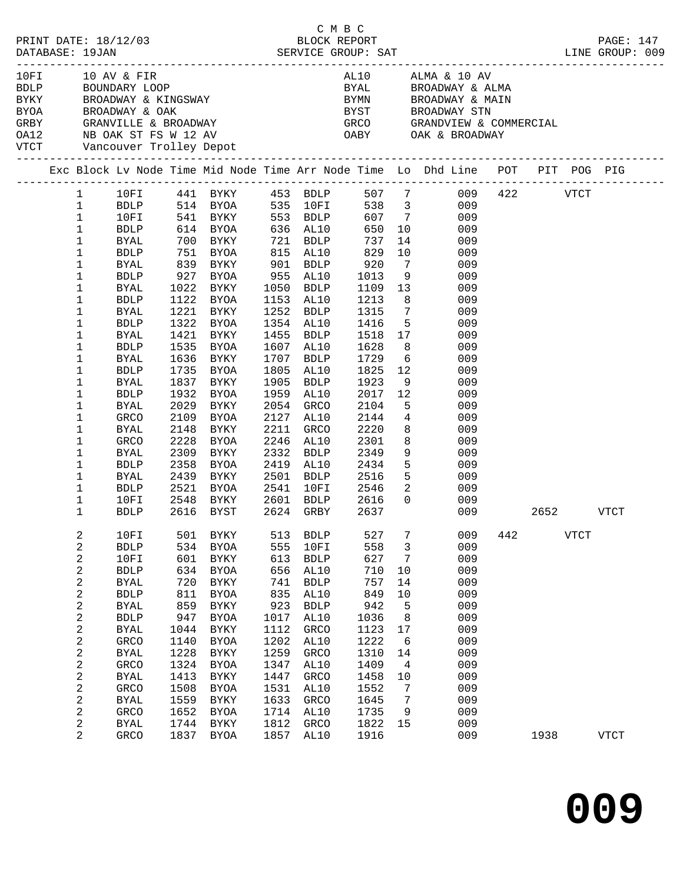|      |                                             |              |      |                                                          |      |              | C M B C            |                          |                                                                                                                                                                                                                                                                                                                                                                       |     |      |             |             |  |
|------|---------------------------------------------|--------------|------|----------------------------------------------------------|------|--------------|--------------------|--------------------------|-----------------------------------------------------------------------------------------------------------------------------------------------------------------------------------------------------------------------------------------------------------------------------------------------------------------------------------------------------------------------|-----|------|-------------|-------------|--|
| 10FI | 10 AV & FIR<br>VTCT Vancouver Trolley Depot |              |      |                                                          |      |              |                    |                          | AL10 ALMA & 10 AV<br>TUFI TURY & FIRM ALLO ALLO ALLO ALLO AND BE ALLO AND BE ALLO AND BE ALLO AND BE ALLO AND BE ALLO AND BE ALLO AN<br>BYAN BE ALLO BE BE ALLO BYAN BE ALLO AND BE ALLO AND BE ALLO AND BE ALLO AND BE ALLO BY STUDY ON BE ALLO AND<br>BYAL BROADWAY & ALMA<br>BYMN      BROADWAY & MAIN<br>BYST     BROADWAY STN<br>GRCO     GRANDVIEW & COMMERCIAL |     |      |             |             |  |
|      |                                             |              |      |                                                          |      |              |                    |                          | Exc Block Lv Node Time Mid Node Time Arr Node Time Lo Dhd Line POT PIT POG PIG                                                                                                                                                                                                                                                                                        |     |      |             |             |  |
|      | $\mathbf{1}$                                |              |      |                                                          |      |              |                    |                          | 10FI 441 BYKY 453 BDLP 507 7 009 422 VTCT                                                                                                                                                                                                                                                                                                                             |     |      |             |             |  |
|      | $\mathbf{1}$                                |              |      |                                                          |      |              |                    |                          |                                                                                                                                                                                                                                                                                                                                                                       |     |      |             |             |  |
|      | $\mathbf{1}$                                |              |      |                                                          |      |              |                    |                          | BDLP 514 BYOA 535 10FI 538 3 009<br>10FI 541 BYKY 553 BDLP 607 7 009<br>BDLP 614 BYOA 636 AL10 650 10 009                                                                                                                                                                                                                                                             |     |      |             |             |  |
|      | $\mathbf 1$                                 |              |      |                                                          |      |              |                    |                          |                                                                                                                                                                                                                                                                                                                                                                       |     |      |             |             |  |
|      | 1                                           | BYAL         |      | 700 BYKY 721 BDLP                                        |      |              | 737                |                          | 14<br>009                                                                                                                                                                                                                                                                                                                                                             |     |      |             |             |  |
|      | 1                                           | <b>BDLP</b>  |      | 751 BYOA       815  AL10<br>839   BYKY        901   BDLP |      |              | 829<br>920<br>1013 |                          | 10<br>009                                                                                                                                                                                                                                                                                                                                                             |     |      |             |             |  |
|      | 1                                           | BYAL         |      |                                                          |      |              |                    | $7\overline{ }$          | 009                                                                                                                                                                                                                                                                                                                                                                   |     |      |             |             |  |
|      | 1                                           | <b>BDLP</b>  |      | 927 BYOA 955 AL10                                        |      |              |                    |                          | 9<br>009                                                                                                                                                                                                                                                                                                                                                              |     |      |             |             |  |
|      | 1                                           | BYAL         |      | 1022 BYKY                                                |      | 1050 BDLP    | 1109               |                          | 13<br>009                                                                                                                                                                                                                                                                                                                                                             |     |      |             |             |  |
|      | 1                                           | <b>BDLP</b>  |      | 1122 BYOA                                                |      | 1153 AL10    | 1213<br>1315       |                          | 8<br>009                                                                                                                                                                                                                                                                                                                                                              |     |      |             |             |  |
|      | 1                                           | <b>BYAL</b>  |      | 1221 BYKY                                                |      | 1252 BDLP    |                    | $7\overline{ }$          | 009                                                                                                                                                                                                                                                                                                                                                                   |     |      |             |             |  |
|      | 1                                           | <b>BDLP</b>  |      | 1322 BYOA                                                |      | 1354 AL10    | 1416               |                          | 5 <sup>1</sup><br>009                                                                                                                                                                                                                                                                                                                                                 |     |      |             |             |  |
|      | 1                                           | BYAL         |      | 1421 BYKY                                                |      | 1455 BDLP    | 1518               |                          | 17<br>009                                                                                                                                                                                                                                                                                                                                                             |     |      |             |             |  |
|      | 1                                           | <b>BDLP</b>  |      | 1535 BYOA                                                |      | 1607 AL10    | 1628               | 8                        | 009                                                                                                                                                                                                                                                                                                                                                                   |     |      |             |             |  |
|      | 1                                           | <b>BYAL</b>  |      | 1636 BYKY                                                |      | 1707 BDLP    | 1729               | $6\overline{6}$          | 009                                                                                                                                                                                                                                                                                                                                                                   |     |      |             |             |  |
|      | $\mathbf 1$                                 | <b>BDLP</b>  |      | 1735 BYOA                                                | 1805 | AL10         | 1825               | 12                       | 009                                                                                                                                                                                                                                                                                                                                                                   |     |      |             |             |  |
|      | $\mathbf 1$                                 | <b>BYAL</b>  |      | 1837 BYKY                                                | 1905 | BDLP         | 1923               |                          | 9<br>009                                                                                                                                                                                                                                                                                                                                                              |     |      |             |             |  |
|      | 1                                           | <b>BDLP</b>  | 1932 | BYOA                                                     | 1959 | AL10         | 2017               | 12                       | 009                                                                                                                                                                                                                                                                                                                                                                   |     |      |             |             |  |
|      | 1                                           | <b>BYAL</b>  | 2029 | BYKY                                                     | 2054 | GRCO         | 2104               |                          | 5 <sub>5</sub><br>009                                                                                                                                                                                                                                                                                                                                                 |     |      |             |             |  |
|      | $\mathbf 1$                                 | GRCO         | 2109 | BYOA                                                     |      | 2127 AL10    | 2144               |                          | $4\overline{ }$<br>009                                                                                                                                                                                                                                                                                                                                                |     |      |             |             |  |
|      | 1                                           | BYAL         | 2148 | BYKY                                                     | 2211 | GRCO         | 2220               |                          | 8<br>009                                                                                                                                                                                                                                                                                                                                                              |     |      |             |             |  |
|      | 1                                           | GRCO         | 2228 | BYOA                                                     | 2246 | AL10         | 2301               | 8                        | 009                                                                                                                                                                                                                                                                                                                                                                   |     |      |             |             |  |
|      | 1                                           | <b>BYAL</b>  | 2309 | BYKY                                                     | 2332 | BDLP         | 2349               |                          | 9<br>009                                                                                                                                                                                                                                                                                                                                                              |     |      |             |             |  |
|      | $\mathbf 1$                                 | BDLP         |      | 2358 BYOA                                                |      | 2419 AL10    | 2434               |                          | 5 <sup>1</sup><br>009                                                                                                                                                                                                                                                                                                                                                 |     |      |             |             |  |
|      | 1                                           | BYAL         |      | 2439 BYKY                                                |      | 2501 BDLP    | 2516               |                          | 5 <sub>1</sub><br>009                                                                                                                                                                                                                                                                                                                                                 |     |      |             |             |  |
|      | 1                                           | BDLP         | 2521 | BYOA                                                     |      | 2541 10FI    | 2546               | $\overline{\phantom{a}}$ | 009                                                                                                                                                                                                                                                                                                                                                                   |     |      |             |             |  |
|      | 1                                           | 10FI         | 2548 | BYKY                                                     |      | 2601 BDLP    | 2616               | $\overline{0}$           | 009                                                                                                                                                                                                                                                                                                                                                                   |     |      |             |             |  |
|      | 1                                           | <b>BDLP</b>  |      | 2616 BYST 2624 GRBY                                      |      |              | 2637               |                          | 009                                                                                                                                                                                                                                                                                                                                                                   |     | 2652 |             | VTCT        |  |
|      | 2                                           | 10FI         | 501  | <b>BYKY</b>                                              | 513  | <b>BDLP</b>  | 527                | 7                        | 009                                                                                                                                                                                                                                                                                                                                                                   | 442 |      | <b>VTCT</b> |             |  |
|      | 2                                           | ${\tt BDLP}$ | 534  | <b>BYOA</b>                                              | 555  | 10FI         | 558                | 3                        | 009                                                                                                                                                                                                                                                                                                                                                                   |     |      |             |             |  |
|      | 2                                           | 10FI         | 601  | <b>BYKY</b>                                              | 613  | ${\tt BDLP}$ | 627                | 7                        | 009                                                                                                                                                                                                                                                                                                                                                                   |     |      |             |             |  |
|      | 2                                           | ${\tt BDLP}$ | 634  | <b>BYOA</b>                                              | 656  | AL10         | 710                | $10$                     | 009                                                                                                                                                                                                                                                                                                                                                                   |     |      |             |             |  |
|      | 2                                           | <b>BYAL</b>  | 720  | <b>BYKY</b>                                              | 741  | <b>BDLP</b>  | 757                | 14                       | 009                                                                                                                                                                                                                                                                                                                                                                   |     |      |             |             |  |
|      | 2                                           | ${\tt BDLP}$ | 811  | <b>BYOA</b>                                              | 835  | AL10         | 849                | 10                       | 009                                                                                                                                                                                                                                                                                                                                                                   |     |      |             |             |  |
|      | 2                                           | <b>BYAL</b>  | 859  | ${\tt BYKY}$                                             | 923  | <b>BDLP</b>  | 942                | 5                        | 009                                                                                                                                                                                                                                                                                                                                                                   |     |      |             |             |  |
|      | 2                                           | ${\tt BDLP}$ | 947  | <b>BYOA</b>                                              | 1017 | AL10         | 1036               | 8                        | 009                                                                                                                                                                                                                                                                                                                                                                   |     |      |             |             |  |
|      | 2                                           | <b>BYAL</b>  | 1044 | <b>BYKY</b>                                              | 1112 | GRCO         | 1123               | 17                       | 009                                                                                                                                                                                                                                                                                                                                                                   |     |      |             |             |  |
|      | 2                                           | GRCO         | 1140 | <b>BYOA</b>                                              | 1202 | AL10         | 1222               | 6                        | 009                                                                                                                                                                                                                                                                                                                                                                   |     |      |             |             |  |
|      | 2                                           | <b>BYAL</b>  | 1228 | ${\tt BYKY}$                                             | 1259 | GRCO         | 1310               | 14                       | 009                                                                                                                                                                                                                                                                                                                                                                   |     |      |             |             |  |
|      | 2                                           | GRCO         | 1324 | <b>BYOA</b>                                              | 1347 | AL10         | 1409               | 4                        | 009                                                                                                                                                                                                                                                                                                                                                                   |     |      |             |             |  |
|      | 2                                           | <b>BYAL</b>  | 1413 | BYKY                                                     | 1447 | GRCO         | 1458               | 10                       | 009                                                                                                                                                                                                                                                                                                                                                                   |     |      |             |             |  |
|      | 2                                           | GRCO         | 1508 | BYOA                                                     | 1531 | AL10         | 1552               | 7                        | 009                                                                                                                                                                                                                                                                                                                                                                   |     |      |             |             |  |
|      | 2                                           | <b>BYAL</b>  | 1559 | BYKY                                                     | 1633 | GRCO         | 1645               | 7                        | 009                                                                                                                                                                                                                                                                                                                                                                   |     |      |             |             |  |
|      | 2                                           | GRCO         | 1652 | <b>BYOA</b>                                              | 1714 | AL10         | 1735               | 9                        | 009                                                                                                                                                                                                                                                                                                                                                                   |     |      |             |             |  |
|      | 2                                           | <b>BYAL</b>  | 1744 | BYKY                                                     | 1812 | GRCO         | 1822               | 15                       | 009                                                                                                                                                                                                                                                                                                                                                                   |     |      |             |             |  |
|      | 2                                           | GRCO         | 1837 | BYOA                                                     | 1857 | AL10         | 1916               |                          | 009                                                                                                                                                                                                                                                                                                                                                                   |     | 1938 |             | <b>VTCT</b> |  |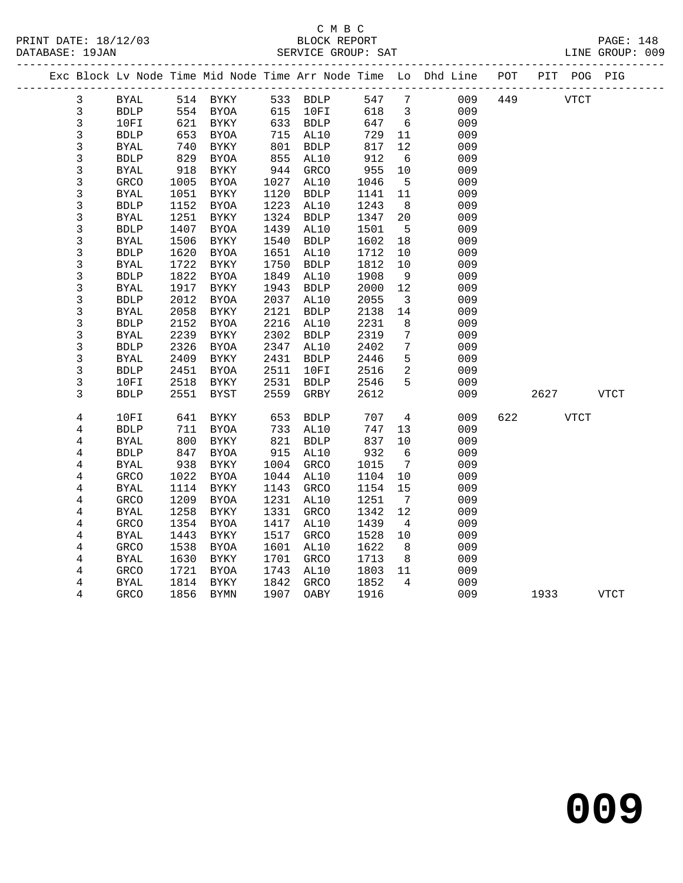### C M B C<br>BLOCK REPORT SERVICE GROUP: SAT

|                         |              |      |             |      |                          |      |                         | Exc Block Lv Node Time Mid Node Time Arr Node Time Lo Dhd Line POT |     |      | PIT POG PIG |             |
|-------------------------|--------------|------|-------------|------|--------------------------|------|-------------------------|--------------------------------------------------------------------|-----|------|-------------|-------------|
| $\mathbf{3}$            | BYAL         |      | 514 BYKY    |      | $533$ BDLP<br>$533$ BDLP | 547  | $7\phantom{0}$          | 009                                                                | 449 |      | <b>VTCT</b> |             |
| $\mathbf{3}$            | <b>BDLP</b>  |      | 554 BYOA    | 615  | 10FI                     | 618  | $\overline{3}$          | 009                                                                |     |      |             |             |
| 3                       | 10FI         | 621  | BYKY        |      | 633 BDLP                 | 647  | 6                       | 009                                                                |     |      |             |             |
| 3                       | <b>BDLP</b>  | 653  | BYOA        | 715  | AL10                     | 729  | 11                      | 009                                                                |     |      |             |             |
| 3                       | <b>BYAL</b>  | 740  | BYKY        | 801  | <b>BDLP</b>              | 817  | 12                      | 009                                                                |     |      |             |             |
| 3                       | <b>BDLP</b>  | 829  | BYOA        | 855  | AL10                     | 912  | 6                       | 009                                                                |     |      |             |             |
| 3                       | <b>BYAL</b>  | 918  | BYKY        | 944  | GRCO                     | 955  | 10                      | 009                                                                |     |      |             |             |
| $\mathfrak{Z}$          | GRCO         | 1005 | BYOA        | 1027 | AL10                     | 1046 | $5^{\circ}$             | 009                                                                |     |      |             |             |
| 3                       | <b>BYAL</b>  | 1051 | BYKY        | 1120 | <b>BDLP</b>              | 1141 | 11                      | 009                                                                |     |      |             |             |
| 3                       | <b>BDLP</b>  | 1152 | <b>BYOA</b> | 1223 | AL10                     | 1243 | 8                       | 009                                                                |     |      |             |             |
| $\mathfrak{Z}$          | <b>BYAL</b>  | 1251 | <b>BYKY</b> | 1324 | <b>BDLP</b>              | 1347 | 20                      | 009                                                                |     |      |             |             |
| 3                       | <b>BDLP</b>  | 1407 | <b>BYOA</b> | 1439 | AL10                     | 1501 | 5                       | 009                                                                |     |      |             |             |
| 3                       | <b>BYAL</b>  | 1506 | BYKY        | 1540 | ${\tt BDLP}$             | 1602 | 18                      | 009                                                                |     |      |             |             |
| 3                       | <b>BDLP</b>  | 1620 | <b>BYOA</b> | 1651 | AL10                     | 1712 | 10                      | 009                                                                |     |      |             |             |
| $\mathfrak{Z}$          | <b>BYAL</b>  | 1722 | BYKY        | 1750 | <b>BDLP</b>              | 1812 | 10                      | 009                                                                |     |      |             |             |
| 3                       | <b>BDLP</b>  | 1822 | <b>BYOA</b> | 1849 | AL10                     | 1908 | 9                       | 009                                                                |     |      |             |             |
| 3                       | <b>BYAL</b>  | 1917 | <b>BYKY</b> | 1943 | <b>BDLP</b>              | 2000 | 12                      | 009                                                                |     |      |             |             |
| 3                       | <b>BDLP</b>  | 2012 | <b>BYOA</b> | 2037 | AL10                     | 2055 | $\overline{\mathbf{3}}$ | 009                                                                |     |      |             |             |
| 3                       | <b>BYAL</b>  | 2058 | <b>BYKY</b> | 2121 | <b>BDLP</b>              | 2138 | 14                      | 009                                                                |     |      |             |             |
| 3                       | <b>BDLP</b>  | 2152 | <b>BYOA</b> | 2216 | AL10                     | 2231 | 8                       | 009                                                                |     |      |             |             |
| $\mathfrak{Z}$          | <b>BYAL</b>  | 2239 | <b>BYKY</b> | 2302 | <b>BDLP</b>              | 2319 | $7\phantom{.0}$         | 009                                                                |     |      |             |             |
| 3                       | <b>BDLP</b>  | 2326 | BYOA        | 2347 | AL10                     | 2402 | $7\phantom{.0}$         | 009                                                                |     |      |             |             |
| 3                       | <b>BYAL</b>  | 2409 | BYKY        | 2431 | <b>BDLP</b>              | 2446 | 5                       | 009                                                                |     |      |             |             |
| 3                       | <b>BDLP</b>  | 2451 | <b>BYOA</b> | 2511 | 10FI                     | 2516 | 2                       | 009                                                                |     |      |             |             |
| 3                       | 10FI         | 2518 | BYKY        | 2531 | <b>BDLP</b>              | 2546 | 5                       | 009                                                                |     |      |             |             |
| 3                       | <b>BDLP</b>  | 2551 | BYST        | 2559 | GRBY                     | 2612 |                         | 009                                                                |     | 2627 |             | <b>VTCT</b> |
| 4                       | 10FI         | 641  | BYKY        | 653  | <b>BDLP</b>              | 707  | 4                       | 009                                                                | 622 |      | VTCT        |             |
| 4                       | ${\tt BDLP}$ | 711  | BYOA        | 733  | AL10                     | 747  | 13                      | 009                                                                |     |      |             |             |
| 4                       | <b>BYAL</b>  | 800  | <b>BYKY</b> | 821  | <b>BDLP</b>              | 837  | 10                      | 009                                                                |     |      |             |             |
| 4                       | <b>BDLP</b>  | 847  | BYOA        | 915  | AL10                     | 932  | 6                       | 009                                                                |     |      |             |             |
| 4                       | <b>BYAL</b>  | 938  | BYKY        | 1004 | GRCO                     | 1015 | $7\overline{ }$         | 009                                                                |     |      |             |             |
| 4                       | GRCO         | 1022 | BYOA        | 1044 | AL10                     | 1104 | 10                      | 009                                                                |     |      |             |             |
| 4                       | <b>BYAL</b>  | 1114 | BYKY        | 1143 | GRCO                     | 1154 | 15                      | 009                                                                |     |      |             |             |
| $\overline{\mathbf{4}}$ | GRCO         | 1209 | BYOA        | 1231 | AL10                     | 1251 | $\overline{7}$          | 009                                                                |     |      |             |             |
| 4                       | <b>BYAL</b>  | 1258 | BYKY        | 1331 | <b>GRCO</b>              | 1342 | 12                      | 009                                                                |     |      |             |             |
| 4                       | <b>GRCO</b>  | 1354 | <b>BYOA</b> | 1417 | AL10                     | 1439 | $\overline{4}$          | 009                                                                |     |      |             |             |
| 4                       | <b>BYAL</b>  | 1443 | BYKY        | 1517 | <b>GRCO</b>              | 1528 | 10                      | 009                                                                |     |      |             |             |
| 4                       | GRCO         | 1538 | BYOA        | 1601 | AL10                     | 1622 | 8                       | 009                                                                |     |      |             |             |
| 4                       | <b>BYAL</b>  | 1630 | BYKY        | 1701 | <b>GRCO</b>              | 1713 | 8                       | 009                                                                |     |      |             |             |
| 4                       | <b>GRCO</b>  | 1721 | BYOA        | 1743 | AL10                     | 1803 | 11                      | 009                                                                |     |      |             |             |

4 BYAL 1814 BYKY 1842 GRCO 1852 4 009

4 GRCO 1856 BYMN 1907 OABY 1916 009 1933 VTCT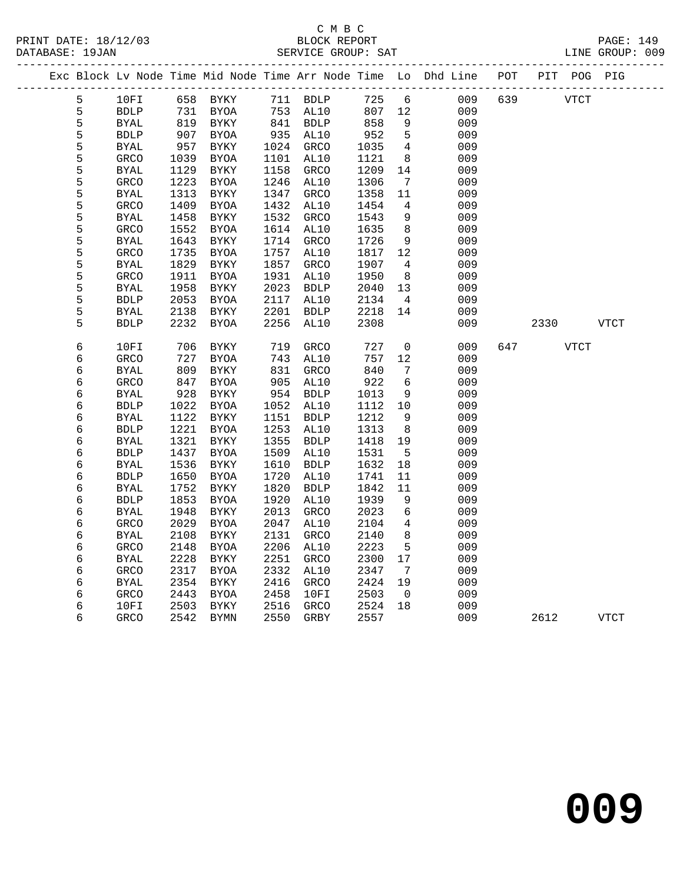|        |                            |              |              |              |                     |              |                              | Exc Block Lv Node Time Mid Node Time Arr Node Time Lo Dhd Line POT |     | PIT POG PIG |             |             |
|--------|----------------------------|--------------|--------------|--------------|---------------------|--------------|------------------------------|--------------------------------------------------------------------|-----|-------------|-------------|-------------|
| 5      | 10FI                       |              | 658 BYKY     |              | 711 BDLP            | 725          | 6                            | 009                                                                | 639 |             | <b>VTCT</b> |             |
| 5      | <b>BDLP</b>                | 731          | BYOA         |              | 753 AL10            | 807          | 12                           | 009                                                                |     |             |             |             |
| 5      | <b>BYAL</b>                | 819          | BYKY         |              | 841 BDLP            | 858          | 9                            | 009                                                                |     |             |             |             |
| 5      | <b>BDLP</b>                | 907          | BYOA         | 935          | AL10                | 952          | 5                            | 009                                                                |     |             |             |             |
| 5      | BYAL                       | 957          | BYKY         | 1024         | GRCO                | 1035         | $\overline{4}$               | 009                                                                |     |             |             |             |
| 5      | GRCO                       | 1039         | BYOA         | 1101         | AL10                | 1121         | 8                            | 009                                                                |     |             |             |             |
| 5      | <b>BYAL</b>                | 1129         | BYKY         | 1158         | GRCO                | 1209         | 14                           | 009                                                                |     |             |             |             |
| 5      | <b>GRCO</b>                | 1223         | BYOA         | 1246         | AL10                | 1306         | $7\phantom{.0}\phantom{.0}7$ | 009                                                                |     |             |             |             |
| 5      | <b>BYAL</b>                | 1313         | BYKY         | 1347         | <b>GRCO</b>         | 1358         | 11                           | 009                                                                |     |             |             |             |
| 5      | <b>GRCO</b>                | 1409         | BYOA         | 1432         | AL10                | 1454         | 4                            | 009                                                                |     |             |             |             |
| 5      | <b>BYAL</b>                | 1458         | <b>BYKY</b>  | 1532         | GRCO                | 1543         | 9                            | 009                                                                |     |             |             |             |
| 5      | <b>GRCO</b>                | 1552         | BYOA         | 1614         | AL10                | 1635         | 8                            | 009                                                                |     |             |             |             |
| 5      | <b>BYAL</b>                | 1643         | BYKY         | 1714         | GRCO                | 1726         | 9                            | 009                                                                |     |             |             |             |
| 5      | <b>GRCO</b>                | 1735         | BYOA         | 1757         | AL10                | 1817         | 12                           | 009                                                                |     |             |             |             |
| 5      | BYAL                       | 1829         | <b>BYKY</b>  | 1857         | GRCO                | 1907         | 4                            | 009                                                                |     |             |             |             |
| 5<br>5 | <b>GRCO</b><br><b>BYAL</b> | 1911<br>1958 | BYOA<br>BYKY | 1931<br>2023 | AL10<br><b>BDLP</b> | 1950<br>2040 | 8<br>13                      | 009<br>009                                                         |     |             |             |             |
| 5      | <b>BDLP</b>                | 2053         |              | 2117         | AL10                | 2134         | $\overline{4}$               | 009                                                                |     |             |             |             |
| 5      | BYAL                       | 2138         | BYOA<br>BYKY | 2201         | <b>BDLP</b>         | 2218         | 14                           | 009                                                                |     |             |             |             |
| 5      | <b>BDLP</b>                | 2232         | BYOA         | 2256         | AL10                | 2308         |                              | 009                                                                |     | 2330        |             | <b>VTCT</b> |
|        |                            |              |              |              |                     |              |                              |                                                                    |     |             |             |             |
| 6      | 10FI                       | 706          | BYKY         | 719          | <b>GRCO</b>         | 727          | $\mathbf 0$                  | 009                                                                | 647 |             | <b>VTCT</b> |             |
| 6      | GRCO                       | 727          | BYOA         | 743          | AL10                | 757          | 12                           | 009                                                                |     |             |             |             |
| 6      | <b>BYAL</b>                | 809          | BYKY         | 831          | GRCO                | 840          | 7                            | 009                                                                |     |             |             |             |
| 6      | <b>GRCO</b>                | 847          | BYOA         | 905          | AL10                | 922          | $\sqrt{6}$                   | 009                                                                |     |             |             |             |
| 6      | <b>BYAL</b>                | 928          | BYKY         | 954          | BDLP                | 1013         | 9                            | 009                                                                |     |             |             |             |
| 6      | <b>BDLP</b>                | 1022         | BYOA         | 1052         | AL10                | 1112         | 10                           | 009                                                                |     |             |             |             |
| 6      | <b>BYAL</b>                | 1122         | BYKY         | 1151         | <b>BDLP</b>         | 1212         | 9                            | 009                                                                |     |             |             |             |
| б      | <b>BDLP</b>                | 1221         | <b>BYOA</b>  | 1253         | AL10                | 1313         | 8                            | 009                                                                |     |             |             |             |
| 6      | <b>BYAL</b>                | 1321         | BYKY         | 1355         | BDLP                | 1418         | 19                           | 009                                                                |     |             |             |             |
| 6      | <b>BDLP</b>                | 1437         | BYOA         | 1509         | AL10                | 1531         | 5                            | 009                                                                |     |             |             |             |
| 6      | <b>BYAL</b>                | 1536         | BYKY         | 1610         | <b>BDLP</b>         | 1632         | 18                           | 009                                                                |     |             |             |             |
| 6      | <b>BDLP</b>                | 1650         | BYOA         | 1720         | AL10                | 1741         | 11                           | 009                                                                |     |             |             |             |
| 6      | <b>BYAL</b>                | 1752         | BYKY         | 1820         | <b>BDLP</b>         | 1842         | 11                           | 009                                                                |     |             |             |             |
| 6      | <b>BDLP</b>                | 1853         | BYOA         | 1920         | AL10                | 1939         | 9                            | 009                                                                |     |             |             |             |
| 6      | <b>BYAL</b>                | 1948         | BYKY         | 2013         | <b>GRCO</b>         | 2023         | $6\overline{6}$              | 009                                                                |     |             |             |             |
| 6      | GRCO                       | 2029         | BYOA         | 2047         | AL10                | 2104         | $\overline{4}$               | 009                                                                |     |             |             |             |
| 6      | <b>BYAL</b>                | 2108         | <b>BYKY</b>  | 2131         | GRCO                | 2140         | 8<br>5                       | 009                                                                |     |             |             |             |
| 6      | <b>GRCO</b>                | 2148         | BYOA         | 2206         | AL10                | 2223         |                              | 009                                                                |     |             |             |             |
| 6<br>6 | <b>BYAL</b>                | 2228<br>2317 | BYKY         | 2251<br>2332 | <b>GRCO</b>         | 2300<br>2347 | 17<br>7                      | 009                                                                |     |             |             |             |
| 6      | GRCO<br>BYAL               | 2354         | BYOA<br>BYKY | 2416         | AL10<br>GRCO        | 2424         | 19                           | 009<br>009                                                         |     |             |             |             |
| 6      | <b>GRCO</b>                | 2443         | BYOA         | 2458         | 10FI                | 2503         | $\overline{0}$               | 009                                                                |     |             |             |             |
| 6      | 10FI                       | 2503         | BYKY         | 2516         | GRCO                | 2524         | 18                           | 009                                                                |     |             |             |             |
| 6      | <b>GRCO</b>                | 2542         | BYMN         | 2550         | GRBY                | 2557         |                              | 009                                                                |     | 2612        |             | <b>VTCT</b> |
|        |                            |              |              |              |                     |              |                              |                                                                    |     |             |             |             |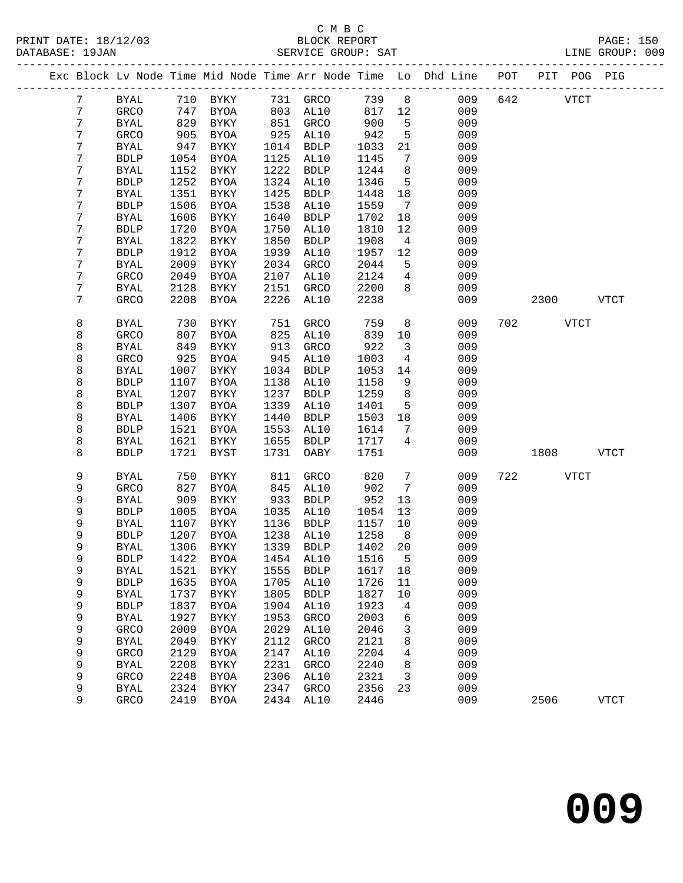# C M B C

|  | DATABASE: 19JAN | PRINT DATE: 18/12/03  |      |             |      | BLOCK REPORT<br>SERVICE GROUP: SAT |      |                 |                                                                    |     |      |             | <b>PAGE: 150</b><br>LINE GROUP: 009 |  |
|--|-----------------|-----------------------|------|-------------|------|------------------------------------|------|-----------------|--------------------------------------------------------------------|-----|------|-------------|-------------------------------------|--|
|  |                 |                       |      |             |      |                                    |      |                 | Exc Block Lv Node Time Mid Node Time Arr Node Time Lo Dhd Line POT |     |      | PIT POG PIG |                                     |  |
|  | 7               | <b>BYAL</b>           | 710  | BYKY        | 731  | GRCO                               | 739  | 8               | 009                                                                | 642 |      | VTCT        |                                     |  |
|  | 7               | <b>GRCO</b>           | 747  | <b>BYOA</b> | 803  | AL10                               | 817  | 12              | 009                                                                |     |      |             |                                     |  |
|  | 7               | BYAL                  | 829  | <b>BYKY</b> | 851  | GRCO                               | 900  | 5               | 009                                                                |     |      |             |                                     |  |
|  | 7               | GRCO                  | 905  | <b>BYOA</b> | 925  | AL10                               | 942  | 5               | 009                                                                |     |      |             |                                     |  |
|  | 7               | BYAL                  | 947  | <b>BYKY</b> | 1014 | <b>BDLP</b>                        | 1033 | 21              | 009                                                                |     |      |             |                                     |  |
|  | 7               | ${\tt BDLP}$          | 1054 | <b>BYOA</b> | 1125 | AL10                               | 1145 | $\overline{7}$  | 009                                                                |     |      |             |                                     |  |
|  | 7               | <b>BYAL</b>           | 1152 | <b>BYKY</b> | 1222 | <b>BDLP</b>                        | 1244 | 8               | 009                                                                |     |      |             |                                     |  |
|  | 7               | <b>BDLP</b>           | 1252 | <b>BYOA</b> | 1324 | AL10                               | 1346 | 5               | 009                                                                |     |      |             |                                     |  |
|  | 7               | <b>BYAL</b>           | 1351 | <b>BYKY</b> | 1425 | <b>BDLP</b>                        | 1448 | 18              | 009                                                                |     |      |             |                                     |  |
|  | 7               | <b>BDLP</b>           | 1506 | <b>BYOA</b> | 1538 | AL10                               | 1559 | $7\phantom{.0}$ | 009                                                                |     |      |             |                                     |  |
|  | 7               | <b>BYAL</b>           | 1606 | <b>BYKY</b> | 1640 | <b>BDLP</b>                        | 1702 | 18              | 009                                                                |     |      |             |                                     |  |
|  | $\overline{7}$  | <b>BDLP</b>           | 1720 | <b>BYOA</b> | 1750 | AL10                               | 1810 | 12              | 009                                                                |     |      |             |                                     |  |
|  | 7               | <b>BYAL</b>           | 1822 | BYKY        | 1850 | <b>BDLP</b>                        | 1908 | 4               | 009                                                                |     |      |             |                                     |  |
|  | 7               | <b>BDLP</b>           | 1912 | <b>BYOA</b> | 1939 | AL10                               | 1957 | 12              | 009                                                                |     |      |             |                                     |  |
|  | 7               | <b>BYAL</b>           | 2009 | BYKY        | 2034 | <b>GRCO</b>                        | 2044 | 5               | 009                                                                |     |      |             |                                     |  |
|  | 7               | GRCO                  | 2049 | <b>BYOA</b> | 2107 | AL10                               | 2124 | 4               | 009                                                                |     |      |             |                                     |  |
|  | 7               | <b>BYAL</b>           | 2128 | BYKY        | 2151 | GRCO                               | 2200 | 8               | 009                                                                |     |      |             |                                     |  |
|  | 7               | <b>GRCO</b>           | 2208 | <b>BYOA</b> | 2226 | AL10                               | 2238 |                 | 009                                                                |     | 2300 |             | <b>VTCT</b>                         |  |
|  |                 |                       |      |             |      |                                    |      |                 |                                                                    |     |      |             |                                     |  |
|  | 8               | BYAL                  | 730  | BYKY        | 751  | <b>GRCO</b>                        | 759  | 8               | 009                                                                | 702 |      | VTCT        |                                     |  |
|  | 8               | <b>GRCO</b>           | 807  | <b>BYOA</b> | 825  | AL10                               | 839  | 10              | 009                                                                |     |      |             |                                     |  |
|  | 8               | <b>BYAL</b>           | 849  | <b>BYKY</b> | 913  | GRCO                               | 922  | 3               | 009                                                                |     |      |             |                                     |  |
|  | 8               | <b>GRCO</b>           | 925  | <b>BYOA</b> | 945  | AL10                               | 1003 | $\overline{4}$  | 009                                                                |     |      |             |                                     |  |
|  | 8               | <b>BYAL</b>           | 1007 | <b>BYKY</b> | 1034 | <b>BDLP</b>                        | 1053 | 14              | 009                                                                |     |      |             |                                     |  |
|  | 8               | <b>BDLP</b>           | 1107 | BYOA        | 1138 | AL10                               | 1158 | 9               | 009                                                                |     |      |             |                                     |  |
|  | 8               | <b>BYAL</b>           | 1207 | BYKY        | 1237 | <b>BDLP</b>                        | 1259 | 8               | 009                                                                |     |      |             |                                     |  |
|  | 8               | <b>BDLP</b>           | 1307 | <b>BYOA</b> | 1339 | AL10                               | 1401 | 5               | 009                                                                |     |      |             |                                     |  |
|  | 8               | <b>BYAL</b>           | 1406 | <b>BYKY</b> | 1440 | <b>BDLP</b>                        | 1503 | 18              | 009                                                                |     |      |             |                                     |  |
|  | 8               | <b>BDLP</b>           | 1521 | <b>BYOA</b> | 1553 | AL10                               | 1614 | 7               | 009                                                                |     |      |             |                                     |  |
|  | 8               | $\operatorname{BYAL}$ | 1621 | <b>BYKY</b> | 1655 | ${\tt BDLP}$                       | 1717 | 4               | 009                                                                |     |      |             |                                     |  |
|  | 8               | <b>BDLP</b>           | 1721 | BYST        | 1731 | OABY                               | 1751 |                 | 009                                                                |     | 1808 |             | <b>VTCT</b>                         |  |
|  |                 |                       |      |             |      |                                    |      |                 |                                                                    |     |      |             |                                     |  |
|  | 9               | <b>BYAL</b>           | 750  | BYKY        | 811  | <b>GRCO</b>                        | 820  | $7\phantom{.}$  | 009                                                                | 722 |      | <b>VTCT</b> |                                     |  |
|  | 9               | <b>GRCO</b>           | 827  | <b>BYOA</b> | 845  | AL10                               | 902  | $7\phantom{.0}$ | 009                                                                |     |      |             |                                     |  |
|  | 9               | <b>BYAL</b>           | 909  | BYKY        | 933  | <b>BDLP</b>                        | 952  | 13              | 009                                                                |     |      |             |                                     |  |
|  | 9               | <b>BDLP</b>           | 1005 | <b>BYOA</b> | 1035 | AL10                               | 1054 | 13              | 009                                                                |     |      |             |                                     |  |
|  | 9               | <b>BYAL</b>           | 1107 | BYKY        | 1136 | <b>BDLP</b>                        | 1157 | 10              | 009                                                                |     |      |             |                                     |  |
|  | 9               | <b>BDLP</b>           | 1207 | <b>BYOA</b> | 1238 | AL10                               | 1258 | 8               | 009                                                                |     |      |             |                                     |  |
|  | 9               | <b>BYAL</b>           | 1306 | BYKY        | 1339 | <b>BDLP</b>                        | 1402 | 20              | 009                                                                |     |      |             |                                     |  |
|  | 9               | <b>BDLP</b>           | 1422 | BYOA        | 1454 | AL10                               | 1516 | 5               | 009                                                                |     |      |             |                                     |  |
|  | 9               | <b>BYAL</b>           | 1521 | <b>BYKY</b> | 1555 | <b>BDLP</b>                        | 1617 | 18              | 009                                                                |     |      |             |                                     |  |
|  |                 |                       |      |             |      |                                    |      |                 |                                                                    |     |      |             |                                     |  |

 9 BDLP 1635 BYOA 1705 AL10 1726 11 009 9 BYAL 1737 BYKY 1805 BDLP 1827 10 009 9 BDLP 1837 BYOA 1904 AL10 1923 4 009 9 BYAL 1927 BYKY 1953 GRCO 2003 6 009 9 GRCO 2009 BYOA 2029 AL10 2046 3 009 9 BYAL 2049 BYKY 2112 GRCO 2121 8 009

9 BYAL 2324 BYKY 2347 GRCO 2356 23 009

 9 GRCO 2129 BYOA 2147 AL10 2204 4 009 9 BYAL 2208 BYKY 2231 GRCO 2240 8 009 9 GRCO 2248 BYOA 2306 AL10 2321 3 009

9 GRCO 2419 BYOA 2434 AL10 2446 009 2506 VTCT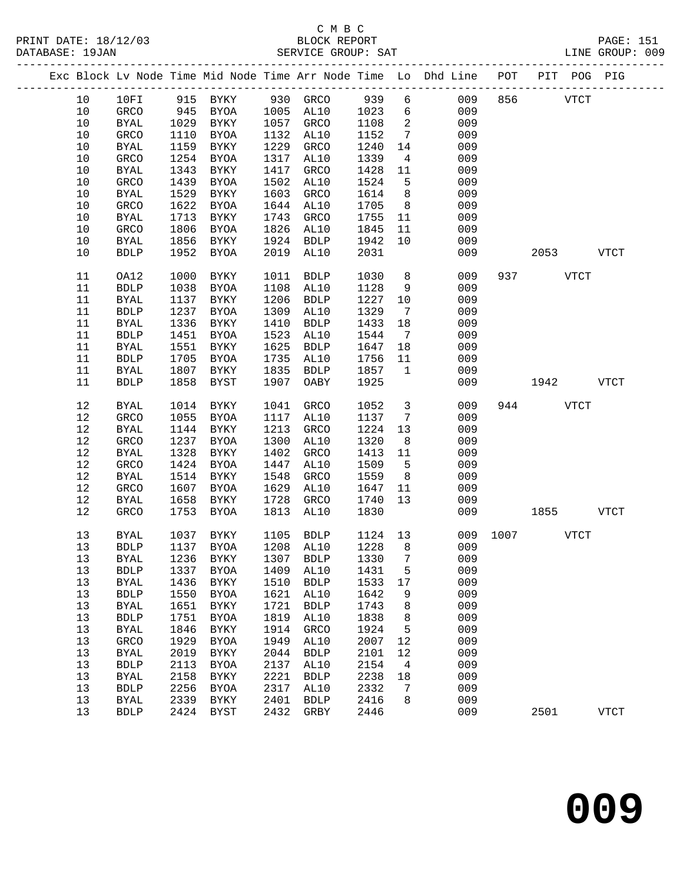|  |      |              |      |              |      |                            |         |                 | Exc Block Lv Node Time Mid Node Time Arr Node Time Lo Dhd Line POT |      |           | PIT POG PIG |             |
|--|------|--------------|------|--------------|------|----------------------------|---------|-----------------|--------------------------------------------------------------------|------|-----------|-------------|-------------|
|  | 10   | 10FI         | 915  | BYKY         |      | 930 GRCO                   | 939     | 6               | 009                                                                | 856  |           | <b>VTCT</b> |             |
|  | 10   | GRCO         | 945  | BYOA         | 1005 | AL10                       | 1023    | $6\overline{6}$ | 009                                                                |      |           |             |             |
|  | $10$ | $\rm BYAL$   | 1029 | BYKY         | 1057 | GRCO                       | 1108    | 2               | 009                                                                |      |           |             |             |
|  | $10$ | GRCO         | 1110 | BYOA         | 1132 | AL10                       | 1152    | $7\phantom{.0}$ | 009                                                                |      |           |             |             |
|  | 10   | <b>BYAL</b>  | 1159 | BYKY         | 1229 | GRCO                       | 1240    | 14              | 009                                                                |      |           |             |             |
|  | $10$ | GRCO         | 1254 | BYOA         | 1317 | AL10                       | 1339    | $\overline{4}$  | 009                                                                |      |           |             |             |
|  | $10$ |              | 1343 | BYKY         | 1417 |                            | 1428    |                 | 009                                                                |      |           |             |             |
|  |      | <b>BYAL</b>  |      |              |      | GRCO                       |         | 11              |                                                                    |      |           |             |             |
|  | $10$ | GRCO         | 1439 | <b>BYOA</b>  | 1502 | AL10                       | 1524    | 5               | 009                                                                |      |           |             |             |
|  | $10$ | <b>BYAL</b>  | 1529 | BYKY         | 1603 | GRCO                       | 1614    | 8               | 009                                                                |      |           |             |             |
|  | 10   | GRCO         | 1622 | BYOA         | 1644 | AL10                       | 1705    | 8               | 009                                                                |      |           |             |             |
|  | 10   | <b>BYAL</b>  | 1713 | BYKY         | 1743 | GRCO                       | 1755    | 11              | 009                                                                |      |           |             |             |
|  | $10$ | GRCO         | 1806 | BYOA         | 1826 | AL10                       | 1845    | 11              | 009                                                                |      |           |             |             |
|  | $10$ | <b>BYAL</b>  | 1856 | BYKY         | 1924 | <b>BDLP</b>                | 1942    | 10              | 009                                                                |      |           |             |             |
|  | 10   | <b>BDLP</b>  | 1952 | BYOA         | 2019 | AL10                       | 2031    |                 | 009                                                                |      | 2053      |             | <b>VTCT</b> |
|  | 11   | OA12         | 1000 | BYKY         | 1011 | <b>BDLP</b>                | 1030    | 8               | 009                                                                |      | 937 — 100 | <b>VTCT</b> |             |
|  | 11   | <b>BDLP</b>  | 1038 | BYOA         | 1108 | AL10                       | 1128    | 9               | 009                                                                |      |           |             |             |
|  | 11   | <b>BYAL</b>  | 1137 | BYKY         | 1206 | <b>BDLP</b>                | 1227    | 10              | 009                                                                |      |           |             |             |
|  | 11   | <b>BDLP</b>  | 1237 | BYOA         | 1309 | AL10                       | 1329    | $\overline{7}$  | 009                                                                |      |           |             |             |
|  | 11   | BYAL         | 1336 | BYKY         | 1410 | <b>BDLP</b>                | 1433    | 18              | 009                                                                |      |           |             |             |
|  | 11   | <b>BDLP</b>  | 1451 | <b>BYOA</b>  | 1523 | AL10                       | 1544    | $\overline{7}$  | 009                                                                |      |           |             |             |
|  | 11   | <b>BYAL</b>  | 1551 | BYKY         | 1625 | <b>BDLP</b>                | 1647    | 18              | 009                                                                |      |           |             |             |
|  | 11   | <b>BDLP</b>  | 1705 | <b>BYOA</b>  | 1735 | AL10                       | 1756    | 11              | 009                                                                |      |           |             |             |
|  | 11   | <b>BYAL</b>  | 1807 | BYKY         | 1835 | <b>BDLP</b>                | 1857    | $\mathbf{1}$    | 009                                                                |      |           |             |             |
|  | 11   | <b>BDLP</b>  | 1858 | BYST         | 1907 | OABY                       | 1925    |                 | 009                                                                |      | 1942      |             | <b>VTCT</b> |
|  | $12$ | <b>BYAL</b>  | 1014 | BYKY         | 1041 | GRCO                       | 1052    | $\mathbf{3}$    | 009                                                                | 944  |           | <b>VTCT</b> |             |
|  | 12   | GRCO         | 1055 | BYOA         | 1117 | AL10                       | 1137    | $7\overline{ }$ | 009                                                                |      |           |             |             |
|  | 12   | <b>BYAL</b>  | 1144 | BYKY         | 1213 | GRCO                       | 1224    | 13              | 009                                                                |      |           |             |             |
|  | 12   | GRCO         | 1237 | BYOA         | 1300 | AL10                       | 1320    | 8               | 009                                                                |      |           |             |             |
|  | 12   | <b>BYAL</b>  | 1328 | BYKY         | 1402 | GRCO                       | 1413    | 11              | 009                                                                |      |           |             |             |
|  | 12   | GRCO         | 1424 | BYOA         | 1447 | AL10                       | 1509    | $5\overline{5}$ | 009                                                                |      |           |             |             |
|  | 12   | <b>BYAL</b>  | 1514 | BYKY         | 1548 | GRCO                       | 1559    | 8               | 009                                                                |      |           |             |             |
|  | 12   | GRCO         | 1607 | BYOA         | 1629 | AL10                       | 1647    | 11              | 009                                                                |      |           |             |             |
|  | $12$ | <b>BYAL</b>  | 1658 | BYKY         | 1728 | GRCO                       | 1740    | 13 <sup>°</sup> | 009                                                                |      |           |             |             |
|  | 12   | GRCO         | 1753 | BYOA         | 1813 | AL10                       | 1830    |                 | 009                                                                |      | 1855      |             | <b>VTCT</b> |
|  | 13   | BYAL         | 1037 | BYKY         | 1105 | <b>BDLP</b>                | 1124 13 |                 | 009                                                                | 1007 |           | <b>VTCT</b> |             |
|  | 13   | <b>BDLP</b>  |      | 1137 BYOA    |      | 1208 AL10                  | 1228    | 8 <sup>8</sup>  | 009                                                                |      |           |             |             |
|  | 13   | <b>BYAL</b>  |      |              |      | 1236 BYKY 1307 BDLP 1330 7 |         |                 | 009                                                                |      |           |             |             |
|  | 13   | <b>BDLP</b>  | 1337 | BYOA         | 1409 | AL10                       | 1431    | 5               | 009                                                                |      |           |             |             |
|  | 13   | <b>BYAL</b>  | 1436 | BYKY         | 1510 | <b>BDLP</b>                | 1533    | 17              | 009                                                                |      |           |             |             |
|  | 13   | <b>BDLP</b>  | 1550 | <b>BYOA</b>  | 1621 | AL10                       | 1642    | 9               | 009                                                                |      |           |             |             |
|  | 13   | <b>BYAL</b>  | 1651 | BYKY         | 1721 | <b>BDLP</b>                | 1743    | 8               | 009                                                                |      |           |             |             |
|  | 13   | <b>BDLP</b>  | 1751 | <b>BYOA</b>  | 1819 | AL10                       | 1838    | 8               | 009                                                                |      |           |             |             |
|  | 13   | <b>BYAL</b>  | 1846 | ${\tt BYKY}$ | 1914 | GRCO                       | 1924    | 5               | 009                                                                |      |           |             |             |
|  | 13   | GRCO         | 1929 | <b>BYOA</b>  | 1949 | AL10                       | 2007    | 12              | 009                                                                |      |           |             |             |
|  | 13   | <b>BYAL</b>  | 2019 | ${\tt BYKY}$ | 2044 | <b>BDLP</b>                | 2101    | 12              | 009                                                                |      |           |             |             |
|  | 13   | <b>BDLP</b>  | 2113 | <b>BYOA</b>  | 2137 | AL10                       | 2154    | $\overline{4}$  | 009                                                                |      |           |             |             |
|  | 13   | <b>BYAL</b>  | 2158 | ${\tt BYKY}$ | 2221 | <b>BDLP</b>                | 2238    | 18              | 009                                                                |      |           |             |             |
|  | 13   | ${\tt BDLP}$ | 2256 | ${\tt BYOA}$ | 2317 | AL10                       | 2332    | 7               | 009                                                                |      |           |             |             |
|  | 13   | <b>BYAL</b>  | 2339 | ${\tt BYKY}$ | 2401 | <b>BDLP</b>                | 2416    | 8               | 009                                                                |      |           |             |             |
|  | 13   | ${\tt BDLP}$ | 2424 | <b>BYST</b>  | 2432 | GRBY                       | 2446    |                 | 009                                                                |      | 2501      |             | <b>VTCT</b> |
|  |      |              |      |              |      |                            |         |                 |                                                                    |      |           |             |             |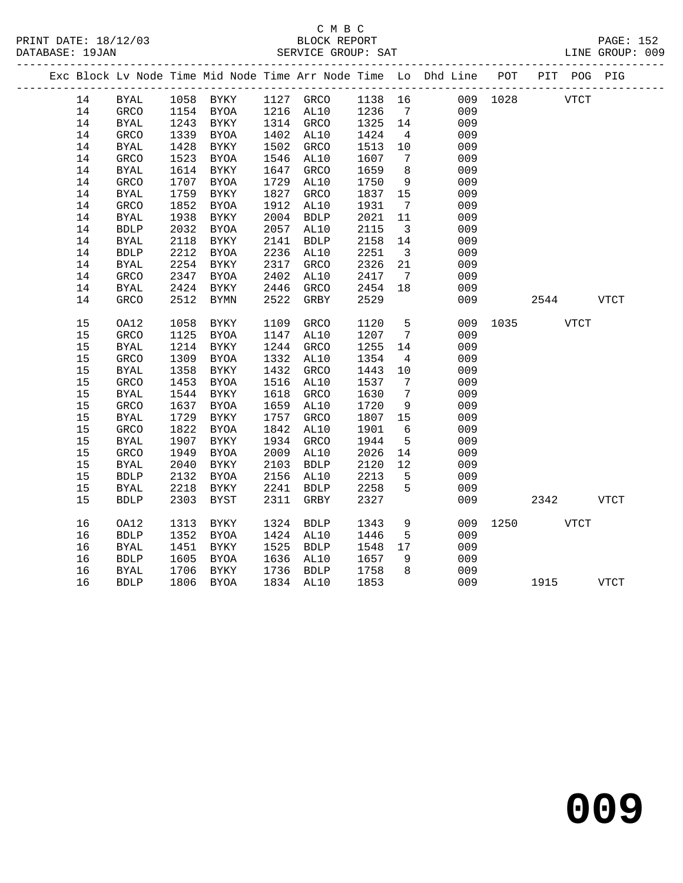# C M B C

| DATABASE: 19JAN |             |      |                     |      | SERVICE GROUP: SAT |         |                                                                                                                                                                                                                                                                                                                                                                                     |                                                                                |               |           | LINE GROUP: 009 |  |
|-----------------|-------------|------|---------------------|------|--------------------|---------|-------------------------------------------------------------------------------------------------------------------------------------------------------------------------------------------------------------------------------------------------------------------------------------------------------------------------------------------------------------------------------------|--------------------------------------------------------------------------------|---------------|-----------|-----------------|--|
|                 |             |      |                     |      |                    |         |                                                                                                                                                                                                                                                                                                                                                                                     | Exc Block Lv Node Time Mid Node Time Arr Node Time Lo Dhd Line POT PIT POG PIG |               |           |                 |  |
|                 | 14 BYAL     |      | 1058 BYKY 1127 GRCO |      |                    | 1138 16 |                                                                                                                                                                                                                                                                                                                                                                                     |                                                                                | 009 1028 VTCT |           |                 |  |
| 14              | GRCO        | 1154 | BYOA                | 1216 | AL10               | 1236    | 7                                                                                                                                                                                                                                                                                                                                                                                   | 009                                                                            |               |           |                 |  |
| 14              | BYAL        | 1243 | BYKY                | 1314 | GRCO               | 1325    | 14                                                                                                                                                                                                                                                                                                                                                                                  | 009                                                                            |               |           |                 |  |
| 14              | GRCO        | 1339 | BYOA                | 1402 | AL10               | 1424    | $\overline{4}$                                                                                                                                                                                                                                                                                                                                                                      | 009                                                                            |               |           |                 |  |
| 14              | BYAL        | 1428 | BYKY                | 1502 | GRCO               | 1513    | 10 <sup>°</sup>                                                                                                                                                                                                                                                                                                                                                                     | 009                                                                            |               |           |                 |  |
| 14              | GRCO        | 1523 | BYOA                | 1546 | AL10               | 1607    | 7                                                                                                                                                                                                                                                                                                                                                                                   | 009                                                                            |               |           |                 |  |
| 14              | BYAL        | 1614 | BYKY                | 1647 | GRCO               | 1659    | 8                                                                                                                                                                                                                                                                                                                                                                                   | 009                                                                            |               |           |                 |  |
| 14              | GRCO        | 1707 | BYOA                | 1729 | AL10               | 1750    | 9                                                                                                                                                                                                                                                                                                                                                                                   | 009                                                                            |               |           |                 |  |
| 14              | BYAL        | 1759 | BYKY                | 1827 | <b>GRCO</b>        | 1837    | 15                                                                                                                                                                                                                                                                                                                                                                                  | 009                                                                            |               |           |                 |  |
| 14              | GRCO        | 1852 | BYOA                | 1912 | AL10               | 1931    | 7                                                                                                                                                                                                                                                                                                                                                                                   | 009                                                                            |               |           |                 |  |
| 14              | BYAL        | 1938 | BYKY                | 2004 | BDLP               | 2021    | 11                                                                                                                                                                                                                                                                                                                                                                                  | 009                                                                            |               |           |                 |  |
| 14              | BDLP        | 2032 | <b>BYOA</b>         | 2057 | AL10               | 2115    | $\overline{3}$                                                                                                                                                                                                                                                                                                                                                                      | 009                                                                            |               |           |                 |  |
| 14              | BYAL        | 2118 | BYKY                | 2141 | BDLP               | 2158    | 14                                                                                                                                                                                                                                                                                                                                                                                  | 009                                                                            |               |           |                 |  |
| 14              | <b>BDLP</b> | 2212 | <b>BYOA</b>         | 2236 | AL10               | 2251    | $\overline{\mathbf{3}}$                                                                                                                                                                                                                                                                                                                                                             | 009                                                                            |               |           |                 |  |
| 14              | BYAL        | 2254 | BYKY                | 2317 | GRCO               | 2326    | 21                                                                                                                                                                                                                                                                                                                                                                                  | 009                                                                            |               |           |                 |  |
| 14              | GRCO        | 2347 | BYOA                | 2402 | AL10               | 2417    | $\overline{7}$                                                                                                                                                                                                                                                                                                                                                                      | 009                                                                            |               |           |                 |  |
| 14              | BYAL        | 2424 | BYKY                | 2446 | GRCO               | 2454    | 18                                                                                                                                                                                                                                                                                                                                                                                  | 009                                                                            |               |           |                 |  |
| 14              | GRCO        | 2512 | BYMN                | 2522 | GRBY               | 2529    |                                                                                                                                                                                                                                                                                                                                                                                     | 009                                                                            |               | 2544 VTCT |                 |  |
| 15              | OA12        | 1058 | BYKY                | 1109 | GRCO               | 1120    | 5                                                                                                                                                                                                                                                                                                                                                                                   |                                                                                | 009 1035 VTCT |           |                 |  |
| 15              | GRCO        | 1125 | BYOA                | 1147 | AL10               | 1207    | 7                                                                                                                                                                                                                                                                                                                                                                                   | 009                                                                            |               |           |                 |  |
| 15              | BYAL        | 1214 | BYKY                | 1244 | GRCO               | 1255    | 14                                                                                                                                                                                                                                                                                                                                                                                  | 009                                                                            |               |           |                 |  |
| 15              | GRCO        | 1309 | BYOA                | 1332 | AL10               | 1354    | $4\phantom{.0000}\phantom{.0000}\phantom{.0000}\phantom{.0000}\phantom{.0000}\phantom{.0000}\phantom{.0000}\phantom{.0000}\phantom{.0000}\phantom{.0000}\phantom{.0000}\phantom{.0000}\phantom{.0000}\phantom{.0000}\phantom{.0000}\phantom{.0000}\phantom{.0000}\phantom{.0000}\phantom{.0000}\phantom{.0000}\phantom{.0000}\phantom{.0000}\phantom{.0000}\phantom{.0000}\phantom$ | 009                                                                            |               |           |                 |  |
| 15              | BYAL        |      | 1358 BYKY           | 1432 | GRCO               | 1443    | 10                                                                                                                                                                                                                                                                                                                                                                                  | 009                                                                            |               |           |                 |  |

15 BYAL 2218 BYAT 2241 DULE 2230 3<br>15 BDLP 2303 BYST 2311 GRBY 2327 009 2342 VTCT

16 OA12 1313 BYKY 1324 BDLP 1343 9 009 1250 VTCT

16 BDLP 1806 BYOA 1834 AL10 1853 009 1915 VTCT

**009**

 15 GRCO 1453 BYOA 1516 AL10 1537 7 009 15 BYAL 1544 BYKY 1618 GRCO 1630 7 009 15 GRCO 1637 BYOA 1659 AL10 1720 9 009 15 BYAL 1729 BYKY 1757 GRCO 1807 15 009 15 GRCO 1822 BYOA 1842 AL10 1901 6 009 15 BYAL 1907 BYKY 1934 GRCO 1944 5 009 15 GRCO 1949 BYOA 2009 AL10 2026 14 009 15 BYAL 2040 BYKY 2103 BDLP 2120 12 009 15 BDLP 2132 BYOA 2156 AL10 2213 5 009 15 BYAL 2218 BYKY 2241 BDLP 2258 5 009

 16 BDLP 1352 BYOA 1424 AL10 1446 5 009 16 BYAL 1451 BYKY 1525 BDLP 1548 17 009 16 BDLP 1605 BYOA 1636 AL10 1657 9 009 16 BYAL 1706 BYKY 1736 BDLP 1758 8 009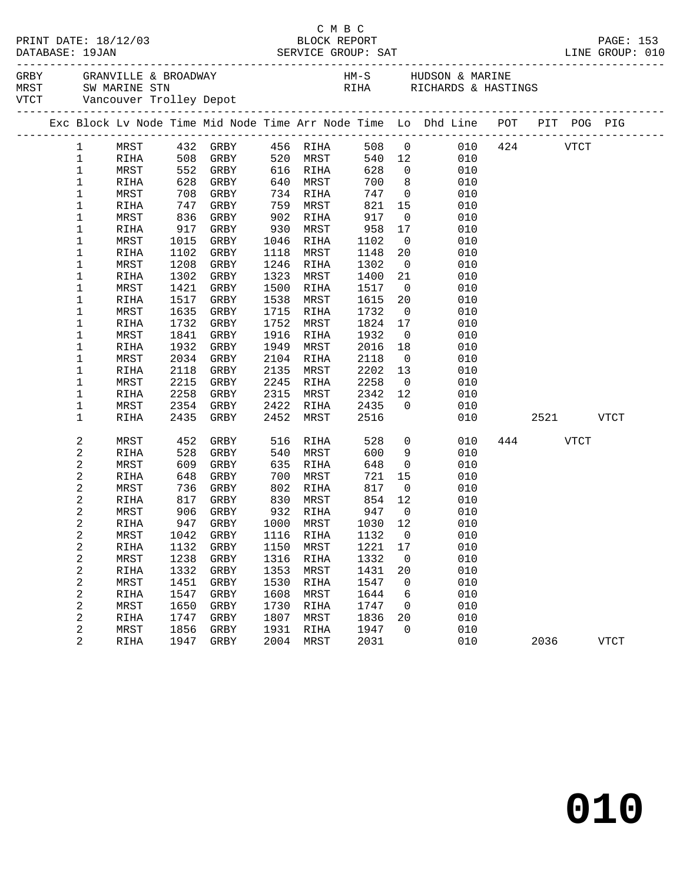|                 |              |              |                        |              |              |              |                          | GREY GRANVILLE & BROADWAY MARINE HM-S HUDSON & MARINE THANGERS AND SUMPLIFY ON A SUMPLIFY SUMPLIFY ON A SUMPLIF<br>THANGERS WARINE STRINGS WITCHNERS & HASTINGS WITCHNERS AND MARINE TROLLEY Depot |     |         |             |             |
|-----------------|--------------|--------------|------------------------|--------------|--------------|--------------|--------------------------|----------------------------------------------------------------------------------------------------------------------------------------------------------------------------------------------------|-----|---------|-------------|-------------|
|                 |              |              |                        |              |              |              |                          | Exc Block Lv Node Time Mid Node Time Arr Node Time Lo Dhd Line POT PIT POG PIG                                                                                                                     |     |         |             |             |
| $\mathbf{1}$    |              |              | MRST 432 GRBY 456 RIHA |              |              |              |                          | 508 0 010 424                                                                                                                                                                                      |     |         | VTCT        |             |
| $\mathbf{1}$    | RIHA         | 508 GRBY     |                        |              | 520 MRST     |              |                          | 540 12<br>010                                                                                                                                                                                      |     |         |             |             |
| $\mathbf 1$     | MRST         |              | 552 GRBY               |              | 616 RIHA     | 628          | $\overline{0}$           | 010                                                                                                                                                                                                |     |         |             |             |
| $\mathbf 1$     | RIHA         |              | 628 GRBY               | 640          | MRST         | 700          | 8 <sup>8</sup>           | 010                                                                                                                                                                                                |     |         |             |             |
| 1               | MRST         | 708          | GRBY                   | 734          | RIHA         | 747          |                          | $\overline{O}$<br>010                                                                                                                                                                              |     |         |             |             |
| 1               | RIHA         | 747          | GRBY                   | 759          | MRST         | 821          | 15                       | 010                                                                                                                                                                                                |     |         |             |             |
| 1               | MRST         | 836          | GRBY                   | 902          | RIHA         | 917          | $\overline{0}$           | 010                                                                                                                                                                                                |     |         |             |             |
| 1               | RIHA         | 917          | GRBY                   | 930          | MRST         | 958          | 17                       | 010                                                                                                                                                                                                |     |         |             |             |
| 1               | MRST         | 1015         | GRBY                   | 1046         | RIHA         | 1102         | $\overline{0}$           | 010                                                                                                                                                                                                |     |         |             |             |
| 1               | RIHA         | 1102         | GRBY                   | 1118         | MRST         | 1148         | 20                       | 010                                                                                                                                                                                                |     |         |             |             |
| 1               | MRST         | 1208         | GRBY                   | 1246         | RIHA         | 1302         | $\overline{0}$           | 010                                                                                                                                                                                                |     |         |             |             |
| 1               | RIHA         | 1302         | GRBY                   | 1323         | MRST         | 1400         | 21                       | 010                                                                                                                                                                                                |     |         |             |             |
| 1               | MRST         | 1421         | GRBY                   | 1500         | RIHA         | 1517         | $\overline{0}$           | 010                                                                                                                                                                                                |     |         |             |             |
| 1               | RIHA         | 1517         | GRBY                   | 1538         | MRST         | 1615         | 20                       | 010                                                                                                                                                                                                |     |         |             |             |
| 1               | MRST         | 1635         | GRBY                   | 1715         | RIHA         | 1732         | $\overline{\phantom{0}}$ | 010                                                                                                                                                                                                |     |         |             |             |
| 1               | RIHA         | 1732         | GRBY                   | 1752         | MRST         | 1824         | 17                       | 010                                                                                                                                                                                                |     |         |             |             |
| 1               | MRST         | 1841         | GRBY                   | 1916         | RIHA         | 1932         | $\overline{0}$           | 010                                                                                                                                                                                                |     |         |             |             |
| 1               | RIHA         | 1932         | GRBY                   | 1949         | MRST         | 2016         | 18                       | 010                                                                                                                                                                                                |     |         |             |             |
| 1<br>1          | MRST         | 2034<br>2118 | GRBY                   | 2104         | RIHA         | 2118<br>2202 | $\overline{0}$           | 010<br>010                                                                                                                                                                                         |     |         |             |             |
| 1               | RIHA<br>MRST | 2215         | GRBY<br>GRBY           | 2135<br>2245 | MRST<br>RIHA | 2258         | 13<br>$\overline{0}$     | 010                                                                                                                                                                                                |     |         |             |             |
| 1               | RIHA         | 2258         | GRBY                   | 2315         | MRST         | 2342         | 12                       | 010                                                                                                                                                                                                |     |         |             |             |
| 1               | MRST         | 2354         | GRBY                   | 2422         | RIHA         | 2435         | $\overline{0}$           | 010                                                                                                                                                                                                |     |         |             |             |
| 1               | <b>RIHA</b>  | 2435         | GRBY                   | 2452         | MRST         | 2516         |                          | 010                                                                                                                                                                                                |     | 2521 25 |             | VTCT        |
|                 |              |              |                        |              |              |              |                          |                                                                                                                                                                                                    |     |         |             |             |
| 2               | MRST         | 452          | GRBY                   | 516          | RIHA         | 528          |                          | $\overline{0}$<br>010                                                                                                                                                                              | 444 |         | <b>VTCT</b> |             |
| $\sqrt{2}$      | <b>RIHA</b>  | 528          | GRBY                   | 540          | MRST         | 600          | 9                        | 010                                                                                                                                                                                                |     |         |             |             |
| $\sqrt{2}$      | MRST         | 609          | GRBY                   | 635          | RIHA         | 648          | $\overline{0}$           | 010                                                                                                                                                                                                |     |         |             |             |
| 2               | RIHA         | 648          | GRBY                   | 700          | MRST         | 721          | 15                       | 010                                                                                                                                                                                                |     |         |             |             |
| 2               | MRST         | 736          | GRBY                   | 802          | RIHA         | 817          | $\overline{0}$           | 010                                                                                                                                                                                                |     |         |             |             |
| 2               | RIHA         | 817          | GRBY                   | 830          | MRST         | 854          | 12                       | 010                                                                                                                                                                                                |     |         |             |             |
| 2               | MRST         | 906          | GRBY                   |              | 932 RIHA     | 947<br>1030  | $\overline{0}$           | 010                                                                                                                                                                                                |     |         |             |             |
| 2               | RIHA         |              | 947 GRBY               |              | 1000 MRST    |              | 12                       | 010                                                                                                                                                                                                |     |         |             |             |
| 2               |              |              |                        |              |              |              |                          | MRST 1042 GRBY 1116 RIHA 1132 0 010                                                                                                                                                                |     |         |             |             |
| 2               | RIHA         | 1132         | GRBY                   | 1150         | MRST         | 1221         | 17                       | 010                                                                                                                                                                                                |     |         |             |             |
| 2               | MRST         | 1238         | GRBY                   | 1316         | RIHA         | 1332         | $\overline{\phantom{0}}$ | 010                                                                                                                                                                                                |     |         |             |             |
| $\sqrt{2}$      | RIHA         | 1332         | GRBY                   | 1353         | MRST         | 1431         | 20                       | 010                                                                                                                                                                                                |     |         |             |             |
| 2               | MRST         | 1451         | GRBY                   | 1530         | RIHA         | 1547         | $\overline{0}$           | 010                                                                                                                                                                                                |     |         |             |             |
| 2               | RIHA         | 1547         | GRBY                   | 1608         | MRST         | 1644         | 6                        | 010                                                                                                                                                                                                |     |         |             |             |
| 2<br>$\sqrt{2}$ | MRST         | 1650<br>1747 | GRBY                   | 1730<br>1807 | RIHA<br>MRST | 1747<br>1836 | $\overline{0}$<br>20     | 010<br>010                                                                                                                                                                                         |     |         |             |             |
| 2               | RIHA<br>MRST | 1856         | GRBY<br>GRBY           | 1931         | RIHA         | 1947         | $\mathbf 0$              | 010                                                                                                                                                                                                |     |         |             |             |
| 2               | RIHA         | 1947         | GRBY                   | 2004         | MRST         | 2031         |                          | 010                                                                                                                                                                                                |     | 2036    |             | <b>VTCT</b> |
|                 |              |              |                        |              |              |              |                          |                                                                                                                                                                                                    |     |         |             |             |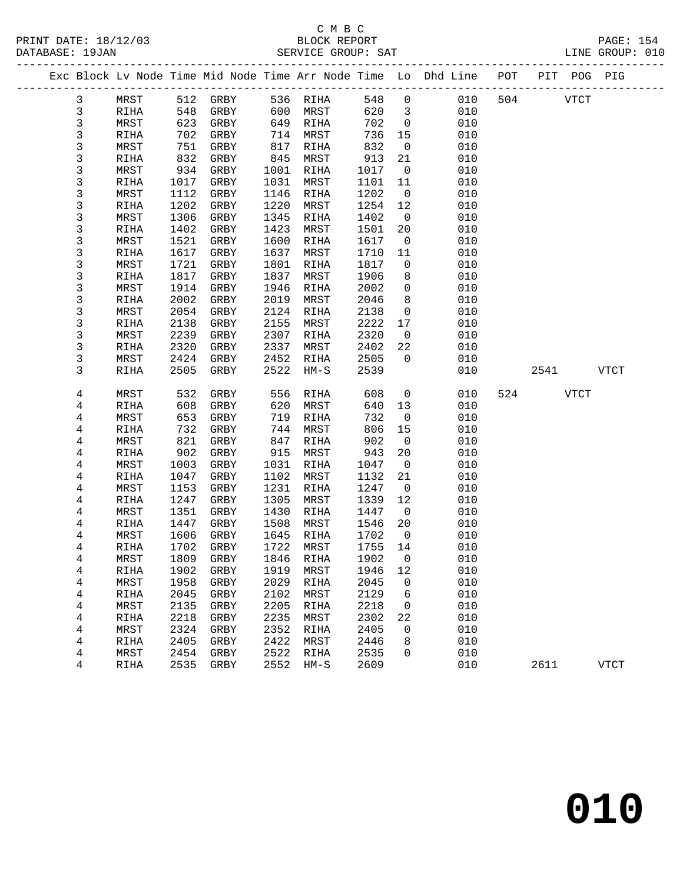|  |                |              |              |                     |              |              |              |                          | Exc Block Lv Node Time Mid Node Time Arr Node Time Lo Dhd Line POT |     | PIT POG PIG |             |
|--|----------------|--------------|--------------|---------------------|--------------|--------------|--------------|--------------------------|--------------------------------------------------------------------|-----|-------------|-------------|
|  | $\mathbf{3}$   | MRST         | 512          | GRBY                |              | 536 RIHA     | 548          | $\mathsf{O}$             | 010                                                                | 504 | <b>VTCT</b> |             |
|  | $\mathbf{3}$   | RIHA         | 548          | GRBY                | 600          | MRST         | 620          | $\overline{3}$           | 010                                                                |     |             |             |
|  | 3              | MRST         | 623          | GRBY                | 649          | RIHA         | 702          | $\overline{0}$           | 010                                                                |     |             |             |
|  | 3              | RIHA         | 702          | GRBY                | 714          | MRST         | 736          | 15                       | 010                                                                |     |             |             |
|  | 3              | MRST         | 751          | GRBY                | 817          | RIHA         | 832          | $\overline{0}$           | 010                                                                |     |             |             |
|  | 3              | RIHA         | 832          | GRBY                | 845          | MRST         | 913          | 21                       | 010                                                                |     |             |             |
|  | 3              | MRST         | 934          | GRBY                | 1001         | RIHA         | 1017         | $\overline{0}$           | 010                                                                |     |             |             |
|  | 3              | RIHA         | 1017         | GRBY                | 1031         | MRST         | 1101         | 11                       | 010                                                                |     |             |             |
|  | 3              | MRST         | 1112         | GRBY                | 1146         | RIHA         | 1202         | $\overline{0}$           | 010                                                                |     |             |             |
|  | 3              | RIHA         | 1202         | GRBY                | 1220         | MRST         | 1254         | 12                       | 010                                                                |     |             |             |
|  | 3              | MRST         | 1306         | GRBY                | 1345         | RIHA         | 1402         | $\overline{0}$           | 010                                                                |     |             |             |
|  | 3              | RIHA         | 1402         | GRBY                | 1423         | MRST         | 1501         | 20                       | 010                                                                |     |             |             |
|  | 3              | MRST         | 1521         | GRBY                | 1600         | RIHA         | 1617         | $\overline{\phantom{0}}$ | 010                                                                |     |             |             |
|  | 3              | RIHA         | 1617         | GRBY                | 1637         | MRST         | 1710         | 11                       | 010                                                                |     |             |             |
|  | 3              | MRST         | 1721         | GRBY                | 1801         | RIHA         | 1817         | $\mathbf 0$              | 010                                                                |     |             |             |
|  | 3              | RIHA         | 1817         | GRBY                | 1837<br>1946 | MRST         | 1906         | 8                        | 010                                                                |     |             |             |
|  | 3              | MRST         | 1914         | GRBY                |              | RIHA         | 2002         | $\mathbf 0$<br>8         | 010<br>010                                                         |     |             |             |
|  | 3              | RIHA         | 2002         | GRBY                | 2019         | MRST<br>RIHA | 2046<br>2138 | $\mathsf{O}$             | 010                                                                |     |             |             |
|  | 3<br>3         | MRST<br>RIHA | 2054<br>2138 | GRBY<br>GRBY        | 2124<br>2155 | MRST         | 2222         | 17                       | 010                                                                |     |             |             |
|  | 3              | MRST         | 2239         | GRBY                | 2307         | RIHA         | 2320         | $\overline{0}$           | 010                                                                |     |             |             |
|  | 3              | RIHA         | 2320         | GRBY                | 2337         | MRST         | 2402         | 22                       | 010                                                                |     |             |             |
|  | 3              | MRST         | 2424         | GRBY                | 2452         | RIHA         | 2505         | $\overline{0}$           | 010                                                                |     |             |             |
|  | 3              | RIHA         | 2505         | GRBY                | 2522         | $HM-S$       | 2539         |                          | 010                                                                |     | 2541        | VTCT        |
|  |                |              |              |                     |              |              |              |                          |                                                                    |     |             |             |
|  | 4              | MRST         | 532          | GRBY                | 556          | RIHA         | 608          | $\mathbf 0$              | 010                                                                | 524 | <b>VTCT</b> |             |
|  | $\overline{4}$ | RIHA         | 608          | GRBY                | 620          | MRST         | 640          | 13                       | 010                                                                |     |             |             |
|  | 4              | MRST         | 653          | GRBY                | 719          | RIHA         | 732          | $\overline{0}$           | 010                                                                |     |             |             |
|  | 4              | RIHA         | 732          | GRBY                | 744          | MRST         | 806          | 15                       | 010                                                                |     |             |             |
|  | 4              | MRST         | 821          | GRBY                | 847          | RIHA         | 902          | $\overline{\phantom{0}}$ | 010                                                                |     |             |             |
|  | $\overline{4}$ | RIHA         | 902          | GRBY                | 915          | MRST         | 943          | 20                       | 010                                                                |     |             |             |
|  | 4              | MRST         | 1003         | GRBY                | 1031         | RIHA         | 1047         | $\overline{0}$           | 010                                                                |     |             |             |
|  | 4              | RIHA         | 1047         | GRBY                | 1102         | MRST         | 1132         | 21                       | 010                                                                |     |             |             |
|  | 4              | MRST         | 1153         | GRBY                | 1231         | RIHA         | 1247         | $\overline{0}$           | 010                                                                |     |             |             |
|  | 4              | RIHA         | 1247         | GRBY                | 1305         | MRST         | 1339         | 12                       | 010                                                                |     |             |             |
|  | 4              | MRST         | 1351         | GRBY                | 1430         | RIHA         | 1447         | $\overline{0}$           | 010                                                                |     |             |             |
|  | 4              | RIHA         | 1447         | GRBY                | 1508         | MRST         | 1546         | 20                       | 010                                                                |     |             |             |
|  | 4              | MRST         | 1606         | GRBY                | 1645         | RIHA         | 1702         | $\overline{0}$           | 010                                                                |     |             |             |
|  | 4              | RIHA         | 1702         | GRBY                | 1722         | MRST         | 1755         | 14                       | 010                                                                |     |             |             |
|  | 4              | MRST         |              | 1809 GRBY 1846 RIHA |              |              | 1902 0       |                          | 010                                                                |     |             |             |
|  | 4<br>4         | RIHA<br>MRST | 1902<br>1958 | GRBY<br>GRBY        | 1919<br>2029 | MRST<br>RIHA | 1946<br>2045 | 12                       | 010<br>010                                                         |     |             |             |
|  |                | RIHA         | 2045         | GRBY                | 2102         | MRST         | 2129         | 0<br>6                   | 010                                                                |     |             |             |
|  | 4<br>4         | MRST         | 2135         | GRBY                | 2205         | RIHA         | 2218         | 0                        | 010                                                                |     |             |             |
|  | 4              | RIHA         | 2218         | ${\tt GRBY}$        | 2235         | MRST         | 2302         | 22                       | 010                                                                |     |             |             |
|  | 4              | MRST         | 2324         | GRBY                | 2352         | RIHA         | 2405         | 0                        | 010                                                                |     |             |             |
|  | 4              | RIHA         | 2405         | GRBY                | 2422         | MRST         | 2446         | 8                        | 010                                                                |     |             |             |
|  | 4              | MRST         | 2454         | GRBY                | 2522         | RIHA         | 2535         | 0                        | 010                                                                |     |             |             |
|  | 4              | RIHA         | 2535         | GRBY                | 2552         | $HM-S$       | 2609         |                          | 010                                                                |     | 2611        | <b>VTCT</b> |
|  |                |              |              |                     |              |              |              |                          |                                                                    |     |             |             |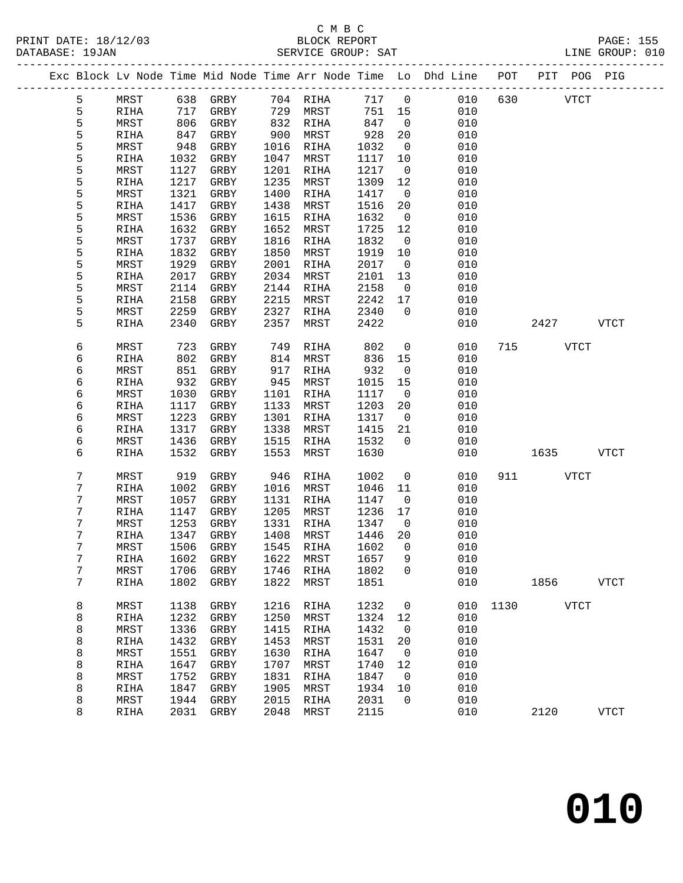### C M B C<br>BLOCK REPORT

|  | PRINT DATE: 18/12/03<br>DATABASE: 19JAN |  |  |  | BLOCK REPORT | SERVICE GROUP: SAT |                                                                                        |  |  | <b>PAGE: 155</b><br>LINE GROUP: 010 |  |
|--|-----------------------------------------|--|--|--|--------------|--------------------|----------------------------------------------------------------------------------------|--|--|-------------------------------------|--|
|  |                                         |  |  |  |              |                    | Exc Block Ly Node Time Mid Node Time Arr Node Time Lo Dhd Line - POT - PIT - POG - PIG |  |  |                                     |  |

|  |                  |              |              | Exc Block Lv Node Time Mid Node Time Arr Node Time Lo |              |              |              |                | Dhd Line   | POT  | PIT  | POG         | PIG         |
|--|------------------|--------------|--------------|-------------------------------------------------------|--------------|--------------|--------------|----------------|------------|------|------|-------------|-------------|
|  | 5                | MRST         | 638          | GRBY                                                  | 704          | RIHA         | 717          | $\mathsf 0$    | 010        | 630  |      | <b>VTCT</b> |             |
|  | 5                | RIHA         | 717          | GRBY                                                  | 729          | MRST         | 751          | 15             | 010        |      |      |             |             |
|  | 5                | MRST         | 806          | GRBY                                                  | 832          | RIHA         | 847          | 0              | 010        |      |      |             |             |
|  | 5                | RIHA         | 847          | GRBY                                                  | 900          | MRST         | 928          | 20             | 010        |      |      |             |             |
|  | 5                | MRST         | 948          | GRBY                                                  | 1016         | RIHA         | 1032         | $\mathsf{O}$   | 010        |      |      |             |             |
|  | 5                | RIHA         | 1032         | GRBY                                                  | 1047         | MRST         | 1117         | 10             | 010        |      |      |             |             |
|  | 5                | MRST         | 1127         | GRBY                                                  | 1201         | RIHA         | 1217         | 0              | 010        |      |      |             |             |
|  | 5                | RIHA         | 1217         | ${\tt GRBY}$                                          | 1235         | MRST         | 1309         | 12             | 010        |      |      |             |             |
|  | 5                | MRST         | 1321         | GRBY                                                  | 1400         | <b>RIHA</b>  | 1417         | $\mathbf 0$    | 010        |      |      |             |             |
|  | 5                | RIHA         | 1417         | GRBY                                                  | 1438         | MRST         | 1516         | 20             | 010        |      |      |             |             |
|  | 5                | MRST         | 1536         | GRBY                                                  | 1615         | RIHA         | 1632         | 0              | 010        |      |      |             |             |
|  | 5                | RIHA         | 1632         | ${\tt GRBY}$                                          | 1652         | MRST         | 1725         | 12             | 010        |      |      |             |             |
|  | 5                | MRST         | 1737         | GRBY                                                  | 1816         | RIHA         | 1832         | $\mathsf{O}$   | 010        |      |      |             |             |
|  | 5                | RIHA         | 1832         | GRBY                                                  | 1850         | MRST         | 1919         | 10             | 010        |      |      |             |             |
|  | 5                | MRST         | 1929         | GRBY                                                  | 2001         | RIHA         | 2017         | 0              | 010        |      |      |             |             |
|  | 5                | RIHA         | 2017         | GRBY                                                  | 2034         | MRST         | 2101         | 13             | 010        |      |      |             |             |
|  | 5                | MRST         | 2114         | GRBY                                                  | 2144         | <b>RIHA</b>  | 2158         | $\mathsf{O}$   | 010        |      |      |             |             |
|  | 5                | RIHA         | 2158         | GRBY                                                  | 2215         | MRST         | 2242         | 17             | 010        |      |      |             |             |
|  | 5<br>5           | MRST         | 2259         | GRBY                                                  | 2327         | RIHA         | 2340<br>2422 | 0              | 010        |      |      |             |             |
|  |                  | RIHA         | 2340         | GRBY                                                  | 2357         | MRST         |              |                | 010        |      | 2427 |             | <b>VTCT</b> |
|  | 6                | MRST         | 723          | GRBY                                                  | 749          | RIHA         | 802          | 0              | 010        | 715  |      | <b>VTCT</b> |             |
|  | 6                | RIHA         | 802          | GRBY                                                  | 814          | MRST         | 836          | 15             | 010        |      |      |             |             |
|  | 6                | MRST         | 851          | GRBY                                                  | 917          | <b>RIHA</b>  | 932          | 0              | 010        |      |      |             |             |
|  | 6                | RIHA         | 932          | GRBY                                                  | 945          | MRST         | 1015         | 15             | 010        |      |      |             |             |
|  | 6                | MRST         | 1030         | GRBY                                                  | 1101         | RIHA         | 1117         | $\mathsf{O}$   | 010        |      |      |             |             |
|  | 6                | RIHA         | 1117         | GRBY                                                  | 1133         | MRST         | 1203         | 20             | 010        |      |      |             |             |
|  | 6                | MRST         | 1223         | GRBY                                                  | 1301         | RIHA         | 1317         | 0              | 010        |      |      |             |             |
|  | 6                | RIHA         | 1317         | GRBY                                                  | 1338         | MRST         | 1415         | 21             | 010        |      |      |             |             |
|  | 6                | MRST         | 1436         | GRBY                                                  | 1515         | RIHA         | 1532         | $\mathbf 0$    | 010        |      |      |             |             |
|  | 6                | RIHA         | 1532         | GRBY                                                  | 1553         | MRST         | 1630         |                | 010        |      | 1635 |             | <b>VTCT</b> |
|  | $\boldsymbol{7}$ | MRST         | 919          | GRBY                                                  | 946          | RIHA         | 1002         | 0              | 010        | 911  |      | VTCT        |             |
|  | 7                | RIHA         | 1002         | GRBY                                                  | 1016         | MRST         | 1046         | 11             | 010        |      |      |             |             |
|  | 7                | MRST         | 1057         | GRBY                                                  | 1131         | RIHA         | 1147         | 0              | 010        |      |      |             |             |
|  | 7                | RIHA         | 1147         | GRBY                                                  | 1205         | MRST         | 1236         | 17             | 010        |      |      |             |             |
|  | 7                | MRST         | 1253         | ${\tt GRBY}$                                          | 1331         | RIHA         | 1347         | 0              | 010        |      |      |             |             |
|  | $\boldsymbol{7}$ | RIHA         | 1347         | GRBY                                                  | 1408         | MRST         | 1446         | 20             | 010        |      |      |             |             |
|  | 7                | MRST         | 1506         | GRBY                                                  | 1545         | RIHA         | 1602         | 0              | 010        |      |      |             |             |
|  | 7                | RIHA         | 1602         | GRBY                                                  | 1622         | MRST         | 1657         | 9              | 010        |      |      |             |             |
|  | 7                | MRST         | 1706         | GRBY                                                  | 1746         | RIHA         | 1802         | $\overline{0}$ | 010        |      |      |             |             |
|  | 7                | RIHA         | 1802         | GRBY                                                  | 1822         | MRST         | 1851         |                | 010        |      | 1856 |             | <b>VTCT</b> |
|  | 8                | MRST         | 1138         | GRBY                                                  | 1216         | RIHA         | 1232         | 0              | 010        | 1130 |      | <b>VTCT</b> |             |
|  | 8                | RIHA         | 1232         | ${\tt GRBY}$                                          | 1250         | MRST         | 1324         | 12             | 010        |      |      |             |             |
|  | 8                | MRST         | 1336         | GRBY                                                  | 1415         | RIHA         | 1432         | 0              | 010        |      |      |             |             |
|  | 8                | <b>RIHA</b>  | 1432         | GRBY                                                  | 1453         | MRST         | 1531         | 20             | 010        |      |      |             |             |
|  | 8                | MRST         | 1551         | GRBY                                                  | 1630         | RIHA         | 1647         | 0              | 010        |      |      |             |             |
|  | 8                | RIHA         | 1647         | GRBY                                                  | 1707         | MRST         | 1740         | 12             | 010        |      |      |             |             |
|  | 8                | MRST         | 1752         | GRBY                                                  | 1831         | RIHA         | 1847         | 0              | 010        |      |      |             |             |
|  | 8                | RIHA         | 1847         | GRBY                                                  | 1905         | MRST         | 1934         | 10             | 010        |      |      |             |             |
|  | 8<br>8           | MRST<br>RIHA | 1944<br>2031 | GRBY<br>GRBY                                          | 2015<br>2048 | RIHA<br>MRST | 2031<br>2115 | 0              | 010<br>010 |      | 2120 |             | <b>VTCT</b> |
|  |                  |              |              |                                                       |              |              |              |                |            |      |      |             |             |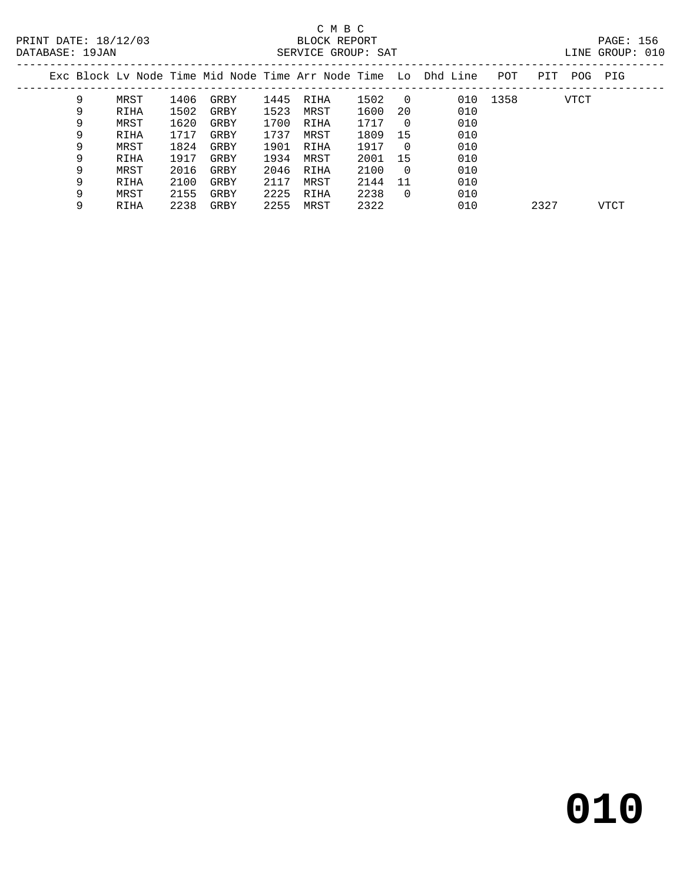### C M B C<br>BLOCK REPORT SERVICE GROUP: SAT

| Exc Block Ly Node Time Mid Node Time Arr Node Time Lo Dhd Line |      |      |      |      |      |      |          |     | POT  | PIT  | POG         | PIG  |
|----------------------------------------------------------------|------|------|------|------|------|------|----------|-----|------|------|-------------|------|
| 9                                                              | MRST | 1406 | GRBY | 1445 | RIHA | 1502 | - 0      | 010 | 1358 |      | <b>VTCT</b> |      |
| 9                                                              | RIHA | 1502 | GRBY | 1523 | MRST | 1600 | 20       | 010 |      |      |             |      |
| 9                                                              | MRST | 1620 | GRBY | 1700 | RIHA | 1717 | $\Omega$ | 010 |      |      |             |      |
| 9                                                              | RIHA | 1717 | GRBY | 1737 | MRST | 1809 | 15       | 010 |      |      |             |      |
| 9                                                              | MRST | 1824 | GRBY | 1901 | RIHA | 1917 | $\Omega$ | 010 |      |      |             |      |
| 9                                                              | RIHA | 1917 | GRBY | 1934 | MRST | 2001 | 15       | 010 |      |      |             |      |
| 9                                                              | MRST | 2016 | GRBY | 2046 | RIHA | 2100 | - 0      | 010 |      |      |             |      |
| 9                                                              | RIHA | 2100 | GRBY | 2117 | MRST | 2144 | 11       | 010 |      |      |             |      |
| 9                                                              | MRST | 2155 | GRBY | 2225 | RIHA | 2238 | 0        | 010 |      |      |             |      |
| 9                                                              | RIHA | 2238 | GRBY | 2255 | MRST | 2322 |          | 010 |      | 2327 |             | VTCT |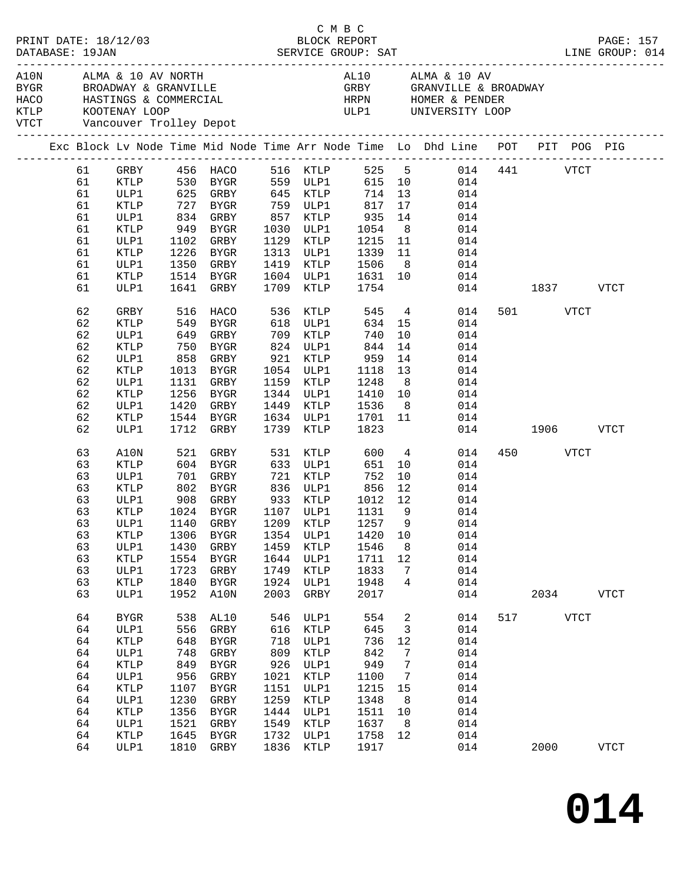|  |                 | PRINT DATE: 18/12/03                                                                                                |                      |             |           |      |                   | C M B C<br>BLOCK REPORT   |                |                 |     |               |          |             | PAGE: 157       |
|--|-----------------|---------------------------------------------------------------------------------------------------------------------|----------------------|-------------|-----------|------|-------------------|---------------------------|----------------|-----------------|-----|---------------|----------|-------------|-----------------|
|  | DATABASE: 19JAN |                                                                                                                     |                      |             |           |      |                   |                           |                |                 |     |               |          |             | LINE GROUP: 014 |
|  |                 | KTLP KOOTENAY LOOP<br>VTCT Vancouver Trolley Depot                                                                  |                      |             |           |      |                   | ULP1 UNIVERSITY LOOP      |                |                 |     |               |          |             |                 |
|  |                 | Exc Block Lv Node Time Mid Node Time Arr Node Time Lo Dhd Line POT PIT POG PIG                                      |                      |             |           |      |                   | -------------------       |                |                 |     |               |          |             |                 |
|  | 61              | GRBY 456 HACO 516 KTLP 525 5 014 441 VTCT<br>KTLP 530 BYGR 559 ULP1 615 10 014<br>ULP1 625 GRBY 645 KTLP 714 13 014 |                      |             |           |      |                   |                           |                |                 |     |               |          |             |                 |
|  | 61              |                                                                                                                     |                      |             |           |      |                   |                           |                |                 |     |               |          |             |                 |
|  | 61              |                                                                                                                     |                      |             |           |      |                   |                           |                |                 |     |               |          |             |                 |
|  | 61              | KTLP                                                                                                                | 727 BYGR             |             |           |      | 759 ULP1          | 817 17                    |                |                 | 014 |               |          |             |                 |
|  | 61              | ULP1                                                                                                                | 834 GRBY             |             |           |      | 857 KTLP          | $935$<br>$1054$<br>$1215$ | 14             |                 | 014 |               |          |             |                 |
|  | 61              | KTLP                                                                                                                | 949 BYGR             |             |           |      | 1030 ULP1         |                           | 8 <sup>8</sup> |                 | 014 |               |          |             |                 |
|  | 61              | ULP1                                                                                                                | 1102 GRBY            |             |           |      | 1129 KTLP         |                           |                | 11              | 014 |               |          |             |                 |
|  | 61              | KTLP                                                                                                                | 1226 BYGR            |             |           |      | 1313 ULP1         | 1339                      |                | 11              | 014 |               |          |             |                 |
|  | 61              | ULP1                                                                                                                | 1350 GRBY            |             |           |      | 1419 KTLP         | 1506                      |                | 8               | 014 |               |          |             |                 |
|  | 61              | KTLP                                                                                                                | 1514 BYGR            |             |           |      | 1604 ULP1         |                           |                |                 | 014 |               |          |             |                 |
|  | 61              | ULP1                                                                                                                | 1641 GRBY            |             |           |      | 1709 KTLP         | 1631 10<br>1754           |                |                 |     | 014 1837 VTCT |          |             |                 |
|  | 62              | GRBY                                                                                                                | 516                  | HACO        |           | 536  | KTLP              | 545                       |                | $4\overline{ }$ | 014 |               | 501 VTCT |             |                 |
|  | 62              | KTLP                                                                                                                |                      |             |           |      |                   | $634$ 15                  |                |                 | 014 |               |          |             |                 |
|  | 62              | ULP1                                                                                                                | 549 BYGR<br>649 GRBY |             |           |      | 709 KTLP          | 740                       | 10             |                 | 014 |               |          |             |                 |
|  | 62              | KTLP                                                                                                                | 750 BYGR             |             |           |      | 824 ULP1          | 844                       | 14             |                 | 014 |               |          |             |                 |
|  | 62              | ULP1                                                                                                                |                      |             |           |      | 858 GRBY 921 KTLP | 959                       | 14             |                 | 014 |               |          |             |                 |
|  | 62              | KTLP                                                                                                                | 1013 BYGR            |             |           |      | 1054 ULP1         |                           | 13             |                 | 014 |               |          |             |                 |
|  | 62              | ULP1                                                                                                                | 1131 GRBY            |             |           |      | 1159 KTLP         | 1118<br>1248              | 8 <sup>8</sup> |                 | 014 |               |          |             |                 |
|  | 62              | KTLP                                                                                                                | 1256 BYGR            |             |           |      | 1344 ULP1         | 1410                      |                | 10              | 014 |               |          |             |                 |
|  | 62              | ULP1                                                                                                                | 1420 GRBY            |             |           |      | 1449 KTLP         | 1536                      | 8 <sup>8</sup> |                 | 014 |               |          |             |                 |
|  | 62              | KTLP                                                                                                                | 1544 BYGR            |             |           |      | 1634 ULP1         | 1701                      | 11             |                 | 014 |               |          |             |                 |
|  | 62              | ULP1                                                                                                                | 1712 GRBY            |             |           |      | 1739 KTLP         | 1823                      |                |                 |     | 014 1906 VTCT |          |             |                 |
|  | 63              | A10N                                                                                                                | 521                  | GRBY        |           |      | 531 KTLP          | 600                       |                | $4\overline{ }$ | 014 |               | 450 VTCT |             |                 |
|  | 63              | <b>KTLP</b>                                                                                                         |                      |             |           |      | 633 ULP1          | 651                       | 10             |                 | 014 |               |          |             |                 |
|  | 63              | ULP1                                                                                                                |                      |             |           |      |                   | 752                       | 10             |                 | 014 |               |          |             |                 |
|  | 63              | KTLP                                                                                                                |                      |             |           |      |                   | 856                       | 12             |                 | 014 |               |          |             |                 |
|  | 63              | ULP1                                                                                                                |                      |             |           |      | 908 GRBY 933 KTLP | 1012 12                   |                |                 | 014 |               |          |             |                 |
|  | 63              | KTLP                                                                                                                |                      |             | 1024 BYGR |      | 1107 ULP1         | 1131                      | - 9            |                 | 014 |               |          |             |                 |
|  |                 | 63 ULP1 1140 GRBY 1209 KTLP 1257 9 014                                                                              |                      |             |           |      |                   |                           |                |                 |     |               |          |             |                 |
|  | 63              | KTLP                                                                                                                | 1306                 | BYGR        |           | 1354 | ULP1              | 1420                      | 10             |                 | 014 |               |          |             |                 |
|  | 63              | ULP1                                                                                                                | 1430                 | GRBY        |           | 1459 | KTLP              | 1546                      | 8              |                 | 014 |               |          |             |                 |
|  | 63              | <b>KTLP</b>                                                                                                         | 1554                 | <b>BYGR</b> |           | 1644 | ULP1              | 1711                      | 12             |                 | 014 |               |          |             |                 |
|  | 63              | ULP1                                                                                                                | 1723                 | GRBY        |           | 1749 | KTLP              | 1833                      | 7              |                 | 014 |               |          |             |                 |
|  | 63              | KTLP                                                                                                                | 1840                 | <b>BYGR</b> |           | 1924 | ULP1              | 1948                      | 4              |                 | 014 |               |          |             |                 |
|  | 63              | ULP1                                                                                                                | 1952                 | A10N        |           | 2003 | GRBY              | 2017                      |                |                 | 014 |               | 2034     |             | <b>VTCT</b>     |
|  | 64              | <b>BYGR</b>                                                                                                         | 538                  | AL10        |           | 546  | ULP1              | 554                       | 2              |                 | 014 | 517           |          | <b>VTCT</b> |                 |
|  | 64              | ULP1                                                                                                                | 556                  | GRBY        |           | 616  | KTLP              | 645                       | 3              |                 | 014 |               |          |             |                 |
|  | 64              | KTLP                                                                                                                | 648                  | BYGR        |           | 718  | ULP1              | 736                       | 12             |                 | 014 |               |          |             |                 |
|  | 64              | ULP1                                                                                                                | 748                  | GRBY        |           | 809  | KTLP              | 842                       | 7              |                 | 014 |               |          |             |                 |
|  | 64              | KTLP                                                                                                                | 849                  | <b>BYGR</b> |           | 926  | ULP1              | 949                       | 7              |                 | 014 |               |          |             |                 |
|  | 64              | ULP1                                                                                                                | 956                  | GRBY        |           | 1021 | KTLP              | 1100                      | 7              |                 | 014 |               |          |             |                 |
|  | 64              | KTLP                                                                                                                | 1107                 | <b>BYGR</b> |           | 1151 | ULP1              | 1215                      | 15             |                 | 014 |               |          |             |                 |
|  | 64              | ULP1                                                                                                                | 1230                 | GRBY        |           | 1259 | $\texttt{KTLP}$   | 1348                      | 8              |                 | 014 |               |          |             |                 |
|  | 64              | KTLP                                                                                                                | 1356                 | <b>BYGR</b> |           | 1444 | ULP1              | 1511                      | 10             |                 | 014 |               |          |             |                 |
|  | 64              | ULP1                                                                                                                | 1521                 | GRBY        |           | 1549 | KTLP              | 1637                      | 8              |                 | 014 |               |          |             |                 |
|  | 64              | KTLP                                                                                                                | 1645                 | <b>BYGR</b> |           | 1732 | ULP1              | 1758                      | 12             |                 | 014 |               |          |             |                 |
|  | 64              | ULP1                                                                                                                | 1810                 | GRBY        |           | 1836 | KTLP              | 1917                      |                |                 | 014 |               | 2000     |             | <b>VTCT</b>     |
|  |                 |                                                                                                                     |                      |             |           |      |                   |                           |                |                 |     |               |          |             |                 |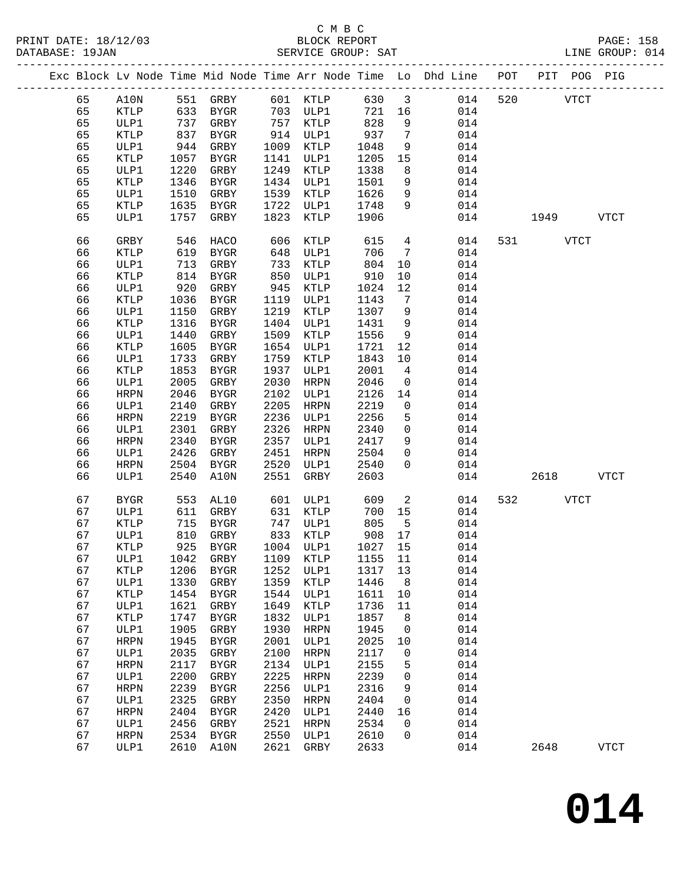|  |    |             |      |              |      |             |         |                         | Exc Block Lv Node Time Mid Node Time Arr Node Time Lo Dhd Line POT PIT POG PIG |     |      |             |               |
|--|----|-------------|------|--------------|------|-------------|---------|-------------------------|--------------------------------------------------------------------------------|-----|------|-------------|---------------|
|  | 65 | A10N        |      | 551 GRBY     |      | 601 KTLP    | 630     | $\overline{\mathbf{3}}$ | 014                                                                            | 520 |      | <b>VTCT</b> |               |
|  | 65 | KTLP        | 633  | BYGR         |      | 703 ULP1    | 721     | 16                      | 014                                                                            |     |      |             |               |
|  | 65 | ULP1        | 737  | GRBY         |      | 757 KTLP    | 828     | 9                       | 014                                                                            |     |      |             |               |
|  | 65 | KTLP        | 837  | BYGR         |      | 914 ULP1    | 937     | $7\phantom{.0}$         | 014                                                                            |     |      |             |               |
|  | 65 | ULP1        | 944  | GRBY         | 1009 | KTLP        | 1048    | 9                       | 014                                                                            |     |      |             |               |
|  | 65 | KTLP        | 1057 | BYGR         | 1141 | ULP1        | 1205    | 15                      | 014                                                                            |     |      |             |               |
|  | 65 | ULP1        | 1220 | GRBY         | 1249 | KTLP        | 1338    | 8                       | 014                                                                            |     |      |             |               |
|  | 65 | KTLP        | 1346 | BYGR         | 1434 | ULP1        | 1501    | 9                       | 014                                                                            |     |      |             |               |
|  | 65 | ULP1        | 1510 | GRBY         | 1539 | KTLP        | 1626    | 9                       | 014                                                                            |     |      |             |               |
|  | 65 | KTLP        | 1635 | BYGR         | 1722 | ULP1        | 1748    | 9                       | 014                                                                            |     |      |             |               |
|  | 65 | ULP1        | 1757 | GRBY         | 1823 | KTLP        | 1906    |                         | 014                                                                            |     | 1949 |             | VTCT          |
|  |    |             |      |              |      |             |         |                         |                                                                                |     |      |             |               |
|  | 66 | GRBY        | 546  | HACO         | 606  | KTLP        | 615     | $4\overline{ }$         | 014                                                                            | 531 |      | VTCT        |               |
|  | 66 | KTLP        | 619  | BYGR         | 648  | ULP1        | 706     | $7\phantom{.0}$         | 014                                                                            |     |      |             |               |
|  | 66 | ULP1        | 713  | GRBY         | 733  | KTLP        | 804     | 10                      | 014                                                                            |     |      |             |               |
|  | 66 | KTLP        | 814  | <b>BYGR</b>  | 850  | ULP1        | 910     | 10                      | 014                                                                            |     |      |             |               |
|  | 66 | ULP1        | 920  | GRBY         | 945  | KTLP        | 1024    | 12                      | 014                                                                            |     |      |             |               |
|  | 66 | KTLP        | 1036 | BYGR         | 1119 | ULP1        | 1143    | $7\phantom{.0}$         | 014                                                                            |     |      |             |               |
|  | 66 | ULP1        | 1150 | GRBY         | 1219 | KTLP        | 1307    | 9                       | 014                                                                            |     |      |             |               |
|  | 66 | KTLP        | 1316 | BYGR         | 1404 | ULP1        | 1431    | 9                       | 014                                                                            |     |      |             |               |
|  | 66 | ULP1        | 1440 | GRBY         | 1509 | KTLP        | 1556    | 9                       | 014                                                                            |     |      |             |               |
|  | 66 | KTLP        | 1605 | BYGR         | 1654 | ULP1        | 1721    | 12                      | 014                                                                            |     |      |             |               |
|  | 66 | ULP1        | 1733 | GRBY         | 1759 | KTLP        | 1843    | 10                      | 014                                                                            |     |      |             |               |
|  | 66 | KTLP        | 1853 | BYGR         | 1937 | ULP1        | 2001    | $\overline{4}$          | 014                                                                            |     |      |             |               |
|  | 66 | ULP1        | 2005 | GRBY         | 2030 | HRPN        | 2046    | $\mathbf 0$             | 014                                                                            |     |      |             |               |
|  | 66 | <b>HRPN</b> | 2046 | BYGR         | 2102 | ULP1        | 2126    | 14                      | 014                                                                            |     |      |             |               |
|  | 66 | ULP1        | 2140 | GRBY         | 2205 | HRPN        | 2219    | 0                       | 014                                                                            |     |      |             |               |
|  | 66 | <b>HRPN</b> | 2219 | BYGR         | 2236 | ULP1        | 2256    | 5                       | 014                                                                            |     |      |             |               |
|  | 66 | ULP1        | 2301 | GRBY         | 2326 | HRPN        | 2340    | $\mathsf{O}$            | 014                                                                            |     |      |             |               |
|  | 66 | HRPN        | 2340 | BYGR         | 2357 | ULP1        | 2417    | 9                       | 014                                                                            |     |      |             |               |
|  | 66 | ULP1        | 2426 | GRBY         | 2451 | HRPN        | 2504    | $\mathbf{0}$            | 014                                                                            |     |      |             |               |
|  | 66 | <b>HRPN</b> | 2504 | BYGR         | 2520 | ULP1        | 2540    | $\mathbf{0}$            | 014                                                                            |     |      |             |               |
|  | 66 | ULP1        | 2540 | A10N         | 2551 | GRBY        | 2603    |                         | 014                                                                            |     | 2618 |             | <b>VTCT</b>   |
|  |    |             |      |              |      |             |         |                         |                                                                                |     |      |             |               |
|  | 67 | <b>BYGR</b> | 553  | AL10         | 601  | ULP1        | 609     | 2                       | 014                                                                            | 532 |      | <b>VTCT</b> |               |
|  | 67 | ULP1        | 611  | GRBY         | 631  | KTLP        | 700     | 15                      | 014                                                                            |     |      |             |               |
|  | 67 | KTLP        | 715  | BYGR         |      | 747 ULP1    | 805     | $5^{\circ}$             | 014                                                                            |     |      |             |               |
|  | 67 | ULP1        | 810  | GRBY         |      | 833 KTLP    | 908     | 17                      | 014                                                                            |     |      |             |               |
|  | 67 | <b>KTLP</b> |      | 925 BYGR     |      | 1004 ULP1   | 1027 15 |                         | 014                                                                            |     |      |             |               |
|  | 67 | ULP1        |      | 1042 GRBY    |      | 1109 KTLP   | 1155 11 |                         | 014                                                                            |     |      |             |               |
|  | 67 | KTLP        | 1206 | <b>BYGR</b>  | 1252 | ULP1        | 1317    | 13                      | 014                                                                            |     |      |             |               |
|  | 67 | ULP1        | 1330 | GRBY         | 1359 | KTLP        | 1446    | 8                       | 014                                                                            |     |      |             |               |
|  | 67 | KTLP        | 1454 | <b>BYGR</b>  | 1544 | ULP1        | 1611    | 10                      | 014                                                                            |     |      |             |               |
|  | 67 | ULP1        | 1621 | ${\tt GRBY}$ | 1649 | KTLP        | 1736    | 11                      | 014                                                                            |     |      |             |               |
|  | 67 | KTLP        | 1747 | <b>BYGR</b>  | 1832 | ULP1        | 1857    | 8                       | 014                                                                            |     |      |             |               |
|  | 67 | ULP1        | 1905 | GRBY         | 1930 | <b>HRPN</b> | 1945    | 0                       | 014                                                                            |     |      |             |               |
|  | 67 | <b>HRPN</b> | 1945 | <b>BYGR</b>  | 2001 | ULP1        | 2025    | 10                      | 014                                                                            |     |      |             |               |
|  | 67 | ULP1        | 2035 | ${\tt GRBY}$ | 2100 | <b>HRPN</b> | 2117    | 0                       | 014                                                                            |     |      |             |               |
|  | 67 | <b>HRPN</b> | 2117 | <b>BYGR</b>  | 2134 | ULP1        | 2155    | 5                       | 014                                                                            |     |      |             |               |
|  | 67 | ULP1        | 2200 | ${\tt GRBY}$ | 2225 | <b>HRPN</b> | 2239    | 0                       | 014                                                                            |     |      |             |               |
|  | 67 | <b>HRPN</b> | 2239 | ${\tt BYGR}$ | 2256 | ULP1        | 2316    | 9                       | 014                                                                            |     |      |             |               |
|  | 67 | ULP1        | 2325 | GRBY         | 2350 | <b>HRPN</b> | 2404    | 0                       | 014                                                                            |     |      |             |               |
|  | 67 | <b>HRPN</b> | 2404 | BYGR         | 2420 | ULP1        | 2440    | 16                      | 014                                                                            |     |      |             |               |
|  | 67 | ULP1        | 2456 | GRBY         | 2521 | <b>HRPN</b> | 2534    | 0                       | 014                                                                            |     |      |             |               |
|  | 67 | <b>HRPN</b> | 2534 | <b>BYGR</b>  | 2550 | ULP1        | 2610    | 0                       | 014                                                                            |     |      |             |               |
|  | 67 | ULP1        | 2610 | A10N         | 2621 | GRBY        | 2633    |                         | 014                                                                            |     | 2648 |             | $_{\rm VTCT}$ |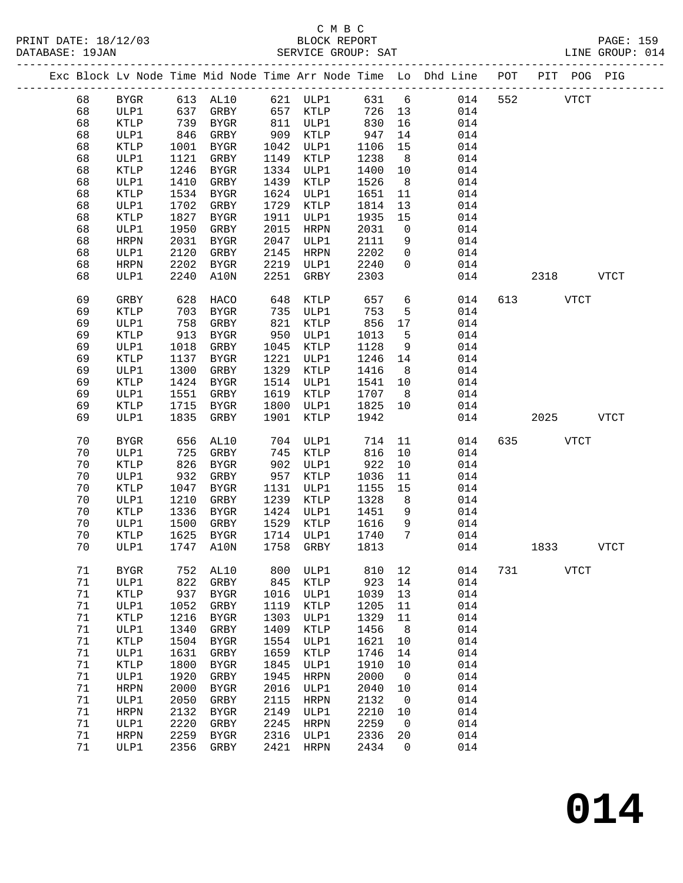#### C M B C<br>BLOCK REPORT SERVICE GROUP: SAT

|  |              |                 |              |                              |              |                     |              |                 | Exc Block Lv Node Time Mid Node Time Arr Node Time Lo Dhd Line POT<br>------------------------ |     |      | PIT POG PIG |             |
|--|--------------|-----------------|--------------|------------------------------|--------------|---------------------|--------------|-----------------|------------------------------------------------------------------------------------------------|-----|------|-------------|-------------|
|  | 68           | BYGR            | 613          | AL10                         |              | 621 ULP1            | 631          | $6\overline{6}$ | 014                                                                                            | 552 |      | <b>VTCT</b> |             |
|  | 68           | ULP1            | 637          | GRBY                         | 657          | KTLP                | 726          | 13              | 014                                                                                            |     |      |             |             |
|  | 68           | KTLP            | 739          | BYGR                         | 811          | ULP1                | 830          | 16              | 014                                                                                            |     |      |             |             |
|  | 68           | ULP1            | 846          | GRBY                         | 909          | KTLP                | 947          | 14              | 014                                                                                            |     |      |             |             |
|  | 68           | KTLP            | 1001         | BYGR                         | 1042         | ULP1                | 1106         | 15              | 014                                                                                            |     |      |             |             |
|  | 68           | ULP1            | 1121         | GRBY                         | 1149         | KTLP                | 1238         | 8               | 014                                                                                            |     |      |             |             |
|  | 68           | KTLP            | 1246         | BYGR                         | 1334         | ULP1                | 1400         | 10              | 014                                                                                            |     |      |             |             |
|  | 68           | ULP1            | 1410         | GRBY                         | 1439         | KTLP                | 1526         | 8               | 014                                                                                            |     |      |             |             |
|  | 68           | KTLP            | 1534         | BYGR                         | 1624         | ULP1                | 1651         | 11              | 014                                                                                            |     |      |             |             |
|  | 68           | ULP1            | 1702         | GRBY                         | 1729         | KTLP                | 1814         | 13              | 014                                                                                            |     |      |             |             |
|  | 68           | KTLP            | 1827         | BYGR                         | 1911         | ULP1                | 1935         | 15              | 014                                                                                            |     |      |             |             |
|  | 68           | ULP1            | 1950         | GRBY                         | 2015         | HRPN                | 2031         | $\mathsf{O}$    | 014                                                                                            |     |      |             |             |
|  | 68           | <b>HRPN</b>     | 2031         | BYGR                         | 2047         | ULP1                | 2111         | 9               | 014                                                                                            |     |      |             |             |
|  | 68           | ULP1            | 2120         | GRBY                         | 2145         | HRPN                | 2202         | $\mathbf 0$     | 014                                                                                            |     |      |             |             |
|  | 68           | <b>HRPN</b>     | 2202         | BYGR                         | 2219         | ULP1                | 2240         | $\Omega$        | 014                                                                                            |     |      |             |             |
|  | 68           | ULP1            | 2240         | A10N                         | 2251         | GRBY                | 2303         |                 | 014                                                                                            |     | 2318 |             | VTCT        |
|  | 69           | GRBY            | 628          | HACO                         | 648          | KTLP                | 657          | 6               | 014                                                                                            | 613 |      | <b>VTCT</b> |             |
|  | 69           | KTLP            | 703          | BYGR                         | 735          | ULP1                | 753          | 5               | 014                                                                                            |     |      |             |             |
|  | 69           | ULP1            | 758          | GRBY                         | 821          | KTLP                | 856          | 17              | 014                                                                                            |     |      |             |             |
|  | 69           | KTLP            | 913          | BYGR                         | 950          | ULP1                | 1013         | 5               | 014                                                                                            |     |      |             |             |
|  | 69           | ULP1            | 1018         | GRBY                         | 1045         | KTLP                | 1128         | 9               | 014                                                                                            |     |      |             |             |
|  | 69           | KTLP            | 1137         | BYGR                         | 1221         | ULP1                | 1246         | 14              | 014                                                                                            |     |      |             |             |
|  | 69           | ULP1            | 1300         | GRBY                         | 1329         | KTLP                | 1416         | 8               | 014                                                                                            |     |      |             |             |
|  | 69           | KTLP            | 1424         | BYGR                         | 1514         | ULP1                | 1541         | 10              | 014                                                                                            |     |      |             |             |
|  | 69           | ULP1            | 1551         | GRBY                         | 1619         | KTLP                | 1707         | 8               | 014                                                                                            |     |      |             |             |
|  | 69           | KTLP            | 1715         | BYGR                         | 1800         | ULP1                | 1825         | 10              | 014                                                                                            |     |      |             |             |
|  | 69           | ULP1            | 1835         | GRBY                         | 1901         | KTLP                | 1942         |                 | 014                                                                                            |     | 2025 |             | <b>VTCT</b> |
|  | 70           | <b>BYGR</b>     | 656          | AL10                         | 704          | ULP1                | 714          | 11              | 014                                                                                            | 635 |      | <b>VTCT</b> |             |
|  | 70           | ULP1            | 725          | GRBY                         | 745          | KTLP                | 816          | 10              | 014                                                                                            |     |      |             |             |
|  | 70           | KTLP            | 826          | BYGR                         | 902          | ULP1                | 922          | 10              | 014                                                                                            |     |      |             |             |
|  | 70           | ULP1            | 932          | GRBY                         | 957          | KTLP                | 1036         | 11              | 014                                                                                            |     |      |             |             |
|  | 70           | KTLP            | 1047         | BYGR                         | 1131         | ULP1                | 1155         | 15              | 014                                                                                            |     |      |             |             |
|  | 70           | ULP1            | 1210         | GRBY                         | 1239         | KTLP                | 1328         | 8               | 014                                                                                            |     |      |             |             |
|  | 70           | KTLP            | 1336         | BYGR                         | 1424         | ULP1                | 1451         | 9               | 014                                                                                            |     |      |             |             |
|  | 70           | ULP1            | 1500         | GRBY                         | 1529         | KTLP                | 1616         | 9               | 014                                                                                            |     |      |             |             |
|  | 70           | KTLP            | 1625         | BYGR                         | 1714         | ULP1                | 1740         | $7\phantom{.0}$ | 014                                                                                            |     |      |             |             |
|  | 70           | ULP1            | 1747         | A10N                         | 1758         | GRBY                | 1813         |                 | 014                                                                                            |     | 1833 |             | <b>VTCT</b> |
|  | 71           | BYGR            | 752          | AL10                         | 800          | ULP1                | 810          | 12              | 014                                                                                            | 731 |      | VTCT        |             |
|  | 71           | ULP1            | 822          | GRBY                         | 845          | KTLP                | 923          | 14              | 014                                                                                            |     |      |             |             |
|  | 71           | KTLP            | 937          | <b>BYGR</b>                  | 1016         | ULP1                | 1039         | 13              | 014                                                                                            |     |      |             |             |
|  | 71           | ULP1            | 1052         | GRBY                         | 1119         | $\texttt{KTLP}$     | 1205         | 11              | 014                                                                                            |     |      |             |             |
|  | 71           | $\texttt{KTLP}$ | 1216         | <b>BYGR</b>                  | 1303         | ULP1                | 1329         | 11              | 014                                                                                            |     |      |             |             |
|  | 71           | ULP1            | 1340         | GRBY                         | 1409         | KTLP                | 1456         | 8               | 014                                                                                            |     |      |             |             |
|  | 71           | $\texttt{KTLP}$ | 1504         | ${\tt BYGR}$                 | 1554         | $_{\rm ULP1}$       | 1621         | 10              | 014                                                                                            |     |      |             |             |
|  | 71           | ULP1            | 1631         | GRBY                         | 1659         | $\texttt{KTLP}$     | 1746         | 14              | 014                                                                                            |     |      |             |             |
|  | 71           | $\texttt{KTLP}$ | 1800         | ${\tt BYGR}$                 | 1845         | ULP1                | 1910         | 10              | 014                                                                                            |     |      |             |             |
|  | 71           | ULP1            | 1920         | GRBY                         | 1945         | <b>HRPN</b>         | 2000         | $\mathsf{O}$    | 014                                                                                            |     |      |             |             |
|  | 71           | HRPN            | 2000         | BYGR                         | 2016         | ULP1                | 2040         | 10              | 014                                                                                            |     |      |             |             |
|  | 71<br>$71\,$ | ULP1            | 2050<br>2132 | GRBY                         | 2115         | HRPN                | 2132<br>2210 | 0               | 014<br>014                                                                                     |     |      |             |             |
|  | 71           | HRPN<br>ULP1    | 2220         | ${\tt BYGR}$<br>${\tt GRBY}$ | 2149<br>2245 | ULP1<br><b>HRPN</b> | 2259         | 10<br>0         | 014                                                                                            |     |      |             |             |
|  | 71           | HRPN            | 2259         | ${\tt BYGR}$                 | 2316         | ULP1                | 2336         | 20              | 014                                                                                            |     |      |             |             |
|  | 71           | ULP1            | 2356         | GRBY                         | 2421         | HRPN                | 2434         | 0               | 014                                                                                            |     |      |             |             |
|  |              |                 |              |                              |              |                     |              |                 |                                                                                                |     |      |             |             |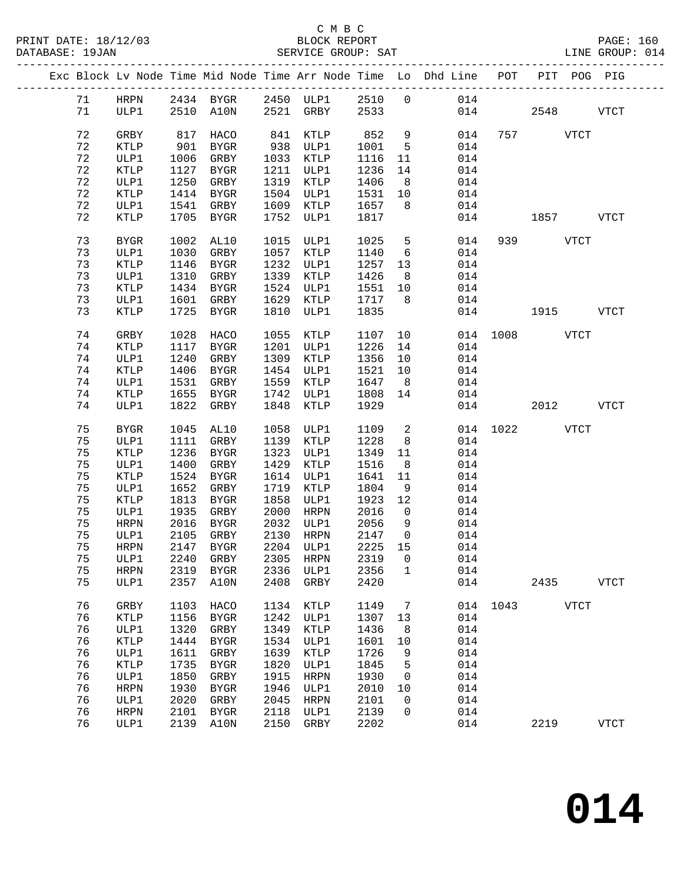|  |             |                 |              |              |              |              |                 |                 | Exc Block Lv Node Time Mid Node Time Arr Node Time Lo Dhd Line POT                     |               |           | PIT POG PIG  |
|--|-------------|-----------------|--------------|--------------|--------------|--------------|-----------------|-----------------|----------------------------------------------------------------------------------------|---------------|-----------|--------------|
|  | 71          |                 |              |              |              |              |                 |                 |                                                                                        |               |           |              |
|  | 71          |                 |              |              |              |              |                 |                 | HRPN 2434 BYGR 2450 ULP1 2510 0    014<br>ULP1   2510 A10N   2521 GRBY   2533      014 | 014           | 2548 VTCT |              |
|  |             |                 |              |              |              |              |                 |                 |                                                                                        |               |           |              |
|  | 72          | GRBY            | 817          | HACO         |              | 841 KTLP     | 852             | 9               | 014                                                                                    |               | 757 VTCT  |              |
|  | 72          | KTLP            | 901          | BYGR         |              | 938 ULP1     | 1001            | $5^{\circ}$     | 014                                                                                    |               |           |              |
|  | 72          | ULP1            | 1006         | GRBY         |              | 1033 KTLP    | 1116            | 11              | 014                                                                                    |               |           |              |
|  | 72          | KTLP            | 1127         | BYGR         |              | 1211 ULP1    | 1236            | 14              | 014                                                                                    |               |           |              |
|  | $7\sqrt{2}$ | ULP1            | 1250         | GRBY         |              | 1319 KTLP    | 1406            | 8 <sup>8</sup>  | 014                                                                                    |               |           |              |
|  | 72          | KTLP            | 1414         | BYGR         |              | 1504 ULP1    | 1531 10         |                 | 014                                                                                    |               |           |              |
|  | 72          | ULP1            |              | 1541 GRBY    |              | 1609 KTLP    | 1657 8          |                 | 014                                                                                    |               |           |              |
|  | 72          | KTLP            |              | 1705 BYGR    |              | 1752 ULP1    | 1817            |                 | 014                                                                                    |               | 1857 VTCT |              |
|  | 73          | BYGR            | 1002         | AL10         |              | 1015 ULP1    | 1025            | $5^{\circ}$     | 014                                                                                    |               | 939 VTCT  |              |
|  | 73          | ULP1            | 1030         | GRBY         |              | 1057 KTLP    | 1140            | $6\overline{6}$ | 014                                                                                    |               |           |              |
|  | 73          | KTLP            | 1146         | BYGR         |              | 1232 ULP1    | 1257 13         |                 | 014                                                                                    |               |           |              |
|  | 73          | ULP1            | 1310         | GRBY         |              | 1339 KTLP    | 1426            | 8 <sup>8</sup>  | 014                                                                                    |               |           |              |
|  | 73          | KTLP            | 1434         | BYGR         |              | 1524 ULP1    | 1551 10         |                 | 014                                                                                    |               |           |              |
|  | 73          | ULP1            |              | 1601 GRBY    |              | 1629 KTLP    | 1717 8          |                 | 014                                                                                    |               |           |              |
|  | 73          | KTLP            |              | 1725 BYGR    | 1810         | ULP1         | 1835            |                 | 014                                                                                    |               | 1915 VTCT |              |
|  | 74          | GRBY            | 1028         | HACO         | 1055         | KTLP         | 1107            | 10              |                                                                                        | 014 1008 VTCT |           |              |
|  | 74          | KTLP            | 1117         | BYGR         |              | 1201 ULP1    | 1226            | 14              | 014                                                                                    |               |           |              |
|  | 74          | ULP1            | 1240         | GRBY         |              | 1309 KTLP    | 1356 10         |                 | 014                                                                                    |               |           |              |
|  | 74          | KTLP            | 1406         | BYGR         |              | 1454 ULP1    | 1521            | 10              | 014                                                                                    |               |           |              |
|  | 74          | ULP1            | 1531         | GRBY         |              | 1559 KTLP    | 1647            | 8 <sup>8</sup>  | 014                                                                                    |               |           |              |
|  | 74          | KTLP            | 1655         | BYGR         |              | 1742 ULP1    | 1808 14         |                 | 014                                                                                    |               |           |              |
|  | 74          | ULP1            | 1822         | GRBY         | 1848         | KTLP         | 1929            |                 | 014                                                                                    |               | 2012 VTCT |              |
|  |             |                 |              |              |              |              |                 |                 |                                                                                        |               |           |              |
|  | 75          | BYGR            | 1045         | AL10         | 1058         | ULP1         | 1109            | $\overline{a}$  |                                                                                        | 014 1022 VTCT |           |              |
|  | 75          | ULP1            | 1111         | GRBY         |              | 1139 KTLP    | 1228            | 8 <sup>8</sup>  | 014                                                                                    |               |           |              |
|  | 75          | $\texttt{KTLP}$ | 1236         | BYGR         | 1323         | ULP1         | 1349            | 11              | 014                                                                                    |               |           |              |
|  | 75          | ULP1            | 1400         | GRBY         | 1429         | KTLP         | 1516            | 8 <sup>8</sup>  | 014                                                                                    |               |           |              |
|  | 75          | KTLP            | 1524         | BYGR         |              | 1614 ULP1    | 1641            | 11              | 014                                                                                    |               |           |              |
|  | 75<br>75    | ULP1            | 1652         | GRBY         | 1719         | KTLP         | 1804            | 9               | 014                                                                                    |               |           |              |
|  | 75          | KTLP<br>ULP1    | 1813<br>1935 | BYGR<br>GRBY | 1858<br>2000 | ULP1<br>HRPN | 1923 12<br>2016 | $\overline{0}$  | 014<br>014                                                                             |               |           |              |
|  | 75          | HRPN            | 2016         | BYGR         |              | 2032 ULP1    | 2056            | 9               | 014                                                                                    |               |           |              |
|  | 75          | ULP1            | 2105         | GRBY         |              | 2130 HRPN    | 2147            | $\overline{0}$  | 014                                                                                    |               |           |              |
|  | 75          | HRPN            |              | 2147 BYGR    |              | $2204$ ULP1  | 2225 15         |                 | 014                                                                                    |               |           |              |
|  |             |                 |              |              |              |              |                 |                 | 75 ULP1 2240 GRBY 2305 HRPN 2319 0 014                                                 |               |           |              |
|  | 75          | HRPN            | 2319         | BYGR         |              | 2336 ULP1    | 2356            | $\mathbf 1$     | 014                                                                                    |               |           |              |
|  | 75          | ULP1            | 2357         | A10N         | 2408         | GRBY         | 2420            |                 | 014                                                                                    |               | 2435      | <b>VTCT</b>  |
|  |             |                 |              |              |              |              |                 |                 |                                                                                        |               |           |              |
|  | 76          | GRBY            | 1103         | HACO         | 1134         | KTLP         | 1149            | $\overline{7}$  |                                                                                        | 014 1043 VTCT |           |              |
|  | 76<br>76    | KTLP            | 1156         | BYGR         | 1242<br>1349 | ULP1         | 1307            | 13              | 014                                                                                    |               |           |              |
|  | 76          | ULP1<br>KTLP    | 1320<br>1444 | GRBY<br>BYGR | 1534         | KTLP<br>ULP1 | 1436<br>1601    | 8<br>10         | 014<br>014                                                                             |               |           |              |
|  | 76          | ULP1            | 1611         | GRBY         | 1639         | KTLP         | 1726            | 9               | 014                                                                                    |               |           |              |
|  | 76          | KTLP            | 1735         | BYGR         | 1820         | ULP1         | 1845            | 5               | 014                                                                                    |               |           |              |
|  | 76          | ULP1            | 1850         | GRBY         | 1915         | HRPN         | 1930            | $\overline{0}$  | 014                                                                                    |               |           |              |
|  | 76          | <b>HRPN</b>     | 1930         | BYGR         | 1946         | ULP1         | 2010            | 10              | 014                                                                                    |               |           |              |
|  | 76          | ULP1            | 2020         | GRBY         | 2045         | HRPN         | 2101            | $\overline{0}$  | 014                                                                                    |               |           |              |
|  | 76          | HRPN            | 2101         | BYGR         | 2118         | ULP1         | 2139            | $\overline{0}$  | $014$                                                                                  |               |           |              |
|  | 76          | ULP1            |              | 2139 A10N    | 2150         | GRBY         | 2202            |                 | 014                                                                                    |               | 2219      | ${\tt VTCT}$ |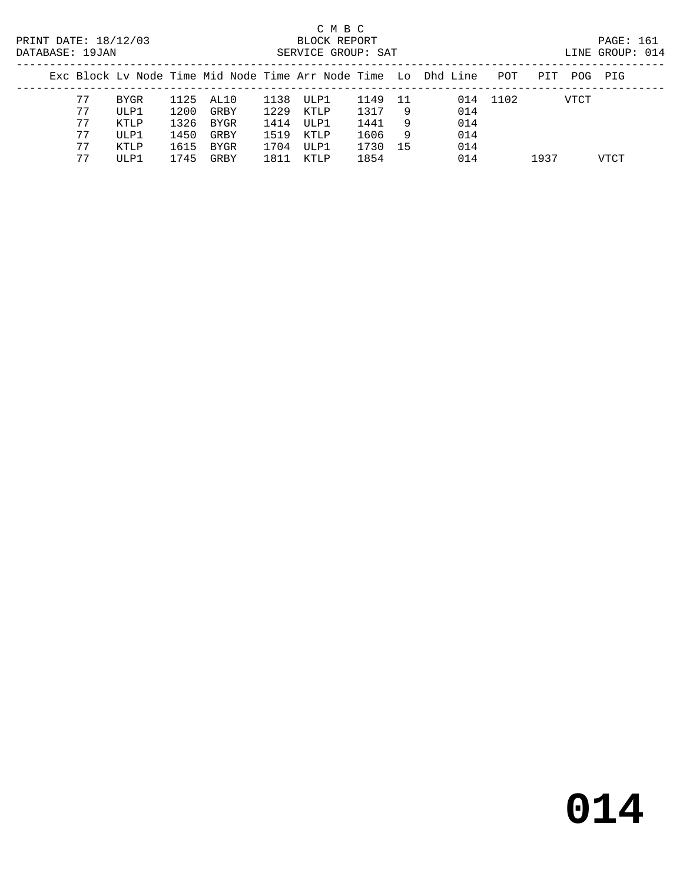# C M B C

|  | DATABASE: 19JAN |       |      |           |      | SERVICE GROUP: SAT |      |    |                                                                |          |     |      | LINE GROUP: 014 |  |
|--|-----------------|-------|------|-----------|------|--------------------|------|----|----------------------------------------------------------------|----------|-----|------|-----------------|--|
|  |                 |       |      |           |      |                    |      |    | Exc Block Ly Node Time Mid Node Time Arr Node Time Lo Dhd Line | POT      | PIT |      | POG PIG         |  |
|  | 77              | BYGR  |      | 1125 AL10 |      | 1138 ULP1          | 1149 | 11 |                                                                | 014 1102 |     | VTCT |                 |  |
|  | 77              | ULP1  | 1200 | GRBY      | 1229 | KTLP               | 1317 | 9  | 014                                                            |          |     |      |                 |  |
|  | 77              | KTLP  | 1326 | BYGR      | 1414 | ULP1               | 1441 | 9  | 014                                                            |          |     |      |                 |  |
|  | 77              | ULP1  | 1450 | GRBY      | 1519 | KTI P              | 1606 | 9  | 014                                                            |          |     |      |                 |  |
|  | 77              | KTI P | 1615 | BYGR      | 1704 | ULP1               | 1730 | 15 | 014                                                            |          |     |      |                 |  |

77 ULP1 1745 GRBY 1811 KTLP 1854 014 1937 VTCT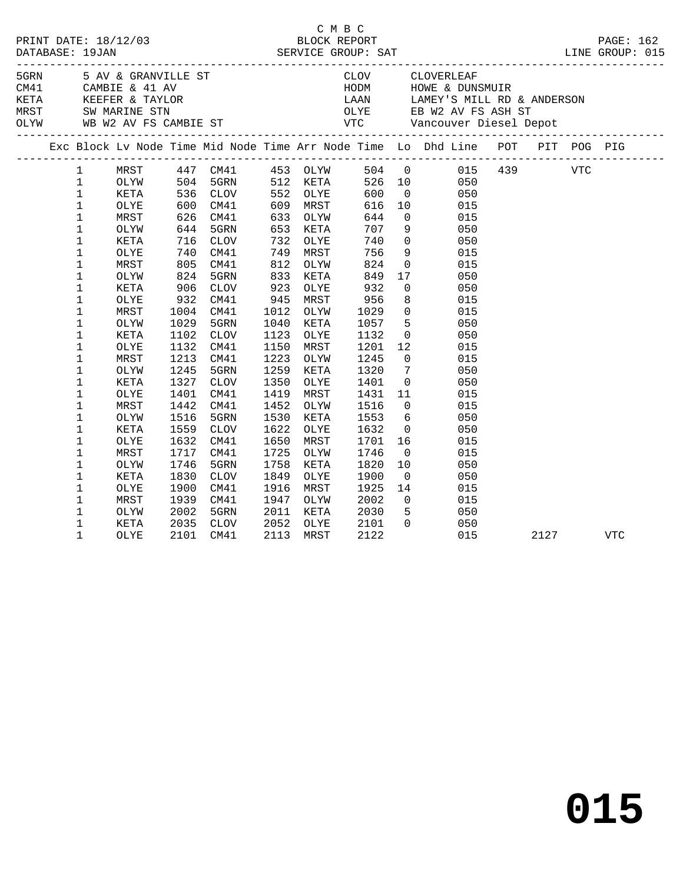|  |              |      |            |                                  |                 |      |                     | C M B C<br>PRINT DATE: 18/12/03 BLOCK REPORT PAGE: 162<br>DATABASE: 19JAN SERVICE GROUP: SAT LINE GROUP: 015      |      |            |
|--|--------------|------|------------|----------------------------------|-----------------|------|---------------------|-------------------------------------------------------------------------------------------------------------------|------|------------|
|  |              |      |            |                                  |                 |      |                     |                                                                                                                   |      |            |
|  |              |      |            |                                  |                 |      |                     |                                                                                                                   |      |            |
|  |              |      |            |                                  |                 |      |                     |                                                                                                                   |      |            |
|  |              |      |            |                                  |                 |      |                     | Exc Block Lv Node Time Mid Node Time Arr Node Time Lo Dhd Line POT PIT POG PIG                                    |      |            |
|  | $\mathbf{1}$ |      |            |                                  |                 |      |                     | MRST 447 CM41 453 OLYW 504 0 015 439 VTC<br>OLYW 504 5GRN 512 KETA 526 10 050<br>KETA 536 CLOV 552 OLYE 600 0 050 |      |            |
|  | $\mathbf{1}$ |      |            |                                  |                 |      |                     |                                                                                                                   |      |            |
|  | $\mathbf{1}$ |      |            |                                  |                 |      |                     |                                                                                                                   |      |            |
|  | $\mathbf{1}$ | OLYE |            | 600 CM41<br>626 CM41<br>644 5GRN | 609             | MRST | 616                 | 10 015                                                                                                            |      |            |
|  | $\mathbf{1}$ | MRST |            |                                  | 633             | OLYW | 644                 |                                                                                                                   |      |            |
|  | $\mathbf 1$  | OLYW |            |                                  | 653             | KETA | 707                 | 0 015<br>9 050                                                                                                    |      |            |
|  | $\mathbf 1$  | KETA | 716        | <b>CLOV</b>                      | 732             | OLYE | 740                 | $0\qquad \qquad 050$                                                                                              |      |            |
|  | $\mathbf 1$  | OLYE | 740<br>805 | CM41                             | 749             | MRST | 756                 |                                                                                                                   |      |            |
|  | $\mathbf 1$  | MRST |            | CM41                             | $\frac{1}{812}$ | OLYW | 824                 | 9 015<br>0 015                                                                                                    |      |            |
|  | 1            | OLYW | 824        | 5GRN                             | 833             | KETA | 849                 | 17 050                                                                                                            |      |            |
|  | 1            | KETA |            | CLOV                             | 923             | OLYE | 932                 |                                                                                                                   |      |            |
|  | $\mathbf 1$  | OLYE | 906<br>932 | CM41                             | 945             | MRST |                     | $\begin{array}{ccc} 0 & \hspace{1.5cm} & 050 \\ 8 & \hspace{1.5cm} & 015 \end{array}$<br>8<br>015                 |      |            |
|  | 1            | MRST | 1004       | CM41                             | 1012            | OLYW | 956<br>1029<br>1029 | $0$ $015$                                                                                                         |      |            |
|  | $\mathbf 1$  | OLYW | 1029       | 5GRN                             | 1040            | KETA | 1057                | 5 050                                                                                                             |      |            |
|  | $\mathbf 1$  | KETA | 1102       | CLOV                             | 1123            | OLYE | 1132                |                                                                                                                   |      |            |
|  | $\mathbf 1$  | OLYE | 1132       | CM41                             | 1150            | MRST | 1201                | $\begin{array}{ccc} 0 & \quad & 050 \\ 12 & \quad & 015 \end{array}$                                              |      |            |
|  | $\mathbf 1$  | MRST | 1213       | CM41                             | 1223            | OLYW | 1245                | $0$ 015                                                                                                           |      |            |
|  | $\mathbf 1$  | OLYW | 1245       | 5GRN                             | 1259            | KETA | 1320                |                                                                                                                   |      |            |
|  | $\mathbf 1$  | KETA | 1327       | <b>CLOV</b>                      | 1350            | OLYE | 1401                |                                                                                                                   |      |            |
|  | $\mathbf 1$  | OLYE | 1401       | CM41                             | 1419            | MRST |                     | 1431 11<br>015                                                                                                    |      |            |
|  | $\mathbf 1$  | MRST | 1442       | CM41                             | 1452            | OLYW | 1516                | $\overline{0}$<br>015                                                                                             |      |            |
|  | $\mathbf 1$  | OLYW | 1516       | 5GRN                             | 1530            | KETA | 1553                | 050                                                                                                               |      |            |
|  | $\mathbf 1$  | KETA | 1559       | CLOV                             | 1622            | OLYE | 1632                | $\begin{array}{c} 6 \\ 0 \end{array}$<br>050                                                                      |      |            |
|  | $\mathbf 1$  | OLYE | 1632       | CM41                             | 1650            | MRST | 1701                | 16 10<br>015                                                                                                      |      |            |
|  | $\mathbf 1$  | MRST | 1717       | CM41                             | 1725            | OLYW | 1746                | 015                                                                                                               |      |            |
|  | $\mathbf 1$  | OLYW | 1746       | 5GRN                             | 1758            | KETA | 1820                | $\begin{array}{c} 0 \\ 10 \end{array}$<br>050                                                                     |      |            |
|  | 1            | KETA | 1830       | CLOV                             | 1849            | OLYE | 1900                | $\overline{0}$<br>050                                                                                             |      |            |
|  | 1            | OLYE | 1900       | CM41                             | 1916            | MRST | 1925                |                                                                                                                   |      |            |
|  | $\mathbf 1$  | MRST | 1939       | CM41                             | 1947            | OLYW | 2002                | $\begin{array}{ccc} 14 & & & 015 \\ 0 & & & 015 \\ 5 & & & 050 \end{array}$                                       |      |            |
|  | $\mathbf 1$  | OLYW | 2002       | 5GRN                             | 2011            | KETA | 2030                |                                                                                                                   |      |            |
|  | $\mathbf 1$  | KETA | 2035       | CLOV                             | 2052            | OLYE | 2101                | $0\qquad \qquad 050$                                                                                              |      |            |
|  | $\mathbf 1$  | OLYE | 2101       | CM41                             | 2113            | MRST | 2122                | 015                                                                                                               | 2127 | <b>VTC</b> |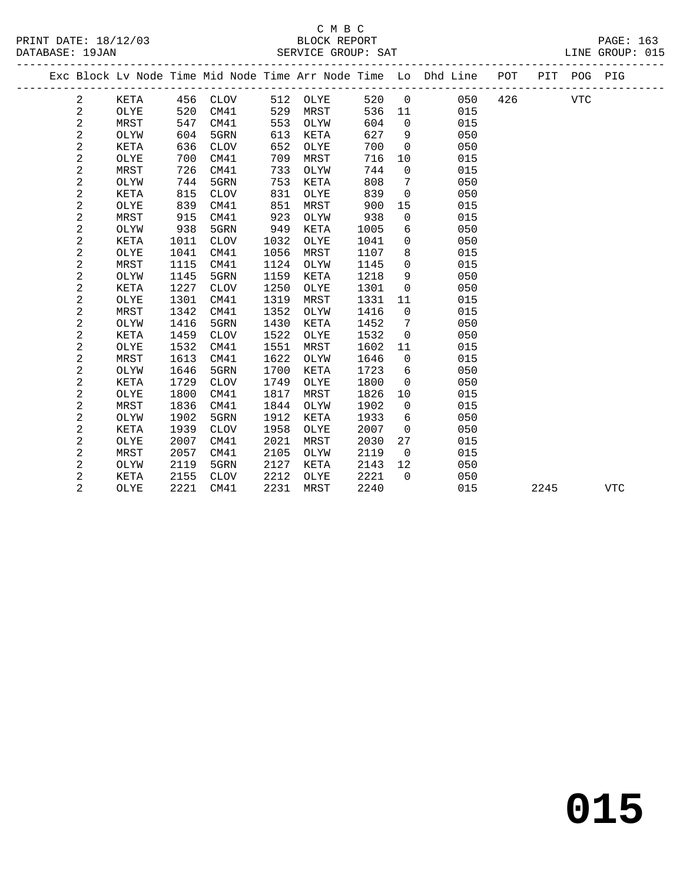|  |                |             |      |             |      |      |      |              | Exc Block Lv Node Time Mid Node Time Arr Node Time Lo Dhd Line | POT |      | PIT POG PIG |              |
|--|----------------|-------------|------|-------------|------|------|------|--------------|----------------------------------------------------------------|-----|------|-------------|--------------|
|  | 2              | KETA        | 456  | CLOV        | 512  | OLYE | 520  | $\mathbf 0$  | 050                                                            | 426 |      | <b>VTC</b>  |              |
|  | 2              | OLYE        | 520  | CM41        | 529  | MRST | 536  | 11           | 015                                                            |     |      |             |              |
|  | $\overline{a}$ | MRST        | 547  | CM41        | 553  | OLYW | 604  | 0            | 015                                                            |     |      |             |              |
|  | $\overline{a}$ | OLYW        | 604  | 5GRN        | 613  | KETA | 627  | 9            | 050                                                            |     |      |             |              |
|  | $\overline{a}$ | KETA        | 636  | <b>CLOV</b> | 652  | OLYE | 700  | $\Omega$     | 050                                                            |     |      |             |              |
|  | $\overline{a}$ | OLYE        | 700  | CM41        | 709  | MRST | 716  | 10           | 015                                                            |     |      |             |              |
|  | $\overline{a}$ | MRST        | 726  | CM41        | 733  | OLYW | 744  | 0            | 015                                                            |     |      |             |              |
|  | 2              | OLYW        | 744  | 5GRN        | 753  | KETA | 808  | 7            | 050                                                            |     |      |             |              |
|  | $\sqrt{2}$     | <b>KETA</b> | 815  | <b>CLOV</b> | 831  | OLYE | 839  | 0            | 050                                                            |     |      |             |              |
|  | $\overline{a}$ | OLYE        | 839  | CM41        | 851  | MRST | 900  | 15           | 015                                                            |     |      |             |              |
|  | $\sqrt{2}$     | MRST        | 915  | CM41        | 923  | OLYW | 938  | 0            | 015                                                            |     |      |             |              |
|  | $\sqrt{2}$     | OLYW        | 938  | 5GRN        | 949  | KETA | 1005 | 6            | 050                                                            |     |      |             |              |
|  | $\sqrt{2}$     | KETA        | 1011 | <b>CLOV</b> | 1032 | OLYE | 1041 | 0            | 050                                                            |     |      |             |              |
|  | $\sqrt{2}$     | OLYE        | 1041 | CM41        | 1056 | MRST | 1107 | 8            | 015                                                            |     |      |             |              |
|  | $\sqrt{2}$     | MRST        | 1115 | CM41        | 1124 | OLYW | 1145 | $\mathbf 0$  | 015                                                            |     |      |             |              |
|  | $\sqrt{2}$     | OLYW        | 1145 | 5GRN        | 1159 | KETA | 1218 | 9            | 050                                                            |     |      |             |              |
|  | $\sqrt{2}$     | KETA        | 1227 | <b>CLOV</b> | 1250 | OLYE | 1301 | 0            | 050                                                            |     |      |             |              |
|  | $\overline{a}$ | OLYE        | 1301 | CM41        | 1319 | MRST | 1331 | 11           | 015                                                            |     |      |             |              |
|  | $\sqrt{2}$     | MRST        | 1342 | CM41        | 1352 | OLYW | 1416 | 0            | 015                                                            |     |      |             |              |
|  | $\sqrt{2}$     | OLYW        | 1416 | 5GRN        | 1430 | KETA | 1452 | 7            | 050                                                            |     |      |             |              |
|  | $\mathbf{2}$   | KETA        | 1459 | <b>CLOV</b> | 1522 | OLYE | 1532 | 0            | 050                                                            |     |      |             |              |
|  | $\mathbf{2}$   | OLYE        | 1532 | CM41        | 1551 | MRST | 1602 | 11           | 015                                                            |     |      |             |              |
|  | 2              | MRST        | 1613 | CM41        | 1622 | OLYW | 1646 | $\mathbf{0}$ | 015                                                            |     |      |             |              |
|  | 2              | OLYW        | 1646 | 5GRN        | 1700 | KETA | 1723 | 6            | 050                                                            |     |      |             |              |
|  | 2              | KETA        | 1729 | <b>CLOV</b> | 1749 | OLYE | 1800 | 0            | 050                                                            |     |      |             |              |
|  | $\mathbf{2}$   | OLYE        | 1800 | CM41        | 1817 | MRST | 1826 | 10           | 015                                                            |     |      |             |              |
|  | $\mathbf{2}$   | MRST        | 1836 | CM41        | 1844 | OLYW | 1902 | $\mathbf 0$  | 015                                                            |     |      |             |              |
|  | $\mathbf{2}$   | OLYW        | 1902 | 5GRN        | 1912 | KETA | 1933 | 6            | 050                                                            |     |      |             |              |
|  | $\mathbf{2}$   | KETA        | 1939 | <b>CLOV</b> | 1958 | OLYE | 2007 | $\Omega$     | 050                                                            |     |      |             |              |
|  | $\mathbf{2}$   | OLYE        | 2007 | CM41        | 2021 | MRST | 2030 | 27           | 015                                                            |     |      |             |              |
|  | $\mathbf{2}$   | MRST        | 2057 | CM41        | 2105 | OLYW | 2119 | $\mathbf 0$  | 015                                                            |     |      |             |              |
|  | 2              | OLYW        | 2119 | 5GRN        | 2127 | KETA | 2143 | 12           | 050                                                            |     |      |             |              |
|  | 2              | KETA        | 2155 | <b>CLOV</b> | 2212 | OLYE | 2221 | $\Omega$     | 050                                                            |     |      |             |              |
|  | $\overline{2}$ | OLYE        | 2221 | CM41        | 2231 | MRST | 2240 |              | 015                                                            |     | 2245 |             | $_{\rm VTC}$ |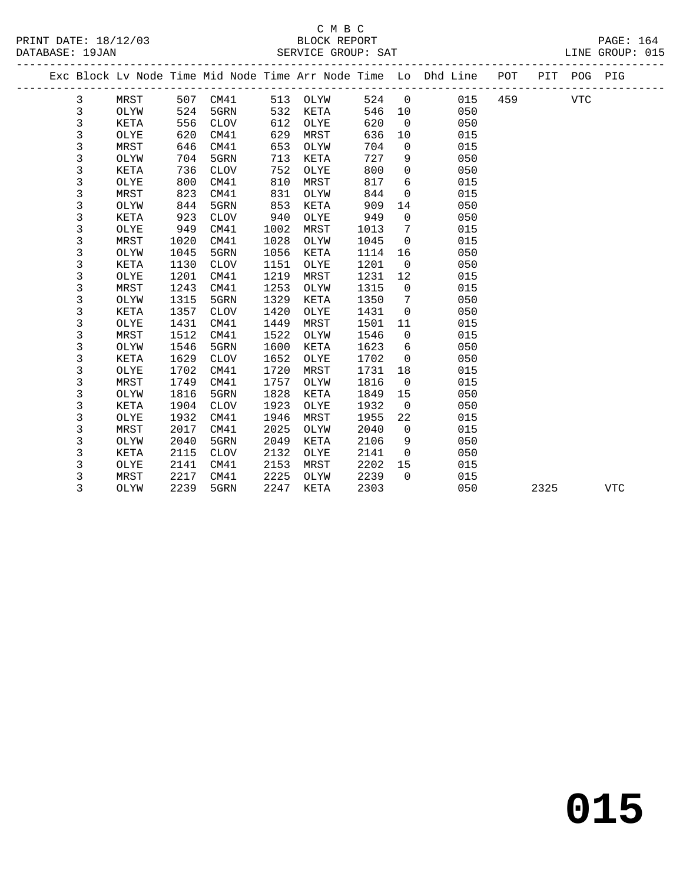|  |             |             |      |             |      |             |      |             | Exc Block Lv Node Time Mid Node Time Arr Node Time Lo Dhd Line | POT |      | PIT POG PIG |            |  |
|--|-------------|-------------|------|-------------|------|-------------|------|-------------|----------------------------------------------------------------|-----|------|-------------|------------|--|
|  | 3           | MRST        | 507  | CM41        | 513  | OLYW        | 524  | $\mathbf 0$ | 015                                                            | 459 |      | <b>VTC</b>  |            |  |
|  | 3           | OLYW        | 524  | 5GRN        | 532  | KETA        | 546  | 10          | 050                                                            |     |      |             |            |  |
|  | $\mathsf 3$ | KETA        | 556  | <b>CLOV</b> | 612  | OLYE        | 620  | $\mathbf 0$ | 050                                                            |     |      |             |            |  |
|  | 3           | OLYE        | 620  | CM41        | 629  | MRST        | 636  | 10          | 015                                                            |     |      |             |            |  |
|  | 3           | <b>MRST</b> | 646  | CM41        | 653  | OLYW        | 704  | 0           | 015                                                            |     |      |             |            |  |
|  | 3           | OLYW        | 704  | 5GRN        | 713  | KETA        | 727  | 9           | 050                                                            |     |      |             |            |  |
|  | $\mathsf 3$ | KETA        | 736  | <b>CLOV</b> | 752  | OLYE        | 800  | 0           | 050                                                            |     |      |             |            |  |
|  | 3           | OLYE        | 800  | CM41        | 810  | MRST        | 817  | 6           | 015                                                            |     |      |             |            |  |
|  | $\mathsf 3$ | <b>MRST</b> | 823  | CM41        | 831  | OLYW        | 844  | 0           | 015                                                            |     |      |             |            |  |
|  | 3           | OLYW        | 844  | 5GRN        | 853  | KETA        | 909  | 14          | 050                                                            |     |      |             |            |  |
|  | 3           | KETA        | 923  | <b>CLOV</b> | 940  | OLYE        | 949  | 0           | 050                                                            |     |      |             |            |  |
|  | 3           | OLYE        | 949  | CM41        | 1002 | MRST        | 1013 | 7           | 015                                                            |     |      |             |            |  |
|  | 3           | MRST        | 1020 | CM41        | 1028 | OLYW        | 1045 | 0           | 015                                                            |     |      |             |            |  |
|  | 3           | OLYW        | 1045 | 5GRN        | 1056 | KETA        | 1114 | 16          | 050                                                            |     |      |             |            |  |
|  | 3           | <b>KETA</b> | 1130 | <b>CLOV</b> | 1151 | OLYE        | 1201 | $\mathbf 0$ | 050                                                            |     |      |             |            |  |
|  | 3           | OLYE        | 1201 | CM41        | 1219 | MRST        | 1231 | 12          | 015                                                            |     |      |             |            |  |
|  | 3           | MRST        | 1243 | CM41        | 1253 | OLYW        | 1315 | $\mathbf 0$ | 015                                                            |     |      |             |            |  |
|  | 3           | OLYW        | 1315 | 5GRN        | 1329 | KETA        | 1350 | 7           | 050                                                            |     |      |             |            |  |
|  | 3           | KETA        | 1357 | <b>CLOV</b> | 1420 | OLYE        | 1431 | 0           | 050                                                            |     |      |             |            |  |
|  | 3           | OLYE        | 1431 | CM41        | 1449 | MRST        | 1501 | 11          | 015                                                            |     |      |             |            |  |
|  | 3           | MRST        | 1512 | CM41        | 1522 | OLYW        | 1546 | $\Omega$    | 015                                                            |     |      |             |            |  |
|  | 3           | OLYW        | 1546 | 5GRN        | 1600 | KETA        | 1623 | 6           | 050                                                            |     |      |             |            |  |
|  | 3           | KETA        | 1629 | <b>CLOV</b> | 1652 | OLYE        | 1702 | $\Omega$    | 050                                                            |     |      |             |            |  |
|  | 3           | OLYE        | 1702 | CM41        | 1720 | MRST        | 1731 | 18          | 015                                                            |     |      |             |            |  |
|  | 3           | MRST        | 1749 | CM41        | 1757 | OLYW        | 1816 | $\mathbf 0$ | 015                                                            |     |      |             |            |  |
|  | 3           | OLYW        | 1816 | 5GRN        | 1828 | KETA        | 1849 | 15          | 050                                                            |     |      |             |            |  |
|  | $\mathsf 3$ | KETA        | 1904 | <b>CLOV</b> | 1923 | OLYE        | 1932 | $\mathbf 0$ | 050                                                            |     |      |             |            |  |
|  | 3           | OLYE        | 1932 | CM41        | 1946 | MRST        | 1955 | 22          | 015                                                            |     |      |             |            |  |
|  | 3           | MRST        | 2017 | CM41        | 2025 | OLYW        | 2040 | $\mathbf 0$ | 015                                                            |     |      |             |            |  |
|  | 3           | OLYW        | 2040 | 5GRN        | 2049 | <b>KETA</b> | 2106 | 9           | 050                                                            |     |      |             |            |  |
|  | 3           | KETA        | 2115 | <b>CLOV</b> | 2132 | OLYE        | 2141 | $\mathbf 0$ | 050                                                            |     |      |             |            |  |
|  | 3           | OLYE        | 2141 | CM41        | 2153 | MRST        | 2202 | 15          | 015                                                            |     |      |             |            |  |
|  | 3           | MRST        | 2217 | CM41        | 2225 | OLYW        | 2239 | $\Omega$    | 015                                                            |     |      |             |            |  |
|  | 3           | OLYW        | 2239 | 5GRN        | 2247 | KETA        | 2303 |             | 050                                                            |     | 2325 |             | <b>VTC</b> |  |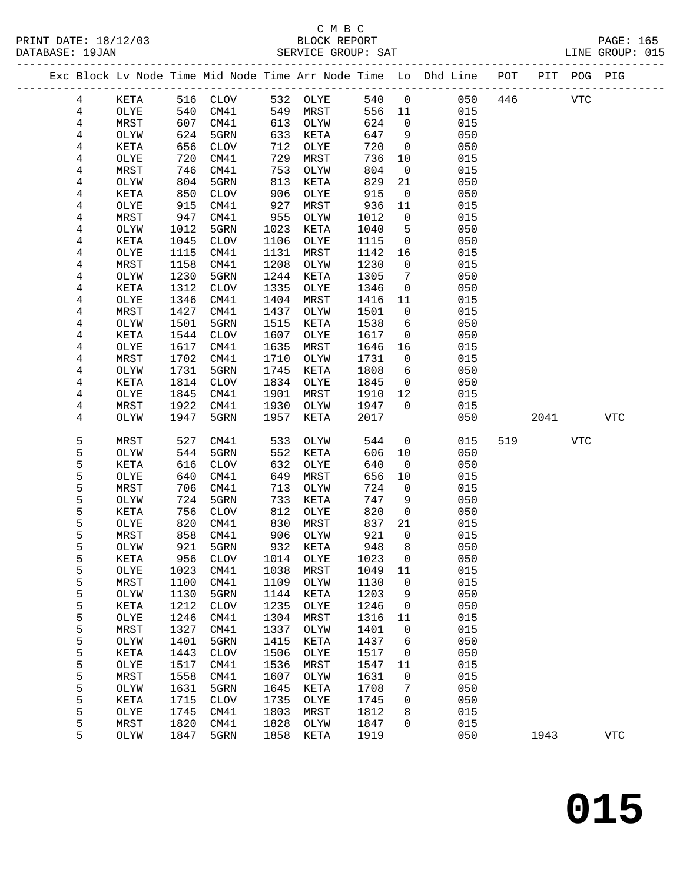#### C M B C<br>BLOCK REPORT SERVICE GROUP: SAT

|  |        |      |      | -------------------- |      |          |      |                | ----------------------                                             |     |      |             |            |  |
|--|--------|------|------|----------------------|------|----------|------|----------------|--------------------------------------------------------------------|-----|------|-------------|------------|--|
|  |        |      |      |                      |      |          |      |                | Exc Block Lv Node Time Mid Node Time Arr Node Time Lo Dhd Line POT |     |      | PIT POG PIG |            |  |
|  | 4      | KETA |      | 516 CLOV             |      | 532 OLYE | 540  | $\mathbf 0$    | 050                                                                | 446 |      | <b>VTC</b>  |            |  |
|  | 4      | OLYE | 540  | CM41                 | 549  | MRST     | 556  | 11             | 015                                                                |     |      |             |            |  |
|  | 4      | MRST | 607  | CM41                 | 613  | OLYW     | 624  | $\overline{0}$ | 015                                                                |     |      |             |            |  |
|  | 4      | OLYW | 624  | 5GRN                 | 633  | KETA     | 647  | 9              | 050                                                                |     |      |             |            |  |
|  | 4      | KETA | 656  | CLOV                 | 712  | OLYE     | 720  | $\overline{0}$ | 050                                                                |     |      |             |            |  |
|  | 4      | OLYE | 720  | CM41                 | 729  | MRST     | 736  | 10             | 015                                                                |     |      |             |            |  |
|  | 4      | MRST | 746  | CM41                 | 753  | OLYW     | 804  | $\mathsf{O}$   | 015                                                                |     |      |             |            |  |
|  | 4      | OLYW | 804  | 5GRN                 | 813  | KETA     | 829  | 21             | 050                                                                |     |      |             |            |  |
|  | 4      | KETA | 850  | CLOV                 | 906  | OLYE     | 915  | $\mathbf 0$    | 050                                                                |     |      |             |            |  |
|  | 4      | OLYE | 915  | CM41                 | 927  | MRST     | 936  | 11             | 015                                                                |     |      |             |            |  |
|  | 4      | MRST | 947  | CM41                 | 955  | OLYW     | 1012 | $\mathbf 0$    | 015                                                                |     |      |             |            |  |
|  | 4      | OLYW | 1012 | 5GRN                 | 1023 | KETA     | 1040 | 5              | 050                                                                |     |      |             |            |  |
|  | 4      | KETA | 1045 | CLOV                 | 1106 | OLYE     | 1115 | $\overline{0}$ | 050                                                                |     |      |             |            |  |
|  | 4      | OLYE | 1115 | CM41                 | 1131 | MRST     | 1142 | 16             | 015                                                                |     |      |             |            |  |
|  | 4      | MRST | 1158 | CM41                 | 1208 | OLYW     | 1230 | $\mathsf{O}$   | 015                                                                |     |      |             |            |  |
|  | 4      | OLYW | 1230 | 5GRN                 | 1244 | KETA     | 1305 | 7              | 050                                                                |     |      |             |            |  |
|  | 4      | KETA | 1312 | CLOV                 | 1335 | OLYE     | 1346 | $\mathsf{O}$   | 050                                                                |     |      |             |            |  |
|  | 4      | OLYE | 1346 | CM41                 | 1404 | MRST     | 1416 | 11             | 015                                                                |     |      |             |            |  |
|  | 4      | MRST | 1427 | CM41                 | 1437 | OLYW     | 1501 | $\mathsf{O}$   | 015                                                                |     |      |             |            |  |
|  | 4      | OLYW | 1501 | 5GRN                 | 1515 | KETA     | 1538 | 6              | 050                                                                |     |      |             |            |  |
|  | 4      | KETA | 1544 | CLOV                 | 1607 | OLYE     | 1617 | $\mathsf{O}$   | 050                                                                |     |      |             |            |  |
|  | 4      | OLYE | 1617 | CM41                 | 1635 | MRST     | 1646 | 16             | 015                                                                |     |      |             |            |  |
|  | 4      | MRST | 1702 | CM41                 | 1710 | OLYW     | 1731 | $\overline{0}$ | 015                                                                |     |      |             |            |  |
|  | 4      | OLYW | 1731 | 5GRN                 | 1745 | KETA     | 1808 | 6              | 050                                                                |     |      |             |            |  |
|  | 4      | KETA | 1814 | CLOV                 | 1834 | OLYE     | 1845 | $\mathsf{O}$   | 050                                                                |     |      |             |            |  |
|  | 4      | OLYE | 1845 | CM41                 | 1901 | MRST     | 1910 | 12             | 015                                                                |     |      |             |            |  |
|  | 4      | MRST | 1922 | CM41                 | 1930 | OLYW     | 1947 | $\Omega$       | 015                                                                |     |      |             |            |  |
|  | 4      | OLYW | 1947 | 5GRN                 | 1957 | KETA     | 2017 |                | 050                                                                |     | 2041 |             | <b>VTC</b> |  |
|  | 5      | MRST | 527  | CM41                 | 533  | OLYW     | 544  | $\mathsf{O}$   | 015                                                                | 519 |      | <b>VTC</b>  |            |  |
|  | 5      | OLYW | 544  | 5GRN                 | 552  | KETA     | 606  | $10\,$         | 050                                                                |     |      |             |            |  |
|  | 5      | KETA | 616  | CLOV                 | 632  | OLYE     | 640  | 0              | 050                                                                |     |      |             |            |  |
|  | 5      | OLYE | 640  | CM41                 | 649  | MRST     | 656  | 10             | 015                                                                |     |      |             |            |  |
|  | 5      | MRST | 706  | CM41                 | 713  | OLYW     | 724  | $\mathbf 0$    | 015                                                                |     |      |             |            |  |
|  | 5      | OLYW | 724  | 5GRN                 | 733  | KETA     | 747  | 9              | 050                                                                |     |      |             |            |  |
|  | 5      | KETA | 756  | <b>CLOV</b>          | 812  | OLYE     | 820  | $\mathbf 0$    | 050                                                                |     |      |             |            |  |
|  | 5      | OLYE | 820  | CM41                 | 830  | MRST     | 837  | 21             | 015                                                                |     |      |             |            |  |
|  | 5      | MRST | 858  | CM41                 | 906  | OLYW     | 921  | $\mathbf 0$    | 015                                                                |     |      |             |            |  |
|  | 5      | OLYW | 921  | 5GRN                 | 932  | KETA     | 948  | 8              | 050                                                                |     |      |             |            |  |
|  | 5      | KETA | 956  | <b>CLOV</b>          | 1014 | OLYE     | 1023 | 0              | 050                                                                |     |      |             |            |  |
|  | 5      | OLYE | 1023 | CM41                 | 1038 | MRST     | 1049 | 11             | 015                                                                |     |      |             |            |  |
|  | 5      | MRST | 1100 | CM41                 | 1109 | OLYW     | 1130 | 0              | 015                                                                |     |      |             |            |  |
|  | 5      | OLYW | 1130 | 5GRN                 | 1144 | KETA     | 1203 | 9              | 050                                                                |     |      |             |            |  |
|  | 5      | KETA | 1212 | <b>CLOV</b>          | 1235 | OLYE     | 1246 | 0              | 050                                                                |     |      |             |            |  |
|  | 5      | OLYE | 1246 | CM41                 | 1304 | MRST     | 1316 | 11             | 015                                                                |     |      |             |            |  |
|  | 5      | MRST | 1327 | CM41                 | 1337 | OLYW     | 1401 | 0              | 015                                                                |     |      |             |            |  |
|  | 5      | OLYW | 1401 | 5GRN                 | 1415 | KETA     | 1437 | 6              | 050                                                                |     |      |             |            |  |
|  | 5      | KETA | 1443 | ${\tt CLOV}$         | 1506 | OLYE     | 1517 | 0              | 050                                                                |     |      |             |            |  |
|  | 5      | OLYE | 1517 | CM41                 | 1536 | MRST     | 1547 | 11             | 015                                                                |     |      |             |            |  |
|  | 5      | MRST | 1558 | CM41                 | 1607 | OLYW     | 1631 | 0              | 015                                                                |     |      |             |            |  |
|  | 5      | OLYW | 1631 | 5GRN                 | 1645 | KETA     | 1708 | 7              | 050                                                                |     |      |             |            |  |
|  | 5      | KETA | 1715 | <b>CLOV</b>          | 1735 | OLYE     | 1745 | 0              | 050                                                                |     |      |             |            |  |
|  | 5<br>5 | OLYE | 1745 | CM41                 | 1803 | MRST     | 1812 | 8              | 015                                                                |     |      |             |            |  |
|  |        | MRST | 1820 | CM41                 | 1828 | OLYW     | 1847 | 0              | 015                                                                |     |      |             |            |  |

5 OLYW 1847 5GRN 1858 KETA 1919 050 1943 VTC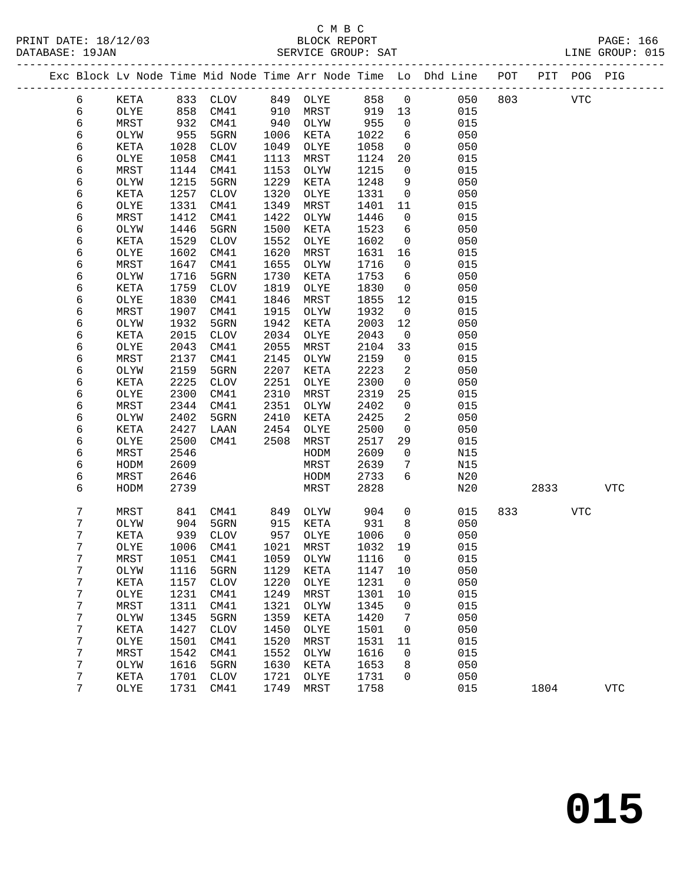### C M B C<br>BLOCK REPORT

|        |              |              | PRINT DATE: 18/12/03 BLOCK REPORT DATABASE: 19JAN SERVICE GROUP: |              | SERVICE GROUP: SAT    |              |                            |                                                                                |             |             |            | PAGE: 166<br>LINE GROUP: 015 |
|--------|--------------|--------------|------------------------------------------------------------------|--------------|-----------------------|--------------|----------------------------|--------------------------------------------------------------------------------|-------------|-------------|------------|------------------------------|
|        |              |              |                                                                  |              |                       |              |                            | Exc Block Lv Node Time Mid Node Time Arr Node Time Lo Dhd Line POT PIT POG PIG |             |             |            |                              |
| 6      |              |              | KETA 833 CLOV 849 OLYE 858 0                                     |              |                       |              |                            |                                                                                | 050 803 VTC |             |            |                              |
| 6      | OLYE         | 858          | CM41                                                             |              | 910 MRST 919 13       |              |                            | 015                                                                            |             |             |            |                              |
| 6      | MRST         | 932<br>955   | CM41                                                             |              | 940 OLYW<br>1006 KETA | 955<br>1022  | $\overline{0}$             | 015                                                                            |             |             |            |                              |
| 6      | OLYW         |              | 5GRN                                                             |              |                       |              | $6\overline{6}$            | 050                                                                            |             |             |            |                              |
| 6      | KETA         | 1028         | CLOV                                                             | 1049         | OLYE                  | 1058         | $\overline{0}$             | 050                                                                            |             |             |            |                              |
| 6      | OLYE         | 1058         | CM41                                                             | 1113         | MRST                  | 1124         | 20                         | 015                                                                            |             |             |            |                              |
| 6      | MRST         | 1144         | CM41                                                             | 1153         | OLYW                  | 1215         | $\overline{0}$             | 015                                                                            |             |             |            |                              |
| 6      | OLYW         | 1215         | 5GRN                                                             | 1229         | KETA                  | 1248         | 9                          | 050                                                                            |             |             |            |                              |
| 6      | KETA         | 1257         | CLOV                                                             | 1320         | OLYE                  | 1331         | $\overline{0}$             | 050                                                                            |             |             |            |                              |
| 6      | OLYE         | 1331         | CM41                                                             | 1349         | MRST                  | 1401         | 11                         | 015                                                                            |             |             |            |                              |
| 6      | MRST         | 1412         | CM41                                                             | 1422         | OLYW                  | 1446         | $\overline{0}$             | 015                                                                            |             |             |            |                              |
| 6      | OLYW         | 1446         | 5GRN                                                             | 1500         | KETA                  | 1523         | 6                          | 050                                                                            |             |             |            |                              |
| 6      | KETA         | 1529         | CLOV                                                             | 1552         | OLYE                  | 1602         | $\overline{0}$             | 050                                                                            |             |             |            |                              |
| 6      | OLYE         | 1602         | CM41                                                             | 1620         | MRST                  | 1631         | 16                         | 015                                                                            |             |             |            |                              |
| 6      | MRST         | 1647         | CM41                                                             | 1655         | OLYW                  | 1716         | $\overline{0}$             | 015                                                                            |             |             |            |                              |
| 6      | OLYW         | 1716         | 5GRN                                                             | 1730         | KETA                  | 1753         | 6                          | 050                                                                            |             |             |            |                              |
| 6      | KETA         | 1759         | CLOV                                                             | 1819         | OLYE                  | 1830         | $\overline{0}$             | 050                                                                            |             |             |            |                              |
| 6<br>6 | OLYE<br>MRST | 1830         | CM41<br>CM41                                                     | 1846<br>1915 | MRST                  | 1855<br>1932 | 12<br>$\overline{0}$       | 015<br>015                                                                     |             |             |            |                              |
| 6      | OLYW         | 1907<br>1932 | 5GRN                                                             | 1942         | OLYW<br>KETA          | 2003         | 12                         | 050                                                                            |             |             |            |                              |
| 6      | KETA         | 2015         | CLOV                                                             | 2034         | OLYE                  | 2043         | $\overline{0}$             | 050                                                                            |             |             |            |                              |
| 6      | OLYE         | 2043         | CM41                                                             | 2055         | MRST                  | 2104         | 33                         | 015                                                                            |             |             |            |                              |
| 6      | MRST         | 2137         | CM41                                                             | 2145         | OLYW                  | 2159         | $\overline{0}$             | 015                                                                            |             |             |            |                              |
| 6      | OLYW         | 2159         | 5GRN                                                             | 2207         | KETA                  | 2223         | $\overline{\phantom{a}}^2$ | 050                                                                            |             |             |            |                              |
| 6      | KETA         | 2225         | CLOV                                                             | 2251         | OLYE                  | 2300         | $\overline{0}$             | 050                                                                            |             |             |            |                              |
| 6      | OLYE         | 2300         | CM41                                                             | 2310         | MRST                  | 2319         | 25                         | 015                                                                            |             |             |            |                              |
| 6      | MRST         | 2344         | CM41                                                             | 2351         | OLYW                  | 2402         | $\overline{0}$             | 015                                                                            |             |             |            |                              |
| 6      | OLYW         | 2402         | 5GRN                                                             | 2410         | KETA                  | 2425         | 2                          | 050                                                                            |             |             |            |                              |
| 6      | KETA         | 2427         | LAAN                                                             | 2454         | OLYE                  | 2500         | $\overline{0}$             | 050                                                                            |             |             |            |                              |
| 6      | OLYE         | 2500         | CM41                                                             | 2508         | MRST                  | 2517         | 29                         | 015                                                                            |             |             |            |                              |
| 6      | MRST         | 2546         |                                                                  |              | HODM                  | 2609         | $\mathbf 0$                | N15                                                                            |             |             |            |                              |
| 6      | HODM         | 2609         |                                                                  |              | MRST                  | 2639         | $7\phantom{.0}$            | N15                                                                            |             |             |            |                              |
| 6      | MRST         | 2646         |                                                                  |              | HODM                  | 2733         | $6\overline{6}$            | N20                                                                            |             |             |            |                              |
| 6      | HODM         | 2739         |                                                                  |              | MRST                  | 2828         |                            | N20                                                                            |             | 2833        |            | VTC                          |
| 7      | MRST         | 841          | CM41           849    OLYW<br>5GRN           915    KETA         |              |                       | 904          | $\overline{0}$             | 015                                                                            |             | 833 and 100 | <b>VTC</b> |                              |
| 7      | OLYW         | 904          | 5GRN                                                             |              | 915 KETA              | 931          | 8                          | 050                                                                            |             |             |            |                              |
| 7      |              |              |                                                                  |              |                       |              |                            | KETA 939 CLOV 957 OLYE 1006 0 050                                              |             |             |            |                              |
| 7      | OLYE         | 1006         | CM41                                                             | 1021         | MRST                  | 1032 19      |                            | 015                                                                            |             |             |            |                              |
| 7      | MRST         | 1051         | CM41                                                             | 1059         | OLYW                  | 1116         | $\overline{0}$             | 015                                                                            |             |             |            |                              |
| 7      | OLYW         | 1116         | 5GRN                                                             | 1129         | KETA                  | 1147         | 10                         | 050                                                                            |             |             |            |                              |
| 7      | KETA         | 1157         | <b>CLOV</b>                                                      | 1220         | OLYE                  | 1231         | $\overline{0}$             | 050                                                                            |             |             |            |                              |
| 7      | OLYE         | 1231         | CM41                                                             | 1249         | MRST                  | 1301         | 10                         | 015                                                                            |             |             |            |                              |
| 7      | MRST         | 1311         | CM41                                                             | 1321         | OLYW                  | 1345         | 0                          | 015                                                                            |             |             |            |                              |
| 7      | OLYW         | 1345         | 5GRN                                                             | 1359         | KETA                  | 1420         | 7                          | 050                                                                            |             |             |            |                              |
| 7      | KETA         | 1427         | <b>CLOV</b>                                                      | 1450         | OLYE                  | 1501         | $\mathbf 0$                | 050                                                                            |             |             |            |                              |

 7 OLYE 1501 CM41 1520 MRST 1531 11 015 7 MRST 1542 CM41 1552 OLYW 1616 0 015 7 OLYW 1616 5GRN 1630 KETA 1653 8 050 7 KETA 1701 CLOV 1721 OLYE 1731 0 050

7 OLYE 1731 CM41 1749 MRST 1758 015 1804 VTC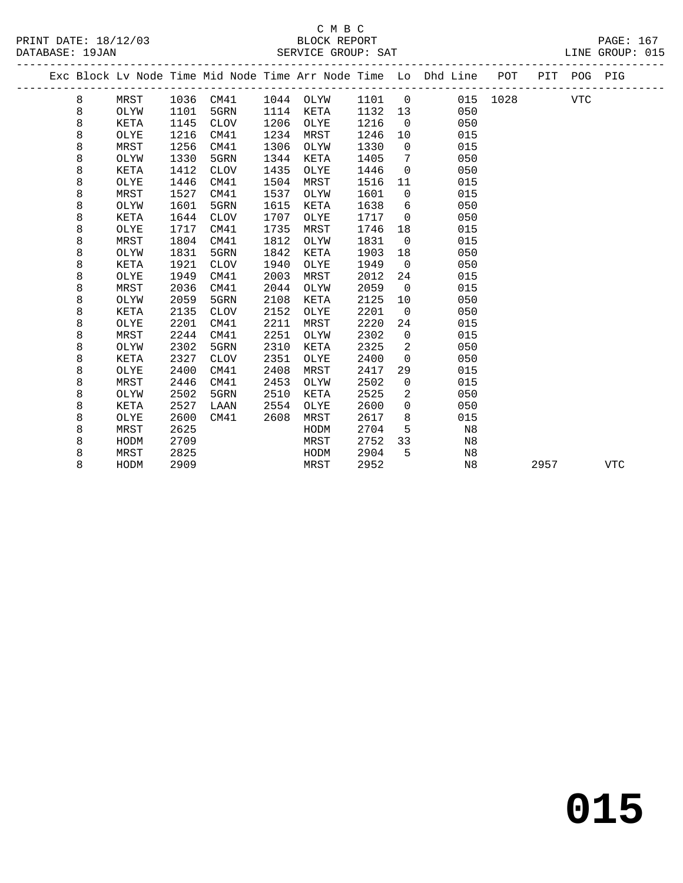### C M B C<br>BLOCK REPORT SERVICE GROUP: SAT

|  |   |             |      |             |      |      |      |                | Exc Block Lv Node Time Mid Node Time Arr Node Time Lo Dhd Line POT |      |      | PIT POG PIG |            |
|--|---|-------------|------|-------------|------|------|------|----------------|--------------------------------------------------------------------|------|------|-------------|------------|
|  | 8 | MRST        | 1036 | CM41        | 1044 | OLYW | 1101 | $\overline{0}$ | 015                                                                | 1028 |      | <b>VTC</b>  |            |
|  | 8 | OLYW        | 1101 | 5GRN        | 1114 | KETA | 1132 | 13             | 050                                                                |      |      |             |            |
|  | 8 | KETA        | 1145 | <b>CLOV</b> | 1206 | OLYE | 1216 | $\overline{0}$ | 050                                                                |      |      |             |            |
|  | 8 | OLYE        | 1216 | CM41        | 1234 | MRST | 1246 | 10             | 015                                                                |      |      |             |            |
|  | 8 | MRST        | 1256 | CM41        | 1306 | OLYW | 1330 | $\Omega$       | 015                                                                |      |      |             |            |
|  | 8 | OLYW        | 1330 | 5GRN        | 1344 | KETA | 1405 | 7              | 050                                                                |      |      |             |            |
|  | 8 | KETA        | 1412 | <b>CLOV</b> | 1435 | OLYE | 1446 | $\mathbf 0$    | 050                                                                |      |      |             |            |
|  | 8 | OLYE        | 1446 | CM41        | 1504 | MRST | 1516 | 11             | 015                                                                |      |      |             |            |
|  | 8 | MRST        | 1527 | CM41        | 1537 | OLYW | 1601 | $\mathbf 0$    | 015                                                                |      |      |             |            |
|  | 8 | OLYW        | 1601 | 5GRN        | 1615 | KETA | 1638 | 6              | 050                                                                |      |      |             |            |
|  | 8 | KETA        | 1644 | <b>CLOV</b> | 1707 | OLYE | 1717 | $\overline{0}$ | 050                                                                |      |      |             |            |
|  | 8 | OLYE        | 1717 | CM41        | 1735 | MRST | 1746 | 18             | 015                                                                |      |      |             |            |
|  | 8 | MRST        | 1804 | CM41        | 1812 | OLYW | 1831 | $\mathbf 0$    | 015                                                                |      |      |             |            |
|  | 8 | OLYW        | 1831 | 5GRN        | 1842 | KETA | 1903 | 18             | 050                                                                |      |      |             |            |
|  | 8 | KETA        | 1921 | <b>CLOV</b> | 1940 | OLYE | 1949 | $\Omega$       | 050                                                                |      |      |             |            |
|  | 8 | OLYE        | 1949 | CM41        | 2003 | MRST | 2012 | 24             | 015                                                                |      |      |             |            |
|  | 8 | MRST        | 2036 | CM41        | 2044 | OLYW | 2059 | $\overline{0}$ | 015                                                                |      |      |             |            |
|  | 8 | OLYW        | 2059 | 5GRN        | 2108 | KETA | 2125 | 10             | 050                                                                |      |      |             |            |
|  | 8 | <b>KETA</b> | 2135 | <b>CLOV</b> | 2152 | OLYE | 2201 | $\mathbf 0$    | 050                                                                |      |      |             |            |
|  | 8 | OLYE        | 2201 | CM41        | 2211 | MRST | 2220 | 24             | 015                                                                |      |      |             |            |
|  | 8 | MRST        | 2244 | CM41        | 2251 | OLYW | 2302 | $\mathbf 0$    | 015                                                                |      |      |             |            |
|  | 8 | OLYW        | 2302 | 5GRN        | 2310 | KETA | 2325 | 2              | 050                                                                |      |      |             |            |
|  | 8 | KETA        | 2327 | <b>CLOV</b> | 2351 | OLYE | 2400 | $\mathbf 0$    | 050                                                                |      |      |             |            |
|  | 8 | OLYE        | 2400 | CM41        | 2408 | MRST | 2417 | 29             | 015                                                                |      |      |             |            |
|  | 8 | MRST        | 2446 | CM41        | 2453 | OLYW | 2502 | $\mathsf{O}$   | 015                                                                |      |      |             |            |
|  | 8 | OLYW        | 2502 | 5GRN        | 2510 | KETA | 2525 | 2              | 050                                                                |      |      |             |            |
|  | 8 | KETA        | 2527 | LAAN        | 2554 | OLYE | 2600 | $\mathbf 0$    | 050                                                                |      |      |             |            |
|  | 8 | OLYE        | 2600 | CM41        | 2608 | MRST | 2617 | 8              | 015                                                                |      |      |             |            |
|  | 8 | MRST        | 2625 |             |      | HODM | 2704 | 5              | N8                                                                 |      |      |             |            |
|  | 8 | HODM        | 2709 |             |      | MRST | 2752 | 33             | N8                                                                 |      |      |             |            |
|  | 8 | MRST        | 2825 |             |      | HODM | 2904 | 5              | N8                                                                 |      |      |             |            |
|  | 8 | HODM        | 2909 |             |      | MRST | 2952 |                | N8                                                                 |      | 2957 |             | <b>VTC</b> |
|  |   |             |      |             |      |      |      |                |                                                                    |      |      |             |            |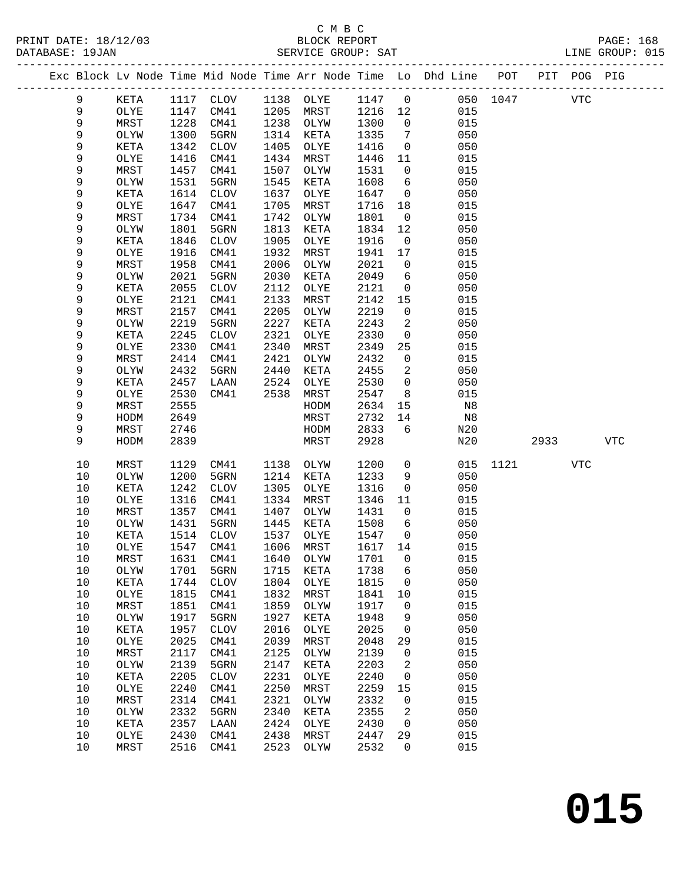### C M B C<br>BLOCK REPORT

| DATABASE: 19JAN |        |              |              |                            |              | SERVICE GROUP: SAT |              |                      |                                                                    |          |            |     | LINE GROUP: 015 |  |
|-----------------|--------|--------------|--------------|----------------------------|--------------|--------------------|--------------|----------------------|--------------------------------------------------------------------|----------|------------|-----|-----------------|--|
|                 |        |              |              |                            |              |                    |              |                      | Exc Block Lv Node Time Mid Node Time Arr Node Time Lo Dhd Line POT |          |            |     | PIT POG PIG     |  |
|                 | 9      | KETA         |              | 1117 CLOV 1138 OLYE 1147 0 |              |                    |              |                      |                                                                    | 050 1047 | <b>VTC</b> |     |                 |  |
|                 | 9      | OLYE         | 1147         | CM41                       |              | 1205 MRST          | 1216 12      |                      | 015                                                                |          |            |     |                 |  |
|                 | 9      | MRST         | 1228         | CM41                       |              | 1238 OLYW          | 1300         | $\overline{0}$       | 015                                                                |          |            |     |                 |  |
|                 | 9      | OLYW         | 1300         | 5GRN                       |              | 1314 KETA          | 1335         | 7                    | 050                                                                |          |            |     |                 |  |
|                 | 9      | KETA         | 1342         | CLOV                       | 1405         | OLYE               | 1416         | $\overline{0}$       | 050                                                                |          |            |     |                 |  |
|                 | 9      | OLYE         | 1416         | CM41                       | 1434         | MRST               | 1446         | 11                   | 015                                                                |          |            |     |                 |  |
|                 | 9      | MRST         | 1457         | CM41                       | 1507         | OLYW               | 1531         | $\overline{0}$       | 015                                                                |          |            |     |                 |  |
|                 | 9      | OLYW         | 1531         | 5GRN                       | 1545         | KETA               | 1608         | 6                    | 050                                                                |          |            |     |                 |  |
|                 | 9      | KETA         | 1614         | CLOV                       | 1637         | OLYE               | 1647         | $\overline{0}$       | 050                                                                |          |            |     |                 |  |
|                 | 9      | OLYE         | 1647         | CM41                       | 1705         | MRST               | 1716         | 18                   | 015                                                                |          |            |     |                 |  |
|                 | 9      | MRST         | 1734         | CM41                       | 1742         | OLYW               | 1801         | $\overline{0}$       | 015                                                                |          |            |     |                 |  |
|                 | 9      | OLYW         | 1801         | 5GRN                       | 1813         | KETA               | 1834         | 12                   | 050                                                                |          |            |     |                 |  |
|                 | 9      | KETA         | 1846         | <b>CLOV</b>                | 1905         | OLYE               | 1916         | $\overline{0}$       | 050                                                                |          |            |     |                 |  |
|                 | 9      | OLYE         | 1916         | CM41                       | 1932         | MRST               | 1941         | 17                   | 015                                                                |          |            |     |                 |  |
|                 | 9      | MRST         | 1958         | CM41                       | 2006         | OLYW               | 2021         | $\overline{0}$       | 015                                                                |          |            |     |                 |  |
|                 | 9      | OLYW         | 2021         | 5GRN                       | 2030         | KETA               | 2049         | 6                    | 050                                                                |          |            |     |                 |  |
|                 | 9<br>9 | KETA         | 2055<br>2121 | <b>CLOV</b>                | 2112<br>2133 | OLYE               | 2121         | $\overline{0}$       | 050                                                                |          |            |     |                 |  |
|                 | 9      | OLYE<br>MRST | 2157         | CM41<br>CM41               | 2205         | MRST<br>OLYW       | 2142<br>2219 | 15<br>$\overline{0}$ | 015<br>015                                                         |          |            |     |                 |  |
|                 | 9      | OLYW         | 2219         | 5GRN                       | 2227         | KETA               | 2243         | 2                    | 050                                                                |          |            |     |                 |  |
|                 | 9      | KETA         | 2245         | <b>CLOV</b>                | 2321         | OLYE               | 2330         | $\overline{0}$       | 050                                                                |          |            |     |                 |  |
|                 | 9      | OLYE         | 2330         | CM41                       | 2340         | MRST               | 2349         | 25                   | 015                                                                |          |            |     |                 |  |
|                 | 9      | MRST         | 2414         | CM41                       | 2421         | OLYW               | 2432         | $\overline{0}$       | 015                                                                |          |            |     |                 |  |
|                 | 9      | OLYW         | 2432         | 5GRN                       | 2440         | KETA               | 2455         | 2                    | 050                                                                |          |            |     |                 |  |
|                 | 9      | KETA         | 2457         | LAAN                       | 2524         | OLYE               | 2530         | $\mathsf{O}$         | 050                                                                |          |            |     |                 |  |
|                 | 9      | OLYE         | 2530         | CM41                       | 2538         | MRST               | 2547         | 8                    | 015                                                                |          |            |     |                 |  |
|                 | 9      | MRST         | 2555         |                            |              | HODM               | 2634         | 15                   | N8                                                                 |          |            |     |                 |  |
|                 | 9      | HODM         | 2649         |                            |              | MRST               | 2732         | 14                   | N8                                                                 |          |            |     |                 |  |
|                 | 9      | MRST         | 2746         |                            |              | HODM               | 2833         | 6                    | N20                                                                |          |            |     |                 |  |
|                 | 9      | HODM         | 2839         |                            |              | MRST               | 2928         |                      | N20                                                                |          | 2933       |     | <b>VTC</b>      |  |
|                 | 10     | MRST         | 1129         | CM41                       | 1138         | OLYW               | 1200         | $\overline{0}$       | 015                                                                |          | 1121       | VTC |                 |  |
|                 | 10     | OLYW         | 1200         | 5GRN                       | 1214         | KETA               | 1233         | 9                    | 050                                                                |          |            |     |                 |  |
|                 | 10     | KETA         | 1242         | CLOV                       | 1305         | OLYE               | 1316         | $\mathsf{O}$         | 050                                                                |          |            |     |                 |  |
|                 | 10     | OLYE         | 1316         | CM41                       | 1334         | MRST               | 1346         | 11                   | 015                                                                |          |            |     |                 |  |
|                 | 10     | MRST         | 1357         | CM41                       | 1407         | OLYW               | 1431         | $\overline{0}$       | 015                                                                |          |            |     |                 |  |
|                 | 10     | OLYW         | 1431         | 5GRN                       | 1445         | KETA               | 1508         | $6\overline{6}$      | 050                                                                |          |            |     |                 |  |
|                 | 10     | KETA         | 1514         | CLOV                       |              | 1537 OLYE          | 1547         | $\overline{0}$       | 050                                                                |          |            |     |                 |  |
|                 | 10     | OLYE         |              | 1547 CM41 1606 MRST        |              |                    | 1617 14      |                      | 015                                                                |          |            |     |                 |  |
|                 | 10     | MRST         | 1631         | CM41                       | 1640         | OLYW               | 1701         | 0                    | 015                                                                |          |            |     |                 |  |
|                 | 10     | OLYW         | 1701         | 5GRN                       | 1715         | KETA               | 1738         | 6                    | 050                                                                |          |            |     |                 |  |
|                 | 10     | KETA         | 1744         | $\rm CLOV$                 | 1804         | OLYE               | 1815         | 0                    | 050                                                                |          |            |     |                 |  |
|                 | $10$   | OLYE         | 1815         | CM41                       | 1832         | MRST               | 1841         | 10                   | 015                                                                |          |            |     |                 |  |
|                 | $10$   | MRST         | 1851         | CM41                       | 1859         | OLYW               | 1917         | 0                    | 015                                                                |          |            |     |                 |  |
|                 | 10     | OLYW         | 1917         | 5GRN                       | 1927         | KETA               | 1948         | 9                    | 050                                                                |          |            |     |                 |  |
|                 | 10     | KETA         | 1957         | <b>CLOV</b>                | 2016         | OLYE               | 2025         | 0                    | 050                                                                |          |            |     |                 |  |
|                 | 10     | OLYE         | 2025         | CM41                       | 2039         | MRST               | 2048         | 29                   | 015                                                                |          |            |     |                 |  |
|                 | 10     | MRST         | 2117         | CM41                       | 2125         | OLYW               | 2139         | 0                    | 015                                                                |          |            |     |                 |  |
|                 | 10     | OLYW         | 2139         | 5GRN                       | 2147         | KETA               | 2203         | 2                    | 050                                                                |          |            |     |                 |  |
|                 | 10     | KETA         | 2205         | <b>CLOV</b>                | 2231         | OLYE               | 2240         | 0                    | 050                                                                |          |            |     |                 |  |
|                 | 10     | OLYE         | 2240         | CM41                       | 2250         | MRST               | 2259         | 15                   | 015                                                                |          |            |     |                 |  |

 10 MRST 2314 CM41 2321 OLYW 2332 0 015 10 OLYW 2332 5GRN 2340 KETA 2355 2 050 10 KETA 2357 LAAN 2424 OLYE 2430 0 050 10 OLYE 2430 CM41 2438 MRST 2447 29 015 10 MRST 2516 CM41 2523 OLYW 2532 0 015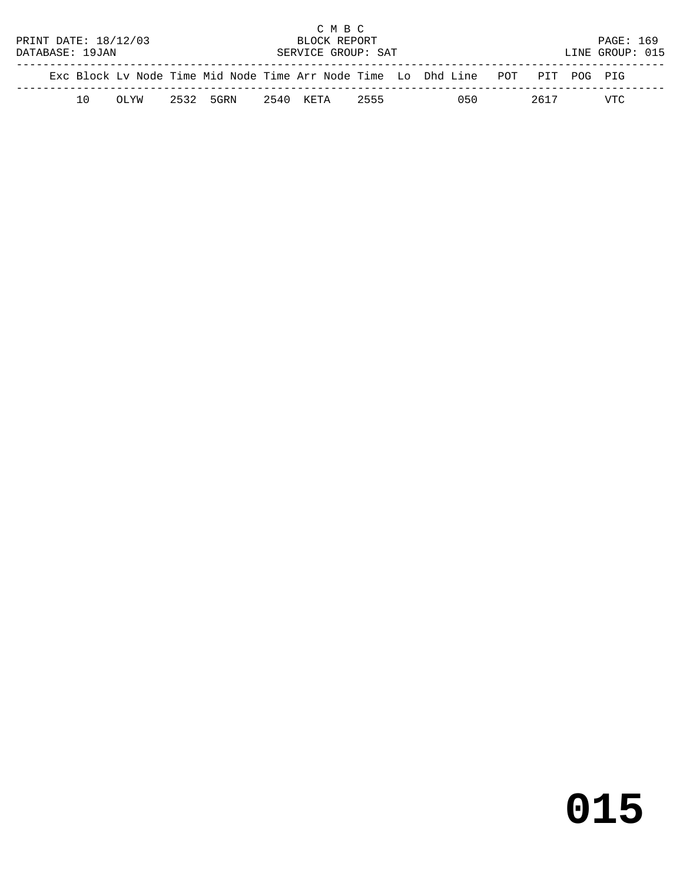|                                      |     |       |  |           |  | C M B C            |      |  |                                                                                |      |                 |  |
|--------------------------------------|-----|-------|--|-----------|--|--------------------|------|--|--------------------------------------------------------------------------------|------|-----------------|--|
| PRINT DATE: 18/12/03<br>BLOCK REPORT |     |       |  |           |  |                    |      |  | <b>PAGE: 169</b>                                                               |      |                 |  |
| DATABASE: 19JAN                      |     |       |  |           |  | SERVICE GROUP: SAT |      |  |                                                                                |      | LINE GROUP: 015 |  |
|                                      |     |       |  |           |  |                    |      |  | Exc Block Ly Node Time Mid Node Time Arr Node Time Lo Dhd Line POT PIT POG PIG |      |                 |  |
|                                      | 1 O | OL'AM |  | 2532 5GRN |  | 2540 KETA          | 2555 |  | 050                                                                            | 2617 | VTC             |  |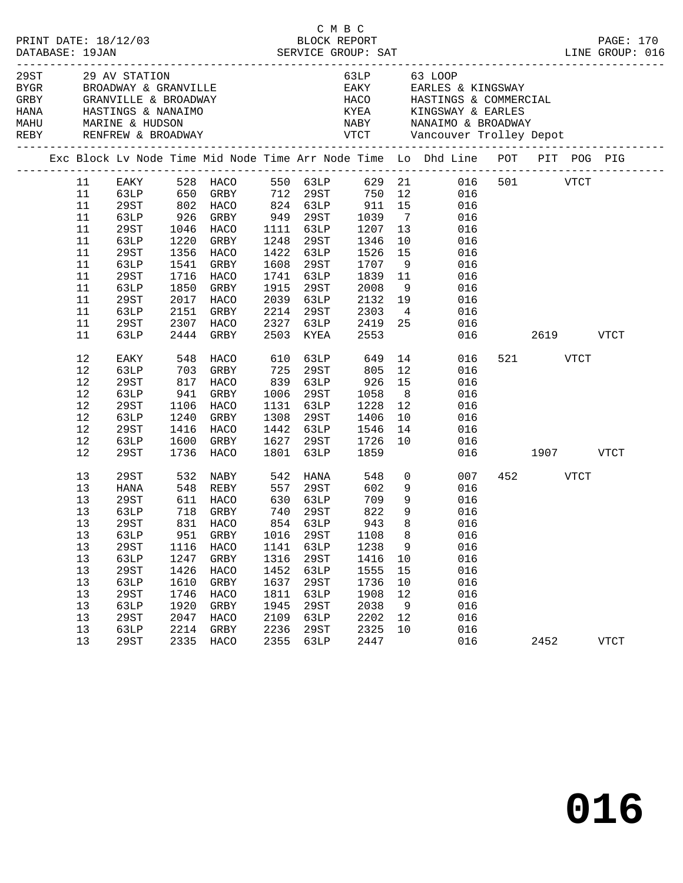|  |                                                                                                   |                                                                                                                                                         |                                                                             |                                                                                                                                                           |                                                                                      | C M B C                                                                                                           |                                                                                             |                                                      |                                                                                                                                                                                                                                                           |                                   |             |  |
|--|---------------------------------------------------------------------------------------------------|---------------------------------------------------------------------------------------------------------------------------------------------------------|-----------------------------------------------------------------------------|-----------------------------------------------------------------------------------------------------------------------------------------------------------|--------------------------------------------------------------------------------------|-------------------------------------------------------------------------------------------------------------------|---------------------------------------------------------------------------------------------|------------------------------------------------------|-----------------------------------------------------------------------------------------------------------------------------------------------------------------------------------------------------------------------------------------------------------|-----------------------------------|-------------|--|
|  |                                                                                                   | $29ST$ 29 AV STATION                                                                                                                                    |                                                                             | EXERM BROADWAY & GRANVILLE<br>GRBY GRANVILLE & BROADWAY<br>HANA HASTINGS & NANAIMO                                                                        |                                                                                      |                                                                                                                   |                                                                                             |                                                      | 63LP 63 LOOP<br>EAKY EARLES & KINGSWAY<br>HACO HASTINGS & COMMERCIAL<br>KYEA KINGSWAY & EARLES                                                                                                                                                            |                                   |             |  |
|  |                                                                                                   |                                                                                                                                                         |                                                                             |                                                                                                                                                           |                                                                                      |                                                                                                                   |                                                                                             |                                                      | Exc Block Lv Node Time Mid Node Time Arr Node Time Lo Dhd Line POT PIT POG PIG                                                                                                                                                                            |                                   |             |  |
|  | 11<br>11<br>11<br>11<br>11<br>11<br>11<br>11<br>11<br>11<br>11<br>11<br>11<br>11                  | 63LP<br>29ST<br>63LP<br>29ST<br>63LP<br>29ST<br>63LP<br>29ST<br>63LP<br>29ST<br>63LP                                                                    | 2151<br>2307                                                                | 926 GRBY 949 29ST<br>1046 HACO 1111 63LP<br>1220 GRBY<br>1356 HACO<br>1541 GRBY<br>1716 HACO<br>1850 GRBY<br>2017 HACO<br>GRBY<br>HACO<br>2444 GRBY       |                                                                                      | 1248 29ST<br>1422 63LP<br>1608 29ST<br>1741 63LP<br>1915 29ST<br>2039 63LP<br>2214 29ST<br>2327 63LP<br>2503 KYEA | 1526<br>1707<br>1839<br>2008<br>2008<br>2303                                                | 9<br>9                                               | EAKY 528 HACO 550 63LP 629 21 016 501 VTCT<br>63LP 650 GRBY 712 29ST 750 12 016<br>29ST 802 HACO 824 63LP 911 15 016<br>1039 7 016<br>1207 13 016<br>1346 10 016<br>15 016<br>016<br>11 016<br>016<br>$2132$ $19$ 016<br>4 016<br>2419 25 016<br>2553 016 | 016  2619  VTCT                   |             |  |
|  | 12<br>12<br>$12\,$<br>12<br>$12\,$<br>12<br>12<br>12                                              | EAKY<br>63LP<br>29ST<br>63LP<br>29ST<br>63LP<br>29ST<br>63LP                                                                                            | 548<br>1240                                                                 | HACO<br>703 GRBY<br>817 HACO<br>941 GRBY<br>1106 HACO<br>GRBY<br>1416 HACO<br>1600 GRBY                                                                   | 725<br>839<br>1131<br>1308                                                           | 610 63LP<br>29ST<br>63LP<br>1006 29ST<br>63LP<br>29ST<br>1442 63LP<br>1627 29ST                                   | 649<br>805<br>926<br>1058<br>1228<br>1406<br>1546<br>1726                                   | 12<br>10<br>10                                       | 14 \,<br>016<br>12<br>016<br>$\begin{array}{c} 15 \\ 8 \end{array}$<br>016<br>016<br>016<br>016<br>$\begin{array}{cc} 14 & 016 \\ 10 & 016 \end{array}$<br>016                                                                                            | 521 VTCT                          |             |  |
|  | 12<br>13<br>13<br>13<br>13<br>13 29ST<br>13<br>13<br>13<br>13<br>13<br>13<br>13<br>13<br>13<br>13 | 29ST<br>29ST<br>HANA<br>29ST<br>63LP<br>63LP<br>29ST<br>63LP<br><b>29ST</b><br><b>63LP</b><br><b>29ST</b><br><b>63LP</b><br>29ST<br>63LP<br><b>29ST</b> | 951<br>1116<br>1247<br>1426<br>1610<br>1746<br>1920<br>2047<br>2214<br>2335 | 1736 HACO<br>611 HACO 630 63LP 709<br>718 GRBY<br>831 HACO 854 63LP 943 8<br>GRBY<br>HACO<br>GRBY<br>HACO<br>GRBY<br>HACO<br>GRBY<br>HACO<br>GRBY<br>HACO | 1801<br>1016<br>1141<br>1316<br>1452<br>1637<br>1811<br>1945<br>2109<br>2236<br>2355 | 63LP<br>740 29ST<br>29ST<br>63LP<br>29ST<br>63LP<br>29ST<br>63LP<br>29ST<br>63LP<br><b>29ST</b><br>63LP           | 1859<br>822<br>1108<br>1238<br>1416<br>1555<br>1736<br>1908<br>2038<br>2202<br>2325<br>2447 | 9<br>8<br>9<br>10<br>15<br>10<br>12<br>9<br>12<br>10 | $\begin{array}{ccc} 0 & \hspace{1.5cm} & 007 \\ 9 & \hspace{1.5cm} & 016 \end{array}$<br>007<br>9 016<br>016<br>016<br>016<br>016<br>016<br>016<br>016<br>016<br>016<br>016<br>016<br>016                                                                 | 016 1907 VTCT<br>452 VTCT<br>2452 | <b>VTCT</b> |  |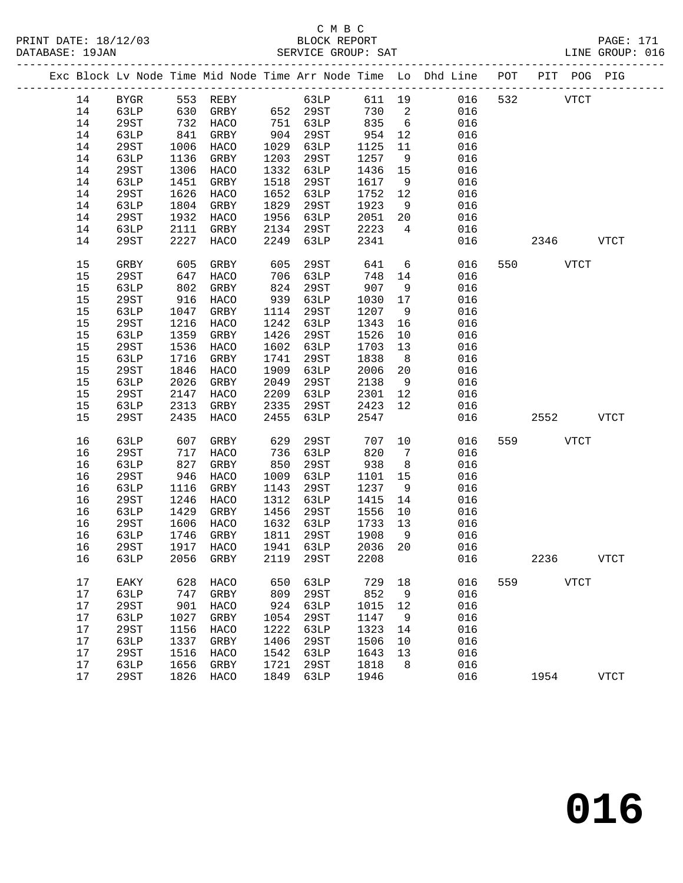#### C M B C<br>BLOCK REPORT PRINT DATE: 18/12/03 BLOCK REPORT PAGE: 171 SERVICE GROUP: SAT

|    |             |      | Exc Block Lv Node Time Mid Node Time Arr Node Time Lo Dhd Line POT PIT POG PIG |      |      |      |         |                 |        |          |     |          |             |             |
|----|-------------|------|--------------------------------------------------------------------------------|------|------|------|---------|-----------------|--------|----------|-----|----------|-------------|-------------|
| 14 | BYGR        |      | 553 REBY<br>630 GRBY                                                           |      |      | 63LP |         |                 | 611 19 | 016      | 532 |          | <b>VTCT</b> |             |
| 14 | 63LP        |      | GRBY 652 29ST                                                                  |      |      |      | 730 2   |                 |        | 016      |     |          |             |             |
| 14 | 29ST        | 732  | HACO                                                                           | 751  | 63LP |      | 835     | $6\overline{6}$ |        | 016      |     |          |             |             |
| 14 | 63LP        | 841  | GRBY                                                                           | 904  | 29ST |      | 954     | 12              |        | 016      |     |          |             |             |
| 14 | 29ST        | 1006 | HACO                                                                           | 1029 | 63LP |      | 1125    | 11              |        | 016      |     |          |             |             |
| 14 | 63LP        | 1136 | GRBY                                                                           | 1203 | 29ST |      | 1257    | 9               |        | 016      |     |          |             |             |
| 14 | 29ST        | 1306 | HACO                                                                           | 1332 | 63LP |      | 1436    | 15              |        | 016      |     |          |             |             |
| 14 | 63LP        | 1451 | GRBY                                                                           | 1518 | 29ST |      | 1617    | 9               |        | 016      |     |          |             |             |
| 14 | 29ST        | 1626 | HACO                                                                           | 1652 | 63LP |      | 1752    | 12              |        | 016      |     |          |             |             |
| 14 | 63LP        | 1804 | GRBY                                                                           | 1829 | 29ST |      | 1923    | 9               |        | 016      |     |          |             |             |
| 14 | 29ST        | 1932 | HACO                                                                           | 1956 | 63LP |      | 2051    | 20              |        | 016      |     |          |             |             |
| 14 | 63LP        | 2111 | GRBY                                                                           | 2134 | 29ST |      | 2223    | $\overline{4}$  |        | 016      |     |          |             |             |
| 14 | 29ST        | 2227 | HACO                                                                           | 2249 | 63LP |      | 2341    |                 |        | 016      |     | 2346     |             | <b>VTCT</b> |
| 15 | GRBY        | 605  | GRBY                                                                           | 605  | 29ST |      | 641     | $6\overline{6}$ |        | 016      |     | 550 VTCT |             |             |
| 15 | 29ST        | 647  | HACO                                                                           | 706  | 63LP |      | 748     | 14              |        | 016      |     |          |             |             |
| 15 | 63LP        | 802  | GRBY                                                                           | 824  | 29ST |      | 907     | 9               |        | 016      |     |          |             |             |
| 15 | 29ST        | 916  | HACO                                                                           | 939  | 63LP |      | 1030    | 17              |        | 016      |     |          |             |             |
| 15 | 63LP        | 1047 | GRBY                                                                           | 1114 | 29ST |      | 1207    | 9               |        | 016      |     |          |             |             |
| 15 | 29ST        | 1216 | HACO                                                                           | 1242 | 63LP |      | 1343    | 16              |        | 016      |     |          |             |             |
| 15 | 63LP        | 1359 | GRBY                                                                           | 1426 | 29ST |      | 1526    | 10              |        | 016      |     |          |             |             |
| 15 | 29ST        | 1536 | HACO                                                                           | 1602 | 63LP |      | 1703    | 13              |        | 016      |     |          |             |             |
| 15 | 63LP        | 1716 | GRBY                                                                           | 1741 | 29ST |      | 1838    | 8 <sup>8</sup>  |        | 016      |     |          |             |             |
| 15 | 29ST        | 1846 | HACO                                                                           | 1909 | 63LP |      | 2006    | 20              |        | 016      |     |          |             |             |
| 15 | 63LP        | 2026 | GRBY                                                                           | 2049 | 29ST |      | 2138    | 9               |        | 016      |     |          |             |             |
| 15 | 29ST        | 2147 | HACO                                                                           | 2209 | 63LP |      | 2301    | 12              |        | 016      |     |          |             |             |
| 15 | 63LP        | 2313 | GRBY                                                                           | 2335 | 29ST |      | 2423    | 12              |        | 016      |     |          |             |             |
| 15 | 29ST        | 2435 | HACO                                                                           | 2455 | 63LP |      | 2547    |                 |        | 016      |     | 2552     |             | VTCT        |
| 16 | 63LP        | 607  | GRBY                                                                           | 629  | 29ST |      | 707     | 10              |        | 016      |     | 559 VTCT |             |             |
| 16 | 29ST        | 717  | HACO                                                                           | 736  | 63LP |      | 820     | $7\overline{ }$ |        | 016      |     |          |             |             |
| 16 | 63LP        | 827  | GRBY                                                                           | 850  | 29ST |      | 938     | 8 <sup>8</sup>  |        | 016      |     |          |             |             |
| 16 | 29ST        | 946  | HACO                                                                           | 1009 | 63LP |      | 1101    | 15              |        | 016      |     |          |             |             |
| 16 | 63LP        | 1116 | GRBY                                                                           | 1143 | 29ST |      | 1237    | 9               |        | 016      |     |          |             |             |
| 16 | 29ST        | 1246 | HACO                                                                           | 1312 | 63LP |      | 1415    | 14              |        | 016      |     |          |             |             |
| 16 | 63LP        | 1429 | GRBY                                                                           | 1456 | 29ST |      | 1556    | 10              |        | 016      |     |          |             |             |
| 16 | 29ST        | 1606 | HACO                                                                           | 1632 | 63LP |      | 1733    | 13              |        | 016      |     |          |             |             |
| 16 | 63LP        | 1746 | GRBY                                                                           | 1811 | 29ST |      | 1908    | 9               |        | 016      |     |          |             |             |
| 16 | 29ST        |      | 1917 HACO                                                                      | 1941 | 63LP |      | 2036 20 |                 |        | 016      |     |          |             |             |
|    |             |      | 16 63LP 2056 GRBY 2119 29ST                                                    |      |      |      |         |                 |        | 2208 016 |     | 2236     |             | <b>VTCT</b> |
| 17 | EAKY        | 628  | HACO                                                                           | 650  | 63LP |      | 729     | 18              |        | 016      | 559 |          | <b>VTCT</b> |             |
| 17 | 63LP        | 747  | GRBY                                                                           | 809  | 29ST |      | 852     | 9               |        | 016      |     |          |             |             |
| 17 | <b>29ST</b> | 901  | HACO                                                                           | 924  | 63LP |      | 1015    | 12              |        | 016      |     |          |             |             |
| 17 | 63LP        | 1027 | GRBY                                                                           | 1054 | 29ST |      | 1147    | 9               |        | 016      |     |          |             |             |
| 17 | <b>29ST</b> | 1156 | HACO                                                                           | 1222 | 63LP |      | 1323    | 14              |        | 016      |     |          |             |             |
| 17 | 63LP        | 1337 | GRBY                                                                           | 1406 | 29ST |      | 1506    | 10              |        | 016      |     |          |             |             |
| 17 | 29ST        | 1516 | HACO                                                                           | 1542 | 63LP |      | 1643    | 13              |        | 016      |     |          |             |             |
| 17 | 63LP        | 1656 | GRBY                                                                           | 1721 | 29ST |      | 1818    | 8               |        | 016      |     |          |             |             |
| 17 | 29ST        | 1826 | <b>HACO</b>                                                                    | 1849 | 63LP |      | 1946    |                 |        | 016      |     | 1954     |             | <b>VTCT</b> |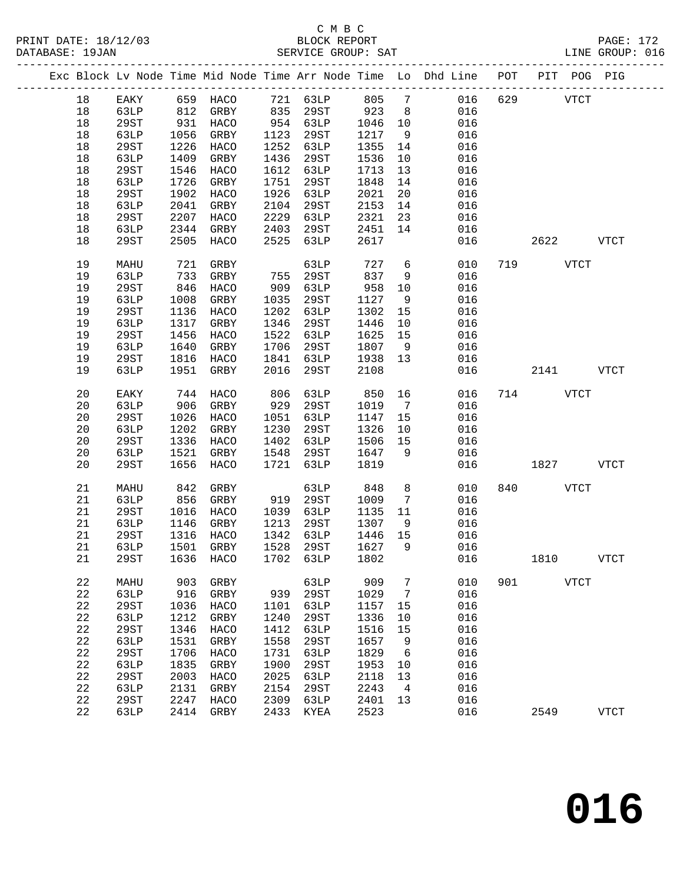|  |             |      |      |                               |      |          |      |                 | Exc Block Lv Node Time Mid Node Time Arr Node Time Lo Dhd Line POT |     |          | PIT POG PIG |              |
|--|-------------|------|------|-------------------------------|------|----------|------|-----------------|--------------------------------------------------------------------|-----|----------|-------------|--------------|
|  | 18          | EAKY |      | 659 HACO                      |      | 721 63LP | 805  | $7\overline{ }$ | 016                                                                | 629 |          | <b>VTCT</b> |              |
|  | 18          | 63LP | 812  | GRBY                          | 835  | 29ST     | 923  | 8 <sup>8</sup>  | 016                                                                |     |          |             |              |
|  | 18          | 29ST | 931  | HACO                          |      | 954 63LP | 1046 | 10              | 016                                                                |     |          |             |              |
|  | 18          | 63LP | 1056 | GRBY                          | 1123 | 29ST     | 1217 | 9               | 016                                                                |     |          |             |              |
|  | 18          | 29ST | 1226 | HACO                          | 1252 | 63LP     | 1355 | 14              | 016                                                                |     |          |             |              |
|  | 18          | 63LP | 1409 | GRBY                          | 1436 | 29ST     | 1536 | 10              | 016                                                                |     |          |             |              |
|  | 18          | 29ST | 1546 | HACO                          | 1612 | 63LP     | 1713 | 13              | 016                                                                |     |          |             |              |
|  | 18          | 63LP | 1726 | GRBY                          | 1751 | 29ST     | 1848 | 14              | 016                                                                |     |          |             |              |
|  | 18          | 29ST | 1902 | HACO                          | 1926 | 63LP     | 2021 | 20              | 016                                                                |     |          |             |              |
|  | 18          | 63LP | 2041 | GRBY                          | 2104 | 29ST     | 2153 | 14              | 016                                                                |     |          |             |              |
|  | 18          | 29ST | 2207 | HACO                          | 2229 | 63LP     | 2321 | 23              | 016                                                                |     |          |             |              |
|  | 18          | 63LP | 2344 | GRBY                          | 2403 | 29ST     | 2451 | 14              | 016                                                                |     |          |             |              |
|  | 18          | 29ST | 2505 | HACO                          | 2525 | 63LP     | 2617 |                 | 016                                                                |     | 2622     |             | <b>VTCT</b>  |
|  | 19          | MAHU | 721  | GRBY                          |      | 63LP     | 727  | 6               | 010                                                                |     | 719      | <b>VTCT</b> |              |
|  | 19          | 63LP | 733  | GRBY                          | 755  | 29ST     | 837  | 9               | 016                                                                |     |          |             |              |
|  | 19          | 29ST | 846  | HACO                          | 909  | 63LP     | 958  | 10              | 016                                                                |     |          |             |              |
|  | 19          | 63LP | 1008 | GRBY                          | 1035 | 29ST     | 1127 | 9               | 016                                                                |     |          |             |              |
|  | 19          | 29ST | 1136 | HACO                          | 1202 | 63LP     | 1302 | 15              | 016                                                                |     |          |             |              |
|  | 19          | 63LP | 1317 | GRBY                          | 1346 | 29ST     | 1446 | 10              | 016                                                                |     |          |             |              |
|  | 19          | 29ST | 1456 | HACO                          | 1522 | 63LP     | 1625 | 15              | 016                                                                |     |          |             |              |
|  | 19          | 63LP | 1640 | GRBY                          | 1706 | 29ST     | 1807 | 9               | 016                                                                |     |          |             |              |
|  | 19          | 29ST | 1816 | HACO                          | 1841 | 63LP     | 1938 | 13              | 016                                                                |     |          |             |              |
|  | 19          | 63LP | 1951 | GRBY                          | 2016 | 29ST     | 2108 |                 | 016                                                                |     | 2141     |             | <b>VTCT</b>  |
|  | 20          | EAKY | 744  | HACO                          | 806  | 63LP     | 850  | 16              | 016                                                                |     | 714      | <b>VTCT</b> |              |
|  | 20          | 63LP | 906  | GRBY                          | 929  | 29ST     | 1019 | $\overline{7}$  | 016                                                                |     |          |             |              |
|  | 20          | 29ST | 1026 | HACO                          | 1051 | 63LP     | 1147 | 15              | 016                                                                |     |          |             |              |
|  | 20          | 63LP | 1202 | GRBY                          | 1230 | 29ST     | 1326 | 10              | 016                                                                |     |          |             |              |
|  | 20          | 29ST | 1336 | HACO                          | 1402 | 63LP     | 1506 | 15              | 016                                                                |     |          |             |              |
|  | 20          | 63LP | 1521 | GRBY                          | 1548 | 29ST     | 1647 | 9               | 016                                                                |     |          |             |              |
|  | 20          | 29ST | 1656 | HACO                          | 1721 | 63LP     | 1819 |                 | 016                                                                |     | 1827     |             | <b>VTCT</b>  |
|  | 21          | MAHU | 842  | GRBY                          |      | 63LP     | 848  | 8               | 010                                                                |     | 840 — 10 | <b>VTCT</b> |              |
|  | 21          | 63LP | 856  | GRBY                          | 919  | 29ST     | 1009 | $\overline{7}$  | 016                                                                |     |          |             |              |
|  | 21          | 29ST | 1016 | HACO                          | 1039 | 63LP     | 1135 | 11              | 016                                                                |     |          |             |              |
|  | 21          | 63LP | 1146 | GRBY                          | 1213 | 29ST     | 1307 | 9               | 016                                                                |     |          |             |              |
|  | 21          | 29ST | 1316 | HACO                          | 1342 | 63LP     | 1446 | 15              | 016                                                                |     |          |             |              |
|  | 21          | 63LP | 1501 | GRBY                          | 1528 | 29ST     | 1627 | 9               | 016                                                                |     |          |             |              |
|  | 21          |      |      | 29ST 1636 HACO 1702 63LP 1802 |      |          |      |                 | 016                                                                |     | 1810     |             | <b>VTCT</b>  |
|  | 22          | MAHU | 903  | GRBY                          |      | 63LP     | 909  | 7               | 010                                                                | 901 |          | <b>VTCT</b> |              |
|  | 22          | 63LP | 916  | GRBY                          | 939  | 29ST     | 1029 | 7               | 016                                                                |     |          |             |              |
|  | 22          | 29ST | 1036 | HACO                          | 1101 | 63LP     | 1157 | 15              | 016                                                                |     |          |             |              |
|  | 22          | 63LP | 1212 | GRBY                          | 1240 | 29ST     | 1336 | 10              | 016                                                                |     |          |             |              |
|  | 22          | 29ST | 1346 | HACO                          | 1412 | 63LP     | 1516 | 15              | 016                                                                |     |          |             |              |
|  | $2\sqrt{2}$ | 63LP | 1531 | GRBY                          | 1558 | 29ST     | 1657 | 9               | 016                                                                |     |          |             |              |
|  | 22          | 29ST | 1706 | HACO                          | 1731 | 63LP     | 1829 | 6               | 016                                                                |     |          |             |              |
|  | 22          | 63LP | 1835 | GRBY                          | 1900 | 29ST     | 1953 | 10              | 016                                                                |     |          |             |              |
|  | 22          | 29ST | 2003 | HACO                          | 2025 | 63LP     | 2118 | 13              | 016                                                                |     |          |             |              |
|  | 22          | 63LP | 2131 | GRBY                          | 2154 | 29ST     | 2243 | 4               | 016                                                                |     |          |             |              |
|  | 22          | 29ST | 2247 | HACO                          | 2309 | 63LP     | 2401 | 13              | 016                                                                |     |          |             |              |
|  | 22          | 63LP | 2414 | GRBY                          | 2433 | KYEA     | 2523 |                 | 016                                                                |     | 2549     |             | ${\tt VTCT}$ |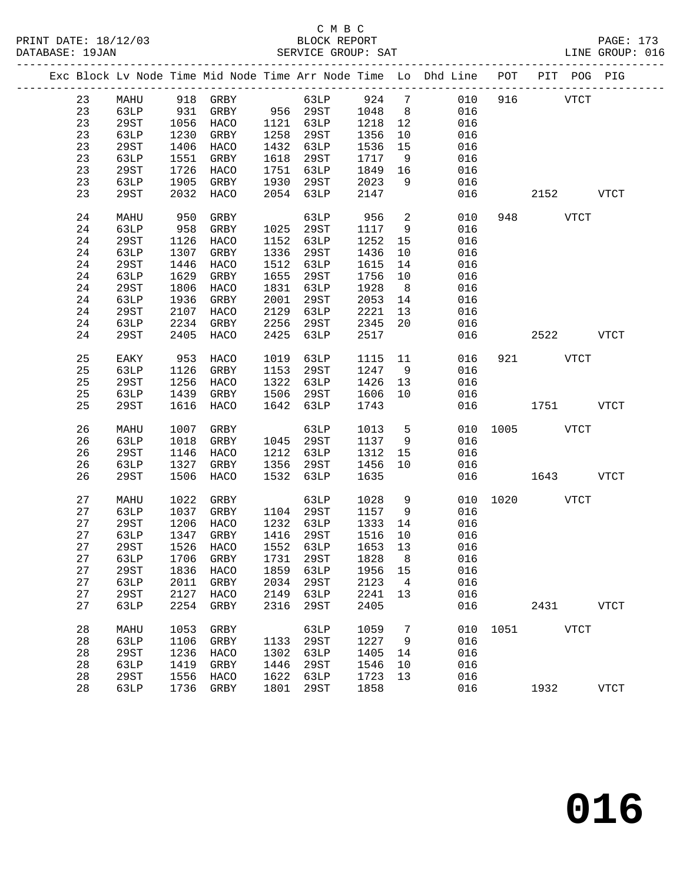|  |    |             |      |                                 |      |           |         |                 | Exc Block Lv Node Time Mid Node Time Arr Node Time Lo Dhd Line POT PIT POG PIG |      |             |              |             |
|--|----|-------------|------|---------------------------------|------|-----------|---------|-----------------|--------------------------------------------------------------------------------|------|-------------|--------------|-------------|
|  | 23 | MAHU        |      | 918 GRBY                        |      | 63LP      | 924     | $7\phantom{.0}$ | 010                                                                            | 916  |             | ${\tt VTCT}$ |             |
|  | 23 | 63LP        | 931  | GRBY                            |      | 956 29ST  | 1048    | 8 <sup>8</sup>  | 016                                                                            |      |             |              |             |
|  | 23 | 29ST        | 1056 | HACO                            | 1121 | 63LP      | 1218    | 12              | 016                                                                            |      |             |              |             |
|  | 23 | 63LP        | 1230 | GRBY                            | 1258 | 29ST      | 1356    | 10              | 016                                                                            |      |             |              |             |
|  | 23 | 29ST        | 1406 | HACO                            | 1432 | 63LP      | 1536    | 15              | 016                                                                            |      |             |              |             |
|  | 23 | 63LP        | 1551 | GRBY                            | 1618 | 29ST      | 1717    | 9               | 016                                                                            |      |             |              |             |
|  | 23 | <b>29ST</b> | 1726 | HACO                            | 1751 | 63LP      | 1849    | 16              | 016                                                                            |      |             |              |             |
|  | 23 | 63LP        | 1905 | GRBY                            | 1930 | 29ST      | 2023    | 9               | 016                                                                            |      |             |              |             |
|  | 23 | 29ST        | 2032 | HACO                            | 2054 | 63LP      | 2147    |                 | 016                                                                            |      | 2152        |              | <b>VTCT</b> |
|  | 24 | MAHU        | 950  | GRBY                            |      | 63LP      | 956     | $\overline{a}$  | 010                                                                            | 948  |             | VTCT         |             |
|  | 24 | 63LP        | 958  | GRBY                            | 1025 | 29ST      | 1117    | 9               | 016                                                                            |      |             |              |             |
|  | 24 | <b>29ST</b> | 1126 | HACO                            | 1152 | 63LP      | 1252    | 15              | 016                                                                            |      |             |              |             |
|  | 24 | 63LP        | 1307 | GRBY                            | 1336 | 29ST      | 1436    | 10              | 016                                                                            |      |             |              |             |
|  | 24 | <b>29ST</b> | 1446 | HACO                            | 1512 | 63LP      | 1615    | 14              | 016                                                                            |      |             |              |             |
|  | 24 | 63LP        | 1629 | GRBY                            | 1655 | 29ST      | 1756    | 10              | 016                                                                            |      |             |              |             |
|  | 24 | 29ST        | 1806 | HACO                            | 1831 | 63LP      | 1928    | 8               | 016                                                                            |      |             |              |             |
|  | 24 | 63LP        | 1936 | GRBY                            | 2001 | 29ST      | 2053    | 14              | 016                                                                            |      |             |              |             |
|  | 24 | 29ST        | 2107 | HACO                            | 2129 | 63LP      | 2221    | 13              | 016                                                                            |      |             |              |             |
|  | 24 | 63LP        | 2234 | GRBY                            | 2256 | 29ST      | 2345    | 20              | 016                                                                            |      |             |              |             |
|  | 24 | 29ST        | 2405 | HACO                            | 2425 | 63LP      | 2517    |                 | 016                                                                            |      | 2522        |              | <b>VTCT</b> |
|  |    |             |      |                                 |      |           |         |                 |                                                                                |      |             |              |             |
|  | 25 | EAKY        | 953  | HACO                            | 1019 | 63LP      | 1115    | 11              | 016                                                                            |      | 921 VTCT    |              |             |
|  | 25 | 63LP        | 1126 | GRBY                            | 1153 | 29ST      | 1247    | 9               | 016                                                                            |      |             |              |             |
|  | 25 | 29ST        | 1256 | HACO                            | 1322 | 63LP      | 1426    | 13              | 016                                                                            |      |             |              |             |
|  | 25 | 63LP        | 1439 | GRBY                            | 1506 | 29ST      | 1606    | 10              | 016                                                                            |      |             |              |             |
|  | 25 | <b>29ST</b> | 1616 | HACO                            | 1642 | 63LP      | 1743    |                 | 016                                                                            |      | 1751        |              | <b>VTCT</b> |
|  | 26 | MAHU        | 1007 | GRBY                            |      | 63LP      | 1013    | $5^{\circ}$     | 010                                                                            | 1005 | <b>VTCT</b> |              |             |
|  | 26 | 63LP        | 1018 | GRBY                            | 1045 | 29ST      | 1137    | 9               | 016                                                                            |      |             |              |             |
|  | 26 | <b>29ST</b> | 1146 | HACO                            | 1212 | 63LP      | 1312    | 15              | 016                                                                            |      |             |              |             |
|  | 26 | 63LP        | 1327 | GRBY                            | 1356 | 29ST      | 1456    | 10              | 016                                                                            |      |             |              |             |
|  | 26 | 29ST        | 1506 | HACO                            | 1532 | 63LP      | 1635    |                 | 016                                                                            |      | 1643        |              | <b>VTCT</b> |
|  | 27 | MAHU        | 1022 | GRBY                            |      | 63LP      | 1028    | 9               | 010                                                                            | 1020 |             | <b>VTCT</b>  |             |
|  | 27 | 63LP        | 1037 | GRBY                            | 1104 | 29ST      | 1157    | 9               | 016                                                                            |      |             |              |             |
|  | 27 | <b>29ST</b> | 1206 | HACO                            | 1232 | 63LP      | 1333    | 14              | 016                                                                            |      |             |              |             |
|  | 27 | 63LP        | 1347 | GRBY                            | 1416 | 29ST      | 1516    | 10              | 016                                                                            |      |             |              |             |
|  | 27 | 29ST        | 1526 | HACO                            |      | 1552 63LP | 1653 13 |                 | 016                                                                            |      |             |              |             |
|  | 27 |             |      | 63LP 1706 GRBY 1731 29ST 1828 8 |      |           |         |                 | 016                                                                            |      |             |              |             |
|  | 27 | 29ST        | 1836 | HACO                            | 1859 | 63LP      | 1956    | 15              | 016                                                                            |      |             |              |             |
|  | 27 | 63LP        | 2011 | GRBY                            | 2034 | 29ST      | 2123    | 4               | 016                                                                            |      |             |              |             |
|  | 27 | 29ST        | 2127 | HACO                            | 2149 | 63LP      | 2241    | 13              | 016                                                                            |      |             |              |             |
|  | 27 | 63LP        | 2254 | GRBY                            | 2316 | 29ST      | 2405    |                 | 016                                                                            |      | 2431        |              | <b>VTCT</b> |
|  | 28 | MAHU        | 1053 | GRBY                            |      | 63LP      | 1059    | 7               | 010                                                                            | 1051 |             | <b>VTCT</b>  |             |
|  | 28 | 63LP        | 1106 | GRBY                            | 1133 | 29ST      | 1227    | 9               | 016                                                                            |      |             |              |             |
|  | 28 | 29ST        | 1236 | HACO                            | 1302 | 63LP      | 1405    | 14              | 016                                                                            |      |             |              |             |
|  | 28 | 63LP        | 1419 | GRBY                            | 1446 | 29ST      | 1546    | 10              | 016                                                                            |      |             |              |             |
|  | 28 | 29ST        | 1556 | HACO                            | 1622 | 63LP      | 1723    | 13              | 016                                                                            |      |             |              |             |
|  | 28 | 63LP        | 1736 | GRBY                            | 1801 | 29ST      | 1858    |                 | 016                                                                            |      | 1932        |              | <b>VTCT</b> |
|  |    |             |      |                                 |      |           |         |                 |                                                                                |      |             |              |             |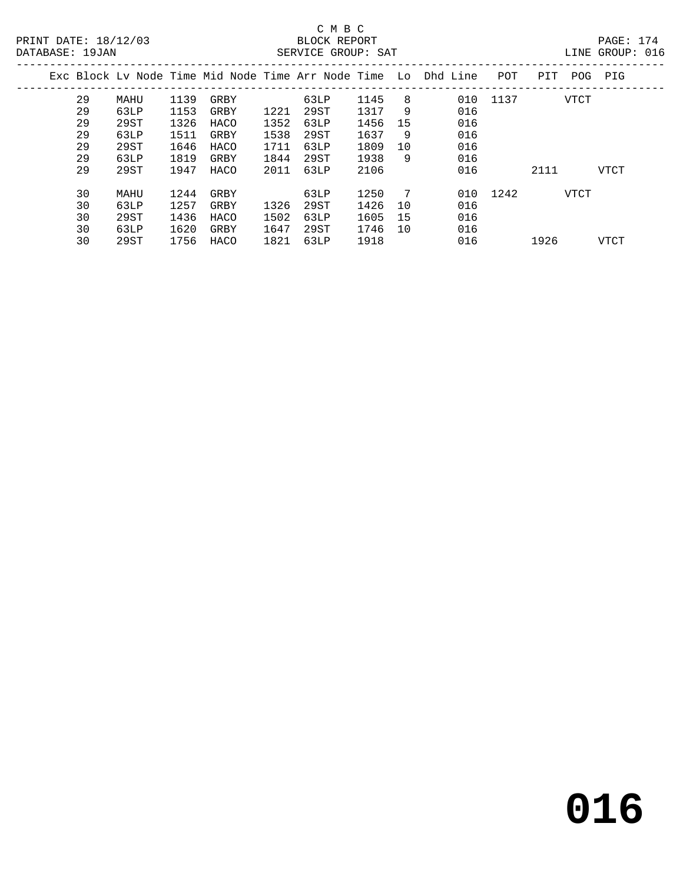### C M B C

| DATABASE: 19JAN |    |      |      |      |      | SERVICE GROUP: SAT |         |    |                                                                    |          |      |             | LINE GROUP: 016 |  |
|-----------------|----|------|------|------|------|--------------------|---------|----|--------------------------------------------------------------------|----------|------|-------------|-----------------|--|
|                 |    |      |      |      |      |                    |         |    | Exc Block Ly Node Time Mid Node Time Arr Node Time Lo Dhd Line POT |          | PIT  | POG PIG     |                 |  |
|                 | 29 | MAHU | 1139 | GRBY |      | 63LP               | 1145    | 8  |                                                                    | 010 1137 |      | VTCT        |                 |  |
|                 | 29 | 63LP | 1153 | GRBY | 1221 | 29ST               | 1317    | 9  | 016                                                                |          |      |             |                 |  |
|                 | 29 | 29ST | 1326 | HACO | 1352 | 63LP               | 1456    | 15 | 016                                                                |          |      |             |                 |  |
|                 | 29 | 63LP | 1511 | GRBY | 1538 | 29ST               | 1637    | 9  | 016                                                                |          |      |             |                 |  |
|                 | 29 | 29ST | 1646 | HACO | 1711 | 63LP               | 1809    | 10 | 016                                                                |          |      |             |                 |  |
|                 | 29 | 63LP | 1819 | GRBY | 1844 | 29ST               | 1938    | 9  | 016                                                                |          |      |             |                 |  |
|                 | 29 | 29ST | 1947 | HACO | 2011 | 63LP               | 2106    |    | 016                                                                |          | 2111 |             | VTCT            |  |
|                 | 30 | MAHU | 1244 | GRBY |      | 63LP               | 1250    | 7  |                                                                    | 010 1242 |      | <b>VTCT</b> |                 |  |
|                 | 30 | 63LP | 1257 | GRBY | 1326 | 29ST               | 1426    | 10 | 016                                                                |          |      |             |                 |  |
|                 | 30 | 29ST | 1436 | HACO | 1502 | 63LP               | 1605    | 15 | 016                                                                |          |      |             |                 |  |
|                 | 30 | 63LP | 1620 | GRBY | 1647 | 29ST               | 1746 10 |    | 016                                                                |          |      |             |                 |  |

30 29ST 1756 HACO 1821 63LP 1918 016 1926 VTCT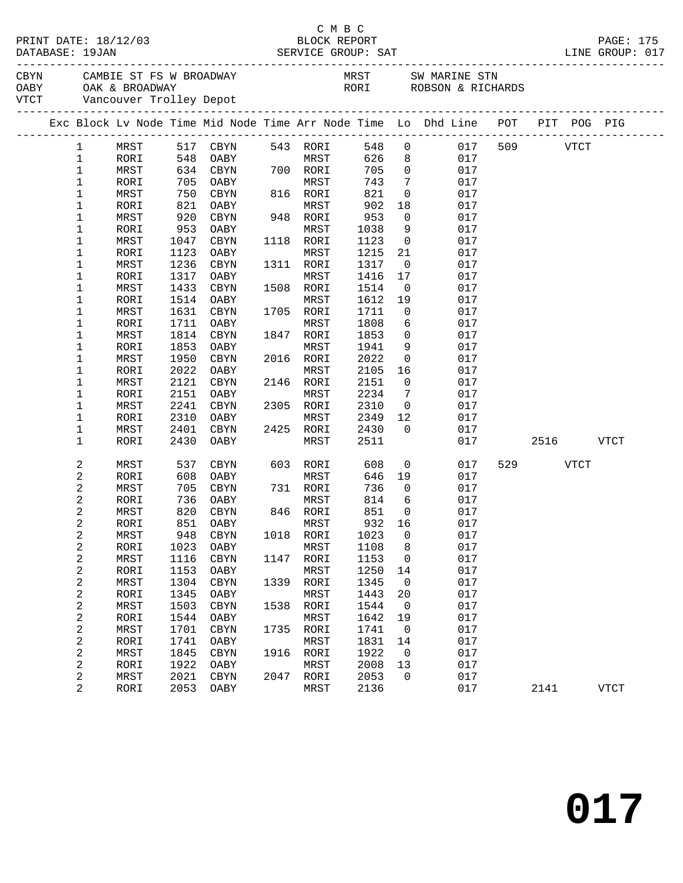|  |              |            |      |                           |      |           |       |                | PAGE: 175<br>LINE GROUP: 017                                                                                                                                                                                                   |     |      |             |             |
|--|--------------|------------|------|---------------------------|------|-----------|-------|----------------|--------------------------------------------------------------------------------------------------------------------------------------------------------------------------------------------------------------------------------|-----|------|-------------|-------------|
|  |              |            |      |                           |      |           |       |                | CBYN CAMBIE ST FS W BROADWAY MRST SW MARINE STN OABY OAK & BROADWAY NEST SW MARINE STN CARE ON A RICHARD CONSULTER SUMMER ON A RICHARD SUMMER ON MARINE STRUMENT ON A RICHARD SUMMER ON A RICHARD SUMMER ON A RICHARD SUMMER O |     |      |             |             |
|  |              |            |      |                           |      |           |       |                | Exc Block Lv Node Time Mid Node Time Arr Node Time Lo Dhd Line POT PIT POG PIG                                                                                                                                                 |     |      |             |             |
|  | $\mathbf{1}$ | MRST       |      | 517 CBYN                  |      | 543 RORI  |       |                | 548 0<br>017                                                                                                                                                                                                                   | 509 |      | VTCT        |             |
|  | $\mathbf 1$  | RORI       | 548  | OABY                      |      | MRST      | 626 8 |                | 017                                                                                                                                                                                                                            |     |      |             |             |
|  | $\mathbf 1$  | MRST       |      | 634 CBYN                  | 700  | 700 RORI  | 705   | $\overline{0}$ | 017                                                                                                                                                                                                                            |     |      |             |             |
|  | $1\,$        | RORI       |      | 705 OABY                  |      | MRST      | 743   | $\overline{7}$ | 017                                                                                                                                                                                                                            |     |      |             |             |
|  | $\mathbf 1$  | MRST       | 750  | CBYN                      |      | 816 RORI  | 821   | $\overline{0}$ | 017                                                                                                                                                                                                                            |     |      |             |             |
|  | 1            | RORI       | 821  | OABY                      |      | MRST      | 902   | 18             | 017                                                                                                                                                                                                                            |     |      |             |             |
|  | 1            | MRST       | 920  | CBYN                      |      | 948 RORI  | 953   | $\overline{0}$ | 017                                                                                                                                                                                                                            |     |      |             |             |
|  | 1            | RORI       | 953  | OABY                      |      | MRST      | 1038  | 9              | 017                                                                                                                                                                                                                            |     |      |             |             |
|  | 1            | MRST       | 1047 | CBYN                      |      | 1118 RORI | 1123  | $\overline{0}$ | 017                                                                                                                                                                                                                            |     |      |             |             |
|  | 1            | RORI       | 1123 | OABY                      |      | MRST      | 1215  | 21             | 017                                                                                                                                                                                                                            |     |      |             |             |
|  | 1            | MRST       | 1236 | CBYN                      |      | 1311 RORI | 1317  | $\overline{0}$ | 017                                                                                                                                                                                                                            |     |      |             |             |
|  | 1            | RORI       | 1317 | OABY                      |      | MRST      | 1416  | 17             | 017                                                                                                                                                                                                                            |     |      |             |             |
|  | 1            | MRST       | 1433 | CBYN                      |      | 1508 RORI | 1514  | $\overline{0}$ | 017                                                                                                                                                                                                                            |     |      |             |             |
|  | 1            | RORI       | 1514 | OABY                      |      | MRST      | 1612  | 19             | 017                                                                                                                                                                                                                            |     |      |             |             |
|  | 1            | MRST       | 1631 | CBYN                      |      | 1705 RORI | 1711  | $\overline{0}$ | 017                                                                                                                                                                                                                            |     |      |             |             |
|  | 1            | RORI       | 1711 | OABY                      |      | MRST      | 1808  | 6              | 017                                                                                                                                                                                                                            |     |      |             |             |
|  | 1            | MRST       | 1814 | CBYN                      |      | 1847 RORI | 1853  | $\overline{0}$ | 017                                                                                                                                                                                                                            |     |      |             |             |
|  | 1            | RORI       | 1853 | OABY                      |      | MRST      | 1941  | 9              | 017                                                                                                                                                                                                                            |     |      |             |             |
|  | 1            | MRST       | 1950 | CBYN                      |      | 2016 RORI | 2022  | $\overline{0}$ | 017                                                                                                                                                                                                                            |     |      |             |             |
|  | 1            | RORI       | 2022 | OABY                      |      | MRST      | 2105  | 16             | 017                                                                                                                                                                                                                            |     |      |             |             |
|  | $\mathbf 1$  | MRST       | 2121 | CBYN                      |      | 2146 RORI | 2151  | $\overline{0}$ | 017                                                                                                                                                                                                                            |     |      |             |             |
|  | 1            | RORI       | 2151 | OABY                      |      | MRST      | 2234  | 7              | 017                                                                                                                                                                                                                            |     |      |             |             |
|  | $\mathbf 1$  | MRST       | 2241 | CBYN                      |      | 2305 RORI | 2310  | $\overline{0}$ | 017                                                                                                                                                                                                                            |     |      |             |             |
|  | 1            | RORI       | 2310 | OABY                      |      | MRST      | 2349  | 12             | 017                                                                                                                                                                                                                            |     |      |             |             |
|  | $\mathbf 1$  | MRST       | 2401 | CBYN                      |      | 2425 RORI | 2430  | $\overline{0}$ | 017                                                                                                                                                                                                                            |     |      |             |             |
|  | $\mathbf 1$  | RORI       | 2430 | OABY                      |      | MRST      | 2511  |                | 017                                                                                                                                                                                                                            |     | 2516 |             | <b>VTCT</b> |
|  | 2            | MRST       | 537  | CBYN                      |      | 603 RORI  | 608   | $\overline{0}$ | 017                                                                                                                                                                                                                            |     | 529  | <b>VTCT</b> |             |
|  | 2            | RORI       | 608  | OABY                      |      | MRST      | 646   | 19             | 017                                                                                                                                                                                                                            |     |      |             |             |
|  | 2            | MRST       | 705  | CBYN                      |      | 731 RORI  | 736   | $\overline{0}$ | 017                                                                                                                                                                                                                            |     |      |             |             |
|  | 2            | RORI       | 736  | OABY                      |      | MRST      | 814   | 6              | 017                                                                                                                                                                                                                            |     |      |             |             |
|  | 2            | MRST       | 820  | CBYN                      |      | 846 RORI  | 851   | $\overline{0}$ | 017                                                                                                                                                                                                                            |     |      |             |             |
|  | 2            | RORI       | 851  | OABY                      |      | MRST      | 932   | 16             | 017                                                                                                                                                                                                                            |     |      |             |             |
|  | 2            | $\tt MRST$ |      | 948 CBYN 1018 RORI 1023 0 |      |           |       |                | 017                                                                                                                                                                                                                            |     |      |             |             |
|  | 2            | RORI       | 1023 | OABY                      |      | MRST      | 1108  | 8              | 017                                                                                                                                                                                                                            |     |      |             |             |
|  | 2            | MRST       | 1116 | CBYN                      | 1147 | RORI      | 1153  | $\mathbf 0$    | 017                                                                                                                                                                                                                            |     |      |             |             |
|  | 2            | RORI       | 1153 | OABY                      |      | MRST      | 1250  | 14             | 017                                                                                                                                                                                                                            |     |      |             |             |
|  | 2            | MRST       | 1304 | CBYN                      | 1339 | RORI      | 1345  | $\overline{0}$ | 017                                                                                                                                                                                                                            |     |      |             |             |
|  | 2            | RORI       | 1345 | OABY                      |      | MRST      | 1443  | 20             | 017                                                                                                                                                                                                                            |     |      |             |             |
|  | 2            | MRST       | 1503 | CBYN                      | 1538 | RORI      | 1544  | 0              | 017                                                                                                                                                                                                                            |     |      |             |             |
|  | 2            | RORI       | 1544 | OABY                      |      | MRST      | 1642  | 19             | 017                                                                                                                                                                                                                            |     |      |             |             |
|  | 2            | MRST       | 1701 | CBYN                      | 1735 | RORI      | 1741  | $\overline{0}$ | 017                                                                                                                                                                                                                            |     |      |             |             |
|  | 2            | RORI       | 1741 | OABY                      |      | MRST      | 1831  | 14             | 017                                                                                                                                                                                                                            |     |      |             |             |
|  | 2            | MRST       | 1845 | CBYN                      | 1916 | RORI      | 1922  | 0              | 017                                                                                                                                                                                                                            |     |      |             |             |
|  | 2            | RORI       | 1922 | OABY                      |      | MRST      | 2008  | 13             | 017                                                                                                                                                                                                                            |     |      |             |             |
|  | 2            | MRST       | 2021 | CBYN                      |      | 2047 RORI | 2053  | $\overline{0}$ | 017                                                                                                                                                                                                                            |     |      |             |             |
|  | 2            | RORI       | 2053 | OABY                      |      | MRST      | 2136  |                | 017                                                                                                                                                                                                                            |     | 2141 |             | <b>VTCT</b> |

C M B C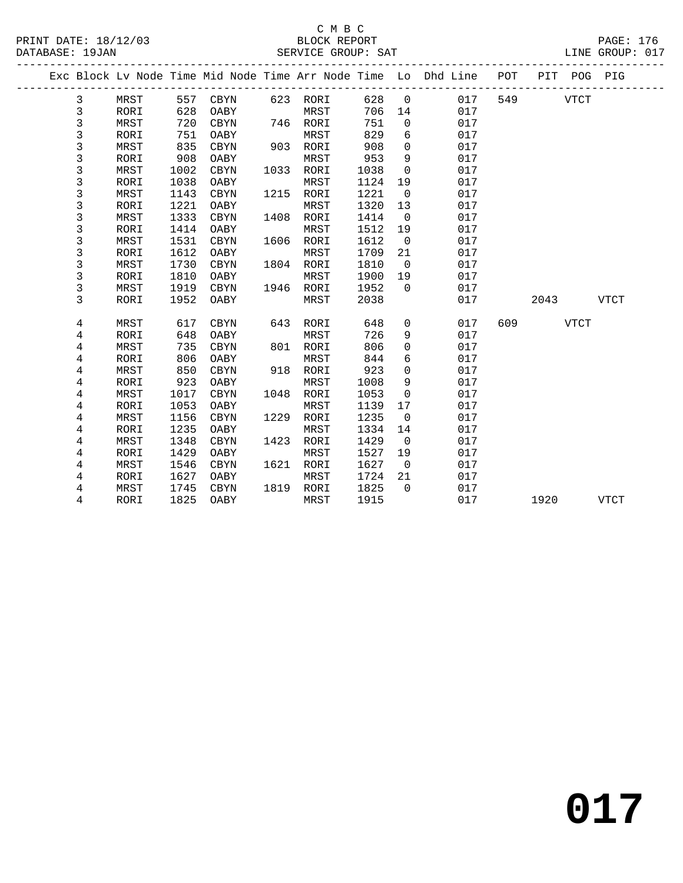#### C M B C<br>BLOCK REPORT PRINT DATE: 18/12/03 BLOCK REPORT PAGE: 176 SERVICE GROUP: SAT

|  |             |             |      |             |      |          |      |              | Exc Block Lv Node Time Mid Node Time Arr Node Time Lo Dhd Line | POT |      | PIT POG PIG |             |
|--|-------------|-------------|------|-------------|------|----------|------|--------------|----------------------------------------------------------------|-----|------|-------------|-------------|
|  | 3           | MRST        | 557  | CBYN        |      | 623 RORI | 628  | $\mathbf 0$  | 017                                                            | 549 |      | <b>VTCT</b> |             |
|  | 3           | RORI        | 628  | OABY        |      | MRST     | 706  | 14           | 017                                                            |     |      |             |             |
|  | $\mathsf 3$ | MRST        | 720  | CBYN        | 746  | RORI     | 751  | 0            | 017                                                            |     |      |             |             |
|  | $\mathsf 3$ | <b>RORI</b> | 751  | OABY        |      | MRST     | 829  | 6            | 017                                                            |     |      |             |             |
|  | $\mathsf 3$ | MRST        | 835  | <b>CBYN</b> | 903  | RORI     | 908  | 0            | 017                                                            |     |      |             |             |
|  | 3           | RORI        | 908  | OABY        |      | MRST     | 953  | 9            | 017                                                            |     |      |             |             |
|  | 3           | MRST        | 1002 | <b>CBYN</b> | 1033 | RORI     | 1038 | $\mathbf 0$  | 017                                                            |     |      |             |             |
|  | 3           | RORI        | 1038 | OABY        |      | MRST     | 1124 | 19           | 017                                                            |     |      |             |             |
|  | 3           | MRST        | 1143 | <b>CBYN</b> | 1215 | RORI     | 1221 | 0            | 017                                                            |     |      |             |             |
|  | 3           | <b>RORI</b> | 1221 | OABY        |      | MRST     | 1320 | 13           | 017                                                            |     |      |             |             |
|  | 3           | MRST        | 1333 | <b>CBYN</b> | 1408 | RORI     | 1414 | $\mathbf 0$  | 017                                                            |     |      |             |             |
|  | 3           | RORI        | 1414 | OABY        |      | MRST     | 1512 | 19           | 017                                                            |     |      |             |             |
|  | 3           | MRST        | 1531 | <b>CBYN</b> | 1606 | RORI     | 1612 | $\mathbf 0$  | 017                                                            |     |      |             |             |
|  | 3           | RORI        | 1612 | OABY        |      | MRST     | 1709 | 21           | 017                                                            |     |      |             |             |
|  | 3           | MRST        | 1730 | <b>CBYN</b> | 1804 | RORI     | 1810 | $\Omega$     | 017                                                            |     |      |             |             |
|  | 3           | RORI        | 1810 | OABY        |      | MRST     | 1900 | 19           | 017                                                            |     |      |             |             |
|  | $\mathsf 3$ | MRST        | 1919 | <b>CBYN</b> | 1946 | RORI     | 1952 | $\Omega$     | 017                                                            |     |      |             |             |
|  | 3           | RORI        | 1952 | OABY        |      | MRST     | 2038 |              | 017                                                            |     | 2043 |             | <b>VTCT</b> |
|  |             |             |      |             |      |          |      |              |                                                                |     |      |             |             |
|  | 4           | MRST        | 617  | <b>CBYN</b> | 643  | RORI     | 648  | 0            | 017                                                            | 609 |      | <b>VTCT</b> |             |
|  | 4           | <b>RORI</b> | 648  | OABY        |      | MRST     | 726  | 9            | 017                                                            |     |      |             |             |
|  | 4           | MRST        | 735  | CBYN        | 801  | RORI     | 806  | 0            | 017                                                            |     |      |             |             |
|  | 4           | RORI        | 806  | OABY        |      | MRST     | 844  | 6            | 017                                                            |     |      |             |             |
|  | 4           | <b>MRST</b> | 850  | <b>CBYN</b> | 918  | RORI     | 923  | 0            | 017                                                            |     |      |             |             |
|  | 4           | RORI        | 923  | OABY        |      | MRST     | 1008 | 9            | 017                                                            |     |      |             |             |
|  | 4           | <b>MRST</b> | 1017 | <b>CBYN</b> | 1048 | RORI     | 1053 | 0            | 017                                                            |     |      |             |             |
|  | 4           | RORI        | 1053 | OABY        |      | MRST     | 1139 | 17           | 017                                                            |     |      |             |             |
|  | 4           | MRST        | 1156 | CBYN        | 1229 | RORI     | 1235 | 0            | 017                                                            |     |      |             |             |
|  | 4           | RORI        | 1235 | OABY        |      | MRST     | 1334 | 14           | 017                                                            |     |      |             |             |
|  | $\,4$       | MRST        | 1348 | CBYN        | 1423 | RORI     | 1429 | $\mathsf{O}$ | 017                                                            |     |      |             |             |
|  | 4           | RORI        | 1429 | OABY        |      | MRST     | 1527 | 19           | 017                                                            |     |      |             |             |
|  | 4           | <b>MRST</b> | 1546 | <b>CBYN</b> | 1621 | RORI     | 1627 | $\mathbf 0$  | 017                                                            |     |      |             |             |
|  | 4           | RORI        | 1627 | OABY        |      | MRST     | 1724 | 21           | 017                                                            |     |      |             |             |
|  | 4           | MRST        | 1745 | CBYN        | 1819 | RORI     | 1825 | $\mathbf 0$  | 017                                                            |     |      |             |             |
|  | 4           | <b>RORI</b> | 1825 | OABY        |      | MRST     | 1915 |              | 017                                                            |     | 1920 |             | <b>VTCT</b> |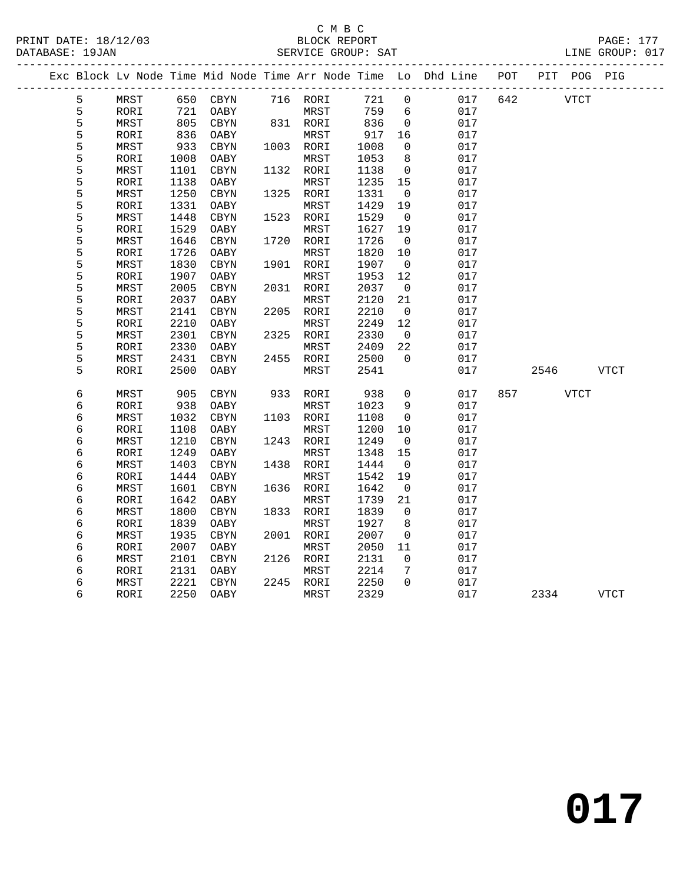### C M B C<br>BLOCK REPORT

| PRINT DATE: 18/12/03 | RLOCK REPORT                                                                   | PAGE: 177       |
|----------------------|--------------------------------------------------------------------------------|-----------------|
| DATABASE: 19JAN      | SERVICE GROUP: SAT                                                             | LINE GROUP: 017 |
|                      | Exc Block Ly Node Time Mid Node Time Arr Node Time Lo Dhd Line POT PIT POG PIG |                 |

|  |   |            |      |            |      |            |      |                 | Exc Block Lv Node Time Mid Node Time Arr Node Time Lo Dhd Line | POT | PIT  | POG PIG     |             |
|--|---|------------|------|------------|------|------------|------|-----------------|----------------------------------------------------------------|-----|------|-------------|-------------|
|  | 5 | MRST       | 650  | $\rm CBYN$ |      | 716 RORI   | 721  | $\mathsf{O}$    | 017                                                            | 642 |      | <b>VTCT</b> |             |
|  | 5 | RORI       | 721  | OABY       |      | MRST       | 759  | $6\overline{6}$ | 017                                                            |     |      |             |             |
|  | 5 | MRST       | 805  | CBYN       |      | 831 RORI   | 836  | 0               | 017                                                            |     |      |             |             |
|  | 5 | RORI       | 836  | OABY       |      | MRST       | 917  | 16              | 017                                                            |     |      |             |             |
|  | 5 | MRST       | 933  | CBYN       | 1003 | RORI       | 1008 | $\mathbf 0$     | 017                                                            |     |      |             |             |
|  | 5 | RORI       | 1008 | OABY       |      | MRST       | 1053 | 8               | 017                                                            |     |      |             |             |
|  | 5 | MRST       | 1101 | CBYN       | 1132 | RORI       | 1138 | 0               | 017                                                            |     |      |             |             |
|  | 5 | RORI       | 1138 | OABY       |      | $\tt MRST$ | 1235 | 15              | 017                                                            |     |      |             |             |
|  | 5 | MRST       | 1250 | $\tt CBYN$ | 1325 | RORI       | 1331 | $\mathbf 0$     | 017                                                            |     |      |             |             |
|  | 5 | RORI       | 1331 | OABY       |      | MRST       | 1429 | 19              | 017                                                            |     |      |             |             |
|  | 5 | MRST       | 1448 | $\tt CBYN$ | 1523 | RORI       | 1529 | $\mathbf 0$     | 017                                                            |     |      |             |             |
|  | 5 | RORI       | 1529 | OABY       |      | MRST       | 1627 | 19              | 017                                                            |     |      |             |             |
|  | 5 | MRST       | 1646 | CBYN       | 1720 | RORI       | 1726 | 0               | 017                                                            |     |      |             |             |
|  | 5 | RORI       | 1726 | OABY       |      | MRST       | 1820 | 10              | 017                                                            |     |      |             |             |
|  | 5 | MRST       | 1830 | $\rm CBYN$ | 1901 | RORI       | 1907 | $\mathsf 0$     | 017                                                            |     |      |             |             |
|  | 5 | RORI       | 1907 | OABY       |      | MRST       | 1953 | 12              | 017                                                            |     |      |             |             |
|  | 5 | MRST       | 2005 | CBYN       | 2031 | RORI       | 2037 | 0               | 017                                                            |     |      |             |             |
|  | 5 | RORI       | 2037 | OABY       |      | MRST       | 2120 | 21              | 017                                                            |     |      |             |             |
|  | 5 | MRST       | 2141 | $\tt CBYN$ | 2205 | RORI       | 2210 | $\mathbf 0$     | 017                                                            |     |      |             |             |
|  | 5 | RORI       | 2210 | OABY       |      | MRST       | 2249 | 12              | 017                                                            |     |      |             |             |
|  | 5 | MRST       | 2301 | $\rm CBYN$ | 2325 | RORI       | 2330 | 0               | 017                                                            |     |      |             |             |
|  | 5 | $\tt RORI$ | 2330 | OABY       |      | MRST       | 2409 | 22              | 017                                                            |     |      |             |             |
|  | 5 | MRST       | 2431 | CBYN       | 2455 | RORI       | 2500 | $\Omega$        | 017                                                            |     |      |             |             |
|  | 5 | RORI       | 2500 | OABY       |      | MRST       | 2541 |                 | 017                                                            |     | 2546 |             | <b>VTCT</b> |
|  | 6 | MRST       | 905  | CBYN       | 933  | RORI       | 938  | 0               | 017                                                            | 857 |      | <b>VTCT</b> |             |
|  | 6 | RORI       | 938  | OABY       |      | MRST       | 1023 | 9               | 017                                                            |     |      |             |             |
|  | 6 | MRST       | 1032 | CBYN       | 1103 | RORI       | 1108 | 0               | 017                                                            |     |      |             |             |
|  | 6 | RORI       | 1108 | OABY       |      | MRST       | 1200 | 10              | 017                                                            |     |      |             |             |
|  | 6 | MRST       | 1210 | CBYN       | 1243 | RORI       | 1249 | 0               | 017                                                            |     |      |             |             |
|  | 6 | RORI       | 1249 | OABY       |      | MRST       | 1348 | 15              | 017                                                            |     |      |             |             |
|  | 6 | MRST       | 1403 | CBYN       | 1438 | RORI       | 1444 | 0               | 017                                                            |     |      |             |             |
|  | 6 | RORI       | 1444 | OABY       |      | MRST       | 1542 | 19              | 017                                                            |     |      |             |             |
|  | 6 | MRST       | 1601 | $\tt CBYN$ | 1636 | RORI       | 1642 | 0               | 017                                                            |     |      |             |             |
|  | 6 | RORI       | 1642 | OABY       |      | MRST       | 1739 | 21              | 017                                                            |     |      |             |             |
|  | б | MRST       | 1800 | $\tt CBYN$ | 1833 | RORI       | 1839 | 0               | 017                                                            |     |      |             |             |
|  | 6 | RORI       | 1839 | OABY       |      | MRST       | 1927 | 8               | 017                                                            |     |      |             |             |
|  | 6 | MRST       | 1935 | CBYN       | 2001 | RORI       | 2007 | 0               | 017                                                            |     |      |             |             |
|  | 6 | RORI       | 2007 | OABY       |      | MRST       | 2050 | 11              | 017                                                            |     |      |             |             |
|  | 6 | MRST       | 2101 | $\tt CBYN$ | 2126 | RORI       | 2131 | $\mathbf 0$     | 017                                                            |     |      |             |             |
|  | 6 | RORI       | 2131 | OABY       |      | MRST       | 2214 | 7               | 017                                                            |     |      |             |             |
|  | 6 | MRST       | 2221 | CBYN       | 2245 | RORI       | 2250 | $\Omega$        | 017                                                            |     |      |             |             |
|  | 6 | RORI       | 2250 | OABY       |      | MRST       | 2329 |                 | 017                                                            |     | 2334 |             | <b>VTCT</b> |
|  |   |            |      |            |      |            |      |                 |                                                                |     |      |             |             |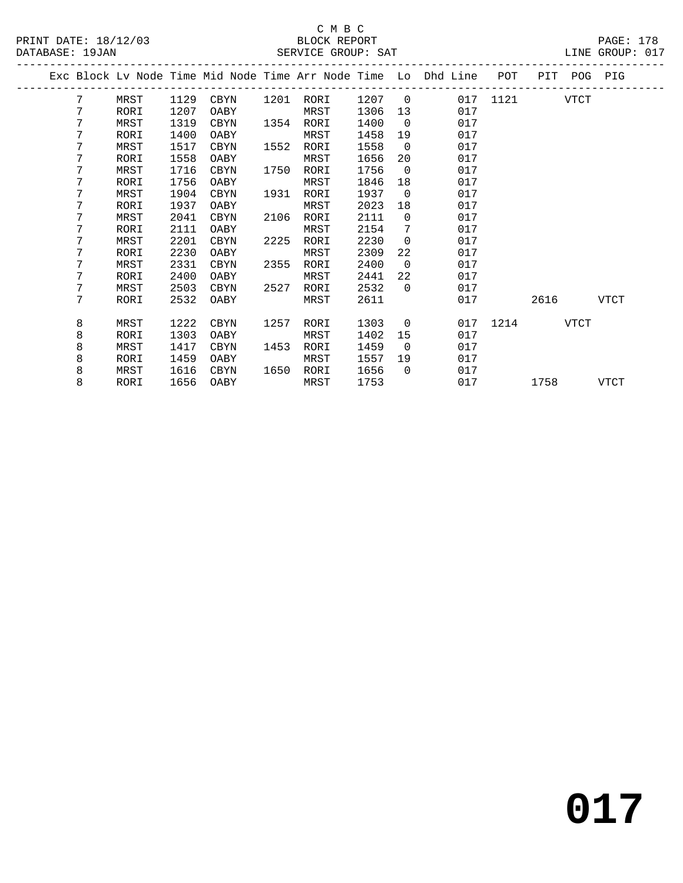#### C M B C<br>BLOCK REPORT SERVICE GROUP: SAT

|  |   |      |      |             |      |           |      |                          | Exc Block Lv Node Time Mid Node Time Arr Node Time Lo Dhd Line | POT           | PIT  | POG PIG |      |
|--|---|------|------|-------------|------|-----------|------|--------------------------|----------------------------------------------------------------|---------------|------|---------|------|
|  | 7 | MRST | 1129 | CBYN        |      | 1201 RORI | 1207 | $\overline{0}$           |                                                                | 017 1121 VTCT |      |         |      |
|  | 7 | RORI | 1207 | OABY        |      | MRST      | 1306 | 13                       | 017                                                            |               |      |         |      |
|  | 7 | MRST | 1319 | CBYN        | 1354 | RORI      | 1400 | $\overline{0}$           | 017                                                            |               |      |         |      |
|  | 7 | RORI | 1400 | OABY        |      | MRST      | 1458 | 19                       | 017                                                            |               |      |         |      |
|  | 7 | MRST | 1517 | CBYN        | 1552 | RORI      | 1558 | $\Omega$                 | 017                                                            |               |      |         |      |
|  | 7 | RORI | 1558 | OABY        |      | MRST      | 1656 | 20                       | 017                                                            |               |      |         |      |
|  | 7 | MRST | 1716 | CBYN        | 1750 | RORI      | 1756 | $\Omega$                 | 017                                                            |               |      |         |      |
|  | 7 | RORI | 1756 | OABY        |      | MRST      | 1846 | 18                       | 017                                                            |               |      |         |      |
|  | 7 | MRST | 1904 | <b>CBYN</b> | 1931 | RORI      | 1937 | $\overline{\phantom{0}}$ | 017                                                            |               |      |         |      |
|  | 7 | RORI | 1937 | OABY        |      | MRST      | 2023 | 18                       | 017                                                            |               |      |         |      |
|  | 7 | MRST | 2041 | <b>CBYN</b> | 2106 | RORI      | 2111 | $\Omega$                 | 017                                                            |               |      |         |      |
|  | 7 | RORI | 2111 | OABY        |      | MRST      | 2154 | 7                        | 017                                                            |               |      |         |      |
|  | 7 | MRST | 2201 | <b>CBYN</b> | 2225 | RORI      | 2230 | $\Omega$                 | 017                                                            |               |      |         |      |
|  | 7 | RORI | 2230 | OABY        |      | MRST      | 2309 | 22                       | 017                                                            |               |      |         |      |
|  | 7 | MRST | 2331 | <b>CBYN</b> | 2355 | RORI      | 2400 | $\overline{0}$           | 017                                                            |               |      |         |      |
|  | 7 | RORI | 2400 | OABY        |      | MRST      | 2441 | 22                       | 017                                                            |               |      |         |      |
|  | 7 | MRST | 2503 | CBYN        | 2527 | RORI      | 2532 | $\Omega$                 | 017                                                            |               |      |         |      |
|  | 7 | RORI | 2532 | OABY        |      | MRST      | 2611 |                          | 017                                                            |               | 2616 |         | VTCT |
|  | 8 | MRST | 1222 | CBYN        | 1257 | RORI      | 1303 | $\overline{0}$           |                                                                | 017 1214      |      | VTCT    |      |
|  | 8 | RORI | 1303 | OABY        |      | MRST      | 1402 | 15                       | 017                                                            |               |      |         |      |
|  | 8 | MRST | 1417 | CBYN        | 1453 | RORI      | 1459 | $\Omega$                 | 017                                                            |               |      |         |      |
|  | 8 | RORI | 1459 | OABY        |      | MRST      | 1557 | 19                       | 017                                                            |               |      |         |      |
|  | 8 | MRST | 1616 | CBYN        | 1650 | RORI      | 1656 | $\Omega$                 | 017                                                            |               |      |         |      |
|  | 8 | RORI | 1656 | OABY        |      | MRST      | 1753 |                          | 017                                                            |               | 1758 |         | VTCT |
|  |   |      |      |             |      |           |      |                          |                                                                |               |      |         |      |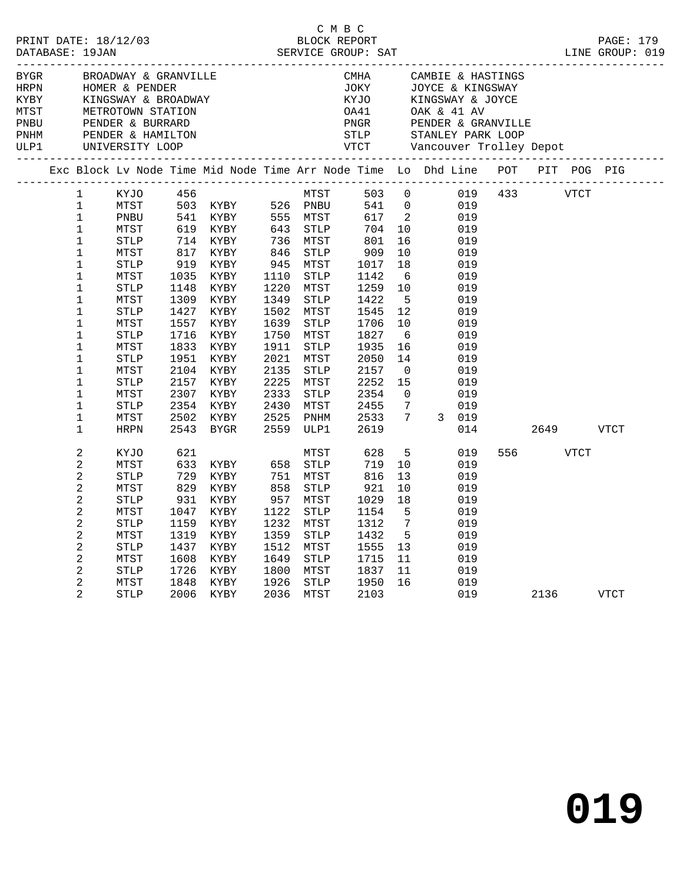| BYGR<br>HRPN | BROADWAY & GRANVILLE<br>HOMER & PENDER<br>KINGSWAY & BROADWAY |                                |                     |                  |                                                                                |              |                  | CMHA<br>JOKY |                          | CAMBIE & HASTINGS<br>JOYCE & KINGSWAY |                |         |      |             |  |
|--------------|---------------------------------------------------------------|--------------------------------|---------------------|------------------|--------------------------------------------------------------------------------|--------------|------------------|--------------|--------------------------|---------------------------------------|----------------|---------|------|-------------|--|
|              |                                                               |                                |                     |                  |                                                                                |              |                  | KYJO         |                          | KINGSWAY & JOYCE                      |                |         |      |             |  |
|              |                                                               |                                |                     |                  |                                                                                |              |                  | OA41         |                          | OAK & 41 AV                           |                |         |      |             |  |
|              | METROTOWN STATION<br>PENDER & BURRARD                         |                                |                     |                  |                                                                                |              |                  |              |                          | PNGR PENDER & GRANVILLE               |                |         |      |             |  |
|              | PNHM PENDER & HAMILTON<br>ULP1 UNIVERSITY LOOP                |                                |                     |                  |                                                                                |              |                  |              |                          |                                       |                |         |      |             |  |
|              |                                                               |                                |                     |                  |                                                                                |              |                  |              |                          |                                       |                |         |      |             |  |
|              |                                                               |                                |                     |                  | Exc Block Lv Node Time Mid Node Time Arr Node Time Lo Dhd Line POT PIT POG PIG |              |                  |              |                          |                                       |                |         |      |             |  |
|              |                                                               | $\mathbf{1}$                   | KYJO                | 456              |                                                                                |              | MTST             | 503 0        |                          |                                       | 019  433  VTCT |         |      |             |  |
|              |                                                               | $\mathbf 1$                    | MTST                |                  | 503 KYBY                                                                       |              | 526 PNBU         | 541          | $\overline{0}$           | 019                                   |                |         |      |             |  |
|              |                                                               | $\mathbf 1$                    | PNBU                |                  | 541 KYBY<br>619 KYBY                                                           |              | 555 MTST         | 617          | $\overline{\phantom{a}}$ | 019                                   |                |         |      |             |  |
|              |                                                               | $\mathbf 1$<br>$\mathbf 1$     | MTST<br><b>STLP</b> | $7 + 817$<br>317 | KYBY                                                                           | 736          | 643 STLP<br>MTST | 704<br>801   | 10<br>16                 | 019<br>019                            |                |         |      |             |  |
|              |                                                               | $\mathbf 1$                    | MTST                |                  | KYBY                                                                           | 846          | STLP             | 909          | 10                       | 019                                   |                |         |      |             |  |
|              |                                                               | $\mathbf 1$                    | <b>STLP</b>         |                  | KYBY                                                                           | 945          | MTST             | 1017         | 18                       | 019                                   |                |         |      |             |  |
|              |                                                               | $\mathbf 1$                    | MTST                | 1035             | KYBY                                                                           | 1110         | STLP             | 1142         | 6                        | 019                                   |                |         |      |             |  |
|              |                                                               | $\mathbf 1$                    | STLP                | 1148             | KYBY                                                                           | 1220         | MTST             | 1259         | 10                       | 019                                   |                |         |      |             |  |
|              |                                                               | $\mathbf 1$                    | MTST                | 1309             | KYBY                                                                           | 1349         | STLP             | 1422         | $5^{\circ}$              | 019                                   |                |         |      |             |  |
|              |                                                               | 1                              | STLP                |                  | 1427 KYBY                                                                      | 1502         | MTST             | 1545         | 12                       | 019                                   |                |         |      |             |  |
|              |                                                               | $\mathbf 1$                    | MTST                | 1557             | KYBY                                                                           | 1639         | STLP             | 1706         | 10                       | 019                                   |                |         |      |             |  |
|              |                                                               | $\mathbf 1$                    | STLP                | 1716             | KYBY                                                                           | 1750         | MTST             | 1827         | 6                        | 019                                   |                |         |      |             |  |
|              |                                                               | 1                              | MTST                | 1833             | KYBY                                                                           | 1911         | <b>STLP</b>      | 1935         | 16                       | 019                                   |                |         |      |             |  |
|              |                                                               | $\mathbf 1$                    | <b>STLP</b>         | 1951             | KYBY                                                                           | 2021         | MTST             | 2050         | 14                       | 019                                   |                |         |      |             |  |
|              |                                                               | $\mathbf 1$                    | MTST                | 2104             | KYBY                                                                           | 2135         | <b>STLP</b>      | 2157         | $\overline{0}$           | 019                                   |                |         |      |             |  |
|              |                                                               | $\mathbf 1$<br>$\mathbf 1$     | STLP                | 2157             | KYBY                                                                           | 2225<br>2333 | MTST             | 2252         | 15<br>$\overline{0}$     | 019<br>019                            |                |         |      |             |  |
|              |                                                               | $\mathbf 1$                    | MTST<br><b>STLP</b> | 2307<br>2354     | KYBY<br>KYBY                                                                   | 2430         | STLP<br>MTST     | 2354<br>2455 | $7\phantom{.0}$          | 019                                   |                |         |      |             |  |
|              |                                                               | $\mathbf 1$                    | MTST                | 2502             | KYBY                                                                           | 2525         | PNHM             | 2533         | $7^{\circ}$              | 3 019                                 |                |         |      |             |  |
|              |                                                               | 1                              | <b>HRPN</b>         | 2543             | BYGR                                                                           | 2559         | ULP1             | 2619         |                          | 014                                   |                | 2649    |      | <b>VTCT</b> |  |
|              |                                                               | 2                              | KYJO                | 621              |                                                                                |              | MTST             | 628          | 5                        | 019                                   |                | 556 700 | VTCT |             |  |
|              |                                                               | 2                              | MTST                | 633              | KYBY                                                                           | 658          | <b>STLP</b>      | 719          | 10                       | 019                                   |                |         |      |             |  |
|              |                                                               | $\mathbf{2}$                   | STLP                | 729              | KYBY                                                                           | 751          | MTST             | 816          | 13                       | 019                                   |                |         |      |             |  |
|              |                                                               | 2                              | MTST                | 829              | KYBY                                                                           | 858          | STLP             | 921          | 10                       | 019                                   |                |         |      |             |  |
|              |                                                               | 2                              | <b>STLP</b>         | 931              | KYBY                                                                           | 957          | MTST             | 1029         | 18                       | 019                                   |                |         |      |             |  |
|              |                                                               | $\mathbf{2}$                   | MTST                | 1047             | KYBY                                                                           | 1122         | <b>STLP</b>      | 1154         | 5<br>$7\phantom{.0}$     | 019                                   |                |         |      |             |  |
|              |                                                               | $\mathbf{2}$<br>$\overline{c}$ | STLP<br>MTST        | 1159<br>1319     | KYBY<br>KYBY                                                                   | 1232<br>1359 | MTST<br>STLP     | 1312<br>1432 | $5^{\circ}$              | 019<br>019                            |                |         |      |             |  |
|              |                                                               | 2                              | STLP                | 1437             | KYBY                                                                           | 1512         | MTST             | 1555         | 13                       | 019                                   |                |         |      |             |  |
|              |                                                               | $\mathbf{2}$                   | MTST                | 1608             | KYBY                                                                           | 1649         | STLP             | 1715         | 11                       | 019                                   |                |         |      |             |  |
|              |                                                               | $\mathbf{2}$                   | STLP                | 1726             | KYBY                                                                           | 1800         | MTST             | 1837         | 11                       | 019                                   |                |         |      |             |  |
|              |                                                               | 2                              | MTST                | 1848             | KYBY                                                                           | 1926         | STLP             | 1950         | 16                       | 019                                   |                |         |      |             |  |
|              |                                                               | 2                              | <b>STLP</b>         |                  | 2006 KYBY                                                                      | 2036         | MTST             | 2103         |                          | 019                                   |                | 2136    |      | <b>VTCT</b> |  |

C M B C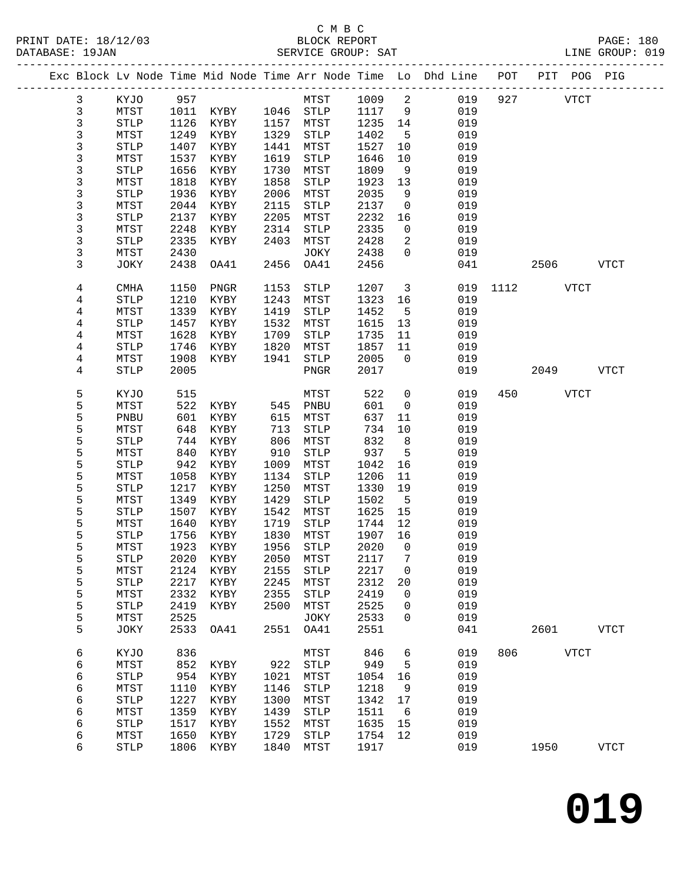### C M B C<br>BLOCK REPORT

| DATABASE: 19JAN |             | SERVICE GROUP: SAT |                          |            |                  |         |                            |                                                                                |              |             |           | LINE GROUP: 019 |  |
|-----------------|-------------|--------------------|--------------------------|------------|------------------|---------|----------------------------|--------------------------------------------------------------------------------|--------------|-------------|-----------|-----------------|--|
|                 |             |                    |                          |            |                  |         |                            | Exc Block Lv Node Time Mid Node Time Arr Node Time Lo Dhd Line POT PIT POG PIG |              |             |           |                 |  |
| $\mathbf{3}$    | KYJO 957    |                    |                          |            | MTST 1009 2      |         |                            |                                                                                | 019 927 VTCT |             |           |                 |  |
| $\mathbf{3}$    | MTST        |                    | 1011 KYBY                |            | 1046 STLP 1117 9 |         |                            | 019                                                                            |              |             |           |                 |  |
| $\mathbf{3}$    | STLP        | 1126               | KYBY                     |            | 1157 MTST        | 1235 14 |                            | 019<br>$\frac{14}{5}$                                                          |              |             |           |                 |  |
| $\mathbf{3}$    | MTST        | 1249               | KYBY                     | 1329       | STLP             | 1402    |                            | 019                                                                            |              |             |           |                 |  |
| $\mathfrak{Z}$  | STLP        | 1407               | KYBY                     | 1441       | MTST             | 1527    |                            | 019                                                                            |              |             |           |                 |  |
| 3               | MTST        | 1537               | KYBY                     | 1619       | STLP             | 1646    | 10                         | 019                                                                            |              |             |           |                 |  |
| 3               | STLP        | 1656               | KYBY                     | 1730       | MTST             | 1809    |                            | 9<br>019                                                                       |              |             |           |                 |  |
| $\mathfrak{Z}$  | MTST        | 1818               | KYBY                     | 1858       | STLP             | 1923    | 13                         | 019                                                                            |              |             |           |                 |  |
| 3               | STLP        | 1936               | KYBY                     | 2006       | MTST             | 2035    | 9                          | 019                                                                            |              |             |           |                 |  |
| 3               | MTST        | 2044               | KYBY                     | 2115       | STLP             | 2137    |                            | $\overline{0}$<br>019                                                          |              |             |           |                 |  |
| 3               | STLP        | 2137               | KYBY                     | 2205       | MTST             | 2232    | 16                         | 019                                                                            |              |             |           |                 |  |
| 3               | MTST        | 2248               | KYBY                     | 2314       | STLP             | 2335    | $\overline{0}$             | 019                                                                            |              |             |           |                 |  |
| 3               | STLP        | 2335               | KYBY                     | 2403       | MTST             | 2428    | $\overline{2}$             | 019                                                                            |              |             |           |                 |  |
| 3               | MTST        | 2430               |                          |            | JOKY             | 2438    |                            | $\overline{0}$<br>019                                                          |              |             |           |                 |  |
| 3               | JOKY        | 2438               | OA41                     | 2456       | OA41             | 2456    |                            | 041                                                                            |              | 2506 VTCT   |           |                 |  |
| 4               | CMHA        | 1150               | PNGR                     | 1153       | STLP             | 1207    |                            | 3 <sup>7</sup><br>019                                                          | 1112 VTCT    |             |           |                 |  |
| 4               | STLP        | 1210               | KYBY                     | 1243       | MTST             | 1323    | 16                         | 019                                                                            |              |             |           |                 |  |
| 4               | MTST        | 1339               | KYBY                     | 1419       | STLP             | 1452    | 5 <sub>5</sub>             | 019                                                                            |              |             |           |                 |  |
| 4               | STLP        | 1457               | KYBY                     | 1532       | MTST             | 1615    | 13                         | 019                                                                            |              |             |           |                 |  |
| $\overline{4}$  | MTST        | 1628               | KYBY                     | 1709       | STLP             | 1735    | 11                         | 019                                                                            |              |             |           |                 |  |
| 4               | STLP        | 1746               | KYBY                     | 1820       | MTST             | 1857    | 11                         | 019                                                                            |              |             |           |                 |  |
| 4               | MTST        | 1908               | KYBY                     | 1941       | STLP             | 2005    | $\overline{0}$             | 019                                                                            |              |             |           |                 |  |
| 4               | <b>STLP</b> | 2005               |                          |            | PNGR             | 2017    |                            | 019                                                                            |              |             | 2049 VTCT |                 |  |
| 5               | KYJO        | 515                |                          |            | MTST             | 522     |                            | $\overline{0}$<br>019                                                          |              | 450 VTCT    |           |                 |  |
| 5               | MTST        | 522                | KYBY 545 PNBU            |            |                  | 601     |                            | 019<br>$\overline{0}$                                                          |              |             |           |                 |  |
| 5               | PNBU        | 601                | KYBY                     | 615        | MTST             | 637     | 11                         | 019                                                                            |              |             |           |                 |  |
| 5               | MTST        | 648                | KYBY                     | 713<br>806 | STLP             | 734     | 10                         | 019                                                                            |              |             |           |                 |  |
| 5               | STLP        | 744                | KYBY                     |            | MTST             | 832     | 8 <sup>8</sup>             | 019                                                                            |              |             |           |                 |  |
| 5               | MTST        | 840                | KYBY                     | 910        | STLP             | 937     | $5^{\circ}$                | 019                                                                            |              |             |           |                 |  |
| 5               | STLP        | 942                | KYBY                     | 1009       | MTST             | 1042    | 16                         | 019                                                                            |              |             |           |                 |  |
| 5               | MTST        | 1058               | KYBY                     | 1134       | STLP             | 1206    | 11                         | 019                                                                            |              |             |           |                 |  |
| 5               | STLP        | 1217               | KYBY                     | 1250       | MTST             | 1330    | 19                         | 019                                                                            |              |             |           |                 |  |
| 5               | MTST        | 1349               | KYBY                     | 1429       | STLP             | 1502    |                            | 5 <sub>5</sub><br>019                                                          |              |             |           |                 |  |
| 5               | STLP        | 1507               | KYBY                     | 1542       | MTST             | 1625 15 |                            | 019                                                                            |              |             |           |                 |  |
| 5               | MTST        | 1640               | KYBY                     | 1719       | STLP             | 1744 12 |                            | 019                                                                            |              |             |           |                 |  |
| 5               | <b>STLP</b> |                    | 1756 KYBY                | 1830       | MTST             | 1907 16 |                            | 019                                                                            |              |             |           |                 |  |
| 5               |             |                    | MTST 1923 KYBY 1956 STLP |            |                  |         |                            | 2020 0 019                                                                     |              |             |           |                 |  |
| 5               | <b>STLP</b> | 2020               | KYBY                     | 2050       | MTST             | 2117    | 7                          | 019                                                                            |              |             |           |                 |  |
| 5               | MTST        | 2124               | KYBY                     | 2155       | STLP             | 2217    | $\overline{0}$             | 019                                                                            |              |             |           |                 |  |
| 5               | STLP        | 2217               | KYBY                     | 2245       | MTST             | 2312    | 20                         | 019                                                                            |              |             |           |                 |  |
| 5<br>5          | MTST        | 2332               | KYBY                     | 2355       | STLP             | 2419    | $\overline{0}$             | 019                                                                            |              |             |           |                 |  |
| 5               | STLP        | 2419               | KYBY                     | 2500       | MTST             | 2525    | $\mathbf 0$<br>$\mathbf 0$ | 019<br>019                                                                     |              |             |           |                 |  |
| 5               | MTST        | 2525               |                          |            | JOKY             | 2533    |                            |                                                                                |              |             |           |                 |  |
|                 | JOKY        | 2533               | OA41                     |            | 2551 OA41        | 2551    |                            | 041                                                                            |              |             | 2601 VTCT |                 |  |
| 6               | KYJO        | 836                |                          |            | MTST             | 846     | 6                          | 019                                                                            | 806          | <b>VTCT</b> |           |                 |  |
| 6               | MTST        |                    | 852 KYBY                 |            | 922 STLP         | 949     | 5                          | 019                                                                            |              |             |           |                 |  |
| 6               | <b>STLP</b> |                    | 954 KYBY                 |            | 1021 MTST        | 1054    | 16                         | 019                                                                            |              |             |           |                 |  |

 6 MTST 1110 KYBY 1146 STLP 1218 9 019 6 STLP 1227 KYBY 1300 MTST 1342 17 019 6 MTST 1359 KYBY 1439 STLP 1511 6 019 6 STLP 1517 KYBY 1552 MTST 1635 15 019 6 MTST 1650 KYBY 1729 STLP 1754 12 019

6 STLP 1806 KYBY 1840 MTST 1917 019 1950 VTCT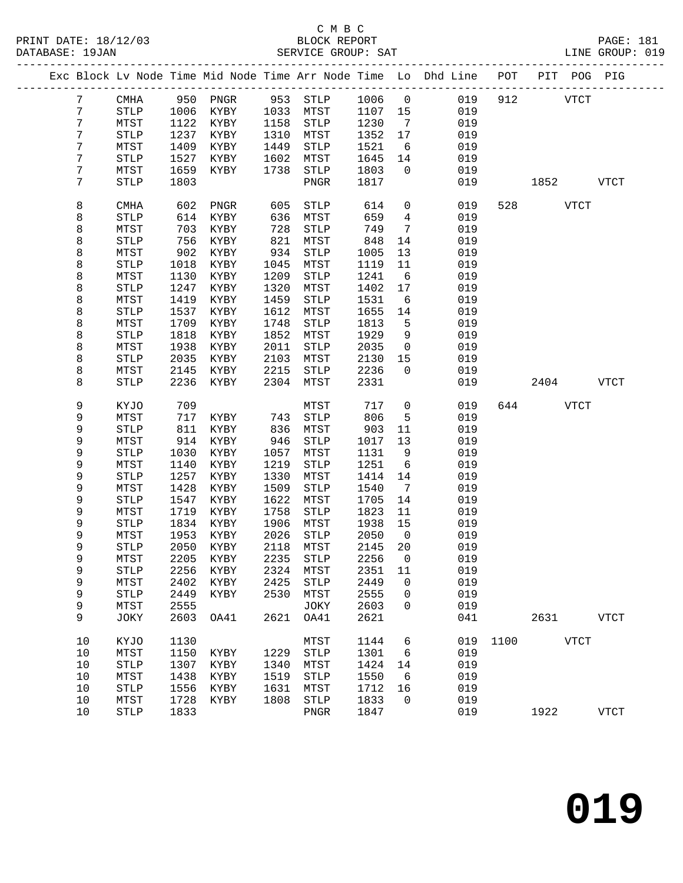|                 |                       |      |                   |      |                       |         |                 | Exc Block Lv Node Time Mid Node Time Arr Node Time Lo Dhd Line POT PIT POG PIG |          |             |              |
|-----------------|-----------------------|------|-------------------|------|-----------------------|---------|-----------------|--------------------------------------------------------------------------------|----------|-------------|--------------|
| $7\phantom{.0}$ | CMHA                  |      | 950 PNGR 953 STLP |      |                       | 1006 0  |                 | 019                                                                            | 912      | <b>VTCT</b> |              |
| $7\phantom{.0}$ | STLP                  | 1006 | KYBY 1033 MTST    |      |                       | 1107 15 |                 | 019                                                                            |          |             |              |
| 7               | MTST                  | 1122 | KYBY              | 1158 | STLP                  | 1230    | $\overline{7}$  | 019                                                                            |          |             |              |
| 7               | <b>STLP</b>           | 1237 | KYBY              | 1310 | MTST                  | 1352    | 17              | 019                                                                            |          |             |              |
| 7               | MTST                  | 1409 | KYBY              | 1449 | STLP                  | 1521    | 6               | 019                                                                            |          |             |              |
| 7               | STLP                  | 1527 | KYBY              | 1602 | MTST                  | 1645    | 14              | 019                                                                            |          |             |              |
| 7               | MTST                  | 1659 | KYBY              | 1738 | STLP                  | 1803    | $\overline{0}$  | 019                                                                            |          |             |              |
| 7               | <b>STLP</b>           |      |                   |      |                       | 1817    |                 | 019                                                                            |          |             |              |
|                 |                       | 1803 |                   |      | PNGR                  |         |                 |                                                                                |          | 1852        | VTCT         |
| 8               | CMHA                  | 602  | PNGR              | 605  | STLP                  | 614     | $\overline{0}$  | 019                                                                            |          | 528 VTCT    |              |
| 8               | <b>STLP</b>           | 614  | KYBY              | 636  | MTST                  | 659     | $\overline{4}$  | 019                                                                            |          |             |              |
| 8               | MTST                  | 703  | KYBY              | 728  | STLP                  | 749     | $\overline{7}$  | 019                                                                            |          |             |              |
| 8               | <b>STLP</b>           | 756  | KYBY              | 821  | MTST                  | 848     | 14              | 019                                                                            |          |             |              |
| 8               | MTST                  | 902  | KYBY              | 934  | STLP                  | 1005    | 13              | 019                                                                            |          |             |              |
| 8               | $\operatorname{STLP}$ | 1018 | KYBY              | 1045 | MTST                  | 1119    | 11              | 019                                                                            |          |             |              |
| 8               | MTST                  | 1130 | KYBY              | 1209 | STLP                  | 1241    | 6               | 019                                                                            |          |             |              |
| 8               | <b>STLP</b>           | 1247 | KYBY              | 1320 | MTST                  | 1402    | 17              | 019                                                                            |          |             |              |
| 8               | MTST                  | 1419 | KYBY              | 1459 | STLP                  | 1531    | $6\overline{6}$ | 019                                                                            |          |             |              |
| 8               | <b>STLP</b>           | 1537 | KYBY              | 1612 | MTST                  | 1655    | 14              | 019                                                                            |          |             |              |
| 8               | MTST                  | 1709 | KYBY              | 1748 | STLP                  | 1813    | 5               | 019                                                                            |          |             |              |
| 8               | <b>STLP</b>           | 1818 | KYBY              | 1852 | MTST                  | 1929    | 9               | 019                                                                            |          |             |              |
|                 | MTST                  | 1938 |                   | 2011 | ${\tt STLP}$          | 2035    | $\overline{0}$  | 019                                                                            |          |             |              |
| 8               |                       |      | KYBY              |      |                       |         |                 |                                                                                |          |             |              |
| 8               | ${\tt STLP}$          | 2035 | KYBY              | 2103 | MTST                  | 2130    | 15              | 019                                                                            |          |             |              |
| 8               | MTST                  | 2145 | KYBY              | 2215 | STLP                  | 2236    | $\overline{0}$  | 019                                                                            |          |             |              |
| 8               | <b>STLP</b>           | 2236 | KYBY              | 2304 | MTST                  | 2331    |                 | 019                                                                            |          | 2404        | VTCT         |
| 9               | KYJO                  | 709  |                   |      | MTST                  | 717     | $\overline{0}$  | 019                                                                            |          | 644 VTCT    |              |
| 9               | MTST                  | 717  | KYBY              | 743  | STLP                  | 806     | 5               | 019                                                                            |          |             |              |
| 9               | <b>STLP</b>           | 811  | KYBY              | 836  | MTST                  | 903     | 11              | 019                                                                            |          |             |              |
| 9               | MTST                  | 914  | KYBY              | 946  | STLP                  | 1017    | 13              | 019                                                                            |          |             |              |
| 9               | $\operatorname{STLP}$ | 1030 | KYBY              | 1057 | MTST                  | 1131    | 9               | 019                                                                            |          |             |              |
| 9               | MTST                  | 1140 | KYBY              | 1219 | STLP                  | 1251    | $6\overline{6}$ | 019                                                                            |          |             |              |
| 9               | <b>STLP</b>           | 1257 | KYBY              | 1330 | MTST                  | 1414    | 14              | 019                                                                            |          |             |              |
| 9               | MTST                  | 1428 | KYBY              | 1509 | STLP                  | 1540    | $\overline{7}$  | 019                                                                            |          |             |              |
| 9               | <b>STLP</b>           | 1547 | KYBY              | 1622 | MTST                  | 1705    | 14              | 019                                                                            |          |             |              |
| 9               | MTST                  | 1719 | KYBY              | 1758 | STLP                  | 1823    | 11              | 019                                                                            |          |             |              |
| 9               | <b>STLP</b>           | 1834 | KYBY              | 1906 | MTST                  | 1938    | 15              | 019                                                                            |          |             |              |
| 9               | MTST                  | 1953 | KYBY              | 2026 | STLP                  | 2050    | $\overline{0}$  | 019                                                                            |          |             |              |
| 9               | <b>STLP</b>           | 2050 | KYBY              | 2118 | MTST                  | 2145    | 20              | 019                                                                            |          |             |              |
| 9               | MTST                  |      | 2205 KYBY         |      | 2235 STLP             | 2256 0  |                 | 019                                                                            |          |             |              |
| 9               | <b>STLP</b>           | 2256 | KYBY              | 2324 | MTST                  | 2351    | 11              | 019                                                                            |          |             |              |
| 9               | MTST                  | 2402 | KYBY              | 2425 | STLP                  | 2449    | $\mathbf 0$     | 019                                                                            |          |             |              |
| 9               | <b>STLP</b>           | 2449 | KYBY              | 2530 | MTST                  | 2555    | $\mathsf{O}$    | 019                                                                            |          |             |              |
| 9               | MTST                  | 2555 |                   |      | JOKY                  | 2603    | $\mathbf 0$     | 019                                                                            |          |             |              |
| 9               | JOKY                  | 2603 | OA41              | 2621 | OA41                  | 2621    |                 | 041                                                                            |          | 2631        | VTCT         |
|                 |                       |      |                   |      |                       |         |                 |                                                                                |          |             |              |
| 10              | KYJO                  | 1130 |                   |      | MTST                  | 1144    | 6               |                                                                                | 019 1100 | <b>VTCT</b> |              |
| 10              | MTST                  | 1150 | KYBY              | 1229 | STLP                  | 1301    | 6               | 019                                                                            |          |             |              |
| 10              | $\operatorname{STLP}$ | 1307 | KYBY              | 1340 | MTST                  | 1424    | 14              | 019                                                                            |          |             |              |
| 10              | MTST                  | 1438 | KYBY              | 1519 | STLP                  | 1550    | 6               | 019                                                                            |          |             |              |
| 10              | <b>STLP</b>           | 1556 | KYBY              | 1631 | MTST                  | 1712    | 16              | 019                                                                            |          |             |              |
| 10              | MTST                  | 1728 | KYBY              | 1808 | $\operatorname{STLP}$ | 1833    | $\overline{0}$  | 019                                                                            |          |             |              |
| 10              | <b>STLP</b>           | 1833 |                   |      | ${\tt PNGR}$          | 1847    |                 | 019                                                                            |          | 1922        | ${\tt VTCT}$ |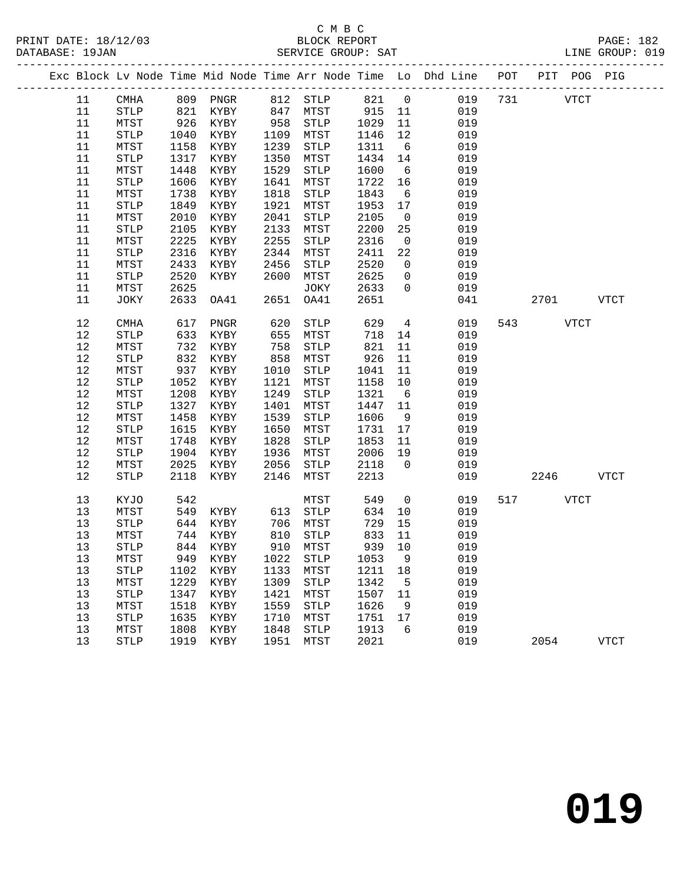|  |      |             |      |          |      |                       |      |      |                 | Exc Block Lv Node Time Mid Node Time Arr Node Time Lo Dhd Line POT<br>------------------------------- |     |      | PIT POG PIG |             |
|--|------|-------------|------|----------|------|-----------------------|------|------|-----------------|-------------------------------------------------------------------------------------------------------|-----|------|-------------|-------------|
|  | 11   | CMHA        | 809  | PNGR     |      | 812 STLP              |      | 821  | $\overline{0}$  | 019                                                                                                   | 731 |      | <b>VTCT</b> |             |
|  | 11   | STLP        | 821  | KYBY     | 847  | MTST                  |      | 915  | 11              | 019                                                                                                   |     |      |             |             |
|  | 11   | MTST        | 926  | KYBY     | 958  | STLP                  |      | 1029 | 11              | 019                                                                                                   |     |      |             |             |
|  | 11   | <b>STLP</b> | 1040 | KYBY     | 1109 | MTST                  |      | 1146 | 12              | 019                                                                                                   |     |      |             |             |
|  | 11   | MTST        | 1158 | KYBY     | 1239 | STLP                  | 1311 |      | $6\overline{6}$ | 019                                                                                                   |     |      |             |             |
|  | 11   | <b>STLP</b> | 1317 | KYBY     | 1350 | MTST                  | 1434 |      | 14              | 019                                                                                                   |     |      |             |             |
|  | 11   | MTST        | 1448 | KYBY     | 1529 | STLP                  |      | 1600 | 6               | 019                                                                                                   |     |      |             |             |
|  | 11   | <b>STLP</b> | 1606 | KYBY     | 1641 | MTST                  |      | 1722 | 16              | 019                                                                                                   |     |      |             |             |
|  | 11   | MTST        | 1738 | KYBY     | 1818 | STLP                  |      | 1843 | 6               | 019                                                                                                   |     |      |             |             |
|  | 11   | <b>STLP</b> | 1849 | KYBY     | 1921 | MTST                  |      | 1953 | 17              | 019                                                                                                   |     |      |             |             |
|  | 11   | MTST        | 2010 | KYBY     | 2041 | STLP                  |      | 2105 | $\overline{0}$  | 019                                                                                                   |     |      |             |             |
|  | 11   | <b>STLP</b> | 2105 | KYBY     | 2133 | MTST                  |      | 2200 | 25              | 019                                                                                                   |     |      |             |             |
|  | 11   | MTST        | 2225 | KYBY     | 2255 | STLP                  |      | 2316 | $\overline{0}$  | 019                                                                                                   |     |      |             |             |
|  | 11   | <b>STLP</b> | 2316 | KYBY     | 2344 | MTST                  |      | 2411 | 22              | 019                                                                                                   |     |      |             |             |
|  | 11   | MTST        | 2433 | KYBY     | 2456 | STLP                  |      | 2520 | $\mathbf 0$     | 019                                                                                                   |     |      |             |             |
|  | 11   | <b>STLP</b> | 2520 | KYBY     | 2600 | MTST                  |      | 2625 | $\mathbf 0$     | 019                                                                                                   |     |      |             |             |
|  | 11   | MTST        | 2625 |          |      | JOKY                  |      | 2633 | $\mathbf 0$     | 019                                                                                                   |     |      |             |             |
|  | 11   | JOKY        | 2633 | OA41     | 2651 | OA41                  |      | 2651 |                 | 041                                                                                                   |     | 2701 |             | <b>VTCT</b> |
|  | 12   | CMHA        | 617  | PNGR     | 620  | STLP                  |      | 629  | $\overline{4}$  | 019                                                                                                   | 543 |      | <b>VTCT</b> |             |
|  | 12   | <b>STLP</b> | 633  | KYBY     | 655  | MTST                  |      | 718  | 14              | 019                                                                                                   |     |      |             |             |
|  | 12   | MTST        | 732  | KYBY     | 758  | <b>STLP</b>           |      | 821  | 11              | 019                                                                                                   |     |      |             |             |
|  | 12   | <b>STLP</b> | 832  | KYBY     | 858  | MTST                  |      | 926  | 11              | 019                                                                                                   |     |      |             |             |
|  | 12   | MTST        | 937  | KYBY     | 1010 | STLP                  |      | 1041 | 11              | 019                                                                                                   |     |      |             |             |
|  | 12   | <b>STLP</b> | 1052 | KYBY     | 1121 | MTST                  | 1158 |      | 10              | 019                                                                                                   |     |      |             |             |
|  | 12   | MTST        | 1208 | KYBY     | 1249 | STLP                  |      | 1321 | $6\overline{6}$ | 019                                                                                                   |     |      |             |             |
|  | 12   | <b>STLP</b> | 1327 | KYBY     | 1401 | MTST                  |      | 1447 | 11              | 019                                                                                                   |     |      |             |             |
|  | 12   | MTST        | 1458 | KYBY     | 1539 | STLP                  | 1606 |      | 9               | 019                                                                                                   |     |      |             |             |
|  | 12   | <b>STLP</b> | 1615 | KYBY     | 1650 | MTST                  |      | 1731 | 17              | 019                                                                                                   |     |      |             |             |
|  | 12   | MTST        | 1748 | KYBY     | 1828 | STLP                  |      | 1853 | 11              | 019                                                                                                   |     |      |             |             |
|  | 12   | <b>STLP</b> | 1904 | KYBY     | 1936 | MTST                  |      | 2006 | 19              | 019                                                                                                   |     |      |             |             |
|  | 12   | MTST        | 2025 | KYBY     | 2056 | STLP                  |      | 2118 | $\Omega$        | 019                                                                                                   |     |      |             |             |
|  | 12   | <b>STLP</b> | 2118 | KYBY     | 2146 | MTST                  |      | 2213 |                 | 019                                                                                                   |     | 2246 |             | <b>VTCT</b> |
|  | 13   | KYJO        | 542  |          |      | MTST                  |      | 549  | $\mathsf{O}$    | 019                                                                                                   | 517 |      | <b>VTCT</b> |             |
|  | 13   | MTST        | 549  | KYBY     | 613  | STLP                  |      | 634  | 10              | 019                                                                                                   |     |      |             |             |
|  | 13   | <b>STLP</b> | 644  | KYBY     | 706  | MTST                  |      | 729  | 15              | 019                                                                                                   |     |      |             |             |
|  | 13   | MTST        | 744  | KYBY     | 810  | STLP                  |      | 833  | 11              | 019                                                                                                   |     |      |             |             |
|  | 13   | STLP        |      | 844 KYBY | 910  | MTST                  |      | 939  | 10              | 019                                                                                                   |     |      |             |             |
|  | $13$ | MTST        | 949  | KYBY     | 1022 | STLP                  |      | 1053 | 9               | 019                                                                                                   |     |      |             |             |
|  | 13   | <b>STLP</b> | 1102 | KYBY     | 1133 | MTST                  |      | 1211 | 18              | 019                                                                                                   |     |      |             |             |
|  | 13   | MTST        | 1229 | KYBY     | 1309 | STLP                  |      | 1342 | 5               | 019                                                                                                   |     |      |             |             |
|  | 13   | STLP        | 1347 | KYBY     | 1421 | MTST                  |      | 1507 | 11              | 019                                                                                                   |     |      |             |             |
|  | 13   | MTST        | 1518 | KYBY     | 1559 | <b>STLP</b>           |      | 1626 | 9               | 019                                                                                                   |     |      |             |             |
|  | 13   | <b>STLP</b> | 1635 | KYBY     | 1710 | MTST                  |      | 1751 | 17              | 019                                                                                                   |     |      |             |             |
|  | 13   | MTST        | 1808 | KYBY     | 1848 | $\operatorname{STLP}$ |      | 1913 | 6               | 019                                                                                                   |     |      |             |             |
|  | 13   | STLP        | 1919 | KYBY     | 1951 | MTST                  |      | 2021 |                 | 019                                                                                                   |     | 2054 |             | <b>VTCT</b> |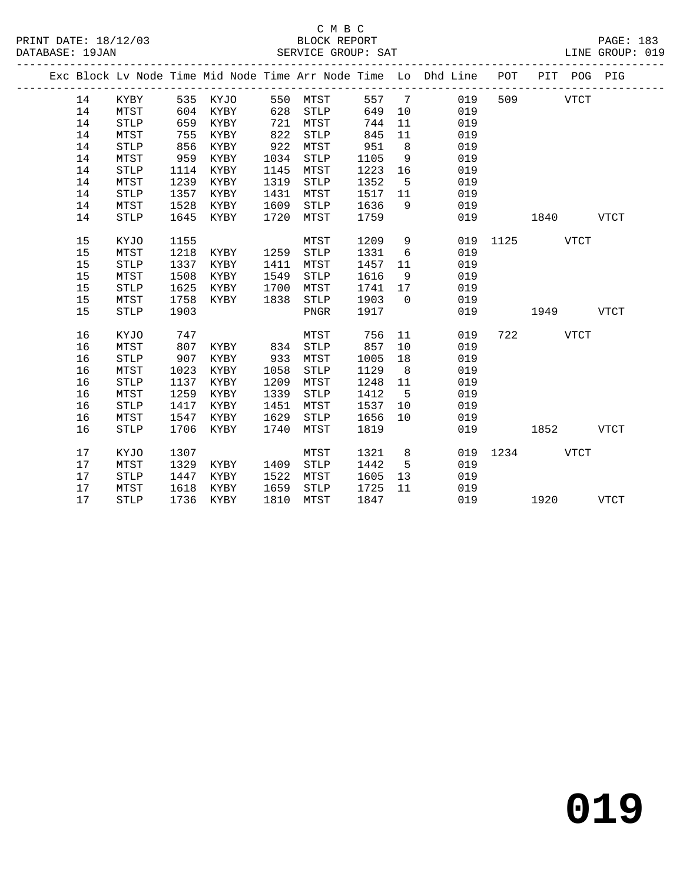|  |    |             |      |           |      |             |      |                | Exc Block Lv Node Time Mid Node Time Arr Node Time Lo Dhd Line POT PIT POG PIG |               |           |             |             |
|--|----|-------------|------|-----------|------|-------------|------|----------------|--------------------------------------------------------------------------------|---------------|-----------|-------------|-------------|
|  | 14 | KYBY        |      | 535 KYJO  |      | 550 MTST    |      |                | 557 7 019                                                                      |               | 509 VTCT  |             |             |
|  | 14 | MTST        | 604  | KYBY      | 628  | STLP        | 649  | 10             | 019                                                                            |               |           |             |             |
|  | 14 | <b>STLP</b> | 659  | KYBY      | 721  | MTST        | 744  | 11             | 019                                                                            |               |           |             |             |
|  | 14 | MTST        | 755  | KYBY      | 822  | <b>STLP</b> | 845  | 11             | 019                                                                            |               |           |             |             |
|  | 14 | <b>STLP</b> | 856  | KYBY      | 922  | MTST        | 951  | 8 <sup>8</sup> | 019                                                                            |               |           |             |             |
|  | 14 | MTST        | 959  | KYBY      | 1034 | STLP        | 1105 | 9              | 019                                                                            |               |           |             |             |
|  | 14 | <b>STLP</b> | 1114 | KYBY      | 1145 | MTST        | 1223 | 16             | 019                                                                            |               |           |             |             |
|  | 14 | MTST        | 1239 | KYBY      | 1319 | STLP        | 1352 | 5              | 019                                                                            |               |           |             |             |
|  | 14 | <b>STLP</b> | 1357 | KYBY      | 1431 | MTST        | 1517 | 11             | 019                                                                            |               |           |             |             |
|  | 14 | MTST        | 1528 | KYBY      | 1609 | <b>STLP</b> | 1636 | 9              | 019                                                                            |               |           |             |             |
|  | 14 | <b>STLP</b> | 1645 | KYBY      | 1720 | MTST        | 1759 |                | 019                                                                            |               | 1840      |             | <b>VTCT</b> |
|  | 15 | KYJO        | 1155 |           |      | MTST        | 1209 | 9              | 019                                                                            | 1125 VTCT     |           |             |             |
|  | 15 | MTST        | 1218 | KYBY      | 1259 | STLP        | 1331 | 6              | 019                                                                            |               |           |             |             |
|  | 15 | <b>STLP</b> | 1337 | KYBY      | 1411 | MTST        | 1457 | 11             | 019                                                                            |               |           |             |             |
|  | 15 | MTST        | 1508 | KYBY      | 1549 | <b>STLP</b> | 1616 | 9              | 019                                                                            |               |           |             |             |
|  | 15 | STLP        | 1625 | KYBY      | 1700 | MTST        | 1741 | 17             | 019                                                                            |               |           |             |             |
|  | 15 | MTST        | 1758 | KYBY      | 1838 | STLP        | 1903 | $\overline{0}$ | 019                                                                            |               |           |             |             |
|  | 15 | <b>STLP</b> | 1903 |           |      | PNGR        | 1917 |                | 019                                                                            |               | 1949      |             | <b>VTCT</b> |
|  | 16 | KYJO        | 747  |           |      | MTST        | 756  | 11             | 019                                                                            |               | 722 VTCT  |             |             |
|  | 16 | MTST        | 807  | KYBY      | 834  | <b>STLP</b> | 857  | 10             | 019                                                                            |               |           |             |             |
|  | 16 | <b>STLP</b> | 907  | KYBY      | 933  | MTST        | 1005 | 18             | 019                                                                            |               |           |             |             |
|  | 16 | MTST        | 1023 | KYBY      | 1058 | STLP        | 1129 | 8              | 019                                                                            |               |           |             |             |
|  | 16 | <b>STLP</b> | 1137 | KYBY      | 1209 | MTST        | 1248 | 11             | 019                                                                            |               |           |             |             |
|  | 16 | MTST        | 1259 | KYBY      | 1339 | <b>STLP</b> | 1412 | $5^{\circ}$    | 019                                                                            |               |           |             |             |
|  | 16 | <b>STLP</b> | 1417 | KYBY      | 1451 | MTST        | 1537 | 10             | 019                                                                            |               |           |             |             |
|  | 16 | MTST        | 1547 | KYBY      | 1629 | STLP        | 1656 | 10             | 019                                                                            |               |           |             |             |
|  | 16 | <b>STLP</b> | 1706 | KYBY      | 1740 | MTST        | 1819 |                | 019                                                                            |               | 1852      | <b>VTCT</b> |             |
|  | 17 | KYJO        | 1307 |           |      | MTST        | 1321 | 8 <sup>8</sup> |                                                                                | 019 1234 VTCT |           |             |             |
|  | 17 | MTST        | 1329 | KYBY      | 1409 | <b>STLP</b> | 1442 | $5^{\circ}$    | 019                                                                            |               |           |             |             |
|  | 17 | <b>STLP</b> | 1447 | KYBY      | 1522 | MTST        | 1605 | 13             | 019                                                                            |               |           |             |             |
|  | 17 | MTST        | 1618 | KYBY      | 1659 | STLP        | 1725 | 11             | 019                                                                            |               |           |             |             |
|  | 17 | <b>STLP</b> |      | 1736 KYBY | 1810 | MTST        | 1847 |                |                                                                                | 019           | 1920 VTCT |             |             |
|  |    |             |      |           |      |             |      |                |                                                                                |               |           |             |             |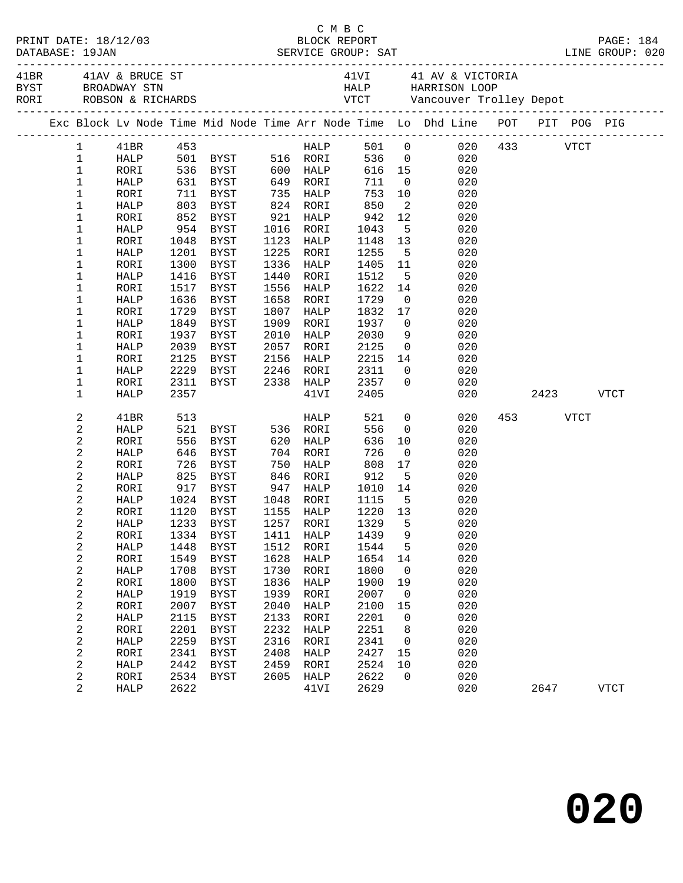|                                |              |            |                               |      |                          |                      |                               | 41BR 41AV & BRUCE ST 41VI 41 AV & VICTORIA<br>BYST BROADWAY STN 52 HALP HARRISON LOOP<br>RORI ROBSON & RICHARDS 52 VTCT Vancouver Trolley Depot |          |             |
|--------------------------------|--------------|------------|-------------------------------|------|--------------------------|----------------------|-------------------------------|-------------------------------------------------------------------------------------------------------------------------------------------------|----------|-------------|
|                                |              |            |                               |      |                          |                      |                               | Exc Block Lv Node Time Mid Node Time Arr Node Time Lo Dhd Line POT PIT POG PIG                                                                  |          |             |
| $\mathbf{1}$                   | 41BR 453     |            |                               |      |                          |                      |                               | HALP 501 0 020 433 VTCT                                                                                                                         |          |             |
| $\mathbf{1}$                   | HALP         |            | 501 BYST 516 RORI             |      |                          |                      |                               | 536 0<br>020                                                                                                                                    |          |             |
| $\mathbf 1$                    | RORI         |            |                               |      |                          |                      |                               | 616  15<br>711  0<br>020                                                                                                                        |          |             |
| 1                              | HALP         |            |                               |      |                          |                      |                               | 020                                                                                                                                             |          |             |
| 1                              | RORI         |            | 711 BYST 735 HALP             |      |                          | 753                  | 10                            | 020                                                                                                                                             |          |             |
| 1                              | HALP         |            | 803 BYST                      |      | 824 RORI                 | 850                  | $\overline{\phantom{a}}$      | 020                                                                                                                                             |          |             |
| 1                              | RORI         | 852        | BYST                          | 921  | HALP                     | 942<br>$942$<br>1043 | 12                            | 020                                                                                                                                             |          |             |
| 1                              | HALP         |            | 954 BYST                      |      | 1016 RORI                |                      | 5 <sub>5</sub>                | 020                                                                                                                                             |          |             |
| $\mathbf 1$                    | RORI         | 1048       | BYST                          | 1123 | HALP                     | 1148                 | 13                            | 020                                                                                                                                             |          |             |
| 1                              | HALP         | 1201       | BYST                          | 1225 | RORI                     | 1255                 | $5^{\circ}$                   | 020                                                                                                                                             |          |             |
| 1                              | RORI         | 1300       | BYST                          | 1336 | HALP                     | 1405                 | 11                            | 020                                                                                                                                             |          |             |
| 1                              | HALP         | 1416       | BYST                          | 1440 | RORI                     | 1512                 | $5^{\circ}$                   | 020                                                                                                                                             |          |             |
| $\mathbf 1$                    | RORI         | 1517       | BYST                          | 1556 | HALP                     | 1622                 | 14                            | 020                                                                                                                                             |          |             |
| 1                              | HALP         | 1636       | BYST                          | 1658 | RORI                     | 1729                 | $\overline{0}$                | 020                                                                                                                                             |          |             |
| 1                              | RORI         | 1729       | BYST                          | 1807 | HALP                     | 1832                 | 17                            | 020                                                                                                                                             |          |             |
| 1                              | HALP         | 1849       | BYST                          | 1909 | RORI                     | 1937                 | $\overline{0}$                | 020                                                                                                                                             |          |             |
| $\mathbf 1$                    | RORI         | 1937       | BYST                          | 2010 | HALP                     | 2030                 |                               | 9<br>020                                                                                                                                        |          |             |
| $\mathbf 1$                    | HALP         | 2039       | BYST                          | 2057 | RORI                     | 2125                 | $\overline{0}$                | 020                                                                                                                                             |          |             |
| 1                              | RORI         | 2125       | BYST                          | 2156 | HALP                     | 2215                 |                               | 14<br>020                                                                                                                                       |          |             |
| $\mathbf 1$                    | HALP         | 2229       | BYST                          |      | 2246 RORI<br>$2338$ HALP | 2311                 | $\overline{0}$                | 020                                                                                                                                             |          |             |
| 1                              | RORI         |            | 2311 BYST                     |      |                          | 2357                 | $\overline{0}$                | 020                                                                                                                                             |          |             |
| $\mathbf 1$                    | HALP         | 2357       |                               |      | 41VI                     | 2405                 |                               | 020                                                                                                                                             |          | 2423 VTCT   |
| $\sqrt{2}$                     | 41BR         | 513        |                               |      | HALP                     | 521                  | $\overline{0}$                | 020                                                                                                                                             | 453 VTCT |             |
| $\mathbf 2$                    | HALP         |            | 521 BYST                      |      | 536 RORI                 | 556                  | $\overline{0}$                | 020                                                                                                                                             |          |             |
| $\mathbf{2}$                   | RORI         | 556        | BYST                          |      | 620 HALP                 | 636                  | 10                            | 020                                                                                                                                             |          |             |
| $\sqrt{2}$                     | HALP         | 646        | BYST                          |      | 704 RORI                 | 726                  | $\overline{0}$                | 020                                                                                                                                             |          |             |
| $\sqrt{2}$                     | RORI         | 726<br>825 | BYST                          | 750  | HALP                     | 808                  | 17                            | 020                                                                                                                                             |          |             |
| $\sqrt{2}$                     | HALP         |            | BYST                          | 846  | RORI                     | 912                  | $5^{\circ}$                   | 020                                                                                                                                             |          |             |
| $\mathbf{2}$                   | RORI         |            | 917 BYST                      | 947  | HALP                     | 1010                 | 14                            | 020                                                                                                                                             |          |             |
| 2                              | HALP         | 1024       | BYST                          |      | 1048 RORI                | 1115                 | $5^{\circ}$                   | 020                                                                                                                                             |          |             |
| $\mathbf{2}$<br>$\overline{c}$ | RORI<br>HALP | 1120       | BYST<br>1233 BYST             |      | 1155 HALP<br>1257 RORI   | 1220 13<br>1329      | $5^{\circ}$                   | 020                                                                                                                                             |          |             |
| 2                              |              |            | RORI 1334 BYST 1411 HALP 1439 |      |                          |                      |                               | 020<br>9 020                                                                                                                                    |          |             |
|                                | HALP         | 1448       | <b>BYST</b>                   | 1512 | RORI                     | 1544                 | 5                             | 020                                                                                                                                             |          |             |
| 2<br>$\boldsymbol{2}$          |              | 1549       |                               | 1628 |                          | 1654                 |                               | 020                                                                                                                                             |          |             |
| $\overline{\mathbf{c}}$        | RORI<br>HALP | 1708       | BYST<br>BYST                  | 1730 | HALP<br>RORI             | 1800                 | 14<br>$\overline{\mathbf{0}}$ | 020                                                                                                                                             |          |             |
| 2                              | RORI         | 1800       | <b>BYST</b>                   | 1836 | HALP                     | 1900                 | 19                            | 020                                                                                                                                             |          |             |
| 2                              | HALP         | 1919       | <b>BYST</b>                   | 1939 | RORI                     | 2007                 | 0                             | 020                                                                                                                                             |          |             |
| $\sqrt{2}$                     | RORI         | 2007       | <b>BYST</b>                   | 2040 | HALP                     | 2100                 | 15                            | 020                                                                                                                                             |          |             |
| $\sqrt{2}$                     | HALP         | 2115       | <b>BYST</b>                   | 2133 | RORI                     | 2201                 | 0                             | 020                                                                                                                                             |          |             |
| $\sqrt{2}$                     | RORI         | 2201       | BYST                          | 2232 | HALP                     | 2251                 | 8                             | 020                                                                                                                                             |          |             |
| $\boldsymbol{2}$               | HALP         | 2259       | <b>BYST</b>                   | 2316 | RORI                     | 2341                 | 0                             | 020                                                                                                                                             |          |             |
| $\overline{\mathbf{c}}$        | RORI         | 2341       | BYST                          | 2408 | HALP                     | 2427                 | 15                            | 020                                                                                                                                             |          |             |
| $\sqrt{2}$                     | HALP         | 2442       | <b>BYST</b>                   | 2459 | RORI                     | 2524                 | 10                            | 020                                                                                                                                             |          |             |
| $\overline{\mathbf{c}}$        | RORI         | 2534       | BYST                          | 2605 | HALP                     | 2622                 | 0                             | 020                                                                                                                                             |          |             |
| $\overline{2}$                 | HALP         | 2622       |                               |      | 41VI                     | 2629                 |                               | 020                                                                                                                                             | 2647     | <b>VTCT</b> |
|                                |              |            |                               |      |                          |                      |                               |                                                                                                                                                 |          |             |

C M B C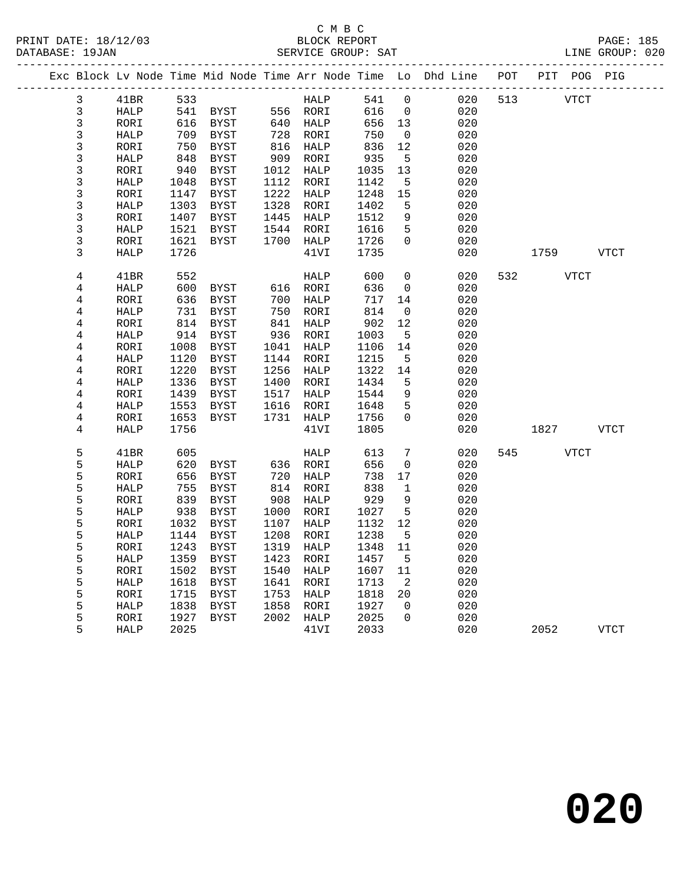|  |                         |                     |              |                     |              |              |              |                         | Exc Block Lv Node Time Mid Node Time Arr Node Time Lo Dhd Line | POT |      | PIT POG PIG |             |
|--|-------------------------|---------------------|--------------|---------------------|--------------|--------------|--------------|-------------------------|----------------------------------------------------------------|-----|------|-------------|-------------|
|  | 3                       | 41BR                | 533          |                     |              | HALP         | 541          | $\mathbf 0$             | 020                                                            | 513 | VTCT |             |             |
|  | $\mathbf{3}$            | <b>HALP</b>         | 541          | BYST                |              | 556 RORI     | 616          | $\overline{0}$          | 020                                                            |     |      |             |             |
|  | 3                       | RORI                | 616          | BYST                |              | 640 HALP     | 656          | 13                      | 020                                                            |     |      |             |             |
|  | $\overline{3}$          | HALP                | 709          | BYST                | 728          | RORI         | 750          | $\overline{0}$          | 020                                                            |     |      |             |             |
|  | 3                       | RORI                | 750          | BYST                | 816          | HALP         | 836          | 12                      | 020                                                            |     |      |             |             |
|  | $\overline{3}$          | HALP                | 848          | <b>BYST</b>         | 909          | RORI         | 935          | 5                       | 020                                                            |     |      |             |             |
|  | 3                       | RORI                | 940          | <b>BYST</b>         | 1012         | HALP         | 1035         | 13                      | 020                                                            |     |      |             |             |
|  | $\mathsf{3}$            | HALP                | 1048         | <b>BYST</b>         | 1112         | RORI         | 1142         | - 5                     | 020                                                            |     |      |             |             |
|  | $\mathsf{3}$            | RORI                | 1147         | BYST                | 1222         | HALP         | 1248         | 15                      | 020                                                            |     |      |             |             |
|  | $\mathsf{3}$            | HALP                | 1303         | <b>BYST</b>         | 1328         | RORI         | 1402         | 5                       | 020                                                            |     |      |             |             |
|  | 3                       | RORI                | 1407         | BYST                | 1445         | HALP         | 1512         | 9                       | 020                                                            |     |      |             |             |
|  | 3                       | HALP                | 1521         | BYST                | 1544         | RORI         | 1616         | 5                       | 020                                                            |     |      |             |             |
|  | 3                       | RORI                | 1621         | BYST                | 1700         | HALP         | 1726         | $\mathbf 0$             | 020                                                            |     |      |             |             |
|  | 3                       | HALP                | 1726         |                     |              | 41VI         | 1735         |                         | 020                                                            |     | 1759 |             | VTCT        |
|  | $\,4$                   | 41BR                | 552          |                     |              | HALP         | 600          | 0                       | 020                                                            | 532 |      | VTCT        |             |
|  | 4                       | HALP                | 600          | BYST                |              | 616 RORI     | 636          | $\mathbf 0$             | 020                                                            |     |      |             |             |
|  | 4                       | RORI                | 636          | BYST                | 700          | HALP         | 717          | 14                      | 020                                                            |     |      |             |             |
|  | 4                       | HALP                | 731          | BYST                | 750          | RORI         | 814          | 0                       | 020                                                            |     |      |             |             |
|  | 4                       | RORI                | 814          | BYST                | 841          | HALP         | 902          | 12                      | 020                                                            |     |      |             |             |
|  | 4                       | <b>HALP</b>         | 914          | BYST                | 936          | RORI         | 1003         | 5                       | 020                                                            |     |      |             |             |
|  | 4                       | RORI                | 1008         | <b>BYST</b>         | 1041         | HALP         | 1106         | 14                      | 020                                                            |     |      |             |             |
|  | 4                       | HALP                | 1120         | BYST                |              | 1144 RORI    | 1215         | 5                       | 020                                                            |     |      |             |             |
|  | $\overline{\mathbf{4}}$ | RORI                | 1220         | BYST                | 1256         | HALP         | 1322         | 14                      | 020                                                            |     |      |             |             |
|  | 4                       | <b>HALP</b>         | 1336         | BYST                | 1400         | RORI         | 1434         | 5                       | 020                                                            |     |      |             |             |
|  | 4                       | RORI                | 1439         | BYST                | 1517         | HALP         | 1544         | 9                       | 020                                                            |     |      |             |             |
|  | 4                       | HALP                | 1553         | BYST                | 1616         | RORI         | 1648         | 5                       | 020                                                            |     |      |             |             |
|  | 4                       | RORI                | 1653         | BYST                |              | 1731 HALP    | 1756         | $\Omega$                | 020                                                            |     |      |             |             |
|  | 4                       | HALP                | 1756         |                     |              | 41VI         | 1805         |                         | 020                                                            |     | 1827 |             | VTCT        |
|  | 5                       | 41BR                | 605          |                     |              | HALP         | 613          | 7                       | 020                                                            | 545 |      | <b>VTCT</b> |             |
|  | 5                       | HALP                | 620          | BYST                | 636          | RORI         | 656          | 0                       | 020                                                            |     |      |             |             |
|  | 5                       | RORI                | 656          | BYST                | 720          | HALP         | 738          | 17                      | 020                                                            |     |      |             |             |
|  | 5                       | HALP                | 755          | BYST                | 814          | RORI         | 838          | $\mathbf{1}$            | 020                                                            |     |      |             |             |
|  | 5                       | RORI                | 839          | BYST                | 908          | HALP         | 929          | 9                       | 020                                                            |     |      |             |             |
|  | 5                       | HALP                | 938          | BYST                | 1000         | RORI         | 1027         | 5                       | 020                                                            |     |      |             |             |
|  | 5                       | RORI                | 1032         | BYST                | 1107         | HALP         | 1132         | 12                      | 020                                                            |     |      |             |             |
|  | 5                       | HALP                | 1144         | <b>BYST</b>         | 1208         | RORI         | 1238         | 5                       | 020                                                            |     |      |             |             |
|  | 5                       | RORI                | 1243         | <b>BYST</b>         | 1319         | HALP         | 1348         | 11                      | 020                                                            |     |      |             |             |
|  | 5                       | HALP                | 1359         | BYST                | 1423         | RORI         | 1457         | 5                       | 020                                                            |     |      |             |             |
|  | 5                       | RORI                | 1502         | <b>BYST</b>         | 1540         | HALP         | 1607         | 11                      | 020                                                            |     |      |             |             |
|  | 5                       | <b>HALP</b>         | 1618         | <b>BYST</b>         | 1641         | RORI         | 1713         | 2                       | 020                                                            |     |      |             |             |
|  | 5                       | RORI                | 1715         | <b>BYST</b>         | 1753         | HALP         | 1818         | 20                      | 020                                                            |     |      |             |             |
|  | 5<br>5                  | HALP                | 1838<br>1927 | BYST<br><b>BYST</b> | 1858<br>2002 | RORI         | 1927<br>2025 | $\mathbf 0$<br>$\Omega$ | 020<br>020                                                     |     |      |             |             |
|  | 5                       | RORI<br><b>HALP</b> | 2025         |                     |              | HALP<br>41VI | 2033         |                         | 020                                                            |     | 2052 |             | <b>VTCT</b> |
|  |                         |                     |              |                     |              |              |              |                         |                                                                |     |      |             |             |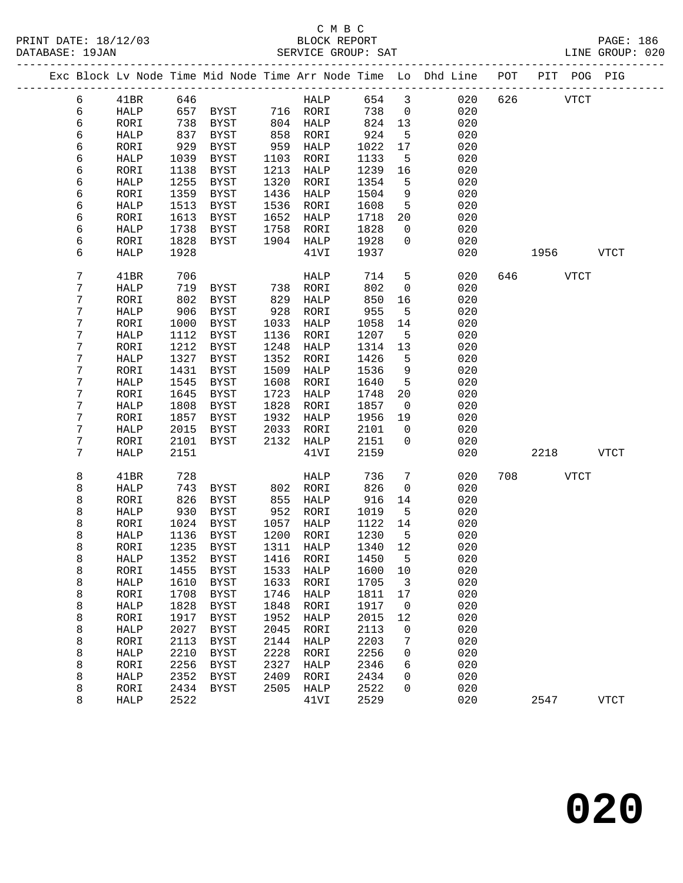### C M B C PRINT DATE: 18/12/03 BLOCK REPORT BATE: 18/12/03

| PRINT DATE: 18/12/03<br>DATABASE: 19JAN |              |              |                                 |              |                                |              |                                | VOR BLOCK REPORT<br>SERVICE GROUP: SAT                                         |          | PAGE: 186<br>LINE GROUP: 020 |
|-----------------------------------------|--------------|--------------|---------------------------------|--------------|--------------------------------|--------------|--------------------------------|--------------------------------------------------------------------------------|----------|------------------------------|
|                                         |              |              |                                 |              |                                |              |                                | Exc Block Lv Node Time Mid Node Time Arr Node Time Lo Dhd Line POT PIT POG PIG |          |                              |
| 6                                       | 41BR         |              | 646                             |              | HALP 654 3                     |              |                                | 020                                                                            | 626 VTCT |                              |
| 6                                       | HALP         |              | 657 BYST 716 RORI               |              |                                | 738          | $\overline{0}$                 | 020                                                                            |          |                              |
| 6                                       | RORI         | 738          | BYST 804 HALP                   |              |                                | 824 13       |                                | 020                                                                            |          |                              |
| 6                                       | HALP         | 837          | BYST                            |              | -------<br>858 RORI<br>959 TIT | 924          | 5                              | 020                                                                            |          |                              |
| 6                                       | RORI         | 929          | BYST                            |              | 959 HALP                       | 1022         | 17                             | 020                                                                            |          |                              |
| 6                                       | HALP         | 1039         | BYST                            | 1103         | RORI                           | 1133         | 5                              | 020                                                                            |          |                              |
| 6                                       | RORI         | 1138         | <b>BYST</b>                     | 1213         | HALP                           | 1239         | 16                             | 020                                                                            |          |                              |
| 6                                       | HALP         | 1255         | BYST                            | 1320         | RORI                           | 1354         | 5                              | 020                                                                            |          |                              |
| 6                                       | RORI         | 1359         | BYST                            | 1436         | HALP                           | 1504         | 9                              | 020                                                                            |          |                              |
| б                                       | HALP         | 1513         | BYST                            | 1536         | RORI                           | 1608         | $5^{\circ}$                    | 020                                                                            |          |                              |
| 6                                       | RORI         | 1613         | BYST                            | 1652         | HALP                           | 1718         | 20                             | 020                                                                            |          |                              |
| 6<br>6                                  | HALP         | 1738<br>1828 | BYST<br>BYST                    | 1758         | RORI<br>1904 HALP              | 1828<br>1928 | $\mathbf{0}$<br>$\overline{0}$ | 020<br>020                                                                     |          |                              |
| 6                                       | RORI<br>HALP | 1928         |                                 |              | 41VI                           | 1937         |                                | 020                                                                            |          | 1956 VTCT                    |
|                                         |              |              |                                 |              |                                |              |                                |                                                                                |          |                              |
| 7                                       | 41BR         | 706          |                                 |              | HALP                           | 714          | $5\overline{)}$                | 020                                                                            | 646 VTCT |                              |
| 7                                       | HALP         | 719          |                                 |              |                                | 802          | $\overline{0}$                 | 020                                                                            |          |                              |
| 7                                       | RORI         | 802          | BYST                            | 829          | HALP                           | 850          | 16                             | 020                                                                            |          |                              |
| 7                                       | HALP         | 906          | BYST                            | 928          | RORI                           | 955          | 5                              | 020                                                                            |          |                              |
| 7                                       | RORI         | 1000         | BYST                            | 1033         | HALP                           | 1058         | 14                             | 020                                                                            |          |                              |
| 7                                       | HALP         | 1112         | BYST                            | 1136         | RORI                           | 1207         | 5                              | 020                                                                            |          |                              |
| 7<br>7                                  | RORI<br>HALP | 1212<br>1327 | <b>BYST</b><br>BYST             | 1248<br>1352 | HALP<br>RORI                   | 1314<br>1426 | 13<br>$5^{\circ}$              | 020<br>020                                                                     |          |                              |
| 7                                       | RORI         | 1431         | BYST                            | 1509         | HALP                           | 1536         | 9                              | 020                                                                            |          |                              |
| 7                                       | HALP         | 1545         | BYST                            | 1608         | RORI                           | 1640         | $5^{\circ}$                    | 020                                                                            |          |                              |
| 7                                       | RORI         | 1645         | BYST                            | 1723         | HALP                           | 1748         | 20                             | 020                                                                            |          |                              |
| 7                                       | HALP         | 1808         | BYST                            | 1828         | RORI                           | 1857         | $\overline{0}$                 | 020                                                                            |          |                              |
| 7                                       | RORI         | 1857         | BYST                            | 1932         | HALP                           | 1956         | 19                             | 020                                                                            |          |                              |
| 7                                       | HALP         | 2015         | BYST                            | 2033         | RORI                           | 2101         | $\overline{0}$                 | 020                                                                            |          |                              |
| 7                                       | RORI         | 2101         | BYST                            |              | 2132 HALP                      | 2151         | $\mathbf{0}$                   | 020                                                                            |          |                              |
| 7                                       | HALP         | 2151         |                                 |              | 41VI                           | 2159         |                                | 020                                                                            |          | 2218 VTCT                    |
| 8                                       | 41BR         | 728          |                                 |              | HALP                           | 736          | 7                              | 020                                                                            | 708 VTCT |                              |
| 8                                       | HALP         | 743          | BYST 802 RORI                   |              |                                | 826          | $\mathbf 0$                    | 020                                                                            |          |                              |
| 8                                       | RORI         | 826          | BYST                            |              | - -<br>855 HALP                | 916          | 14                             | 020                                                                            |          |                              |
| 8                                       | HALP         |              | 930 BYST                        |              | 952 RORI                       | 1019         | $-5$                           | 020                                                                            |          |                              |
| 8                                       | RORI         |              | 1024 BYST                       |              | 1057 HALP                      | 1122 14      |                                | 020                                                                            |          |                              |
| 8                                       |              |              | HALP 1136 BYST 1200 RORI 1230 5 |              |                                |              |                                | 020                                                                            |          |                              |
| 8                                       | RORI         | 1235         | <b>BYST</b>                     | 1311         | HALP                           | 1340         | 12                             | 020                                                                            |          |                              |
| 8                                       | <b>HALP</b>  | 1352         | <b>BYST</b>                     | 1416         | <b>RORI</b>                    | 1450         | 5                              | 020                                                                            |          |                              |
| 8                                       | RORI         | 1455         | <b>BYST</b>                     | 1533         | HALP                           | 1600         | 10                             | 020                                                                            |          |                              |
| 8                                       | HALP         | 1610         | <b>BYST</b>                     | 1633         | RORI                           | 1705         | 3                              | 020                                                                            |          |                              |
| 8<br>8                                  | RORI<br>HALP | 1708<br>1828 | <b>BYST</b><br><b>BYST</b>      | 1746<br>1848 | HALP<br>RORI                   | 1811<br>1917 | $17$<br>0                      | 020<br>020                                                                     |          |                              |
| 8                                       | RORI         | 1917         | <b>BYST</b>                     | 1952         | HALP                           | 2015         | 12                             | 020                                                                            |          |                              |
| 8                                       | HALP         | 2027         | <b>BYST</b>                     | 2045         | RORI                           | 2113         | 0                              | 020                                                                            |          |                              |
| 8                                       | RORI         | 2113         | <b>BYST</b>                     | 2144         | HALP                           | 2203         | 7                              | 020                                                                            |          |                              |
| 8                                       | HALP         | 2210         | <b>BYST</b>                     | 2228         | RORI                           | 2256         | 0                              | 020                                                                            |          |                              |
| 8                                       | RORI         | 2256         | <b>BYST</b>                     | 2327         | HALP                           | 2346         | 6                              | 020                                                                            |          |                              |
| 8                                       | HALP         | 2352         | <b>BYST</b>                     | 2409         | RORI                           | 2434         | 0                              | 020                                                                            |          |                              |
| 8                                       | RORI         | 2434         | <b>BYST</b>                     | 2505         | HALP                           | 2522         | 0                              | 020                                                                            |          |                              |
| 8                                       | <b>HALP</b>  | 2522         |                                 |              | 41VI                           | 2529         |                                | 020                                                                            | 2547     | <b>VTCT</b>                  |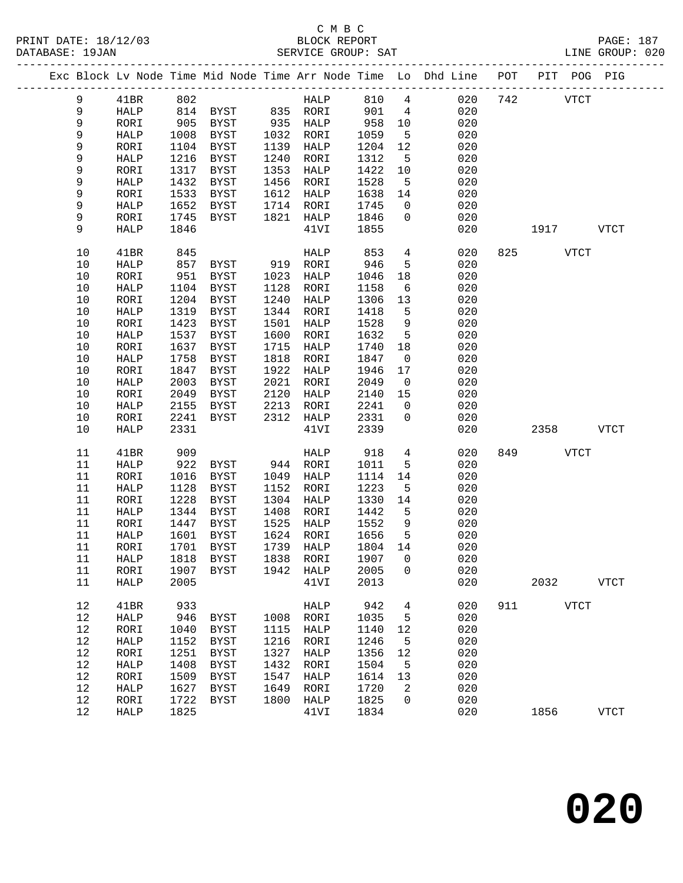|             |             |      | Exc Block Lv Node Time Mid Node Time Arr Node Time Lo Dhd Line POT PIT POG PIG |      |             |         |                         |     |          |      |             |             |
|-------------|-------------|------|--------------------------------------------------------------------------------|------|-------------|---------|-------------------------|-----|----------|------|-------------|-------------|
| 9           | 41BR        | 802  |                                                                                |      | HALP        | 810     | $4\overline{ }$         | 020 | 742      |      | <b>VTCT</b> |             |
| $\,9$       | HALP        |      | 814 BYST 835 RORI                                                              |      |             | 901     | $\overline{4}$          | 020 |          |      |             |             |
| $\mathsf 9$ | RORI        | 905  | BYST                                                                           |      | 935 HALP    | 958     | 10                      | 020 |          |      |             |             |
| 9           | HALP        | 1008 | BYST                                                                           | 1032 | RORI        | 1059    | $5^{\circ}$             | 020 |          |      |             |             |
| 9           | RORI        | 1104 | BYST                                                                           | 1139 | HALP        | 1204    | 12                      | 020 |          |      |             |             |
| 9           | HALP        | 1216 | BYST                                                                           | 1240 | RORI        | 1312    | 5                       | 020 |          |      |             |             |
| 9           | RORI        | 1317 | BYST                                                                           | 1353 | HALP        | 1422    | 10                      | 020 |          |      |             |             |
| 9           | HALP        | 1432 | BYST                                                                           | 1456 | RORI        | 1528    | $5^{\circ}$             | 020 |          |      |             |             |
| 9           | RORI        | 1533 | BYST                                                                           | 1612 | HALP        | 1638    | 14                      | 020 |          |      |             |             |
| 9           | HALP        | 1652 | BYST                                                                           | 1714 | RORI        | 1745    | $\mathbf{0}$            | 020 |          |      |             |             |
| 9           | RORI        | 1745 | BYST                                                                           | 1821 | HALP        | 1846    | $\overline{0}$          | 020 |          |      |             |             |
| 9           | HALP        | 1846 |                                                                                |      | 41VI        | 1855    |                         | 020 |          |      | 1917        | <b>VTCT</b> |
| 10          | 41BR        | 845  |                                                                                |      | HALP        | 853     | $4\overline{ }$         | 020 | 825 VTCT |      |             |             |
| 10          | HALP        | 857  | BYST 919 RORI                                                                  |      |             | 946     | 5                       | 020 |          |      |             |             |
| 10          | RORI        | 951  | BYST                                                                           | 1023 | HALP        | 1046    | 18                      | 020 |          |      |             |             |
| 10          | HALP        | 1104 | BYST                                                                           | 1128 | RORI        | 1158    | 6                       | 020 |          |      |             |             |
| 10          | RORI        | 1204 | <b>BYST</b>                                                                    | 1240 | HALP        | 1306    | 13                      | 020 |          |      |             |             |
| 10          | HALP        | 1319 | BYST                                                                           | 1344 | RORI        | 1418    | 5                       | 020 |          |      |             |             |
| 10          | RORI        | 1423 | BYST                                                                           | 1501 | HALP        | 1528    | 9                       | 020 |          |      |             |             |
| 10          | HALP        | 1537 | BYST                                                                           | 1600 | RORI        | 1632    | $5^{\circ}$             | 020 |          |      |             |             |
| 10          | RORI        | 1637 | BYST                                                                           | 1715 | HALP        | 1740    | 18                      | 020 |          |      |             |             |
| 10          | HALP        | 1758 | <b>BYST</b>                                                                    | 1818 | RORI        | 1847    | $\overline{0}$          | 020 |          |      |             |             |
| 10          | RORI        | 1847 | BYST                                                                           | 1922 | HALP        | 1946    | 17                      | 020 |          |      |             |             |
| 10          | HALP        | 2003 | BYST                                                                           | 2021 | RORI        | 2049    | $\overline{\mathbf{0}}$ | 020 |          |      |             |             |
| 10          | RORI        | 2049 | <b>BYST</b>                                                                    | 2120 | HALP        | 2140    | 15                      | 020 |          |      |             |             |
| 10          | HALP        | 2155 | BYST                                                                           | 2213 | RORI        | 2241    | $\overline{0}$          | 020 |          |      |             |             |
| 10          | RORI        | 2241 | <b>BYST</b>                                                                    | 2312 | HALP        | 2331    | $\mathsf{O}$            | 020 |          |      |             |             |
| 10          | HALP        | 2331 |                                                                                |      | 41VI        | 2339    |                         | 020 |          | 2358 |             | <b>VTCT</b> |
|             |             |      |                                                                                |      |             |         |                         |     |          |      |             |             |
| 11          | 41BR        | 909  |                                                                                |      | HALP        | 918     | $\overline{4}$          | 020 | 849      |      | <b>VTCT</b> |             |
| 11          | HALP        | 922  | BYST                                                                           |      | 944 RORI    | 1011    | 5                       | 020 |          |      |             |             |
| 11          | RORI        | 1016 | BYST                                                                           |      | 1049 HALP   | 1114    | 14                      | 020 |          |      |             |             |
| 11          | HALP        | 1128 | BYST                                                                           | 1152 | RORI        | 1223    | 5                       | 020 |          |      |             |             |
| 11          | RORI        | 1228 | <b>BYST</b>                                                                    | 1304 | HALP        | 1330    | 14                      | 020 |          |      |             |             |
| 11          | HALP        | 1344 | BYST                                                                           | 1408 | RORI        | 1442    | $5^{\circ}$             | 020 |          |      |             |             |
| 11          | RORI        | 1447 | BYST                                                                           | 1525 | HALP        | 1552    | 9                       | 020 |          |      |             |             |
| 11          | HALP        |      | 1601 BYST                                                                      |      | 1624 RORI   | 1656    | $5^{\circ}$             | 020 |          |      |             |             |
| 11          | RORI        |      | 1701 BYST                                                                      |      | 1739 HALP   | 1804 14 |                         | 020 |          |      |             |             |
| 11          | <b>HALP</b> |      | 1818 BYST 1838 RORI 1907 0                                                     |      |             |         |                         | 020 |          |      |             |             |
| 11          | RORI        | 1907 | <b>BYST</b>                                                                    | 1942 | HALP        | 2005    | 0                       | 020 |          |      |             |             |
| 11          | HALP        | 2005 |                                                                                |      | 41VI        | 2013    |                         | 020 |          | 2032 |             | <b>VTCT</b> |
| 12          | 41BR        | 933  |                                                                                |      | <b>HALP</b> | 942     | 4                       | 020 | 911      |      | <b>VTCT</b> |             |
| 12          | HALP        | 946  | BYST                                                                           | 1008 | RORI        | 1035    | 5                       | 020 |          |      |             |             |
| 12          | RORI        | 1040 | <b>BYST</b>                                                                    | 1115 | HALP        | 1140    | 12                      | 020 |          |      |             |             |
| 12          | HALP        | 1152 | <b>BYST</b>                                                                    | 1216 | RORI        | 1246    | 5                       | 020 |          |      |             |             |
| 12          | RORI        | 1251 | <b>BYST</b>                                                                    | 1327 | HALP        | 1356    | 12                      | 020 |          |      |             |             |
| 12          | HALP        | 1408 | <b>BYST</b>                                                                    | 1432 | RORI        | 1504    | 5                       | 020 |          |      |             |             |
| 12          | RORI        | 1509 | <b>BYST</b>                                                                    | 1547 | HALP        | 1614    | 13                      | 020 |          |      |             |             |
| 12          | HALP        | 1627 | <b>BYST</b>                                                                    | 1649 | RORI        | 1720    | 2                       | 020 |          |      |             |             |
| 12          | RORI        | 1722 | <b>BYST</b>                                                                    | 1800 | HALP        | 1825    | 0                       | 020 |          |      |             |             |
| 12          | <b>HALP</b> | 1825 |                                                                                |      | 41VI        | 1834    |                         | 020 |          | 1856 |             | <b>VTCT</b> |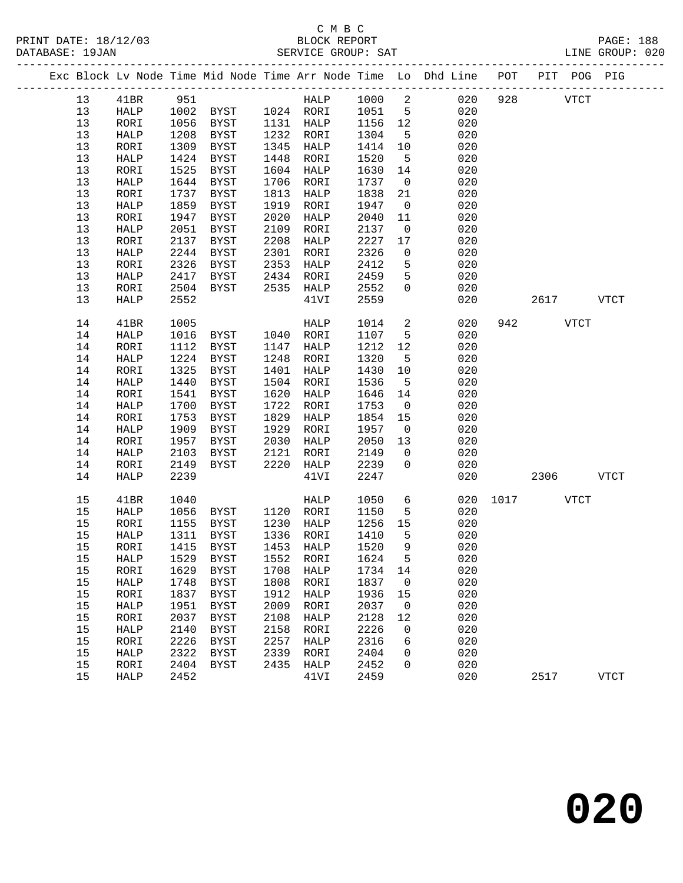|  |    |                |      |                     |      |                  |         |                         | Exc Block Lv Node Time Mid Node Time Arr Node Time Lo Dhd Line POT PIT POG PIG |           |             |             |
|--|----|----------------|------|---------------------|------|------------------|---------|-------------------------|--------------------------------------------------------------------------------|-----------|-------------|-------------|
|  | 13 | 41BR           | 951  |                     |      | HALP 1000 2      |         |                         | 020                                                                            | 928       | <b>VTCT</b> |             |
|  | 13 | HALP           |      | 1002 BYST 1024 RORI |      |                  | 1051    | $5^{\circ}$             | 020                                                                            |           |             |             |
|  | 13 | RORI           | 1056 | BYST                |      | 1131 HALP        | 1156 12 |                         | 020                                                                            |           |             |             |
|  | 13 | HALP           | 1208 | BYST                |      | 1232 RORI        | 1304    | $-5$                    | 020                                                                            |           |             |             |
|  | 13 | RORI           | 1309 | BYST                | 1345 | HALP             | 1414    | 10                      | 020                                                                            |           |             |             |
|  | 13 | HALP           | 1424 | BYST                | 1448 | RORI             | 1520    | $5^{\circ}$             | 020                                                                            |           |             |             |
|  | 13 | RORI           | 1525 | BYST                | 1604 | HALP             | 1630    | 14                      | 020                                                                            |           |             |             |
|  | 13 | HALP           | 1644 | BYST                | 1706 | RORI             | 1737    | $\overline{0}$          | 020                                                                            |           |             |             |
|  | 13 | RORI           | 1737 | BYST                | 1813 | HALP             | 1838    | 21                      | 020                                                                            |           |             |             |
|  | 13 | HALP           | 1859 | BYST                | 1919 | RORI             | 1947    | $\overline{0}$          | 020                                                                            |           |             |             |
|  | 13 | RORI           | 1947 | BYST                | 2020 | HALP             | 2040    | 11                      | 020                                                                            |           |             |             |
|  | 13 | HALP           | 2051 | BYST                | 2109 | RORI             | 2137    | $\overline{0}$          | 020                                                                            |           |             |             |
|  | 13 | RORI           | 2137 | BYST                | 2208 | HALP             | 2227    | 17                      | 020                                                                            |           |             |             |
|  | 13 | HALP           | 2244 | BYST                | 2301 | RORI             | 2326    | $\overline{0}$          | 020                                                                            |           |             |             |
|  | 13 | RORI           | 2326 | <b>BYST</b>         | 2353 | HALP             | 2412    | 5                       | 020                                                                            |           |             |             |
|  | 13 | HALP           | 2417 | BYST                | 2434 | RORI             | 2459    | 5                       | 020                                                                            |           |             |             |
|  | 13 | RORI           | 2504 | BYST                |      | 2535 HALP        | 2552    | $\overline{0}$          | 020                                                                            |           |             |             |
|  | 13 | HALP           | 2552 |                     |      | 41VI             | 2559    |                         | 020                                                                            |           | 2617        | VTCT        |
|  |    |                |      |                     |      |                  |         |                         |                                                                                |           |             |             |
|  | 14 | 41BR           | 1005 |                     |      | HALP             | 1014    | $\overline{a}$          | 020                                                                            |           | 942 VTCT    |             |
|  | 14 | HALP           | 1016 | BYST                |      | 1040 RORI        | 1107    | $5\overline{)}$         | 020                                                                            |           |             |             |
|  | 14 | RORI           | 1112 | BYST                |      | 1147 HALP        | 1212    | 12                      | 020                                                                            |           |             |             |
|  | 14 | HALP           | 1224 | BYST                | 1248 | RORI             | 1320    | $5^{\circ}$             | 020                                                                            |           |             |             |
|  | 14 | RORI           | 1325 | <b>BYST</b>         | 1401 | HALP             | 1430    | 10                      | 020                                                                            |           |             |             |
|  | 14 | HALP           | 1440 | BYST                | 1504 | RORI             | 1536    | $5^{\circ}$             | 020                                                                            |           |             |             |
|  | 14 | RORI           | 1541 | BYST                | 1620 | HALP             | 1646    | 14                      | 020                                                                            |           |             |             |
|  | 14 | HALP           | 1700 | BYST                | 1722 | RORI             | 1753    | $\overline{0}$          | 020                                                                            |           |             |             |
|  | 14 | RORI           | 1753 | BYST                | 1829 | HALP             | 1854    | 15                      | 020                                                                            |           |             |             |
|  | 14 | HALP           | 1909 | BYST                | 1929 | RORI             | 1957    | $\overline{0}$          | 020                                                                            |           |             |             |
|  | 14 | RORI           | 1957 | BYST                | 2030 | HALP             | 2050    | 13                      | 020                                                                            |           |             |             |
|  | 14 | HALP           | 2103 | BYST                | 2121 | RORI             | 2149    | $\overline{0}$          | 020                                                                            |           |             |             |
|  | 14 | RORI           | 2149 | BYST                | 2220 | HALP             | 2239    | $\overline{0}$          | 020                                                                            |           |             |             |
|  | 14 | HALP           | 2239 |                     |      | 41VI             | 2247    |                         | 020                                                                            |           | 2306        | <b>VTCT</b> |
|  | 15 | 41BR           | 1040 |                     |      | HALP             | 1050    | $6\overline{6}$         | 020                                                                            | 1017 VTCT |             |             |
|  | 15 | HALP           | 1056 | BYST 1120 RORI      |      |                  | 1150    | 5                       | 020                                                                            |           |             |             |
|  | 15 | RORI           | 1155 | BYST                | 1230 | HALP             | 1256    | 15                      | 020                                                                            |           |             |             |
|  | 15 | HALP           | 1311 | BYST                | 1336 | RORI             | 1410    | $5^{\circ}$             | 020                                                                            |           |             |             |
|  | 15 | RORI           | 1415 | BYST                |      | 1453 HALP        | 1520    | $\overline{9}$          | 020                                                                            |           |             |             |
|  | 15 | HALP 1529 BYST |      |                     |      | 1552 RORI 1624 5 |         |                         | 020                                                                            |           |             |             |
|  | 15 | RORI           | 1629 | BYST                | 1708 | HALP             | 1734    | 14                      | 020                                                                            |           |             |             |
|  | 15 | HALP           | 1748 | BYST                | 1808 | RORI             | 1837    | $\overline{0}$          | 020                                                                            |           |             |             |
|  | 15 | RORI           | 1837 | BYST                | 1912 | HALP             | 1936    | 15                      | 020                                                                            |           |             |             |
|  | 15 | HALP           | 1951 | BYST                | 2009 | RORI             | 2037    | $\overline{\mathbf{0}}$ | 020                                                                            |           |             |             |
|  | 15 | RORI           | 2037 | BYST                | 2108 | HALP             | 2128    | 12                      | 020                                                                            |           |             |             |
|  | 15 | HALP           | 2140 | <b>BYST</b>         | 2158 | RORI             | 2226    | 0                       | 020                                                                            |           |             |             |
|  | 15 | RORI           | 2226 | BYST                | 2257 | HALP             | 2316    | 6                       | 020                                                                            |           |             |             |
|  | 15 | HALP           | 2322 | BYST                | 2339 | RORI             | 2404    | 0                       | 020                                                                            |           |             |             |
|  | 15 | RORI           | 2404 | BYST                | 2435 | HALP             | 2452    | 0                       | 020                                                                            |           |             |             |
|  | 15 | HALP           | 2452 |                     |      | 41VI             | 2459    |                         | 020                                                                            |           | 2517        | <b>VTCT</b> |
|  |    |                |      |                     |      |                  |         |                         |                                                                                |           |             |             |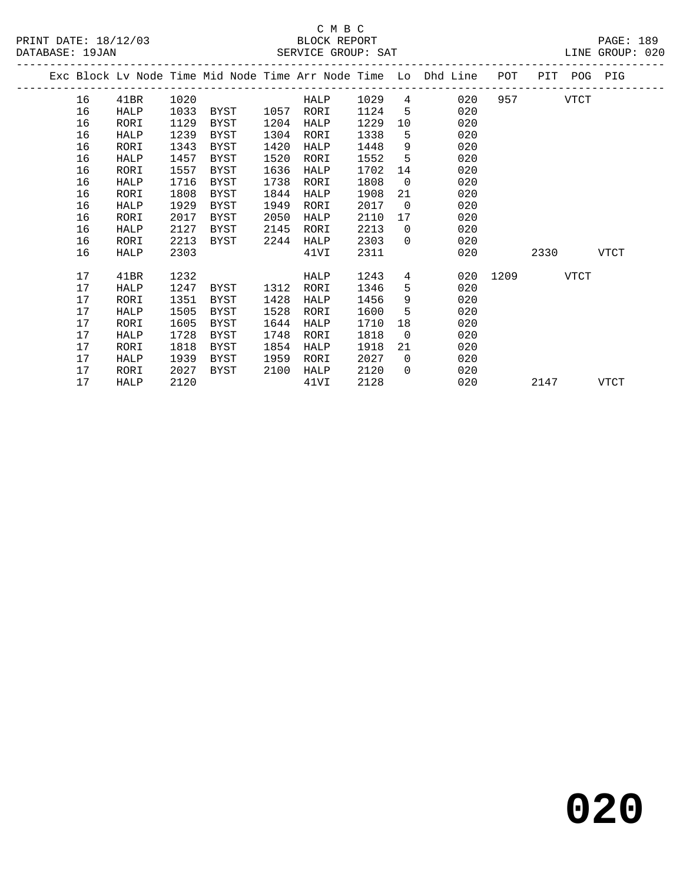|  |    |      |      |             |      |      |      |                | Exc Block Lv Node Time Mid Node Time Arr Node Time Lo Dhd Line | POT  | PIT  | POG  | PIG         |
|--|----|------|------|-------------|------|------|------|----------------|----------------------------------------------------------------|------|------|------|-------------|
|  | 16 | 41BR | 1020 |             |      | HALP | 1029 | 4              | 020                                                            | 957  |      | VTCT |             |
|  | 16 | HALP | 1033 | BYST        | 1057 | RORI | 1124 | 5              | 020                                                            |      |      |      |             |
|  | 16 | RORI | 1129 | BYST        | 1204 | HALP | 1229 | 10             | 020                                                            |      |      |      |             |
|  | 16 | HALP | 1239 | BYST        | 1304 | RORI | 1338 | 5              | 020                                                            |      |      |      |             |
|  | 16 | RORI | 1343 | BYST        | 1420 | HALP | 1448 | 9              | 020                                                            |      |      |      |             |
|  | 16 | HALP | 1457 | <b>BYST</b> | 1520 | RORI | 1552 | 5              | 020                                                            |      |      |      |             |
|  | 16 | RORI | 1557 | BYST        | 1636 | HALP | 1702 | 14             | 020                                                            |      |      |      |             |
|  | 16 | HALP | 1716 | BYST        | 1738 | RORI | 1808 | $\overline{0}$ | 020                                                            |      |      |      |             |
|  | 16 | RORI | 1808 | <b>BYST</b> | 1844 | HALP | 1908 | 21             | 020                                                            |      |      |      |             |
|  | 16 | HALP | 1929 | BYST        | 1949 | RORI | 2017 | $\overline{0}$ | 020                                                            |      |      |      |             |
|  | 16 | RORI | 2017 | BYST        | 2050 | HALP | 2110 | 17             | 020                                                            |      |      |      |             |
|  | 16 | HALP | 2127 | BYST        | 2145 | RORI | 2213 | $\mathbf 0$    | 020                                                            |      |      |      |             |
|  | 16 | RORI | 2213 | BYST        | 2244 | HALP | 2303 | $\Omega$       | 020                                                            |      |      |      |             |
|  | 16 | HALP | 2303 |             |      | 41VI | 2311 |                | 020                                                            |      | 2330 |      | <b>VTCT</b> |
|  | 17 | 41BR | 1232 |             |      | HALP | 1243 | 4              | 020                                                            | 1209 |      | VTCT |             |
|  | 17 | HALP | 1247 | BYST        | 1312 | RORI | 1346 | 5              | 020                                                            |      |      |      |             |
|  | 17 | RORI | 1351 | <b>BYST</b> | 1428 | HALP | 1456 | 9              | 020                                                            |      |      |      |             |
|  | 17 | HALP | 1505 | BYST        | 1528 | RORI | 1600 | 5              | 020                                                            |      |      |      |             |
|  | 17 | RORI | 1605 | BYST        | 1644 | HALP | 1710 | 18             | 020                                                            |      |      |      |             |
|  | 17 | HALP | 1728 | BYST        | 1748 | RORI | 1818 | $\overline{0}$ | 020                                                            |      |      |      |             |
|  | 17 | RORI | 1818 | BYST        | 1854 | HALP | 1918 | 21             | 020                                                            |      |      |      |             |
|  | 17 | HALP | 1939 | BYST        | 1959 | RORI | 2027 | $\Omega$       | 020                                                            |      |      |      |             |
|  | 17 | RORI | 2027 | BYST        | 2100 | HALP | 2120 | $\Omega$       | 020                                                            |      |      |      |             |
|  | 17 | HALP | 2120 |             |      | 41VI | 2128 |                | 020                                                            |      | 2147 |      | VTCT        |
|  |    |      |      |             |      |      |      |                |                                                                |      |      |      |             |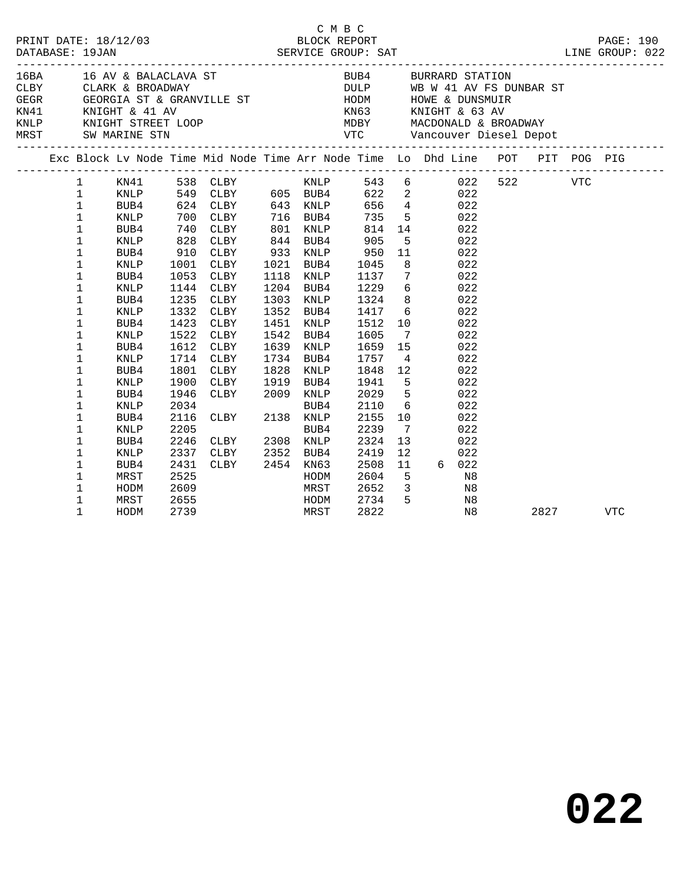|  | DATABASE: 19JAN                                                                                                                                                                                                                                                                          | PRINT DATE: 18/12/03                                                                                                                                                        |                                                                              |                                                                                                                                                                                                                                                                                  |                      |                                                                                                                                                                          | CMBC                                                                                                                                                              |                                                                                                                                                                   |                                                                                                                                                                                                                                                                                              |          |  |
|--|------------------------------------------------------------------------------------------------------------------------------------------------------------------------------------------------------------------------------------------------------------------------------------------|-----------------------------------------------------------------------------------------------------------------------------------------------------------------------------|------------------------------------------------------------------------------|----------------------------------------------------------------------------------------------------------------------------------------------------------------------------------------------------------------------------------------------------------------------------------|----------------------|--------------------------------------------------------------------------------------------------------------------------------------------------------------------------|-------------------------------------------------------------------------------------------------------------------------------------------------------------------|-------------------------------------------------------------------------------------------------------------------------------------------------------------------|----------------------------------------------------------------------------------------------------------------------------------------------------------------------------------------------------------------------------------------------------------------------------------------------|----------|--|
|  |                                                                                                                                                                                                                                                                                          |                                                                                                                                                                             |                                                                              | 16BA 16 AV & BALACLAVA ST                                                                                                                                                                                                                                                        |                      |                                                                                                                                                                          |                                                                                                                                                                   |                                                                                                                                                                   | BUB4 BURRARD STATION<br>CLBY CLARK & BROADWAY DULP WB W 41 AV FS DUNBAR ST GEGR GEORGIA ST & GRANVILLE ST HODM HOWE & DUNSMUIR KN41 KNIGHT & 41 AV<br>KNLP<br>KNIGHT STREET LOOP<br>MEST SW MARINE STN THE STREET VIC VANCOONALD & BROADWAY<br>MEST SW MARINE STN VTC Vancouver Diesel Depot |          |  |
|  |                                                                                                                                                                                                                                                                                          |                                                                                                                                                                             |                                                                              |                                                                                                                                                                                                                                                                                  |                      |                                                                                                                                                                          |                                                                                                                                                                   |                                                                                                                                                                   |                                                                                                                                                                                                                                                                                              |          |  |
|  | $\mathbf{1}$<br>$\mathbf{1}$<br>$\mathbf{1}$<br>$\mathbf{1}$<br>$\mathbf 1$<br>$\mathbf 1$<br>1<br>1<br>$\mathbf 1$<br>$\mathbf 1$<br>$\mathbf 1$<br>$\mathbf 1$<br>$\mathbf 1$<br>$\mathbf 1$<br>1<br>1<br>1<br>1<br>$\mathbf 1$<br>$\mathbf 1$<br>$\mathbf 1$<br>1<br>$\mathbf 1$<br>1 | KNLP<br>BUB4<br>KNLP<br>BUB4<br>KNLP<br>BUB4<br>KNLP<br>BUB4<br>KNLP<br>BUB4<br>KNLP<br>BUB4<br>KNLP<br>BUB4<br>KNLP<br>BUB4<br>KNLP<br>BUB4<br><b>KNLP</b><br>BUB4<br>KNLP | 1332<br>1423<br>1801<br>1900<br>1946<br>2034<br>2116<br>2205<br>2246<br>2337 | 700 CLBY 716 BUB4<br>740 CLBY<br>828 CLBY<br>910 CLBY<br>1001 CLBY<br>1053 CLBY<br>1144 CLBY<br>1235 CLBY<br>CLBY<br>CLBY<br>1522 CLBY<br>1612 CLBY<br>1714 CLBY<br>CLBY<br>CLBY<br>CLBY 1919 BUB4<br>CLBY 2009 KNLP<br>BUB4<br>CLBY<br>CLBY 2138 KNLP<br>CLBY 2308 KNLP<br>CLBY | 1451<br>1542<br>1828 | 801 KNLP<br>844 BUB4<br>933 KNLP<br>1021 BUB4<br>1118 KNLP<br>1204 BUB4<br>1303 KNLP<br>1352 BUB4<br>KNLP<br>BUB4<br>1639 KNLP<br>1734 BUB4<br>KNLP<br>BUB4<br>2352 BUB4 | 814<br>905<br>950<br>1045<br>1137<br>1229<br>1324<br>1417<br>1512<br>1605<br>1659<br>1757<br>1848<br>1941<br>2029<br>2029<br>2110<br>2155<br>2239<br>2324<br>2419 | 5 <sub>5</sub><br>11<br>8 <sup>8</sup><br>$7\overline{ }$<br>10<br>$\overline{4}$<br>12<br>$5^{\circ}$<br>5 <sub>5</sub><br>6<br>10<br>$\overline{7}$<br>13<br>12 | 735 5 022<br>$14$ 022<br>022<br>022<br>022<br>022<br>$\begin{array}{c} 6 \\ 8 \end{array}$<br>022<br>022<br>6 <sup>6</sup><br>022<br>022<br>$\frac{7}{15}$<br>022<br>022<br>022<br>022<br>$\begin{array}{c} 022 \\ 022 \end{array}$<br>022<br>022<br>022<br>022<br>022                       |          |  |
|  | $\mathbf 1$<br>1<br>$\mathbf 1$<br>1<br>$\mathbf 1$                                                                                                                                                                                                                                      | BUB4<br>MRST<br>HODM<br>MRST<br>HODM                                                                                                                                        | 2431<br>2525<br>2609<br>2655<br>2739                                         | CLBY 2454 KN63<br>MRST<br>HODM<br>MRST                                                                                                                                                                                                                                           |                      | HODM                                                                                                                                                                     | 2508<br>2604<br>2652<br>2734<br>2822                                                                                                                              | 11<br>$5^{\circ}$                                                                                                                                                 | 6 022<br>N8<br>$\begin{array}{ccc} 3 & \hspace{1.5cm} & \text{N8} \\ 5 & \hspace{1.5cm} & \text{N8} \end{array}$<br>N8                                                                                                                                                                       | 2827 VTC |  |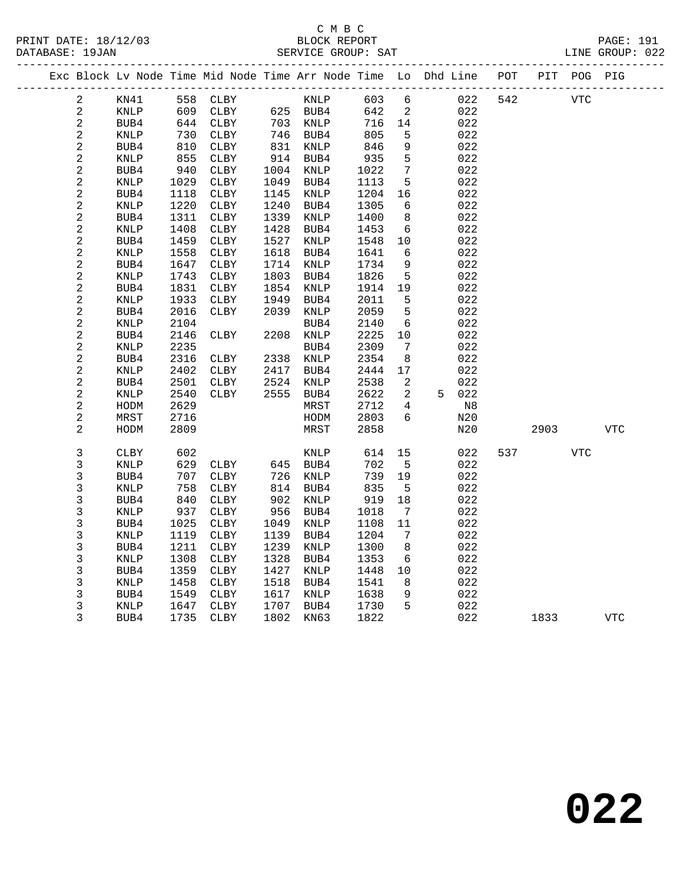|                          |              |              | Exc Block Lv Node Time Mid Node Time Arr Node Time Lo Dhd Line |              |              |              |                 | ------------------------------------- | POT |      | PIT POG PIG |            |
|--------------------------|--------------|--------------|----------------------------------------------------------------|--------------|--------------|--------------|-----------------|---------------------------------------|-----|------|-------------|------------|
| 2                        | KN41         | 558          | CLBY                                                           |              | KNLP         | 603          | 6               | 022                                   | 542 |      | <b>VTC</b>  |            |
| $\sqrt{2}$               | KNLP         | 609          | CLBY                                                           |              | 625 BUB4     | 642          | 2               | 022                                   |     |      |             |            |
| $\sqrt{2}$               | BUB4         | 644          | CLBY                                                           | 703          | KNLP         | 716          | 14              | 022                                   |     |      |             |            |
| $\sqrt{2}$               | KNLP         | 730          | CLBY                                                           |              | 746 BUB4     | 805          | $\mathsf S$     | 022                                   |     |      |             |            |
| $\sqrt{2}$               | BUB4         | 810          | CLBY                                                           | 831          | KNLP         | 846          | 9               | 022                                   |     |      |             |            |
| $\sqrt{2}$               | KNLP         | 855          | CLBY                                                           | 914          | BUB4         | 935          | $5\phantom{.0}$ | 022                                   |     |      |             |            |
| $\sqrt{2}$               | BUB4         | 940          | CLBY                                                           | 1004         | KNLP         | 1022         | 7               | 022                                   |     |      |             |            |
| $\sqrt{2}$               | KNLP         | 1029         | CLBY                                                           | 1049         | BUB4         | 1113         | 5               | 022                                   |     |      |             |            |
| $\sqrt{2}$               | BUB4         | 1118         | CLBY                                                           | 1145         | KNLP         | 1204         | 16              | 022                                   |     |      |             |            |
| 2                        | KNLP         | 1220         | CLBY                                                           | 1240         | BUB4         | 1305         | 6               | 022                                   |     |      |             |            |
| $\sqrt{2}$               | BUB4         | 1311         | CLBY                                                           | 1339         | KNLP         | 1400         | 8               | 022                                   |     |      |             |            |
| $\sqrt{2}$               | <b>KNLP</b>  | 1408         | CLBY                                                           | 1428         | BUB4         | 1453         | 6               | 022                                   |     |      |             |            |
| $\sqrt{2}$<br>$\sqrt{2}$ | BUB4         | 1459<br>1558 | CLBY                                                           | 1527<br>1618 | KNLP         | 1548         | 10<br>6         | 022<br>022                            |     |      |             |            |
| $\sqrt{2}$               | KNLP<br>BUB4 | 1647         | CLBY<br>CLBY                                                   | 1714         | BUB4<br>KNLP | 1641<br>1734 | $\,9$           | 022                                   |     |      |             |            |
| $\sqrt{2}$               | <b>KNLP</b>  | 1743         | CLBY                                                           | 1803         | BUB4         | 1826         | 5               | 022                                   |     |      |             |            |
| $\sqrt{2}$               | BUB4         | 1831         | CLBY                                                           | 1854         | KNLP         | 1914         | 19              | 022                                   |     |      |             |            |
| $\sqrt{2}$               | KNLP         | 1933         | CLBY                                                           | 1949         | BUB4         | 2011         | 5               | 022                                   |     |      |             |            |
| $\sqrt{2}$               | BUB4         | 2016         | CLBY                                                           | 2039         | KNLP         | 2059         | 5               | 022                                   |     |      |             |            |
| $\overline{c}$           | KNLP         | 2104         |                                                                |              | BUB4         | 2140         | 6               | 022                                   |     |      |             |            |
| $\sqrt{2}$               | BUB4         | 2146         | CLBY                                                           | 2208         | KNLP         | 2225         | 10              | 022                                   |     |      |             |            |
| $\sqrt{2}$               | KNLP         | 2235         |                                                                |              | BUB4         | 2309         | 7               | 022                                   |     |      |             |            |
| $\sqrt{2}$               | BUB4         | 2316         | CLBY                                                           | 2338         | KNLP         | 2354         | 8               | 022                                   |     |      |             |            |
| $\sqrt{2}$               | KNLP         | 2402         | CLBY                                                           | 2417         | BUB4         | 2444         | 17              | 022                                   |     |      |             |            |
| $\sqrt{2}$               | BUB4         | 2501         | CLBY                                                           | 2524         | KNLP         | 2538         | 2               | 022                                   |     |      |             |            |
| $\sqrt{2}$               | KNLP         | 2540         | CLBY                                                           | 2555         | BUB4         | 2622         | $\overline{a}$  | 5 022                                 |     |      |             |            |
| $\sqrt{2}$               | HODM         | 2629         |                                                                |              | MRST         | 2712         | 4               | N8                                    |     |      |             |            |
| $\overline{c}$           | MRST         | 2716         |                                                                |              | HODM         | 2803         | 6               | N20                                   |     |      |             |            |
| $\overline{a}$           | HODM         | 2809         |                                                                |              | MRST         | 2858         |                 | N20                                   |     | 2903 |             | <b>VTC</b> |
| $\mathsf 3$              | CLBY         | 602          |                                                                |              | KNLP         | 614          | 15              | 022                                   | 537 |      | VTC         |            |
| $\mathsf 3$              | KNLP         | 629          | CLBY                                                           |              | 645 BUB4     | 702          | 5               | 022                                   |     |      |             |            |
| $\mathbf{3}$             | BUB4         | 707          | CLBY                                                           | 726          | KNLP         | 739          | 19              | 022                                   |     |      |             |            |
| $\mathsf 3$              | KNLP         | 758          | ${\tt CLBY}$                                                   | 814          | BUB4         | 835          | $5\phantom{.0}$ | 022                                   |     |      |             |            |
| $\mathsf 3$              | BUB4         | 840          | CLBY                                                           | 902          | KNLP         | 919          | 18              | 022                                   |     |      |             |            |
| $\mathbf{3}$             | KNLP         | 937          | CLBY                                                           | 956          | BUB4         | 1018         | 7               | 022                                   |     |      |             |            |
| $\mathbf{3}$             | BUB4         | 1025         | CLBY                                                           | 1049         | KNLP         | 1108         | 11              | 022                                   |     |      |             |            |
| $\mathsf 3$              | KNLP         | 1119         | CLBY                                                           | 1139         | BUB4         | 1204         | 7               | 022                                   |     |      |             |            |
| $\mathsf 3$              | BUB4         | 1211         | CLBY                                                           | 1239         | KNLP         | 1300         | 8               | 022                                   |     |      |             |            |
| $\mathbf{3}$             | KNLP         | 1308         | CLBY                                                           | 1328         | BUB4         | 1353         | 6               | 022                                   |     |      |             |            |
| $\mathbf{3}$             | BUB4         | 1359         | CLBY                                                           | 1427         | KNLP         | 1448         | 10              | 022                                   |     |      |             |            |
| $\mathsf 3$              | KNLP         | 1458         | CLBY                                                           | 1518         | BUB4         | 1541         | 8               | 022                                   |     |      |             |            |
| $\mathsf 3$              | BUB4         | 1549         | CLBY                                                           | 1617         | KNLP         | 1638         | 9               | 022                                   |     |      |             |            |
| 3                        | KNLP         | 1647         | CLBY                                                           | 1707         | BUB4         | 1730         | 5               | 022                                   |     |      |             |            |
| 3                        | BUB4         | 1735         | CLBY                                                           | 1802         | KN63         | 1822         |                 | 022                                   |     | 1833 |             | <b>VTC</b> |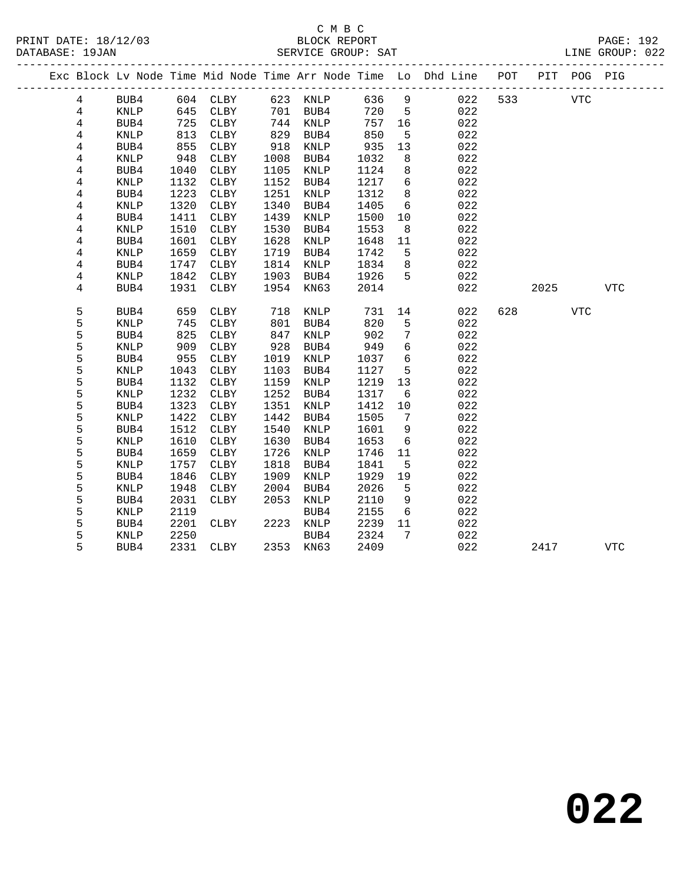### C M B C<br>BLOCK REPORT SERVICE GROUP: SAT

|  |                |             |      |             |      |             |      |                 | Exc Block Lv Node Time Mid Node Time Arr Node Time Lo Dhd Line POT<br>____________________________ |     |      | PIT POG PIG |              |
|--|----------------|-------------|------|-------------|------|-------------|------|-----------------|----------------------------------------------------------------------------------------------------|-----|------|-------------|--------------|
|  | 4              | BUB4        | 604  | CLBY        |      | 623 KNLP    | 636  | $\overline{9}$  | 022                                                                                                | 533 |      | <b>VTC</b>  |              |
|  | $\overline{4}$ | KNLP        | 645  | CLBY        | 701  | BUB4        | 720  | 5               | 022                                                                                                |     |      |             |              |
|  | 4              | BUB4        | 725  | CLBY        | 744  | KNLP        | 757  | 16              | 022                                                                                                |     |      |             |              |
|  | 4              | <b>KNLP</b> | 813  | CLBY        | 829  | BUB4        | 850  | 5               | 022                                                                                                |     |      |             |              |
|  | 4              | BUB4        | 855  | CLBY        | 918  | KNLP        | 935  | 13              | 022                                                                                                |     |      |             |              |
|  | 4              | <b>KNLP</b> | 948  | CLBY        | 1008 | BUB4        | 1032 | 8               | 022                                                                                                |     |      |             |              |
|  | 4              | BUB4        | 1040 | CLBY        | 1105 | KNLP        | 1124 | 8               | 022                                                                                                |     |      |             |              |
|  | 4              | KNLP        | 1132 | CLBY        | 1152 | BUB4        | 1217 | $6\overline{6}$ | 022                                                                                                |     |      |             |              |
|  | 4              | BUB4        | 1223 | CLBY        | 1251 | KNLP        | 1312 | 8               | 022                                                                                                |     |      |             |              |
|  | 4              | KNLP        | 1320 | CLBY        | 1340 | BUB4        | 1405 | 6               | 022                                                                                                |     |      |             |              |
|  | 4              | BUB4        | 1411 | CLBY        | 1439 | KNLP        | 1500 | 10              | 022                                                                                                |     |      |             |              |
|  | 4              | <b>KNLP</b> | 1510 | CLBY        | 1530 | BUB4        | 1553 | 8               | 022                                                                                                |     |      |             |              |
|  | 4              | BUB4        | 1601 | CLBY        | 1628 | KNLP        | 1648 | 11              | 022                                                                                                |     |      |             |              |
|  | 4              | <b>KNLP</b> | 1659 | CLBY        | 1719 | BUB4        | 1742 | 5               | 022                                                                                                |     |      |             |              |
|  | 4              | BUB4        | 1747 | <b>CLBY</b> | 1814 | KNLP        | 1834 | 8               | 022                                                                                                |     |      |             |              |
|  | 4              | <b>KNLP</b> | 1842 | CLBY        | 1903 | BUB4        | 1926 | 5               | 022                                                                                                |     |      |             |              |
|  | 4              | BUB4        | 1931 | <b>CLBY</b> | 1954 | KN63        | 2014 |                 | 022                                                                                                |     | 2025 |             | $_{\rm VTC}$ |
|  |                |             |      |             |      |             |      |                 |                                                                                                    |     |      |             |              |
|  | 5              | BUB4        | 659  | CLBY        | 718  | KNLP        | 731  | 14              | 022                                                                                                | 628 |      | <b>VTC</b>  |              |
|  | 5              | <b>KNLP</b> | 745  | CLBY        | 801  | BUB4        | 820  | 5               | 022                                                                                                |     |      |             |              |
|  | 5              | BUB4        | 825  | CLBY        | 847  | KNLP        | 902  | $7\phantom{.0}$ | 022                                                                                                |     |      |             |              |
|  | 5              | KNLP        | 909  | CLBY        | 928  | BUB4        | 949  | 6               | 022                                                                                                |     |      |             |              |
|  | 5              | BUB4        | 955  | CLBY        | 1019 | KNLP        | 1037 | 6               | 022                                                                                                |     |      |             |              |
|  | 5              | KNLP        | 1043 | CLBY        | 1103 | BUB4        | 1127 | 5               | 022                                                                                                |     |      |             |              |
|  | 5              | BUB4        | 1132 | CLBY        | 1159 | KNLP        | 1219 | 13              | 022                                                                                                |     |      |             |              |
|  | 5              | <b>KNLP</b> | 1232 | CLBY        | 1252 | BUB4        | 1317 | 6               | 022                                                                                                |     |      |             |              |
|  | 5              | BUB4        | 1323 | CLBY        | 1351 | KNLP        | 1412 | 10              | 022                                                                                                |     |      |             |              |
|  | 5              | <b>KNLP</b> | 1422 | CLBY        | 1442 | BUB4        | 1505 | 7               | 022                                                                                                |     |      |             |              |
|  | 5              | BUB4        | 1512 | CLBY        | 1540 | <b>KNLP</b> | 1601 | 9               | 022                                                                                                |     |      |             |              |
|  | 5              | <b>KNLP</b> | 1610 | CLBY        | 1630 | BUB4        | 1653 | 6               | 022                                                                                                |     |      |             |              |
|  | 5              | BUB4        | 1659 | <b>CLBY</b> | 1726 | KNLP        | 1746 | 11              | 022                                                                                                |     |      |             |              |
|  | 5              | KNLP        | 1757 | <b>CLBY</b> | 1818 | BUB4        | 1841 | 5               | 022                                                                                                |     |      |             |              |
|  | 5              | BUB4        | 1846 | CLBY        | 1909 | <b>KNLP</b> | 1929 | 19              | 022                                                                                                |     |      |             |              |
|  | 5              | <b>KNLP</b> | 1948 | CLBY        | 2004 | BUB4        | 2026 | 5               | 022                                                                                                |     |      |             |              |
|  | 5              | BUB4        | 2031 | <b>CLBY</b> | 2053 | KNLP        | 2110 | 9               | 022                                                                                                |     |      |             |              |
|  | 5              | <b>KNLP</b> | 2119 |             |      | BUB4        | 2155 | 6               | 022                                                                                                |     |      |             |              |
|  | 5              | BUB4        | 2201 | CLBY        | 2223 | KNLP        | 2239 | 11              | 022                                                                                                |     |      |             |              |
|  | 5              | KNLP        | 2250 |             |      | BUB4        | 2324 | 7               | 022                                                                                                |     |      |             |              |
|  | 5              | BUB4        | 2331 | CLBY        | 2353 | KN63        | 2409 |                 | 022                                                                                                |     | 2417 |             | <b>VTC</b>   |

**022**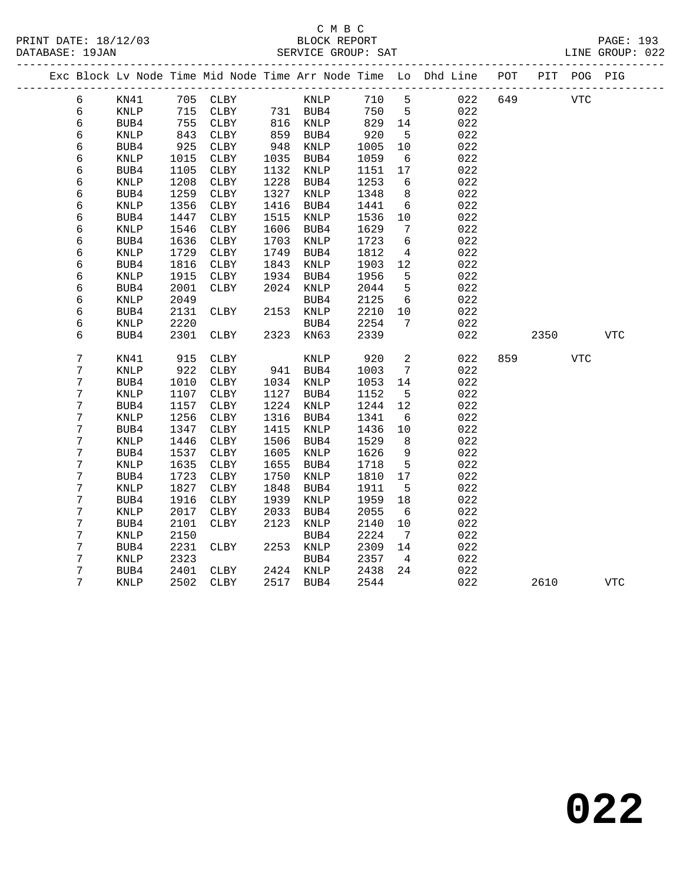DATABASE: 19JAN

# C M B C<br>BLOCK REPORT PRINT DATE: 18/12/03 BLOCK REPORT PAGE: 193

|   | DAIABASE · 190AN |      |      |      |      | SEKVICE GKOUP. SAI |      |     |                                                                |     |     |      | LINE GROUP. UZZ |  |
|---|------------------|------|------|------|------|--------------------|------|-----|----------------------------------------------------------------|-----|-----|------|-----------------|--|
|   |                  |      |      |      |      |                    |      |     | Exc Block Lv Node Time Mid Node Time Arr Node Time Lo Dhd Line | POT | PIT | POG- | PIG             |  |
| 6 |                  | KN41 | 705  | CLBY |      | KNLP               | 710  | 5   | 022                                                            | 649 |     | VTC  |                 |  |
| 6 |                  | KNLP | 715  | CLBY | 731  | BUB4               | 750  | -5  | 022                                                            |     |     |      |                 |  |
| 6 |                  | BUB4 | 755  | CLBY | 816  | KNLP               | 829  | 14  | 022                                                            |     |     |      |                 |  |
| 6 |                  | KNLP | 843  | CLBY | 859  | BUB4               | 920  | -5  | 022                                                            |     |     |      |                 |  |
| 6 |                  | BUB4 | 925  | CLBY | 948  | KNLP               | 1005 | 10  | 022                                                            |     |     |      |                 |  |
| 6 |                  | KNLP | 1015 | CLBY | 1035 | BUB4               | 1059 | - 6 | 022                                                            |     |     |      |                 |  |
| 6 |                  | BUB4 | 1105 | CLBY | 1132 | KNLP               | 1151 | 17  | 022                                                            |     |     |      |                 |  |
| 6 |                  | KNLP | 1208 | CLBY | 1228 | BUB4               | 1253 | -6  | 022                                                            |     |     |      |                 |  |
|   |                  |      |      |      |      |                    |      |     |                                                                |     |     |      |                 |  |

| 6 | KNLP            | 1015 | <b>CLBY</b>  | 1035 | BUB4        | 1059 | 6              | 022 |     |      |            |             |  |
|---|-----------------|------|--------------|------|-------------|------|----------------|-----|-----|------|------------|-------------|--|
| 6 | BUB4            | 1105 | CLBY         | 1132 | KNLP        | 1151 | 17             | 022 |     |      |            |             |  |
| б | KNLP            | 1208 | ${\tt CLBY}$ | 1228 | BUB4        | 1253 | 6              | 022 |     |      |            |             |  |
| 6 | BUB4            | 1259 | CLBY         | 1327 | <b>KNLP</b> | 1348 | 8              | 022 |     |      |            |             |  |
| 6 | <b>KNLP</b>     | 1356 | CLBY         | 1416 | BUB4        | 1441 | 6              | 022 |     |      |            |             |  |
| 6 | BUB4            | 1447 | ${\tt CLBY}$ | 1515 | <b>KNLP</b> | 1536 | $10$           | 022 |     |      |            |             |  |
| 6 | <b>KNLP</b>     | 1546 | ${\tt CLBY}$ | 1606 | BUB4        | 1629 | 7              | 022 |     |      |            |             |  |
| 6 | BUB4            | 1636 | CLBY         | 1703 | <b>KNLP</b> | 1723 | 6              | 022 |     |      |            |             |  |
| 6 | <b>KNLP</b>     | 1729 | CLBY         | 1749 | BUB4        | 1812 | 4              | 022 |     |      |            |             |  |
| 6 | BUB4            | 1816 | CLBY         | 1843 | KNLP        | 1903 | $12$           | 022 |     |      |            |             |  |
| 6 | <b>KNLP</b>     | 1915 | CLBY         | 1934 | BUB4        | 1956 | 5              | 022 |     |      |            |             |  |
| 6 | BUB4            | 2001 | CLBY         | 2024 | KNLP        | 2044 | 5              | 022 |     |      |            |             |  |
| 6 | <b>KNLP</b>     | 2049 |              |      | BUB4        | 2125 | 6              | 022 |     |      |            |             |  |
| 6 | BUB4            | 2131 | <b>CLBY</b>  | 2153 | <b>KNLP</b> | 2210 | 10             | 022 |     |      |            |             |  |
| 6 | <b>KNLP</b>     | 2220 |              |      | BUB4        | 2254 | 7              | 022 |     |      |            |             |  |
| 6 | BUB4            | 2301 | <b>CLBY</b>  | 2323 | <b>KN63</b> | 2339 |                | 022 |     | 2350 |            | <b>VTC</b>  |  |
|   |                 |      |              |      |             |      |                |     |     |      |            |             |  |
| 7 | KN41            | 915  | <b>CLBY</b>  |      | <b>KNLP</b> | 920  | $\mathbf{2}$   | 022 | 859 |      | <b>VTC</b> |             |  |
| 7 | <b>KNLP</b>     | 922  | CLBY         | 941  | BUB4        | 1003 | 7              | 022 |     |      |            |             |  |
| 7 | BUB4            | 1010 | CLBY         | 1034 | KNLP        | 1053 | 14             | 022 |     |      |            |             |  |
| 7 | <b>KNLP</b>     | 1107 | <b>CLBY</b>  | 1127 | BUB4        | 1152 | 5              | 022 |     |      |            |             |  |
| 7 | BUB4            | 1157 | CLBY         | 1224 | KNLP        | 1244 | $12\,$         | 022 |     |      |            |             |  |
| 7 | <b>KNLP</b>     | 1256 | CLBY         | 1316 | BUB4        | 1341 | 6              | 022 |     |      |            |             |  |
| 7 | BUB4            | 1347 | CLBY         | 1415 | <b>KNLP</b> | 1436 | 10             | 022 |     |      |            |             |  |
| 7 | <b>KNLP</b>     | 1446 | CLBY         | 1506 | BUB4        | 1529 | 8              | 022 |     |      |            |             |  |
| 7 | BUB4            | 1537 | CLBY         | 1605 | <b>KNLP</b> | 1626 | 9              | 022 |     |      |            |             |  |
| 7 | <b>KNLP</b>     | 1635 | CLBY         | 1655 | BUB4        | 1718 | 5              | 022 |     |      |            |             |  |
| 7 | BUB4            | 1723 | CLBY         | 1750 | <b>KNLP</b> | 1810 | 17             | 022 |     |      |            |             |  |
| 7 | <b>KNLP</b>     | 1827 | CLBY         | 1848 | BUB4        | 1911 | 5              | 022 |     |      |            |             |  |
| 7 | BUB4            | 1916 | CLBY         | 1939 | KNLP        | 1959 | 18             | 022 |     |      |            |             |  |
| 7 | <b>KNLP</b>     | 2017 | ${\tt CLBY}$ | 2033 | BUB4        | 2055 | 6              | 022 |     |      |            |             |  |
| 7 | BUB4            | 2101 | ${\tt CLBY}$ | 2123 | KNLP        | 2140 | $10$           | 022 |     |      |            |             |  |
| 7 | <b>KNLP</b>     | 2150 |              |      | BUB4        | 2224 | $\overline{7}$ | 022 |     |      |            |             |  |
| 7 | BUB4            | 2231 | <b>CLBY</b>  | 2253 | <b>KNLP</b> | 2309 | 14             | 022 |     |      |            |             |  |
| 7 | $\texttt{KNLP}$ | 2323 |              |      | BUB4        | 2357 | $\overline{4}$ | 022 |     |      |            |             |  |
| 7 | BUB4            | 2401 | CLBY         | 2424 | KNLP        | 2438 | 24             | 022 |     |      |            |             |  |
| 7 | KNLP            | 2502 | CLBY         | 2517 | BUB4        | 2544 |                | 022 |     | 2610 |            | ${\tt VTC}$ |  |
|   |                 |      |              |      |             |      |                |     |     |      |            |             |  |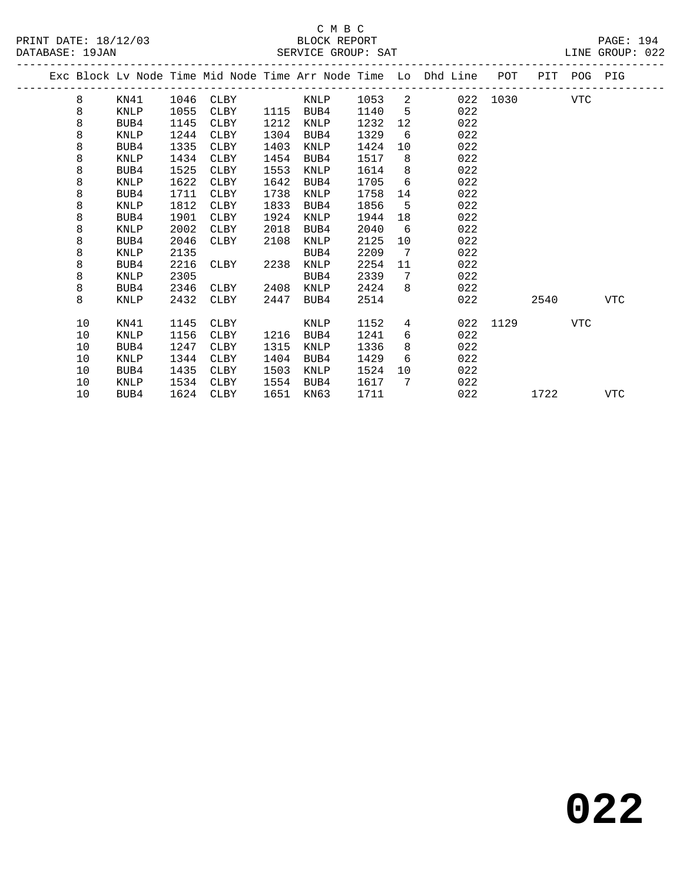|  | DAIADAOB . 190AN |             |      |             |      | DERVICE OROOI PAI |      |                 |                                                                    |          |      |             |            |
|--|------------------|-------------|------|-------------|------|-------------------|------|-----------------|--------------------------------------------------------------------|----------|------|-------------|------------|
|  |                  |             |      |             |      |                   |      |                 | Exc Block Lv Node Time Mid Node Time Arr Node Time Lo Dhd Line POT |          |      | PIT POG PIG |            |
|  | 8                | KN41        | 1046 | CLBY        |      | KNLP              | 1053 | 2               |                                                                    | 022 1030 |      | VTC         |            |
|  | 8                | KNLP        | 1055 | CLBY        | 1115 | BUB4              | 1140 | $5^{\circ}$     | 022                                                                |          |      |             |            |
|  | 8                | BUB4        | 1145 | CLBY        | 1212 | KNLP              | 1232 | 12              | 022                                                                |          |      |             |            |
|  | 8                | KNLP        | 1244 | CLBY        | 1304 | BUB4              | 1329 | 6               | 022                                                                |          |      |             |            |
|  | 8                | BUB4        | 1335 | CLBY        | 1403 | KNLP              | 1424 | 10              | 022                                                                |          |      |             |            |
|  | 8                | KNLP        | 1434 | <b>CLBY</b> | 1454 | BUB4              | 1517 | 8               | 022                                                                |          |      |             |            |
|  | 8                | BUB4        | 1525 | CLBY        | 1553 | KNLP              | 1614 | 8               | 022                                                                |          |      |             |            |
|  | 8                | KNLP        | 1622 | CLBY        | 1642 | BUB4              | 1705 | 6               | 022                                                                |          |      |             |            |
|  | 8                | BUB4        | 1711 | <b>CLBY</b> | 1738 | KNLP              | 1758 | 14              | 022                                                                |          |      |             |            |
|  | 8                | <b>KNLP</b> | 1812 | CLBY        | 1833 | BUB4              | 1856 | 5               | 022                                                                |          |      |             |            |
|  | 8                | BUB4        | 1901 | CLBY        | 1924 | KNLP              | 1944 | 18              | 022                                                                |          |      |             |            |
|  | 8                | <b>KNLP</b> | 2002 | CLBY        | 2018 | BUB4              | 2040 | 6               | 022                                                                |          |      |             |            |
|  | 8                | BUB4        | 2046 | CLBY        | 2108 | KNLP              | 2125 | 10              | 022                                                                |          |      |             |            |
|  | 8                | <b>KNLP</b> | 2135 |             |      | BUB4              | 2209 | 7               | 022                                                                |          |      |             |            |
|  | 8                | BUB4        | 2216 | CLBY        | 2238 | KNLP              | 2254 | 11              | 022                                                                |          |      |             |            |
|  | 8                | <b>KNLP</b> | 2305 |             |      | BUB4              | 2339 | 7               | 022                                                                |          |      |             |            |
|  | 8                | BUB4        | 2346 | CLBY        | 2408 | KNLP              | 2424 | 8               | 022                                                                |          |      |             |            |
|  | 8                | KNLP        | 2432 | CLBY        | 2447 | BUB4              | 2514 |                 | 022                                                                |          | 2540 |             | <b>VTC</b> |
|  | 10               | KN41        | 1145 | CLBY        |      | KNLP              | 1152 | $4\overline{ }$ | 022                                                                | 1129     |      | <b>VTC</b>  |            |
|  | 10               | <b>KNLP</b> | 1156 | CLBY        | 1216 | BUB4              | 1241 | 6               | 022                                                                |          |      |             |            |
|  | 10               | BUB4        | 1247 | CLBY        | 1315 | KNLP              | 1336 | 8               | 022                                                                |          |      |             |            |
|  | 10               | KNLP        | 1344 | CLBY        | 1404 | BUB4              | 1429 | 6               | 022                                                                |          |      |             |            |
|  | 10               | BUB4        | 1435 | CLBY        | 1503 | KNLP              | 1524 | 10 <sup>°</sup> | 022                                                                |          |      |             |            |
|  | 10               | KNLP        | 1534 | CLBY        | 1554 | BUB4              | 1617 | 7               | 022                                                                |          |      |             |            |
|  | 10               | BUB4        | 1624 | CLBY        | 1651 | KN63              | 1711 |                 | 022                                                                |          | 1722 |             | <b>VTC</b> |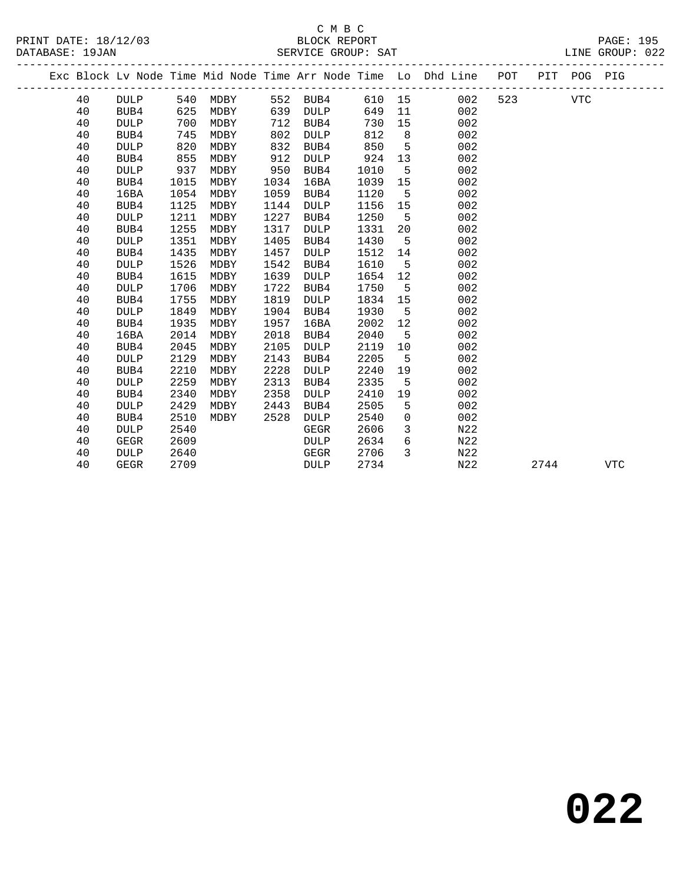# C M B C<br>BLOCK REPORT SERVICE GROUP: SAT

|  |    |             |      |      |      |             |        |    | Exc Block Lv Node Time Mid Node Time Arr Node Time Lo Dhd Line | POT |      | PIT POG PIG |            |  |
|--|----|-------------|------|------|------|-------------|--------|----|----------------------------------------------------------------|-----|------|-------------|------------|--|
|  | 40 | <b>DULP</b> | 540  | MDBY | 552  | BUB4        | 610 15 |    | 002                                                            | 523 |      | <b>VTC</b>  |            |  |
|  | 40 | BUB4        | 625  | MDBY | 639  | <b>DULP</b> | 649    | 11 | 002                                                            |     |      |             |            |  |
|  | 40 | <b>DULP</b> | 700  | MDBY | 712  | BUB4        | 730    | 15 | 002                                                            |     |      |             |            |  |
|  | 40 | BUB4        | 745  | MDBY | 802  | <b>DULP</b> | 812    | 8  | 002                                                            |     |      |             |            |  |
|  | 40 | <b>DULP</b> | 820  | MDBY | 832  | BUB4        | 850    | 5  | 002                                                            |     |      |             |            |  |
|  | 40 | BUB4        | 855  | MDBY | 912  | <b>DULP</b> | 924    | 13 | 002                                                            |     |      |             |            |  |
|  | 40 | <b>DULP</b> | 937  | MDBY | 950  | BUB4        | 1010   | 5  | 002                                                            |     |      |             |            |  |
|  | 40 | BUB4        | 1015 | MDBY | 1034 | 16BA        | 1039   | 15 | 002                                                            |     |      |             |            |  |
|  | 40 | 16BA        | 1054 | MDBY | 1059 | BUB4        | 1120   | 5  | 002                                                            |     |      |             |            |  |
|  | 40 | BUB4        | 1125 | MDBY | 1144 | <b>DULP</b> | 1156   | 15 | 002                                                            |     |      |             |            |  |
|  | 40 | <b>DULP</b> | 1211 | MDBY | 1227 | BUB4        | 1250   | 5  | 002                                                            |     |      |             |            |  |
|  | 40 | BUB4        | 1255 | MDBY | 1317 | <b>DULP</b> | 1331   | 20 | 002                                                            |     |      |             |            |  |
|  | 40 | <b>DULP</b> | 1351 | MDBY | 1405 | BUB4        | 1430   | 5  | 002                                                            |     |      |             |            |  |
|  | 40 | BUB4        | 1435 | MDBY | 1457 | <b>DULP</b> | 1512   | 14 | 002                                                            |     |      |             |            |  |
|  | 40 | <b>DULP</b> | 1526 | MDBY | 1542 | BUB4        | 1610   | 5  | 002                                                            |     |      |             |            |  |
|  | 40 | BUB4        | 1615 | MDBY | 1639 | <b>DULP</b> | 1654   | 12 | 002                                                            |     |      |             |            |  |
|  | 40 | <b>DULP</b> | 1706 | MDBY | 1722 | BUB4        | 1750   | 5  | 002                                                            |     |      |             |            |  |
|  | 40 | BUB4        | 1755 | MDBY | 1819 | <b>DULP</b> | 1834   | 15 | 002                                                            |     |      |             |            |  |
|  | 40 | <b>DULP</b> | 1849 | MDBY | 1904 | BUB4        | 1930   | -5 | 002                                                            |     |      |             |            |  |
|  | 40 | BUB4        | 1935 | MDBY | 1957 | 16BA        | 2002   | 12 | 002                                                            |     |      |             |            |  |
|  | 40 | 16BA        | 2014 | MDBY | 2018 | BUB4        | 2040   | 5  | 002                                                            |     |      |             |            |  |
|  | 40 | BUB4        | 2045 | MDBY | 2105 | <b>DULP</b> | 2119   | 10 | 002                                                            |     |      |             |            |  |
|  | 40 | <b>DULP</b> | 2129 | MDBY | 2143 | BUB4        | 2205   | 5  | 002                                                            |     |      |             |            |  |
|  | 40 | BUB4        | 2210 | MDBY | 2228 | <b>DULP</b> | 2240   | 19 | 002                                                            |     |      |             |            |  |
|  | 40 | <b>DULP</b> | 2259 | MDBY | 2313 | BUB4        | 2335   | 5  | 002                                                            |     |      |             |            |  |
|  | 40 | BUB4        | 2340 | MDBY | 2358 | <b>DULP</b> | 2410   | 19 | 002                                                            |     |      |             |            |  |
|  | 40 | <b>DULP</b> | 2429 | MDBY | 2443 | BUB4        | 2505   | 5  | 002                                                            |     |      |             |            |  |
|  | 40 | BUB4        | 2510 | MDBY | 2528 | <b>DULP</b> | 2540   | 0  | 002                                                            |     |      |             |            |  |
|  | 40 | <b>DULP</b> | 2540 |      |      | GEGR        | 2606   | 3  | N <sub>2</sub> 2                                               |     |      |             |            |  |
|  | 40 | GEGR        | 2609 |      |      | <b>DULP</b> | 2634   | 6  | N22                                                            |     |      |             |            |  |
|  | 40 | <b>DULP</b> | 2640 |      |      | GEGR        | 2706   | 3  | N22                                                            |     |      |             |            |  |
|  | 40 | GEGR        | 2709 |      |      | <b>DULP</b> | 2734   |    | N <sub>2</sub> 2                                               |     | 2744 |             | <b>VTC</b> |  |
|  |    |             |      |      |      |             |        |    |                                                                |     |      |             |            |  |

**022**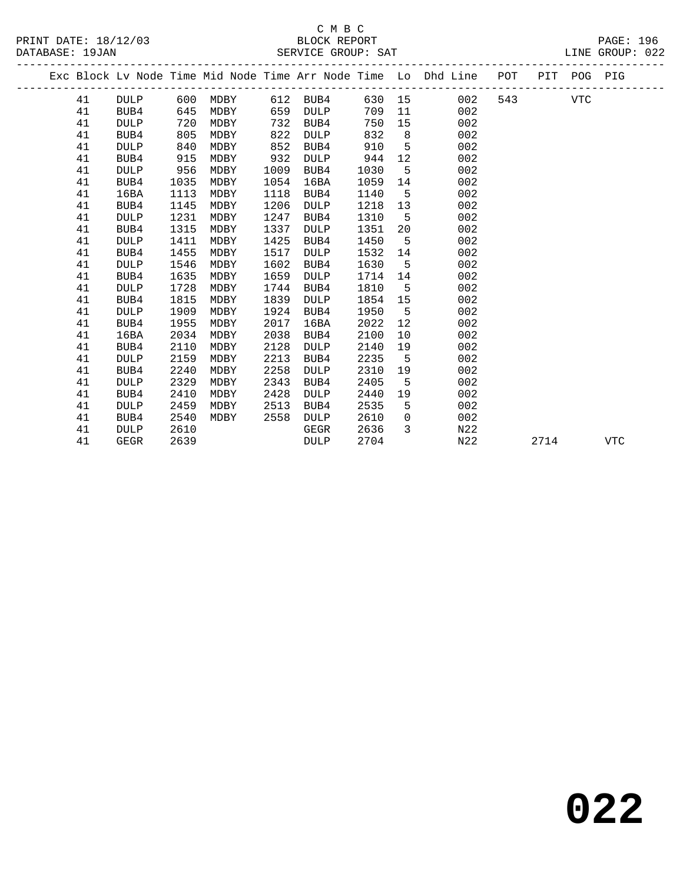# C M B C<br>BLOCK REPORT

PRINT DATE: 18/12/03 BLOCK REPORT PAGE: 196 DATABASE: 1997.<br>SERVICE GROUP: SAT

|    |             |      |      |      |             |      |              | Exc Block Lv Node Time Mid Node Time Arr Node Time Lo Dhd Line | POT |      | PIT POG PIG |            |
|----|-------------|------|------|------|-------------|------|--------------|----------------------------------------------------------------|-----|------|-------------|------------|
| 41 | <b>DULP</b> | 600  | MDBY |      | 612 BUB4    |      |              | 630 15<br>002                                                  | 543 |      | VTC         |            |
| 41 | BUB4        | 645  | MDBY | 659  | <b>DULP</b> | 709  | 11           | 002                                                            |     |      |             |            |
| 41 | <b>DULP</b> | 720  | MDBY | 732  | BUB4        | 750  | 15           | 002                                                            |     |      |             |            |
| 41 | BUB4        | 805  | MDBY | 822  | <b>DULP</b> | 832  | 8            | 002                                                            |     |      |             |            |
| 41 | <b>DULP</b> | 840  | MDBY | 852  | BUB4        | 910  | $5^{\circ}$  | 002                                                            |     |      |             |            |
| 41 | BUB4        | 915  | MDBY | 932  | DULP        | 944  | 12           | 002                                                            |     |      |             |            |
| 41 | <b>DULP</b> | 956  | MDBY | 1009 | BUB4        | 1030 | 5            | 002                                                            |     |      |             |            |
| 41 | BUB4        | 1035 | MDBY | 1054 | 16BA        | 1059 | 14           | 002                                                            |     |      |             |            |
| 41 | 16BA        | 1113 | MDBY | 1118 | BUB4        | 1140 | 5            | 002                                                            |     |      |             |            |
| 41 | BUB4        | 1145 | MDBY | 1206 | <b>DULP</b> | 1218 | 13           | 002                                                            |     |      |             |            |
| 41 | <b>DULP</b> | 1231 | MDBY | 1247 | BUB4        | 1310 | 5            | 002                                                            |     |      |             |            |
| 41 | BUB4        | 1315 | MDBY | 1337 | <b>DULP</b> | 1351 | 20           | 002                                                            |     |      |             |            |
| 41 | <b>DULP</b> | 1411 | MDBY | 1425 | BUB4        | 1450 | 5            | 002                                                            |     |      |             |            |
| 41 | BUB4        | 1455 | MDBY | 1517 | <b>DULP</b> | 1532 | 14           | 002                                                            |     |      |             |            |
| 41 | <b>DULP</b> | 1546 | MDBY | 1602 | BUB4        | 1630 | 5            | 002                                                            |     |      |             |            |
| 41 | BUB4        | 1635 | MDBY | 1659 | DULP        | 1714 | 14           | 002                                                            |     |      |             |            |
| 41 | <b>DULP</b> | 1728 | MDBY | 1744 | BUB4        | 1810 | 5            | 002                                                            |     |      |             |            |
| 41 | BUB4        | 1815 | MDBY | 1839 | <b>DULP</b> | 1854 | 15           | 002                                                            |     |      |             |            |
| 41 | <b>DULP</b> | 1909 | MDBY | 1924 | BUB4        | 1950 | 5            | 002                                                            |     |      |             |            |
| 41 | BUB4        | 1955 | MDBY | 2017 | 16BA        | 2022 | 12           | 002                                                            |     |      |             |            |
| 41 | 16BA        | 2034 | MDBY | 2038 | BUB4        | 2100 | 10           | 002                                                            |     |      |             |            |
| 41 | BUB4        | 2110 | MDBY | 2128 | DULP        | 2140 | 19           | 002                                                            |     |      |             |            |
| 41 | <b>DULP</b> | 2159 | MDBY | 2213 | BUB4        | 2235 | 5            | 002                                                            |     |      |             |            |
| 41 | BUB4        | 2240 | MDBY | 2258 | <b>DULP</b> | 2310 | 19           | 002                                                            |     |      |             |            |
| 41 | <b>DULP</b> | 2329 | MDBY | 2343 | BUB4        | 2405 | 5            | 002                                                            |     |      |             |            |
| 41 | BUB4        | 2410 | MDBY | 2428 | <b>DULP</b> | 2440 | 19           | 002                                                            |     |      |             |            |
| 41 | <b>DULP</b> | 2459 | MDBY | 2513 | BUB4        | 2535 | 5            | 002                                                            |     |      |             |            |
| 41 | BUB4        | 2540 | MDBY | 2558 | DULP        | 2610 | $\mathbf 0$  | 002                                                            |     |      |             |            |
| 41 | <b>DULP</b> | 2610 |      |      | GEGR        | 2636 | $\mathbf{3}$ | N22                                                            |     |      |             |            |
| 41 | <b>GEGR</b> | 2639 |      |      | DULP        | 2704 |              | N <sub>2</sub> 2                                               |     | 2714 |             | <b>VTC</b> |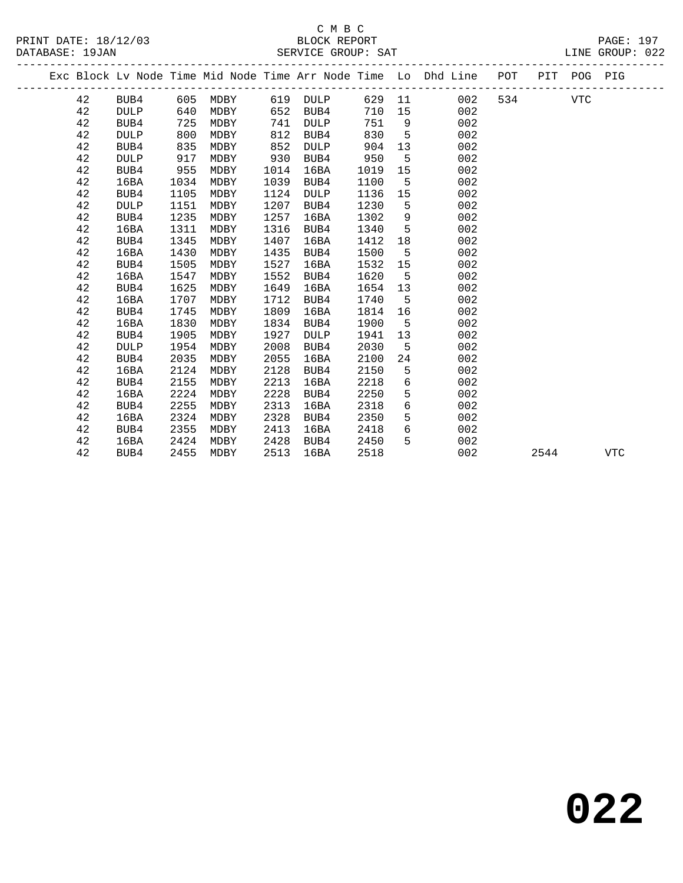# C M B C<br>BLOCK REPORT SERVICE GROUP: SAT

|  |    |             |      |      |      |             |      |             | Exc Block Lv Node Time Mid Node Time Arr Node Time Lo Dhd Line POT |     | PIT POG PIG |  |
|--|----|-------------|------|------|------|-------------|------|-------------|--------------------------------------------------------------------|-----|-------------|--|
|  | 42 | BUB4        | 605  | MDBY | 619  | DULP        | 629  |             | 002<br>11                                                          | 534 | <b>VTC</b>  |  |
|  | 42 | <b>DULP</b> | 640  | MDBY | 652  | BUB4        | 710  | 15          | 002                                                                |     |             |  |
|  | 42 | BUB4        | 725  | MDBY | 741  | DULP        | 751  | 9           | 002                                                                |     |             |  |
|  | 42 | <b>DULP</b> | 800  | MDBY | 812  | BUB4        | 830  | 5           | 002                                                                |     |             |  |
|  | 42 | BUB4        | 835  | MDBY | 852  | DULP        | 904  | 13          | 002                                                                |     |             |  |
|  | 42 | <b>DULP</b> | 917  | MDBY | 930  | BUB4        | 950  | 5           | 002                                                                |     |             |  |
|  | 42 | BUB4        | 955  | MDBY | 1014 | 16BA        | 1019 | 15          | 002                                                                |     |             |  |
|  | 42 | 16BA        | 1034 | MDBY | 1039 | BUB4        | 1100 | $5^{\circ}$ | 002                                                                |     |             |  |
|  | 42 | BUB4        | 1105 | MDBY | 1124 | <b>DULP</b> | 1136 | 15          | 002                                                                |     |             |  |
|  | 42 | <b>DULP</b> | 1151 | MDBY | 1207 | BUB4        | 1230 | 5           | 002                                                                |     |             |  |
|  | 42 | BUB4        | 1235 | MDBY | 1257 | 16BA        | 1302 | 9           | 002                                                                |     |             |  |
|  | 42 | 16BA        | 1311 | MDBY | 1316 | BUB4        | 1340 | $5^{\circ}$ | 002                                                                |     |             |  |
|  | 42 | BUB4        | 1345 | MDBY | 1407 | 16BA        | 1412 | 18          | 002                                                                |     |             |  |
|  | 42 | 16BA        | 1430 | MDBY | 1435 | BUB4        | 1500 | 5           | 002                                                                |     |             |  |
|  | 42 | BUB4        | 1505 | MDBY | 1527 | 16BA        | 1532 | 15          | 002                                                                |     |             |  |
|  | 42 | 16BA        | 1547 | MDBY | 1552 | BUB4        | 1620 | 5           | 002                                                                |     |             |  |
|  | 42 | BUB4        | 1625 | MDBY | 1649 | 16BA        | 1654 | 13          | 002                                                                |     |             |  |
|  | 42 | 16BA        | 1707 | MDBY | 1712 | BUB4        | 1740 | $-5$        | 002                                                                |     |             |  |
|  | 42 | BUB4        | 1745 | MDBY | 1809 | 16BA        | 1814 | 16          | 002                                                                |     |             |  |
|  | 42 | 16BA        | 1830 | MDBY | 1834 | BUB4        | 1900 | 5           | 002                                                                |     |             |  |
|  | 42 | BUB4        | 1905 | MDBY | 1927 | <b>DULP</b> | 1941 | 13          | 002                                                                |     |             |  |
|  | 42 | <b>DULP</b> | 1954 | MDBY | 2008 | BUB4        | 2030 | 5           | 002                                                                |     |             |  |
|  | 42 | BUB4        | 2035 | MDBY | 2055 | 16BA        | 2100 | 24          | 002                                                                |     |             |  |
|  | 42 | 16BA        | 2124 | MDBY | 2128 | BUB4        | 2150 | 5           | 002                                                                |     |             |  |
|  | 42 | BUB4        | 2155 | MDBY | 2213 | 16BA        | 2218 | 6           | 002                                                                |     |             |  |
|  | 42 | 16BA        | 2224 | MDBY | 2228 | BUB4        | 2250 | 5           | 002                                                                |     |             |  |
|  | 42 | BUB4        | 2255 | MDBY | 2313 | 16BA        | 2318 | 6           | 002                                                                |     |             |  |
|  | 42 | 16BA        | 2324 | MDBY | 2328 | BUB4        | 2350 | 5           | 002                                                                |     |             |  |
|  | 42 | BUB4        | 2355 | MDBY | 2413 | 16BA        | 2418 | 6           | 002                                                                |     |             |  |

42 16BA 2424 MDBY 2428 BUB4 2450 5 002

42 BUB4 2455 MDBY 2513 16BA 2518 002 2544 VTC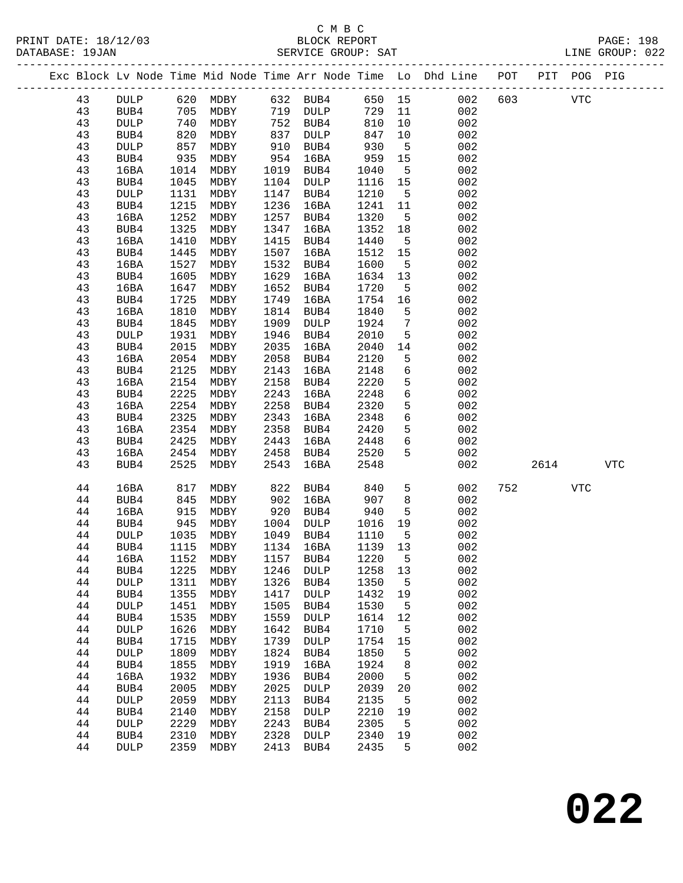# C M B C<br>BLOCK REPORT

#### PRINT DATE: 18/12/03 BLOCK REPORT PAGE: 198 DATABASE: 19JAN SERVICE GROUP: SAT SAT LINE GROUP: 022 ------------------------------------------------------------------------------------------------- Exc Block Lv Node Time Mid Node Time Arr Node Time Lo Dhd Line POT PIT POG PIG ------------------------------------------------------------------------------------------------- 43 DULP 620 MDBY 632 BUB4 650 15 002 603 VTC 43 BUB4 705 MDBY 719 DULP 729 11 002 43 DULP 740 MDBY 752 BUB4 810 10 002 43 BUB4 820 MDBY 837 DULP 847 10 002 43 DULP 857 MDBY 910 BUB4 930 5 002 43 BUB4 935 MDBY 954 16BA 959 15 002 43 16BA 1014 MDBY 1019 BUB4 1040 5 002 43 BUB4 1045 MDBY 1104 DULP 1116 15 002 43 DULP 1131 MDBY 1147 BUB4 1210 5 002 43 BUB4 1215 MDBY 1236 16BA 1241 11 002 43 16BA 1252 MDBY 1257 BUB4 1320 5 002 43 BUB4 1325 MDBY 1347 16BA 1352 18 002 43 16BA 1410 MDBY 1415 BUB4 1440 5 002 43 BUB4 1445 MDBY 1507 16BA 1512 15 002 43 16BA 1527 MDBY 1532 BUB4 1600 5 002 43 BUB4 1605 MDBY 1629 16BA 1634 13 002 43 16BA 1647 MDBY 1652 BUB4 1720 5 002 43 BUB4 1725 MDBY 1749 16BA 1754 16 002 43 16BA 1810 MDBY 1814 BUB4 1840 5 002 43 BUB4 1845 MDBY 1909 DULP 1924 7 002 43 DULP 1931 MDBY 1946 BUB4 2010 5 002 43 BUB4 2015 MDBY 2035 16BA 2040 14 002 43 16BA 2054 MDBY 2058 BUB4 2120 5 002 43 BUB4 2125 MDBY 2143 16BA 2148 6 002 43 16BA 2154 MDBY 2158 BUB4 2220 5 002 43 BUB4 2225 MDBY 2243 16BA 2248 6 002 43 16BA 2254 MDBY 2258 BUB4 2320 5 002 43 BUB4 2325 MDBY 2343 16BA 2348 6 002 43 16BA 2354 MDBY 2358 BUB4 2420 5 002 43 BUB4 2425 MDBY 2443 16BA 2448 6 002 43 16BA 2454 MDBY 2458 BUB4 2520 5 002 43 BUB4 2525 MDBY 2543 16BA 2548 002 2614 VTC 44 16BA 817 MDBY 822 BUB4 840 5 002 752 VTC 44 BUB4 845 MDBY 902 16BA 907 8 002 44 16BA 915 MDBY 920 BUB4 940 5 002 44 BUB4 945 MDBY 1004 DULP 1016 19 002 44 DULP 1035 MDBY 1049 BUB4 1110 5 002 44 BUB4 1115 MDBY 1134 16BA 1139 13 002 44 16BA 1152 MDBY 1157 BUB4 1220 5 002 44 BUB4 1225 MDBY 1246 DULP 1258 13 002 44 DULP 1311 MDBY 1326 BUB4 1350 5 002 44 BUB4 1355 MDBY 1417 DULP 1432 19 002 44 DULP 1451 MDBY 1505 BUB4 1530 5 002 44 BUB4 1535 MDBY 1559 DULP 1614 12 002 44 DULP 1626 MDBY 1642 BUB4 1710 5 002 44 BUB4 1715 MDBY 1739 DULP 1754 15 002 44 DULP 1809 MDBY 1824 BUB4 1850 5 002 44 BUB4 1855 MDBY 1919 16BA 1924 8 002 44 16BA 1932 MDBY 1936 BUB4 2000 5 002 44 BUB4 2005 MDBY 2025 DULP 2039 20 002

 44 DULP 2059 MDBY 2113 BUB4 2135 5 002 44 BUB4 2140 MDBY 2158 DULP 2210 19 002 44 DULP 2229 MDBY 2243 BUB4 2305 5 002 44 BUB4 2310 MDBY 2328 DULP 2340 19 002 44 DULP 2359 MDBY 2413 BUB4 2435 5 002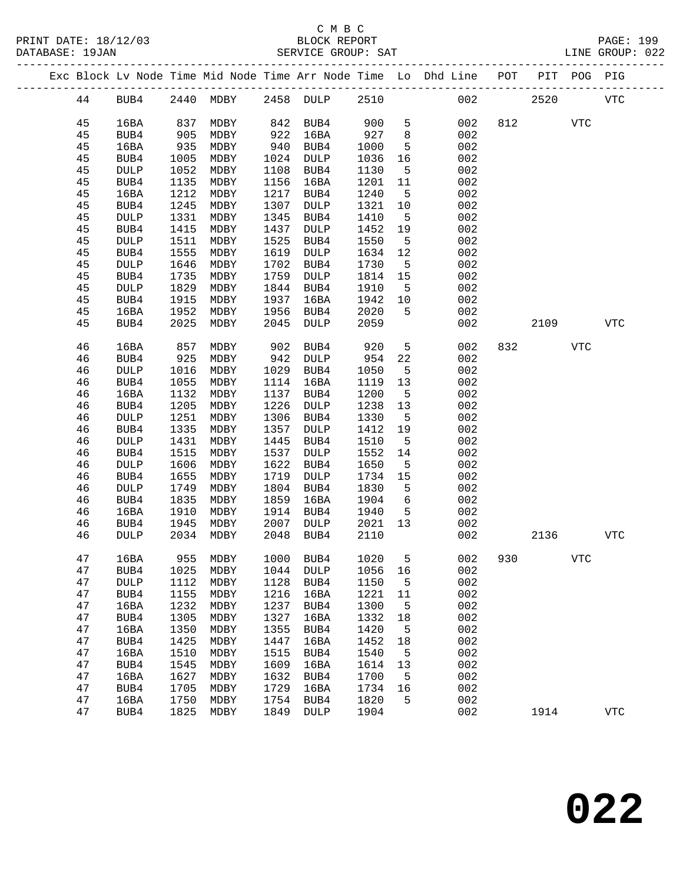|  |    |             |      |      |      |                 |      |                 | Exc Block Lv Node Time Mid Node Time Arr Node Time Lo Dhd Line POT |         |      | PIT POG PIG |             |  |
|--|----|-------------|------|------|------|-----------------|------|-----------------|--------------------------------------------------------------------|---------|------|-------------|-------------|--|
|  | 44 | BUB4        | 2440 | MDBY |      | 2458 DULP       | 2510 |                 | 002                                                                |         | 2520 |             | <b>VTC</b>  |  |
|  | 45 | 16BA        | 837  | MDBY | 842  | BUB4            | 900  | 5               | 002                                                                | 812     |      | VTC         |             |  |
|  | 45 | BUB4        | 905  | MDBY | 922  | 16BA            | 927  | 8               | 002                                                                |         |      |             |             |  |
|  | 45 | 16BA        | 935  | MDBY | 940  | BUB4            | 1000 | 5               | 002                                                                |         |      |             |             |  |
|  | 45 | BUB4        | 1005 | MDBY | 1024 | DULP            | 1036 | 16              | 002                                                                |         |      |             |             |  |
|  | 45 | DULP        | 1052 | MDBY | 1108 | BUB4            | 1130 | 5               | 002                                                                |         |      |             |             |  |
|  | 45 | BUB4        | 1135 | MDBY | 1156 | 16BA            | 1201 | 11              | 002                                                                |         |      |             |             |  |
|  | 45 | 16BA        | 1212 | MDBY | 1217 | BUB4            | 1240 | 5               | 002                                                                |         |      |             |             |  |
|  | 45 | BUB4        | 1245 | MDBY | 1307 | DULP            | 1321 | 10              | 002                                                                |         |      |             |             |  |
|  | 45 | DULP        | 1331 | MDBY | 1345 | BUB4            | 1410 | 5               | 002                                                                |         |      |             |             |  |
|  | 45 | BUB4        | 1415 | MDBY | 1437 | DULP            | 1452 | 19              | 002                                                                |         |      |             |             |  |
|  | 45 | DULP        | 1511 | MDBY | 1525 | BUB4            | 1550 | 5               | 002                                                                |         |      |             |             |  |
|  | 45 | BUB4        | 1555 | MDBY | 1619 | DULP            | 1634 | 12              | 002                                                                |         |      |             |             |  |
|  | 45 | <b>DULP</b> | 1646 | MDBY | 1702 | BUB4            | 1730 | 5               | 002                                                                |         |      |             |             |  |
|  | 45 | BUB4        | 1735 | MDBY | 1759 | DULP            | 1814 | 15              | 002                                                                |         |      |             |             |  |
|  | 45 | DULP        | 1829 | MDBY | 1844 | BUB4            | 1910 | 5               | 002                                                                |         |      |             |             |  |
|  | 45 | BUB4        | 1915 | MDBY | 1937 | 16BA            | 1942 | 10              | 002                                                                |         |      |             |             |  |
|  | 45 | 16BA        | 1952 | MDBY | 1956 | BUB4            | 2020 | 5               | 002                                                                |         |      |             |             |  |
|  | 45 | BUB4        | 2025 | MDBY | 2045 | DULP            | 2059 |                 | 002                                                                |         | 2109 |             | <b>VTC</b>  |  |
|  | 46 | 16BA        | 857  | MDBY | 902  | BUB4            | 920  | 5               | 002                                                                | 832     |      | <b>VTC</b>  |             |  |
|  | 46 | BUB4        | 925  | MDBY | 942  | DULP            | 954  | 22              | 002                                                                |         |      |             |             |  |
|  | 46 | <b>DULP</b> | 1016 | MDBY | 1029 | BUB4            | 1050 | 5               | 002                                                                |         |      |             |             |  |
|  | 46 | BUB4        | 1055 | MDBY | 1114 | 16BA            | 1119 | 13              | 002                                                                |         |      |             |             |  |
|  | 46 | 16BA        | 1132 | MDBY | 1137 | BUB4            | 1200 | 5               | 002                                                                |         |      |             |             |  |
|  | 46 | BUB4        | 1205 | MDBY | 1226 | <b>DULP</b>     | 1238 | 13              | 002                                                                |         |      |             |             |  |
|  | 46 | DULP        | 1251 | MDBY | 1306 | BUB4            | 1330 | 5               | 002                                                                |         |      |             |             |  |
|  | 46 | BUB4        | 1335 | MDBY | 1357 | DULP            | 1412 | 19              | 002                                                                |         |      |             |             |  |
|  | 46 | DULP        | 1431 | MDBY | 1445 | BUB4            | 1510 | 5               | 002                                                                |         |      |             |             |  |
|  | 46 | BUB4        | 1515 | MDBY | 1537 | <b>DULP</b>     | 1552 | 14              | 002                                                                |         |      |             |             |  |
|  | 46 | DULP        | 1606 | MDBY | 1622 | BUB4            | 1650 | 5               | 002                                                                |         |      |             |             |  |
|  | 46 | BUB4        | 1655 | MDBY | 1719 | <b>DULP</b>     | 1734 | 15              | 002                                                                |         |      |             |             |  |
|  | 46 | DULP        | 1749 | MDBY | 1804 | BUB4            | 1830 | 5               | 002                                                                |         |      |             |             |  |
|  | 46 | BUB4        | 1835 | MDBY | 1859 | 16BA            | 1904 | 6               | 002                                                                |         |      |             |             |  |
|  | 46 | 16BA        | 1910 | MDBY | 1914 | BUB4            | 1940 | 5               | 002                                                                |         |      |             |             |  |
|  | 46 | BUB4        | 1945 | MDBY | 2007 | DULP            | 2021 | 13              | 002                                                                |         |      |             |             |  |
|  | 46 | <b>DULP</b> | 2034 | MDBY | 2048 | BUB4            | 2110 |                 | 002                                                                |         | 2136 |             | ${\tt VTC}$ |  |
|  | 47 | 16BA        | 955  | MDBY | 1000 | BUB4            | 1020 | $5\overline{)}$ |                                                                    | 002 930 |      | VTC         |             |  |
|  | 47 | BUB4        | 1025 | MDBY | 1044 | DULP            | 1056 | 16              | 002                                                                |         |      |             |             |  |
|  | 47 | DULP        | 1112 | MDBY | 1128 | BUB4            | 1150 | 5               | 002                                                                |         |      |             |             |  |
|  | 47 | BUB4        | 1155 | MDBY | 1216 | 16BA            | 1221 | 11              | 002                                                                |         |      |             |             |  |
|  | 47 | 16BA        | 1232 | MDBY | 1237 | BUB4            | 1300 | 5               | 002                                                                |         |      |             |             |  |
|  | 47 | BUB4        | 1305 | MDBY | 1327 | 16BA            | 1332 | 18              | 002                                                                |         |      |             |             |  |
|  | 47 | 16BA        | 1350 | MDBY | 1355 | BUB4            | 1420 | 5               | 002                                                                |         |      |             |             |  |
|  | 47 | BUB4        | 1425 | MDBY | 1447 | 16BA            | 1452 | 18              | 002                                                                |         |      |             |             |  |
|  | 47 | 16BA        | 1510 | MDBY | 1515 | BUB4            | 1540 | 5               | 002                                                                |         |      |             |             |  |
|  | 47 | BUB4        | 1545 | MDBY | 1609 | 16BA            | 1614 | 13              | 002                                                                |         |      |             |             |  |
|  | 47 | 16BA        | 1627 | MDBY | 1632 | BUB4            | 1700 | 5               | 002                                                                |         |      |             |             |  |
|  | 47 | BUB4        | 1705 | MDBY | 1729 | 16BA            | 1734 | 16              | 002                                                                |         |      |             |             |  |
|  | 47 | 16BA        | 1750 | MDBY | 1754 | BUB4            | 1820 | 5               | 002                                                                |         |      |             |             |  |
|  | 47 | BUB4        | 1825 | MDBY | 1849 | $\texttt{DULP}$ | 1904 |                 | 002                                                                |         | 1914 |             | <b>VTC</b>  |  |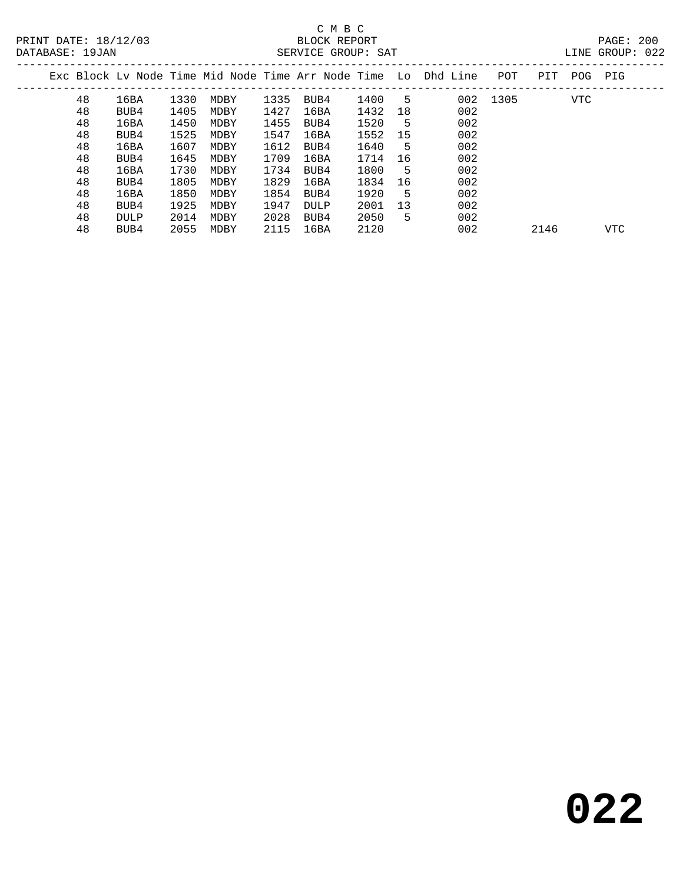|  |    |      |      |      |      |      |      |    | Exc Block Ly Node Time Mid Node Time Arr Node Time Lo Dhd Line | POT      | PIT  | POG        | PIG        |  |
|--|----|------|------|------|------|------|------|----|----------------------------------------------------------------|----------|------|------------|------------|--|
|  | 48 | 16BA | 1330 | MDBY | 1335 | BUB4 | 1400 | 5  |                                                                | 002 1305 |      | <b>VTC</b> |            |  |
|  | 48 | BUB4 | 1405 | MDBY | 1427 | 16BA | 1432 | 18 | 002                                                            |          |      |            |            |  |
|  | 48 | 16BA | 1450 | MDBY | 1455 | BUB4 | 1520 | 5  | 002                                                            |          |      |            |            |  |
|  | 48 | BUB4 | 1525 | MDBY | 1547 | 16BA | 1552 | 15 | 002                                                            |          |      |            |            |  |
|  | 48 | 16BA | 1607 | MDBY | 1612 | BUB4 | 1640 | 5  | 002                                                            |          |      |            |            |  |
|  | 48 | BUB4 | 1645 | MDBY | 1709 | 16BA | 1714 | 16 | 002                                                            |          |      |            |            |  |
|  | 48 | 16BA | 1730 | MDBY | 1734 | BUB4 | 1800 | 5  | 002                                                            |          |      |            |            |  |
|  | 48 | BUB4 | 1805 | MDBY | 1829 | 16BA | 1834 | 16 | 002                                                            |          |      |            |            |  |
|  | 48 | 16BA | 1850 | MDBY | 1854 | BUB4 | 1920 | 5  | 002                                                            |          |      |            |            |  |
|  | 48 | BUB4 | 1925 | MDBY | 1947 | DULP | 2001 | 13 | 002                                                            |          |      |            |            |  |
|  | 48 | DULP | 2014 | MDBY | 2028 | BUB4 | 2050 | 5  | 002                                                            |          |      |            |            |  |
|  | 48 | BUB4 | 2055 | MDBY | 2115 | 16BA | 2120 |    | 002                                                            |          | 2146 |            | <b>VTC</b> |  |
|  |    |      |      |      |      |      |      |    |                                                                |          |      |            |            |  |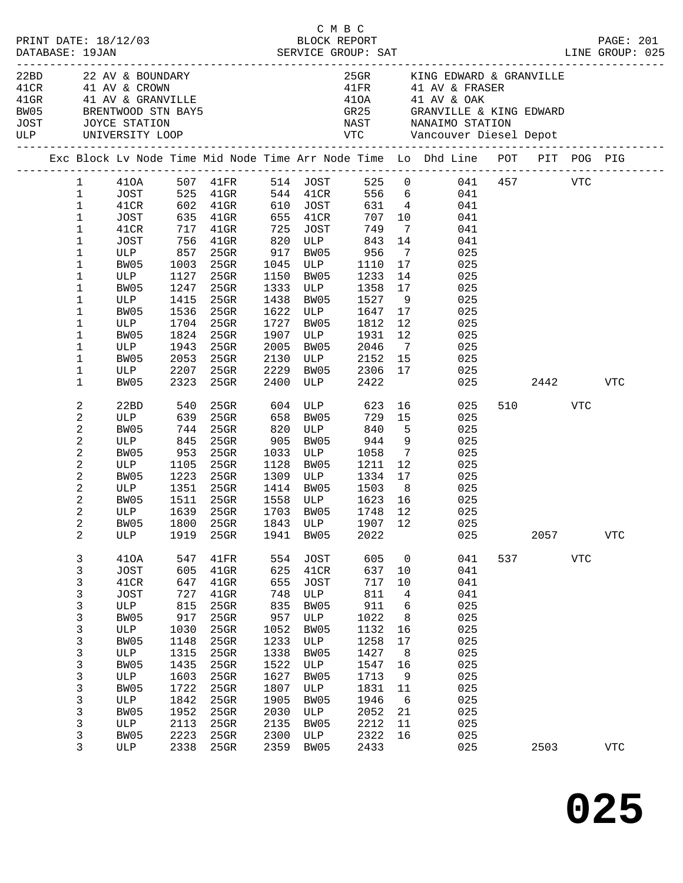|                      |                |                      |            |                                                                                                                        |      | смвс         |                                                                 |                |                                                                                                                                                                                                                                                |     |        |            |            |
|----------------------|----------------|----------------------|------------|------------------------------------------------------------------------------------------------------------------------|------|--------------|-----------------------------------------------------------------|----------------|------------------------------------------------------------------------------------------------------------------------------------------------------------------------------------------------------------------------------------------------|-----|--------|------------|------------|
| PRINT DATE: 18/12/03 |                |                      |            |                                                                                                                        |      | BLOCK REPORT |                                                                 |                |                                                                                                                                                                                                                                                |     |        |            | PAGE: 201  |
| DATABASE: 19JAN      |                |                      |            |                                                                                                                        |      |              |                                                                 |                |                                                                                                                                                                                                                                                |     |        |            |            |
|                      |                |                      |            |                                                                                                                        |      |              |                                                                 |                |                                                                                                                                                                                                                                                |     |        |            |            |
|                      |                |                      |            | 22BD 22 AV & BOUNDARY<br>41CR 41 AV & CROWN<br>41GR 41 AV & GRANVILLE<br>BW05 BRENTWOOD STN BAY5<br>JOST JOYCE STATION |      |              |                                                                 |                | 25GR KING EDWARD & GRANVILLE                                                                                                                                                                                                                   |     |        |            |            |
|                      |                |                      |            |                                                                                                                        |      |              |                                                                 |                | 41FR 41 AV & FRASER                                                                                                                                                                                                                            |     |        |            |            |
|                      |                |                      |            |                                                                                                                        |      |              |                                                                 |                |                                                                                                                                                                                                                                                |     |        |            |            |
|                      |                |                      |            |                                                                                                                        |      |              |                                                                 |                |                                                                                                                                                                                                                                                |     |        |            |            |
|                      |                |                      |            |                                                                                                                        |      |              |                                                                 |                |                                                                                                                                                                                                                                                |     |        |            |            |
|                      |                |                      |            |                                                                                                                        |      |              |                                                                 |                | 41 AV & GRANVILLE<br>BRENTWOOD STN BAY5<br>JOST CONGE STATION<br>TON DIE UNIVERSITY LOOP VIC Vancouver Diesel Depot<br>CRANVILLE & KING EDWARD<br>CRANVILLE & KING EDWARD<br>CRANVILLE & KING EDWARD<br>CRANVILLE & KING EDWARD<br>CRANVILLE & |     |        |            |            |
|                      |                |                      |            |                                                                                                                        |      |              |                                                                 |                |                                                                                                                                                                                                                                                |     |        |            |            |
|                      |                |                      |            |                                                                                                                        |      |              |                                                                 |                | 1 410A 507 41FR 514 JOST 525 0 041 457 VTC                                                                                                                                                                                                     |     |        |            |            |
|                      | $\mathbf 1$    |                      |            |                                                                                                                        |      |              |                                                                 |                |                                                                                                                                                                                                                                                |     |        |            |            |
|                      | $\mathbf{1}$   |                      |            |                                                                                                                        |      |              |                                                                 |                |                                                                                                                                                                                                                                                |     |        |            |            |
|                      | $\mathbf 1$    |                      |            |                                                                                                                        |      |              |                                                                 |                |                                                                                                                                                                                                                                                |     |        |            |            |
|                      |                |                      |            |                                                                                                                        |      |              |                                                                 |                | $\begin{tabular}{cccc} JOST & 525 & 41GR & 544 & 41CR & 556 & 6 & 041 \\ 41CR & 602 & 41GR & 610 & JOST & 631 & 4 & 041 \\ JOST & 635 & 41GR & 655 & 41CR & 707 & 10 & 041 \\ 41CR & 717 & 41GR & 725 & JOST & 749 & 7 & 041 \end{tabular}$    |     |        |            |            |
|                      | $\mathbf 1$    |                      |            | 756 41GR                                                                                                               |      |              |                                                                 |                |                                                                                                                                                                                                                                                |     |        |            |            |
|                      | $\mathbf 1$    | JOST                 |            |                                                                                                                        | 820  |              | ULP 843                                                         | 14             | 041                                                                                                                                                                                                                                            |     |        |            |            |
|                      | $\mathbf 1$    | ULP 857<br>BW05 1003 |            | $25$ GR                                                                                                                | 917  |              |                                                                 |                | $7\overline{ }$<br>025                                                                                                                                                                                                                         |     |        |            |            |
|                      | $\mathbf 1$    | BW05<br>ULP          | 1003       | 25GR<br>1127 25GR                                                                                                      | 1045 |              | 1233                                                            | 17             | 025                                                                                                                                                                                                                                            |     |        |            |            |
|                      | $\mathbf 1$    |                      |            |                                                                                                                        | 1150 | BW05         |                                                                 | 14             | 025                                                                                                                                                                                                                                            |     |        |            |            |
|                      | $\mathbf 1$    | BW05                 | 1247       | $25$ GR                                                                                                                | 1333 |              | ULP 1358                                                        | 17             | 025                                                                                                                                                                                                                                            |     |        |            |            |
|                      | 1              | ULP                  | 1415       | $25$ GR                                                                                                                |      |              | 1438 BW05 1527<br>1622 ULP 1647                                 | 9              | 025                                                                                                                                                                                                                                            |     |        |            |            |
|                      | $\mathbf 1$    | BW05                 | 1536       | 25GR                                                                                                                   |      |              |                                                                 | 17             | 025                                                                                                                                                                                                                                            |     |        |            |            |
|                      | $\mathbf 1$    | ULP                  |            | 1704 25GR                                                                                                              | 1727 | BW05         | 1812                                                            | 12             | 025                                                                                                                                                                                                                                            |     |        |            |            |
|                      | $\mathbf 1$    | BW05                 | 1824       | $25$ GR                                                                                                                | 1907 |              | ULP 1931                                                        | 12             | 025                                                                                                                                                                                                                                            |     |        |            |            |
|                      | 1              | ULP                  | 1943       | 25GR                                                                                                                   |      |              |                                                                 |                | 025                                                                                                                                                                                                                                            |     |        |            |            |
|                      | $\mathbf 1$    | BW05<br>ULP          | 2053       | 25GR                                                                                                                   |      |              | 2005 BW05 2046 7<br>2130 ULP 2152 15<br>2229 BW05 2306 17       |                | 025                                                                                                                                                                                                                                            |     |        |            |            |
|                      | $\mathbf 1$    |                      |            | 2207 25GR                                                                                                              |      |              |                                                                 |                | 025                                                                                                                                                                                                                                            |     |        |            |            |
|                      | $\mathbf{1}$   | BW05                 |            | 2323 25GR                                                                                                              |      |              | 2400 ULP 2422                                                   |                |                                                                                                                                                                                                                                                | 025 | 2442   |            | VTC        |
|                      | 2              | 22BD                 | 540<br>639 |                                                                                                                        |      |              |                                                                 |                | 025                                                                                                                                                                                                                                            |     | 510 72 | VTC        |            |
|                      | 2              | ULP                  |            |                                                                                                                        |      |              |                                                                 |                | 025                                                                                                                                                                                                                                            |     |        |            |            |
|                      | $\mathbf 2$    | BW05                 |            | 744 25GR                                                                                                               |      | 820 ULP      | 840                                                             | 5 <sup>5</sup> | 025                                                                                                                                                                                                                                            |     |        |            |            |
|                      | $\sqrt{2}$     | ULP                  | 845        | 25GR                                                                                                                   | 905  | BW05         | 944                                                             | 9              | 025                                                                                                                                                                                                                                            |     |        |            |            |
|                      | $\overline{a}$ | BW05 953<br>ULP 110F |            | 25GR                                                                                                                   | 1033 |              | ULP 1058 7<br>BW05 1211 12                                      |                | 025                                                                                                                                                                                                                                            |     |        |            |            |
|                      | $\sqrt{2}$     |                      |            | 25GR                                                                                                                   | 1128 |              |                                                                 |                | 025                                                                                                                                                                                                                                            |     |        |            |            |
|                      | $\overline{c}$ | BW05                 | 1223       | 25GR                                                                                                                   | 1309 |              | ULP 1334 17                                                     |                | 025                                                                                                                                                                                                                                            |     |        |            |            |
|                      | 2              | ULP                  | 1351       | $25$ GR                                                                                                                |      |              | 1414 BW05 1503                                                  | 8 <sup>8</sup> | 025                                                                                                                                                                                                                                            |     |        |            |            |
|                      | $\mathbf 2$    | BW05                 | 1511       | 25GR                                                                                                                   |      |              | 1558   ULP         1623    16<br>1703    BW05        1748    12 |                | 025                                                                                                                                                                                                                                            |     |        |            |            |
|                      | 2              | ULP                  | 1639       | 25GR                                                                                                                   |      |              |                                                                 |                | 025                                                                                                                                                                                                                                            |     |        |            |            |
|                      | 2              |                      |            |                                                                                                                        |      |              |                                                                 |                | BW05 1800 25GR 1843 ULP 1907 12 025                                                                                                                                                                                                            |     |        |            |            |
|                      | 2              | ULP                  | 1919       | 25GR                                                                                                                   | 1941 | BW05         | 2022                                                            |                | 025                                                                                                                                                                                                                                            |     | 2057   |            | <b>VTC</b> |
|                      | 3              | 410A                 | 547        | 41FR                                                                                                                   | 554  | JOST         | 605                                                             | $\mathbf 0$    | 041                                                                                                                                                                                                                                            |     | 537    | <b>VTC</b> |            |
|                      | 3              | <b>JOST</b>          | 605        | $41$ GR                                                                                                                | 625  | 41CR         | 637                                                             | 10             | 041                                                                                                                                                                                                                                            |     |        |            |            |
|                      | 3              | 41CR                 | 647        | $41$ GR                                                                                                                | 655  | JOST         | 717                                                             | 10             | 041                                                                                                                                                                                                                                            |     |        |            |            |
|                      | 3              | <b>JOST</b>          | 727        | $41$ GR                                                                                                                | 748  | ULP          | 811                                                             | 4              | 041                                                                                                                                                                                                                                            |     |        |            |            |
|                      | $\mathfrak{Z}$ | ULP                  | 815        | 25GR                                                                                                                   | 835  | BW05         | 911                                                             | 6              | 025                                                                                                                                                                                                                                            |     |        |            |            |
|                      | 3              | BW05                 | 917        | 25GR                                                                                                                   | 957  | ULP          | 1022                                                            | 8              | 025                                                                                                                                                                                                                                            |     |        |            |            |
|                      | 3              | ULP                  | 1030       | 25GR                                                                                                                   | 1052 | BW05         | 1132                                                            | 16             | 025                                                                                                                                                                                                                                            |     |        |            |            |
|                      | 3              | BW05                 | 1148       | 25GR                                                                                                                   | 1233 | ULP          | 1258                                                            | 17             | 025                                                                                                                                                                                                                                            |     |        |            |            |
|                      | 3              | ULP                  | 1315       | 25GR                                                                                                                   | 1338 | BW05         | 1427                                                            | 8              | 025                                                                                                                                                                                                                                            |     |        |            |            |
|                      | 3              | BW05                 | 1435       | 25GR                                                                                                                   | 1522 | ULP          | 1547                                                            | 16             | 025                                                                                                                                                                                                                                            |     |        |            |            |
|                      | 3              | ULP                  | 1603       | 25GR                                                                                                                   | 1627 | BW05         | 1713                                                            | 9              | 025                                                                                                                                                                                                                                            |     |        |            |            |
|                      | 3              | BW05                 | 1722       | 25GR                                                                                                                   | 1807 | ULP          | 1831                                                            | 11             | 025                                                                                                                                                                                                                                            |     |        |            |            |
|                      | 3              | ULP                  | 1842       | $25$ GR                                                                                                                | 1905 | BW05         | 1946                                                            | 6              | 025                                                                                                                                                                                                                                            |     |        |            |            |
|                      | 3              | BW05                 | 1952       | 25GR                                                                                                                   | 2030 | ULP          | 2052                                                            | 21             | 025                                                                                                                                                                                                                                            |     |        |            |            |
|                      | 3              | ULP                  | 2113       | 25GR                                                                                                                   | 2135 | BW05         | 2212                                                            | 11             | 025                                                                                                                                                                                                                                            |     |        |            |            |
|                      | 3              | BW05                 | 2223       | $25$ GR                                                                                                                | 2300 | ULP          | 2322                                                            | 16             | 025                                                                                                                                                                                                                                            |     |        |            |            |
|                      | 3              | ULP                  | 2338       | 25GR                                                                                                                   | 2359 | BW05         | 2433                                                            |                | 025                                                                                                                                                                                                                                            |     | 2503   |            | <b>VTC</b> |
|                      |                |                      |            |                                                                                                                        |      |              |                                                                 |                |                                                                                                                                                                                                                                                |     |        |            |            |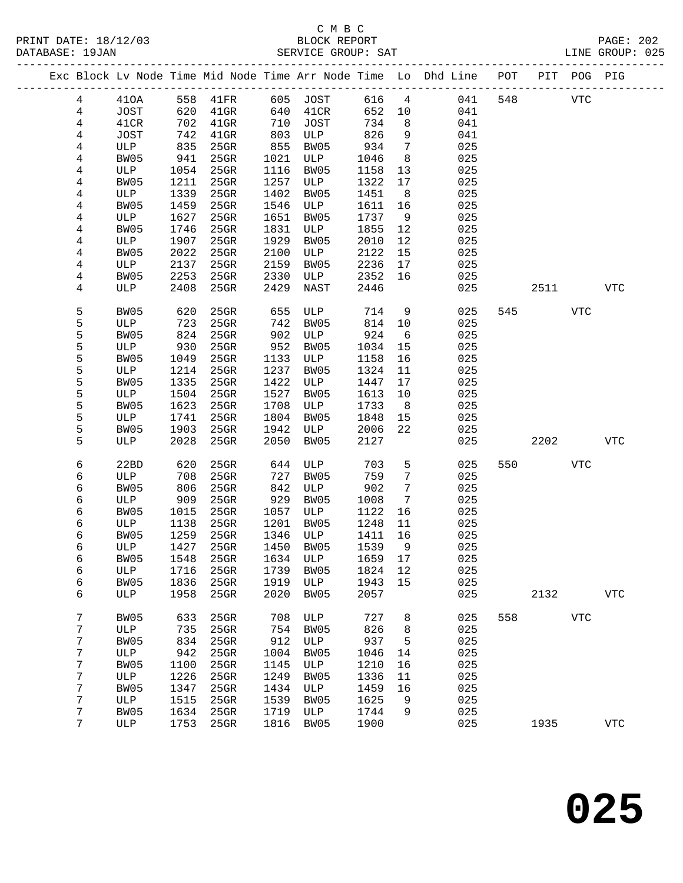|  |        |             |              |              |              |                  |              |                 | Exc Block Lv Node Time Mid Node Time Arr Node Time Lo Dhd Line POT |     |      | PIT POG PIG    |            |
|--|--------|-------------|--------------|--------------|--------------|------------------|--------------|-----------------|--------------------------------------------------------------------|-----|------|----------------|------------|
|  | 4      | 410A        | 558          | 41FR         | 605          | JOST             | 616          | $4\overline{4}$ | 041                                                                | 548 |      | ${\hbox{VTC}}$ |            |
|  | 4      | JOST        | 620          | $41$ GR      | 640          | 41CR             | 652          | 10              | 041                                                                |     |      |                |            |
|  | 4      | 41CR        | 702          | $41$ GR      | 710          | JOST             | 734          | 8               | 041                                                                |     |      |                |            |
|  | 4      | <b>JOST</b> | 742          | $41$ GR      | 803          | ULP              | 826          | 9               | 041                                                                |     |      |                |            |
|  | 4      | ULP         | 835          | 25GR         | 855          | BW05             | 934          | 7               | 025                                                                |     |      |                |            |
|  | 4      | BW05        | 941          | 25GR         | 1021         | ULP              | 1046         | 8               | 025                                                                |     |      |                |            |
|  | 4      | ULP         | 1054         | 25GR         | 1116         | BW05             | 1158         | 13              | 025                                                                |     |      |                |            |
|  | 4      | BW05        | 1211         | 25GR         | 1257         | ULP              | 1322         | 17              | 025                                                                |     |      |                |            |
|  | 4      | ULP         | 1339         | 25GR         | 1402         | BW05             | 1451         | 8               | 025                                                                |     |      |                |            |
|  | 4      | BW05        | 1459         | 25GR         | 1546         | ULP              | 1611         | 16              | 025                                                                |     |      |                |            |
|  | 4<br>4 | ULP<br>BW05 | 1627<br>1746 | 25GR<br>25GR | 1651<br>1831 | BW05<br>ULP      | 1737<br>1855 | 9<br>12         | 025<br>025                                                         |     |      |                |            |
|  | 4      | ULP         | 1907         | 25GR         | 1929         | BW05             | 2010         | 12              | 025                                                                |     |      |                |            |
|  | 4      | BW05        | 2022         | 25GR         | 2100         | ULP              | 2122         | 15              | 025                                                                |     |      |                |            |
|  | 4      | ULP         | 2137         | 25GR         | 2159         | BW05             | 2236         | 17              | 025                                                                |     |      |                |            |
|  | 4      | BW05        | 2253         | 25GR         | 2330         | ULP              | 2352         | 16              | 025                                                                |     |      |                |            |
|  | 4      | ULP         | 2408         | 25GR         | 2429         | NAST             | 2446         |                 | 025                                                                |     | 2511 |                | <b>VTC</b> |
|  | 5      | BW05        | 620          | $25$ GR      | 655          | ULP              | 714          | 9               | 025                                                                | 545 |      | VTC            |            |
|  | 5      | ULP         | 723          | $25$ GR      | 742          | BW05             | 814          | 10              | 025                                                                |     |      |                |            |
|  | 5      | BW05        | 824          | 25GR         | 902          | ULP              | 924          | 6               | 025                                                                |     |      |                |            |
|  | 5      | ULP         | 930          | $25$ GR      | 952          | BW05             | 1034         | 15              | 025                                                                |     |      |                |            |
|  | 5      | BW05        | 1049         | 25GR         | 1133         | ULP              | 1158         | 16              | 025                                                                |     |      |                |            |
|  | 5      | ULP         | 1214         | 25GR         | 1237         | BW05             | 1324         | 11              | 025                                                                |     |      |                |            |
|  | 5      | BW05        | 1335         | 25GR         | 1422         | ULP              | 1447         | 17              | 025                                                                |     |      |                |            |
|  | 5      | ULP         | 1504         | 25GR         | 1527         | BW05             | 1613         | 10              | 025                                                                |     |      |                |            |
|  | 5      | BW05        | 1623         | 25GR         | 1708         | ULP              | 1733         | 8 <sup>8</sup>  | 025                                                                |     |      |                |            |
|  | 5      | ULP         | 1741         | 25GR         | 1804         | BW05             | 1848         | 15              | 025                                                                |     |      |                |            |
|  | 5      | BW05        | 1903         | 25GR         | 1942         | ULP              | 2006         | 22              | 025                                                                |     |      |                |            |
|  | 5      | ULP         | 2028         | 25GR         | 2050         | BW05             | 2127         |                 | 025                                                                |     | 2202 |                | <b>VTC</b> |
|  | 6      | 22BD        | 620          | $25$ GR      | 644          | ULP              | 703          | 5               | 025                                                                | 550 |      | <b>VTC</b>     |            |
|  | 6      | ULP         | 708          | 25GR         | 727          | BW05             | 759          | 7               | 025                                                                |     |      |                |            |
|  | 6      | BW05        | 806          | 25GR         | 842          | ULP              | 902          | 7               | 025                                                                |     |      |                |            |
|  | 6      | ULP         | 909          | 25GR         | 929          | BW05             | 1008         | 7               | 025                                                                |     |      |                |            |
|  | 6      | BW05        | 1015         | 25GR         | 1057         | ULP              | 1122         | 16              | 025                                                                |     |      |                |            |
|  | 6      | ULP         | 1138         | 25GR         | 1201         | BW05             | 1248         | 11              | 025                                                                |     |      |                |            |
|  | 6<br>6 | BW05        | 1259<br>1427 | 25GR<br>25GR | 1346<br>1450 | ULP<br>BW05      | 1411<br>1539 | 16<br>- 9       | 025<br>025                                                         |     |      |                |            |
|  | б      | ULP<br>BW05 |              | 1548 25GR    |              | 1634 ULP 1659 17 |              |                 | 025                                                                |     |      |                |            |
|  | 6      | ULP         | 1716         | 25GR         | 1739         | BW05             | 1824         | 12              | 025                                                                |     |      |                |            |
|  | 6      | BW05        | 1836         | 25GR         | 1919         | ULP              | 1943         | 15              | 025                                                                |     |      |                |            |
|  | 6      | ULP         | 1958         | 25GR         | 2020         | BW05             | 2057         |                 | 025                                                                |     | 2132 |                | <b>VTC</b> |
|  | 7      |             |              |              | 708          |                  | 727          |                 |                                                                    | 558 |      | <b>VTC</b>     |            |
|  | 7      | BW05<br>ULP | 633<br>735   | 25GR<br>25GR | 754          | ULP<br>BW05      | 826          | 8<br>8          | 025<br>025                                                         |     |      |                |            |
|  | 7      | BW05        | 834          | 25GR         | 912          | ULP              | 937          | 5               | 025                                                                |     |      |                |            |
|  | 7      | ULP         | 942          | 25GR         | 1004         | BW05             | 1046         | 14              | 025                                                                |     |      |                |            |
|  | 7      | BW05        | 1100         | $25$ GR      | 1145         | ULP              | 1210         | 16              | 025                                                                |     |      |                |            |
|  | 7      | ULP         | 1226         | 25GR         | 1249         | BW05             | 1336         | 11              | 025                                                                |     |      |                |            |
|  | 7      | BW05        | 1347         | 25GR         | 1434         | ULP              | 1459         | 16              | 025                                                                |     |      |                |            |
|  | 7      | ULP         | 1515         | 25GR         | 1539         | BW05             | 1625         | 9               | 025                                                                |     |      |                |            |
|  | 7      | BW05        | 1634         | 25GR         | 1719         | ULP              | 1744         | 9               | 025                                                                |     |      |                |            |
|  | 7      | ULP         | 1753         | 25GR         | 1816         | BW05             | 1900         |                 | 025                                                                |     | 1935 |                | <b>VTC</b> |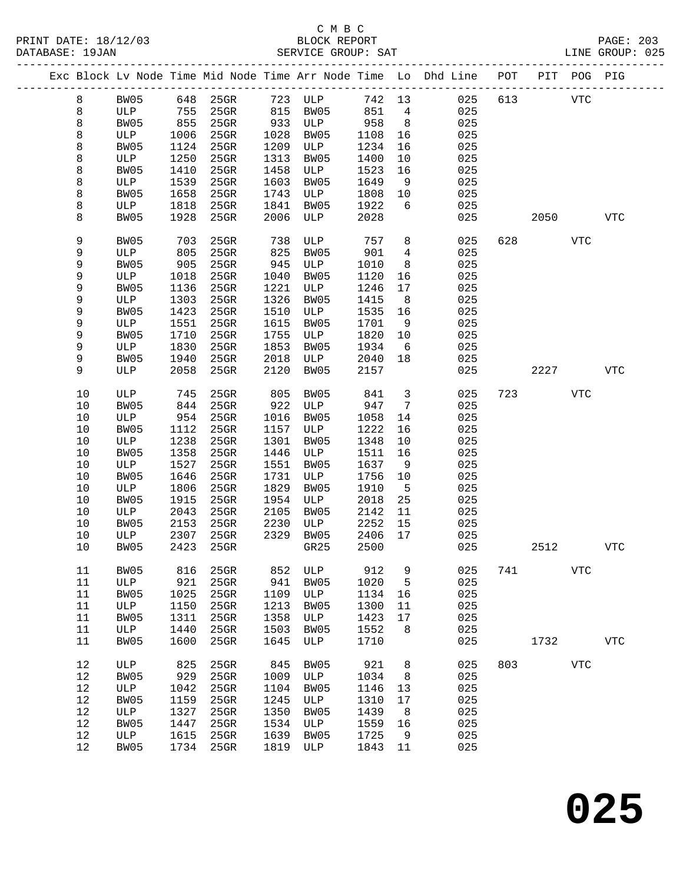# C M B C<br>
PRINT DATE: 18/12/03 BLOCK REPOR

| DATABASE: 19JAN |      |      |      |           |      | SERVICE GROUP: SAT |         |                         | LINE GROUP: 025                                                                |     |            |            |            |  |
|-----------------|------|------|------|-----------|------|--------------------|---------|-------------------------|--------------------------------------------------------------------------------|-----|------------|------------|------------|--|
|                 |      |      |      |           |      |                    |         |                         | Exc Block Lv Node Time Mid Node Time Arr Node Time Lo Dhd Line POT PIT POG PIG |     |            |            |            |  |
|                 | 8    | BW05 |      |           |      | 648 25GR 723 ULP   | 742 13  |                         | 025 613                                                                        |     | <b>VTC</b> |            |            |  |
|                 | 8    | ULP  | 755  | 25GR      |      | 815 BW05           | 851     | $\overline{4}$          | 025                                                                            |     |            |            |            |  |
|                 | 8    | BW05 | 855  | $25$ GR   |      | 933 ULP            | 958     | 8 <sup>8</sup>          | 025                                                                            |     |            |            |            |  |
|                 | 8    | ULP  | 1006 | $25$ GR   | 1028 | BW05               | 1108    | 16                      | 025                                                                            |     |            |            |            |  |
|                 | 8    | BW05 | 1124 | $25$ GR   | 1209 | ULP                | 1234    | 16                      | 025                                                                            |     |            |            |            |  |
|                 | 8    | ULP  | 1250 | 25GR      | 1313 | BW05               | 1400    | 10                      | 025                                                                            |     |            |            |            |  |
|                 | 8    | BW05 | 1410 | 25GR      | 1458 | ULP                | 1523    | 16                      | 025                                                                            |     |            |            |            |  |
|                 |      |      | 1539 | 25GR      | 1603 |                    | 1649    |                         | 025                                                                            |     |            |            |            |  |
|                 | 8    | ULP  |      |           |      | BW05               |         | 9                       |                                                                                |     |            |            |            |  |
|                 | 8    | BW05 | 1658 | 25GR      | 1743 | ULP                | 1808    | 10                      | 025                                                                            |     |            |            |            |  |
|                 | 8    | ULP  | 1818 | 25GR      | 1841 | BW05               | 1922    | 6                       | 025                                                                            |     |            |            |            |  |
|                 | 8    | BW05 | 1928 | 25GR      | 2006 | ULP                | 2028    |                         | 025                                                                            |     | 2050       |            | VTC        |  |
|                 | 9    | BW05 | 703  | 25GR      | 738  | ULP                | 757     | 8                       | 025                                                                            | 628 |            | <b>VTC</b> |            |  |
|                 | 9    | ULP  | 805  | 25GR      | 825  | BW05               | 901     | 4                       | 025                                                                            |     |            |            |            |  |
|                 | 9    | BW05 | 905  | 25GR      | 945  | ULP                | 1010    | 8                       | 025                                                                            |     |            |            |            |  |
|                 | 9    | ULP  | 1018 | $25$ GR   | 1040 | BW05               | 1120    | 16                      | 025                                                                            |     |            |            |            |  |
|                 | 9    | BW05 | 1136 | 25GR      | 1221 | ULP                | 1246    | 17                      | 025                                                                            |     |            |            |            |  |
|                 | 9    | ULP  | 1303 | $25$ GR   | 1326 | BW05               | 1415    | 8 <sup>8</sup>          | 025                                                                            |     |            |            |            |  |
|                 | 9    | BW05 | 1423 | $25$ GR   | 1510 | ULP                | 1535    | 16                      | 025                                                                            |     |            |            |            |  |
|                 | 9    | ULP  | 1551 | $25$ GR   | 1615 | BW05               | 1701    | 9                       | 025                                                                            |     |            |            |            |  |
|                 | 9    | BW05 | 1710 | $25$ GR   | 1755 | ULP                | 1820    | 10                      | 025                                                                            |     |            |            |            |  |
|                 | 9    | ULP  | 1830 | 25GR      | 1853 | BW05               | 1934    | 6                       | 025                                                                            |     |            |            |            |  |
|                 | 9    | BW05 | 1940 | $25$ GR   | 2018 | ULP                | 2040    | 18                      | 025                                                                            |     |            |            |            |  |
|                 | 9    | ULP  | 2058 | 25GR      | 2120 | BW05               | 2157    |                         | 025                                                                            |     |            | 2227       | VTC        |  |
|                 |      |      |      |           |      |                    |         |                         |                                                                                |     |            |            |            |  |
|                 | 10   | ULP  | 745  | 25GR      | 805  | BW05               | 841     | $\overline{\mathbf{3}}$ | 025                                                                            | 723 |            | VTC        |            |  |
|                 | 10   | BW05 | 844  | 25GR      | 922  | ULP                | 947     | $7\overline{ }$         | 025                                                                            |     |            |            |            |  |
|                 | 10   | ULP  | 954  | $25$ GR   | 1016 | BW05               | 1058    | 14                      | 025                                                                            |     |            |            |            |  |
|                 | 10   | BW05 | 1112 | 25GR      | 1157 | ULP                | 1222    | 16                      | 025                                                                            |     |            |            |            |  |
|                 | 10   | ULP  | 1238 | 25GR      | 1301 | BW05               | 1348    | 10                      | 025                                                                            |     |            |            |            |  |
|                 | $10$ | BW05 | 1358 | 25GR      | 1446 | ULP                | 1511    | 16                      | 025                                                                            |     |            |            |            |  |
|                 | 10   | ULP  | 1527 | 25GR      | 1551 | BW05               | 1637    | - 9                     | 025                                                                            |     |            |            |            |  |
|                 | $10$ | BW05 | 1646 | 25GR      | 1731 | ULP                | 1756    | 10                      | 025                                                                            |     |            |            |            |  |
|                 | 10   | ULP  | 1806 | 25GR      | 1829 | BW05               | 1910    | $5^{\circ}$             | 025                                                                            |     |            |            |            |  |
|                 | $10$ | BW05 | 1915 | 25GR      | 1954 | ULP                | 2018    | 25                      | 025                                                                            |     |            |            |            |  |
|                 | 10   | ULP  | 2043 | 25GR      | 2105 | BW05               | 2142    | 11                      | 025                                                                            |     |            |            |            |  |
|                 | 10   | BW05 | 2153 | 25GR      | 2230 | ULP                | 2252    | 15                      | 025                                                                            |     |            |            |            |  |
|                 | 10   | ULP  | 2307 | 25GR      |      | 2329 BW05          | 2406 17 |                         | 025                                                                            |     |            |            |            |  |
|                 | 10   | BW05 |      |           |      |                    |         |                         | 2423 25GR GR25 2500 025                                                        |     | 2512       |            | <b>VTC</b> |  |
|                 | 11   | BW05 | 816  | 25GR      | 852  | ULP                | 912     | 9                       | 025                                                                            | 741 | <b>VTC</b> |            |            |  |
|                 | 11   | ULP  | 921  | 25GR      | 941  | BW05               | 1020    | 5                       | 025                                                                            |     |            |            |            |  |
|                 | 11   | BW05 | 1025 | 25GR      | 1109 | ULP                | 1134    | 16                      | 025                                                                            |     |            |            |            |  |
|                 | 11   | ULP  | 1150 | 25GR      | 1213 | BW05               | 1300    | 11                      | 025                                                                            |     |            |            |            |  |
|                 | 11   | BW05 | 1311 | 25GR      | 1358 | ULP                | 1423    | 17                      | 025                                                                            |     |            |            |            |  |
|                 |      |      |      |           |      |                    |         |                         |                                                                                |     |            |            |            |  |
|                 | 11   | ULP  | 1440 | 25GR      | 1503 | BW05               | 1552    | 8                       | 025                                                                            |     |            |            |            |  |
|                 | 11   | BW05 | 1600 | 25GR      | 1645 | ULP                | 1710    |                         | 025                                                                            |     | 1732       |            | <b>VTC</b> |  |
|                 | 12   | ULP  | 825  | 25GR      | 845  | BW05               | 921     | 8                       | 025                                                                            |     | 803 VTC    |            |            |  |
|                 | 12   | BW05 | 929  | 25GR      | 1009 | ULP                | 1034    | 8                       | 025                                                                            |     |            |            |            |  |
|                 | 12   | ULP  | 1042 | 25GR      | 1104 | BW05               | 1146    | 13                      | 025                                                                            |     |            |            |            |  |
|                 | 12   | BW05 | 1159 | 25GR      | 1245 | ULP                | 1310    | 17                      | 025                                                                            |     |            |            |            |  |
|                 | 12   | ULP  | 1327 | 25GR      | 1350 | BW05               | 1439    | 8                       | 025                                                                            |     |            |            |            |  |
|                 | 12   | BW05 | 1447 | 25GR      | 1534 | ULP                | 1559    | 16                      | 025                                                                            |     |            |            |            |  |
|                 | 12   | ULP  | 1615 | 25GR      | 1639 | BW05               | 1725    | 9                       | 025                                                                            |     |            |            |            |  |
|                 | 12   | BW05 |      | 1734 25GR | 1819 | ULP                | 1843 11 |                         | 025                                                                            |     |            |            |            |  |
|                 |      |      |      |           |      |                    |         |                         |                                                                                |     |            |            |            |  |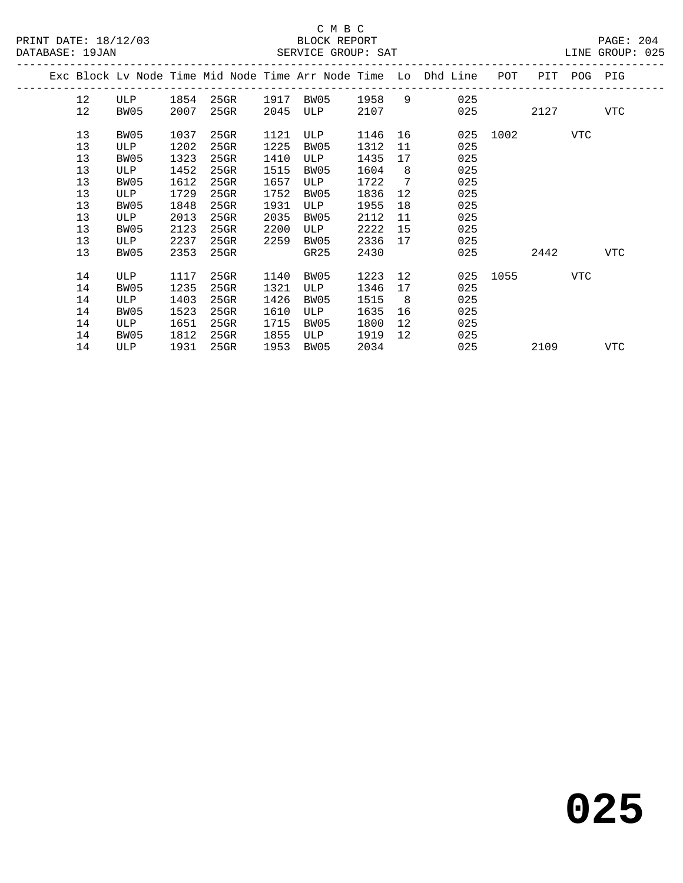|  |    |      |      |      |      |           |      |                | Exc Block Lv Node Time Mid Node Time Arr Node Time Lo Dhd Line | POT      |      | PIT POG PIG |     |
|--|----|------|------|------|------|-----------|------|----------------|----------------------------------------------------------------|----------|------|-------------|-----|
|  | 12 | ULP  | 1854 | 25GR |      | 1917 BW05 | 1958 | 9              | 025                                                            |          |      |             |     |
|  | 12 | BW05 | 2007 | 25GR | 2045 | ULP       | 2107 |                | 025                                                            |          | 2127 |             | VTC |
|  | 13 | BW05 | 1037 | 25GR | 1121 | ULP       | 1146 |                |                                                                | 025 1002 |      | VTC         |     |
|  | 13 | ULP  | 1202 | 25GR | 1225 | BW05      | 1312 | 11             | 025                                                            |          |      |             |     |
|  | 13 | BW05 | 1323 | 25GR | 1410 | ULP       | 1435 | 17             | 025                                                            |          |      |             |     |
|  | 13 | ULP  | 1452 | 25GR | 1515 | BW05      | 1604 | 8 <sup>8</sup> | 025                                                            |          |      |             |     |
|  | 13 | BW05 | 1612 | 25GR | 1657 | ULP       | 1722 | $\overline{7}$ | 025                                                            |          |      |             |     |
|  | 13 | ULP  | 1729 | 25GR | 1752 | BW05      | 1836 | 12             | 025                                                            |          |      |             |     |
|  | 13 | BW05 | 1848 | 25GR | 1931 | ULP       | 1955 | 18             | 025                                                            |          |      |             |     |
|  | 13 | ULP  | 2013 | 25GR | 2035 | BW05      | 2112 | 11             | 025                                                            |          |      |             |     |
|  | 13 | BW05 | 2123 | 25GR | 2200 | ULP       | 2222 | 15             | 025                                                            |          |      |             |     |
|  | 13 | ULP  | 2237 | 25GR | 2259 | BW05      | 2336 | 17             | 025                                                            |          |      |             |     |
|  | 13 | BW05 | 2353 | 25GR |      | GR25      | 2430 |                | 025                                                            |          | 2442 |             | VTC |
|  | 14 | ULP  | 1117 | 25GR | 1140 | BW05      | 1223 | 12             |                                                                | 025 1055 |      | VTC         |     |
|  | 14 | BW05 | 1235 | 25GR | 1321 | ULP       | 1346 | 17             | 025                                                            |          |      |             |     |
|  | 14 | ULP  | 1403 | 25GR | 1426 | BW05      | 1515 | 8              | 025                                                            |          |      |             |     |
|  | 14 | BW05 | 1523 | 25GR | 1610 | ULP       | 1635 | 16             | 025                                                            |          |      |             |     |
|  | 14 | ULP  | 1651 | 25GR | 1715 | BW05      | 1800 | 12             | 025                                                            |          |      |             |     |
|  | 14 | BW05 | 1812 | 25GR | 1855 | ULP       | 1919 | 12             | 025                                                            |          |      |             |     |
|  | 14 | ULP  | 1931 | 25GR | 1953 | BW05      | 2034 |                | 025                                                            |          | 2109 |             | VTC |
|  |    |      |      |      |      |           |      |                |                                                                |          |      |             |     |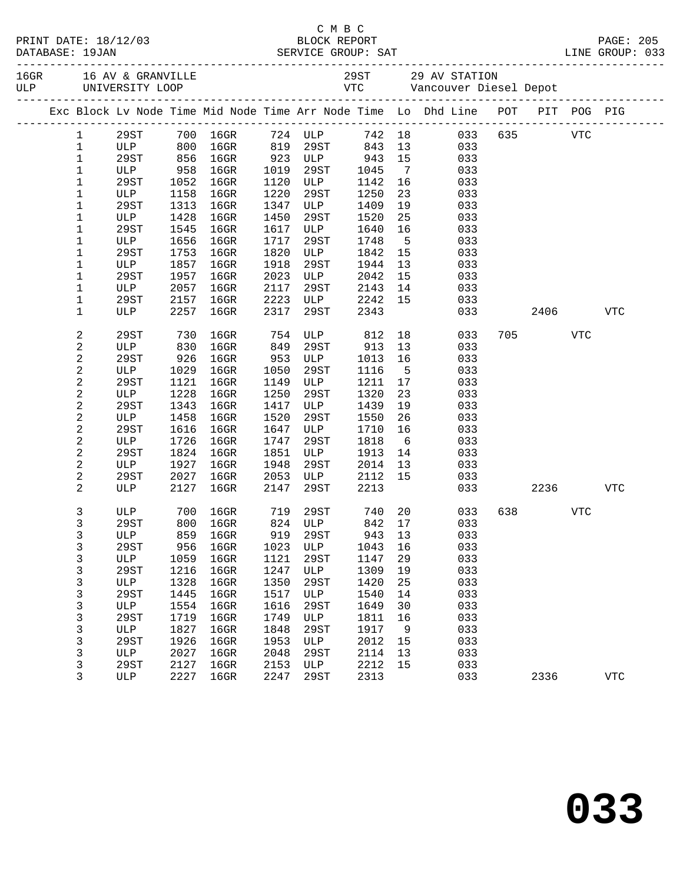|                  |         |      |                  |      |                     |        |                | Exc Block Lv Node Time Mid Node Time Arr Node Time Lo Dhd Line POT PIT POG PIG |     |         |            |            |
|------------------|---------|------|------------------|------|---------------------|--------|----------------|--------------------------------------------------------------------------------|-----|---------|------------|------------|
| $\mathbf{1}$     | 29ST    |      | 700 16GR 724 ULP |      |                     |        |                | 742 18 033 635 VTC                                                             |     |         |            |            |
| $\mathbf{1}$     | ULP 800 |      | $16$ GR          |      | 819 29ST            | 843    | 13             | 033                                                                            |     |         |            |            |
| $\mathbf 1$      | 29ST    | 856  | $16$ GR          |      | 923 ULP             | 943    | 15             | 033                                                                            |     |         |            |            |
| $\mathbf 1$      | ULP     | 958  | $16$ GR          | 1019 | 29ST                | 1045   | $\overline{7}$ | 033                                                                            |     |         |            |            |
| 1                | 29ST    | 1052 | $16$ GR          | 1120 | ULP                 | 1142   | 16             | 033                                                                            |     |         |            |            |
| 1                | ULP     | 1158 | $16$ GR          | 1220 | 29ST                | 1250   | 23             | 033                                                                            |     |         |            |            |
| $\mathbf 1$      | 29ST    | 1313 | $16$ GR          | 1347 | ULP                 | 1409   | 19             | 033                                                                            |     |         |            |            |
| 1                | ULP     | 1428 | $16$ GR          | 1450 | 29ST                | 1520   | 25             | 033                                                                            |     |         |            |            |
| 1                | 29ST    | 1545 | $16$ GR          | 1617 | ULP                 | 1640   | 16             | 033                                                                            |     |         |            |            |
| 1                | ULP     | 1656 | $16$ GR          | 1717 | 29ST                | 1748   | $5^{\circ}$    | 033                                                                            |     |         |            |            |
| 1                | 29ST    | 1753 | $16$ GR          | 1820 | ULP                 | 1842   | 15             | 033                                                                            |     |         |            |            |
| 1                | ULP     | 1857 | $16$ GR          | 1918 | 29ST                | 1944   | 13             | 033                                                                            |     |         |            |            |
| 1                | 29ST    | 1957 | $16$ GR          | 2023 | ULP                 | 2042   | 15             | 033                                                                            |     |         |            |            |
| $\mathbf 1$      | ULP     | 2057 | 16GR             | 2117 | 29ST                | 2143   | 14             | 033                                                                            |     |         |            |            |
| 1                | 29ST    | 2157 | $16$ GR          | 2223 | <b>ULP</b>          | 2242   | 15             | 033                                                                            |     |         |            |            |
| 1                | ULP     | 2257 | 16GR             | 2317 | 29ST                | 2343   |                | 033                                                                            |     | 2406    |            | <b>VTC</b> |
| $\boldsymbol{2}$ | 29ST    | 730  | $16$ GR          | 754  | ULP                 | 812    |                | 18<br>033                                                                      |     | 705 700 | <b>VTC</b> |            |
| 2                | ULP     | 830  | 16GR             | 849  | 29ST                | 913    | 13             | 033                                                                            |     |         |            |            |
| $\boldsymbol{2}$ | 29ST    | 926  | 16GR             | 953  | ULP                 | 1013   | 16             | 033                                                                            |     |         |            |            |
| $\sqrt{2}$       | ULP     | 1029 | $16$ GR          | 1050 | 29ST                | 1116   | $5^{\circ}$    | 033                                                                            |     |         |            |            |
| $\boldsymbol{2}$ | 29ST    | 1121 | 16GR             | 1149 | ULP                 | 1211   | 17             | 033                                                                            |     |         |            |            |
| 2                | ULP     | 1228 | $16$ GR          | 1250 | 29ST                | 1320   | 23             | 033                                                                            |     |         |            |            |
| 2                | 29ST    | 1343 | $16$ GR          | 1417 | ULP                 | 1439   | 19             | 033                                                                            |     |         |            |            |
| 2                | ULP     | 1458 | $16$ GR          | 1520 | 29ST                | 1550   | 26             | 033                                                                            |     |         |            |            |
| $\overline{c}$   | 29ST    | 1616 | $16$ GR          | 1647 | ULP                 | 1710   | 16             | 033                                                                            |     |         |            |            |
| 2                | ULP     | 1726 | $16$ GR          | 1747 | 29ST                | 1818   | 6              | 033                                                                            |     |         |            |            |
| 2                | 29ST    | 1824 | $16$ GR          | 1851 | ULP                 | 1913   | 14             | 033                                                                            |     |         |            |            |
| 2                | ULP     | 1927 | $16$ GR          | 1948 | 29ST                | 2014   | 13             | 033                                                                            |     |         |            |            |
| $\overline{c}$   | 29ST    | 2027 | 16GR             | 2053 | ULP                 | 2112   | 15             | 033                                                                            |     |         |            |            |
| 2                | ULP     | 2127 | $16$ GR          | 2147 | 29ST                | 2213   |                | 033                                                                            |     | 2236    |            | VTC        |
| 3                | ULP     | 700  | 16GR             |      | 719 29ST<br>824 ULP | 740 20 |                | 033                                                                            | 638 |         | <b>VTC</b> |            |
| 3                | 29ST    | 800  | $16$ GR          |      |                     | 842 17 |                | 033                                                                            |     |         |            |            |
| 3                |         |      |                  |      |                     |        |                | ULP 859 16GR 919 29ST 943 13 033                                               |     |         |            |            |
| 3                | 29ST    | 956  | $16$ GR          | 1023 | ULP                 | 1043   | 16             | 033                                                                            |     |         |            |            |
| 3                | ULP     | 1059 | $16$ GR          | 1121 | 29ST                | 1147   | 29             | 033                                                                            |     |         |            |            |
| $\mathsf{3}$     | 29ST    | 1216 | $16$ GR          | 1247 | ULP                 | 1309   | 19             | 033                                                                            |     |         |            |            |
| 3                | ULP     | 1328 | $16$ GR          | 1350 | 29ST                | 1420   | 25             | 033                                                                            |     |         |            |            |
| 3                | 29ST    | 1445 | $16$ GR          | 1517 | ULP                 | 1540   | 14             | 033                                                                            |     |         |            |            |
| 3                | ULP     | 1554 | $16$ GR          | 1616 | 29ST                | 1649   | 30             | 033                                                                            |     |         |            |            |
| $\mathsf{3}$     | 29ST    | 1719 | $16$ GR          | 1749 | ULP                 | 1811   | 16             | 033                                                                            |     |         |            |            |
| 3                | ULP     | 1827 | $16$ GR          | 1848 | 29ST                | 1917   | 9              | 033                                                                            |     |         |            |            |
| 3                | 29ST    | 1926 | $16$ GR          | 1953 | ULP                 | 2012   | 15             | 033                                                                            |     |         |            |            |
| 3                | ULP     | 2027 | $16$ GR          | 2048 | 29ST                | 2114   | 13             | 033                                                                            |     |         |            |            |
| 3                | 29ST    | 2127 | $16$ GR          | 2153 | ULP                 | 2212   | 15             | 033                                                                            |     |         |            |            |
| 3                | ULP     | 2227 | $16$ GR          | 2247 | 29ST                | 2313   |                | 033                                                                            |     | 2336    |            | <b>VTC</b> |

C M B C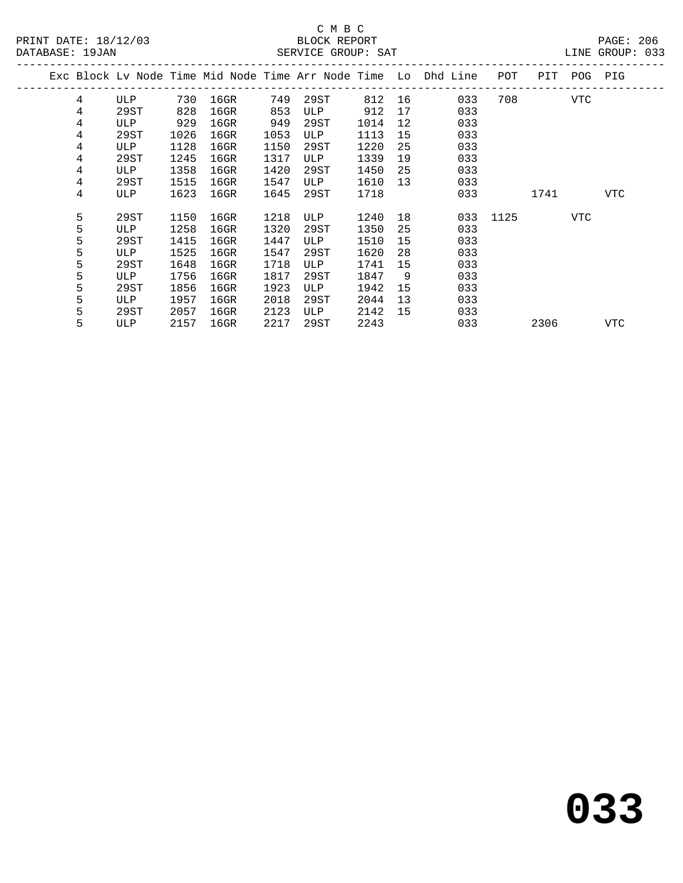|   |      |      |         |      |      |      |                 | Exc Block Lv Node Time Mid Node Time Arr Node Time Lo Dhd Line | POT      | PIT  | POG | PIG |
|---|------|------|---------|------|------|------|-----------------|----------------------------------------------------------------|----------|------|-----|-----|
| 4 | ULP  | 730  | 16GR    | 749  | 29ST | 812  | 16              | 033                                                            | 708      |      | VTC |     |
| 4 | 29ST | 828  | 16GR    | 853  | ULP  | 912  | 17              | 033                                                            |          |      |     |     |
| 4 | ULP  | 929  | 16GR    | 949  | 29ST | 1014 | 12 <sup>°</sup> | 033                                                            |          |      |     |     |
| 4 | 29ST | 1026 | 16GR    | 1053 | ULP  | 1113 | 15              | 033                                                            |          |      |     |     |
| 4 | ULP  | 1128 | $16$ GR | 1150 | 29ST | 1220 | 25              | 033                                                            |          |      |     |     |
| 4 | 29ST | 1245 | $16$ GR | 1317 | ULP  | 1339 | 19              | 033                                                            |          |      |     |     |
| 4 | ULP  | 1358 | $16$ GR | 1420 | 29ST | 1450 | 25              | 033                                                            |          |      |     |     |
| 4 | 29ST | 1515 | $16$ GR | 1547 | ULP  | 1610 | 13              | 033                                                            |          |      |     |     |
| 4 | ULP  | 1623 | 16GR    | 1645 | 29ST | 1718 |                 | 033                                                            |          | 1741 |     | VTC |
|   |      |      |         |      |      |      |                 |                                                                |          |      |     |     |
| 5 | 29ST | 1150 | $16$ GR | 1218 | ULP  | 1240 | 18              |                                                                | 033 1125 |      | VTC |     |
| 5 | ULP  | 1258 | 16GR    | 1320 | 29ST | 1350 | 25              | 033                                                            |          |      |     |     |
| 5 | 29ST | 1415 | $16$ GR | 1447 | ULP  | 1510 | 15              | 033                                                            |          |      |     |     |
| 5 | ULP  | 1525 | $16$ GR | 1547 | 29ST | 1620 | 28              | 033                                                            |          |      |     |     |
| 5 | 29ST | 1648 | $16$ GR | 1718 | ULP  | 1741 | 15              | 033                                                            |          |      |     |     |
| 5 | ULP  | 1756 | $16$ GR | 1817 | 29ST | 1847 | 9               | 033                                                            |          |      |     |     |
| 5 | 29ST | 1856 | $16$ GR | 1923 | ULP  | 1942 | 15              | 033                                                            |          |      |     |     |
| 5 | ULP  | 1957 | $16$ GR | 2018 | 29ST | 2044 | 13              | 033                                                            |          |      |     |     |
| 5 | 29ST | 2057 | $16$ GR | 2123 | ULP  | 2142 | 15              | 033                                                            |          |      |     |     |
| 5 | ULP  | 2157 | $16$ GR | 2217 | 29ST | 2243 |                 | 033                                                            |          | 2306 |     | VTC |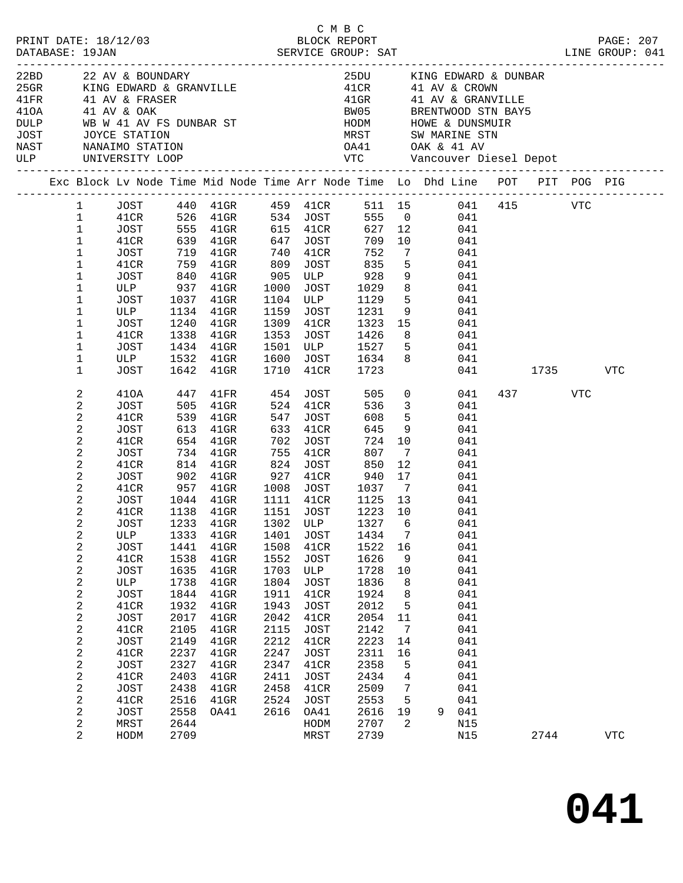|                                                                                                                       |                                                                                                                                                                                                                                                                                               |                                                                                                                                                                                                                                                   |                                                                                                                                              |                                                                                                                                                                                                                                                                                                                                            |                                                                                                                                     |                                                                                                                                                                                                                                                                          | C M B C                                                                                                                                                                                                                      |                                                                                                                                        |                                                                                                                                                                                                                                                                                                                                                                                                            |                 |             |
|-----------------------------------------------------------------------------------------------------------------------|-----------------------------------------------------------------------------------------------------------------------------------------------------------------------------------------------------------------------------------------------------------------------------------------------|---------------------------------------------------------------------------------------------------------------------------------------------------------------------------------------------------------------------------------------------------|----------------------------------------------------------------------------------------------------------------------------------------------|--------------------------------------------------------------------------------------------------------------------------------------------------------------------------------------------------------------------------------------------------------------------------------------------------------------------------------------------|-------------------------------------------------------------------------------------------------------------------------------------|--------------------------------------------------------------------------------------------------------------------------------------------------------------------------------------------------------------------------------------------------------------------------|------------------------------------------------------------------------------------------------------------------------------------------------------------------------------------------------------------------------------|----------------------------------------------------------------------------------------------------------------------------------------|------------------------------------------------------------------------------------------------------------------------------------------------------------------------------------------------------------------------------------------------------------------------------------------------------------------------------------------------------------------------------------------------------------|-----------------|-------------|
| 410A 41 AV & OAK<br>DULP WB W 41 AV FS DUNBAR ST<br>JOST JOYCE STATION<br>NAST NANAIMO STATION<br>ULP UNIVERSITY LOOP |                                                                                                                                                                                                                                                                                               |                                                                                                                                                                                                                                                   |                                                                                                                                              | 22BD 22 AV & BOUNDARY<br>25GR KING EDWARD & GRANVILLE<br>41FR 41 AV & FRASER                                                                                                                                                                                                                                                               |                                                                                                                                     |                                                                                                                                                                                                                                                                          |                                                                                                                                                                                                                              |                                                                                                                                        | 25DU KING EDWARD & DUNBAR<br>41 CR 41 AV & CROWN<br>41 GR 41 AV & GRANVILLE<br>BW05 BRENTWOOD STN BAY5<br>WE WANT HODM HOWE & DUNSMUIR<br>NOYCE STATION MEST SWARINE STN<br>NANAIMO STATION OA1 OAK & 41 AV<br>UNIVERSITY LOOP VTC Vancouver Diesel Depot                                                                                                                                                  |                 |             |
|                                                                                                                       |                                                                                                                                                                                                                                                                                               |                                                                                                                                                                                                                                                   |                                                                                                                                              |                                                                                                                                                                                                                                                                                                                                            |                                                                                                                                     |                                                                                                                                                                                                                                                                          |                                                                                                                                                                                                                              |                                                                                                                                        | Exc Block Lv Node Time Mid Node Time Arr Node Time Lo Dhd Line POT PIT POG PIG                                                                                                                                                                                                                                                                                                                             |                 |             |
|                                                                                                                       | $\mathbf{1}$<br>$\mathbf{1}$<br>$\mathbf{1}$<br>$\mathbf{1}$<br>$\mathbf{1}$<br>$\mathbf{1}$<br>$\mathbf{1}$<br>$\mathbf{1}$<br>$\mathbf{1}$<br>$\mathbf{1}$<br>$\mathbf{1}$<br>$\mathbf{1}$<br>$\mathbf{1}$<br>$\mathbf{1}$                                                                  | JOST 719 41GR<br>41CR<br><b>ULP</b><br>JOST<br>41CR<br>JOST<br>ULP 1532 41GR<br>JOST                                                                                                                                                              | 1240<br>1642                                                                                                                                 | 759 41GR<br>1081 840 41GR 905 ULP 928<br>ULP 937 41GR 1000 JOST 1029<br>JOST 1037 41GR 1104 ULP 1129<br>1134  41GR  1159  JOST  1231<br>$41$ GR<br>$1338$ $4191$<br>$1434$ $41$ GR<br>$41$ GR                                                                                                                                              |                                                                                                                                     | 740 41CR<br>1309 41CR<br>1710 41CR                                                                                                                                                                                                                                       | 752<br>809 JOST 835<br>1600 JOST 1634<br>1723                                                                                                                                                                                | $5^{\circ}$<br>8 <sup>8</sup>                                                                                                          | 1 JOST 440 41GR 459 41CR 511 15 041 415 VTC<br>41CR 526 41GR 534 JOST 555 0 041<br>JOST 555 41GR 615 41CR 627 12 041<br>41CR 639 41GR 647 JOST 709 10 041<br>555 0 041<br>$7\overline{ }$<br>041<br>041<br>$\overline{9}$<br>041<br>041<br>5 <sub>1</sub><br>041<br>$9 \left( \frac{1}{2} \right)$<br>041<br>1309 41CR 1323 15 041<br>1353 JOST 1426 8 041<br>1501 ULP 1527 5 041<br>8 <sup>8</sup><br>041 | 041 1735        | VTC         |
|                                                                                                                       | 2<br>2<br>2<br>2<br>2<br>2<br>2<br>2<br>$\overline{c}$<br>2<br>$\overline{2}$<br>$\overline{a}$<br>2<br>2<br>2<br>2<br>$\mathbf{2}$<br>2<br>$\boldsymbol{2}$<br>2<br>$\overline{c}$<br>2<br>$\mathbf{2}$<br>2<br>$\boldsymbol{2}$<br>2<br>$\mathbf{2}$<br>2<br>$\mathbf{2}$<br>$\overline{a}$ | JOST<br>41CR<br>JOST<br>41CR<br>JOST<br>41CR<br>JOST<br>41CR<br>JOST<br>41CR<br>JOST<br>ULP<br>JOST<br>41CR<br>JOST<br>ULP<br><b>JOST</b><br>41CR<br>JOST<br>41CR<br>JOST<br>41CR<br>JOST<br>41CR<br>JOST<br>41CR<br>JOST<br>MRST<br>${\tt HODM}$ | 1333<br>1441<br>1538<br>1635<br>1738<br>1844<br>1932<br>2017<br>2105<br>2149<br>2237<br>2327<br>2403<br>2438<br>2516<br>2558<br>2644<br>2709 | 410A 447 41FR 454 JOST 505 0<br>505 41GR 524 41CR<br>539 41GR<br>613 41GR<br>654 41GR<br>734 41GR<br>814 41GR<br>1044 41GR<br>1138 41GR<br>1233 41GR 1302 ULP<br>$41$ GR<br>$41$ GR<br>$41$ GR<br>$41$ GR<br>$41$ GR<br>$41$ GR<br>$41$ GR<br>$41$ GR<br>$41$ GR<br>$41$ GR<br>$41$ GR<br>$41$ GR<br>$41$ GR<br>$41$ GR<br>$41$ GR<br>OA41 | 547<br>1401<br>1508<br>1552<br>1703<br>1804<br>1911<br>1943<br>2042<br>2115<br>2212<br>2247<br>2347<br>2411<br>2458<br>2524<br>2616 | JOST<br>633 41CR<br>702 JOST<br>755 41CR<br>824 JOST<br>1151 JOST<br><b>JOST</b><br>41CR<br><b>JOST</b><br>ULP<br><b>JOST</b><br>41CR<br><b>JOST</b><br>41CR<br><b>JOST</b><br>41CR<br><b>JOST</b><br>41CR<br><b>JOST</b><br>41CR<br><b>JOST</b><br>OA41<br>HODM<br>MRST | 608<br>645<br>724 10<br>807<br>850<br>1111 41CR 1125 13<br>1223 10<br>1327 6<br>1434<br>1522<br>1626<br>1728<br>1836<br>1924<br>2012<br>2054<br>2142<br>2223<br>2311<br>2358<br>2434<br>2509<br>2553<br>2616<br>2707<br>2739 | 5 <sup>5</sup><br>9<br>$\overline{7}$<br>12<br>7<br>16<br>9<br>10<br>8<br>8<br>5<br>11<br>7<br>14<br>16<br>5<br>4<br>7<br>5<br>19<br>2 | 041<br>536 3<br>041<br>041<br>041<br>041<br>041<br>041<br>041<br>041<br>041<br>041<br>041<br>041<br>041<br>041<br>041<br>041<br>041<br>041<br>041<br>041<br>041<br>041<br>041<br>041<br>041<br>041<br>041<br>9<br>N15<br>N15                                                                                                                                                                               | 437 VTC<br>2744 | ${\tt VTC}$ |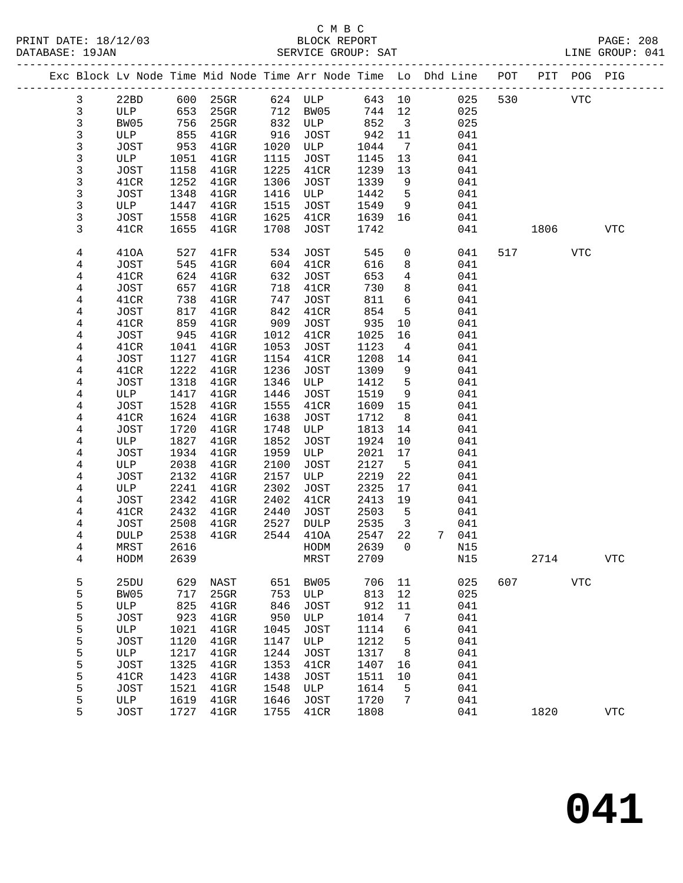|  |              |              |              | Exc Block Lv Node Time Mid Node Time Arr Node Time Lo Dhd Line POT |              |              |              |                         |       |     |     |      | PIT POG PIG    |                |
|--|--------------|--------------|--------------|--------------------------------------------------------------------|--------------|--------------|--------------|-------------------------|-------|-----|-----|------|----------------|----------------|
|  | $\mathbf{3}$ | 22BD         | 600          | $25$ GR                                                            |              | 624 ULP      | 643 10       |                         |       | 025 | 530 |      | <b>VTC</b>     |                |
|  | $\mathbf{3}$ | ULP          | 653          | $25$ GR                                                            | 712          | BW05         | 744          | 12                      |       | 025 |     |      |                |                |
|  | $\mathbf{3}$ | BW05         | 756          | $25$ GR                                                            | 832          | ULP          | 852          | $\overline{\mathbf{3}}$ |       | 025 |     |      |                |                |
|  | $\mathbf{3}$ | ULP          | 855          | $41$ GR                                                            | 916          | JOST         | 942          | 11                      |       | 041 |     |      |                |                |
|  | $\mathbf{3}$ | JOST         | 953          | $41$ GR                                                            | 1020         | ULP          | 1044         | $\overline{7}$          |       | 041 |     |      |                |                |
|  | 3            | ULP          | 1051         | $41$ GR                                                            | 1115         | JOST         | 1145         | 13                      |       | 041 |     |      |                |                |
|  | $\mathbf{3}$ | JOST         | 1158         | $41$ GR                                                            | 1225         | 41CR         | 1239         | 13                      |       | 041 |     |      |                |                |
|  | 3            | 41CR         | 1252         | $41$ GR                                                            | 1306         | JOST         | 1339         | 9                       |       | 041 |     |      |                |                |
|  | 3            | JOST         | 1348         | $41$ GR                                                            | 1416         | ULP          | 1442         | 5                       |       | 041 |     |      |                |                |
|  | 3            | ULP          | 1447         | $41$ GR                                                            | 1515         | JOST         | 1549         | 9                       |       | 041 |     |      |                |                |
|  | 3            | JOST         | 1558         | $41$ GR                                                            | 1625         | 41CR         | 1639         | 16                      |       | 041 |     |      |                |                |
|  | 3            | 41CR         | 1655         | $41$ GR                                                            | 1708         | JOST         | 1742         |                         |       | 041 |     | 1806 |                | <b>VTC</b>     |
|  | 4            | 410A         | 527          | 41FR                                                               | 534          | JOST         | 545          | $\mathsf{O}$            |       | 041 | 517 |      | <b>VTC</b>     |                |
|  | 4            | JOST         | 545          | $41$ GR                                                            | 604          | 41CR         | 616          | 8                       |       | 041 |     |      |                |                |
|  | 4            | 41CR         | 624          | $41$ GR                                                            | 632          | JOST         | 653          | $\overline{4}$          |       | 041 |     |      |                |                |
|  | 4            | JOST         | 657          | $41$ GR                                                            | 718          | 41CR         | 730          | 8                       |       | 041 |     |      |                |                |
|  | 4            | 41CR         | 738          | $41$ GR                                                            | 747          | JOST         | 811          | 6                       |       | 041 |     |      |                |                |
|  | 4            | JOST         | 817          | $41$ GR                                                            | 842          | 41CR         | 854          | 5                       |       | 041 |     |      |                |                |
|  | 4            | 41CR         | 859          | $41$ GR                                                            | 909          | JOST         | 935          | 10                      |       | 041 |     |      |                |                |
|  | 4            | JOST         | 945          | $41$ GR                                                            | 1012         | 41CR         | 1025         | 16                      |       | 041 |     |      |                |                |
|  | 4            | 41CR         | 1041         | $41$ GR                                                            | 1053         | JOST         | 1123         | $\overline{4}$          |       | 041 |     |      |                |                |
|  | 4            | JOST         | 1127         | $41$ GR                                                            | 1154         | 41CR         | 1208         | 14                      |       | 041 |     |      |                |                |
|  | 4            | 41CR         | 1222         | $41$ GR                                                            | 1236         | JOST         | 1309         | 9                       |       | 041 |     |      |                |                |
|  | 4            | JOST         | 1318         | $41$ GR                                                            | 1346         | ULP          | 1412         | 5                       |       | 041 |     |      |                |                |
|  | 4            | ULP          | 1417         | $41$ GR                                                            | 1446         | JOST         | 1519         | 9                       |       | 041 |     |      |                |                |
|  | 4            | <b>JOST</b>  | 1528         | $41$ GR                                                            | 1555         | 41CR         | 1609         | 15                      |       | 041 |     |      |                |                |
|  | 4            | 41CR         | 1624         | $41$ GR                                                            | 1638         | JOST         | 1712         | 8 <sup>8</sup>          |       | 041 |     |      |                |                |
|  | 4            | JOST         | 1720         | $41$ GR                                                            | 1748         | ULP          | 1813         | 14                      |       | 041 |     |      |                |                |
|  | 4            | ULP          | 1827         | $41$ GR                                                            | 1852         | JOST         | 1924         | 10                      |       | 041 |     |      |                |                |
|  | 4            | JOST         | 1934         | $41$ GR                                                            | 1959         | ULP          | 2021         | 17                      |       | 041 |     |      |                |                |
|  | 4            | ULP          | 2038         | $41$ GR                                                            | 2100         | JOST         | 2127         | $5^{\circ}$             |       | 041 |     |      |                |                |
|  | 4            | JOST         | 2132         | $41$ GR                                                            | 2157         | ULP          | 2219         | 22                      |       | 041 |     |      |                |                |
|  | 4            | ULP          | 2241         | $41$ GR                                                            | 2302         | JOST         | 2325         | 17                      |       | 041 |     |      |                |                |
|  | 4            | JOST         | 2342         | $41$ GR                                                            | 2402         | 41CR         | 2413         | 19                      |       | 041 |     |      |                |                |
|  | 4            | 41CR         | 2432         | $41$ GR                                                            | 2440         | JOST         | 2503         | 5                       |       | 041 |     |      |                |                |
|  | 4            | JOST         | 2508         | $41$ GR                                                            | 2527<br>2544 | DULP<br>410A | 2535<br>2547 | $\overline{3}$<br>22    | 7 041 | 041 |     |      |                |                |
|  | 4<br>4       | DULP<br>MRST | 2538<br>2616 | $41$ GR                                                            |              | HODM         | 2639         | $\Omega$                |       | N15 |     |      |                |                |
|  | 4            | ${\tt HODM}$ | 2639         |                                                                    |              | MRST         | 2709         |                         |       | N15 |     | 2714 |                | ${\hbox{VTC}}$ |
|  |              |              |              |                                                                    |              |              |              |                         |       |     |     |      |                |                |
|  | 5            | 25DU         | 629          | NAST                                                               | 651          | BW05         | 706          | 11                      |       | 025 | 607 |      | ${\hbox{VTC}}$ |                |
|  | 5            | BW05         | 717          | $25$ GR                                                            | 753          | ULP          | 813          | $12$                    |       | 025 |     |      |                |                |
|  | 5            | ULP          | 825          | $41$ GR                                                            | 846          | <b>JOST</b>  | 912          | $11\,$                  |       | 041 |     |      |                |                |
|  | 5            | JOST         | 923          | 41GR                                                               | 950          | ULP          | 1014         | 7                       |       | 041 |     |      |                |                |
|  | 5            | ULP          | 1021         | 41GR                                                               | 1045         | <b>JOST</b>  | 1114         | 6                       |       | 041 |     |      |                |                |
|  | 5            | JOST         | 1120         | $41$ GR                                                            | 1147         | ULP          | 1212         | 5                       |       | 041 |     |      |                |                |
|  | 5            | $_{\rm ULP}$ | 1217         | $41$ GR                                                            | 1244         | <b>JOST</b>  | 1317         | 8                       |       | 041 |     |      |                |                |
|  | 5            | JOST         | 1325         | $41$ GR                                                            | 1353         | 41CR         | 1407         | 16                      |       | 041 |     |      |                |                |
|  | 5            | 41CR         | 1423         | $41$ GR                                                            | 1438         | <b>JOST</b>  | 1511         | 10                      |       | 041 |     |      |                |                |
|  | 5            | JOST         | 1521         | $41$ GR                                                            | 1548         | ULP          | 1614         | 5                       |       | 041 |     |      |                |                |
|  | 5            | ULP          | 1619         | $41$ GR                                                            | 1646         | <b>JOST</b>  | 1720         | 7                       |       | 041 |     |      |                |                |
|  | 5            | <b>JOST</b>  | 1727         | $41$ GR                                                            | 1755         | 41CR         | 1808         |                         |       | 041 |     | 1820 |                | <b>VTC</b>     |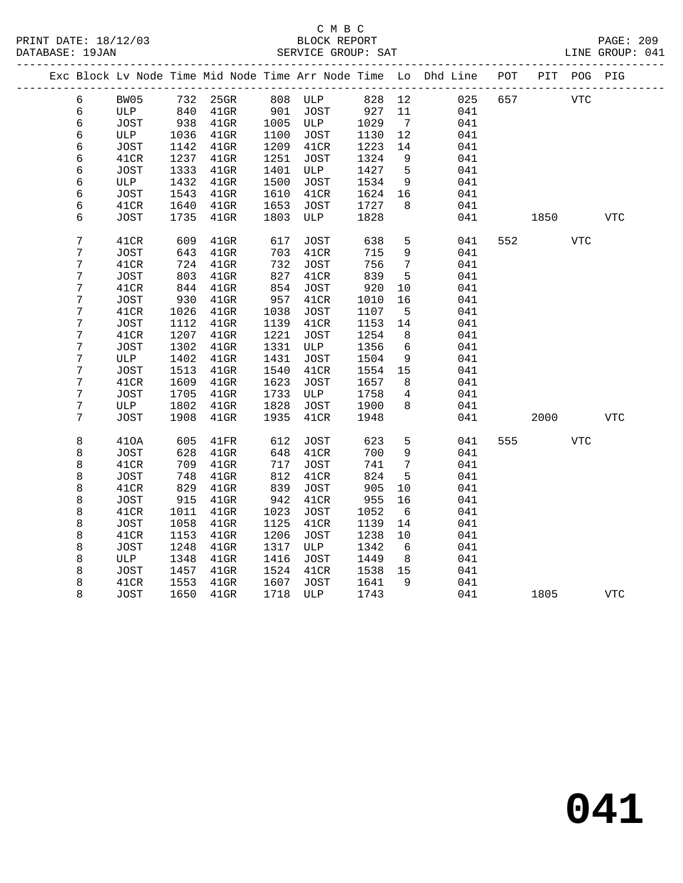|  |   |               |      |          |      |             |        |                 | Exc Block Lv Node Time Mid Node Time Arr Node Time Lo Dhd Line | POT |      | PIT POG PIG |            |
|--|---|---------------|------|----------|------|-------------|--------|-----------------|----------------------------------------------------------------|-----|------|-------------|------------|
|  | 6 | BW05          |      | 732 25GR |      | 808 ULP     | 828 12 |                 | 025                                                            | 657 |      | <b>VTC</b>  |            |
|  | 6 | ULP           | 840  | $41$ GR  | 901  | JOST        | 927    | 11              | 041                                                            |     |      |             |            |
|  | 6 | JOST          | 938  | $41$ GR  | 1005 | ULP         | 1029   | $\overline{7}$  | 041                                                            |     |      |             |            |
|  | 6 | ULP           | 1036 | $41$ GR  | 1100 | JOST        | 1130   | 12              | 041                                                            |     |      |             |            |
|  | 6 | JOST          | 1142 | $41$ GR  | 1209 | 41CR        | 1223   | 14              | 041                                                            |     |      |             |            |
|  | 6 | 41CR          | 1237 | $41$ GR  | 1251 | <b>JOST</b> | 1324   | 9               | 041                                                            |     |      |             |            |
|  | 6 | JOST          | 1333 | 41GR     | 1401 | ULP         | 1427   | $5^{\circ}$     | 041                                                            |     |      |             |            |
|  | 6 | ULP           | 1432 | $41$ GR  | 1500 | JOST        | 1534   | 9               | 041                                                            |     |      |             |            |
|  | б | JOST          | 1543 | $41$ GR  | 1610 | 41CR        | 1624   | 16              | 041                                                            |     |      |             |            |
|  | 6 | 41CR          | 1640 | $41$ GR  | 1653 | JOST        | 1727   | 8               | 041                                                            |     |      |             |            |
|  | 6 | <b>JOST</b>   | 1735 | $41$ GR  | 1803 | ULP         | 1828   |                 | 041                                                            |     | 1850 |             | VTC        |
|  |   |               |      |          |      |             |        |                 |                                                                |     |      |             |            |
|  | 7 | 41CR          | 609  | $41$ GR  | 617  | JOST        | 638    | $5\phantom{.0}$ | 041                                                            | 552 |      | <b>VTC</b>  |            |
|  | 7 | JOST          | 643  | $41$ GR  | 703  | 41CR        | 715    | $\mathsf 9$     | 041                                                            |     |      |             |            |
|  | 7 | 41CR          | 724  | $41$ GR  | 732  | <b>JOST</b> | 756    | $7\phantom{.0}$ | 041                                                            |     |      |             |            |
|  | 7 | JOST          | 803  | $41$ GR  | 827  | 41CR        | 839    | 5               | 041                                                            |     |      |             |            |
|  | 7 | 41CR          | 844  | $41$ GR  | 854  | <b>JOST</b> | 920    | 10              | 041                                                            |     |      |             |            |
|  | 7 | JOST          | 930  | $41$ GR  | 957  | 41CR        | 1010   | 16              | 041                                                            |     |      |             |            |
|  | 7 | 41CR          | 1026 | $41$ GR  | 1038 | JOST        | 1107   | 5               | 041                                                            |     |      |             |            |
|  | 7 | JOST          | 1112 | $41$ GR  | 1139 | 41CR        | 1153   | 14              | 041                                                            |     |      |             |            |
|  | 7 | 41CR          | 1207 | $41$ GR  | 1221 | <b>JOST</b> | 1254   | 8               | 041                                                            |     |      |             |            |
|  | 7 | JOST          | 1302 | $41$ GR  | 1331 | ULP         | 1356   | 6               | 041                                                            |     |      |             |            |
|  | 7 | ULP           | 1402 | $41$ GR  | 1431 | JOST        | 1504   | 9               | 041                                                            |     |      |             |            |
|  | 7 | $_{\rm JOST}$ | 1513 | $41$ GR  | 1540 | 41CR        | 1554   | 15              | 041                                                            |     |      |             |            |
|  | 7 | 41CR          | 1609 | $41$ GR  | 1623 | JOST        | 1657   | 8               | 041                                                            |     |      |             |            |
|  | 7 | JOST          | 1705 | $41$ GR  | 1733 | ULP         | 1758   | $\overline{4}$  | 041                                                            |     |      |             |            |
|  | 7 | ULP           | 1802 | $41$ GR  | 1828 | JOST        | 1900   | 8               | 041                                                            |     |      |             |            |
|  | 7 | <b>JOST</b>   | 1908 | $41$ GR  | 1935 | 41CR        | 1948   |                 | 041                                                            |     | 2000 |             | <b>VTC</b> |
|  |   |               |      |          |      |             |        |                 |                                                                |     |      |             |            |
|  | 8 | 410A          | 605  | 41FR     | 612  | JOST        | 623    | $\mathsf 5$     | 041                                                            | 555 |      | <b>VTC</b>  |            |
|  | 8 | JOST          | 628  | $41$ GR  | 648  | 41CR        | 700    | 9               | 041                                                            |     |      |             |            |
|  | 8 | 41CR          | 709  | $41$ GR  | 717  | <b>JOST</b> | 741    | $7\phantom{.0}$ | 041                                                            |     |      |             |            |
|  | 8 | JOST          | 748  | $41$ GR  | 812  | 41CR        | 824    | 5               | 041                                                            |     |      |             |            |
|  | 8 | 41CR          | 829  | $41$ GR  | 839  | <b>JOST</b> | 905    | 10              | 041                                                            |     |      |             |            |
|  | 8 | JOST          | 915  | $41$ GR  | 942  | 41CR        | 955    | 16              | 041                                                            |     |      |             |            |
|  | 8 | 41CR          | 1011 | $41$ GR  | 1023 | <b>JOST</b> | 1052   | 6               | 041                                                            |     |      |             |            |
|  | 8 | JOST          | 1058 | $41$ GR  | 1125 | 41CR        | 1139   | 14              | 041                                                            |     |      |             |            |
|  | 8 | 41CR          | 1153 | $41$ GR  | 1206 | <b>JOST</b> | 1238   | 10              | 041                                                            |     |      |             |            |
|  | 8 | JOST          | 1248 | $41$ GR  | 1317 | ULP         | 1342   | 6               | 041                                                            |     |      |             |            |
|  | 8 | ULP           | 1348 | $41$ GR  | 1416 | <b>JOST</b> | 1449   | 8               | 041                                                            |     |      |             |            |
|  | 8 | JOST          | 1457 | $41$ GR  | 1524 | 41CR        | 1538   | 15              | 041                                                            |     |      |             |            |
|  | 8 | 41CR          | 1553 | $41$ GR  | 1607 | <b>JOST</b> | 1641   | 9               | 041                                                            |     |      |             |            |
|  | 8 | JOST          | 1650 | $41$ GR  | 1718 | ULP         | 1743   |                 | 041                                                            |     | 1805 |             | <b>VTC</b> |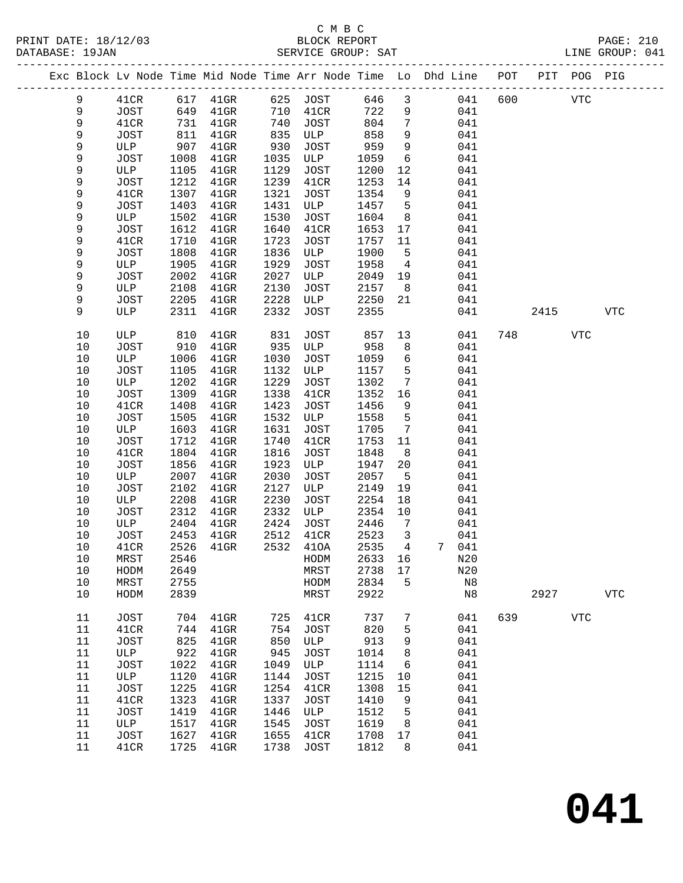#### C M B C<br>BLOCK REPORT PRINT DATE: 18/12/03 BLOCK REPORT PAGE: 210 SERVICE GROUP: SAT

|      |      |      |                   |      |             |         |                         | Exc Block Lv Node Time Mid Node Time Arr Node Time Lo Dhd Line POT PIT POG PIG |     |            |            |             |
|------|------|------|-------------------|------|-------------|---------|-------------------------|--------------------------------------------------------------------------------|-----|------------|------------|-------------|
| 9    | 41CR |      | 617 41GR 625 JOST |      |             | 646     | $\overline{\mathbf{3}}$ | 041                                                                            | 600 | <b>VTC</b> |            |             |
| 9    | JOST | 649  | $41$ GR           | 710  | 41CR        | 722     | 9                       | 041                                                                            |     |            |            |             |
| 9    | 41CR | 731  | $41$ GR           | 740  | JOST        | 804     | $7\overline{ }$         | 041                                                                            |     |            |            |             |
| 9    | JOST | 811  | $41$ GR           | 835  | ULP         | 858     | 9                       | 041                                                                            |     |            |            |             |
| 9    | ULP  | 907  | $41$ GR           | 930  | JOST        | 959     | 9                       | 041                                                                            |     |            |            |             |
| 9    | JOST | 1008 | $41$ GR           | 1035 | ULP         | 1059    | 6                       | 041                                                                            |     |            |            |             |
| 9    | ULP  | 1105 | $41$ GR           | 1129 | JOST        | 1200    | 12                      | 041                                                                            |     |            |            |             |
| 9    | JOST | 1212 | $41$ GR           | 1239 | 41CR        | 1253    | 14                      | 041                                                                            |     |            |            |             |
| 9    | 41CR | 1307 | $41$ GR           | 1321 | JOST        | 1354    | 9                       | 041                                                                            |     |            |            |             |
| 9    | JOST | 1403 | 41GR              | 1431 | ULP         | 1457    | $5^{\circ}$             | 041                                                                            |     |            |            |             |
| 9    | ULP  | 1502 | $41$ GR           | 1530 | JOST        | 1604    | 8 <sup>8</sup>          | 041                                                                            |     |            |            |             |
| 9    | JOST | 1612 | $41$ GR           | 1640 | 41CR        | 1653    | 17                      | 041                                                                            |     |            |            |             |
| 9    | 41CR | 1710 | $41$ GR           | 1723 | JOST        | 1757    | 11                      | 041                                                                            |     |            |            |             |
| 9    | JOST | 1808 | $41$ GR           | 1836 | ULP         | 1900    | $5^{\circ}$             | 041                                                                            |     |            |            |             |
| 9    | ULP  | 1905 | $41$ GR           | 1929 | JOST        | 1958    | $\overline{4}$          | 041                                                                            |     |            |            |             |
| 9    | JOST | 2002 | $41$ GR           | 2027 | ULP         | 2049    | 19                      | 041                                                                            |     |            |            |             |
| 9    | ULP  | 2108 | $41$ GR           | 2130 | JOST        | 2157    | 8 <sup>8</sup>          | 041                                                                            |     |            |            |             |
| 9    | JOST | 2205 | $41$ GR           | 2228 | ULP         | 2250    | 21                      | 041                                                                            |     |            |            |             |
| 9    | ULP  | 2311 | $41$ GR           | 2332 | JOST        | 2355    |                         | 041                                                                            |     | 2415       |            | <b>VTC</b>  |
| $10$ | ULP  | 810  | $41$ GR           | 831  | JOST        | 857     | 13                      | 041                                                                            |     | 748        | VTC        |             |
| $10$ | JOST | 910  | $41$ GR           | 935  | ULP         | 958     | 8                       | 041                                                                            |     |            |            |             |
| $10$ | ULP  | 1006 | $41$ GR           | 1030 | JOST        | 1059    | $6\overline{6}$         | 041                                                                            |     |            |            |             |
| 10   | JOST | 1105 | $41$ GR           | 1132 | ULP         | 1157    | $5^{\circ}$             | 041                                                                            |     |            |            |             |
| 10   | ULP  | 1202 | $41$ GR           | 1229 | JOST        | 1302    | $\overline{7}$          | 041                                                                            |     |            |            |             |
| $10$ | JOST | 1309 | $41$ GR           | 1338 | 41CR        | 1352    | 16                      | 041                                                                            |     |            |            |             |
| 10   | 41CR | 1408 | $41$ GR           | 1423 | JOST        | 1456    | 9                       | 041                                                                            |     |            |            |             |
| 10   | JOST | 1505 | $41$ GR           | 1532 | ULP         | 1558    | $5^{\circ}$             | 041                                                                            |     |            |            |             |
| 10   | ULP  | 1603 | $41$ GR           | 1631 | JOST        | 1705    | $7\overline{ }$         | 041                                                                            |     |            |            |             |
| 10   | JOST | 1712 | $41$ GR           | 1740 | 41CR        | 1753    | 11                      | 041                                                                            |     |            |            |             |
| $10$ | 41CR | 1804 | $41$ GR           | 1816 | JOST        | 1848    | 8                       | 041                                                                            |     |            |            |             |
| $10$ | JOST | 1856 | $41$ GR           | 1923 | ULP         | 1947    | 20                      | 041                                                                            |     |            |            |             |
| 10   | ULP  | 2007 | $41$ GR           | 2030 | JOST        | 2057    | $-5$                    | 041                                                                            |     |            |            |             |
| 10   | JOST | 2102 | $41$ GR           | 2127 | ULP         | 2149    | 19                      | 041                                                                            |     |            |            |             |
| 10   | ULP  | 2208 | $41$ GR           | 2230 | JOST        | 2254    | 18                      | 041                                                                            |     |            |            |             |
| $10$ | JOST | 2312 | $41$ GR           | 2332 | ULP         | 2354    | 10                      | 041                                                                            |     |            |            |             |
| 10   | ULP  | 2404 | $41$ GR           | 2424 | JOST        | 2446    | $\overline{7}$          | 041                                                                            |     |            |            |             |
| 10   | JOST | 2453 | $41$ GR           | 2512 | 41CR        | 2523    | $\overline{\mathbf{3}}$ | 041                                                                            |     |            |            |             |
| 10   | 41CR | 2526 | $41$ GR           |      | 2532 410A   | 2535    | $\overline{4}$          | 7 041                                                                          |     |            |            |             |
| 10   | MRST |      | $2546$ HODM       |      |             |         |                         | 2633 16 N20                                                                    |     |            |            |             |
| 10   | HODM | 2649 |                   |      | MRST        | 2738 17 |                         | N20                                                                            |     |            |            |             |
| 10   | MRST | 2755 |                   |      | HODM        | 2834    | 5                       | N8                                                                             |     |            |            |             |
| $10$ | HODM | 2839 |                   |      | MRST        | 2922    |                         | N8                                                                             |     | 2927       |            | ${\tt VTC}$ |
| 11   | JOST | 704  | $41$ GR           | 725  | 41CR        | 737     | 7                       | 041                                                                            | 639 |            | <b>VTC</b> |             |
| 11   | 41CR | 744  | $41$ GR           | 754  | JOST        | 820     | 5                       | 041                                                                            |     |            |            |             |
| 11   | JOST | 825  | $41$ GR           | 850  | ULP         | 913     | 9                       | 041                                                                            |     |            |            |             |
| 11   | ULP  | 922  | $41$ GR           | 945  | JOST        | 1014    | 8                       | 041                                                                            |     |            |            |             |
| 11   | JOST | 1022 | $41$ GR           | 1049 | ULP         | 1114    | 6                       | 041                                                                            |     |            |            |             |
| 11   | ULP  | 1120 | $41$ GR           | 1144 | <b>JOST</b> | 1215    | 10                      | 041                                                                            |     |            |            |             |
| 11   | JOST | 1225 | $41$ GR           | 1254 | 41CR        | 1308    | 15                      | 041                                                                            |     |            |            |             |
| 11   | 41CR | 1323 | $41$ GR           | 1337 | <b>JOST</b> | 1410    | 9                       | 041                                                                            |     |            |            |             |
| 11   | JOST | 1419 | $41$ GR           | 1446 | ULP         | 1512    | 5                       | 041                                                                            |     |            |            |             |
| 11   | ULP  | 1517 | $41$ GR           | 1545 | JOST        | 1619    | 8                       | 041                                                                            |     |            |            |             |
| 11   | JOST | 1627 | $41$ GR           | 1655 | 41CR        | 1708    | 17                      | 041                                                                            |     |            |            |             |
| 11   | 41CR |      | 1725 41GR         | 1738 | JOST        | 1812    | 8                       | 041                                                                            |     |            |            |             |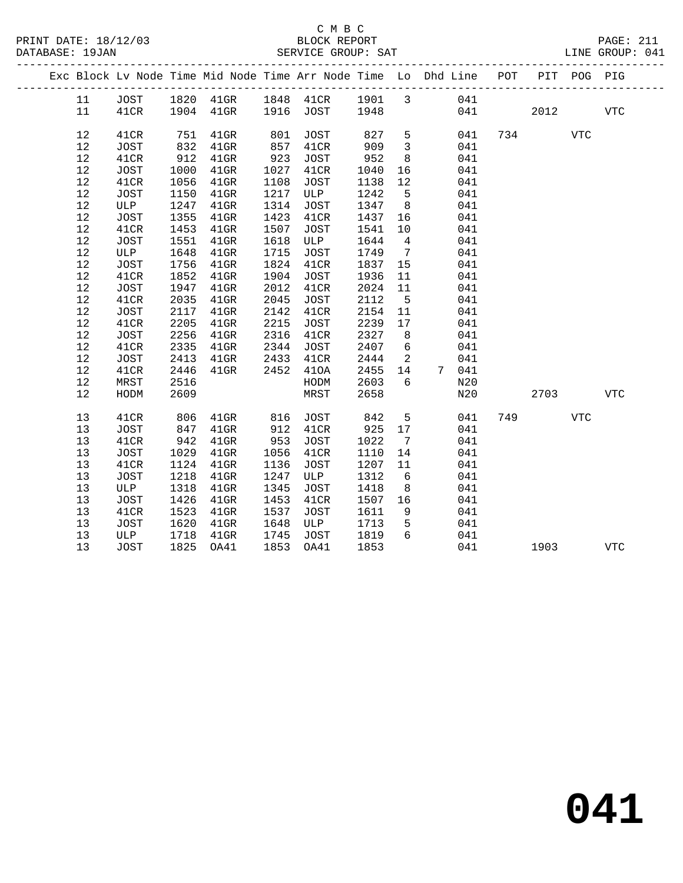| Exc Block Lv Node Time Mid Node Time Arr Node Time Lo Dhd Line POT |             |      |                          |      |             |      |                         |       |     |      | PIT POG PIG |            |  |
|--------------------------------------------------------------------|-------------|------|--------------------------|------|-------------|------|-------------------------|-------|-----|------|-------------|------------|--|
| 11                                                                 | JOST        |      | 1820 41GR 1848 41CR 1901 |      |             |      | $\overline{3}$          | 041   |     |      |             |            |  |
| 11                                                                 | 41CR        |      | 1904 41GR                |      | 1916 JOST   | 1948 |                         | 041   |     | 2012 |             | <b>VTC</b> |  |
| 12                                                                 | 41CR        | 751  | $41$ GR                  | 801  | <b>JOST</b> | 827  | 5                       | 041   | 734 |      | <b>VTC</b>  |            |  |
| 12                                                                 | JOST        | 832  | $41$ GR                  | 857  | 41CR        | 909  | $\overline{\mathbf{3}}$ | 041   |     |      |             |            |  |
| 12                                                                 | 41CR        | 912  | $41$ GR                  | 923  | JOST        | 952  | 8                       | 041   |     |      |             |            |  |
| 12                                                                 | <b>JOST</b> | 1000 | $41$ GR                  | 1027 | 41CR        | 1040 | 16                      | 041   |     |      |             |            |  |
| 12                                                                 | 41CR        | 1056 | $41$ GR                  | 1108 | JOST        | 1138 | 12                      | 041   |     |      |             |            |  |
| 12                                                                 | JOST        | 1150 | $41$ GR                  | 1217 | ULP         | 1242 | $-5$                    | 041   |     |      |             |            |  |
| 12                                                                 | ULP         | 1247 | $41$ GR                  | 1314 | JOST        | 1347 | 8 <sup>8</sup>          | 041   |     |      |             |            |  |
| $12$                                                               | JOST        | 1355 | 41GR                     | 1423 | 41CR        | 1437 | 16                      | 041   |     |      |             |            |  |
| 12                                                                 | 41CR        | 1453 | $41$ GR                  | 1507 | <b>JOST</b> | 1541 | 10                      | 041   |     |      |             |            |  |
| 12                                                                 | JOST        | 1551 | $41$ GR                  | 1618 | ULP         | 1644 | $\overline{4}$          | 041   |     |      |             |            |  |
| 12                                                                 | ULP         | 1648 | $41$ GR                  | 1715 | JOST        | 1749 | $\overline{7}$          | 041   |     |      |             |            |  |
| 12                                                                 | JOST        | 1756 | $41$ GR                  | 1824 | 41CR        | 1837 | 15                      | 041   |     |      |             |            |  |
| 12                                                                 | 41CR        | 1852 | $41$ GR                  | 1904 | JOST        | 1936 | 11                      | 041   |     |      |             |            |  |
| 12                                                                 | JOST        | 1947 | $41$ GR                  | 2012 | 41CR        | 2024 | 11                      | 041   |     |      |             |            |  |
| 12                                                                 | 41CR        | 2035 | $41$ GR                  | 2045 | JOST        | 2112 | $5^{\circ}$             | 041   |     |      |             |            |  |
| 12                                                                 | JOST        | 2117 | $41$ GR                  | 2142 | 41CR        | 2154 | 11                      | 041   |     |      |             |            |  |
| 12                                                                 | 41CR        | 2205 | $41$ GR                  | 2215 | JOST        | 2239 | 17                      | 041   |     |      |             |            |  |
| 12                                                                 | JOST        | 2256 | $41$ GR                  | 2316 | 41CR        | 2327 | 8 <sup>8</sup>          | 041   |     |      |             |            |  |
| 12                                                                 | 41CR        | 2335 | $41$ GR                  | 2344 | JOST        | 2407 | $6\overline{6}$         | 041   |     |      |             |            |  |
| 12                                                                 | JOST        | 2413 | $41$ GR                  | 2433 | 41CR        | 2444 | $\overline{\mathbf{2}}$ | 041   |     |      |             |            |  |
| 12                                                                 | 41CR        | 2446 | $41$ GR                  | 2452 | 410A        | 2455 | 14                      | 7 041 |     |      |             |            |  |
| 12                                                                 | MRST        | 2516 |                          |      | HODM        | 2603 | 6                       | N20   |     |      |             |            |  |
| 12                                                                 | HODM        | 2609 |                          |      | MRST        | 2658 |                         | N20   |     | 2703 |             | <b>VTC</b> |  |
| 13                                                                 | 41CR        | 806  | $41$ GR                  | 816  | JOST        | 842  | 5                       | 041   | 749 |      | <b>VTC</b>  |            |  |
| 13                                                                 | <b>JOST</b> | 847  | $41$ GR                  | 912  | 41CR        | 925  | 17                      | 041   |     |      |             |            |  |
| 13                                                                 | 41CR        | 942  | $41$ GR                  | 953  | JOST        | 1022 | $7\overline{ }$         | 041   |     |      |             |            |  |
| 13                                                                 | JOST        | 1029 | $41$ GR                  | 1056 | 41CR        | 1110 | 14                      | 041   |     |      |             |            |  |
| 13                                                                 | 41CR        | 1124 | $41$ GR                  | 1136 | JOST        | 1207 | 11                      | 041   |     |      |             |            |  |
| 13                                                                 | JOST        | 1218 | $41$ GR                  | 1247 | ULP         | 1312 | 6                       | 041   |     |      |             |            |  |
| 13                                                                 | ULP         | 1318 | $41$ GR                  | 1345 | JOST        | 1418 | 8 <sup>8</sup>          | 041   |     |      |             |            |  |
| 13                                                                 | JOST        | 1426 | $41$ GR                  | 1453 | 41CR        | 1507 | 16                      | 041   |     |      |             |            |  |
| 13                                                                 | 41CR        | 1523 | $41$ GR                  | 1537 | JOST        | 1611 | 9                       | 041   |     |      |             |            |  |
| 13                                                                 | JOST        | 1620 | $41$ GR                  | 1648 | ULP         | 1713 | 5                       | 041   |     |      |             |            |  |
| 13                                                                 | ULP         | 1718 | $41$ GR                  | 1745 | <b>JOST</b> | 1819 | 6                       | 041   |     |      |             |            |  |
| 13                                                                 | JOST        | 1825 | OA41                     | 1853 | OA41        | 1853 |                         | 041   |     | 1903 |             | <b>VTC</b> |  |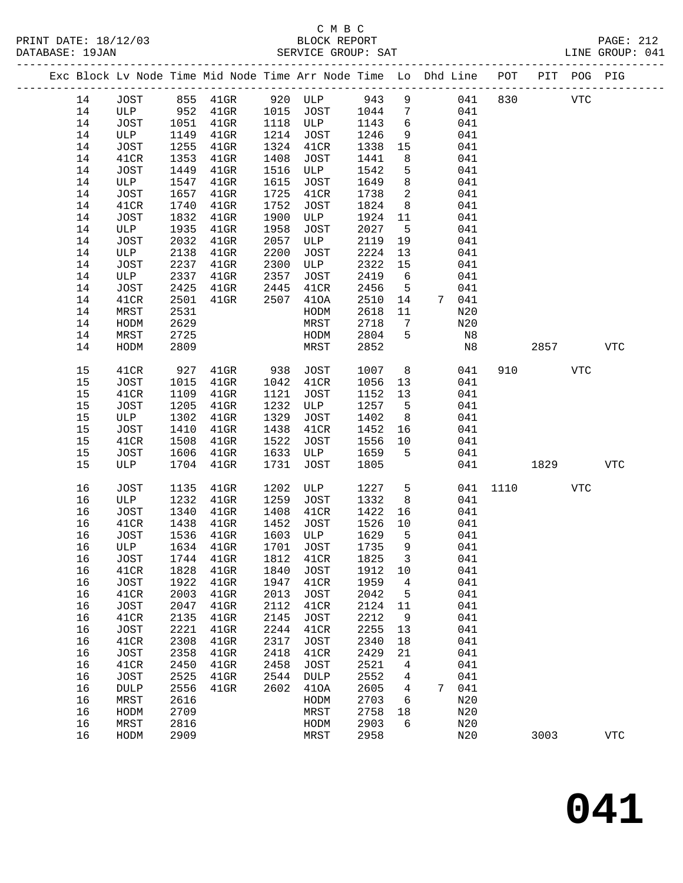|          |              |              |                      |      |              |              |                     | Exc Block Lv Node Time Mid Node Time Arr Node Time Lo Dhd Line POT |         |            | PIT POG PIG |            |
|----------|--------------|--------------|----------------------|------|--------------|--------------|---------------------|--------------------------------------------------------------------|---------|------------|-------------|------------|
| 14       | JOST         |              | 855 41GR 920 ULP 943 |      |              |              | 9                   |                                                                    | 041 830 | <b>VTC</b> |             |            |
| 14       | ULP          | 952          | $41$ GR              |      | 1015 JOST    | 1044         | $\overline{7}$      | 041                                                                |         |            |             |            |
| 14       | JOST         | 1051         | $41$ GR              | 1118 | ULP          | 1143         | $6\overline{6}$     | 041                                                                |         |            |             |            |
| 14       | ULP          | 1149         | $41$ GR              | 1214 | JOST         | 1246         | 9                   | 041                                                                |         |            |             |            |
| 14       | JOST         | 1255         | $41$ GR              | 1324 | 41CR         | 1338         | 15                  | 041                                                                |         |            |             |            |
| 14       | 41CR         | 1353         | $41$ GR              | 1408 | JOST         | 1441         | 8                   | 041                                                                |         |            |             |            |
| 14       | JOST         | 1449         | $41$ GR              | 1516 | ULP          | 1542         | 5                   | 041                                                                |         |            |             |            |
| 14       | ULP          | 1547         | $41$ GR              | 1615 | JOST         | 1649         | 8                   | 041                                                                |         |            |             |            |
| 14       | JOST         | 1657         | $41$ GR              | 1725 | 41CR         | 1738         | $\overline{a}$      | 041                                                                |         |            |             |            |
| 14       | 41CR         | 1740         | $41$ GR              | 1752 | JOST         | 1824         | 8                   | 041                                                                |         |            |             |            |
| 14       | JOST         | 1832         | $41$ GR              | 1900 | ULP          | 1924         | 11                  | 041                                                                |         |            |             |            |
| 14       | ULP          | 1935         | $41$ GR              | 1958 | JOST         | 2027         | 5                   | 041                                                                |         |            |             |            |
| 14       | JOST         | 2032         | $41$ GR              | 2057 | ULP          | 2119         | 19                  | 041                                                                |         |            |             |            |
| 14       | ULP          | 2138         | $41$ GR              | 2200 | JOST         | 2224         | 13                  | 041                                                                |         |            |             |            |
| 14       | JOST         | 2237         | $41$ GR              | 2300 | ULP          | 2322         | 15                  | 041                                                                |         |            |             |            |
| 14       | ULP          | 2337         | $41$ GR              | 2357 | JOST         | 2419         | 6                   | 041                                                                |         |            |             |            |
| 14       | JOST         | 2425         | $41$ GR              | 2445 | 41CR         | 2456         | $5^{\circ}$         | 041                                                                |         |            |             |            |
| 14       | 41CR         | 2501         | $41$ GR              | 2507 | 410A         | 2510         | 14                  | 7 041                                                              |         |            |             |            |
| 14       | MRST         | 2531         |                      |      | HODM         | 2618         | 11                  | N20                                                                |         |            |             |            |
| 14       | HODM         | 2629         |                      |      | MRST         | 2718         | $\overline{7}$<br>5 | N20                                                                |         |            |             |            |
| 14<br>14 | MRST         | 2725<br>2809 |                      |      | HODM<br>MRST | 2804<br>2852 |                     | N8<br>N8                                                           |         | 2857       |             | <b>VTC</b> |
|          | HODM         |              |                      |      |              |              |                     |                                                                    |         |            |             |            |
| 15       | 41CR         | 927          | $41$ GR              | 938  | JOST         | 1007         | 8                   | 041                                                                | 910     |            | VTC         |            |
| 15       | JOST         | 1015         | $41$ GR              | 1042 | 41CR         | 1056         | 13                  | 041                                                                |         |            |             |            |
| 15       | 41CR         | 1109         | $41$ GR              | 1121 | JOST         | 1152         | 13                  | 041                                                                |         |            |             |            |
| 15       | JOST         | 1205         | $41$ GR              | 1232 | ULP          | 1257         | $5^{\circ}$         | 041                                                                |         |            |             |            |
| 15       | ULP          | 1302         | $41$ GR              | 1329 | JOST         | 1402         | 8 <sup>8</sup>      | 041                                                                |         |            |             |            |
| 15       | JOST         | 1410         | $41$ GR              | 1438 | 41CR         | 1452         | 16                  | 041                                                                |         |            |             |            |
| 15       | 41CR         | 1508         | $41$ GR              | 1522 | JOST         | 1556         | 10                  | 041                                                                |         |            |             |            |
| 15       | JOST         | 1606         | $41$ GR              | 1633 | ULP          | 1659         | 5                   | 041                                                                |         |            |             |            |
| 15       | ULP          | 1704         | $41$ GR              | 1731 | JOST         | 1805         |                     | 041                                                                |         | 1829 1820  |             | <b>VTC</b> |
| 16       | <b>JOST</b>  | 1135         | $41$ GR              | 1202 | ULP          | 1227         | $5^{\circ}$         | 041                                                                | 1110    |            | VTC         |            |
| 16       | ULP          | 1232         | $41$ GR              | 1259 | JOST         | 1332         | 8                   | 041                                                                |         |            |             |            |
| 16       | JOST         | 1340         | $41$ GR              | 1408 | 41CR         | 1422         | 16                  | 041                                                                |         |            |             |            |
| 16       | 41CR         | 1438         | $41$ GR              | 1452 | JOST         | 1526         | 10                  | 041                                                                |         |            |             |            |
| 16       | JOST         | 1536         | $41$ GR              | 1603 | ULP          | 1629         | $5^{\circ}$         | 041                                                                |         |            |             |            |
| 16       | ULP          | 1634         | $41$ GR              | 1701 | JOST         | 1735         | 9                   | 041                                                                |         |            |             |            |
| 16       | JOST         |              | 1744 41GR            |      | 1812 41CR    | 1825 3       |                     | 041                                                                |         |            |             |            |
| 16       | 41CR         | 1828         | $41$ GR              | 1840 | JOST         | 1912         | 10                  | 041                                                                |         |            |             |            |
| 16       | JOST         | 1922         | $41$ GR              | 1947 | 41CR         | 1959         | 4                   | 041                                                                |         |            |             |            |
| 16       | 41CR         | 2003         | $41$ GR              | 2013 | JOST         | 2042         | $5^{\circ}$         | 041                                                                |         |            |             |            |
| 16       | JOST         | 2047         | $41$ GR              | 2112 | 41CR         | 2124         | 11                  | 041                                                                |         |            |             |            |
| 16       | 41CR         | 2135         | $41$ GR              | 2145 | JOST         | 2212         | 9                   | 041                                                                |         |            |             |            |
| 16       | <b>JOST</b>  | 2221         | $41$ GR              | 2244 | 41CR         | 2255         | 13                  | 041                                                                |         |            |             |            |
| 16       | 41CR         | 2308         | $41$ GR              | 2317 | JOST         | 2340         | 18                  | 041                                                                |         |            |             |            |
| 16       | JOST         | 2358         | $41$ GR              | 2418 | 41CR         | 2429         | 21                  | 041                                                                |         |            |             |            |
| 16       | 41CR         | 2450         | $41$ GR              | 2458 | JOST         | 2521         | $\overline{4}$      | 041                                                                |         |            |             |            |
| 16       | <b>JOST</b>  | 2525         | $41$ GR              | 2544 | DULP         | 2552         | 4                   | 041                                                                |         |            |             |            |
| 16       | <b>DULP</b>  | 2556         | $41$ GR              | 2602 | 410A         | 2605         | $\overline{4}$      | 7 041                                                              |         |            |             |            |
| 16       | MRST         | 2616         |                      |      | HODM         | 2703         | 6                   | N20                                                                |         |            |             |            |
| 16<br>16 | HODM<br>MRST | 2709<br>2816 |                      |      | MRST<br>HODM | 2758<br>2903 | 18<br>6             | N20<br>N20                                                         |         |            |             |            |
| 16       | HODM         | 2909         |                      |      | MRST         | 2958         |                     | N20                                                                |         | 3003       |             | <b>VTC</b> |
|          |              |              |                      |      |              |              |                     |                                                                    |         |            |             |            |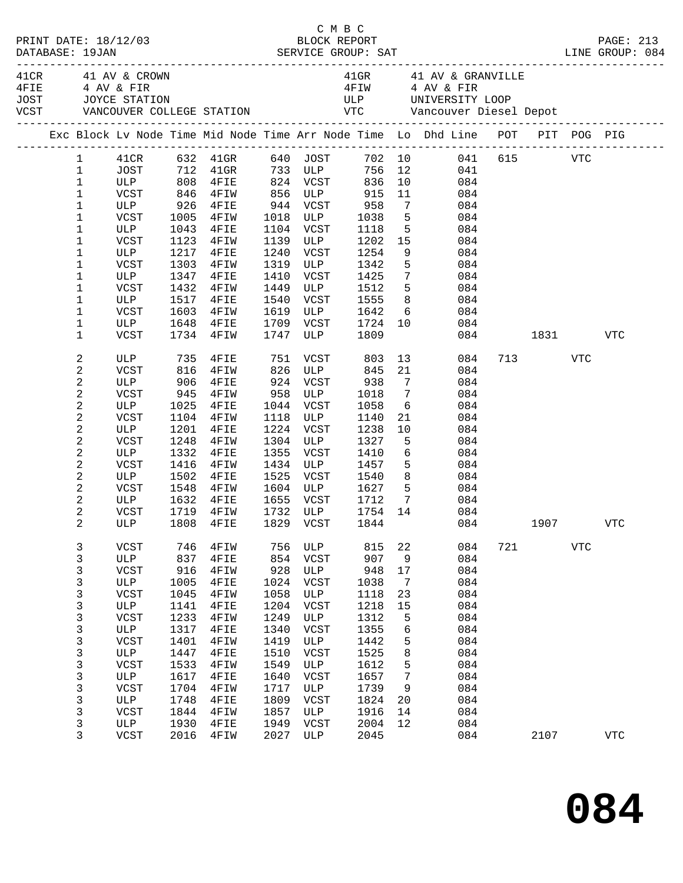| PRINT DATE: 18/12/03<br>DATABASE: 19JAN |                                                                                                                                                                                                            |                                                                                                                                                                        |                                                                                                                                   |                                                                                                                                                     |                                                                                                                                   | C M B C<br>BLOCK REPORT                                                                                                                                                                                                                                |                                                                                                                                   |                                                                                     |                                                                                                                                                                                                                                                                                                  |     |          |     | PAGE: 213  |
|-----------------------------------------|------------------------------------------------------------------------------------------------------------------------------------------------------------------------------------------------------------|------------------------------------------------------------------------------------------------------------------------------------------------------------------------|-----------------------------------------------------------------------------------------------------------------------------------|-----------------------------------------------------------------------------------------------------------------------------------------------------|-----------------------------------------------------------------------------------------------------------------------------------|--------------------------------------------------------------------------------------------------------------------------------------------------------------------------------------------------------------------------------------------------------|-----------------------------------------------------------------------------------------------------------------------------------|-------------------------------------------------------------------------------------|--------------------------------------------------------------------------------------------------------------------------------------------------------------------------------------------------------------------------------------------------------------------------------------------------|-----|----------|-----|------------|
| 4FIE 4 AV & FIR                         |                                                                                                                                                                                                            | 41 CR 41 AV & CROWN                                                                                                                                                    |                                                                                                                                   |                                                                                                                                                     |                                                                                                                                   |                                                                                                                                                                                                                                                        |                                                                                                                                   |                                                                                     | 41GR 41 AV & GRANVILLE<br>4FIW 4 AV & FIR                                                                                                                                                                                                                                                        |     |          |     |            |
|                                         |                                                                                                                                                                                                            |                                                                                                                                                                        |                                                                                                                                   |                                                                                                                                                     |                                                                                                                                   |                                                                                                                                                                                                                                                        |                                                                                                                                   |                                                                                     | Exc Block Lv Node Time Mid Node Time Arr Node Time Lo Dhd Line POT PIT POG PIG                                                                                                                                                                                                                   |     |          |     |            |
|                                         | $1\,$<br>$\mathbf 1$<br>1<br>1<br>1<br>1<br>1<br>1<br>1<br>1                                                                                                                                               | ULP<br>VCST<br>ULP<br>VCST<br>ULP<br>VCST<br>ULP<br>VCST<br>ULP                                                                                                        | 1123<br>1432<br>1517                                                                                                              | VCST 846 4FIW 856 ULP 915<br>ש⊥י⊾ -<br>926 4FIE<br>רחוד<br>1005 4FIW<br>1043 4FIE<br>4FIW<br>1217 4FIE<br>1303 4FIW<br>1347 4FIE<br>4FIW<br>$4$ FIE | 1240<br>1319<br>1410<br>1449<br>1540                                                                                              | 944 VCST<br>1104 VCST<br>1139 ULP<br>VCST                                                                                                                                                                                                              | 1118<br>1202<br>VCST 1254<br>ULP 1342<br>1425<br>ULP 1512 5                                                                       | 11<br>15<br>5 <sub>5</sub>                                                          | 1 41CR 632 41GR 640 JOST 702 10 041 615 VTC<br>1 JOST 712 41GR 733 ULP 756 12 041<br>1 ULP 808 4FIE 824 VCST 836 10 084<br>084<br>$\begin{array}{ccc} 7 & \quad & 084 \\ 5 & \quad & 084 \end{array}$<br>5 084<br>084<br>9<br>084<br>084<br>$7\overline{ }$<br>084<br>084<br>8 084               |     |          |     |            |
|                                         | 1<br>1<br>$\mathbf 1$                                                                                                                                                                                      | VCST<br>ULP<br>VCST                                                                                                                                                    | 1603                                                                                                                              | 4FIW<br>1648 4FIE<br>1734 4FIW                                                                                                                      | 1619                                                                                                                              | 1709 VCST<br>1747 ULP                                                                                                                                                                                                                                  | VCST 1555<br>ULP 1642<br>1724<br>1809                                                                                             |                                                                                     | $6\overline{6}$<br>084<br>$\frac{10}{10}$ 084                                                                                                                                                                                                                                                    |     | 084 1831 |     | <b>VTC</b> |
|                                         | 2<br>$\mathbf 2$<br>$\sqrt{2}$<br>$\boldsymbol{2}$<br>$\sqrt{2}$<br>$\sqrt{2}$<br>$\sqrt{2}$<br>$\boldsymbol{2}$<br>$\sqrt{2}$<br>$\sqrt{2}$<br>$\overline{c}$<br>2<br>$\mathbf{2}$<br>$\overline{c}$<br>2 | ULP 735 4FIE<br>VCST 816 4FIW<br>ULP<br>VCST<br>ULP<br>VCST<br>ULP<br>VCST<br>ULP<br>VCST<br><b>ULP</b><br>VCST<br>ULP<br>VCST                                         | 906<br>945<br>1025<br>1248<br>1332<br>1416<br>1548<br>1632                                                                        | $4$ FIE<br>4FIW<br>$4$ FIE<br>1104 4FIW<br>1201 4FIE<br>4FIW<br>$4$ FIE<br>4FIW<br>1502 4FIE<br>4FIW<br>$4$ FIE<br>1719 4FIW                        | 958<br>1355<br>1525                                                                                                               | 924 VCST 938<br>$\begin{tabular}{c c c c} 958 & ULP & 1018 \\ 1044 & VCST & 1058 \\ 1118 & ULP & 1140 \\ \end{tabular}$<br>1224 VCST<br>1304 ULP<br>VCST<br>$1434$ ULP<br>VCST<br>1604 ULP 1627 5<br>1655 VCST 1712 7<br>1732 ULP 1754 14<br>1655 VCST | 1238<br>1327<br>1410<br>1457<br>1540                                                                                              | $\overline{7}$<br>$7\overline{ }$<br>10<br>5                                        | 13<br>084<br>21<br>084<br>084<br>084<br>$\begin{array}{c} 6 \\ 21 \end{array}$<br>084<br>084<br>084<br>084<br>$6\overline{}$<br>084<br>5 <sub>5</sub><br>084<br>8 <sup>8</sup><br>084<br>084<br>$\begin{array}{ccc}7 & 084 \\ 14 & 084 \end{array}$<br>ULP 1808 4FIE 1829 VCST 1844 084 1907 VTC |     | 713 VTC  |     |            |
|                                         | 3<br>3<br>3<br>3<br>$\mathsf{3}$<br>3<br>3<br>$\mathsf{3}$<br>$\mathsf{3}$<br>$\mathsf 3$<br>3<br>3<br>$\mathsf{3}$<br>$\mathsf{3}$<br>$\mathsf{3}$<br>3<br>3                                              | VCST<br>ULP<br><b>VCST</b><br>ULP<br><b>VCST</b><br>ULP<br><b>VCST</b><br>ULP<br><b>VCST</b><br>ULP<br><b>VCST</b><br>ULP<br><b>VCST</b><br>ULP<br>VCST<br>ULP<br>VCST | 746<br>837<br>916<br>1005<br>1045<br>1141<br>1233<br>1317<br>1401<br>1447<br>1533<br>1617<br>1704<br>1748<br>1844<br>1930<br>2016 | 4FIW<br>4FIE<br>4FIW<br>4FIE<br>4FIW<br>4FIE<br>4FIW<br>4FIE<br>4FIW<br>4FIE<br>4FIW<br>4FIE<br>4FIW<br>4FIE<br>4FIW<br>4FIE<br>4FIW                | 756<br>854<br>928<br>1024<br>1058<br>1204<br>1249<br>1340<br>1419<br>1510<br>1549<br>1640<br>1717<br>1809<br>1857<br>1949<br>2027 | ULP<br>VCST<br>ULP<br>VCST<br>ULP<br>VCST<br>ULP<br>VCST<br>ULP<br><b>VCST</b><br>ULP<br>VCST<br>ULP<br>VCST<br>ULP<br>VCST<br>ULP                                                                                                                     | 815<br>907<br>948<br>1038<br>1118<br>1218<br>1312<br>1355<br>1442<br>1525<br>1612<br>1657<br>1739<br>1824<br>1916<br>2004<br>2045 | 22<br>9<br>17<br>7<br>23<br>15<br>5<br>6<br>5<br>8<br>5<br>7<br>9<br>20<br>14<br>12 | 084<br>084<br>084<br>084<br>084<br>084<br>084<br>084<br>084<br>084<br>084<br>084<br>084<br>084<br>084<br>084<br>084                                                                                                                                                                              | 721 | 2107     | VTC | VTC        |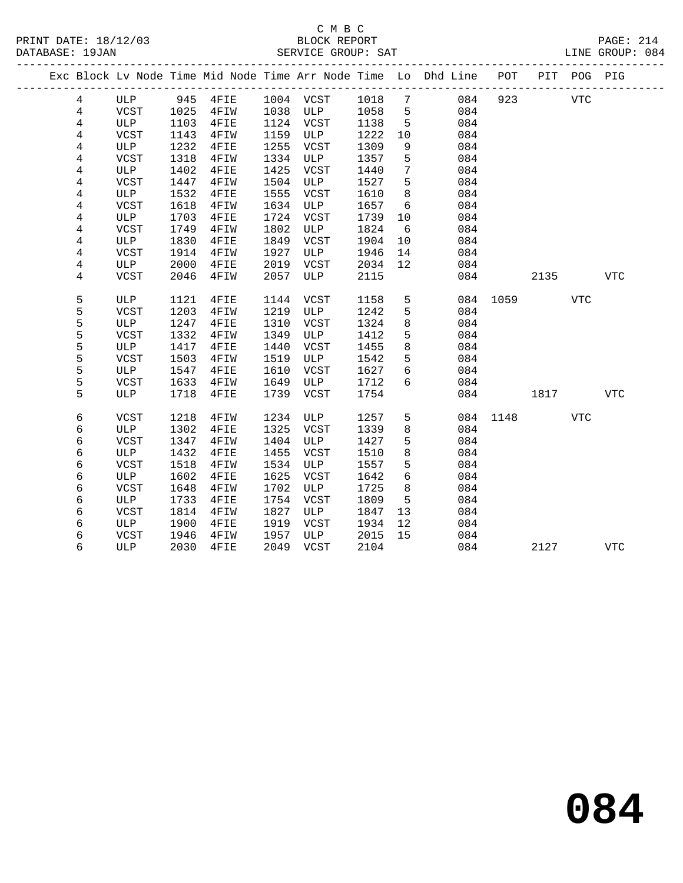|  |   |             |      |      |      |             |      |    | Exc Block Lv Node Time Mid Node Time Arr Node Time Lo Dhd Line POT |      |      | PIT POG PIG |            |
|--|---|-------------|------|------|------|-------------|------|----|--------------------------------------------------------------------|------|------|-------------|------------|
|  | 4 | ULP         | 945  | 4FIE | 1004 | VCST        | 1018 | 7  | 084                                                                | 923  |      | <b>VTC</b>  |            |
|  | 4 | <b>VCST</b> | 1025 | 4FIW | 1038 | ULP         | 1058 | 5  | 084                                                                |      |      |             |            |
|  | 4 | ULP         | 1103 | 4FIE | 1124 | <b>VCST</b> | 1138 | 5  | 084                                                                |      |      |             |            |
|  | 4 | <b>VCST</b> | 1143 | 4FIW | 1159 | ULP         | 1222 | 10 | 084                                                                |      |      |             |            |
|  | 4 | ULP         | 1232 | 4FIE | 1255 | VCST        | 1309 | 9  | 084                                                                |      |      |             |            |
|  | 4 | <b>VCST</b> | 1318 | 4FIW | 1334 | ULP         | 1357 | 5  | 084                                                                |      |      |             |            |
|  | 4 | ULP         | 1402 | 4FIE | 1425 | VCST        | 1440 | 7  | 084                                                                |      |      |             |            |
|  | 4 | <b>VCST</b> | 1447 | 4FIW | 1504 | ULP         | 1527 | 5  | 084                                                                |      |      |             |            |
|  | 4 | <b>ULP</b>  | 1532 | 4FIE | 1555 | <b>VCST</b> | 1610 | 8  | 084                                                                |      |      |             |            |
|  | 4 | <b>VCST</b> | 1618 | 4FIW | 1634 | ULP         | 1657 | 6  | 084                                                                |      |      |             |            |
|  | 4 | ULP         | 1703 | 4FIE | 1724 | VCST        | 1739 | 10 | 084                                                                |      |      |             |            |
|  | 4 | <b>VCST</b> | 1749 | 4FIW | 1802 | ULP         | 1824 | 6  | 084                                                                |      |      |             |            |
|  | 4 | ULP         | 1830 | 4FIE | 1849 | VCST        | 1904 | 10 | 084                                                                |      |      |             |            |
|  | 4 | <b>VCST</b> | 1914 | 4FIW | 1927 | ULP         | 1946 | 14 | 084                                                                |      |      |             |            |
|  | 4 | ULP         | 2000 | 4FIE | 2019 | <b>VCST</b> | 2034 | 12 | 084                                                                |      |      |             |            |
|  | 4 | <b>VCST</b> | 2046 | 4FIW | 2057 | ULP         | 2115 |    | 084                                                                |      | 2135 |             | <b>VTC</b> |
|  | 5 | ULP         | 1121 | 4FIE | 1144 | VCST        | 1158 | 5  | 084                                                                | 1059 |      | VTC         |            |
|  | 5 | <b>VCST</b> | 1203 | 4FIW | 1219 | ULP         | 1242 | 5  | 084                                                                |      |      |             |            |
|  | 5 | ULP         | 1247 | 4FIE | 1310 | VCST        | 1324 | 8  | 084                                                                |      |      |             |            |
|  | 5 | <b>VCST</b> | 1332 | 4FIW | 1349 | ULP         | 1412 | 5  | 084                                                                |      |      |             |            |
|  | 5 | ULP         | 1417 | 4FIE | 1440 | VCST        | 1455 | 8  | 084                                                                |      |      |             |            |
|  | 5 | <b>VCST</b> | 1503 | 4FIW | 1519 | ULP         | 1542 | 5  | 084                                                                |      |      |             |            |
|  | 5 | ULP         | 1547 | 4FIE | 1610 | VCST        | 1627 | 6  | 084                                                                |      |      |             |            |
|  | 5 | <b>VCST</b> | 1633 | 4FIW | 1649 | ULP         | 1712 | 6  | 084                                                                |      |      |             |            |
|  | 5 | ULP         | 1718 | 4FIE | 1739 | <b>VCST</b> | 1754 |    | 084                                                                |      | 1817 |             | <b>VTC</b> |
|  | 6 | <b>VCST</b> | 1218 | 4FIW | 1234 | ULP         | 1257 | 5  | 084                                                                | 1148 |      | <b>VTC</b>  |            |
|  | 6 | <b>ULP</b>  | 1302 | 4FIE | 1325 | VCST        | 1339 | 8  | 084                                                                |      |      |             |            |
|  | 6 | <b>VCST</b> | 1347 | 4FIW | 1404 | ULP         | 1427 | 5  | 084                                                                |      |      |             |            |
|  | 6 | ULP         | 1432 | 4FIE | 1455 | VCST        | 1510 | 8  | 084                                                                |      |      |             |            |
|  | 6 | <b>VCST</b> | 1518 | 4FIW | 1534 | ULP         | 1557 | 5  | 084                                                                |      |      |             |            |
|  | 6 | ULP         | 1602 | 4FIE | 1625 | VCST        | 1642 | 6  | 084                                                                |      |      |             |            |
|  | 6 | <b>VCST</b> | 1648 | 4FIW | 1702 | ULP         | 1725 | 8  | 084                                                                |      |      |             |            |
|  | 6 | ULP         | 1733 | 4FIE | 1754 | <b>VCST</b> | 1809 | 5  | 084                                                                |      |      |             |            |
|  | 6 | <b>VCST</b> | 1814 | 4FIW | 1827 | ULP         | 1847 | 13 | 084                                                                |      |      |             |            |
|  | 6 | ULP         | 1900 | 4FIE | 1919 | VCST        | 1934 | 12 | 084                                                                |      |      |             |            |
|  | 6 | <b>VCST</b> | 1946 | 4FIW | 1957 | ULP         | 2015 | 15 | 084                                                                |      |      |             |            |
|  | 6 | ULP         | 2030 | 4FIE | 2049 | VCST        | 2104 |    | 084                                                                |      | 2127 |             | <b>VTC</b> |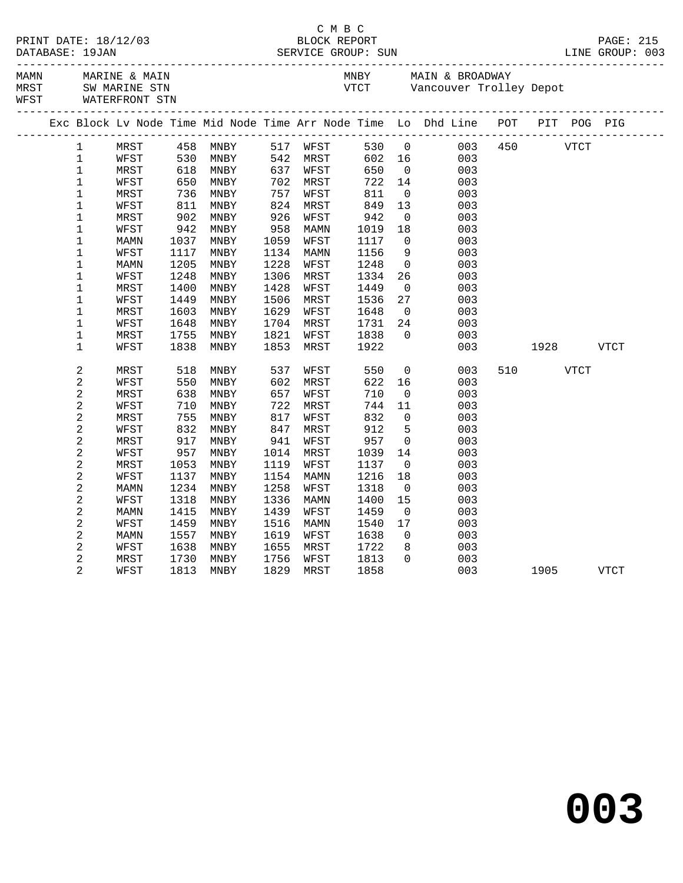| MAMN<br>MARINE & MAIN<br>MRST SW MARINE STN<br>WFST WATERFRONT STN<br>Exc Block Lv Node Time Mid Node Time Arr Node Time Lo Dhd Line POT PIT POG PIG<br>MRST<br>458 MNBY<br>$\mathbf{1}$<br>$\mathbf{1}$<br>530<br>WFST<br>MNBY<br>$\mathbf 1$<br>MRST<br>MNBY<br>618<br>650<br>$\mathbf 1$<br>WFST<br>MNBY<br>$\mathbf 1$<br>736<br>811<br>MNBY<br>MRST<br>$\mathbf 1$<br>WFST<br>MNBY<br>$\mathbf 1$<br>MRST<br>902<br>MNBY<br>$\mathbf 1$<br>942<br>WFST<br>MNBY<br>$\mathbf 1$<br>1037<br>MNBY<br>MAMN<br>$\mathbf 1$<br>1117<br>MNBY<br>WFST<br>$\mathbf{1}$<br>1205<br>MNBY<br>MAMN<br>$\mathbf 1$<br>WFST<br>1248<br>MNBY<br>$\mathbf 1$<br>1400<br>MNBY<br>MRST |                                                                                                               |                                                                                                                                                                  | MNBY MAIN & BROADWAY                                                                                                                                   |                                                                                                                                                                                             |                                                                                                                     |              |           |      |  |
|-------------------------------------------------------------------------------------------------------------------------------------------------------------------------------------------------------------------------------------------------------------------------------------------------------------------------------------------------------------------------------------------------------------------------------------------------------------------------------------------------------------------------------------------------------------------------------------------------------------------------------------------------------------------------|---------------------------------------------------------------------------------------------------------------|------------------------------------------------------------------------------------------------------------------------------------------------------------------|--------------------------------------------------------------------------------------------------------------------------------------------------------|---------------------------------------------------------------------------------------------------------------------------------------------------------------------------------------------|---------------------------------------------------------------------------------------------------------------------|--------------|-----------|------|--|
|                                                                                                                                                                                                                                                                                                                                                                                                                                                                                                                                                                                                                                                                         |                                                                                                               |                                                                                                                                                                  |                                                                                                                                                        |                                                                                                                                                                                             | VTCT Vancouver Trolley Depot                                                                                        |              |           |      |  |
|                                                                                                                                                                                                                                                                                                                                                                                                                                                                                                                                                                                                                                                                         |                                                                                                               |                                                                                                                                                                  |                                                                                                                                                        |                                                                                                                                                                                             |                                                                                                                     |              |           |      |  |
| $\mathbf 1$<br>1449<br>MNBY<br>WFST<br>$\mathbf{1}$<br>1603<br>MNBY<br>MRST<br>$\mathbf 1$<br>WFST<br>1648<br>MNBY<br>$\mathbf 1$<br>1755<br>MNBY<br>MRST<br>$\mathbf 1$<br>WFST<br>1838<br>MNBY                                                                                                                                                                                                                                                                                                                                                                                                                                                                        | 757<br>926<br>958<br>1059<br>1134<br>1228<br>1306<br>1428<br>1506<br>1629<br>1704<br>1821<br>1853             | 517 WFST<br>542 MRST<br>637 WFST<br>702 MRST<br>WFST<br>824 MRST<br>WFST<br>MAMN<br>WFST<br>MAMN<br>WFST<br>MRST<br>WFST<br>MRST<br>WFST<br>MRST<br>WFST<br>MRST | 530 0<br>602<br>650<br>722<br>$8 + 8 + 8 + 9$<br>$0.42$<br>942<br>1019<br>1117<br>1156<br>1248<br>1334<br>1449<br>1536<br>1648<br>1731<br>1838<br>1922 | 16<br>$\overline{0}$<br>14<br>$\overline{0}$<br>13<br>$\overline{0}$<br>18<br>$\overline{0}$<br>9<br>$\overline{0}$<br>26<br>$\overline{0}$<br>27<br>$\overline{0}$<br>24<br>$\overline{0}$ | 003<br>003<br>003<br>003<br>003<br>003<br>003<br>003<br>003<br>003<br>003<br>003<br>003<br>003<br>003<br>003<br>003 | 003 450 VTCT | 1928 VTCT |      |  |
| $\sqrt{2}$<br>518<br>MNBY<br>MRST<br>2<br>550<br>WFST<br>MNBY<br>2<br>MRST<br>638<br>MNBY<br>2<br>710<br>MNBY<br>WFST<br>2<br>755<br>MNBY<br>MRST<br>2<br>832<br>WFST<br>MNBY<br>2<br>MRST<br>MNBY<br>צל<br>957<br>?קי<br>2<br>WFST<br>MNBY<br>2<br>MRST<br>1053<br>MNBY<br>2<br>WFST<br>1137<br>MNBY<br>2<br>1234<br>MNBY<br>MAMN<br>2<br>1318<br>MNBY<br>WFST<br>2<br>1415<br>MNBY<br>MAMN<br>2<br>WFST<br>1459<br>MNBY<br>2<br>1557<br>MNBY<br>MAMN<br>2<br>1638<br>WFST<br>MNBY<br>$\overline{2}$<br>MRST<br>1730<br>MNBY<br>$\overline{2}$<br>1813<br>WFST<br>MNBY                                                                                                 | 537<br>602<br>657<br>722<br>817<br>847<br>941<br>1014<br>1119<br>1154<br>1258<br>1336<br>1439<br>1516<br>1619 | WFST<br>MRST<br>WFST<br>MRST<br>WFST<br>MRST<br>WFST<br>MRST<br>WFST<br>MAMN<br>WFST<br>MAMN<br>WFST<br>MAMN<br>WFST                                             | 550<br>622<br>710<br>744<br>832<br>912<br>957<br>1039<br>1137<br>1216<br>1318<br>1400<br>1459<br>1540<br>1638                                          | $\overline{0}$<br>16<br>$\overline{0}$<br>11<br>$\overline{0}$<br>5<br>$\overline{0}$<br>14<br>$\overline{0}$<br>18<br>$\overline{0}$<br>15<br>$\overline{0}$<br>17                         | 003<br>003<br>003<br>003<br>003<br>003<br>003<br>003<br>003<br>003<br>003<br>003<br>003<br>003                      |              | 510       | VTCT |  |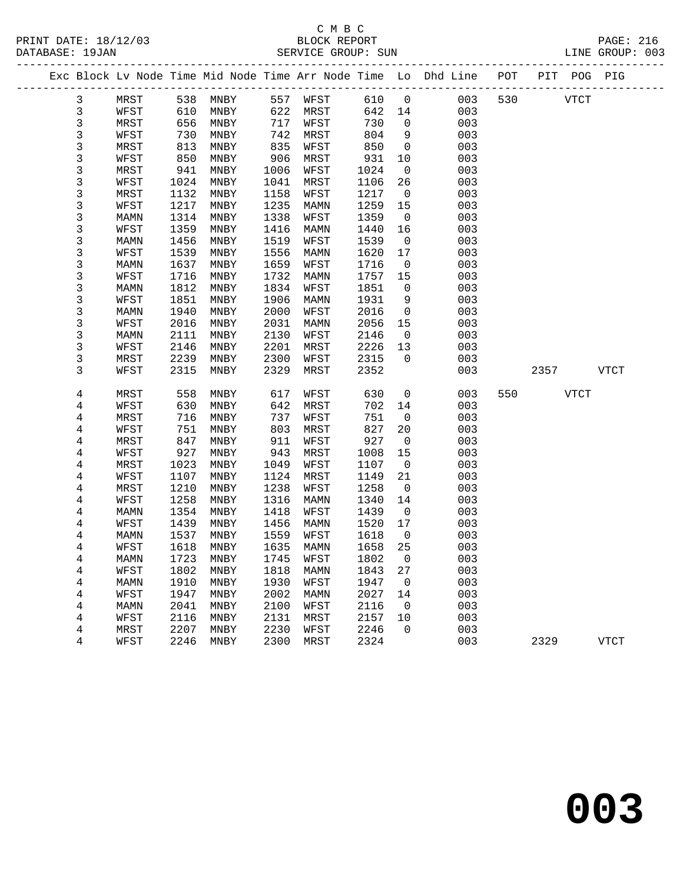| PRINT DATE: 18/12/03 | BLOCK REPORT       | <b>PAGE: 216</b> |  |
|----------------------|--------------------|------------------|--|
| DATABASE: 19JAN      | SERVICE GROUP: SUN | LINE GROUP: 003  |  |

|  |                |      |      |           |      |           |        |                | Exc Block Lv Node Time Mid Node Time Arr Node Time Lo Dhd Line POT |     |          | PIT POG PIG |  |
|--|----------------|------|------|-----------|------|-----------|--------|----------------|--------------------------------------------------------------------|-----|----------|-------------|--|
|  | $\mathbf{3}$   | MRST |      | 538 MNBY  |      | 557 WFST  | 610    | $\overline{0}$ | 003                                                                |     | 530 VTCT |             |  |
|  | $\mathbf{3}$   | WFST | 610  | MNBY      | 622  | MRST      | 642 14 |                | 003                                                                |     |          |             |  |
|  | 3              | MRST | 656  | MNBY      | 717  | WFST      | 730    | $\overline{0}$ | 003                                                                |     |          |             |  |
|  | 3              | WFST | 730  | MNBY      | 742  | MRST      | 804    | 9              | 003                                                                |     |          |             |  |
|  | 3              | MRST | 813  | MNBY      | 835  | WFST      | 850    | $\overline{0}$ | 003                                                                |     |          |             |  |
|  | 3              | WFST | 850  | MNBY      | 906  | MRST      | 931    | 10             | 003                                                                |     |          |             |  |
|  | 3              | MRST | 941  | MNBY      | 1006 | WFST      | 1024   | $\overline{0}$ | 003                                                                |     |          |             |  |
|  | 3              | WFST | 1024 | MNBY      | 1041 | MRST      | 1106   | 26             | 003                                                                |     |          |             |  |
|  | 3              | MRST | 1132 | MNBY      | 1158 | WFST      | 1217   | $\overline{0}$ | 003                                                                |     |          |             |  |
|  | 3              | WFST | 1217 | MNBY      | 1235 | MAMN      | 1259   | 15             | 003                                                                |     |          |             |  |
|  | 3              | MAMN | 1314 | MNBY      | 1338 | WFST      | 1359   | $\overline{0}$ | 003                                                                |     |          |             |  |
|  | 3              | WFST | 1359 | MNBY      | 1416 | MAMN      | 1440   | 16             | 003                                                                |     |          |             |  |
|  | 3              | MAMN | 1456 | MNBY      | 1519 | WFST      | 1539   | $\overline{0}$ | 003                                                                |     |          |             |  |
|  | 3              | WFST | 1539 | MNBY      | 1556 | MAMN      | 1620   | 17             | 003                                                                |     |          |             |  |
|  | 3              | MAMN | 1637 | MNBY      | 1659 | WFST      | 1716   | $\overline{0}$ | 003                                                                |     |          |             |  |
|  | 3              | WFST | 1716 | MNBY      | 1732 | MAMN      | 1757   | 15             | 003                                                                |     |          |             |  |
|  | 3              | MAMN | 1812 | MNBY      | 1834 | WFST      | 1851   | $\mathsf{O}$   | 003                                                                |     |          |             |  |
|  | 3              | WFST | 1851 | MNBY      | 1906 | MAMN      | 1931   | 9              | 003                                                                |     |          |             |  |
|  | 3              | MAMN | 1940 | MNBY      | 2000 | WFST      | 2016   | $\overline{0}$ | 003                                                                |     |          |             |  |
|  | 3              | WFST | 2016 | MNBY      | 2031 | MAMN      | 2056   | 15             | 003                                                                |     |          |             |  |
|  | 3              | MAMN | 2111 | MNBY      | 2130 | WFST      | 2146   | $\overline{0}$ | 003                                                                |     |          |             |  |
|  | 3              | WFST | 2146 | MNBY      | 2201 | MRST      | 2226   | 13             | 003                                                                |     |          |             |  |
|  | 3              | MRST | 2239 | MNBY      | 2300 | WFST      | 2315   | $\overline{0}$ | 003                                                                |     |          |             |  |
|  | 3              | WFST | 2315 | MNBY      | 2329 | MRST      | 2352   |                | 003                                                                |     |          | 2357 VTCT   |  |
|  | 4              | MRST | 558  | MNBY      | 617  | WFST      | 630    | $\overline{0}$ | 003                                                                | 550 |          | <b>VTCT</b> |  |
|  | 4              | WFST | 630  | MNBY      | 642  | MRST      | 702    | 14             | 003                                                                |     |          |             |  |
|  | 4              | MRST | 716  | MNBY      | 737  | WFST      | 751    | $\overline{0}$ | 003                                                                |     |          |             |  |
|  | 4              | WFST | 751  | MNBY      | 803  | MRST      | 827    | 20             | 003                                                                |     |          |             |  |
|  | 4              | MRST | 847  | MNBY      | 911  | WFST      | 927    | $\overline{0}$ | 003                                                                |     |          |             |  |
|  | 4              | WFST | 927  | MNBY      | 943  | MRST      | 1008   | 15             | 003                                                                |     |          |             |  |
|  | 4              | MRST | 1023 | MNBY      | 1049 | WFST      | 1107   | $\overline{0}$ | 003                                                                |     |          |             |  |
|  | 4              | WFST | 1107 | MNBY      | 1124 | MRST      | 1149   | 21             | 003                                                                |     |          |             |  |
|  | $\overline{4}$ | MRST | 1210 | MNBY      | 1238 | WFST      | 1258   | $\overline{0}$ | 003                                                                |     |          |             |  |
|  | 4              | WFST | 1258 | MNBY      | 1316 | MAMN      | 1340   | 14             | 003                                                                |     |          |             |  |
|  | 4              | MAMN | 1354 | MNBY      | 1418 | WFST      | 1439   | $\overline{0}$ | 003                                                                |     |          |             |  |
|  | 4              | WFST | 1439 | MNBY      | 1456 | MAMN      | 1520   | 17             | 003                                                                |     |          |             |  |
|  | 4              | MAMN | 1537 | MNBY      | 1559 | WFST      | 1618   | $\overline{0}$ | 003                                                                |     |          |             |  |
|  | 4              | WFST | 1618 | MNBY      | 1635 | MAMN      | 1658   | 25             | 003                                                                |     |          |             |  |
|  | 4              | MAMN |      | 1723 MNBY |      | 1745 WFST | 1802 0 |                | 003                                                                |     |          |             |  |
|  | 4              | WFST | 1802 | MNBY      | 1818 | MAMN      | 1843   | 27             | 003                                                                |     |          |             |  |
|  | 4              | MAMN | 1910 | MNBY      | 1930 | WFST      | 1947   | $\overline{0}$ | 003                                                                |     |          |             |  |
|  | 4              | WFST | 1947 | MNBY      | 2002 | MAMN      | 2027   | 14             | 003                                                                |     |          |             |  |
|  | 4              | MAMN | 2041 | MNBY      | 2100 | WFST      | 2116   | $\overline{0}$ | 003                                                                |     |          |             |  |
|  | 4              | WFST | 2116 | MNBY      | 2131 | MRST      | 2157   | 10             | 003                                                                |     |          |             |  |
|  | 4              | MRST | 2207 | MNBY      | 2230 | WFST      | 2246   | $\mathbf 0$    | 003                                                                |     |          |             |  |
|  | 4              | WFST | 2246 | MNBY      | 2300 | MRST      | 2324   |                | 003                                                                |     | 2329     | <b>VTCT</b> |  |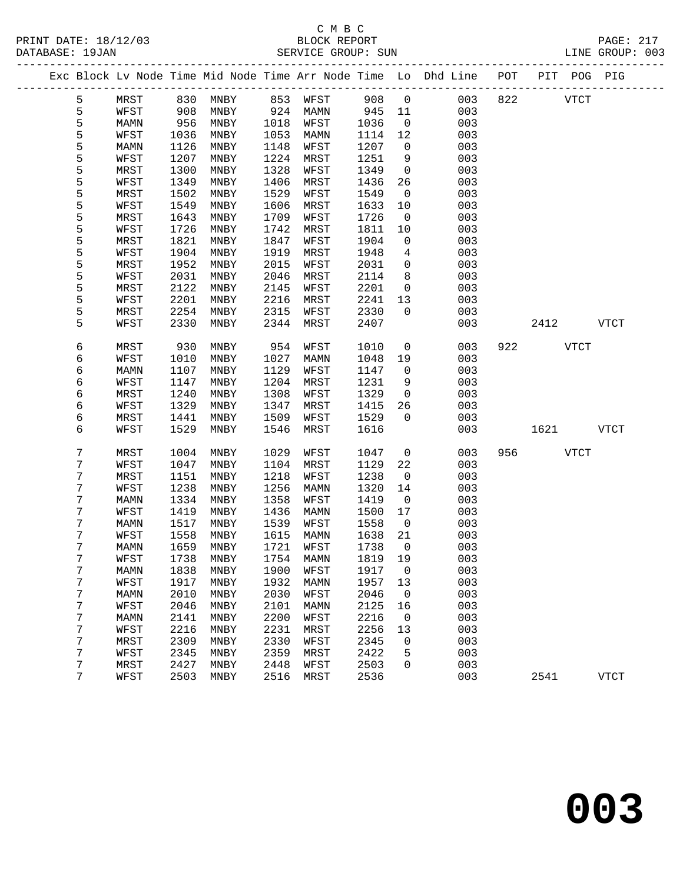# C M B C<br>BLOCK REPORT

| PRINT DATE: 18/12/03<br>DATABASE: 19JAN |                 |      |      |      |      |                             |         |                 |                                                                                |           | PAGE: 217 BLOCK REPORT PAGE: 217<br>SERVICE GROUP: SUN EXAMPLE BAGE: 217 |
|-----------------------------------------|-----------------|------|------|------|------|-----------------------------|---------|-----------------|--------------------------------------------------------------------------------|-----------|--------------------------------------------------------------------------|
|                                         |                 |      |      |      |      |                             |         |                 | Exc Block Lv Node Time Mid Node Time Arr Node Time Lo Dhd Line POT PIT POG PIG |           |                                                                          |
|                                         | 5               | MRST |      |      |      | 830 MNBY 853 WFST 908 0     |         |                 | 003                                                                            | 822 VTCT  |                                                                          |
|                                         | $5\phantom{.0}$ | WFST | 908  | MNBY |      | 924 MAMN                    | 945 11  |                 | 003                                                                            |           |                                                                          |
|                                         | 5               | MAMN | 956  | MNBY |      | 1018 WFST                   | 1036    | $\overline{0}$  | 003                                                                            |           |                                                                          |
|                                         | 5               | WFST | 1036 | MNBY | 1053 | MAMN                        | 1114    | 12              | 003                                                                            |           |                                                                          |
|                                         | 5               | MAMN | 1126 | MNBY | 1148 | WFST                        | 1207    | $\overline{0}$  | 003                                                                            |           |                                                                          |
|                                         | 5               | WFST | 1207 | MNBY | 1224 | MRST                        | 1251    | 9               | 003                                                                            |           |                                                                          |
|                                         | 5               | MRST | 1300 | MNBY | 1328 | WFST                        | 1349    | $\overline{0}$  | 003                                                                            |           |                                                                          |
|                                         | 5               | WFST | 1349 | MNBY | 1406 | MRST                        | 1436    | 26              | 003                                                                            |           |                                                                          |
|                                         | 5               | MRST | 1502 | MNBY | 1529 | WFST                        | 1549    | $\overline{0}$  | 003                                                                            |           |                                                                          |
|                                         | 5               | WFST | 1549 | MNBY | 1606 | MRST                        | 1633    | 10              | 003                                                                            |           |                                                                          |
|                                         | 5               | MRST | 1643 | MNBY | 1709 | WFST                        | 1726    | $\overline{0}$  | 003                                                                            |           |                                                                          |
|                                         | 5               | WFST | 1726 | MNBY | 1742 | MRST                        | 1811    | 10              | 003                                                                            |           |                                                                          |
|                                         | 5               | MRST | 1821 | MNBY | 1847 | WFST                        | 1904    | $\overline{0}$  | 003                                                                            |           |                                                                          |
|                                         | 5               | WFST | 1904 | MNBY | 1919 | MRST                        | 1948    | $4\overline{ }$ | 003                                                                            |           |                                                                          |
|                                         | 5               | MRST | 1952 | MNBY | 2015 | WFST                        | 2031    | $\overline{0}$  | 003                                                                            |           |                                                                          |
|                                         | 5               | WFST | 2031 | MNBY | 2046 | MRST                        | 2114    | 8               | 003                                                                            |           |                                                                          |
|                                         | 5               | MRST | 2122 | MNBY | 2145 | WFST                        | 2201    | $\overline{0}$  | 003                                                                            |           |                                                                          |
|                                         | 5               | WFST | 2201 | MNBY | 2216 | MRST                        | 2241    | 13              | 003                                                                            |           |                                                                          |
|                                         | 5               | MRST | 2254 | MNBY | 2315 | WFST                        | 2330    | $\overline{0}$  | 003                                                                            |           |                                                                          |
|                                         | 5               | WFST | 2330 | MNBY | 2344 | MRST                        | 2407    |                 | 003                                                                            | 2412 VTCT |                                                                          |
|                                         |                 |      |      |      |      |                             |         |                 |                                                                                |           |                                                                          |
|                                         | 6               | MRST | 930  | MNBY | 954  | WFST                        | 1010    | $\overline{0}$  | 003                                                                            | 922 VTCT  |                                                                          |
|                                         | 6               | WFST | 1010 | MNBY | 1027 | MAMN                        | 1048    | 19              | 003                                                                            |           |                                                                          |
|                                         | 6               | MAMN | 1107 | MNBY | 1129 | WFST                        | 1147    | $\overline{0}$  | 003                                                                            |           |                                                                          |
|                                         | б               | WFST | 1147 | MNBY | 1204 | MRST                        | 1231    | 9               | 003                                                                            |           |                                                                          |
|                                         | 6               | MRST | 1240 | MNBY | 1308 | WFST                        | 1329    | $\overline{0}$  | 003                                                                            |           |                                                                          |
|                                         | б               | WFST | 1329 | MNBY | 1347 | MRST                        | 1415    | 26              | 003                                                                            |           |                                                                          |
|                                         | б               | MRST | 1441 | MNBY | 1509 | WFST                        | 1529    | $\Omega$        | 003                                                                            |           |                                                                          |
|                                         | 6               | WFST | 1529 | MNBY | 1546 | MRST                        | 1616    |                 | 003                                                                            | 1621 VTCT |                                                                          |
|                                         | 7               | MRST | 1004 | MNBY | 1029 | WFST                        | 1047    | $\overline{0}$  | 003                                                                            | 956 VTCT  |                                                                          |
|                                         | 7               | WFST | 1047 | MNBY | 1104 | MRST                        | 1129    | 22              | 003                                                                            |           |                                                                          |
|                                         | 7               | MRST | 1151 | MNBY | 1218 | WFST                        | 1238    | $\mathbf{0}$    | 003                                                                            |           |                                                                          |
|                                         | 7               | WFST | 1238 | MNBY | 1256 | MAMN                        | 1320    | 14              | 003                                                                            |           |                                                                          |
|                                         | 7               | MAMN | 1334 | MNBY | 1358 | WFST                        | 1419    | $\overline{0}$  | 003                                                                            |           |                                                                          |
|                                         | 7               | WFST | 1419 | MNBY | 1436 | MAMN                        | 1500 17 |                 | 003                                                                            |           |                                                                          |
|                                         | 7               | MAMN | 1517 | MNBY | 1539 | WFST                        | 1558    | $\overline{0}$  | 003                                                                            |           |                                                                          |
|                                         | 7               | WFST |      |      |      | 1558 MNBY 1615 MAMN 1638 21 |         |                 | 003                                                                            |           |                                                                          |
|                                         | 7               | MAMN | 1659 | MNBY | 1721 | WFST                        | 1738    | 0               | 003                                                                            |           |                                                                          |
|                                         | 7               | WFST | 1738 | MNBY | 1754 | MAMN                        | 1819    | 19              | 003                                                                            |           |                                                                          |
|                                         | 7               | MAMN | 1838 | MNBY | 1900 | WFST                        | 1917    | 0               | 003                                                                            |           |                                                                          |
|                                         | 7               | WFST | 1917 | MNBY | 1932 | <b>MAMN</b>                 | 1957    | 13              | 003                                                                            |           |                                                                          |
|                                         | 7               | MAMN | 2010 | MNBY | 2030 | WFST                        | 2046    | 0               | 003                                                                            |           |                                                                          |
|                                         | 7               | WFST | 2046 | MNBY | 2101 | <b>MAMN</b>                 | 2125    | 16              | 003                                                                            |           |                                                                          |
|                                         | 7               | MAMN | 2141 | MNBY | 2200 | WFST                        | 2216    | 0               | 003                                                                            |           |                                                                          |
|                                         | 7               | WFST | 2216 | MNBY | 2231 | MRST                        | 2256    | 13              | 003                                                                            |           |                                                                          |
|                                         | 7               | MRST | 2309 | MNBY | 2330 | WFST                        | 2345    | 0               | 003                                                                            |           |                                                                          |
|                                         | 7               | WFST | 2345 | MNBY | 2359 | MRST                        | 2422    | 5               | 003                                                                            |           |                                                                          |

7 MRST 2427 MNBY 2448 WFST 2503 0 003

7 WFST 2503 MNBY 2516 MRST 2536 003 2541 VTCT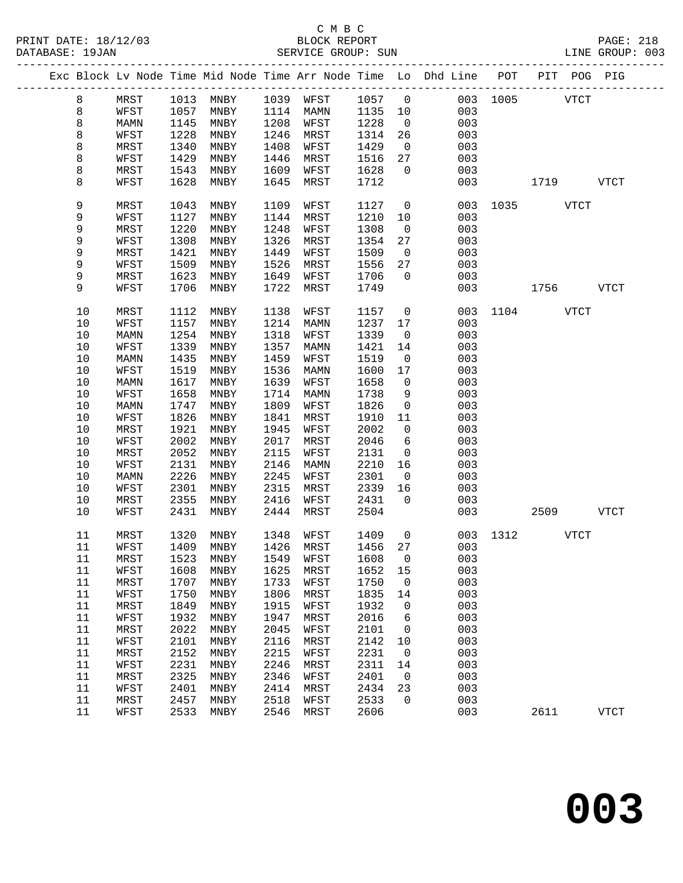|  |         |             |      |      |      |           |        |                          | Exc Block Lv Node Time Mid Node Time Arr Node Time Lo Dhd Line POT |          |             | PIT POG PIG |             |
|--|---------|-------------|------|------|------|-----------|--------|--------------------------|--------------------------------------------------------------------|----------|-------------|-------------|-------------|
|  | 8       | MRST        | 1013 | MNBY | 1039 | WFST      | 1057   | $\overline{0}$           |                                                                    | 003 1005 |             | <b>VTCT</b> |             |
|  | $\,8\,$ | WFST        | 1057 | MNBY | 1114 | MAMN      | 1135   | 10                       | 003                                                                |          |             |             |             |
|  | $\,8\,$ | <b>MAMN</b> | 1145 | MNBY | 1208 | WFST      | 1228   | $\overline{0}$           | 003                                                                |          |             |             |             |
|  | 8       | WFST        | 1228 | MNBY | 1246 | MRST      | 1314   | 26                       | 003                                                                |          |             |             |             |
|  | 8       | MRST        | 1340 | MNBY | 1408 | WFST      | 1429   | $\overline{0}$           | 003                                                                |          |             |             |             |
|  | 8       | WFST        | 1429 | MNBY | 1446 | MRST      | 1516   | 27                       | 003                                                                |          |             |             |             |
|  |         |             |      |      |      |           |        |                          |                                                                    |          |             |             |             |
|  | 8       | MRST        | 1543 | MNBY | 1609 | WFST      | 1628   | $\mathbf 0$              | 003                                                                |          |             |             |             |
|  | 8       | WFST        | 1628 | MNBY | 1645 | MRST      | 1712   |                          | 003                                                                |          | 1719        |             | <b>VTCT</b> |
|  | 9       | MRST        | 1043 | MNBY | 1109 | WFST      | 1127   | $\mathbf 0$              | 003                                                                | 1035     |             | <b>VTCT</b> |             |
|  | 9       | WFST        | 1127 | MNBY | 1144 | MRST      | 1210   | 10                       | 003                                                                |          |             |             |             |
|  | 9       | MRST        | 1220 | MNBY | 1248 | WFST      | 1308   | $\overline{0}$           | 003                                                                |          |             |             |             |
|  | 9       | WFST        | 1308 | MNBY | 1326 | MRST      | 1354   | 27                       | 003                                                                |          |             |             |             |
|  | 9       | MRST        | 1421 | MNBY | 1449 | WFST      | 1509   | $\overline{\phantom{0}}$ | 003                                                                |          |             |             |             |
|  | 9       | WFST        | 1509 | MNBY | 1526 | MRST      | 1556   | 27                       | 003                                                                |          |             |             |             |
|  | 9       | MRST        | 1623 | MNBY | 1649 | WFST      | 1706   | $\mathbf 0$              | 003                                                                |          |             |             |             |
|  | 9       | WFST        | 1706 | MNBY | 1722 | MRST      | 1749   |                          | 003                                                                |          | 1756        |             | <b>VTCT</b> |
|  |         |             |      |      |      |           |        |                          |                                                                    |          |             |             |             |
|  | $10$    | MRST        | 1112 | MNBY | 1138 | WFST      | 1157   | $\mathsf{O}$             | 003                                                                | 1104     | <b>VTCT</b> |             |             |
|  | $10$    | WFST        | 1157 | MNBY | 1214 | MAMN      | 1237   | 17                       | 003                                                                |          |             |             |             |
|  | $10$    | MAMN        | 1254 | MNBY | 1318 | WFST      | 1339   | $\mathbf 0$              | 003                                                                |          |             |             |             |
|  | $10$    | WFST        | 1339 | MNBY | 1357 | MAMN      | 1421   | 14                       | 003                                                                |          |             |             |             |
|  | 10      | MAMN        | 1435 | MNBY | 1459 | WFST      | 1519   | 0                        | 003                                                                |          |             |             |             |
|  | 10      | WFST        | 1519 | MNBY | 1536 | MAMN      | 1600   | 17                       | 003                                                                |          |             |             |             |
|  | $10$    | MAMN        | 1617 | MNBY | 1639 | WFST      | 1658   | $\mathbf 0$              | 003                                                                |          |             |             |             |
|  | $10$    | WFST        | 1658 | MNBY | 1714 | MAMN      | 1738   | 9                        | 003                                                                |          |             |             |             |
|  |         |             | 1747 |      | 1809 |           | 1826   | $\mathsf{O}$             | 003                                                                |          |             |             |             |
|  | 10      | MAMN        |      | MNBY |      | WFST      |        |                          |                                                                    |          |             |             |             |
|  | 10      | WFST        | 1826 | MNBY | 1841 | MRST      | 1910   | 11                       | 003                                                                |          |             |             |             |
|  | 10      | MRST        | 1921 | MNBY | 1945 | WFST      | 2002   | $\mathsf{O}$             | 003                                                                |          |             |             |             |
|  | $10$    | WFST        | 2002 | MNBY | 2017 | MRST      | 2046   | 6                        | 003                                                                |          |             |             |             |
|  | 10      | MRST        | 2052 | MNBY | 2115 | WFST      | 2131   | $\mathsf{O}$             | 003                                                                |          |             |             |             |
|  | 10      | WFST        | 2131 | MNBY | 2146 | MAMN      | 2210   | 16                       | 003                                                                |          |             |             |             |
|  | 10      | MAMN        | 2226 | MNBY | 2245 | WFST      | 2301   | $\mathsf{O}$             | 003                                                                |          |             |             |             |
|  | $10$    | WFST        | 2301 | MNBY | 2315 | MRST      | 2339   | 16                       | 003                                                                |          |             |             |             |
|  | 10      | MRST        | 2355 | MNBY | 2416 | WFST      | 2431   | $\Omega$                 | 003                                                                |          |             |             |             |
|  | 10      | WFST        | 2431 | MNBY | 2444 | MRST      | 2504   |                          | 003                                                                |          | 2509        |             | <b>VTCT</b> |
|  | 11      | MRST        | 1320 | MNBY | 1348 | WFST      | 1409   | $\mathsf{O}$             | 003                                                                | 1312     |             | VTCT        |             |
|  | 11      | WFST        | 1409 | MNBY | 1426 | MRST      | 1456   | 27                       | 003                                                                |          |             |             |             |
|  | $11\,$  | MRST        | 1523 | MNBY |      | 1549 WFST | 1608 0 |                          | 003                                                                |          |             |             |             |
|  | 11      | WFST        | 1608 | MNBY | 1625 | MRST      | 1652   | 15                       | 003                                                                |          |             |             |             |
|  | 11      | MRST        | 1707 | MNBY | 1733 | WFST      | 1750   | 0                        | 003                                                                |          |             |             |             |
|  | 11      | WFST        | 1750 | MNBY | 1806 | MRST      | 1835   | 14                       | 003                                                                |          |             |             |             |
|  | 11      | MRST        | 1849 | MNBY | 1915 | WFST      | 1932   | 0                        | 003                                                                |          |             |             |             |
|  | 11      | WFST        | 1932 | MNBY | 1947 | MRST      | 2016   | 6                        | 003                                                                |          |             |             |             |
|  | 11      | MRST        | 2022 | MNBY | 2045 | WFST      | 2101   | 0                        | 003                                                                |          |             |             |             |
|  | 11      |             | 2101 |      | 2116 | MRST      | 2142   | 10                       | 003                                                                |          |             |             |             |
|  |         | WFST        |      | MNBY |      |           |        |                          |                                                                    |          |             |             |             |
|  | 11      | MRST        | 2152 | MNBY | 2215 | WFST      | 2231   | 0                        | 003                                                                |          |             |             |             |
|  | 11      | WFST        | 2231 | MNBY | 2246 | MRST      | 2311   | 14                       | 003                                                                |          |             |             |             |
|  | $11$    | MRST        | 2325 | MNBY | 2346 | WFST      | 2401   | 0                        | 003                                                                |          |             |             |             |
|  | 11      | WFST        | 2401 | MNBY | 2414 | MRST      | 2434   | 23                       | 003                                                                |          |             |             |             |
|  | $11$    | MRST        | 2457 | MNBY | 2518 | WFST      | 2533   | 0                        | 003                                                                |          |             |             |             |
|  | $11\,$  | WFST        | 2533 | MNBY | 2546 | MRST      | 2606   |                          | 003                                                                |          | 2611        |             | <b>VTCT</b> |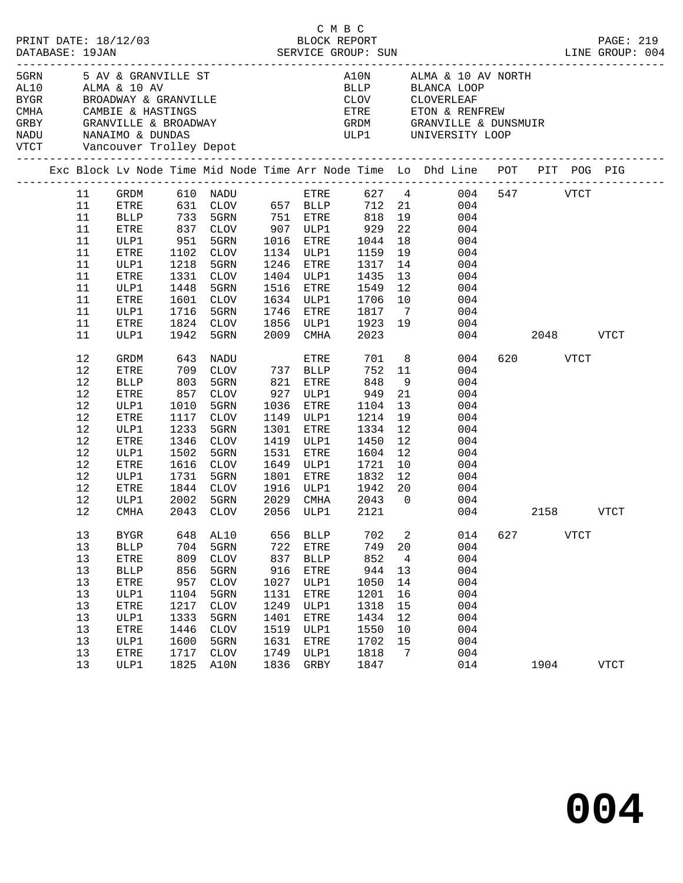| PRINT DATE: 18/12/03<br>DATABASE: 19JAN |          |                     |           | ${\small 2/03} \begin{tabular}{lllllllllll} \multicolumn{2}{c}{\textbf{2/03}} & \multicolumn{2}{c}{\textbf{BLOCK REPORT}}\\ & \multicolumn{2}{c}{\textbf{SERVICE GROUP: SUN}} \end{tabular}$ |      |              | C M B C                                                     |    |                                                                                                                                                           |     |          |             | PAGE: 219<br>LINE GROUP: 004 |
|-----------------------------------------|----------|---------------------|-----------|----------------------------------------------------------------------------------------------------------------------------------------------------------------------------------------------|------|--------------|-------------------------------------------------------------|----|-----------------------------------------------------------------------------------------------------------------------------------------------------------|-----|----------|-------------|------------------------------|
| CMHA CAMBIE & HASTINGS                  |          |                     |           | 5GRN 5 AV & GRANVILLE ST<br>AL10 ALMA & 10 AV<br>BYGR         BROADWAY & GRANVILLE<br>GRBY     GRANVILLE & BROADWAY<br>NADU      NANAIMO & DUNDAS<br>VTCT      Vancouver Trolley Depot       |      |              |                                                             |    | A10N ALMA & 10 AV NORTH<br>BLLP        BLANCA LOOP<br>CLOV         CLOVERLEAF<br>ETRE ETON & RENFREW<br>GRDM GRANVILLE & DUNSMUIR<br>ULP1 UNIVERSITY LOOP |     |          |             |                              |
|                                         |          |                     |           |                                                                                                                                                                                              |      |              |                                                             |    | Exc Block Lv Node Time Mid Node Time Arr Node Time Lo Dhd Line POT PIT POG PIG                                                                            |     |          |             |                              |
|                                         | 11       |                     |           |                                                                                                                                                                                              |      |              |                                                             |    |                                                                                                                                                           |     |          |             |                              |
|                                         | 11       |                     |           |                                                                                                                                                                                              |      |              |                                                             |    | GRDM 610 NADU ETRE 627 4 004 547 VTCT<br>ETRE 631 CLOV 657 BLLP 712 21 004                                                                                |     |          |             |                              |
|                                         | 11       |                     |           |                                                                                                                                                                                              |      |              |                                                             |    |                                                                                                                                                           |     |          |             |                              |
|                                         | 11       | <b>BLLP</b><br>ETRE |           |                                                                                                                                                                                              |      |              |                                                             |    | 733 5GRN 751 ETRE 818 19 004<br>837 CLOV 907 ULP1 929 22 004<br>951 5GRN 1016 ETRE 1044 18 004                                                            |     |          |             |                              |
|                                         | 11       | ULP1                |           |                                                                                                                                                                                              |      |              |                                                             |    |                                                                                                                                                           |     |          |             |                              |
|                                         | 11       | ETRE                |           | 1102 CLOV                                                                                                                                                                                    |      |              | 1134 ULP1 1159                                              |    | 19 004                                                                                                                                                    |     |          |             |                              |
|                                         |          |                     |           |                                                                                                                                                                                              |      | 1246 ETRE    |                                                             |    |                                                                                                                                                           |     |          |             |                              |
|                                         | 11       | ULP1                | 1218      | 5GRN                                                                                                                                                                                         |      |              | 1317                                                        | 14 | 004                                                                                                                                                       |     |          |             |                              |
|                                         | 11       | ETRE                | 1331      | CLOV                                                                                                                                                                                         |      |              | 1404 ULP1 1435 13<br>1516 ETRE 1549 12<br>1634 ULP1 1706 10 |    | 004                                                                                                                                                       |     |          |             |                              |
|                                         | 11<br>11 | ULP1                | 1448      | 5GRN<br>1601 CLOV                                                                                                                                                                            |      |              |                                                             |    | 004                                                                                                                                                       |     |          |             |                              |
|                                         |          | ETRE                |           |                                                                                                                                                                                              |      |              |                                                             |    | 004                                                                                                                                                       |     |          |             |                              |
|                                         | 11       | ULP1                | 1716      | 5GRN<br>1824 CLOV                                                                                                                                                                            |      | 1746 ETRE    | 1817 7                                                      |    | 004                                                                                                                                                       |     |          |             |                              |
|                                         | 11       | ETRE                |           |                                                                                                                                                                                              |      |              |                                                             |    | 1856 ULP1 1923 19 004<br>2009 CMHA 2023 004                                                                                                               |     |          |             |                              |
|                                         | 11       | ULP1                |           | 1942 5GRN                                                                                                                                                                                    |      |              |                                                             |    | 004 00                                                                                                                                                    |     |          | 2048 VTCT   |                              |
|                                         | 12       | GRDM                | 643       | NADU                                                                                                                                                                                         |      | ETRE         | 701 8                                                       |    | 004                                                                                                                                                       |     | 620 VTCT |             |                              |
|                                         | 12       | ETRE                |           | 709 CLOV 737 BLLP<br>803 5GRN 821 ETRE<br>857 CLOV 927 ULP1                                                                                                                                  |      |              |                                                             |    | 752 11<br>004                                                                                                                                             |     |          |             |                              |
|                                         | 12       | <b>BLLP</b>         |           |                                                                                                                                                                                              |      |              | 821 ETRE 848<br>927 ULP1 949                                | 9  | 004                                                                                                                                                       |     |          |             |                              |
|                                         | 12       | ETRE                |           |                                                                                                                                                                                              |      |              |                                                             | 21 | 004                                                                                                                                                       |     |          |             |                              |
|                                         | 12       | ULP1                | 1010      | 5GRN                                                                                                                                                                                         |      |              | 1036 ETRE 1104                                              | 13 | 004                                                                                                                                                       |     |          |             |                              |
|                                         | 12       | ETRE                | 1117      | CLOV                                                                                                                                                                                         |      | 1149 ULP1    | 1214                                                        | 19 | 004                                                                                                                                                       |     |          |             |                              |
|                                         | 12       | ULP1                | 1233      | 5GRN                                                                                                                                                                                         |      | 1301 ETRE    | 1334                                                        | 12 | 004                                                                                                                                                       |     |          |             |                              |
|                                         | 12       | ETRE                |           | 1346 CLOV                                                                                                                                                                                    |      | 1419 ULP1    | 1450                                                        | 12 | 004                                                                                                                                                       |     |          |             |                              |
|                                         | 12       | ULP1                | 1502      | 5GRN                                                                                                                                                                                         | 1531 | ETRE         | 1604                                                        | 12 | 004                                                                                                                                                       |     |          |             |                              |
|                                         | 12       | ETRE                | 1616      | CLOV                                                                                                                                                                                         |      | 1649 ULP1    | 1721                                                        | 10 | 004                                                                                                                                                       |     |          |             |                              |
|                                         | 12       | ULP1                | 1731      | 5GRN                                                                                                                                                                                         |      |              | 1801 ETRE 1832 12<br>1916 ULP1 1942 20                      |    | $\frac{12}{20}$<br>004                                                                                                                                    |     |          |             |                              |
|                                         | 12       | ETRE                |           | 1844 CLOV                                                                                                                                                                                    |      |              |                                                             |    | 004                                                                                                                                                       |     |          |             |                              |
|                                         | 12       | ULP1                | 2002 5GRN |                                                                                                                                                                                              |      |              | 2029 CMHA 2043 0                                            |    | 004                                                                                                                                                       |     |          |             |                              |
|                                         | 12       | CMHA                |           | 2043 CLOV                                                                                                                                                                                    |      |              | 2056 ULP1 2121                                              |    | 004 00                                                                                                                                                    |     |          | 2158 VTCT   |                              |
|                                         | 13       | <b>BYGR</b>         | 648       | AL10                                                                                                                                                                                         | 656  | <b>BLLP</b>  | 702                                                         | 2  | 014                                                                                                                                                       | 627 |          | <b>VTCT</b> |                              |
|                                         | $13$     | <b>BLLP</b>         | 704       | 5GRN                                                                                                                                                                                         | 722  | ETRE         | 749                                                         | 20 | 004                                                                                                                                                       |     |          |             |                              |
|                                         | 13       | ETRE                | 809       | <b>CLOV</b>                                                                                                                                                                                  | 837  | <b>BLLP</b>  | 852                                                         | 4  | 004                                                                                                                                                       |     |          |             |                              |
|                                         | 13       | <b>BLLP</b>         | 856       | 5GRN                                                                                                                                                                                         | 916  | <b>ETRE</b>  | 944                                                         | 13 | 004                                                                                                                                                       |     |          |             |                              |
|                                         | 13       | ETRE                | 957       | <b>CLOV</b>                                                                                                                                                                                  | 1027 | ULP1         | 1050                                                        | 14 | 004                                                                                                                                                       |     |          |             |                              |
|                                         | 13       | ULP1                | 1104      | 5GRN                                                                                                                                                                                         | 1131 | ETRE         | 1201                                                        | 16 | 004                                                                                                                                                       |     |          |             |                              |
|                                         | 13       | ETRE                | 1217      | <b>CLOV</b>                                                                                                                                                                                  | 1249 | ULP1         | 1318                                                        | 15 | 004                                                                                                                                                       |     |          |             |                              |
|                                         | 13       | ULP1                | 1333      | 5GRN                                                                                                                                                                                         | 1401 | ${\tt ETRE}$ | 1434                                                        | 12 | 004                                                                                                                                                       |     |          |             |                              |
|                                         | 13       | ETRE                | 1446      | <b>CLOV</b>                                                                                                                                                                                  | 1519 | ULP1         | 1550                                                        | 10 | 004                                                                                                                                                       |     |          |             |                              |
|                                         | 13       | ULP1                | 1600      | 5GRN                                                                                                                                                                                         | 1631 | ETRE         | 1702                                                        | 15 | 004                                                                                                                                                       |     |          |             |                              |
|                                         | 13       | ETRE                | 1717      | <b>CLOV</b>                                                                                                                                                                                  | 1749 | ULP1         | 1818                                                        | 7  | 004                                                                                                                                                       |     |          |             |                              |
|                                         | 13       | ULP1                | 1825      | A10N                                                                                                                                                                                         | 1836 | GRBY         | 1847                                                        |    | 014                                                                                                                                                       |     | 1904     |             | <b>VTCT</b>                  |
|                                         |          |                     |           |                                                                                                                                                                                              |      |              |                                                             |    |                                                                                                                                                           |     |          |             |                              |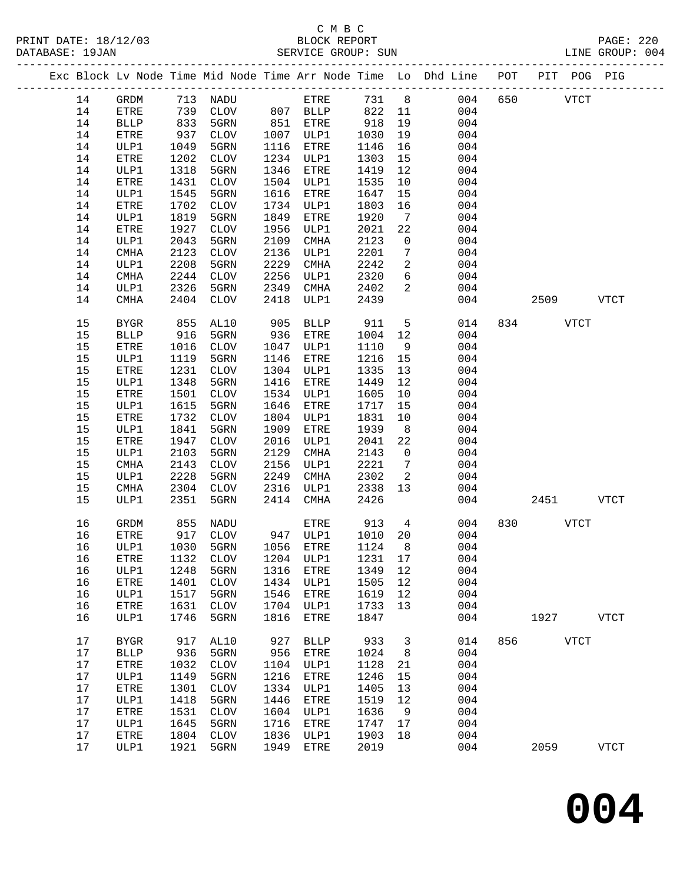PRINT DATE: 18/12/03 BLOCK REPORT BATABASE: 19JAN BLOCK REPORT

# C M B C<br>BLOCK REPORT

PAGE: 220<br>LINE GROUP: 004

|  |      |                       |      | ------------------- |      |                  |      |                |                                                                    |     |      |             |             |
|--|------|-----------------------|------|---------------------|------|------------------|------|----------------|--------------------------------------------------------------------|-----|------|-------------|-------------|
|  |      |                       |      |                     |      |                  |      |                | Exc Block Lv Node Time Mid Node Time Arr Node Time Lo Dhd Line POT |     |      | PIT POG PIG |             |
|  | 14   | $\operatorname{GRDM}$ |      | 713 NADU            |      | ETRE             | 731  | 8 <sup>8</sup> | 004                                                                | 650 |      | <b>VTCT</b> |             |
|  | 14   | ETRE                  | 739  | CLOV                |      | 807 BLLP         | 822  | 11             | 004                                                                |     |      |             |             |
|  | 14   | <b>BLLP</b>           | 833  | 5GRN                | 851  | ETRE             | 918  | 19             | 004                                                                |     |      |             |             |
|  | 14   | ETRE                  | 937  | CLOV                |      | 1007 ULP1        | 1030 | 19             | 004                                                                |     |      |             |             |
|  | 14   | ULP1                  | 1049 | 5GRN                | 1116 | ETRE             | 1146 | 16             | 004                                                                |     |      |             |             |
|  | 14   | ETRE                  | 1202 | CLOV                | 1234 | ULP1             | 1303 | 15             | 004                                                                |     |      |             |             |
|  | 14   | ULP1                  | 1318 | 5GRN                | 1346 | ETRE             | 1419 | 12             | 004                                                                |     |      |             |             |
|  | 14   | ETRE                  | 1431 | $\mathtt{CLOV}$     | 1504 | ULP1             | 1535 | 10             | 004                                                                |     |      |             |             |
|  | 14   | ULP1                  | 1545 | 5GRN                | 1616 | ETRE             | 1647 | 15             | 004                                                                |     |      |             |             |
|  | 14   | ETRE                  | 1702 | $\mathtt{CLOV}$     | 1734 | ULP1             | 1803 | 16             | 004                                                                |     |      |             |             |
|  | 14   | ULP1                  | 1819 | 5GRN                | 1849 | ETRE             | 1920 | 7              | 004                                                                |     |      |             |             |
|  | 14   | ETRE                  | 1927 | <b>CLOV</b>         | 1956 | ULP1             | 2021 | 22             | 004                                                                |     |      |             |             |
|  | 14   | ULP1                  | 2043 | 5GRN                | 2109 | CMHA             | 2123 | $\mathbf 0$    | 004                                                                |     |      |             |             |
|  | 14   | CMHA                  | 2123 | CLOV                | 2136 | ULP1             | 2201 | 7              | 004                                                                |     |      |             |             |
|  | 14   | ULP1                  | 2208 | 5GRN                | 2229 | CMHA             | 2242 | 2              | 004                                                                |     |      |             |             |
|  | 14   | CMHA                  | 2244 | CLOV                | 2256 | ULP1             | 2320 | 6              | 004                                                                |     |      |             |             |
|  | 14   | ULP1                  | 2326 | 5GRN                | 2349 | CMHA             | 2402 | 2              | 004                                                                |     |      |             |             |
|  | 14   | CMHA                  | 2404 | CLOV                | 2418 | ULP1             | 2439 |                | 004                                                                |     | 2509 |             | <b>VTCT</b> |
|  |      |                       |      |                     |      |                  |      |                |                                                                    |     |      |             |             |
|  | 15   | <b>BYGR</b>           | 855  | AL10                | 905  | <b>BLLP</b>      | 911  | 5              | 014                                                                | 834 |      | <b>VTCT</b> |             |
|  | 15   | <b>BLLP</b>           | 916  | 5GRN                | 936  | ETRE             | 1004 | 12             | 004                                                                |     |      |             |             |
|  | 15   | ETRE                  | 1016 | CLOV                | 1047 | ULP1             | 1110 | 9              | 004                                                                |     |      |             |             |
|  | 15   | ULP1                  | 1119 | 5GRN                | 1146 | ETRE             | 1216 | 15             | 004                                                                |     |      |             |             |
|  | 15   | ETRE                  | 1231 | <b>CLOV</b>         | 1304 | ULP1             | 1335 | 13             | 004                                                                |     |      |             |             |
|  | 15   | ULP1                  | 1348 | 5GRN                | 1416 | ETRE             | 1449 | 12             | 004                                                                |     |      |             |             |
|  | 15   | ETRE                  | 1501 | $\mathtt{CLOV}$     | 1534 | ULP1             | 1605 | 10             | 004                                                                |     |      |             |             |
|  | 15   | ULP1                  | 1615 | 5GRN                | 1646 | ETRE             | 1717 | 15             | 004                                                                |     |      |             |             |
|  | 15   | ETRE                  | 1732 | <b>CLOV</b>         | 1804 | ULP1             | 1831 | 10             | 004                                                                |     |      |             |             |
|  | 15   | ULP1                  | 1841 | 5GRN                | 1909 | ETRE             | 1939 | 8 <sup>8</sup> | 004                                                                |     |      |             |             |
|  | 15   | ETRE                  | 1947 | CLOV                | 2016 | ULP1             | 2041 | 22             | 004                                                                |     |      |             |             |
|  | 15   | ULP1                  | 2103 | 5GRN                | 2129 | CMHA             | 2143 | $\overline{0}$ | 004                                                                |     |      |             |             |
|  | 15   | CMHA                  | 2143 | <b>CLOV</b>         | 2156 | ULP1             | 2221 | 7              | 004                                                                |     |      |             |             |
|  | 15   | ULP1                  | 2228 | 5GRN                | 2249 | CMHA             | 2302 | 2              | 004                                                                |     |      |             |             |
|  | 15   | CMHA                  | 2304 | CLOV                | 2316 | ULP1             | 2338 | 13             | 004                                                                |     |      |             |             |
|  | 15   | ULP1                  | 2351 | 5GRN                | 2414 | CMHA             | 2426 |                | 004                                                                |     | 2451 |             | <b>VTCT</b> |
|  |      |                       |      |                     |      |                  |      |                |                                                                    |     |      |             |             |
|  | 16   | GRDM                  | 855  | NADU                |      | ETRE<br>947 ULP1 | 913  | $\overline{4}$ | 004                                                                | 830 |      | <b>VTCT</b> |             |
|  | 16   | ETRE                  | 917  | CLOV                |      |                  | 1010 | 20<br>8        | 004                                                                |     |      |             |             |
|  | 16   | ULP1                  | 1030 | 5GRN                | 1056 | ETRE             | 1124 |                | 004                                                                |     |      |             |             |
|  | 16   | ${\tt ETRE}$          | 1132 | <b>CLOV</b>         | 1204 | ULP1             | 1231 | 17             | 004                                                                |     |      |             |             |
|  | 16   | ULP1                  | 1248 | 5GRN                | 1316 | ETRE             | 1349 | 12             | 004                                                                |     |      |             |             |
|  | 16   | ETRE                  | 1401 | <b>CLOV</b>         | 1434 | ULP1             | 1505 | 12             | 004                                                                |     |      |             |             |
|  | 16   | ULP1                  | 1517 | 5GRN                | 1546 | ETRE             | 1619 | 12             | 004                                                                |     |      |             |             |
|  | 16   | ETRE                  | 1631 | ${\tt CLOV}$        | 1704 | ULP1             | 1733 | 13             | 004                                                                |     |      |             |             |
|  | 16   | ULP1                  | 1746 | 5GRN                | 1816 | ETRE             | 1847 |                | 004                                                                |     | 1927 |             | <b>VTCT</b> |
|  | $17$ | <b>BYGR</b>           | 917  | AL10                | 927  | <b>BLLP</b>      | 933  | 3              | 014                                                                | 856 |      | <b>VTCT</b> |             |
|  | 17   | <b>BLLP</b>           | 936  | 5GRN                | 956  | ETRE             | 1024 | 8              | 004                                                                |     |      |             |             |
|  | 17   | ETRE                  | 1032 | <b>CLOV</b>         | 1104 | ULP1             | 1128 | 21             | 004                                                                |     |      |             |             |
|  | 17   | ULP1                  | 1149 | 5GRN                | 1216 | <b>ETRE</b>      | 1246 | 15             | 004                                                                |     |      |             |             |
|  | $17$ | ${\tt ETRE}$          | 1301 | $\rm CLOV$          | 1334 | ULP1             | 1405 | 13             | 004                                                                |     |      |             |             |
|  | 17   | ULP1                  | 1418 | 5GRN                | 1446 | <b>ETRE</b>      | 1519 | 12             | 004                                                                |     |      |             |             |
|  | 17   | ETRE                  | 1531 | <b>CLOV</b>         | 1604 | ULP1             | 1636 | 9              | 004                                                                |     |      |             |             |
|  | 17   | ULP1                  | 1645 | 5GRN                | 1716 | ETRE             | 1747 | 17             | 004                                                                |     |      |             |             |
|  | $17$ | ETRE                  | 1804 | <b>CLOV</b>         | 1836 | ULP1             | 1903 | 18             | 004                                                                |     |      |             |             |

17 ULP1 1921 5GRN 1949 ETRE 2019 004 2059 VTCT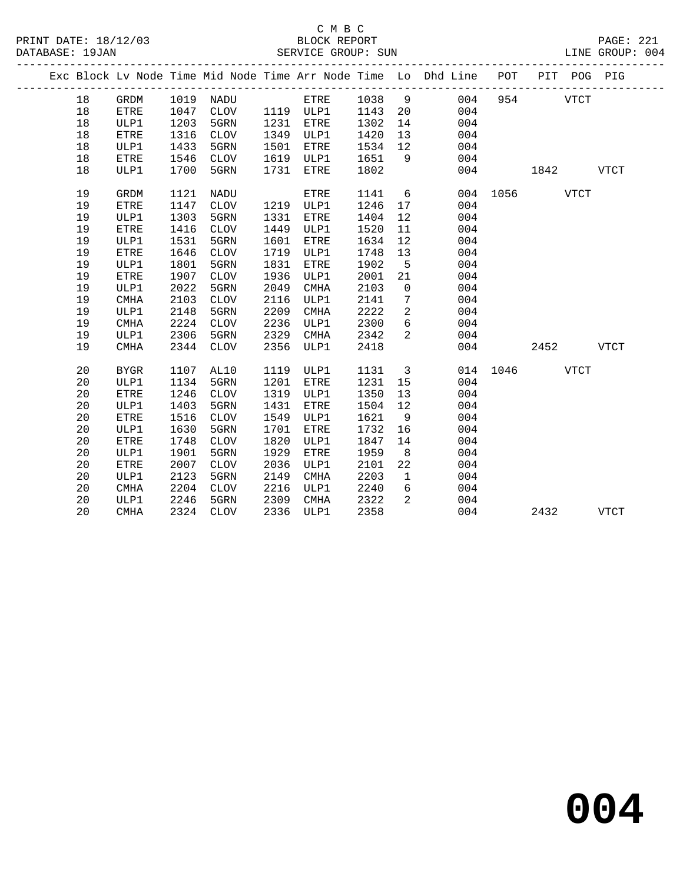|  |    |             |      |              |      |             | . _ _ _ _ _ _ _ _ _ _ _ _ _ _ |                 | Exc Block Lv Node Time Mid Node Time Arr Node Time Lo Dhd Line POT |      |      | PIT POG PIG |             |
|--|----|-------------|------|--------------|------|-------------|-------------------------------|-----------------|--------------------------------------------------------------------|------|------|-------------|-------------|
|  | 18 | GRDM        | 1019 | NADU         |      | ETRE        | 1038                          | 9               | 004                                                                | 954  |      | <b>VTCT</b> |             |
|  | 18 | <b>ETRE</b> | 1047 | <b>CLOV</b>  |      | 1119 ULP1   | 1143                          | 20              | 004                                                                |      |      |             |             |
|  | 18 | ULP1        | 1203 | 5GRN         | 1231 | <b>ETRE</b> | 1302                          | 14              | 004                                                                |      |      |             |             |
|  | 18 | <b>ETRE</b> | 1316 | <b>CLOV</b>  | 1349 | ULP1        | 1420                          | 13              | 004                                                                |      |      |             |             |
|  | 18 | ULP1        | 1433 | 5GRN         | 1501 | <b>ETRE</b> | 1534                          | 12 <sup>°</sup> | 004                                                                |      |      |             |             |
|  | 18 | ETRE        | 1546 | <b>CLOV</b>  | 1619 | ULP1        | 1651                          | 9               | 004                                                                |      |      |             |             |
|  | 18 | ULP1        | 1700 | 5GRN         | 1731 | ETRE        | 1802                          |                 | 004                                                                |      | 1842 |             | <b>VTCT</b> |
|  | 19 | GRDM        | 1121 | NADU         |      | ETRE        | 1141                          | 6               | 004                                                                | 1056 |      | <b>VTCT</b> |             |
|  | 19 | ETRE        | 1147 | <b>CLOV</b>  | 1219 | ULP1        | 1246                          | 17              | 004                                                                |      |      |             |             |
|  | 19 | ULP1        | 1303 | 5GRN         | 1331 | <b>ETRE</b> | 1404                          | 12              | 004                                                                |      |      |             |             |
|  | 19 | <b>ETRE</b> | 1416 | <b>CLOV</b>  | 1449 | ULP1        | 1520                          | 11              | 004                                                                |      |      |             |             |
|  | 19 | ULP1        | 1531 | 5GRN         | 1601 | ETRE        | 1634                          | 12              | 004                                                                |      |      |             |             |
|  | 19 | ETRE        | 1646 | ${\tt CLOV}$ | 1719 | ULP1        | 1748                          | 13              | 004                                                                |      |      |             |             |
|  | 19 | ULP1        | 1801 | 5GRN         | 1831 | <b>ETRE</b> | 1902                          | 5               | 004                                                                |      |      |             |             |
|  | 19 | ETRE        | 1907 | <b>CLOV</b>  | 1936 | ULP1        | 2001                          | 21              | 004                                                                |      |      |             |             |
|  | 19 | ULP1        | 2022 | 5GRN         | 2049 | <b>CMHA</b> | 2103                          | $\mathbf 0$     | 004                                                                |      |      |             |             |
|  | 19 | <b>CMHA</b> | 2103 | <b>CLOV</b>  | 2116 | ULP1        | 2141                          | 7               | 004                                                                |      |      |             |             |
|  | 19 | ULP1        | 2148 | 5GRN         | 2209 | <b>CMHA</b> | 2222                          | $\overline{a}$  | 004                                                                |      |      |             |             |
|  | 19 | <b>CMHA</b> | 2224 | <b>CLOV</b>  | 2236 | ULP1        | 2300                          | $6\overline{6}$ | 004                                                                |      |      |             |             |
|  | 19 | ULP1        | 2306 | 5GRN         | 2329 | <b>CMHA</b> | 2342                          | 2               | 004                                                                |      |      |             |             |
|  | 19 | <b>CMHA</b> | 2344 | <b>CLOV</b>  | 2356 | ULP1        | 2418                          |                 | 004                                                                |      | 2452 |             | VTCT        |
|  | 20 | <b>BYGR</b> | 1107 | AL10         | 1119 | ULP1        | 1131                          | $\overline{3}$  | 014                                                                | 1046 |      | <b>VTCT</b> |             |
|  | 20 | ULP1        | 1134 | 5GRN         | 1201 | <b>ETRE</b> | 1231                          | 15              | 004                                                                |      |      |             |             |
|  | 20 | ETRE        | 1246 | ${\tt CLOV}$ | 1319 | ULP1        | 1350                          | 13              | 004                                                                |      |      |             |             |
|  | 20 | ULP1        | 1403 | 5GRN         | 1431 | <b>ETRE</b> | 1504                          | 12              | 004                                                                |      |      |             |             |
|  | 20 | <b>ETRE</b> | 1516 | <b>CLOV</b>  | 1549 | ULP1        | 1621                          | 9               | 004                                                                |      |      |             |             |
|  | 20 | ULP1        | 1630 | 5GRN         | 1701 | <b>ETRE</b> | 1732                          | 16              | 004                                                                |      |      |             |             |
|  | 20 | ETRE        | 1748 | <b>CLOV</b>  | 1820 | ULP1        | 1847                          | 14              | 004                                                                |      |      |             |             |
|  | 20 | ULP1        | 1901 | 5GRN         | 1929 | <b>ETRE</b> | 1959                          | 8               | 004                                                                |      |      |             |             |
|  | 20 | ETRE        | 2007 | <b>CLOV</b>  | 2036 | ULP1        | 2101                          | 22              | 004                                                                |      |      |             |             |
|  | 20 | ULP1        | 2123 | 5GRN         | 2149 | <b>CMHA</b> | 2203                          | $\mathbf{1}$    | 004                                                                |      |      |             |             |
|  | 20 | <b>CMHA</b> | 2204 | <b>CLOV</b>  | 2216 | ULP1        | 2240                          | 6               | 004                                                                |      |      |             |             |
|  | 20 | ULP1        | 2246 | 5GRN         | 2309 | <b>CMHA</b> | 2322                          | 2               | 004                                                                |      |      |             |             |
|  | 20 | <b>CMHA</b> | 2324 | <b>CLOV</b>  | 2336 | ULP1        | 2358                          |                 | 004                                                                |      | 2432 |             | <b>VTCT</b> |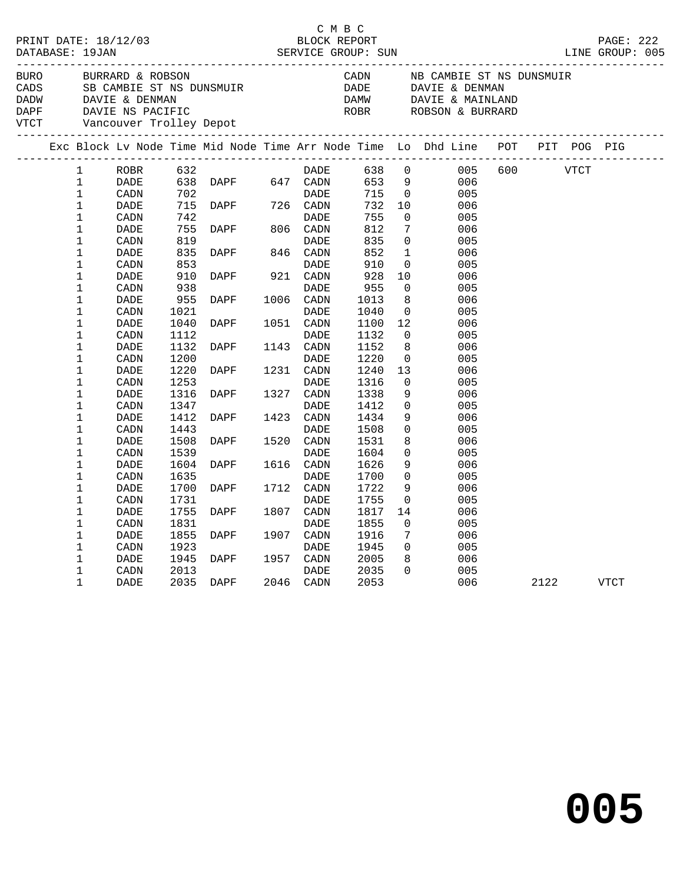|                                                                                                                                                |                                                           |                              |                              |                                                                                  | C M B C                                |                              |                                                     |                                                                                                         |     |             |      |  |
|------------------------------------------------------------------------------------------------------------------------------------------------|-----------------------------------------------------------|------------------------------|------------------------------|----------------------------------------------------------------------------------|----------------------------------------|------------------------------|-----------------------------------------------------|---------------------------------------------------------------------------------------------------------|-----|-------------|------|--|
| BURO<br>CADS SURARLY & RUBBUN<br>CADS SB CAMBIE ST NS DUNSMUIR<br>DADW DAVIE & DENMAN<br>DAPF DAVIE NS PACIFIC<br>VTCT Vancouver Trolley Depot |                                                           | BURRARD & ROBSON             |                              |                                                                                  |                                        |                              |                                                     | CADN NB CAMBIE ST NS DUNSMUIR<br>DADE DAVIE & DENMAN<br>DAMW DAVIE & MAINLAND<br>CROBR ROBSON & BURRARD |     |             |      |  |
|                                                                                                                                                |                                                           |                              |                              |                                                                                  |                                        |                              |                                                     | Exc Block Lv Node Time Mid Node Time Arr Node Time Lo Dhd Line POT PIT POG PIG                          |     |             |      |  |
|                                                                                                                                                | $\mathbf{1}$<br>$\mathbf{1}$<br>$\mathbf{1}$              | ROBR<br>DADE<br>CADN         |                              | 632 DAPF 647 DADE<br>638 DAPF 647 CADN<br>702 DAPF 726 CADN<br>710 DAPF 726 CADN | DADE                                   | 638<br>715                   | $\overline{0}$                                      | 638 0<br>653 9<br>005<br>006<br>005                                                                     | 600 | <b>VTCT</b> |      |  |
|                                                                                                                                                | $\mathbf 1$<br>$\mathbf{1}$<br>$\mathbf 1$<br>$\mathbf 1$ | DADE<br>CADN<br>DADE<br>CADN | 742<br>755<br>819            | DAPF                                                                             | DADE<br>806 CADN<br>DADE               | 732<br>755<br>812<br>835     | 10<br>$\Omega$<br>7<br>$\overline{0}$               | 006<br>005<br>006<br>005                                                                                |     |             |      |  |
|                                                                                                                                                | $\mathbf 1$<br>$\mathbf 1$<br>$\mathbf 1$<br>1            | DADE<br>CADN<br>DADE<br>CADN | 835<br>853<br>910<br>938     | DAPF 846 CADN<br>DAPF                                                            | DADE<br>921 CADN<br>DADE               | 852<br>910<br>928<br>955     | $\mathbf{1}$<br>$\overline{0}$<br>10<br>$\mathbf 0$ | 006<br>005<br>006<br>005                                                                                |     |             |      |  |
|                                                                                                                                                | $\mathbf 1$<br>$\mathbf 1$<br>1                           | DADE<br>CADN<br>DADE         | 955<br>1021<br>1040          | DAPF<br>DAPF                                                                     | 1006 CADN<br>DADE<br>1051 CADN         | 1013<br>1040<br>1100         | 8<br>$\overline{0}$<br>12                           | 006<br>005<br>006                                                                                       |     |             |      |  |
|                                                                                                                                                | 1<br>$\mathbf 1$<br>1<br>$\mathbf 1$                      | CADN<br>DADE<br>CADN<br>DADE | 1112<br>1132<br>1200<br>1220 | DAPF<br>DAPF                                                                     | DADE<br>1143 CADN<br>DADE<br>1231 CADN | 1132<br>1152<br>1220<br>1240 | $\overline{0}$<br>8<br>$\overline{0}$<br>13         | 005<br>006<br>005<br>006                                                                                |     |             |      |  |
|                                                                                                                                                | $\mathbf 1$<br>$\mathbf 1$<br>$\mathbf{1}$                | CADN<br>DADE<br>CADN         | 1253<br>1316<br>1347         | DAPF                                                                             | DADE<br>1327 CADN<br>DADE              | 1316<br>1338<br>1412         | $\Omega$<br>9<br>$\Omega$                           | 005<br>006<br>005                                                                                       |     |             |      |  |
|                                                                                                                                                | 1<br>$\mathbf 1$<br>$\mathbf 1$<br>1                      | DADE<br>CADN<br>DADE<br>CADN | 1412<br>1443<br>1508<br>1539 | DAPF<br>DAPF                                                                     | 1423 CADN<br>DADE<br>1520 CADN<br>DADE | 1434<br>1508<br>1531<br>1604 | 9<br>$\mathbf 0$<br>8<br>$\overline{0}$             | 006<br>005<br>006<br>005                                                                                |     |             |      |  |
|                                                                                                                                                | $\mathbf 1$<br>$\mathbf 1$<br>$\mathbf 1$<br>$\mathbf 1$  | DADE<br>CADN<br>DADE<br>CADN | 1604<br>1635<br>1700<br>1731 | DAPF<br>DAPF                                                                     | 1616 CADN<br>DADE<br>1712 CADN<br>DADE | 1626<br>1700<br>1722<br>1755 | 9<br>$\overline{0}$<br>9<br>$\overline{0}$          | 006<br>005<br>006<br>005                                                                                |     |             |      |  |
|                                                                                                                                                | $\mathbf 1$<br>$\mathbf 1$<br>$\mathbf 1$                 | DADE<br>CADN<br>DADE         | 1755<br>1831<br>1855         | DAPF<br>DAPF                                                                     | 1807 CADN<br>DADE<br>1907 CADN         | 1817<br>1855<br>1916         | 14<br>$\overline{0}$<br>$7\phantom{.}$              | 006<br>005<br>006                                                                                       |     |             |      |  |
|                                                                                                                                                | 1<br>$\mathbf 1$<br>1                                     | CADN<br>DADE<br>CADN         | 1923<br>1945<br>2013         | <b>DAPF</b>                                                                      | DADE<br>1957 CADN<br>DADE              | 1945<br>2005<br>2035         | $\overline{0}$<br>8<br>$\Omega$                     | 005<br>006<br>005                                                                                       |     |             |      |  |
|                                                                                                                                                | 1                                                         | DADE                         |                              | 2035 DAPF 2046 CADN                                                              |                                        | 2053                         |                                                     | 006                                                                                                     |     | 2122        | VTCT |  |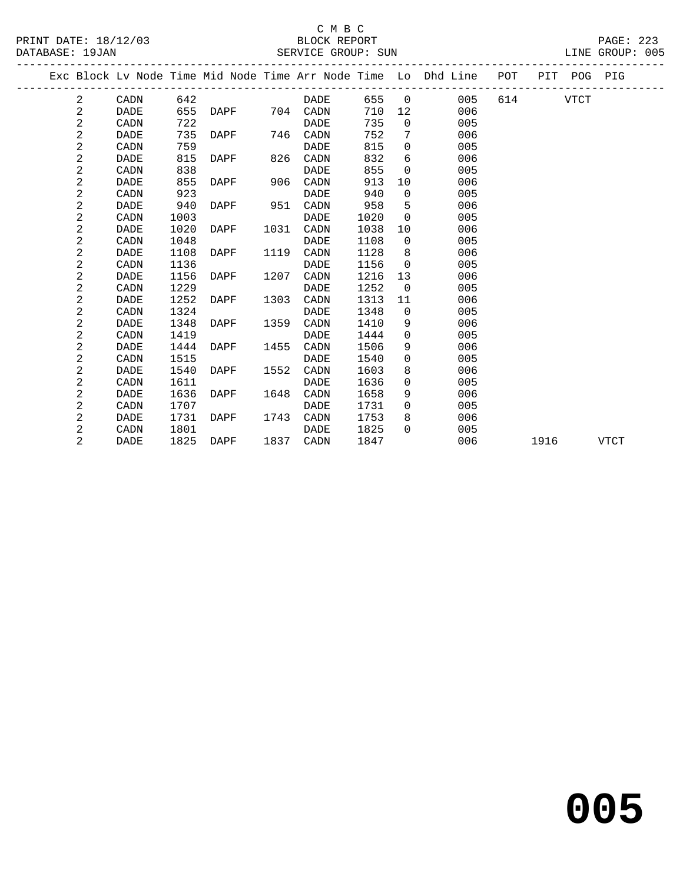|  |   |             |      |      |      |             |      |                | Exc Block Lv Node Time Mid Node Time Arr Node Time Lo Dhd Line | POT |      | PIT POG PIG |             |
|--|---|-------------|------|------|------|-------------|------|----------------|----------------------------------------------------------------|-----|------|-------------|-------------|
|  | 2 | CADN        | 642  |      |      | DADE        | 655  | $\overline{0}$ | 005                                                            | 614 |      | <b>VTCT</b> |             |
|  | 2 | <b>DADE</b> | 655  | DAPF | 704  | CADN        | 710  | 12             | 006                                                            |     |      |             |             |
|  | 2 | CADN        | 722  |      |      | DADE        | 735  | $\mathbf 0$    | 005                                                            |     |      |             |             |
|  | 2 | DADE        | 735  | DAPF | 746  | CADN        | 752  | 7              | 006                                                            |     |      |             |             |
|  | 2 | CADN        | 759  |      |      | <b>DADE</b> | 815  | 0              | 005                                                            |     |      |             |             |
|  | 2 | DADE        | 815  | DAPF | 826  | CADN        | 832  | 6              | 006                                                            |     |      |             |             |
|  | 2 | CADN        | 838  |      |      | DADE        | 855  | 0              | 005                                                            |     |      |             |             |
|  | 2 | DADE        | 855  | DAPF | 906  | CADN        | 913  | 10             | 006                                                            |     |      |             |             |
|  | 2 | CADN        | 923  |      |      | <b>DADE</b> | 940  | $\mathbf 0$    | 005                                                            |     |      |             |             |
|  | 2 | DADE        | 940  | DAPF | 951  | CADN        | 958  | 5              | 006                                                            |     |      |             |             |
|  | 2 | CADN        | 1003 |      |      | <b>DADE</b> | 1020 | $\Omega$       | 005                                                            |     |      |             |             |
|  | 2 | <b>DADE</b> | 1020 | DAPF | 1031 | CADN        | 1038 | 10             | 006                                                            |     |      |             |             |
|  | 2 | CADN        | 1048 |      |      | DADE        | 1108 | $\mathbf 0$    | 005                                                            |     |      |             |             |
|  | 2 | <b>DADE</b> | 1108 | DAPF | 1119 | CADN        | 1128 | 8              | 006                                                            |     |      |             |             |
|  | 2 | CADN        | 1136 |      |      | DADE        | 1156 | $\mathbf 0$    | 005                                                            |     |      |             |             |
|  | 2 | DADE        | 1156 | DAPF | 1207 | CADN        | 1216 | 13             | 006                                                            |     |      |             |             |
|  | 2 | CADN        | 1229 |      |      | DADE        | 1252 | $\mathbf 0$    | 005                                                            |     |      |             |             |
|  | 2 | DADE        | 1252 | DAPF | 1303 | CADN        | 1313 | 11             | 006                                                            |     |      |             |             |
|  | 2 | CADN        | 1324 |      |      | DADE        | 1348 | $\Omega$       | 005                                                            |     |      |             |             |
|  | 2 | DADE        | 1348 | DAPF | 1359 | CADN        | 1410 | 9              | 006                                                            |     |      |             |             |
|  | 2 | CADN        | 1419 |      |      | <b>DADE</b> | 1444 | 0              | 005                                                            |     |      |             |             |
|  | 2 | DADE        | 1444 | DAPF | 1455 | CADN        | 1506 | 9              | 006                                                            |     |      |             |             |
|  | 2 | CADN        | 1515 |      |      | DADE        | 1540 | $\Omega$       | 005                                                            |     |      |             |             |
|  | 2 | DADE        | 1540 | DAPF | 1552 | CADN        | 1603 | 8              | 006                                                            |     |      |             |             |
|  | 2 | CADN        | 1611 |      |      | DADE        | 1636 | 0              | 005                                                            |     |      |             |             |
|  | 2 | <b>DADE</b> | 1636 | DAPF | 1648 | CADN        | 1658 | 9              | 006                                                            |     |      |             |             |
|  | 2 | CADN        | 1707 |      |      | DADE        | 1731 | $\mathbf 0$    | 005                                                            |     |      |             |             |
|  | 2 | DADE        | 1731 | DAPF | 1743 | CADN        | 1753 | 8              | 006                                                            |     |      |             |             |
|  | 2 | CADN        | 1801 |      |      | DADE        | 1825 | 0              | 005                                                            |     |      |             |             |
|  | 2 | DADE        | 1825 | DAPF | 1837 | CADN        | 1847 |                | 006                                                            |     | 1916 |             | <b>VTCT</b> |
|  |   |             |      |      |      |             |      |                |                                                                |     |      |             |             |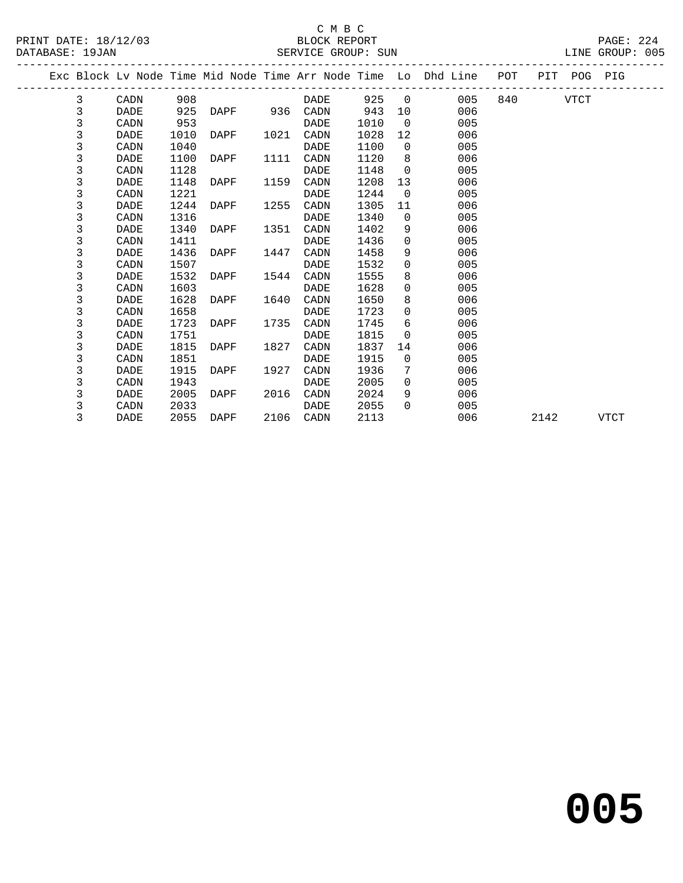#### C M B C<br>BLOCK REPORT PRINT DATE: 18/12/03 BLOCK REPORT PAGE: 224 SERVICE GROUP: SUN

|  |   |             |      |               |      |           |      |                 | Exc Block Lv Node Time Mid Node Time Arr Node Time Lo Dhd Line POT |          |      | PIT POG PIG |             |
|--|---|-------------|------|---------------|------|-----------|------|-----------------|--------------------------------------------------------------------|----------|------|-------------|-------------|
|  | 3 | CADN        | 908  |               |      | DADE      | 925  | $\Omega$        | 005                                                                | 840 — 10 |      | VTCT        |             |
|  | 3 | DADE        | 925  | DAPF 936 CADN |      |           | 943  | 10              | 006                                                                |          |      |             |             |
|  | 3 | CADN        | 953  |               |      | DADE      | 1010 | $\overline{0}$  | 005                                                                |          |      |             |             |
|  | 3 | DADE        | 1010 | DAPF          | 1021 | CADN      | 1028 | 12              | 006                                                                |          |      |             |             |
|  | 3 | CADN        | 1040 |               |      | DADE      | 1100 | $\overline{0}$  | 005                                                                |          |      |             |             |
|  | 3 | <b>DADE</b> | 1100 | DAPF          | 1111 | CADN      | 1120 | 8               | 006                                                                |          |      |             |             |
|  | 3 | CADN        | 1128 |               |      | DADE      | 1148 | $\overline{0}$  | 005                                                                |          |      |             |             |
|  | 3 | DADE        | 1148 | DAPF          | 1159 | CADN      | 1208 | 13 <sup>°</sup> | 006                                                                |          |      |             |             |
|  | 3 | CADN        | 1221 |               |      | DADE      | 1244 | $\overline{0}$  | 005                                                                |          |      |             |             |
|  | 3 | DADE        | 1244 | DAPF          | 1255 | CADN      | 1305 | 11              | 006                                                                |          |      |             |             |
|  | 3 | CADN        | 1316 |               |      | DADE      | 1340 | $\Omega$        | 005                                                                |          |      |             |             |
|  | 3 | DADE        | 1340 | DAPF          | 1351 | CADN      | 1402 | 9               | 006                                                                |          |      |             |             |
|  | 3 | CADN        | 1411 |               |      | DADE      | 1436 | $\Omega$        | 005                                                                |          |      |             |             |
|  | 3 | DADE        | 1436 | DAPF          | 1447 | CADN      | 1458 | 9               | 006                                                                |          |      |             |             |
|  | 3 | CADN        | 1507 |               |      | DADE      | 1532 | $\Omega$        | 005                                                                |          |      |             |             |
|  | 3 | DADE        | 1532 | DAPF          | 1544 | CADN      | 1555 | 8               | 006                                                                |          |      |             |             |
|  | 3 | CADN        | 1603 |               |      | DADE      | 1628 | $\Omega$        | 005                                                                |          |      |             |             |
|  | 3 | DADE        | 1628 | DAPF          | 1640 | CADN      | 1650 | 8               | 006                                                                |          |      |             |             |
|  | 3 | CADN        | 1658 |               |      | DADE      | 1723 | $\overline{0}$  | 005                                                                |          |      |             |             |
|  | 3 | DADE        | 1723 | DAPF          | 1735 | CADN      | 1745 | 6               | 006                                                                |          |      |             |             |
|  | 3 | CADN        | 1751 |               |      | DADE      | 1815 | $\Omega$        | 005                                                                |          |      |             |             |
|  | 3 | DADE        | 1815 | DAPF          | 1827 | CADN      | 1837 | 14              | 006                                                                |          |      |             |             |
|  | 3 | CADN        | 1851 |               |      | DADE      | 1915 | $\Omega$        | 005                                                                |          |      |             |             |
|  | 3 | DADE        | 1915 | DAPF          | 1927 | CADN      | 1936 | 7               | 006                                                                |          |      |             |             |
|  | 3 | CADN        | 1943 |               |      | DADE      | 2005 | $\Omega$        | 005                                                                |          |      |             |             |
|  | 3 | DADE        | 2005 | DAPF          | 2016 | CADN      | 2024 | 9               | 006                                                                |          |      |             |             |
|  | 3 | CADN        | 2033 |               |      | DADE      | 2055 | $\Omega$        | 005                                                                |          |      |             |             |
|  | 3 | DADE        | 2055 | DAPF          |      | 2106 CADN | 2113 |                 | 006                                                                |          | 2142 |             | <b>VTCT</b> |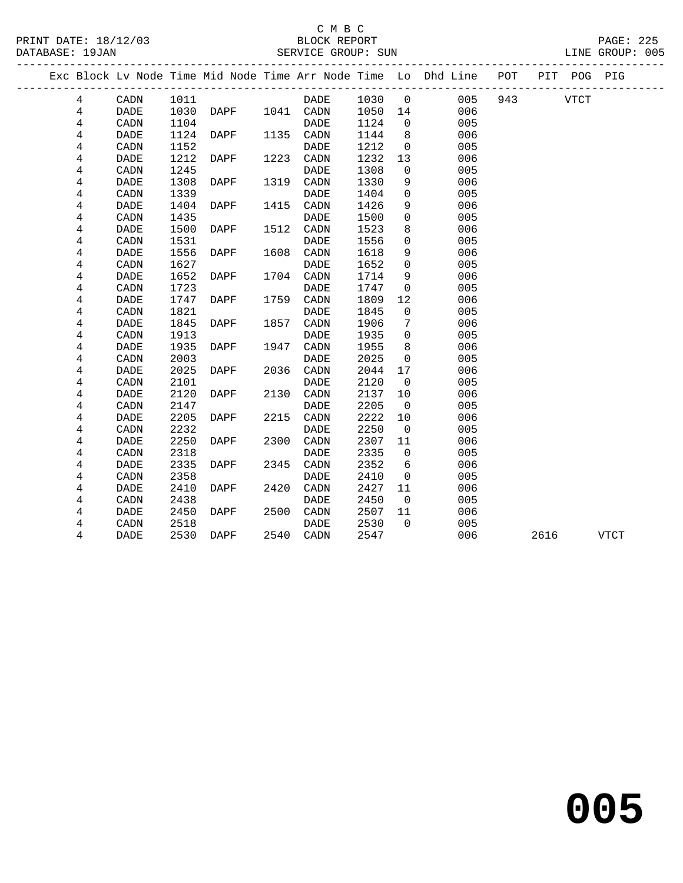# C M B C<br>BLOCK REPORT

| PRINT DATE: 18/12/03<br>$\sim$ $\sim$ | BLOCK REPORT | 225<br>PAGE: |
|---------------------------------------|--------------|--------------|
|---------------------------------------|--------------|--------------|

DATABASE: 19JAN SERVICE GROUP: SUN LINE GROUP: 005 ------------------------------------------------------------------------------------------------- Exc Block Lv Node Time Mid Node Time Arr Node Time Lo Dhd Line POT PIT POG PIG ------------------------------------------------------------------------------------------------- 4 CADN 1011 DADE 1030 0 005 943 VTCT 4 DADE 1030 DAPF 1041 CADN 1050 14 006 4 CADN 1104 DADE 1124 0 005 4 DADE 1124 DAPF 1135 CADN 1144 8 006

| 4                       | CADN        | 1152 |             |      | DADE        | 1212 | 0           | 005 |      |             |
|-------------------------|-------------|------|-------------|------|-------------|------|-------------|-----|------|-------------|
| 4                       | <b>DADE</b> | 1212 | DAPF        | 1223 | CADN        | 1232 | 13          | 006 |      |             |
| 4                       | CADN        | 1245 |             |      | <b>DADE</b> | 1308 | 0           | 005 |      |             |
| 4                       | <b>DADE</b> | 1308 | DAPF        | 1319 | CADN        | 1330 | 9           | 006 |      |             |
| 4                       | CADN        | 1339 |             |      | <b>DADE</b> | 1404 | 0           | 005 |      |             |
| 4                       | <b>DADE</b> | 1404 | <b>DAPF</b> | 1415 | CADN        | 1426 | 9           | 006 |      |             |
| 4                       | CADN        | 1435 |             |      | <b>DADE</b> | 1500 | $\mathbf 0$ | 005 |      |             |
| 4                       | <b>DADE</b> | 1500 | <b>DAPF</b> | 1512 | CADN        | 1523 | 8           | 006 |      |             |
| 4                       | CADN        | 1531 |             |      | <b>DADE</b> | 1556 | $\mathbf 0$ | 005 |      |             |
| 4                       | <b>DADE</b> | 1556 | <b>DAPF</b> | 1608 | CADN        | 1618 | 9           | 006 |      |             |
| 4                       | CADN        | 1627 |             |      | <b>DADE</b> | 1652 | 0           | 005 |      |             |
| 4                       | <b>DADE</b> | 1652 | <b>DAPF</b> | 1704 | CADN        | 1714 | 9           | 006 |      |             |
| 4                       | CADN        | 1723 |             |      | <b>DADE</b> | 1747 | $\mathbf 0$ | 005 |      |             |
| 4                       | <b>DADE</b> | 1747 | DAPF        | 1759 | CADN        | 1809 | 12          | 006 |      |             |
| 4                       | CADN        | 1821 |             |      | <b>DADE</b> | 1845 | $\mathbf 0$ | 005 |      |             |
| 4                       | <b>DADE</b> | 1845 | DAPF        | 1857 | CADN        | 1906 | 7           | 006 |      |             |
| 4                       | CADN        | 1913 |             |      | <b>DADE</b> | 1935 | 0           | 005 |      |             |
| 4                       | <b>DADE</b> | 1935 | <b>DAPF</b> | 1947 | CADN        | 1955 | 8           | 006 |      |             |
| 4                       | CADN        | 2003 |             |      | <b>DADE</b> | 2025 | 0           | 005 |      |             |
| 4                       | <b>DADE</b> | 2025 | DAPF        | 2036 | CADN        | 2044 | 17          | 006 |      |             |
| 4                       | CADN        | 2101 |             |      | DADE        | 2120 | 0           | 005 |      |             |
| 4                       | DADE        | 2120 | DAPF        | 2130 | CADN        | 2137 | 10          | 006 |      |             |
| 4                       | CADN        | 2147 |             |      | <b>DADE</b> | 2205 | $\mathbf 0$ | 005 |      |             |
| 4                       | <b>DADE</b> | 2205 | <b>DAPF</b> | 2215 | CADN        | 2222 | 10          | 006 |      |             |
| 4                       | CADN        | 2232 |             |      | <b>DADE</b> | 2250 | 0           | 005 |      |             |
| 4                       | <b>DADE</b> | 2250 | <b>DAPF</b> | 2300 | CADN        | 2307 | 11          | 006 |      |             |
| 4                       | CADN        | 2318 |             |      | <b>DADE</b> | 2335 | $\mathbf 0$ | 005 |      |             |
| 4                       | <b>DADE</b> | 2335 | <b>DAPF</b> | 2345 | CADN        | 2352 | 6           | 006 |      |             |
| $\overline{\mathbf{4}}$ | CADN        | 2358 |             |      | DADE        | 2410 | $\mathbf 0$ | 005 |      |             |
| 4                       | <b>DADE</b> | 2410 | DAPF        | 2420 | CADN        | 2427 | 11          | 006 |      |             |
| 4                       | CADN        | 2438 |             |      | DADE        | 2450 | 0           | 005 |      |             |
| 4                       | DADE        | 2450 | DAPF        | 2500 | CADN        | 2507 | 11          | 006 |      |             |
| 4                       | CADN        | 2518 |             |      | <b>DADE</b> | 2530 | $\mathbf 0$ | 005 |      |             |
| 4                       | <b>DADE</b> | 2530 | <b>DAPF</b> | 2540 | CADN        | 2547 |             | 006 | 2616 | <b>VTCT</b> |
|                         |             |      |             |      |             |      |             |     |      |             |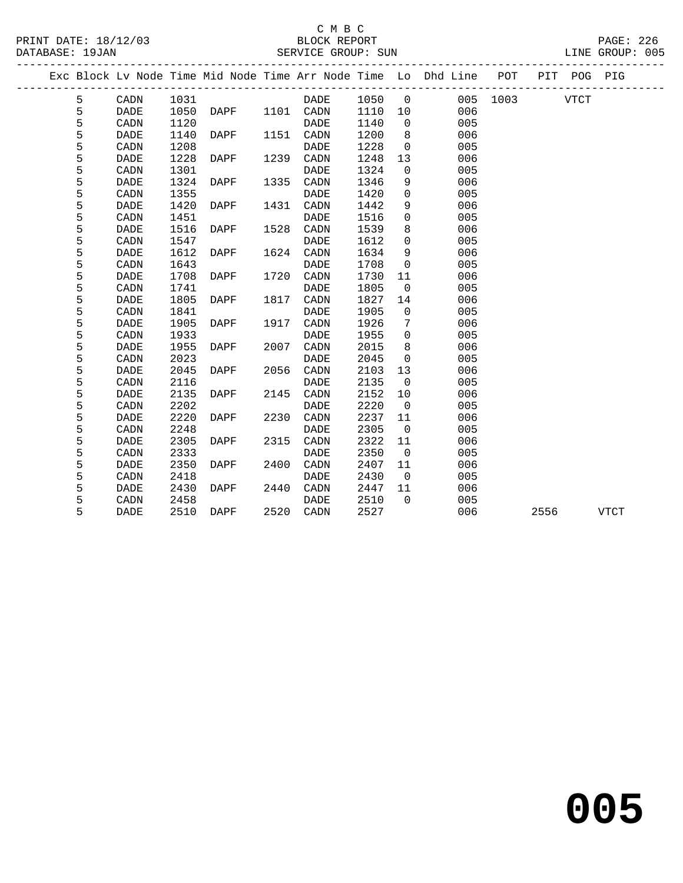|  |   |                        |      |             |      |             |      |                | Exc Block Lv Node Time Mid Node Time Arr Node Time Lo Dhd Line POT |          |      | PIT POG PIG |             |
|--|---|------------------------|------|-------------|------|-------------|------|----------------|--------------------------------------------------------------------|----------|------|-------------|-------------|
|  | 5 | $\texttt{CADN}\xspace$ | 1031 |             |      | <b>DADE</b> | 1050 | $\overline{0}$ |                                                                    | 005 1003 |      | <b>VTCT</b> |             |
|  | 5 | <b>DADE</b>            | 1050 | DAPF        |      | 1101 CADN   | 1110 | 10             | 006                                                                |          |      |             |             |
|  | 5 | CADN                   | 1120 |             |      | <b>DADE</b> | 1140 | $\overline{0}$ | 005                                                                |          |      |             |             |
|  | 5 | <b>DADE</b>            | 1140 | DAPF        | 1151 | CADN        | 1200 | 8              | 006                                                                |          |      |             |             |
|  | 5 | CADN                   | 1208 |             |      | <b>DADE</b> | 1228 | $\mathbf 0$    | 005                                                                |          |      |             |             |
|  | 5 | <b>DADE</b>            | 1228 | DAPF        | 1239 | CADN        | 1248 | 13             | 006                                                                |          |      |             |             |
|  | 5 | CADN                   | 1301 |             |      | DADE        | 1324 | $\mathsf{O}$   | 005                                                                |          |      |             |             |
|  | 5 | <b>DADE</b>            | 1324 | DAPF        | 1335 | CADN        | 1346 | 9              | 006                                                                |          |      |             |             |
|  | 5 | CADN                   | 1355 |             |      | <b>DADE</b> | 1420 | $\mathbf 0$    | 005                                                                |          |      |             |             |
|  | 5 | <b>DADE</b>            | 1420 | <b>DAPF</b> | 1431 | CADN        | 1442 | 9              | 006                                                                |          |      |             |             |
|  | 5 | CADN                   | 1451 |             |      | <b>DADE</b> | 1516 | $\mathbf 0$    | 005                                                                |          |      |             |             |
|  | 5 | <b>DADE</b>            | 1516 | DAPF        | 1528 | CADN        | 1539 | 8              | 006                                                                |          |      |             |             |
|  | 5 | CADN                   | 1547 |             |      | <b>DADE</b> | 1612 | 0              | 005                                                                |          |      |             |             |
|  | 5 | DADE                   | 1612 | DAPF        | 1624 | CADN        | 1634 | 9              | 006                                                                |          |      |             |             |
|  | 5 | CADN                   | 1643 |             |      | <b>DADE</b> | 1708 | $\mathbf 0$    | 005                                                                |          |      |             |             |
|  | 5 | <b>DADE</b>            | 1708 | DAPF        | 1720 | CADN        | 1730 | 11             | 006                                                                |          |      |             |             |
|  | 5 | CADN                   | 1741 |             |      | <b>DADE</b> | 1805 | $\mathbf 0$    | 005                                                                |          |      |             |             |
|  | 5 | <b>DADE</b>            | 1805 | DAPF        | 1817 | CADN        | 1827 | 14             | 006                                                                |          |      |             |             |
|  | 5 | CADN                   | 1841 |             |      | DADE        | 1905 | $\mathbf 0$    | 005                                                                |          |      |             |             |
|  | 5 | <b>DADE</b>            | 1905 | DAPF        | 1917 | CADN        | 1926 | 7              | 006                                                                |          |      |             |             |
|  | 5 | CADN                   | 1933 |             |      | <b>DADE</b> | 1955 | $\mathbf 0$    | 005                                                                |          |      |             |             |
|  | 5 | <b>DADE</b>            | 1955 | DAPF        | 2007 | CADN        | 2015 | 8              | 006                                                                |          |      |             |             |
|  | 5 | CADN                   | 2023 |             |      | <b>DADE</b> | 2045 | $\mathbf 0$    | 005                                                                |          |      |             |             |
|  | 5 | DADE                   | 2045 | DAPF        | 2056 | CADN        | 2103 | 13             | 006                                                                |          |      |             |             |
|  | 5 | CADN                   | 2116 |             |      | <b>DADE</b> | 2135 | $\mathbf 0$    | 005                                                                |          |      |             |             |
|  | 5 | <b>DADE</b>            | 2135 | DAPF        | 2145 | CADN        | 2152 | 10             | 006                                                                |          |      |             |             |
|  | 5 | CADN                   | 2202 |             |      | <b>DADE</b> | 2220 | $\mathbf 0$    | 005                                                                |          |      |             |             |
|  | 5 | <b>DADE</b>            | 2220 | DAPF        | 2230 | CADN        | 2237 | 11             | 006                                                                |          |      |             |             |
|  | 5 | CADN                   | 2248 |             |      | DADE        | 2305 | $\overline{0}$ | 005                                                                |          |      |             |             |
|  | 5 | <b>DADE</b>            | 2305 | DAPF        | 2315 | CADN        | 2322 | 11             | 006                                                                |          |      |             |             |
|  | 5 | CADN                   | 2333 |             |      | <b>DADE</b> | 2350 | $\mathbf 0$    | 005                                                                |          |      |             |             |
|  | 5 | <b>DADE</b>            | 2350 | DAPF        | 2400 | CADN        | 2407 | 11             | 006                                                                |          |      |             |             |
|  | 5 | CADN                   | 2418 |             |      | <b>DADE</b> | 2430 | $\overline{0}$ | 005                                                                |          |      |             |             |
|  | 5 | DADE                   | 2430 | DAPF        | 2440 | CADN        | 2447 | 11             | 006                                                                |          |      |             |             |
|  | 5 | CADN                   | 2458 |             |      | DADE        | 2510 | $\Omega$       | 005                                                                |          |      |             |             |
|  | 5 | <b>DADE</b>            | 2510 | DAPF        | 2520 | CADN        | 2527 |                | 006                                                                |          | 2556 |             | <b>VTCT</b> |
|  |   |                        |      |             |      |             |      |                |                                                                    |          |      |             |             |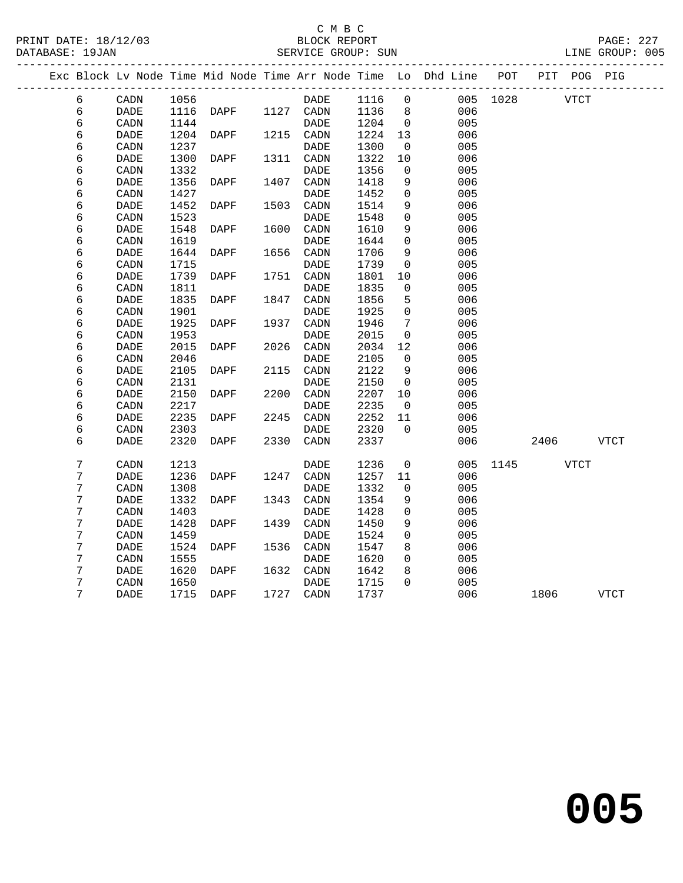### C M B C

DATABASE: 19JAN SERVICE GROUP: SUN LINE GROUP: 005 ------------------------------------------------------------------------------------------------- Exc Block Lv Node Time Mid Node Time Arr Node Time Lo Dhd Line POT PIT POG PIG ------------------------------------------------------------------------------------------------- 6 CADN 1056 DADE 1116 0 005 1028 VTCT 6 DADE 1116 DAPF 1127 CADN 1136 8 006 6 CADN 1144 DADE 1204 0 005

| O | <b>CADIN</b>                 | 1144 |                 |      | DADE                         | エムりせ | U                   | UUS |      |      |             |              |  |
|---|------------------------------|------|-----------------|------|------------------------------|------|---------------------|-----|------|------|-------------|--------------|--|
| б | DADE                         | 1204 | <b>DAPF</b>     | 1215 | CADN                         | 1224 | 13                  | 006 |      |      |             |              |  |
| б | CADN                         | 1237 |                 |      | DADE                         | 1300 | 0                   | 005 |      |      |             |              |  |
| б | <b>DADE</b>                  | 1300 | <b>DAPF</b>     | 1311 | $\texttt{CADN}\xspace$       | 1322 | 10                  | 006 |      |      |             |              |  |
| б | CADN                         | 1332 |                 |      | DADE                         | 1356 | $\mathsf 0$         | 005 |      |      |             |              |  |
| б | $\ensuremath{\mathsf{DADE}}$ | 1356 | <b>DAPF</b>     | 1407 | $\texttt{CADN}\xspace$       | 1418 | 9                   | 006 |      |      |             |              |  |
| б | CADN                         | 1427 |                 |      | DADE                         | 1452 | $\mathsf{O}\xspace$ | 005 |      |      |             |              |  |
| б | DADE                         | 1452 | DAPF            | 1503 | CADN                         | 1514 | 9                   | 006 |      |      |             |              |  |
| б | $\texttt{CADN}\xspace$       | 1523 |                 |      | DADE                         | 1548 | $\mathsf{O}\xspace$ | 005 |      |      |             |              |  |
| б | $\ensuremath{\mathsf{DADE}}$ | 1548 | DAPF            | 1600 | $\texttt{CADN}\xspace$       | 1610 | 9                   | 006 |      |      |             |              |  |
| б | CADN                         | 1619 |                 |      | $\ensuremath{\mathsf{DADE}}$ | 1644 | $\mathsf{O}\xspace$ | 005 |      |      |             |              |  |
| б | $\ensuremath{\mathsf{DADE}}$ | 1644 | DAPF            | 1656 | $\texttt{CADN}\xspace$       | 1706 | 9                   | 006 |      |      |             |              |  |
| б | $\texttt{CADN}\xspace$       | 1715 |                 |      | $\ensuremath{\mathsf{DADE}}$ | 1739 | $\mathsf 0$         | 005 |      |      |             |              |  |
| б | $\ensuremath{\mathsf{DADE}}$ | 1739 | DAPF            | 1751 | $\texttt{CADN}\xspace$       | 1801 | $10$                | 006 |      |      |             |              |  |
| б | CADN                         | 1811 |                 |      | DADE                         | 1835 | 0                   | 005 |      |      |             |              |  |
| б | DADE                         | 1835 | <b>DAPF</b>     | 1847 | CADN                         | 1856 | 5                   | 006 |      |      |             |              |  |
| б | CADN                         | 1901 |                 |      | DADE                         | 1925 | 0                   | 005 |      |      |             |              |  |
| б | $\ensuremath{\mathsf{DADE}}$ | 1925 | <b>DAPF</b>     | 1937 | $\texttt{CADN}\xspace$       | 1946 | 7                   | 006 |      |      |             |              |  |
| б | CADN                         | 1953 |                 |      | DADE                         | 2015 | $\mathsf{O}\xspace$ | 005 |      |      |             |              |  |
| б | DADE                         | 2015 | DAPF            | 2026 | $\texttt{CADN}\xspace$       | 2034 | 12                  | 006 |      |      |             |              |  |
| б | CADN                         | 2046 |                 |      | DADE                         | 2105 | 0                   | 005 |      |      |             |              |  |
| б | <b>DADE</b>                  | 2105 | DAPF            | 2115 | CADN                         | 2122 | 9                   | 006 |      |      |             |              |  |
| б | CADN                         | 2131 |                 |      | <b>DADE</b>                  | 2150 | $\mathsf 0$         | 005 |      |      |             |              |  |
| б | DADE                         | 2150 | DAPF            | 2200 | $\texttt{CADN}\xspace$       | 2207 | $10$                | 006 |      |      |             |              |  |
| б | CADN                         | 2217 |                 |      | DADE                         | 2235 | $\mathsf 0$         | 005 |      |      |             |              |  |
| б | <b>DADE</b>                  | 2235 | <b>DAPF</b>     | 2245 | CADN                         | 2252 | 11                  | 006 |      |      |             |              |  |
| б | $\texttt{CADN}\xspace$       | 2303 |                 |      | $\ensuremath{\mathsf{DADE}}$ | 2320 | $\mathsf{O}\xspace$ | 005 |      |      |             |              |  |
| б | $\ensuremath{\mathsf{DADE}}$ | 2320 | $\texttt{DAPF}$ | 2330 | $\texttt{CADN}\xspace$       | 2337 |                     | 006 |      | 2406 |             | ${\tt VTCT}$ |  |
|   |                              |      |                 |      |                              |      |                     |     |      |      |             |              |  |
| 7 | CADN                         | 1213 |                 |      | $\ensuremath{\mathsf{DADE}}$ | 1236 | $\mathsf{O}\xspace$ | 005 | 1145 |      | <b>VTCT</b> |              |  |
| 7 | DADE                         | 1236 | DAPF            | 1247 | $\texttt{CADN}\xspace$       | 1257 | 11                  | 006 |      |      |             |              |  |
| 7 | CADN                         | 1308 |                 |      | DADE                         | 1332 | $\mathsf 0$         | 005 |      |      |             |              |  |
| 7 | DADE                         | 1332 | <b>DAPF</b>     | 1343 | CADN                         | 1354 | 9                   | 006 |      |      |             |              |  |
| 7 | CADN                         | 1403 |                 |      | <b>DADE</b>                  | 1428 | 0                   | 005 |      |      |             |              |  |
| 7 | DADE                         | 1428 | <b>DAPF</b>     | 1439 | CADN                         | 1450 | 9                   | 006 |      |      |             |              |  |
| 7 | CADN                         | 1459 |                 |      | <b>DADE</b>                  | 1524 | 0                   | 005 |      |      |             |              |  |
| 7 | <b>DADE</b>                  | 1524 | <b>DAPF</b>     | 1536 | CADN                         | 1547 | 8                   | 006 |      |      |             |              |  |
| 7 | CADN                         | 1555 |                 |      | <b>DADE</b>                  | 1620 | 0                   | 005 |      |      |             |              |  |
| 7 | DADE                         | 1620 | <b>DAPF</b>     | 1632 | $\texttt{CADN}\xspace$       | 1642 | 8                   | 006 |      |      |             |              |  |
| 7 | CADN                         | 1650 |                 |      | $\ensuremath{\mathsf{DADE}}$ | 1715 | 0                   | 005 |      |      |             |              |  |
| 7 | <b>DADE</b>                  | 1715 | <b>DAPF</b>     | 1727 | CADN                         | 1737 |                     | 006 |      | 1806 |             | <b>VTCT</b>  |  |
|   |                              |      |                 |      |                              |      |                     |     |      |      |             |              |  |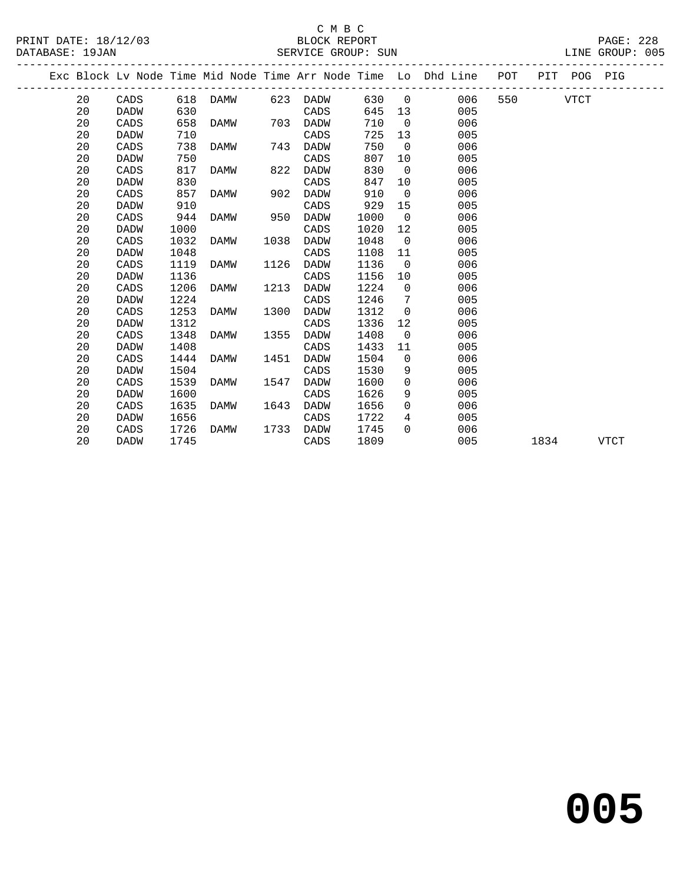#### C M B C<br>BLOCK REPORT PRINT DATE: 18/12/03 BLOCK REPORT PAGE: 228 SERVICE GROUP: SUN

|  |    |             |      |      |      |             |      |                   | Exc Block Lv Node Time Mid Node Time Arr Node Time Lo Dhd Line POT |     |      | PIT POG PIG |      |
|--|----|-------------|------|------|------|-------------|------|-------------------|--------------------------------------------------------------------|-----|------|-------------|------|
|  | 20 | CADS        | 618  | DAMW |      | 623 DADW    | 630  | $\overline{0}$    | 006                                                                | 550 |      | <b>VTCT</b> |      |
|  | 20 | <b>DADW</b> | 630  |      |      | CADS        | 645  | 13                | 005                                                                |     |      |             |      |
|  | 20 | CADS        | 658  | DAMW | 703  | DADW        | 710  | $\overline{0}$    | 006                                                                |     |      |             |      |
|  | 20 | DADW        | 710  |      |      | CADS        | 725  | 13                | 005                                                                |     |      |             |      |
|  | 20 | CADS        | 738  | DAMW | 743  | DADW        | 750  | $\Omega$          | 006                                                                |     |      |             |      |
|  | 20 | <b>DADW</b> | 750  |      |      | CADS        | 807  | 10                | 005                                                                |     |      |             |      |
|  | 20 | CADS        | 817  | DAMW | 822  | DADW        | 830  | $\overline{0}$    | 006                                                                |     |      |             |      |
|  | 20 | DADW        | 830  |      |      | CADS        | 847  | 10 <sub>1</sub>   | 005                                                                |     |      |             |      |
|  | 20 | CADS        | 857  | DAMW | 902  | <b>DADW</b> | 910  | $\overline{0}$    | 006                                                                |     |      |             |      |
|  | 20 | <b>DADW</b> | 910  |      |      | CADS        | 929  | 15                | 005                                                                |     |      |             |      |
|  | 20 | CADS        | 944  | DAMW | 950  | <b>DADW</b> | 1000 | $\overline{0}$    | 006                                                                |     |      |             |      |
|  | 20 | <b>DADW</b> | 1000 |      |      | CADS        | 1020 | 12                | 005                                                                |     |      |             |      |
|  | 20 | CADS        | 1032 | DAMW | 1038 | <b>DADW</b> | 1048 | $\overline{0}$    | 006                                                                |     |      |             |      |
|  | 20 | <b>DADW</b> | 1048 |      |      | CADS        | 1108 | 11                | 005                                                                |     |      |             |      |
|  | 20 | CADS        | 1119 | DAMW | 1126 | <b>DADW</b> | 1136 | $\overline{0}$    | 006                                                                |     |      |             |      |
|  | 20 | DADW        | 1136 |      |      | CADS        | 1156 | 10                | 005                                                                |     |      |             |      |
|  | 20 | CADS        | 1206 | DAMW | 1213 | DADW        | 1224 | $\overline{0}$    | 006                                                                |     |      |             |      |
|  | 20 | <b>DADW</b> | 1224 |      |      | CADS        | 1246 | 7                 | 005                                                                |     |      |             |      |
|  | 20 | CADS        | 1253 | DAMW | 1300 | DADW        | 1312 | $\overline{0}$    | 006                                                                |     |      |             |      |
|  | 20 | <b>DADW</b> | 1312 |      |      | CADS        | 1336 | $12 \overline{ }$ | 005                                                                |     |      |             |      |
|  | 20 | CADS        | 1348 | DAMW | 1355 | <b>DADW</b> | 1408 | $\overline{0}$    | 006                                                                |     |      |             |      |
|  | 20 | <b>DADW</b> | 1408 |      |      | CADS        | 1433 | 11                | 005                                                                |     |      |             |      |
|  | 20 | CADS        | 1444 | DAMW | 1451 | <b>DADW</b> | 1504 | $\overline{0}$    | 006                                                                |     |      |             |      |
|  | 20 | <b>DADW</b> | 1504 |      |      | CADS        | 1530 | 9                 | 005                                                                |     |      |             |      |
|  | 20 | CADS        | 1539 | DAMW | 1547 | DADW        | 1600 | $\overline{0}$    | 006                                                                |     |      |             |      |
|  | 20 | <b>DADW</b> | 1600 |      |      | CADS        | 1626 | 9                 | 005                                                                |     |      |             |      |
|  | 20 | CADS        | 1635 | DAMW | 1643 | DADW        | 1656 | $\Omega$          | 006                                                                |     |      |             |      |
|  | 20 | <b>DADW</b> | 1656 |      |      | CADS        | 1722 | $4\overline{ }$   | 005                                                                |     |      |             |      |
|  | 20 | CADS        | 1726 | DAMW | 1733 | DADW        | 1745 | $\Omega$          | 006                                                                |     |      |             |      |
|  | 20 | DADW        | 1745 |      |      | CADS        | 1809 |                   | 005                                                                |     | 1834 |             | VTCT |
|  |    |             |      |      |      |             |      |                   |                                                                    |     |      |             |      |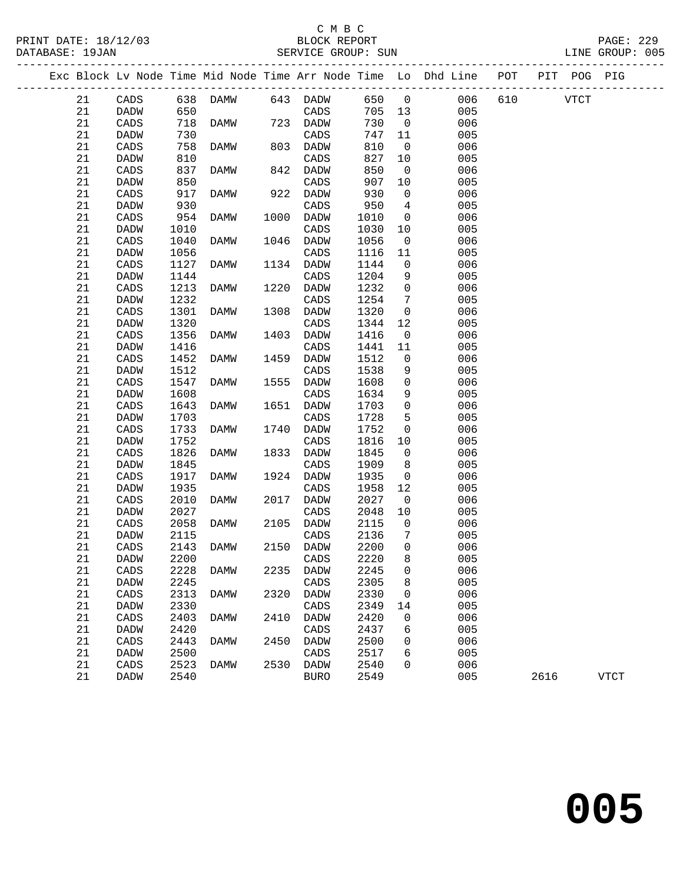## C M B C<br>BLOCK REPORT<br>------ 2DAUD: SUN

| PRINT DATE: 18/12/03<br>DATABASE: 19JAN |    |                 |      | 2/03 BLOCK REPORT<br>SERVICE GROUP: SUN |      |             |         |                 | PAGE: 229<br>LINE GROUP: 005                                                   |          |      |             |  |
|-----------------------------------------|----|-----------------|------|-----------------------------------------|------|-------------|---------|-----------------|--------------------------------------------------------------------------------|----------|------|-------------|--|
|                                         |    |                 |      |                                         |      |             |         |                 | Exc Block Lv Node Time Mid Node Time Arr Node Time Lo Dhd Line POT PIT POG PIG |          |      |             |  |
|                                         | 21 |                 |      |                                         |      |             |         |                 | CADS 638 DAMW 643 DADW 650 0 006                                               | 610 VTCT |      |             |  |
|                                         | 21 | DADW            | 650  |                                         |      | CADS        |         |                 | 705 13 005                                                                     |          |      |             |  |
|                                         | 21 | CADS            | 718  | DAMW 723 DADW                           |      |             | 730     |                 | $\overline{0}$<br>006                                                          |          |      |             |  |
|                                         | 21 | DADW            | 730  |                                         |      | CADS        | 747 11  |                 | 005                                                                            |          |      |             |  |
|                                         | 21 | CADS            | 758  | DAMW                                    |      | 803 DADW    | 810     | $\overline{0}$  | 006                                                                            |          |      |             |  |
|                                         | 21 | DADW            | 810  |                                         |      | CADS        | 827     | 10              | 005                                                                            |          |      |             |  |
|                                         | 21 | CADS            | 837  | DAMW                                    | 842  | DADW        | 850     | $\overline{0}$  | 006                                                                            |          |      |             |  |
|                                         | 21 | DADW            | 850  |                                         |      | CADS        | 907     | 10              | 005                                                                            |          |      |             |  |
|                                         | 21 | CADS            | 917  | DAMW                                    | 922  | DADW        | 930     | $\overline{0}$  | 006                                                                            |          |      |             |  |
|                                         | 21 | DADW            | 930  |                                         |      | CADS        | 950     | $\overline{4}$  | 005                                                                            |          |      |             |  |
|                                         | 21 | CADS            | 954  | DAMW                                    | 1000 | DADW        | 1010    |                 | 006<br>$\overline{0}$                                                          |          |      |             |  |
|                                         | 21 | DADW            | 1010 |                                         |      | CADS        | 1030    | 10              | 005                                                                            |          |      |             |  |
|                                         | 21 | CADS            | 1040 | DAMW                                    | 1046 | DADW        | 1056    | $\overline{0}$  | 006                                                                            |          |      |             |  |
|                                         | 21 | DADW            | 1056 |                                         |      | CADS        | 1116    | 11              | 005                                                                            |          |      |             |  |
|                                         | 21 | CADS            | 1127 | DAMW                                    | 1134 | DADW        | 1144    | $\overline{0}$  | 006                                                                            |          |      |             |  |
|                                         | 21 | DADW            | 1144 |                                         |      | CADS        | 1204    | 9               | 005                                                                            |          |      |             |  |
|                                         | 21 | CADS            | 1213 | DAMW                                    | 1220 | DADW        | 1232    | $\overline{0}$  | 006                                                                            |          |      |             |  |
|                                         | 21 | DADW            | 1232 |                                         |      | CADS        | 1254    | $7\overline{ }$ | 005                                                                            |          |      |             |  |
|                                         | 21 | CADS            | 1301 | DAMW                                    | 1308 | DADW        | 1320    | $\overline{0}$  | 006                                                                            |          |      |             |  |
|                                         | 21 | DADW            | 1320 |                                         |      | CADS        | 1344    | 12              | 005                                                                            |          |      |             |  |
|                                         | 21 | CADS            | 1356 | DAMW                                    | 1403 | DADW        | 1416    | $\overline{0}$  | 006                                                                            |          |      |             |  |
|                                         | 21 | DADW            | 1416 |                                         |      | CADS        | 1441    | 11              | 005                                                                            |          |      |             |  |
|                                         | 21 | CADS            | 1452 | DAMW                                    | 1459 | DADW        | 1512    | $\overline{0}$  | 006                                                                            |          |      |             |  |
|                                         | 21 | DADW            | 1512 |                                         |      | CADS        | 1538    | 9               | 005                                                                            |          |      |             |  |
|                                         | 21 | CADS            | 1547 | DAMW                                    | 1555 | DADW        | 1608    | $\overline{0}$  | 006                                                                            |          |      |             |  |
|                                         | 21 | DADW            | 1608 |                                         |      | CADS        | 1634    | 9               | 005                                                                            |          |      |             |  |
|                                         | 21 | CADS            | 1643 | DAMW                                    | 1651 | DADW        | 1703    | $\overline{0}$  | 006                                                                            |          |      |             |  |
|                                         | 21 | DADW            | 1703 |                                         |      | CADS        | 1728    | 5               | 005                                                                            |          |      |             |  |
|                                         | 21 | CADS            | 1733 | DAMW                                    | 1740 | DADW        | 1752    | $\overline{0}$  | 006                                                                            |          |      |             |  |
|                                         | 21 | DADW            | 1752 |                                         |      | CADS        | 1816    | 10              | 005                                                                            |          |      |             |  |
|                                         | 21 | CADS            | 1826 | DAMW                                    | 1833 | DADW        | 1845    | $\overline{0}$  | 006                                                                            |          |      |             |  |
|                                         | 21 | DADW            | 1845 |                                         |      | CADS        | 1909    | 8               | 005                                                                            |          |      |             |  |
|                                         | 21 | CADS            | 1917 | DAMW                                    | 1924 | DADW        | 1935    | $\overline{0}$  | 006                                                                            |          |      |             |  |
|                                         | 21 | <b>DADW</b>     | 1935 |                                         |      | CADS        | 1958    | 12              | 005                                                                            |          |      |             |  |
|                                         | 21 | CADS            | 2010 | DAMW                                    | 2017 | DADW        | 2027    | $\overline{0}$  | 006                                                                            |          |      |             |  |
|                                         | 21 | DADW            | 2027 |                                         |      | CADS        | 2048 10 |                 | 005                                                                            |          |      |             |  |
|                                         | 21 | CADS            | 2058 | DAMW                                    | 2105 | DADW        | 2115    | $\overline{0}$  | 006                                                                            |          |      |             |  |
|                                         | 21 | DADW            | 2115 |                                         |      | CADS        | 2136 7  |                 | 005                                                                            |          |      |             |  |
|                                         | 21 | $\mathtt{CADS}$ | 2143 | DAMW                                    | 2150 | DADW        | 2200    | 0               | 006                                                                            |          |      |             |  |
|                                         | 21 | DADW            | 2200 |                                         |      | CADS        | 2220    | 8               | 005                                                                            |          |      |             |  |
|                                         | 21 | CADS            | 2228 | DAMW                                    | 2235 | <b>DADW</b> | 2245    | 0               | 006                                                                            |          |      |             |  |
|                                         | 21 | DADW            | 2245 |                                         |      | CADS        | 2305    | 8               | 005                                                                            |          |      |             |  |
|                                         | 21 | CADS            | 2313 | DAMW                                    | 2320 | <b>DADW</b> | 2330    | 0               | 006                                                                            |          |      |             |  |
|                                         | 21 | DADW            | 2330 |                                         |      | CADS        | 2349    | 14              | 005                                                                            |          |      |             |  |
|                                         | 21 | CADS            | 2403 | DAMW                                    | 2410 | DADW        | 2420    | 0               | 006                                                                            |          |      |             |  |
|                                         | 21 | DADW            | 2420 |                                         |      | CADS        | 2437    | 6               | 005                                                                            |          |      |             |  |
|                                         | 21 | CADS            | 2443 | <b>DAMW</b>                             | 2450 | <b>DADW</b> | 2500    | 0               | 006                                                                            |          |      |             |  |
|                                         | 21 | DADW            | 2500 |                                         |      | CADS        | 2517    | 6               | 005                                                                            |          |      |             |  |
|                                         | 21 | $\mathtt{CADS}$ | 2523 | <b>DAMW</b>                             | 2530 | <b>DADW</b> | 2540    | $\Omega$        | 006                                                                            |          |      |             |  |
|                                         | 21 | DADW            | 2540 |                                         |      | <b>BURO</b> | 2549    |                 | 005                                                                            |          | 2616 | <b>VTCT</b> |  |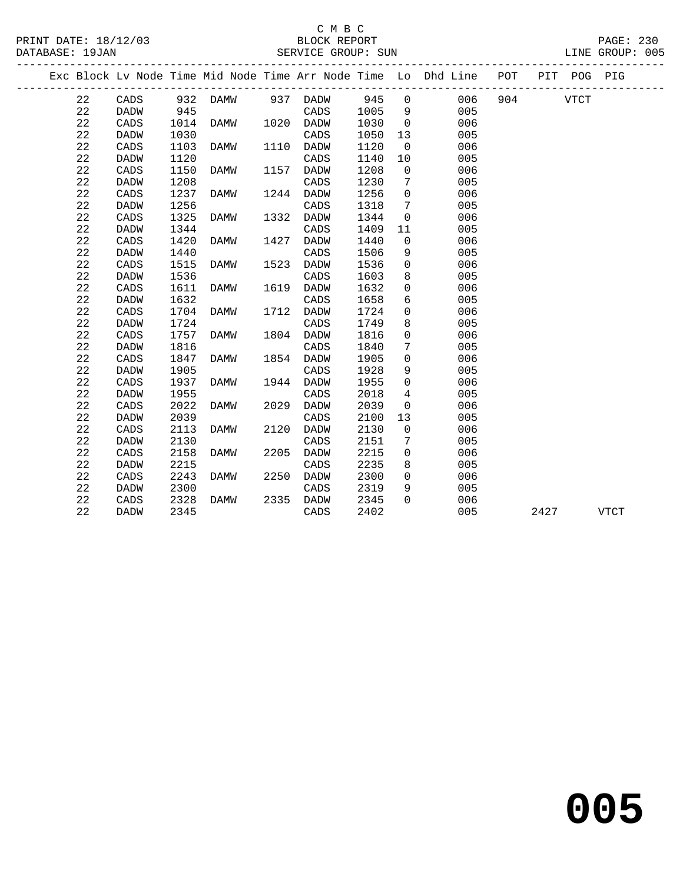|  |             |                 |      |          |      |             |      |                 | Exc Block Lv Node Time Mid Node Time Arr Node Time Lo Dhd Line POT |     |      | PIT POG PIG |             |
|--|-------------|-----------------|------|----------|------|-------------|------|-----------------|--------------------------------------------------------------------|-----|------|-------------|-------------|
|  | 22          | CADS            |      | 932 DAMW |      | 937 DADW    | 945  | $\overline{0}$  | 006                                                                | 904 |      | <b>VTCT</b> |             |
|  | 22          | DADW            | 945  |          |      | CADS        | 1005 | - 9             | 005                                                                |     |      |             |             |
|  | 22          | CADS            | 1014 | DAMW     |      | 1020 DADW   | 1030 | $\mathbf 0$     | 006                                                                |     |      |             |             |
|  | 22          | <b>DADW</b>     | 1030 |          |      | CADS        | 1050 | 13              | 005                                                                |     |      |             |             |
|  | 22          | CADS            | 1103 | DAMW     |      | 1110 DADW   | 1120 | $\overline{0}$  | 006                                                                |     |      |             |             |
|  | 22          | <b>DADW</b>     | 1120 |          |      | CADS        | 1140 | 10              | 005                                                                |     |      |             |             |
|  | 22          | CADS            | 1150 | DAMW     | 1157 | DADW        | 1208 | $\overline{0}$  | 006                                                                |     |      |             |             |
|  | 22          | <b>DADW</b>     | 1208 |          |      | CADS        | 1230 | $7\phantom{.0}$ | 005                                                                |     |      |             |             |
|  | 22          | CADS            | 1237 | DAMW     | 1244 | DADW        | 1256 | $\mathbf 0$     | 006                                                                |     |      |             |             |
|  | 22          | <b>DADW</b>     | 1256 |          |      | CADS        | 1318 | $7\overline{ }$ | 005                                                                |     |      |             |             |
|  | 22          | CADS            | 1325 | DAMW     | 1332 | DADW        | 1344 | 0               | 006                                                                |     |      |             |             |
|  | 22          | <b>DADW</b>     | 1344 |          |      | CADS        | 1409 | 11              | 005                                                                |     |      |             |             |
|  | 22          | CADS            | 1420 | DAMW     | 1427 | DADW        | 1440 | $\mathbf 0$     | 006                                                                |     |      |             |             |
|  | 22          | <b>DADW</b>     | 1440 |          |      | CADS        | 1506 | 9               | 005                                                                |     |      |             |             |
|  | 22          | CADS            | 1515 | DAMW     | 1523 | <b>DADW</b> | 1536 | $\mathbf 0$     | 006                                                                |     |      |             |             |
|  | 22          | <b>DADW</b>     | 1536 |          |      | CADS        | 1603 | 8               | 005                                                                |     |      |             |             |
|  | 22          | CADS            | 1611 | DAMW     |      | 1619 DADW   | 1632 | $\mathbf 0$     | 006                                                                |     |      |             |             |
|  | 22          | <b>DADW</b>     | 1632 |          |      | CADS        | 1658 | 6               | 005                                                                |     |      |             |             |
|  | $2\sqrt{2}$ | CADS            | 1704 | DAMW     |      | 1712 DADW   | 1724 | $\mathbf 0$     | 006                                                                |     |      |             |             |
|  | 22          | DADW            | 1724 |          |      | CADS        | 1749 | 8               | 005                                                                |     |      |             |             |
|  | 22          | CADS            | 1757 | DAMW     |      | 1804 DADW   | 1816 | $\mathbf 0$     | 006                                                                |     |      |             |             |
|  | 22          | <b>DADW</b>     | 1816 |          |      | CADS        | 1840 | $7\phantom{.0}$ | 005                                                                |     |      |             |             |
|  | 22          | CADS            | 1847 | DAMW     | 1854 | DADW        | 1905 | $\mathbf 0$     | 006                                                                |     |      |             |             |
|  | 22          | <b>DADW</b>     | 1905 |          |      | CADS        | 1928 | 9               | 005                                                                |     |      |             |             |
|  | 22          | CADS            | 1937 | DAMW     | 1944 | DADW        | 1955 | $\mathbf 0$     | 006                                                                |     |      |             |             |
|  | 22          | <b>DADW</b>     | 1955 |          |      | CADS        | 2018 | 4               | 005                                                                |     |      |             |             |
|  | 22          | CADS            | 2022 | DAMW     | 2029 | DADW        | 2039 | $\mathsf{O}$    | 006                                                                |     |      |             |             |
|  | 22          | <b>DADW</b>     | 2039 |          |      | CADS        | 2100 | 13              | 005                                                                |     |      |             |             |
|  | 22          | CADS            | 2113 | DAMW     | 2120 | DADW        | 2130 | $\mathbf 0$     | 006                                                                |     |      |             |             |
|  | 22          | DADW            | 2130 |          |      | CADS        | 2151 | 7               | 005                                                                |     |      |             |             |
|  | 22          | $\mathtt{CADS}$ | 2158 | DAMW     | 2205 | DADW        | 2215 | $\mathbf 0$     | 006                                                                |     |      |             |             |
|  | 22          | <b>DADW</b>     | 2215 |          |      | CADS        | 2235 | 8               | 005                                                                |     |      |             |             |
|  | 22          | CADS            | 2243 | DAMW     | 2250 | <b>DADW</b> | 2300 | $\overline{0}$  | 006                                                                |     |      |             |             |
|  | 22          | DADW            | 2300 |          |      | CADS        | 2319 | 9               | 005                                                                |     |      |             |             |
|  | 22          | CADS            | 2328 | DAMW     | 2335 | DADW        | 2345 | $\Omega$        | 006                                                                |     |      |             |             |
|  | 22          | <b>DADW</b>     | 2345 |          |      | CADS        | 2402 |                 | 005                                                                |     | 2427 |             | <b>VTCT</b> |
|  |             |                 |      |          |      |             |      |                 |                                                                    |     |      |             |             |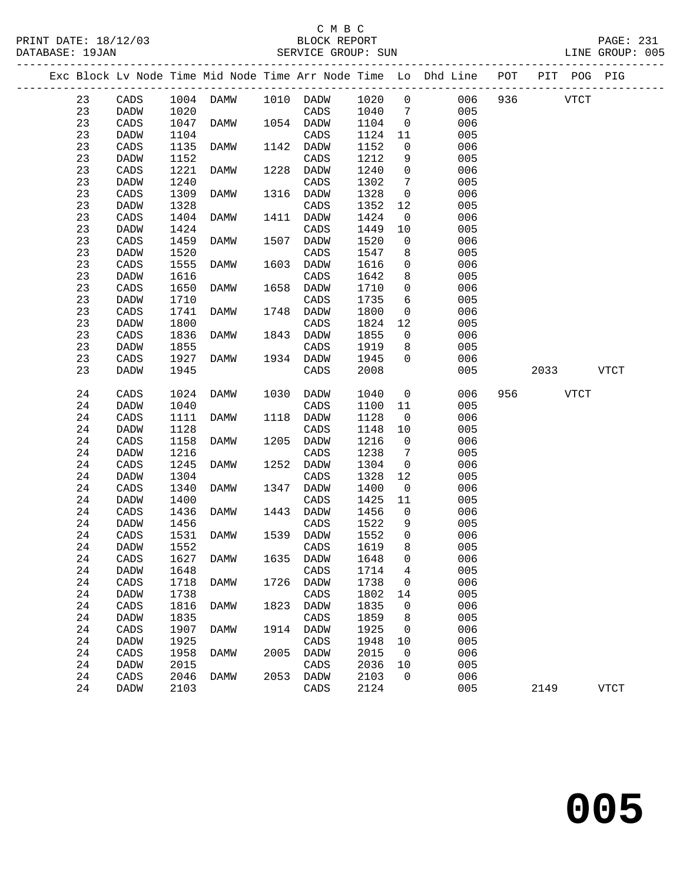### C M B C<br>BLOCK REPORT

| PRINT DATE: 18/12/03<br>DATABASE: 19JAN |             |      | SERVICE GROUP: SUN |      | BLOCK REPORT |      |                 |                                                                    |     |       |             | <b>PAGE: 231</b><br>LINE GROUP: 005 |  |
|-----------------------------------------|-------------|------|--------------------|------|--------------|------|-----------------|--------------------------------------------------------------------|-----|-------|-------------|-------------------------------------|--|
|                                         |             |      |                    |      |              |      |                 | Exc Block Lv Node Time Mid Node Time Arr Node Time Lo Dhd Line POT |     |       | PIT POG PIG |                                     |  |
| 23                                      | CADS        |      | 1004 DAMW          |      | 1010 DADW    | 1020 | $\Omega$        | 006                                                                |     | 936 7 | VTCT        |                                     |  |
| 23                                      | DADW        | 1020 |                    |      | CADS         | 1040 | 7               | 005                                                                |     |       |             |                                     |  |
| 23                                      | CADS        | 1047 | DAMW               | 1054 | DADW         | 1104 | $\Omega$        | 006                                                                |     |       |             |                                     |  |
| 23                                      | <b>DADW</b> | 1104 |                    |      | CADS         | 1124 | 11              | 005                                                                |     |       |             |                                     |  |
| 23                                      | CADS        | 1135 | DAMW               | 1142 | DADW         | 1152 | $\overline{0}$  | 006                                                                |     |       |             |                                     |  |
| 23                                      | <b>DADW</b> | 1152 |                    |      | CADS         | 1212 | 9               | 005                                                                |     |       |             |                                     |  |
| 23                                      | CADS        | 1221 | DAMW               | 1228 | DADW         | 1240 | $\Omega$        | 006                                                                |     |       |             |                                     |  |
| 23                                      | <b>DADW</b> | 1240 |                    |      | CADS         | 1302 | $7\phantom{.0}$ | 005                                                                |     |       |             |                                     |  |
| 23                                      | CADS        | 1309 | DAMW               | 1316 | DADW         | 1328 | $\Omega$        | 006                                                                |     |       |             |                                     |  |
| 23                                      | DADW        | 1328 |                    |      | CADS         | 1352 | 12              | 005                                                                |     |       |             |                                     |  |
| 23                                      | CADS        | 1404 | DAMW               | 1411 | DADW         | 1424 | $\overline{0}$  | 006                                                                |     |       |             |                                     |  |
| 23                                      | DADW        | 1424 |                    |      | CADS         | 1449 | 10              | 005                                                                |     |       |             |                                     |  |
| 23                                      | CADS        | 1459 | DAMW               | 1507 | DADW         | 1520 | $\Omega$        | 006                                                                |     |       |             |                                     |  |
| 23                                      | <b>DADW</b> | 1520 |                    |      | CADS         | 1547 | 8               | 005                                                                |     |       |             |                                     |  |
| 23                                      | CADS        | 1555 | DAMW               | 1603 | <b>DADW</b>  | 1616 | $\mathbf 0$     | 006                                                                |     |       |             |                                     |  |
| 23                                      | <b>DADW</b> | 1616 |                    |      | CADS         | 1642 | 8               | 005                                                                |     |       |             |                                     |  |
| 23                                      | CADS        | 1650 | DAMW               | 1658 | <b>DADW</b>  | 1710 | $\Omega$        | 006                                                                |     |       |             |                                     |  |
| 23                                      | DADW        | 1710 |                    |      | CADS         | 1735 | 6               | 005                                                                |     |       |             |                                     |  |
| 23                                      | CADS        | 1741 | DAMW               | 1748 | DADW         | 1800 | $\Omega$        | 006                                                                |     |       |             |                                     |  |
| 23                                      | DADW        | 1800 |                    |      | CADS         | 1824 | $12 \,$         | 005                                                                |     |       |             |                                     |  |
| 23                                      | CADS        | 1836 | DAMW               | 1843 | DADW         | 1855 | $\Omega$        | 006                                                                |     |       |             |                                     |  |
| 23                                      | <b>DADW</b> | 1855 |                    |      | CADS         | 1919 | 8               | 005                                                                |     |       |             |                                     |  |
| 23                                      | CADS        | 1927 | DAMW               | 1934 | <b>DADW</b>  | 1945 | $\Omega$        | 006                                                                |     |       |             |                                     |  |
| 23                                      | <b>DADW</b> | 1945 |                    |      | CADS         | 2008 |                 | 005                                                                |     | 2033  |             | VTCT                                |  |
| 24                                      | CADS        |      | 1024 DAMW          |      | 1030 DADW    | 1040 |                 | $\Omega$<br>006                                                    | 956 | VTCT  |             |                                     |  |
|                                         |             |      |                    |      |              |      |                 |                                                                    |     |       |             |                                     |  |

| 24 | CADS | 1024 | DAMW | 1030 | DADW | 1040 | - 0                          | 006 | 956 | VTCT |      |
|----|------|------|------|------|------|------|------------------------------|-----|-----|------|------|
| 24 | DADW | 1040 |      |      | CADS | 1100 | 11                           | 005 |     |      |      |
| 24 | CADS | 1111 | DAMW | 1118 | DADW | 1128 | $\overline{0}$               | 006 |     |      |      |
| 24 | DADW | 1128 |      |      | CADS | 1148 | 10                           | 005 |     |      |      |
| 24 | CADS | 1158 | DAMW | 1205 | DADW | 1216 | $\Omega$                     | 006 |     |      |      |
| 24 | DADW | 1216 |      |      | CADS | 1238 | $7\phantom{.0}\phantom{.0}7$ | 005 |     |      |      |
| 24 | CADS | 1245 | DAMW | 1252 | DADW | 1304 | $\overline{0}$               | 006 |     |      |      |
| 24 | DADW | 1304 |      |      | CADS | 1328 | 12                           | 005 |     |      |      |
| 24 | CADS | 1340 | DAMW | 1347 | DADW | 1400 | $\overline{0}$               | 006 |     |      |      |
| 24 | DADW | 1400 |      |      | CADS | 1425 | 11                           | 005 |     |      |      |
| 24 | CADS | 1436 | DAMW | 1443 | DADW | 1456 | $\Omega$                     | 006 |     |      |      |
| 24 | DADW | 1456 |      |      | CADS | 1522 | 9                            | 005 |     |      |      |
| 24 | CADS | 1531 | DAMW | 1539 | DADW | 1552 | $\mathbf 0$                  | 006 |     |      |      |
| 24 | DADW | 1552 |      |      | CADS | 1619 | 8                            | 005 |     |      |      |
| 24 | CADS | 1627 | DAMW | 1635 | DADW | 1648 | $\Omega$                     | 006 |     |      |      |
| 24 | DADW | 1648 |      |      | CADS | 1714 | 4                            | 005 |     |      |      |
| 24 | CADS | 1718 | DAMW | 1726 | DADW | 1738 | $\Omega$                     | 006 |     |      |      |
| 24 | DADW | 1738 |      |      | CADS | 1802 | 14                           | 005 |     |      |      |
| 24 | CADS | 1816 | DAMW | 1823 | DADW | 1835 | $\Omega$                     | 006 |     |      |      |
| 24 | DADW | 1835 |      |      | CADS | 1859 | 8                            | 005 |     |      |      |
| 24 | CADS | 1907 | DAMW | 1914 | DADW | 1925 | $\overline{0}$               | 006 |     |      |      |
| 24 | DADW | 1925 |      |      | CADS | 1948 | 10                           | 005 |     |      |      |
| 24 | CADS | 1958 | DAMW | 2005 | DADW | 2015 | $\overline{0}$               | 006 |     |      |      |
| 24 | DADW | 2015 |      |      | CADS | 2036 | 10                           | 005 |     |      |      |
| 24 | CADS | 2046 | DAMW | 2053 | DADW | 2103 | $\overline{0}$               | 006 |     |      |      |
| 24 | DADW | 2103 |      |      | CADS | 2124 |                              | 005 |     | 2149 | VTCT |
|    |      |      |      |      |      |      |                              |     |     |      |      |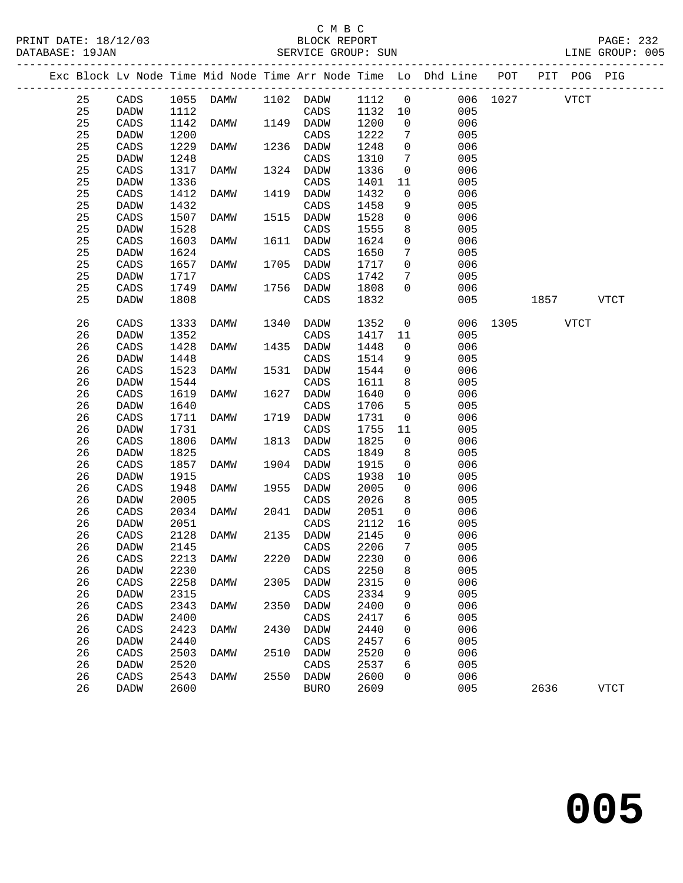PRINT DATE: 18/12/03 BLOCK REPORT PAGE: 232 DATABASE: 19JAN<br>---------------

## C M B C<br>BLOCK REPORT

| DATABASE: 19JAN |                                                                                |      |                       |      | SEKVICE GKOUP: SUN |        |                 |     |          |      |      | TINE GKOOL: 002 |
|-----------------|--------------------------------------------------------------------------------|------|-----------------------|------|--------------------|--------|-----------------|-----|----------|------|------|-----------------|
|                 | Exc Block Lv Node Time Mid Node Time Arr Node Time Lo Dhd Line POT PIT POG PIG |      |                       |      |                    |        |                 |     |          |      |      |                 |
| 25              | CADS                                                                           |      | 1055 DAMW   1102 DADW |      |                    | 1112 0 |                 |     | 006 1027 |      | VTCT |                 |
| 25              | DADW                                                                           | 1112 |                       |      | CADS               | 1132   | 10              | 005 |          |      |      |                 |
| 25              | CADS                                                                           | 1142 | DAMW                  | 1149 | DADW               | 1200   | $\overline{0}$  | 006 |          |      |      |                 |
| 25              | DADW                                                                           | 1200 |                       |      | CADS               | 1222   | $7\phantom{.}$  | 005 |          |      |      |                 |
| 25              | CADS                                                                           | 1229 | DAMW                  | 1236 | DADW               | 1248   | $\mathbf 0$     | 006 |          |      |      |                 |
| 25              | DADW                                                                           | 1248 |                       |      | CADS               | 1310   | $7\phantom{.0}$ | 005 |          |      |      |                 |
| 25              | CADS                                                                           | 1317 | DAMW                  | 1324 | DADW               | 1336   | $\overline{0}$  | 006 |          |      |      |                 |
| 25              | DADW                                                                           | 1336 |                       |      | CADS               | 1401   | 11              | 005 |          |      |      |                 |
| 25              | CADS                                                                           | 1412 | DAMW                  | 1419 | DADW               | 1432   | $\Omega$        | 006 |          |      |      |                 |
| 25              | DADW                                                                           | 1432 |                       |      | CADS               | 1458   | 9               | 005 |          |      |      |                 |
| 25              | CADS                                                                           | 1507 | DAMW                  | 1515 | DADW               | 1528   | $\overline{0}$  | 006 |          |      |      |                 |
| 25              | DADW                                                                           | 1528 |                       |      | CADS               | 1555   | 8               | 005 |          |      |      |                 |
| 25              | CADS                                                                           | 1603 | DAMW                  | 1611 | DADW               | 1624   | $\mathbf 0$     | 006 |          |      |      |                 |
| 25              | DADW                                                                           | 1624 |                       |      | CADS               | 1650   | 7               | 005 |          |      |      |                 |
| 25              | CADS                                                                           | 1657 | DAMW                  | 1705 | DADW               | 1717   | $\overline{0}$  | 006 |          |      |      |                 |
| 25              | DADW                                                                           | 1717 |                       |      | CADS               | 1742   | 7               | 005 |          |      |      |                 |
| 25              | CADS                                                                           | 1749 | DAMW                  | 1756 | DADW               | 1808   | $\Omega$        | 006 |          |      |      |                 |
| 25              | DADW                                                                           | 1808 |                       |      | CADS               | 1832   |                 | 005 |          | 1857 | VTCT |                 |
|                 |                                                                                |      |                       |      |                    |        |                 |     |          |      |      |                 |
| 26              | CADS                                                                           | 1333 | DAMW                  | 1340 | DADW               | 1352   | $\overline{0}$  |     | 006 1305 | VTCT |      |                 |
| 26              | DADW                                                                           | 1352 |                       |      | CADS               | 1417   | 11              | 005 |          |      |      |                 |
| 26              | CADS                                                                           | 1428 | DAMW                  | 1435 | DADW               | 1448   | $\overline{0}$  | 006 |          |      |      |                 |
| 26              | DADW                                                                           | 1448 |                       |      | CADS               | 1514   | 9               | 005 |          |      |      |                 |

| 26 | CADS        | 1523 | DAMW        | 1531 | DADW        | 1544 | $\mathbf 0$    | 006 |      |             |
|----|-------------|------|-------------|------|-------------|------|----------------|-----|------|-------------|
| 26 | DADW        | 1544 |             |      | CADS        | 1611 | 8              | 005 |      |             |
| 26 | CADS        | 1619 | DAMW        | 1627 | DADW        | 1640 | 0              | 006 |      |             |
| 26 | DADW        | 1640 |             |      | CADS        | 1706 | 5              | 005 |      |             |
| 26 | CADS        | 1711 | DAMW        | 1719 | <b>DADW</b> | 1731 | $\mathbf 0$    | 006 |      |             |
| 26 | DADW        | 1731 |             |      | CADS        | 1755 | 11             | 005 |      |             |
| 26 | CADS        | 1806 | DAMW        | 1813 | DADW        | 1825 | $\mathbf 0$    | 006 |      |             |
| 26 | DADW        | 1825 |             |      | CADS        | 1849 | 8              | 005 |      |             |
| 26 | CADS        | 1857 | DAMW        | 1904 | DADW        | 1915 | $\overline{0}$ | 006 |      |             |
| 26 | DADW        | 1915 |             |      | CADS        | 1938 | 10             | 005 |      |             |
| 26 | CADS        | 1948 | DAMW        | 1955 | <b>DADW</b> | 2005 | $\mathsf{O}$   | 006 |      |             |
| 26 | DADW        | 2005 |             |      | CADS        | 2026 | 8              | 005 |      |             |
| 26 | CADS        | 2034 | DAMW        | 2041 | DADW        | 2051 | $\overline{0}$ | 006 |      |             |
| 26 | DADW        | 2051 |             |      | CADS        | 2112 | 16             | 005 |      |             |
| 26 | CADS        | 2128 | DAMW        | 2135 | DADW        | 2145 | $\mathbf 0$    | 006 |      |             |
| 26 | DADW        | 2145 |             |      | CADS        | 2206 | 7              | 005 |      |             |
| 26 | CADS        | 2213 | DAMW        | 2220 | DADW        | 2230 | $\mathbf 0$    | 006 |      |             |
| 26 | DADW        | 2230 |             |      | CADS        | 2250 | 8              | 005 |      |             |
| 26 | CADS        | 2258 | DAMW        | 2305 | DADW        | 2315 | $\mathbf 0$    | 006 |      |             |
| 26 | DADW        | 2315 |             |      | CADS        | 2334 | 9              | 005 |      |             |
| 26 | CADS        | 2343 | <b>DAMW</b> | 2350 | DADW        | 2400 | $\mathbf 0$    | 006 |      |             |
| 26 | <b>DADW</b> | 2400 |             |      | CADS        | 2417 | 6              | 005 |      |             |
| 26 | CADS        | 2423 | DAMW        | 2430 | <b>DADW</b> | 2440 | $\mathsf{O}$   | 006 |      |             |
| 26 | DADW        | 2440 |             |      | CADS        | 2457 | 6              | 005 |      |             |
| 26 | CADS        | 2503 | DAMW        | 2510 | DADW        | 2520 | 0              | 006 |      |             |
| 26 | DADW        | 2520 |             |      | CADS        | 2537 | 6              | 005 |      |             |
| 26 | CADS        | 2543 | DAMW        | 2550 | DADW        | 2600 | $\Omega$       | 006 |      |             |
| 26 | DADW        | 2600 |             |      | <b>BURO</b> | 2609 |                | 005 | 2636 | <b>VTCT</b> |
|    |             |      |             |      |             |      |                |     |      |             |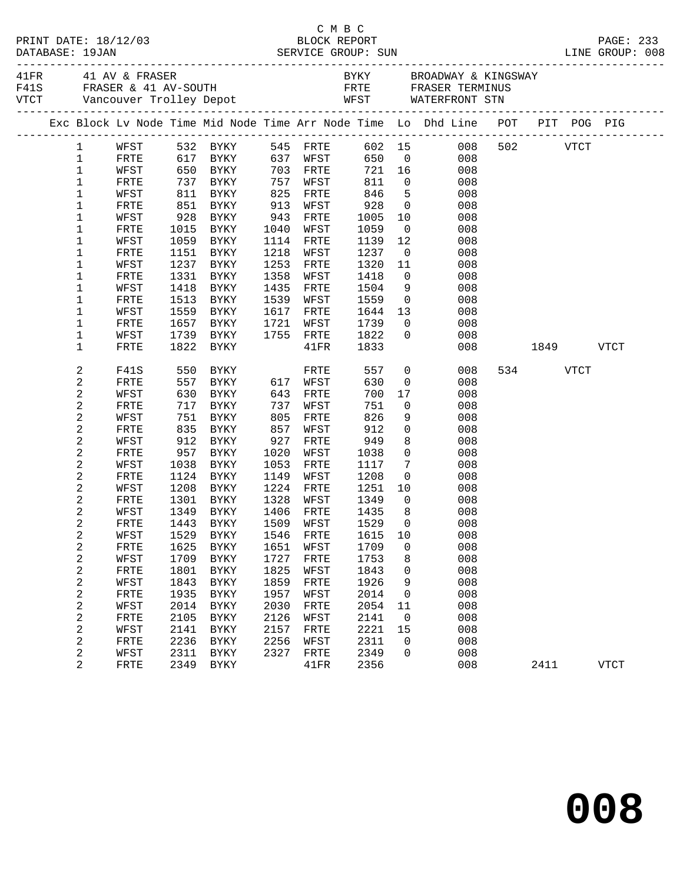|                  |                     |              |                                  |              |                   |              |                                  | Exc Block Lv Node Time Mid Node Time Arr Node Time Lo Dhd Line POT PIT POG PIG |          |      |             |  |
|------------------|---------------------|--------------|----------------------------------|--------------|-------------------|--------------|----------------------------------|--------------------------------------------------------------------------------|----------|------|-------------|--|
| $\mathbf{1}$     |                     |              | WFST 532 BYKY                    |              | 545 FRTE          |              |                                  | 602 15 008                                                                     | 502 VTCT |      |             |  |
| $\mathbf 1$      | FRTE                |              | 617 BYKY 637 WFST                |              |                   | 650          |                                  | 008<br>$\overline{0}$                                                          |          |      |             |  |
| $\mathbf{1}$     | WFST                |              |                                  |              | 703 FRTE          |              |                                  | $721 \t16$<br>008                                                              |          |      |             |  |
| $1\,$            | FRTE                |              | 650 BYKY<br>737 BYKY<br>811 BYKY |              | 757 WFST          | 811          | $\overline{0}$                   | 008                                                                            |          |      |             |  |
| 1                | WFST                |              |                                  | 825          | FRTE              | 846          | $5^{\circ}$                      | 008                                                                            |          |      |             |  |
| 1                | FRTE                |              | 851 BYKY                         | 913          | WFST              | 928          | $\overline{0}$                   | 008                                                                            |          |      |             |  |
| 1                | WFST                | 928          | <b>BYKY</b>                      | 943          | FRTE              | 1005         | 10                               | 008                                                                            |          |      |             |  |
| 1                | ${\tt FRTE}$        | 1015         | BYKY                             | 1040         | WFST              | 1059         | $\overline{0}$                   | 008                                                                            |          |      |             |  |
| 1                | WFST                |              | 1059 BYKY                        | 1114         | FRTE              | 1139         | 12                               | 008                                                                            |          |      |             |  |
| 1                | ${\tt FRTE}$        |              | 1151 BYKY                        | 1218         | WFST              | 1237         | $\overline{0}$                   | 008                                                                            |          |      |             |  |
| 1                | WFST                | 1237         | BYKY                             | 1253         | FRTE              | 1320         | 11                               | 008                                                                            |          |      |             |  |
| $\mathbf 1$      | ${\tt FRTE}$        |              | 1331 BYKY                        | 1358         | WFST              | 1418         | $\overline{0}$                   | 008                                                                            |          |      |             |  |
| $\mathbf 1$      | WFST                |              | 1418 BYKY                        | 1435         | FRTE              | 1504         | 9                                | 008                                                                            |          |      |             |  |
| $\mathbf 1$      | <b>FRTE</b>         | 1513         | BYKY                             | 1539         | WFST              | 1559         | $\overline{0}$                   | 008                                                                            |          |      |             |  |
| 1<br>$\mathbf 1$ | WFST<br><b>FRTE</b> | 1559<br>1657 | BYKY                             | 1617<br>1721 | FRTE              | 1644<br>1739 | 13<br>$\overline{0}$             | 008<br>008                                                                     |          |      |             |  |
|                  |                     |              | BYKY<br>1739 BYKY                |              | WFST<br>1755 FRTE | 1822         | $\overline{0}$                   | 008                                                                            |          |      |             |  |
| 1<br>$\mathbf 1$ | WFST<br>FRTE        | 1822         | BYKY                             |              | $41\mathrm{FR}$   | 1833         |                                  | 008                                                                            |          | 1849 | <b>VTCT</b> |  |
|                  |                     |              |                                  |              |                   |              |                                  |                                                                                |          |      |             |  |
| 2                | F41S                | 550          | BYKY                             |              | FRTE              | 557          | $\overline{0}$                   | 008                                                                            | 534 VTCT |      |             |  |
| 2                | FRTE                |              | 557 BYKY                         |              | 617 WFST          | 630          | $\overline{0}$                   | 008                                                                            |          |      |             |  |
| 2                | WFST                |              | 630 BYKY                         | 643          | FRTE              | 700          | 17                               | 008                                                                            |          |      |             |  |
| 2                | FRTE                | 717          | BYKY                             | 737          | WFST              | 751          | $\overline{0}$                   | 008                                                                            |          |      |             |  |
| 2                | WFST                | 751          | BYKY                             | 805          | FRTE              | 826          | 9                                | 008                                                                            |          |      |             |  |
| 2                | ${\tt FRTE}$        |              | 835 BYKY                         | 857          | WFST              | 912          | $\mathsf{O}$                     | 008                                                                            |          |      |             |  |
| 2                | WFST                |              | 912 BYKY                         | 927          | FRTE              | 949          | 8                                | 008                                                                            |          |      |             |  |
| 2                | FRTE                | 957          | BYKY                             | 1020         | WFST              | 1038         | $\mathsf{O}$                     | 008                                                                            |          |      |             |  |
| 2                | WFST                | 1038         | BYKY                             | 1053         | FRTE              | 1117         | $7\phantom{.0}$                  | 008                                                                            |          |      |             |  |
| 2                | FRTE                |              | 1124 BYKY                        | 1149         | WFST              | 1208         | $\overline{0}$                   | 008                                                                            |          |      |             |  |
| 2                | WFST                | 1208         | BYKY                             | 1224         | FRTE              | 1251         | 10                               | 008                                                                            |          |      |             |  |
| 2                | FRTE                |              | 1301 BYKY                        | 1328         | WFST              | 1349         | $\overline{0}$                   | 008                                                                            |          |      |             |  |
| 2                | WFST                | 1349         | <b>BYKY</b>                      | 1406         | FRTE              | 1435         | 8 <sup>8</sup><br>$\overline{0}$ | 008                                                                            |          |      |             |  |
| 2                | FRTE                |              | 1443 BYKY                        |              | 1509 WFST         | 1529         |                                  | 008                                                                            |          |      |             |  |
| 2                | WFST                |              |                                  |              |                   |              |                                  | 1529 BYKY 1546 FRTE 1615 10 008                                                |          |      |             |  |
| 2                | FRTE                | 1625<br>1709 | BYKY                             | 1651<br>1727 | WFST              | 1709<br>1753 | 0<br>8                           | 008<br>008                                                                     |          |      |             |  |
| 2<br>2           | WFST<br>FRTE        | 1801         | BYKY<br>BYKY                     | 1825         | FRTE<br>WFST      | 1843         | 0                                | 008                                                                            |          |      |             |  |
| 2                | WFST                | 1843         | <b>BYKY</b>                      | 1859         | FRTE              | 1926         | 9                                | 008                                                                            |          |      |             |  |
| 2                | FRTE                | 1935         | <b>BYKY</b>                      | 1957         | WFST              | 2014         | 0                                | 008                                                                            |          |      |             |  |
| 2                | WFST                | 2014         | BYKY                             | 2030         | FRTE              | 2054         | 11                               | 008                                                                            |          |      |             |  |
| 2                | FRTE                | 2105         | <b>BYKY</b>                      | 2126         | WFST              | 2141         | $\overline{0}$                   | 008                                                                            |          |      |             |  |
| 2                | WFST                | 2141         | BYKY                             | 2157         | FRTE              | 2221         | 15                               | 008                                                                            |          |      |             |  |
| 2                | FRTE                | 2236         | BYKY                             | 2256         | WFST              | 2311         | 0                                | 008                                                                            |          |      |             |  |
| 2                | WFST                | 2311         | BYKY                             | 2327         | FRTE              | 2349         | 0                                | 008                                                                            |          |      |             |  |
| 2                | FRTE                | 2349         | BYKY                             |              | 41FR              | 2356         |                                  | 008                                                                            | 2411     |      | VTCT        |  |
|                  |                     |              |                                  |              |                   |              |                                  |                                                                                |          |      |             |  |

C M B C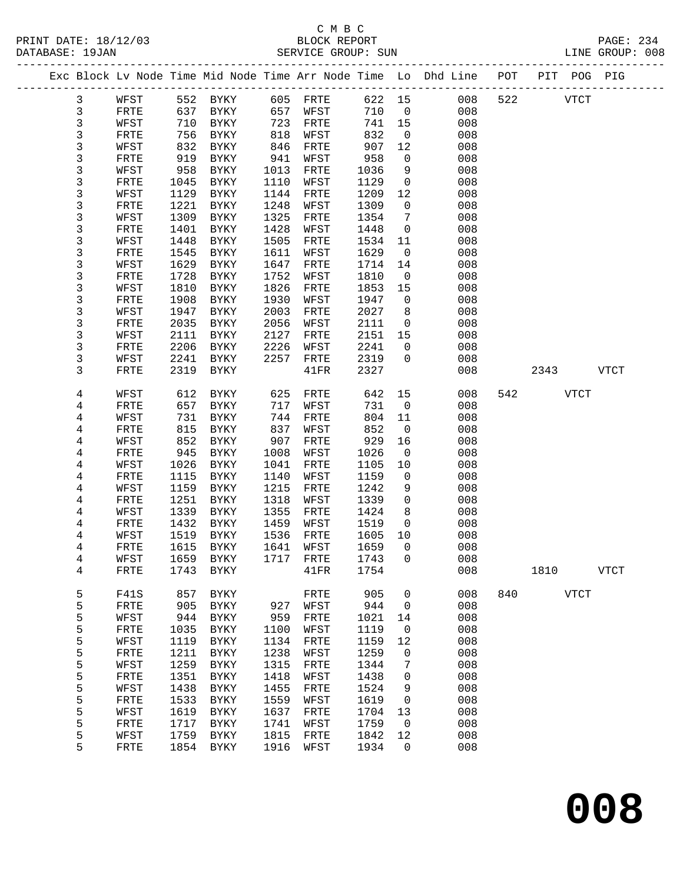# C M B C<br>BLOCK REPORT

PAGE: 234<br>LINE GROUP: 008

|  |   |              |      |              |      | ORVATCH QVOOL. OOM |        |                |                                                                    |     |      |             | GROUP. OUD  |
|--|---|--------------|------|--------------|------|--------------------|--------|----------------|--------------------------------------------------------------------|-----|------|-------------|-------------|
|  |   |              |      |              |      |                    |        |                | Exc Block Lv Node Time Mid Node Time Arr Node Time Lo Dhd Line POT |     |      | PIT POG PIG |             |
|  | 3 | WFST         |      | 552 BYKY     |      | 605 FRTE           | 622 15 |                | 008                                                                | 522 |      | <b>VTCT</b> |             |
|  | 3 | FRTE         | 637  | BYKY         | 657  | WFST               | 710    | $\overline{0}$ | 008                                                                |     |      |             |             |
|  | 3 | WFST         | 710  | BYKY         | 723  | FRTE               | 741    | 15             | 008                                                                |     |      |             |             |
|  | 3 | FRTE         | 756  | BYKY         | 818  | WFST               | 832    | $\overline{0}$ | 008                                                                |     |      |             |             |
|  | 3 | WFST         | 832  | BYKY         | 846  | FRTE               | 907    | 12             | 008                                                                |     |      |             |             |
|  | 3 | FRTE         | 919  | BYKY         | 941  | WFST               | 958    | $\overline{0}$ | 008                                                                |     |      |             |             |
|  | 3 | WFST         | 958  | BYKY         | 1013 | FRTE               | 1036   | 9              | 008                                                                |     |      |             |             |
|  | 3 | FRTE         | 1045 | BYKY         | 1110 | WFST               | 1129   | $\overline{0}$ | 008                                                                |     |      |             |             |
|  | 3 | WFST         | 1129 | <b>BYKY</b>  | 1144 | FRTE               | 1209   | 12             | 008                                                                |     |      |             |             |
|  | 3 | FRTE         | 1221 | BYKY         | 1248 | WFST               | 1309   | $\mathsf{O}$   | 008                                                                |     |      |             |             |
|  | 3 | WFST         | 1309 | BYKY         | 1325 | FRTE               | 1354   | 7              | 008                                                                |     |      |             |             |
|  | 3 | FRTE         | 1401 | BYKY         | 1428 | WFST               | 1448   | $\mathsf{O}$   | 008                                                                |     |      |             |             |
|  | 3 | WFST         | 1448 | BYKY         | 1505 | FRTE               | 1534   | 11             | 008                                                                |     |      |             |             |
|  | 3 | FRTE         | 1545 | BYKY         | 1611 | WFST               | 1629   | $\overline{0}$ | 008                                                                |     |      |             |             |
|  | 3 | WFST         | 1629 | BYKY         | 1647 | FRTE               | 1714   | 14             | 008                                                                |     |      |             |             |
|  | 3 | FRTE         | 1728 | BYKY         | 1752 | WFST               | 1810   | $\overline{0}$ | 008                                                                |     |      |             |             |
|  | 3 | WFST         | 1810 | BYKY         | 1826 | FRTE               | 1853   | 15             | 008                                                                |     |      |             |             |
|  | 3 | FRTE         | 1908 | BYKY         | 1930 | WFST               | 1947   | $\mathsf{O}$   | 008                                                                |     |      |             |             |
|  | 3 | WFST         | 1947 | BYKY         | 2003 | FRTE               | 2027   | 8              | 008                                                                |     |      |             |             |
|  | 3 | FRTE         | 2035 | BYKY         | 2056 | WFST               | 2111   | $\overline{0}$ | 008                                                                |     |      |             |             |
|  | 3 | WFST         | 2111 | BYKY         | 2127 | FRTE               | 2151   | 15             | 008                                                                |     |      |             |             |
|  | 3 | FRTE         | 2206 | BYKY         | 2226 | WFST               | 2241   | $\mathsf{O}$   | 008                                                                |     |      |             |             |
|  | 3 | WFST         | 2241 | <b>BYKY</b>  | 2257 | FRTE               | 2319   | $\mathbf 0$    | 008                                                                |     |      |             |             |
|  | 3 | FRTE         | 2319 | BYKY         |      | 41FR               | 2327   |                | 008                                                                |     | 2343 |             | <b>VTCT</b> |
|  | 4 | WFST         | 612  | BYKY         | 625  | FRTE               | 642    | 15             | 008                                                                | 542 |      | VTCT        |             |
|  | 4 | FRTE         | 657  | BYKY         | 717  | WFST               | 731    | $\overline{0}$ | 008                                                                |     |      |             |             |
|  | 4 | WFST         | 731  | BYKY         | 744  | FRTE               | 804    | 11             | 008                                                                |     |      |             |             |
|  | 4 | FRTE         | 815  | BYKY         | 837  | WFST               | 852    | $\overline{0}$ | 008                                                                |     |      |             |             |
|  | 4 | WFST         | 852  | BYKY         | 907  | FRTE               | 929    | 16             | 008                                                                |     |      |             |             |
|  | 4 | FRTE         | 945  | BYKY         | 1008 | WFST               | 1026   | $\overline{0}$ | 008                                                                |     |      |             |             |
|  | 4 | WFST         | 1026 | BYKY         | 1041 | FRTE               | 1105   | 10             | 008                                                                |     |      |             |             |
|  | 4 | FRTE         | 1115 | BYKY         | 1140 | WFST               | 1159   | $\overline{0}$ | 008                                                                |     |      |             |             |
|  | 4 | WFST         | 1159 | BYKY         | 1215 | FRTE               | 1242   | 9              | 008                                                                |     |      |             |             |
|  | 4 | FRTE         | 1251 | BYKY         | 1318 | WFST               | 1339   | $\mathsf{O}$   | 008                                                                |     |      |             |             |
|  | 4 | WFST         | 1339 | BYKY         | 1355 | FRTE               | 1424   | 8              | 008                                                                |     |      |             |             |
|  | 4 | FRTE         | 1432 | BYKY         | 1459 | WFST               | 1519   | $\overline{0}$ | 008                                                                |     |      |             |             |
|  | 4 | WFST         | 1519 | BYKY         | 1536 | FRTE               | 1605   | 10             | 008                                                                |     |      |             |             |
|  | 4 | FRTE         | 1615 | BYKY         | 1641 | WFST               | 1659   | $\Omega$       | 008                                                                |     |      |             |             |
|  | 4 | WFST         | 1659 | <b>BYKY</b>  | 1717 | FRTE               | 1743   | 0              | 008                                                                |     |      |             |             |
|  | 4 | FRTE         | 1743 | <b>BYKY</b>  |      | 41FR               | 1754   |                | 008                                                                |     | 1810 |             | <b>VTCT</b> |
|  | 5 | <b>F41S</b>  | 857  | BYKY         |      | FRTE               | 905    | 0              | 008                                                                | 840 |      | <b>VTCT</b> |             |
|  | 5 | FRTE         | 905  | <b>BYKY</b>  | 927  | WFST               | 944    | 0              | 008                                                                |     |      |             |             |
|  | 5 | WFST         | 944  | <b>BYKY</b>  | 959  | FRTE               | 1021   | 14             | 008                                                                |     |      |             |             |
|  | 5 | ${\tt FRTE}$ | 1035 | ${\tt BYKY}$ | 1100 | WFST               | 1119   | 0              | 008                                                                |     |      |             |             |
|  | 5 | WFST         | 1119 | ${\tt BYKY}$ | 1134 | FRTE               | 1159   | 12             | 008                                                                |     |      |             |             |
|  | 5 | FRTE         | 1211 | ${\tt BYKY}$ | 1238 | WFST               | 1259   | 0              | 008                                                                |     |      |             |             |
|  | 5 | WFST         | 1259 | ${\tt BYKY}$ | 1315 | FRTE               | 1344   | 7              | 008                                                                |     |      |             |             |
|  | 5 | FRTE         | 1351 | ${\tt BYKY}$ | 1418 | WFST               | 1438   | 0              | 008                                                                |     |      |             |             |
|  | 5 | WFST         | 1438 | ${\tt BYKY}$ | 1455 | ${\tt FRTE}$       | 1524   | 9              | 008                                                                |     |      |             |             |
|  | 5 | FRTE         | 1533 | ${\tt BYKY}$ | 1559 | WFST               | 1619   | 0              | 008                                                                |     |      |             |             |
|  | 5 | WFST         | 1619 | <b>BYKY</b>  | 1637 | FRTE               | 1704   | 13             | 008                                                                |     |      |             |             |
|  | 5 | ${\tt FRTE}$ | 1717 | <b>BYKY</b>  | 1741 | WFST               | 1759   | 0              | 008                                                                |     |      |             |             |
|  | 5 | WFST         | 1759 | <b>BYKY</b>  | 1815 | FRTE               | 1842   | 12             | 008                                                                |     |      |             |             |
|  | 5 | FRTE         | 1854 | <b>BYKY</b>  | 1916 | WFST               | 1934   | 0              | 008                                                                |     |      |             |             |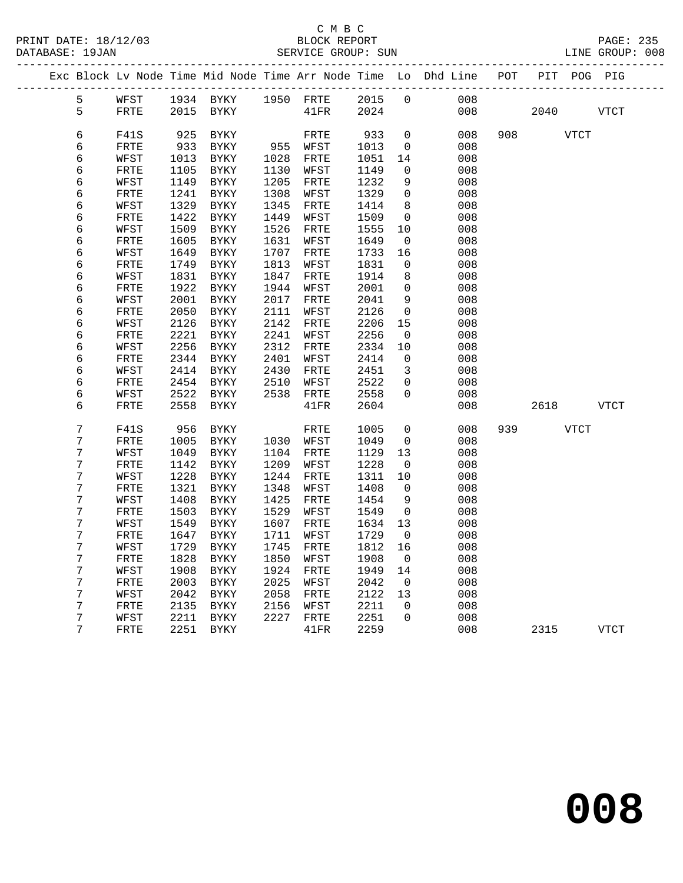|  |                |              |              |                     |              |              |              |                   | Exc Block Lv Node Time Mid Node Time Arr Node Time Lo Dhd Line POT |     |      |      | PIT POG PIG |
|--|----------------|--------------|--------------|---------------------|--------------|--------------|--------------|-------------------|--------------------------------------------------------------------|-----|------|------|-------------|
|  | 5              | WFST         |              | 1934 BYKY 1950 FRTE |              |              | 2015         | $\overline{0}$    | 008                                                                |     |      |      |             |
|  | 5              | FRTE         | 2015         | BYKY                |              | 41FR         | 2024         |                   | 008                                                                |     | 2040 |      | <b>VTCT</b> |
|  |                |              |              |                     |              |              |              |                   |                                                                    |     |      |      |             |
|  | 6              | F41S         | 925          | BYKY                |              | FRTE         | 933          | $\mathbf 0$       | 008                                                                | 908 |      | VTCT |             |
|  | 6              | FRTE         | 933          | <b>BYKY</b>         |              | 955 WFST     | 1013         | $\overline{0}$    | 008                                                                |     |      |      |             |
|  | 6              | WFST         | 1013         | BYKY                | 1028         | FRTE         | 1051         | 14                | 008                                                                |     |      |      |             |
|  | 6              | FRTE         | 1105         | BYKY                | 1130         | WFST         | 1149         | $\mathbf 0$       | 008                                                                |     |      |      |             |
|  | 6<br>6         | WFST<br>FRTE | 1149<br>1241 | BYKY<br>BYKY        | 1205<br>1308 | FRTE<br>WFST | 1232<br>1329 | 9<br>$\Omega$     | 008<br>008                                                         |     |      |      |             |
|  | б              | WFST         | 1329         | $\rm BYKY$          | 1345         | FRTE         | 1414         | 8                 | 008                                                                |     |      |      |             |
|  | 6              | FRTE         | 1422         | BYKY                | 1449         | WFST         | 1509         | $\mathbf 0$       | 008                                                                |     |      |      |             |
|  | 6              | WFST         | 1509         | <b>BYKY</b>         | 1526         | FRTE         | 1555         | 10                | 008                                                                |     |      |      |             |
|  | 6              | FRTE         | 1605         | BYKY                | 1631         | WFST         | 1649         | 0                 | 008                                                                |     |      |      |             |
|  | 6              | WFST         | 1649         | BYKY                | 1707         | FRTE         | 1733         | 16                | 008                                                                |     |      |      |             |
|  | 6              | FRTE         | 1749         | BYKY                | 1813         | WFST         | 1831         | 0                 | 008                                                                |     |      |      |             |
|  | б              | WFST         | 1831         | BYKY                | 1847         | FRTE         | 1914         | 8                 | 008                                                                |     |      |      |             |
|  | 6              | FRTE         | 1922         | BYKY                | 1944         | WFST         | 2001         | 0                 | 008                                                                |     |      |      |             |
|  | 6              | WFST         | 2001         | BYKY                | 2017         | FRTE         | 2041         | 9                 | 008                                                                |     |      |      |             |
|  | 6              | FRTE         | 2050         | BYKY                | 2111         | WFST         | 2126         | $\mathbf 0$       | 008                                                                |     |      |      |             |
|  | 6              | WFST         | 2126         | BYKY                | 2142         | FRTE         | 2206         | 15                | 008                                                                |     |      |      |             |
|  | 6              | FRTE         | 2221         | BYKY                | 2241         | WFST         | 2256         | 0                 | 008                                                                |     |      |      |             |
|  | 6              | WFST         | 2256         | BYKY                | 2312         | FRTE         | 2334         | 10                | 008                                                                |     |      |      |             |
|  | 6              | FRTE         | 2344         | BYKY                | 2401         | WFST         | 2414         | $\mathbf 0$       | 008                                                                |     |      |      |             |
|  | 6              | WFST         | 2414         | BYKY                | 2430         | FRTE         | 2451         | 3                 | 008                                                                |     |      |      |             |
|  | 6<br>6         | FRTE         | 2454<br>2522 | BYKY                | 2510<br>2538 | WFST         | 2522<br>2558 | 0<br>$\Omega$     | 008<br>008                                                         |     |      |      |             |
|  | 6              | WFST<br>FRTE | 2558         | BYKY<br>BYKY        |              | FRTE<br>41FR | 2604         |                   | 008                                                                |     | 2618 |      | VTCT        |
|  |                |              |              |                     |              |              |              |                   |                                                                    |     |      |      |             |
|  | $\overline{7}$ | F41S         | 956          | BYKY                |              | FRTE         | 1005         | $\overline{0}$    | 008                                                                | 939 |      | VTCT |             |
|  | 7              | FRTE         | 1005         | BYKY                | 1030         | WFST         | 1049         | 0                 | 008                                                                |     |      |      |             |
|  | 7              | WFST         | 1049         | BYKY                | 1104         | FRTE         | 1129         | 13                | 008                                                                |     |      |      |             |
|  | 7<br>7         | FRTE         | 1142         | BYKY                | 1209         | WFST         | 1228         | $\overline{0}$    | 008                                                                |     |      |      |             |
|  | 7              | WFST<br>FRTE | 1228<br>1321 | BYKY<br>BYKY        | 1244<br>1348 | FRTE<br>WFST | 1311<br>1408 | 10<br>$\mathbf 0$ | 008<br>008                                                         |     |      |      |             |
|  | 7              | WFST         | 1408         | BYKY                | 1425         | FRTE         | 1454         | 9                 | 008                                                                |     |      |      |             |
|  | 7              | FRTE         | 1503         | BYKY                | 1529         | WFST         | 1549         | $\mathbf 0$       | 008                                                                |     |      |      |             |
|  | 7              | WFST         | 1549         | BYKY                | 1607         | FRTE         | 1634         | 13                | 008                                                                |     |      |      |             |
|  | 7              | FRTE         | 1647         | <b>BYKY</b>         | 1711         | WFST         | 1729         | $\overline{0}$    | 008                                                                |     |      |      |             |
|  | 7              | WFST         | 1729         | <b>BYKY</b>         | 1745         | FRTE         | 1812         | 16                | 008                                                                |     |      |      |             |
|  | 7              | FRTE         | 1828         | BYKY                | 1850         | WFST         | 1908         | 0                 | 008                                                                |     |      |      |             |
|  | 7              | WFST         | 1908         | BYKY                | 1924         | FRTE         | 1949         | 14                | 008                                                                |     |      |      |             |
|  | 7              | FRTE         | 2003         | BYKY                | 2025         | WFST         | 2042         | 0                 | 008                                                                |     |      |      |             |
|  | 7              | WFST         | 2042         | BYKY                | 2058         | FRTE         | 2122         | 13                | 008                                                                |     |      |      |             |
|  | 7              | FRTE         | 2135         | BYKY                | 2156         | WFST         | 2211         | $\mathbf 0$       | 008                                                                |     |      |      |             |
|  | 7              | WFST         | 2211         | BYKY                | 2227         | FRTE         | 2251         | $\mathbf 0$       | 008                                                                |     |      |      |             |
|  | 7              | FRTE         | 2251         | BYKY                |              | 41FR         | 2259         |                   | 008                                                                |     | 2315 |      | VTCT        |
|  |                |              |              |                     |              |              |              |                   |                                                                    |     |      |      |             |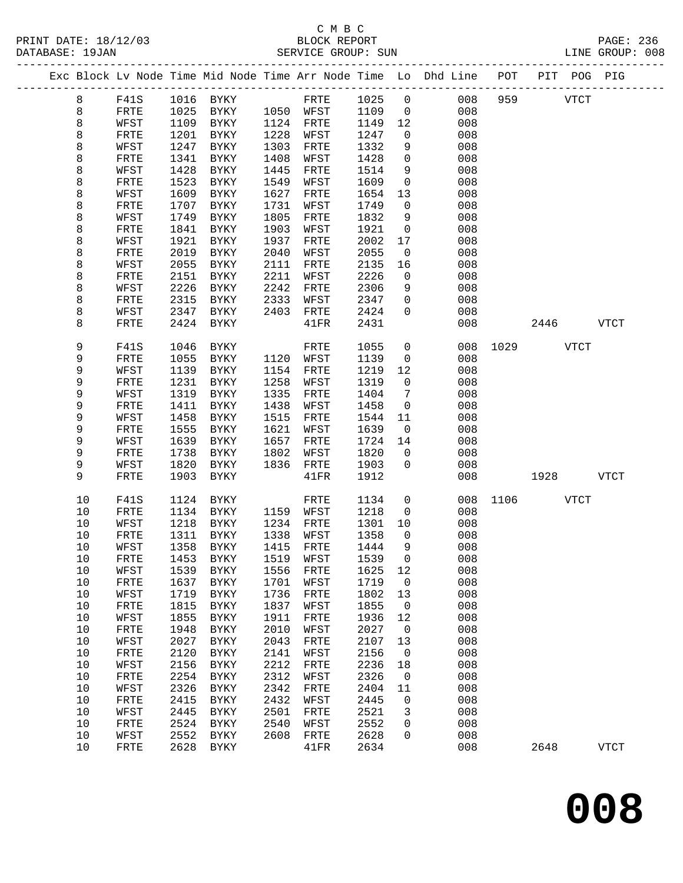|  |          |                      |              |                     |              |              |              |                         | Exc Block Lv Node Time Mid Node Time Arr Node Time Lo Dhd Line POT PIT POG PIG |               |             |             |
|--|----------|----------------------|--------------|---------------------|--------------|--------------|--------------|-------------------------|--------------------------------------------------------------------------------|---------------|-------------|-------------|
|  | 8        | F41S                 |              | 1016 BYKY           |              | FRTE 1025 0  |              |                         | 008                                                                            | 959           | <b>VTCT</b> |             |
|  | 8        | FRTE                 |              | 1025 BYKY           |              | 1050 WFST    | 1109         | $\overline{0}$          | 008                                                                            |               |             |             |
|  | 8        | WFST                 | 1109         | BYKY                |              | 1124 FRTE    | 1149         | 12                      | 008                                                                            |               |             |             |
|  | 8        | FRTE                 | 1201         | BYKY                | 1228         | WFST         | 1247         | $\overline{0}$          | 008                                                                            |               |             |             |
|  | 8        | WFST                 | 1247         | BYKY                | 1303         | FRTE         | 1332         | 9                       | 008                                                                            |               |             |             |
|  | 8        | FRTE                 | 1341         | BYKY                | 1408         | WFST         | 1428         | $\mathbf 0$             | 008                                                                            |               |             |             |
|  | 8        | WFST                 | 1428         | BYKY                | 1445         | FRTE         | 1514         | 9                       | 008                                                                            |               |             |             |
|  | 8        | FRTE                 | 1523         | BYKY                | 1549         | WFST         | 1609         | $\mathsf{O}$            | 008                                                                            |               |             |             |
|  | 8        | WFST                 | 1609         | BYKY                | 1627         | FRTE         | 1654         | 13                      | 008                                                                            |               |             |             |
|  | 8        | FRTE                 | 1707         | BYKY                | 1731         | WFST         | 1749         | $\overline{0}$          | 008                                                                            |               |             |             |
|  | 8        | WFST                 | 1749         | BYKY                | 1805         | FRTE         | 1832         | 9                       | 008                                                                            |               |             |             |
|  | 8        | FRTE                 | 1841         | BYKY                | 1903         | WFST         | 1921         | $\mathbf 0$             | 008                                                                            |               |             |             |
|  | 8        | WFST                 | 1921         | BYKY                | 1937         | ${\tt FRTE}$ | 2002         | 17                      | 008                                                                            |               |             |             |
|  | 8        | FRTE                 | 2019         | BYKY                | 2040         | WFST         | 2055         | $\overline{0}$          | 008                                                                            |               |             |             |
|  | 8<br>8   | WFST<br>FRTE         | 2055<br>2151 | BYKY<br>BYKY        | 2111<br>2211 | FRTE<br>WFST | 2135<br>2226 | 16<br>$\mathsf{O}$      | 008<br>008                                                                     |               |             |             |
|  | 8        | WFST                 | 2226         | BYKY                | 2242         | FRTE         | 2306         | 9                       | 008                                                                            |               |             |             |
|  | 8        | FRTE                 | 2315         | BYKY                | 2333         | WFST         | 2347         | $\mathbf 0$             | 008                                                                            |               |             |             |
|  | 8        | WFST                 |              | 2347 BYKY           | 2403         | FRTE         | 2424         | $\overline{0}$          | 008                                                                            |               |             |             |
|  | 8        | FRTE                 | 2424         | BYKY                |              | 41FR         | 2431         |                         | 008                                                                            |               | 2446 VTCT   |             |
|  |          |                      |              |                     |              |              |              |                         |                                                                                |               |             |             |
|  | 9        | F41S                 | 1046         | BYKY                |              | FRTE         | 1055         | $\overline{0}$          |                                                                                | 008 1029 VTCT |             |             |
|  | 9        | FRTE                 | 1055         | BYKY                | 1120         | WFST         | 1139         | $\overline{0}$          | 008                                                                            |               |             |             |
|  | 9        | WFST                 | 1139         | BYKY                | 1154         | FRTE         | 1219         | 12                      | 008                                                                            |               |             |             |
|  | 9        | FRTE                 | 1231         | BYKY                | 1258         | WFST         | 1319         | $\overline{0}$          | 008                                                                            |               |             |             |
|  | 9        | WFST                 | 1319         | BYKY                | 1335         | FRTE         | 1404         | 7                       | 008                                                                            |               |             |             |
|  | 9        | FRTE                 | 1411         | BYKY                | 1438         | WFST         | 1458         | $\overline{0}$          | 008                                                                            |               |             |             |
|  | 9        | WFST                 | 1458         | BYKY                | 1515         | FRTE         | 1544         | 11                      | 008                                                                            |               |             |             |
|  | 9        | FRTE                 | 1555         | BYKY                | 1621         | WFST         | 1639         | $\overline{\mathbf{0}}$ | 008                                                                            |               |             |             |
|  | 9<br>9   | WFST                 | 1639<br>1738 | BYKY                | 1657<br>1802 | FRTE         | 1724<br>1820 | 14<br>$\overline{0}$    | 008                                                                            |               |             |             |
|  | 9        | ${\tt FRTE}$<br>WFST | 1820         | BYKY<br>BYKY        | 1836         | WFST<br>FRTE | 1903         | $\overline{0}$          | 008<br>008                                                                     |               |             |             |
|  | 9        | FRTE                 | 1903         | BYKY                |              | 41FR         | 1912         |                         | 008                                                                            |               | 1928 - 1930 | <b>VTCT</b> |
|  |          |                      |              |                     |              |              |              |                         |                                                                                |               |             |             |
|  | 10       | F41S                 | 1124         | BYKY                |              | FRTE         | 1134         | $\overline{0}$          |                                                                                | 008 1106 VTCT |             |             |
|  | 10       | FRTE                 | 1134         | BYKY                |              | 1159 WFST    | 1218         | $\overline{0}$          | 008                                                                            |               |             |             |
|  | 10       | WFST                 | 1218         | BYKY                |              | 1234 FRTE    | 1301         | 10                      | 008                                                                            |               |             |             |
|  | 10       | FRTE                 | 1311         | BYKY                | 1338         | WFST         | 1358         | $\overline{0}$          | 008                                                                            |               |             |             |
|  | 10       | WFST                 | 1358         | BYKY                |              | 1415 FRTE    | 1444         | 9                       | 008                                                                            |               |             |             |
|  | 10       | FRTE                 |              | 1453 BYKY 1519 WFST |              |              | 1539 0       |                         | 008                                                                            |               |             |             |
|  | 10       | WFST                 | 1539         | <b>BYKY</b>         | 1556         | FRTE         | 1625         | 12                      | 008                                                                            |               |             |             |
|  | 10       | ${\tt FRTE}$         | 1637         | BYKY                | 1701         | WFST         | 1719         | $\overline{0}$          | 008                                                                            |               |             |             |
|  | 10<br>10 | WFST<br>${\tt FRTE}$ | 1719<br>1815 | BYKY<br>BYKY        | 1736<br>1837 | FRTE<br>WFST | 1802<br>1855 | 13<br>$\overline{0}$    | 008<br>008                                                                     |               |             |             |
|  | 10       | WFST                 | 1855         | <b>BYKY</b>         | 1911         | FRTE         | 1936         | 12                      | 008                                                                            |               |             |             |
|  | 10       | FRTE                 | 1948         | ${\tt BYKY}$        | 2010         | WFST         | 2027         | $\overline{0}$          | 008                                                                            |               |             |             |
|  | 10       | WFST                 | 2027         | <b>BYKY</b>         | 2043         | FRTE         | 2107         | 13                      | 008                                                                            |               |             |             |
|  | 10       | ${\tt FRTE}$         | 2120         | BYKY                | 2141         | WFST         | 2156         | $\overline{0}$          | 008                                                                            |               |             |             |
|  | 10       | WFST                 | 2156         | BYKY                | 2212         | FRTE         | 2236         | 18                      | 008                                                                            |               |             |             |
|  | 10       | ${\tt FRTE}$         | 2254         | <b>BYKY</b>         | 2312         | WFST         | 2326         | 0                       | 008                                                                            |               |             |             |
|  | 10       | WFST                 | 2326         | <b>BYKY</b>         | 2342         | FRTE         | 2404         | 11                      | 008                                                                            |               |             |             |
|  | 10       | ${\tt FRTE}$         | 2415         | BYKY                | 2432         | WFST         | 2445         | $\mathbf 0$             | 008                                                                            |               |             |             |
|  | 10       | WFST                 | 2445         | BYKY                | 2501         | FRTE         | 2521         | 3                       | 008                                                                            |               |             |             |
|  | 10       | FRTE                 | 2524         | BYKY                | 2540         | WFST         | 2552         | 0                       | 008                                                                            |               |             |             |
|  | 10       | WFST                 | 2552         | BYKY                | 2608         | FRTE         | 2628         | 0                       | 008                                                                            |               |             |             |
|  | 10       | FRTE                 | 2628         | BYKY                |              | 41FR         | 2634         |                         | 008                                                                            |               | 2648        | <b>VTCT</b> |
|  |          |                      |              |                     |              |              |              |                         |                                                                                |               |             |             |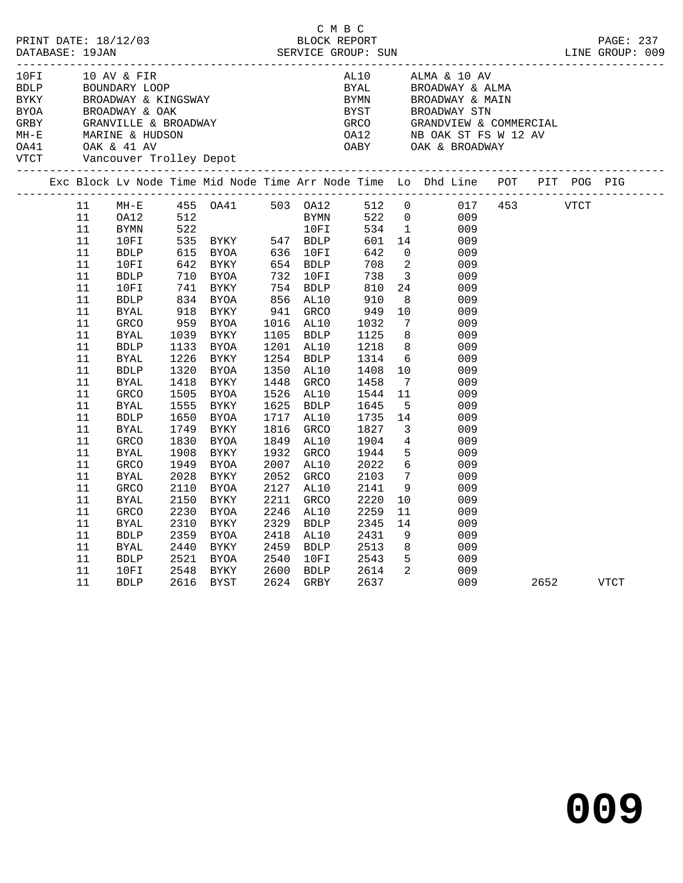|             |                                                                                                                                                                          |                                                                                                                                                                                                                                                                                                                                                              |                                                                                                                      |                                                                                                                                                                                                                                    |                                                                                                                                                         |                                                                                                                                                                                                                     | C M B C |                                                                                                                                                                                        |                                                                                                                                                                                                                                                                                                                      |                                                                                                                                                                                                                                                                                                    |      |      |      |  |
|-------------|--------------------------------------------------------------------------------------------------------------------------------------------------------------------------|--------------------------------------------------------------------------------------------------------------------------------------------------------------------------------------------------------------------------------------------------------------------------------------------------------------------------------------------------------------|----------------------------------------------------------------------------------------------------------------------|------------------------------------------------------------------------------------------------------------------------------------------------------------------------------------------------------------------------------------|---------------------------------------------------------------------------------------------------------------------------------------------------------|---------------------------------------------------------------------------------------------------------------------------------------------------------------------------------------------------------------------|---------|----------------------------------------------------------------------------------------------------------------------------------------------------------------------------------------|----------------------------------------------------------------------------------------------------------------------------------------------------------------------------------------------------------------------------------------------------------------------------------------------------------------------|----------------------------------------------------------------------------------------------------------------------------------------------------------------------------------------------------------------------------------------------------------------------------------------------------|------|------|------|--|
| <b>VTCT</b> |                                                                                                                                                                          |                                                                                                                                                                                                                                                                                                                                                              |                                                                                                                      | Vancouver Trolley Depot                                                                                                                                                                                                            |                                                                                                                                                         |                                                                                                                                                                                                                     |         |                                                                                                                                                                                        |                                                                                                                                                                                                                                                                                                                      |                                                                                                                                                                                                                                                                                                    |      |      |      |  |
|             |                                                                                                                                                                          |                                                                                                                                                                                                                                                                                                                                                              |                                                                                                                      |                                                                                                                                                                                                                                    |                                                                                                                                                         |                                                                                                                                                                                                                     |         |                                                                                                                                                                                        |                                                                                                                                                                                                                                                                                                                      | Exc Block Lv Node Time Mid Node Time Arr Node Time Lo Dhd Line POT PIT POG PIG                                                                                                                                                                                                                     |      |      |      |  |
|             | 11<br>11<br>11<br>11<br>11<br>11<br>11<br>11<br>11<br>11<br>11<br>11<br>11<br>$11\,$<br>11<br>11<br>11<br>11<br>11<br>11<br>11<br>11<br>11<br>11<br>11<br>11<br>11<br>11 | $MH-E$<br>OA12<br>BYMN<br>10FI<br><b>BDLP</b><br>10FI<br><b>BDLP</b><br>10FI<br><b>BDLP</b><br><b>BYAL</b><br>GRCO<br><b>BYAL</b><br><b>BDLP</b><br><b>BYAL</b><br><b>BDLP</b><br><b>BYAL</b><br>GRCO<br><b>BYAL</b><br><b>BDLP</b><br><b>BYAL</b><br><b>GRCO</b><br><b>BYAL</b><br><b>GRCO</b><br><b>BYAL</b><br><b>GRCO</b><br>BYAL<br><b>GRCO</b><br>BYAL | 1039<br>1226<br>1320<br>1418<br>1555<br>1650<br>1749<br>1830<br>1908<br>1949<br>2028<br>2110<br>2150<br>2230<br>2310 | 615 BYOA<br>642 BYKY<br>710 BYOA<br>741 BYKY<br>834 BYOA<br>918 BYKY<br>959 BYOA<br>BYKY<br>1133 BYOA<br>BYKY<br>BYOA<br>BYKY<br>1505 BYOA<br>BYKY<br>BYOA<br>BYKY<br>BYOA<br>BYKY<br>BYOA<br>BYKY<br>BYOA<br>BYKY<br>BYOA<br>BYKY | 636 10FI<br>654 BDLP<br>856 AL10<br>941<br>1254<br>1350<br>1448<br>1625<br>1717<br>1816<br>1849<br>1932<br>2007<br>2052<br>2127<br>2211<br>2246<br>2329 | 654 BDLP<br>732 10FI<br>754 BDLP<br>GRCO<br>1016 AL10<br>1105 BDLP<br>1201 AL10<br><b>BDLP</b><br>AL10<br>GRCO<br>1526 AL10<br>BDLP<br>AL10<br>GRCO<br>AL10<br>GRCO<br>AL10<br>GRCO<br>AL10<br>GRCO<br>AL10<br>BDLP |         | 642<br>708<br>738<br>810<br>910<br>949<br>1032<br>1125<br>1218<br>1314<br>1408<br>1458<br>1544<br>1645<br>1735<br>1827<br>1904<br>1944<br>2022<br>2103<br>2141<br>2220<br>2259<br>2345 | $\overline{0}$<br>$\overline{\phantom{a}}$<br>$\overline{\mathbf{3}}$<br>24<br>8 <sup>8</sup><br>10<br>$\overline{7}$<br>8 <sup>8</sup><br>8 <sup>8</sup><br>10<br>$7\overline{ }$<br>11<br>$-5$<br>14<br>$\overline{\mathbf{3}}$<br>$\overline{4}$<br>5<br>$6\overline{6}$<br>$\overline{7}$<br>9<br>10<br>11<br>14 | 455 0A41 503 0A12 512 0 017<br>512 BYMN 522 0 009<br>522 10FI 534 1 009<br>535 BYKY 547 BDLP 601 14 009<br>009<br>009<br>009<br>009<br>009<br>009<br>009<br>009<br>009<br>$6\overline{6}$<br>009<br>009<br>009<br>009<br>009<br>009<br>009<br>009<br>009<br>009<br>009<br>009<br>009<br>009<br>009 | 453  | VTCT |      |  |
|             | 11<br>11<br>11<br>11<br>11                                                                                                                                               | <b>BDLP</b><br>BYAL<br><b>BDLP</b><br>10FI<br><b>BDLP</b>                                                                                                                                                                                                                                                                                                    | 2359<br>2440<br>2521<br>2548                                                                                         | BYOA<br>BYKY<br>BYOA<br>BYKY<br>2616 BYST                                                                                                                                                                                          | 2418<br>2459<br>2540<br>2600                                                                                                                            | AL10<br>BDLP<br>10FI<br>BDLP<br>2624 GRBY                                                                                                                                                                           |         | 2431<br>2513<br>2543<br>2614<br>2637                                                                                                                                                   | 9<br>8<br>$5^{\circ}$<br>$\overline{\mathbf{2}}$                                                                                                                                                                                                                                                                     | 009<br>009<br>009<br>009<br>009                                                                                                                                                                                                                                                                    | 2652 |      | VTCT |  |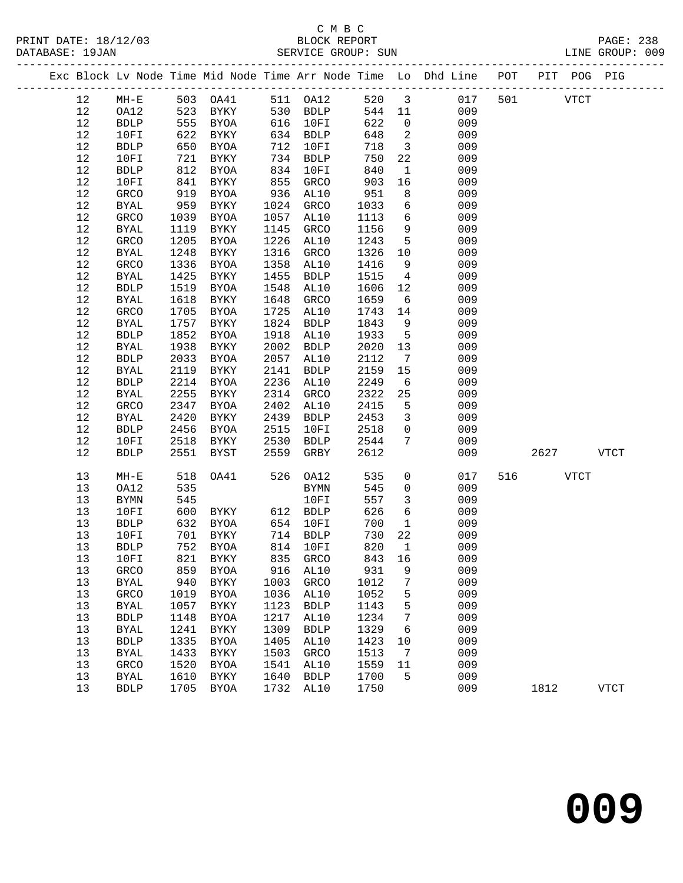PRINT DATE: 18/12/03 BLOCK REPORT PAGE: 238 DATABASE: 19JAN

# C M B C<br>BLOCK REPORT

|  | DAIABASE · 190AN |             |     |             |     | SEKVICE GKOUP. SUN |        |                         |                                                                |     |     |      | LINE GROUP. OUY |  |
|--|------------------|-------------|-----|-------------|-----|--------------------|--------|-------------------------|----------------------------------------------------------------|-----|-----|------|-----------------|--|
|  |                  |             |     |             |     |                    |        |                         | Exc Block Ly Node Time Mid Node Time Arr Node Time Lo Dhd Line | POT | PIT | POG- | PIG             |  |
|  | 12               | MH-E        | 503 | OA41        | 511 | OA12               | 520    | $\overline{\mathbf{3}}$ | 017                                                            | 501 |     | VTCT |                 |  |
|  | 12               | OA12        | 523 | BYKY        | 530 | BDLP               | 544 11 |                         | 009                                                            |     |     |      |                 |  |
|  | 12               | BDLP        | 555 | BYOA        | 616 | 10FI               | 622    | $\overline{0}$          | 009                                                            |     |     |      |                 |  |
|  | 12               | 10FI        | 622 | BYKY        | 634 | BDLP               | 648    | - 2                     | 009                                                            |     |     |      |                 |  |
|  | 12               | BDLP        | 650 | BYOA        | 712 | 10FI               | 718    |                         | 009                                                            |     |     |      |                 |  |
|  | 12               | 10FI        | 721 | BYKY        | 734 | BDLP               | 750    | 22                      | 009                                                            |     |     |      |                 |  |
|  | 12               | <b>BDLP</b> | 812 | BYOA        | 834 | 10FI               | 840    |                         | 009                                                            |     |     |      |                 |  |
|  | 12               | 10FT        | 841 | <b>RYKY</b> | 855 | GRMN               | 903    | 16                      | 009                                                            |     |     |      |                 |  |

| 12     | ${\tt BDLP}$             | 650  | <b>BYOA</b>  | 712  | 10FI         | 718  | $\mathsf{3}$        | 009 |     |      |             |              |
|--------|--------------------------|------|--------------|------|--------------|------|---------------------|-----|-----|------|-------------|--------------|
| $1\,2$ | $10FI$                   | 721  | ${\tt BYKY}$ | 734  | ${\tt BDLP}$ | 750  | $2\sqrt{2}$         | 009 |     |      |             |              |
| $12$   | ${\tt BDLP}$             | 812  | <b>BYOA</b>  | 834  | 10FI         | 840  | $\mathbf 1$         | 009 |     |      |             |              |
| $12$   | 10FI                     | 841  | <b>BYKY</b>  | 855  | GRCO         | 903  | 16                  | 009 |     |      |             |              |
| $12$   | GRCO                     | 919  | <b>BYOA</b>  | 936  | AL10         | 951  | $\,8\,$             | 009 |     |      |             |              |
| $12$   | <b>BYAL</b>              | 959  | <b>BYKY</b>  | 1024 | GRCO         | 1033 | 6                   | 009 |     |      |             |              |
| $12$   | GRCO                     | 1039 | <b>BYOA</b>  | 1057 | AL10         | 1113 | 6                   | 009 |     |      |             |              |
| $12$   | <b>BYAL</b>              | 1119 | <b>BYKY</b>  | 1145 | GRCO         | 1156 | 9                   | 009 |     |      |             |              |
| $12$   | GRCO                     | 1205 | <b>BYOA</b>  | 1226 | AL10         | 1243 | 5                   | 009 |     |      |             |              |
| 12     | <b>BYAL</b>              | 1248 | <b>BYKY</b>  | 1316 | GRCO         | 1326 | $10$                | 009 |     |      |             |              |
| $12$   | GRCO                     | 1336 | <b>BYOA</b>  | 1358 | AL10         | 1416 | 9                   | 009 |     |      |             |              |
| $12$   | <b>BYAL</b>              | 1425 | <b>BYKY</b>  | 1455 | ${\tt BDLP}$ | 1515 | $\,4$               | 009 |     |      |             |              |
| $1\,2$ | <b>BDLP</b>              | 1519 | <b>BYOA</b>  | 1548 | AL10         | 1606 | $12\,$              | 009 |     |      |             |              |
| $12$   | <b>BYAL</b>              | 1618 | <b>BYKY</b>  | 1648 | GRCO         | 1659 | 6                   | 009 |     |      |             |              |
| $12$   | GRCO                     | 1705 | <b>BYOA</b>  | 1725 | AL10         | 1743 | $14\,$              | 009 |     |      |             |              |
| $1\,2$ | <b>BYAL</b>              | 1757 | <b>BYKY</b>  | 1824 | ${\tt BDLP}$ | 1843 | 9                   | 009 |     |      |             |              |
| $12$   | ${\tt BDLP}$             | 1852 | <b>BYOA</b>  | 1918 | AL10         | 1933 | 5                   | 009 |     |      |             |              |
| 12     | <b>BYAL</b>              | 1938 | <b>BYKY</b>  | 2002 | <b>BDLP</b>  | 2020 | 13                  | 009 |     |      |             |              |
| $12$   | BDLP                     | 2033 | <b>BYOA</b>  | 2057 | AL10         | 2112 | $\sqrt{ }$          | 009 |     |      |             |              |
| $12$   | <b>BYAL</b>              | 2119 | <b>BYKY</b>  | 2141 | ${\tt BDLP}$ | 2159 | $15$                | 009 |     |      |             |              |
| $12$   | ${\tt BDLP}$             | 2214 | <b>BYOA</b>  | 2236 | AL10         | 2249 | 6                   | 009 |     |      |             |              |
| $12$   | $\rm BYAL$               | 2255 | ${\tt BYKY}$ | 2314 | ${\tt GRCO}$ | 2322 | 25                  | 009 |     |      |             |              |
| $1\,2$ | GRCO                     | 2347 | <b>BYOA</b>  | 2402 | AL10         | 2415 | 5                   | 009 |     |      |             |              |
| 12     | <b>BYAL</b>              | 2420 | <b>BYKY</b>  | 2439 | <b>BDLP</b>  | 2453 | 3                   | 009 |     |      |             |              |
| $12$   | <b>BDLP</b>              | 2456 | ${\tt BYOA}$ | 2515 | 10FI         | 2518 | $\mathsf{O}\xspace$ | 009 |     |      |             |              |
| $12$   | 10FI                     | 2518 | <b>BYKY</b>  | 2530 | ${\tt BDLP}$ | 2544 | $\boldsymbol{7}$    | 009 |     |      |             |              |
| $12$   | <b>BDLP</b>              | 2551 | <b>BYST</b>  | 2559 | GRBY         | 2612 |                     | 009 |     | 2627 |             | ${\tt VTCT}$ |
|        |                          |      |              |      |              |      |                     |     |     |      |             |              |
| 13     | $\texttt{MH}-\texttt{E}$ | 518  | OA41         | 526  | OA12         | 535  | $\mathsf{O}\xspace$ | 017 | 516 |      | <b>VTCT</b> |              |
| 13     | OA12                     | 535  |              |      | <b>BYMN</b>  | 545  | 0                   | 009 |     |      |             |              |
| 13     | $\rm BYMN$               | 545  |              |      | 10FI         | 557  | $\mathsf{3}$        | 009 |     |      |             |              |
| 13     | 10FI                     | 600  | <b>BYKY</b>  | 612  | ${\tt BDLP}$ | 626  | 6                   | 009 |     |      |             |              |
| 13     | ${\tt BDLP}$             | 632  | <b>BYOA</b>  | 654  | 10FI         | 700  | $\mathbf 1$         | 009 |     |      |             |              |
| 13     | 10FI                     | 701  | <b>BYKY</b>  | 714  | ${\tt BDLP}$ | 730  | $2\sqrt{2}$         | 009 |     |      |             |              |
| 13     | ${\tt BDLP}$             | 752  | <b>BYOA</b>  | 814  | 10FI         | 820  | $\mathbf 1$         | 009 |     |      |             |              |
| 13     | 10FI                     | 821  | <b>BYKY</b>  | 835  | GRCO         | 843  | 16                  | 009 |     |      |             |              |
| $13$   | GRCO                     | 859  | <b>BYOA</b>  | 916  | AL10         | 931  | 9                   | 009 |     |      |             |              |
| $13$   | <b>BYAL</b>              | 940  | <b>BYKY</b>  | 1003 | GRCO         | 1012 | $\boldsymbol{7}$    | 009 |     |      |             |              |
| 13     | <b>GRCO</b>              | 1019 | <b>BYOA</b>  | 1036 | AL10         | 1052 | 5                   | 009 |     |      |             |              |
| 13     | <b>BYAL</b>              | 1057 | <b>BYKY</b>  | 1123 | ${\tt BDLP}$ | 1143 | 5                   | 009 |     |      |             |              |
| 13     | ${\tt BDLP}$             | 1148 | <b>BYOA</b>  | 1217 | AL10         | 1234 | $\boldsymbol{7}$    | 009 |     |      |             |              |
| 13     | <b>BYAL</b>              | 1241 | <b>BYKY</b>  | 1309 | <b>BDLP</b>  | 1329 | 6                   | 009 |     |      |             |              |
| $13$   | ${\tt BDLP}$             | 1335 | <b>BYOA</b>  | 1405 | AL10         | 1423 | $10$                | 009 |     |      |             |              |
| $13$   | <b>BYAL</b>              | 1433 | <b>BYKY</b>  | 1503 | GRCO         | 1513 | $\sqrt{ }$          | 009 |     |      |             |              |
| $13$   | GRCO                     | 1520 | <b>BYOA</b>  | 1541 | AL10         | 1559 | $11\,$              | 009 |     |      |             |              |
| 13     | <b>BYAL</b>              | 1610 | <b>BYKY</b>  | 1640 | ${\tt BDLP}$ | 1700 | 5                   | 009 |     |      |             |              |
| 13     | ${\tt BDLP}$             | 1705 | <b>BYOA</b>  | 1732 | AL10         | 1750 |                     | 009 |     | 1812 |             | ${\tt VTCT}$ |
|        |                          |      |              |      |              |      |                     |     |     |      |             |              |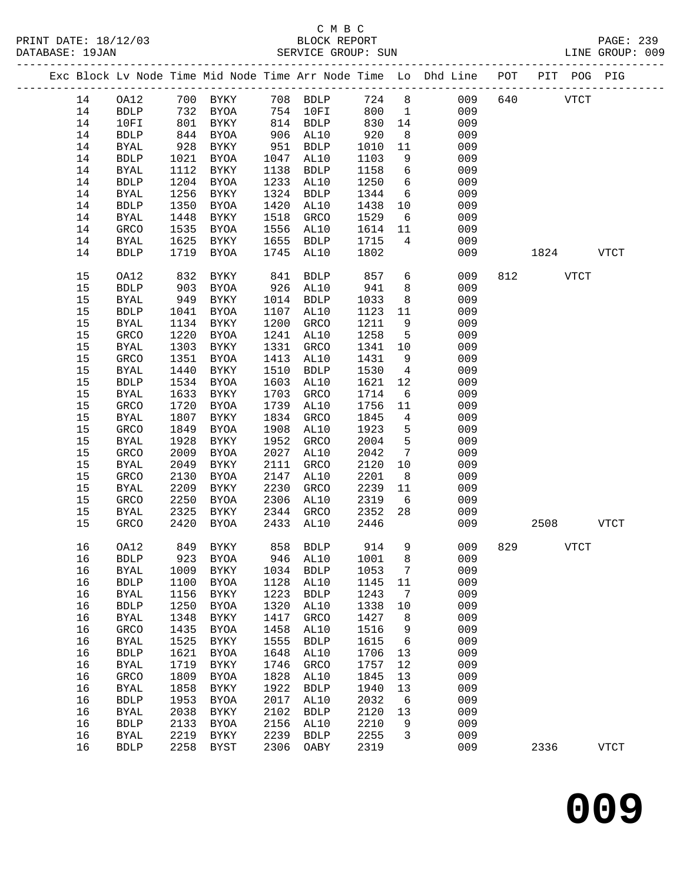|  |    |              |      |                               |      |             |       |                 | Exc Block Lv Node Time Mid Node Time Arr Node Time Lo Dhd Line POT |     | PIT  |             | POG PIG     |
|--|----|--------------|------|-------------------------------|------|-------------|-------|-----------------|--------------------------------------------------------------------|-----|------|-------------|-------------|
|  | 14 | OA12         |      |                               |      |             | 724 8 |                 | 009                                                                | 640 |      | <b>VTCT</b> |             |
|  | 14 | <b>BDLP</b>  |      | 732 BYOA                      |      | 754 10FI    | 800   | $\overline{1}$  | 009                                                                |     |      |             |             |
|  | 14 | 10FI         | 801  | BYKY                          |      | 814 BDLP    | 830   | 14              | 009                                                                |     |      |             |             |
|  | 14 | <b>BDLP</b>  | 844  | BYOA                          | 906  | AL10        | 920   | 8 <sup>8</sup>  | 009                                                                |     |      |             |             |
|  | 14 | <b>BYAL</b>  | 928  | BYKY                          | 951  | BDLP        | 1010  | 11              | 009                                                                |     |      |             |             |
|  | 14 | <b>BDLP</b>  | 1021 | BYOA                          | 1047 | AL10        | 1103  | 9               | 009                                                                |     |      |             |             |
|  | 14 | <b>BYAL</b>  | 1112 | BYKY                          | 1138 | BDLP        | 1158  | 6               | 009                                                                |     |      |             |             |
|  | 14 | <b>BDLP</b>  | 1204 | BYOA                          | 1233 | AL10        | 1250  | $6\overline{6}$ | 009                                                                |     |      |             |             |
|  | 14 | <b>BYAL</b>  | 1256 | BYKY                          | 1324 | <b>BDLP</b> | 1344  | $6\overline{6}$ | 009                                                                |     |      |             |             |
|  | 14 | <b>BDLP</b>  | 1350 | BYOA                          | 1420 | AL10        | 1438  | 10              | 009                                                                |     |      |             |             |
|  | 14 | BYAL         | 1448 | BYKY                          | 1518 | GRCO        | 1529  | 6               | 009                                                                |     |      |             |             |
|  | 14 | GRCO         | 1535 | BYOA                          | 1556 | AL10        | 1614  | 11              | 009                                                                |     |      |             |             |
|  | 14 | BYAL         | 1625 | BYKY                          | 1655 | <b>BDLP</b> | 1715  | $4\overline{ }$ | 009                                                                |     |      |             |             |
|  | 14 | <b>BDLP</b>  | 1719 | BYOA                          | 1745 | AL10        | 1802  |                 | 009                                                                |     | 1824 |             | <b>VTCT</b> |
|  | 15 | OA12         | 832  | BYKY                          | 841  | <b>BDLP</b> | 857   | 6               | 009                                                                |     | 812  | VTCT        |             |
|  | 15 | <b>BDLP</b>  | 903  | BYOA                          | 926  | AL10        | 941   | 8               | 009                                                                |     |      |             |             |
|  | 15 | <b>BYAL</b>  | 949  | BYKY                          | 1014 | BDLP        | 1033  | 8               | 009                                                                |     |      |             |             |
|  | 15 | <b>BDLP</b>  | 1041 | BYOA                          | 1107 | AL10        | 1123  | 11              | 009                                                                |     |      |             |             |
|  | 15 | BYAL         | 1134 | BYKY                          | 1200 | GRCO        | 1211  | 9               | 009                                                                |     |      |             |             |
|  | 15 | GRCO         | 1220 | BYOA                          | 1241 | AL10        | 1258  | 5               | 009                                                                |     |      |             |             |
|  | 15 | <b>BYAL</b>  | 1303 | BYKY                          | 1331 | GRCO        | 1341  | 10              | 009                                                                |     |      |             |             |
|  | 15 | GRCO         | 1351 | BYOA                          | 1413 | AL10        | 1431  | 9               | 009                                                                |     |      |             |             |
|  | 15 | <b>BYAL</b>  | 1440 | BYKY                          | 1510 | <b>BDLP</b> | 1530  | $\overline{4}$  | 009                                                                |     |      |             |             |
|  | 15 | <b>BDLP</b>  | 1534 | BYOA                          | 1603 | AL10        | 1621  | 12              | 009                                                                |     |      |             |             |
|  | 15 | <b>BYAL</b>  | 1633 | BYKY                          | 1703 | GRCO        | 1714  | 6               | 009                                                                |     |      |             |             |
|  | 15 | GRCO         | 1720 | BYOA                          | 1739 | AL10        | 1756  | 11              | 009                                                                |     |      |             |             |
|  | 15 | <b>BYAL</b>  | 1807 | BYKY                          | 1834 | GRCO        | 1845  | $\overline{4}$  | 009                                                                |     |      |             |             |
|  | 15 | GRCO         | 1849 | BYOA                          | 1908 | AL10        | 1923  | 5               | 009                                                                |     |      |             |             |
|  | 15 | <b>BYAL</b>  | 1928 | BYKY                          | 1952 | GRCO        | 2004  | 5               | 009                                                                |     |      |             |             |
|  | 15 | GRCO         | 2009 | BYOA                          | 2027 | AL10        | 2042  | $7\overline{ }$ | 009                                                                |     |      |             |             |
|  | 15 | <b>BYAL</b>  | 2049 | BYKY                          | 2111 | GRCO        | 2120  | 10              | 009                                                                |     |      |             |             |
|  | 15 | GRCO         | 2130 | BYOA                          | 2147 | AL10        | 2201  | 8 <sup>8</sup>  | 009                                                                |     |      |             |             |
|  | 15 | <b>BYAL</b>  | 2209 | <b>BYKY</b>                   | 2230 | GRCO        | 2239  | 11              | 009                                                                |     |      |             |             |
|  | 15 | GRCO         | 2250 | BYOA                          | 2306 | AL10        | 2319  | 6               | 009                                                                |     |      |             |             |
|  | 15 | BYAL         | 2325 | BYKY                          | 2344 | GRCO        | 2352  | 28              | 009                                                                |     |      |             |             |
|  | 15 | GRCO         | 2420 | BYOA                          | 2433 | AL10        | 2446  |                 | 009                                                                |     | 2508 |             | <b>VTCT</b> |
|  | 16 | OA12         | 849  | BYKY                          |      | 858 BDLP    | 914   | $\overline{9}$  | 009                                                                | 829 | VTCT |             |             |
|  | 16 |              |      | BDLP 923 BYOA 946 AL10 1001 8 |      |             |       |                 | 009                                                                |     |      |             |             |
|  | 16 | <b>BYAL</b>  | 1009 | BYKY                          | 1034 | <b>BDLP</b> | 1053  | 7               | 009                                                                |     |      |             |             |
|  | 16 | <b>BDLP</b>  | 1100 | BYOA                          | 1128 | AL10        | 1145  | 11              | 009                                                                |     |      |             |             |
|  | 16 | <b>BYAL</b>  | 1156 | BYKY                          | 1223 | <b>BDLP</b> | 1243  | $\overline{7}$  | 009                                                                |     |      |             |             |
|  | 16 | <b>BDLP</b>  | 1250 | <b>BYOA</b>                   | 1320 | AL10        | 1338  | 10              | 009                                                                |     |      |             |             |
|  | 16 | <b>BYAL</b>  | 1348 | BYKY                          | 1417 | GRCO        | 1427  | 8               | 009                                                                |     |      |             |             |
|  | 16 | GRCO         | 1435 | BYOA                          | 1458 | AL10        | 1516  | 9               | 009                                                                |     |      |             |             |
|  | 16 | <b>BYAL</b>  | 1525 | BYKY                          | 1555 | <b>BDLP</b> | 1615  | $6\overline{6}$ | 009                                                                |     |      |             |             |
|  | 16 | ${\tt BDLP}$ | 1621 | <b>BYOA</b>                   | 1648 | AL10        | 1706  | 13              | 009                                                                |     |      |             |             |
|  | 16 | <b>BYAL</b>  | 1719 | BYKY                          | 1746 | GRCO        | 1757  | 12              | 009                                                                |     |      |             |             |
|  | 16 | GRCO         | 1809 | BYOA                          | 1828 | AL10        | 1845  | 13              | 009                                                                |     |      |             |             |
|  | 16 | <b>BYAL</b>  | 1858 | <b>BYKY</b>                   | 1922 | <b>BDLP</b> | 1940  | 13              | 009                                                                |     |      |             |             |
|  | 16 | <b>BDLP</b>  | 1953 | BYOA                          | 2017 | AL10        | 2032  | 6               | 009                                                                |     |      |             |             |
|  | 16 | <b>BYAL</b>  | 2038 | BYKY                          | 2102 | <b>BDLP</b> | 2120  | 13              | 009                                                                |     |      |             |             |
|  | 16 | <b>BDLP</b>  | 2133 | BYOA                          | 2156 | AL10        | 2210  | 9               | 009                                                                |     |      |             |             |
|  | 16 | <b>BYAL</b>  | 2219 | BYKY                          | 2239 | <b>BDLP</b> | 2255  | $\overline{3}$  | 009                                                                |     |      |             |             |
|  | 16 | <b>BDLP</b>  | 2258 | BYST                          | 2306 | OABY        | 2319  |                 | 009                                                                |     | 2336 |             | <b>VTCT</b> |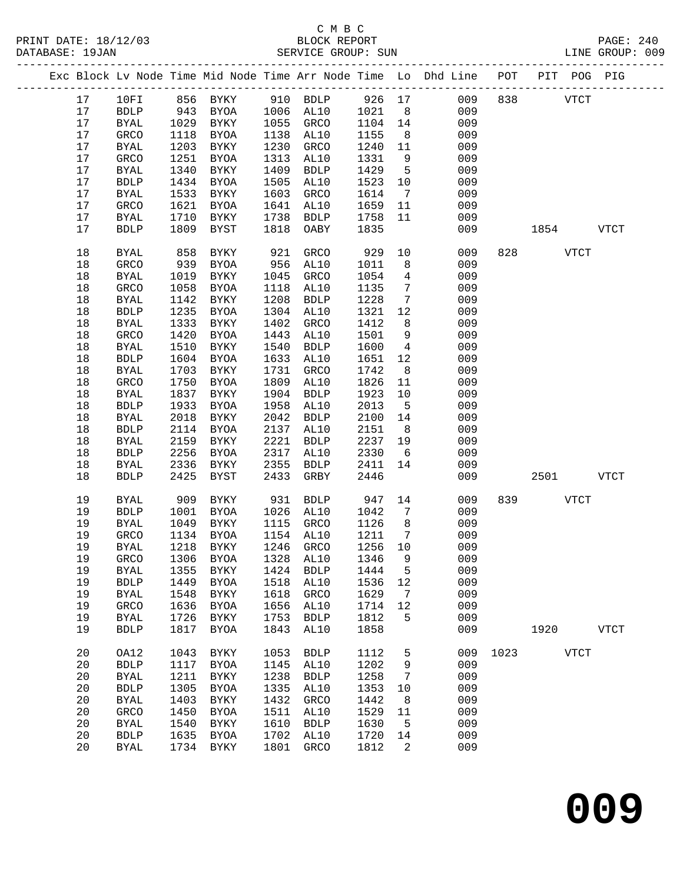|  |    |              |      |             |      |                     |         |                              | Exc Block Lv Node Time Mid Node Time Arr Node Time Lo Dhd Line POT |      |          |             | PIT POG PIG |
|--|----|--------------|------|-------------|------|---------------------|---------|------------------------------|--------------------------------------------------------------------|------|----------|-------------|-------------|
|  | 17 | 10FI         |      | 856 BYKY    |      | 910 BDLP            | 926 17  |                              | 009                                                                | 838  |          | <b>VTCT</b> |             |
|  | 17 | <b>BDLP</b>  | 943  | BYOA        |      | 1006 AL10           | 1021    | 8 <sup>8</sup>               | 009                                                                |      |          |             |             |
|  | 17 | BYAL         | 1029 | BYKY        | 1055 | GRCO                | 1104 14 |                              | 009                                                                |      |          |             |             |
|  | 17 | GRCO         | 1118 | BYOA        | 1138 | AL10                | 1155    | 8 <sup>8</sup>               | 009                                                                |      |          |             |             |
|  | 17 | BYAL         | 1203 | BYKY        | 1230 | GRCO                | 1240    | 11                           | 009                                                                |      |          |             |             |
|  | 17 | GRCO         | 1251 | BYOA        | 1313 | AL10                | 1331    | 9                            | 009                                                                |      |          |             |             |
|  | 17 | <b>BYAL</b>  | 1340 | BYKY        | 1409 | <b>BDLP</b>         | 1429    | $5^{\circ}$                  | 009                                                                |      |          |             |             |
|  | 17 | ${\tt BDLP}$ | 1434 | BYOA        | 1505 | AL10                | 1523    | 10                           | 009                                                                |      |          |             |             |
|  | 17 | <b>BYAL</b>  | 1533 | BYKY        | 1603 | GRCO                | 1614    | $\overline{7}$               | 009                                                                |      |          |             |             |
|  | 17 | GRCO         | 1621 | BYOA        | 1641 | AL10                | 1659    | 11                           | 009                                                                |      |          |             |             |
|  | 17 | <b>BYAL</b>  | 1710 | BYKY        | 1738 | <b>BDLP</b>         | 1758    | 11                           | 009                                                                |      |          |             |             |
|  | 17 | <b>BDLP</b>  | 1809 | <b>BYST</b> | 1818 | OABY                | 1835    |                              | 009                                                                |      | 1854     |             | <b>VTCT</b> |
|  |    |              |      |             |      |                     |         |                              |                                                                    |      |          |             |             |
|  | 18 | <b>BYAL</b>  | 858  | BYKY        | 921  | GRCO                | 929     | 10                           | 009                                                                |      | 828 VTCT |             |             |
|  | 18 | GRCO         | 939  | <b>BYOA</b> | 956  | AL10                | 1011    | 8                            | 009                                                                |      |          |             |             |
|  | 18 | <b>BYAL</b>  | 1019 | BYKY        | 1045 | GRCO                | 1054    | $\overline{4}$               | 009                                                                |      |          |             |             |
|  | 18 | GRCO         | 1058 | BYOA        | 1118 | AL10                | 1135    | $7\phantom{.0}\phantom{.0}7$ | 009                                                                |      |          |             |             |
|  | 18 | <b>BYAL</b>  | 1142 | BYKY        | 1208 | <b>BDLP</b>         | 1228    | 7                            | 009                                                                |      |          |             |             |
|  | 18 | <b>BDLP</b>  | 1235 | BYOA        | 1304 | AL10                | 1321    | 12                           | 009                                                                |      |          |             |             |
|  | 18 | <b>BYAL</b>  | 1333 | BYKY        | 1402 | GRCO                | 1412    | 8                            | 009                                                                |      |          |             |             |
|  | 18 | GRCO         | 1420 | BYOA        | 1443 | AL10                | 1501    | 9                            | 009                                                                |      |          |             |             |
|  | 18 | <b>BYAL</b>  | 1510 | BYKY        | 1540 | <b>BDLP</b>         | 1600    | $\overline{4}$               | 009                                                                |      |          |             |             |
|  | 18 | <b>BDLP</b>  | 1604 | BYOA        | 1633 | AL10                | 1651    | 12                           | 009                                                                |      |          |             |             |
|  | 18 | <b>BYAL</b>  | 1703 | BYKY        | 1731 | GRCO                | 1742    | 8 <sup>8</sup>               | 009                                                                |      |          |             |             |
|  | 18 | GRCO         | 1750 | BYOA        | 1809 | AL10                | 1826    | 11                           | 009                                                                |      |          |             |             |
|  | 18 | <b>BYAL</b>  | 1837 | BYKY        | 1904 | <b>BDLP</b>         | 1923    | 10                           | 009                                                                |      |          |             |             |
|  | 18 | <b>BDLP</b>  | 1933 | BYOA        | 1958 | AL10                | 2013    | $-5$                         | 009                                                                |      |          |             |             |
|  | 18 | <b>BYAL</b>  | 2018 | BYKY        | 2042 | <b>BDLP</b>         | 2100    | 14                           | 009                                                                |      |          |             |             |
|  | 18 | <b>BDLP</b>  | 2114 | BYOA        | 2137 | AL10                | 2151    | 8 <sup>8</sup>               | 009                                                                |      |          |             |             |
|  | 18 | <b>BYAL</b>  | 2159 | BYKY        | 2221 | <b>BDLP</b>         | 2237    | 19                           | 009                                                                |      |          |             |             |
|  | 18 | <b>BDLP</b>  | 2256 | BYOA        | 2317 | AL10                | 2330    | 6                            | 009                                                                |      |          |             |             |
|  | 18 | <b>BYAL</b>  | 2336 | BYKY        | 2355 | <b>BDLP</b>         | 2411    | 14                           | 009                                                                |      |          |             |             |
|  | 18 | <b>BDLP</b>  | 2425 | BYST        | 2433 | GRBY                | 2446    |                              | 009                                                                |      | 2501     |             | <b>VTCT</b> |
|  |    |              |      |             |      |                     |         |                              |                                                                    |      |          |             |             |
|  | 19 | <b>BYAL</b>  | 909  | BYKY        | 931  | <b>BDLP</b>         | 947     | 14                           | 009                                                                | 839  |          | <b>VTCT</b> |             |
|  | 19 | <b>BDLP</b>  | 1001 | BYOA        | 1026 | AL10                | 1042    | $\overline{7}$               | 009                                                                |      |          |             |             |
|  | 19 | <b>BYAL</b>  | 1049 | BYKY        | 1115 | GRCO                | 1126    | 8 <sup>8</sup>               | 009                                                                |      |          |             |             |
|  | 19 | GRCO         |      | 1134 BYOA   |      | 1154 AL10           | 1211    | 7                            | 009                                                                |      |          |             |             |
|  | 19 | <b>BYAL</b>  | 1218 | BYKY        |      | 1246 GRCO           | 1256 10 |                              | 009                                                                |      |          |             |             |
|  | 19 | GRCO         |      | 1306 BYOA   |      | 1328 AL10 1346 9    |         |                              | 009                                                                |      |          |             |             |
|  | 19 | <b>BYAL</b>  | 1355 | <b>BYKY</b> | 1424 | ${\tt BDLP}$        | 1444    | 5                            | 009                                                                |      |          |             |             |
|  | 19 | ${\tt BDLP}$ | 1449 | <b>BYOA</b> | 1518 | AL10                | 1536    | 12                           | 009                                                                |      |          |             |             |
|  | 19 | <b>BYAL</b>  | 1548 | BYKY        | 1618 | GRCO                | 1629    | 7                            | 009                                                                |      |          |             |             |
|  | 19 | GRCO         | 1636 | <b>BYOA</b> | 1656 | AL10                | 1714    | 12                           | 009                                                                |      |          |             |             |
|  | 19 | <b>BYAL</b>  | 1726 | <b>BYKY</b> | 1753 | ${\tt BDLP}$        | 1812    | 5                            | 009                                                                |      |          |             |             |
|  | 19 | ${\tt BDLP}$ | 1817 | <b>BYOA</b> | 1843 | AL10                | 1858    |                              | 009                                                                |      | 1920     |             | <b>VTCT</b> |
|  | 20 | OA12         | 1043 | <b>BYKY</b> | 1053 | <b>BDLP</b>         | 1112    | 5                            | 009                                                                | 1023 |          | <b>VTCT</b> |             |
|  | 20 | <b>BDLP</b>  | 1117 | <b>BYOA</b> | 1145 | AL10                | 1202    | 9                            | 009                                                                |      |          |             |             |
|  | 20 |              | 1211 |             | 1238 |                     | 1258    | 7                            | 009                                                                |      |          |             |             |
|  | 20 | <b>BYAL</b>  | 1305 | <b>BYKY</b> | 1335 | <b>BDLP</b><br>AL10 | 1353    |                              | 009                                                                |      |          |             |             |
|  |    | <b>BDLP</b>  |      | <b>BYOA</b> |      |                     |         | 10                           |                                                                    |      |          |             |             |
|  | 20 | <b>BYAL</b>  | 1403 | <b>BYKY</b> | 1432 | GRCO                | 1442    | 8                            | 009                                                                |      |          |             |             |
|  | 20 | GRCO         | 1450 | <b>BYOA</b> | 1511 | AL10                | 1529    | 11                           | 009                                                                |      |          |             |             |
|  | 20 | <b>BYAL</b>  | 1540 | BYKY        | 1610 | ${\tt BDLP}$        | 1630    | 5                            | 009                                                                |      |          |             |             |
|  | 20 | <b>BDLP</b>  | 1635 | <b>BYOA</b> | 1702 | AL10                | 1720    | 14                           | 009                                                                |      |          |             |             |
|  | 20 | <b>BYAL</b>  | 1734 | <b>BYKY</b> | 1801 | GRCO                | 1812    | 2                            | 009                                                                |      |          |             |             |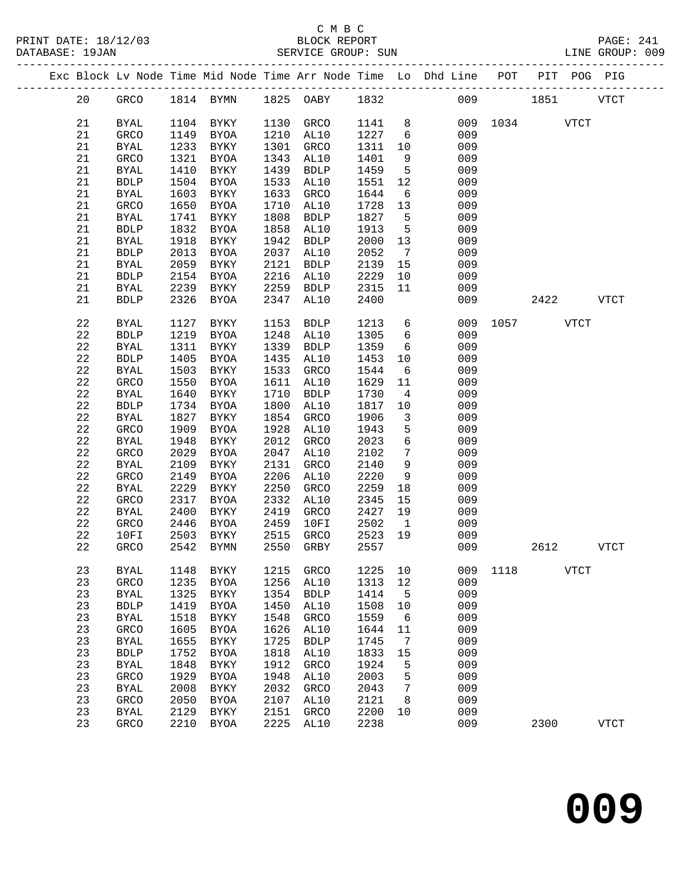|  |          |                     |              |                            |              |                          |              |                         | Exc Block Lv Node Time Mid Node Time Arr Node Time Lo Dhd Line POT PIT POG PIG |               |      |             |             |
|--|----------|---------------------|--------------|----------------------------|--------------|--------------------------|--------------|-------------------------|--------------------------------------------------------------------------------|---------------|------|-------------|-------------|
|  | 20       | GRCO                |              |                            |              | 1814 BYMN 1825 OABY 1832 |              |                         |                                                                                | 009 1851 VTCT |      |             |             |
|  | 21       | BYAL                |              | 1104 BYKY                  |              | 1130 GRCO                | 1141         | 8 <sup>8</sup>          |                                                                                | 009 1034 VTCT |      |             |             |
|  | 21       | GRCO                | 1149         | BYOA                       | 1210         | AL10                     | 1227         | $6\overline{6}$         | 009                                                                            |               |      |             |             |
|  | 21       | <b>BYAL</b>         | 1233         | BYKY                       | 1301         | GRCO                     | 1311         | 10                      | 009                                                                            |               |      |             |             |
|  | 21       | GRCO                | 1321         | BYOA                       | 1343         | AL10                     | 1401         | 9                       | 009                                                                            |               |      |             |             |
|  | 21       | BYAL                | 1410         | BYKY                       | 1439         | <b>BDLP</b>              | 1459         | 5                       | 009                                                                            |               |      |             |             |
|  | 21       | <b>BDLP</b>         | 1504         | BYOA                       | 1533         | AL10                     | 1551         | 12                      | 009                                                                            |               |      |             |             |
|  | 21       | BYAL                | 1603         | BYKY                       | 1633         | GRCO                     | 1644         | 6                       | 009                                                                            |               |      |             |             |
|  | 21       | GRCO                | 1650         | BYOA                       | 1710         | AL10                     | 1728         | 13                      | 009                                                                            |               |      |             |             |
|  | 21       | BYAL                | 1741         | BYKY                       | 1808         | <b>BDLP</b>              | 1827         | $5^{\circ}$             | 009                                                                            |               |      |             |             |
|  | 21       | <b>BDLP</b>         | 1832         | BYOA                       | 1858         | AL10                     | 1913         | $5^{\circ}$             | 009                                                                            |               |      |             |             |
|  | 21       | <b>BYAL</b>         | 1918         | BYKY                       | 1942         | <b>BDLP</b>              | 2000         | 13                      | 009                                                                            |               |      |             |             |
|  | 21       | <b>BDLP</b>         | 2013         | BYOA                       | 2037         | AL10                     | 2052         | $7\overline{ }$         | 009                                                                            |               |      |             |             |
|  | 21       | BYAL                | 2059         | BYKY                       | 2121         | <b>BDLP</b>              | 2139         | 15                      | 009                                                                            |               |      |             |             |
|  | 21       | <b>BDLP</b>         | 2154         | BYOA                       | 2216         | AL10                     | 2229         | 10                      | 009                                                                            |               |      |             |             |
|  | 21       | BYAL                | 2239         | BYKY                       | 2259         | BDLP                     | 2315         | 11                      | 009                                                                            |               |      |             |             |
|  | 21       | <b>BDLP</b>         | 2326         | BYOA                       | 2347         | AL10                     | 2400         |                         | 009                                                                            |               | 2422 |             | <b>VTCT</b> |
|  | 22       | BYAL                | 1127         | BYKY                       | 1153         | <b>BDLP</b>              | 1213         | 6                       | 009                                                                            | 1057 VTCT     |      |             |             |
|  | 22       | <b>BDLP</b>         | 1219         | BYOA                       | 1248         | AL10                     | 1305         | 6                       | 009                                                                            |               |      |             |             |
|  | 22       | <b>BYAL</b>         | 1311         | BYKY                       | 1339         | BDLP                     | 1359         | $6\overline{6}$         | 009                                                                            |               |      |             |             |
|  | 22       | <b>BDLP</b>         | 1405         | BYOA                       | 1435         | AL10                     | 1453         | 10                      | 009                                                                            |               |      |             |             |
|  | 22       | BYAL                | 1503         | BYKY                       | 1533         | GRCO                     | 1544         | $6\overline{6}$         | 009                                                                            |               |      |             |             |
|  | 22       | GRCO                | 1550         | BYOA                       | 1611         | AL10                     | 1629         | 11                      | 009                                                                            |               |      |             |             |
|  | 22       | <b>BYAL</b>         | 1640         | BYKY                       | 1710         | <b>BDLP</b>              | 1730         | $\overline{4}$          | 009                                                                            |               |      |             |             |
|  | 22       | <b>BDLP</b>         | 1734         | BYOA                       | 1800         | AL10                     | 1817         | 10                      | 009                                                                            |               |      |             |             |
|  | 22       | BYAL                | 1827         | BYKY                       | 1854         | GRCO                     | 1906         | $\overline{\mathbf{3}}$ | 009                                                                            |               |      |             |             |
|  | 22       | GRCO                | 1909         | BYOA                       | 1928         | AL10                     | 1943         | 5                       | 009                                                                            |               |      |             |             |
|  | 22       | BYAL                | 1948         | BYKY                       | 2012         | GRCO                     | 2023         | $\epsilon$              | 009                                                                            |               |      |             |             |
|  | 22       | GRCO                | 2029         | BYOA                       | 2047         | AL10                     | 2102         | $7\phantom{.0}$         | 009                                                                            |               |      |             |             |
|  | 22       | BYAL                | 2109         | BYKY                       | 2131         | GRCO                     | 2140         | 9                       | 009                                                                            |               |      |             |             |
|  | 22       | GRCO                | 2149         | BYOA                       | 2206         | AL10                     | 2220         | 9                       | 009                                                                            |               |      |             |             |
|  | 22       | BYAL                | 2229         | BYKY                       | 2250         | GRCO                     | 2259         | 18                      | 009                                                                            |               |      |             |             |
|  | 22       | GRCO                | 2317         | BYOA                       | 2332         | AL10                     | 2345         | 15                      | 009                                                                            |               |      |             |             |
|  | 22       | <b>BYAL</b>         | 2400         | BYKY                       | 2419         | GRCO                     | 2427<br>2502 | 19                      | 009<br>009                                                                     |               |      |             |             |
|  | 22<br>22 | GRCO<br>10FI        | 2446<br>2503 | BYOA<br>BYKY               | 2459<br>2515 | 10FI<br>GRCO             | 2523         | $\overline{1}$<br>19    | 009                                                                            |               |      |             |             |
|  | 22       | GRCO                |              | 2542 BYMN                  |              | 2550 GRBY                | 2557         |                         | 009                                                                            |               | 2612 |             | <b>VTCT</b> |
|  |          |                     |              |                            |              |                          |              |                         |                                                                                |               |      |             |             |
|  | 23       | <b>BYAL</b>         | 1148         | <b>BYKY</b>                | 1215         | GRCO                     | 1225         | 10                      | 009                                                                            | 1118          |      | <b>VTCT</b> |             |
|  | 23       | GRCO                | 1235         | <b>BYOA</b>                | 1256         | AL10                     | 1313         | 12                      | 009                                                                            |               |      |             |             |
|  | 23       | <b>BYAL</b>         | 1325         | <b>BYKY</b>                | 1354         | <b>BDLP</b>              | 1414         | 5                       | 009                                                                            |               |      |             |             |
|  | 23       | ${\tt BDLP}$        | 1419         | <b>BYOA</b>                | 1450         | AL10                     | 1508         | 10                      | 009                                                                            |               |      |             |             |
|  | 23       | <b>BYAL</b>         | 1518         | ${\tt BYKY}$               | 1548         | GRCO                     | 1559         | 6                       | 009                                                                            |               |      |             |             |
|  | 23       | GRCO                | 1605         | <b>BYOA</b>                | 1626         | AL10                     | 1644         | 11                      | 009                                                                            |               |      |             |             |
|  | 23<br>23 | <b>BYAL</b>         | 1655<br>1752 | ${\tt BYKY}$               | 1725         | <b>BDLP</b>              | 1745         | $7\phantom{.0}$         | 009<br>009                                                                     |               |      |             |             |
|  | 23       | ${\tt BDLP}$        |              | <b>BYOA</b>                | 1818<br>1912 | AL10                     | 1833<br>1924 | 15                      | 009                                                                            |               |      |             |             |
|  | 23       | <b>BYAL</b><br>GRCO | 1848<br>1929 | <b>BYKY</b><br><b>BYOA</b> | 1948         | GRCO<br>AL10             | 2003         | 5<br>5                  | 009                                                                            |               |      |             |             |
|  | 23       | ${\tt BYAL}$        | 2008         | BYKY                       | 2032         | GRCO                     | 2043         | 7                       | 009                                                                            |               |      |             |             |
|  | 23       | GRCO                | 2050         | <b>BYOA</b>                | 2107         | AL10                     | 2121         | 8                       | 009                                                                            |               |      |             |             |
|  | 23       | <b>BYAL</b>         | 2129         | $\rm BYKY$                 | 2151         | GRCO                     | 2200         | 10                      | 009                                                                            |               |      |             |             |
|  | 23       | GRCO                | 2210         | BYOA                       | 2225         | AL10                     | 2238         |                         | 009                                                                            |               | 2300 |             | <b>VTCT</b> |
|  |          |                     |              |                            |              |                          |              |                         |                                                                                |               |      |             |             |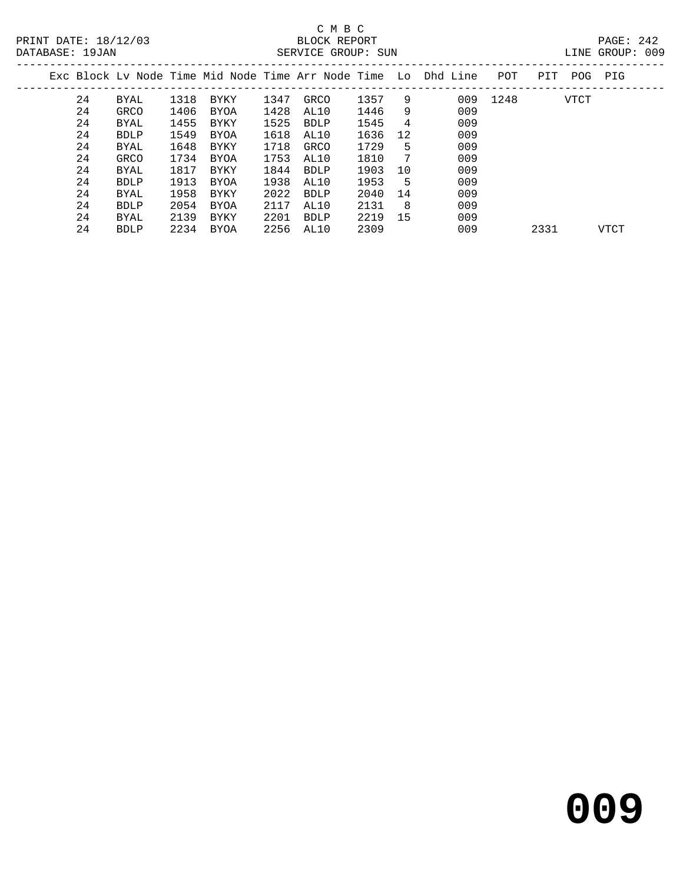| DATABASE: 19JAN |    |             |      |      |      | SERVICE GROUP: SUN |      |     |                                                                    |      |      |      | LINE GROUP: 009 |  |
|-----------------|----|-------------|------|------|------|--------------------|------|-----|--------------------------------------------------------------------|------|------|------|-----------------|--|
|                 |    |             |      |      |      |                    |      |     | Exc Block Ly Node Time Mid Node Time Arr Node Time Lo Dhd Line POT |      | PIT  |      | POG PIG         |  |
|                 | 24 | BYAL        | 1318 | BYKY | 1347 | GRCO               | 1357 | 9   | 009                                                                | 1248 |      | VTCT |                 |  |
|                 | 24 | GRCO        | 1406 | BYOA | 1428 | AL10               | 1446 | 9   | 009                                                                |      |      |      |                 |  |
|                 | 24 | BYAL        | 1455 | BYKY | 1525 | BDLP               | 1545 | 4   | 009                                                                |      |      |      |                 |  |
|                 | 24 | <b>BDLP</b> | 1549 | BYOA | 1618 | AL10               | 1636 | 12  | 009                                                                |      |      |      |                 |  |
|                 | 24 | BYAL        | 1648 | BYKY | 1718 | GRCO               | 1729 | -5  | 009                                                                |      |      |      |                 |  |
|                 | 24 | GRCO        | 1734 | BYOA | 1753 | AL10               | 1810 | 7   | 009                                                                |      |      |      |                 |  |
|                 | 24 | BYAL        | 1817 | BYKY | 1844 | BDLP               | 1903 | 10  | 009                                                                |      |      |      |                 |  |
|                 | 24 | <b>BDLP</b> | 1913 | BYOA | 1938 | AL10               | 1953 | - 5 | 009                                                                |      |      |      |                 |  |
|                 | 24 | BYAL        | 1958 | BYKY | 2022 | <b>BDLP</b>        | 2040 | 14  | 009                                                                |      |      |      |                 |  |
|                 | 24 | <b>BDLP</b> | 2054 | BYOA | 2117 | AL10               | 2131 | - 8 | 009                                                                |      |      |      |                 |  |
|                 | 24 | BYAL        | 2139 | BYKY | 2201 | BDLP               | 2219 | 15  | 009                                                                |      |      |      |                 |  |
|                 | 24 | <b>BDLP</b> | 2234 | BYOA | 2256 | AL10               | 2309 |     | 009                                                                |      | 2331 |      | <b>VTCT</b>     |  |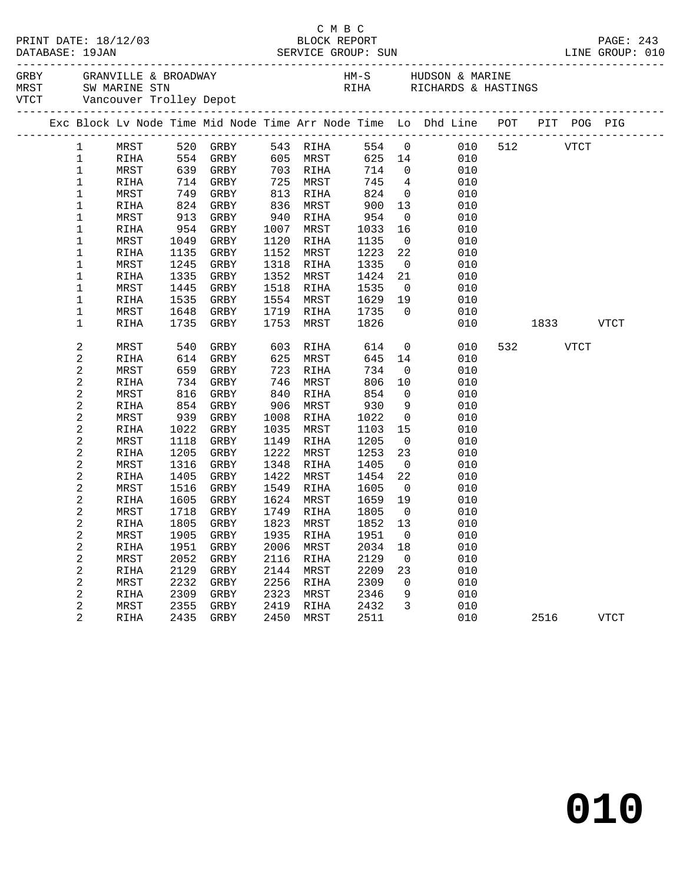|              |                     |              |               |              |                   |                             | PAGE: 243<br>LINE GROUP: 010 |                                                                                                                                                                                                    |     |                                                                                                                                                                                                                               |      |             |  |
|--------------|---------------------|--------------|---------------|--------------|-------------------|-----------------------------|------------------------------|----------------------------------------------------------------------------------------------------------------------------------------------------------------------------------------------------|-----|-------------------------------------------------------------------------------------------------------------------------------------------------------------------------------------------------------------------------------|------|-------------|--|
|              |                     |              |               |              |                   |                             |                              | GREY GRANVILLE & BROADWAY MARINE HM-S HUDSON & MARINE THANGERS AND SUMPLIFY ON A SUMPLIFY SUMPLIFY ON A SUMPLIF<br>THANGERS WARINE STRINGS WITCHNERS & HASTINGS WITCHNERS AND MARINE TROLLEY Depot |     |                                                                                                                                                                                                                               |      |             |  |
|              |                     |              |               |              |                   |                             |                              | Exc Block Lv Node Time Mid Node Time Arr Node Time Lo Dhd Line POT PIT POG PIG                                                                                                                     |     |                                                                                                                                                                                                                               |      |             |  |
| $\mathbf{1}$ |                     |              | MRST 520 GRBY |              | 543 RIHA          |                             |                              | 554 0 010                                                                                                                                                                                          | 512 |                                                                                                                                                                                                                               | VTCT |             |  |
| $\mathbf 1$  | RIHA                | 554 GRBY     |               |              | 605 MRST          |                             |                              | 625 14<br>010                                                                                                                                                                                      |     |                                                                                                                                                                                                                               |      |             |  |
| $\mathbf 1$  | MRST                |              | 639 GRBY      |              | 703 RIHA          | 714 0                       |                              | 010                                                                                                                                                                                                |     |                                                                                                                                                                                                                               |      |             |  |
| $1\,$        | RIHA                |              | 714 GRBY      |              | 725 MRST          | 745                         | $4\overline{4}$              | 010                                                                                                                                                                                                |     |                                                                                                                                                                                                                               |      |             |  |
| 1            | MRST                | 749          | GRBY          | 813          | RIHA              | 824                         |                              | $\overline{0}$<br>010                                                                                                                                                                              |     |                                                                                                                                                                                                                               |      |             |  |
| 1            | RIHA                | 824 GRBY     |               | 836          | MRST              | 900                         | 13                           | 010                                                                                                                                                                                                |     |                                                                                                                                                                                                                               |      |             |  |
| 1            | MRST                | 913          | GRBY          | 940          | RIHA              | 954                         | $\overline{0}$               | 010                                                                                                                                                                                                |     |                                                                                                                                                                                                                               |      |             |  |
| 1            | RIHA                | 954          | GRBY          | 1007         | MRST              | 1033                        | 16                           | 010                                                                                                                                                                                                |     |                                                                                                                                                                                                                               |      |             |  |
| 1            | MRST                | 1049         | GRBY          | 1120         | RIHA              | 1135                        | $\overline{0}$               | 010                                                                                                                                                                                                |     |                                                                                                                                                                                                                               |      |             |  |
| 1            | RIHA                | 1135         | GRBY          | 1152         | MRST              | 1223                        | 22                           | 010                                                                                                                                                                                                |     |                                                                                                                                                                                                                               |      |             |  |
| 1            | MRST                | 1245         | GRBY          | 1318         | RIHA              | 1335                        | $\overline{0}$               | 010                                                                                                                                                                                                |     |                                                                                                                                                                                                                               |      |             |  |
| 1            | RIHA                | 1335         | GRBY          | 1352         | MRST              | 1424                        | 21                           | 010                                                                                                                                                                                                |     |                                                                                                                                                                                                                               |      |             |  |
| 1            | MRST                | 1445         | GRBY          | 1518         | RIHA              | 1535                        | $\overline{0}$               | 010                                                                                                                                                                                                |     |                                                                                                                                                                                                                               |      |             |  |
| 1            | RIHA                | 1535<br>1648 | GRBY          | 1554<br>1719 | MRST              | 1629<br>1735                | 19<br>$\overline{0}$         | 010<br>010                                                                                                                                                                                         |     |                                                                                                                                                                                                                               |      |             |  |
| 1<br>1       | MRST<br><b>RIHA</b> | 1735         | GRBY<br>GRBY  | 1753         | RIHA<br>MRST      | 1826                        |                              | 010                                                                                                                                                                                                |     | 1833   1834   1845   1846   1847   1848   1848   1848   1848   1848   1848   1848   1848   1848   1848   1848   1848   1848   1848   1848   1848   1848   1848   1848   1848   1848   1848   1848   1848   1848   1848   1848 |      | VTCT        |  |
|              |                     |              |               |              |                   |                             |                              |                                                                                                                                                                                                    |     |                                                                                                                                                                                                                               |      |             |  |
| 2            | MRST                | 540          | GRBY          | 603          | RIHA              | 614                         |                              | $\overline{0}$<br>010                                                                                                                                                                              | 532 |                                                                                                                                                                                                                               | VTCT |             |  |
| $\sqrt{2}$   | <b>RIHA</b>         | 614          | GRBY          | 625          | MRST              | 645                         | 14                           | 010                                                                                                                                                                                                |     |                                                                                                                                                                                                                               |      |             |  |
| $\sqrt{2}$   | MRST                | 659          | GRBY          | 723          | RIHA              | 734                         | $\overline{0}$               | 010                                                                                                                                                                                                |     |                                                                                                                                                                                                                               |      |             |  |
| $\sqrt{2}$   | RIHA                | 734          | GRBY          | 746          | MRST              | 806                         | 10                           | 010                                                                                                                                                                                                |     |                                                                                                                                                                                                                               |      |             |  |
| 2            | MRST                | 816          | GRBY          | 840          | RIHA              | 854                         | $\overline{0}$               | 010                                                                                                                                                                                                |     |                                                                                                                                                                                                                               |      |             |  |
| 2            | RIHA                | 854          | GRBY          | 906          | MRST              | 930                         | 9                            | 010                                                                                                                                                                                                |     |                                                                                                                                                                                                                               |      |             |  |
| $\sqrt{2}$   | MRST                | 939          | GRBY          | 1008         | RIHA              | 1022                        | $\overline{0}$               | 010                                                                                                                                                                                                |     |                                                                                                                                                                                                                               |      |             |  |
| 2            | RIHA                | 1022         | GRBY          | 1035         | MRST              | 1103                        | 15                           | 010                                                                                                                                                                                                |     |                                                                                                                                                                                                                               |      |             |  |
| $\sqrt{2}$   | MRST                | 1118         | GRBY          | 1149         | RIHA              | 1205                        | $\overline{0}$               | 010                                                                                                                                                                                                |     |                                                                                                                                                                                                                               |      |             |  |
| 2            | RIHA                | 1205         | GRBY          | 1222         | MRST              | 1253                        | 23                           | 010                                                                                                                                                                                                |     |                                                                                                                                                                                                                               |      |             |  |
| $\sqrt{2}$   | MRST                | 1316         | GRBY          | 1348         | RIHA              | 1405                        | $\overline{0}$               | 010                                                                                                                                                                                                |     |                                                                                                                                                                                                                               |      |             |  |
| 2            | RIHA                | 1405         | GRBY          | 1422         | MRST              | 1454                        | 22                           | 010                                                                                                                                                                                                |     |                                                                                                                                                                                                                               |      |             |  |
| 2            | MRST                | 1516         | GRBY          | 1549         | RIHA              | 1605                        | $\overline{0}$               | 010                                                                                                                                                                                                |     |                                                                                                                                                                                                                               |      |             |  |
| 2            | RIHA                | 1605<br>1718 | GRBY          | 1749         | 1624 MRST         | 1659                        | 19                           | 010                                                                                                                                                                                                |     |                                                                                                                                                                                                                               |      |             |  |
| 2<br>2       | MRST<br>RIHA        | 1805         | GRBY<br>GRBY  |              | RIHA<br>1823 MRST | $1805$<br>$1852$<br>1852 13 | $\overline{0}$               | 010<br>010                                                                                                                                                                                         |     |                                                                                                                                                                                                                               |      |             |  |
| 2            | MRST                |              |               |              |                   |                             |                              | 1905 GRBY 1935 RIHA 1951 0 010                                                                                                                                                                     |     |                                                                                                                                                                                                                               |      |             |  |
| 2            | RIHA                | 1951         | GRBY          | 2006         | MRST              | 2034                        | 18                           | 010                                                                                                                                                                                                |     |                                                                                                                                                                                                                               |      |             |  |
| 2            | MRST                | 2052         | GRBY          | 2116         | RIHA              | 2129                        | $\overline{0}$               | 010                                                                                                                                                                                                |     |                                                                                                                                                                                                                               |      |             |  |
| $\sqrt{2}$   | RIHA                | 2129         | GRBY          | 2144         | MRST              | 2209                        | 23                           | 010                                                                                                                                                                                                |     |                                                                                                                                                                                                                               |      |             |  |
| 2            | MRST                | 2232         | GRBY          | 2256         | RIHA              | 2309                        | $\mathbf 0$                  | 010                                                                                                                                                                                                |     |                                                                                                                                                                                                                               |      |             |  |
| 2            | RIHA                | 2309         | GRBY          | 2323         | MRST              | 2346                        | 9                            | 010                                                                                                                                                                                                |     |                                                                                                                                                                                                                               |      |             |  |
| 2            | MRST                | 2355         | GRBY          | 2419         | RIHA              | 2432                        | 3                            | 010                                                                                                                                                                                                |     |                                                                                                                                                                                                                               |      |             |  |
| 2            | RIHA                | 2435         | GRBY          | 2450         | MRST              | 2511                        |                              | 010                                                                                                                                                                                                |     | 2516                                                                                                                                                                                                                          |      | <b>VTCT</b> |  |
|              |                     |              |               |              |                   |                             |                              |                                                                                                                                                                                                    |     |                                                                                                                                                                                                                               |      |             |  |

C M B C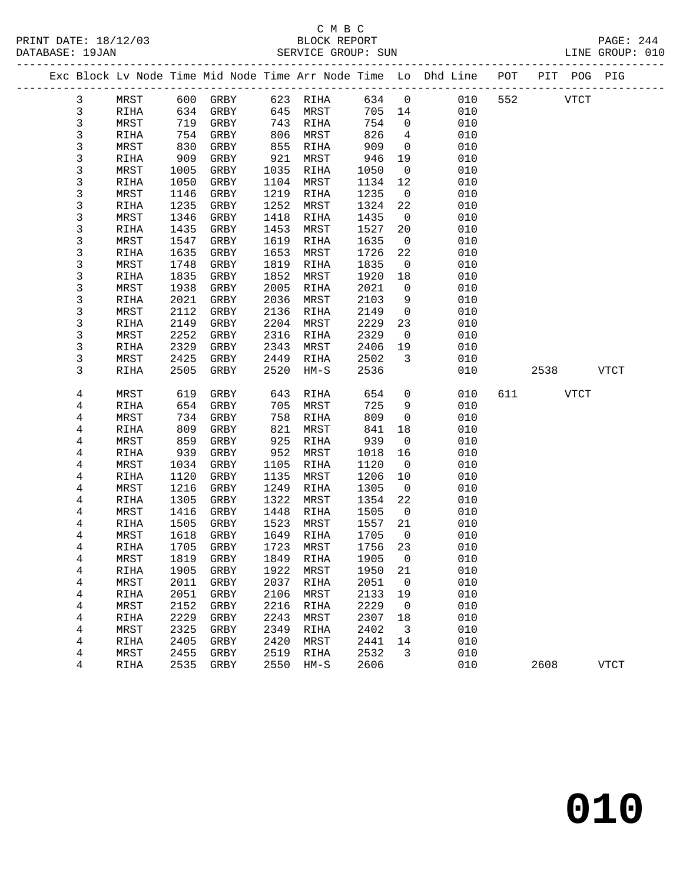|              |              |              |              |              |              |              |                      | Exc Block Lv Node Time Mid Node Time Arr Node Time Lo Dhd Line | POT | PIT POG PIG |              |
|--------------|--------------|--------------|--------------|--------------|--------------|--------------|----------------------|----------------------------------------------------------------|-----|-------------|--------------|
| $\mathbf{3}$ | MRST         | 600          | GRBY         |              | 623 RIHA     | 634          | $\overline{0}$       | 010                                                            | 552 | <b>VTCT</b> |              |
| 3            | RIHA         | 634          | GRBY         | 645          | MRST         | 705          | 14                   | 010                                                            |     |             |              |
| 3            | MRST         | 719          | GRBY         | 743          | RIHA         | 754          | $\mathsf{O}$         | 010                                                            |     |             |              |
| 3            | RIHA         | 754          | GRBY         | 806          | MRST         | 826          | $\overline{4}$       | 010                                                            |     |             |              |
| 3            | MRST         | 830          | GRBY         | 855          | RIHA         | 909          | $\overline{0}$       | 010                                                            |     |             |              |
| 3            | RIHA         | 909          | GRBY         | 921          | MRST         | 946          | 19                   | 010                                                            |     |             |              |
| 3            | MRST         | 1005         | GRBY         | 1035         | RIHA         | 1050         | $\overline{0}$       | 010                                                            |     |             |              |
| 3            | RIHA         | 1050         | GRBY         | 1104         | MRST         | 1134         | 12                   | 010                                                            |     |             |              |
| 3            | MRST         | 1146         | GRBY         | 1219         | RIHA         | 1235         | $\overline{0}$       | 010                                                            |     |             |              |
| 3            | RIHA         | 1235         | GRBY         | 1252         | MRST         | 1324         | 22                   | 010                                                            |     |             |              |
| 3            | MRST         | 1346         | GRBY         | 1418         | RIHA         | 1435         | $\overline{0}$       | 010                                                            |     |             |              |
| 3            | RIHA         | 1435         | GRBY         | 1453         | MRST         | 1527         | 20                   | 010                                                            |     |             |              |
| 3            | MRST         | 1547         | GRBY         | 1619         | RIHA         | 1635         | $\mathbf 0$          | 010                                                            |     |             |              |
| 3            | RIHA         | 1635         | GRBY         | 1653         | MRST         | 1726         | 22                   | 010                                                            |     |             |              |
| 3            | MRST         | 1748         | GRBY         | 1819         | RIHA         | 1835         | $\overline{0}$       | 010                                                            |     |             |              |
| 3            | RIHA         | 1835         | GRBY         | 1852         | MRST         | 1920         | 18                   | 010                                                            |     |             |              |
| 3            | MRST         | 1938         | GRBY         | 2005         | RIHA         | 2021         | $\mathbf 0$          | 010                                                            |     |             |              |
| 3            | RIHA         | 2021         | GRBY         | 2036         | MRST         | 2103         | 9                    | 010                                                            |     |             |              |
| 3            | MRST         | 2112         | GRBY         | 2136         | RIHA         | 2149         | $\overline{0}$       | 010                                                            |     |             |              |
| 3            | RIHA         | 2149         | GRBY         | 2204         | MRST         | 2229         | 23                   | 010                                                            |     |             |              |
| 3            | MRST         | 2252         | GRBY         | 2316         | RIHA         | 2329<br>2406 | $\mathbf 0$          | 010<br>010                                                     |     |             |              |
| 3<br>3       | RIHA<br>MRST | 2329<br>2425 | GRBY<br>GRBY | 2343<br>2449 | MRST<br>RIHA | 2502         | 19<br>3              | 010                                                            |     |             |              |
| 3            | RIHA         | 2505         | GRBY         | 2520         | $HM-S$       | 2536         |                      | 010                                                            |     | 2538        | <b>VTCT</b>  |
|              |              |              |              |              |              |              |                      |                                                                |     |             |              |
| 4            | MRST         | 619          | GRBY         | 643          | RIHA         | 654          | 0                    | 010                                                            | 611 | <b>VTCT</b> |              |
| 4            | RIHA         | 654          | GRBY         | 705          | MRST         | 725          | 9                    | 010                                                            |     |             |              |
| 4            | MRST         | 734          | GRBY         | 758          | RIHA         | 809          | $\mathsf{O}$         | 010                                                            |     |             |              |
| 4            | RIHA         | 809          | GRBY         | 821          | MRST         | 841          | 18                   | 010                                                            |     |             |              |
| 4            | MRST         | 859          | GRBY         | 925          | RIHA         | 939          | $\mathbf 0$          | 010                                                            |     |             |              |
| 4            | RIHA         | 939          | GRBY         | 952          | MRST         | 1018         | 16                   | 010                                                            |     |             |              |
| 4            | MRST         | 1034         | GRBY         | 1105         | RIHA         | 1120         | $\overline{0}$       | 010                                                            |     |             |              |
| 4            | RIHA         | 1120         | GRBY         | 1135         | MRST         | 1206         | 10                   | 010                                                            |     |             |              |
| 4            | MRST         | 1216         | GRBY         | 1249         | RIHA         | 1305         | 0                    | 010                                                            |     |             |              |
| 4            | RIHA         | 1305         | GRBY         | 1322         | MRST         | 1354         | 22                   | 010                                                            |     |             |              |
| 4            | MRST         | 1416         | GRBY         | 1448         | RIHA         | 1505         | $\overline{0}$       | 010                                                            |     |             |              |
| 4            | RIHA         | 1505         | GRBY         | 1523         | MRST         | 1557<br>1705 | 21                   | 010<br>010                                                     |     |             |              |
| 4<br>4       | MRST<br>RIHA | 1618<br>1705 | GRBY<br>GRBY | 1649<br>1723 | RIHA<br>MRST | 1756         | $\overline{0}$<br>23 | 010                                                            |     |             |              |
| 4            | MRST         |              | 1819 GRBY    |              | 1849 RIHA    | 1905 0       |                      | 010                                                            |     |             |              |
| 4            | RIHA         | 1905         | GRBY         | 1922         | MRST         | 1950         | 21                   | 010                                                            |     |             |              |
| 4            | MRST         | 2011         | GRBY         | 2037         | RIHA         | 2051         | 0                    | 010                                                            |     |             |              |
| 4            | RIHA         | 2051         | GRBY         | 2106         | MRST         | 2133         | 19                   | 010                                                            |     |             |              |
| 4            | MRST         | 2152         | GRBY         | 2216         | <b>RIHA</b>  | 2229         | 0                    | 010                                                            |     |             |              |
| 4            | RIHA         | 2229         | GRBY         | 2243         | MRST         | 2307         | 18                   | 010                                                            |     |             |              |
| 4            | MRST         | 2325         | GRBY         | 2349         | RIHA         | 2402         | 3                    | 010                                                            |     |             |              |
| 4            | RIHA         | 2405         | GRBY         | 2420         | MRST         | 2441         | 14                   | 010                                                            |     |             |              |
| 4            | MRST         | 2455         | GRBY         | 2519         | RIHA         | 2532         | 3                    | 010                                                            |     |             |              |
| 4            | RIHA         | 2535         | GRBY         | 2550         | $HM-S$       | 2606         |                      | 010                                                            |     | 2608        | ${\tt VTCT}$ |
|              |              |              |              |              |              |              |                      |                                                                |     |             |              |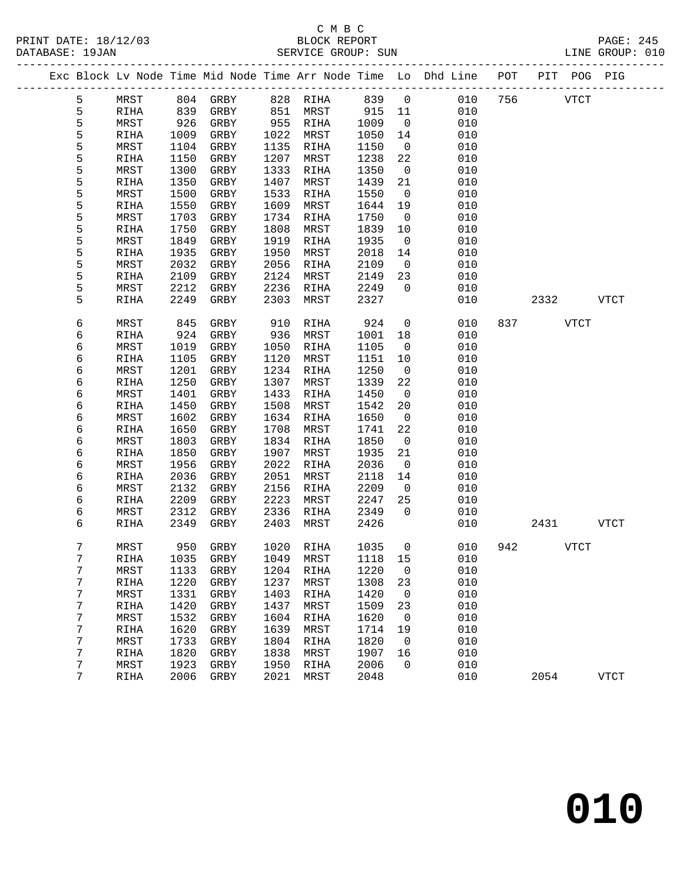DATABASE: 19JAN<br>---------------

#### C M B C<br>BLOCK REPORT PRINT DATE: 18/12/03 BLOCK REPORT PAGE: 245

|  | DATABASE: 19JAN |       |      |            |      | SEKVICE GROUP: SUN |          |                |                                                                    |     |      |             | TINE GKOOL: 0T0 |  |
|--|-----------------|-------|------|------------|------|--------------------|----------|----------------|--------------------------------------------------------------------|-----|------|-------------|-----------------|--|
|  |                 |       |      |            |      |                    |          |                | Exc Block Lv Node Time Mid Node Time Arr Node Time Lo Dhd Line POT |     |      | PIT POG PIG |                 |  |
|  | 5               | MRST  | 804  | GRBY       | 828  | RIHA               | 839 0    |                | 010                                                                | 756 |      | VTCT        |                 |  |
|  | 5               | RIHA  | 839  | GRBY       | 851  | MRST               | 915      | 11             | 010                                                                |     |      |             |                 |  |
|  | 5               | MRST  | 926  | GRBY       | 955  | RIHA               | 1009     | $\overline{0}$ | 010                                                                |     |      |             |                 |  |
|  | 5               | RIHA  | 1009 | GRBY       | 1022 | MRST               | 1050     | 14             | 010                                                                |     |      |             |                 |  |
|  | 5               | MRST  | 1104 | GRBY       | 1135 | RIHA               | 1150     | $\overline{0}$ | 010                                                                |     |      |             |                 |  |
|  | 5               | RIHA  | 1150 | GRBY       | 1207 | MRST               | 1238     | 22             | 010                                                                |     |      |             |                 |  |
|  | 5               | MRST  | 1300 | GRBY       | 1333 | RIHA               | 1350     | $\overline{0}$ | 010                                                                |     |      |             |                 |  |
|  | 5               | RIHA  | 1350 | GRBY       | 1407 | MRST               | 1439     | 21             | 010                                                                |     |      |             |                 |  |
|  | 5               | MRST  | 1500 | GRBY       | 1533 | RIHA               | 1550     | $\overline{0}$ | 010                                                                |     |      |             |                 |  |
|  | 5               | RIHA  | 1550 | GRBY       | 1609 | MRST               | 1644     | 19             | 010                                                                |     |      |             |                 |  |
|  | 5               | MRST  | 1703 | GRBY       | 1734 | RIHA               | 1750     | $\overline{0}$ | 010                                                                |     |      |             |                 |  |
|  | 5               | RIHA  | 1750 | GRBY       | 1808 | MRST               | 1839     | 10             | 010                                                                |     |      |             |                 |  |
|  | 5               | MRST  | 1849 | GRBY       | 1919 | RIHA               | 1935     | $\overline{0}$ | 010                                                                |     |      |             |                 |  |
|  | 5               | RIHA  | 1935 | GRBY       | 1950 | MRST               | 2018     | 14             | 010                                                                |     |      |             |                 |  |
|  | 5               | MRST  | 2032 | GRBY       | 2056 | RIHA               | 2109     | $\overline{0}$ | 010                                                                |     |      |             |                 |  |
|  | 5               | RIHA  | 2109 | GRBY       | 2124 | MRST               | 2149     | 23             | 010                                                                |     |      |             |                 |  |
|  | 5               | MRST  | 2212 | GRBY       | 2236 | RIHA               | 2249     | $\overline{0}$ | 010                                                                |     |      |             |                 |  |
|  | 5               | RIHA  | 2249 | GRBY       | 2303 | MRST               | 2327     |                | 010                                                                |     | 2332 |             | <b>VTCT</b>     |  |
|  |                 |       |      |            |      |                    |          |                |                                                                    |     |      |             |                 |  |
|  | 6               | MRST  | 845  | GRBY       | 910  | RIHA               | 924      | $\overline{0}$ | 010                                                                | 837 |      | VTCT        |                 |  |
|  | 6               | RIHA  | 924  | GRBY       | 936  | MRST               | 1001     | 18             | 010                                                                |     |      |             |                 |  |
|  | 6               | MRST  | 1019 | GRBY       | 1050 | RIHA               | 1105     | $\bigcap$      | 010                                                                |     |      |             |                 |  |
|  | $\epsilon$      | תנדדם |      | עססי ב-110 |      | $1120$ $MPCH$      | 11 E1 10 |                | $\cap$ 1 $\cap$                                                    |     |      |             |                 |  |

| 6 | MRST        | 845  | <b>GRBY</b> | 910  | <b>RIHA</b> | 924  | $\mathbf 0$ | 010 | 837 |      | <b>VTCT</b> |             |
|---|-------------|------|-------------|------|-------------|------|-------------|-----|-----|------|-------------|-------------|
| 6 | RIHA        | 924  | GRBY        | 936  | MRST        | 1001 | 18          | 010 |     |      |             |             |
| 6 | MRST        | 1019 | <b>GRBY</b> | 1050 | <b>RIHA</b> | 1105 | 0           | 010 |     |      |             |             |
| б | RIHA        | 1105 | GRBY        | 1120 | MRST        | 1151 | 10          | 010 |     |      |             |             |
| б | MRST        | 1201 | <b>GRBY</b> | 1234 | RIHA        | 1250 | 0           | 010 |     |      |             |             |
| 6 | RIHA        | 1250 | <b>GRBY</b> | 1307 | MRST        | 1339 | 22          | 010 |     |      |             |             |
| б | MRST        | 1401 | <b>GRBY</b> | 1433 | <b>RIHA</b> | 1450 | $\mathbf 0$ | 010 |     |      |             |             |
| б | RIHA        | 1450 | <b>GRBY</b> | 1508 | MRST        | 1542 | 20          | 010 |     |      |             |             |
| б | MRST        | 1602 | <b>GRBY</b> | 1634 | <b>RIHA</b> | 1650 | 0           | 010 |     |      |             |             |
| б | RIHA        | 1650 | <b>GRBY</b> | 1708 | MRST        | 1741 | 22          | 010 |     |      |             |             |
| б | MRST        | 1803 | <b>GRBY</b> | 1834 | RIHA        | 1850 | 0           | 010 |     |      |             |             |
| б | RIHA        | 1850 | <b>GRBY</b> | 1907 | MRST        | 1935 | 21          | 010 |     |      |             |             |
| б | MRST        | 1956 | <b>GRBY</b> | 2022 | <b>RIHA</b> | 2036 | $\mathbf 0$ | 010 |     |      |             |             |
| б | RIHA        | 2036 | <b>GRBY</b> | 2051 | MRST        | 2118 | 14          | 010 |     |      |             |             |
| 6 | MRST        | 2132 | <b>GRBY</b> | 2156 | <b>RIHA</b> | 2209 | 0           | 010 |     |      |             |             |
| б | RIHA        | 2209 | GRBY        | 2223 | MRST        | 2247 | 25          | 010 |     |      |             |             |
| 6 | MRST        | 2312 | <b>GRBY</b> | 2336 | <b>RIHA</b> | 2349 | $\Omega$    | 010 |     |      |             |             |
| 6 | <b>RIHA</b> | 2349 | <b>GRBY</b> | 2403 | MRST        | 2426 |             | 010 |     | 2431 |             | <b>VTCT</b> |
|   |             |      |             |      |             |      |             |     |     |      |             |             |
| 7 | MRST        | 950  | <b>GRBY</b> | 1020 | <b>RIHA</b> | 1035 | 0           | 010 | 942 |      | <b>VTCT</b> |             |
| 7 | <b>RIHA</b> | 1035 | <b>GRBY</b> | 1049 | MRST        | 1118 | 15          | 010 |     |      |             |             |
| 7 | MRST        | 1133 | <b>GRBY</b> | 1204 | <b>RIHA</b> | 1220 | $\mathbf 0$ | 010 |     |      |             |             |
| 7 | <b>RIHA</b> | 1220 | <b>GRBY</b> | 1237 | MRST        | 1308 | 23          | 010 |     |      |             |             |
| 7 | MRST        | 1331 | <b>GRBY</b> | 1403 | <b>RIHA</b> | 1420 | 0           | 010 |     |      |             |             |
| 7 | <b>RIHA</b> | 1420 | <b>GRBY</b> | 1437 | MRST        | 1509 | 23          | 010 |     |      |             |             |
| 7 | MRST        | 1532 | GRBY        | 1604 | RIHA        | 1620 | 0           | 010 |     |      |             |             |
| 7 | <b>RIHA</b> | 1620 | <b>GRBY</b> | 1639 | MRST        | 1714 | 19          | 010 |     |      |             |             |
| 7 | MRST        | 1733 | <b>GRBY</b> | 1804 | <b>RIHA</b> | 1820 | $\mathbf 0$ | 010 |     |      |             |             |
| 7 | RIHA        | 1820 | <b>GRBY</b> | 1838 | MRST        | 1907 | 16          | 010 |     |      |             |             |
| 7 | MRST        | 1923 | GRBY        | 1950 | RIHA        | 2006 | $\Omega$    | 010 |     |      |             |             |
| 7 | RIHA        | 2006 | GRBY        | 2021 | MRST        | 2048 |             | 010 |     | 2054 |             | <b>VTCT</b> |
|   |             |      |             |      |             |      |             |     |     |      |             |             |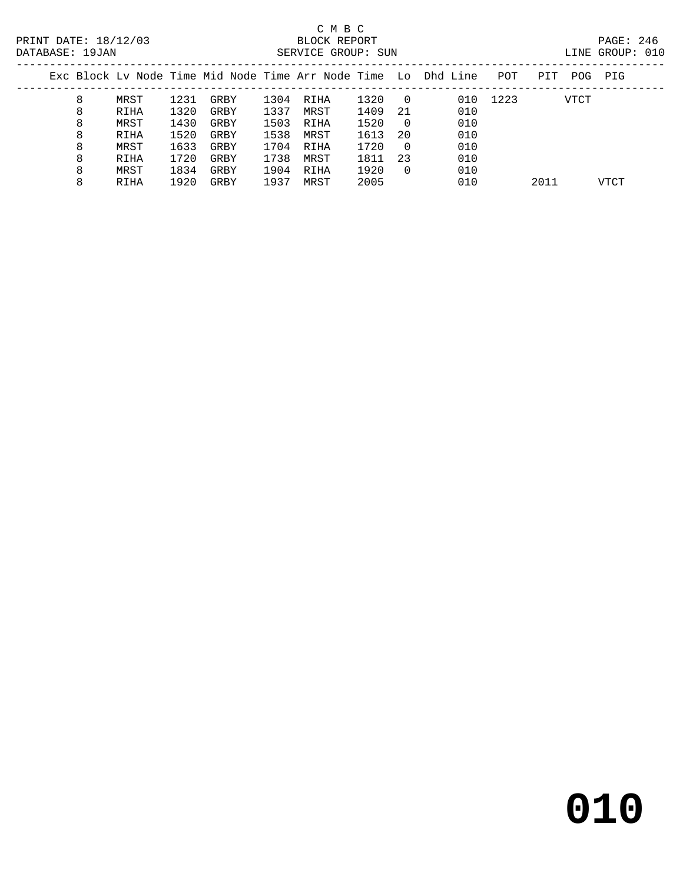### C M B C<br>BLOCK REPORT SERVICE GROUP: SUN

| LTNE. | GROUP: |  |
|-------|--------|--|

|   |      |      |      |      |      |      |          | Exc Block Ly Node Time Mid Node Time Arr Node Time Lo Dhd Line | POT  | PIT  | POG. | PIG  |
|---|------|------|------|------|------|------|----------|----------------------------------------------------------------|------|------|------|------|
| 8 | MRST | 1231 | GRBY | 1304 | RIHA | 1320 | 0        | 010                                                            | 1223 |      | VTCT |      |
| 8 | RIHA | 1320 | GRBY | 1337 | MRST | 1409 | 21       | 010                                                            |      |      |      |      |
| 8 | MRST | 1430 | GRBY | 1503 | RIHA | 1520 | $\Omega$ | 010                                                            |      |      |      |      |
| 8 | RIHA | 1520 | GRBY | 1538 | MRST | 1613 | 20       | 010                                                            |      |      |      |      |
| 8 | MRST | 1633 | GRBY | 1704 | RIHA | 1720 | $\Omega$ | 010                                                            |      |      |      |      |
| 8 | RIHA | 1720 | GRBY | 1738 | MRST | 1811 | -23      | 010                                                            |      |      |      |      |
| 8 | MRST | 1834 | GRBY | 1904 | RIHA | 1920 | $\Omega$ | 010                                                            |      |      |      |      |
| 8 | RIHA | 1920 | GRBY | 1937 | MRST | 2005 |          | 010                                                            |      | 2011 |      | VTCT |
|   |      |      |      |      |      |      |          |                                                                |      |      |      |      |

**010**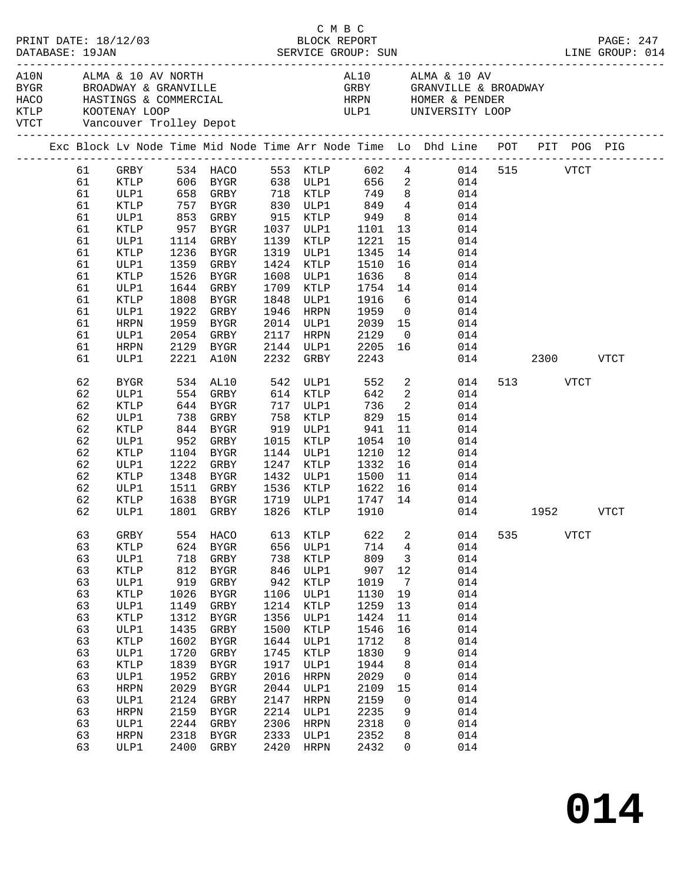| PRINT DATE: 18/12/03 |    |                              |            |                      | C M B C<br>LINE GROUP: 014 |                      |              |                         |                                                                                                          |     |               |             | PAGE: 247 |
|----------------------|----|------------------------------|------------|----------------------|----------------------------|----------------------|--------------|-------------------------|----------------------------------------------------------------------------------------------------------|-----|---------------|-------------|-----------|
|                      |    | VTCT Vancouver Trolley Depot |            |                      |                            |                      |              |                         |                                                                                                          |     |               |             |           |
|                      |    |                              |            |                      |                            |                      |              |                         | Exc Block Lv Node Time Mid Node Time Arr Node Time Lo Dhd Line POT PIT POG PIG                           |     |               |             |           |
|                      | 61 | GRBY                         |            |                      |                            |                      |              |                         | 534 HACO 553 KTLP 602 4 014                                                                              |     | 515 VTCT      |             |           |
|                      | 61 |                              |            |                      |                            |                      |              |                         | XTLP 606 BYGR 638 ULP1 656 2 014<br>ULP1 658 GRBY 718 KTLP 749 8 014<br>XTLP 757 BYGR 830 ULP1 849 4 014 |     |               |             |           |
|                      | 61 |                              |            |                      |                            |                      |              |                         |                                                                                                          |     |               |             |           |
|                      | 61 |                              |            |                      |                            | 830 ULP1             |              |                         |                                                                                                          |     |               |             |           |
|                      | 61 | ULP1                         | 853        | GRBY                 |                            | 915 KTLP             | 949          |                         | 8 014                                                                                                    |     |               |             |           |
|                      | 61 | KTLP                         | 957        | BYGR                 |                            | 1037 ULP1            | 1101<br>1221 |                         | $\begin{array}{cc} 13 & 014 \\ 15 & 014 \end{array}$                                                     |     |               |             |           |
|                      | 61 | ULP1                         |            | 1114 GRBY            |                            | 1139 KTLP            |              | 15                      | 014                                                                                                      |     |               |             |           |
|                      | 61 | KTLP                         | 1236       | BYGR                 | 1319                       | ULP1                 | 1345         | 14                      | 014                                                                                                      |     |               |             |           |
|                      | 61 | ULP1                         | 1359       | GRBY                 | 1424                       | KTLP                 | 1510         | 16                      | 014                                                                                                      |     |               |             |           |
|                      | 61 | KTLP                         | 1526       | BYGR                 | 1608                       | ULP1                 | 1636<br>1754 | 8 <sup>8</sup>          | 014                                                                                                      |     |               |             |           |
|                      | 61 | ULP1                         | 1644       | GRBY                 | 1709                       | KTLP                 |              | 14                      | 014                                                                                                      |     |               |             |           |
|                      | 61 | KTLP                         | 1808       | BYGR                 | 1848                       | ULP1                 | 1916         | 6                       | 014                                                                                                      |     |               |             |           |
|                      | 61 | ULP1                         | 1922       | GRBY                 | 1946                       | HRPN                 | 1959         | $\overline{0}$          | 014                                                                                                      |     |               |             |           |
|                      | 61 | HRPN                         | 1959       | BYGR                 | 2014                       | ULP1                 | 2039         | 15                      | 014                                                                                                      |     |               |             |           |
|                      | 61 | ULP1                         | 2054       | GRBY                 | 2117                       | HRPN                 | 2129         |                         | 014                                                                                                      |     |               |             |           |
|                      | 61 | HRPN                         | 2129       | BYGR                 |                            | 2144 ULP1            | 2205         |                         | $\begin{array}{c} 0 \\ 1.6 \end{array}$<br>014                                                           |     |               |             |           |
|                      | 61 | ULP1                         |            | 2221 A10N            | 2232                       | GRBY                 | 2243         |                         |                                                                                                          |     | 014 2300 VTCT |             |           |
|                      | 62 | BYGR                         |            | 534 AL10<br>554 GRBY |                            | 542 ULP1<br>614 KTLP | 552          |                         | $\frac{2}{2}$<br>014                                                                                     |     | 513 VTCT      |             |           |
|                      | 62 | ULP1                         |            |                      |                            |                      | 642          |                         | 014                                                                                                      |     |               |             |           |
|                      | 62 | KTLP                         |            | 644 BYGR             |                            | 717 ULP1             | 736          | $\overline{\mathbf{2}}$ | 014                                                                                                      |     |               |             |           |
|                      | 62 | ULP1                         | 738        | GRBY                 | 758                        | KTLP                 | 829          | 15                      | 014                                                                                                      |     |               |             |           |
|                      | 62 | KTLP                         | 844<br>952 | BYGR                 |                            | 919 ULP1             | 941          | 11                      | 014                                                                                                      |     |               |             |           |
|                      | 62 | ULP1                         |            | GRBY                 | 1015                       | KTLP                 | 1054         | 10                      | 014                                                                                                      |     |               |             |           |
|                      | 62 | KTLP                         |            | 1104 BYGR            |                            | 1144 ULP1            | 1210         | 12                      | 014                                                                                                      |     |               |             |           |
|                      | 62 | ULP1                         | 1222       | GRBY                 | 1247                       | KTLP                 | 1332         | 16                      | 014                                                                                                      |     |               |             |           |
|                      | 62 | KTLP                         | 1348       | BYGR                 | 1432                       | ULP1                 | 1500         |                         | $\frac{11}{15}$<br>014                                                                                   |     |               |             |           |
|                      | 62 | ULP1                         |            | 1511 GRBY            | 1536                       | KTLP                 | 1622         | 16                      | 014                                                                                                      |     |               |             |           |
|                      | 62 | KTLP                         | 1638       | BYGR                 | 1719                       | ULP1                 | 1747         | 14                      | 014                                                                                                      |     |               |             |           |
|                      | 62 | ULP1                         |            | 1801 GRBY            | 1826                       | KTLP                 | 1910         |                         |                                                                                                          |     | 014 1952 VTCT |             |           |
|                      | 63 | GRBY                         | 554        | HACO                 | 613                        | KTLP                 | 622          | 2                       | 014                                                                                                      | 535 |               | <b>VTCT</b> |           |
|                      | 63 | <b>KTLP</b>                  | 624        | ${\tt BYGR}$         | 656                        | ULP1                 | 714          | 4                       | 014                                                                                                      |     |               |             |           |
|                      | 63 | ULP1                         | 718        | GRBY                 | 738                        | KTLP                 | 809          | 3                       | 014                                                                                                      |     |               |             |           |
|                      | 63 | <b>KTLP</b>                  | 812        | ${\tt BYGR}$         | 846                        | ULP1                 | 907          | $12$                    | 014                                                                                                      |     |               |             |           |
|                      | 63 | ULP1                         | 919        | ${\tt GRBY}$         | 942                        | KTLP                 | 1019         | $7\phantom{.0}$         | 014                                                                                                      |     |               |             |           |
|                      | 63 | <b>KTLP</b>                  | 1026       | ${\tt BYGR}$         | 1106                       | ULP1                 | 1130         | 19                      | 014                                                                                                      |     |               |             |           |
|                      | 63 | ULP1                         | 1149       | GRBY                 | 1214                       | KTLP                 | 1259         | 13                      | 014                                                                                                      |     |               |             |           |
|                      | 63 | <b>KTLP</b>                  | 1312       | ${\tt BYGR}$         | 1356                       | ULP1                 | 1424         | 11                      | 014                                                                                                      |     |               |             |           |
|                      | 63 | ULP1                         | 1435       | ${\tt GRBY}$         | 1500                       | KTLP                 | 1546         | 16                      | 014                                                                                                      |     |               |             |           |
|                      | 63 | <b>KTLP</b>                  | 1602       | ${\tt BYGR}$         | 1644                       | ULP1                 | 1712         | 8                       | 014                                                                                                      |     |               |             |           |
|                      | 63 | ULP1                         | 1720       | GRBY                 | 1745                       | KTLP                 | 1830         | 9                       | 014                                                                                                      |     |               |             |           |
|                      | 63 | <b>KTLP</b>                  | 1839       | ${\tt BYGR}$         | 1917                       | ULP1                 | 1944         | 8                       | 014                                                                                                      |     |               |             |           |
|                      | 63 | ULP1                         | 1952       | ${\tt GRBY}$         | 2016                       | <b>HRPN</b>          | 2029         | 0                       | 014                                                                                                      |     |               |             |           |
|                      | 63 | <b>HRPN</b>                  | 2029       | ${\tt BYGR}$         | 2044                       | ULP1                 | 2109         | 15                      | 014                                                                                                      |     |               |             |           |
|                      | 63 | ULP1                         | 2124       | GRBY                 | 2147                       | <b>HRPN</b>          | 2159         | 0                       | 014                                                                                                      |     |               |             |           |
|                      | 63 | <b>HRPN</b>                  | 2159       | <b>BYGR</b>          | 2214                       | ULP1                 | 2235         | 9                       | 014                                                                                                      |     |               |             |           |
|                      | 63 | ULP1                         | 2244       | ${\tt GRBY}$         | 2306                       | <b>HRPN</b>          | 2318         | 0                       | 014                                                                                                      |     |               |             |           |
|                      | 63 | HRPN                         | 2318       | ${\tt BYGR}$         | 2333                       | ULP1                 | 2352         | 8                       | 014                                                                                                      |     |               |             |           |
|                      | 63 | ULP1                         | 2400       | ${\tt GRBY}$         | 2420                       | HRPN                 | 2432         | 0                       | 014                                                                                                      |     |               |             |           |
|                      |    |                              |            |                      |                            |                      |              |                         |                                                                                                          |     |               |             |           |

**014**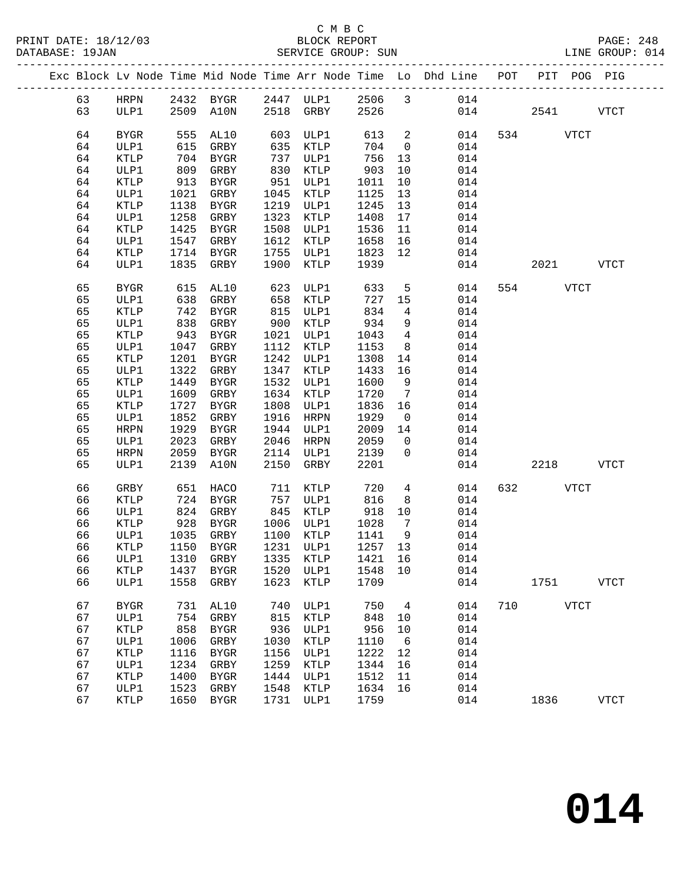|  |          |              |              |                                  |              |              |              |                      | Exc Block Lv Node Time Mid Node Time Arr Node Time Lo Dhd Line POT |     | PIT POG PIG |             |             |
|--|----------|--------------|--------------|----------------------------------|--------------|--------------|--------------|----------------------|--------------------------------------------------------------------|-----|-------------|-------------|-------------|
|  | 63       | HRPN         |              |                                  |              |              |              |                      | 2432 BYGR 2447 ULP1 2506 3 014                                     |     |             |             |             |
|  | 63       | ULP1         |              | 2509 A10N                        |              | 2518 GRBY    | 2526         |                      |                                                                    | 014 | 2541        |             | VTCT        |
|  |          |              |              |                                  |              |              |              |                      |                                                                    |     |             |             |             |
|  | 64       | <b>BYGR</b>  | 555          | AL10                             | 603          | ULP1         | 613          | $\overline{a}$       | 014                                                                |     | 534 VTCT    |             |             |
|  | 64       | ULP1         | 615          | GRBY                             | 635          | KTLP         | 704          | $\overline{0}$       | 014                                                                |     |             |             |             |
|  | 64       | KTLP         | 704          | BYGR                             | 737          | ULP1         | 756          | 13                   | 014                                                                |     |             |             |             |
|  | 64       | ULP1         | 809          | GRBY                             | 830          | KTLP         | 903          | 10                   | 014                                                                |     |             |             |             |
|  | 64       | KTLP         | 913          | BYGR                             | 951          | ULP1         | 1011         | 10                   | 014                                                                |     |             |             |             |
|  | 64       | ULP1         | 1021         | GRBY                             | 1045         | KTLP         | 1125         | 13                   | 014                                                                |     |             |             |             |
|  | 64       | KTLP         | 1138         | BYGR                             | 1219         | ULP1         | 1245         | 13                   | 014                                                                |     |             |             |             |
|  | 64       | ULP1         | 1258         | GRBY                             | 1323         | KTLP         | 1408         | 17                   | 014                                                                |     |             |             |             |
|  | 64       | KTLP         | 1425         | BYGR                             | 1508         | ULP1         | 1536         | 11                   | 014                                                                |     |             |             |             |
|  | 64       | ULP1         | 1547         | GRBY                             | 1612         | KTLP         | 1658         | 16                   | 014                                                                |     |             |             |             |
|  | 64       | KTLP         | 1714         | BYGR                             | 1755         | ULP1         | 1823         | 12                   | 014                                                                |     |             |             |             |
|  | 64       | ULP1         | 1835         | GRBY                             | 1900         | KTLP         | 1939         |                      | 014                                                                |     | 2021 2020   |             | VTCT        |
|  |          |              |              |                                  |              |              |              |                      |                                                                    |     |             |             |             |
|  | 65       | <b>BYGR</b>  | 615          | AL10                             | 623          | ULP1         | 633          | 5                    | 014                                                                |     | 554         | <b>VTCT</b> |             |
|  | 65       | ULP1         | 638          | GRBY                             | 658          | KTLP         | 727          | 15                   | 014                                                                |     |             |             |             |
|  | 65       | KTLP         | 742          | BYGR                             | 815          | ULP1         | 834          | $4\overline{4}$      | 014                                                                |     |             |             |             |
|  | 65       | ULP1         | 838          | GRBY                             | 900          | KTLP         | 934          | 9                    | 014                                                                |     |             |             |             |
|  | 65       | KTLP         | 943          | BYGR                             | 1021         | ULP1         | 1043         | $\overline{4}$       | 014                                                                |     |             |             |             |
|  | 65       | ULP1         | 1047         | GRBY                             | 1112         | KTLP         | 1153         | 8 <sup>8</sup>       | 014                                                                |     |             |             |             |
|  | 65       | KTLP         | 1201         | BYGR                             | 1242         | ULP1         | 1308         | 14                   | 014                                                                |     |             |             |             |
|  | 65       | ULP1         | 1322         | GRBY                             | 1347         | KTLP         | 1433         | 16                   | 014                                                                |     |             |             |             |
|  | 65       | KTLP         | 1449         | BYGR                             | 1532         | ULP1         | 1600         | 9                    | 014                                                                |     |             |             |             |
|  | 65       | ULP1         | 1609         | GRBY                             | 1634         | KTLP         | 1720         | $\overline{7}$       | 014                                                                |     |             |             |             |
|  | 65<br>65 | KTLP<br>ULP1 | 1727<br>1852 | BYGR<br>GRBY                     | 1808<br>1916 | ULP1<br>HRPN | 1836<br>1929 | 16<br>$\overline{0}$ | 014<br>014                                                         |     |             |             |             |
|  | 65       | HRPN         | 1929         | BYGR                             | 1944         | ULP1         | 2009         | 14                   | 014                                                                |     |             |             |             |
|  | 65       | ULP1         | 2023         | GRBY                             | 2046         | HRPN         | 2059         | $\overline{0}$       | 014                                                                |     |             |             |             |
|  | 65       | HRPN         | 2059         | BYGR                             | 2114         | ULP1         | 2139         | $\overline{0}$       | 014                                                                |     |             |             |             |
|  | 65       | ULP1         | 2139         | A10N                             | 2150         | GRBY         | 2201         |                      | 014                                                                |     | 2218        |             | <b>VTCT</b> |
|  |          |              |              |                                  |              |              |              |                      |                                                                    |     |             |             |             |
|  | 66       | GRBY         | 651          | HACO                             | 711          | KTLP         | 720          | $4\overline{ }$      | 014                                                                | 632 |             | <b>VTCT</b> |             |
|  | 66       | KTLP         | 724          | BYGR                             |              | 757 ULP1     | 816          | 8                    | 014                                                                |     |             |             |             |
|  | 66       | ULP1         | 824          | GRBY                             | 845          | KTLP         | 918          | 10                   | 014                                                                |     |             |             |             |
|  | 66       | KTLP         | 928          | BYGR                             |              | 1006 ULP1    | 1028         | $\overline{7}$       | 014                                                                |     |             |             |             |
|  | 66       | ULP1         | 1035         | GRBY                             | 1100         | KTLP         | 1141         | 9                    | 014                                                                |     |             |             |             |
|  | 66       | KTLP         | 1150         | BYGR                             |              | 1231 ULP1    | 1257 13      |                      | 014                                                                |     |             |             |             |
|  | 66       |              |              | ULP1 1310 GRBY 1335 KTLP 1421 16 |              |              |              |                      | 014                                                                |     |             |             |             |
|  | 66       | KTLP         | 1437         | BYGR                             | 1520         | ULP1         | 1548 10      |                      | 014                                                                |     |             |             |             |
|  | 66       | ULP1         | 1558         | GRBY                             | 1623         | KTLP         | 1709         |                      | 014                                                                |     | 1751        |             | <b>VTCT</b> |
|  | 67       | <b>BYGR</b>  | 731          | AL10                             | 740          | ULP1         | 750          | $4\overline{4}$      | 014                                                                | 710 |             | <b>VTCT</b> |             |
|  | 67       | ULP1         | 754          | GRBY                             | 815          | KTLP         | 848          | 10                   | 014                                                                |     |             |             |             |
|  | 67       | KTLP         | 858          | BYGR                             | 936          | ULP1         | 956          | 10                   | 014                                                                |     |             |             |             |
|  | 67       | ULP1         | 1006         | GRBY                             | 1030         | KTLP         | 1110         | 6                    | 014                                                                |     |             |             |             |
|  | 67       | KTLP         | 1116         | BYGR                             | 1156         | ULP1         | 1222         | 12                   | 014                                                                |     |             |             |             |
|  | 67       | ULP1         | 1234         | GRBY                             | 1259         | KTLP         | 1344         | 16                   | 014                                                                |     |             |             |             |
|  | 67       | KTLP         | 1400         | BYGR                             | 1444         | ULP1         | 1512         | 11                   | 014                                                                |     |             |             |             |
|  | 67       | ULP1         | 1523         | GRBY                             | 1548         | KTLP         | 1634         | 16                   | 014                                                                |     |             |             |             |
|  | 67       | KTLP         | 1650         | BYGR                             | 1731         | ULP1         | 1759         |                      | 014                                                                |     | 1836        |             | <b>VTCT</b> |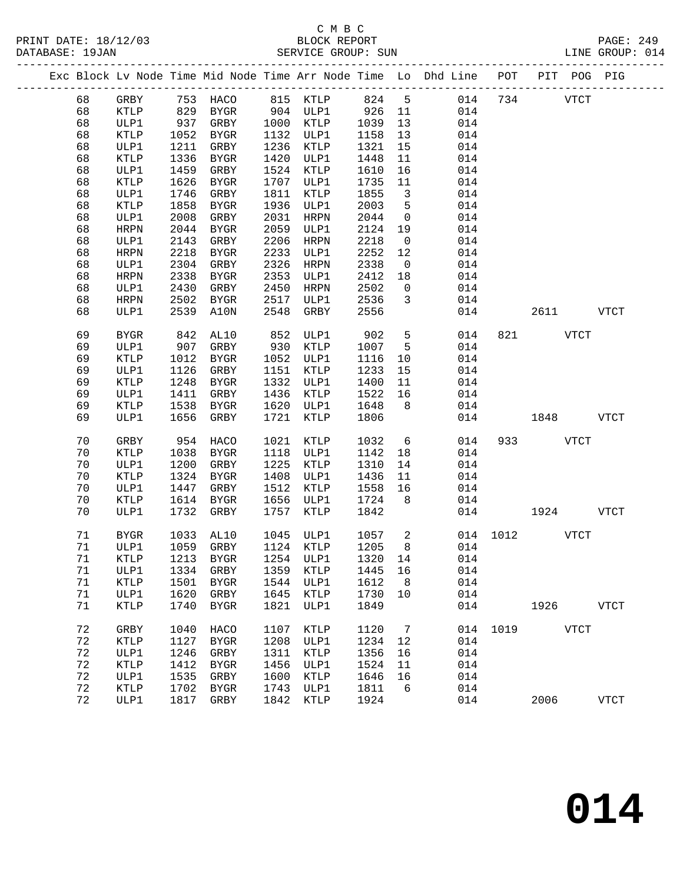|  |    |      |      |      |      |      |      |     | Exc Block Ly Node Time Mid Node Time Arr Node Time Lo Dhd Line | POT | PIT | <b>POG</b>  | PIG |  |
|--|----|------|------|------|------|------|------|-----|----------------------------------------------------------------|-----|-----|-------------|-----|--|
|  | 68 | GRBY | 753  | HACO | 815  | KTLP | 824  | -5  | 014                                                            | 734 |     | <b>VTCT</b> |     |  |
|  | 68 | KTLP | 829  | BYGR | 904  | ULP1 | 926  | -11 | 014                                                            |     |     |             |     |  |
|  | 68 | ULP1 | 937  | GRBY | 1000 | KTLP | 1039 | 13  | 014                                                            |     |     |             |     |  |
|  | 68 | KTLP | 1052 | BYGR | 1132 | ULP1 | 1158 | 13  | 014                                                            |     |     |             |     |  |
|  | 68 | ULP1 | 1211 | GRBY | 1236 | KTLP | 1321 | 15  | 014                                                            |     |     |             |     |  |
|  | 68 | KTLP | 1336 | BYGR | 1420 | ULP1 | 1448 | 11  | 014                                                            |     |     |             |     |  |
|  | 68 | ULP1 | 1459 | GRBY | 1524 | KTLP | 1610 | 16  | 014                                                            |     |     |             |     |  |
|  | 68 | KTLP | 1626 | BYGR | 1707 | ULP1 | 1735 | 11  | 014                                                            |     |     |             |     |  |
|  | 68 | ULP1 | 1746 | GRBY | 1811 | KTLP | 1855 | -3  | 014                                                            |     |     |             |     |  |
|  | 68 | KTLP | 1858 | BYGR | 1936 | ULP1 | 2003 | 5   | 014                                                            |     |     |             |     |  |

| $\sim$ $\sim$ |                 | ᆂᇦᇰᆇ | ------       | ----      | ◡∸∸             | ᆂᆂᆓ  | ——————————————————————— | ິີ∸∸ |     |           |             |             |
|---------------|-----------------|------|--------------|-----------|-----------------|------|-------------------------|------|-----|-----------|-------------|-------------|
| 68            | ULP1            | 1211 | ${\tt GRBY}$ | 1236      | KTLP            | 1321 | 15                      | 014  |     |           |             |             |
| 68            | KTLP            | 1336 | BYGR         |           | 1420 ULP1       | 1448 | 11                      | 014  |     |           |             |             |
|               |                 |      |              |           |                 |      |                         |      |     |           |             |             |
| 68            | ULP1            | 1459 | GRBY         | 1524 KTLP |                 | 1610 | 16                      | 014  |     |           |             |             |
| 68            | KTLP            | 1626 | <b>BYGR</b>  | 1707      | ULP1            | 1735 | 11                      | 014  |     |           |             |             |
| 68            | ULP1            | 1746 | GRBY         | 1811      | KTLP            | 1855 | $\overline{3}$          | 014  |     |           |             |             |
| 68            | $\texttt{KTLP}$ | 1858 | ${\tt BYGR}$ | 1936      | ULP1            | 2003 | $5\phantom{.0}$         | 014  |     |           |             |             |
| 68            | ULP1            | 2008 | GRBY         | 2031      | <b>HRPN</b>     | 2044 | 0                       | 014  |     |           |             |             |
| 68            | <b>HRPN</b>     | 2044 | ${\tt BYGR}$ | 2059      | ULP1            | 2124 | 19                      | 014  |     |           |             |             |
| 68            | ULP1            | 2143 | GRBY         | 2206      | HRPN            | 2218 | $\overline{0}$          | 014  |     |           |             |             |
| 68            | ${\tt HRPN}$    | 2218 | ${\tt BYGR}$ | 2233      | ULP1            | 2252 | $12$                    | 014  |     |           |             |             |
| 68            | ULP1            | 2304 |              | 2326      |                 | 2338 |                         | 014  |     |           |             |             |
|               |                 |      | GRBY         |           | <b>HRPN</b>     |      | $\mathsf 0$             |      |     |           |             |             |
| 68            | <b>HRPN</b>     | 2338 | ${\tt BYGR}$ | 2353      | ULP1            | 2412 | 18                      | 014  |     |           |             |             |
| 68            | ULP1            | 2430 | GRBY         | 2450      | HRPN            | 2502 | $\mathsf 0$             | 014  |     |           |             |             |
| 68            | <b>HRPN</b>     | 2502 | <b>BYGR</b>  | 2517      | ULP1            | 2536 | 3                       | 014  |     |           |             |             |
| 68            | ULP1            | 2539 | A10N         | 2548      | GRBY            | 2556 |                         | 014  |     | 2611      |             | VTCT        |
|               |                 |      |              |           |                 |      |                         |      |     |           |             |             |
| 69            | ${\tt BYGR}$    | 842  | AL10         | 852       | ULP1            | 902  | 5 <sup>1</sup>          | 014  | 821 |           | VTCT        |             |
| 69            | ULP1            | 907  | GRBY         | 930       | KTLP            | 1007 | $5\overline{)}$         | 014  |     |           |             |             |
| 69            | KTLP            | 1012 | BYGR         | 1052      | ULP1            | 1116 | 10                      | 014  |     |           |             |             |
| 69            | ULP1            | 1126 | GRBY         | 1151      | KTLP            | 1233 | 15                      | 014  |     |           |             |             |
|               |                 |      |              |           |                 |      |                         |      |     |           |             |             |
| 69            | KTLP            | 1248 | <b>BYGR</b>  | 1332      | ULP1            | 1400 | 11                      | 014  |     |           |             |             |
| 69            | ULP1            | 1411 | GRBY         | 1436      | KTLP            | 1522 | 16                      | 014  |     |           |             |             |
| 69            | KTLP            | 1538 | <b>BYGR</b>  | 1620      | ULP1            | 1648 | 8                       | 014  |     |           |             |             |
| 69            | ULP1            | 1656 | GRBY         | 1721      | <b>KTLP</b>     | 1806 |                         | 014  |     | 1848      |             | VTCT        |
|               |                 |      |              |           |                 |      |                         |      |     |           |             |             |
| $70$          | GRBY            | 954  | HACO         | 1021      | KTLP            | 1032 | 6                       | 014  | 933 |           | <b>VTCT</b> |             |
| $70$          | $\texttt{KTLP}$ | 1038 | ${\tt BYGR}$ | 1118      | ULP1            | 1142 | 18                      | 014  |     |           |             |             |
| 70            | ULP1            | 1200 | GRBY         | 1225      | KTLP            | 1310 | 14                      | 014  |     |           |             |             |
| 70            | $\texttt{KTLP}$ | 1324 | ${\tt BYGR}$ | 1408      | ULP1            | 1436 | 11                      | 014  |     |           |             |             |
| 70            | ULP1            | 1447 | GRBY         | 1512      | KTLP            | 1558 | 16                      | 014  |     |           |             |             |
|               |                 |      |              |           |                 |      |                         |      |     |           |             |             |
| 70            | KTLP            | 1614 | <b>BYGR</b>  | 1656      | ULP1            | 1724 | 8 <sup>8</sup>          | 014  |     |           |             |             |
| 70            | ULP1            | 1732 | GRBY         | 1757      | KTLP            | 1842 |                         | 014  |     | 1924      |             | <b>VTCT</b> |
|               |                 |      |              |           |                 |      |                         |      |     |           |             |             |
| 71            | <b>BYGR</b>     | 1033 | AL10         | 1045      | ULP1            | 1057 | $\overline{a}$          | 014  |     | 1012 VTCT |             |             |
| 71            | ULP1            | 1059 | GRBY         | 1124      | KTLP            | 1205 | 8                       | 014  |     |           |             |             |
| 71            | <b>KTLP</b>     | 1213 | ${\tt BYGR}$ | 1254      | ULP1            | 1320 | 14                      | 014  |     |           |             |             |
| 71            | ULP1            | 1334 | GRBY         | 1359      | KTLP            | 1445 | 16                      | 014  |     |           |             |             |
| $7\,1$        | $\texttt{KTLP}$ | 1501 | BYGR         | 1544      | ULP1            | 1612 | 8                       | 014  |     |           |             |             |
| 71            | ULP1            | 1620 | GRBY         | 1645      | KTLP            | 1730 | 10                      | 014  |     |           |             |             |
| 71            | KTLP            | 1740 | ${\tt BYGR}$ | 1821      | ULP1            | 1849 |                         | 014  |     | 1926      |             | <b>VTCT</b> |
|               |                 |      |              |           |                 |      |                         |      |     |           |             |             |
|               |                 |      |              |           |                 |      |                         |      |     |           |             |             |
| $7\sqrt{2}$   | GRBY            | 1040 | HACO         | 1107      | KTLP            | 1120 | $7\overline{ }$         | 014  |     | 1019 VTCT |             |             |
| 72            | KTLP            | 1127 | ${\tt BYGR}$ | 1208      | ULP1            | 1234 | 12                      | 014  |     |           |             |             |
| $7\sqrt{2}$   | ULP1            | 1246 | ${\tt GRBY}$ | 1311      | $\texttt{KTLP}$ | 1356 | 16                      | 014  |     |           |             |             |
| 72            | KTLP            | 1412 | <b>BYGR</b>  | 1456      | ULP1            | 1524 | 11                      | 014  |     |           |             |             |
| $7\,2$        | ULP1            | 1535 | GRBY         | 1600      | $\texttt{KTLP}$ | 1646 | 16                      | 014  |     |           |             |             |
| 72            | KTLP            | 1702 | BYGR         | 1743      | ULP1            | 1811 | $6\overline{6}$         | 014  |     |           |             |             |
| 72            | ULP1            | 1817 | GRBY         | 1842      | <b>KTLP</b>     | 1924 |                         | 014  |     |           | 2006 VTCT   |             |
|               |                 |      |              |           |                 |      |                         |      |     |           |             |             |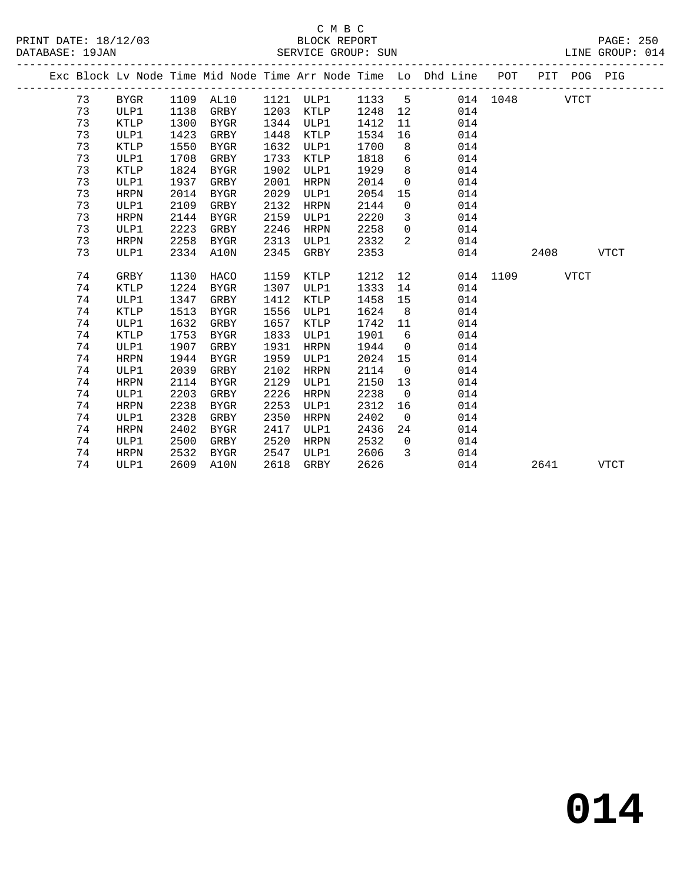|  |    |             |      |             |      |             |        |                | Exc Block Lv Node Time Mid Node Time Arr Node Time Lo Dhd Line POT |          |      | PIT POG PIG |             |
|--|----|-------------|------|-------------|------|-------------|--------|----------------|--------------------------------------------------------------------|----------|------|-------------|-------------|
|  | 73 | BYGR        |      | 1109 AL10   |      | 1121 ULP1   | 1133 5 |                |                                                                    | 014 1048 |      | <b>VTCT</b> |             |
|  | 73 | ULP1        | 1138 | GRBY        | 1203 | KTLP        | 1248   | 12             | 014                                                                |          |      |             |             |
|  | 73 | <b>KTLP</b> | 1300 | BYGR        | 1344 | ULP1        | 1412   | 11             | 014                                                                |          |      |             |             |
|  | 73 | ULP1        | 1423 | GRBY        | 1448 | KTLP        | 1534   | 16             | 014                                                                |          |      |             |             |
|  | 73 | <b>KTLP</b> | 1550 | BYGR        | 1632 | ULP1        | 1700   | 8              | 014                                                                |          |      |             |             |
|  | 73 | ULP1        | 1708 | GRBY        | 1733 | KTLP        | 1818   | 6              | 014                                                                |          |      |             |             |
|  | 73 | <b>KTLP</b> | 1824 | BYGR        | 1902 | ULP1        | 1929   | 8              | 014                                                                |          |      |             |             |
|  | 73 | ULP1        | 1937 | GRBY        | 2001 | HRPN        | 2014   | $\overline{0}$ | 014                                                                |          |      |             |             |
|  | 73 | <b>HRPN</b> | 2014 | <b>BYGR</b> | 2029 | ULP1        | 2054   | 15             | 014                                                                |          |      |             |             |
|  | 73 | ULP1        | 2109 | GRBY        | 2132 | HRPN        | 2144   | $\mathsf{O}$   | 014                                                                |          |      |             |             |
|  | 73 | <b>HRPN</b> | 2144 | BYGR        | 2159 | ULP1        | 2220   | $\overline{3}$ | 014                                                                |          |      |             |             |
|  | 73 | ULP1        | 2223 | GRBY        | 2246 | HRPN        | 2258   | $\overline{0}$ | 014                                                                |          |      |             |             |
|  | 73 | <b>HRPN</b> | 2258 | BYGR        | 2313 | ULP1        | 2332   | 2              | 014                                                                |          |      |             |             |
|  | 73 | ULP1        | 2334 | A10N        | 2345 | GRBY        | 2353   |                | 014                                                                |          | 2408 |             | <b>VTCT</b> |
|  |    |             |      |             |      |             |        |                |                                                                    |          |      |             |             |
|  | 74 | GRBY        | 1130 | HACO        | 1159 | KTLP        | 1212   | 12             |                                                                    | 014 1109 |      | <b>VTCT</b> |             |
|  | 74 | <b>KTLP</b> | 1224 | <b>BYGR</b> | 1307 | ULP1        | 1333   | 14             | 014                                                                |          |      |             |             |
|  | 74 | ULP1        | 1347 | GRBY        | 1412 | KTLP        | 1458   | 15             | 014                                                                |          |      |             |             |
|  | 74 | <b>KTLP</b> | 1513 | BYGR        | 1556 | ULP1        | 1624   | 8 <sup>8</sup> | 014                                                                |          |      |             |             |
|  | 74 | ULP1        | 1632 | GRBY        | 1657 | KTLP        | 1742   | 11             | 014                                                                |          |      |             |             |
|  | 74 | <b>KTLP</b> | 1753 | BYGR        | 1833 | ULP1        | 1901   | 6              | 014                                                                |          |      |             |             |
|  | 74 | ULP1        | 1907 | GRBY        | 1931 | <b>HRPN</b> | 1944   | $\overline{0}$ | 014                                                                |          |      |             |             |
|  | 74 | HRPN        | 1944 | BYGR        | 1959 | ULP1        | 2024   | 15             | 014                                                                |          |      |             |             |
|  | 74 | ULP1        | 2039 | GRBY        | 2102 | HRPN        | 2114   | $\overline{0}$ | 014                                                                |          |      |             |             |
|  | 74 | <b>HRPN</b> | 2114 | <b>BYGR</b> | 2129 | ULP1        | 2150   | 13             | 014                                                                |          |      |             |             |
|  | 74 | ULP1        | 2203 | GRBY        | 2226 | HRPN        | 2238   | $\overline{0}$ | 014                                                                |          |      |             |             |
|  | 74 | <b>HRPN</b> | 2238 | <b>BYGR</b> | 2253 | ULP1        | 2312   | 16             | 014                                                                |          |      |             |             |
|  | 74 | ULP1        | 2328 | GRBY        | 2350 | HRPN        | 2402   | $\overline{0}$ | 014                                                                |          |      |             |             |
|  | 74 | <b>HRPN</b> | 2402 | BYGR        | 2417 | ULP1        | 2436   | 24             | 014                                                                |          |      |             |             |
|  | 74 | ULP1        | 2500 | GRBY        | 2520 | HRPN        | 2532   | $\Omega$       | 014                                                                |          |      |             |             |
|  | 74 | HRPN        | 2532 | BYGR        | 2547 | ULP1        | 2606   | 3              | 014                                                                |          |      |             |             |
|  | 74 | ULP1        | 2609 | A10N        | 2618 | GRBY        | 2626   |                | 014                                                                |          | 2641 |             | <b>VTCT</b> |
|  |    |             |      |             |      |             |        |                |                                                                    |          |      |             |             |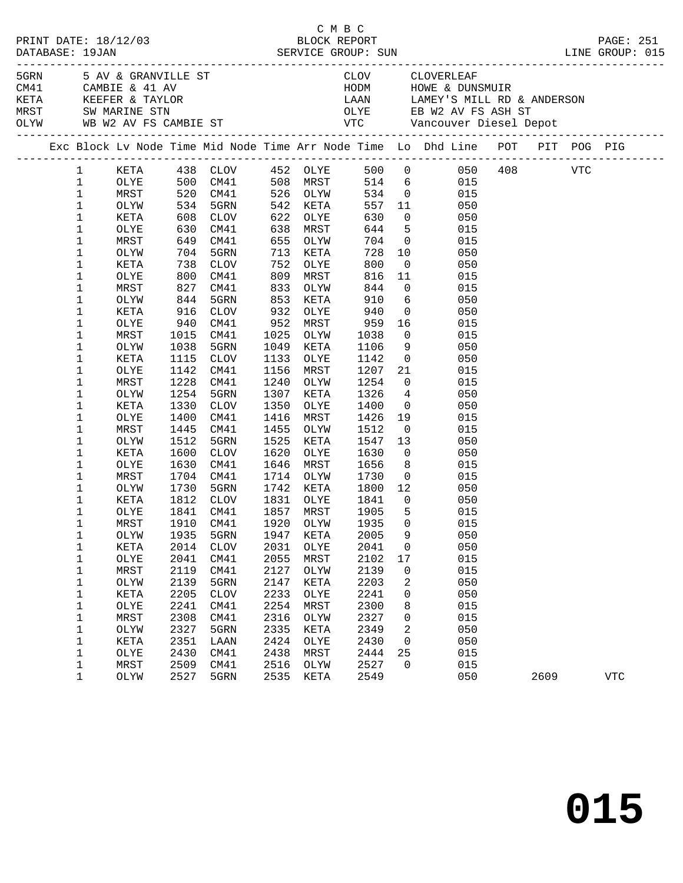|                                                                                                                                                                                                                                                                                             |                                                                                                                                                                                                              |                                                              |                                                                                                                                                                                                                                                                                                                             |                                                                                                                                                                           |                                                                                                                                                                                                                                          |                                                                                                                                                                                                            |                                                                                                                                                                                             | C M B C<br>PRINT DATE: 18/12/03 BLOCK REPORT PAGE: 251<br>DATABASE: 19JAN SERVICE GROUP: SUN LINE GROUP: 015                                                                                                                                                                                                                                                                                                                                                                             |      |            |  |
|---------------------------------------------------------------------------------------------------------------------------------------------------------------------------------------------------------------------------------------------------------------------------------------------|--------------------------------------------------------------------------------------------------------------------------------------------------------------------------------------------------------------|--------------------------------------------------------------|-----------------------------------------------------------------------------------------------------------------------------------------------------------------------------------------------------------------------------------------------------------------------------------------------------------------------------|---------------------------------------------------------------------------------------------------------------------------------------------------------------------------|------------------------------------------------------------------------------------------------------------------------------------------------------------------------------------------------------------------------------------------|------------------------------------------------------------------------------------------------------------------------------------------------------------------------------------------------------------|---------------------------------------------------------------------------------------------------------------------------------------------------------------------------------------------|------------------------------------------------------------------------------------------------------------------------------------------------------------------------------------------------------------------------------------------------------------------------------------------------------------------------------------------------------------------------------------------------------------------------------------------------------------------------------------------|------|------------|--|
|                                                                                                                                                                                                                                                                                             |                                                                                                                                                                                                              |                                                              |                                                                                                                                                                                                                                                                                                                             |                                                                                                                                                                           |                                                                                                                                                                                                                                          |                                                                                                                                                                                                            |                                                                                                                                                                                             | 5 AV & GRANVILLE ST CLOV CLOVERLEAF<br>CM41 CAMBIE & 41 AV HODM HOWE & DUNSMUIR<br>KETA KEEFER & TAYLOR LAAN LAMEY'S MILL RD & ANDERSON<br>MRST SW MARINE STN OLYE EB W2 AV FS ASH ST<br>OLYW WB W2 AV FS CAMBIE ST VTC Vancouver Dies                                                                                                                                                                                                                                                   |      |            |  |
|                                                                                                                                                                                                                                                                                             |                                                                                                                                                                                                              |                                                              |                                                                                                                                                                                                                                                                                                                             |                                                                                                                                                                           |                                                                                                                                                                                                                                          |                                                                                                                                                                                                            |                                                                                                                                                                                             | Exc Block Lv Node Time Mid Node Time Arr Node Time Lo Dhd Line POT PIT POG PIG                                                                                                                                                                                                                                                                                                                                                                                                           |      |            |  |
| $1 \quad \blacksquare$<br>$\mathbf{1}$<br>$\mathbf 1$<br>$\mathbf 1$<br>$\mathbf 1$<br>1<br>$\mathbf 1$<br>1<br>$\mathbf 1$<br>$\mathbf 1$<br>1<br>1<br>$\mathbf 1$<br>1<br>$\mathbf 1$<br>1<br>1<br>$\mathbf 1$<br>1<br>1<br>1<br>$\mathbf 1$<br>1<br>1<br>1<br>$\mathbf 1$<br>1<br>1<br>1 | OLYW<br>KETA<br>OLYE<br>MRST<br>OLYW<br>KETA<br>OLYE<br>MRST<br>OLYW<br>KETA<br>OLYE<br>MRST<br>OLYW<br>KETA<br>OLYE<br>MRST<br>OLYW<br>KETA<br>OLYE<br>MRST<br>OLYW<br>KETA<br>OLYE<br>MRST<br>OLYW<br>KETA | 1038<br>1228<br>1254<br>1330<br>1400<br>1445<br>1512<br>1600 | MRST 520 CM41 526 OLYW 534 0<br>534 5GRN<br>608 CLOV<br>630 CM41<br>649 CM41<br>704 5GRN<br>738 CLOV<br>800 CM41<br>827 CM41<br>844 5GRN<br>916 CLOV<br>940 CM41<br>1015 CM41<br>5GRN<br>1115 CLOV<br>1142 CM41<br>CM41<br>5GRN<br>CLOV<br>CM41<br>CM41<br>5GRN<br>CLOV<br>1630 CM41<br>1704 CM41<br>1730 5GRN<br>1812 CLOV | 542<br>622<br>638<br>655<br>713<br>752<br>809<br>833<br>853<br>932<br>952<br>1025<br>1049<br>1133<br>1156<br>1240<br>1307<br>1350<br>1416<br>1455<br>1525<br>1620<br>1646 | KETA<br>OLYE<br>MRST<br>OLYW<br>KETA<br>OLYE<br>MRST<br>OLYW<br>KETA<br>OLYE<br>MRST<br>OLYW<br>KETA<br>OLYE<br>MRST<br>OLYW<br>KETA<br>OLYE<br>MRST<br>OLYW<br>KETA<br>OLYE<br>MRST<br>1714 OLYW<br>1742 KETA<br>1831 OLYE<br>1857 MRST | 557<br>630<br>644<br>$728$<br>$800$<br>$816$<br>$844$<br>910<br>940<br>959<br>1038<br>1106<br>1142<br>1207<br>1254<br>1326<br>1400<br>1426<br>1512<br>1547<br>1630<br>1656<br>1730<br>1800<br>1841<br>1905 | $\overline{0}$<br>10<br>$\overline{0}$<br>9<br>$\begin{array}{c} 0 \\ 21 \end{array}$<br>$\overline{0}$<br>19<br>$\overline{0}$<br>13<br>$\overline{0}$<br>8 <sup>8</sup><br>$\overline{0}$ | KETA 438 CLOV 452 OLYE 500 0 050 408 VTC<br>OLYE 500 CM41 508 MRST 514 6 015<br>015<br>11<br>050<br>050<br>5 <sub>1</sub><br>015<br>704 0<br>015<br>050<br>050<br>$\boxed{11}$<br>015<br>$\overline{0}$<br>015<br>$6\overline{6}$<br>050<br>$\begin{array}{c} 0 \\ 16 \end{array}$<br>050<br>015<br>$\overline{0}$<br>015<br>050<br>050<br>015<br>$\overline{0}$<br>015<br>$4\overline{ }$<br>050<br>050<br>015<br>015<br>050<br>050<br>015<br>$\overline{0}$<br>015<br>12<br>050<br>050 |      |            |  |
| $\mathbf 1$<br>1<br>1<br>1<br>1<br>$\mathbf 1$<br>1<br>1                                                                                                                                                                                                                                    | OLYE<br>$\tt MRST$<br>OLYW<br>KETA<br>OLYE<br>MRST<br>OLYW<br>KETA                                                                                                                                           | 1935<br>2014<br>2041<br>2119<br>2139<br>2205                 | 1841 CM41<br>5GRN<br><b>CLOV</b><br>CM41<br>CM41<br>5GRN<br><b>CLOV</b>                                                                                                                                                                                                                                                     | 1947<br>2031<br>2055<br>2127<br>2147<br>2233                                                                                                                              | KETA<br>OLYE<br>MRST<br>OLYW<br>KETA<br>OLYE                                                                                                                                                                                             | 1905<br>2005<br>2041<br>2102<br>2139<br>2203<br>2241                                                                                                                                                       | 5<br>9<br>0<br>17<br>$\mathbf 0$<br>2<br>0                                                                                                                                                  | 015<br>1910 CM41 1920 OLYW 1935 0 015<br>050<br>050<br>015<br>015<br>050<br>050                                                                                                                                                                                                                                                                                                                                                                                                          |      |            |  |
| $\mathbf 1$<br>1<br>1<br>1<br>1<br>1<br>1                                                                                                                                                                                                                                                   | OLYE<br>MRST<br>OLYW<br>KETA<br>OLYE<br>MRST<br>OLYW                                                                                                                                                         | 2241<br>2308<br>2327<br>2351<br>2430<br>2509<br>2527         | CM41<br>CM41<br>5GRN<br>LAAN<br>CM41<br>CM41<br>5GRN                                                                                                                                                                                                                                                                        | 2254<br>2316<br>2335<br>2424<br>2438<br>2516<br>2535                                                                                                                      | MRST<br>OLYW<br>KETA<br>OLYE<br>MRST<br>OLYW<br>KETA                                                                                                                                                                                     | 2300<br>2327<br>2349<br>2430<br>2444<br>2527<br>2549                                                                                                                                                       | 8<br>0<br>2<br>$\mathsf{O}$<br>25<br>$\mathsf{O}$                                                                                                                                           | 015<br>015<br>050<br>050<br>015<br>015<br>050                                                                                                                                                                                                                                                                                                                                                                                                                                            | 2609 | <b>VTC</b> |  |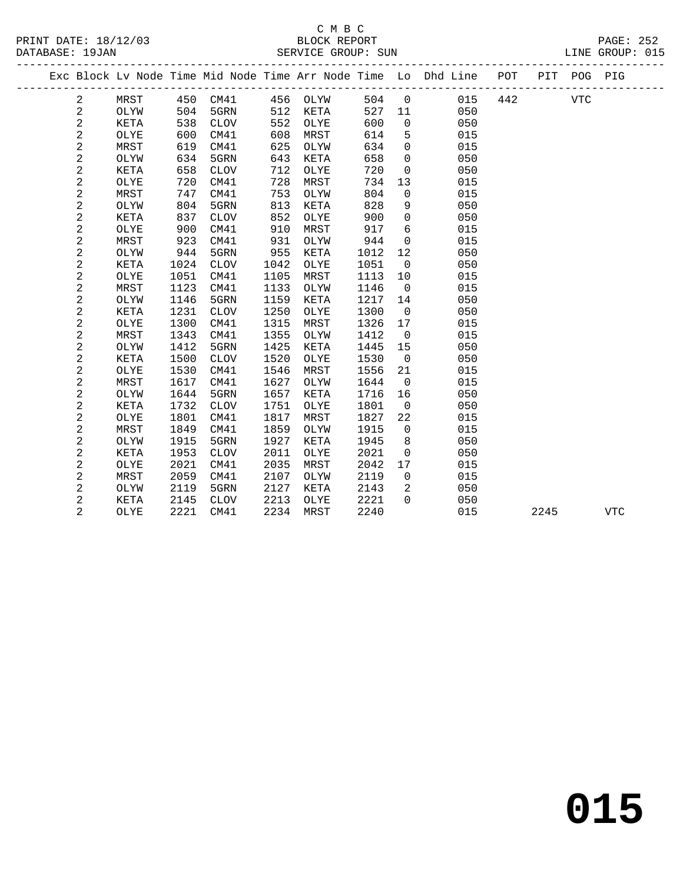|  |      |     |      |     |          |     |                | Exc Block Ly Node Time Mid Node Time Arr Node Time Lo Dhd Line | POT | PIT | POG | PIG |  |
|--|------|-----|------|-----|----------|-----|----------------|----------------------------------------------------------------|-----|-----|-----|-----|--|
|  | MRST | 450 | CM41 |     | 456 OLYW | 504 | $\overline{0}$ | 015                                                            | 442 |     | VTC |     |  |
|  | OLYW | 504 | 5GRN |     | 512 KETA | 527 | -11            | 050                                                            |     |     |     |     |  |
|  | KETA | 538 | CLOV |     | 552 OLYE | 600 | 0              | 050                                                            |     |     |     |     |  |
|  | OLYE | 600 | CM41 | 608 | MRST     | 614 | 5              | 015                                                            |     |     |     |     |  |
|  | MRST | 619 | CM41 | 625 | OLYW     | 634 | 0              | 015                                                            |     |     |     |     |  |
|  | OLYW | 634 | 5GRN | 643 | KETA     | 658 | $\Omega$       | 050                                                            |     |     |     |     |  |
|  | KETA | 658 | CLOV | 712 | OLYE     | 720 | 0              | 050                                                            |     |     |     |     |  |
|  |      |     |      |     |          |     |                |                                                                |     |     |     |     |  |

| 2              | OLYE | 720  | CM41        | 728  | MRST | 734  | 13             | 015 |      |            |
|----------------|------|------|-------------|------|------|------|----------------|-----|------|------------|
| 2              | MRST | 747  | CM41        | 753  | OLYW | 804  | 0              | 015 |      |            |
| 2              | OLYW | 804  | 5GRN        | 813  | KETA | 828  | 9              | 050 |      |            |
| $\overline{c}$ | KETA | 837  | <b>CLOV</b> | 852  | OLYE | 900  | $\Omega$       | 050 |      |            |
| $\overline{a}$ | OLYE | 900  | CM41        | 910  | MRST | 917  | 6              | 015 |      |            |
| 2              | MRST | 923  | CM41        | 931  | OLYW | 944  | $\mathbf 0$    | 015 |      |            |
| 2              | OLYW | 944  | 5GRN        | 955  | KETA | 1012 | 12             | 050 |      |            |
| 2              | KETA | 1024 | <b>CLOV</b> | 1042 | OLYE | 1051 | $\mathbf 0$    | 050 |      |            |
| 2              | OLYE | 1051 | CM41        | 1105 | MRST | 1113 | 10             | 015 |      |            |
| 2              | MRST | 1123 | CM41        | 1133 | OLYW | 1146 | $\mathbf 0$    | 015 |      |            |
| 2              | OLYW | 1146 | 5GRN        | 1159 | KETA | 1217 | 14             | 050 |      |            |
| 2              | KETA | 1231 | <b>CLOV</b> | 1250 | OLYE | 1300 | 0              | 050 |      |            |
| 2              | OLYE | 1300 | CM41        | 1315 | MRST | 1326 | 17             | 015 |      |            |
| $\overline{c}$ | MRST | 1343 | CM41        | 1355 | OLYW | 1412 | $\Omega$       | 015 |      |            |
| 2              | OLYW | 1412 | 5GRN        | 1425 | KETA | 1445 | 15             | 050 |      |            |
| 2              | KETA | 1500 | <b>CLOV</b> | 1520 | OLYE | 1530 | 0              | 050 |      |            |
| 2              | OLYE | 1530 | CM41        | 1546 | MRST | 1556 | 21             | 015 |      |            |
| 2              | MRST | 1617 | CM41        | 1627 | OLYW | 1644 | $\mathbf 0$    | 015 |      |            |
| 2              | OLYW | 1644 | 5GRN        | 1657 | KETA | 1716 | 16             | 050 |      |            |
| 2              | KETA | 1732 | <b>CLOV</b> | 1751 | OLYE | 1801 | $\overline{0}$ | 050 |      |            |
| $\overline{c}$ | OLYE | 1801 | CM41        | 1817 | MRST | 1827 | 22             | 015 |      |            |
| 2              | MRST | 1849 | CM41        | 1859 | OLYW | 1915 | 0              | 015 |      |            |
| 2              | OLYW | 1915 | 5GRN        | 1927 | KETA | 1945 | 8              | 050 |      |            |
| 2              | KETA | 1953 | <b>CLOV</b> | 2011 | OLYE | 2021 | 0              | 050 |      |            |
| $\overline{a}$ | OLYE | 2021 | CM41        | 2035 | MRST | 2042 | 17             | 015 |      |            |
| 2              | MRST | 2059 | CM41        | 2107 | OLYW | 2119 | 0              | 015 |      |            |
| 2              | OLYW | 2119 | 5GRN        | 2127 | KETA | 2143 | 2              | 050 |      |            |
| 2              | KETA | 2145 | <b>CLOV</b> | 2213 | OLYE | 2221 | $\Omega$       | 050 |      |            |
| 2              | OLYE | 2221 | CM41        | 2234 | MRST | 2240 |                | 015 | 2245 | <b>VTC</b> |
|                |      |      |             |      |      |      |                |     |      |            |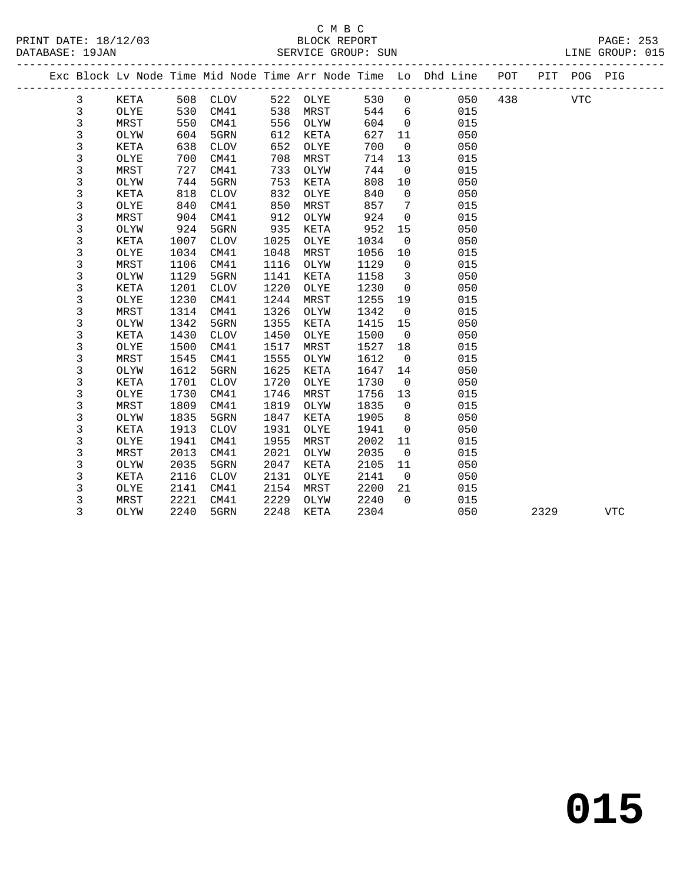|  |             |             |      |             |      |          |      |                | Exc Block Lv Node Time Mid Node Time Arr Node Time Lo Dhd Line POT PIT POG PIG |     |      |            |            |  |
|--|-------------|-------------|------|-------------|------|----------|------|----------------|--------------------------------------------------------------------------------|-----|------|------------|------------|--|
|  | 3           | KETA        | 508  | <b>CLOV</b> |      | 522 OLYE | 530  | $\overline{0}$ | 050                                                                            | 438 |      | <b>VTC</b> |            |  |
|  | 3           | OLYE        | 530  | CM41        | 538  | MRST     | 544  | 6              | 015                                                                            |     |      |            |            |  |
|  | 3           | MRST        | 550  | CM41        | 556  | OLYW     | 604  | $\mathbf 0$    | 015                                                                            |     |      |            |            |  |
|  | 3           | OLYW        | 604  | 5GRN        | 612  | KETA     | 627  | 11             | 050                                                                            |     |      |            |            |  |
|  | 3           | KETA        | 638  | <b>CLOV</b> | 652  | OLYE     | 700  | $\mathbf 0$    | 050                                                                            |     |      |            |            |  |
|  | 3           | OLYE        | 700  | CM41        | 708  | MRST     | 714  | 13             | 015                                                                            |     |      |            |            |  |
|  | 3           | MRST        | 727  | CM41        | 733  | OLYW     | 744  | $\mathbf 0$    | 015                                                                            |     |      |            |            |  |
|  | 3           | OLYW        | 744  | 5GRN        | 753  | KETA     | 808  | 10             | 050                                                                            |     |      |            |            |  |
|  | 3           | <b>KETA</b> | 818  | CLOV        | 832  | OLYE     | 840  | $\mathbf 0$    | 050                                                                            |     |      |            |            |  |
|  | $\mathsf 3$ | OLYE        | 840  | CM41        | 850  | MRST     | 857  | 7              | 015                                                                            |     |      |            |            |  |
|  | 3           | MRST        | 904  | CM41        | 912  | OLYW     | 924  | $\mathbf 0$    | 015                                                                            |     |      |            |            |  |
|  | 3           | OLYW        | 924  | 5GRN        | 935  | KETA     | 952  | 15             | 050                                                                            |     |      |            |            |  |
|  | 3           | KETA        | 1007 | <b>CLOV</b> | 1025 | OLYE     | 1034 | $\overline{0}$ | 050                                                                            |     |      |            |            |  |
|  | 3           | OLYE        | 1034 | CM41        | 1048 | MRST     | 1056 | 10             | 015                                                                            |     |      |            |            |  |
|  | 3           | MRST        | 1106 | CM41        | 1116 | OLYW     | 1129 | $\overline{0}$ | 015                                                                            |     |      |            |            |  |
|  | 3           | OLYW        | 1129 | 5GRN        | 1141 | KETA     | 1158 | 3              | 050                                                                            |     |      |            |            |  |
|  | 3           | KETA        | 1201 | <b>CLOV</b> | 1220 | OLYE     | 1230 | $\mathbf 0$    | 050                                                                            |     |      |            |            |  |
|  | $\mathsf 3$ | OLYE        | 1230 | CM41        | 1244 | MRST     | 1255 | 19             | 015                                                                            |     |      |            |            |  |
|  | 3           | MRST        | 1314 | CM41        | 1326 | OLYW     | 1342 | $\mathbf 0$    | 015                                                                            |     |      |            |            |  |
|  | 3           | OLYW        | 1342 | 5GRN        | 1355 | KETA     | 1415 | 15             | 050                                                                            |     |      |            |            |  |
|  | 3           | KETA        | 1430 | <b>CLOV</b> | 1450 | OLYE     | 1500 | $\overline{0}$ | 050                                                                            |     |      |            |            |  |
|  | $\mathsf 3$ | OLYE        | 1500 | CM41        | 1517 | MRST     | 1527 | 18             | 015                                                                            |     |      |            |            |  |
|  | 3           | MRST        | 1545 | CM41        | 1555 | OLYW     | 1612 | $\overline{0}$ | 015                                                                            |     |      |            |            |  |
|  | 3           | OLYW        | 1612 | 5GRN        | 1625 | KETA     | 1647 | 14             | 050                                                                            |     |      |            |            |  |
|  | 3           | <b>KETA</b> | 1701 | <b>CLOV</b> | 1720 | OLYE     | 1730 | $\overline{0}$ | 050                                                                            |     |      |            |            |  |
|  | 3           | OLYE        | 1730 | CM41        | 1746 | MRST     | 1756 | 13             | 015                                                                            |     |      |            |            |  |
|  | 3           | MRST        | 1809 | CM41        | 1819 | OLYW     | 1835 | $\Omega$       | 015                                                                            |     |      |            |            |  |
|  | 3           | OLYW        | 1835 | 5GRN        | 1847 | KETA     | 1905 | 8              | 050                                                                            |     |      |            |            |  |
|  | 3           | KETA        | 1913 | <b>CLOV</b> | 1931 | OLYE     | 1941 | $\mathbf 0$    | 050                                                                            |     |      |            |            |  |
|  | 3           | OLYE        | 1941 | CM41        | 1955 | MRST     | 2002 | 11             | 015                                                                            |     |      |            |            |  |
|  | $\mathsf 3$ | MRST        | 2013 | CM41        | 2021 | OLYW     | 2035 | $\overline{0}$ | 015                                                                            |     |      |            |            |  |
|  | 3           | OLYW        | 2035 | 5GRN        | 2047 | KETA     | 2105 | 11             | 050                                                                            |     |      |            |            |  |
|  | 3           | KETA        | 2116 | <b>CLOV</b> | 2131 | OLYE     | 2141 | $\overline{0}$ | 050                                                                            |     |      |            |            |  |
|  | 3           | OLYE        | 2141 | CM41        | 2154 | MRST     | 2200 | 21             | 015                                                                            |     |      |            |            |  |
|  | $\mathsf 3$ | MRST        | 2221 | CM41        | 2229 | OLYW     | 2240 | $\Omega$       | 015                                                                            |     |      |            |            |  |
|  | 3           | OLYW        | 2240 | 5GRN        | 2248 | KETA     | 2304 |                | 050                                                                            |     | 2329 |            | <b>VTC</b> |  |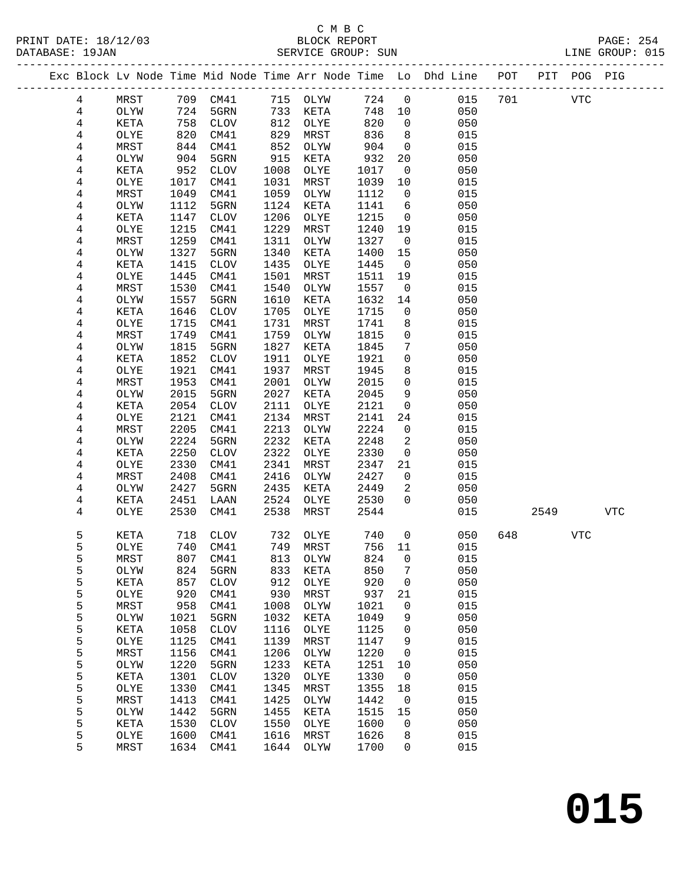PRINT DATE:  $18/12/03$ <br>DATABASE: 19JAN

| PRINT DATE: 18/12/03<br>DATABASE: 19JAN |        |              |              | 2/03 BLOCK REPORT<br>SERVICE GROUP: SUN |              |              |              |                      |                                                                    |     |      |            | PAGE: 254<br>LINE GROUP: 015 |
|-----------------------------------------|--------|--------------|--------------|-----------------------------------------|--------------|--------------|--------------|----------------------|--------------------------------------------------------------------|-----|------|------------|------------------------------|
|                                         |        |              |              |                                         |              |              |              |                      | Exc Block Lv Node Time Mid Node Time Arr Node Time Lo Dhd Line POT |     |      |            | PIT POG PIG                  |
|                                         | 4      | MRST         |              | 709 CM41 715 OLYW                       |              |              |              |                      | 724 0 015                                                          | 701 |      | VTC        |                              |
|                                         | 4      | OLYW         | 724          | 5GRN                                    |              | 733 KETA     | 748 10       |                      | 050                                                                |     |      |            |                              |
|                                         | 4      | KETA         | 758          | CLOV                                    | 812          | OLYE         | 820          | $\overline{0}$       | 050                                                                |     |      |            |                              |
|                                         | 4      | OLYE         | 820          | CM41                                    | 829          | MRST         | 836          | 8 <sup>8</sup>       | 015                                                                |     |      |            |                              |
|                                         | 4      | MRST         | 844          | CM41                                    | 852          | OLYW         | 904          | $\overline{0}$       | 015                                                                |     |      |            |                              |
|                                         | 4      | OLYW         | 904          | 5GRN                                    | 915          | KETA         | 932          | 20                   | 050                                                                |     |      |            |                              |
|                                         | 4      | KETA         | 952          | CLOV                                    | 1008         | OLYE         | 1017         | $\overline{0}$       | 050                                                                |     |      |            |                              |
|                                         | 4      | OLYE         | 1017         | CM41                                    | 1031         | MRST         | 1039         | 10                   | 015                                                                |     |      |            |                              |
|                                         | 4      | MRST         | 1049         | CM41                                    | 1059         | OLYW         | 1112         | $\overline{0}$       | 015                                                                |     |      |            |                              |
|                                         | 4      | OLYW         | 1112         | 5GRN                                    | 1124         | KETA         | 1141         | 6                    | 050                                                                |     |      |            |                              |
|                                         | 4      | KETA         | 1147         | CLOV                                    | 1206         | OLYE         | 1215         | $\overline{0}$       | 050                                                                |     |      |            |                              |
|                                         | 4      | OLYE         | 1215         | CM41                                    | 1229         | MRST         | 1240         | 19                   | 015                                                                |     |      |            |                              |
|                                         | 4      | MRST         | 1259         | CM41                                    | 1311         | OLYW         | 1327         | $\overline{0}$       | 015                                                                |     |      |            |                              |
|                                         | 4      | OLYW         | 1327         | 5GRN                                    | 1340         | KETA         | 1400         | 15                   | 050                                                                |     |      |            |                              |
|                                         | 4<br>4 | KETA         | 1415         | CLOV                                    | 1435<br>1501 | OLYE         | 1445         | $\overline{0}$<br>19 | 050<br>015                                                         |     |      |            |                              |
|                                         | 4      | OLYE<br>MRST | 1445<br>1530 | CM41<br>CM41                            | 1540         | MRST<br>OLYW | 1511<br>1557 | $\overline{0}$       | 015                                                                |     |      |            |                              |
|                                         | 4      | OLYW         | 1557         | 5GRN                                    | 1610         | KETA         | 1632         | 14                   | 050                                                                |     |      |            |                              |
|                                         | 4      | KETA         | 1646         | CLOV                                    | 1705         | OLYE         | 1715         | $\mathbf 0$          | 050                                                                |     |      |            |                              |
|                                         | 4      | OLYE         | 1715         | CM41                                    | 1731         | MRST         | 1741         | 8                    | 015                                                                |     |      |            |                              |
|                                         | 4      | MRST         | 1749         | CM41                                    | 1759         | OLYW         | 1815         | $\overline{0}$       | 015                                                                |     |      |            |                              |
|                                         | 4      | OLYW         | 1815         | 5GRN                                    | 1827         | KETA         | 1845         | $7\phantom{.0}$      | 050                                                                |     |      |            |                              |
|                                         | 4      | KETA         | 1852         | CLOV                                    | 1911         | OLYE         | 1921         | $\overline{0}$       | 050                                                                |     |      |            |                              |
|                                         | 4      | OLYE         | 1921         | CM41                                    | 1937         | MRST         | 1945         | 8                    | 015                                                                |     |      |            |                              |
|                                         | 4      | MRST         | 1953         | CM41                                    | 2001         | OLYW         | 2015         | $\overline{0}$       | 015                                                                |     |      |            |                              |
|                                         | 4      | OLYW         | 2015         | 5GRN                                    | 2027         | KETA         | 2045         | 9                    | 050                                                                |     |      |            |                              |
|                                         | 4      | KETA         | 2054         | CLOV                                    | 2111         | OLYE         | 2121         | $\overline{0}$       | 050                                                                |     |      |            |                              |
|                                         | 4      | OLYE         | 2121         | CM41                                    | 2134         | MRST         | 2141         | 24                   | 015                                                                |     |      |            |                              |
|                                         | 4      | MRST         | 2205         | CM41                                    | 2213         | OLYW         | 2224         | $\overline{0}$       | 015                                                                |     |      |            |                              |
|                                         | 4      | OLYW         | 2224         | 5GRN                                    | 2232         | KETA         | 2248         | $\overline{a}$       | 050                                                                |     |      |            |                              |
|                                         | 4      | KETA         | 2250         | CLOV                                    | 2322         | OLYE         | 2330         | $\overline{0}$       | 050                                                                |     |      |            |                              |
|                                         | 4      | OLYE         | 2330         | CM41                                    | 2341         | MRST         | 2347         | 21                   | 015                                                                |     |      |            |                              |
|                                         | 4      | MRST         | 2408         | CM41                                    | 2416         | OLYW         | 2427         | $\overline{0}$       | 015                                                                |     |      |            |                              |
|                                         | 4      | OLYW         | 2427         | 5GRN                                    | 2435         | KETA         | 2449         | 2                    | 050                                                                |     |      |            |                              |
|                                         | 4      | KETA         | 2451         | LAAN                                    | 2524         | OLYE         | 2530         | $\overline{0}$       | 050                                                                |     |      |            |                              |
|                                         | 4      | OLYE         | 2530         | CM41                                    | 2538         | MRST         | 2544         |                      | 015                                                                |     | 2549 |            | <b>VTC</b>                   |
|                                         | 5      | KETA         |              | 718 CLOV                                |              |              |              |                      | 732 OLYE 740 0 050 648                                             |     |      | <b>VTC</b> |                              |
|                                         | 5      | OLYE         | 740          | CM41                                    | 749          | MRST         | 756          | 11                   | 015                                                                |     |      |            |                              |
|                                         | 5      | MRST         | 807          | CM41                                    | 813          | OLYW         | 824          | 0                    | 015                                                                |     |      |            |                              |
|                                         | 5      | OLYW         | 824          | 5GRN                                    | 833          | KETA         | 850          | 7                    | 050                                                                |     |      |            |                              |
|                                         | 5      | KETA         | 857<br>920   | <b>CLOV</b>                             | 912<br>930   | OLYE<br>MRST | 920<br>937   | 0                    | 050<br>015                                                         |     |      |            |                              |
|                                         | 5<br>5 | OLYE<br>MRST | 958          | CM41<br>CM41                            | 1008         | OLYW         | 1021         | 21<br>0              | 015                                                                |     |      |            |                              |
|                                         | 5      | OLYW         | 1021         | 5GRN                                    | 1032         | KETA         | 1049         | 9                    | 050                                                                |     |      |            |                              |
|                                         | 5      | KETA         | 1058         | <b>CLOV</b>                             | 1116         | OLYE         | 1125         | 0                    | 050                                                                |     |      |            |                              |
|                                         | 5      | OLYE         | 1125         | CM41                                    | 1139         | MRST         | 1147         | 9                    | 015                                                                |     |      |            |                              |
|                                         | 5      | MRST         | 1156         | CM41                                    | 1206         | OLYW         | 1220         | 0                    | 015                                                                |     |      |            |                              |
|                                         | 5      | OLYW         | 1220         | 5GRN                                    | 1233         | KETA         | 1251         | 10                   | 050                                                                |     |      |            |                              |
|                                         | 5      | KETA         | 1301         | $\rm CLOV$                              | 1320         | OLYE         | 1330         | $\mathsf{O}$         | 050                                                                |     |      |            |                              |
|                                         | 5      | OLYE         | 1330         | CM41                                    | 1345         | MRST         | 1355         | 18                   | 015                                                                |     |      |            |                              |
|                                         | 5      | MRST         | 1413         | CM41                                    | 1425         | OLYW         | 1442         | $\mathbf 0$          | 015                                                                |     |      |            |                              |
|                                         | 5      | OLYW         | 1442         | 5GRN                                    | 1455         | KETA         | 1515         | 15                   | 050                                                                |     |      |            |                              |
|                                         | 5      | KETA         | 1530         | <b>CLOV</b>                             | 1550         | OLYE         | 1600         | 0                    | 050                                                                |     |      |            |                              |
|                                         | 5      | OLYE         | 1600         | CM41                                    | 1616         | MRST         | 1626         | 8                    | 015                                                                |     |      |            |                              |
|                                         | 5      | MRST         | 1634         | CM41                                    | 1644         | OLYW         | 1700         | 0                    | 015                                                                |     |      |            |                              |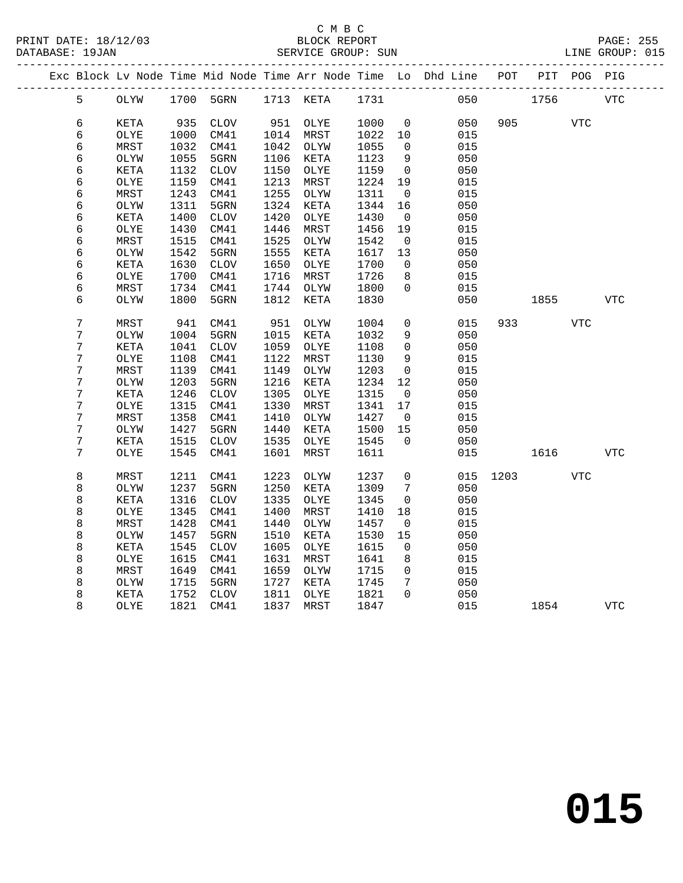| PRINT DATE: 18/12/03 | BLOCK REPORT                                                                   | PAGE: 255       |  |
|----------------------|--------------------------------------------------------------------------------|-----------------|--|
| DATABASE: 19JAN      | SERVICE GROUP: SUN                                                             | LINE GROUP: 015 |  |
|                      | Exc Block Lv Node Time Mid Node Time Arr Node Time Lo Dhd Line POT PIT POG PIG |                 |  |

|  |                |      |      |                 |      |           |      |                     | Exc Block Lv Node Time Mid Node Time Arr Node Time Lo Dhd Line | POT  | PIT  | POG PIG    |              |
|--|----------------|------|------|-----------------|------|-----------|------|---------------------|----------------------------------------------------------------|------|------|------------|--------------|
|  | 5              | OLYW |      | 1700 5GRN       |      | 1713 KETA | 1731 |                     | 050                                                            |      | 1756 |            | <b>VTC</b>   |
|  | 6              | KETA | 935  | <b>CLOV</b>     | 951  | OLYE      | 1000 | $\mathbf 0$         | 050                                                            | 905  |      | <b>VTC</b> |              |
|  | 6              | OLYE | 1000 | CM41            | 1014 | MRST      | 1022 | 10                  | 015                                                            |      |      |            |              |
|  | 6              | MRST | 1032 | CM41            | 1042 | OLYW      | 1055 | $\mathbf 0$         | 015                                                            |      |      |            |              |
|  | 6              | OLYW | 1055 | 5GRN            | 1106 | KETA      | 1123 | 9                   | 050                                                            |      |      |            |              |
|  | 6              | KETA | 1132 | <b>CLOV</b>     | 1150 | OLYE      | 1159 | 0                   | 050                                                            |      |      |            |              |
|  | 6              | OLYE | 1159 | CM41            | 1213 | MRST      | 1224 | 19                  | 015                                                            |      |      |            |              |
|  | 6              | MRST | 1243 | CM41            | 1255 | OLYW      | 1311 | $\mathbf 0$         | 015                                                            |      |      |            |              |
|  | 6              | OLYW | 1311 | 5GRN            | 1324 | KETA      | 1344 | 16                  | 050                                                            |      |      |            |              |
|  | 6              | KETA | 1400 | <b>CLOV</b>     | 1420 | OLYE      | 1430 | 0                   | 050                                                            |      |      |            |              |
|  | 6              | OLYE | 1430 | CM41            | 1446 | MRST      | 1456 | 19                  | 015                                                            |      |      |            |              |
|  | 6              | MRST | 1515 | CM41            | 1525 | OLYW      | 1542 | $\mathbf 0$         | 015                                                            |      |      |            |              |
|  | 6              | OLYW | 1542 | 5GRN            | 1555 | KETA      | 1617 | 13                  | 050                                                            |      |      |            |              |
|  | 6              | KETA | 1630 | <b>CLOV</b>     | 1650 | OLYE      | 1700 | $\mathbf 0$         | 050                                                            |      |      |            |              |
|  | 6              | OLYE | 1700 | CM41            | 1716 | MRST      | 1726 | 8                   | 015                                                            |      |      |            |              |
|  | 6              | MRST | 1734 | CM41            | 1744 | OLYW      | 1800 | $\mathbf 0$         | 015                                                            |      |      |            |              |
|  | 6              | OLYW | 1800 | 5GRN            | 1812 | KETA      | 1830 |                     | 050                                                            |      | 1855 |            | $_{\rm VTC}$ |
|  | $\overline{7}$ | MRST | 941  | CM41            | 951  | OLYW      | 1004 | 0                   | 015                                                            | 933  |      | VTC        |              |
|  | $\overline{7}$ | OLYW | 1004 | 5GRN            | 1015 | KETA      | 1032 | 9                   | 050                                                            |      |      |            |              |
|  | 7              | KETA | 1041 | ${\tt CLOV}$    | 1059 | OLYE      | 1108 | $\mathsf{O}\xspace$ | 050                                                            |      |      |            |              |
|  | $\overline{7}$ | OLYE | 1108 | CM41            | 1122 | MRST      | 1130 | 9                   | 015                                                            |      |      |            |              |
|  | 7              | MRST | 1139 | CM41            | 1149 | OLYW      | 1203 | $\mathbf 0$         | 015                                                            |      |      |            |              |
|  | $7\phantom{.}$ | OLYW | 1203 | 5GRN            | 1216 | KETA      | 1234 | 12                  | 050                                                            |      |      |            |              |
|  | 7              | KETA | 1246 | $\mathtt{CLOV}$ | 1305 | OLYE      | 1315 | 0                   | 050                                                            |      |      |            |              |
|  | 7              | OLYE | 1315 | CM41            | 1330 | MRST      | 1341 | 17                  | 015                                                            |      |      |            |              |
|  | 7              | MRST | 1358 | CM41            | 1410 | OLYW      | 1427 | 0                   | 015                                                            |      |      |            |              |
|  | 7              | OLYW | 1427 | 5GRN            | 1440 | KETA      | 1500 | 15                  | 050                                                            |      |      |            |              |
|  | 7              | KETA | 1515 | ${\tt CLOV}$    | 1535 | OLYE      | 1545 | $\mathbf 0$         | 050                                                            |      |      |            |              |
|  | $\overline{7}$ | OLYE | 1545 | CM41            | 1601 | MRST      | 1611 |                     | 015                                                            |      | 1616 |            | $_{\rm VTC}$ |
|  | $\,8\,$        | MRST | 1211 | CM41            | 1223 | OLYW      | 1237 | $\mathsf{O}$        | 015                                                            | 1203 |      | <b>VTC</b> |              |
|  | 8              | OLYW | 1237 | 5GRN            | 1250 | KETA      | 1309 | 7                   | 050                                                            |      |      |            |              |
|  | 8              | KETA | 1316 | ${\tt CLOV}$    | 1335 | OLYE      | 1345 | 0                   | 050                                                            |      |      |            |              |
|  | 8              | OLYE | 1345 | CM41            | 1400 | MRST      | 1410 | 18                  | 015                                                            |      |      |            |              |
|  | 8              | MRST | 1428 | CM41            | 1440 | OLYW      | 1457 | 0                   | 015                                                            |      |      |            |              |
|  | 8              | OLYW | 1457 | 5GRN            | 1510 | KETA      | 1530 | 15                  | 050                                                            |      |      |            |              |
|  | 8              | KETA | 1545 | $\mathtt{CLOV}$ | 1605 | OLYE      | 1615 | 0                   | 050                                                            |      |      |            |              |
|  | 8              | OLYE | 1615 | CM41            | 1631 | MRST      | 1641 | 8                   | 015                                                            |      |      |            |              |
|  | 8              | MRST | 1649 | CM41            | 1659 | OLYW      | 1715 | 0                   | 015                                                            |      |      |            |              |
|  | 8              | OLYW | 1715 | 5GRN            | 1727 | KETA      | 1745 | 7                   | 050                                                            |      |      |            |              |
|  | 8              | KETA | 1752 | ${\tt CLOV}$    | 1811 | OLYE      | 1821 | $\Omega$            | 050                                                            |      |      |            |              |
|  | 8              | OLYE | 1821 | CM41            | 1837 | MRST      | 1847 |                     | 015                                                            |      | 1854 |            | <b>VTC</b>   |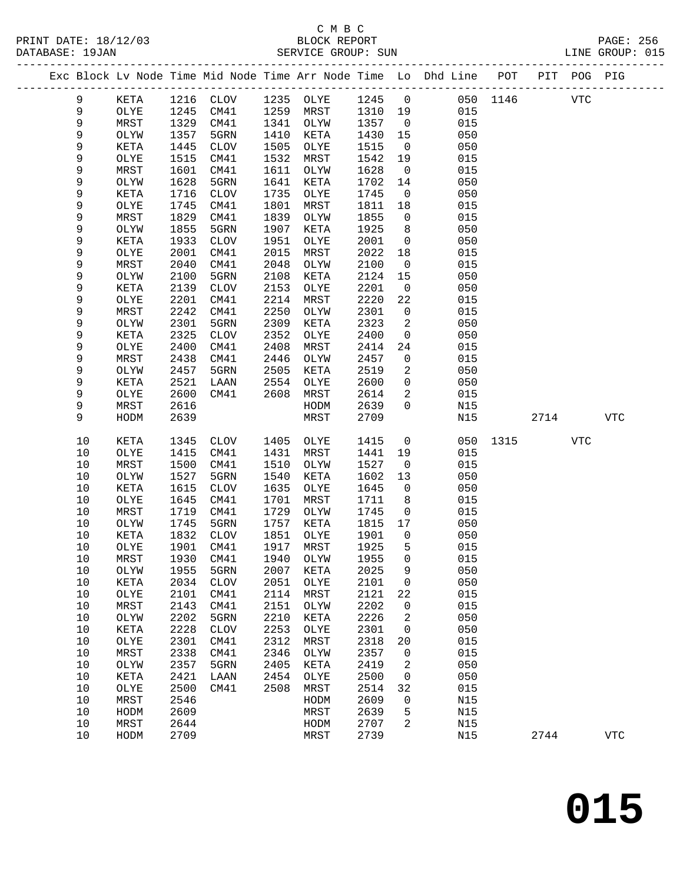|             |             |      |             |      | PRINT DATE: 18/12/03 BLOCK REPORT DATABASE: 19JAN SERVICE GROUP: SUN |         |                |                                                                                |          |      |            | PAGE: 256<br>LINE GROUP: 015 |
|-------------|-------------|------|-------------|------|----------------------------------------------------------------------|---------|----------------|--------------------------------------------------------------------------------|----------|------|------------|------------------------------|
|             |             |      |             |      |                                                                      |         |                | Exc Block Lv Node Time Mid Node Time Arr Node Time Lo Dhd Line POT PIT POG PIG |          |      |            |                              |
| 9           | KETA        |      |             |      | 1216 CLOV 1235 OLYE 1245 0                                           |         |                | 050 1146 VTC                                                                   |          |      |            |                              |
| 9           | OLYE        |      | 1245 CM41   |      | 1259 MRST                                                            | 1310 19 |                | 015                                                                            |          |      |            |                              |
| 9           | MRST        |      | 1329 CM41   |      | 1341 OLYW                                                            | 1357    | $\overline{0}$ | 015                                                                            |          |      |            |                              |
| 9           | OLYW        | 1357 | 5GRN        | 1410 | KETA                                                                 | 1430    | 15             | 050                                                                            |          |      |            |                              |
| $\mathsf 9$ | KETA        | 1445 | CLOV        | 1505 | OLYE                                                                 | 1515    | $\overline{0}$ | 050                                                                            |          |      |            |                              |
| 9           | OLYE        | 1515 | CM41        | 1532 | MRST                                                                 | 1542    | 19             | 015                                                                            |          |      |            |                              |
| 9           | MRST        | 1601 | CM41        | 1611 | OLYW                                                                 | 1628    | $\overline{0}$ | 015                                                                            |          |      |            |                              |
| $\mathsf 9$ | OLYW        | 1628 | 5GRN        | 1641 | KETA                                                                 | 1702    | 14             | 050                                                                            |          |      |            |                              |
| $\mathsf 9$ | KETA        | 1716 | CLOV        | 1735 | OLYE                                                                 | 1745    | $\overline{0}$ | 050                                                                            |          |      |            |                              |
| 9           | OLYE        | 1745 | CM41        | 1801 | MRST                                                                 | 1811    | 18             | 015                                                                            |          |      |            |                              |
| 9           | MRST        | 1829 | CM41        | 1839 | OLYW                                                                 | 1855    | $\overline{0}$ | 015                                                                            |          |      |            |                              |
| 9           | OLYW        | 1855 | 5GRN        | 1907 | KETA                                                                 | 1925    | 8              | 050                                                                            |          |      |            |                              |
| 9           | KETA        | 1933 | CLOV        | 1951 | OLYE                                                                 | 2001    | $\overline{0}$ | 050                                                                            |          |      |            |                              |
| 9           | OLYE        | 2001 | CM41        | 2015 | MRST                                                                 | 2022    | 18             | 015                                                                            |          |      |            |                              |
| 9           | MRST        | 2040 | CM41        | 2048 | OLYW                                                                 | 2100    | $\overline{0}$ | 015                                                                            |          |      |            |                              |
| 9           | OLYW        | 2100 | 5GRN        | 2108 | KETA                                                                 | 2124    | 15             | 050                                                                            |          |      |            |                              |
| $\mathsf 9$ | KETA        | 2139 | CLOV        | 2153 | OLYE                                                                 | 2201    | $\overline{0}$ | 050                                                                            |          |      |            |                              |
| $\mathsf 9$ | OLYE        | 2201 | CM41        | 2214 | MRST                                                                 | 2220    | 22             | 015                                                                            |          |      |            |                              |
| 9           | MRST        | 2242 | CM41        | 2250 | OLYW                                                                 | 2301    | $\overline{0}$ | 015                                                                            |          |      |            |                              |
| 9           | OLYW        | 2301 | 5GRN        | 2309 | KETA                                                                 | 2323    | 2              | 050                                                                            |          |      |            |                              |
| $\mathsf 9$ | KETA        | 2325 | CLOV        | 2352 | OLYE                                                                 | 2400    | $\mathbf 0$    | 050                                                                            |          |      |            |                              |
| 9           | OLYE        | 2400 | CM41        | 2408 | MRST                                                                 | 2414    | 24             | 015                                                                            |          |      |            |                              |
| 9           | MRST        | 2438 | CM41        | 2446 | OLYW                                                                 | 2457    | $\overline{0}$ | 015                                                                            |          |      |            |                              |
| $\mathsf 9$ | OLYW        | 2457 | 5GRN        | 2505 | KETA                                                                 | 2519    | $\overline{a}$ | 050                                                                            |          |      |            |                              |
| $\mathsf 9$ | KETA        | 2521 | LAAN        | 2554 | OLYE                                                                 | 2600    | $\overline{0}$ | 050                                                                            |          |      |            |                              |
| 9           | OLYE        | 2600 | CM41        | 2608 | MRST                                                                 | 2614    | $\overline{a}$ | 015                                                                            |          |      |            |                              |
| 9           | MRST        | 2616 |             |      | HODM                                                                 | 2639    | $\overline{0}$ | N15                                                                            |          |      |            |                              |
| 9           | HODM        | 2639 |             |      | MRST                                                                 | 2709    |                | N15                                                                            |          | 2714 |            | VTC                          |
| 10          | KETA        | 1345 | CLOV        |      | 1405 OLYE                                                            | 1415    | $\overline{0}$ |                                                                                | 050 1315 |      | <b>VTC</b> |                              |
| 10          | OLYE        | 1415 | CM41        | 1431 | MRST                                                                 | 1441    | 19             | 015                                                                            |          |      |            |                              |
| 10          | MRST        | 1500 | CM41        | 1510 | OLYW                                                                 | 1527    | $\overline{0}$ | 015                                                                            |          |      |            |                              |
| 10          | OLYW        | 1527 | 5GRN        | 1540 | KETA                                                                 | 1602    | 13             | 050                                                                            |          |      |            |                              |
| 10          | KETA        | 1615 | CLOV        | 1635 | OLYE                                                                 | 1645    | $\overline{0}$ | 050                                                                            |          |      |            |                              |
| 10          | OLYE        | 1645 | CM41        | 1701 | MRST                                                                 | 1711    | 8 <sup>8</sup> | 015                                                                            |          |      |            |                              |
| 10          | MRST        |      | 1719 CM41   | 1729 | OLYW                                                                 | 1745    | $\overline{0}$ | 015                                                                            |          |      |            |                              |
| 10          | OLYW        | 1745 | 5GRN        | 1757 | KETA                                                                 | 1815 17 |                | 050                                                                            |          |      |            |                              |
| $10$        | <b>KETA</b> |      |             |      | 1832 CLOV 1851 OLYE 1901 0                                           |         |                | 050                                                                            |          |      |            |                              |
| 10          | OLYE        | 1901 | CM41        | 1917 | MRST                                                                 | 1925    | 5              | 015                                                                            |          |      |            |                              |
| $10$        | MRST        | 1930 | CM41        | 1940 | OLYW                                                                 | 1955    | 0              | 015                                                                            |          |      |            |                              |
| 10          | OLYW        | 1955 | 5GRN        | 2007 | KETA                                                                 | 2025    | 9              | 050                                                                            |          |      |            |                              |
| 10          | KETA        | 2034 | <b>CLOV</b> | 2051 | OLYE                                                                 | 2101    | $\mathsf 0$    | 050                                                                            |          |      |            |                              |
| 10          | OLYE        | 2101 | CM41        | 2114 | MRST                                                                 | 2121    | 22             | 015                                                                            |          |      |            |                              |
| 10          | MRST        | 2143 | CM41        | 2151 | OLYW                                                                 | 2202    | $\mathsf 0$    | 015                                                                            |          |      |            |                              |
| 10          | OLYW        | 2202 | 5GRN        | 2210 | KETA                                                                 | 2226    | 2              | 050                                                                            |          |      |            |                              |
| $10$        | KETA        | 2228 | <b>CLOV</b> | 2253 | OLYE                                                                 | 2301    | $\mathsf 0$    | 050                                                                            |          |      |            |                              |
| 10          | OLYE        | 2301 | CM41        | 2312 | MRST                                                                 | 2318    | 20             | 015                                                                            |          |      |            |                              |
| 10          | MRST        | 2338 | CM41        | 2346 | OLYW                                                                 | 2357    | 0              | 015                                                                            |          |      |            |                              |
| 10          | OLYW        | 2357 | 5GRN        | 2405 | KETA                                                                 | 2419    | 2              | 050                                                                            |          |      |            |                              |
| 10          | KETA        | 2421 | LAAN        | 2454 | OLYE                                                                 | 2500    | 0              | 050                                                                            |          |      |            |                              |
| 10          | OLYE        | 2500 | CM41        | 2508 | MRST                                                                 | 2514    | 32             | 015                                                                            |          |      |            |                              |
| 10          | MRST        | 2546 |             |      | HODM                                                                 | 2609    | 0              | N15                                                                            |          |      |            |                              |
| 10          | HODM        | 2609 |             |      | MRST                                                                 | 2639    | 5              | N15                                                                            |          |      |            |                              |
| 10          | MRST        | 2644 |             |      | HODM                                                                 | 2707    | 2              | N15                                                                            |          |      |            |                              |
| 10          | HODM        | 2709 |             |      | MRST                                                                 | 2739    |                | N15                                                                            |          | 2744 |            | ${\hbox{VTC}}$               |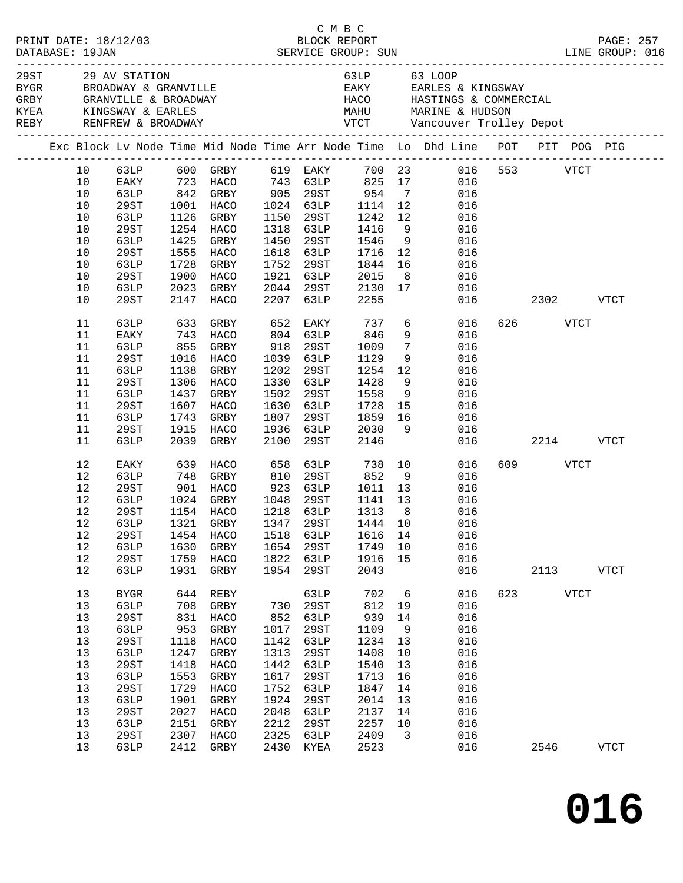|      | GRBY GRANVILLE & BROADWAY                                                      |      |           |      |             |                   |                         | 63LP 63 LOOP<br>EAKY EARLES & KINGSWAY<br>HACO HASTINGS & COMMERCIAL                                                |               |          |      |             |  |
|------|--------------------------------------------------------------------------------|------|-----------|------|-------------|-------------------|-------------------------|---------------------------------------------------------------------------------------------------------------------|---------------|----------|------|-------------|--|
|      | Exc Block Lv Node Time Mid Node Time Arr Node Time Lo Dhd Line POT PIT POG PIG |      |           |      |             |                   |                         |                                                                                                                     |               |          |      |             |  |
| 10   |                                                                                |      |           |      |             |                   |                         | 63LP 600 GRBY 619 EAKY 700 23 016 553 VTCT<br>EAKY 723 HACO 743 63LP 825 17 016<br>63LP 842 GRBY 905 29ST 954 7 016 |               |          |      |             |  |
| 10   |                                                                                |      |           |      |             |                   |                         |                                                                                                                     |               |          |      |             |  |
| 10   |                                                                                |      |           |      |             |                   |                         |                                                                                                                     |               |          |      |             |  |
| 10   | 29ST                                                                           |      | 1001 HACO |      | 1024 63LP   | 1114 12           |                         | 016                                                                                                                 |               |          |      |             |  |
| 10   | 63LP                                                                           | 1126 | GRBY      | 1150 | 29ST        | 1242              | 12                      | 016                                                                                                                 |               |          |      |             |  |
| 10   | 29ST                                                                           |      | 1254 HACO |      | 1318 63LP   | 1416              | 9                       | 016                                                                                                                 |               |          |      |             |  |
| $10$ | 63LP                                                                           | 1425 | GRBY      | 1450 | 29ST        | 1546              |                         | 9<br>016                                                                                                            |               |          |      |             |  |
| 10   | 29ST                                                                           | 1555 | HACO      |      | 1618 63LP   | 1716              | 12                      | 016                                                                                                                 |               |          |      |             |  |
| 10   | 63LP                                                                           | 1728 | GRBY      | 1752 | 29ST        | 1844              | 16                      | 016                                                                                                                 |               |          |      |             |  |
| 10   | 29ST                                                                           | 1900 | HACO      |      | 1921 63LP   | 2015              | 8 <sup>8</sup>          | 016                                                                                                                 |               |          |      |             |  |
| 10   | 63LP                                                                           | 2023 | GRBY      |      | 2044 29ST   | 2130              | 17                      | 016                                                                                                                 |               |          |      |             |  |
| 10   | 29ST                                                                           | 2147 | HACO      |      | 2207 63LP   | 2255              |                         |                                                                                                                     | 016 2302 VTCT |          |      |             |  |
| 11   | 63LP                                                                           | 633  | GRBY      | 652  | EAKY        | 737               |                         | $6\overline{6}$<br>016                                                                                              |               | 626 VTCT |      |             |  |
| 11   | EAKY                                                                           |      | 743 HACO  |      | 804 63LP    | 846               |                         | 9<br>016                                                                                                            |               |          |      |             |  |
| 11   | 63LP                                                                           | 855  | GRBY      | 918  | 29ST        | 1009              | $7\overline{ }$         | 016                                                                                                                 |               |          |      |             |  |
| 11   | 29ST                                                                           | 1016 | HACO      | 1039 | 63LP        | 1129              | 9                       | 016                                                                                                                 |               |          |      |             |  |
| 11   | 63LP                                                                           | 1138 | GRBY      | 1202 | 29ST        | 1254              | 12                      | 016                                                                                                                 |               |          |      |             |  |
| 11   | 29ST                                                                           |      | 1306 HACO | 1330 | 63LP        | 1428              | 9                       | 016                                                                                                                 |               |          |      |             |  |
| 11   | 63LP                                                                           | 1437 | GRBY      | 1502 | 29ST        | 1558              | 9                       | 016                                                                                                                 |               |          |      |             |  |
| 11   | 29ST                                                                           | 1607 | HACO      | 1630 | 63LP        | 1728              | 15                      | 016                                                                                                                 |               |          |      |             |  |
| 11   | 63LP                                                                           | 1743 | GRBY      | 1807 | 29ST        | 1859              | 16                      | 016                                                                                                                 |               |          |      |             |  |
| 11   | 29ST                                                                           | 1915 | HACO      |      | 1936 63LP   | 2030              | 9                       | 016                                                                                                                 |               |          |      |             |  |
| 11   | 63LP                                                                           | 2039 | GRBY      | 2100 | 29ST        | 2146              |                         | 016                                                                                                                 |               | 2214     |      | VTCT        |  |
| 12   | EAKY                                                                           | 639  | HACO      | 658  | 63LP        | 738<br>852        |                         | 10<br>016                                                                                                           |               | 609 VTCT |      |             |  |
| 12   | 63LP                                                                           | 748  | GRBY      | 810  | 29ST        |                   | 9                       | 016                                                                                                                 |               |          |      |             |  |
| 12   | 29ST                                                                           |      | 901 HACO  | 923  | 63LP        | 1011              | 13                      | 016                                                                                                                 |               |          |      |             |  |
| 12   | 63LP                                                                           | 1024 | GRBY      |      | 1048 29ST   | 1141 13           |                         | 016                                                                                                                 |               |          |      |             |  |
| 12   | 29ST                                                                           |      | 1154 HACO |      | 1218 63LP   | 1313 8<br>1444 10 |                         | 016                                                                                                                 |               |          |      |             |  |
| 12   | 63LP                                                                           |      | 1321 GRBY |      | $1347$ 29ST |                   |                         | 016                                                                                                                 |               |          |      |             |  |
| 12   | 29ST 1454 HACO 1518 63LP 1616 14 016                                           |      |           |      |             |                   |                         |                                                                                                                     |               |          |      |             |  |
| 12   | 63LP                                                                           | 1630 | GRBY      |      | 1654 29ST   | 1749 10           |                         | 016                                                                                                                 |               |          |      |             |  |
| $12$ | 29ST                                                                           | 1759 | HACO      |      | 1822 63LP   | 1916              | 15                      | 016                                                                                                                 |               |          |      |             |  |
| $12$ | 63LP                                                                           | 1931 | GRBY      | 1954 | 29ST        | 2043              |                         | 016                                                                                                                 |               | 2113     |      | <b>VTCT</b> |  |
| 13   | <b>BYGR</b>                                                                    | 644  | REBY      |      | 63LP        | 702               | 6                       | 016                                                                                                                 |               | 623      | VTCT |             |  |
| 13   | 63LP                                                                           | 708  | GRBY      | 730  | 29ST        | 812               | 19                      | 016                                                                                                                 |               |          |      |             |  |
| 13   | 29ST                                                                           |      | 831 HACO  | 852  | 63LP        | 939               | 14                      | 016                                                                                                                 |               |          |      |             |  |
| 13   | 63LP                                                                           | 953  | GRBY      | 1017 | 29ST        | 1109              | 9                       | 016                                                                                                                 |               |          |      |             |  |
| 13   | 29ST                                                                           | 1118 | HACO      | 1142 | 63LP        | 1234              | 13                      | 016                                                                                                                 |               |          |      |             |  |
| 13   | 63LP                                                                           | 1247 | GRBY      | 1313 | 29ST        | 1408              | 10                      | 016                                                                                                                 |               |          |      |             |  |
| 13   | <b>29ST</b>                                                                    | 1418 | HACO      | 1442 | 63LP        | 1540              | 13                      | 016                                                                                                                 |               |          |      |             |  |
| 13   | 63LP                                                                           | 1553 | GRBY      | 1617 | 29ST        | 1713              | 16                      | 016                                                                                                                 |               |          |      |             |  |
| $13$ | 29ST                                                                           | 1729 | HACO      | 1752 | 63LP        | 1847              | 14                      | 016                                                                                                                 |               |          |      |             |  |
| 13   | 63LP                                                                           | 1901 | GRBY      | 1924 | 29ST        | 2014              | 13                      | 016                                                                                                                 |               |          |      |             |  |
| 13   | 29ST                                                                           | 2027 | HACO      | 2048 | 63LP        | 2137              | 14                      | 016                                                                                                                 |               |          |      |             |  |
| 13   | 63LP                                                                           | 2151 | GRBY      | 2212 | 29ST        | 2257              | 10                      | 016                                                                                                                 |               |          |      |             |  |
| 13   | 29ST                                                                           | 2307 | HACO      | 2325 | 63LP        | 2409              | $\overline{\mathbf{3}}$ | 016                                                                                                                 |               |          |      |             |  |
| 13   | 63LP                                                                           | 2412 | GRBY      | 2430 | KYEA        | 2523              |                         | 016                                                                                                                 |               | 2546     |      | <b>VTCT</b> |  |
|      |                                                                                |      |           |      |             |                   |                         |                                                                                                                     |               |          |      |             |  |

C M B C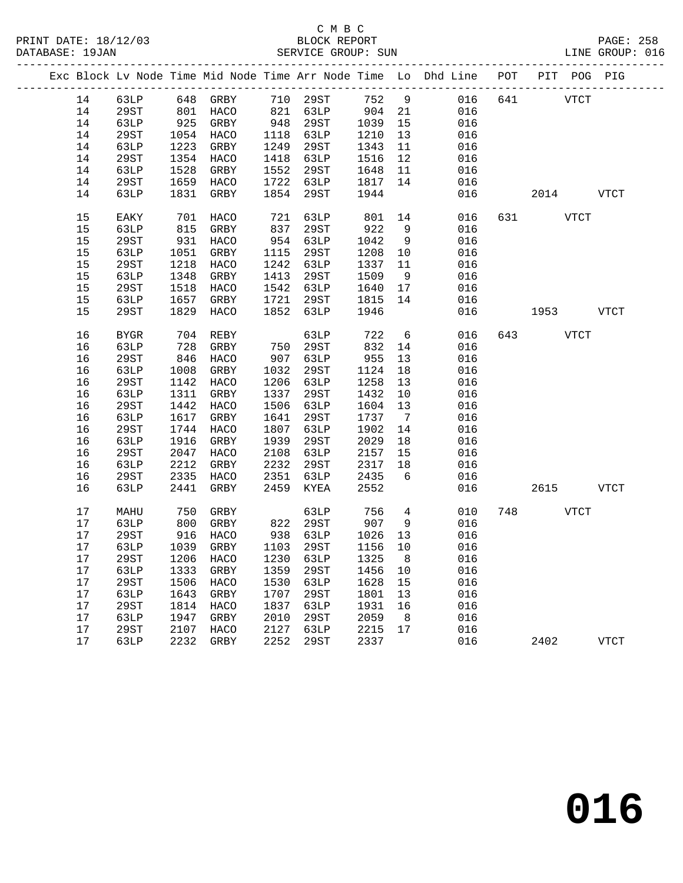|          | Exc Block Lv Node Time Mid Node Time Arr Node Time Lo Dhd Line POT PIT POG PIG |              |                                 |              |                                     |              |                 |            |     |          |             |             |
|----------|--------------------------------------------------------------------------------|--------------|---------------------------------|--------------|-------------------------------------|--------------|-----------------|------------|-----|----------|-------------|-------------|
| 14       | 63LP                                                                           |              | 648 GRBY 710 29ST 752 9         |              |                                     |              |                 | 016        | 641 |          | <b>VTCT</b> |             |
| 14       | 29ST                                                                           |              | 801 HACO<br>925 GRBY            |              | 821 63LP 904 21<br>948 29ST 1039 15 |              |                 | 016        |     |          |             |             |
| 14       | 63LP                                                                           |              |                                 |              |                                     |              |                 | 016        |     |          |             |             |
| 14       | 29ST                                                                           | 1054         | HACO                            | 1118         | 63LP                                | 1210         | 13              | 016        |     |          |             |             |
| 14       | 63LP                                                                           | 1223         | GRBY                            | 1249         | 29ST                                | 1343         | 11              | 016        |     |          |             |             |
| 14       | 29ST                                                                           | 1354         | HACO                            | 1418         | 63LP                                | 1516         | 12              | 016        |     |          |             |             |
| 14       | 63LP                                                                           | 1528         | GRBY                            | 1552         | 29ST                                | 1648         | 11              | 016        |     |          |             |             |
| 14       | 29ST                                                                           | 1659         | HACO                            | 1722         | 63LP                                | 1817         | 14              | 016        |     |          |             |             |
| 14       | 63LP                                                                           | 1831         | GRBY                            | 1854         | 29ST                                | 1944         |                 | 016        |     | 2014     |             | <b>VTCT</b> |
| 15       | EAKY                                                                           | 701          | HACO                            | 721          | 63LP                                | 801 14       |                 | 016        |     |          | VTCT        |             |
| 15       | 63LP                                                                           | 815          | GRBY                            | 837          | 29ST                                | 922          | 9               | 016        |     |          |             |             |
| 15       | 29ST                                                                           | 931          | HACO                            | 954          | 63LP                                | 1042         | 9               | 016        |     |          |             |             |
| 15       | 63LP                                                                           | 1051         | GRBY                            | 1115         | 29ST                                | 1208         | 10              | 016        |     |          |             |             |
| 15       | 29ST                                                                           | 1218         | HACO                            | 1242         | 63LP                                | 1337         | 11              | 016        |     |          |             |             |
| 15       | 63LP                                                                           | 1348         | GRBY                            | 1413         | 29ST                                | 1509         | 9               | 016        |     |          |             |             |
| 15       | 29ST                                                                           | 1518         | HACO                            | 1542         | 63LP                                | 1640         | 17              | 016        |     |          |             |             |
| 15       | 63LP                                                                           | 1657         | GRBY                            | 1721         | 29ST                                | 1815         | 14              | 016        |     |          |             |             |
| 15       | 29ST                                                                           | 1829         | HACO                            | 1852         | 63LP                                | 1946         |                 | 016        |     | 1953     |             | <b>VTCT</b> |
| 16       | <b>BYGR</b>                                                                    | 704          | REBY                            |              | 63LP                                | 722          | $6\overline{6}$ | 016        |     | 643 VTCT |             |             |
| 16       | 63LP                                                                           | 728          | GRBY                            | 750          | 29ST                                | 832          | 14              | 016        |     |          |             |             |
| 16       | 29ST                                                                           | 846          | HACO                            | 907          | 63LP                                | 955          | 13              | 016        |     |          |             |             |
| 16       | 63LP                                                                           | 1008         | GRBY                            | 1032         | 29ST                                | 1124         | 18              | 016        |     |          |             |             |
| 16       | 29ST                                                                           | 1142         | HACO                            | 1206         | 63LP                                | 1258         | 13              | 016        |     |          |             |             |
| 16       | 63LP                                                                           | 1311         | GRBY                            | 1337         | 29ST                                | 1432         | 10              | 016        |     |          |             |             |
| 16       | 29ST                                                                           | 1442         | HACO                            | 1506         | 63LP                                | 1604         | 13              | 016        |     |          |             |             |
| 16       | 63LP                                                                           | 1617         | GRBY                            | 1641         | 29ST                                | 1737         | $\overline{7}$  | 016        |     |          |             |             |
| 16       | 29ST                                                                           | 1744         | HACO                            | 1807         | 63LP                                | 1902         | 14              | 016        |     |          |             |             |
| 16       | 63LP                                                                           | 1916         | GRBY                            | 1939         | 29ST                                | 2029         | 18              | 016        |     |          |             |             |
| 16<br>16 | 29ST                                                                           | 2047<br>2212 | HACO                            | 2108<br>2232 | 63LP                                | 2157         | 15<br>18        | 016<br>016 |     |          |             |             |
| 16       | 63LP<br>29ST                                                                   | 2335         | GRBY<br>HACO                    | 2351         | 29ST<br>63LP                        | 2317<br>2435 | 6               | 016        |     |          |             |             |
| 16       | 63LP                                                                           | 2441         | GRBY                            | 2459         | KYEA                                | 2552         |                 | 016        |     | 2615     |             | <b>VTCT</b> |
|          |                                                                                |              |                                 |              |                                     |              |                 |            |     |          |             |             |
| 17       | MAHU                                                                           | 750          | GRBY                            |              | 63LP                                | 756          | $\overline{4}$  | 010        | 748 |          | VTCT        |             |
| 17       | 63LP                                                                           | 800          | GRBY                            |              | 822 29ST                            | 907          | 9               | 016        |     |          |             |             |
| 17       | 29ST                                                                           | 916          | HACO                            |              | 938 63LP                            | 1026         | 13              | 016        |     |          |             |             |
| 17       | 63LP                                                                           | 1039         | GRBY                            |              | 1103 29ST                           | 1156 10      |                 | 016        |     |          |             |             |
| 17       |                                                                                |              | 29ST 1206 HACO 1230 63LP 1325 8 |              |                                     |              |                 | 016        |     |          |             |             |
| 17       | 63LP                                                                           | 1333         | GRBY                            | 1359         | 29ST                                | 1456         | 10              | 016        |     |          |             |             |
| 17       | <b>29ST</b>                                                                    | 1506         | HACO                            | 1530         | 63LP                                | 1628         | 15              | 016        |     |          |             |             |
| 17       | 63LP                                                                           | 1643         | GRBY                            | 1707         | 29ST                                | 1801         | 13              | 016        |     |          |             |             |
| 17       | <b>29ST</b>                                                                    | 1814         | HACO                            | 1837         | 63LP                                | 1931         | 16              | 016        |     |          |             |             |
| 17       | 63LP                                                                           | 1947         | GRBY                            | 2010         | 29ST                                | 2059         | 8               | 016        |     |          |             |             |
| 17       | 29ST                                                                           | 2107         | <b>HACO</b>                     | 2127         | 63LP                                | 2215         | 17              | 016        |     |          |             |             |
| 17       | 63LP                                                                           | 2232         | GRBY                            | 2252         | 29ST                                | 2337         |                 | 016        |     | 2402     |             | <b>VTCT</b> |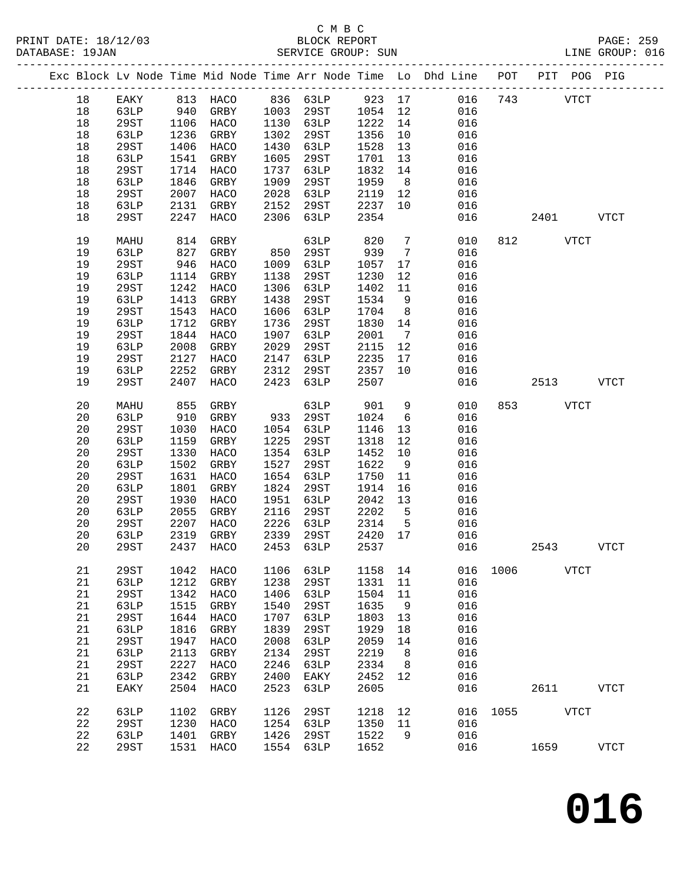PRINT DATE: 18/12/03 BLOCK REPORT BATABASE: 19JAN BLOCK REPORT

### C M B C<br>BLOCK REPORT

PAGE: 259<br>LINE GROUP: 016

|  |    |             |      |              |      |             |        |                 | Exc Block Lv Node Time Mid Node Time Arr Node Time Lo Dhd Line POT |      |              | PIT POG PIG |              |
|--|----|-------------|------|--------------|------|-------------|--------|-----------------|--------------------------------------------------------------------|------|--------------|-------------|--------------|
|  | 18 | EAKY        |      | 813 HACO     |      | 836 63LP    | 923 17 |                 | 016                                                                | 743  |              | <b>VTCT</b> |              |
|  | 18 | 63LP        | 940  | GRBY         | 1003 | 29ST        | 1054   | 12              | 016                                                                |      |              |             |              |
|  | 18 | 29ST        | 1106 | HACO         | 1130 | 63LP        | 1222   | 14              | 016                                                                |      |              |             |              |
|  | 18 | 63LP        | 1236 | GRBY         | 1302 | 29ST        | 1356   | 10              | 016                                                                |      |              |             |              |
|  | 18 | 29ST        | 1406 | HACO         | 1430 | 63LP        | 1528   | 13              | 016                                                                |      |              |             |              |
|  | 18 | 63LP        | 1541 | GRBY         | 1605 | 29ST        | 1701   | 13              | 016                                                                |      |              |             |              |
|  | 18 | 29ST        | 1714 | HACO         | 1737 | 63LP        | 1832   | 14              | 016                                                                |      |              |             |              |
|  | 18 | 63LP        | 1846 | GRBY         | 1909 | 29ST        | 1959   | 8 <sup>8</sup>  | 016                                                                |      |              |             |              |
|  | 18 | 29ST        | 2007 |              | 2028 |             | 2119   |                 | 016                                                                |      |              |             |              |
|  |    |             |      | HACO         |      | 63LP        |        | 12              |                                                                    |      |              |             |              |
|  | 18 | 63LP        | 2131 | GRBY         | 2152 | 29ST        | 2237   | 10              | 016                                                                |      |              |             |              |
|  | 18 | 29ST        | 2247 | HACO         | 2306 | 63LP        | 2354   |                 | 016                                                                |      | 2401         |             | VTCT         |
|  | 19 | MAHU        | 814  | GRBY         |      | 63LP        | 820    | $7\phantom{.0}$ | 010                                                                | 812  | VTCT         |             |              |
|  | 19 | 63LP        | 827  | GRBY         | 850  | 29ST        | 939    | $7\overline{ }$ | 016                                                                |      |              |             |              |
|  | 19 | 29ST        | 946  | HACO         | 1009 | 63LP        | 1057   | 17              | 016                                                                |      |              |             |              |
|  | 19 | 63LP        | 1114 | GRBY         | 1138 | 29ST        | 1230   | 12              | 016                                                                |      |              |             |              |
|  | 19 | 29ST        | 1242 | HACO         | 1306 | 63LP        | 1402   | 11              | 016                                                                |      |              |             |              |
|  | 19 | 63LP        | 1413 | GRBY         | 1438 | 29ST        | 1534   | 9               | 016                                                                |      |              |             |              |
|  | 19 | 29ST        | 1543 | HACO         | 1606 | 63LP        | 1704   | 8 <sup>8</sup>  | 016                                                                |      |              |             |              |
|  | 19 | 63LP        | 1712 | GRBY         | 1736 | 29ST        | 1830   | 14              | 016                                                                |      |              |             |              |
|  | 19 | 29ST        | 1844 | HACO         | 1907 | 63LP        | 2001   | $7\overline{ }$ | 016                                                                |      |              |             |              |
|  | 19 | 63LP        | 2008 | GRBY         | 2029 | 29ST        | 2115   | 12              | 016                                                                |      |              |             |              |
|  | 19 | <b>29ST</b> | 2127 | HACO         | 2147 | 63LP        | 2235   | 17              | 016                                                                |      |              |             |              |
|  | 19 | 63LP        | 2252 | GRBY         | 2312 | 29ST        | 2357   | 10              | 016                                                                |      |              |             |              |
|  | 19 | 29ST        | 2407 |              | 2423 |             | 2507   |                 | 016                                                                |      | 2513         |             |              |
|  |    |             |      | HACO         |      | 63LP        |        |                 |                                                                    |      |              |             | VTCT         |
|  | 20 | MAHU        | 855  | GRBY         |      | 63LP        | 901    | 9               | 010                                                                |      | 853 and 1980 | <b>VTCT</b> |              |
|  | 20 | 63LP        | 910  | GRBY         | 933  | 29ST        | 1024   | $6\overline{6}$ | 016                                                                |      |              |             |              |
|  | 20 | 29ST        | 1030 | HACO         | 1054 | 63LP        | 1146   | 13              | 016                                                                |      |              |             |              |
|  | 20 | 63LP        | 1159 | GRBY         | 1225 | 29ST        | 1318   | 12              | 016                                                                |      |              |             |              |
|  | 20 | 29ST        | 1330 | HACO         | 1354 | 63LP        | 1452   | 10              | 016                                                                |      |              |             |              |
|  | 20 | 63LP        | 1502 | GRBY         | 1527 | 29ST        | 1622   | 9               | 016                                                                |      |              |             |              |
|  | 20 | 29ST        | 1631 | HACO         | 1654 | 63LP        | 1750   | 11              | 016                                                                |      |              |             |              |
|  | 20 | 63LP        | 1801 | GRBY         | 1824 | 29ST        | 1914   | 16              | 016                                                                |      |              |             |              |
|  | 20 | 29ST        | 1930 | HACO         | 1951 | 63LP        | 2042   | 13              | 016                                                                |      |              |             |              |
|  | 20 | 63LP        | 2055 | GRBY         | 2116 | 29ST        | 2202   | $5^{\circ}$     | 016                                                                |      |              |             |              |
|  | 20 | 29ST        | 2207 | HACO         | 2226 | 63LP        | 2314   | $5^{\circ}$     | 016                                                                |      |              |             |              |
|  | 20 | 63LP        | 2319 | GRBY         | 2339 | 29ST        | 2420   | 17              | 016                                                                |      |              |             |              |
|  | 20 | 29ST        | 2437 | HACO         | 2453 | 63LP        | 2537   |                 | 016                                                                |      | 2543         |             | <b>VTCT</b>  |
|  |    |             |      |              |      |             |        |                 |                                                                    |      |              |             |              |
|  | 21 | 29ST        | 1042 | HACO         | 1106 | 63LP        | 1158   | 14              | 016                                                                | 1006 |              | <b>VTCT</b> |              |
|  | 21 | 63LP        | 1212 | GRBY         | 1238 | 29ST        | 1331   | 11              | 016                                                                |      |              |             |              |
|  | 21 | <b>29ST</b> | 1342 | HACO         | 1406 | 63LP        | 1504   | 11              | 016                                                                |      |              |             |              |
|  | 21 | 63LP        | 1515 | ${\tt GRBY}$ | 1540 | 29ST        | 1635   | 9               | 016                                                                |      |              |             |              |
|  | 21 | <b>29ST</b> | 1644 | HACO         | 1707 | 63LP        | 1803   | 13              | 016                                                                |      |              |             |              |
|  | 21 | 63LP        | 1816 | GRBY         | 1839 | <b>29ST</b> | 1929   | 18              | 016                                                                |      |              |             |              |
|  | 21 | <b>29ST</b> | 1947 | HACO         | 2008 | 63LP        | 2059   | 14              | 016                                                                |      |              |             |              |
|  | 21 | 63LP        | 2113 | ${\tt GRBY}$ | 2134 | 29ST        | 2219   | 8               | 016                                                                |      |              |             |              |
|  | 21 | <b>29ST</b> | 2227 | HACO         | 2246 | 63LP        | 2334   | 8               | 016                                                                |      |              |             |              |
|  | 21 | 63LP        | 2342 | GRBY         | 2400 | EAKY        | 2452   | 12              | 016                                                                |      |              |             |              |
|  | 21 | EAKY        | 2504 | HACO         | 2523 | 63LP        | 2605   |                 | 016                                                                |      | 2611         |             | <b>VTCT</b>  |
|  | 22 | 63LP        | 1102 | GRBY         | 1126 | 29ST        | 1218   | 12              | 016                                                                | 1055 |              | VTCT        |              |
|  | 22 | 29ST        | 1230 | HACO         | 1254 | 63LP        | 1350   | 11              | 016                                                                |      |              |             |              |
|  | 22 | 63LP        | 1401 | GRBY         | 1426 | 29ST        | 1522   | 9               | 016                                                                |      |              |             |              |
|  | 22 | 29ST        | 1531 | HACO         | 1554 | 63LP        | 1652   |                 | 016                                                                |      | 1659         |             | ${\tt VTCT}$ |
|  |    |             |      |              |      |             |        |                 |                                                                    |      |              |             |              |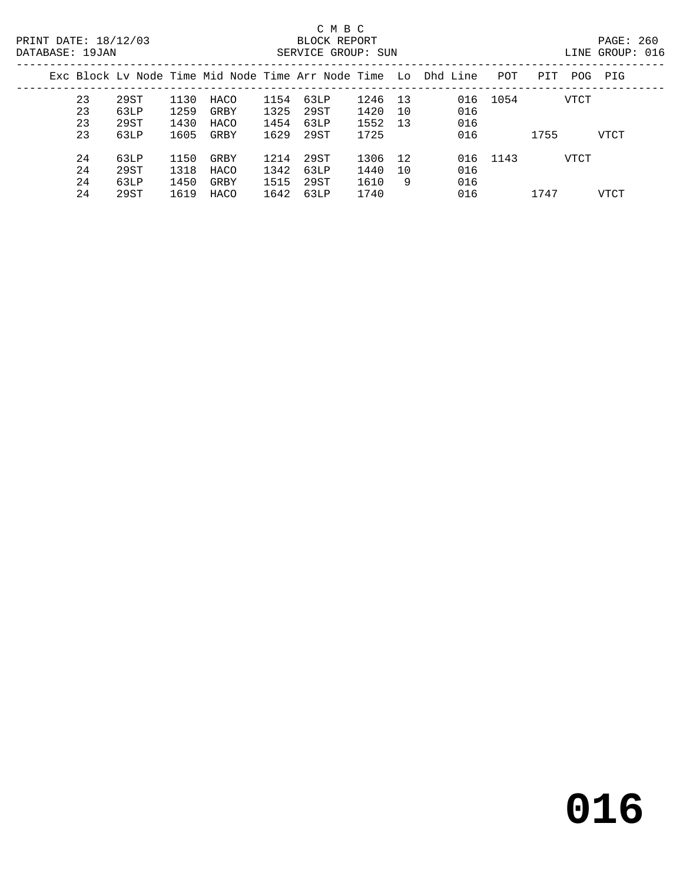### C M B C<br>BLOCK REPORT

DATABASE: 1999.<br>DATABASE: 016

| DAIABASE · 190AN |    |      |      |      |      | SEKVICE GKOUF. SUN |         |                                                                    |          |             |      | TINE GKOOR. ATO |  |
|------------------|----|------|------|------|------|--------------------|---------|--------------------------------------------------------------------|----------|-------------|------|-----------------|--|
|                  |    |      |      |      |      |                    |         | Exc Block Lv Node Time Mid Node Time Arr Node Time Lo Dhd Line POT |          | PIT POG PIG |      |                 |  |
|                  | 23 | 29ST | 1130 | HACO |      | 1154 63LP          | 1246 13 |                                                                    | 016 1054 |             | VTCT |                 |  |
|                  | 23 | 63LP | 1259 | GRBY | 1325 | 29ST               | 1420 10 | 016                                                                |          |             |      |                 |  |
|                  | 23 | 29ST | 1430 | HACO | 1454 | 63LP               | 1552 13 | 016                                                                |          |             |      |                 |  |
|                  | 23 | 63LP | 1605 | GRBY | 1629 | 29.ST              | 1725    | 016                                                                |          | 1755        |      | VTCT            |  |
|                  |    |      |      |      |      |                    |         |                                                                    |          |             |      |                 |  |

24 29ST 1619 HACO 1642 63LP 1740 016 1747 VTCT

24 63LP 1150 GRBY 1214 29ST 1306 12 016 1143 VTCT

 24 29ST 1318 HACO 1342 63LP 1440 10 016 24 63LP 1450 GRBY 1515 29ST 1610 9 016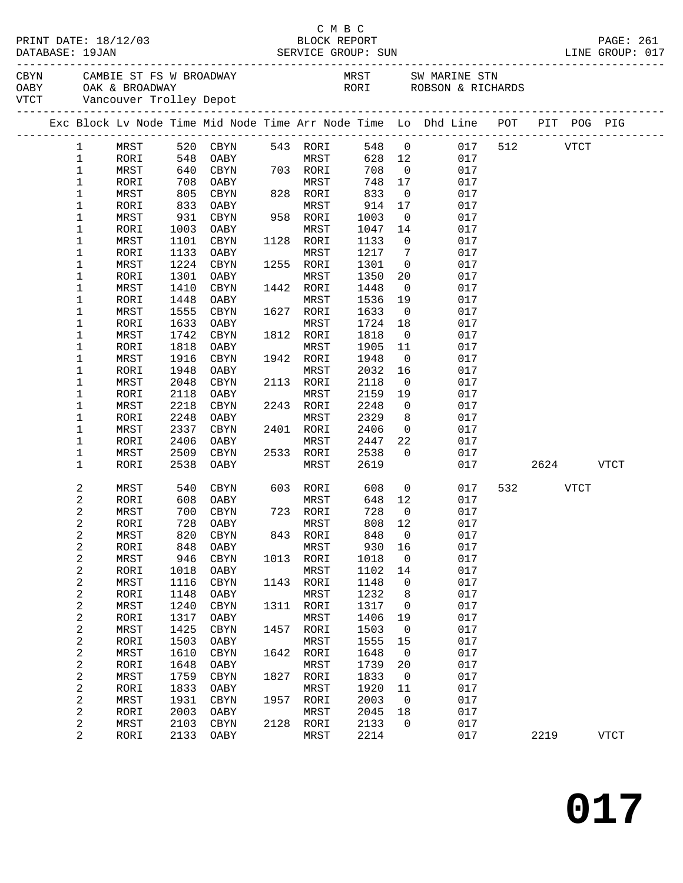|                              |              |              |                      |      |                          |              |                         | C M B C<br>PRINT DATE: 18/12/03 BLOCK REPORT PAGE: 261<br>DATABASE: 19JAN SERVICE GROUP: SUN LINE GROUP: 017                                                                                                                  |     |          |      |             |
|------------------------------|--------------|--------------|----------------------|------|--------------------------|--------------|-------------------------|-------------------------------------------------------------------------------------------------------------------------------------------------------------------------------------------------------------------------------|-----|----------|------|-------------|
|                              |              |              |                      |      |                          |              |                         | CBYN CAMBIE ST FS W BROADWAY MRST SW MARINE STN OABY OAK & BROADWAY NEST SW MARINE STN OABY OAK & BROADWAY DEPOTE STORE STORE STORE STORE STORE STORE STORE STORE STORE STORE STORE STORE STORE STORE STORE STORE STORE STORE |     |          |      |             |
|                              |              |              |                      |      |                          |              |                         | Exc Block Lv Node Time Mid Node Time Arr Node Time Lo Dhd Line POT PIT POG PIG                                                                                                                                                |     |          |      |             |
|                              |              |              |                      |      |                          |              |                         |                                                                                                                                                                                                                               |     |          |      |             |
| $\mathbf{1}$                 | MRST         |              | 520 CBYN             |      | 543 RORI                 |              |                         | 548 0 017                                                                                                                                                                                                                     |     | 512 VTCT |      |             |
| $\mathbf{1}$                 | RORI         | 548          | OABY                 |      | MRST<br>703 RORI<br>MRST | 628 12       |                         | 017                                                                                                                                                                                                                           |     |          |      |             |
| $\mathbf 1$<br>1             | MRST<br>RORI |              | 640 CBYN             |      | MRST                     | 708<br>748   | $\overline{0}$<br>17    | 017<br>017                                                                                                                                                                                                                    |     |          |      |             |
| $\mathbf 1$                  | MRST         |              | 708 OABY<br>805 CBYN |      | 828 RORI                 | 833          | $\overline{0}$          | 017                                                                                                                                                                                                                           |     |          |      |             |
| $\mathbf 1$                  | RORI         | 833          | OABY                 |      | MRST                     | 914          | 17                      | 017                                                                                                                                                                                                                           |     |          |      |             |
| 1                            | MRST         | 931          | CBYN                 |      | 958 RORI                 | 1003         | $\overline{\mathbf{0}}$ | 017                                                                                                                                                                                                                           |     |          |      |             |
| $\mathbf 1$                  | RORI         | 1003         | OABY                 |      | MRST                     | 1047         | 14                      | 017                                                                                                                                                                                                                           |     |          |      |             |
| $\mathbf 1$                  | MRST         | 1101         | CBYN                 |      | 1128 RORI                | 1133         | $\overline{0}$          | 017                                                                                                                                                                                                                           |     |          |      |             |
| 1                            | RORI         | 1133         | OABY                 |      | MRST                     | 1217         | $\overline{7}$          | 017                                                                                                                                                                                                                           |     |          |      |             |
| $\mathbf 1$                  | MRST         | 1224         | CBYN                 |      | 1255 RORI                | 1301         | $\overline{0}$          | 017                                                                                                                                                                                                                           |     |          |      |             |
| 1                            | RORI         | 1301         | OABY                 |      | MRST                     | 1350         | 20                      | 017                                                                                                                                                                                                                           |     |          |      |             |
| $\mathbf 1$                  | MRST         | 1410         | CBYN                 |      | 1442 RORI                | 1448         | $\overline{\mathbf{0}}$ | 017                                                                                                                                                                                                                           |     |          |      |             |
| 1                            | RORI         | 1448         | OABY                 |      | MRST                     | 1536         | 19                      | 017                                                                                                                                                                                                                           |     |          |      |             |
| $\mathbf 1$                  | MRST         | 1555         | CBYN                 |      | 1627 RORI                | 1633         | $\overline{\mathbf{0}}$ | 017                                                                                                                                                                                                                           |     |          |      |             |
| 1<br>$\mathbf 1$             | RORI<br>MRST | 1633<br>1742 | OABY<br>CBYN         |      | MRST<br>1812 RORI        | 1724<br>1818 | 18<br>$\overline{0}$    | 017<br>017                                                                                                                                                                                                                    |     |          |      |             |
| 1                            | RORI         | 1818         | OABY                 |      | MRST                     | 1905         | 11                      | 017                                                                                                                                                                                                                           |     |          |      |             |
| $\mathbf 1$                  | MRST         | 1916         | CBYN                 |      | 1942 RORI                | 1948         | $\overline{0}$          | 017                                                                                                                                                                                                                           |     |          |      |             |
| 1                            | RORI         | 1948         | OABY                 |      | MRST                     | 2032         | 16                      | 017                                                                                                                                                                                                                           |     |          |      |             |
| $\mathbf 1$                  | MRST         | 2048         | CBYN                 |      | 2113 RORI                | 2118         | $\overline{0}$          | 017                                                                                                                                                                                                                           |     |          |      |             |
| 1                            | RORI         | 2118         | OABY                 |      | MRST                     | 2159         | 19                      | 017                                                                                                                                                                                                                           |     |          |      |             |
| $\mathbf 1$                  | MRST         | 2218         | CBYN                 |      | 2243 RORI                | 2248         | $\overline{0}$          | 017                                                                                                                                                                                                                           |     |          |      |             |
| 1                            | RORI         | 2248         | OABY                 |      | MRST                     | 2329         | 8                       | 017                                                                                                                                                                                                                           |     |          |      |             |
| 1                            | MRST         | 2337         | CBYN                 |      | 2401 RORI                | 2406         | $\overline{0}$          | 017                                                                                                                                                                                                                           |     |          |      |             |
| 1                            | RORI         | 2406         | OABY                 |      | MRST                     | 2447         | 22                      | 017                                                                                                                                                                                                                           |     |          |      |             |
| 1                            | MRST         | 2509         | CBYN                 |      | 2533 RORI                | 2538         | $\overline{0}$          | 017                                                                                                                                                                                                                           |     |          |      |             |
| 1                            | RORI         | 2538         | OABY                 |      | MRST                     | 2619         |                         |                                                                                                                                                                                                                               | 017 |          | 2624 | <b>VTCT</b> |
| 2                            | MRST         |              | 540 CBYN             |      | 603 RORI                 |              |                         | 608 0<br>017                                                                                                                                                                                                                  |     | 532      | VTCT |             |
| 2                            | RORI         |              | 608 OABY             |      | MRST                     | 648 12       |                         | 017                                                                                                                                                                                                                           |     |          |      |             |
| 2                            | MRST         |              | 700 CBYN             |      | 723 RORI                 | 728          | $\overline{0}$          | 017                                                                                                                                                                                                                           |     |          |      |             |
| 2                            | RORI         |              | 728 OABY MRST 808 12 |      |                          |              |                         | 017                                                                                                                                                                                                                           |     |          |      |             |
| 2                            | MRST         | 820          | CBYN                 | 843  | RORI                     | 848          | 0                       | 017                                                                                                                                                                                                                           |     |          |      |             |
| 2<br>2                       | RORI<br>MRST | 848<br>946   | OABY<br>CBYN         | 1013 | MRST<br>RORI             | 930<br>1018  | 16<br>0                 | 017<br>017                                                                                                                                                                                                                    |     |          |      |             |
| 2                            | RORI         | 1018         | OABY                 |      | MRST                     | 1102         | 14                      | 017                                                                                                                                                                                                                           |     |          |      |             |
| $\overline{\mathbf{c}}$      | MRST         | 1116         | CBYN                 | 1143 | RORI                     | 1148         | 0                       | 017                                                                                                                                                                                                                           |     |          |      |             |
| 2                            | RORI         | 1148         | OABY                 |      | MRST                     | 1232         | 8                       | 017                                                                                                                                                                                                                           |     |          |      |             |
| 2                            | MRST         | 1240         | CBYN                 | 1311 | RORI                     | 1317         | 0                       | 017                                                                                                                                                                                                                           |     |          |      |             |
| 2                            | RORI         | 1317         | OABY                 |      | MRST                     | 1406         | 19                      | 017                                                                                                                                                                                                                           |     |          |      |             |
| 2                            | MRST         | 1425         | CBYN                 | 1457 | RORI                     | 1503         | $\overline{0}$          | 017                                                                                                                                                                                                                           |     |          |      |             |
| 2                            | RORI         | 1503         | OABY                 |      | MRST                     | 1555         | 15                      | 017                                                                                                                                                                                                                           |     |          |      |             |
| 2                            | MRST         | 1610         | CBYN                 | 1642 | RORI                     | 1648         | 0                       | 017                                                                                                                                                                                                                           |     |          |      |             |
| 2                            | RORI         | 1648         | OABY                 |      | MRST                     | 1739         | 20                      | 017                                                                                                                                                                                                                           |     |          |      |             |
| 2                            | MRST         | 1759         | CBYN                 | 1827 | RORI                     | 1833         | $\overline{0}$          | 017                                                                                                                                                                                                                           |     |          |      |             |
| 2                            | RORI         | 1833         | OABY                 |      | MRST                     | 1920         | 11                      | 017                                                                                                                                                                                                                           |     |          |      |             |
| 2<br>$\overline{\mathbf{c}}$ | MRST<br>RORI | 1931<br>2003 | CBYN<br>OABY         | 1957 | RORI<br>MRST             | 2003<br>2045 | $\overline{0}$<br>18    | 017<br>017                                                                                                                                                                                                                    |     |          |      |             |
| $\overline{\mathbf{c}}$      | MRST         | 2103         | CBYN                 | 2128 | RORI                     | 2133         | $\mathbf 0$             | 017                                                                                                                                                                                                                           |     |          |      |             |
| 2                            | RORI         | 2133         | OABY                 |      | MRST                     | 2214         |                         | 017                                                                                                                                                                                                                           |     | 2219     |      | <b>VTCT</b> |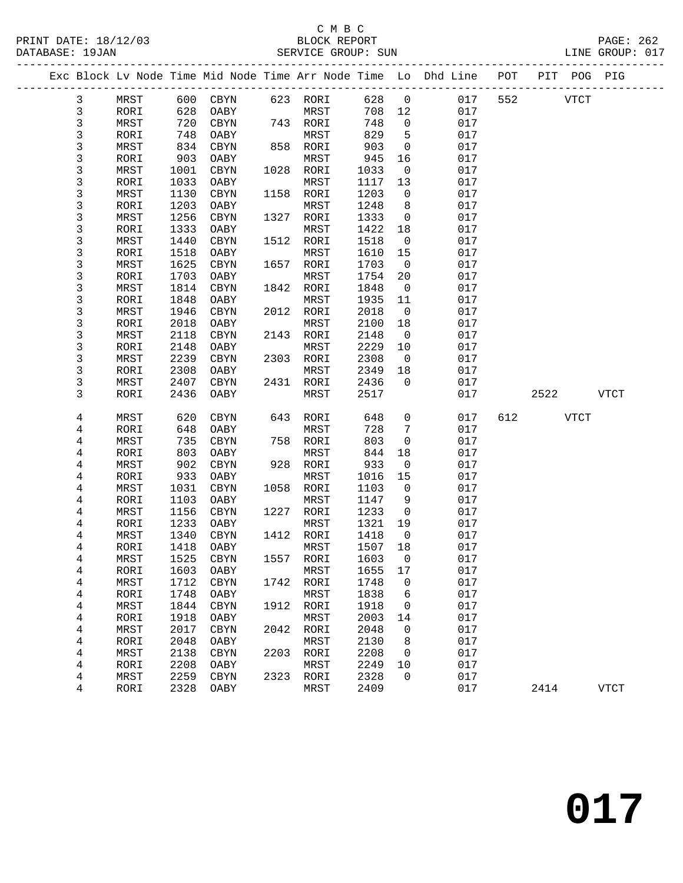#### C M B C<br>BLOCK REPORT PRINT DATE: 18/12/03 BLOCK REPORT PAGE: 262 DATABASE: 19JAN SERVICE GROUP: SUN LINE GROUP: 017

-------------------------------------------------------------------------------------------------

|                         |      |      |            |      |           |         |                | Exc Block Lv Node Time Mid Node Time Arr Node Time Lo Dhd Line | POT | PIT  | POG PIG     |             |
|-------------------------|------|------|------------|------|-----------|---------|----------------|----------------------------------------------------------------|-----|------|-------------|-------------|
| 3                       | MRST | 600  | CBYN       |      | 623 RORI  | 628     | $\mathsf{O}$   | 017                                                            | 552 |      | <b>VTCT</b> |             |
| 3                       | RORI | 628  | OABY       |      | MRST      | 708     | 12             | 017                                                            |     |      |             |             |
| 3                       | MRST | 720  | $\rm CBYN$ | 743  | RORI      | 748     | 0              | 017                                                            |     |      |             |             |
| 3                       | RORI | 748  | OABY       |      | MRST      | 829     | 5              | 017                                                            |     |      |             |             |
| 3                       | MRST | 834  | CBYN       | 858  | RORI      | 903     | 0              | 017                                                            |     |      |             |             |
| 3                       | RORI | 903  | OABY       |      | MRST      | 945     | 16             | 017                                                            |     |      |             |             |
| 3                       | MRST | 1001 | $\rm CBYN$ | 1028 | RORI      | 1033    | 0              | 017                                                            |     |      |             |             |
| 3                       | RORI | 1033 | OABY       |      | MRST      | 1117    | 13             | 017                                                            |     |      |             |             |
| 3                       | MRST | 1130 | CBYN       | 1158 | RORI      | 1203    | 0              | 017                                                            |     |      |             |             |
| 3                       | RORI | 1203 | OABY       |      | MRST      | 1248    | 8              | 017                                                            |     |      |             |             |
| 3                       | MRST | 1256 | $\rm CBYN$ | 1327 | RORI      | 1333    | 0              | 017                                                            |     |      |             |             |
| 3                       | RORI | 1333 | OABY       |      | MRST      | 1422    | 18             | 017                                                            |     |      |             |             |
| 3                       | MRST | 1440 | CBYN       | 1512 | RORI      | 1518    | 0              | 017                                                            |     |      |             |             |
| 3                       | RORI | 1518 | OABY       |      | MRST      | 1610    | 15             | 017                                                            |     |      |             |             |
| 3                       | MRST | 1625 | CBYN       | 1657 | RORI      | 1703    | $\mathbf 0$    | 017                                                            |     |      |             |             |
| 3                       | RORI | 1703 | OABY       |      | MRST      | 1754    | 20             | 017                                                            |     |      |             |             |
| 3                       | MRST | 1814 | CBYN       | 1842 | RORI      | 1848    | 0              | 017                                                            |     |      |             |             |
| $\mathfrak{Z}$          | RORI | 1848 | OABY       |      | MRST      | 1935    | 11             | 017                                                            |     |      |             |             |
| 3                       | MRST | 1946 | $\rm CBYN$ | 2012 | RORI      | 2018    | 0              | 017                                                            |     |      |             |             |
| 3                       | RORI | 2018 | OABY       |      | MRST      | 2100    | 18             | 017                                                            |     |      |             |             |
| 3                       | MRST | 2118 | CBYN       | 2143 | RORI      | 2148    | 0              | 017                                                            |     |      |             |             |
| 3                       | RORI | 2148 | OABY       |      | MRST      | 2229    | 10             | 017                                                            |     |      |             |             |
| 3                       | MRST | 2239 | CBYN       | 2303 | RORI      | 2308    | $\mathbf 0$    | 017                                                            |     |      |             |             |
| 3                       | RORI | 2308 | OABY       |      | MRST      | 2349    | 18             | 017                                                            |     |      |             |             |
| 3                       | MRST | 2407 | CBYN       | 2431 | RORI      | 2436    | 0              | 017                                                            |     |      |             |             |
| 3                       | RORI | 2436 | OABY       |      | MRST      | 2517    |                | 017                                                            |     | 2522 |             | <b>VTCT</b> |
|                         |      |      |            |      |           |         |                |                                                                |     |      |             |             |
| 4                       | MRST | 620  | CBYN       | 643  | RORI      | 648     | 0              | 017                                                            | 612 |      | <b>VTCT</b> |             |
| 4                       | RORI | 648  | OABY       |      | MRST      | 728     | 7              | 017                                                            |     |      |             |             |
| 4                       | MRST | 735  | CBYN       | 758  | RORI      | 803     | 0              | 017                                                            |     |      |             |             |
| 4                       | RORI | 803  | OABY       |      | MRST      | 844     | 18             | 017                                                            |     |      |             |             |
| $\overline{\mathbf{4}}$ | MRST | 902  | $\rm CBYN$ | 928  | RORI      | 933     | 0              | 017                                                            |     |      |             |             |
| 4                       | RORI | 933  | OABY       |      | MRST      | 1016    | 15             | 017                                                            |     |      |             |             |
| 4                       | MRST | 1031 | CBYN       | 1058 | RORI      | 1103    | 0              | 017                                                            |     |      |             |             |
| $\overline{\mathbf{4}}$ | RORI | 1103 | OABY       |      | MRST      | 1147    | 9              | 017                                                            |     |      |             |             |
| $\overline{\mathbf{4}}$ | MRST | 1156 | CBYN       | 1227 | RORI      | 1233    | 0              | 017                                                            |     |      |             |             |
| 4                       | RORI | 1233 | OABY       |      | MRST      | 1321    | 19             | 017                                                            |     |      |             |             |
| 4                       | MRST | 1340 | CBYN       | 1412 | RORI      | 1418    | 0              | 017                                                            |     |      |             |             |
| $\overline{\mathbf{4}}$ | RORI | 1418 | OABY       |      | MRST      | 1507    | 18             | 017                                                            |     |      |             |             |
| 4                       | MRST | 1525 | CBYN       | 1557 | RORI      | 1603    | $\mathbf 0$    | 017                                                            |     |      |             |             |
| 4                       | RORI | 1603 | OABY       |      | MRST      | 1655 17 |                | 017                                                            |     |      |             |             |
| 4                       | MRST | 1712 | CBYN       |      | 1742 RORI | 1748    | 0              | 017                                                            |     |      |             |             |
| 4                       | RORI | 1748 | OABY       |      | MRST      | 1838    | 6              | 017                                                            |     |      |             |             |
| 4                       | MRST | 1844 | CBYN       | 1912 | RORI      | 1918    | $\overline{0}$ | 017                                                            |     |      |             |             |
| 4                       | RORI | 1918 | OABY       |      | MRST      | 2003    | 14             | 017                                                            |     |      |             |             |
| 4                       | MRST | 2017 | CBYN       | 2042 | RORI      | 2048    | 0              | 017                                                            |     |      |             |             |
| 4                       | RORI | 2048 | OABY       |      | MRST      | 2130    | 8              | 017                                                            |     |      |             |             |
| 4                       | MRST | 2138 | CBYN       | 2203 | RORI      | 2208    | 0              | 017                                                            |     |      |             |             |
| 4                       | RORI | 2208 | OABY       |      | MRST      | 2249    | 10             | 017                                                            |     |      |             |             |
| 4                       | MRST | 2259 | CBYN       | 2323 | RORI      | 2328    | $\mathbf 0$    | 017                                                            |     |      |             |             |
| 4                       | RORI | 2328 | OABY       |      | MRST      | 2409    |                | 017                                                            |     | 2414 |             | <b>VTCT</b> |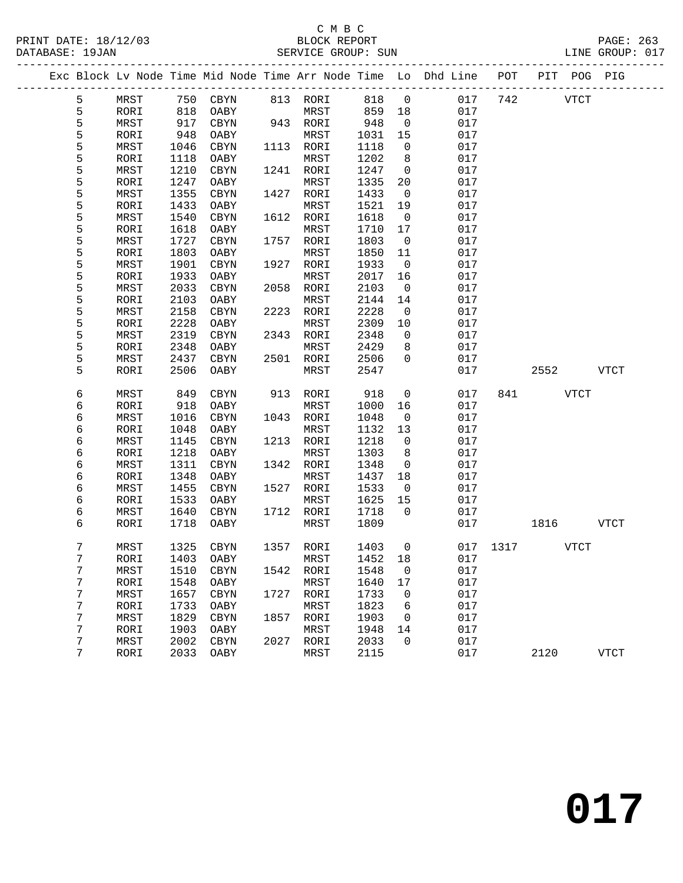#### C M B C<br>BLOCK REPORT PRINT DATE: 18/12/03 BLOCK REPORT PAGE: 263 SERVICE GROUP: SUN

|  |             |      |      |                   |      |           |         |                         | Exc Block Lv Node Time Mid Node Time Arr Node Time Lo Dhd Line POT PIT POG PIG |     |               |             |
|--|-------------|------|------|-------------------|------|-----------|---------|-------------------------|--------------------------------------------------------------------------------|-----|---------------|-------------|
|  | 5           | MRST |      | 750 CBYN 813 RORI |      |           | 818     | $\overline{0}$          | 017                                                                            | 742 | <b>VTCT</b>   |             |
|  | 5           | RORI | 818  | OABY              |      | MRST      | 859     | 18                      | 017                                                                            |     |               |             |
|  | 5           | MRST | 917  | CBYN              |      | 943 RORI  | 948     | $\overline{0}$          | 017                                                                            |     |               |             |
|  | 5           | RORI | 948  | OABY              |      | MRST      | 1031    | 15                      | 017                                                                            |     |               |             |
|  | 5           | MRST | 1046 | CBYN              |      | 1113 RORI | 1118    | $\overline{0}$          | 017                                                                            |     |               |             |
|  | 5           | RORI | 1118 | OABY              |      | MRST      | 1202    | 8                       | 017                                                                            |     |               |             |
|  | 5           | MRST | 1210 | CBYN              |      | 1241 RORI | 1247    | $\overline{0}$          | 017                                                                            |     |               |             |
|  | 5           | RORI | 1247 | OABY              |      | MRST      | 1335    | 20                      | 017                                                                            |     |               |             |
|  | $\mathsf S$ | MRST | 1355 | CBYN              |      | 1427 RORI | 1433    | $\overline{0}$          | 017                                                                            |     |               |             |
|  | 5           | RORI | 1433 | OABY              |      | MRST      | 1521    | 19                      | 017                                                                            |     |               |             |
|  | 5           | MRST | 1540 | CBYN              |      | 1612 RORI | 1618    | $\overline{0}$          | 017                                                                            |     |               |             |
|  | 5           | RORI | 1618 | OABY              |      | MRST      | 1710    | 17                      | 017                                                                            |     |               |             |
|  | 5           | MRST | 1727 | CBYN              |      | 1757 RORI | 1803    | $\overline{0}$          | 017                                                                            |     |               |             |
|  | 5           | RORI | 1803 | OABY              |      | MRST      | 1850    | 11                      | 017                                                                            |     |               |             |
|  | 5           | MRST | 1901 | CBYN              |      | 1927 RORI | 1933    | $\overline{0}$          | 017                                                                            |     |               |             |
|  | 5           | RORI | 1933 | OABY              |      | MRST      | 2017    | 16                      | 017                                                                            |     |               |             |
|  | 5           | MRST | 2033 | CBYN              |      | 2058 RORI | 2103    | $\overline{0}$          | 017                                                                            |     |               |             |
|  | 5           | RORI | 2103 | OABY              |      | MRST      | 2144    | 14                      | 017                                                                            |     |               |             |
|  | 5           | MRST | 2158 | CBYN              |      | 2223 RORI | 2228    | $\overline{\mathbf{0}}$ | 017                                                                            |     |               |             |
|  | 5           | RORI | 2228 | OABY              |      | MRST      | 2309    | 10                      | 017                                                                            |     |               |             |
|  | 5           | MRST | 2319 | CBYN              |      | 2343 RORI | 2348    | $\overline{0}$          | 017                                                                            |     |               |             |
|  | 5           | RORI | 2348 | OABY              |      | MRST      | 2429    | 8                       | 017                                                                            |     |               |             |
|  | 5           | MRST | 2437 | CBYN              |      | 2501 RORI | 2506    | $\mathbf{0}$            | 017                                                                            |     |               |             |
|  | 5           | RORI | 2506 | OABY              |      | MRST      | 2547    |                         | 017                                                                            |     | 2552          | VTCT        |
|  |             |      |      |                   |      |           |         |                         |                                                                                |     |               |             |
|  | 6           | MRST | 849  | CBYN              |      | 913 RORI  | 918     | $\overline{0}$          | 017                                                                            |     | 841 VTCT      |             |
|  | 6           | RORI | 918  | OABY              |      | MRST      | 1000    | 16                      | 017                                                                            |     |               |             |
|  | 6           | MRST | 1016 | CBYN              |      | 1043 RORI | 1048    | $\overline{0}$          | 017                                                                            |     |               |             |
|  | 6           | RORI | 1048 | OABY              |      | MRST      | 1132    | 13                      | 017                                                                            |     |               |             |
|  | 6           | MRST | 1145 | CBYN              |      | 1213 RORI | 1218    | $\overline{0}$          | 017                                                                            |     |               |             |
|  | 6           | RORI | 1218 | OABY              |      | MRST      | 1303    | 8                       | 017                                                                            |     |               |             |
|  | 6           | MRST | 1311 | CBYN              |      | 1342 RORI | 1348    | $\overline{0}$          | 017                                                                            |     |               |             |
|  | 6           | RORI | 1348 | OABY              |      | MRST      | 1437    | 18                      | 017                                                                            |     |               |             |
|  | 6           | MRST | 1455 | CBYN              |      | 1527 RORI | 1533    | $\overline{0}$          | 017                                                                            |     |               |             |
|  | 6           | RORI | 1533 | OABY              |      | MRST      | 1625    | 15                      | 017                                                                            |     |               |             |
|  | 6           | MRST | 1640 | CBYN              |      | 1712 RORI | 1718    | $\overline{0}$          | 017                                                                            |     |               |             |
|  | 6           | RORI | 1718 | OABY              |      | MRST      | 1809    |                         | 017                                                                            |     | 1816 VTCT     |             |
|  |             |      |      |                   |      |           |         |                         |                                                                                |     |               |             |
|  | 7           | MRST | 1325 | CBYN              |      | 1357 RORI | 1403    | $\overline{0}$          |                                                                                |     | 017 1317 VTCT |             |
|  | 7           | RORI |      | 1403 OABY MRST    |      |           | 1452 18 |                         | 017                                                                            |     |               |             |
|  | 7           | MRST | 1510 | CBYN              |      | 1542 RORI | 1548    | 0                       | 017                                                                            |     |               |             |
|  | 7           | RORI | 1548 | OABY              |      | MRST      | 1640    | 17                      | 017                                                                            |     |               |             |
|  | 7           | MRST | 1657 | CBYN              |      | 1727 RORI | 1733    | $\mathbf 0$             | 017                                                                            |     |               |             |
|  | 7           | RORI | 1733 | OABY              |      | MRST      | 1823    | 6                       | 017                                                                            |     |               |             |
|  | 7           | MRST | 1829 | CBYN              | 1857 | RORI      | 1903    | 0                       | 017                                                                            |     |               |             |
|  | 7           | RORI | 1903 | OABY              |      | MRST      | 1948    | 14                      | 017                                                                            |     |               |             |
|  | 7           | MRST | 2002 | CBYN              |      | 2027 RORI | 2033    | $\mathbf 0$             | 017                                                                            |     |               |             |
|  | 7           | RORI | 2033 | OABY              |      | MRST      | 2115    |                         | 017                                                                            |     | 2120          | <b>VTCT</b> |
|  |             |      |      |                   |      |           |         |                         |                                                                                |     |               |             |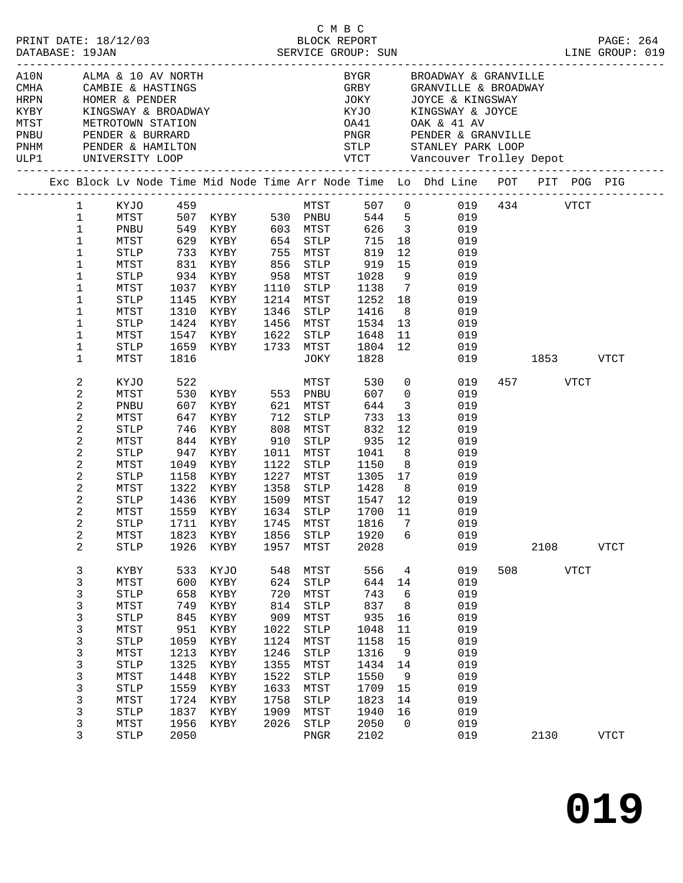|                                                                                                                                                                                   |                      |                                                                                |      |                           |                      |                         |                                                                                                                      |     |                                                                                                            |             | PAGE: 264<br>LINE GROUP: 019 |  |
|-----------------------------------------------------------------------------------------------------------------------------------------------------------------------------------|----------------------|--------------------------------------------------------------------------------|------|---------------------------|----------------------|-------------------------|----------------------------------------------------------------------------------------------------------------------|-----|------------------------------------------------------------------------------------------------------------|-------------|------------------------------|--|
| A10N ALMA & 10 AV NORTH<br>CMHA CAMBIE & HASTINGS<br>HRPN HOMER & PENDER<br>KYBY KINGSWAY & BROADWAY<br>MTST METROTOWN STATION<br>PNBU PENDER & BURRARD<br>PNHM PENDER & HAMILTON |                      |                                                                                |      |                           | JOKY                 |                         | BYGR         BROADWAY & GRANVILLE<br>GRBY          GRANVILLE & BROADWAY<br>JOYCE & KINGSWAY<br>KYJO KINGSWAY & JOYCE |     |                                                                                                            |             |                              |  |
|                                                                                                                                                                                   |                      |                                                                                |      |                           |                      |                         | OA41 OAK & 41 AV<br>PNGR PENDER & GRANVILLE                                                                          |     |                                                                                                            |             |                              |  |
|                                                                                                                                                                                   |                      |                                                                                |      |                           | STLP                 |                         | STANLEY PARK LOOP                                                                                                    |     |                                                                                                            |             |                              |  |
| ULP1 UNIVERSITY LOOP                                                                                                                                                              |                      |                                                                                |      |                           |                      |                         |                                                                                                                      |     |                                                                                                            |             |                              |  |
| Exc Block Lv Node Time Mid Node Time Arr Node Time Lo Dhd Line POT PIT POG PIG<br>-----------------------------------                                                             |                      |                                                                                |      |                           |                      |                         |                                                                                                                      |     |                                                                                                            |             |                              |  |
| $\mathbf{1}$                                                                                                                                                                      |                      | KYJO 459                                                                       |      |                           |                      |                         | MTST 507 0 019 434 VTCT                                                                                              |     |                                                                                                            |             |                              |  |
| $\mathbf{1}$<br>MTST                                                                                                                                                              |                      | 507 KYBY 530 PNBU 544 5<br>549 KYBY 603 MTST 626 3<br>629 KYBY 654 STLP 715 18 |      |                           |                      |                         | $544$ 5<br>019                                                                                                       |     |                                                                                                            |             |                              |  |
| $\mathbf 1$<br>PNBU                                                                                                                                                               |                      |                                                                                |      |                           |                      |                         | 019                                                                                                                  |     |                                                                                                            |             |                              |  |
| $\mathbf{1}$<br>MTST                                                                                                                                                              |                      |                                                                                |      |                           |                      |                         | 18<br>019                                                                                                            |     |                                                                                                            |             |                              |  |
| 1<br>STLP                                                                                                                                                                         |                      | 733 KYBY 755 MTST                                                              |      |                           | 819                  |                         | 12<br>019                                                                                                            |     |                                                                                                            |             |                              |  |
| 1<br>MTST                                                                                                                                                                         | 831 KYBY             |                                                                                | 856  | STLP                      |                      | 15                      | 019                                                                                                                  |     |                                                                                                            |             |                              |  |
| $\mathbf 1$<br>STLP                                                                                                                                                               |                      | XYBY ---<br>934 KYBY<br>1037 <sup>---</sup>                                    |      | 958 MTST                  | 919<br>1028          | 9                       | 019                                                                                                                  |     |                                                                                                            |             |                              |  |
| 1<br>MTST                                                                                                                                                                         |                      | 1037 KYBY                                                                      | 1110 | STLP                      | 1138                 | $7\overline{ }$         | 019                                                                                                                  |     |                                                                                                            |             |                              |  |
| $\mathbf 1$<br>STLP                                                                                                                                                               |                      | 1145 KYBY                                                                      |      | 1214 MTST                 | 1252 18              |                         | 019                                                                                                                  |     |                                                                                                            |             |                              |  |
| 1<br>MTST                                                                                                                                                                         | 1310                 | KYBY                                                                           | 1346 | STLP                      | 1416                 | 8 <sup>8</sup>          | 019                                                                                                                  |     |                                                                                                            |             |                              |  |
| 1<br>STLP                                                                                                                                                                         |                      | 1424 KYBY                                                                      |      | 1456 MTST                 | 1534                 | 13                      | 019                                                                                                                  |     |                                                                                                            |             |                              |  |
| 1<br>MTST                                                                                                                                                                         |                      | 1547 KYBY                                                                      |      | 1622 STLP                 | 1648                 | 11                      | 019                                                                                                                  |     |                                                                                                            |             |                              |  |
| 1<br>STLP                                                                                                                                                                         |                      | 1659 KYBY                                                                      |      | 1733 MTST                 | 1804                 | 12                      | 019                                                                                                                  |     |                                                                                                            |             |                              |  |
| 1<br>MTST                                                                                                                                                                         | 1816                 |                                                                                |      | JOKY                      | 1828                 |                         |                                                                                                                      | 019 | 1853 — 1853 — 1854 — 1855 — 1855 — 1855 — 1855 — 1855 — 1855 — 1855 — 1855 — 1855 — 1855 — 1855 — 1855 — 1 |             | <b>VTCT</b>                  |  |
| 2<br>KYJO                                                                                                                                                                         | 522                  |                                                                                |      | MTST                      | 530                  |                         | $\overline{0}$<br>019                                                                                                |     | 457 VTCT                                                                                                   |             |                              |  |
| 2<br>MTST                                                                                                                                                                         |                      | 530 KYBY 553 PNBU                                                              |      |                           | 607                  |                         | $\overline{0}$<br>019                                                                                                |     |                                                                                                            |             |                              |  |
| 2<br>PNBU                                                                                                                                                                         | 607                  | KYBY 621 MTST                                                                  |      |                           | 644                  | $\overline{\mathbf{3}}$ | 019                                                                                                                  |     |                                                                                                            |             |                              |  |
| 2<br>MTST                                                                                                                                                                         |                      |                                                                                |      |                           | 733                  | 13                      | 019                                                                                                                  |     |                                                                                                            |             |                              |  |
| 2<br>STLP                                                                                                                                                                         | 647 KYBY<br>746 KYBY |                                                                                |      | 712 STLP<br>808 MTST      | 832                  | 12                      | 019                                                                                                                  |     |                                                                                                            |             |                              |  |
| 2<br>MTST                                                                                                                                                                         | 844 KYBY             |                                                                                | 910  | STLP                      | 935                  | 12                      | 019                                                                                                                  |     |                                                                                                            |             |                              |  |
| 2<br>STLP                                                                                                                                                                         | 947 KYBY             |                                                                                | 1011 | MTST                      | 1041                 | 8 <sup>8</sup>          | 019                                                                                                                  |     |                                                                                                            |             |                              |  |
| 2<br>MTST                                                                                                                                                                         |                      | 1049 KYBY                                                                      | 1122 | STLP                      | 1150                 | 8 <sup>8</sup>          | 019                                                                                                                  |     |                                                                                                            |             |                              |  |
| 2<br>STLP                                                                                                                                                                         |                      | 1158 KYBY                                                                      |      | 1227 MTST                 | 1305                 | 17                      | 019                                                                                                                  |     |                                                                                                            |             |                              |  |
| 2<br>MTST                                                                                                                                                                         |                      | 1322 KYBY                                                                      | 1358 | STLP                      | 1428                 | 8 <sup>8</sup>          | 019                                                                                                                  |     |                                                                                                            |             |                              |  |
| 2<br>$\operatorname{STLP}$                                                                                                                                                        |                      | 1436 KYBY                                                                      |      | 1509 MTST                 | 1547                 | 12                      | 019                                                                                                                  |     |                                                                                                            |             |                              |  |
| 2<br>MTST                                                                                                                                                                         | 1559                 | KYBY                                                                           |      | NIST<br>1634 STLP<br>1745 |                      | 11                      | 019                                                                                                                  |     |                                                                                                            |             |                              |  |
| 2<br><b>STLP</b>                                                                                                                                                                  |                      | 1711 KYBY                                                                      |      | 1745 MTST                 | 1700<br>1816<br>1816 | $\overline{7}$          | 019                                                                                                                  |     |                                                                                                            |             |                              |  |
| 2<br>${\tt MTST}$                                                                                                                                                                 |                      |                                                                                |      |                           |                      |                         | 1823 KYBY 1856 STLP 1920 6 019                                                                                       |     |                                                                                                            |             |                              |  |
| 2<br>STLP                                                                                                                                                                         | 1926                 | KYBY                                                                           | 1957 | MTST                      | 2028                 |                         | 019                                                                                                                  |     | 2108                                                                                                       |             | <b>VTCT</b>                  |  |
| 3<br>KYBY                                                                                                                                                                         | 533                  | KYJO                                                                           | 548  | MTST                      | 556                  | $\overline{4}$          | 019                                                                                                                  | 508 |                                                                                                            | <b>VTCT</b> |                              |  |
| 3<br>MTST                                                                                                                                                                         | 600                  | KYBY                                                                           | 624  | <b>STLP</b>               | 644                  | 14                      | 019                                                                                                                  |     |                                                                                                            |             |                              |  |
| 3<br><b>STLP</b>                                                                                                                                                                  | 658                  | KYBY                                                                           | 720  | MTST                      | 743                  | 6                       | 019                                                                                                                  |     |                                                                                                            |             |                              |  |
| 3<br>MTST                                                                                                                                                                         | 749                  | KYBY                                                                           | 814  | $\operatorname{STLP}$     | 837                  | 8                       | 019                                                                                                                  |     |                                                                                                            |             |                              |  |
| 3<br><b>STLP</b>                                                                                                                                                                  | 845                  | KYBY                                                                           | 909  | MTST                      | 935                  | 16                      | 019                                                                                                                  |     |                                                                                                            |             |                              |  |
| 3<br>MTST                                                                                                                                                                         | 951                  | KYBY                                                                           | 1022 | STLP                      | 1048                 | 11                      | 019                                                                                                                  |     |                                                                                                            |             |                              |  |
| 3<br><b>STLP</b>                                                                                                                                                                  | 1059                 | KYBY                                                                           | 1124 | MTST                      | 1158                 | 15                      | 019                                                                                                                  |     |                                                                                                            |             |                              |  |
| 3<br>MTST                                                                                                                                                                         | 1213                 | KYBY                                                                           | 1246 | STLP                      | 1316                 | 9                       | 019                                                                                                                  |     |                                                                                                            |             |                              |  |
| 3<br><b>STLP</b>                                                                                                                                                                  | 1325                 | KYBY                                                                           | 1355 | MTST                      | 1434                 | 14                      | 019                                                                                                                  |     |                                                                                                            |             |                              |  |
| 3<br>MTST                                                                                                                                                                         | 1448                 | KYBY                                                                           | 1522 | STLP                      | 1550                 | $\overline{9}$          | 019                                                                                                                  |     |                                                                                                            |             |                              |  |
| 3<br><b>STLP</b>                                                                                                                                                                  | 1559                 | KYBY                                                                           | 1633 | MTST                      | 1709                 | 15                      | 019                                                                                                                  |     |                                                                                                            |             |                              |  |
| 3<br>MTST                                                                                                                                                                         | 1724                 | KYBY                                                                           | 1758 | STLP                      | 1823                 | 14                      | 019                                                                                                                  |     |                                                                                                            |             |                              |  |
| 3<br><b>STLP</b>                                                                                                                                                                  | 1837                 | KYBY                                                                           | 1909 | MTST                      | 1940                 | 16                      | 019                                                                                                                  |     |                                                                                                            |             |                              |  |
| 3<br>MTST                                                                                                                                                                         | 1956                 | KYBY                                                                           | 2026 | $\operatorname{STLP}$     | 2050                 | $\overline{0}$          | 019                                                                                                                  |     |                                                                                                            |             |                              |  |
| 3<br><b>STLP</b>                                                                                                                                                                  | 2050                 |                                                                                |      | PNGR                      | 2102                 |                         | 019                                                                                                                  |     | 2130                                                                                                       |             | <b>VTCT</b>                  |  |
|                                                                                                                                                                                   |                      |                                                                                |      |                           |                      |                         |                                                                                                                      |     |                                                                                                            |             |                              |  |

C M B C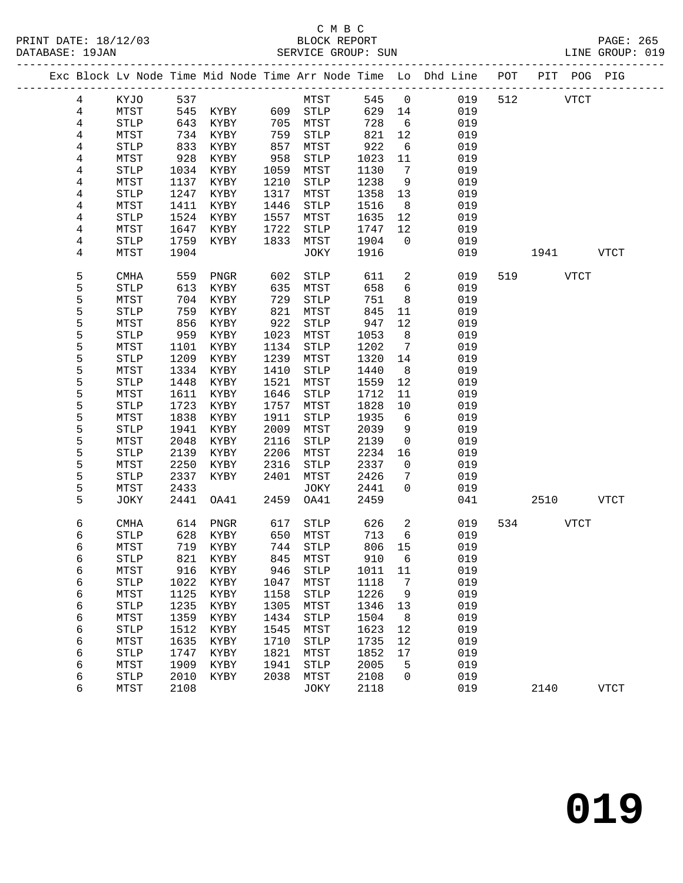# C M B C

|  | DATABASE: 19JAN |                       |      |               |      | SERVICE GROUP: SUN   |              |                 |                                                                                |     |             |           | LINE GROUP: 019 |  |
|--|-----------------|-----------------------|------|---------------|------|----------------------|--------------|-----------------|--------------------------------------------------------------------------------|-----|-------------|-----------|-----------------|--|
|  |                 |                       |      |               |      |                      |              |                 | Exc Block Lv Node Time Mid Node Time Arr Node Time Lo Dhd Line POT PIT POG PIG |     |             |           |                 |  |
|  | 4               | KYJO 537              |      |               |      | <b>MTST</b>          | 545 0        |                 | 019                                                                            | 512 | <b>VTCT</b> |           |                 |  |
|  | 4               | MTST                  |      |               |      | 545 KYBY 609 STLP    | 629 14       |                 | 019                                                                            |     |             |           |                 |  |
|  | 4               | STLP                  | 643  | KYBY 705 MTST |      |                      | 728          | 6               | 019                                                                            |     |             |           |                 |  |
|  | 4               | MTST                  | 734  | KYBY          | 759  | STLP                 | $821$<br>922 | 12              | 019                                                                            |     |             |           |                 |  |
|  | 4               | $\operatorname{STLP}$ | 833  | KYBY          | 857  | MTST                 |              | 6               | 019                                                                            |     |             |           |                 |  |
|  | 4               | MTST                  | 928  | KYBY          | 958  | STLP                 | 1023         | 11              | 019                                                                            |     |             |           |                 |  |
|  | 4               | STLP                  | 1034 | KYBY          | 1059 | MTST                 | 1130         | 7               | 019                                                                            |     |             |           |                 |  |
|  | 4               | MTST                  | 1137 | KYBY          | 1210 | STLP                 | 1238         | 9               | 019                                                                            |     |             |           |                 |  |
|  | 4               | <b>STLP</b>           | 1247 | KYBY          | 1317 | MTST                 | 1358         | 13              | 019                                                                            |     |             |           |                 |  |
|  | 4               | MTST                  | 1411 | KYBY          | 1446 | STLP                 | 1516         | 8 <sup>8</sup>  | 019                                                                            |     |             |           |                 |  |
|  | 4               | <b>STLP</b>           | 1524 | KYBY          | 1557 | MTST                 | 1635         | 12              | 019                                                                            |     |             |           |                 |  |
|  | 4               | MTST                  | 1647 | KYBY          | 1722 | STLP                 | 1747         | 12              | 019                                                                            |     |             |           |                 |  |
|  | 4               | <b>STLP</b>           | 1759 | KYBY          | 1833 | MTST                 | 1904         | $\overline{0}$  | 019                                                                            |     |             |           |                 |  |
|  | 4               | MTST                  | 1904 |               |      | JOKY                 | 1916         |                 | 019                                                                            |     | 1941 \      |           | VTCT            |  |
|  |                 |                       |      |               |      |                      |              |                 |                                                                                |     |             |           |                 |  |
|  | 5               | CMHA                  | 559  | PNGR          | 602  | STLP                 | 611          | $\overline{a}$  | 019                                                                            |     | 519         | VTCT      |                 |  |
|  | 5               | <b>STLP</b>           | 613  | KYBY          | 635  | MTST                 | 658          | 6               | 019                                                                            |     |             |           |                 |  |
|  | 5               | MTST                  | 704  | KYBY          | 729  | STLP                 | 751          | 8               | 019                                                                            |     |             |           |                 |  |
|  | 5               | $\operatorname{STLP}$ | 759  | KYBY          | 821  | MTST                 | 845          | 11              | 019                                                                            |     |             |           |                 |  |
|  | 5               | MTST                  | 856  | KYBY          | 922  | STLP                 | 947          | 12              | 019                                                                            |     |             |           |                 |  |
|  | 5               | <b>STLP</b>           | 959  | KYBY          | 1023 | MTST                 | 1053         | 8 <sup>8</sup>  | 019                                                                            |     |             |           |                 |  |
|  | 5               | MTST                  | 1101 | KYBY          | 1134 | STLP                 | 1202         | $7\overline{ }$ | 019                                                                            |     |             |           |                 |  |
|  | 5               | <b>STLP</b>           | 1209 | KYBY          | 1239 | MTST                 | 1320         | 14              | 019                                                                            |     |             |           |                 |  |
|  | 5               | MTST                  | 1334 | KYBY          | 1410 | STLP                 | 1440         | 8 <sup>8</sup>  | 019                                                                            |     |             |           |                 |  |
|  | 5               | <b>STLP</b>           | 1448 | KYBY          | 1521 | MTST                 | 1559         | 12              | 019                                                                            |     |             |           |                 |  |
|  | 5               | MTST                  | 1611 | KYBY          | 1646 | STLP                 | 1712         | 11              | 019                                                                            |     |             |           |                 |  |
|  | 5               | <b>STLP</b>           | 1723 | KYBY          | 1757 | MTST                 | 1828         | 10              | 019                                                                            |     |             |           |                 |  |
|  | 5               | MTST                  | 1838 | KYBY          | 1911 | STLP                 | 1935         | 6               | 019                                                                            |     |             |           |                 |  |
|  | 5               | <b>STLP</b>           | 1941 | KYBY          | 2009 | MTST                 | 2039         | 9               | 019                                                                            |     |             |           |                 |  |
|  | 5               | MTST                  | 2048 | KYBY          | 2116 | STLP                 | 2139         | $\overline{0}$  | 019                                                                            |     |             |           |                 |  |
|  | 5               | <b>STLP</b>           | 2139 | KYBY          | 2206 | MTST                 | 2234         | 16              | 019                                                                            |     |             |           |                 |  |
|  | 5               | MTST                  | 2250 | KYBY          | 2316 | STLP                 | 2337         | $\overline{0}$  | 019                                                                            |     |             |           |                 |  |
|  | 5               | <b>STLP</b>           | 2337 | KYBY          | 2401 | MTST                 | 2426         | 7               | 019                                                                            |     |             |           |                 |  |
|  | 5               | MTST                  | 2433 |               |      | JOKY                 | 2441         | $\mathbf 0$     | 019                                                                            |     |             |           |                 |  |
|  | 5               | JOKY                  | 2441 | OA41          | 2459 | OA41                 | 2459         |                 | 041                                                                            |     |             | 2510 VTCT |                 |  |
|  |                 |                       |      |               |      |                      |              |                 |                                                                                |     |             |           |                 |  |
|  | 6               | CMHA                  | 614  | PNGR          |      |                      | 626          | 2               | 019                                                                            |     | 534 VTCT    |           |                 |  |
|  | 6               | <b>STLP</b>           |      | 628 KYBY      |      | 617 STLP<br>650 MTST | 713          | 6               | 019                                                                            |     |             |           |                 |  |
|  | 6               | MTST                  |      |               |      |                      |              |                 | 719 KYBY 744 STLP 806 15 019                                                   |     |             |           |                 |  |
|  | 6               | <b>STLP</b>           | 821  | KYBY          | 845  | MTST                 | 910          | 6               | 019                                                                            |     |             |           |                 |  |
|  | 6               | MTST                  | 916  | KYBY          | 946  | STLP                 | 1011         | 11              | 019                                                                            |     |             |           |                 |  |
|  | 6               | <b>STLP</b>           | 1022 | KYBY          | 1047 | MTST                 | 1118         | $7\phantom{.0}$ | 019                                                                            |     |             |           |                 |  |
|  | 6               | MTST                  | 1125 | KYBY          | 1158 | STLP                 | 1226         | 9               | 019                                                                            |     |             |           |                 |  |
|  | 6               | <b>STLP</b>           | 1235 | KYBY          | 1305 | MTST                 | 1346         | 13              | 019                                                                            |     |             |           |                 |  |
|  | 6               | MTST                  | 1359 | KYBY          | 1434 | ${\tt STLP}$         | 1504         | 8               | 019                                                                            |     |             |           |                 |  |
|  | 6               | <b>STLP</b>           | 1512 | KYBY          | 1545 | MTST                 | 1623         | 12              | 019                                                                            |     |             |           |                 |  |
|  | 6               | MTST                  | 1635 | KYBY          | 1710 | STLP                 | 1735         | 12              | 019                                                                            |     |             |           |                 |  |
|  | 6               | <b>STLP</b>           | 1747 | KYBY          | 1821 | MTST                 | 1852         | 17              | 019                                                                            |     |             |           |                 |  |
|  | 6               | MTST                  | 1909 | KYBY          | 1941 | STLP                 | 2005         | 5               | 019                                                                            |     |             |           |                 |  |
|  |                 | STLP                  | 2010 |               | 2038 |                      | 2108         | 0               | 019                                                                            |     |             |           |                 |  |
|  | 6<br>6          |                       | 2108 | KYBY          |      | MTST                 | 2118         |                 | 019                                                                            |     |             |           | ${\tt VTCT}$    |  |
|  |                 | MTST                  |      |               |      | JOKY                 |              |                 |                                                                                |     | 2140        |           |                 |  |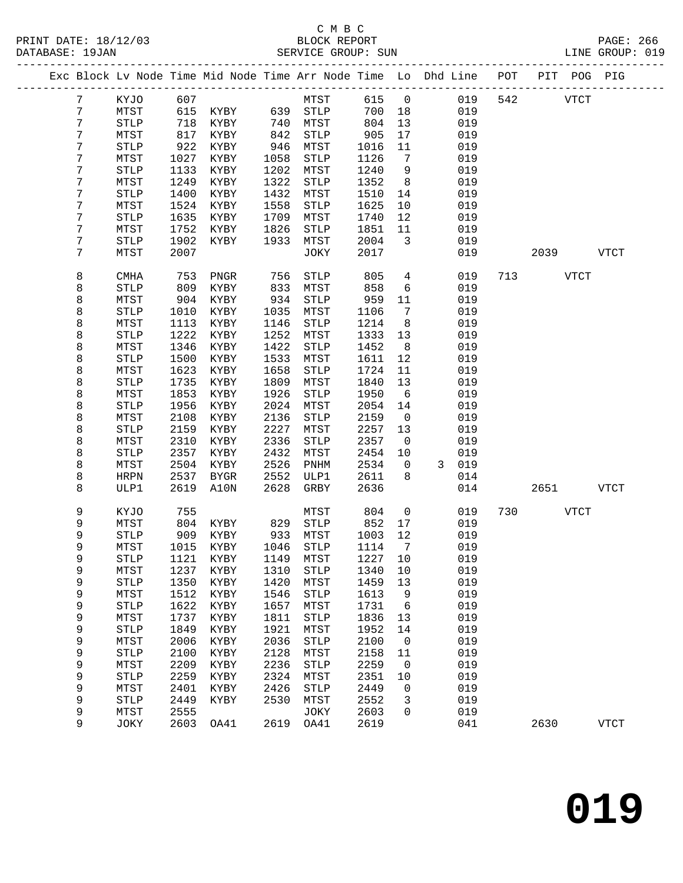# C M B C<br>BLOCK REPORT

|  | DATABASE: 19JAN |                       |              |                      |                 | SERVICE GROUP: SUN                                                             |               |                                  |                     | LINE GROUP: 019 |           |            |             |  |
|--|-----------------|-----------------------|--------------|----------------------|-----------------|--------------------------------------------------------------------------------|---------------|----------------------------------|---------------------|-----------------|-----------|------------|-------------|--|
|  |                 |                       |              |                      |                 | Exc Block Lv Node Time Mid Node Time Arr Node Time Lo Dhd Line POT PIT POG PIG |               |                                  |                     |                 |           |            |             |  |
|  | 7               | KYJO 607              |              |                      |                 | <b>MTST</b>                                                                    | 615 0         |                                  |                     | 019             | 542 VTCT  |            |             |  |
|  | 7               | MTST                  |              |                      |                 | 615 KYBY 639 STLP                                                              | 700 18        |                                  | 019                 |                 |           |            |             |  |
|  | 7               | <b>STLP</b>           | 718          | KYBY                 |                 | 740 MTST                                                                       | 804           | 13                               | 019                 |                 |           |            |             |  |
|  | 7               | MTST                  | 817          | KYBY                 | 842<br>946      | STLP                                                                           | 905           | 17                               | 019                 |                 |           |            |             |  |
|  | 7               | $\operatorname{STLP}$ | 922          | KYBY                 |                 | MTST                                                                           | 1016          | 11                               | 019                 |                 |           |            |             |  |
|  | 7               | MTST                  | 1027         | KYBY                 | 1058            | STLP                                                                           | 1126          | $7\phantom{.0}\phantom{.0}7$     | 019                 |                 |           |            |             |  |
|  | 7               | STLP                  | 1133         | KYBY                 | 1202            | MTST                                                                           | 1240          | 9                                | 019                 |                 |           |            |             |  |
|  | 7               | MTST                  | 1249         | KYBY                 | 1322            | STLP                                                                           | 1352          | 8 <sup>8</sup>                   | 019                 |                 |           |            |             |  |
|  | 7               | STLP                  | 1400         | KYBY                 | 1432            | MTST                                                                           | 1510          | 14                               | 019                 |                 |           |            |             |  |
|  | 7<br>7          | MTST                  | 1524<br>1635 | KYBY                 | 1558<br>1709    | STLP                                                                           | 1625          | 10                               | 019<br>019          |                 |           |            |             |  |
|  | 7               | STLP<br>MTST          | 1752         | KYBY<br>KYBY         | 1826            | MTST<br>STLP                                                                   | 1740<br>1851  | 12<br>11                         | 019                 |                 |           |            |             |  |
|  | 7               | STLP                  | 1902         | KYBY                 | 1933            | MTST                                                                           | 2004          | $\overline{3}$                   | 019                 |                 |           |            |             |  |
|  | 7               | MTST                  | 2007         |                      |                 | JOKY                                                                           | 2017          |                                  | 019                 |                 |           | 2039 — 203 | <b>VTCT</b> |  |
|  |                 |                       |              |                      |                 |                                                                                |               |                                  |                     |                 |           |            |             |  |
|  | 8               | <b>CMHA</b>           | 753          | PNGR                 | $\frac{756}{1}$ | STLP                                                                           | 805           | $\overline{4}$                   | 019                 |                 | 713 VTCT  |            |             |  |
|  | 8               | STLP                  | 809          | KYBY                 | 833             | MTST                                                                           | 858           | 6                                | 019                 |                 |           |            |             |  |
|  | 8               | MTST                  | 904          | KYBY                 | 934             | STLP                                                                           | 959           | 11                               | 019                 |                 |           |            |             |  |
|  | 8               | STLP                  | 1010<br>1113 | KYBY                 | 1035            | MTST                                                                           | 1106          | $\overline{7}$<br>8 <sup>8</sup> | 019<br>019          |                 |           |            |             |  |
|  | 8<br>8          | MTST<br><b>STLP</b>   | 1222         | KYBY<br>KYBY         | 1146<br>1252    | STLP                                                                           | 1214          | 13                               | 019                 |                 |           |            |             |  |
|  | 8               | MTST                  | 1346         | KYBY                 | 1422            | MTST<br>STLP                                                                   | 1333<br>1452  | 8 <sup>8</sup>                   | 019                 |                 |           |            |             |  |
|  | 8               | STLP                  | 1500         | KYBY                 | 1533            | MTST                                                                           | 1611          | 12                               | 019                 |                 |           |            |             |  |
|  | 8               | MTST                  | 1623         | KYBY                 | 1658            | STLP                                                                           | 1724          | 11                               | 019                 |                 |           |            |             |  |
|  | 8               | STLP                  | 1735         | KYBY                 | 1809            | MTST                                                                           | 1840          | 13                               | 019                 |                 |           |            |             |  |
|  | 8               | MTST                  | 1853         | KYBY                 | 1926            | STLP                                                                           | 1950          | $6\overline{6}$                  | 019                 |                 |           |            |             |  |
|  | 8               | <b>STLP</b>           | 1956         | KYBY                 | 2024            | MTST                                                                           | 2054          | 14                               | 019                 |                 |           |            |             |  |
|  | 8               | MTST                  | 2108         | KYBY                 | 2136            | STLP                                                                           | 2159          | $\overline{0}$                   | 019                 |                 |           |            |             |  |
|  | 8               | STLP                  | 2159         | KYBY                 | 2227            | MTST                                                                           | 2257          | 13                               | 019                 |                 |           |            |             |  |
|  | 8               | MTST                  | 2310         | KYBY                 | 2336            | STLP                                                                           | 2357          | $\overline{0}$                   | 019                 |                 |           |            |             |  |
|  | 8               | <b>STLP</b>           | 2357         | KYBY                 | 2432            | MTST                                                                           | 2454          | 10                               | 019                 |                 |           |            |             |  |
|  | 8               | MTST                  | 2504         | KYBY                 | 2526            | PNHM                                                                           | 2534          | $\mathbf{0}$                     | $\mathbf{3}$<br>019 |                 |           |            |             |  |
|  | 8               | <b>HRPN</b>           | 2537         | BYGR                 | 2552            | ULP1                                                                           | 2611          | 8                                | 014                 |                 |           |            |             |  |
|  | 8               | ULP1                  | 2619         | A10N                 | 2628            | GRBY                                                                           | 2636          |                                  | 014                 |                 | 2651 VTCT |            |             |  |
|  | 9               | KYJO                  | 755          |                      |                 | MTST                                                                           | 804           | $\overline{0}$                   | 019                 | 730             | VTCT      |            |             |  |
|  | 9               | MTST                  |              | KYBY                 |                 |                                                                                | $852$<br>1003 | 17                               | 019                 |                 |           |            |             |  |
|  | 9               | <b>STLP</b>           |              | 804 KYBY<br>909 KYBY |                 | 829 STLP<br>933 MTST                                                           | 1003 12       |                                  | 019                 |                 |           |            |             |  |
|  | 9               | MTST                  |              |                      |                 | 1015 KYBY 1046 STLP 1114 7 019                                                 |               |                                  |                     |                 |           |            |             |  |
|  | 9               | <b>STLP</b>           | 1121         | KYBY                 | 1149            | MTST                                                                           | 1227          | 10                               | 019                 |                 |           |            |             |  |
|  | 9               | MTST                  | 1237         | KYBY                 | 1310            | STLP                                                                           | 1340          | 10                               | 019                 |                 |           |            |             |  |
|  | 9               | <b>STLP</b>           | 1350         | KYBY                 | 1420            | MTST                                                                           | 1459          | 13                               | 019                 |                 |           |            |             |  |
|  | 9               | MTST                  | 1512         | KYBY                 | 1546            | STLP                                                                           | 1613          | 9                                | 019                 |                 |           |            |             |  |
|  | 9               | <b>STLP</b>           | 1622         | KYBY                 | 1657            | MTST                                                                           | 1731          | $6\overline{6}$                  | 019                 |                 |           |            |             |  |
|  | 9               | MTST                  | 1737         | KYBY                 | 1811            | ${\tt STLP}$                                                                   | 1836          | 13                               | 019                 |                 |           |            |             |  |
|  | 9               | <b>STLP</b>           | 1849         | KYBY                 | 1921            | MTST                                                                           | 1952          | 14                               | 019                 |                 |           |            |             |  |
|  | 9               | MTST                  | 2006         | KYBY                 | 2036            | ${\tt STLP}$                                                                   | 2100          | $\overline{0}$                   | 019                 |                 |           |            |             |  |
|  | 9<br>9          | <b>STLP</b><br>MTST   | 2100<br>2209 | KYBY<br>KYBY         | 2128<br>2236    | MTST<br>${\tt STLP}$                                                           | 2158<br>2259  | 11<br>$\overline{\phantom{0}}$   | 019<br>019          |                 |           |            |             |  |
|  | 9               | <b>STLP</b>           | 2259         | KYBY                 | 2324            | MTST                                                                           | 2351 10       |                                  | 019                 |                 |           |            |             |  |
|  |                 |                       |              |                      |                 |                                                                                |               |                                  |                     |                 |           |            |             |  |

 9 MTST 2401 KYBY 2426 STLP 2449 0 019 9 STLP 2449 KYBY 2530 MTST 2552 3 019 9 MTST 2555 JOKY 2603 0 019

9 JOKY 2603 OA41 2619 OA41 2619 041 2630 VTCT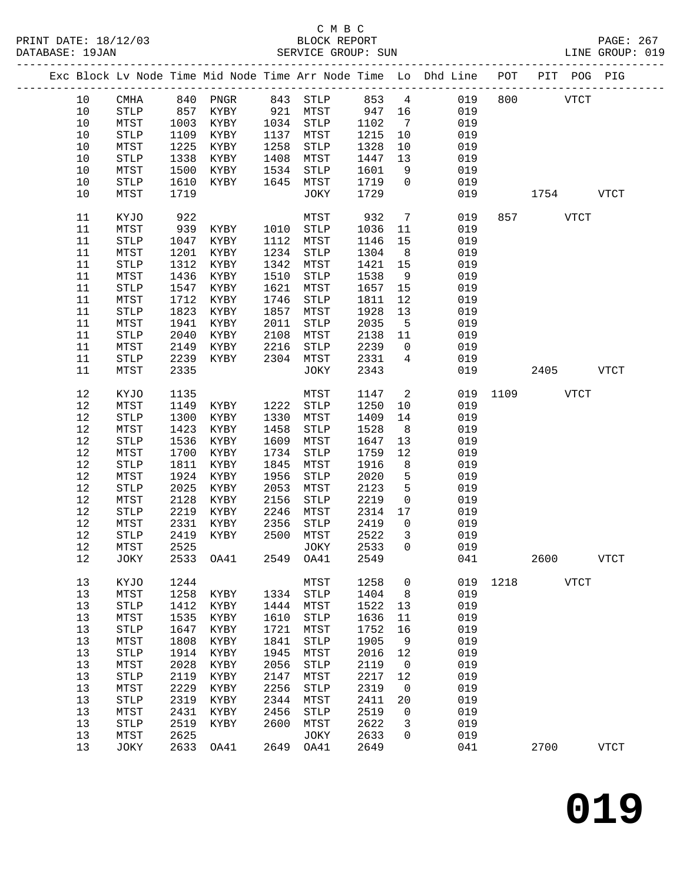PRINT DATE: 18/12/03 BLOCK REPORT PAGE: 267 DATABASE: 19JAN

### C M B C<br>BLOCK REPORT

|  | DATABASE: 19JAN |       |      |               | SERVICE GROUP: SUN     |         |                                                                                |     |      | LINE GROUP: 019 |  |
|--|-----------------|-------|------|---------------|------------------------|---------|--------------------------------------------------------------------------------|-----|------|-----------------|--|
|  |                 |       |      |               |                        |         | Exc Block Lv Node Time Mid Node Time Arr Node Time Lo Dhd Line POT PIT POG PIG |     |      |                 |  |
|  | 10              | CMHA  | 840  | PNGR          | 843 STLP               | 853 4   | 019                                                                            | 800 | VTCT |                 |  |
|  | 10              | STLP  |      | 857 KYBY      | 921 MTST               | 947 16  | 019                                                                            |     |      |                 |  |
|  | 10              | MTST  | 1003 | KYBY          | 1034 STLP              | 1102    | 019                                                                            |     |      |                 |  |
|  | 1 N             | CTT D |      | $1100$ $VVDV$ | $1127$ $M$ m $C$ m $T$ | 1915 10 | 010                                                                            |     |      |                 |  |

| 10     | ${\tt STLP}$          | 1109      | KYBY | 1137 | MTST                  | 1215    | 10             | 019 |      |             |             |
|--------|-----------------------|-----------|------|------|-----------------------|---------|----------------|-----|------|-------------|-------------|
| $10$   | MTST                  | 1225      | KYBY | 1258 | $\operatorname{STLP}$ | 1328    | 10             | 019 |      |             |             |
| $10$   | STLP                  | 1338      | KYBY | 1408 | MTST                  | 1447    | 13             | 019 |      |             |             |
| $10$   | MTST                  | 1500      | KYBY | 1534 | STLP                  | 1601    | 9              | 019 |      |             |             |
| $10$   | ${\tt STLP}$          | 1610      | KYBY | 1645 | MTST                  | 1719    | 0              | 019 |      |             |             |
| $10$   |                       | 1719      |      |      |                       | 1729    |                | 019 |      |             |             |
|        | MTST                  |           |      |      | JOKY                  |         |                |     |      | 1754        | <b>VTCT</b> |
| 11     | KYJO                  | 922       |      |      | MTST                  | 932     | $\overline{7}$ | 019 | 857  | <b>VTCT</b> |             |
| 11     | MTST                  | 939       | KYBY | 1010 | $\operatorname{STLP}$ | 1036    | 11             | 019 |      |             |             |
| 11     | $\operatorname{STLP}$ | 1047      | KYBY | 1112 | MTST                  | 1146    | 15             | 019 |      |             |             |
| 11     | MTST                  | 1201      | KYBY | 1234 | STLP                  | 1304    | 8              | 019 |      |             |             |
| 11     | <b>STLP</b>           | 1312      | KYBY | 1342 | MTST                  | 1421    | 15             | 019 |      |             |             |
| 11     | ${\tt MTST}$          | 1436      |      | 1510 |                       | 1538    |                | 019 |      |             |             |
|        |                       |           | KYBY |      | STLP                  |         | 9              |     |      |             |             |
| 11     | STLP                  | 1547      | KYBY | 1621 | MTST                  | 1657    | 15             | 019 |      |             |             |
| 11     | MTST                  | 1712      | KYBY | 1746 | STLP                  | 1811    | 12             | 019 |      |             |             |
| 11     | $\operatorname{STLP}$ | 1823      | KYBY | 1857 | MTST                  | 1928    | 13             | 019 |      |             |             |
| 11     | ${\tt MTST}$          | 1941      | KYBY | 2011 | $\operatorname{STLP}$ | 2035    | 5              | 019 |      |             |             |
| 11     | ${\tt STLP}$          | 2040      | KYBY | 2108 | MTST                  | 2138    | 11             | 019 |      |             |             |
| 11     | MTST                  | 2149      | KYBY | 2216 | $\operatorname{STLP}$ | 2239    | 0              | 019 |      |             |             |
| $11\,$ | ${\tt STLP}$          | 2239      | KYBY | 2304 | MTST                  | 2331    | 4              | 019 |      |             |             |
| 11     | MTST                  | 2335      |      |      | JOKY                  | 2343    |                | 019 |      | 2405        | <b>VTCT</b> |
| 12     | KYJO                  | 1135      |      |      | MTST                  | 1147    | 2              | 019 | 1109 | <b>VTCT</b> |             |
| $1\,2$ | MTST                  | 1149      | KYBY | 1222 | $\operatorname{STLP}$ | 1250    | 10             | 019 |      |             |             |
| $12$   | ${\tt STLP}$          | 1300      |      | 1330 | MTST                  |         | 14             | 019 |      |             |             |
|        |                       |           | KYBY |      |                       | 1409    |                |     |      |             |             |
| $12$   | MTST                  | 1423      | KYBY | 1458 | $\operatorname{STLP}$ | 1528    | $\,8\,$        | 019 |      |             |             |
| $12$   | ${\tt STLP}$          | 1536      | KYBY | 1609 | MTST                  | 1647    | 13             | 019 |      |             |             |
| $1\,2$ | MTST                  | 1700      | KYBY | 1734 | STLP                  | 1759    | 12             | 019 |      |             |             |
| $12$   | $\operatorname{STLP}$ | 1811      | KYBY | 1845 | MTST                  | 1916    | 8              | 019 |      |             |             |
| $1\,2$ | ${\tt MTST}$          | 1924      | KYBY | 1956 | STLP                  | 2020    | 5              | 019 |      |             |             |
| $12$   | ${\tt STLP}$          | 2025      | KYBY | 2053 | MTST                  | 2123    | 5              | 019 |      |             |             |
| $12$   | MTST                  | 2128      | KYBY | 2156 | STLP                  | 2219    | 0              | 019 |      |             |             |
| $12$   | STLP                  | 2219      | KYBY | 2246 | MTST                  | 2314    | 17             | 019 |      |             |             |
| $12$   | MTST                  | 2331      | KYBY | 2356 | $\operatorname{STLP}$ | 2419    | 0              | 019 |      |             |             |
| $12$   | $\operatorname{STLP}$ | 2419      | KYBY | 2500 | MTST                  | 2522    | 3              | 019 |      |             |             |
| $12$   | MTST                  | 2525      |      |      | JOKY                  | 2533    | 0              | 019 |      |             |             |
| $12$   | JOKY                  | 2533      | OA41 | 2549 | OA41                  | 2549    |                | 041 |      | 2600        | <b>VTCT</b> |
| 13     | KYJO                  | 1244      |      |      | MTST                  | 1258    | 0              | 019 | 1218 | <b>VTCT</b> |             |
| 13     | MTST                  | 1258      | KYBY | 1334 | $\operatorname{STLP}$ | 1404    | 8              | 019 |      |             |             |
| 13     | STLP                  | 1412      | KYBY | 1444 | MTST                  | 1522    | 13             | 019 |      |             |             |
| 13     | MTST                  | 1535      | KYBY | 1610 | <b>STLP</b>           | 1636    | 11             | 019 |      |             |             |
| 13     | ${\tt STLP}$          | 1647 KYBY |      | 1721 | MTST                  | 1752 16 |                | 019 |      |             |             |
|        |                       |           | KYBY |      |                       |         | 9              | 019 |      |             |             |
| 13     | MTST                  | 1808      |      | 1841 | STLP                  | 1905    |                |     |      |             |             |
| 13     | ${\tt STLP}$          | 1914      | KYBY | 1945 | MTST                  | 2016    | 12             | 019 |      |             |             |
| 13     | MTST                  | 2028      | KYBY | 2056 | <b>STLP</b>           | 2119    | $\mathsf{O}$   | 019 |      |             |             |
| 13     | <b>STLP</b>           | 2119      | KYBY | 2147 | MTST                  | 2217    | 12             | 019 |      |             |             |
| 13     | MTST                  | 2229      | KYBY | 2256 | <b>STLP</b>           | 2319    | 0              | 019 |      |             |             |
| 13     | <b>STLP</b>           | 2319      | KYBY | 2344 | MTST                  | 2411    | 20             | 019 |      |             |             |
| 13     | MTST                  | 2431      | KYBY | 2456 | STLP                  | 2519    | $\mathbf 0$    | 019 |      |             |             |
| 13     | <b>STLP</b>           | 2519      | KYBY | 2600 | MTST                  | 2622    | 3              | 019 |      |             |             |
| 13     | MTST                  | 2625      |      |      | JOKY                  | 2633    | 0              | 019 |      |             |             |
| 13     | JOKY                  | 2633      | OA41 | 2649 | OA41                  | 2649    |                | 041 |      | 2700        | VTCT        |
|        |                       |           |      |      |                       |         |                |     |      |             |             |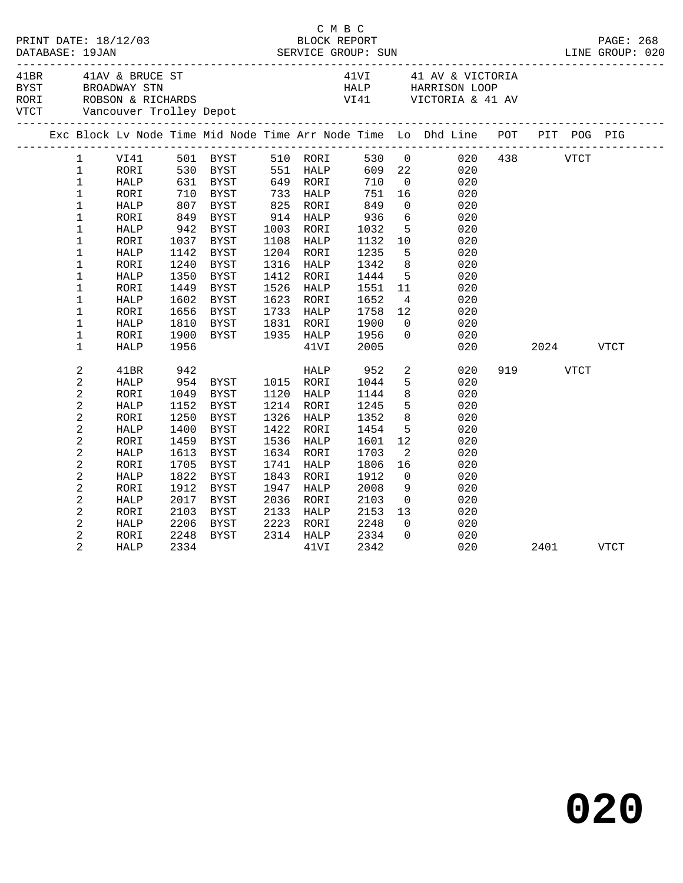| PRINT DATE: 18/12/03 |                                |              |              |              |      | C M B C           |              |                            |                                                                                                                                                                                                                                                                                                                                                             |     |          |             |             |
|----------------------|--------------------------------|--------------|--------------|--------------|------|-------------------|--------------|----------------------------|-------------------------------------------------------------------------------------------------------------------------------------------------------------------------------------------------------------------------------------------------------------------------------------------------------------------------------------------------------------|-----|----------|-------------|-------------|
|                      |                                |              |              |              |      |                   |              |                            | $\begin{array}{lllllllllll} 41\text{BR} & 41\text{AV} & \text{BRUCE ST} & 41\text{VI} & 41 & \text{AV} & \text{VICTORIA} \\ \text{BYST} & \text{BROADWAY STN} & & & & & \text{HALP} & \text{HARRISON LOOP} \\ \text{RORI} & \text{ROBSON} & \text{RICHARDS} & & & & \text{VI41} & \text{VICTORIA} & 41 & \text{AV} \\ \end{array}$<br>41VI 41 AV & VICTORIA |     |          |             |             |
|                      |                                |              |              |              |      |                   |              |                            | Exc Block Lv Node Time Mid Node Time Arr Node Time Lo Dhd Line POT PIT POG PIG                                                                                                                                                                                                                                                                              |     |          |             |             |
|                      | $\mathbf{1}$                   | VI41         |              | 501 BYST     |      | 510 RORI          | 530 0        |                            | 020                                                                                                                                                                                                                                                                                                                                                         |     | 438 VTCT |             |             |
|                      | $\mathbf 1$                    | RORI         |              | 530 BYST     |      | 551 HALP          | 609 22       |                            | 020                                                                                                                                                                                                                                                                                                                                                         |     |          |             |             |
|                      | $\mathbf{1}$                   | HALP         |              | 631 BYST     |      | 649 RORI          | 710          | $\overline{0}$             | 020                                                                                                                                                                                                                                                                                                                                                         |     |          |             |             |
|                      | $\mathbf 1$                    | RORI         | 710          | BYST         |      | 733 HALP          | 751          | 16                         | 020                                                                                                                                                                                                                                                                                                                                                         |     |          |             |             |
|                      | $\mathbf{1}$                   | <b>HALP</b>  | 607          | BYST         |      | 825 RORI          | 849          | $\overline{0}$             | 020                                                                                                                                                                                                                                                                                                                                                         |     |          |             |             |
|                      | 1                              | RORI         | 849          | BYST         | 914  | HALP              | 936          | $6\overline{6}$            | 020                                                                                                                                                                                                                                                                                                                                                         |     |          |             |             |
|                      | $\mathbf 1$                    | <b>HALP</b>  | 942          | BYST         |      | 1003 RORI         | 1032         | $5^{\circ}$                | 020                                                                                                                                                                                                                                                                                                                                                         |     |          |             |             |
|                      | $\mathbf 1$                    | RORI         | 1037         | BYST         | 1108 | HALP              | 1132         | 10                         | 020                                                                                                                                                                                                                                                                                                                                                         |     |          |             |             |
|                      | $\mathbf{1}$                   | HALP         | 1142         | BYST         | 1204 | RORI              | 1235         | 5                          | 020                                                                                                                                                                                                                                                                                                                                                         |     |          |             |             |
|                      | $\mathbf 1$                    | RORI         | 1240         | BYST         | 1316 | HALP              | 1342         | 8                          | 020                                                                                                                                                                                                                                                                                                                                                         |     |          |             |             |
|                      | $\mathbf 1$                    | <b>HALP</b>  | 1350         | <b>BYST</b>  | 1412 | RORI              | 1444         | 5                          | 020                                                                                                                                                                                                                                                                                                                                                         |     |          |             |             |
|                      | $\mathbf 1$                    | RORI         | 1449         | <b>BYST</b>  | 1526 | HALP              | 1551         | 11                         | 020                                                                                                                                                                                                                                                                                                                                                         |     |          |             |             |
|                      | $\mathbf 1$                    | <b>HALP</b>  | 1602         | <b>BYST</b>  |      | 1623 RORI         | 1652         | $\overline{4}$             | 020                                                                                                                                                                                                                                                                                                                                                         |     |          |             |             |
|                      | $\mathbf 1$<br>$\mathbf{1}$    | RORI<br>HALP | 1656<br>1810 | BYST<br>BYST | 1831 | 1733 HALP<br>RORI | 1758<br>1900 | 12<br>$\Omega$             | 020<br>020                                                                                                                                                                                                                                                                                                                                                  |     |          |             |             |
|                      | $\mathbf 1$                    | RORI         | 1900         | BYST         | 1935 | HALP              | 1956         | $\mathbf 0$                | 020                                                                                                                                                                                                                                                                                                                                                         |     |          |             |             |
|                      | $\mathbf{1}$                   | <b>HALP</b>  | 1956         |              |      | 41VI              | 2005         |                            | 020                                                                                                                                                                                                                                                                                                                                                         |     |          | 2024        | VTCT        |
|                      |                                |              |              |              |      |                   |              |                            |                                                                                                                                                                                                                                                                                                                                                             |     |          |             |             |
|                      | $\mathbf{2}$                   | 41BR         | 942          |              |      | HALP              | 952          | $\overline{a}$             | 020                                                                                                                                                                                                                                                                                                                                                         | 919 |          | <b>VTCT</b> |             |
|                      | $\mathbf{2}$                   | <b>HALP</b>  |              | 954 BYST     |      | 1015 RORI         | 1044         | 5                          | 020                                                                                                                                                                                                                                                                                                                                                         |     |          |             |             |
|                      | $\overline{a}$                 | RORI         | 1049         | BYST         | 1120 | HALP              | 1144         | 8                          | 020                                                                                                                                                                                                                                                                                                                                                         |     |          |             |             |
|                      | $\overline{c}$                 | HALP         | 1152         | BYST         | 1214 | RORI              | 1245         | 5                          | 020                                                                                                                                                                                                                                                                                                                                                         |     |          |             |             |
|                      | $\mathbf 2$                    | RORI         | 1250         | <b>BYST</b>  | 1326 | HALP              | 1352         | 8                          | 020                                                                                                                                                                                                                                                                                                                                                         |     |          |             |             |
|                      | 2                              | HALP         | 1400         | <b>BYST</b>  | 1422 | RORI              | 1454         | 5                          | 020                                                                                                                                                                                                                                                                                                                                                         |     |          |             |             |
|                      | $\overline{a}$                 | RORI         | 1459         | <b>BYST</b>  | 1536 | HALP              | 1601         | 12                         | 020                                                                                                                                                                                                                                                                                                                                                         |     |          |             |             |
|                      | $\mathbf{2}$                   | <b>HALP</b>  | 1613         | BYST         | 1634 | RORI              | 1703         | 2                          | 020                                                                                                                                                                                                                                                                                                                                                         |     |          |             |             |
|                      | $\overline{c}$                 | RORI         | 1705         | <b>BYST</b>  | 1741 | HALP              | 1806         | 16                         | 020                                                                                                                                                                                                                                                                                                                                                         |     |          |             |             |
|                      | $\overline{a}$                 | ${\tt HALP}$ | 1822         | <b>BYST</b>  | 1843 | RORI              | 1912         | $\overline{0}$             | 020                                                                                                                                                                                                                                                                                                                                                         |     |          |             |             |
|                      | $\overline{c}$                 | RORI         | 1912         | BYST         | 1947 | HALP              | 2008         | 9                          | 020                                                                                                                                                                                                                                                                                                                                                         |     |          |             |             |
|                      | 2                              | HALP         | 2017         | <b>BYST</b>  | 2036 | RORI              | 2103         | $\overline{0}$             | 020                                                                                                                                                                                                                                                                                                                                                         |     |          |             |             |
|                      | $\overline{c}$                 | RORI         | 2103         | BYST         | 2133 | HALP              | 2153         | 13                         | 020                                                                                                                                                                                                                                                                                                                                                         |     |          |             |             |
|                      | $\mathbf{2}$<br>$\overline{c}$ | <b>HALP</b>  | 2206         | BYST         | 2223 | RORI              | 2248<br>2334 | $\overline{0}$<br>$\Omega$ | 020                                                                                                                                                                                                                                                                                                                                                         |     |          |             |             |
|                      | $\overline{2}$                 | RORI         | 2248<br>2334 | BYST         | 2314 | HALP              | 2342         |                            | 020<br>020                                                                                                                                                                                                                                                                                                                                                  |     |          |             | <b>VTCT</b> |
|                      |                                | <b>HALP</b>  |              |              |      | 41VI              |              |                            |                                                                                                                                                                                                                                                                                                                                                             |     | 2401     |             |             |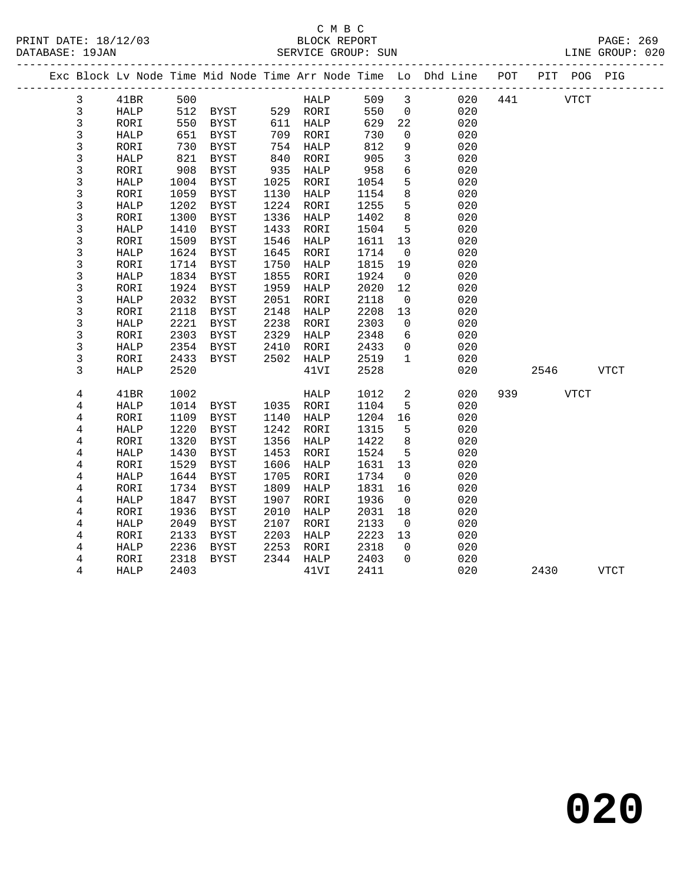| PRINT DATE: 18/12/03 |                |             |            |                     |      | C M B C<br>BLOCK REPORT |            |                 |                                                                                |           | PAGE: 269 |
|----------------------|----------------|-------------|------------|---------------------|------|-------------------------|------------|-----------------|--------------------------------------------------------------------------------|-----------|-----------|
| DATABASE: 19JAN      |                |             |            |                     |      |                         |            |                 |                                                                                |           |           |
|                      |                |             |            |                     |      |                         |            |                 | Exc Block Lv Node Time Mid Node Time Arr Node Time Lo Dhd Line POT PIT POG PIG |           |           |
|                      | $\mathbf{3}$   | 41BR 500    |            |                     |      |                         |            |                 | HALP 509 3 020                                                                 | 441 VTCT  |           |
|                      | $\mathbf{3}$   | <b>HALP</b> |            | 512 BYST 529 RORI   |      |                         | 550        |                 | $\overline{0}$<br>020                                                          |           |           |
|                      | $\mathbf{3}$   | RORI        |            | 550 BYST 611 HALP   |      |                         | 629        | 22              | 020                                                                            |           |           |
|                      | $\mathsf{3}$   | HALP        |            | 651 BYST            |      | 709 RORI                | 730        | $\overline{0}$  | 020                                                                            |           |           |
|                      | $\mathfrak{Z}$ | RORI        | 730        | BYST                |      | 754 HALP                | 812        | 9               | 020                                                                            |           |           |
|                      | $\mathfrak{Z}$ | HALP        |            | BYST                |      |                         |            | $\mathbf{3}$    | 020                                                                            |           |           |
|                      | $\mathsf{3}$   | RORI        | 821<br>908 | BYST                |      | 840 RORI<br>935 HALP    | 905<br>958 | $6\overline{}$  | 020                                                                            |           |           |
|                      | 3              | HALP        |            | 1004 BYST           |      | 1025 RORI               | 1054       | 5               | 020                                                                            |           |           |
|                      | $\mathsf{3}$   | RORI        |            | 1059 BYST           | 1130 | HALP                    | 1154       | 8               | 020                                                                            |           |           |
|                      | 3              | HALP        | 1202       | BYST                |      | 1224 RORI               | 1255       | 5               | 020                                                                            |           |           |
|                      | $\mathfrak{Z}$ | RORI        | 1300       | BYST                | 1336 | HALP                    | 1402       | 8               | 020                                                                            |           |           |
|                      | $\mathsf 3$    | HALP        | 1410       | BYST                | 1433 | RORI                    | 1504       | $5^{\circ}$     | 020                                                                            |           |           |
|                      | 3              | RORI        | 1509       | BYST                | 1546 | HALP                    | 1611       | 13              | 020                                                                            |           |           |
|                      | 3              | HALP        |            | 1624 BYST           |      | 1645 RORI               | 1714       | $\overline{0}$  | 020                                                                            |           |           |
|                      | $\mathsf 3$    | RORI        | 1714       | BYST                | 1750 | HALP                    | 1815       | 19              | 020                                                                            |           |           |
|                      | 3              | HALP        | 1834       | BYST                | 1855 | RORI                    | 1924       | $\overline{0}$  | 020                                                                            |           |           |
|                      | 3              | RORI        | 1924       | BYST                | 1959 | HALP                    | 2020       | 12              | 020                                                                            |           |           |
|                      | $\mathsf 3$    | <b>HALP</b> | 2032       | BYST                | 2051 | RORI                    | 2118       | $\overline{0}$  | 020                                                                            |           |           |
|                      | 3              | RORI        | 2118       | BYST                | 2148 | HALP                    | 2208       | 13              | 020                                                                            |           |           |
|                      | 3              | <b>HALP</b> | 2221       | BYST                | 2238 | RORI                    | 2303       | $\overline{0}$  | 020                                                                            |           |           |
|                      | $\mathsf 3$    | RORI        | 2303       | BYST                | 2329 | HALP                    | 2348       |                 | $6\overline{}$<br>020                                                          |           |           |
|                      | $\mathfrak{Z}$ | HALP        | 2354       | BYST                | 2410 | RORI                    | 2433       | $\overline{0}$  | 020                                                                            |           |           |
|                      | 3              | RORI        | 2433       | BYST                |      | 2502 HALP               | 2519       | 1               | 020                                                                            |           |           |
|                      | 3              | HALP        | 2520       |                     |      | 41VI                    | 2528       |                 | 020                                                                            | 2546 VTCT |           |
|                      | 4              | 41BR        | 1002       |                     |      | HALP                    | 1012       |                 | $\overline{2}$<br>020                                                          | 939 VTCT  |           |
|                      | 4              | HALP        |            | 1014 BYST 1035 RORI |      |                         | 1104       |                 | $5^{\circ}$<br>020                                                             |           |           |
|                      | 4              | RORI        | 1109       | BYST                |      | 1140 HALP               | 1204       | 16              | 020                                                                            |           |           |
|                      | 4              | <b>HALP</b> | 1220       | BYST                | 1242 | RORI                    | 1315       | $5\overline{)}$ | 020                                                                            |           |           |
|                      | 4              | RORI        | 1320       | BYST                | 1356 | HALP                    | 1422       | 8               | 020                                                                            |           |           |
|                      | 4              | <b>HALP</b> | 1430       | BYST                | 1453 | RORI                    | 1524       |                 | 5 <sub>1</sub><br>020                                                          |           |           |
|                      | 4              | RORI        | 1529       | BYST                | 1606 | HALP                    | 1631       | 13              | 020                                                                            |           |           |
|                      | 4              | HALP        | 1644       | BYST                |      | 1705 RORI               | 1734       | $\overline{0}$  | 020                                                                            |           |           |
|                      | 4              | RORI        | 1734       | BYST                |      | 1809 HALP               | 1831       | 16              | 020                                                                            |           |           |
|                      | 4              | HALP        | 1847       | BYST                |      | 1907 RORI               | 1936       | $\overline{0}$  | 020                                                                            |           |           |

4 HALP 2403 41VI 2411 020 2430 VTCT

 4 RORI 1936 BYST 2010 HALP 2031 18 020 4 HALP 2049 BYST 2107 RORI 2133 0 020 4 RORI 2133 BYST 2203 HALP 2223 13 020 4 HALP 2236 BYST 2253 RORI 2318 0 020 4 RORI 2318 BYST 2344 HALP 2403 0 020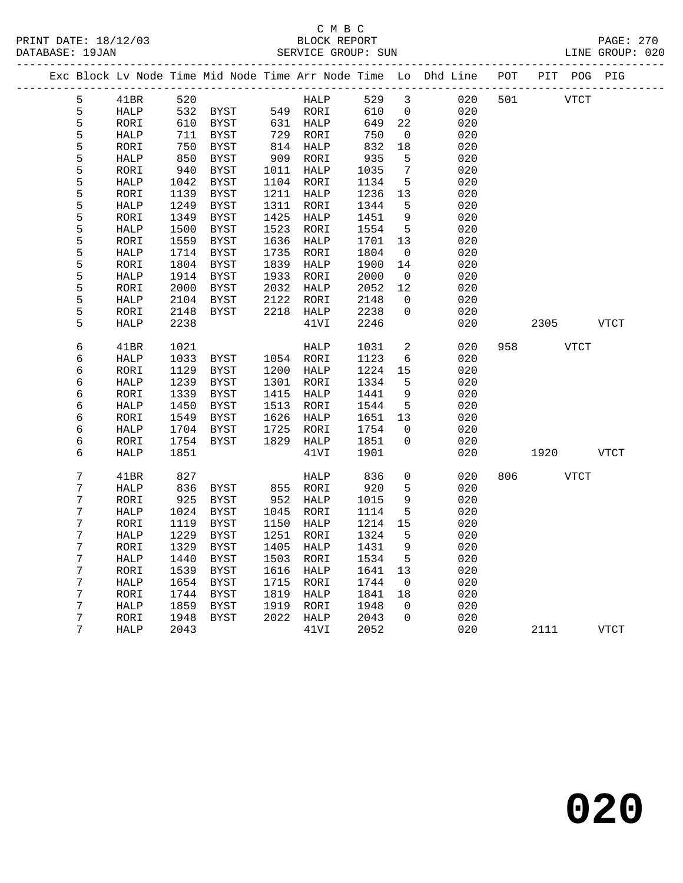#### C M B C<br>BLOCK REPORT PRINT DATE: 18/12/03 BLOCK REPORT PAGE: 270 SERVICE GROUP: SUN

|                |              |              |              |              |                   |              |                          | Exc Block Lv Node Time Mid Node Time Arr Node Time Lo Dhd Line | POT |      |             | PIT POG PIG |
|----------------|--------------|--------------|--------------|--------------|-------------------|--------------|--------------------------|----------------------------------------------------------------|-----|------|-------------|-------------|
| 5              | 41BR         | 520          |              |              | HALP              | 529          | 3                        | 020                                                            | 501 | VTCT |             |             |
| 5              | HALP         | 532          | BYST         |              | 549 RORI          | 610          | $\overline{0}$           | 020                                                            |     |      |             |             |
| 5              | RORI         | 610          | BYST         |              | 631 HALP          | 649          | $2\sqrt{2}$              | 020                                                            |     |      |             |             |
| 5              | HALP         | 711          | BYST         |              | 729 RORI          | 750          | $\overline{0}$           | 020                                                            |     |      |             |             |
| 5              | RORI         | 750          | BYST         |              | 814 HALP          | 832          | 18                       | 020                                                            |     |      |             |             |
| 5              | HALP         | 850          | BYST         | 909          | RORI              | 935          | $5\phantom{.0}$          | 020                                                            |     |      |             |             |
| 5              | RORI         | 940          | BYST         |              | 1011 HALP         | 1035         | 7                        | 020                                                            |     |      |             |             |
| 5              | HALP         | 1042         | BYST         |              | 1104 RORI         | 1134         | 5                        | 020                                                            |     |      |             |             |
| 5              | RORI         | 1139         | BYST         | 1211         | HALP              | 1236         | 13                       | 020                                                            |     |      |             |             |
| 5              | HALP         | 1249         | BYST         | 1311         | RORI              | 1344         | 5                        | 020                                                            |     |      |             |             |
| 5              | RORI         | 1349         | BYST         | 1425         | HALP              | 1451         | 9                        | 020                                                            |     |      |             |             |
| 5              | HALP         | 1500         | BYST         | 1523         | RORI              | 1554         | 5                        | 020                                                            |     |      |             |             |
| 5              | RORI         | 1559         | BYST         | 1636         | HALP              | 1701         | 13                       | 020                                                            |     |      |             |             |
| 5              | HALP         | 1714         | BYST         | 1735         | RORI              | 1804         | $\mathsf{O}$             | 020                                                            |     |      |             |             |
| 5              | RORI         | 1804         | <b>BYST</b>  | 1839         | HALP              | 1900         | 14                       | 020                                                            |     |      |             |             |
| 5              | HALP         | 1914         | BYST         | 1933         | RORI              | 2000         | $\overline{\phantom{0}}$ | 020                                                            |     |      |             |             |
| 5              | RORI         | 2000         | BYST         | 2032         | HALP              | 2052         | 12                       | 020                                                            |     |      |             |             |
| 5<br>5         | HALP         | 2104         | BYST         | 2122         | RORI              | 2148         | $\Omega$<br>$\Omega$     | 020                                                            |     |      |             |             |
| 5              | RORI         | 2148         | BYST         |              | 2218 HALP         | 2238         |                          | 020                                                            |     |      |             |             |
|                | HALP         | 2238         |              |              | 41VI              | 2246         |                          | 020                                                            |     | 2305 |             | VTCT        |
| 6              | 41BR         | 1021         |              |              | HALP              | 1031         | 2                        | 020                                                            | 958 |      | <b>VTCT</b> |             |
| 6              | HALP         | 1033         | BYST         |              | 1054 RORI         | 1123         | 6                        | 020                                                            |     |      |             |             |
| 6              | RORI         | 1129         | BYST         | 1200         | HALP              | 1224         | 15                       | 020                                                            |     |      |             |             |
| 6              | HALP         | 1239         | <b>BYST</b>  | 1301         | RORI              | 1334         | 5                        | 020                                                            |     |      |             |             |
| 6              | RORI         | 1339         | <b>BYST</b>  | 1415         | HALP              | 1441         | 9                        | 020                                                            |     |      |             |             |
| 6              | <b>HALP</b>  | 1450         | <b>BYST</b>  | 1513         | RORI              | 1544         | 5                        | 020                                                            |     |      |             |             |
| 6              | RORI         | 1549         | <b>BYST</b>  | 1626         | HALP              | 1651         | 13                       | 020                                                            |     |      |             |             |
| 6              | HALP         | 1704         | BYST         | 1725         | RORI              | 1754         | $\mathbf 0$              | 020                                                            |     |      |             |             |
| 6              | RORI         | 1754         | BYST         | 1829         | HALP              | 1851         | $\Omega$                 | 020                                                            |     |      |             |             |
| 6              | <b>HALP</b>  | 1851         |              |              | 41VI              | 1901         |                          | 020                                                            |     | 1920 |             | VTCT        |
|                |              |              |              |              |                   |              |                          |                                                                |     |      |             |             |
| $\overline{7}$ | 41BR         | 827          |              |              | HALP              | 836          | $\mathbf 0$              | 020                                                            | 806 |      | VTCT        |             |
| 7              | HALP         | 836          | BYST         |              | 855 RORI          | 920          | 5                        | 020                                                            |     |      |             |             |
| 7              | RORI         | 925          | <b>BYST</b>  | 952          | HALP              | 1015         | 9                        | 020                                                            |     |      |             |             |
| 7              | HALP         | 1024         | BYST         | 1045         | RORI              | 1114         | 5                        | 020                                                            |     |      |             |             |
| 7              | RORI         | 1119         | BYST         | 1150         | HALP              | 1214         | 15                       | 020                                                            |     |      |             |             |
| 7              | HALP         | 1229         | BYST         | 1251         | RORI              | 1324         | 5                        | 020                                                            |     |      |             |             |
| 7              | $\tt RORI$   | 1329         | BYST         | 1405         | HALP              | 1431         | 9                        | 020                                                            |     |      |             |             |
| 7              | HALP         | 1440         | BYST         | 1503         | RORI              | 1534         | $5\phantom{.0}$          | 020                                                            |     |      |             |             |
| 7              | RORI         | 1539         | BYST         | 1616         | HALP              | 1641         | 13                       | 020                                                            |     |      |             |             |
| 7              | HALP         | 1654         | BYST         | 1715         | RORI              | 1744         | $\overline{0}$           | 020                                                            |     |      |             |             |
| 7<br>7         | RORI         | 1744<br>1859 | <b>BYST</b>  | 1819<br>1919 | HALP              | 1841<br>1948 | 18<br>$\mathbf 0$        | 020<br>020                                                     |     |      |             |             |
| 7              | HALP<br>RORI | 1948         | BYST<br>BYST |              | RORI<br>2022 HALP | 2043         | $\Omega$                 | 020                                                            |     |      |             |             |
| 7              | <b>HALP</b>  | 2043         |              |              | 41VI              | 2052         |                          | 020                                                            |     | 2111 |             | <b>VTCT</b> |
|                |              |              |              |              |                   |              |                          |                                                                |     |      |             |             |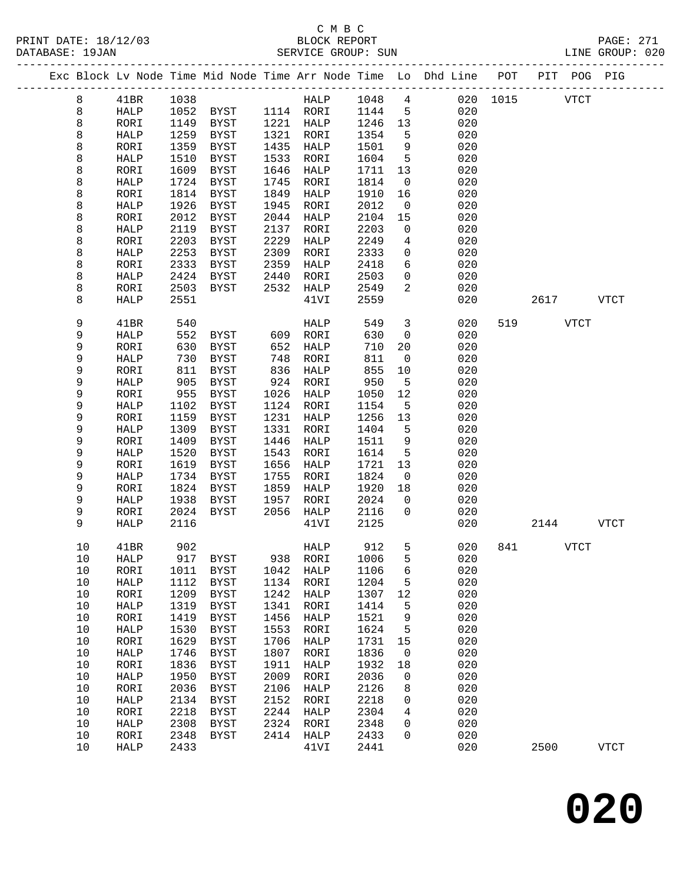|  |      |               |      | Exc Block Lv Node Time Mid Node Time Arr Node Time Lo Dhd Line POT PIT POG PIG |           |              |               |                          |     |          |             |              |
|--|------|---------------|------|--------------------------------------------------------------------------------|-----------|--------------|---------------|--------------------------|-----|----------|-------------|--------------|
|  | 8    | 41BR          | 1038 |                                                                                |           |              | HALP 1048     | $\overline{4}$           |     | 020 1015 | <b>VTCT</b> |              |
|  | 8    | HALP          | 1052 | BYST 1114 RORI                                                                 |           |              | 1144          | $5^{\circ}$              | 020 |          |             |              |
|  | 8    | RORI          | 1149 | BYST                                                                           | 1221 HALP |              | 1246          | 13                       | 020 |          |             |              |
|  | 8    | HALP          | 1259 | BYST                                                                           | 1321      | RORI         | 1354          | 5                        | 020 |          |             |              |
|  | 8    | RORI          | 1359 | BYST                                                                           | 1435      | HALP         | 1501          | 9                        | 020 |          |             |              |
|  | 8    | HALP          | 1510 | BYST                                                                           | 1533      | RORI         | 1604          | 5                        | 020 |          |             |              |
|  | 8    | RORI          | 1609 | BYST                                                                           | 1646      | HALP         | 1711          | 13                       | 020 |          |             |              |
|  | 8    | HALP          | 1724 | BYST                                                                           | 1745      | RORI         | 1814          | $\overline{0}$           | 020 |          |             |              |
|  | 8    | RORI          | 1814 | BYST                                                                           | 1849      | HALP         | 1910          | 16                       | 020 |          |             |              |
|  | 8    | HALP          | 1926 | BYST                                                                           | 1945      | RORI         | 2012          | $\overline{0}$           | 020 |          |             |              |
|  | 8    | RORI          | 2012 | BYST                                                                           | 2044      | HALP         | 2104          | 15                       | 020 |          |             |              |
|  | 8    | HALP          | 2119 | BYST                                                                           | 2137      | RORI         | 2203          | $\overline{0}$           | 020 |          |             |              |
|  | 8    | RORI          | 2203 | BYST                                                                           | 2229      | HALP         | 2249          | $\overline{4}$           | 020 |          |             |              |
|  | 8    | HALP          | 2253 | BYST                                                                           | 2309      | RORI         | 2333          | $\mathbf 0$              | 020 |          |             |              |
|  | 8    | RORI          | 2333 | BYST                                                                           | 2359      | HALP         | 2418          | 6                        | 020 |          |             |              |
|  | 8    | HALP          | 2424 | BYST                                                                           | 2440      | RORI         | 2503          | $\mathsf{O}$             | 020 |          |             |              |
|  | 8    | RORI          | 2503 | BYST                                                                           | 2532      | HALP         | 2549          | $\overline{2}$           | 020 |          |             |              |
|  | 8    | HALP          | 2551 |                                                                                |           | 41VI         | 2559          |                          | 020 |          | 2617        | VTCT         |
|  |      |               |      |                                                                                |           |              |               |                          |     |          |             |              |
|  | 9    | 41BR          | 540  |                                                                                |           | HALP         | 549           | $\mathbf{3}$             | 020 | 519      | <b>VTCT</b> |              |
|  | 9    | HALP          | 552  | BYST                                                                           | 609       | RORI         | 630           | $\overline{0}$           | 020 |          |             |              |
|  | 9    | RORI          | 630  | BYST                                                                           | 652       | HALP         | 710           | 20                       | 020 |          |             |              |
|  | 9    | HALP          | 730  | BYST                                                                           | 748       | RORI         | 811           | $\overline{0}$           | 020 |          |             |              |
|  | 9    | RORI          | 811  | BYST                                                                           | 836       | HALP         | 855           | 10                       | 020 |          |             |              |
|  | 9    | HALP          | 905  | BYST                                                                           | 924       | RORI         | 950           | $5^{\circ}$              | 020 |          |             |              |
|  | 9    | RORI          | 955  | BYST                                                                           | 1026      | HALP         | 1050          | 12                       | 020 |          |             |              |
|  | 9    | HALP          | 1102 | BYST                                                                           | 1124      | RORI         | 1154          | 5                        | 020 |          |             |              |
|  | 9    | RORI          | 1159 | BYST                                                                           | 1231      | HALP         | 1256          | 13                       | 020 |          |             |              |
|  | 9    | HALP          | 1309 | BYST                                                                           | 1331      | RORI         | 1404          | 5                        | 020 |          |             |              |
|  | 9    | RORI          | 1409 | BYST                                                                           | 1446      | HALP         | 1511          | 9                        | 020 |          |             |              |
|  | 9    | HALP          | 1520 | BYST                                                                           | 1543      | RORI         | 1614          | 5                        | 020 |          |             |              |
|  | 9    | RORI          | 1619 | BYST                                                                           | 1656      | HALP         | 1721          | 13                       | 020 |          |             |              |
|  | 9    | HALP          | 1734 | BYST                                                                           | 1755      | RORI         | 1824          | $\overline{\phantom{0}}$ | 020 |          |             |              |
|  | 9    | RORI          | 1824 | BYST                                                                           | 1859      | HALP         | 1920          | 18                       | 020 |          |             |              |
|  | 9    | HALP          | 1938 | BYST                                                                           | 1957      | RORI         | 2024          | $\overline{0}$           | 020 |          |             |              |
|  | 9    | RORI          | 2024 | BYST                                                                           | 2056      | HALP         | 2116          | $\overline{0}$           | 020 |          |             |              |
|  | 9    | HALP          | 2116 |                                                                                |           | 41VI         | 2125          |                          | 020 |          | 2144        | VTCT         |
|  | 10   | 41BR          | 902  |                                                                                |           | HALP         | 912           | 5                        | 020 | 841      | <b>VTCT</b> |              |
|  | 10   | HALP 917 BYST |      |                                                                                |           |              | 938 RORI 1006 | 5                        | 020 |          |             |              |
|  | 10   | RORI          | 1011 | BYST                                                                           | 1042      | HALP         | 1106          | 6                        | 020 |          |             |              |
|  | 10   | HALP          | 1112 | <b>BYST</b>                                                                    | 1134      | RORI         | 1204          | 5                        | 020 |          |             |              |
|  | 10   | RORI          | 1209 | BYST                                                                           | 1242      | <b>HALP</b>  | 1307          | 12                       | 020 |          |             |              |
|  | $10$ | HALP          | 1319 | <b>BYST</b>                                                                    | 1341      | RORI         | 1414          | 5                        | 020 |          |             |              |
|  | 10   | RORI          | 1419 | <b>BYST</b>                                                                    | 1456      | ${\tt HALP}$ | 1521          | 9                        | 020 |          |             |              |
|  | $10$ | HALP          | 1530 | <b>BYST</b>                                                                    | 1553      | RORI         | 1624          | 5                        | 020 |          |             |              |
|  | 10   | RORI          | 1629 | <b>BYST</b>                                                                    | 1706      | HALP         | 1731          | 15                       | 020 |          |             |              |
|  | $10$ | ${\tt HALP}$  | 1746 | <b>BYST</b>                                                                    | 1807      | RORI         | 1836          | $\overline{0}$           | 020 |          |             |              |
|  | 10   | RORI          | 1836 | BYST                                                                           | 1911      | HALP         | 1932          | 18                       | 020 |          |             |              |
|  | 10   | HALP          | 1950 | <b>BYST</b>                                                                    | 2009      | RORI         | 2036          | 0                        | 020 |          |             |              |
|  | 10   | RORI          | 2036 | BYST                                                                           | 2106      | HALP         | 2126          | 8                        | 020 |          |             |              |
|  | $10$ | HALP          | 2134 | BYST                                                                           | 2152      | RORI         | 2218          | $\mathbf 0$              | 020 |          |             |              |
|  | 10   | RORI          | 2218 | BYST                                                                           | 2244      | HALP         | 2304          | 4                        | 020 |          |             |              |
|  | 10   | HALP          | 2308 | BYST                                                                           | 2324      | RORI         | 2348          | 0                        | 020 |          |             |              |
|  | 10   | RORI          | 2348 | BYST                                                                           | 2414      | HALP         | 2433          | $\mathbf 0$              | 020 |          |             |              |
|  | 10   | HALP          | 2433 |                                                                                |           | 41VI         | 2441          |                          | 020 |          | 2500        | ${\tt VTCT}$ |
|  |      |               |      |                                                                                |           |              |               |                          |     |          |             |              |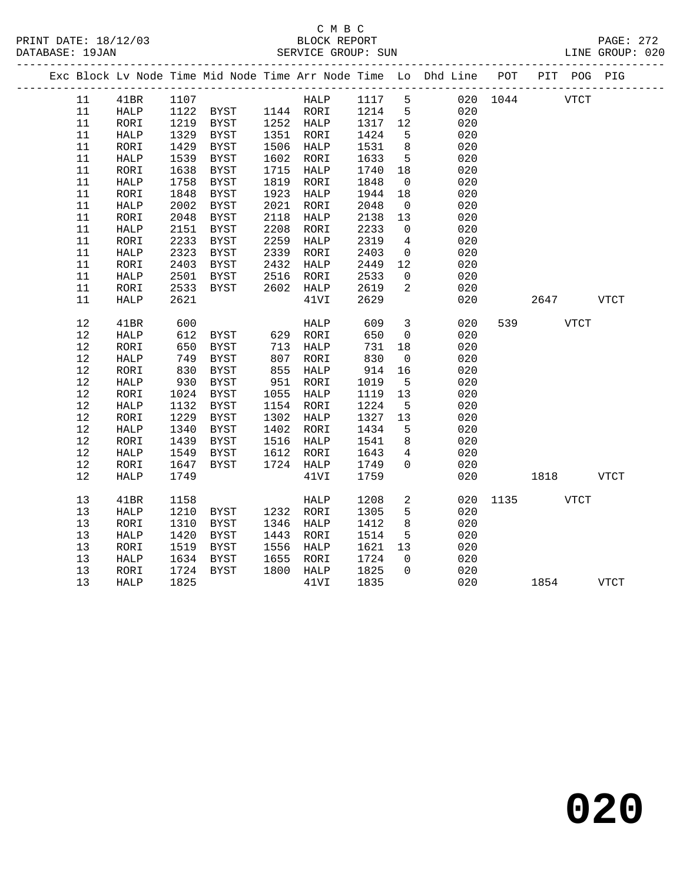### C M B C<br>BLOCK REPORT SERVICE GROUP: SUN

|        |              |            |                                                                                                                                          |      |             |         |                         | Exc Block Lv Node Time Mid Node Time Arr Node Time Lo Dhd Line POT PIT POG PIG |           |          |             |             |
|--------|--------------|------------|------------------------------------------------------------------------------------------------------------------------------------------|------|-------------|---------|-------------------------|--------------------------------------------------------------------------------|-----------|----------|-------------|-------------|
| 11     | 41BR         |            | $\begin{tabular}{c c c} 1107 & \quad \quad \text{HALP} \\ 1122 & \quad \text{BYST} & \quad \quad 1144 & \quad \text{RORI} \end{tabular}$ |      |             |         |                         | HALP 1117 5 020 1044                                                           |           |          | <b>VTCT</b> |             |
| 11     | HALP         |            |                                                                                                                                          |      |             |         |                         |                                                                                |           |          |             |             |
| 11     | RORI         |            | 1219 BYST 1252 HALP                                                                                                                      |      |             | 1317 12 |                         | 020                                                                            |           |          |             |             |
| 11     | ${\tt HALP}$ | 1329       | BYST                                                                                                                                     |      | 1351 RORI   | 1424    | $5^{\circ}$             | 020                                                                            |           |          |             |             |
| 11     | RORI         | 1429       | BYST                                                                                                                                     |      | 1506 HALP   | 1531    | 8 <sup>8</sup>          | 020                                                                            |           |          |             |             |
| 11     | ${\tt HALP}$ | 1539       | <b>BYST</b>                                                                                                                              |      | 1602 RORI   | 1633    | $5^{\circ}$             | 020                                                                            |           |          |             |             |
| 11     | RORI         | 1638       | BYST                                                                                                                                     | 1715 | HALP        | 1740    | 18                      | 020                                                                            |           |          |             |             |
| $11\,$ | HALP         | 1758       | BYST                                                                                                                                     |      | 1819 RORI   | 1848    | $\overline{\mathbf{0}}$ | 020                                                                            |           |          |             |             |
| 11     | RORI         | 1848       | <b>BYST</b>                                                                                                                              | 1923 | HALP        | 1944    | 18                      | 020                                                                            |           |          |             |             |
| 11     | HALP         | 2002       | BYST                                                                                                                                     | 2021 | RORI        | 2048    | $\overline{0}$          | 020                                                                            |           |          |             |             |
| $11\,$ | RORI         | 2048       | BYST                                                                                                                                     | 2118 | HALP        | 2138    | 13                      | 020                                                                            |           |          |             |             |
| 11     | ${\tt HALP}$ | 2151       | BYST                                                                                                                                     | 2208 | RORI        | 2233    | $\overline{0}$          | 020                                                                            |           |          |             |             |
| 11     | RORI         | 2233       | BYST                                                                                                                                     | 2259 | HALP        | 2319    | $\overline{4}$          | 020                                                                            |           |          |             |             |
| 11     | ${\tt HALP}$ | 2323       | BYST                                                                                                                                     | 2339 | RORI        | 2403    | $\overline{0}$          | 020                                                                            |           |          |             |             |
| 11     | RORI         | 2403       | BYST                                                                                                                                     | 2432 | HALP        | 2449    | 12                      | 020                                                                            |           |          |             |             |
| 11     | HALP         | 2501       | BYST                                                                                                                                     | 2516 | RORI        | 2533    | $\overline{0}$          | 020                                                                            |           |          |             |             |
| 11     | RORI         | 2533       | BYST                                                                                                                                     |      | 2602 HALP   | 2619    | 2                       | 020                                                                            |           |          |             |             |
| 11     | HALP         | 2621       |                                                                                                                                          |      | 41VI        | 2629    |                         | 020                                                                            |           | 2647     |             | <b>VTCT</b> |
|        |              |            |                                                                                                                                          |      |             |         |                         |                                                                                |           |          |             |             |
| 12     | 41BR         | 600        |                                                                                                                                          |      | <b>HALP</b> | 609     | $\overline{\mathbf{3}}$ | 020                                                                            |           | 539 VTCT |             |             |
| 12     | HALP         | 612<br>650 | BYST 629 RORI                                                                                                                            |      |             | 650     | $\overline{0}$          | 020                                                                            |           |          |             |             |
| $12$   | RORI         |            | BYST                                                                                                                                     |      | 713 HALP    | 731     | 18                      | 020                                                                            |           |          |             |             |
| 12     | <b>HALP</b>  | 749        | BYST                                                                                                                                     |      | 807 RORI    | 830     | $\overline{0}$          | 020                                                                            |           |          |             |             |
| 12     | RORI         | 830        | BYST                                                                                                                                     | 855  | HALP        | 914     | 16                      | 020                                                                            |           |          |             |             |
| 12     | ${\tt HALP}$ | 930        | BYST                                                                                                                                     |      | 951 RORI    | 1019    | $5^{\circ}$             | 020                                                                            |           |          |             |             |
| 12     | RORI         | 1024       | BYST                                                                                                                                     |      | 1055 HALP   | 1119    | 13                      | 020                                                                            |           |          |             |             |
| 12     | HALP         | 1132       | <b>BYST</b>                                                                                                                              |      | 1154 RORI   | 1224    | $5^{\circ}$             | 020                                                                            |           |          |             |             |
| 12     | RORI         | 1229       | BYST                                                                                                                                     |      | 1302 HALP   | 1327    | 13                      | 020                                                                            |           |          |             |             |
| $12$   | HALP         | 1340       | BYST                                                                                                                                     |      | 1402 RORI   | 1434    | 5                       | 020                                                                            |           |          |             |             |
| $12$   | RORI         | 1439       | BYST                                                                                                                                     | 1516 | HALP        | 1541    | 8                       | 020                                                                            |           |          |             |             |
| 12     | HALP         | 1549       | BYST                                                                                                                                     | 1612 | RORI        | 1643    | $\overline{4}$          | 020                                                                            |           |          |             |             |
| $12$   | RORI         | 1647       | BYST                                                                                                                                     |      | 1724 HALP   | 1749    | $\overline{0}$          | 020                                                                            |           |          |             |             |
| 12     | HALP         | 1749       |                                                                                                                                          |      | 41VI        | 1759    |                         | 020                                                                            |           | 1818     |             | VTCT        |
|        |              |            |                                                                                                                                          |      |             |         |                         |                                                                                |           |          |             |             |
| 13     | 41BR         | 1158       |                                                                                                                                          |      | HALP        | 1208    | 2                       | 020                                                                            | 1135 VTCT |          |             |             |
| 13     | <b>HALP</b>  | 1210       | BYST                                                                                                                                     |      | 1232 RORI   | 1305    | 5                       | 020                                                                            |           |          |             |             |
| 13     | RORI         | 1310       | BYST                                                                                                                                     |      | 1346 HALP   | 1412    | 8                       | 020                                                                            |           |          |             |             |
| 13     | HALP         | 1420       | <b>BYST</b>                                                                                                                              | 1443 | RORI        | 1514    | 5                       | 020                                                                            |           |          |             |             |
| 13     | RORI         | 1519       | <b>BYST</b>                                                                                                                              | 1556 | HALP        | 1621    | 13                      | 020                                                                            |           |          |             |             |
| 13     | HALP         | 1634       | BYST                                                                                                                                     | 1655 | RORI        | 1724    | $\overline{0}$          | 020                                                                            |           |          |             |             |
| 13     | RORI         | 1724       | BYST                                                                                                                                     |      | 1800 HALP   | 1825    | $\Omega$                | 020                                                                            |           |          |             |             |
| 13     | <b>HALP</b>  | 1825       |                                                                                                                                          |      | 41VI        | 1835    |                         | 020                                                                            |           | 1854     |             | <b>VTCT</b> |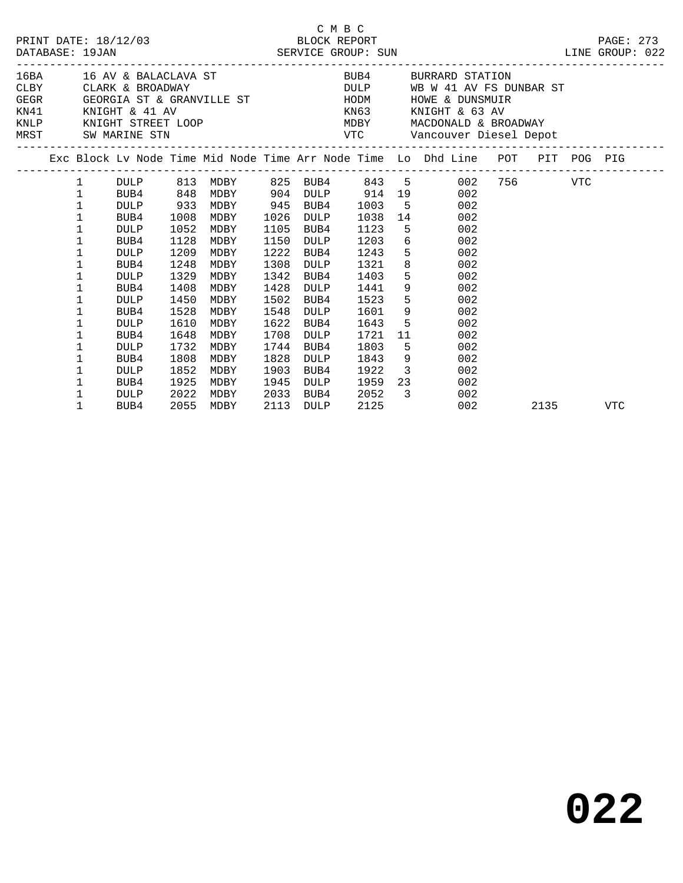|  |                                                           |                                                                                                                         |                                                                                      |                                                                                      |                                                                                      | C M B C                                                                                                          |                                                                                      | PRINT DATE: 18/12/03<br>BLOCK REPORT BLOCK PRESS BLOCK PRESS (PACKER PORT DATABASE: 19JAN SERVICE GROUP: SUN LINE GROUP: 022                                                                                                                                                                                        |     |      |     |
|--|-----------------------------------------------------------|-------------------------------------------------------------------------------------------------------------------------|--------------------------------------------------------------------------------------|--------------------------------------------------------------------------------------|--------------------------------------------------------------------------------------|------------------------------------------------------------------------------------------------------------------|--------------------------------------------------------------------------------------|---------------------------------------------------------------------------------------------------------------------------------------------------------------------------------------------------------------------------------------------------------------------------------------------------------------------|-----|------|-----|
|  |                                                           | MRST SW MARINE STN                                                                                                      |                                                                                      |                                                                                      |                                                                                      |                                                                                                                  |                                                                                      | $\begin{array}{lllllllll} \texttt{KN41} & \texttt{KN1GHT} & \& \texttt{41 AV} & \texttt{KN63} & \texttt{KN1GHT} & \& \texttt{63 AV} \\ \texttt{KNLP} & \texttt{KN1GHT} & \texttt{STREF LOOP} & \texttt{MNR1} & \texttt{MDBY} & \texttt{MACDOMALD} & \& \texttt{BROADWAY} \end{array}$<br>VTC Vancouver Diesel Depot |     |      |     |
|  |                                                           |                                                                                                                         |                                                                                      |                                                                                      |                                                                                      |                                                                                                                  |                                                                                      | Exc Block Lv Node Time Mid Node Time Arr Node Time Lo Dhd Line POT PIT POG PIG<br>--------------------------------                                                                                                                                                                                                  |     |      |     |
|  | $\mathbf{1}$<br>$\mathbf 1$<br>1<br>1<br>1<br>1<br>1<br>1 | BUB4<br><b>DULP</b><br>BUB4<br><b>DULP</b><br>BUB4<br><b>DULP</b><br>BUB4                                               | 848<br>933<br>1008<br>1052<br>1128<br>1209<br>1248                                   | MDBY<br>MDBY<br>MDBY<br>MDBY<br>MDBY<br>MDBY                                         | 1026<br>1105<br>1150<br>1222<br>1308                                                 | 945 BUB4<br>DULP<br>BUB4<br>DULP<br>BUB4<br><b>DULP</b>                                                          | 1003<br>1038<br>1123<br>1203<br>1243<br>1321                                         | DULP 813 MDBY 825 BUB4 843 5 002 756 VTC<br>MDBY 904 DULP 914 19 002<br>$5^{\circ}$<br>002<br>14<br>002<br>5 <sub>1</sub><br>002<br>6 002<br>$5^{\circ}$<br>002<br>002                                                                                                                                              |     |      |     |
|  | 1<br>1<br>1<br>1<br>1<br>1<br>1<br>1<br>1<br>1<br>1       | <b>DULP</b><br>BUB4<br><b>DULP</b><br>BUB4<br><b>DULP</b><br>BUB4<br><b>DULP</b><br>BUB4<br><b>DULP</b><br>BUB4<br>DULP | 1329<br>1408<br>1450<br>1528<br>1610<br>1648<br>1732<br>1808<br>1852<br>1925<br>2022 | MDBY<br>MDBY<br>MDBY<br>MDBY<br>MDBY<br>MDBY<br>MDBY<br>MDBY<br>MDBY<br>MDBY<br>MDBY | 1342<br>1428<br>1502<br>1548<br>1622<br>1708<br>1744<br>1828<br>1903<br>1945<br>2033 | BUB4<br><b>DULP</b><br>BUB4<br>DULP<br>BUB4<br><b>DULP</b><br>BUB4<br><b>DULP</b><br>BUB4<br><b>DULP</b><br>BUB4 | 1403<br>1441<br>1523<br>1601<br>1643<br>1721<br>1803<br>1843<br>1922<br>1959<br>2052 | $5^{\circ}$<br>002<br>9<br>002<br>5 <sub>5</sub><br>002<br>$9 \left( \frac{1}{2} \right)$<br>002<br>5 <sub>1</sub><br>002<br>002<br>11<br>$5^{\circ}$<br>002<br>9<br>002<br>$\overline{\mathbf{3}}$<br>002<br>23 and $\sim$<br>002<br>$\overline{\mathbf{3}}$<br>002                                                |     |      |     |
|  | 1                                                         | BUB4                                                                                                                    | 2055                                                                                 | MDBY                                                                                 | 2113                                                                                 | DULP                                                                                                             | 2125                                                                                 |                                                                                                                                                                                                                                                                                                                     | 002 | 2135 | VTC |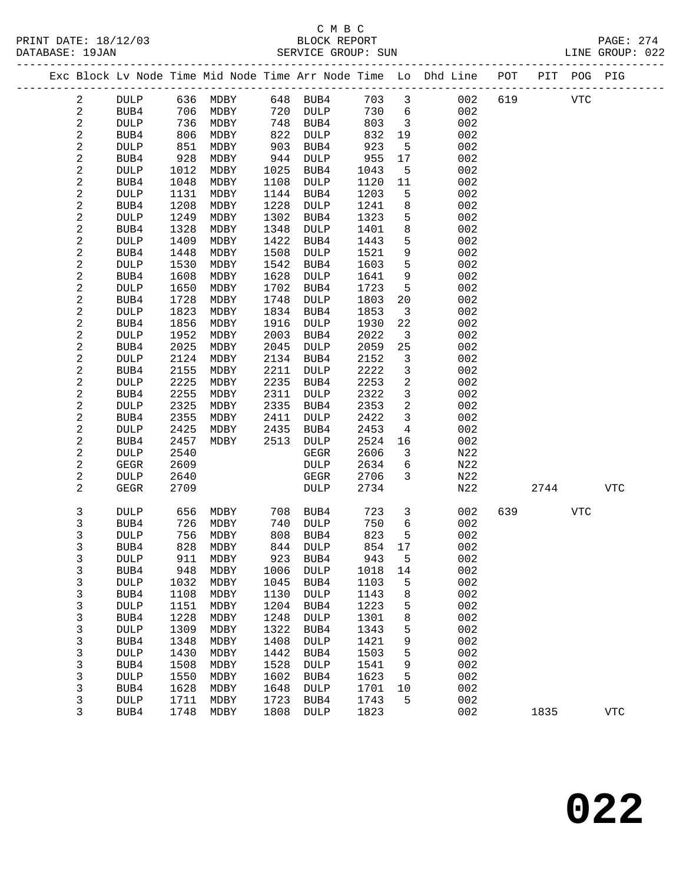### C M B C<br>BLOCK REPORT SERVICE GROUP: SUN

|  |                          |                     |              | _____________ |              |                     |              |                 | Exc Block Lv Node Time Mid Node Time Arr Node Time Lo Dhd Line POT<br>--------------------------- |     |      | PIT POG PIG |            |
|--|--------------------------|---------------------|--------------|---------------|--------------|---------------------|--------------|-----------------|---------------------------------------------------------------------------------------------------|-----|------|-------------|------------|
|  | 2                        | <b>DULP</b>         | 636          | MDBY          | 648          | BUB4                | 703          | $\mathbf{3}$    | 002                                                                                               | 619 |      | <b>VTC</b>  |            |
|  | $\mathbf{2}$             | BUB4                | 706          | MDBY          | 720          | <b>DULP</b>         | 730          | $6\overline{6}$ | 002                                                                                               |     |      |             |            |
|  | $\overline{c}$           | <b>DULP</b>         | 736          | MDBY          | 748          | BUB4                | 803          | $\overline{3}$  | 002                                                                                               |     |      |             |            |
|  | $\sqrt{2}$               | BUB4                | 806          | MDBY          | 822          | DULP                | 832          | 19              | 002                                                                                               |     |      |             |            |
|  | $\sqrt{2}$               | <b>DULP</b>         | 851          | MDBY          | 903          | BUB4                | 923          | 5               | 002                                                                                               |     |      |             |            |
|  | 2                        | BUB4                | 928          | MDBY          | 944          | <b>DULP</b>         | 955          | 17              | 002                                                                                               |     |      |             |            |
|  | $\sqrt{2}$               | DULP                | 1012         | MDBY          | 1025         | BUB4                | 1043         | 5               | 002                                                                                               |     |      |             |            |
|  | $\sqrt{2}$               | BUB4                | 1048         | MDBY          | 1108         | DULP                | 1120         | 11              | 002                                                                                               |     |      |             |            |
|  | $\sqrt{2}$               | <b>DULP</b>         | 1131         | MDBY          | 1144         | BUB4                | 1203         | 5               | 002                                                                                               |     |      |             |            |
|  | $\sqrt{2}$               | BUB4                | 1208         | MDBY          | 1228         | <b>DULP</b>         | 1241         | 8               | 002                                                                                               |     |      |             |            |
|  | $\sqrt{2}$               | <b>DULP</b>         | 1249         | MDBY          | 1302         | BUB4                | 1323         | 5               | 002                                                                                               |     |      |             |            |
|  | $\sqrt{2}$               | BUB4                | 1328         | MDBY          | 1348         | <b>DULP</b>         | 1401         | 8               | 002                                                                                               |     |      |             |            |
|  | $\sqrt{2}$               | <b>DULP</b>         | 1409         | MDBY          | 1422         | BUB4                | 1443         | 5               | 002                                                                                               |     |      |             |            |
|  | $\sqrt{2}$               | BUB4                | 1448         | MDBY          | 1508         | <b>DULP</b>         | 1521         | 9               | 002                                                                                               |     |      |             |            |
|  | $\sqrt{2}$               | <b>DULP</b>         | 1530         | MDBY          | 1542         | BUB4                | 1603         | 5               | 002                                                                                               |     |      |             |            |
|  | $\sqrt{2}$               | BUB4                | 1608         | MDBY          | 1628         | <b>DULP</b>         | 1641         | $\mathsf 9$     | 002                                                                                               |     |      |             |            |
|  | $\sqrt{2}$               | <b>DULP</b>         | 1650         | MDBY          | 1702         | BUB4                | 1723         | 5               | 002                                                                                               |     |      |             |            |
|  | $\sqrt{2}$               | BUB4                | 1728         | MDBY          | 1748         | <b>DULP</b>         | 1803         | 20              | 002                                                                                               |     |      |             |            |
|  | $\sqrt{2}$               | <b>DULP</b>         | 1823         | MDBY          | 1834         | BUB4                | 1853         | 3               | 002                                                                                               |     |      |             |            |
|  | $\sqrt{2}$               | BUB4                | 1856         | MDBY          | 1916         | <b>DULP</b>         | 1930         | 22              | 002                                                                                               |     |      |             |            |
|  | $\sqrt{2}$               | <b>DULP</b>         | 1952         | MDBY          | 2003         | BUB4                | 2022         | $\overline{3}$  | 002                                                                                               |     |      |             |            |
|  | $\sqrt{2}$               | BUB4                | 2025         | MDBY          | 2045         | <b>DULP</b>         | 2059         | 25              | 002                                                                                               |     |      |             |            |
|  | $\sqrt{2}$               | <b>DULP</b>         | 2124         | MDBY          | 2134         | BUB4                | 2152         | 3               | 002                                                                                               |     |      |             |            |
|  | $\sqrt{2}$               | BUB4                | 2155         | MDBY          | 2211         | <b>DULP</b>         | 2222         | $\mathbf{3}$    | 002                                                                                               |     |      |             |            |
|  | $\sqrt{2}$               | <b>DULP</b>         | 2225         | MDBY          | 2235         | BUB4                | 2253         | $\overline{c}$  | 002                                                                                               |     |      |             |            |
|  | $\sqrt{2}$               | BUB4                | 2255         | MDBY          | 2311         | DULP                | 2322         | 3               | 002                                                                                               |     |      |             |            |
|  | $\mathbf{2}$             | <b>DULP</b>         | 2325         | MDBY          | 2335         | BUB4                | 2353         | 2               | 002                                                                                               |     |      |             |            |
|  | $\sqrt{2}$               | BUB4                | 2355         | MDBY          | 2411         | <b>DULP</b>         | 2422         | $\mathbf{3}$    | 002                                                                                               |     |      |             |            |
|  | $\sqrt{2}$<br>$\sqrt{2}$ | <b>DULP</b>         | 2425         | MDBY<br>MDBY  | 2435         | BUB4                | 2453         | 4               | 002<br>002                                                                                        |     |      |             |            |
|  | $\sqrt{2}$               | BUB4<br><b>DULP</b> | 2457<br>2540 |               | 2513         | <b>DULP</b><br>GEGR | 2524<br>2606 | 16<br>3         | N22                                                                                               |     |      |             |            |
|  | $\sqrt{2}$               | <b>GEGR</b>         | 2609         |               |              | DULP                | 2634         | 6               | N22                                                                                               |     |      |             |            |
|  | $\sqrt{2}$               | <b>DULP</b>         | 2640         |               |              | GEGR                | 2706         | 3               | N22                                                                                               |     |      |             |            |
|  | 2                        | <b>GEGR</b>         | 2709         |               |              | <b>DULP</b>         | 2734         |                 | N22                                                                                               |     | 2744 |             | <b>VTC</b> |
|  |                          |                     |              |               |              |                     |              |                 |                                                                                                   |     |      |             |            |
|  | 3                        | <b>DULP</b>         | 656          | MDBY          | 708          | BUB4                | 723          | $\mathbf{3}$    | 002                                                                                               | 639 |      | <b>VTC</b>  |            |
|  | 3                        | BUB4                | 726          | MDBY          | 740          | <b>DULP</b>         | 750          | 6               | 002                                                                                               |     |      |             |            |
|  | 3                        | DULP                | 756          | MDBY          | 808          | BUB4                | 823          | 5               | 002                                                                                               |     |      |             |            |
|  | 3                        | BUB4                | 828          | MDBY          | 844          | <b>DULP</b>         | 854          | 17              | 002                                                                                               |     |      |             |            |
|  | 3                        | DULP                | 911          | MDBY          | 923          | BUB4                | 943          | 5               | 002                                                                                               |     |      |             |            |
|  | 3                        | BUB4                | 948          | MDBY          | 1006         | DULP                | 1018         | 14              | 002                                                                                               |     |      |             |            |
|  | 3                        | <b>DULP</b>         | 1032         | MDBY          | 1045         | BUB4                | 1103         | 5               | 002                                                                                               |     |      |             |            |
|  | 3                        | BUB4                | 1108         | MDBY          | 1130         | <b>DULP</b>         | 1143         | 8               | 002                                                                                               |     |      |             |            |
|  | 3                        | <b>DULP</b>         | 1151         | MDBY          | 1204         | BUB4                | 1223         | 5               | 002                                                                                               |     |      |             |            |
|  | 3                        | BUB4                | 1228         | MDBY          | 1248         | <b>DULP</b>         | 1301         | 8               | 002                                                                                               |     |      |             |            |
|  | 3                        | <b>DULP</b>         | 1309         | MDBY          | 1322         | BUB4                | 1343         | 5               | 002                                                                                               |     |      |             |            |
|  | 3                        | BUB4                | 1348         | MDBY          | 1408         | <b>DULP</b>         | 1421         | 9               | 002                                                                                               |     |      |             |            |
|  | 3                        | <b>DULP</b>         | 1430         | MDBY          | 1442<br>1528 | BUB4                | 1503         | 5               | 002<br>002                                                                                        |     |      |             |            |
|  | 3<br>3                   | BUB4                | 1508<br>1550 | MDBY          | 1602         | <b>DULP</b>         | 1541<br>1623 | 9<br>5          | 002                                                                                               |     |      |             |            |
|  |                          | <b>DULP</b>         |              | MDBY          |              | BUB4                |              |                 |                                                                                                   |     |      |             |            |

 3 BUB4 1628 MDBY 1648 DULP 1701 10 002 3 DULP 1711 MDBY 1723 BUB4 1743 5 002

3 BUB4 1748 MDBY 1808 DULP 1823 002 1835 VTC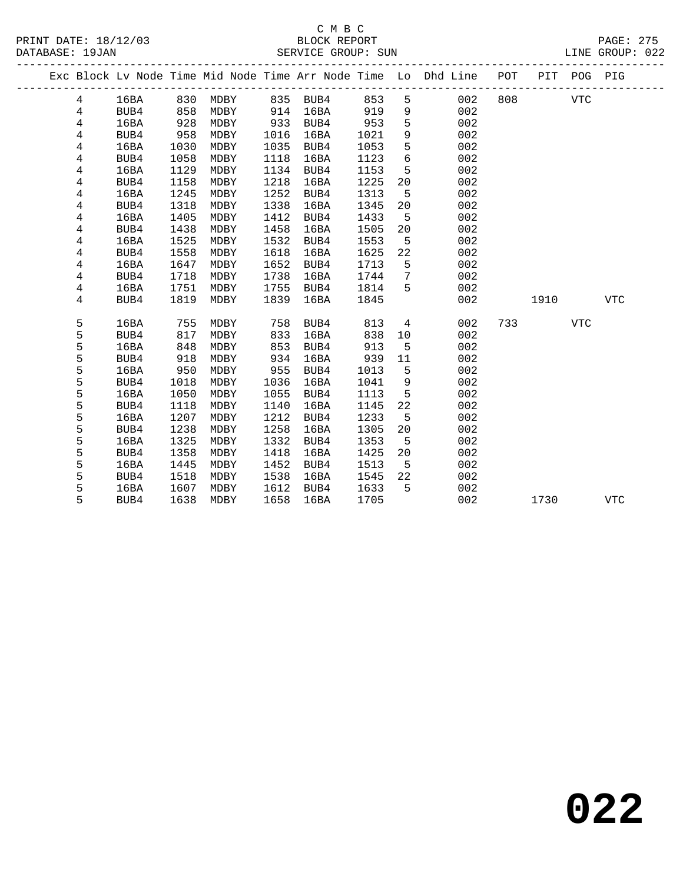|                |      |      |          |      |          |      |             | Exc Block Lv Node Time Mid Node Time Arr Node Time Lo Dhd Line POT |     |      | PIT POG PIG |            |
|----------------|------|------|----------|------|----------|------|-------------|--------------------------------------------------------------------|-----|------|-------------|------------|
| $\overline{4}$ | 16BA |      | 830 MDBY |      | 835 BUB4 | 853  | 5           | 002                                                                | 808 |      | <b>VTC</b>  |            |
| $\overline{4}$ | BUB4 | 858  | MDBY     | 914  | 16BA     | 919  | 9           | 002                                                                |     |      |             |            |
| 4              | 16BA | 928  | MDBY     | 933  | BUB4     | 953  | $\mathsf S$ | 002                                                                |     |      |             |            |
| 4              | BUB4 | 958  | MDBY     | 1016 | 16BA     | 1021 | $\mathsf 9$ | 002                                                                |     |      |             |            |
| 4              | 16BA | 1030 | MDBY     | 1035 | BUB4     | 1053 | 5           | 002                                                                |     |      |             |            |
| 4              | BUB4 | 1058 | MDBY     | 1118 | 16BA     | 1123 | 6           | 002                                                                |     |      |             |            |
| 4              | 16BA | 1129 | MDBY     | 1134 | BUB4     | 1153 | 5           | 002                                                                |     |      |             |            |
| 4              | BUB4 | 1158 | MDBY     | 1218 | 16BA     | 1225 | 20          | 002                                                                |     |      |             |            |
| 4              | 16BA | 1245 | MDBY     | 1252 | BUB4     | 1313 | 5           | 002                                                                |     |      |             |            |
| 4              | BUB4 | 1318 | MDBY     | 1338 | 16BA     | 1345 | 20          | 002                                                                |     |      |             |            |
| 4              | 16BA | 1405 | MDBY     | 1412 | BUB4     | 1433 | 5           | 002                                                                |     |      |             |            |
| 4              | BUB4 | 1438 | MDBY     | 1458 | 16BA     | 1505 | 20          | 002                                                                |     |      |             |            |
| 4              | 16BA | 1525 | MDBY     | 1532 | BUB4     | 1553 | 5           | 002                                                                |     |      |             |            |
| 4              | BUB4 | 1558 | MDBY     | 1618 | 16BA     | 1625 | 22          | 002                                                                |     |      |             |            |
| 4              | 16BA | 1647 | MDBY     | 1652 | BUB4     | 1713 | 5           | 002                                                                |     |      |             |            |
| 4              | BUB4 | 1718 | MDBY     | 1738 | 16BA     | 1744 | 7           | 002                                                                |     |      |             |            |
| $\overline{4}$ | 16BA | 1751 | MDBY     | 1755 | BUB4     | 1814 | 5           | 002                                                                |     |      |             |            |
| 4              | BUB4 | 1819 | MDBY     | 1839 | 16BA     | 1845 |             | 002                                                                |     | 1910 |             | <b>VTC</b> |
|                |      |      |          |      |          |      |             |                                                                    |     |      |             |            |
| 5              | 16BA | 755  | MDBY     | 758  | BUB4     | 813  | 4           | 002                                                                | 733 |      | <b>VTC</b>  |            |
| 5              | BUB4 | 817  | MDBY     | 833  | 16BA     | 838  | 10          | 002                                                                |     |      |             |            |
| 5              | 16BA | 848  | MDBY     | 853  | BUB4     | 913  | 5           | 002                                                                |     |      |             |            |
| 5              | BUB4 | 918  | MDBY     | 934  | 16BA     | 939  | 11          | 002                                                                |     |      |             |            |
| 5              | 16BA | 950  | MDBY     | 955  | BUB4     | 1013 | 5           | 002                                                                |     |      |             |            |
| 5              | BUB4 | 1018 | MDBY     | 1036 | 16BA     | 1041 | 9           | 002                                                                |     |      |             |            |
| 5              | 16BA | 1050 | MDBY     | 1055 | BUB4     | 1113 | 5           | 002                                                                |     |      |             |            |
| 5              | BUB4 | 1118 | MDBY     | 1140 | 16BA     | 1145 | 22          | 002                                                                |     |      |             |            |
| 5              | 16BA | 1207 | MDBY     | 1212 | BUB4     | 1233 | 5           | 002                                                                |     |      |             |            |
| 5              | BUB4 | 1238 | MDBY     | 1258 | 16BA     | 1305 | 20          | 002                                                                |     |      |             |            |
| 5              | 16BA | 1325 | MDBY     | 1332 | BUB4     | 1353 | 5           | 002                                                                |     |      |             |            |
| 5              | BUB4 | 1358 | MDBY     | 1418 | 16BA     | 1425 | 20          | 002                                                                |     |      |             |            |
| 5              | 16BA | 1445 | MDBY     | 1452 | BUB4     | 1513 | 5           | 002                                                                |     |      |             |            |
| 5              | BUB4 | 1518 | MDBY     | 1538 | 16BA     | 1545 | 22          | 002                                                                |     |      |             |            |
| 5              | 16BA | 1607 | MDBY     | 1612 | BUB4     | 1633 | 5           | 002                                                                |     |      |             |            |
| 5              | BUB4 | 1638 | MDBY     | 1658 | 16BA     | 1705 |             | 002                                                                |     | 1730 |             | <b>VTC</b> |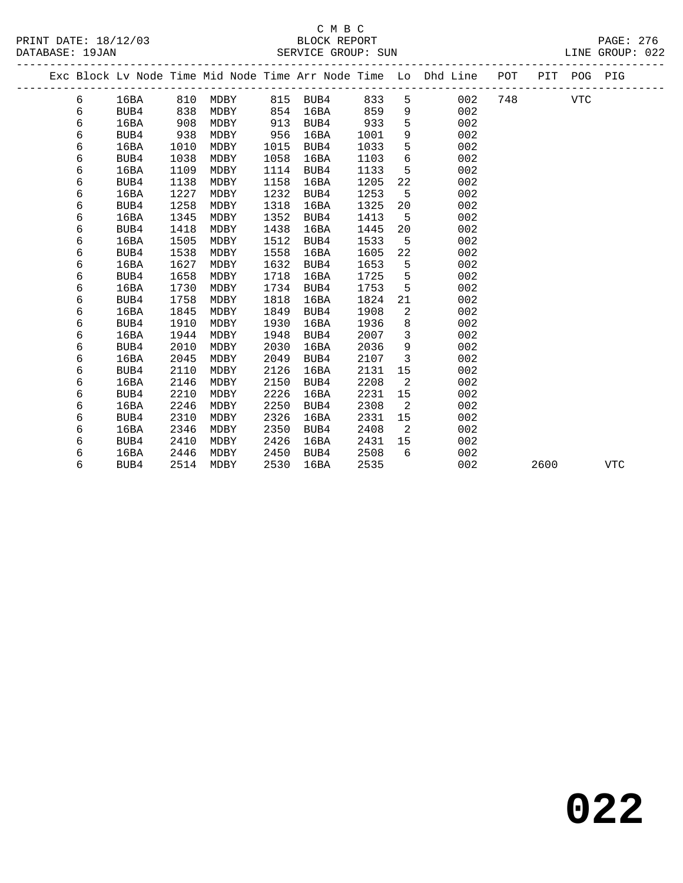|  |   |      |      |                       |      |          |      |                            | Exc Block Lv Node Time Mid Node Time Arr Node Time Lo Dhd Line POT PIT POG PIG |     |      |            |            |  |
|--|---|------|------|-----------------------|------|----------|------|----------------------------|--------------------------------------------------------------------------------|-----|------|------------|------------|--|
|  | 6 | 16BA |      | 810 MDBY 815 BUB4 833 |      |          |      |                            | 002<br>$5^{\circ}$                                                             | 748 |      | <b>VTC</b> |            |  |
|  | 6 | BUB4 | 838  | MDBY                  |      | 854 16BA | 859  | 9                          | 002                                                                            |     |      |            |            |  |
|  | 6 | 16BA | 908  | MDBY                  |      | 913 BUB4 | 933  | 5                          | 002                                                                            |     |      |            |            |  |
|  | 6 | BUB4 | 938  | MDBY                  | 956  | 16BA     | 1001 | 9                          | 002                                                                            |     |      |            |            |  |
|  | 6 | 16BA | 1010 | MDBY                  | 1015 | BUB4     | 1033 | 5                          | 002                                                                            |     |      |            |            |  |
|  | 6 | BUB4 | 1038 | MDBY                  | 1058 | 16BA     | 1103 | 6                          | 002                                                                            |     |      |            |            |  |
|  | 6 | 16BA | 1109 | MDBY                  | 1114 | BUB4     | 1133 | $5^{\circ}$                | 002                                                                            |     |      |            |            |  |
|  | 6 | BUB4 | 1138 | MDBY                  | 1158 | 16BA     | 1205 | 22                         | 002                                                                            |     |      |            |            |  |
|  | 6 | 16BA | 1227 | MDBY                  | 1232 | BUB4     | 1253 | $5^{\circ}$                | 002                                                                            |     |      |            |            |  |
|  | 6 | BUB4 | 1258 | MDBY                  | 1318 | 16BA     | 1325 | 20                         | 002                                                                            |     |      |            |            |  |
|  | 6 | 16BA | 1345 | MDBY                  | 1352 | BUB4     | 1413 | 5                          | 002                                                                            |     |      |            |            |  |
|  | 6 | BUB4 | 1418 | MDBY                  | 1438 | 16BA     | 1445 | 20                         | 002                                                                            |     |      |            |            |  |
|  | 6 | 16BA | 1505 | MDBY                  | 1512 | BUB4     | 1533 | 5                          | 002                                                                            |     |      |            |            |  |
|  | 6 | BUB4 | 1538 | MDBY                  | 1558 | 16BA     | 1605 | 22                         | 002                                                                            |     |      |            |            |  |
|  | 6 | 16BA | 1627 | MDBY                  | 1632 | BUB4     | 1653 | $5^{\circ}$                | 002                                                                            |     |      |            |            |  |
|  | 6 | BUB4 | 1658 | MDBY                  | 1718 | 16BA     | 1725 | $5^{\circ}$                | 002                                                                            |     |      |            |            |  |
|  | 6 | 16BA | 1730 | MDBY                  | 1734 | BUB4     | 1753 | $5^{\circ}$                | 002                                                                            |     |      |            |            |  |
|  | 6 | BUB4 | 1758 | MDBY                  | 1818 | 16BA     | 1824 | 21                         | 002                                                                            |     |      |            |            |  |
|  | 6 | 16BA | 1845 | MDBY                  | 1849 | BUB4     | 1908 | 2                          | 002                                                                            |     |      |            |            |  |
|  | 6 | BUB4 | 1910 | MDBY                  | 1930 | 16BA     | 1936 | 8                          | 002                                                                            |     |      |            |            |  |
|  | 6 | 16BA | 1944 | MDBY                  | 1948 | BUB4     | 2007 | $\mathbf{3}$               | 002                                                                            |     |      |            |            |  |
|  | 6 | BUB4 | 2010 | MDBY                  | 2030 | 16BA     | 2036 | $\overline{9}$             | 002                                                                            |     |      |            |            |  |
|  | 6 | 16BA | 2045 | MDBY                  | 2049 | BUB4     | 2107 | $\overline{\mathbf{3}}$    | 002                                                                            |     |      |            |            |  |
|  | 6 | BUB4 | 2110 | MDBY                  | 2126 | 16BA     | 2131 | 15                         | 002                                                                            |     |      |            |            |  |
|  | 6 | 16BA | 2146 | MDBY                  | 2150 | BUB4     | 2208 | $\overline{2}$             | 002                                                                            |     |      |            |            |  |
|  | 6 | BUB4 | 2210 | MDBY                  | 2226 | 16BA     | 2231 | 15                         | 002                                                                            |     |      |            |            |  |
|  | 6 | 16BA | 2246 | MDBY                  | 2250 | BUB4     | 2308 | $\overline{a}$             | 002                                                                            |     |      |            |            |  |
|  | 6 | BUB4 | 2310 | MDBY                  | 2326 | 16BA     | 2331 | 15                         | 002                                                                            |     |      |            |            |  |
|  | 6 | 16BA | 2346 | MDBY                  | 2350 | BUB4     | 2408 | $\overline{\phantom{0}}^2$ | 002                                                                            |     |      |            |            |  |
|  | 6 | BUB4 | 2410 | MDBY                  | 2426 | 16BA     | 2431 | 15                         | 002                                                                            |     |      |            |            |  |
|  | 6 | 16BA | 2446 | MDBY                  | 2450 | BUB4     | 2508 | 6                          | 002                                                                            |     |      |            |            |  |
|  | 6 | BUB4 | 2514 | MDBY                  | 2530 | 16BA     | 2535 |                            | 002                                                                            |     | 2600 |            | <b>VTC</b> |  |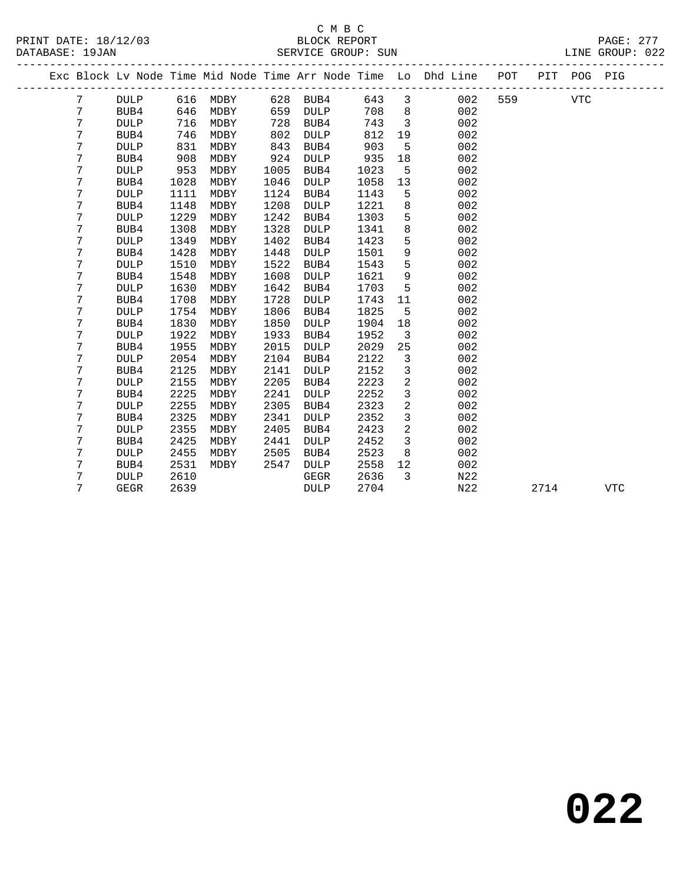## C M B C<br>BLOCK REPORT

| PRINT DATE: 18/12/03<br>DATABASE: 19JAN |   |             |      | DE BLOCK REPORT BLOCK REPORT SUN SERVICE GROUP: SUN<br>_____________________________________ |      |             |      |                         |                                                                                |     |      |            | PAGE: 277<br>LINE GROUP: 022 |
|-----------------------------------------|---|-------------|------|----------------------------------------------------------------------------------------------|------|-------------|------|-------------------------|--------------------------------------------------------------------------------|-----|------|------------|------------------------------|
|                                         |   |             |      |                                                                                              |      |             |      |                         | Exc Block Lv Node Time Mid Node Time Arr Node Time Lo Dhd Line POT PIT POG PIG |     |      |            |                              |
|                                         | 7 | <b>DULP</b> |      | 616 MDBY                                                                                     |      | 628 BUB4    | 643  | $\overline{\mathbf{3}}$ | 002                                                                            | 559 |      | <b>VTC</b> |                              |
|                                         | 7 | BUB4        | 646  | MDBY                                                                                         | 659  | <b>DULP</b> | 708  | 8                       | 002                                                                            |     |      |            |                              |
|                                         | 7 | <b>DULP</b> | 716  | MDBY                                                                                         | 728  | BUB4        | 743  | $\overline{3}$          | 002                                                                            |     |      |            |                              |
|                                         | 7 | BUB4        | 746  | MDBY                                                                                         | 802  | <b>DULP</b> | 812  | 19                      | 002                                                                            |     |      |            |                              |
|                                         | 7 | <b>DULP</b> | 831  | MDBY                                                                                         | 843  | BUB4        | 903  | 5                       | 002                                                                            |     |      |            |                              |
|                                         | 7 | BUB4        | 908  | MDBY                                                                                         | 924  | <b>DULP</b> | 935  | 18                      | 002                                                                            |     |      |            |                              |
|                                         | 7 | <b>DULP</b> | 953  | MDBY                                                                                         | 1005 | BUB4        | 1023 | 5                       | 002                                                                            |     |      |            |                              |
|                                         | 7 | BUB4        | 1028 | MDBY                                                                                         | 1046 | <b>DULP</b> | 1058 | 13                      | 002                                                                            |     |      |            |                              |
|                                         | 7 | <b>DULP</b> | 1111 | MDBY                                                                                         | 1124 | BUB4        | 1143 | 5                       | 002                                                                            |     |      |            |                              |
|                                         | 7 | BUB4        | 1148 | MDBY                                                                                         | 1208 | <b>DULP</b> | 1221 | 8                       | 002                                                                            |     |      |            |                              |
|                                         | 7 | <b>DULP</b> | 1229 | MDBY                                                                                         | 1242 | BUB4        | 1303 | 5                       | 002                                                                            |     |      |            |                              |
|                                         | 7 | BUB4        | 1308 | MDBY                                                                                         | 1328 | <b>DULP</b> | 1341 | 8                       | 002                                                                            |     |      |            |                              |
|                                         | 7 | <b>DULP</b> | 1349 | MDBY                                                                                         | 1402 | BUB4        | 1423 | 5                       | 002                                                                            |     |      |            |                              |
|                                         | 7 | BUB4        | 1428 | MDBY                                                                                         | 1448 | <b>DULP</b> | 1501 | 9                       | 002                                                                            |     |      |            |                              |
|                                         | 7 | <b>DULP</b> | 1510 | MDBY                                                                                         | 1522 | BUB4        | 1543 | 5                       | 002                                                                            |     |      |            |                              |
|                                         | 7 | BUB4        | 1548 | MDBY                                                                                         | 1608 | <b>DULP</b> | 1621 | 9                       | 002                                                                            |     |      |            |                              |
|                                         | 7 | <b>DULP</b> | 1630 | MDBY                                                                                         | 1642 | BUB4        | 1703 | 5                       | 002                                                                            |     |      |            |                              |
|                                         | 7 | BUB4        | 1708 | MDBY                                                                                         | 1728 | <b>DULP</b> | 1743 | 11                      | 002                                                                            |     |      |            |                              |
|                                         | 7 | <b>DULP</b> | 1754 | MDBY                                                                                         | 1806 | BUB4        | 1825 | 5                       | 002                                                                            |     |      |            |                              |
|                                         | 7 | BUB4        | 1830 | MDBY                                                                                         | 1850 | <b>DULP</b> | 1904 | 18                      | 002                                                                            |     |      |            |                              |
|                                         | 7 | <b>DULP</b> | 1922 | MDBY                                                                                         | 1933 | BUB4        | 1952 | $\overline{3}$          | 002                                                                            |     |      |            |                              |
|                                         | 7 | BUB4        | 1955 | MDBY                                                                                         | 2015 | <b>DULP</b> | 2029 | 25                      | 002                                                                            |     |      |            |                              |
|                                         | 7 | <b>DULP</b> | 2054 | MDBY                                                                                         | 2104 | BUB4        | 2122 | 3                       | 002                                                                            |     |      |            |                              |
|                                         | 7 | BUB4        | 2125 | MDBY                                                                                         | 2141 | <b>DULP</b> | 2152 | $\overline{3}$          | 002                                                                            |     |      |            |                              |
|                                         | 7 | <b>DULP</b> | 2155 | MDBY                                                                                         | 2205 | BUB4        | 2223 | $\overline{a}$          | 002                                                                            |     |      |            |                              |
|                                         | 7 | BUB4        | 2225 | MDBY                                                                                         | 2241 | <b>DULP</b> | 2252 | $\mathfrak{Z}$          | 002                                                                            |     |      |            |                              |
|                                         | 7 | <b>DULP</b> | 2255 | MDBY                                                                                         | 2305 | BUB4        | 2323 | $\mathbf{2}$            | 002                                                                            |     |      |            |                              |
|                                         | 7 | BUB4        | 2325 | MDBY                                                                                         | 2341 | <b>DULP</b> | 2352 | $\overline{3}$          | 002                                                                            |     |      |            |                              |
|                                         | 7 | <b>DULP</b> | 2355 | MDBY                                                                                         | 2405 | BUB4        | 2423 | $\overline{a}$          | 002                                                                            |     |      |            |                              |
|                                         | 7 | BUB4        | 2425 | MDBY                                                                                         | 2441 | <b>DULP</b> | 2452 | 3                       | 002                                                                            |     |      |            |                              |
|                                         | 7 | <b>DULP</b> | 2455 | MDBY                                                                                         | 2505 | BUB4        | 2523 | 8                       | 002                                                                            |     |      |            |                              |
|                                         | 7 | BUB4        | 2531 | MDBY                                                                                         | 2547 | DULP        | 2558 | 12                      | 002                                                                            |     |      |            |                              |
|                                         | 7 | <b>DULP</b> | 2610 |                                                                                              |      | GEGR        | 2636 | 3                       | N22                                                                            |     |      |            |                              |
|                                         | 7 | <b>GEGR</b> | 2639 |                                                                                              |      | <b>DULP</b> | 2704 |                         | N22                                                                            |     | 2714 |            | <b>VTC</b>                   |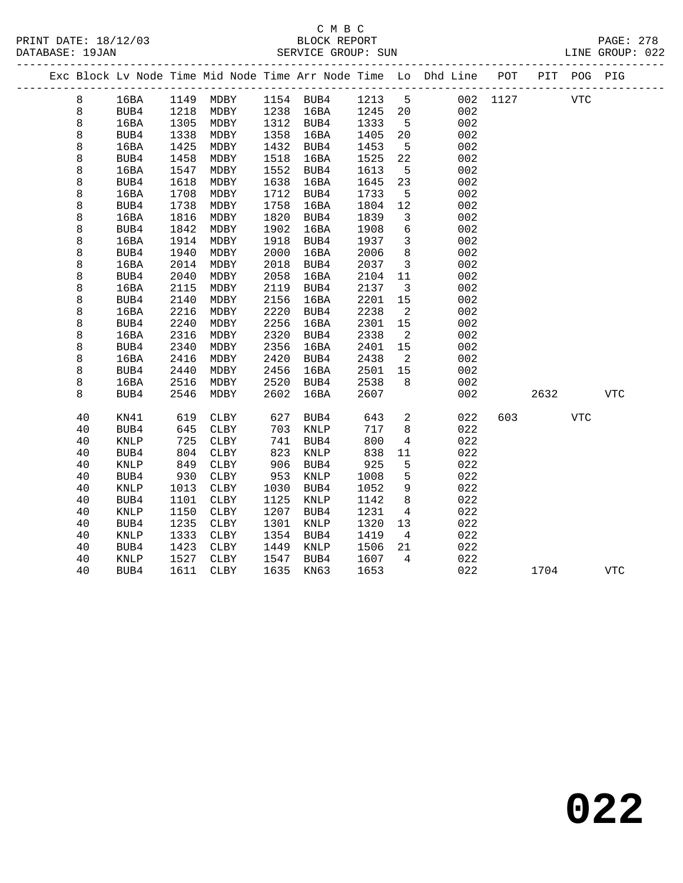#### C M B C<br>BLOCK REPORT SERVICE GROUP: SUN

|  |         |             |      |             |      |             |      |                | Exc Block Lv Node Time Mid Node Time Arr Node Time Lo Dhd Line POT<br>----------- |      | PIT  | POG PIG    |            |
|--|---------|-------------|------|-------------|------|-------------|------|----------------|-----------------------------------------------------------------------------------|------|------|------------|------------|
|  | 8       | 16BA        | 1149 | MDBY        |      | 1154 BUB4   | 1213 | 5              | 002                                                                               | 1127 |      | <b>VTC</b> |            |
|  | 8       | BUB4        | 1218 | MDBY        | 1238 | 16BA        | 1245 | 20             | 002                                                                               |      |      |            |            |
|  | 8       | 16BA        | 1305 | MDBY        | 1312 | BUB4        | 1333 | 5              | 002                                                                               |      |      |            |            |
|  | 8       | BUB4        | 1338 | MDBY        | 1358 | 16BA        | 1405 | 20             | 002                                                                               |      |      |            |            |
|  | 8       | 16BA        | 1425 | MDBY        | 1432 | BUB4        | 1453 | 5              | 002                                                                               |      |      |            |            |
|  | 8       | BUB4        | 1458 | MDBY        | 1518 | 16BA        | 1525 | 22             | 002                                                                               |      |      |            |            |
|  | 8       | 16BA        | 1547 | MDBY        | 1552 | BUB4        | 1613 | 5              | 002                                                                               |      |      |            |            |
|  | 8       | BUB4        | 1618 | MDBY        | 1638 | 16BA        | 1645 | 23             | 002                                                                               |      |      |            |            |
|  | 8       | 16BA        | 1708 | MDBY        | 1712 | BUB4        | 1733 | 5              | 002                                                                               |      |      |            |            |
|  | 8       | BUB4        | 1738 | MDBY        | 1758 | 16BA        | 1804 | 12             | 002                                                                               |      |      |            |            |
|  | 8       | 16BA        | 1816 | MDBY        | 1820 | BUB4        | 1839 | 3              | 002                                                                               |      |      |            |            |
|  | 8       | BUB4        | 1842 | MDBY        | 1902 | 16BA        | 1908 | 6              | 002                                                                               |      |      |            |            |
|  | 8       | 16BA        | 1914 | MDBY        | 1918 | BUB4        | 1937 | 3              | 002                                                                               |      |      |            |            |
|  | 8       | BUB4        | 1940 | MDBY        | 2000 | 16BA        | 2006 | 8              | 002                                                                               |      |      |            |            |
|  | 8       | 16BA        | 2014 | MDBY        | 2018 | BUB4        | 2037 | $\mathbf{3}$   | 002                                                                               |      |      |            |            |
|  | 8       | BUB4        | 2040 | MDBY        | 2058 | 16BA        | 2104 | 11             | 002                                                                               |      |      |            |            |
|  | 8       | 16BA        | 2115 | MDBY        | 2119 | BUB4        | 2137 | 3              | 002                                                                               |      |      |            |            |
|  | 8       | BUB4        | 2140 | MDBY        | 2156 | 16BA        | 2201 | 15             | 002                                                                               |      |      |            |            |
|  | 8       | 16BA        | 2216 | MDBY        | 2220 | BUB4        | 2238 | 2              | 002                                                                               |      |      |            |            |
|  | 8       | BUB4        | 2240 | MDBY        | 2256 | 16BA        | 2301 | 15             | 002                                                                               |      |      |            |            |
|  | $\,8\,$ | 16BA        | 2316 | MDBY        | 2320 | BUB4        | 2338 | 2              | 002                                                                               |      |      |            |            |
|  | 8       | BUB4        | 2340 | MDBY        | 2356 | 16BA        | 2401 | 15             | 002                                                                               |      |      |            |            |
|  | 8       | 16BA        | 2416 | MDBY        | 2420 | BUB4        | 2438 | 2              | 002                                                                               |      |      |            |            |
|  | 8       | BUB4        | 2440 | MDBY        | 2456 | 16BA        | 2501 | 15             | 002                                                                               |      |      |            |            |
|  | 8       | 16BA        | 2516 | MDBY        | 2520 | BUB4        | 2538 | 8              | 002                                                                               |      |      |            |            |
|  | 8       | BUB4        | 2546 | MDBY        | 2602 | 16BA        | 2607 |                | 002                                                                               |      | 2632 |            | <b>VTC</b> |
|  | 40      | KN41        | 619  | CLBY        | 627  | BUB4        | 643  | $\overline{a}$ | 022                                                                               | 603  |      | <b>VTC</b> |            |
|  | 40      | BUB4        | 645  | <b>CLBY</b> | 703  | <b>KNLP</b> | 717  | 8              | 022                                                                               |      |      |            |            |
|  | 40      | <b>KNLP</b> | 725  | CLBY        | 741  | BUB4        | 800  | 4              | 022                                                                               |      |      |            |            |
|  | 40      | BUB4        | 804  | CLBY        | 823  | <b>KNLP</b> | 838  | 11             | 022                                                                               |      |      |            |            |
|  | 40      | KNLP        | 849  | <b>CLBY</b> | 906  | BUB4        | 925  | 5              | 022                                                                               |      |      |            |            |
|  | 40      | BUB4        | 930  | CLBY        | 953  | KNLP        | 1008 | 5              | 022                                                                               |      |      |            |            |
|  | 40      | <b>KNLP</b> | 1013 | CLBY        | 1030 | BUB4        | 1052 | 9              | 022                                                                               |      |      |            |            |
|  | 40      | BUB4        | 1101 | <b>CLBY</b> | 1125 | KNLP        | 1142 | 8              | 022                                                                               |      |      |            |            |
|  | 40      | KNLP        | 1150 | <b>CLBY</b> | 1207 | BUB4        | 1231 | 4              | 022                                                                               |      |      |            |            |
|  | 40      | BUB4        | 1235 | <b>CLBY</b> | 1301 | <b>KNLP</b> | 1320 | 13             | 022                                                                               |      |      |            |            |

 40 KNLP 1333 CLBY 1354 BUB4 1419 4 022 40 BUB4 1423 CLBY 1449 KNLP 1506 21 022 40 KNLP 1527 CLBY 1547 BUB4 1607 4 022

40 BUB4 1611 CLBY 1635 KN63 1653 022 1704 VTC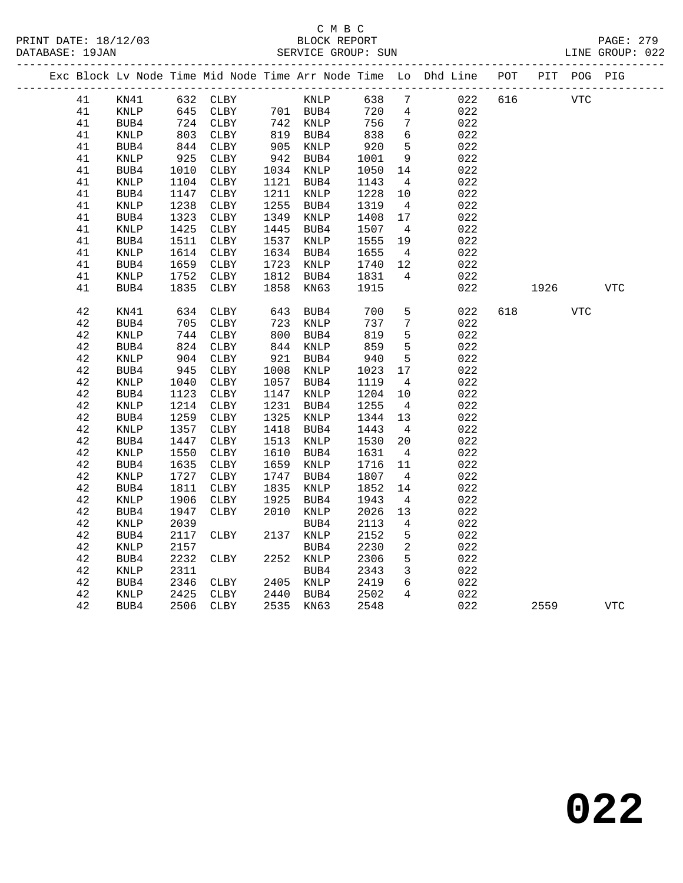## C M B C

|  | DATABASE: 19JAN |                 |      |              |      | SERVICE GROUP: SUN |      |                 |                                                                    |     |      |             | LINE GROUP: 022 |  |
|--|-----------------|-----------------|------|--------------|------|--------------------|------|-----------------|--------------------------------------------------------------------|-----|------|-------------|-----------------|--|
|  |                 |                 |      |              |      |                    |      |                 | Exc Block Lv Node Time Mid Node Time Arr Node Time Lo Dhd Line POT |     |      | PIT POG PIG |                 |  |
|  | 41              | KN41            |      | 632 CLBY     |      | KNLP               | 638  | $7\phantom{.0}$ | 022                                                                | 616 |      | VTC         |                 |  |
|  | 41              | KNLP            | 645  | CLBY         |      | 701 BUB4           | 720  | 4               | 022                                                                |     |      |             |                 |  |
|  | 41              | BUB4            | 724  | CLBY         |      | 742 KNLP           | 756  | 7               | 022                                                                |     |      |             |                 |  |
|  | 41              | KNLP            | 803  | CLBY         | 819  | BUB4               | 838  | 6               | 022                                                                |     |      |             |                 |  |
|  | 41              | BUB4            | 844  | CLBY         | 905  | KNLP               | 920  | 5               | 022                                                                |     |      |             |                 |  |
|  | 41              | KNLP            | 925  | CLBY         | 942  | BUB4               | 1001 | 9               | 022                                                                |     |      |             |                 |  |
|  | 41              | BUB4            | 1010 | CLBY         | 1034 | KNLP               | 1050 | 14              | 022                                                                |     |      |             |                 |  |
|  | 41              | KNLP            | 1104 | CLBY         | 1121 | BUB4               | 1143 | $\overline{4}$  | 022                                                                |     |      |             |                 |  |
|  | 41              | BUB4            | 1147 | CLBY         | 1211 | KNLP               | 1228 | 10              | 022                                                                |     |      |             |                 |  |
|  | 41              | $\texttt{KNLP}$ | 1238 | CLBY         | 1255 | BUB4               | 1319 | $\overline{4}$  | 022                                                                |     |      |             |                 |  |
|  | 41              | BUB4            | 1323 | CLBY         | 1349 | KNLP               | 1408 | 17              | 022                                                                |     |      |             |                 |  |
|  | 41              | KNLP            | 1425 | CLBY         | 1445 | BUB4               | 1507 | $\overline{4}$  | 022                                                                |     |      |             |                 |  |
|  | 41              | BUB4            | 1511 | CLBY         | 1537 | KNLP               | 1555 | 19              | 022                                                                |     |      |             |                 |  |
|  | 41              | KNLP            | 1614 | CLBY         | 1634 | BUB4               | 1655 | $\overline{4}$  | 022                                                                |     |      |             |                 |  |
|  | 41              | BUB4            | 1659 | CLBY         | 1723 | KNLP               | 1740 | 12              | 022                                                                |     |      |             |                 |  |
|  | 41              | KNLP            | 1752 | CLBY         | 1812 | BUB4               | 1831 | $\overline{4}$  | 022                                                                |     |      |             |                 |  |
|  | 41              | BUB4            | 1835 | CLBY         | 1858 | KN63               | 1915 |                 | 022                                                                |     | 1926 |             | <b>VTC</b>      |  |
|  | 42              | KN41            | 634  | CLBY         | 643  | BUB4               | 700  | $5\phantom{.0}$ | 022                                                                | 618 |      | <b>VTC</b>  |                 |  |
|  | 42              | BUB4            | 705  | CLBY         | 723  | KNLP               | 737  | 7               | 022                                                                |     |      |             |                 |  |
|  | 42              | <b>KNLP</b>     | 744  | CLBY         | 800  | BUB4               | 819  | 5               | 022                                                                |     |      |             |                 |  |
|  | 42              | BUB4            | 824  | CLBY         | 844  | KNLP               | 859  | 5               | 022                                                                |     |      |             |                 |  |
|  | 42              | <b>KNLP</b>     | 904  | CLBY         | 921  | BUB4               | 940  | $\overline{5}$  | 022                                                                |     |      |             |                 |  |
|  | 42              | BUB4            | 945  | CLBY         | 1008 | KNLP               | 1023 | 17              | 022                                                                |     |      |             |                 |  |
|  | 42              | KNLP            | 1040 | ${\tt CLBY}$ | 1057 | BUB4               | 1119 | $\overline{4}$  | 022                                                                |     |      |             |                 |  |
|  | $4\,2$          | BUB4            | 1123 | CLBY         | 1147 | KNLP               | 1204 | 10              | 022                                                                |     |      |             |                 |  |
|  | 42              | <b>KNLP</b>     | 1214 | CLBY         | 1231 | BUB4               | 1255 | $\overline{4}$  | 022                                                                |     |      |             |                 |  |
|  | 42              | BUB4            | 1259 | CLBY         | 1325 | KNLP               | 1344 | 13              | 022                                                                |     |      |             |                 |  |
|  | 42              | <b>KNLP</b>     | 1357 | CLBY         | 1418 | BUB4               | 1443 | $\overline{4}$  | 022                                                                |     |      |             |                 |  |
|  | 42              | BUB4            | 1447 | CLBY         | 1513 | KNLP               | 1530 | 20              | 022                                                                |     |      |             |                 |  |
|  | 42              | KNLP            | 1550 | CLBY         | 1610 | BUB4               | 1631 | $\overline{4}$  | 022                                                                |     |      |             |                 |  |
|  | 42              | BUB4            | 1635 | CLBY         | 1659 | KNLP               | 1716 | 11              | 022                                                                |     |      |             |                 |  |
|  | 42              | <b>KNLP</b>     | 1727 | CLBY         | 1747 | BUB4               | 1807 | $\overline{4}$  | 022                                                                |     |      |             |                 |  |
|  | 42              | BUB4            | 1811 | CLBY         | 1835 | KNLP               | 1852 | 14              | 022                                                                |     |      |             |                 |  |
|  | 42              | <b>KNLP</b>     | 1906 | CLBY         | 1925 | BUB4               | 1943 | $\overline{4}$  | 022                                                                |     |      |             |                 |  |
|  | 42              | BUB4            | 1947 | CLBY         | 2010 | KNLP               | 2026 | 13              | 022                                                                |     |      |             |                 |  |
|  | 42              | <b>KNLP</b>     | 2039 |              |      | BUB4               | 2113 | 4               | 022                                                                |     |      |             |                 |  |
|  | 42              | BUB4            | 2117 | CLBY         | 2137 | KNLP               | 2152 | 5               | 022                                                                |     |      |             |                 |  |
|  | 42              | KNLP            | 2157 |              |      | BUB4               | 2230 | 2               | 022                                                                |     |      |             |                 |  |
|  | 42              | BUB4            | 2232 | CLBY         | 2252 | KNLP               | 2306 | 5               | 022                                                                |     |      |             |                 |  |
|  | 42              | <b>KNLP</b>     | 2311 |              |      | BUB4               | 2343 | $\mathbf{3}$    | 022                                                                |     |      |             |                 |  |
|  | $4\,2$          | BUB4            | 2346 | CLBY         | 2405 | KNLP               | 2419 | 6               | 022                                                                |     |      |             |                 |  |
|  | 42              | KNLP            | 2425 | CLBY         | 2440 | BUB4               | 2502 | $\overline{4}$  | 022                                                                |     |      |             |                 |  |
|  | 42              | BUB4            | 2506 | CLBY         | 2535 | KN63               | 2548 |                 | 022                                                                |     | 2559 |             | <b>VTC</b>      |  |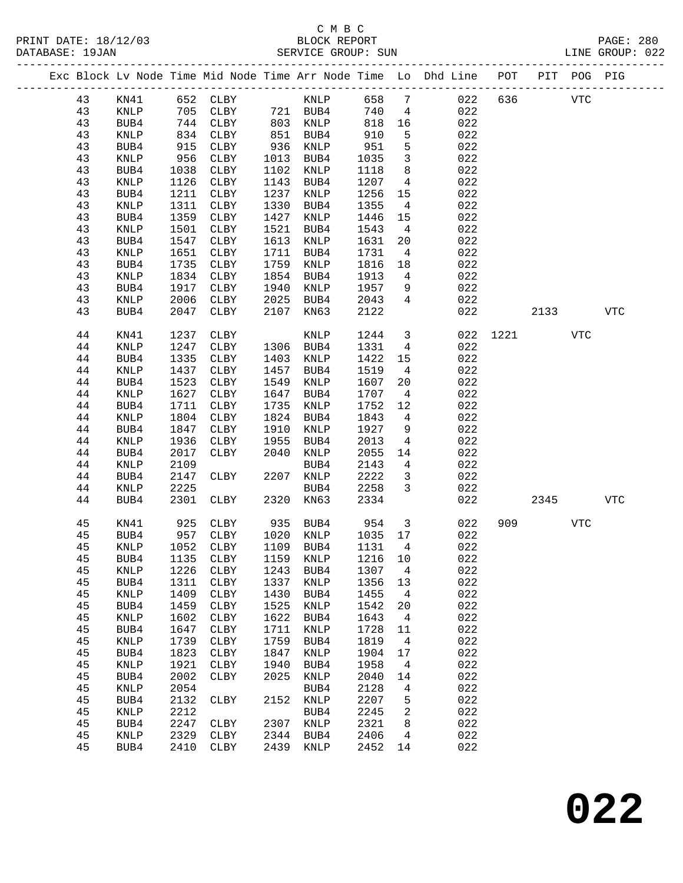|  |          |                         |              |                     |              |              |              |                      | Exc Block Lv Node Time Mid Node Time Arr Node Time Lo Dhd Line POT |      |      | PIT POG PIG |            |
|--|----------|-------------------------|--------------|---------------------|--------------|--------------|--------------|----------------------|--------------------------------------------------------------------|------|------|-------------|------------|
|  | 43       | KN41                    |              | 652 CLBY            |              | KNLP         | 658          | $7\phantom{.0}$      | 022                                                                | 636  |      | <b>VTC</b>  |            |
|  | 43       | KNLP                    | 705          | CLBY                |              | 721 BUB4     | 740          | $\overline{4}$       | 022                                                                |      |      |             |            |
|  | 43       | BUB4                    | 744          | CLBY                | 803          | KNLP         | 818          | 16                   | 022                                                                |      |      |             |            |
|  | 43       | KNLP                    | 834          | CLBY                | 851          | BUB4         | 910          | 5                    | 022                                                                |      |      |             |            |
|  | 43       | BUB4                    | 915          | CLBY                | 936          | KNLP         | 951          | $\overline{5}$       | 022                                                                |      |      |             |            |
|  | 43       | KNLP                    | 956          | CLBY                | 1013         | BUB4         | 1035         | $\mathbf{3}$         | 022                                                                |      |      |             |            |
|  | 43       | BUB4                    | 1038         | CLBY                | 1102         | KNLP         | 1118         | 8                    | 022                                                                |      |      |             |            |
|  | 43       | $\textsc{KNLP}$         | 1126         | CLBY                | 1143         | BUB4         | 1207         | $\overline{4}$       | 022                                                                |      |      |             |            |
|  | 43       | BUB4                    | 1211         | CLBY                | 1237         | KNLP         | 1256         | 15                   | 022                                                                |      |      |             |            |
|  | 43       | KNLP                    | 1311         | CLBY                | 1330         | BUB4         | 1355         | $\overline{4}$       | 022                                                                |      |      |             |            |
|  | 43       | BUB4                    | 1359         | CLBY                | 1427         | KNLP         | 1446         | 15                   | 022                                                                |      |      |             |            |
|  | 43       | KNLP                    | 1501         | CLBY                | 1521         | BUB4         | 1543         | $\overline{4}$       | 022                                                                |      |      |             |            |
|  | 43       | BUB4                    | 1547         | CLBY                | 1613         | KNLP         | 1631         | 20                   | 022                                                                |      |      |             |            |
|  | 43<br>43 | KNLP                    | 1651<br>1735 | CLBY                | 1711<br>1759 | BUB4         | 1731         | $\overline{4}$       | 022<br>022                                                         |      |      |             |            |
|  | 43       | BUB4<br>$\textsc{KNLP}$ | 1834         | CLBY<br>CLBY        | 1854         | KNLP<br>BUB4 | 1816<br>1913 | 18<br>$\overline{4}$ | 022                                                                |      |      |             |            |
|  | 43       | BUB4                    | 1917         | CLBY                | 1940         | KNLP         | 1957         | 9                    | 022                                                                |      |      |             |            |
|  | 43       | KNLP                    | 2006         | CLBY                | 2025         | BUB4         | 2043         | $4\overline{ }$      | 022                                                                |      |      |             |            |
|  | 43       | BUB4                    | 2047         | CLBY                | 2107         | KN63         | 2122         |                      | 022                                                                |      | 2133 |             | <b>VTC</b> |
|  |          |                         |              |                     |              |              |              |                      |                                                                    |      |      |             |            |
|  | 44       | KN41                    | 1237         | CLBY                |              | KNLP         | 1244         | $\mathbf{3}$         | 022                                                                | 1221 |      | VTC         |            |
|  | 44       | KNLP                    | 1247         | CLBY                | 1306         | BUB4         | 1331         | $\overline{4}$       | 022                                                                |      |      |             |            |
|  | 44       | BUB4                    | 1335         | CLBY                | 1403         | KNLP         | 1422         | 15                   | 022                                                                |      |      |             |            |
|  | 44       | KNLP                    | 1437         | CLBY                | 1457         | BUB4         | 1519         | $\overline{4}$       | 022                                                                |      |      |             |            |
|  | 44       | BUB4                    | 1523         | CLBY                | 1549         | KNLP         | 1607         | 20                   | 022                                                                |      |      |             |            |
|  | 44       | KNLP                    | 1627         | CLBY                | 1647         | BUB4         | 1707         | $\overline{4}$       | 022                                                                |      |      |             |            |
|  | 44       | BUB4                    | 1711         | CLBY                | 1735         | KNLP         | 1752         | 12                   | 022                                                                |      |      |             |            |
|  | 44       | KNLP                    | 1804         | CLBY                | 1824         | BUB4         | 1843         | $\overline{4}$       | 022                                                                |      |      |             |            |
|  | 44       | BUB4                    | 1847         | CLBY                | 1910         | KNLP         | 1927         | 9                    | 022                                                                |      |      |             |            |
|  | 44       | KNLP                    | 1936         | CLBY                | 1955         | BUB4         | 2013         | 4                    | 022                                                                |      |      |             |            |
|  | 44<br>44 | BUB4                    | 2017<br>2109 | CLBY                | 2040         | KNLP         | 2055         | 14<br>$\overline{4}$ | 022<br>022                                                         |      |      |             |            |
|  | 44       | KNLP<br>BUB4            | 2147         | CLBY                | 2207         | BUB4<br>KNLP | 2143<br>2222 | $\mathbf{3}$         | 022                                                                |      |      |             |            |
|  | 44       | <b>KNLP</b>             | 2225         |                     |              | BUB4         | 2258         | $\overline{3}$       | 022                                                                |      |      |             |            |
|  | 44       | BUB4                    | 2301         | CLBY                | 2320         | KN63         | 2334         |                      | 022                                                                |      | 2345 |             | <b>VTC</b> |
|  |          |                         |              |                     |              |              |              |                      |                                                                    |      |      |             |            |
|  | 45       | KN41                    | 925          | CLBY                | 935          | BUB4         | 954          | $\overline{3}$       | 022                                                                | 909  |      | VTC         |            |
|  | 45       | BUB4                    | 957          | CLBY                | 1020         | KNLP         | 1035 17      |                      | 022                                                                |      |      |             |            |
|  | 45       | <b>KNLP</b>             | 1052         | CLBY                |              | 1109 BUB4    | 1131         | $\overline{4}$       | 022                                                                |      |      |             |            |
|  | 45       | BUB4                    |              | 1135 CLBY 1159 KNLP |              |              | 1216 10      |                      | 022                                                                |      |      |             |            |
|  | 45       | KNLP                    | 1226         | <b>CLBY</b>         | 1243         | BUB4         | 1307         | 4                    | 022                                                                |      |      |             |            |
|  | 45       | BUB4                    | 1311         | CLBY                | 1337         | <b>KNLP</b>  | 1356         | 13                   | 022                                                                |      |      |             |            |
|  | 45<br>45 | KNLP<br>BUB4            | 1409<br>1459 | CLBY<br>CLBY        | 1430<br>1525 | BUB4<br>KNLP | 1455<br>1542 | 4<br>20              | 022<br>022                                                         |      |      |             |            |
|  | 45       | $\textsc{KNLP}$         | 1602         | CLBY                | 1622         | BUB4         | 1643         | 4                    | 022                                                                |      |      |             |            |
|  | 45       | BUB4                    | 1647         | ${\tt CLBY}$        | 1711         | KNLP         | 1728         | 11                   | 022                                                                |      |      |             |            |
|  | 45       | KNLP                    | 1739         | CLBY                | 1759         | BUB4         | 1819         | 4                    | 022                                                                |      |      |             |            |
|  | 45       | BUB4                    | 1823         | CLBY                | 1847         | KNLP         | 1904         | 17                   | 022                                                                |      |      |             |            |
|  | 45       | KNLP                    | 1921         | CLBY                | 1940         | BUB4         | 1958         | 4                    | 022                                                                |      |      |             |            |
|  | 45       | BUB4                    | 2002         | CLBY                | 2025         | KNLP         | 2040         | 14                   | 022                                                                |      |      |             |            |
|  | 45       | KNLP                    | 2054         |                     |              | BUB4         | 2128         | 4                    | 022                                                                |      |      |             |            |
|  | 45       | BUB4                    | 2132         | <b>CLBY</b>         | 2152         | KNLP         | 2207         | 5                    | 022                                                                |      |      |             |            |
|  | 45       | KNLP                    | 2212         |                     |              | BUB4         | 2245         | 2                    | 022                                                                |      |      |             |            |
|  | 45       | BUB4                    | 2247         | CLBY                | 2307         | KNLP         | 2321         | 8                    | 022                                                                |      |      |             |            |
|  | 45       | KNLP                    | 2329         | CLBY                | 2344         | BUB4         | 2406         | 4                    | 022                                                                |      |      |             |            |
|  | 45       | BUB4                    | 2410         | CLBY                | 2439         | KNLP         | 2452         | 14                   | 022                                                                |      |      |             |            |
|  |          |                         |              |                     |              |              |              |                      |                                                                    |      |      |             |            |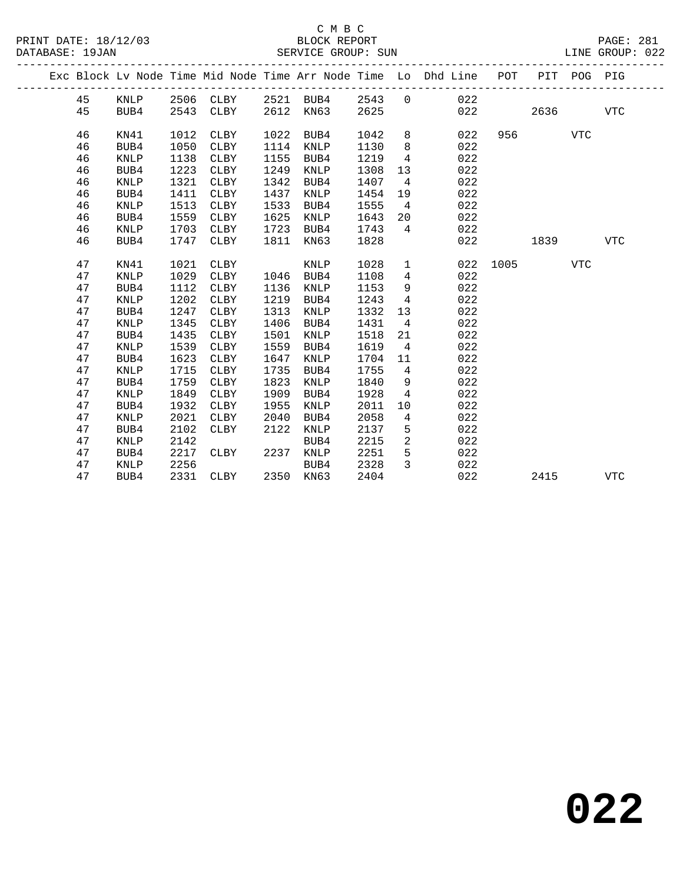|  |    |             |      |             |      |             |      |                | Exc Block Lv Node Time Mid Node Time Arr Node Time Lo Dhd Line POT |      |      | PIT POG PIG |            |
|--|----|-------------|------|-------------|------|-------------|------|----------------|--------------------------------------------------------------------|------|------|-------------|------------|
|  | 45 | KNLP        | 2506 | CLBY        |      | 2521 BUB4   | 2543 | $\overline{0}$ | 022                                                                |      |      |             |            |
|  | 45 | BUB4        | 2543 | CLBY        | 2612 | KN63        | 2625 |                | 022                                                                |      | 2636 |             | <b>VTC</b> |
|  |    |             |      |             |      |             |      |                |                                                                    |      |      |             |            |
|  | 46 | KN41        | 1012 | CLBY        | 1022 | BUB4        | 1042 | 8              | 022                                                                | 956  |      | VTC         |            |
|  | 46 | BUB4        | 1050 | CLBY        | 1114 | KNLP        | 1130 | 8              | 022                                                                |      |      |             |            |
|  | 46 | <b>KNLP</b> | 1138 | CLBY        | 1155 | BUB4        | 1219 | $\overline{4}$ | 022                                                                |      |      |             |            |
|  | 46 | BUB4        | 1223 | CLBY        | 1249 | KNLP        | 1308 | 13             | 022                                                                |      |      |             |            |
|  | 46 | KNLP        | 1321 | CLBY        | 1342 | BUB4        | 1407 | $\overline{4}$ | 022                                                                |      |      |             |            |
|  | 46 | BUB4        | 1411 | CLBY        | 1437 | KNLP        | 1454 | 19             | 022                                                                |      |      |             |            |
|  | 46 | <b>KNLP</b> | 1513 | CLBY        | 1533 | BUB4        | 1555 | $\overline{4}$ | 022                                                                |      |      |             |            |
|  | 46 | BUB4        | 1559 | CLBY        | 1625 | KNLP        | 1643 | 20             | 022                                                                |      |      |             |            |
|  | 46 | <b>KNLP</b> | 1703 | CLBY        | 1723 | BUB4        | 1743 | $\overline{4}$ | 022                                                                |      |      |             |            |
|  | 46 | BUB4        | 1747 | <b>CLBY</b> | 1811 | KN63        | 1828 |                | 022                                                                |      | 1839 |             | <b>VTC</b> |
|  | 47 | KN41        | 1021 | <b>CLBY</b> |      | KNLP        | 1028 | $\mathbf{1}$   | 022                                                                | 1005 |      | <b>VTC</b>  |            |
|  | 47 | <b>KNLP</b> | 1029 | CLBY        | 1046 | BUB4        | 1108 | 4              | 022                                                                |      |      |             |            |
|  | 47 | BUB4        | 1112 | CLBY        | 1136 | KNLP        | 1153 | 9              | 022                                                                |      |      |             |            |
|  | 47 | KNLP        | 1202 | CLBY        | 1219 | BUB4        | 1243 | $\overline{4}$ | 022                                                                |      |      |             |            |
|  | 47 | BUB4        | 1247 | CLBY        | 1313 | KNLP        | 1332 | 13             | 022                                                                |      |      |             |            |
|  | 47 | KNLP        | 1345 | CLBY        | 1406 | BUB4        | 1431 | $\overline{4}$ | 022                                                                |      |      |             |            |
|  | 47 | BUB4        | 1435 | CLBY        | 1501 | KNLP        | 1518 | 21             | 022                                                                |      |      |             |            |
|  | 47 | <b>KNLP</b> | 1539 | CLBY        | 1559 | BUB4        | 1619 | $\overline{4}$ | 022                                                                |      |      |             |            |
|  | 47 | BUB4        | 1623 | CLBY        | 1647 | KNLP        | 1704 | 11             | 022                                                                |      |      |             |            |
|  | 47 | <b>KNLP</b> | 1715 | CLBY        | 1735 | BUB4        | 1755 | $\overline{4}$ | 022                                                                |      |      |             |            |
|  | 47 | BUB4        | 1759 | CLBY        | 1823 | KNLP        | 1840 | 9              | 022                                                                |      |      |             |            |
|  | 47 | KNLP        | 1849 | CLBY        | 1909 | BUB4        | 1928 | $\overline{4}$ | 022                                                                |      |      |             |            |
|  | 47 | BUB4        | 1932 | <b>CLBY</b> | 1955 | <b>KNLP</b> | 2011 | 10             | 022                                                                |      |      |             |            |
|  | 47 | <b>KNLP</b> | 2021 | CLBY        | 2040 | BUB4        | 2058 | 4              | 022                                                                |      |      |             |            |
|  | 47 | BUB4        | 2102 | CLBY        | 2122 | KNLP        | 2137 | 5              | 022                                                                |      |      |             |            |
|  | 47 | <b>KNLP</b> | 2142 |             |      | BUB4        | 2215 | 2              | 022                                                                |      |      |             |            |
|  | 47 | BUB4        | 2217 | CLBY        | 2237 | KNLP        | 2251 | 5              | 022                                                                |      |      |             |            |
|  | 47 | KNLP        | 2256 |             |      | BUB4        | 2328 | 3              | 022                                                                |      |      |             |            |
|  | 47 | BUB4        | 2331 | CLBY        | 2350 | KN63        | 2404 |                | 022                                                                |      | 2415 |             | <b>VTC</b> |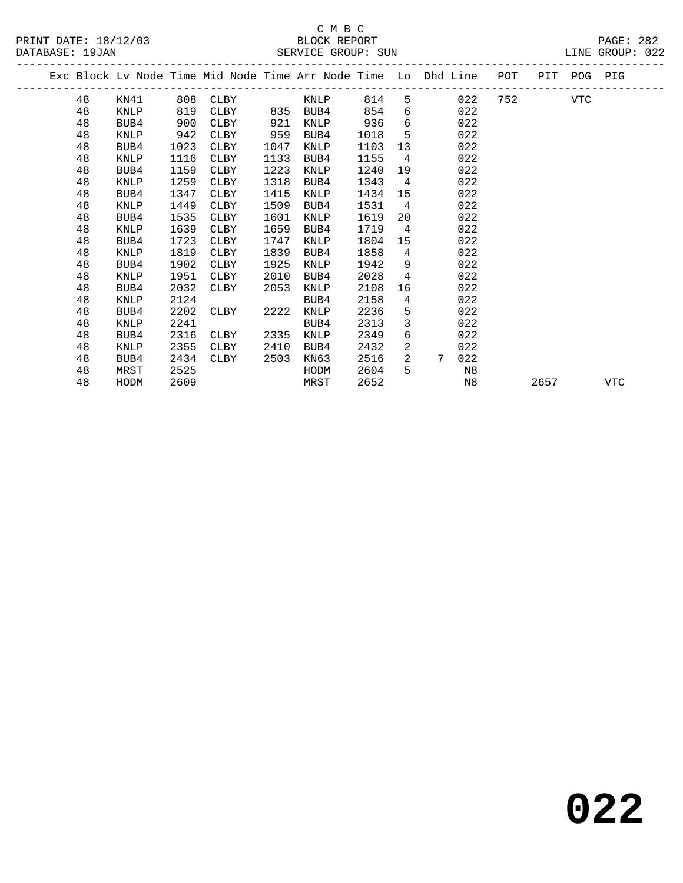# C M B C<br>BLOCK REPORT

| PRINT DATE: 18/12/03 | BLOCK REPORT                                                                                                         | PAGE: 282       |
|----------------------|----------------------------------------------------------------------------------------------------------------------|-----------------|
| DATABASE: 19JAN      | SERVICE GROUP: SUN                                                                                                   | LINE GROUP: 022 |
|                      | 그 아이들은 그 사람들은 아이들은 아이들은 아이들은 아이들을 만들고 있다. 그 아이들은 아이들은 아이들의 사람들은 아이들의 사람들을 만들고 있다. 이 사람들은 아이들의 사람들은 아이들의 사람들을 지키고 있다. |                 |

|  |    |      |      | Exc Block Lv Node Time Mid Node Time Arr Node Time Lo Dhd Line |      |                |      |                 |                 |     | POT     | PIT  | POG PIG |     |
|--|----|------|------|----------------------------------------------------------------|------|----------------|------|-----------------|-----------------|-----|---------|------|---------|-----|
|  | 48 | KN41 | 808  | CLBY                                                           |      | <b>EXAMPLE</b> | 814  |                 | $5^{\circ}$     | 022 | 752 VTC |      |         |     |
|  | 48 | KNLP | 819  | CLBY                                                           |      | 835 BUB4       | 854  | 6               |                 | 022 |         |      |         |     |
|  | 48 | BUB4 | 900  | CLBY                                                           | 921  | KNLP           | 936  | 6               |                 | 022 |         |      |         |     |
|  | 48 | KNLP | 942  | CLBY                                                           | 959  | BUB4           | 1018 | 5               |                 | 022 |         |      |         |     |
|  | 48 | BUB4 | 1023 | CLBY                                                           | 1047 | KNLP           | 1103 | 13              |                 | 022 |         |      |         |     |
|  | 48 | KNLP | 1116 | CLBY                                                           | 1133 | BUB4           | 1155 | $\overline{4}$  |                 | 022 |         |      |         |     |
|  | 48 | BUB4 | 1159 | CLBY                                                           | 1223 | KNLP           | 1240 | 19              |                 | 022 |         |      |         |     |
|  | 48 | KNLP | 1259 | CLBY                                                           | 1318 | BUB4           | 1343 | $\overline{4}$  |                 | 022 |         |      |         |     |
|  | 48 | BUB4 | 1347 | CLBY                                                           | 1415 | KNLP           | 1434 | 15              |                 | 022 |         |      |         |     |
|  | 48 | KNLP | 1449 | CLBY                                                           | 1509 | BUB4           | 1531 | $\overline{4}$  |                 | 022 |         |      |         |     |
|  | 48 | BUB4 | 1535 | CLBY                                                           | 1601 | KNLP           | 1619 | 20              |                 | 022 |         |      |         |     |
|  | 48 | KNLP | 1639 | CLBY                                                           | 1659 | BUB4           | 1719 | $\overline{4}$  |                 | 022 |         |      |         |     |
|  | 48 | BUB4 | 1723 | CLBY                                                           | 1747 | KNLP           | 1804 | 15              |                 | 022 |         |      |         |     |
|  | 48 | KNLP | 1819 | CLBY                                                           | 1839 | BUB4           | 1858 | $\overline{4}$  |                 | 022 |         |      |         |     |
|  | 48 | BUB4 | 1902 | CLBY                                                           | 1925 | KNLP           | 1942 | 9               |                 | 022 |         |      |         |     |
|  | 48 | KNLP | 1951 | CLBY                                                           | 2010 | BUB4           | 2028 | $4\overline{ }$ |                 | 022 |         |      |         |     |
|  | 48 | BUB4 | 2032 | CLBY                                                           | 2053 | KNLP           | 2108 | 16              |                 | 022 |         |      |         |     |
|  | 48 | KNLP | 2124 |                                                                |      | BUB4           | 2158 | 4               |                 | 022 |         |      |         |     |
|  | 48 | BUB4 | 2202 | CLBY                                                           | 2222 | KNLP           | 2236 | 5               |                 | 022 |         |      |         |     |
|  | 48 | KNLP | 2241 |                                                                |      | BUB4           | 2313 | 3               |                 | 022 |         |      |         |     |
|  | 48 | BUB4 | 2316 | CLBY                                                           | 2335 | KNLP           | 2349 | 6               |                 | 022 |         |      |         |     |
|  | 48 | KNLP | 2355 | CLBY                                                           | 2410 | BUB4           | 2432 | 2               |                 | 022 |         |      |         |     |
|  | 48 | BUB4 | 2434 | CLBY                                                           | 2503 | KN63           | 2516 | $\overline{2}$  | $7\overline{ }$ | 022 |         |      |         |     |
|  | 48 | MRST | 2525 |                                                                |      | HODM           | 2604 | 5               |                 | N8  |         |      |         |     |
|  | 48 | HODM | 2609 |                                                                |      | MRST           | 2652 |                 |                 | N8  |         | 2657 |         | VTC |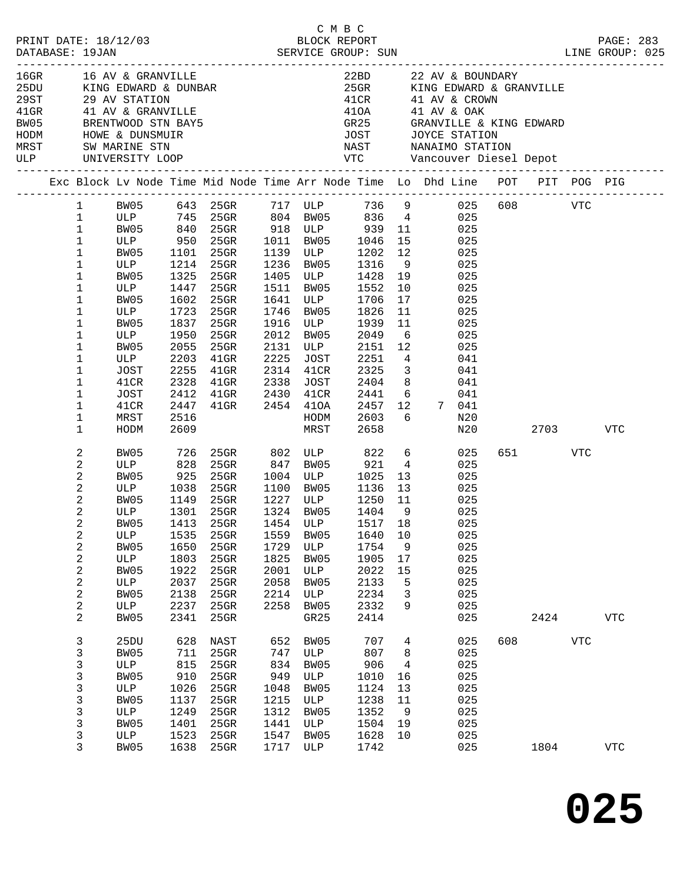| $16$ GR $-$ |                | 16 AV & GRANVILLE |            |                  |      |                       |                      |                         | 22BD 22 AV & BOUNDARY                                                                                          |     |         |            |            |
|-------------|----------------|-------------------|------------|------------------|------|-----------------------|----------------------|-------------------------|----------------------------------------------------------------------------------------------------------------|-----|---------|------------|------------|
|             |                |                   |            |                  |      |                       |                      |                         | 25GR KING EDWARD & GRANVILLE                                                                                   |     |         |            |            |
|             |                |                   |            |                  |      |                       |                      |                         | $41CR$ $41$ AV & CROWN                                                                                         |     |         |            |            |
|             |                |                   |            |                  |      |                       | 410A<br>41OA<br>GR25 |                         | 41 AV & OAK                                                                                                    |     |         |            |            |
|             |                |                   |            |                  |      |                       |                      |                         | GRANVILLE & KING EDWARD                                                                                        |     |         |            |            |
|             |                |                   |            |                  |      |                       | <b>JOST</b>          |                         | JOYCE STATION                                                                                                  |     |         |            |            |
|             |                |                   |            |                  |      |                       |                      |                         | NAST NANAIMO STATION                                                                                           |     |         |            |            |
|             |                |                   |            |                  |      |                       |                      |                         |                                                                                                                |     |         |            |            |
|             |                |                   |            |                  |      |                       |                      |                         | Exc Block Lv Node Time Mid Node Time Arr Node Time Lo Dhd Line POT PIT POG PIG                                 |     |         |            |            |
|             | $\mathbf{1}$   |                   |            |                  |      |                       |                      |                         | BW05 643 25GR 717 ULP 736 9 025 608 VTC<br>ULP 745 25GR 804 BW05 836 4 025<br>BW05 840 25GR 918 ULP 939 11 025 |     |         |            |            |
|             | $\mathbf 1$    |                   |            |                  |      |                       |                      |                         |                                                                                                                |     |         |            |            |
|             | $\mathbf 1$    |                   |            |                  |      |                       |                      |                         |                                                                                                                |     |         |            |            |
|             | $1\,$          | ULP 950           |            | 25GR             |      | 1011 BW05             | 1046                 | 15                      | 025                                                                                                            |     |         |            |            |
|             | 1              | BW05              | 1101       | 25GR             |      | 1139 ULP<br>1236 BW05 | 1202                 | 12                      | 025                                                                                                            |     |         |            |            |
|             | 1              | ULP               |            | 1214 25GR        | 1236 | BW05                  | 1316                 | 9                       | 025                                                                                                            |     |         |            |            |
|             | 1              | BW05              | 1325       | $25$ GR          |      | 1405 ULP              | 1428                 | 19                      | 025                                                                                                            |     |         |            |            |
|             | 1              | ULP               | 1447       | $25$ GR          | 1511 | BW05                  | 1552                 | 10                      | 025                                                                                                            |     |         |            |            |
|             | 1              | BW05              | 1602       | $25$ GR          | 1641 | ULP                   | 1706                 | 17                      | 025                                                                                                            |     |         |            |            |
|             | 1              | ULP               | 1723       | $25$ GR          | 1746 | BW05                  | 1826                 | 11                      | 025                                                                                                            |     |         |            |            |
|             | 1              | BW05              | 1837       | 25GR             | 1916 | ULP                   | 1939                 | 11                      | 025                                                                                                            |     |         |            |            |
|             | 1              | ULP               | 1950       | $25$ GR          | 2012 | BW05                  | 2049                 | 6                       | 025                                                                                                            |     |         |            |            |
|             | 1              | BW05              | 2055       | 25GR             | 2131 | ULP                   | 2151                 | 12                      | 025                                                                                                            |     |         |            |            |
|             | 1              | ULP               | 2203       | $41$ GR          | 2225 | JOST                  | 2251                 | $\overline{4}$          | 041                                                                                                            |     |         |            |            |
|             | 1              | JOST              | 2255       | $41$ GR          | 2314 | 41CR                  | 2325                 | $\overline{\mathbf{3}}$ | 041                                                                                                            |     |         |            |            |
|             | 1              | 41CR              | 2328       | $41$ GR          | 2338 | JOST                  | 2404                 | 8 <sup>8</sup>          | 041                                                                                                            |     |         |            |            |
|             | 1              | JOST              | 2412       | $41$ GR          | 2430 | 41CR                  | 2441                 | 6                       | 041                                                                                                            |     |         |            |            |
|             | 1              | 41CR              | 2447       | 41GR 2454 41OA   |      |                       | 2457                 | 12                      | 7 041                                                                                                          |     |         |            |            |
|             | 1              | MRST              | 2516       |                  |      | HODM                  | 2603                 | 6                       | N20                                                                                                            |     |         |            |            |
|             | 1              | HODM              | 2609       |                  |      | MRST                  | 2658                 |                         | N20                                                                                                            |     | 2703    |            | VTC        |
|             | 2              | BW05              |            | 25GR 802 ULP 822 |      |                       |                      | $6\overline{6}$         | 025                                                                                                            |     | 651 VTC |            |            |
|             | 2              | ULP               | 726<br>828 | $25$ GR          |      | 847 BW05              | 921                  | $\overline{4}$          | 025                                                                                                            |     |         |            |            |
|             | 2              | BW05              | 925        | 25GR             |      | 1004 ULP              | 1025                 | 13                      | 025                                                                                                            |     |         |            |            |
|             | 2              | ULP               | 1038       | 25GR             |      | 1100 BW05             | 1136                 | 13                      | 025                                                                                                            |     |         |            |            |
|             | 2              | BW05              | 1149       | 25GR             |      | 1227 ULP<br>1324 RW05 | 1250                 | 11                      | 025                                                                                                            |     |         |            |            |
|             | 2              | ULP               | 1301       | 25GR             |      | 1324 BW05             | 1404                 | $\overline{9}$          | 025                                                                                                            |     |         |            |            |
|             | $\overline{c}$ |                   |            |                  |      |                       |                      |                         | BW05 1413 25GR 1454 ULP 1517 18 025                                                                            |     |         |            |            |
|             | 2              | ULP               | 1535       | 25GR             | 1559 | BW05                  | 1640                 | 10                      | 025                                                                                                            |     |         |            |            |
|             | 2              | BW05              | 1650       | $25$ GR          | 1729 | ULP                   | 1754                 | 9                       | 025                                                                                                            |     |         |            |            |
|             | 2              | ULP               | 1803       | 25GR             | 1825 | BW05                  | 1905                 | 17                      | 025                                                                                                            |     |         |            |            |
|             | 2              | BW05              | 1922       | 25GR             | 2001 | ULP                   | 2022                 | 15                      | 025                                                                                                            |     |         |            |            |
|             | 2              | ULP               | 2037       | 25GR             | 2058 | BW05                  | 2133                 | 5                       | 025                                                                                                            |     |         |            |            |
|             | 2              | BW05              | 2138       | $25$ GR          | 2214 | ULP                   | 2234                 | 3                       | 025                                                                                                            |     |         |            |            |
|             | 2              | ULP               | 2237       | 25GR             | 2258 | BW05                  | 2332                 | 9                       | 025                                                                                                            |     |         |            |            |
|             | 2              | BW05              | 2341       | 25GR             |      | GR25                  | 2414                 |                         | 025                                                                                                            |     | 2424    |            | <b>VTC</b> |
|             | 3              | 25DU              | 628        | NAST             | 652  | BW05                  | 707                  | 4                       | 025                                                                                                            | 608 |         | <b>VTC</b> |            |
|             | 3              | BW05              | 711        | 25GR             | 747  | ULP                   | 807                  | 8                       | 025                                                                                                            |     |         |            |            |
|             | 3              | ULP               | 815        | 25GR             | 834  | BW05                  | 906                  | 4                       | 025                                                                                                            |     |         |            |            |
|             | 3              | BW05              | 910        | 25GR             | 949  | ULP                   | 1010                 | 16                      | 025                                                                                                            |     |         |            |            |
|             | 3              | ULP               | 1026       | 25GR             | 1048 | BW05                  | 1124                 | 13                      | 025                                                                                                            |     |         |            |            |
|             | 3              | BW05              | 1137       | 25GR             | 1215 | ULP                   | 1238                 | 11                      | 025                                                                                                            |     |         |            |            |
|             | 3              | ULP               | 1249       | 25GR             | 1312 | BW05                  | 1352                 | 9                       | 025                                                                                                            |     |         |            |            |
|             | 3              | BW05              | 1401       | 25GR             | 1441 | ULP                   | 1504                 | 19                      | 025                                                                                                            |     |         |            |            |
|             | 3              | ULP               | 1523       | 25GR             | 1547 | BW05                  | 1628                 | 10                      | 025                                                                                                            |     |         |            |            |
|             | 3              | BW05              | 1638       | 25GR             |      | 1717 ULP              | 1742                 |                         | 025                                                                                                            |     | 1804    |            | VTC        |
|             |                |                   |            |                  |      |                       |                      |                         |                                                                                                                |     |         |            |            |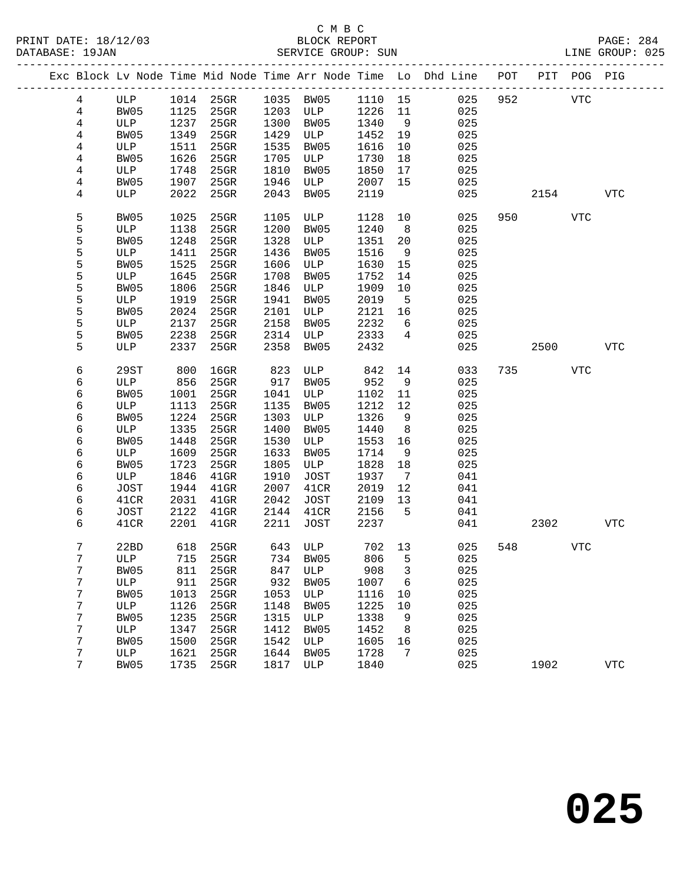|  |                |             |      |           |      |           |         |                | Exc Block Lv Node Time Mid Node Time Arr Node Time Lo Dhd Line | POT | PIT  | POG PIG    |            |
|--|----------------|-------------|------|-----------|------|-----------|---------|----------------|----------------------------------------------------------------|-----|------|------------|------------|
|  | $\overline{4}$ | ULP         |      | 1014 25GR |      | 1035 BW05 | 1110 15 |                | 025                                                            | 952 |      | <b>VTC</b> |            |
|  | $\overline{4}$ | BW05        | 1125 | $25$ GR   | 1203 | ULP       | 1226    | 11             | 025                                                            |     |      |            |            |
|  | 4              | ULP         | 1237 | 25GR      | 1300 | BW05      | 1340    | 9              | 025                                                            |     |      |            |            |
|  | 4              | BW05        | 1349 | 25GR      | 1429 | ULP       | 1452    | 19             | 025                                                            |     |      |            |            |
|  | 4              | ULP         | 1511 | 25GR      | 1535 | BW05      | 1616    | 10             | 025                                                            |     |      |            |            |
|  | 4              | BW05        | 1626 | 25GR      | 1705 | ULP       | 1730    | 18             | 025                                                            |     |      |            |            |
|  | 4              | ULP         | 1748 | 25GR      | 1810 | BW05      | 1850    | 17             | 025                                                            |     |      |            |            |
|  | 4              | BW05        | 1907 | 25GR      | 1946 | ULP       | 2007    | 15             | 025                                                            |     |      |            |            |
|  | 4              | ULP         | 2022 | 25GR      | 2043 | BW05      | 2119    |                | 025                                                            |     | 2154 |            | <b>VTC</b> |
|  |                |             |      |           |      |           |         |                |                                                                |     |      |            |            |
|  | 5              | BW05        | 1025 | 25GR      | 1105 | ULP       | 1128    | 10             | 025                                                            | 950 |      | <b>VTC</b> |            |
|  | 5              | ULP         | 1138 | $25$ GR   | 1200 | BW05      | 1240    | 8 <sup>8</sup> | 025                                                            |     |      |            |            |
|  | 5              | BW05        | 1248 | 25GR      | 1328 | ULP       | 1351    | 20             | 025                                                            |     |      |            |            |
|  | 5              | ULP         | 1411 | $25$ GR   | 1436 | BW05      | 1516    | 9              | 025                                                            |     |      |            |            |
|  | 5              | BW05        | 1525 | $25$ GR   | 1606 | ULP       | 1630    | 15             | 025                                                            |     |      |            |            |
|  | 5              | ULP         | 1645 | $25$ GR   | 1708 | BW05      | 1752    | 14             | 025                                                            |     |      |            |            |
|  | 5              | BW05        | 1806 | $25$ GR   | 1846 | ULP       | 1909    | 10             | 025                                                            |     |      |            |            |
|  | 5              | ULP         | 1919 | $25$ GR   | 1941 | BW05      | 2019    | 5              | 025                                                            |     |      |            |            |
|  | 5              | BW05        | 2024 | 25GR      | 2101 | ULP       | 2121    | 16             | 025                                                            |     |      |            |            |
|  | 5              | ULP         | 2137 | 25GR      | 2158 | BW05      | 2232    | 6              | 025                                                            |     |      |            |            |
|  | 5              | BW05        | 2238 | 25GR      | 2314 | ULP       | 2333    | $\overline{4}$ | 025                                                            |     |      |            |            |
|  | 5              | ULP         | 2337 | 25GR      | 2358 | BW05      | 2432    |                | 025                                                            |     | 2500 |            | VTC        |
|  | 6              | 29ST        | 800  | $16$ GR   | 823  | ULP       | 842     | 14             | 033                                                            | 735 |      | VTC        |            |
|  | 6              | ULP         | 856  | $25$ GR   | 917  | BW05      | 952     | 9              | 025                                                            |     |      |            |            |
|  | 6              | BW05        | 1001 | $25$ GR   | 1041 | ULP       | 1102    | 11             | 025                                                            |     |      |            |            |
|  | 6              | ULP         | 1113 | $25$ GR   | 1135 | BW05      | 1212    | 12             | 025                                                            |     |      |            |            |
|  | 6              | BW05        | 1224 | $25$ GR   | 1303 | ULP       | 1326    | 9              | 025                                                            |     |      |            |            |
|  | 6              | ULP         | 1335 | 25GR      | 1400 | BW05      | 1440    | 8              | 025                                                            |     |      |            |            |
|  | 6              | BW05        | 1448 | 25GR      | 1530 | ULP       | 1553    | 16             | 025                                                            |     |      |            |            |
|  | 6              | ULP         | 1609 | 25GR      | 1633 | BW05      | 1714    | 9              | 025                                                            |     |      |            |            |
|  | 6              | BW05        | 1723 | 25GR      | 1805 | ULP       | 1828    | 18             | 025                                                            |     |      |            |            |
|  | 6              | ULP         | 1846 | $41$ GR   | 1910 | JOST      | 1937    | $\overline{7}$ | 041                                                            |     |      |            |            |
|  | 6              | <b>JOST</b> | 1944 | $41$ GR   | 2007 | 41CR      | 2019    | 12             | 041                                                            |     |      |            |            |
|  | 6              | 41CR        | 2031 | $41$ GR   | 2042 | JOST      | 2109    | 13             | 041                                                            |     |      |            |            |
|  | 6              | JOST        | 2122 | $41$ GR   | 2144 | 41CR      | 2156    | $5^{\circ}$    | 041                                                            |     |      |            |            |
|  | 6              | 41CR        | 2201 | $41$ GR   | 2211 | JOST      | 2237    |                | 041                                                            |     | 2302 |            | <b>VTC</b> |
|  | 7              | 22BD        | 618  | 25GR      |      | 643 ULP   | 702 13  |                | 025                                                            | 548 |      | VTC        |            |
|  | 7              | ULP         |      | 715 25GR  |      | 734 BW05  | 806 5   |                | 025                                                            |     |      |            |            |
|  | 7              | BW05        | 811  | 25GR      | 847  | ULP       | 908     | 3              | 025                                                            |     |      |            |            |
|  | 7              | ULP         | 911  | 25GR      | 932  | BW05      | 1007    | 6              | 025                                                            |     |      |            |            |
|  | 7              | BW05        | 1013 | 25GR      | 1053 | ULP       | 1116    | 10             | 025                                                            |     |      |            |            |
|  | 7              | ULP         | 1126 | 25GR      | 1148 | BW05      | 1225    | 10             | 025                                                            |     |      |            |            |
|  | 7              | BW05        | 1235 | 25GR      | 1315 | ULP       | 1338    | 9              | 025                                                            |     |      |            |            |
|  | 7              | ULP         | 1347 | 25GR      | 1412 | BW05      | 1452    | 8              | 025                                                            |     |      |            |            |
|  | 7              | BW05        | 1500 | 25GR      | 1542 | ULP       | 1605    | 16             | 025                                                            |     |      |            |            |
|  | 7              | ULP         | 1621 | 25GR      | 1644 | BW05      | 1728    | 7              | 025                                                            |     |      |            |            |
|  | 7              | BW05        | 1735 | 25GR      | 1817 | ULP       | 1840    |                | 025                                                            |     | 1902 |            | <b>VTC</b> |
|  |                |             |      |           |      |           |         |                |                                                                |     |      |            |            |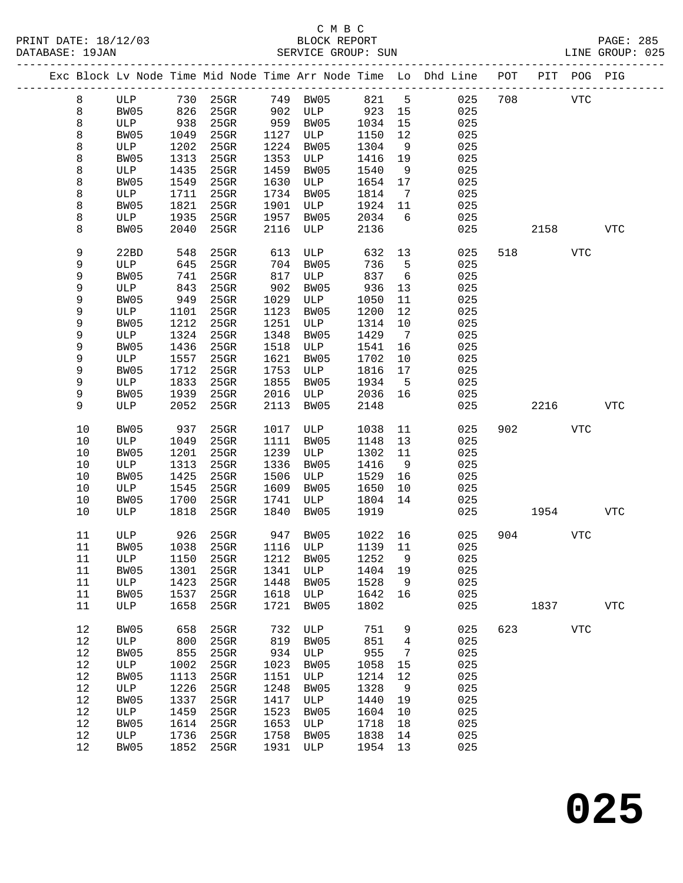PRINT DATE: 18/12/03 BLOCK REPORT BATABASE: 19JAN BLOCK REPORT

### C M B C<br>BLOCK REPORT

PAGE: 285<br>LINE GROUP: 025

|  |         |      |      | Exc Block Lv Node Time Mid Node Time Arr Node Time Lo Dhd Line POT |      |          |         |                 | __________________________ |     |      | PIT POG PIG |              |
|--|---------|------|------|--------------------------------------------------------------------|------|----------|---------|-----------------|----------------------------|-----|------|-------------|--------------|
|  | 8       | ULP  | 730  | $25$ GR                                                            | 749  | BW05     | 821     | $5^{\circ}$     | 025                        | 708 |      | <b>VTC</b>  |              |
|  | 8       | BW05 | 826  | $25$ GR                                                            | 902  | ULP      | 923     | 15              | 025                        |     |      |             |              |
|  | $\,8\,$ | ULP  | 938  | $25$ GR                                                            | 959  | BW05     | 1034    | 15              | 025                        |     |      |             |              |
|  | 8       | BW05 | 1049 | 25GR                                                               | 1127 | ULP      | 1150    | 12              | 025                        |     |      |             |              |
|  | 8       | ULP  | 1202 | 25GR                                                               | 1224 | BW05     | 1304    | 9               | 025                        |     |      |             |              |
|  | 8       | BW05 | 1313 | 25GR                                                               | 1353 | ULP      | 1416    | 19              | 025                        |     |      |             |              |
|  | 8       | ULP  | 1435 | 25GR                                                               | 1459 | BW05     | 1540    | 9               | 025                        |     |      |             |              |
|  |         |      | 1549 | 25GR                                                               | 1630 |          |         |                 | 025                        |     |      |             |              |
|  | 8       | BW05 |      |                                                                    |      | ULP      | 1654    | 17              |                            |     |      |             |              |
|  | 8       | ULP  | 1711 | 25GR                                                               | 1734 | BW05     | 1814    | 7               | 025                        |     |      |             |              |
|  | 8       | BW05 | 1821 | 25GR                                                               | 1901 | ULP      | 1924    | 11              | 025                        |     |      |             |              |
|  | 8       | ULP  | 1935 | 25GR                                                               | 1957 | BW05     | 2034    | 6               | 025                        |     |      |             |              |
|  | 8       | BW05 | 2040 | 25GR                                                               | 2116 | ULP      | 2136    |                 | 025                        |     | 2158 |             | <b>VTC</b>   |
|  | 9       | 22BD | 548  | 25GR                                                               | 613  | ULP      | 632     | 13              | 025                        | 518 |      | <b>VTC</b>  |              |
|  | 9       | ULP  | 645  | 25GR                                                               | 704  | BW05     | 736     | 5               | 025                        |     |      |             |              |
|  | 9       | BW05 | 741  | 25GR                                                               | 817  | ULP      | 837     | 6               | 025                        |     |      |             |              |
|  | 9       | ULP  | 843  | 25GR                                                               | 902  | BW05     | 936     | 13              | 025                        |     |      |             |              |
|  | 9       | BW05 | 949  | $25$ GR                                                            | 1029 | ULP      | 1050    | 11              | 025                        |     |      |             |              |
|  | 9       | ULP  | 1101 | 25GR                                                               | 1123 | BW05     | 1200    | 12              | 025                        |     |      |             |              |
|  | 9       | BW05 | 1212 | $25$ GR                                                            | 1251 | ULP      | 1314    | 10              | 025                        |     |      |             |              |
|  | 9       | ULP  | 1324 | 25GR                                                               | 1348 | BW05     | 1429    | $7\phantom{.0}$ | 025                        |     |      |             |              |
|  | 9       | BW05 | 1436 | $25$ GR                                                            | 1518 | ULP      | 1541    | 16              | 025                        |     |      |             |              |
|  | 9       | ULP  | 1557 | 25GR                                                               | 1621 | BW05     | 1702    | 10              | 025                        |     |      |             |              |
|  | 9       | BW05 | 1712 | $25$ GR                                                            | 1753 | ULP      | 1816    | 17              | 025                        |     |      |             |              |
|  | 9       | ULP  | 1833 | 25GR                                                               | 1855 | BW05     | 1934    | 5               | 025                        |     |      |             |              |
|  | 9       | BW05 | 1939 | 25GR                                                               | 2016 | ULP      | 2036    | 16              | 025                        |     |      |             |              |
|  | 9       | ULP  | 2052 | 25GR                                                               | 2113 | BW05     | 2148    |                 | 025                        |     | 2216 |             | <b>VTC</b>   |
|  | 10      | BW05 | 937  | 25GR                                                               | 1017 | ULP      | 1038    | 11              | 025                        | 902 |      | VTC         |              |
|  | 10      | ULP  | 1049 | 25GR                                                               | 1111 | BW05     | 1148    | 13              | 025                        |     |      |             |              |
|  | 10      | BW05 | 1201 | 25GR                                                               | 1239 | ULP      | 1302    | 11              | 025                        |     |      |             |              |
|  | 10      | ULP  | 1313 | 25GR                                                               | 1336 | BW05     | 1416    | 9               | 025                        |     |      |             |              |
|  | $10$    | BW05 | 1425 | 25GR                                                               | 1506 | ULP      | 1529    | 16              | 025                        |     |      |             |              |
|  | 10      | ULP  | 1545 | 25GR                                                               | 1609 | BW05     | 1650    | 10              | 025                        |     |      |             |              |
|  | $10$    | BW05 | 1700 | 25GR                                                               | 1741 | ULP      | 1804    | 14              | 025                        |     |      |             |              |
|  | 10      | ULP  | 1818 | 25GR                                                               | 1840 | BW05     | 1919    |                 | 025                        |     | 1954 |             | <b>VTC</b>   |
|  | 11      | ULP  | 926  | 25GR                                                               | 947  | BW05     | 1022    | 16              | 025                        | 904 |      | <b>VTC</b>  |              |
|  | 11      | BW05 | 1038 | $25$ GR                                                            |      | 1116 ULP | 1139 11 |                 | 025                        |     |      |             |              |
|  | $11\,$  | ULP  | 1150 | 25GR                                                               | 1212 | BW05     | 1252    | 9               | 025                        |     |      |             |              |
|  | 11      | BW05 | 1301 | $25$ GR                                                            | 1341 | ULP      | 1404    | 19              | 025                        |     |      |             |              |
|  | 11      | ULP  | 1423 | 25GR                                                               | 1448 | BW05     | 1528    | 9               | 025                        |     |      |             |              |
|  | 11      | BW05 | 1537 | $25$ GR                                                            | 1618 | ULP      | 1642    | 16              | 025                        |     |      |             |              |
|  | 11      | ULP  | 1658 | 25GR                                                               | 1721 | BW05     | 1802    |                 | 025                        |     | 1837 |             | $_{\rm VTC}$ |
|  | 12      | BW05 | 658  | 25GR                                                               | 732  | ULP      | 751     | 9               | 025                        | 623 |      | <b>VTC</b>  |              |
|  | 12      | ULP  | 800  | 25GR                                                               | 819  | BW05     | 851     | 4               | 025                        |     |      |             |              |
|  | 12      | BW05 | 855  | 25GR                                                               | 934  | ULP      | 955     | 7               | 025                        |     |      |             |              |
|  | 12      | ULP  | 1002 | $25$ GR                                                            | 1023 | BW05     | 1058    | 15              | 025                        |     |      |             |              |
|  | 12      | BW05 | 1113 | 25GR                                                               | 1151 | ULP      | 1214    | 12              | 025                        |     |      |             |              |
|  | 12      | ULP  | 1226 | 25GR                                                               | 1248 | BW05     | 1328    | 9               | 025                        |     |      |             |              |
|  | 12      | BW05 | 1337 | $25$ GR                                                            | 1417 | ULP      | 1440    | 19              | 025                        |     |      |             |              |
|  | 12      | ULP  | 1459 | 25GR                                                               | 1523 | BW05     | 1604    | 10              | 025                        |     |      |             |              |
|  | 12      | BW05 | 1614 | 25GR                                                               | 1653 | ULP      | 1718    | 18              | 025                        |     |      |             |              |
|  | 12      | ULP  | 1736 | $25$ GR                                                            | 1758 | BW05     | 1838    | 14              | 025                        |     |      |             |              |
|  | 12      | BW05 | 1852 | $25$ GR                                                            | 1931 | ULP      | 1954    | 13              | 025                        |     |      |             |              |
|  |         |      |      |                                                                    |      |          |         |                 |                            |     |      |             |              |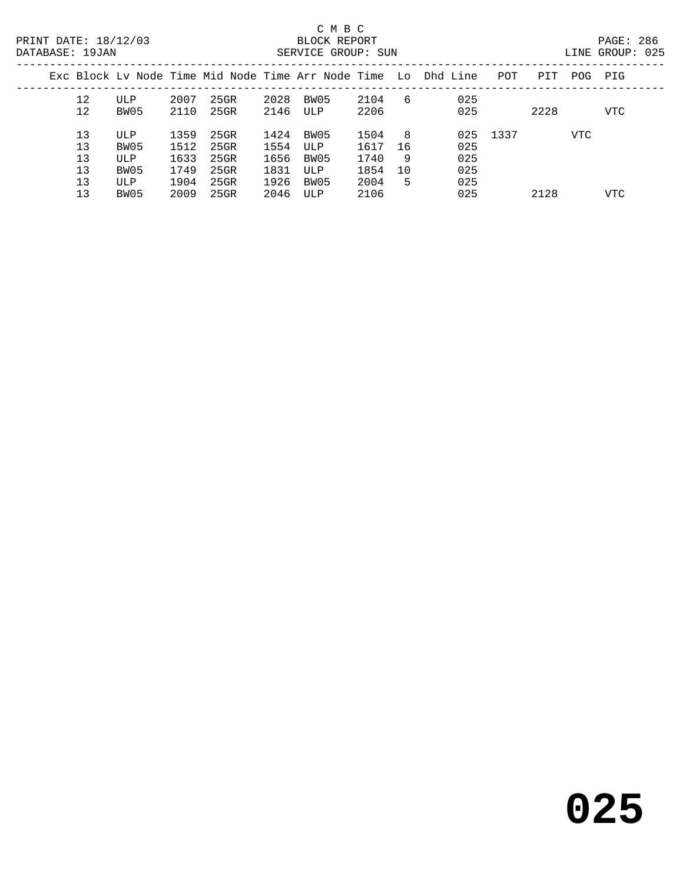| LINE GROUP: | 025 |  |
|-------------|-----|--|

|          |             |              |                 |              |             |              |          | Exc Block Ly Node Time Mid Node Time Arr Node Time Lo Dhd Line | POT  | PIT  | POG | PIG        |  |
|----------|-------------|--------------|-----------------|--------------|-------------|--------------|----------|----------------------------------------------------------------|------|------|-----|------------|--|
| 12<br>12 | ULP<br>BW05 | 2007<br>2110 | 25GR<br>$25$ GR | 2028<br>2146 | BW05<br>ULP | 2104<br>2206 | 6        | 025<br>025                                                     |      | 2228 |     | <b>VTC</b> |  |
| 13<br>13 | ULP<br>BW05 | 1359<br>1512 | 25GR<br>25GR    | 1424<br>1554 | BW05<br>ULP | 1504<br>1617 | 8<br>-16 | 025<br>025                                                     | 1337 |      | VTC |            |  |
| 13       | ULP         | 1633         | 25GR            | 1656         | BW05        | 1740         | 9        | 025                                                            |      |      |     |            |  |
| 13<br>13 | BW05<br>ULP | 1749<br>1904 | 25GR<br>25GR    | 1831<br>1926 | ULP<br>BW05 | 1854<br>2004 | 10<br>5  | 025<br>025                                                     |      |      |     |            |  |
| 13       | BW05        | 2009         | 25GR            | 2046         | ULP         | 2106         |          | 025                                                            |      | 2128 |     | VTC        |  |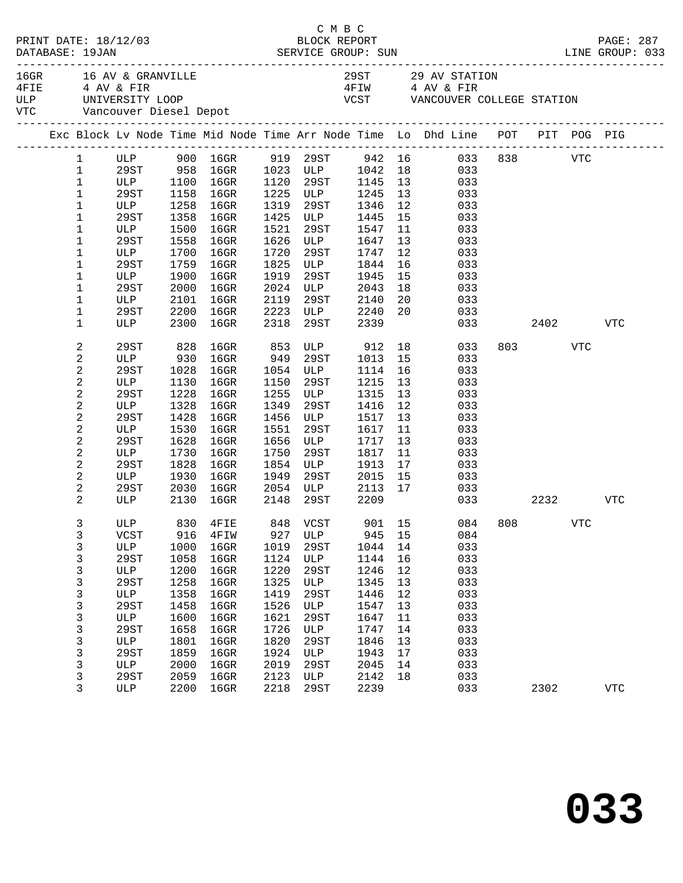| C M B C<br>BLOCK REPORT<br>PRINT DATE: 18/12/03<br>DATABASE: 19JAN SERVICE GROUP: SUN<br>DATABASE: 19JAN SERVICE GROUP: SUN LINE GROUP: 033<br>DATABASE: 19JAN |                                                      |             |      |                                 |      |                                                                           |      |    |                                                                                    |     |           | PAGE: 287 |            |  |
|----------------------------------------------------------------------------------------------------------------------------------------------------------------|------------------------------------------------------|-------------|------|---------------------------------|------|---------------------------------------------------------------------------|------|----|------------------------------------------------------------------------------------|-----|-----------|-----------|------------|--|
|                                                                                                                                                                | 16GR 16 AV & GRANVILLE<br>VTC Vancouver Diesel Depot |             |      |                                 |      | ULP UNIVERSITY LOOP<br>VTC Vandouter L'<br>VCST VANCOUVER COLLEGE STATION |      |    | 29ST 29 AV STATION<br>4FIW 4 AV & FIR                                              |     |           |           |            |  |
|                                                                                                                                                                |                                                      |             |      |                                 |      |                                                                           |      |    | Exc Block Lv Node Time Mid Node Time Arr Node Time Lo Dhd Line POT PIT POG PIG     |     |           |           |            |  |
|                                                                                                                                                                |                                                      |             |      |                                 |      |                                                                           |      |    | 1 ULP 900 16GR 919 29ST 942 16 033 838 VTC<br>1 29ST 958 16GR 1023 ULP 1042 18 033 |     |           |           |            |  |
|                                                                                                                                                                |                                                      |             |      |                                 |      |                                                                           |      |    |                                                                                    |     |           |           |            |  |
|                                                                                                                                                                | $\mathbf{1}$                                         |             |      | ULP 1100 16GR 1120 29ST 1145 13 |      |                                                                           |      |    | 033                                                                                |     |           |           |            |  |
|                                                                                                                                                                | $\mathbf{1}$                                         | 29ST        | 1158 | 16GR                            |      | 1225 ULP                                                                  | 1245 | 13 | 033                                                                                |     |           |           |            |  |
|                                                                                                                                                                | $\mathbf 1$                                          | ULP         | 1258 | $16$ GR                         |      | 1319 29ST<br>1425 ULP                                                     | 1346 | 12 | 033                                                                                |     |           |           |            |  |
|                                                                                                                                                                | $\mathbf 1$                                          | 29ST        | 1358 | 16GR                            |      |                                                                           | 1445 | 15 | 033                                                                                |     |           |           |            |  |
|                                                                                                                                                                | $\mathbf{1}$                                         | ULP         | 1500 | 16GR                            | 1521 | 29ST                                                                      | 1547 | 11 | 033                                                                                |     |           |           |            |  |
|                                                                                                                                                                | $\mathbf 1$                                          | 29ST        | 1558 | 16GR                            | 1626 | <b>ULP</b>                                                                | 1647 | 13 | 033                                                                                |     |           |           |            |  |
|                                                                                                                                                                | $\mathbf 1$                                          | ULP         | 1700 | $16$ GR                         |      | 1720 29ST<br>1825 ULP                                                     | 1747 | 12 | 033                                                                                |     |           |           |            |  |
|                                                                                                                                                                | $\mathbf 1$                                          | 29ST        | 1759 | $16$ GR                         |      |                                                                           | 1844 | 16 | 033                                                                                |     |           |           |            |  |
|                                                                                                                                                                | $\mathbf 1$                                          | ULP         | 1900 | $16$ GR                         | 1919 | 29ST                                                                      | 1945 | 15 | 033                                                                                |     |           |           |            |  |
|                                                                                                                                                                | $\mathbf{1}$                                         | 29ST        | 2000 | $16$ GR                         | 2024 | ULP                                                                       | 2043 | 18 | 033                                                                                |     |           |           |            |  |
|                                                                                                                                                                | $\mathbf 1$                                          | ULP         | 2101 | $16$ GR                         |      |                                                                           | 2140 | 20 | 033                                                                                |     |           |           |            |  |
|                                                                                                                                                                | $\mathbf 1$                                          | 29ST        | 2200 | $16$ GR                         |      | 2119 29ST<br>2223 ULP                                                     | 2240 | 20 | 033                                                                                |     |           |           |            |  |
|                                                                                                                                                                | $\mathbf 1$                                          | ULP         | 2300 | 16GR                            |      | 2318 29ST                                                                 | 2339 |    | 033                                                                                |     |           | 2402      | <b>VTC</b> |  |
|                                                                                                                                                                | $\sqrt{2}$                                           | 29ST        | 828  | 16GR                            | 853  |                                                                           |      |    | 18<br>033                                                                          |     | 803 — 100 | VTC       |            |  |
|                                                                                                                                                                | $\sqrt{2}$                                           | ULP         | 930  | $16$ GR                         |      | 949 29ST                                                                  | 1013 | 15 | 033                                                                                |     |           |           |            |  |
|                                                                                                                                                                | $\sqrt{2}$                                           | 29ST        | 1028 | $16$ GR                         | 1054 | ULP                                                                       | 1114 | 16 | 033                                                                                |     |           |           |            |  |
|                                                                                                                                                                | $\sqrt{2}$                                           | ULP         | 1130 | 16GR                            | 1150 | 29ST                                                                      | 1215 | 13 | 033                                                                                |     |           |           |            |  |
|                                                                                                                                                                | $\sqrt{2}$                                           | 29ST        | 1228 | $16$ GR                         | 1255 | ULP                                                                       | 1315 | 13 | 033                                                                                |     |           |           |            |  |
|                                                                                                                                                                | $\sqrt{2}$                                           | ULP         | 1328 | $16$ GR                         | 1349 | 29ST                                                                      | 1416 | 12 | 033                                                                                |     |           |           |            |  |
|                                                                                                                                                                |                                                      |             | 1428 |                                 | 1456 | ULP                                                                       | 1517 | 13 |                                                                                    |     |           |           |            |  |
|                                                                                                                                                                | $\overline{\mathbf{c}}$                              | 29ST        |      | 16GR                            |      |                                                                           |      |    | 033                                                                                |     |           |           |            |  |
|                                                                                                                                                                | $\sqrt{2}$                                           | ULP         | 1530 | 16GR                            | 1551 | 29ST                                                                      | 1617 | 11 | 033                                                                                |     |           |           |            |  |
|                                                                                                                                                                | 2                                                    | 29ST        | 1628 | 16GR                            | 1656 | ULP                                                                       | 1717 | 13 | 033                                                                                |     |           |           |            |  |
|                                                                                                                                                                | $\sqrt{2}$                                           | ULP         | 1730 | 16GR                            | 1750 | 29ST                                                                      | 1817 | 11 | 033                                                                                |     |           |           |            |  |
|                                                                                                                                                                | 2                                                    | 29ST        | 1828 | 16GR                            | 1854 | ULP                                                                       | 1913 | 17 | 033                                                                                |     |           |           |            |  |
|                                                                                                                                                                | $\overline{a}$                                       | ULP         | 1930 | 16GR                            | 1949 | 29ST                                                                      | 2015 | 15 | 033                                                                                |     |           |           |            |  |
|                                                                                                                                                                | 2                                                    | 29ST        | 2030 | $16$ GR                         |      | 2054 ULP 2113                                                             |      | 17 | 033                                                                                |     |           |           |            |  |
|                                                                                                                                                                | $\overline{a}$                                       | ULP         | 2130 | $16$ GR                         | 2148 | 29ST                                                                      | 2209 |    |                                                                                    | 033 | 2232      |           | VTC        |  |
|                                                                                                                                                                | 3                                                    |             |      |                                 |      |                                                                           |      |    | ULP 830 4FIE 848 VCST 901 15 084 808                                               |     |           | VTC       |            |  |
|                                                                                                                                                                | 3                                                    | VCST        | 916  | 4FIW                            | 927  | ULP                                                                       | 945  | 15 | 084                                                                                |     |           |           |            |  |
|                                                                                                                                                                | $\mathsf{3}$                                         | ULP         | 1000 | $16$ GR                         | 1019 | 29ST                                                                      | 1044 | 14 | 033                                                                                |     |           |           |            |  |
|                                                                                                                                                                | 3                                                    | <b>29ST</b> | 1058 | $16$ GR                         | 1124 | ULP                                                                       | 1144 | 16 | 033                                                                                |     |           |           |            |  |
|                                                                                                                                                                | 3                                                    | ULP         | 1200 | $16$ GR                         | 1220 | 29ST                                                                      | 1246 | 12 | 033                                                                                |     |           |           |            |  |
|                                                                                                                                                                | 3                                                    | <b>29ST</b> | 1258 | $16$ GR                         | 1325 | ULP                                                                       | 1345 | 13 | 033                                                                                |     |           |           |            |  |
|                                                                                                                                                                | $\mathsf{3}$                                         | ULP         | 1358 | 16GR                            | 1419 | 29ST                                                                      | 1446 | 12 | 033                                                                                |     |           |           |            |  |
|                                                                                                                                                                | $\mathsf 3$                                          | <b>29ST</b> | 1458 | $16$ GR                         | 1526 | ULP                                                                       | 1547 | 13 | 033                                                                                |     |           |           |            |  |
|                                                                                                                                                                | 3                                                    | ULP         | 1600 | $16$ GR                         | 1621 | 29ST                                                                      | 1647 | 11 | 033                                                                                |     |           |           |            |  |
|                                                                                                                                                                | $\mathsf 3$                                          | 29ST        | 1658 | $16$ GR                         | 1726 | ULP                                                                       | 1747 | 14 | 033                                                                                |     |           |           |            |  |
|                                                                                                                                                                | $\mathsf{3}$                                         | ULP         | 1801 | $16$ GR                         | 1820 | 29ST                                                                      | 1846 | 13 | 033                                                                                |     |           |           |            |  |
|                                                                                                                                                                | $\mathsf 3$                                          | <b>29ST</b> | 1859 | $16$ GR                         | 1924 | ULP                                                                       | 1943 | 17 | 033                                                                                |     |           |           |            |  |
|                                                                                                                                                                |                                                      |             | 2000 |                                 | 2019 | 29ST                                                                      | 2045 | 14 | 033                                                                                |     |           |           |            |  |
|                                                                                                                                                                | 3                                                    | ULP<br>29ST | 2059 | $16$ GR<br>$16$ GR              | 2123 | ULP                                                                       | 2142 | 18 | 033                                                                                |     |           |           |            |  |
|                                                                                                                                                                | 3                                                    |             |      |                                 |      |                                                                           |      |    |                                                                                    |     |           |           |            |  |
|                                                                                                                                                                | 3                                                    | ULP         | 2200 | $16$ GR                         | 2218 | 29ST                                                                      | 2239 |    | 033                                                                                |     | 2302      |           | <b>VTC</b> |  |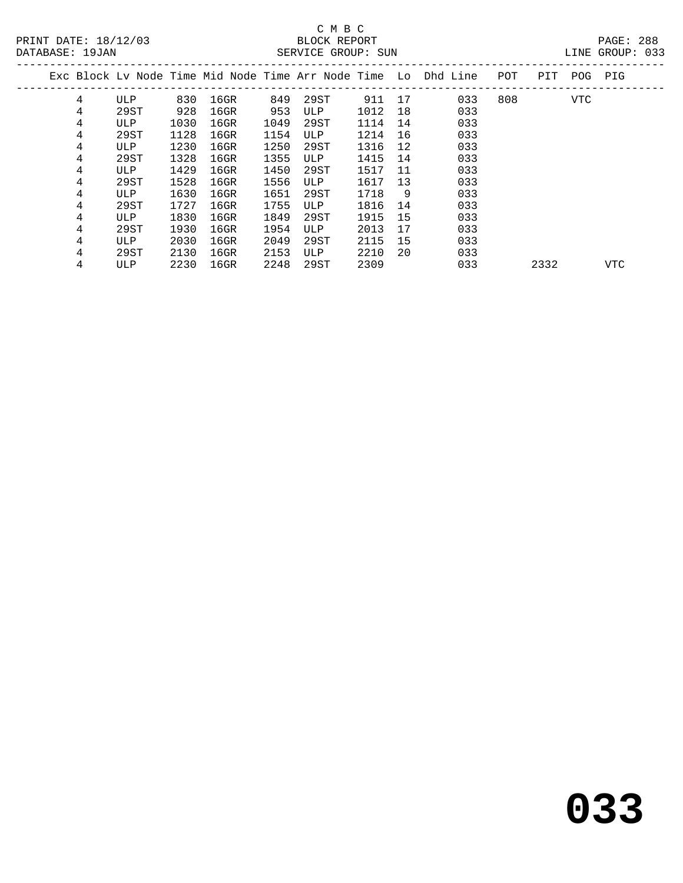|  |   |      |      |         |      |      |      |     | Exc Block Ly Node Time Mid Node Time Arr Node Time Lo Dhd Line | POT | PIT  | POG | PIG |  |
|--|---|------|------|---------|------|------|------|-----|----------------------------------------------------------------|-----|------|-----|-----|--|
|  | 4 | ULP  | 830  | $16$ GR | 849  | 29ST | 911  | 17  | 033                                                            | 808 |      | VTC |     |  |
|  | 4 | 29ST | 928  | 16GR    | 953  | ULP  | 1012 | 18  | 033                                                            |     |      |     |     |  |
|  | 4 | ULP  | 1030 | $16$ GR | 1049 | 29ST | 1114 | 14  | 033                                                            |     |      |     |     |  |
|  | 4 | 29ST | 1128 | $16$ GR | 1154 | ULP  | 1214 | 16  | 033                                                            |     |      |     |     |  |
|  | 4 | ULP  | 1230 | $16$ GR | 1250 | 29ST | 1316 | 12  | 033                                                            |     |      |     |     |  |
|  | 4 | 29ST | 1328 | $16$ GR | 1355 | ULP  | 1415 | 14  | 033                                                            |     |      |     |     |  |
|  | 4 | ULP  | 1429 | 16GR    | 1450 | 29ST | 1517 | -11 | 033                                                            |     |      |     |     |  |
|  | 4 | 29ST | 1528 | 16GR    | 1556 | ULP  | 1617 | 13  | 033                                                            |     |      |     |     |  |
|  | 4 | ULP  | 1630 | $16$ GR | 1651 | 29ST | 1718 | 9   | 033                                                            |     |      |     |     |  |
|  | 4 | 29ST | 1727 | 16GR    | 1755 | ULP  | 1816 | 14  | 033                                                            |     |      |     |     |  |
|  | 4 | ULP  | 1830 | 16GR    | 1849 | 29ST | 1915 | 15  | 033                                                            |     |      |     |     |  |
|  | 4 | 29ST | 1930 | $16$ GR | 1954 | ULP  | 2013 | 17  | 033                                                            |     |      |     |     |  |
|  | 4 | ULP  | 2030 | $16$ GR | 2049 | 29ST | 2115 | 15  | 033                                                            |     |      |     |     |  |
|  | 4 | 29ST | 2130 | $16$ GR | 2153 | ULP  | 2210 | 20  | 033                                                            |     |      |     |     |  |
|  | 4 | ULP  | 2230 | $16$ GR | 2248 | 29ST | 2309 |     | 033                                                            |     | 2332 |     | VTC |  |
|  |   |      |      |         |      |      |      |     |                                                                |     |      |     |     |  |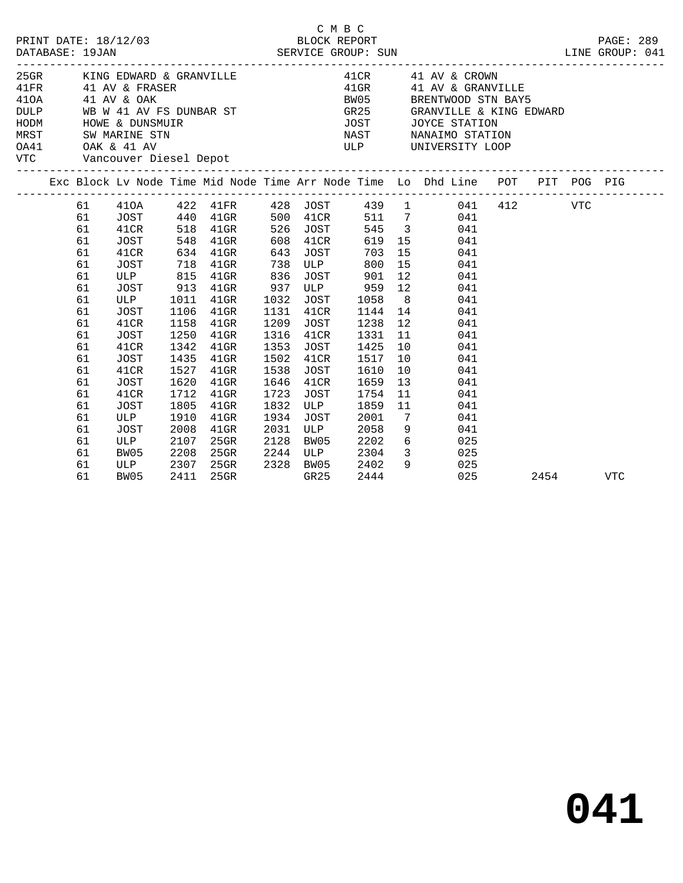| DATABASE: 19JAN |                                                                      | PRINT DATE: 18/12/03                                                                                                                                                                                    |                                                                              | 2/03 BLOCK REPORT<br>SERVICE GROUP: SUN                                                                           |                                                                      |                                                                                                     | C M B C                                                                              |                                        | LINE GROUP: 041                                                                                                                                                                                 |      | PAGE: 289 |
|-----------------|----------------------------------------------------------------------|---------------------------------------------------------------------------------------------------------------------------------------------------------------------------------------------------------|------------------------------------------------------------------------------|-------------------------------------------------------------------------------------------------------------------|----------------------------------------------------------------------|-----------------------------------------------------------------------------------------------------|--------------------------------------------------------------------------------------|----------------------------------------|-------------------------------------------------------------------------------------------------------------------------------------------------------------------------------------------------|------|-----------|
|                 |                                                                      | 25GR KING EDWARD & GRANVILLE<br>41FR 41 AV & FRASER<br>410A 41 AV & OAK<br>DULP WB W 41 AV FS DUNBAR ST<br>HODM HOWE & DUNSMUIR<br>MRST SW MARINE STN<br>OA41 OAK & 41 AV<br>VTC Vancouver Diesel Depot |                                                                              |                                                                                                                   |                                                                      |                                                                                                     | <b>BW05</b>                                                                          |                                        | 41 CR 41 AV & CROWN<br>41 GR 41 AV & CROWN<br>41GR 41 AV & GRANVILLE<br>BRENTWOOD STN BAY5<br>GR25 GRANVILLE & KING EDWARD<br>JOST JOYCE STATION<br>NAST NANAIMO STATION<br>ULP UNIVERSITY LOOP |      |           |
|                 |                                                                      |                                                                                                                                                                                                         |                                                                              |                                                                                                                   |                                                                      |                                                                                                     |                                                                                      |                                        | Exc Block Lv Node Time Mid Node Time Arr Node Time Lo Dhd Line POT PIT POG PIG                                                                                                                  |      |           |
|                 | 61<br>61<br>61<br>61<br>61<br>61<br>61<br>61<br>61<br>61<br>61<br>61 | JOST<br>41CR<br>JOST<br>ULP 815 41GR<br>JOST<br>ULP<br>JOST<br>41CR<br>JOST                                                                                                                             | 1106<br>1158<br>1250                                                         | 548 41GR<br>634 41GR 643<br>718 41GR 738<br>913 41GR<br>1011 41GR<br>$41$ GR<br>$41$ GR<br>$41$ GR                | 836<br>937<br>1032<br>1131<br>1209<br>1316                           | 608 41CR<br>JOST<br><b>ULP</b><br>JOST<br>41CR<br>JOST<br>41CR                                      | 703<br>800<br>JOST 901<br>ULP 959 12<br>1058<br>1144 14<br>1238<br>1331              | 12<br>11                               | 619 15<br>041<br>15<br>041<br>15<br>041<br>12<br>041<br>041<br>8<br>041<br>041<br>041<br>041                                                                                                    |      |           |
|                 | 61<br>61<br>61<br>61<br>61<br>61<br>61<br>61<br>61<br>61<br>61       | 41CR<br>JOST<br>41CR<br>JOST<br>41CR<br><b>JOST</b><br>ULP<br>JOST<br>ULP<br>BW05<br>ULP<br>BW05                                                                                                        | 1342<br>1435<br>1527<br>1620<br>1712<br>1805<br>1910<br>2008<br>2107<br>2208 | $41$ GR<br>$41$ GR<br>$41$ GR<br>$41$ GR<br>$41$ GR<br>$41$ GR<br>$41$ GR<br>$41$ GR<br>25GR<br>25GR<br>2307 25GR | 1353<br>1502<br>1538<br>1646<br>1723<br>1832<br>1934<br>2031<br>2128 | JOST<br>41CR<br>JOST<br>41CR<br>JOST<br>ULP<br>JOST<br>ULP<br>BW05<br>2244 ULP<br>2328 BW05<br>GR25 | 1425<br>1517<br>1610<br>1659<br>1754<br>1859<br>2001<br>2058<br>2202<br>2304<br>2402 | 10<br>10<br>10<br>$7\overline{ }$<br>9 | 041<br>041<br>041<br>13<br>041<br>11<br>041<br>11<br>041<br>041<br>$9 \left( \frac{1}{2} \right)$<br>041<br>6 <sup>6</sup><br>025<br>3 025<br>025                                               |      |           |
|                 | 61                                                                   | BW05                                                                                                                                                                                                    | 2411                                                                         | 25GR                                                                                                              |                                                                      | GR25                                                                                                | 2444                                                                                 |                                        | 025                                                                                                                                                                                             | 2454 | VTC       |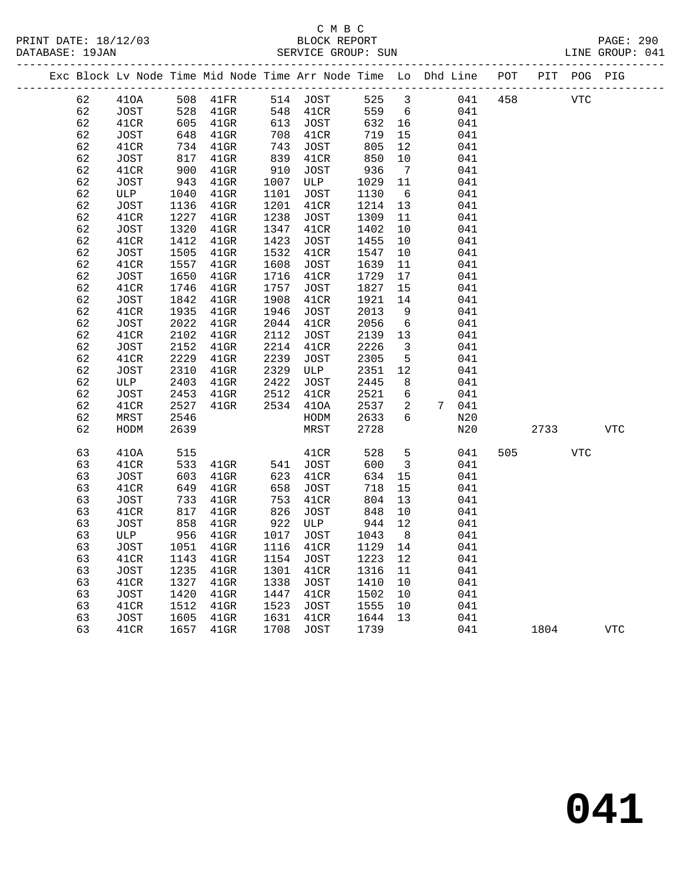# C M B C<br>BLOCK REPORT SERVICE GROUP: SUN

PRINT DATE: 18/12/03 BLOCK REPORT PAGE: 290

|  |          |             |              | Exc Block Lv Node Time Mid Node Time Arr Node Time Lo Dhd Line |              |             |              |                         |            | POT |      | PIT POG PIG |            |
|--|----------|-------------|--------------|----------------------------------------------------------------|--------------|-------------|--------------|-------------------------|------------|-----|------|-------------|------------|
|  | 62       | 410A        | 508          | 41FR                                                           |              | 514 JOST    | 525          | $\mathbf{3}$            | 041        | 458 |      | <b>VTC</b>  |            |
|  | 62       | JOST        | 528          | $41$ GR                                                        | 548          | 41CR        | 559          | 6                       | 041        |     |      |             |            |
|  | 62       | 41CR        | 605          | 41GR                                                           | 613          | JOST        | 632          | 16                      | 041        |     |      |             |            |
|  | 62       | JOST        | 648          | 41GR                                                           | 708          | 41CR        | 719          | 15                      | 041        |     |      |             |            |
|  | 62       | 41CR        | 734          | 41GR                                                           | 743          | JOST        | 805          | 12                      | 041        |     |      |             |            |
|  | 62       | JOST        | 817          | $41$ GR                                                        | 839          | 41CR        | 850          | 10                      | 041        |     |      |             |            |
|  | 62       | 41CR        | 900          | 41GR                                                           | 910          | JOST        | 936          | $\overline{7}$          | 041        |     |      |             |            |
|  | 62       | JOST        | 943          | $41$ GR                                                        | 1007         | ULP         | 1029         | 11                      | 041        |     |      |             |            |
|  | 62       | ULP         | 1040         | $41$ GR                                                        | 1101         | JOST        | 1130         | - 6                     | 041        |     |      |             |            |
|  | 62       | JOST        | 1136         | $41$ GR                                                        | 1201         | 41CR        | 1214         | 13                      | 041        |     |      |             |            |
|  | 62       | 41CR        | 1227         | $41$ GR                                                        | 1238         | <b>JOST</b> | 1309         | 11                      | 041        |     |      |             |            |
|  | 62       | <b>JOST</b> | 1320         | $41$ GR                                                        | 1347         | 41CR        | 1402         | 10                      | 041        |     |      |             |            |
|  | 62       | 41CR        | 1412         | $41$ GR                                                        | 1423         | JOST        | 1455         | 10                      | 041        |     |      |             |            |
|  | 62       | JOST        | 1505         | $41$ GR                                                        | 1532         | 41CR        | 1547         | 10                      | 041        |     |      |             |            |
|  | 62       | 41CR        | 1557         | $41$ GR                                                        | 1608         | JOST        | 1639         | 11                      | 041        |     |      |             |            |
|  | 62       | JOST        | 1650         | $41$ GR                                                        | 1716         | 41CR        | 1729         | 17                      | 041        |     |      |             |            |
|  | 62       | 41CR        | 1746         | $41$ GR                                                        | 1757         | JOST        | 1827         | 15                      | 041        |     |      |             |            |
|  | 62       | JOST        | 1842         | $41$ GR                                                        | 1908         | 41CR        | 1921         | 14                      | 041        |     |      |             |            |
|  | 62       | 41CR        | 1935         | $41$ GR                                                        | 1946         | JOST        | 2013         | 9                       | 041        |     |      |             |            |
|  | 62       | JOST        | 2022         | $41$ GR                                                        | 2044         | 41CR        | 2056         | $6\overline{6}$         | 041        |     |      |             |            |
|  | 62       | 41CR        | 2102         | $41$ GR                                                        | 2112         | JOST        | 2139         | 13                      | 041        |     |      |             |            |
|  | 62<br>62 | JOST        | 2152<br>2229 | $41$ GR                                                        | 2214         | 41CR        | 2226<br>2305 | $\overline{3}$          | 041        |     |      |             |            |
|  |          | 41CR        |              | $41$ GR                                                        | 2239         | <b>JOST</b> |              | 5<br>12                 | 041        |     |      |             |            |
|  | 62<br>62 | JOST<br>ULP | 2310         | $41$ GR                                                        | 2329<br>2422 | ULP<br>JOST | 2351<br>2445 | 8                       | 041<br>041 |     |      |             |            |
|  | 62       | JOST        | 2403<br>2453 | $41$ GR<br>$41$ GR                                             | 2512         | 41CR        | 2521         | 6                       | 041        |     |      |             |            |
|  | 62       | 41CR        | 2527         | 41GR                                                           |              | 2534 410A   | 2537         | 2                       | 7 041      |     |      |             |            |
|  | 62       | MRST        | 2546         |                                                                |              | HODM        | 2633         | 6                       | N20        |     |      |             |            |
|  | 62       | HODM        | 2639         |                                                                |              | MRST        | 2728         |                         | N20        |     | 2733 |             | <b>VTC</b> |
|  |          |             |              |                                                                |              |             |              |                         |            |     |      |             |            |
|  | 63       | 410A        | 515          |                                                                |              | 41CR        | 528          | 5                       | 041        | 505 |      | <b>VTC</b>  |            |
|  | 63       | 41CR        | 533          | $41$ GR                                                        | 541          | JOST        | 600          | $\overline{\mathbf{3}}$ | 041        |     |      |             |            |
|  | 63       | JOST        | 603          | 41GR                                                           | 623          | 41CR        | 634          | 15                      | 041        |     |      |             |            |
|  | 63       | 41CR        | 649          | 41GR                                                           | 658          | <b>JOST</b> | 718          | 15                      | 041        |     |      |             |            |
|  | 63       | <b>JOST</b> | 733          | $41$ GR                                                        | 753          | 41CR        | 804          | 13                      | 041        |     |      |             |            |
|  | 63       | 41CR        | 817          | $41$ GR                                                        | 826          | JOST        | 848          | 10                      | 041        |     |      |             |            |
|  | 63       | JOST        | 858          | $41$ GR                                                        | 922          | ULP         | 944          | 12                      | 041        |     |      |             |            |
|  | 63       | ULP         | 956          | $41$ GR                                                        | 1017         | JOST        | 1043         | 8                       | 041        |     |      |             |            |
|  | 63       | JOST        | 1051         | $41$ GR                                                        | 1116         | 41CR        | 1129         | 14                      | 041        |     |      |             |            |
|  | 63       | 41CR        | 1143         | $41$ GR                                                        | 1154         | JOST        | 1223         | 12                      | 041        |     |      |             |            |
|  | 63       | JOST        | 1235         | $41$ GR                                                        | 1301         | 41CR        | 1316         | 11                      | 041        |     |      |             |            |
|  | 63       | 41CR        | 1327         | $41$ GR                                                        | 1338         | JOST        | 1410         | 10                      | 041        |     |      |             |            |
|  | 63       | JOST        | 1420         | $41$ GR                                                        | 1447         | 41CR        | 1502         | 10                      | 041        |     |      |             |            |
|  | 63       | 41CR        | 1512         | $41$ GR                                                        | 1523         | JOST        | 1555         | 10                      | 041        |     |      |             |            |
|  | 63       | JOST        | 1605         | $41$ GR                                                        | 1631         | 41CR        | 1644         | 13                      | 041        |     |      |             |            |
|  | 63       | 41CR        | 1657         | $41$ GR                                                        | 1708         | JOST        | 1739         |                         | 041        |     | 1804 |             | <b>VTC</b> |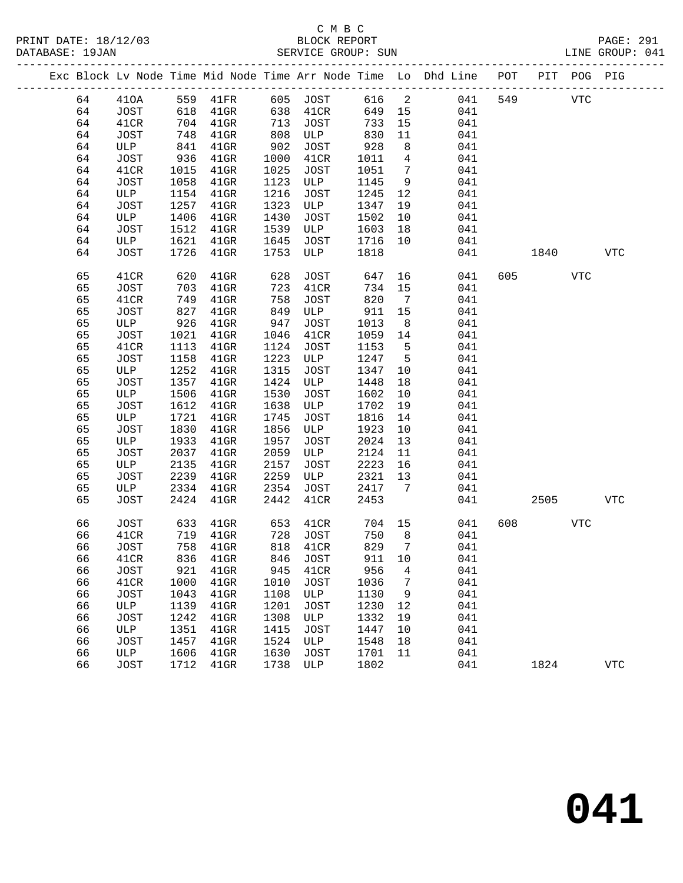PRINT DATE: 18/12/03 BLOCK REPORT PAGE: 291

# C M B C<br>BLOCK REPORT SERVICE GROUP: SUN

|  |    |      |      |                   |      |      |        |                 | Exc Block Lv Node Time Mid Node Time Arr Node Time Lo Dhd Line POT PIT POG PIG |     |           |            |              |
|--|----|------|------|-------------------|------|------|--------|-----------------|--------------------------------------------------------------------------------|-----|-----------|------------|--------------|
|  | 64 | 410A |      | 559 41FR 605 JOST |      |      | 616 2  |                 | 041                                                                            | 549 |           | <b>VTC</b> |              |
|  | 64 | JOST | 618  | $41$ GR           | 638  | 41CR | 649 15 |                 | 041                                                                            |     |           |            |              |
|  | 64 | 41CR | 704  | $41$ GR           | 713  | JOST | 733    | 15              | 041                                                                            |     |           |            |              |
|  | 64 | JOST | 748  | $41$ GR           | 808  | ULP  | 830    | 11              | 041                                                                            |     |           |            |              |
|  | 64 | ULP  | 841  | $41$ GR           | 902  | JOST | 928    | 8               | 041                                                                            |     |           |            |              |
|  | 64 | JOST | 936  | $41$ GR           | 1000 | 41CR | 1011   | $\overline{4}$  | 041                                                                            |     |           |            |              |
|  | 64 | 41CR | 1015 | $41$ GR           | 1025 | JOST | 1051   | $\overline{7}$  | 041                                                                            |     |           |            |              |
|  | 64 | JOST | 1058 | $41$ GR           | 1123 | ULP  | 1145   | 9               | 041                                                                            |     |           |            |              |
|  | 64 | ULP  | 1154 | $41$ GR           | 1216 | JOST | 1245   | 12              | 041                                                                            |     |           |            |              |
|  | 64 | JOST | 1257 | $41$ GR           | 1323 | ULP  | 1347   | 19              | 041                                                                            |     |           |            |              |
|  | 64 | ULP  | 1406 | $41$ GR           | 1430 | JOST | 1502   | 10              | 041                                                                            |     |           |            |              |
|  | 64 | JOST | 1512 | $41$ GR           | 1539 | ULP  | 1603   | 18              | 041                                                                            |     |           |            |              |
|  | 64 | ULP  | 1621 | $41$ GR           | 1645 | JOST | 1716   | 10              | 041                                                                            |     |           |            |              |
|  | 64 | JOST | 1726 | $41$ GR           | 1753 | ULP  | 1818   |                 | 041                                                                            |     | 1840      |            | <b>VTC</b>   |
|  | 65 | 41CR | 620  | $41$ GR           | 628  | JOST | 647    | 16              | 041                                                                            |     | 605 — 100 | VTC        |              |
|  | 65 | JOST | 703  | $41$ GR           | 723  | 41CR | 734    | 15              | 041                                                                            |     |           |            |              |
|  | 65 | 41CR | 749  | $41$ GR           | 758  | JOST | 820    | $\overline{7}$  | 041                                                                            |     |           |            |              |
|  | 65 | JOST | 827  | $41$ GR           | 849  | ULP  | 911    | 15              | 041                                                                            |     |           |            |              |
|  | 65 | ULP  | 926  | $41$ GR           | 947  | JOST | 1013   | 8 <sup>8</sup>  | 041                                                                            |     |           |            |              |
|  | 65 | JOST | 1021 | $41$ GR           | 1046 | 41CR | 1059   | 14              | 041                                                                            |     |           |            |              |
|  | 65 | 41CR | 1113 | $41$ GR           | 1124 | JOST | 1153   | $5^{\circ}$     | 041                                                                            |     |           |            |              |
|  | 65 | JOST | 1158 | $41$ GR           | 1223 | ULP  | 1247   | $5^{\circ}$     | 041                                                                            |     |           |            |              |
|  | 65 | ULP  | 1252 | $41$ GR           | 1315 | JOST | 1347   | 10              | 041                                                                            |     |           |            |              |
|  | 65 | JOST | 1357 | $41$ GR           | 1424 | ULP  | 1448   | 18              | 041                                                                            |     |           |            |              |
|  | 65 | ULP  | 1506 | $41$ GR           | 1530 | JOST | 1602   | 10              | 041                                                                            |     |           |            |              |
|  | 65 | JOST | 1612 | $41$ GR           | 1638 | ULP  | 1702   | 19              | 041                                                                            |     |           |            |              |
|  | 65 | ULP  | 1721 | $41$ GR           | 1745 | JOST | 1816   | 14              | 041                                                                            |     |           |            |              |
|  | 65 | JOST | 1830 | $41$ GR           | 1856 | ULP  | 1923   | 10              | 041                                                                            |     |           |            |              |
|  | 65 | ULP  | 1933 | $41$ GR           | 1957 | JOST | 2024   | 13              | 041                                                                            |     |           |            |              |
|  | 65 | JOST | 2037 | $41$ GR           | 2059 | ULP  | 2124   | 11              | 041                                                                            |     |           |            |              |
|  | 65 | ULP  | 2135 | $41$ GR           | 2157 | JOST | 2223   | 16              | 041                                                                            |     |           |            |              |
|  | 65 | JOST | 2239 | $41$ GR           | 2259 | ULP  | 2321   | 13              | 041                                                                            |     |           |            |              |
|  | 65 | ULP  | 2334 | $41$ GR           | 2354 | JOST | 2417   | $7\overline{ }$ | 041                                                                            |     |           |            |              |
|  | 65 | JOST | 2424 | $41$ GR           | 2442 | 41CR | 2453   |                 | 041                                                                            |     | 2505      |            | VTC          |
|  | 66 | JOST | 633  | 41GR              | 653  | 41CR | 704 15 |                 | 041                                                                            | 608 |           | <b>VTC</b> |              |
|  | 66 | 41CR | 719  | $41$ GR           | 728  | JOST | 750    | 8               | 041                                                                            |     |           |            |              |
|  | 66 | JOST | 758  | $41$ GR           | 818  | 41CR | 829    | $\overline{7}$  | 041                                                                            |     |           |            |              |
|  | 66 | 41CR |      | 836 41GR 846 JOST |      |      | 911 10 |                 | 041                                                                            |     |           |            |              |
|  | 66 | JOST | 921  | $41$ GR           | 945  | 41CR | 956    | 4               | 041                                                                            |     |           |            |              |
|  | 66 | 41CR | 1000 | $41$ GR           | 1010 | JOST | 1036   | 7               | 041                                                                            |     |           |            |              |
|  | 66 | JOST | 1043 | 41GR              | 1108 | ULP  | 1130   | 9               | 041                                                                            |     |           |            |              |
|  | 66 | ULP  | 1139 | $41$ GR           | 1201 | JOST | 1230   | 12              | 041                                                                            |     |           |            |              |
|  | 66 | JOST | 1242 | $41$ GR           | 1308 | ULP  | 1332   | 19              | 041                                                                            |     |           |            |              |
|  | 66 | ULP  | 1351 | $41$ GR           | 1415 | JOST | 1447   | 10              | 041                                                                            |     |           |            |              |
|  | 66 | JOST | 1457 | $41$ GR           | 1524 | ULP  | 1548   | 18              | 041                                                                            |     |           |            |              |
|  | 66 | ULP  | 1606 | $41$ GR           | 1630 | JOST | 1701   | 11              | 041                                                                            |     |           |            |              |
|  | 66 | JOST | 1712 | $41$ GR           | 1738 | ULP  | 1802   |                 | 041                                                                            |     | 1824      |            | $_{\rm VTC}$ |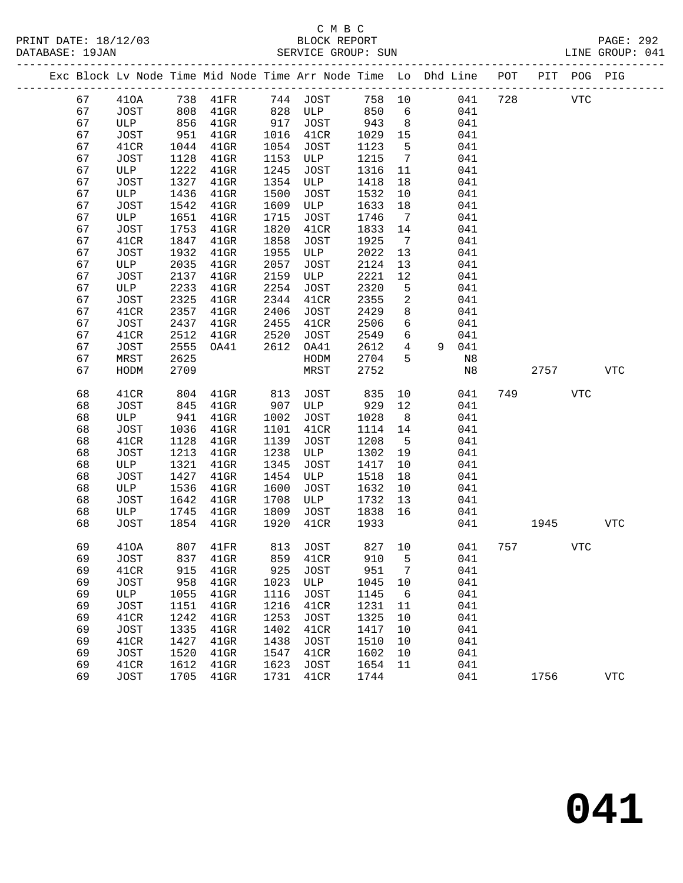## C M B C<br>BLOCK REPORT SERVICE GROUP: SUN

PRINT DATE: 18/12/03 BLOCK REPORT PAGE: 292

|    |             |      |                   |      | Exc Block Lv Node Time Mid Node Time Arr Node Time Lo Dhd Line POT PIT POG PIG |        |                 |       |     |     |            |            |            |
|----|-------------|------|-------------------|------|--------------------------------------------------------------------------------|--------|-----------------|-------|-----|-----|------------|------------|------------|
| 67 | 410A        |      | 738 41FR 744 JOST |      |                                                                                | 758 10 |                 |       | 041 | 728 | <b>VTC</b> |            |            |
| 67 | JOST        |      | 808 41GR          |      | 828 ULP                                                                        | 850    | 6               |       | 041 |     |            |            |            |
| 67 | ULP         |      | 856 41GR          | 917  | JOST                                                                           | 943    | 8 <sup>8</sup>  |       | 041 |     |            |            |            |
| 67 | JOST        | 951  | $41$ GR           | 1016 | 41CR                                                                           | 1029   | 15              |       | 041 |     |            |            |            |
| 67 | 41CR        | 1044 | 41GR              | 1054 | JOST                                                                           | 1123   | $5^{\circ}$     |       | 041 |     |            |            |            |
| 67 | JOST        | 1128 | $41$ GR           | 1153 | ULP                                                                            | 1215   | $\overline{7}$  |       | 041 |     |            |            |            |
| 67 | ULP         | 1222 | $41$ GR           | 1245 | JOST                                                                           | 1316   | 11              |       | 041 |     |            |            |            |
| 67 | JOST        | 1327 | $41$ GR           | 1354 | ULP                                                                            | 1418   | 18              |       | 041 |     |            |            |            |
| 67 | ULP         | 1436 | 41GR              | 1500 | JOST                                                                           | 1532   | 10              |       | 041 |     |            |            |            |
| 67 | JOST        | 1542 | $41$ GR           | 1609 | ULP                                                                            | 1633   | 18              |       | 041 |     |            |            |            |
| 67 | ULP         | 1651 | $41$ GR           | 1715 | JOST                                                                           | 1746   | $\overline{7}$  |       | 041 |     |            |            |            |
| 67 | JOST        | 1753 | $41$ GR           | 1820 | 41CR                                                                           | 1833   | 14              |       | 041 |     |            |            |            |
| 67 | 41CR        | 1847 | $41$ GR           | 1858 | JOST                                                                           | 1925   | $\overline{7}$  |       | 041 |     |            |            |            |
| 67 | JOST        | 1932 | $41$ GR           | 1955 | ULP                                                                            | 2022   | 13              |       | 041 |     |            |            |            |
| 67 | ULP         | 2035 | $41$ GR           | 2057 | JOST                                                                           | 2124   | 13              |       | 041 |     |            |            |            |
| 67 | JOST        | 2137 | 41GR              | 2159 | ULP                                                                            | 2221   | 12              |       | 041 |     |            |            |            |
| 67 | ULP         | 2233 | $41$ GR           | 2254 | JOST                                                                           | 2320   | 5               |       | 041 |     |            |            |            |
| 67 | JOST        | 2325 | $41$ GR           | 2344 | 41CR                                                                           | 2355   | $\overline{a}$  |       | 041 |     |            |            |            |
| 67 | 41CR        | 2357 | $41$ GR           | 2406 | JOST                                                                           | 2429   | 8               |       | 041 |     |            |            |            |
| 67 | JOST        | 2437 | $41$ GR           | 2455 | 41CR                                                                           | 2506   | 6               |       | 041 |     |            |            |            |
| 67 | 41CR        | 2512 | $41$ GR           | 2520 | JOST                                                                           | 2549   | 6               |       | 041 |     |            |            |            |
| 67 | JOST        | 2555 | OA41              | 2612 | OA41                                                                           | 2612   | $\overline{4}$  | 9 041 |     |     |            |            |            |
| 67 | MRST        | 2625 |                   |      | HODM                                                                           | 2704   | 5               |       | N8  |     |            |            |            |
| 67 | HODM        | 2709 |                   |      | MRST                                                                           | 2752   |                 |       | N8  |     | 2757       |            | <b>VTC</b> |
| 68 | 41CR        | 804  | $41$ GR           | 813  | JOST                                                                           | 835    | 10              |       | 041 | 749 |            | <b>VTC</b> |            |
| 68 | JOST        | 845  | $41$ GR           | 907  | ULP                                                                            | 929    | 12              |       | 041 |     |            |            |            |
| 68 | ULP         | 941  | $41$ GR           | 1002 | JOST                                                                           | 1028   | 8 <sup>8</sup>  |       | 041 |     |            |            |            |
| 68 | JOST        | 1036 | $41$ GR           | 1101 | 41CR                                                                           | 1114   | 14              |       | 041 |     |            |            |            |
| 68 | 41CR        | 1128 | 41GR              | 1139 | JOST                                                                           | 1208   | $5^{\circ}$     |       | 041 |     |            |            |            |
| 68 | JOST        | 1213 | $41$ GR           | 1238 | ULP                                                                            | 1302   | 19              |       | 041 |     |            |            |            |
| 68 | ULP         | 1321 | $41$ GR           | 1345 | JOST                                                                           | 1417   | 10              |       | 041 |     |            |            |            |
| 68 | JOST        | 1427 | $41$ GR           | 1454 | ULP                                                                            | 1518   | 18              |       | 041 |     |            |            |            |
| 68 | ULP         | 1536 | 41GR              | 1600 | JOST                                                                           | 1632   | 10              |       | 041 |     |            |            |            |
| 68 | JOST        | 1642 | $41$ GR           | 1708 | ULP                                                                            | 1732   | 13              |       | 041 |     |            |            |            |
| 68 | ULP         | 1745 | $41$ GR           | 1809 | JOST                                                                           | 1838   | 16              |       | 041 |     |            |            |            |
| 68 | JOST        | 1854 | $41$ GR           | 1920 | 41CR                                                                           | 1933   |                 |       | 041 |     | 1945       |            | <b>VTC</b> |
| 69 | 410A        | 807  | $41\mathrm{FR}$   | 813  | JOST                                                                           | 827 10 |                 |       | 041 | 757 |            | VTC        |            |
| 69 | JOST        |      | 837 41GR          |      | 859 41CR                                                                       | 910 5  |                 |       | 041 |     |            |            |            |
| 69 | 41CR        | 915  | $41$ GR           | 925  | JOST                                                                           | 951    | $7\phantom{.0}$ |       | 041 |     |            |            |            |
| 69 | JOST        | 958  | $41$ GR           | 1023 | ULP                                                                            | 1045   | 10              |       | 041 |     |            |            |            |
| 69 | ULP         | 1055 | $41$ GR           | 1116 | JOST                                                                           | 1145   | $6\overline{6}$ |       | 041 |     |            |            |            |
| 69 | JOST        | 1151 | $41$ GR           | 1216 | 41CR                                                                           | 1231   | 11              |       | 041 |     |            |            |            |
| 69 | 41CR        | 1242 | $41$ GR           | 1253 | JOST                                                                           | 1325   | $10 \,$         |       | 041 |     |            |            |            |
| 69 | <b>JOST</b> | 1335 | $41$ GR           | 1402 | 41CR                                                                           | 1417   | 10              |       | 041 |     |            |            |            |
| 69 | 41CR        | 1427 | $41$ GR           | 1438 | JOST                                                                           | 1510   | 10              |       | 041 |     |            |            |            |
| 69 | <b>JOST</b> | 1520 | $41$ GR           | 1547 | 41CR                                                                           | 1602   | 10              |       | 041 |     |            |            |            |
| 69 | 41CR        | 1612 | $41$ GR           | 1623 | JOST                                                                           | 1654   | 11              |       | 041 |     |            |            |            |
| 69 | <b>JOST</b> | 1705 | $41$ GR           | 1731 | 41CR                                                                           | 1744   |                 |       | 041 |     | 1756       |            | <b>VTC</b> |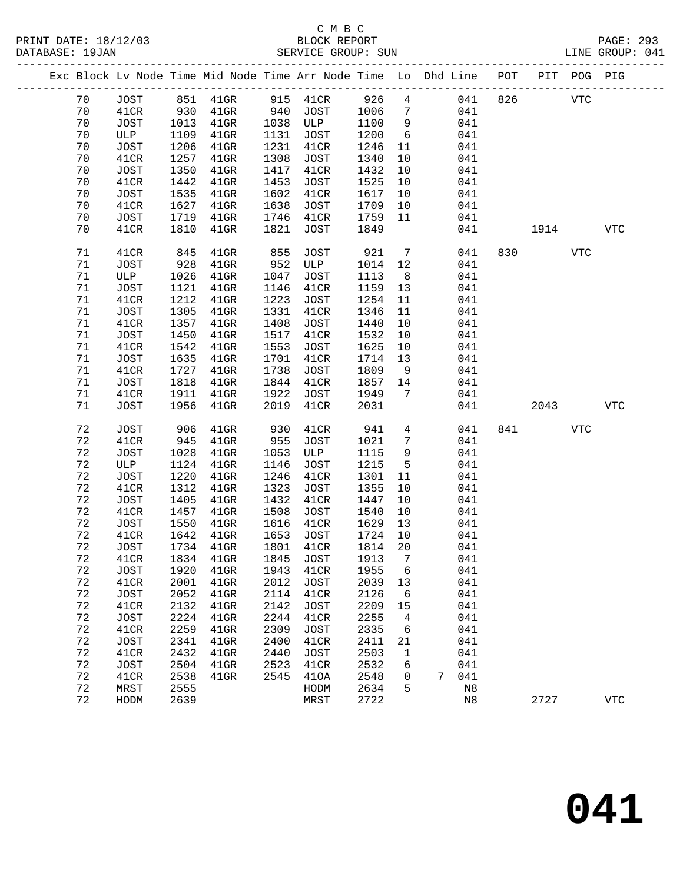PRINT DATE: 18/12/03 BLOCK REPORT PAGE: 293

## C M B C<br>BLOCK REPORT SERVICE GROUP: SUN

|  |             |             |      | Exc Block Lv Node Time Mid Node Time Arr Node Time Lo Dhd Line POT |      |             |      |                 |   |     |     |      | PIT POG PIG |            |
|--|-------------|-------------|------|--------------------------------------------------------------------|------|-------------|------|-----------------|---|-----|-----|------|-------------|------------|
|  | 70          | JOST        |      | 851 41GR                                                           |      | 915 41CR    | 926  | $4\overline{ }$ |   | 041 | 826 |      | <b>VTC</b>  |            |
|  | 70          | 41CR        | 930  | $41$ GR                                                            | 940  | JOST        | 1006 | $\overline{7}$  |   | 041 |     |      |             |            |
|  | 70          | JOST        | 1013 | $41$ GR                                                            | 1038 | ULP         | 1100 | 9               |   | 041 |     |      |             |            |
|  | 70          | ULP         | 1109 | $41$ GR                                                            | 1131 | JOST        | 1200 | $6\overline{6}$ |   | 041 |     |      |             |            |
|  | 70          | JOST        | 1206 | $41$ GR                                                            | 1231 | 41CR        | 1246 | 11              |   | 041 |     |      |             |            |
|  | 70          | 41CR        | 1257 | $41$ GR                                                            | 1308 | JOST        | 1340 | 10              |   | 041 |     |      |             |            |
|  | 70          | JOST        | 1350 | $41$ GR                                                            | 1417 | 41CR        | 1432 | 10              |   | 041 |     |      |             |            |
|  | 70          | 41CR        | 1442 | $41$ GR                                                            | 1453 | JOST        | 1525 | 10              |   | 041 |     |      |             |            |
|  | 70          | <b>JOST</b> | 1535 | $41$ GR                                                            | 1602 | 41CR        | 1617 | 10              |   | 041 |     |      |             |            |
|  | 70          | 41CR        | 1627 | $41$ GR                                                            | 1638 | JOST        | 1709 | 10              |   | 041 |     |      |             |            |
|  | 70          | JOST        | 1719 | $41$ GR                                                            | 1746 | 41CR        | 1759 | 11              |   | 041 |     |      |             |            |
|  | 70          | 41CR        | 1810 | $41$ GR                                                            | 1821 | <b>JOST</b> | 1849 |                 |   | 041 |     | 1914 |             | <b>VTC</b> |
|  |             |             |      |                                                                    |      |             |      |                 |   |     |     |      |             |            |
|  | 71          | 41CR        | 845  | $41$ GR                                                            | 855  | JOST        | 921  | $\overline{7}$  |   | 041 | 830 |      | <b>VTC</b>  |            |
|  | 71          | JOST        | 928  | $41$ GR                                                            | 952  | ULP         | 1014 | 12              |   | 041 |     |      |             |            |
|  | 71          | ULP         | 1026 | $41$ GR                                                            | 1047 | JOST        | 1113 | 8 <sup>8</sup>  |   | 041 |     |      |             |            |
|  | 71          | JOST        | 1121 | $41$ GR                                                            | 1146 | 41CR        | 1159 | 13              |   | 041 |     |      |             |            |
|  | 71          | 41CR        | 1212 | $41$ GR                                                            | 1223 | JOST        | 1254 | 11              |   | 041 |     |      |             |            |
|  | 71          | JOST        | 1305 | $41$ GR                                                            | 1331 | 41CR        | 1346 | 11              |   | 041 |     |      |             |            |
|  | 71          | 41CR        | 1357 | $41$ GR                                                            | 1408 | JOST        | 1440 | 10              |   | 041 |     |      |             |            |
|  | 71          | JOST        | 1450 | $41$ GR                                                            | 1517 | 41CR        | 1532 | 10              |   | 041 |     |      |             |            |
|  | 71          | 41CR        | 1542 | $41$ GR                                                            | 1553 | JOST        | 1625 | 10              |   | 041 |     |      |             |            |
|  | 71          | JOST        | 1635 | $41$ GR                                                            | 1701 | 41CR        | 1714 | 13              |   | 041 |     |      |             |            |
|  | 71          | 41CR        | 1727 | $41$ GR                                                            | 1738 | JOST        | 1809 | 9               |   | 041 |     |      |             |            |
|  | 71          | JOST        | 1818 | $41$ GR                                                            | 1844 | 41CR        | 1857 | 14              |   | 041 |     |      |             |            |
|  | 71          | 41CR        | 1911 | $41$ GR                                                            | 1922 | JOST        | 1949 | 7               |   | 041 |     |      |             |            |
|  | 71          | JOST        | 1956 | $41$ GR                                                            | 2019 | 41CR        | 2031 |                 |   | 041 |     | 2043 |             | <b>VTC</b> |
|  | 72          | JOST        | 906  | $41$ GR                                                            | 930  | 41CR        | 941  | $4\overline{ }$ |   | 041 | 841 |      | <b>VTC</b>  |            |
|  | 72          | 41CR        | 945  | $41$ GR                                                            | 955  | JOST        | 1021 | $7\phantom{.0}$ |   | 041 |     |      |             |            |
|  | 72          | JOST        | 1028 | $41$ GR                                                            | 1053 | ULP         | 1115 | 9               |   | 041 |     |      |             |            |
|  | 72          | ULP         | 1124 | $41$ GR                                                            | 1146 | JOST        | 1215 | $5\phantom{.0}$ |   | 041 |     |      |             |            |
|  | 72          | JOST        | 1220 | $41$ GR                                                            | 1246 | 41CR        | 1301 | 11              |   | 041 |     |      |             |            |
|  | 72          | 41CR        | 1312 | $41$ GR                                                            | 1323 | JOST        | 1355 | 10              |   | 041 |     |      |             |            |
|  | 72          | <b>JOST</b> | 1405 | $41$ GR                                                            | 1432 | 41CR        | 1447 | 10              |   | 041 |     |      |             |            |
|  | 72          | 41CR        | 1457 | $41$ GR                                                            | 1508 | JOST        | 1540 | 10              |   | 041 |     |      |             |            |
|  | 72          | JOST        | 1550 | $41$ GR                                                            | 1616 | 41CR        | 1629 | 13              |   | 041 |     |      |             |            |
|  | 72          | 41CR        | 1642 | $41$ GR                                                            | 1653 | JOST        | 1724 | 10              |   | 041 |     |      |             |            |
|  | 72          | JOST        | 1734 | $41$ GR                                                            | 1801 | 41CR        | 1814 | 20              |   | 041 |     |      |             |            |
|  | 72          | 41CR        |      | 1834 41GR 1845 JOST 1913 7                                         |      |             |      |                 |   | 041 |     |      |             |            |
|  | 72          | JOST        | 1920 | $41$ GR                                                            | 1943 | 41CR        | 1955 | 6               |   | 041 |     |      |             |            |
|  | 72          | 41CR        | 2001 | $41$ GR                                                            | 2012 | <b>JOST</b> | 2039 | 13              |   | 041 |     |      |             |            |
|  | $7\sqrt{2}$ | <b>JOST</b> | 2052 | $41$ GR                                                            | 2114 | 41CR        | 2126 | 6               |   | 041 |     |      |             |            |
|  | 72          | 41CR        | 2132 | $41$ GR                                                            | 2142 | <b>JOST</b> | 2209 | 15              |   | 041 |     |      |             |            |
|  | 72          | JOST        | 2224 | $41$ GR                                                            | 2244 | 41CR        | 2255 | 4               |   | 041 |     |      |             |            |
|  | 72          | 41CR        | 2259 | $41$ GR                                                            | 2309 | <b>JOST</b> | 2335 | 6               |   | 041 |     |      |             |            |
|  | 72          | <b>JOST</b> | 2341 | $41$ GR                                                            | 2400 | 41CR        | 2411 | 21              |   | 041 |     |      |             |            |
|  | 72          | 41CR        | 2432 | $41$ GR                                                            | 2440 | JOST        | 2503 | 1               |   | 041 |     |      |             |            |
|  | 72          | JOST        | 2504 | $41$ GR                                                            | 2523 | 41CR        | 2532 | 6               |   | 041 |     |      |             |            |
|  | 72          | 41CR        | 2538 | $41$ GR                                                            | 2545 | 410A        | 2548 | 0               | 7 | 041 |     |      |             |            |
|  | 72          | MRST        | 2555 |                                                                    |      | HODM        | 2634 | 5               |   | N8  |     |      |             |            |
|  | 72          | HODM        | 2639 |                                                                    |      | MRST        | 2722 |                 |   | N8  |     | 2727 |             | <b>VTC</b> |
|  |             |             |      |                                                                    |      |             |      |                 |   |     |     |      |             |            |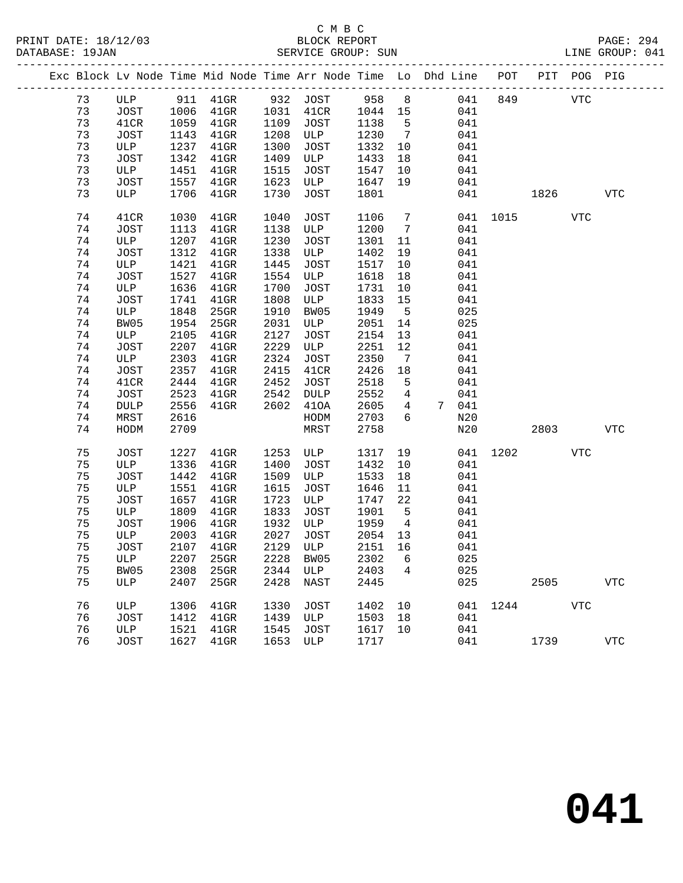PRINT DATE: 18/12/03 BLOCK REPORT PAGE: 294

## C M B C<br>BLOCK REPORT SERVICE GROUP: SUN

|  |    |             |      | Exc Block Lv Node Time Mid Node Time Arr Node Time Lo Dhd Line POT PIT POG PIG |      |                  |         |                 |       |          |      |            |            |
|--|----|-------------|------|--------------------------------------------------------------------------------|------|------------------|---------|-----------------|-------|----------|------|------------|------------|
|  | 73 |             |      | ULP 911 41GR 932 JOST 958                                                      |      |                  |         | 8 <sup>8</sup>  | 041   | 849      |      | <b>VTC</b> |            |
|  | 73 | JOST        | 1006 | $41$ GR                                                                        | 1031 | 41CR             | 1044 15 |                 | 041   |          |      |            |            |
|  | 73 | 41CR        | 1059 | $41$ GR                                                                        | 1109 | JOST             | 1138    | $5^{\circ}$     | 041   |          |      |            |            |
|  | 73 | JOST        | 1143 | $41$ GR                                                                        | 1208 | ULP              | 1230    | $\overline{7}$  | 041   |          |      |            |            |
|  | 73 | ULP         | 1237 | $41$ GR                                                                        | 1300 | JOST             | 1332    | 10              | 041   |          |      |            |            |
|  | 73 | JOST        | 1342 | $41$ GR                                                                        | 1409 | ULP              | 1433    | 18              | 041   |          |      |            |            |
|  | 73 | ULP         | 1451 | $41$ GR                                                                        | 1515 | JOST             | 1547    | 10              | 041   |          |      |            |            |
|  | 73 | JOST        | 1557 | $41$ GR                                                                        | 1623 | ULP              | 1647    | 19              | 041   |          |      |            |            |
|  | 73 | ULP         | 1706 | $41$ GR                                                                        | 1730 | JOST             | 1801    |                 | 041   |          | 1826 |            | VTC        |
|  | 74 | 41CR        | 1030 | $41$ GR                                                                        | 1040 | JOST             | 1106    | $7\overline{ }$ |       | 041 1015 |      | VTC        |            |
|  | 74 | JOST        | 1113 | $41$ GR                                                                        | 1138 | ULP              | 1200    | $\overline{7}$  | 041   |          |      |            |            |
|  | 74 | ULP         | 1207 | $41$ GR                                                                        | 1230 | JOST             | 1301    | 11              | 041   |          |      |            |            |
|  | 74 | JOST        | 1312 | $41$ GR                                                                        | 1338 | ULP              | 1402    | 19              | 041   |          |      |            |            |
|  | 74 | ULP         | 1421 | $41$ GR                                                                        | 1445 | JOST             | 1517    | 10              | 041   |          |      |            |            |
|  | 74 | JOST        | 1527 | $41$ GR                                                                        | 1554 | ULP              | 1618    | 18              | 041   |          |      |            |            |
|  | 74 | ULP         | 1636 | $41$ GR                                                                        | 1700 | JOST             | 1731    | 10              | 041   |          |      |            |            |
|  | 74 | JOST        | 1741 | 41GR                                                                           | 1808 | ULP              | 1833    | 15              | 041   |          |      |            |            |
|  | 74 | ULP         | 1848 | 25GR                                                                           | 1910 | BW05             | 1949    | $5^{\circ}$     | 025   |          |      |            |            |
|  | 74 | BW05        | 1954 | 25GR                                                                           | 2031 | ULP              | 2051    | 14              | 025   |          |      |            |            |
|  | 74 | ULP         | 2105 | $41$ GR                                                                        | 2127 | JOST             | 2154    | 13              | 041   |          |      |            |            |
|  | 74 | JOST        | 2207 | $41$ GR                                                                        | 2229 | ULP              | 2251    | 12              | 041   |          |      |            |            |
|  | 74 | ULP         | 2303 | $41$ GR                                                                        | 2324 | JOST             | 2350    | 7               | 041   |          |      |            |            |
|  | 74 | JOST        | 2357 | $41$ GR                                                                        | 2415 | 41CR             | 2426    | 18              | 041   |          |      |            |            |
|  | 74 | 41CR        | 2444 | $41$ GR                                                                        | 2452 | JOST             | 2518    | 5               | 041   |          |      |            |            |
|  | 74 | JOST        | 2523 | $41$ GR                                                                        | 2542 | DULP             | 2552    | $\overline{4}$  | 041   |          |      |            |            |
|  | 74 | <b>DULP</b> | 2556 | $41$ GR                                                                        | 2602 | 410A             | 2605    | $4\overline{ }$ | 7 041 |          |      |            |            |
|  | 74 | MRST        | 2616 |                                                                                |      | HODM             | 2703    | 6               | N20   |          |      |            |            |
|  | 74 | HODM        | 2709 |                                                                                |      | MRST             | 2758    |                 | N20   |          | 2803 |            | <b>VTC</b> |
|  | 75 | JOST        | 1227 | $41$ GR                                                                        | 1253 | ULP              | 1317    | 19              | 041   | 1202     |      | VTC        |            |
|  | 75 | ULP         | 1336 | $41$ GR                                                                        | 1400 | JOST             | 1432    | 10              | 041   |          |      |            |            |
|  | 75 | JOST        | 1442 | $41$ GR                                                                        | 1509 | ULP              | 1533    | 18              | 041   |          |      |            |            |
|  | 75 | ULP         | 1551 | $41$ GR                                                                        | 1615 | JOST             | 1646    | 11              | 041   |          |      |            |            |
|  | 75 | JOST        | 1657 | $41$ GR                                                                        | 1723 | ULP              | 1747    | 22              | 041   |          |      |            |            |
|  | 75 | ULP         | 1809 | $41$ GR                                                                        | 1833 | JOST             | 1901    | $-5$            | 041   |          |      |            |            |
|  | 75 | JOST        | 1906 | $41$ GR                                                                        | 1932 | ULP              | 1959    | $\overline{4}$  | 041   |          |      |            |            |
|  | 75 | ULP         | 2003 | $41$ GR                                                                        | 2027 | JOST             | 2054    | 13              | 041   |          |      |            |            |
|  | 75 | JOST        | 2107 | $41$ GR                                                                        | 2129 | ULP              | 2151 16 |                 | 041   |          |      |            |            |
|  | 75 | ULP         |      | 2207 25GR                                                                      |      | 2228 BW05 2302 6 |         |                 | 025   |          |      |            |            |
|  | 75 | BW05        | 2308 | 25GR                                                                           |      | 2344 ULP         | 2403    | 4               | 025   |          |      |            |            |
|  | 75 | ULP         | 2407 | 25GR                                                                           | 2428 | NAST             | 2445    |                 |       | 025      | 2505 |            | <b>VTC</b> |
|  | 76 | ULP         | 1306 | $41$ GR                                                                        | 1330 | JOST             | 1402    | 10              | 041   |          | 1244 | <b>VTC</b> |            |
|  | 76 | JOST        | 1412 | 41GR                                                                           | 1439 | ULP              | 1503    | 18              | 041   |          |      |            |            |
|  | 76 | ULP         | 1521 | $41$ GR                                                                        | 1545 | JOST             | 1617    | 10              | 041   |          |      |            |            |
|  | 76 | JOST        | 1627 | $41$ GR                                                                        | 1653 | ULP              | 1717    |                 | 041   |          | 1739 |            | <b>VTC</b> |
|  |    |             |      |                                                                                |      |                  |         |                 |       |          |      |            |            |